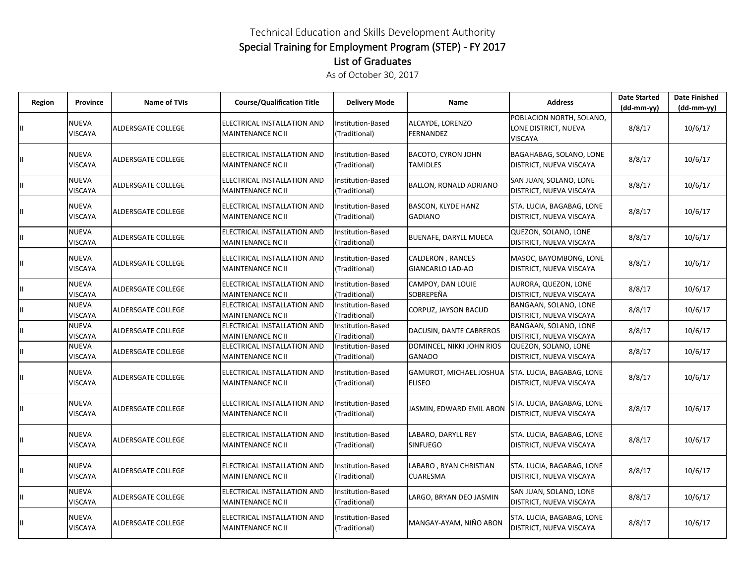## Technical Education and Skills Development Authority Special Training for Employment Program (STEP) - FY 2017 List of Graduates

As of October 30, 2017

| Region | Province                       | <b>Name of TVIs</b>       | <b>Course/Qualification Title</b>                | <b>Delivery Mode</b>                      | <b>Name</b>                                 | <b>Address</b>                                                     | <b>Date Started</b><br>$(dd-mm-yy)$ | <b>Date Finished</b><br>$(dd-mm-yy)$ |
|--------|--------------------------------|---------------------------|--------------------------------------------------|-------------------------------------------|---------------------------------------------|--------------------------------------------------------------------|-------------------------------------|--------------------------------------|
|        | <b>NUEVA</b><br><b>VISCAYA</b> | ALDERSGATE COLLEGE        | ELECTRICAL INSTALLATION AND<br>MAINTENANCE NC II | Institution-Based<br>(Traditional)        | ALCAYDE, LORENZO<br><b>FERNANDEZ</b>        | POBLACION NORTH, SOLANO,<br>LONE DISTRICT, NUEVA<br><b>VISCAYA</b> | 8/8/17                              | 10/6/17                              |
|        | <b>NUEVA</b><br><b>VISCAYA</b> | ALDERSGATE COLLEGE        | ELECTRICAL INSTALLATION AND<br>MAINTENANCE NC II | Institution-Based<br>(Traditional)        | <b>BACOTO, CYRON JOHN</b><br>TAMIDLES       | BAGAHABAG, SOLANO, LONE<br>DISTRICT, NUEVA VISCAYA                 | 8/8/17                              | 10/6/17                              |
|        | <b>NUEVA</b><br><b>VISCAYA</b> | ALDERSGATE COLLEGE        | ELECTRICAL INSTALLATION AND<br>MAINTENANCE NC II | Institution-Based<br>(Traditional)        | BALLON, RONALD ADRIANO                      | SAN JUAN, SOLANO, LONE<br>DISTRICT, NUEVA VISCAYA                  | 8/8/17                              | 10/6/17                              |
|        | <b>NUEVA</b><br><b>VISCAYA</b> | ALDERSGATE COLLEGE        | ELECTRICAL INSTALLATION AND<br>MAINTENANCE NC II | Institution-Based<br>(Traditional)        | <b>BASCON, KLYDE HANZ</b><br><b>GADIANO</b> | STA. LUCIA, BAGABAG, LONE<br>DISTRICT, NUEVA VISCAYA               | 8/8/17                              | 10/6/17                              |
|        | <b>NUEVA</b><br><b>VISCAYA</b> | ALDERSGATE COLLEGE        | ELECTRICAL INSTALLATION AND<br>MAINTENANCE NC II | <b>Institution-Based</b><br>(Traditional) | BUENAFE, DARYLL MUECA                       | QUEZON, SOLANO, LONE<br>DISTRICT, NUEVA VISCAYA                    | 8/8/17                              | 10/6/17                              |
|        | <b>NUEVA</b><br><b>VISCAYA</b> | ALDERSGATE COLLEGE        | ELECTRICAL INSTALLATION AND<br>MAINTENANCE NC II | Institution-Based<br>(Traditional)        | CALDERON, RANCES<br>GIANCARLO LAD-AO        | MASOC, BAYOMBONG, LONE<br>DISTRICT, NUEVA VISCAYA                  | 8/8/17                              | 10/6/17                              |
|        | <b>NUEVA</b><br><b>VISCAYA</b> | ALDERSGATE COLLEGE        | ELECTRICAL INSTALLATION AND<br>MAINTENANCE NC II | Institution-Based<br>(Traditional)        | CAMPOY, DAN LOUIE<br>SOBREPEÑA              | AURORA, QUEZON, LONE<br>DISTRICT, NUEVA VISCAYA                    | 8/8/17                              | 10/6/17                              |
|        | <b>NUEVA</b><br><b>VISCAYA</b> | ALDERSGATE COLLEGE        | ELECTRICAL INSTALLATION AND<br>MAINTENANCE NC II | Institution-Based<br>(Traditional)        | CORPUZ, JAYSON BACUD                        | BANGAAN, SOLANO, LONE<br>DISTRICT, NUEVA VISCAYA                   | 8/8/17                              | 10/6/17                              |
|        | <b>NUEVA</b><br><b>VISCAYA</b> | ALDERSGATE COLLEGE        | ELECTRICAL INSTALLATION AND<br>MAINTENANCE NC II | Institution-Based<br>(Traditional)        | DACUSIN, DANTE CABREROS                     | BANGAAN, SOLANO, LONE<br>DISTRICT, NUEVA VISCAYA                   | 8/8/17                              | 10/6/17                              |
|        | <b>NUEVA</b><br><b>VISCAYA</b> | ALDERSGATE COLLEGE        | ELECTRICAL INSTALLATION AND<br>MAINTENANCE NC II | Institution-Based<br>(Traditional)        | DOMINCEL, NIKKI JOHN RIOS<br><b>GANADO</b>  | QUEZON, SOLANO, LONE<br>DISTRICT, NUEVA VISCAYA                    | 8/8/17                              | 10/6/17                              |
|        | NUEVA<br><b>VISCAYA</b>        | ALDERSGATE COLLEGE        | ELECTRICAL INSTALLATION AND<br>MAINTENANCE NC II | Institution-Based<br>(Traditional)        | GAMUROT, MICHAEL JOSHUA<br><b>ELISEO</b>    | STA. LUCIA, BAGABAG, LONE<br>DISTRICT, NUEVA VISCAYA               | 8/8/17                              | 10/6/17                              |
|        | <b>NUEVA</b><br><b>VISCAYA</b> | <b>ALDERSGATE COLLEGE</b> | ELECTRICAL INSTALLATION AND<br>MAINTENANCE NC II | Institution-Based<br>(Traditional)        | JASMIN, EDWARD EMIL ABON                    | STA. LUCIA, BAGABAG, LONE<br>DISTRICT, NUEVA VISCAYA               | 8/8/17                              | 10/6/17                              |
|        | <b>NUEVA</b><br><b>VISCAYA</b> | ALDERSGATE COLLEGE        | ELECTRICAL INSTALLATION AND<br>MAINTENANCE NC II | Institution-Based<br>(Traditional)        | LABARO, DARYLL REY<br><b>SINFUEGO</b>       | STA. LUCIA, BAGABAG, LONE<br>DISTRICT, NUEVA VISCAYA               | 8/8/17                              | 10/6/17                              |
|        | <b>NUEVA</b><br><b>VISCAYA</b> | ALDERSGATE COLLEGE        | ELECTRICAL INSTALLATION AND<br>MAINTENANCE NC II | Institution-Based<br>(Traditional)        | LABARO, RYAN CHRISTIAN<br><b>CUARESMA</b>   | STA. LUCIA, BAGABAG, LONE<br>DISTRICT, NUEVA VISCAYA               | 8/8/17                              | 10/6/17                              |
|        | <b>NUEVA</b><br>VISCAYA        | ALDERSGATE COLLEGE        | ELECTRICAL INSTALLATION AND<br>MAINTENANCE NC II | <b>Institution-Based</b><br>(Traditional) | LARGO, BRYAN DEO JASMIN                     | SAN JUAN, SOLANO, LONE<br>DISTRICT, NUEVA VISCAYA                  | 8/8/17                              | 10/6/17                              |
|        | <b>NUEVA</b><br><b>VISCAYA</b> | <b>ALDERSGATE COLLEGE</b> | ELECTRICAL INSTALLATION AND<br>MAINTENANCE NC II | <b>Institution-Based</b><br>(Traditional) | MANGAY-AYAM, NIÑO ABON                      | STA. LUCIA, BAGABAG, LONE<br>DISTRICT, NUEVA VISCAYA               | 8/8/17                              | 10/6/17                              |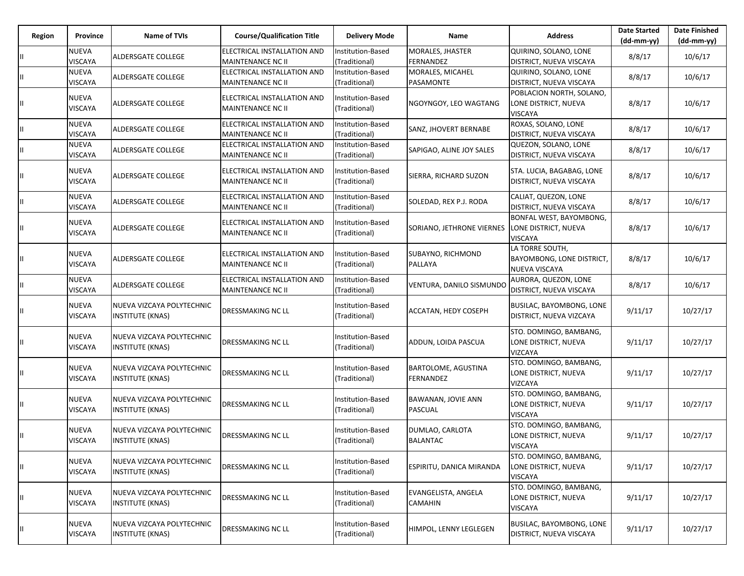| Region | Province                       | <b>Name of TVIs</b>                                  | <b>Course/Qualification Title</b>                       | <b>Delivery Mode</b>               | Name                                    | <b>Address</b>                                                     | <b>Date Started</b><br>$(dd-mm-vv)$ | <b>Date Finished</b><br>$(dd-mm-yy)$ |
|--------|--------------------------------|------------------------------------------------------|---------------------------------------------------------|------------------------------------|-----------------------------------------|--------------------------------------------------------------------|-------------------------------------|--------------------------------------|
|        | <b>NUEVA</b><br><b>VISCAYA</b> | ALDERSGATE COLLEGE                                   | ELECTRICAL INSTALLATION AND<br>MAINTENANCE NC II        | Institution-Based<br>(Traditional) | MORALES, JHASTER<br><b>FERNANDEZ</b>    | QUIRINO, SOLANO, LONE<br>DISTRICT, NUEVA VISCAYA                   | 8/8/17                              | 10/6/17                              |
|        | <b>NUEVA</b><br><b>VISCAYA</b> | <b>ALDERSGATE COLLEGE</b>                            | ELECTRICAL INSTALLATION AND<br>MAINTENANCE NC II        | Institution-Based<br>(Traditional) | MORALES, MICAHEL<br>PASAMONTE           | QUIRINO, SOLANO, LONE<br>DISTRICT, NUEVA VISCAYA                   | 8/8/17                              | 10/6/17                              |
|        | <b>NUEVA</b><br><b>VISCAYA</b> | ALDERSGATE COLLEGE                                   | ELECTRICAL INSTALLATION AND<br>MAINTENANCE NC II        | Institution-Based<br>(Traditional) | NGOYNGOY, LEO WAGTANG                   | POBLACION NORTH, SOLANO,<br>LONE DISTRICT, NUEVA<br><b>VISCAYA</b> | 8/8/17                              | 10/6/17                              |
|        | <b>NUEVA</b><br><b>VISCAYA</b> | ALDERSGATE COLLEGE                                   | ELECTRICAL INSTALLATION AND<br>MAINTENANCE NC II        | Institution-Based<br>(Traditional) | SANZ, JHOVERT BERNABE                   | ROXAS, SOLANO, LONE<br>DISTRICT, NUEVA VISCAYA                     | 8/8/17                              | 10/6/17                              |
|        | <b>NUEVA</b><br><b>VISCAYA</b> | ALDERSGATE COLLEGE                                   | ELECTRICAL INSTALLATION AND<br>MAINTENANCE NC II        | Institution-Based<br>(Traditional) | SAPIGAO, ALINE JOY SALES                | QUEZON, SOLANO, LONE<br>DISTRICT, NUEVA VISCAYA                    | 8/8/17                              | 10/6/17                              |
|        | <b>NUEVA</b><br><b>VISCAYA</b> | ALDERSGATE COLLEGE                                   | ELECTRICAL INSTALLATION AND<br>MAINTENANCE NC II        | Institution-Based<br>(Traditional) | SIERRA, RICHARD SUZON                   | STA. LUCIA, BAGABAG, LONE<br>DISTRICT, NUEVA VISCAYA               | 8/8/17                              | 10/6/17                              |
|        | <b>NUEVA</b><br><b>VISCAYA</b> | ALDERSGATE COLLEGE                                   | ELECTRICAL INSTALLATION AND<br><b>MAINTENANCE NC II</b> | Institution-Based<br>(Traditional) | SOLEDAD, REX P.J. RODA                  | CALIAT, QUEZON, LONE<br>DISTRICT, NUEVA VISCAYA                    | 8/8/17                              | 10/6/17                              |
|        | <b>NUEVA</b><br><b>VISCAYA</b> | ALDERSGATE COLLEGE                                   | ELECTRICAL INSTALLATION AND<br>MAINTENANCE NC II        | Institution-Based<br>(Traditional) | SORIANO, JETHRONE VIERNES               | BONFAL WEST, BAYOMBONG,<br>LONE DISTRICT, NUEVA<br><b>VISCAYA</b>  | 8/8/17                              | 10/6/17                              |
|        | <b>NUEVA</b><br><b>VISCAYA</b> | ALDERSGATE COLLEGE                                   | ELECTRICAL INSTALLATION AND<br><b>MAINTENANCE NC II</b> | Institution-Based<br>(Traditional) | SUBAYNO, RICHMOND<br>PALLAYA            | LA TORRE SOUTH,<br>BAYOMBONG, LONE DISTRICT,<br>NUEVA VISCAYA      | 8/8/17                              | 10/6/17                              |
|        | <b>NUEVA</b><br><b>VISCAYA</b> | ALDERSGATE COLLEGE                                   | ELECTRICAL INSTALLATION AND<br>MAINTENANCE NC II        | Institution-Based<br>(Traditional) | VENTURA, DANILO SISMUNDO                | AURORA, QUEZON, LONE<br>DISTRICT, NUEVA VISCAYA                    | 8/8/17                              | 10/6/17                              |
|        | <b>NUEVA</b><br><b>VISCAYA</b> | NUEVA VIZCAYA POLYTECHNIC<br><b>INSTITUTE (KNAS)</b> | DRESSMAKING NC LL                                       | Institution-Based<br>(Traditional) | <b>ACCATAN, HEDY COSEPH</b>             | BUSILAC, BAYOMBONG, LONE<br>DISTRICT, NUEVA VIZCAYA                | 9/11/17                             | 10/27/17                             |
|        | <b>NUEVA</b><br><b>VISCAYA</b> | NUEVA VIZCAYA POLYTECHNIC<br><b>INSTITUTE (KNAS)</b> | DRESSMAKING NC LL                                       | Institution-Based<br>(Traditional) | ADDUN, LOIDA PASCUA                     | STO. DOMINGO, BAMBANG,<br>LONE DISTRICT, NUEVA<br>VIZCAYA          | 9/11/17                             | 10/27/17                             |
|        | <b>NUEVA</b><br><b>VISCAYA</b> | NUEVA VIZCAYA POLYTECHNIC<br><b>INSTITUTE (KNAS)</b> | DRESSMAKING NC LL                                       | Institution-Based<br>(Traditional) | <b>BARTOLOME, AGUSTINA</b><br>FERNANDEZ | STO. DOMINGO, BAMBANG,<br>LONE DISTRICT, NUEVA<br>VIZCAYA          | 9/11/17                             | 10/27/17                             |
|        | <b>NUEVA</b><br><b>VISCAYA</b> | NUEVA VIZCAYA POLYTECHNIC<br><b>INSTITUTE (KNAS)</b> | <b>DRESSMAKING NC LL</b>                                | Institution-Based<br>(Traditional) | BAWANAN, JOVIE ANN<br><b>PASCUAL</b>    | STO. DOMINGO, BAMBANG,<br>LONE DISTRICT, NUEVA<br><b>VISCAYA</b>   | 9/11/17                             | 10/27/17                             |
|        | <b>NUEVA</b><br><b>VISCAYA</b> | NUEVA VIZCAYA POLYTECHNIC<br><b>INSTITUTE (KNAS)</b> | DRESSMAKING NC LL                                       | Institution-Based<br>(Traditional) | DUMLAO, CARLOTA<br><b>BALANTAC</b>      | STO. DOMINGO, BAMBANG,<br>LONE DISTRICT, NUEVA<br>VISCAYA          | 9/11/17                             | 10/27/17                             |
|        | <b>NUEVA</b><br><b>VISCAYA</b> | NUEVA VIZCAYA POLYTECHNIC<br><b>INSTITUTE (KNAS)</b> | DRESSMAKING NC LL                                       | Institution-Based<br>(Traditional) | ESPIRITU, DANICA MIRANDA                | STO. DOMINGO, BAMBANG,<br>LONE DISTRICT, NUEVA<br>VISCAYA          | 9/11/17                             | 10/27/17                             |
|        | <b>NUEVA</b><br><b>VISCAYA</b> | NUEVA VIZCAYA POLYTECHNIC<br><b>INSTITUTE (KNAS)</b> | DRESSMAKING NC LL                                       | Institution-Based<br>(Traditional) | EVANGELISTA, ANGELA<br><b>CAMAHIN</b>   | STO. DOMINGO, BAMBANG,<br>LONE DISTRICT, NUEVA<br><b>VISCAYA</b>   | 9/11/17                             | 10/27/17                             |
|        | <b>NUEVA</b><br><b>VISCAYA</b> | NUEVA VIZCAYA POLYTECHNIC<br><b>INSTITUTE (KNAS)</b> | DRESSMAKING NC LL                                       | Institution-Based<br>(Traditional) | HIMPOL, LENNY LEGLEGEN                  | BUSILAC, BAYOMBONG, LONE<br>DISTRICT, NUEVA VISCAYA                | 9/11/17                             | 10/27/17                             |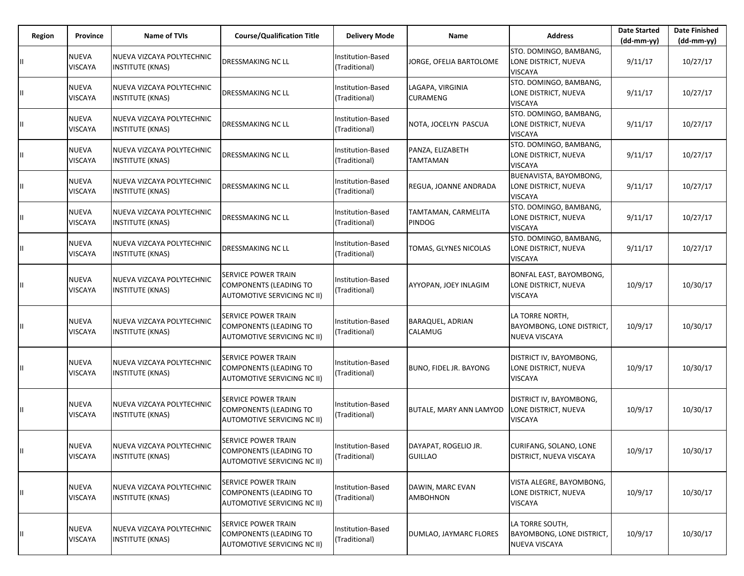| Region        | Province                       | <b>Name of TVIs</b>                                  | <b>Course/Qualification Title</b>                                                          | <b>Delivery Mode</b>               | Name                                   | <b>Address</b>                                                     | <b>Date Started</b><br>$(dd-mm-yy)$ | <b>Date Finished</b><br>$(dd-mm-yy)$ |
|---------------|--------------------------------|------------------------------------------------------|--------------------------------------------------------------------------------------------|------------------------------------|----------------------------------------|--------------------------------------------------------------------|-------------------------------------|--------------------------------------|
|               | <b>NUEVA</b><br><b>VISCAYA</b> | NUEVA VIZCAYA POLYTECHNIC<br><b>INSTITUTE (KNAS)</b> | DRESSMAKING NC LL                                                                          | Institution-Based<br>(Traditional) | JORGE, OFELIA BARTOLOME                | STO. DOMINGO, BAMBANG,<br>LONE DISTRICT, NUEVA<br><b>VISCAYA</b>   | 9/11/17                             | 10/27/17                             |
|               | <b>NUEVA</b><br>VISCAYA        | NUEVA VIZCAYA POLYTECHNIC<br><b>INSTITUTE (KNAS)</b> | DRESSMAKING NC LL                                                                          | Institution-Based<br>(Traditional) | LAGAPA, VIRGINIA<br><b>CURAMENG</b>    | STO. DOMINGO, BAMBANG,<br>LONE DISTRICT, NUEVA<br><b>VISCAYA</b>   | 9/11/17                             | 10/27/17                             |
| Ш.            | <b>NUEVA</b><br>VISCAYA        | NUEVA VIZCAYA POLYTECHNIC<br><b>INSTITUTE (KNAS)</b> | DRESSMAKING NC LL                                                                          | Institution-Based<br>(Traditional) | NOTA, JOCELYN PASCUA                   | STO. DOMINGO, BAMBANG,<br>LONE DISTRICT, NUEVA<br><b>VISCAYA</b>   | 9/11/17                             | 10/27/17                             |
| Ш             | <b>NUEVA</b><br>VISCAYA        | NUEVA VIZCAYA POLYTECHNIC<br><b>INSTITUTE (KNAS)</b> | DRESSMAKING NC LL                                                                          | Institution-Based<br>(Traditional) | PANZA, ELIZABETH<br>TAMTAMAN           | STO. DOMINGO, BAMBANG,<br>LONE DISTRICT, NUEVA<br><b>VISCAYA</b>   | 9/11/17                             | 10/27/17                             |
| Ш.            | <b>NUEVA</b><br>VISCAYA        | NUEVA VIZCAYA POLYTECHNIC<br>INSTITUTE (KNAS)        | DRESSMAKING NC LL                                                                          | Institution-Based<br>(Traditional) | REGUA, JOANNE ANDRADA                  | BUENAVISTA, BAYOMBONG,<br>LONE DISTRICT, NUEVA<br><b>VISCAYA</b>   | 9/11/17                             | 10/27/17                             |
|               | <b>NUEVA</b><br>VISCAYA        | NUEVA VIZCAYA POLYTECHNIC<br><b>INSTITUTE (KNAS)</b> | DRESSMAKING NC LL                                                                          | Institution-Based<br>(Traditional) | TAMTAMAN, CARMELITA<br><b>PINDOG</b>   | STO. DOMINGO, BAMBANG,<br>LONE DISTRICT, NUEVA<br><b>VISCAYA</b>   | 9/11/17                             | 10/27/17                             |
| Ш.            | NUEVA<br>VISCAYA               | NUEVA VIZCAYA POLYTECHNIC<br><b>INSTITUTE (KNAS)</b> | DRESSMAKING NC LL                                                                          | Institution-Based<br>(Traditional) | TOMAS, GLYNES NICOLAS                  | STO. DOMINGO, BAMBANG,<br>LONE DISTRICT, NUEVA<br><b>VISCAYA</b>   | 9/11/17                             | 10/27/17                             |
|               | <b>NUEVA</b><br>VISCAYA        | NUEVA VIZCAYA POLYTECHNIC<br>INSTITUTE (KNAS)        | SERVICE POWER TRAIN<br><b>COMPONENTS (LEADING TO</b><br><b>AUTOMOTIVE SERVICING NC II)</b> | Institution-Based<br>(Traditional) | AYYOPAN, JOEY INLAGIM                  | BONFAL EAST, BAYOMBONG,<br>LONE DISTRICT, NUEVA<br><b>VISCAYA</b>  | 10/9/17                             | 10/30/17                             |
| Ш.            | <b>NUEVA</b><br>VISCAYA        | NUEVA VIZCAYA POLYTECHNIC<br><b>INSTITUTE (KNAS)</b> | SERVICE POWER TRAIN<br>COMPONENTS (LEADING TO<br>AUTOMOTIVE SERVICING NC II)               | Institution-Based<br>(Traditional) | BARAQUEL, ADRIAN<br>CALAMUG            | LA TORRE NORTH,<br>BAYOMBONG, LONE DISTRICT,<br>NUEVA VISCAYA      | 10/9/17                             | 10/30/17                             |
| Ш             | <b>NUEVA</b><br>VISCAYA        | NUEVA VIZCAYA POLYTECHNIC<br><b>INSTITUTE (KNAS)</b> | SERVICE POWER TRAIN<br><b>COMPONENTS (LEADING TO</b><br><b>AUTOMOTIVE SERVICING NC II)</b> | Institution-Based<br>(Traditional) | BUNO, FIDEL JR. BAYONG                 | DISTRICT IV, BAYOMBONG,<br>LONE DISTRICT, NUEVA<br><b>VISCAYA</b>  | 10/9/17                             | 10/30/17                             |
| Ш.            | <b>NUEVA</b><br>VISCAYA        | NUEVA VIZCAYA POLYTECHNIC<br><b>INSTITUTE (KNAS)</b> | SERVICE POWER TRAIN<br>COMPONENTS (LEADING TO<br>AUTOMOTIVE SERVICING NC II)               | Institution-Based<br>(Traditional) | <b>BUTALE, MARY ANN LAMYOD</b>         | DISTRICT IV, BAYOMBONG,<br>LONE DISTRICT, NUEVA<br>VISCAYA         | 10/9/17                             | 10/30/17                             |
| $\mathbf{II}$ | NUEVA<br><b>VISCAYA</b>        | NUEVA VIZCAYA POLYTECHNIC<br><b>INSTITUTE (KNAS)</b> | <b>SERVICE POWER TRAIN</b><br><b>COMPONENTS (LEADING TO</b><br>AUTOMOTIVE SERVICING NC II) | Institution-Based<br>(Traditional) | DAYAPAT, ROGELIO JR.<br><b>GUILLAO</b> | CURIFANG, SOLANO, LONE<br>DISTRICT, NUEVA VISCAYA                  | 10/9/17                             | 10/30/17                             |
| Ш             | NUEVA<br><b>VISCAYA</b>        | NUEVA VIZCAYA POLYTECHNIC<br><b>INSTITUTE (KNAS)</b> | SERVICE POWER TRAIN<br><b>COMPONENTS (LEADING TO</b><br>AUTOMOTIVE SERVICING NC II)        | Institution-Based<br>(Traditional) | DAWIN, MARC EVAN<br>AMBOHNON           | VISTA ALEGRE, BAYOMBONG,<br>LONE DISTRICT, NUEVA<br><b>VISCAYA</b> | 10/9/17                             | 10/30/17                             |
| Ш.            | <b>NUEVA</b><br>VISCAYA        | NUEVA VIZCAYA POLYTECHNIC<br>INSTITUTE (KNAS)        | SERVICE POWER TRAIN<br><b>COMPONENTS (LEADING TO</b><br>AUTOMOTIVE SERVICING NC II)        | nstitution-Based<br>(Traditional)  | DUMLAO, JAYMARC FLORES                 | LA TORRE SOUTH,<br>BAYOMBONG, LONE DISTRICT,<br>NUEVA VISCAYA      | 10/9/17                             | 10/30/17                             |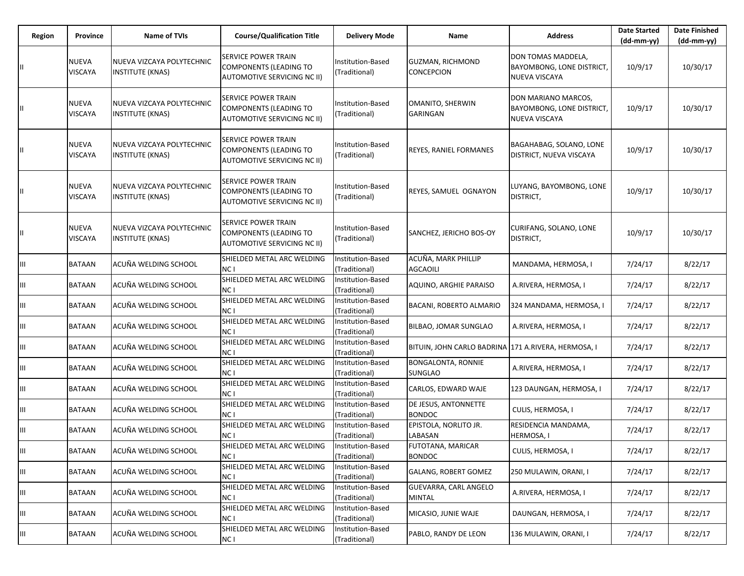| Region | Province                | Name of TVIs                                         | <b>Course/Qualification Title</b>                                                                 | <b>Delivery Mode</b>               | Name                                                | <b>Address</b>                                                    | <b>Date Started</b><br>$(dd-mm-vv)$ | <b>Date Finished</b><br>$(dd-mm-yy)$ |
|--------|-------------------------|------------------------------------------------------|---------------------------------------------------------------------------------------------------|------------------------------------|-----------------------------------------------------|-------------------------------------------------------------------|-------------------------------------|--------------------------------------|
|        | <b>NUEVA</b><br>VISCAYA | NUEVA VIZCAYA POLYTECHNIC<br><b>INSTITUTE (KNAS)</b> | SERVICE POWER TRAIN<br><b>COMPONENTS (LEADING TO</b><br>AUTOMOTIVE SERVICING NC II)               | Institution-Based<br>(Traditional) | <b>GUZMAN, RICHMOND</b><br><b>CONCEPCION</b>        | DON TOMAS MADDELA,<br>BAYOMBONG, LONE DISTRICT,<br>NUEVA VISCAYA  | 10/9/17                             | 10/30/17                             |
|        | <b>NUEVA</b><br>VISCAYA | NUEVA VIZCAYA POLYTECHNIC<br><b>INSTITUTE (KNAS)</b> | SERVICE POWER TRAIN<br><b>COMPONENTS (LEADING TO</b><br>AUTOMOTIVE SERVICING NC II)               | Institution-Based<br>(Traditional) | OMANITO, SHERWIN<br><b>GARINGAN</b>                 | DON MARIANO MARCOS,<br>BAYOMBONG, LONE DISTRICT,<br>NUEVA VISCAYA | 10/9/17                             | 10/30/17                             |
|        | NUEVA<br>VISCAYA        | NUEVA VIZCAYA POLYTECHNIC<br><b>INSTITUTE (KNAS)</b> | <b>SERVICE POWER TRAIN</b><br><b>COMPONENTS (LEADING TO</b><br><b>AUTOMOTIVE SERVICING NC II)</b> | Institution-Based<br>(Traditional) | <b>REYES, RANIEL FORMANES</b>                       | BAGAHABAG, SOLANO, LONE<br>DISTRICT, NUEVA VISCAYA                | 10/9/17                             | 10/30/17                             |
|        | <b>NUEVA</b><br>VISCAYA | NUEVA VIZCAYA POLYTECHNIC<br><b>INSTITUTE (KNAS)</b> | SERVICE POWER TRAIN<br><b>COMPONENTS (LEADING TO</b><br>AUTOMOTIVE SERVICING NC II)               | Institution-Based<br>(Traditional) | REYES, SAMUEL OGNAYON                               | LUYANG, BAYOMBONG, LONE<br>DISTRICT,                              | 10/9/17                             | 10/30/17                             |
|        | <b>NUEVA</b><br>VISCAYA | NUEVA VIZCAYA POLYTECHNIC<br><b>INSTITUTE (KNAS)</b> | SERVICE POWER TRAIN<br><b>COMPONENTS (LEADING TO</b><br>AUTOMOTIVE SERVICING NC II)               | Institution-Based<br>(Traditional) | SANCHEZ, JERICHO BOS-OY                             | CURIFANG, SOLANO, LONE<br>DISTRICT,                               | 10/9/17                             | 10/30/17                             |
| Ш      | BATAAN                  | ACUÑA WELDING SCHOOL                                 | SHIELDED METAL ARC WELDING<br>NC I                                                                | Institution-Based<br>(Traditional) | ACUÑA, MARK PHILLIP<br><b>AGCAOILI</b>              | MANDAMA, HERMOSA, I                                               | 7/24/17                             | 8/22/17                              |
| Ш      | BATAAN                  | ACUÑA WELDING SCHOOL                                 | SHIELDED METAL ARC WELDING<br>NC I                                                                | Institution-Based<br>(Traditional) | AQUINO, ARGHIE PARAISO                              | A.RIVERA, HERMOSA, I                                              | 7/24/17                             | 8/22/17                              |
| Ш      | BATAAN                  | ACUÑA WELDING SCHOOL                                 | SHIELDED METAL ARC WELDING<br>NC I                                                                | Institution-Based<br>(Traditional) | BACANI, ROBERTO ALMARIO                             | 324 MANDAMA, HERMOSA, I                                           | 7/24/17                             | 8/22/17                              |
| Ш      | BATAAN                  | ACUÑA WELDING SCHOOL                                 | SHIELDED METAL ARC WELDING<br>NC I                                                                | Institution-Based<br>(Traditional) | BILBAO, JOMAR SUNGLAO                               | A.RIVERA, HERMOSA, I                                              | 7/24/17                             | 8/22/17                              |
| Ш      | BATAAN                  | ACUÑA WELDING SCHOOL                                 | SHIELDED METAL ARC WELDING<br>NC I                                                                | Institution-Based<br>(Traditional) | BITUIN, JOHN CARLO BADRINA 171 A.RIVERA, HERMOSA, I |                                                                   | 7/24/17                             | 8/22/17                              |
| Ш      | BATAAN                  | ACUÑA WELDING SCHOOL                                 | SHIELDED METAL ARC WELDING<br>NC I                                                                | Institution-Based<br>(Traditional) | <b>BONGALONTA, RONNIE</b><br><b>SUNGLAO</b>         | A.RIVERA, HERMOSA, I                                              | 7/24/17                             | 8/22/17                              |
| Ш      | BATAAN                  | ACUÑA WELDING SCHOOL                                 | SHIELDED METAL ARC WELDING<br>NC I                                                                | Institution-Based<br>(Traditional) | CARLOS, EDWARD WAJE                                 | 123 DAUNGAN, HERMOSA, I                                           | 7/24/17                             | 8/22/17                              |
| Ш      | BATAAN                  | ACUÑA WELDING SCHOOL                                 | SHIELDED METAL ARC WELDING<br>NC I                                                                | Institution-Based<br>(Traditional) | DE JESUS, ANTONNETTE<br><b>BONDOC</b>               | CULIS, HERMOSA, I                                                 | 7/24/17                             | 8/22/17                              |
| Ш      | BATAAN                  | ACUÑA WELDING SCHOOL                                 | SHIELDED METAL ARC WELDING<br>NC I                                                                | Institution-Based<br>(Traditional) | EPISTOLA, NORLITO JR.<br>LABASAN                    | RESIDENCIA MANDAMA,<br>HERMOSA, I                                 | 7/24/17                             | 8/22/17                              |
| Ш      | <b>BATAAN</b>           | ACUÑA WELDING SCHOOL                                 | SHIELDED METAL ARC WELDING<br>NC I                                                                | Institution-Based<br>(Traditional) | FUTOTANA, MARICAR<br><b>BONDOC</b>                  | CULIS, HERMOSA, I                                                 | 7/24/17                             | 8/22/17                              |
| III    | BATAAN                  | ACUÑA WELDING SCHOOL                                 | SHIELDED METAL ARC WELDING<br>NC I                                                                | Institution-Based<br>(Traditional) | <b>GALANG, ROBERT GOMEZ</b>                         | 250 MULAWIN, ORANI, I                                             | 7/24/17                             | 8/22/17                              |
| Ш      | BATAAN                  | ACUÑA WELDING SCHOOL                                 | SHIELDED METAL ARC WELDING<br>NC I                                                                | Institution-Based<br>(Traditional) | GUEVARRA, CARL ANGELO<br><b>MINTAL</b>              | A.RIVERA, HERMOSA, I                                              | 7/24/17                             | 8/22/17                              |
| Ш      | BATAAN                  | ACUÑA WELDING SCHOOL                                 | SHIELDED METAL ARC WELDING<br>NC <sub>I</sub>                                                     | Institution-Based<br>(Traditional) | MICASIO, JUNIE WAJE                                 | DAUNGAN, HERMOSA, I                                               | 7/24/17                             | 8/22/17                              |
| Ш      | <b>BATAAN</b>           | ACUÑA WELDING SCHOOL                                 | SHIELDED METAL ARC WELDING<br>NC I                                                                | Institution-Based<br>(Traditional) | PABLO, RANDY DE LEON                                | 136 MULAWIN, ORANI, I                                             | 7/24/17                             | 8/22/17                              |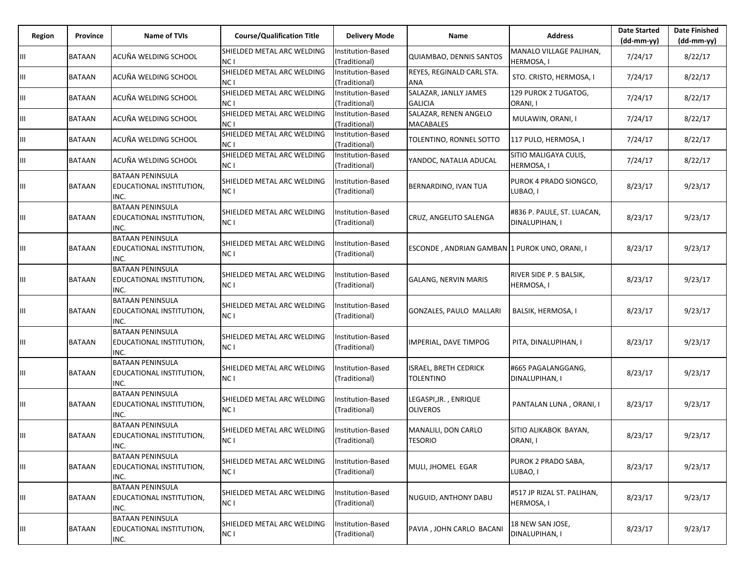| Region | Province      | <b>Name of TVIs</b>                                                | <b>Course/Qualification Title</b>  | <b>Delivery Mode</b>                      | Name                                             | <b>Address</b>                               | <b>Date Started</b><br>$(dd-mm-yy)$ | <b>Date Finished</b><br>(dd-mm-yy) |
|--------|---------------|--------------------------------------------------------------------|------------------------------------|-------------------------------------------|--------------------------------------------------|----------------------------------------------|-------------------------------------|------------------------------------|
| Ш      | BATAAN        | ACUÑA WELDING SCHOOL                                               | SHIELDED METAL ARC WELDING<br>NC I | Institution-Based<br>(Traditional)        | QUIAMBAO, DENNIS SANTOS                          | MANALO VILLAGE PALIHAN,<br>HERMOSA, I        | 7/24/17                             | 8/22/17                            |
| Ш      | BATAAN        | ACUÑA WELDING SCHOOL                                               | SHIELDED METAL ARC WELDING<br>NC I | Institution-Based<br>(Traditional)        | REYES, REGINALD CARL STA.<br><b>ANA</b>          | STO. CRISTO, HERMOSA, I                      | 7/24/17                             | 8/22/17                            |
| Ш      | BATAAN        | ACUÑA WELDING SCHOOL                                               | SHIELDED METAL ARC WELDING<br>NC I | Institution-Based<br>(Traditional)        | SALAZAR, JANLLY JAMES<br><b>GALICIA</b>          | 129 PUROK 2 TUGATOG,<br>ORANI, I             | 7/24/17                             | 8/22/17                            |
| Ш      | BATAAN        | ACUÑA WELDING SCHOOL                                               | SHIELDED METAL ARC WELDING<br>NC I | Institution-Based<br>(Traditional)        | SALAZAR, RENEN ANGELO<br><b>MACABALES</b>        | MULAWIN, ORANI, I                            | 7/24/17                             | 8/22/17                            |
| Ш      | BATAAN        | ACUÑA WELDING SCHOOL                                               | SHIELDED METAL ARC WELDING<br>NC I | Institution-Based<br>(Traditional)        | TOLENTINO, RONNEL SOTTO                          | 117 PULO, HERMOSA, I                         | 7/24/17                             | 8/22/17                            |
| Ш      | BATAAN        | ACUÑA WELDING SCHOOL                                               | SHIELDED METAL ARC WELDING<br>NC I | Institution-Based<br>(Traditional)        | YANDOC, NATALIA ADUCAL                           | SITIO MALIGAYA CULIS,<br>HERMOSA, I          | 7/24/17                             | 8/22/17                            |
| Ш      | BATAAN        | <b>BATAAN PENINSULA</b><br><b>EDUCATIONAL INSTITUTION,</b><br>INC. | SHIELDED METAL ARC WELDING<br>NC I | <b>Institution-Based</b><br>(Traditional) | BERNARDINO, IVAN TUA                             | PUROK 4 PRADO SIONGCO,<br>LUBAO, I           | 8/23/17                             | 9/23/17                            |
| Ш      | BATAAN        | <b>BATAAN PENINSULA</b><br><b>EDUCATIONAL INSTITUTION,</b><br>INC. | SHIELDED METAL ARC WELDING<br>NC I | Institution-Based<br>(Traditional)        | CRUZ, ANGELITO SALENGA                           | #836 P. PAULE, ST. LUACAN,<br>DINALUPIHAN, I | 8/23/17                             | 9/23/17                            |
| Ш      | BATAAN        | <b>BATAAN PENINSULA</b><br><b>EDUCATIONAL INSTITUTION,</b><br>INC. | SHIELDED METAL ARC WELDING<br>NC I | <b>Institution-Based</b><br>(Traditional) | ESCONDE, ANDRIAN GAMBAN 1 PUROK UNO, ORANI, I    |                                              | 8/23/17                             | 9/23/17                            |
| Ш      | <b>BATAAN</b> | <b>BATAAN PENINSULA</b><br><b>EDUCATIONAL INSTITUTION,</b><br>INC. | SHIELDED METAL ARC WELDING<br>NC I | nstitution-Based<br>(Traditional)         | <b>GALANG, NERVIN MARIS</b>                      | RIVER SIDE P. 5 BALSIK,<br>HERMOSA, I        | 8/23/17                             | 9/23/17                            |
| Ш      | <b>BATAAN</b> | <b>BATAAN PENINSULA</b><br><b>EDUCATIONAL INSTITUTION,</b><br>INC. | SHIELDED METAL ARC WELDING<br>NC I | Institution-Based<br>(Traditional)        | <b>GONZALES, PAULO MALLARI</b>                   | BALSIK, HERMOSA, I                           | 8/23/17                             | 9/23/17                            |
| Ш      | BATAAN        | <b>BATAAN PENINSULA</b><br><b>EDUCATIONAL INSTITUTION,</b><br>INC. | SHIELDED METAL ARC WELDING<br>NC I | nstitution-Based<br>(Traditional)         | IMPERIAL, DAVE TIMPOG                            | PITA, DINALUPIHAN, I                         | 8/23/17                             | 9/23/17                            |
| Ш      | <b>BATAAN</b> | <b>BATAAN PENINSULA</b><br><b>EDUCATIONAL INSTITUTION,</b><br>INC. | SHIELDED METAL ARC WELDING<br>NC I | Institution-Based<br>(Traditional)        | <b>ISRAEL, BRETH CEDRICK</b><br><b>TOLENTINO</b> | #665 PAGALANGGANG,<br>DINALUPIHAN, I         | 8/23/17                             | 9/23/17                            |
| Ш      | BATAAN        | <b>BATAAN PENINSULA</b><br><b>EDUCATIONAL INSTITUTION,</b><br>INC. | SHIELDED METAL ARC WELDING<br>NC I | nstitution-Based<br>(Traditional)         | LEGASPI,JR., ENRIQUE<br><b>OLIVEROS</b>          | PANTALAN LUNA, ORANI, I                      | 8/23/17                             | 9/23/17                            |
| Ш      | <b>BATAAN</b> | <b>BATAAN PENINSULA</b><br><b>EDUCATIONAL INSTITUTION,</b><br>INC. | SHIELDED METAL ARC WELDING<br>NC I | nstitution-Based<br>(Traditional)         | MANALILI, DON CARLO<br><b>TESORIO</b>            | SITIO ALIKABOK BAYAN,<br>ORANI, I            | 8/23/17                             | 9/23/17                            |
| Ш      | <b>BATAAN</b> | <b>BATAAN PENINSULA</b><br><b>EDUCATIONAL INSTITUTION,</b><br>INC. | SHIELDED METAL ARC WELDING<br>NC I | nstitution-Based<br>(Traditional)         | MULI, JHOMEL EGAR                                | PUROK 2 PRADO SABA,<br>LUBAO, I              | 8/23/17                             | 9/23/17                            |
| Ш      | <b>BATAAN</b> | <b>BATAAN PENINSULA</b><br><b>EDUCATIONAL INSTITUTION,</b><br>INC. | SHIELDED METAL ARC WELDING<br>NC I | Institution-Based<br>(Traditional)        | NUGUID, ANTHONY DABU                             | #517 JP RIZAL ST. PALIHAN,<br>HERMOSA, I     | 8/23/17                             | 9/23/17                            |
| Ш      | BATAAN        | <b>BATAAN PENINSULA</b><br><b>EDUCATIONAL INSTITUTION,</b><br>INC. | SHIELDED METAL ARC WELDING<br>NC I | nstitution-Based<br>(Traditional)         | PAVIA, JOHN CARLO BACANI                         | 18 NEW SAN JOSE,<br>DINALUPIHAN, I           | 8/23/17                             | 9/23/17                            |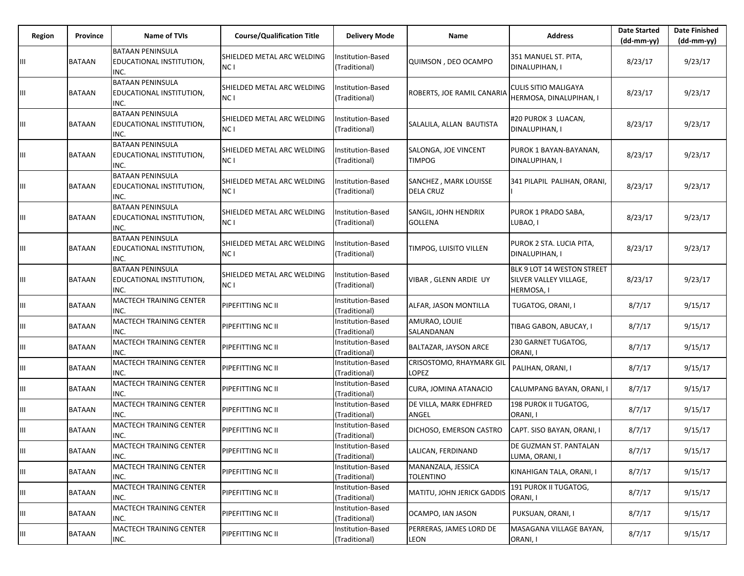| Region | <b>Province</b> | <b>Name of TVIs</b>                                         | <b>Course/Qualification Title</b>             | <b>Delivery Mode</b>               | Name                                      | <b>Address</b>                                                     | <b>Date Started</b><br>$(dd-mm-vv)$ | <b>Date Finished</b><br>(dd-mm-yy) |
|--------|-----------------|-------------------------------------------------------------|-----------------------------------------------|------------------------------------|-------------------------------------------|--------------------------------------------------------------------|-------------------------------------|------------------------------------|
| Ш      | <b>BATAAN</b>   | <b>BATAAN PENINSULA</b><br>EDUCATIONAL INSTITUTION,<br>INC. | SHIELDED METAL ARC WELDING<br>NC <sub>1</sub> | Institution-Based<br>(Traditional) | QUIMSON, DEO OCAMPO                       | 351 MANUEL ST. PITA,<br>DINALUPIHAN, I                             | 8/23/17                             | 9/23/17                            |
| Ш      | <b>BATAAN</b>   | <b>BATAAN PENINSULA</b><br>EDUCATIONAL INSTITUTION,<br>INC. | SHIELDED METAL ARC WELDING<br>NC I            | Institution-Based<br>(Traditional) | ROBERTS, JOE RAMIL CANARIA                | CULIS SITIO MALIGAYA<br>HERMOSA, DINALUPIHAN, I                    | 8/23/17                             | 9/23/17                            |
| Ш      | <b>BATAAN</b>   | <b>BATAAN PENINSULA</b><br>EDUCATIONAL INSTITUTION,<br>INC. | SHIELDED METAL ARC WELDING<br>NC <sub>1</sub> | Institution-Based<br>(Traditional) | SALALILA, ALLAN BAUTISTA                  | #20 PUROK 3 LUACAN,<br>DINALUPIHAN, I                              | 8/23/17                             | 9/23/17                            |
| Ш      | <b>BATAAN</b>   | <b>BATAAN PENINSULA</b><br>EDUCATIONAL INSTITUTION,<br>INC. | SHIELDED METAL ARC WELDING<br>NC I            | Institution-Based<br>(Traditional) | SALONGA, JOE VINCENT<br><b>TIMPOG</b>     | PUROK 1 BAYAN-BAYANAN,<br>DINALUPIHAN, I                           | 8/23/17                             | 9/23/17                            |
| Ш      | <b>BATAAN</b>   | <b>BATAAN PENINSULA</b><br>EDUCATIONAL INSTITUTION,<br>INC. | SHIELDED METAL ARC WELDING<br>NC <sub>1</sub> | Institution-Based<br>(Traditional) | SANCHEZ, MARK LOUISSE<br><b>DELA CRUZ</b> | 341 PILAPIL PALIHAN, ORANI,                                        | 8/23/17                             | 9/23/17                            |
| Ш      | <b>BATAAN</b>   | <b>BATAAN PENINSULA</b><br>EDUCATIONAL INSTITUTION,<br>INC. | SHIELDED METAL ARC WELDING<br>NC I            | Institution-Based<br>(Traditional) | SANGIL, JOHN HENDRIX<br><b>GOLLENA</b>    | PUROK 1 PRADO SABA.<br>LUBAO, I                                    | 8/23/17                             | 9/23/17                            |
| Ш      | <b>BATAAN</b>   | <b>BATAAN PENINSULA</b><br>EDUCATIONAL INSTITUTION,<br>INC. | SHIELDED METAL ARC WELDING<br>NC I            | Institution-Based<br>(Traditional) | TIMPOG, LUISITO VILLEN                    | PUROK 2 STA. LUCIA PITA,<br>DINALUPIHAN, I                         | 8/23/17                             | 9/23/17                            |
| Ш      | <b>BATAAN</b>   | <b>BATAAN PENINSULA</b><br>EDUCATIONAL INSTITUTION,<br>INC. | SHIELDED METAL ARC WELDING<br>NC I            | Institution-Based<br>(Traditional) | VIBAR, GLENN ARDIE UY                     | BLK 9 LOT 14 WESTON STREET<br>SILVER VALLEY VILLAGE,<br>HERMOSA, I | 8/23/17                             | 9/23/17                            |
| Ш      | <b>BATAAN</b>   | MACTECH TRAINING CENTER<br>INC.                             | PIPEFITTING NC II                             | Institution-Based<br>(Traditional) | ALFAR, JASON MONTILLA                     | TUGATOG, ORANI, I                                                  | 8/7/17                              | 9/15/17                            |
| Ш      | <b>BATAAN</b>   | MACTECH TRAINING CENTER<br>INC.                             | PIPEFITTING NC II                             | Institution-Based<br>(Traditional) | AMURAO, LOUIE<br>SALANDANAN               | TIBAG GABON, ABUCAY, I                                             | 8/7/17                              | 9/15/17                            |
| Ш      | <b>BATAAN</b>   | MACTECH TRAINING CENTER<br>INC.                             | PIPEFITTING NC II                             | Institution-Based<br>(Traditional) | BALTAZAR, JAYSON ARCE                     | 230 GARNET TUGATOG,<br>ORANI, I                                    | 8/7/17                              | 9/15/17                            |
| Ш      | <b>BATAAN</b>   | <b>MACTECH TRAINING CENTER</b><br>INC.                      | PIPEFITTING NC II                             | Institution-Based<br>(Traditional) | <b>CRISOSTOMO, RHAYMARK GIL</b><br>LOPEZ  | PALIHAN, ORANI, I                                                  | 8/7/17                              | 9/15/17                            |
| Ш      | <b>BATAAN</b>   | MACTECH TRAINING CENTER<br>INC.                             | PIPEFITTING NC II                             | Institution-Based<br>(Traditional) | CURA, JOMINA ATANACIO                     | CALUMPANG BAYAN, ORANI, I                                          | 8/7/17                              | 9/15/17                            |
| Ш      | <b>BATAAN</b>   | <b>MACTECH TRAINING CENTER</b><br>INC.                      | PIPEFITTING NC II                             | Institution-Based<br>(Traditional) | DE VILLA, MARK EDHFRED<br>ANGEL           | 198 PUROK II TUGATOG,<br>ORANI, I                                  | 8/7/17                              | 9/15/17                            |
| Ш      | <b>BATAAN</b>   | MACTECH TRAINING CENTER<br>INC.                             | PIPEFITTING NC II                             | Institution-Based<br>(Traditional) | DICHOSO, EMERSON CASTRO                   | CAPT. SISO BAYAN, ORANI, I                                         | 8/7/17                              | 9/15/17                            |
| IШ     | <b>BATAAN</b>   | MACTECH TRAINING CENTER<br>INC.                             | PIPEFITTING NC II                             | Institution-Based<br>(Traditional) | LALICAN, FERDINAND                        | DE GUZMAN ST. PANTALAN<br>LUMA, ORANI, I                           | 8/7/17                              | 9/15/17                            |
| Ш      | BATAAN          | MACTECH TRAINING CENTER<br>INC.                             | PIPEFITTING NC II                             | Institution-Based<br>(Traditional) | MANANZALA, JESSICA<br><b>TOLENTINO</b>    | KINAHIGAN TALA, ORANI, I                                           | 8/7/17                              | 9/15/17                            |
| Ш      | <b>BATAAN</b>   | <b>MACTECH TRAINING CENTER</b><br>INC.                      | PIPEFITTING NC II                             | Institution-Based<br>(Traditional) | MATITU, JOHN JERICK GADDIS                | 191 PUROK II TUGATOG,<br>ORANI, I                                  | 8/7/17                              | 9/15/17                            |
| Ш      | <b>BATAAN</b>   | MACTECH TRAINING CENTER<br>INC.                             | PIPEFITTING NC II                             | Institution-Based<br>(Traditional) | OCAMPO, IAN JASON                         | PUKSUAN, ORANI, I                                                  | 8/7/17                              | 9/15/17                            |
| Ш      | <b>BATAAN</b>   | MACTECH TRAINING CENTER<br>INC.                             | PIPEFITTING NC II                             | Institution-Based<br>(Traditional) | PERRERAS, JAMES LORD DE<br><b>LEON</b>    | MASAGANA VILLAGE BAYAN,<br>ORANI, I                                | 8/7/17                              | 9/15/17                            |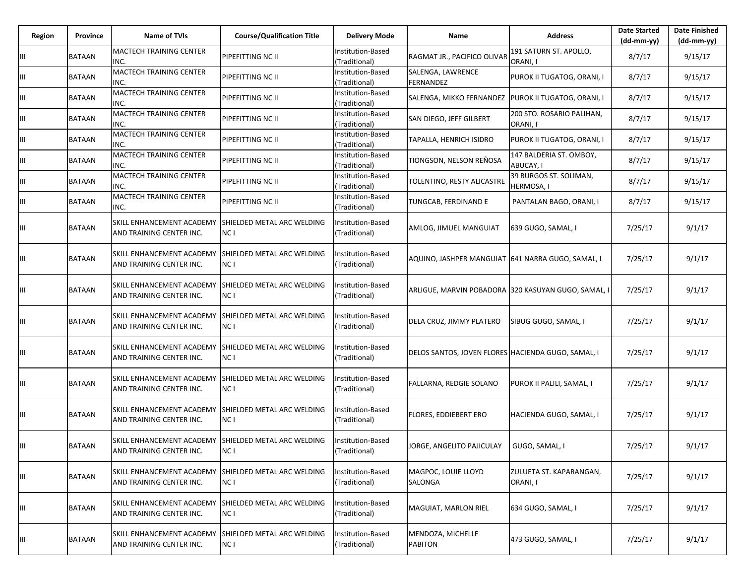| Region | Province      | <b>Name of TVIs</b>                                                              | <b>Course/Qualification Title</b>  | <b>Delivery Mode</b>               | Name                                                  | <b>Address</b>                              | <b>Date Started</b><br>(dd-mm-yy) | <b>Date Finished</b><br>(dd-mm-yy) |
|--------|---------------|----------------------------------------------------------------------------------|------------------------------------|------------------------------------|-------------------------------------------------------|---------------------------------------------|-----------------------------------|------------------------------------|
| Ш      | BATAAN        | <b>MACTECH TRAINING CENTER</b><br>INC.                                           | PIPEFITTING NC II                  | Institution-Based<br>(Traditional) | RAGMAT JR., PACIFICO OLIVAF                           | 191 SATURN ST. APOLLO,<br>ORANI, I          | 8/7/17                            | 9/15/17                            |
| Ш      | <b>BATAAN</b> | MACTECH TRAINING CENTER<br>INC.                                                  | PIPEFITTING NC II                  | nstitution-Based<br>(Traditional)  | SALENGA, LAWRENCE<br><b>FERNANDEZ</b>                 | PUROK II TUGATOG, ORANI, I                  | 8/7/17                            | 9/15/17                            |
| Ш      | <b>BATAAN</b> | MACTECH TRAINING CENTER<br>INC.                                                  | PIPEFITTING NC II                  | Institution-Based<br>(Traditional) | SALENGA, MIKKO FERNANDEZ   PUROK II TUGATOG, ORANI, I |                                             | 8/7/17                            | 9/15/17                            |
| Ш      | <b>BATAAN</b> | MACTECH TRAINING CENTER<br>INC.                                                  | PIPEFITTING NC II                  | Institution-Based<br>(Traditional) | SAN DIEGO, JEFF GILBERT                               | 200 STO. ROSARIO PALIHAN,<br>ORANI, I       | 8/7/17                            | 9/15/17                            |
| Ш      | <b>BATAAN</b> | <b>MACTECH TRAINING CENTER</b><br>INC.                                           | PIPEFITTING NC II                  | Institution-Based<br>(Traditional) | TAPALLA, HENRICH ISIDRO                               | PUROK II TUGATOG, ORANI, I                  | 8/7/17                            | 9/15/17                            |
| Ш      | <b>BATAAN</b> | MACTECH TRAINING CENTER<br>INC.                                                  | PIPEFITTING NC II                  | Institution-Based<br>(Traditional) | TIONGSON, NELSON REÑOSA                               | 147 BALDERIA ST. OMBOY,<br>ABUCAY, I        | 8/7/17                            | 9/15/17                            |
| Ш      | <b>BATAAN</b> | MACTECH TRAINING CENTER<br>INC.                                                  | PIPEFITTING NC II                  | Institution-Based<br>(Traditional) | TOLENTINO, RESTY ALICASTRE                            | 39 BURGOS ST. SOLIMAN,<br><b>HERMOSA, I</b> | 8/7/17                            | 9/15/17                            |
| Ш      | <b>BATAAN</b> | MACTECH TRAINING CENTER<br>INC.                                                  | PIPEFITTING NC II                  | Institution-Based<br>(Traditional) | TUNGCAB, FERDINAND E                                  | PANTALAN BAGO, ORANI, I                     | 8/7/17                            | 9/15/17                            |
| Ш      | <b>BATAAN</b> | SKILL ENHANCEMENT ACADEMY<br>AND TRAINING CENTER INC.                            | SHIELDED METAL ARC WELDING<br>NC I | Institution-Based<br>(Traditional) | AMLOG, JIMUEL MANGUIAT                                | 639 GUGO, SAMAL, I                          | 7/25/17                           | 9/1/17                             |
| Ш      | <b>BATAAN</b> | SKILL ENHANCEMENT ACADEMY<br>AND TRAINING CENTER INC.                            | SHIELDED METAL ARC WELDING<br>NC I | Institution-Based<br>(Traditional) | AQUINO, JASHPER MANGUIAT  641 NARRA GUGO, SAMAL, I    |                                             | 7/25/17                           | 9/1/17                             |
| Ш      | BATAAN        | SKILL ENHANCEMENT ACADEMY<br>AND TRAINING CENTER INC.                            | SHIELDED METAL ARC WELDING<br>NC I | Institution-Based<br>(Traditional) | ARLIGUE, MARVIN POBADORA 320 KASUYAN GUGO, SAMAL, I   |                                             | 7/25/17                           | 9/1/17                             |
| Ш      | BATAAN        | SKILL ENHANCEMENT ACADEMY<br>AND TRAINING CENTER INC.                            | SHIELDED METAL ARC WELDING<br>NC I | Institution-Based<br>(Traditional) | DELA CRUZ, JIMMY PLATERO                              | SIBUG GUGO, SAMAL, I                        | 7/25/17                           | 9/1/17                             |
| Ш      | <b>BATAAN</b> | SKILL ENHANCEMENT ACADEMY<br>AND TRAINING CENTER INC.                            | SHIELDED METAL ARC WELDING<br>NC I | Institution-Based<br>(Traditional) | DELOS SANTOS, JOVEN FLORES HACIENDA GUGO, SAMAL, I    |                                             | 7/25/17                           | 9/1/17                             |
| Ш      | <b>BATAAN</b> | SKILL ENHANCEMENT ACADEMY<br>AND TRAINING CENTER INC.                            | SHIELDED METAL ARC WELDING<br>NC I | Institution-Based<br>(Traditional) | FALLARNA, REDGIE SOLANO                               | PUROK II PALILI, SAMAL, I                   | 7/25/17                           | 9/1/17                             |
| Ш      | <b>BATAAN</b> | SKILL ENHANCEMENT ACADEMY<br>AND TRAINING CENTER INC.                            | SHIELDED METAL ARC WELDING<br>NC I | nstitution-Based<br>(Traditional)  | FLORES, EDDIEBERT ERO                                 | HACIENDA GUGO, SAMAL, I                     | 7/25/17                           | 9/1/17                             |
|        | <b>BATAAN</b> | SKILL ENHANCEMENT ACADEMY SHIELDED METAL ARC WELDING<br>AND TRAINING CENTER INC. | NC I                               | Institution-Based<br>(Traditional) | JORGE, ANGELITO PAJICULAY                             | GUGO, SAMAL, I                              | 7/25/17                           | 9/1/17                             |
| Ш      | <b>BATAAN</b> | SKILL ENHANCEMENT ACADEMY<br>AND TRAINING CENTER INC.                            | SHIELDED METAL ARC WELDING<br>NC I | nstitution-Based<br>(Traditional)  | MAGPOC, LOUIE LLOYD<br>SALONGA                        | ZULUETA ST. KAPARANGAN,<br>ORANI, I         | 7/25/17                           | 9/1/17                             |
| Ш      | BATAAN        | SKILL ENHANCEMENT ACADEMY<br>AND TRAINING CENTER INC.                            | SHIELDED METAL ARC WELDING<br>NC I | Institution-Based<br>(Traditional) | MAGUIAT, MARLON RIEL                                  | 634 GUGO, SAMAL, I                          | 7/25/17                           | 9/1/17                             |
| Ш      | <b>BATAAN</b> | SKILL ENHANCEMENT ACADEMY<br>AND TRAINING CENTER INC.                            | SHIELDED METAL ARC WELDING<br>NC I | nstitution-Based<br>(Traditional)  | MENDOZA, MICHELLE<br><b>PABITON</b>                   | 473 GUGO, SAMAL, I                          | 7/25/17                           | 9/1/17                             |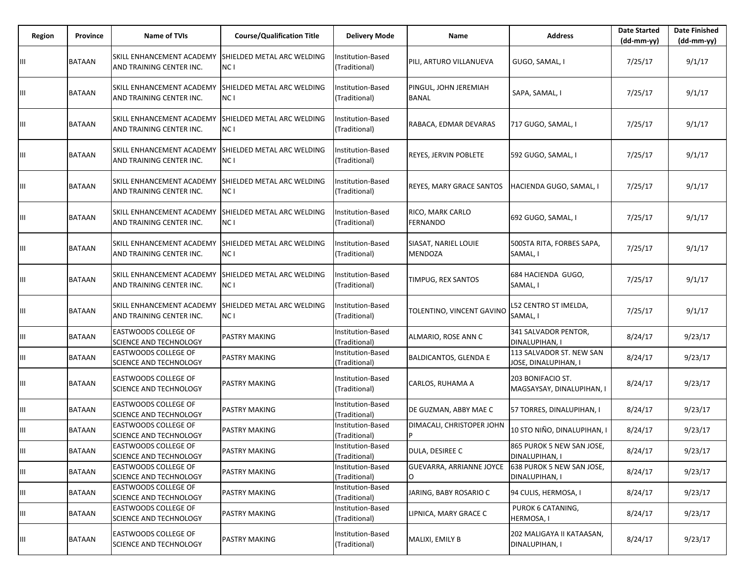| Region | Province      | <b>Name of TVIs</b>                                   | <b>Course/Qualification Title</b>                    | <b>Delivery Mode</b>                      | Name                                   | <b>Address</b>                                   | <b>Date Started</b><br>(dd-mm-yy) | <b>Date Finished</b><br>(dd-mm-yy) |
|--------|---------------|-------------------------------------------------------|------------------------------------------------------|-------------------------------------------|----------------------------------------|--------------------------------------------------|-----------------------------------|------------------------------------|
| Ш      | <b>BATAAN</b> | SKILL ENHANCEMENT ACADEMY<br>AND TRAINING CENTER INC. | SHIELDED METAL ARC WELDING<br>NC I                   | <b>Institution-Based</b><br>(Traditional) | PILI, ARTURO VILLANUEVA                | GUGO, SAMAL, I                                   | 7/25/17                           | 9/1/17                             |
| Ш      | <b>BATAAN</b> | SKILL ENHANCEMENT ACADEMY<br>AND TRAINING CENTER INC. | SHIELDED METAL ARC WELDING<br>NC I                   | Institution-Based<br>(Traditional)        | PINGUL, JOHN JEREMIAH<br><b>BANAL</b>  | SAPA, SAMAL, I                                   | 7/25/17                           | 9/1/17                             |
| Ш      | <b>BATAAN</b> | SKILL ENHANCEMENT ACADEMY<br>AND TRAINING CENTER INC. | <b>SHIELDED METAL ARC WELDING</b><br>NC <sub>1</sub> | Institution-Based<br>(Traditional)        | RABACA, EDMAR DEVARAS                  | 717 GUGO, SAMAL, I                               | 7/25/17                           | 9/1/17                             |
| Ш      | <b>BATAAN</b> | SKILL ENHANCEMENT ACADEMY<br>AND TRAINING CENTER INC. | SHIELDED METAL ARC WELDING<br>NC I                   | Institution-Based<br>(Traditional)        | REYES, JERVIN POBLETE                  | 592 GUGO, SAMAL, I                               | 7/25/17                           | 9/1/17                             |
| Ш      | <b>BATAAN</b> | SKILL ENHANCEMENT ACADEMY<br>AND TRAINING CENTER INC. | ISHIELDED METAL ARC WELDING<br>NC I                  | Institution-Based<br>(Traditional)        | REYES, MARY GRACE SANTOS               | HACIENDA GUGO, SAMAL, I                          | 7/25/17                           | 9/1/17                             |
| Ш      | <b>BATAAN</b> | SKILL ENHANCEMENT ACADEMY<br>AND TRAINING CENTER INC. | SHIELDED METAL ARC WELDING<br>NC I                   | <b>Institution-Based</b><br>(Traditional) | RICO, MARK CARLO<br><b>FERNANDO</b>    | 692 GUGO, SAMAL, I                               | 7/25/17                           | 9/1/17                             |
| Ш      | <b>BATAAN</b> | SKILL ENHANCEMENT ACADEMY<br>AND TRAINING CENTER INC. | <b>SHIELDED METAL ARC WELDING</b><br>NC I            | Institution-Based<br>(Traditional)        | SIASAT, NARIEL LOUIE<br><b>MENDOZA</b> | 500STA RITA, FORBES SAPA,<br>SAMAL, I            | 7/25/17                           | 9/1/17                             |
| Ш      | <b>BATAAN</b> | SKILL ENHANCEMENT ACADEMY<br>AND TRAINING CENTER INC. | SHIELDED METAL ARC WELDING<br>NC I                   | Institution-Based<br>(Traditional)        | TIMPUG, REX SANTOS                     | 684 HACIENDA GUGO,<br>SAMAL, I                   | 7/25/17                           | 9/1/17                             |
| Ш      | <b>BATAAN</b> | SKILL ENHANCEMENT ACADEMY<br>AND TRAINING CENTER INC. | SHIELDED METAL ARC WELDING<br>NC I                   | Institution-Based<br>(Traditional)        | TOLENTINO, VINCENT GAVINO              | L52 CENTRO ST IMELDA,<br>SAMAL, I                | 7/25/17                           | 9/1/17                             |
| Ш      | <b>BATAAN</b> | EASTWOODS COLLEGE OF<br>SCIENCE AND TECHNOLOGY        | PASTRY MAKING                                        | Institution-Based<br>(Traditional)        | ALMARIO, ROSE ANN C                    | 341 SALVADOR PENTOR,<br>DINALUPIHAN, I           | 8/24/17                           | 9/23/17                            |
| Ш      | <b>BATAAN</b> | EASTWOODS COLLEGE OF<br>SCIENCE AND TECHNOLOGY        | PASTRY MAKING                                        | Institution-Based<br>(Traditional)        | <b>BALDICANTOS, GLENDA E</b>           | 113 SALVADOR ST. NEW SAN<br>JOSE, DINALUPIHAN, I | 8/24/17                           | 9/23/17                            |
| Ш      | <b>BATAAN</b> | EASTWOODS COLLEGE OF<br><b>SCIENCE AND TECHNOLOGY</b> | <b>PASTRY MAKING</b>                                 | Institution-Based<br>(Traditional)        | CARLOS, RUHAMA A                       | 203 BONIFACIO ST.<br>MAGSAYSAY, DINALUPIHAN, I   | 8/24/17                           | 9/23/17                            |
| Ш      | <b>BATAAN</b> | EASTWOODS COLLEGE OF<br><b>SCIENCE AND TECHNOLOGY</b> | PASTRY MAKING                                        | Institution-Based<br>(Traditional)        | DE GUZMAN, ABBY MAE C                  | 57 TORRES, DINALUPIHAN, I                        | 8/24/17                           | 9/23/17                            |
| Ш      | <b>BATAAN</b> | EASTWOODS COLLEGE OF<br>SCIENCE AND TECHNOLOGY        | PASTRY MAKING                                        | Institution-Based<br>(Traditional)        | DIMACALI, CHRISTOPER JOHN<br>P         | 10 STO NIÑO, DINALUPIHAN, I                      | 8/24/17                           | 9/23/17                            |
| IШ     | <b>BATAAN</b> | EASTWOODS COLLEGE OF<br><b>SCIENCE AND TECHNOLOGY</b> | <b>PASTRY MAKING</b>                                 | Institution-Based<br>(Traditional)        | DULA, DESIREE C                        | 865 PUROK 5 NEW SAN JOSE,<br>DINALUPIHAN, I      | 8/24/17                           | 9/23/17                            |
| Ш      | <b>BATAAN</b> | <b>EASTWOODS COLLEGE OF</b><br>SCIENCE AND TECHNOLOGY | <b>PASTRY MAKING</b>                                 | Institution-Based<br>(Traditional)        | GUEVARRA, ARRIANNE JOYCE               | 638 PUROK 5 NEW SAN JOSE,<br>DINALUPIHAN, I      | 8/24/17                           | 9/23/17                            |
| Ш      | <b>BATAAN</b> | EASTWOODS COLLEGE OF<br>SCIENCE AND TECHNOLOGY        | <b>PASTRY MAKING</b>                                 | Institution-Based<br>(Traditional)        | JARING, BABY ROSARIO C                 | 94 CULIS, HERMOSA, I                             | 8/24/17                           | 9/23/17                            |
| Ш      | <b>BATAAN</b> | EASTWOODS COLLEGE OF<br><b>SCIENCE AND TECHNOLOGY</b> | <b>PASTRY MAKING</b>                                 | Institution-Based<br>(Traditional)        | LIPNICA, MARY GRACE C                  | PUROK 6 CATANING,<br>HERMOSA, I                  | 8/24/17                           | 9/23/17                            |
| Ш      | <b>BATAAN</b> | EASTWOODS COLLEGE OF<br><b>SCIENCE AND TECHNOLOGY</b> | <b>PASTRY MAKING</b>                                 | Institution-Based<br>(Traditional)        | MALIXI, EMILY B                        | 202 MALIGAYA II KATAASAN,<br>DINALUPIHAN, I      | 8/24/17                           | 9/23/17                            |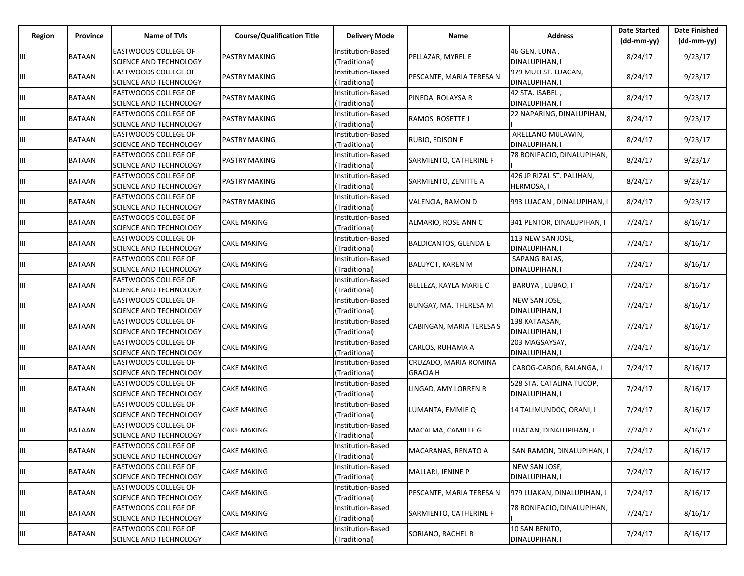| Region | Province | Name of TVIs                                                 | <b>Course/Qualification Title</b> | <b>Delivery Mode</b>               | Name                                     | <b>Address</b>                                 | <b>Date Started</b><br>$(dd-mm-yy)$ | <b>Date Finished</b><br>(dd-mm-yy) |
|--------|----------|--------------------------------------------------------------|-----------------------------------|------------------------------------|------------------------------------------|------------------------------------------------|-------------------------------------|------------------------------------|
| Ш      | BATAAN   | <b>EASTWOODS COLLEGE OF</b><br>SCIENCE AND TECHNOLOGY        | <b>PASTRY MAKING</b>              | Institution-Based<br>(Traditional) | PELLAZAR, MYREL E                        | 46 GEN. LUNA,<br>DINALUPIHAN, I                | 8/24/17                             | 9/23/17                            |
| Ш      | BATAAN   | <b>EASTWOODS COLLEGE OF</b><br>SCIENCE AND TECHNOLOGY        | <b>PASTRY MAKING</b>              | nstitution-Based<br>(Traditional)  | PESCANTE, MARIA TERESA N                 | 979 MULI ST. LUACAN,<br>DINALUPIHAN, I         | 8/24/17                             | 9/23/17                            |
| Ш      | BATAAN   | EASTWOODS COLLEGE OF<br>SCIENCE AND TECHNOLOGY               | PASTRY MAKING                     | Institution-Based<br>(Traditional) | PINEDA, ROLAYSA R                        | 42 STA. ISABEL,<br>DINALUPIHAN, I              | 8/24/17                             | 9/23/17                            |
| Ш      | BATAAN   | EASTWOODS COLLEGE OF<br><b>SCIENCE AND TECHNOLOGY</b>        | <b>PASTRY MAKING</b>              | Institution-Based<br>(Traditional) | RAMOS, ROSETTE J                         | 22 NAPARING, DINALUPIHAN,                      | 8/24/17                             | 9/23/17                            |
| Ш      | BATAAN   | EASTWOODS COLLEGE OF<br><b>SCIENCE AND TECHNOLOGY</b>        | <b>PASTRY MAKING</b>              | Institution-Based<br>(Traditional) | RUBIO, EDISON E                          | ARELLANO MULAWIN,<br>DINALUPIHAN, I            | 8/24/17                             | 9/23/17                            |
| Ш      | BATAAN   | EASTWOODS COLLEGE OF<br>SCIENCE AND TECHNOLOGY               | <b>PASTRY MAKING</b>              | Institution-Based<br>(Traditional) | SARMIENTO, CATHERINE F                   | 78 BONIFACIO, DINALUPIHAN,                     | 8/24/17                             | 9/23/17                            |
| Ш      | BATAAN   | EASTWOODS COLLEGE OF<br>SCIENCE AND TECHNOLOGY               | <b>PASTRY MAKING</b>              | Institution-Based<br>(Traditional) | SARMIENTO, ZENITTE A                     | 426 JP RIZAL ST. PALIHAN,<br><b>HERMOSA, I</b> | 8/24/17                             | 9/23/17                            |
| Ш      | BATAAN   | EASTWOODS COLLEGE OF<br><b>SCIENCE AND TECHNOLOGY</b>        | <b>PASTRY MAKING</b>              | Institution-Based<br>(Traditional) | VALENCIA, RAMON D                        | 993 LUACAN, DINALUPIHAN, I                     | 8/24/17                             | 9/23/17                            |
| Ш      | BATAAN   | EASTWOODS COLLEGE OF<br>SCIENCE AND TECHNOLOGY               | CAKE MAKING                       | Institution-Based<br>(Traditional) | ALMARIO, ROSE ANN C                      | 341 PENTOR, DINALUPIHAN, I                     | 7/24/17                             | 8/16/17                            |
| Ш      | BATAAN   | EASTWOODS COLLEGE OF<br><b>SCIENCE AND TECHNOLOGY</b>        | <b>CAKE MAKING</b>                | Institution-Based<br>(Traditional) | BALDICANTOS, GLENDA E                    | 113 NEW SAN JOSE,<br>DINALUPIHAN, I            | 7/24/17                             | 8/16/17                            |
| Ш      | BATAAN   | EASTWOODS COLLEGE OF<br><b>SCIENCE AND TECHNOLOGY</b>        | <b>CAKE MAKING</b>                | Institution-Based<br>(Traditional) | BALUYOT, KAREN M                         | SAPANG BALAS,<br>DINALUPIHAN, I                | 7/24/17                             | 8/16/17                            |
| Ш      | BATAAN   | <b>EASTWOODS COLLEGE OF</b><br>SCIENCE AND TECHNOLOGY        | <b>CAKE MAKING</b>                | Institution-Based<br>(Traditional) | BELLEZA, KAYLA MARIE C                   | BARUYA, LUBAO, I                               | 7/24/17                             | 8/16/17                            |
| Ш      | BATAAN   | EASTWOODS COLLEGE OF<br>SCIENCE AND TECHNOLOGY               | <b>CAKE MAKING</b>                | Institution-Based<br>(Traditional) | BUNGAY, MA. THERESA M                    | NEW SAN JOSE,<br>DINALUPIHAN, I                | 7/24/17                             | 8/16/17                            |
| Ш      | BATAAN   | EASTWOODS COLLEGE OF<br><b>SCIENCE AND TECHNOLOGY</b>        | <b>CAKE MAKING</b>                | Institution-Based<br>(Traditional) | CABINGAN, MARIA TERESA S                 | 138 KATAASAN,<br>DINALUPIHAN, I                | 7/24/17                             | 8/16/17                            |
| Ш      | BATAAN   | EASTWOODS COLLEGE OF<br>SCIENCE AND TECHNOLOGY               | <b>CAKE MAKING</b>                | Institution-Based<br>(Traditional) | CARLOS, RUHAMA A                         | 203 MAGSAYSAY,<br>DINALUPIHAN, I               | 7/24/17                             | 8/16/17                            |
| Ш      | BATAAN   | EASTWOODS COLLEGE OF<br>SCIENCE AND TECHNOLOGY               | CAKE MAKING                       | Institution-Based<br>(Traditional) | CRUZADO, MARIA ROMINA<br><b>GRACIA H</b> | CABOG-CABOG, BALANGA, I                        | 7/24/17                             | 8/16/17                            |
| Ш      | BATAAN   | EASTWOODS COLLEGE OF<br><b>SCIENCE AND TECHNOLOGY</b>        | <b>CAKE MAKING</b>                | Institution-Based<br>(Traditional) | LINGAD, AMY LORREN R                     | 528 STA. CATALINA TUCOP,<br>DINALUPIHAN, I     | 7/24/17                             | 8/16/17                            |
| Ш      | BATAAN   | EASTWOODS COLLEGE OF<br>SCIENCE AND TECHNOLOGY               | <b>CAKE MAKING</b>                | Institution-Based<br>(Traditional) | LUMANTA, EMMIE Q                         | 14 TALIMUNDOC, ORANI, I                        | 7/24/17                             | 8/16/17                            |
| Ш      | BATAAN   | EASTWOODS COLLEGE OF<br>SCIENCE AND TECHNOLOGY               | <b>CAKE MAKING</b>                | Institution-Based<br>(Traditional) | MACALMA, CAMILLE G                       | LUACAN, DINALUPIHAN, I                         | 7/24/17                             | 8/16/17                            |
| Ш      | BATAAN   | <b>EASTWOODS COLLEGE OF</b><br><b>SCIENCE AND TECHNOLOGY</b> | <b>CAKE MAKING</b>                | Institution-Based<br>(Traditional) | MACARANAS, RENATO A                      | SAN RAMON, DINALUPIHAN, I                      | 7/24/17                             | 8/16/17                            |
| Ш      | BATAAN   | EASTWOODS COLLEGE OF<br><b>SCIENCE AND TECHNOLOGY</b>        | <b>CAKE MAKING</b>                | Institution-Based<br>(Traditional) | MALLARI, JENINE P                        | NEW SAN JOSE,<br>DINALUPIHAN, I                | 7/24/17                             | 8/16/17                            |
| Ш      | BATAAN   | EASTWOODS COLLEGE OF<br><b>SCIENCE AND TECHNOLOGY</b>        | <b>CAKE MAKING</b>                | Institution-Based<br>(Traditional) | PESCANTE, MARIA TERESA N                 | 979 LUAKAN, DINALUPIHAN, I                     | 7/24/17                             | 8/16/17                            |
| Ш      | BATAAN   | <b>EASTWOODS COLLEGE OF</b><br><b>SCIENCE AND TECHNOLOGY</b> | <b>CAKE MAKING</b>                | Institution-Based<br>(Traditional) | SARMIENTO, CATHERINE F                   | 78 BONIFACIO, DINALUPIHAN,                     | 7/24/17                             | 8/16/17                            |
| Ш      | BATAAN   | <b>EASTWOODS COLLEGE OF</b><br>SCIENCE AND TECHNOLOGY        | <b>CAKE MAKING</b>                | Institution-Based<br>(Traditional) | SORIANO, RACHEL R                        | 10 SAN BENITO,<br>DINALUPIHAN, I               | 7/24/17                             | 8/16/17                            |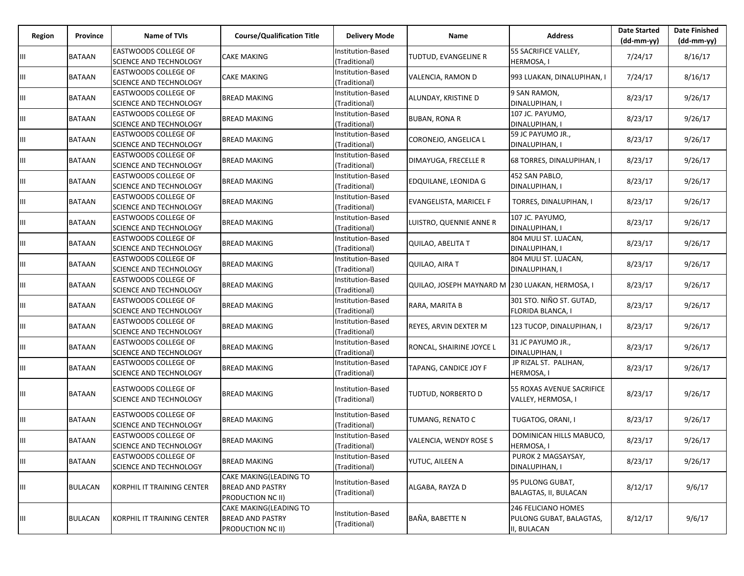| Region | Province       | Name of TVIs                                                 | <b>Course/Qualification Title</b>                                      | <b>Delivery Mode</b>               | Name                                            | <b>Address</b>                                                | <b>Date Started</b><br>$(dd-mm-yy)$ | <b>Date Finished</b><br>(dd-mm-yy) |
|--------|----------------|--------------------------------------------------------------|------------------------------------------------------------------------|------------------------------------|-------------------------------------------------|---------------------------------------------------------------|-------------------------------------|------------------------------------|
| Ш      | BATAAN         | <b>EASTWOODS COLLEGE OF</b><br><b>SCIENCE AND TECHNOLOGY</b> | <b>CAKE MAKING</b>                                                     | Institution-Based<br>(Traditional) | TUDTUD, EVANGELINE R                            | 55 SACRIFICE VALLEY,<br>HERMOSA, I                            | 7/24/17                             | 8/16/17                            |
| Ш      | BATAAN         | <b>EASTWOODS COLLEGE OF</b><br><b>SCIENCE AND TECHNOLOGY</b> | CAKE MAKING                                                            | nstitution-Based<br>Traditional)   | VALENCIA, RAMON D                               | 993 LUAKAN, DINALUPIHAN, I                                    | 7/24/17                             | 8/16/17                            |
| Ш      | <b>BATAAN</b>  | <b>EASTWOODS COLLEGE OF</b><br>SCIENCE AND TECHNOLOGY        | <b>BREAD MAKING</b>                                                    | Institution-Based<br>(Traditional) | ALUNDAY, KRISTINE D                             | 9 SAN RAMON,<br>DINALUPIHAN, I                                | 8/23/17                             | 9/26/17                            |
| Ш      | BATAAN         | <b>EASTWOODS COLLEGE OF</b><br><b>SCIENCE AND TECHNOLOGY</b> | <b>BREAD MAKING</b>                                                    | Institution-Based<br>(Traditional) | <b>BUBAN, RONA R</b>                            | 107 JC. PAYUMO,<br>DINALUPIHAN, I                             | 8/23/17                             | 9/26/17                            |
| Ш      | BATAAN         | <b>EASTWOODS COLLEGE OF</b><br><b>SCIENCE AND TECHNOLOGY</b> | <b>BREAD MAKING</b>                                                    | Institution-Based<br>(Traditional) | CORONEJO, ANGELICA L                            | 59 JC PAYUMO JR.,<br>DINALUPIHAN, I                           | 8/23/17                             | 9/26/17                            |
| Ш      | <b>BATAAN</b>  | <b>EASTWOODS COLLEGE OF</b><br><b>SCIENCE AND TECHNOLOGY</b> | <b>BREAD MAKING</b>                                                    | Institution-Based<br>(Traditional) | DIMAYUGA, FRECELLE R                            | 68 TORRES, DINALUPIHAN, I                                     | 8/23/17                             | 9/26/17                            |
| Ш      | <b>BATAAN</b>  | <b>EASTWOODS COLLEGE OF</b><br><b>SCIENCE AND TECHNOLOGY</b> | <b>BREAD MAKING</b>                                                    | Institution-Based<br>(Traditional) | EDQUILANE, LEONIDA G                            | 452 SAN PABLO,<br>DINALUPIHAN, I                              | 8/23/17                             | 9/26/17                            |
| Ш      | BATAAN         | <b>EASTWOODS COLLEGE OF</b><br><b>SCIENCE AND TECHNOLOGY</b> | <b>BREAD MAKING</b>                                                    | Institution-Based<br>(Traditional) | EVANGELISTA, MARICEL F                          | TORRES, DINALUPIHAN, I                                        | 8/23/17                             | 9/26/17                            |
| Ш      | BATAAN         | <b>EASTWOODS COLLEGE OF</b><br><b>SCIENCE AND TECHNOLOGY</b> | BREAD MAKING                                                           | Institution-Based<br>(Traditional) | LUISTRO, QUENNIE ANNE R                         | 107 JC. PAYUMO,<br>DINALUPIHAN, I                             | 8/23/17                             | 9/26/17                            |
| Ш      | <b>BATAAN</b>  | <b>EASTWOODS COLLEGE OF</b><br><b>SCIENCE AND TECHNOLOGY</b> | <b>BREAD MAKING</b>                                                    | Institution-Based<br>(Traditional) | QUILAO, ABELITA T                               | 804 MULI ST. LUACAN,<br>DINALUPIHAN, I                        | 8/23/17                             | 9/26/17                            |
| Ш      | BATAAN         | <b>EASTWOODS COLLEGE OF</b><br><b>SCIENCE AND TECHNOLOGY</b> | <b>BREAD MAKING</b>                                                    | Institution-Based<br>(Traditional) | QUILAO, AIRA T                                  | 804 MULI ST. LUACAN,<br>DINALUPIHAN, I                        | 8/23/17                             | 9/26/17                            |
| Ш      | BATAAN         | <b>EASTWOODS COLLEGE OF</b><br><b>SCIENCE AND TECHNOLOGY</b> | BREAD MAKING                                                           | Institution-Based<br>(Traditional) | QUILAO, JOSEPH MAYNARD M 230 LUAKAN, HERMOSA, I |                                                               | 8/23/17                             | 9/26/17                            |
| Ш      | <b>BATAAN</b>  | <b>EASTWOODS COLLEGE OF</b><br>SCIENCE AND TECHNOLOGY        | <b>BREAD MAKING</b>                                                    | Institution-Based<br>(Traditional) | RARA, MARITA B                                  | 301 STO. NIÑO ST. GUTAD,<br>FLORIDA BLANCA, I                 | 8/23/17                             | 9/26/17                            |
| Ш      | <b>BATAAN</b>  | <b>EASTWOODS COLLEGE OF</b><br><b>SCIENCE AND TECHNOLOGY</b> | <b>BREAD MAKING</b>                                                    | Institution-Based<br>(Traditional) | REYES, ARVIN DEXTER M                           | 123 TUCOP, DINALUPIHAN, I                                     | 8/23/17                             | 9/26/17                            |
| Ш      | BATAAN         | <b>EASTWOODS COLLEGE OF</b><br>SCIENCE AND TECHNOLOGY        | <b>BREAD MAKING</b>                                                    | Institution-Based<br>(Traditional) | RONCAL, SHAIRINE JOYCE L                        | 31 JC PAYUMO JR.,<br>DINALUPIHAN, I                           | 8/23/17                             | 9/26/17                            |
| Ш      | BATAAN         | <b>EASTWOODS COLLEGE OF</b><br>SCIENCE AND TECHNOLOGY        | BREAD MAKING                                                           | nstitution-Based<br>(Traditional)  | TAPANG, CANDICE JOY F                           | JP RIZAL ST. PALIHAN,<br>HERMOSA, I                           | 8/23/17                             | 9/26/17                            |
| Ш      | BATAAN         | <b>EASTWOODS COLLEGE OF</b><br><b>SCIENCE AND TECHNOLOGY</b> | <b>BREAD MAKING</b>                                                    | Institution-Based<br>(Traditional) | TUDTUD, NORBERTO D                              | 55 ROXAS AVENUE SACRIFICE<br>VALLEY, HERMOSA, I               | 8/23/17                             | 9/26/17                            |
| Ш      | BATAAN         | <b>EASTWOODS COLLEGE OF</b><br>SCIENCE AND TECHNOLOGY        | <b>BREAD MAKING</b>                                                    | Institution-Based<br>(Traditional) | TUMANG, RENATO C                                | TUGATOG, ORANI, I                                             | 8/23/17                             | 9/26/17                            |
| III    | BATAAN         | <b>EASTWOODS COLLEGE OF</b><br><b>SCIENCE AND TECHNOLOGY</b> | <b>BREAD MAKING</b>                                                    | Institution-Based<br>(Traditional) | VALENCIA, WENDY ROSE S                          | DOMINICAN HILLS MABUCO,<br>HERMOSA, I                         | 8/23/17                             | 9/26/17                            |
| ШL     | BATAAN         | <b>EASTWOODS COLLEGE OF</b><br><b>SCIENCE AND TECHNOLOGY</b> | <b>BREAD MAKING</b>                                                    | Institution-Based<br>(Traditional) | YUTUC, AILEEN A                                 | PUROK 2 MAGSAYSAY,<br>DINALUPIHAN, I                          | 8/23/17                             | 9/26/17                            |
| Ш      | <b>BULACAN</b> | KORPHIL IT TRAINING CENTER                                   | CAKE MAKING(LEADING TO<br><b>BREAD AND PASTRY</b><br>PRODUCTION NC II) | Institution-Based<br>(Traditional) | ALGABA, RAYZA D                                 | 95 PULONG GUBAT,<br>BALAGTAS, II, BULACAN                     | 8/12/17                             | 9/6/17                             |
| Ш      | <b>BULACAN</b> | KORPHIL IT TRAINING CENTER                                   | CAKE MAKING(LEADING TO<br><b>BREAD AND PASTRY</b><br>PRODUCTION NC II) | Institution-Based<br>(Traditional) | BAÑA, BABETTE N                                 | 246 FELICIANO HOMES<br>PULONG GUBAT, BALAGTAS,<br>II, BULACAN | 8/12/17                             | 9/6/17                             |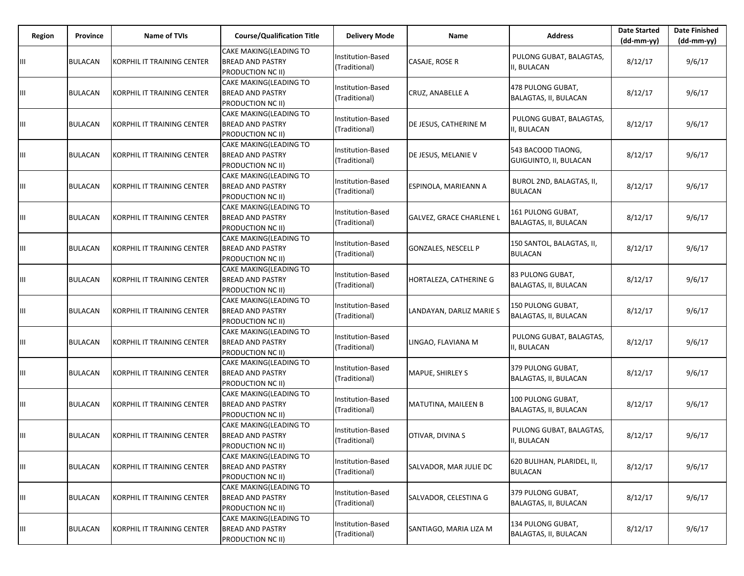| Region | Province       | <b>Name of TVIs</b>                | <b>Course/Qualification Title</b>                                      | <b>Delivery Mode</b>                      | Name                       | <b>Address</b>                               | <b>Date Started</b><br>$(dd-mm-yy)$ | <b>Date Finished</b><br>$(dd-mm-yy)$ |
|--------|----------------|------------------------------------|------------------------------------------------------------------------|-------------------------------------------|----------------------------|----------------------------------------------|-------------------------------------|--------------------------------------|
| Ш      | <b>BULACAN</b> | KORPHIL IT TRAINING CENTER         | CAKE MAKING(LEADING TO<br><b>BREAD AND PASTRY</b><br>PRODUCTION NC II) | Institution-Based<br>(Traditional)        | CASAJE, ROSE R             | PULONG GUBAT, BALAGTAS,<br>II, BULACAN       | 8/12/17                             | 9/6/17                               |
| Ш      | <b>BULACAN</b> | KORPHIL IT TRAINING CENTER         | CAKE MAKING(LEADING TO<br><b>BREAD AND PASTRY</b><br>PRODUCTION NC II) | Institution-Based<br>(Traditional)        | CRUZ, ANABELLE A           | 478 PULONG GUBAT,<br>BALAGTAS, II, BULACAN   | 8/12/17                             | 9/6/17                               |
| Ш      | <b>BULACAN</b> | <b>IKORPHIL IT TRAINING CENTER</b> | CAKE MAKING(LEADING TO<br><b>BREAD AND PASTRY</b><br>PRODUCTION NC II) | Institution-Based<br>(Traditional)        | DE JESUS, CATHERINE M      | PULONG GUBAT, BALAGTAS,<br>II, BULACAN       | 8/12/17                             | 9/6/17                               |
| Ш      | <b>BULACAN</b> | KORPHIL IT TRAINING CENTER         | CAKE MAKING(LEADING TO<br><b>BREAD AND PASTRY</b><br>PRODUCTION NC II) | Institution-Based<br>(Traditional)        | DE JESUS, MELANIE V        | 543 BACOOD TIAONG,<br>GUIGUINTO, II, BULACAN | 8/12/17                             | 9/6/17                               |
| Ш      | <b>BULACAN</b> | KORPHIL IT TRAINING CENTER         | CAKE MAKING(LEADING TO<br><b>BREAD AND PASTRY</b><br>PRODUCTION NC II) | Institution-Based<br>(Traditional)        | ESPINOLA, MARIEANN A       | BUROL 2ND, BALAGTAS, II,<br><b>BULACAN</b>   | 8/12/17                             | 9/6/17                               |
| Ш      | <b>BULACAN</b> | KORPHIL IT TRAINING CENTER         | CAKE MAKING(LEADING TO<br>BREAD AND PASTRY<br>PRODUCTION NC II)        | Institution-Based<br>(Traditional)        | GALVEZ, GRACE CHARLENE L   | 161 PULONG GUBAT,<br>BALAGTAS, II, BULACAN   | 8/12/17                             | 9/6/17                               |
| Ш      | <b>BULACAN</b> | <b>IKORPHIL IT TRAINING CENTER</b> | CAKE MAKING(LEADING TO<br><b>BREAD AND PASTRY</b><br>PRODUCTION NC II) | Institution-Based<br>(Traditional)        | <b>GONZALES, NESCELL P</b> | 150 SANTOL, BALAGTAS, II,<br><b>BULACAN</b>  | 8/12/17                             | 9/6/17                               |
| Ш      | <b>BULACAN</b> | KORPHIL IT TRAINING CENTER         | CAKE MAKING(LEADING TO<br>BREAD AND PASTRY<br>PRODUCTION NC II)        | Institution-Based<br>(Traditional)        | HORTALEZA, CATHERINE G     | 83 PULONG GUBAT,<br>BALAGTAS, II, BULACAN    | 8/12/17                             | 9/6/17                               |
| Ш      | <b>BULACAN</b> | KORPHIL IT TRAINING CENTER         | CAKE MAKING(LEADING TO<br><b>BREAD AND PASTRY</b><br>PRODUCTION NC II) | <b>Institution-Based</b><br>(Traditional) | LANDAYAN, DARLIZ MARIE S   | 150 PULONG GUBAT,<br>BALAGTAS, II, BULACAN   | 8/12/17                             | 9/6/17                               |
| Ш      | <b>BULACAN</b> | KORPHIL IT TRAINING CENTER         | CAKE MAKING(LEADING TO<br>BREAD AND PASTRY<br>PRODUCTION NC II)        | Institution-Based<br>(Traditional)        | LINGAO, FLAVIANA M         | PULONG GUBAT, BALAGTAS,<br>I, BULACAN        | 8/12/17                             | 9/6/17                               |
| Ш      | <b>BULACAN</b> | KORPHIL IT TRAINING CENTER         | CAKE MAKING(LEADING TO<br><b>BREAD AND PASTRY</b><br>PRODUCTION NC II) | Institution-Based<br>(Traditional)        | MAPUE, SHIRLEY S           | 379 PULONG GUBAT,<br>BALAGTAS, II, BULACAN   | 8/12/17                             | 9/6/17                               |
| Ш      | <b>BULACAN</b> | KORPHIL IT TRAINING CENTER         | CAKE MAKING(LEADING TO<br><b>BREAD AND PASTRY</b><br>PRODUCTION NC II) | Institution-Based<br>(Traditional)        | <b>MATUTINA, MAILEEN B</b> | 100 PULONG GUBAT,<br>BALAGTAS, II, BULACAN   | 8/12/17                             | 9/6/17                               |
| Ш      | <b>BULACAN</b> | KORPHIL IT TRAINING CENTER         | CAKE MAKING(LEADING TO<br>BREAD AND PASTRY<br>PRODUCTION NC II)        | nstitution-Based<br>(Traditional)         | OTIVAR, DIVINA S           | PULONG GUBAT, BALAGTAS,<br>II, BULACAN       | 8/12/17                             | 9/6/17                               |
| Ш      | <b>BULACAN</b> | KORPHIL IT TRAINING CENTER         | CAKE MAKING(LEADING TO<br><b>BREAD AND PASTRY</b><br>PRODUCTION NC II) | Institution-Based<br>(Traditional)        | SALVADOR, MAR JULIE DC     | 620 BULIHAN, PLARIDEL, II,<br><b>BULACAN</b> | 8/12/17                             | 9/6/17                               |
| Ш      | <b>BULACAN</b> | KORPHIL IT TRAINING CENTER         | CAKE MAKING(LEADING TO<br><b>BREAD AND PASTRY</b><br>PRODUCTION NC II) | Institution-Based<br>(Traditional)        | SALVADOR, CELESTINA G      | 379 PULONG GUBAT,<br>BALAGTAS, II, BULACAN   | 8/12/17                             | 9/6/17                               |
| Ш      | <b>BULACAN</b> | KORPHIL IT TRAINING CENTER         | CAKE MAKING(LEADING TO<br><b>BREAD AND PASTRY</b><br>PRODUCTION NC II) | Institution-Based<br>(Traditional)        | SANTIAGO, MARIA LIZA M     | 134 PULONG GUBAT,<br>BALAGTAS, II, BULACAN   | 8/12/17                             | 9/6/17                               |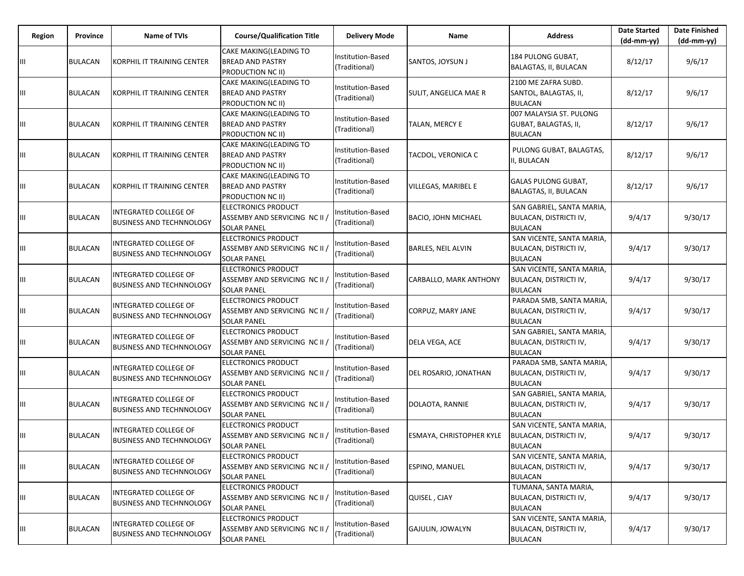| Region | Province       | Name of TVIs                                                   | <b>Course/Qualification Title</b>                                                    | <b>Delivery Mode</b>               | Name                      | <b>Address</b>                                                               | <b>Date Started</b><br>$(dd-mm-yy)$ | <b>Date Finished</b><br>$(dd-mm-yy)$ |
|--------|----------------|----------------------------------------------------------------|--------------------------------------------------------------------------------------|------------------------------------|---------------------------|------------------------------------------------------------------------------|-------------------------------------|--------------------------------------|
| Ш      | <b>BULACAN</b> | KORPHIL IT TRAINING CENTER                                     | CAKE MAKING(LEADING TO<br><b>BREAD AND PASTRY</b><br><b>PRODUCTION NC II)</b>        | Institution-Based<br>(Traditional) | SANTOS, JOYSUN J          | 184 PULONG GUBAT,<br>BALAGTAS, II, BULACAN                                   | 8/12/17                             | 9/6/17                               |
| Ш      | <b>BULACAN</b> | KORPHIL IT TRAINING CENTER                                     | <b>CAKE MAKING(LEADING TO</b><br><b>BREAD AND PASTRY</b><br><b>PRODUCTION NC II)</b> | Institution-Based<br>(Traditional) | SULIT, ANGELICA MAE R     | 2100 ME ZAFRA SUBD.<br>SANTOL, BALAGTAS, II,<br><b>BULACAN</b>               | 8/12/17                             | 9/6/17                               |
| Ш      | <b>BULACAN</b> | KORPHIL IT TRAINING CENTER                                     | CAKE MAKING(LEADING TO<br><b>BREAD AND PASTRY</b><br><b>PRODUCTION NC II)</b>        | Institution-Based<br>(Traditional) | TALAN, MERCY E            | 007 MALAYSIA ST. PULONG<br>GUBAT, BALAGTAS, II,<br><b>BULACAN</b>            | 8/12/17                             | 9/6/17                               |
| Ш      | BULACAN        | KORPHIL IT TRAINING CENTER                                     | CAKE MAKING(LEADING TO<br><b>BREAD AND PASTRY</b><br><b>PRODUCTION NC II)</b>        | Institution-Based<br>(Traditional) | TACDOL, VERONICA C        | PULONG GUBAT, BALAGTAS,<br>I, BULACAN                                        | 8/12/17                             | 9/6/17                               |
| Ш      | <b>BULACAN</b> | KORPHIL IT TRAINING CENTER                                     | CAKE MAKING(LEADING TO<br><b>BREAD AND PASTRY</b><br><b>PRODUCTION NC II)</b>        | Institution-Based<br>(Traditional) | VILLEGAS, MARIBEL E       | <b>GALAS PULONG GUBAT,</b><br>BALAGTAS, II, BULACAN                          | 8/12/17                             | 9/6/17                               |
| Ш      | BULACAN        | INTEGRATED COLLEGE OF<br><b>BUSINESS AND TECHNNOLOGY</b>       | <b>ELECTRONICS PRODUCT</b><br>ASSEMBY AND SERVICING NC II /<br><b>SOLAR PANEL</b>    | Institution-Based<br>(Traditional) | BACIO, JOHN MICHAEL       | SAN GABRIEL, SANTA MARIA,<br>BULACAN, DISTRICTI IV,<br><b>BULACAN</b>        | 9/4/17                              | 9/30/17                              |
| Ш      | <b>BULACAN</b> | INTEGRATED COLLEGE OF<br><b>BUSINESS AND TECHNNOLOGY</b>       | ELECTRONICS PRODUCT<br>ASSEMBY AND SERVICING NC II /<br><b>SOLAR PANEL</b>           | Institution-Based<br>(Traditional) | <b>BARLES, NEIL ALVIN</b> | SAN VICENTE, SANTA MARIA,<br>BULACAN, DISTRICTI IV,<br><b>BULACAN</b>        | 9/4/17                              | 9/30/17                              |
| Ш      | BULACAN        | INTEGRATED COLLEGE OF<br><b>BUSINESS AND TECHNNOLOGY</b>       | <b>ELECTRONICS PRODUCT</b><br>ASSEMBY AND SERVICING NC II /<br><b>SOLAR PANEL</b>    | Institution-Based<br>(Traditional) | CARBALLO, MARK ANTHONY    | SAN VICENTE, SANTA MARIA,<br>BULACAN, DISTRICTI IV,<br><b>BULACAN</b>        | 9/4/17                              | 9/30/17                              |
| Ш      | <b>BULACAN</b> | INTEGRATED COLLEGE OF<br><b>BUSINESS AND TECHNNOLOGY</b>       | <b>ELECTRONICS PRODUCT</b><br>ASSEMBY AND SERVICING NC II /<br><b>SOLAR PANEL</b>    | Institution-Based<br>(Traditional) | CORPUZ, MARY JANE         | PARADA SMB, SANTA MARIA,<br>BULACAN, DISTRICTI IV,<br><b>BULACAN</b>         | 9/4/17                              | 9/30/17                              |
| Ш      | BULACAN        | INTEGRATED COLLEGE OF<br><b>BUSINESS AND TECHNNOLOGY</b>       | <b>ELECTRONICS PRODUCT</b><br>ASSEMBY AND SERVICING NC II /<br><b>SOLAR PANEL</b>    | Institution-Based<br>(Traditional) | DELA VEGA, ACE            | SAN GABRIEL, SANTA MARIA,<br>BULACAN, DISTRICTI IV,<br><b>BULACAN</b>        | 9/4/17                              | 9/30/17                              |
| Ш      | <b>BULACAN</b> | <b>NTEGRATED COLLEGE OF</b><br><b>BUSINESS AND TECHNNOLOGY</b> | <b>ELECTRONICS PRODUCT</b><br>ASSEMBY AND SERVICING NC II /<br><b>SOLAR PANEL</b>    | Institution-Based<br>(Traditional) | DEL ROSARIO, JONATHAN     | PARADA SMB, SANTA MARIA,<br><b>BULACAN, DISTRICTI IV,</b><br><b>BULACAN</b>  | 9/4/17                              | 9/30/17                              |
| Ш      | BULACAN        | INTEGRATED COLLEGE OF<br><b>BUSINESS AND TECHNNOLOGY</b>       | <b>ELECTRONICS PRODUCT</b><br>ASSEMBY AND SERVICING NC II /<br><b>SOLAR PANEL</b>    | Institution-Based<br>(Traditional) | DOLAOTA, RANNIE           | SAN GABRIEL, SANTA MARIA,<br>BULACAN, DISTRICTI IV,<br><b>BULACAN</b>        | 9/4/17                              | 9/30/17                              |
| Ш      | <b>BULACAN</b> | <b>NTEGRATED COLLEGE OF</b><br><b>BUSINESS AND TECHNNOLOGY</b> | <b>ELECTRONICS PRODUCT</b><br>ASSEMBY AND SERVICING NC II /<br><b>SOLAR PANEL</b>    | Institution-Based<br>(Traditional) | ESMAYA, CHRISTOPHER KYLE  | SAN VICENTE, SANTA MARIA,<br><b>BULACAN, DISTRICTI IV,</b><br><b>BULACAN</b> | 9/4/17                              | 9/30/17                              |
| Ш      | <b>BULACAN</b> | INTEGRATED COLLEGE OF<br><b>BUSINESS AND TECHNNOLOGY</b>       | <b>ELECTRONICS PRODUCT</b><br>ASSEMBY AND SERVICING NC II /<br><b>SOLAR PANEL</b>    | Institution-Based<br>(Traditional) | ESPINO, MANUEL            | SAN VICENTE, SANTA MARIA,<br>BULACAN, DISTRICTI IV,<br><b>BULACAN</b>        | 9/4/17                              | 9/30/17                              |
| Ш      | <b>BULACAN</b> | INTEGRATED COLLEGE OF<br><b>BUSINESS AND TECHNNOLOGY</b>       | <b>ELECTRONICS PRODUCT</b><br>ASSEMBY AND SERVICING NC II /<br><b>SOLAR PANEL</b>    | Institution-Based<br>(Traditional) | QUISEL, CJAY              | TUMANA, SANTA MARIA,<br>BULACAN, DISTRICTI IV,<br><b>BULACAN</b>             | 9/4/17                              | 9/30/17                              |
| Ш      | <b>BULACAN</b> | INTEGRATED COLLEGE OF<br><b>BUSINESS AND TECHNNOLOGY</b>       | <b>ELECTRONICS PRODUCT</b><br>ASSEMBY AND SERVICING NC II /<br><b>SOLAR PANEL</b>    | Institution-Based<br>(Traditional) | <b>GAJULIN, JOWALYN</b>   | SAN VICENTE, SANTA MARIA,<br>BULACAN, DISTRICTI IV,<br>BULACAN               | 9/4/17                              | 9/30/17                              |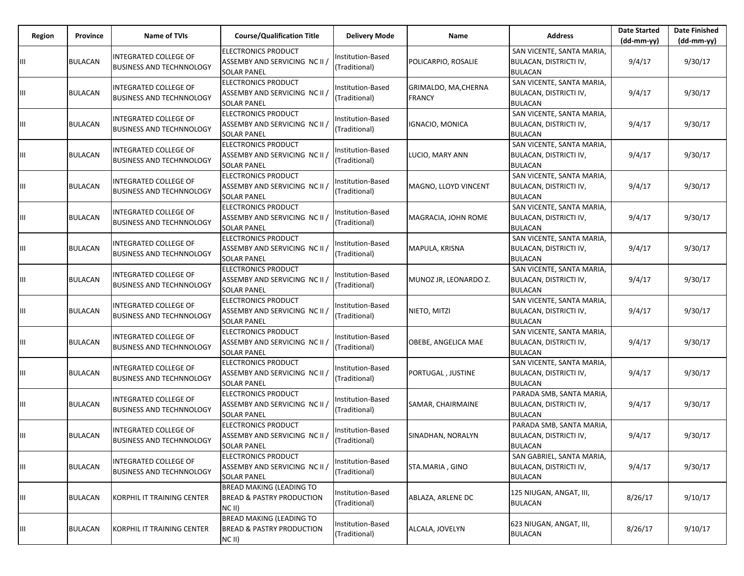| Region | Province       | <b>Name of TVIs</b>                                             | <b>Course/Qualification Title</b>                                                   | <b>Delivery Mode</b>                      | Name                                  | <b>Address</b>                                                        | <b>Date Started</b><br>$(dd-mm-yy)$ | <b>Date Finished</b><br>$(dd-mm-yy)$ |
|--------|----------------|-----------------------------------------------------------------|-------------------------------------------------------------------------------------|-------------------------------------------|---------------------------------------|-----------------------------------------------------------------------|-------------------------------------|--------------------------------------|
| Ш      | <b>BULACAN</b> | <b>INTEGRATED COLLEGE OF</b><br><b>BUSINESS AND TECHNNOLOGY</b> | <b>ELECTRONICS PRODUCT</b><br>ASSEMBY AND SERVICING NC II /<br><b>SOLAR PANEL</b>   | Institution-Based<br>(Traditional)        | POLICARPIO, ROSALIE                   | SAN VICENTE, SANTA MARIA,<br>BULACAN, DISTRICTI IV,<br><b>BULACAN</b> | 9/4/17                              | 9/30/17                              |
| Ш      | <b>BULACAN</b> | INTEGRATED COLLEGE OF<br><b>BUSINESS AND TECHNNOLOGY</b>        | <b>ELECTRONICS PRODUCT</b><br>ASSEMBY AND SERVICING NC II /<br><b>SOLAR PANEL</b>   | Institution-Based<br>(Traditional)        | GRIMALDO, MA, CHERNA<br><b>FRANCY</b> | SAN VICENTE, SANTA MARIA,<br>BULACAN, DISTRICTI IV,<br><b>BULACAN</b> | 9/4/17                              | 9/30/17                              |
| Ш      | <b>BULACAN</b> | INTEGRATED COLLEGE OF<br><b>BUSINESS AND TECHNNOLOGY</b>        | <b>ELECTRONICS PRODUCT</b><br>ASSEMBY AND SERVICING NC II<br><b>SOLAR PANEL</b>     | Institution-Based<br>(Traditional)        | <b>IGNACIO, MONICA</b>                | SAN VICENTE, SANTA MARIA,<br>BULACAN, DISTRICTI IV,<br><b>BULACAN</b> | 9/4/17                              | 9/30/17                              |
| Ш      | <b>BULACAN</b> | INTEGRATED COLLEGE OF<br><b>BUSINESS AND TECHNNOLOGY</b>        | <b>ELECTRONICS PRODUCT</b><br>ASSEMBY AND SERVICING NC II /<br><b>SOLAR PANEL</b>   | Institution-Based<br>(Traditional)        | LUCIO, MARY ANN                       | SAN VICENTE, SANTA MARIA,<br>BULACAN, DISTRICTI IV,<br><b>BULACAN</b> | 9/4/17                              | 9/30/17                              |
| Ш      | <b>BULACAN</b> | INTEGRATED COLLEGE OF<br><b>BUSINESS AND TECHNNOLOGY</b>        | <b>ELECTRONICS PRODUCT</b><br>ASSEMBY AND SERVICING NC II /<br><b>SOLAR PANEL</b>   | Institution-Based<br>(Traditional)        | MAGNO, LLOYD VINCENT                  | SAN VICENTE, SANTA MARIA,<br>BULACAN, DISTRICTI IV,<br><b>BULACAN</b> | 9/4/17                              | 9/30/17                              |
| Ш      | <b>BULACAN</b> | INTEGRATED COLLEGE OF<br><b>BUSINESS AND TECHNNOLOGY</b>        | <b>ELECTRONICS PRODUCT</b><br>ASSEMBY AND SERVICING NC II<br><b>SOLAR PANEL</b>     | Institution-Based<br>(Traditional)        | MAGRACIA, JOHN ROME                   | SAN VICENTE, SANTA MARIA,<br>BULACAN, DISTRICTI IV,<br><b>BULACAN</b> | 9/4/17                              | 9/30/17                              |
| Ш      | <b>BULACAN</b> | INTEGRATED COLLEGE OF<br><b>BUSINESS AND TECHNNOLOGY</b>        | <b>ELECTRONICS PRODUCT</b><br>ASSEMBY AND SERVICING NC II<br><b>SOLAR PANEL</b>     | Institution-Based<br>(Traditional)        | MAPULA, KRISNA                        | SAN VICENTE, SANTA MARIA,<br>BULACAN, DISTRICTI IV,<br><b>BULACAN</b> | 9/4/17                              | 9/30/17                              |
| Ш      | <b>BULACAN</b> | INTEGRATED COLLEGE OF<br><b>BUSINESS AND TECHNNOLOGY</b>        | <b>ELECTRONICS PRODUCT</b><br>ASSEMBY AND SERVICING NC II<br><b>SOLAR PANEL</b>     | Institution-Based<br>(Traditional)        | MUNOZ JR, LEONARDO Z.                 | SAN VICENTE, SANTA MARIA,<br>BULACAN, DISTRICTI IV,<br><b>BULACAN</b> | 9/4/17                              | 9/30/17                              |
| Ш      | <b>BULACAN</b> | INTEGRATED COLLEGE OF<br><b>BUSINESS AND TECHNNOLOGY</b>        | <b>ELECTRONICS PRODUCT</b><br>ASSEMBY AND SERVICING NC II /<br><b>SOLAR PANEL</b>   | <b>Institution-Based</b><br>(Traditional) | NIETO, MITZI                          | SAN VICENTE, SANTA MARIA,<br>BULACAN, DISTRICTI IV,<br><b>BULACAN</b> | 9/4/17                              | 9/30/17                              |
| Ш      | <b>BULACAN</b> | INTEGRATED COLLEGE OF<br><b>BUSINESS AND TECHNNOLOGY</b>        | <b>ELECTRONICS PRODUCT</b><br>ASSEMBY AND SERVICING NC II<br><b>SOLAR PANEL</b>     | Institution-Based<br>(Traditional)        | OBEBE, ANGELICA MAE                   | SAN VICENTE, SANTA MARIA,<br>BULACAN, DISTRICTI IV,<br><b>BULACAN</b> | 9/4/17                              | 9/30/17                              |
| Ш      | <b>BULACAN</b> | INTEGRATED COLLEGE OF<br><b>BUSINESS AND TECHNNOLOGY</b>        | <b>ELECTRONICS PRODUCT</b><br>ASSEMBY AND SERVICING NC II /<br><b>SOLAR PANEL</b>   | Institution-Based<br>(Traditional)        | PORTUGAL, JUSTINE                     | SAN VICENTE, SANTA MARIA,<br>BULACAN, DISTRICTI IV,<br><b>BULACAN</b> | 9/4/17                              | 9/30/17                              |
| Ш      | <b>BULACAN</b> | INTEGRATED COLLEGE OF<br><b>BUSINESS AND TECHNNOLOGY</b>        | <b>ELECTRONICS PRODUCT</b><br>ASSEMBY AND SERVICING NC II<br><b>SOLAR PANEL</b>     | Institution-Based<br>(Traditional)        | SAMAR, CHAIRMAINE                     | PARADA SMB, SANTA MARIA,<br>BULACAN, DISTRICTI IV,<br><b>BULACAN</b>  | 9/4/17                              | 9/30/17                              |
| Ш      | <b>BULACAN</b> | INTEGRATED COLLEGE OF<br><b>BUSINESS AND TECHNNOLOGY</b>        | <b>ELECTRONICS PRODUCT</b><br>ASSEMBY AND SERVICING NC II<br><b>SOLAR PANEL</b>     | Institution-Based<br>(Traditional)        | SINADHAN, NORALYN                     | PARADA SMB, SANTA MARIA,<br>BULACAN, DISTRICTI IV,<br><b>BULACAN</b>  | 9/4/17                              | 9/30/17                              |
| Ш      | <b>BULACAN</b> | INTEGRATED COLLEGE OF<br><b>BUSINESS AND TECHNNOLOGY</b>        | <b>ELECTRONICS PRODUCT</b><br>ASSEMBY AND SERVICING NC II<br><b>SOLAR PANEL</b>     | Institution-Based<br>(Traditional)        | STA.MARIA, GINO                       | SAN GABRIEL, SANTA MARIA,<br>BULACAN, DISTRICTI IV,<br><b>BULACAN</b> | 9/4/17                              | 9/30/17                              |
| Ш      | <b>BULACAN</b> | KORPHIL IT TRAINING CENTER                                      | <b>BREAD MAKING (LEADING TO</b><br><b>BREAD &amp; PASTRY PRODUCTION</b><br>$NC$ II) | <b>Institution-Based</b><br>(Traditional) | ABLAZA, ARLENE DC                     | 125 NIUGAN, ANGAT, III,<br><b>BULACAN</b>                             | 8/26/17                             | 9/10/17                              |
| Ш      | <b>BULACAN</b> | KORPHIL IT TRAINING CENTER                                      | <b>BREAD MAKING (LEADING TO</b><br><b>BREAD &amp; PASTRY PRODUCTION</b><br>NC II)   | Institution-Based<br>(Traditional)        | ALCALA, JOVELYN                       | 623 NIUGAN, ANGAT, III,<br><b>BULACAN</b>                             | 8/26/17                             | 9/10/17                              |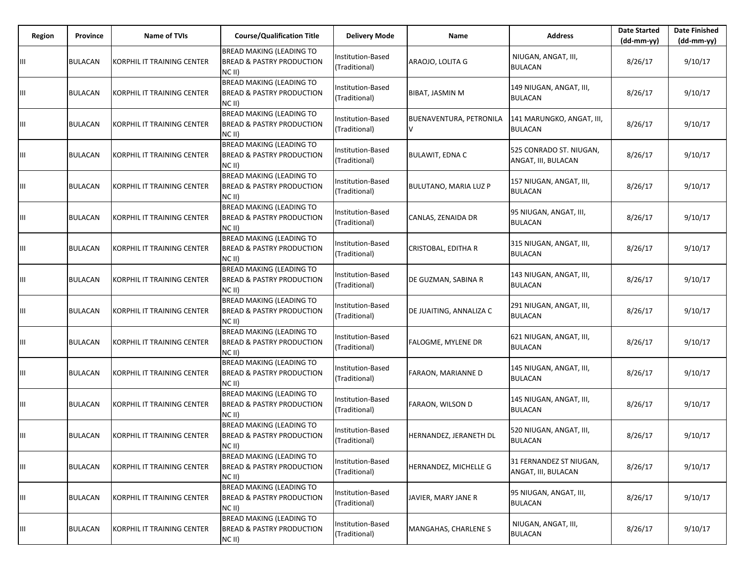| Region | Province       | <b>Name of TVIs</b>                | <b>Course/Qualification Title</b>                                                   | <b>Delivery Mode</b>                      | Name                         | <b>Address</b>                                 | <b>Date Started</b><br>$(dd-mm-yy)$ | <b>Date Finished</b><br>(dd-mm-yy) |
|--------|----------------|------------------------------------|-------------------------------------------------------------------------------------|-------------------------------------------|------------------------------|------------------------------------------------|-------------------------------------|------------------------------------|
| Ш      | <b>BULACAN</b> | KORPHIL IT TRAINING CENTER         | <b>BREAD MAKING (LEADING TO</b><br><b>BREAD &amp; PASTRY PRODUCTION</b><br>NC II)   | Institution-Based<br>(Traditional)        | ARAOJO, LOLITA G             | NIUGAN, ANGAT, III,<br><b>BULACAN</b>          | 8/26/17                             | 9/10/17                            |
| Ш      | <b>BULACAN</b> | <b>KORPHIL IT TRAINING CENTER</b>  | <b>BREAD MAKING (LEADING TO</b><br><b>BREAD &amp; PASTRY PRODUCTION</b><br>NC II)   | Institution-Based<br>(Traditional)        | <b>BIBAT, JASMIN M</b>       | 149 NIUGAN, ANGAT, III,<br><b>BULACAN</b>      | 8/26/17                             | 9/10/17                            |
| Ш      | <b>BULACAN</b> | KORPHIL IT TRAINING CENTER         | <b>BREAD MAKING (LEADING TO</b><br><b>BREAD &amp; PASTRY PRODUCTION</b><br>NC II)   | Institution-Based<br>(Traditional)        | BUENAVENTURA, PETRONILA<br>V | 141 MARUNGKO, ANGAT, III,<br><b>BULACAN</b>    | 8/26/17                             | 9/10/17                            |
| Ш      | <b>BULACAN</b> | KORPHIL IT TRAINING CENTER         | <b>BREAD MAKING (LEADING TO</b><br><b>BREAD &amp; PASTRY PRODUCTION</b><br>NC II)   | nstitution-Based<br>(Traditional)         | <b>BULAWIT, EDNA C</b>       | 525 CONRADO ST. NIUGAN,<br>ANGAT, III, BULACAN | 8/26/17                             | 9/10/17                            |
| Ш      | <b>BULACAN</b> | KORPHIL IT TRAINING CENTER         | <b>BREAD MAKING (LEADING TO</b><br><b>BREAD &amp; PASTRY PRODUCTION</b><br>NC II)   | nstitution-Based<br>(Traditional)         | <b>BULUTANO, MARIA LUZ P</b> | 157 NIUGAN, ANGAT, III,<br><b>BULACAN</b>      | 8/26/17                             | 9/10/17                            |
| Ш      | <b>BULACAN</b> | KORPHIL IT TRAINING CENTER         | <b>BREAD MAKING (LEADING TO</b><br><b>BREAD &amp; PASTRY PRODUCTION</b><br>$NC$ II) | Institution-Based<br>(Traditional)        | CANLAS, ZENAIDA DR           | 95 NIUGAN, ANGAT, III,<br><b>BULACAN</b>       | 8/26/17                             | 9/10/17                            |
| Ш      | <b>BULACAN</b> | KORPHIL IT TRAINING CENTER         | <b>BREAD MAKING (LEADING TO</b><br><b>BREAD &amp; PASTRY PRODUCTION</b><br>NC II)   | nstitution-Based<br>(Traditional)         | CRISTOBAL, EDITHA R          | 315 NIUGAN, ANGAT, III,<br><b>BULACAN</b>      | 8/26/17                             | 9/10/17                            |
| Ш      | <b>BULACAN</b> | <b>IKORPHIL IT TRAINING CENTER</b> | <b>BREAD MAKING (LEADING TO</b><br><b>BREAD &amp; PASTRY PRODUCTION</b><br>NC II)   | nstitution-Based<br>(Traditional)         | DE GUZMAN, SABINA R          | 143 NIUGAN, ANGAT, III,<br><b>BULACAN</b>      | 8/26/17                             | 9/10/17                            |
| Ш      | <b>BULACAN</b> | KORPHIL IT TRAINING CENTER         | <b>BREAD MAKING (LEADING TO</b><br><b>BREAD &amp; PASTRY PRODUCTION</b><br>NC II)   | nstitution-Based<br>(Traditional)         | DE JUAITING, ANNALIZA C      | 291 NIUGAN, ANGAT, III,<br><b>BULACAN</b>      | 8/26/17                             | 9/10/17                            |
| Ш      | <b>BULACAN</b> | KORPHIL IT TRAINING CENTER         | <b>BREAD MAKING (LEADING TO</b><br><b>BREAD &amp; PASTRY PRODUCTION</b><br>NC II)   | Institution-Based<br>(Traditional)        | <b>FALOGME, MYLENE DR</b>    | 621 NIUGAN, ANGAT, III,<br><b>BULACAN</b>      | 8/26/17                             | 9/10/17                            |
| Ш      | <b>BULACAN</b> | KORPHIL IT TRAINING CENTER         | <b>BREAD MAKING (LEADING TO</b><br><b>BREAD &amp; PASTRY PRODUCTION</b><br>NCII)    | nstitution-Based<br>(Traditional)         | FARAON, MARIANNE D           | 145 NIUGAN, ANGAT, III,<br><b>BULACAN</b>      | 8/26/17                             | 9/10/17                            |
| Ш      | <b>BULACAN</b> | KORPHIL IT TRAINING CENTER         | <b>BREAD MAKING (LEADING TO</b><br><b>BREAD &amp; PASTRY PRODUCTION</b><br>NC II)   | <b>Institution-Based</b><br>(Traditional) | <b>FARAON, WILSON D</b>      | 145 NIUGAN, ANGAT, III,<br><b>BULACAN</b>      | 8/26/17                             | 9/10/17                            |
| Ш      | <b>BULACAN</b> | KORPHIL IT TRAINING CENTER         | <b>BREAD MAKING (LEADING TO</b><br><b>BREAD &amp; PASTRY PRODUCTION</b><br>NC II)   | nstitution-Based<br>(Traditional)         | HERNANDEZ, JERANETH DL       | 520 NIUGAN, ANGAT, III,<br><b>BULACAN</b>      | 8/26/17                             | 9/10/17                            |
| Ш      | <b>BULACAN</b> | KORPHIL IT TRAINING CENTER         | <b>BREAD MAKING (LEADING TO</b><br><b>BREAD &amp; PASTRY PRODUCTION</b><br>NC II)   | Institution-Based<br>(Traditional)        | HERNANDEZ, MICHELLE G        | 31 FERNANDEZ ST NIUGAN,<br>ANGAT, III, BULACAN | 8/26/17                             | 9/10/17                            |
| Ш      | <b>BULACAN</b> | KORPHIL IT TRAINING CENTER         | <b>BREAD MAKING (LEADING TO</b><br><b>BREAD &amp; PASTRY PRODUCTION</b><br>$NC$ II) | nstitution-Based<br>(Traditional)         | JAVIER, MARY JANE R          | 95 NIUGAN, ANGAT, III,<br><b>BULACAN</b>       | 8/26/17                             | 9/10/17                            |
| Ш      | <b>BULACAN</b> | KORPHIL IT TRAINING CENTER         | <b>BREAD MAKING (LEADING TO</b><br><b>BREAD &amp; PASTRY PRODUCTION</b><br>NC II)   | Institution-Based<br>(Traditional)        | <b>MANGAHAS, CHARLENE S</b>  | NIUGAN, ANGAT, III,<br><b>BULACAN</b>          | 8/26/17                             | 9/10/17                            |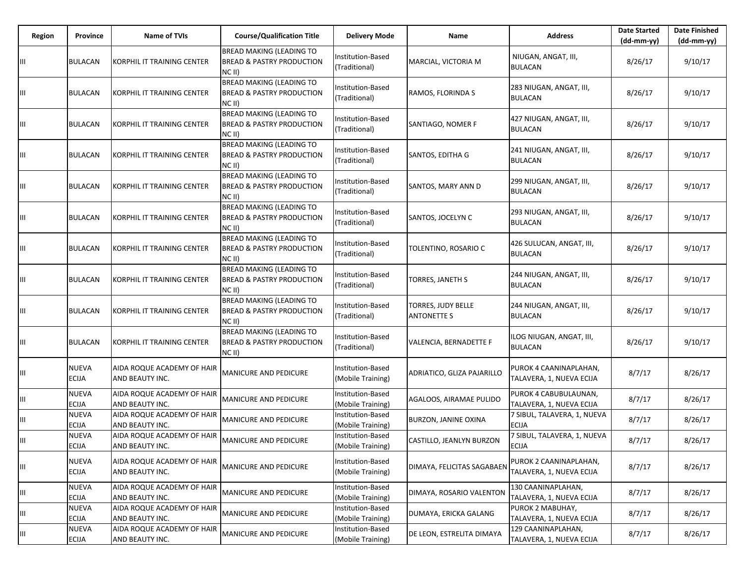| Region | Province                     | <b>Name of TVIs</b>                           | <b>Course/Qualification Title</b>                                                   | <b>Delivery Mode</b>                          | Name                                     | <b>Address</b>                                     | <b>Date Started</b><br>$(dd-mm-yy)$ | <b>Date Finished</b><br>(dd-mm-yy) |
|--------|------------------------------|-----------------------------------------------|-------------------------------------------------------------------------------------|-----------------------------------------------|------------------------------------------|----------------------------------------------------|-------------------------------------|------------------------------------|
| Ш      | <b>BULACAN</b>               | KORPHIL IT TRAINING CENTER                    | <b>BREAD MAKING (LEADING TO</b><br><b>BREAD &amp; PASTRY PRODUCTION</b><br>$NC$ II) | Institution-Based<br>(Traditional)            | MARCIAL, VICTORIA M                      | NIUGAN, ANGAT, III,<br><b>BULACAN</b>              | 8/26/17                             | 9/10/17                            |
| Ш      | <b>BULACAN</b>               | KORPHIL IT TRAINING CENTER                    | <b>BREAD MAKING (LEADING TO</b><br><b>BREAD &amp; PASTRY PRODUCTION</b><br>$NC$ II) | <b>Institution-Based</b><br>(Traditional)     | RAMOS, FLORINDA S                        | 283 NIUGAN, ANGAT, III,<br><b>BULACAN</b>          | 8/26/17                             | 9/10/17                            |
| Ш      | <b>BULACAN</b>               | KORPHIL IT TRAINING CENTER                    | <b>BREAD MAKING (LEADING TO</b><br><b>BREAD &amp; PASTRY PRODUCTION</b><br>$NC$ II) | Institution-Based<br>(Traditional)            | SANTIAGO, NOMER F                        | 427 NIUGAN, ANGAT, III,<br>BULACAN                 | 8/26/17                             | 9/10/17                            |
| Ш      | <b>BULACAN</b>               | KORPHIL IT TRAINING CENTER                    | <b>BREAD MAKING (LEADING TO</b><br><b>BREAD &amp; PASTRY PRODUCTION</b><br>$NC$ II) | Institution-Based<br>(Traditional)            | SANTOS, EDITHA G                         | 241 NIUGAN, ANGAT, III,<br>BULACAN                 | 8/26/17                             | 9/10/17                            |
| Ш      | <b>BULACAN</b>               | KORPHIL IT TRAINING CENTER                    | <b>BREAD MAKING (LEADING TO</b><br><b>BREAD &amp; PASTRY PRODUCTION</b><br>$NC$ II) | Institution-Based<br>(Traditional)            | SANTOS, MARY ANN D                       | 299 NIUGAN, ANGAT, III,<br><b>BULACAN</b>          | 8/26/17                             | 9/10/17                            |
| Ш      | <b>BULACAN</b>               | KORPHIL IT TRAINING CENTER                    | <b>BREAD MAKING (LEADING TO</b><br><b>BREAD &amp; PASTRY PRODUCTION</b><br>NC II)   | Institution-Based<br>(Traditional)            | SANTOS, JOCELYN C                        | 293 NIUGAN, ANGAT, III,<br><b>BULACAN</b>          | 8/26/17                             | 9/10/17                            |
| Ш      | <b>BULACAN</b>               | KORPHIL IT TRAINING CENTER                    | <b>BREAD MAKING (LEADING TO</b><br><b>BREAD &amp; PASTRY PRODUCTION</b><br>$NC$ II) | Institution-Based<br>(Traditional)            | TOLENTINO, ROSARIO C                     | 426 SULUCAN, ANGAT, III,<br><b>BULACAN</b>         | 8/26/17                             | 9/10/17                            |
| Ш      | <b>BULACAN</b>               | KORPHIL IT TRAINING CENTER                    | <b>BREAD MAKING (LEADING TO</b><br><b>BREAD &amp; PASTRY PRODUCTION</b><br>NC II)   | <b>Institution-Based</b><br>(Traditional)     | TORRES, JANETH S                         | 244 NIUGAN, ANGAT, III,<br><b>BULACAN</b>          | 8/26/17                             | 9/10/17                            |
| Ш      | <b>BULACAN</b>               | KORPHIL IT TRAINING CENTER                    | <b>BREAD MAKING (LEADING TO</b><br><b>BREAD &amp; PASTRY PRODUCTION</b><br>$NC$ II) | Institution-Based<br>(Traditional)            | TORRES, JUDY BELLE<br><b>ANTONETTE S</b> | 244 NIUGAN, ANGAT, III,<br><b>BULACAN</b>          | 8/26/17                             | 9/10/17                            |
| Ш      | <b>BULACAN</b>               | KORPHIL IT TRAINING CENTER                    | <b>BREAD MAKING (LEADING TO</b><br><b>BREAD &amp; PASTRY PRODUCTION</b><br>NC II)   | Institution-Based<br>(Traditional)            | VALENCIA, BERNADETTE F                   | ILOG NIUGAN, ANGAT, III,<br><b>BULACAN</b>         | 8/26/17                             | 9/10/17                            |
| Ш      | NUEVA<br>ECIJA               | AIDA ROQUE ACADEMY OF HAIR<br>AND BEAUTY INC. | <b>MANICURE AND PEDICURE</b>                                                        | Institution-Based<br>(Mobile Training)        | ADRIATICO, GLIZA PAJARILLO               | PUROK 4 CAANINAPLAHAN,<br>TALAVERA, 1, NUEVA ECIJA | 8/7/17                              | 8/26/17                            |
| Ш      | <b>NUEVA</b><br><b>ECIJA</b> | AIDA ROQUE ACADEMY OF HAIR<br>AND BEAUTY INC. | <b>MANICURE AND PEDICURE</b>                                                        | <b>Institution-Based</b><br>(Mobile Training) | AGALOOS, AIRAMAE PULIDO                  | PUROK 4 CABUBULAUNAN,<br>TALAVERA, 1, NUEVA ECIJA  | 8/7/17                              | 8/26/17                            |
| Ш      | NUEVA<br><b>ECIJA</b>        | AIDA ROQUE ACADEMY OF HAIR<br>AND BEAUTY INC. | <b>MANICURE AND PEDICURE</b>                                                        | Institution-Based<br>(Mobile Training)        | BURZON, JANINE OXINA                     | 7 SIBUL, TALAVERA, 1, NUEVA<br>ECIJA               | 8/7/17                              | 8/26/17                            |
| Ш      | <b>NUEVA</b><br>ECIJA        | AIDA ROQUE ACADEMY OF HAIR<br>AND BEAUTY INC. | <b>MANICURE AND PEDICURE</b>                                                        | Institution-Based<br>(Mobile Training)        | CASTILLO, JEANLYN BURZON                 | 7 SIBUL, TALAVERA, 1, NUEVA<br><b>ECIJA</b>        | 8/7/17                              | 8/26/17                            |
| Ш      | NUEVA<br>ECIJA               | AIDA ROQUE ACADEMY OF HAIR<br>AND BEAUTY INC. | <b>MANICURE AND PEDICURE</b>                                                        | Institution-Based<br>(Mobile Training)        | DIMAYA, FELICITAS SAGABAEN               | PUROK 2 CAANINAPLAHAN,<br>TALAVERA, 1, NUEVA ECIJA | 8/7/17                              | 8/26/17                            |
| Ш      | <b>NUEVA</b><br>ECIJA        | AIDA ROQUE ACADEMY OF HAIR<br>AND BEAUTY INC. | <b>MANICURE AND PEDICURE</b>                                                        | Institution-Based<br>(Mobile Training)        | DIMAYA, ROSARIO VALENTON                 | 130 CAANINAPLAHAN,<br>TALAVERA, 1, NUEVA ECIJA     | 8/7/17                              | 8/26/17                            |
| Ш      | <b>NUEVA</b><br>ECIJA        | AIDA ROQUE ACADEMY OF HAIR<br>AND BEAUTY INC. | <b>MANICURE AND PEDICURE</b>                                                        | Institution-Based<br>(Mobile Training)        | DUMAYA, ERICKA GALANG                    | PUROK 2 MABUHAY,<br>TALAVERA, 1, NUEVA ECIJA       | 8/7/17                              | 8/26/17                            |
| Ш      | <b>NUEVA</b><br>ECIJA        | AIDA ROQUE ACADEMY OF HAIR<br>AND BEAUTY INC. | <b>MANICURE AND PEDICURE</b>                                                        | Institution-Based<br>(Mobile Training)        | DE LEON, ESTRELITA DIMAYA                | 129 CAANINAPLAHAN,<br>TALAVERA, 1, NUEVA ECIJA     | 8/7/17                              | 8/26/17                            |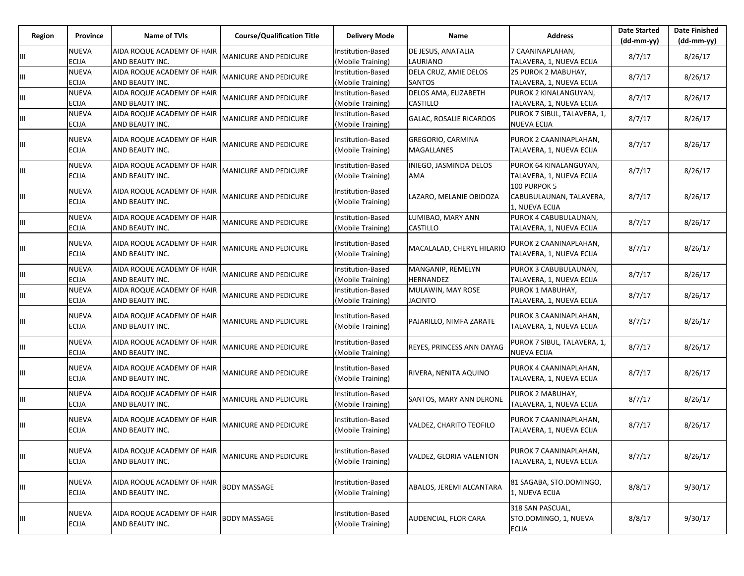| Region | Province                     | <b>Name of TVIs</b>                           | <b>Course/Qualification Title</b> | <b>Delivery Mode</b>                          | Name                                   | <b>Address</b>                                            | <b>Date Started</b><br>$(dd-mm-vv)$ | <b>Date Finished</b><br>(dd-mm-yy) |
|--------|------------------------------|-----------------------------------------------|-----------------------------------|-----------------------------------------------|----------------------------------------|-----------------------------------------------------------|-------------------------------------|------------------------------------|
| Ш      | <b>NUEVA</b><br><b>ECIJA</b> | AIDA ROQUE ACADEMY OF HAIR<br>AND BEAUTY INC. | <b>MANICURE AND PEDICURE</b>      | Institution-Based<br>(Mobile Training)        | DE JESUS, ANATALIA<br>LAURIANO         | 7 CAANINAPLAHAN,<br>TALAVERA, 1, NUEVA ECIJA              | 8/7/17                              | 8/26/17                            |
| Ш      | <b>NUEVA</b><br><b>ECIJA</b> | AIDA ROQUE ACADEMY OF HAIR<br>AND BEAUTY INC. | <b>MANICURE AND PEDICURE</b>      | Institution-Based<br>Mobile Training)         | DELA CRUZ, AMIE DELOS<br><b>SANTOS</b> | 25 PUROK 2 MABUHAY,<br>TALAVERA, 1, NUEVA ECIJA           | 8/7/17                              | 8/26/17                            |
| Ш      | NUEVA<br><b>ECIJA</b>        | AIDA ROQUE ACADEMY OF HAIR<br>AND BEAUTY INC. | MANICURE AND PEDICURE             | Institution-Based<br>(Mobile Training)        | DELOS AMA, ELIZABETH<br>CASTILLO       | PUROK 2 KINALANGUYAN,<br>TALAVERA, 1, NUEVA ECIJA         | 8/7/17                              | 8/26/17                            |
| Ш      | <b>NUEVA</b><br>ECIJA        | AIDA ROQUE ACADEMY OF HAIR<br>AND BEAUTY INC. | <b>MANICURE AND PEDICURE</b>      | Institution-Based<br>(Mobile Training)        | <b>GALAC, ROSALIE RICARDOS</b>         | PUROK 7 SIBUL, TALAVERA, 1,<br><b>NUEVA ECIJA</b>         | 8/7/17                              | 8/26/17                            |
| Ш      | <b>NUEVA</b><br><b>ECIJA</b> | AIDA ROQUE ACADEMY OF HAIR<br>AND BEAUTY INC. | MANICURE AND PEDICURE             | Institution-Based<br>(Mobile Training)        | GREGORIO, CARMINA<br>MAGALLANES        | PUROK 2 CAANINAPLAHAN,<br>TALAVERA, 1, NUEVA ECIJA        | 8/7/17                              | 8/26/17                            |
| Ш      | <b>NUEVA</b><br><b>ECIJA</b> | AIDA ROQUE ACADEMY OF HAIR<br>AND BEAUTY INC. | MANICURE AND PEDICURE             | Institution-Based<br>(Mobile Training)        | INIEGO, JASMINDA DELOS<br>AMA          | PUROK 64 KINALANGUYAN,<br>TALAVERA, 1, NUEVA ECIJA        | 8/7/17                              | 8/26/17                            |
| Ш      | <b>NUEVA</b><br>ECIJA        | AIDA ROQUE ACADEMY OF HAIR<br>AND BEAUTY INC. | <b>MANICURE AND PEDICURE</b>      | Institution-Based<br>(Mobile Training)        | LAZARO, MELANIE OBIDOZA                | 100 PURPOK 5<br>CABUBULAUNAN, TALAVERA,<br>1, NUEVA ECIJA | 8/7/17                              | 8/26/17                            |
| Ш      | <b>NUEVA</b><br><b>ECIJA</b> | AIDA ROQUE ACADEMY OF HAIR<br>AND BEAUTY INC. | MANICURE AND PEDICURE             | <b>Institution-Based</b><br>(Mobile Training) | LUMIBAO, MARY ANN<br>CASTILLO          | PUROK 4 CABUBULAUNAN,<br>TALAVERA, 1, NUEVA ECIJA         | 8/7/17                              | 8/26/17                            |
| Ш      | NUEVA<br><b>ECIJA</b>        | AIDA ROQUE ACADEMY OF HAIR<br>AND BEAUTY INC. | <b>MANICURE AND PEDICURE</b>      | Institution-Based<br>(Mobile Training)        | MACALALAD, CHERYL HILARIO              | PUROK 2 CAANINAPLAHAN,<br>TALAVERA, 1, NUEVA ECIJA        | 8/7/17                              | 8/26/17                            |
| Ш      | <b>NUEVA</b><br><b>ECIJA</b> | AIDA ROQUE ACADEMY OF HAIR<br>AND BEAUTY INC. | <b>MANICURE AND PEDICURE</b>      | <b>Institution-Based</b><br>(Mobile Training) | MANGANIP, REMELYN<br>HERNANDEZ         | PUROK 3 CABUBULAUNAN,<br>TALAVERA, 1, NUEVA ECIJA         | 8/7/17                              | 8/26/17                            |
| Ш      | NUEVA<br>ECIJA               | AIDA ROQUE ACADEMY OF HAIR<br>AND BEAUTY INC. | <b>MANICURE AND PEDICURE</b>      | Institution-Based<br>(Mobile Training)        | MULAWIN, MAY ROSE<br><b>JACINTO</b>    | PUROK 1 MABUHAY,<br>TALAVERA, 1, NUEVA ECIJA              | 8/7/17                              | 8/26/17                            |
| Ш      | <b>NUEVA</b><br><b>ECIJA</b> | AIDA ROQUE ACADEMY OF HAIR<br>AND BEAUTY INC. | MANICURE AND PEDICURE             | Institution-Based<br>(Mobile Training)        | PAJARILLO, NIMFA ZARATE                | PUROK 3 CAANINAPLAHAN,<br>TALAVERA, 1, NUEVA ECIJA        | 8/7/17                              | 8/26/17                            |
| Ш      | <b>NUEVA</b><br>ECIJA        | AIDA ROQUE ACADEMY OF HAIR<br>AND BEAUTY INC. | MANICURE AND PEDICURE             | <b>Institution-Based</b><br>(Mobile Training) | REYES, PRINCESS ANN DAYAG              | PUROK 7 SIBUL, TALAVERA, 1,<br><b>NUEVA ECIJA</b>         | 8/7/17                              | 8/26/17                            |
| Ш      | NUEVA<br><b>ECIJA</b>        | AIDA ROQUE ACADEMY OF HAIR<br>AND BEAUTY INC. | MANICURE AND PEDICURE             | Institution-Based<br>(Mobile Training)        | RIVERA, NENITA AQUINO                  | PUROK 4 CAANINAPLAHAN,<br>TALAVERA, 1, NUEVA ECIJA        | 8/7/17                              | 8/26/17                            |
| Ш      | <b>NUEVA</b><br><b>ECIJA</b> | AIDA ROQUE ACADEMY OF HAIR<br>AND BEAUTY INC. | MANICURE AND PEDICURE             | Institution-Based<br>(Mobile Training)        | SANTOS, MARY ANN DERONE                | PUROK 2 MABUHAY,<br>TALAVERA, 1, NUEVA ECIJA              | 8/7/17                              | 8/26/17                            |
| Ш      | <b>NUEVA</b><br><b>ECIJA</b> | AIDA ROQUE ACADEMY OF HAIR<br>AND BEAUTY INC. | MANICURE AND PEDICURE             | Institution-Based<br>(Mobile Training)        | VALDEZ, CHARITO TEOFILO                | PUROK 7 CAANINAPLAHAN,<br>TALAVERA, 1, NUEVA ECIJA        | 8/7/17                              | 8/26/17                            |
| Ш      | <b>NUEVA</b><br>ECIJA        | AIDA ROQUE ACADEMY OF HAIR<br>AND BEAUTY INC. | <b>MANICURE AND PEDICURE</b>      | Institution-Based<br>(Mobile Training)        | VALDEZ, GLORIA VALENTON                | PUROK 7 CAANINAPLAHAN,<br>TALAVERA, 1, NUEVA ECIJA        | 8/7/17                              | 8/26/17                            |
| Ш      | NUEVA<br>ECIJA               | AIDA ROQUE ACADEMY OF HAIR<br>AND BEAUTY INC. | <b>BODY MASSAGE</b>               | Institution-Based<br>(Mobile Training)        | ABALOS, JEREMI ALCANTARA               | 81 SAGABA, STO.DOMINGO,<br>1, NUEVA ECIJA                 | 8/8/17                              | 9/30/17                            |
| Ш      | <b>NUEVA</b><br>ECIJA        | AIDA ROQUE ACADEMY OF HAIR<br>AND BEAUTY INC. | <b>BODY MASSAGE</b>               | Institution-Based<br>(Mobile Training)        | AUDENCIAL, FLOR CARA                   | 318 SAN PASCUAL,<br>STO.DOMINGO, 1, NUEVA<br><b>ECIJA</b> | 8/8/17                              | 9/30/17                            |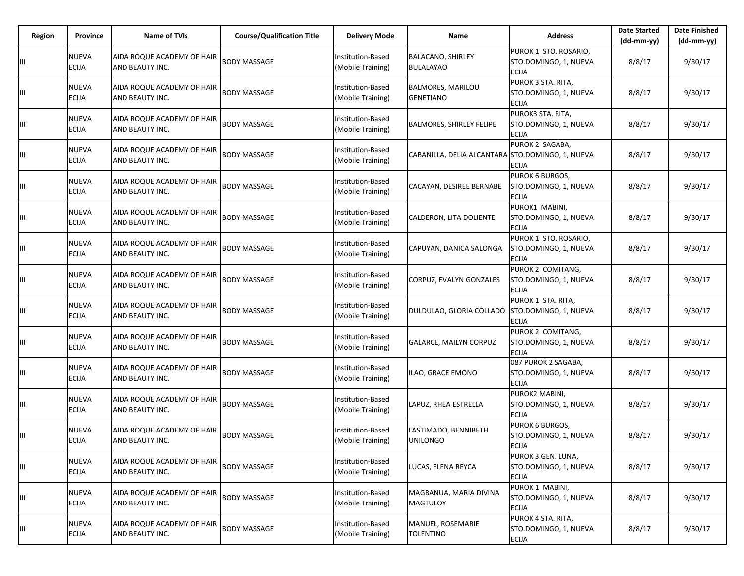| Region | Province                     | <b>Name of TVIs</b>                           | <b>Course/Qualification Title</b> | Delivery Mode                                 | Name                                             | <b>Address</b>                                                  | <b>Date Started</b><br>$(dd-mm-yy)$ | <b>Date Finished</b><br>(dd-mm-yy) |
|--------|------------------------------|-----------------------------------------------|-----------------------------------|-----------------------------------------------|--------------------------------------------------|-----------------------------------------------------------------|-------------------------------------|------------------------------------|
| Ш      | NUEVA<br><b>ECIJA</b>        | AIDA ROQUE ACADEMY OF HAIR<br>AND BEAUTY INC. | <b>BODY MASSAGE</b>               | Institution-Based<br>(Mobile Training)        | <b>BALACANO, SHIRLEY</b><br><b>BULALAYAO</b>     | PUROK 1 STO. ROSARIO,<br>STO.DOMINGO, 1, NUEVA<br><b>ECIJA</b>  | 8/8/17                              | 9/30/17                            |
| Ш      | NUEVA<br><b>ECIJA</b>        | AIDA ROQUE ACADEMY OF HAIR<br>AND BEAUTY INC. | <b>BODY MASSAGE</b>               | <b>Institution-Based</b><br>(Mobile Training) | <b>BALMORES, MARILOU</b><br><b>GENETIANO</b>     | PUROK 3 STA. RITA,<br>STO.DOMINGO, 1, NUEVA<br>ECIJA            | 8/8/17                              | 9/30/17                            |
| Ш      | NUEVA<br>ECIJA               | AIDA ROQUE ACADEMY OF HAIR<br>AND BEAUTY INC. | <b>BODY MASSAGE</b>               | Institution-Based<br>(Mobile Training)        | <b>BALMORES, SHIRLEY FELIPE</b>                  | PUROK3 STA. RITA,<br>STO.DOMINGO, 1, NUEVA<br><b>ECIJA</b>      | 8/8/17                              | 9/30/17                            |
| Ш      | NUEVA<br>ECIJA               | AIDA ROQUE ACADEMY OF HAIR<br>AND BEAUTY INC. | <b>BODY MASSAGE</b>               | Institution-Based<br>(Mobile Training)        | CABANILLA, DELIA ALCANTARA STO.DOMINGO, 1, NUEVA | PUROK 2 SAGABA,<br>ECIJA                                        | 8/8/17                              | 9/30/17                            |
| Ш      | NUEVA<br>ECIJA               | AIDA ROQUE ACADEMY OF HAIR<br>AND BEAUTY INC. | <b>BODY MASSAGE</b>               | Institution-Based<br>(Mobile Training)        | CACAYAN, DESIREE BERNABE                         | <b>PUROK 6 BURGOS,</b><br>STO.DOMINGO, 1, NUEVA<br><b>ECIJA</b> | 8/8/17                              | 9/30/17                            |
| Ш      | NUEVA<br>ECIJA               | AIDA ROQUE ACADEMY OF HAIR<br>AND BEAUTY INC. | <b>BODY MASSAGE</b>               | <b>Institution-Based</b><br>(Mobile Training) | CALDERON, LITA DOLIENTE                          | PUROK1 MABINI,<br>STO.DOMINGO, 1, NUEVA<br><b>ECIJA</b>         | 8/8/17                              | 9/30/17                            |
| Ш      | NUEVA<br>ECIJA               | AIDA ROQUE ACADEMY OF HAIR<br>AND BEAUTY INC. | <b>BODY MASSAGE</b>               | Institution-Based<br>(Mobile Training)        | CAPUYAN, DANICA SALONGA                          | PUROK 1 STO. ROSARIO,<br>STO.DOMINGO, 1, NUEVA<br><b>ECIJA</b>  | 8/8/17                              | 9/30/17                            |
| Ш      | NUEVA<br>ECIJA               | AIDA ROQUE ACADEMY OF HAIR<br>AND BEAUTY INC. | <b>BODY MASSAGE</b>               | Institution-Based<br>(Mobile Training)        | CORPUZ, EVALYN GONZALES                          | PUROK 2 COMITANG,<br>STO.DOMINGO, 1, NUEVA<br><b>ECIJA</b>      | 8/8/17                              | 9/30/17                            |
| Ш      | NUEVA<br>ECIJA               | AIDA ROQUE ACADEMY OF HAIR<br>AND BEAUTY INC. | <b>BODY MASSAGE</b>               | Institution-Based<br>(Mobile Training)        | DULDULAO, GLORIA COLLADO                         | PUROK 1 STA. RITA,<br>STO.DOMINGO, 1, NUEVA<br><b>ECIJA</b>     | 8/8/17                              | 9/30/17                            |
| Ш      | <b>NUEVA</b><br>ECIJA        | AIDA ROQUE ACADEMY OF HAIR<br>AND BEAUTY INC. | <b>BODY MASSAGE</b>               | Institution-Based<br>(Mobile Training)        | GALARCE, MAILYN CORPUZ                           | PUROK 2 COMITANG,<br>STO.DOMINGO, 1, NUEVA<br><b>ECIJA</b>      | 8/8/17                              | 9/30/17                            |
| Ш      | NUEVA<br>ECIJA               | AIDA ROQUE ACADEMY OF HAIR<br>AND BEAUTY INC. | <b>BODY MASSAGE</b>               | Institution-Based<br>(Mobile Training)        | ILAO, GRACE EMONO                                | 087 PUROK 2 SAGABA,<br>STO.DOMINGO, 1, NUEVA<br><b>ECIJA</b>    | 8/8/17                              | 9/30/17                            |
| Ш      | <b>NUEVA</b><br>ECIJA        | AIDA ROQUE ACADEMY OF HAIR<br>AND BEAUTY INC. | <b>BODY MASSAGE</b>               | Institution-Based<br>(Mobile Training)        | LAPUZ, RHEA ESTRELLA                             | PUROK2 MABINI,<br>STO.DOMINGO, 1, NUEVA<br><b>ECIJA</b>         | 8/8/17                              | 9/30/17                            |
| Ш      | NUEVA<br><b>ECIJA</b>        | AIDA ROQUE ACADEMY OF HAIR<br>AND BEAUTY INC. | <b>BODY MASSAGE</b>               | Institution-Based<br>(Mobile Training)        | LASTIMADO, BENNIBETH<br><b>UNILONGO</b>          | PUROK 6 BURGOS,<br>STO.DOMINGO, 1, NUEVA<br><b>ECIJA</b>        | 8/8/17                              | 9/30/17                            |
| Ш      | <b>NUEVA</b><br>ECIJA        | AIDA ROQUE ACADEMY OF HAIR<br>AND BEAUTY INC. | <b>BODY MASSAGE</b>               | Institution-Based<br>(Mobile Training)        | LUCAS, ELENA REYCA                               | PUROK 3 GEN. LUNA,<br>STO.DOMINGO, 1, NUEVA<br><b>ECIJA</b>     | 8/8/17                              | 9/30/17                            |
| Ш      | <b>NUEVA</b><br><b>ECIJA</b> | AIDA ROQUE ACADEMY OF HAIR<br>AND BEAUTY INC. | <b>BODY MASSAGE</b>               | Institution-Based<br>(Mobile Training)        | MAGBANUA, MARIA DIVINA<br><b>MAGTULOY</b>        | PUROK 1 MABINI,<br>STO.DOMINGO, 1, NUEVA<br><b>ECIJA</b>        | 8/8/17                              | 9/30/17                            |
| Ш      | NUEVA<br>ECIJA               | AIDA ROQUE ACADEMY OF HAIR<br>AND BEAUTY INC. | <b>BODY MASSAGE</b>               | Institution-Based<br>(Mobile Training)        | MANUEL, ROSEMARIE<br><b>TOLENTINO</b>            | PUROK 4 STA. RITA,<br>STO.DOMINGO, 1, NUEVA<br>ECIJA            | 8/8/17                              | 9/30/17                            |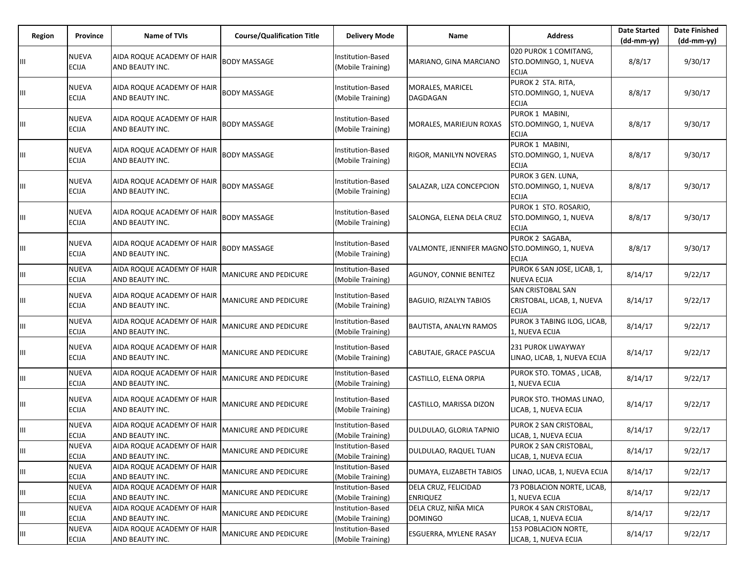| Region | Province                     | <b>Name of TVIs</b>                           | <b>Course/Qualification Title</b> | Delivery Mode                          | Name                                           | <b>Address</b>                                                 | <b>Date Started</b> | <b>Date Finished</b> |
|--------|------------------------------|-----------------------------------------------|-----------------------------------|----------------------------------------|------------------------------------------------|----------------------------------------------------------------|---------------------|----------------------|
|        |                              |                                               |                                   |                                        |                                                |                                                                | (dd-mm-yy)          | $(dd-mm-yy)$         |
|        | <b>NUEVA</b><br><b>ECIJA</b> | AIDA ROQUE ACADEMY OF HAIR<br>AND BEAUTY INC. | <b>BODY MASSAGE</b>               | Institution-Based<br>(Mobile Training) | MARIANO, GINA MARCIANO                         | 020 PUROK 1 COMITANG,<br>STO.DOMINGO, 1, NUEVA<br><b>ECIJA</b> | 8/8/17              | 9/30/17              |
| Ш      | <b>NUEVA</b><br><b>ECIJA</b> | AIDA ROQUE ACADEMY OF HAIR<br>AND BEAUTY INC. | <b>BODY MASSAGE</b>               | Institution-Based<br>(Mobile Training) | MORALES, MARICEL<br>DAGDAGAN                   | PUROK 2 STA. RITA,<br>STO.DOMINGO, 1, NUEVA<br>ecija           | 8/8/17              | 9/30/17              |
| Ш      | <b>NUEVA</b><br><b>ECIJA</b> | AIDA ROQUE ACADEMY OF HAIR<br>AND BEAUTY INC. | <b>BODY MASSAGE</b>               | Institution-Based<br>(Mobile Training) | MORALES, MARIEJUN ROXAS                        | PUROK 1 MABINI,<br>STO.DOMINGO, 1, NUEVA<br>ECIJA              | 8/8/17              | 9/30/17              |
| Ш      | <b>NUEVA</b><br><b>ECIJA</b> | AIDA ROQUE ACADEMY OF HAIR<br>AND BEAUTY INC. | <b>BODY MASSAGE</b>               | Institution-Based<br>(Mobile Training) | RIGOR, MANILYN NOVERAS                         | PUROK 1 MABINI,<br>STO.DOMINGO, 1, NUEVA<br><b>ECIJA</b>       | 8/8/17              | 9/30/17              |
|        | <b>NUEVA</b><br><b>ECIJA</b> | AIDA ROQUE ACADEMY OF HAIR<br>AND BEAUTY INC. | <b>BODY MASSAGE</b>               | Institution-Based<br>(Mobile Training) | SALAZAR, LIZA CONCEPCION                       | PUROK 3 GEN. LUNA,<br>STO.DOMINGO, 1, NUEVA<br><b>ECIJA</b>    | 8/8/17              | 9/30/17              |
| Ш      | <b>NUEVA</b><br><b>ECIJA</b> | AIDA ROQUE ACADEMY OF HAIR<br>AND BEAUTY INC. | <b>BODY MASSAGE</b>               | Institution-Based<br>(Mobile Training) | SALONGA, ELENA DELA CRUZ                       | PUROK 1 STO. ROSARIO,<br>STO.DOMINGO, 1, NUEVA<br>ecija        | 8/8/17              | 9/30/17              |
| Щ      | <b>NUEVA</b><br><b>ECIJA</b> | AIDA ROQUE ACADEMY OF HAIR<br>AND BEAUTY INC. | <b>BODY MASSAGE</b>               | Institution-Based<br>(Mobile Training) | VALMONTE, JENNIFER MAGNO STO.DOMINGO, 1, NUEVA | PUROK 2 SAGABA,<br>ECIJA                                       | 8/8/17              | 9/30/17              |
| Ш      | <b>NUEVA</b><br><b>ECIJA</b> | AIDA ROQUE ACADEMY OF HAIR<br>AND BEAUTY INC. | MANICURE AND PEDICURE             | Institution-Based<br>(Mobile Training) | <b>AGUNOY, CONNIE BENITEZ</b>                  | PUROK 6 SAN JOSE, LICAB, 1,<br>NUEVA ECIJA                     | 8/14/17             | 9/22/17              |
| Щ      | <b>NUEVA</b><br><b>ECIJA</b> | AIDA ROQUE ACADEMY OF HAIR<br>AND BEAUTY INC. | MANICURE AND PEDICURE             | Institution-Based<br>(Mobile Training) | BAGUIO, RIZALYN TABIOS                         | SAN CRISTOBAL SAN<br>CRISTOBAL, LICAB, 1, NUEVA<br>ECIJA       | 8/14/17             | 9/22/17              |
| Ш      | <b>NUEVA</b><br><b>ECIJA</b> | AIDA ROQUE ACADEMY OF HAIR<br>AND BEAUTY INC. | MANICURE AND PEDICURE             | Institution-Based<br>(Mobile Training) | <b>BAUTISTA, ANALYN RAMOS</b>                  | PUROK 3 TABING ILOG, LICAB,<br>1, NUEVA ECIJA                  | 8/14/17             | 9/22/17              |
| Ш      | <b>NUEVA</b><br><b>ECIJA</b> | AIDA ROQUE ACADEMY OF HAIR<br>AND BEAUTY INC. | MANICURE AND PEDICURE             | Institution-Based<br>(Mobile Training) | CABUTAJE, GRACE PASCUA                         | 231 PUROK LIWAYWAY<br>LINAO, LICAB, 1, NUEVA ECIJA             | 8/14/17             | 9/22/17              |
| Щ      | <b>NUEVA</b><br><b>ECIJA</b> | AIDA ROQUE ACADEMY OF HAIR<br>AND BEAUTY INC. | MANICURE AND PEDICURE             | Institution-Based<br>(Mobile Training) | CASTILLO, ELENA ORPIA                          | PUROK STO. TOMAS, LICAB,<br>L, NUEVA ECIJA                     | 8/14/17             | 9/22/17              |
| Щ      | <b>NUEVA</b><br><b>ECIJA</b> | AIDA ROQUE ACADEMY OF HAIR<br>AND BEAUTY INC. | MANICURE AND PEDICURE             | Institution-Based<br>(Mobile Training) | CASTILLO, MARISSA DIZON                        | PUROK STO. THOMAS LINAO,<br>ICAB, 1, NUEVA ECIJA               | 8/14/17             | 9/22/17              |
| Ш      | <b>NUEVA</b><br><b>ECIJA</b> | AIDA ROQUE ACADEMY OF HAIR<br>AND BEAUTY INC. | MANICURE AND PEDICURE             | Institution-Based<br>(Mobile Training) | DULDULAO, GLORIA TAPNIO                        | PUROK 2 SAN CRISTOBAL,<br>LICAB, 1, NUEVA ECIJA                | 8/14/17             | 9/22/17              |
| Ш      | <b>NUEVA</b><br><b>ECIJA</b> | AIDA ROQUE ACADEMY OF HAIR<br>AND BEAUTY INC. | <b>MANICURE AND PEDICURE</b>      | Institution-Based<br>(Mobile Training) | DULDULAO, RAQUEL TUAN                          | PUROK 2 SAN CRISTOBAL,<br>LICAB, 1, NUEVA ECIJA                | 8/14/17             | 9/22/17              |
| Ш      | <b>NUEVA</b><br><b>ECIJA</b> | AIDA ROQUE ACADEMY OF HAIR<br>AND BEAUTY INC. | <b>MANICURE AND PEDICURE</b>      | Institution-Based<br>(Mobile Training) | DUMAYA, ELIZABETH TABIOS                       | LINAO, LICAB, 1, NUEVA ECIJA                                   | 8/14/17             | 9/22/17              |
| Ш      | <b>NUEVA</b><br><b>ECIJA</b> | AIDA ROQUE ACADEMY OF HAIR<br>AND BEAUTY INC. | MANICURE AND PEDICURE             | Institution-Based<br>(Mobile Training) | DELA CRUZ, FELICIDAD<br><b>ENRIQUEZ</b>        | 73 POBLACION NORTE, LICAB,<br>1, NUEVA ECIJA                   | 8/14/17             | 9/22/17              |
| Ш      | <b>NUEVA</b><br>ECIJA        | AIDA ROQUE ACADEMY OF HAIR<br>AND BEAUTY INC. | <b>MANICURE AND PEDICURE</b>      | Institution-Based<br>(Mobile Training) | DELA CRUZ, NIÑA MICA<br><b>DOMINGO</b>         | PUROK 4 SAN CRISTOBAL,<br>LICAB, 1, NUEVA ECIJA                | 8/14/17             | 9/22/17              |
| Ш      | <b>NUEVA</b><br><b>ECIJA</b> | AIDA ROQUE ACADEMY OF HAIR<br>AND BEAUTY INC. | MANICURE AND PEDICURE             | Institution-Based<br>(Mobile Training) | <b>ESGUERRA, MYLENE RASAY</b>                  | 153 POBLACION NORTE,<br>LICAB, 1, NUEVA ECIJA                  | 8/14/17             | 9/22/17              |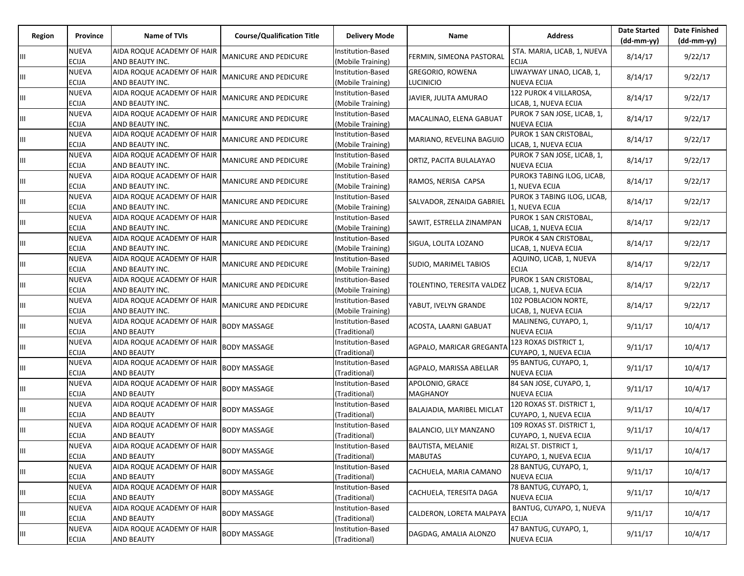| Region | Province                     | Name of TVIs                                    | <b>Course/Qualification Title</b> | <b>Delivery Mode</b>                          | Name                                        | <b>Address</b>                                      | <b>Date Started</b><br>$(dd-mm-yy)$ | <b>Date Finished</b><br>$(dd-mm-yy)$ |
|--------|------------------------------|-------------------------------------------------|-----------------------------------|-----------------------------------------------|---------------------------------------------|-----------------------------------------------------|-------------------------------------|--------------------------------------|
| Ш      | <b>NUEVA</b><br><b>ECIJA</b> | AIDA ROQUE ACADEMY OF HAIR<br>AND BEAUTY INC.   | <b>MANICURE AND PEDICURE</b>      | Institution-Based<br>(Mobile Training)        | FERMIN, SIMEONA PASTORAL                    | STA. MARIA, LICAB, 1, NUEVA<br><b>ECIJA</b>         | 8/14/17                             | 9/22/17                              |
| Ш      | <b>NUEVA</b><br>ECIJA        | AIDA ROQUE ACADEMY OF HAIR<br>AND BEAUTY INC.   | <b>MANICURE AND PEDICURE</b>      | <b>Institution-Based</b><br>(Mobile Training) | <b>GREGORIO, ROWENA</b><br><b>LUCINICIO</b> | LIWAYWAY LINAO, LICAB, 1,<br><b>NUEVA ECIJA</b>     | 8/14/17                             | 9/22/17                              |
| Ш      | <b>NUEVA</b><br><b>ECIJA</b> | AIDA ROQUE ACADEMY OF HAIR<br>AND BEAUTY INC.   | <b>MANICURE AND PEDICURE</b>      | Institution-Based<br>(Mobile Training)        | JAVIER, JULITA AMURAO                       | 122 PUROK 4 VILLAROSA,<br>LICAB, 1, NUEVA ECIJA     | 8/14/17                             | 9/22/17                              |
| Щ      | <b>NUEVA</b><br><b>ECIJA</b> | AIDA ROQUE ACADEMY OF HAIR<br>AND BEAUTY INC.   | <b>MANICURE AND PEDICURE</b>      | Institution-Based<br>(Mobile Training)        | MACALINAO, ELENA GABUAT                     | PUROK 7 SAN JOSE, LICAB, 1,<br><b>NUEVA ECIJA</b>   | 8/14/17                             | 9/22/17                              |
| Ш      | <b>NUEVA</b><br>ECIJA        | AIDA ROQUE ACADEMY OF HAIR<br>AND BEAUTY INC.   | <b>MANICURE AND PEDICURE</b>      | <b>Institution-Based</b><br>(Mobile Training) | MARIANO, REVELINA BAGUIO                    | PUROK 1 SAN CRISTOBAL,<br>LICAB, 1, NUEVA ECIJA     | 8/14/17                             | 9/22/17                              |
| Ш      | <b>NUEVA</b><br><b>ECIJA</b> | AIDA ROQUE ACADEMY OF HAIR<br>AND BEAUTY INC.   | <b>MANICURE AND PEDICURE</b>      | Institution-Based<br>(Mobile Training)        | ORTIZ, PACITA BULALAYAO                     | PUROK 7 SAN JOSE, LICAB, 1,<br><b>NUEVA ECIJA</b>   | 8/14/17                             | 9/22/17                              |
| Ш      | <b>NUEVA</b><br><b>ECIJA</b> | AIDA ROQUE ACADEMY OF HAIR<br>AND BEAUTY INC.   | <b>MANICURE AND PEDICURE</b>      | Institution-Based<br>(Mobile Training)        | RAMOS, NERISA CAPSA                         | PUROK3 TABING ILOG, LICAB,<br>1, NUEVA ECIJA        | 8/14/17                             | 9/22/17                              |
| Ш      | <b>NUEVA</b><br><b>ECIJA</b> | AIDA ROQUE ACADEMY OF HAIR<br>AND BEAUTY INC.   | <b>MANICURE AND PEDICURE</b>      | <b>Institution-Based</b><br>(Mobile Training) | SALVADOR, ZENAIDA GABRIEL                   | PUROK 3 TABING ILOG, LICAB,<br>1, NUEVA ECIJA       | 8/14/17                             | 9/22/17                              |
| Ш      | <b>NUEVA</b><br><b>ECIJA</b> | AIDA ROQUE ACADEMY OF HAIR<br>AND BEAUTY INC.   | <b>MANICURE AND PEDICURE</b>      | Institution-Based<br>(Mobile Training)        | SAWIT, ESTRELLA ZINAMPAN                    | PUROK 1 SAN CRISTOBAL,<br>LICAB, 1, NUEVA ECIJA     | 8/14/17                             | 9/22/17                              |
| Ш      | <b>NUEVA</b><br>ECIJA        | AIDA ROQUE ACADEMY OF HAIR<br>AND BEAUTY INC.   | <b>MANICURE AND PEDICURE</b>      | Institution-Based<br>(Mobile Training)        | SIGUA, LOLITA LOZANO                        | PUROK 4 SAN CRISTOBAL,<br>LICAB, 1, NUEVA ECIJA     | 8/14/17                             | 9/22/17                              |
| Ш      | <b>NUEVA</b><br><b>ECIJA</b> | AIDA ROQUE ACADEMY OF HAIR<br>AND BEAUTY INC.   | <b>MANICURE AND PEDICURE</b>      | Institution-Based<br>(Mobile Training)        | SUDIO, MARIMEL TABIOS                       | AQUINO, LICAB, 1, NUEVA<br><b>ECIJA</b>             | 8/14/17                             | 9/22/17                              |
| Ш      | <b>NUEVA</b><br><b>ECIJA</b> | AIDA ROQUE ACADEMY OF HAIR<br>AND BEAUTY INC.   | <b>MANICURE AND PEDICURE</b>      | Institution-Based<br>(Mobile Training)        | TOLENTINO, TERESITA VALDEZ                  | PUROK 1 SAN CRISTOBAL,<br>LICAB, 1, NUEVA ECIJA     | 8/14/17                             | 9/22/17                              |
| Ш      | <b>NUEVA</b><br>ECIJA        | AIDA ROQUE ACADEMY OF HAIR<br>AND BEAUTY INC.   | <b>MANICURE AND PEDICURE</b>      | Institution-Based<br>(Mobile Training)        | YABUT, IVELYN GRANDE                        | 102 POBLACION NORTE,<br>LICAB, 1, NUEVA ECIJA       | 8/14/17                             | 9/22/17                              |
| Ш      | <b>NUEVA</b><br><b>ECIJA</b> | AIDA ROQUE ACADEMY OF HAIR<br><b>AND BEAUTY</b> | <b>BODY MASSAGE</b>               | Institution-Based<br>(Traditional)            | ACOSTA, LAARNI GABUAT                       | MALINENG, CUYAPO, 1,<br><b>NUEVA ECIJA</b>          | 9/11/17                             | 10/4/17                              |
| Щ      | <b>NUEVA</b><br><b>ECIJA</b> | AIDA ROQUE ACADEMY OF HAIR<br><b>AND BEAUTY</b> | <b>BODY MASSAGE</b>               | Institution-Based<br>(Traditional)            | AGPALO, MARICAR GREGANTA                    | 123 ROXAS DISTRICT 1,<br>CUYAPO, 1, NUEVA ECIJA     | 9/11/17                             | 10/4/17                              |
| Ш      | <b>NUEVA</b><br><b>ECIJA</b> | AIDA ROQUE ACADEMY OF HAIR<br><b>AND BEAUTY</b> | <b>BODY MASSAGE</b>               | Institution-Based<br>(Traditional)            | AGPALO, MARISSA ABELLAR                     | 95 BANTUG, CUYAPO, 1,<br><b>NUEVA ECIJA</b>         | 9/11/17                             | 10/4/17                              |
| Ш      | <b>NUEVA</b><br><b>ECIJA</b> | AIDA ROQUE ACADEMY OF HAIR<br><b>AND BEAUTY</b> | <b>BODY MASSAGE</b>               | Institution-Based<br>(Traditional)            | APOLONIO, GRACE<br><b>MAGHANOY</b>          | 84 SAN JOSE, CUYAPO, 1,<br><b>NUEVA ECIJA</b>       | 9/11/17                             | 10/4/17                              |
| Ш      | <b>NUEVA</b><br><b>ECIJA</b> | AIDA ROQUE ACADEMY OF HAIR<br><b>AND BEAUTY</b> | <b>BODY MASSAGE</b>               | <b>Institution-Based</b><br>(Traditional)     | BALAJADIA, MARIBEL MICLAT                   | 120 ROXAS ST. DISTRICT 1,<br>CUYAPO, 1, NUEVA ECIJA | 9/11/17                             | 10/4/17                              |
| Ш      | <b>NUEVA</b><br><b>ECIJA</b> | AIDA ROQUE ACADEMY OF HAIR<br><b>AND BEAUTY</b> | <b>BODY MASSAGE</b>               | <b>Institution-Based</b><br>(Traditional)     | BALANCIO, LILY MANZANO                      | 109 ROXAS ST. DISTRICT 1,<br>CUYAPO, 1, NUEVA ECIJA | 9/11/17                             | 10/4/17                              |
| III    | <b>NUEVA</b><br><b>ECIJA</b> | AIDA ROQUE ACADEMY OF HAIR<br><b>AND BEAUTY</b> | <b>BODY MASSAGE</b>               | Institution-Based<br>(Traditional)            | BAUTISTA, MELANIE<br><b>MABUTAS</b>         | RIZAL ST. DISTRICT 1,<br>CUYAPO, 1, NUEVA ECIJA     | 9/11/17                             | 10/4/17                              |
| Ш      | <b>NUEVA</b><br><b>ECIJA</b> | AIDA ROQUE ACADEMY OF HAIR<br><b>AND BEAUTY</b> | <b>BODY MASSAGE</b>               | Institution-Based<br>(Traditional)            | CACHUELA, MARIA CAMANO                      | 28 BANTUG, CUYAPO, 1,<br><b>NUEVA ECIJA</b>         | 9/11/17                             | 10/4/17                              |
| Ш      | <b>NUEVA</b><br><b>ECIJA</b> | AIDA ROQUE ACADEMY OF HAIR<br><b>AND BEAUTY</b> | <b>BODY MASSAGE</b>               | Institution-Based<br>(Traditional)            | CACHUELA, TERESITA DAGA                     | 78 BANTUG, CUYAPO, 1,<br><b>NUEVA ECIJA</b>         | 9/11/17                             | 10/4/17                              |
| Ш      | <b>NUEVA</b><br><b>ECIJA</b> | AIDA ROQUE ACADEMY OF HAIR<br><b>AND BEAUTY</b> | <b>BODY MASSAGE</b>               | Institution-Based<br>(Traditional)            | CALDERON, LORETA MALPAYA                    | BANTUG, CUYAPO, 1, NUEVA<br><b>ECIJA</b>            | 9/11/17                             | 10/4/17                              |
| Ш      | <b>NUEVA</b><br><b>ECIJA</b> | AIDA ROQUE ACADEMY OF HAIR<br><b>AND BEAUTY</b> | <b>BODY MASSAGE</b>               | Institution-Based<br>(Traditional)            | DAGDAG, AMALIA ALONZO                       | 47 BANTUG, CUYAPO, 1,<br><b>NUEVA ECIJA</b>         | 9/11/17                             | 10/4/17                              |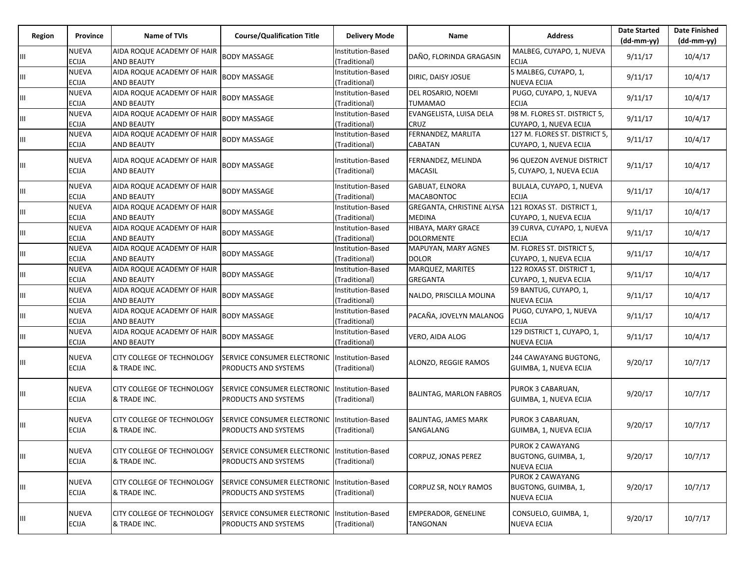| Region | Province                     | Name of TVIs                                      | <b>Course/Qualification Title</b>                                     | <b>Delivery Mode</b>                      | Name                                       | <b>Address</b>                                                       | <b>Date Started</b><br>$(dd-mm-yy)$ | <b>Date Finished</b><br>$(dd-mm-yy)$ |
|--------|------------------------------|---------------------------------------------------|-----------------------------------------------------------------------|-------------------------------------------|--------------------------------------------|----------------------------------------------------------------------|-------------------------------------|--------------------------------------|
| Ш      | NUEVA<br>ECIJA               | AIDA ROQUE ACADEMY OF HAIR<br><b>AND BEAUTY</b>   | <b>BODY MASSAGE</b>                                                   | Institution-Based<br>(Traditional)        | DAÑO, FLORINDA GRAGASIN                    | MALBEG, CUYAPO, 1, NUEVA<br><b>ECIJA</b>                             | 9/11/17                             | 10/4/17                              |
| Ш      | NUEVA<br><b>ECIJA</b>        | AIDA ROQUE ACADEMY OF HAIR<br><b>AND BEAUTY</b>   | <b>BODY MASSAGE</b>                                                   | Institution-Based<br>(Traditional)        | DIRIC, DAISY JOSUE                         | 5 MALBEG, CUYAPO, 1,<br><b>NUEVA ECIJA</b>                           | 9/11/17                             | 10/4/17                              |
| Ш      | NUEVA<br><b>ECIJA</b>        | AIDA ROQUE ACADEMY OF HAIR<br><b>AND BEAUTY</b>   | <b>BODY MASSAGE</b>                                                   | Institution-Based<br>(Traditional)        | DEL ROSARIO, NOEMI<br><b>TUMAMAO</b>       | PUGO, CUYAPO, 1, NUEVA<br><b>ECIJA</b>                               | 9/11/17                             | 10/4/17                              |
| Ш      | NUEVA<br><b>ECIJA</b>        | AIDA ROQUE ACADEMY OF HAIR<br><b>AND BEAUTY</b>   | <b>BODY MASSAGE</b>                                                   | Institution-Based<br>(Traditional)        | EVANGELISTA, LUISA DELA<br>CRUZ            | 98 M. FLORES ST. DISTRICT 5,<br>CUYAPO, 1, NUEVA ECIJA               | 9/11/17                             | 10/4/17                              |
| Ш      | <b>NUEVA</b><br><b>ECIJA</b> | AIDA ROQUE ACADEMY OF HAIR<br><b>AND BEAUTY</b>   | <b>BODY MASSAGE</b>                                                   | Institution-Based<br>(Traditional)        | FERNANDEZ, MARLITA<br>CABATAN              | 127 M. FLORES ST. DISTRICT 5,<br>CUYAPO, 1, NUEVA ECIJA              | 9/11/17                             | 10/4/17                              |
| Ш      | NUEVA<br><b>ECIJA</b>        | AIDA ROQUE ACADEMY OF HAIR<br><b>AND BEAUTY</b>   | <b>BODY MASSAGE</b>                                                   | Institution-Based<br>(Traditional)        | FERNANDEZ, MELINDA<br>MACASIL              | 96 QUEZON AVENUE DISTRICT<br>5, CUYAPO, 1, NUEVA ECIJA               | 9/11/17                             | 10/4/17                              |
| Ш      | NUEVA<br><b>ECIJA</b>        | AIDA ROQUE ACADEMY OF HAIR<br><b>AND BEAUTY</b>   | <b>BODY MASSAGE</b>                                                   | Institution-Based<br>(Traditional)        | <b>GABUAT, ELNORA</b><br><b>MACABONTOC</b> | BULALA, CUYAPO, 1, NUEVA<br><b>ECIJA</b>                             | 9/11/17                             | 10/4/17                              |
| Ш      | NUEVA<br><b>ECIJA</b>        | AIDA ROQUE ACADEMY OF HAIR<br><b>AND BEAUTY</b>   | <b>BODY MASSAGE</b>                                                   | Institution-Based<br>(Traditional)        | GREGANTA, CHRISTINE ALYSA<br><b>MEDINA</b> | 121 ROXAS ST. DISTRICT 1,<br>CUYAPO, 1, NUEVA ECIJA                  | 9/11/17                             | 10/4/17                              |
| Ш      | <b>NUEVA</b><br><b>ECIJA</b> | AIDA ROQUE ACADEMY OF HAIR<br><b>AND BEAUTY</b>   | <b>BODY MASSAGE</b>                                                   | Institution-Based<br>(Traditional)        | HIBAYA, MARY GRACE<br><b>DOLORMENTE</b>    | 39 CURVA, CUYAPO, 1, NUEVA<br><b>ECIJA</b>                           | 9/11/17                             | 10/4/17                              |
| Ш      | NUEVA<br><b>ECIJA</b>        | AIDA ROQUE ACADEMY OF HAIR<br><b>AND BEAUTY</b>   | <b>BODY MASSAGE</b>                                                   | Institution-Based<br>(Traditional)        | MAPUYAN, MARY AGNES<br><b>DOLOR</b>        | M. FLORES ST. DISTRICT 5,<br>CUYAPO, 1, NUEVA ECIJA                  | 9/11/17                             | 10/4/17                              |
| Ш      | <b>NUEVA</b><br><b>ECIJA</b> | AIDA ROQUE ACADEMY OF HAIR<br><b>AND BEAUTY</b>   | <b>BODY MASSAGE</b>                                                   | Institution-Based<br>(Traditional)        | MARQUEZ, MARITES<br><b>GREGANTA</b>        | 122 ROXAS ST. DISTRICT 1,<br>CUYAPO, 1, NUEVA ECIJA                  | 9/11/17                             | 10/4/17                              |
| Ш      | NUEVA<br><b>ECIJA</b>        | AIDA ROQUE ACADEMY OF HAIR<br><b>AND BEAUTY</b>   | <b>BODY MASSAGE</b>                                                   | Institution-Based<br>(Traditional)        | NALDO, PRISCILLA MOLINA                    | 59 BANTUG, CUYAPO, 1,<br><b>NUEVA ECIJA</b>                          | 9/11/17                             | 10/4/17                              |
| Ш      | NUEVA<br><b>ECIJA</b>        | AIDA ROQUE ACADEMY OF HAIR<br><b>AND BEAUTY</b>   | <b>BODY MASSAGE</b>                                                   | Institution-Based<br>(Traditional)        | PACAÑA, JOVELYN MALANOG                    | PUGO, CUYAPO, 1, NUEVA<br><b>ECIJA</b>                               | 9/11/17                             | 10/4/17                              |
| Ш      | NUEVA<br><b>ECIJA</b>        | AIDA ROQUE ACADEMY OF HAIR<br><b>AND BEAUTY</b>   | <b>BODY MASSAGE</b>                                                   | Institution-Based<br>(Traditional)        | VERO, AIDA ALOG                            | 129 DISTRICT 1, CUYAPO, 1,<br><b>NUEVA ECIJA</b>                     | 9/11/17                             | 10/4/17                              |
| Ш      | NUEVA<br><b>ECIJA</b>        | CITY COLLEGE OF TECHNOLOGY<br>& TRADE INC.        | SERVICE CONSUMER ELECTRONIC<br><b>PRODUCTS AND SYSTEMS</b>            | Institution-Based<br>(Traditional)        | ALONZO, REGGIE RAMOS                       | 244 CAWAYANG BUGTONG,<br>GUIMBA, 1, NUEVA ECIJA                      | 9/20/17                             | 10/7/17                              |
| Ш      | NUEVA<br><b>ECIJA</b>        | CITY COLLEGE OF TECHNOLOGY<br>& TRADE INC.        | SERVICE CONSUMER ELECTRONIC<br>PRODUCTS AND SYSTEMS                   | Institution-Based<br>(Traditional)        | <b>BALINTAG, MARLON FABROS</b>             | PUROK 3 CABARUAN,<br>GUIMBA, 1, NUEVA ECIJA                          | 9/20/17                             | 10/7/17                              |
| Ш      | NUEVA<br><b>ECIJA</b>        | CITY COLLEGE OF TECHNOLOGY<br>& TRADE INC.        | SERVICE CONSUMER ELECTRONIC<br>PRODUCTS AND SYSTEMS                   | Institution-Based<br>(Traditional)        | <b>BALINTAG, JAMES MARK</b><br>SANGALANG   | PUROK 3 CABARUAN,<br>GUIMBA, 1, NUEVA ECIJA                          | 9/20/17                             | 10/7/17                              |
| Ш      | <b>NUEVA</b><br><b>ECIJA</b> | <b>CITY COLLEGE OF TECHNOLOGY</b><br>& TRADE INC. | SERVICE CONSUMER ELECTRONIC Institution-Based<br>PRODUCTS AND SYSTEMS | (Traditional)                             | CORPUZ, JONAS PEREZ                        | PUROK 2 CAWAYANG<br>BUGTONG, GUIMBA, 1,<br><b>NUEVA ECIJA</b>        | 9/20/17                             | 10/7/17                              |
| Ш      | <b>NUEVA</b><br><b>ECIJA</b> | CITY COLLEGE OF TECHNOLOGY<br>& TRADE INC.        | SERVICE CONSUMER ELECTRONIC<br>PRODUCTS AND SYSTEMS                   | <b>Institution-Based</b><br>(Traditional) | CORPUZ SR, NOLY RAMOS                      | PUROK 2 CAWAYANG<br><b>BUGTONG, GUIMBA, 1,</b><br><b>NUEVA ECIJA</b> | 9/20/17                             | 10/7/17                              |
| Ш      | <b>NUEVA</b><br><b>ECIJA</b> | CITY COLLEGE OF TECHNOLOGY<br>& TRADE INC.        | SERVICE CONSUMER ELECTRONIC<br>PRODUCTS AND SYSTEMS                   | Institution-Based<br>(Traditional)        | <b>EMPERADOR, GENELINE</b><br>TANGONAN     | CONSUELO, GUIMBA, 1,<br><b>NUEVA ECIJA</b>                           | 9/20/17                             | 10/7/17                              |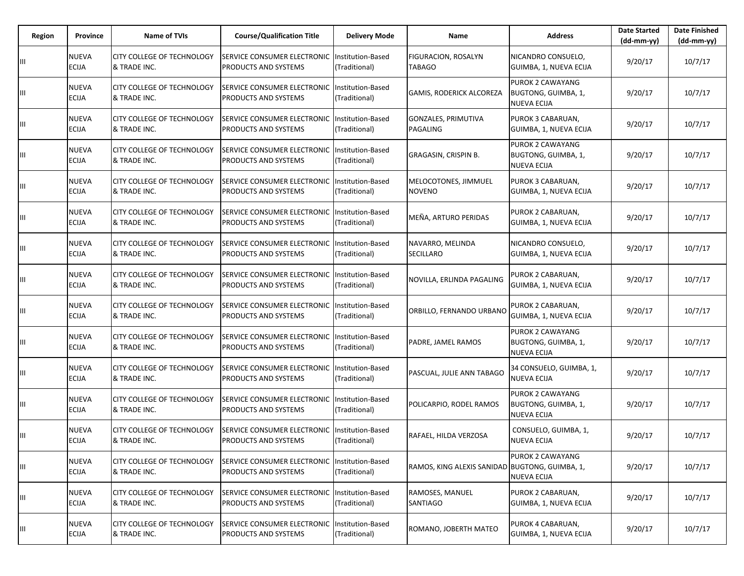| Region | Province                     | <b>Name of TVIs</b>                               | <b>Course/Qualification Title</b>                                       | <b>Delivery Mode</b>                      | Name                                           | <b>Address</b>                                                | <b>Date Started</b><br>$(dd-mm-yy)$ | <b>Date Finished</b><br>(dd-mm-yy) |
|--------|------------------------------|---------------------------------------------------|-------------------------------------------------------------------------|-------------------------------------------|------------------------------------------------|---------------------------------------------------------------|-------------------------------------|------------------------------------|
| Ш      | NUEVA<br><b>ECIJA</b>        | CITY COLLEGE OF TECHNOLOGY<br>& TRADE INC.        | SERVICE CONSUMER ELECTRONIC<br>PRODUCTS AND SYSTEMS                     | Institution-Based<br>(Traditional)        | <b>FIGURACION, ROSALYN</b><br><b>TABAGO</b>    | NICANDRO CONSUELO,<br>GUIMBA, 1, NUEVA ECIJA                  | 9/20/17                             | 10/7/17                            |
| Ш      | <b>NUEVA</b><br><b>ECIJA</b> | <b>CITY COLLEGE OF TECHNOLOGY</b><br>& TRADE INC. | SERVICE CONSUMER ELECTRONIC<br>PRODUCTS AND SYSTEMS                     | Institution-Based<br>(Traditional)        | <b>GAMIS, RODERICK ALCOREZA</b>                | PUROK 2 CAWAYANG<br>BUGTONG, GUIMBA, 1,<br><b>NUEVA ECIJA</b> | 9/20/17                             | 10/7/17                            |
| Ш      | NUEVA<br>ECIJA               | CITY COLLEGE OF TECHNOLOGY<br>& TRADE INC.        | SERVICE CONSUMER ELECTRONIC<br>PRODUCTS AND SYSTEMS                     | Institution-Based<br>(Traditional)        | GONZALES, PRIMUTIVA<br>PAGALING                | PUROK 3 CABARUAN,<br>GUIMBA, 1, NUEVA ECIJA                   | 9/20/17                             | 10/7/17                            |
| Ш      | <b>NUEVA</b><br><b>ECIJA</b> | CITY COLLEGE OF TECHNOLOGY<br>& TRADE INC.        | SERVICE CONSUMER ELECTRONIC<br>PRODUCTS AND SYSTEMS                     | Institution-Based<br>(Traditional)        | GRAGASIN, CRISPIN B.                           | PUROK 2 CAWAYANG<br>BUGTONG, GUIMBA, 1,<br><b>NUEVA ECIJA</b> | 9/20/17                             | 10/7/17                            |
| Ш      | <b>NUEVA</b><br><b>ECIJA</b> | CITY COLLEGE OF TECHNOLOGY<br>& TRADE INC.        | SERVICE CONSUMER ELECTRONIC<br><b>PRODUCTS AND SYSTEMS</b>              | Institution-Based<br>(Traditional)        | MELOCOTONES, JIMMUEL<br><b>NOVENO</b>          | PUROK 3 CABARUAN,<br>GUIMBA, 1, NUEVA ECIJA                   | 9/20/17                             | 10/7/17                            |
| Ш      | <b>NUEVA</b><br><b>ECIJA</b> | <b>CITY COLLEGE OF TECHNOLOGY</b><br>& TRADE INC. | SERVICE CONSUMER ELECTRONIC<br>PRODUCTS AND SYSTEMS                     | Institution-Based<br>(Traditional)        | MEÑA, ARTURO PERIDAS                           | PUROK 2 CABARUAN,<br>GUIMBA, 1, NUEVA ECIJA                   | 9/20/17                             | 10/7/17                            |
| Ш      | NUEVA<br><b>ECIJA</b>        | CITY COLLEGE OF TECHNOLOGY<br>& TRADE INC.        | <b>SERVICE CONSUMER ELECTRONIC</b><br>PRODUCTS AND SYSTEMS              | Institution-Based<br>(Traditional)        | NAVARRO, MELINDA<br><b>SECILLARO</b>           | NICANDRO CONSUELO,<br>GUIMBA, 1, NUEVA ECIJA                  | 9/20/17                             | 10/7/17                            |
| Ш      | NUEVA<br>ECIJA               | CITY COLLEGE OF TECHNOLOGY<br>& TRADE INC.        | SERVICE CONSUMER ELECTRONIC<br>PRODUCTS AND SYSTEMS                     | Institution-Based<br>(Traditional)        | NOVILLA, ERLINDA PAGALING                      | PUROK 2 CABARUAN,<br>GUIMBA, 1, NUEVA ECIJA                   | 9/20/17                             | 10/7/17                            |
| Ш      | NUEVA<br>ECIJA               | CITY COLLEGE OF TECHNOLOGY<br>& TRADE INC.        | SERVICE CONSUMER ELECTRONIC<br>PRODUCTS AND SYSTEMS                     | Institution-Based<br>(Traditional)        | ORBILLO, FERNANDO URBANO                       | PUROK 2 CABARUAN,<br>GUIMBA, 1, NUEVA ECIJA                   | 9/20/17                             | 10/7/17                            |
| Ш      | <b>NUEVA</b><br>ECIJA        | CITY COLLEGE OF TECHNOLOGY<br>& TRADE INC.        | SERVICE CONSUMER ELECTRONIC<br>PRODUCTS AND SYSTEMS                     | Institution-Based<br>(Traditional)        | PADRE, JAMEL RAMOS                             | PUROK 2 CAWAYANG<br>BUGTONG, GUIMBA, 1,<br>NUEVA ECIJA        | 9/20/17                             | 10/7/17                            |
| Ш      | NUEVA<br><b>ECIJA</b>        | CITY COLLEGE OF TECHNOLOGY<br>& TRADE INC.        | SERVICE CONSUMER ELECTRONIC<br>PRODUCTS AND SYSTEMS                     | <b>Institution-Based</b><br>(Traditional) | PASCUAL, JULIE ANN TABAGO                      | 34 CONSUELO, GUIMBA, 1,<br><b>NUEVA ECIJA</b>                 | 9/20/17                             | 10/7/17                            |
| Ш      | NUEVA<br><b>ECIJA</b>        | <b>CITY COLLEGE OF TECHNOLOGY</b><br>& TRADE INC. | SERVICE CONSUMER ELECTRONIC<br>PRODUCTS AND SYSTEMS                     | <b>Institution-Based</b><br>(Traditional) | POLICARPIO, RODEL RAMOS                        | PUROK 2 CAWAYANG<br>BUGTONG, GUIMBA, 1,<br><b>NUEVA ECIJA</b> | 9/20/17                             | 10/7/17                            |
| Ш      | <b>NUEVA</b><br><b>ECIJA</b> | CITY COLLEGE OF TECHNOLOGY<br>& TRADE INC.        | SERVICE CONSUMER ELECTRONIC<br>PRODUCTS AND SYSTEMS                     | Institution-Based<br>(Traditional)        | RAFAEL, HILDA VERZOSA                          | CONSUELO, GUIMBA, 1,<br><b>NUEVA ECIJA</b>                    | 9/20/17                             | 10/7/17                            |
| Ш      | NUEVA<br><b>ECIJA</b>        | CITY COLLEGE OF TECHNOLOGY<br>& TRADE INC.        | SERVICE CONSUMER ELECTRONIC<br>PRODUCTS AND SYSTEMS                     | Institution-Based<br>(Traditional)        | RAMOS, KING ALEXIS SANIDAD BUGTONG, GUIMBA, 1, | PUROK 2 CAWAYANG<br><b>NUEVA ECIJA</b>                        | 9/20/17                             | 10/7/17                            |
| Ш      | NUEVA<br><b>ECIJA</b>        | CITY COLLEGE OF TECHNOLOGY<br>& TRADE INC.        | SERVICE CONSUMER ELECTRONIC   Institution-Based<br>PRODUCTS AND SYSTEMS | (Traditional)                             | RAMOSES, MANUEL<br>SANTIAGO                    | PUROK 2 CABARUAN,<br>GUIMBA, 1, NUEVA ECIJA                   | 9/20/17                             | 10/7/17                            |
| Ш      | NUEVA<br>ECIJA               | CITY COLLEGE OF TECHNOLOGY<br>& TRADE INC.        | SERVICE CONSUMER ELECTRONIC<br>PRODUCTS AND SYSTEMS                     | Institution-Based<br>(Traditional)        | ROMANO, JOBERTH MATEO                          | PUROK 4 CABARUAN,<br>GUIMBA, 1, NUEVA ECIJA                   | 9/20/17                             | 10/7/17                            |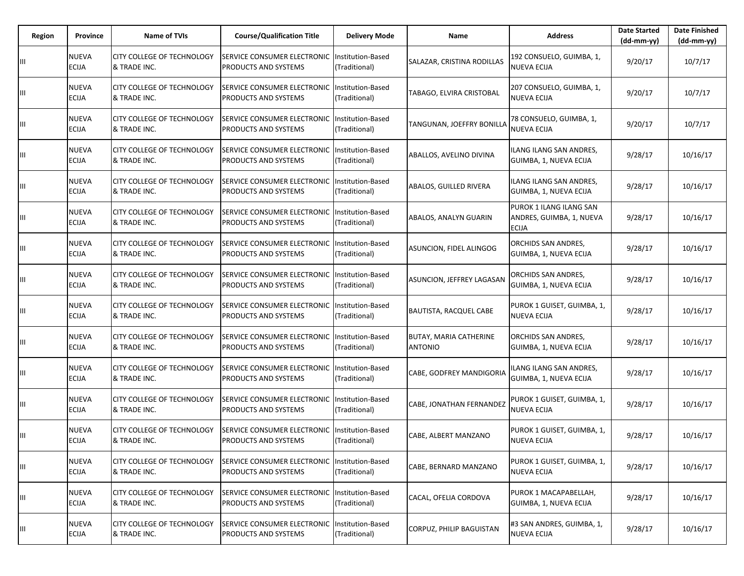| Region | Province                     | <b>Name of TVIs</b>                               | <b>Course/Qualification Title</b>                   | <b>Delivery Mode</b>                      | Name                                     | <b>Address</b>                                                      | <b>Date Started</b><br>$(dd-mm-vv)$ | <b>Date Finished</b><br>(dd-mm-yy) |
|--------|------------------------------|---------------------------------------------------|-----------------------------------------------------|-------------------------------------------|------------------------------------------|---------------------------------------------------------------------|-------------------------------------|------------------------------------|
|        | <b>NUEVA</b><br><b>ECIJA</b> | CITY COLLEGE OF TECHNOLOGY<br>& TRADE INC.        | SERVICE CONSUMER ELECTRONIC<br>PRODUCTS AND SYSTEMS | Institution-Based<br>(Traditional)        | SALAZAR, CRISTINA RODILLAS               | 192 CONSUELO, GUIMBA, 1,<br><b>NUEVA ECIJA</b>                      | 9/20/17                             | 10/7/17                            |
| Ш      | <b>NUEVA</b><br><b>ECIJA</b> | CITY COLLEGE OF TECHNOLOGY<br>& TRADE INC.        | SERVICE CONSUMER ELECTRONIC<br>PRODUCTS AND SYSTEMS | Institution-Based<br>(Traditional)        | TABAGO, ELVIRA CRISTOBAL                 | 207 CONSUELO, GUIMBA, 1,<br><b>NUEVA ECIJA</b>                      | 9/20/17                             | 10/7/17                            |
| Ш      | NUEVA<br>ECIJA               | CITY COLLEGE OF TECHNOLOGY<br>& TRADE INC.        | SERVICE CONSUMER ELECTRONIC<br>PRODUCTS AND SYSTEMS | Institution-Based<br>(Traditional)        | TANGUNAN, JOEFFRY BONILLA                | 78 CONSUELO, GUIMBA, 1,<br><b>NUEVA ECIJA</b>                       | 9/20/17                             | 10/7/17                            |
| Ш      | <b>NUEVA</b><br><b>ECIJA</b> | CITY COLLEGE OF TECHNOLOGY<br>& TRADE INC.        | SERVICE CONSUMER ELECTRONIC<br>PRODUCTS AND SYSTEMS | Institution-Based<br>(Traditional)        | ABALLOS, AVELINO DIVINA                  | ILANG ILANG SAN ANDRES,<br>GUIMBA, 1, NUEVA ECIJA                   | 9/28/17                             | 10/16/17                           |
| Ш      | <b>NUEVA</b><br><b>ECIJA</b> | CITY COLLEGE OF TECHNOLOGY<br>& TRADE INC.        | SERVICE CONSUMER ELECTRONIC<br>PRODUCTS AND SYSTEMS | Institution-Based<br>(Traditional)        | ABALOS, GUILLED RIVERA                   | ILANG ILANG SAN ANDRES,<br>GUIMBA, 1, NUEVA ECIJA                   | 9/28/17                             | 10/16/17                           |
| Ш      | <b>NUEVA</b><br>ECIJA        | <b>CITY COLLEGE OF TECHNOLOGY</b><br>& TRADE INC. | SERVICE CONSUMER ELECTRONIC<br>PRODUCTS AND SYSTEMS | Institution-Based<br>(Traditional)        | ABALOS, ANALYN GUARIN                    | PUROK 1 ILANG ILANG SAN<br>ANDRES, GUIMBA, 1, NUEVA<br><b>ECIJA</b> | 9/28/17                             | 10/16/17                           |
| Ш      | NUEVA<br>ECIJA               | CITY COLLEGE OF TECHNOLOGY<br>& TRADE INC.        | SERVICE CONSUMER ELECTRONIC<br>PRODUCTS AND SYSTEMS | <b>Institution-Based</b><br>(Traditional) | ASUNCION, FIDEL ALINGOG                  | ORCHIDS SAN ANDRES,<br>GUIMBA, 1, NUEVA ECIJA                       | 9/28/17                             | 10/16/17                           |
| Ш      | NUEVA<br>ECIJA               | CITY COLLEGE OF TECHNOLOGY<br>& TRADE INC.        | SERVICE CONSUMER ELECTRONIC<br>PRODUCTS AND SYSTEMS | Institution-Based<br>(Traditional)        | ASUNCION, JEFFREY LAGASAN                | ORCHIDS SAN ANDRES,<br>GUIMBA, 1, NUEVA ECIJA                       | 9/28/17                             | 10/16/17                           |
| Ш      | <b>NUEVA</b><br><b>ECIJA</b> | CITY COLLEGE OF TECHNOLOGY<br>& TRADE INC.        | SERVICE CONSUMER ELECTRONIC<br>PRODUCTS AND SYSTEMS | Institution-Based<br>(Traditional)        | BAUTISTA, RACQUEL CABE                   | PUROK 1 GUISET, GUIMBA, 1,<br><b>NUEVA ECIJA</b>                    | 9/28/17                             | 10/16/17                           |
|        | <b>NUEVA</b><br>ECIJA        | CITY COLLEGE OF TECHNOLOGY<br>& TRADE INC.        | SERVICE CONSUMER ELECTRONIC<br>PRODUCTS AND SYSTEMS | Institution-Based<br>(Traditional)        | BUTAY, MARIA CATHERINE<br><b>ANTONIO</b> | ORCHIDS SAN ANDRES,<br>GUIMBA, 1, NUEVA ECIJA                       | 9/28/17                             | 10/16/17                           |
| Ш      | NUEVA<br>ECIJA               | CITY COLLEGE OF TECHNOLOGY<br>& TRADE INC.        | SERVICE CONSUMER ELECTRONIC<br>PRODUCTS AND SYSTEMS | <b>Institution-Based</b><br>(Traditional) | CABE, GODFREY MANDIGORIA                 | ILANG ILANG SAN ANDRES,<br>GUIMBA, 1, NUEVA ECIJA                   | 9/28/17                             | 10/16/17                           |
| Ш      | <b>NUEVA</b><br><b>ECIJA</b> | CITY COLLEGE OF TECHNOLOGY<br>& TRADE INC.        | SERVICE CONSUMER ELECTRONIC<br>PRODUCTS AND SYSTEMS | Institution-Based<br>(Traditional)        | CABE, JONATHAN FERNANDEZ                 | PUROK 1 GUISET, GUIMBA, 1,<br><b>NUEVA ECIJA</b>                    | 9/28/17                             | 10/16/17                           |
| Ш      | <b>NUEVA</b><br><b>ECIJA</b> | <b>CITY COLLEGE OF TECHNOLOGY</b><br>& TRADE INC. | SERVICE CONSUMER ELECTRONIC<br>PRODUCTS AND SYSTEMS | Institution-Based<br>(Traditional)        | CABE, ALBERT MANZANO                     | PUROK 1 GUISET, GUIMBA, 1,<br><b>NUEVA ECIJA</b>                    | 9/28/17                             | 10/16/17                           |
| Ш      | <b>NUEVA</b><br>ECIJA        | CITY COLLEGE OF TECHNOLOGY<br>& TRADE INC.        | SERVICE CONSUMER ELECTRONIC<br>PRODUCTS AND SYSTEMS | Institution-Based<br>(Traditional)        | CABE, BERNARD MANZANO                    | PUROK 1 GUISET, GUIMBA, 1,<br><b>NUEVA ECIJA</b>                    | 9/28/17                             | 10/16/17                           |
| Ш      | NUEVA<br><b>ECIJA</b>        | CITY COLLEGE OF TECHNOLOGY<br>& TRADE INC.        | SERVICE CONSUMER ELECTRONIC<br>PRODUCTS AND SYSTEMS | Institution-Based<br>(Traditional)        | CACAL, OFELIA CORDOVA                    | PUROK 1 MACAPABELLAH,<br>GUIMBA, 1, NUEVA ECIJA                     | 9/28/17                             | 10/16/17                           |
| Ш      | <b>NUEVA</b><br>ECIJA        | CITY COLLEGE OF TECHNOLOGY<br>& TRADE INC.        | SERVICE CONSUMER ELECTRONIC<br>PRODUCTS AND SYSTEMS | Institution-Based<br>(Traditional)        | CORPUZ, PHILIP BAGUISTAN                 | #3 SAN ANDRES, GUIMBA, 1,<br><b>NUEVA ECIJA</b>                     | 9/28/17                             | 10/16/17                           |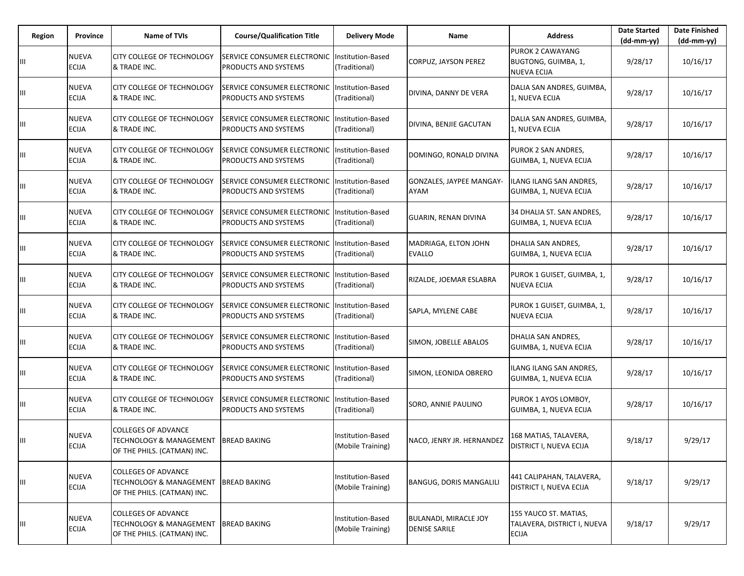| Region | Province                     | <b>Name of TVIs</b>                                                                             | <b>Course/Qualification Title</b>                   | <b>Delivery Mode</b>                      | Name                                                 | <b>Address</b>                                                       | <b>Date Started</b><br>$(dd-mm-yy)$ | <b>Date Finished</b><br>$(dd-mm-yy)$ |
|--------|------------------------------|-------------------------------------------------------------------------------------------------|-----------------------------------------------------|-------------------------------------------|------------------------------------------------------|----------------------------------------------------------------------|-------------------------------------|--------------------------------------|
|        | NUEVA<br><b>ECIJA</b>        | CITY COLLEGE OF TECHNOLOGY<br>& TRADE INC.                                                      | SERVICE CONSUMER ELECTRONIC<br>PRODUCTS AND SYSTEMS | Institution-Based<br>(Traditional)        | CORPUZ, JAYSON PEREZ                                 | <b>PUROK 2 CAWAYANG</b><br>BUGTONG, GUIMBA, 1,<br><b>NUEVA ECIJA</b> | 9/28/17                             | 10/16/17                             |
| Ш      | NUEVA<br><b>ECIJA</b>        | CITY COLLEGE OF TECHNOLOGY<br>& TRADE INC.                                                      | SERVICE CONSUMER ELECTRONIC<br>PRODUCTS AND SYSTEMS | Institution-Based<br>(Traditional)        | DIVINA, DANNY DE VERA                                | DALIA SAN ANDRES, GUIMBA,<br>1, NUEVA ECIJA                          | 9/28/17                             | 10/16/17                             |
| Ш      | NUEVA<br>ECIJA               | CITY COLLEGE OF TECHNOLOGY<br>& TRADE INC.                                                      | SERVICE CONSUMER ELECTRONIC<br>PRODUCTS AND SYSTEMS | Institution-Based<br>(Traditional)        | DIVINA, BENJIE GACUTAN                               | DALIA SAN ANDRES, GUIMBA,<br>1, NUEVA ECIJA                          | 9/28/17                             | 10/16/17                             |
| Ш      | <b>NUEVA</b><br><b>ECIJA</b> | <b>CITY COLLEGE OF TECHNOLOGY</b><br>& TRADE INC.                                               | SERVICE CONSUMER ELECTRONIC<br>PRODUCTS AND SYSTEMS | Institution-Based<br>(Traditional)        | DOMINGO, RONALD DIVINA                               | PUROK 2 SAN ANDRES,<br>GUIMBA, 1, NUEVA ECIJA                        | 9/28/17                             | 10/16/17                             |
| Ш      | <b>NUEVA</b><br><b>ECIJA</b> | CITY COLLEGE OF TECHNOLOGY<br>& TRADE INC.                                                      | SERVICE CONSUMER ELECTRONIC<br>PRODUCTS AND SYSTEMS | Institution-Based<br>(Traditional)        | GONZALES, JAYPEE MANGAY-<br>AYAM                     | ILANG ILANG SAN ANDRES,<br>GUIMBA, 1, NUEVA ECIJA                    | 9/28/17                             | 10/16/17                             |
| Ш      | <b>NUEVA</b><br>ECIJA        | <b>CITY COLLEGE OF TECHNOLOGY</b><br>& TRADE INC.                                               | SERVICE CONSUMER ELECTRONIC<br>PRODUCTS AND SYSTEMS | Institution-Based<br>(Traditional)        | <b>GUARIN, RENAN DIVINA</b>                          | 34 DHALIA ST. SAN ANDRES,<br>GUIMBA, 1, NUEVA ECIJA                  | 9/28/17                             | 10/16/17                             |
| Ш      | NUEVA<br>ECIJA               | CITY COLLEGE OF TECHNOLOGY<br>& TRADE INC.                                                      | SERVICE CONSUMER ELECTRONIC<br>PRODUCTS AND SYSTEMS | Institution-Based<br>(Traditional)        | MADRIAGA, ELTON JOHN<br><b>EVALLO</b>                | DHALIA SAN ANDRES,<br>GUIMBA, 1, NUEVA ECIJA                         | 9/28/17                             | 10/16/17                             |
| Ш      | NUEVA<br><b>ECIJA</b>        | CITY COLLEGE OF TECHNOLOGY<br>& TRADE INC.                                                      | SERVICE CONSUMER ELECTRONIC<br>PRODUCTS AND SYSTEMS | Institution-Based<br>(Traditional)        | RIZALDE, JOEMAR ESLABRA                              | PUROK 1 GUISET, GUIMBA, 1,<br><b>NUEVA ECIJA</b>                     | 9/28/17                             | 10/16/17                             |
| Ш      | NUEVA<br>ECIJA               | CITY COLLEGE OF TECHNOLOGY<br>& TRADE INC.                                                      | SERVICE CONSUMER ELECTRONIC<br>PRODUCTS AND SYSTEMS | Institution-Based<br>(Traditional)        | SAPLA, MYLENE CABE                                   | PUROK 1 GUISET, GUIMBA, 1,<br><b>NUEVA ECIJA</b>                     | 9/28/17                             | 10/16/17                             |
|        | NUEVA<br>ECIJA               | CITY COLLEGE OF TECHNOLOGY<br>& TRADE INC.                                                      | SERVICE CONSUMER ELECTRONIC<br>PRODUCTS AND SYSTEMS | Institution-Based<br>(Traditional)        | SIMON, JOBELLE ABALOS                                | DHALIA SAN ANDRES,<br>GUIMBA, 1, NUEVA ECIJA                         | 9/28/17                             | 10/16/17                             |
| Ш      | NUEVA<br>ECIJA               | <b>CITY COLLEGE OF TECHNOLOGY</b><br>& TRADE INC.                                               | SERVICE CONSUMER ELECTRONIC<br>PRODUCTS AND SYSTEMS | <b>Institution-Based</b><br>(Traditional) | SIMON, LEONIDA OBRERO                                | ILANG ILANG SAN ANDRES,<br>GUIMBA, 1, NUEVA ECIJA                    | 9/28/17                             | 10/16/17                             |
| Ш      | NUEVA<br><b>ECIJA</b>        | <b>CITY COLLEGE OF TECHNOLOGY</b><br>& TRADE INC.                                               | SERVICE CONSUMER ELECTRONIC<br>PRODUCTS AND SYSTEMS | Institution-Based<br>(Traditional)        | SORO, ANNIE PAULINO                                  | PUROK 1 AYOS LOMBOY,<br>GUIMBA, 1, NUEVA ECIJA                       | 9/28/17                             | 10/16/17                             |
| Ш      | NUEVA<br><b>ECIJA</b>        | <b>COLLEGES OF ADVANCE</b><br><b>TECHNOLOGY &amp; MANAGEMENT</b><br>OF THE PHILS. (CATMAN) INC. | <b>BREAD BAKING</b>                                 | Institution-Based<br>(Mobile Training)    | NACO, JENRY JR. HERNANDEZ                            | 168 MATIAS, TALAVERA,<br>DISTRICT I, NUEVA ECIJA                     | 9/18/17                             | 9/29/17                              |
| Ш      | NUEVA<br><b>ECIJA</b>        | <b>COLLEGES OF ADVANCE</b><br><b>TECHNOLOGY &amp; MANAGEMENT</b><br>OF THE PHILS. (CATMAN) INC. | <b>BREAD BAKING</b>                                 | Institution-Based<br>(Mobile Training)    | <b>BANGUG, DORIS MANGALILI</b>                       | 441 CALIPAHAN, TALAVERA,<br>DISTRICT I, NUEVA ECIJA                  | 9/18/17                             | 9/29/17                              |
| Ш      | <b>NUEVA</b><br>ECIJA        | <b>COLLEGES OF ADVANCE</b><br><b>TECHNOLOGY &amp; MANAGEMENT</b><br>OF THE PHILS. (CATMAN) INC. | <b>BREAD BAKING</b>                                 | Institution-Based<br>(Mobile Training)    | <b>BULANADI, MIRACLE JOY</b><br><b>DENISE SARILE</b> | 155 YAUCO ST. MATIAS,<br>TALAVERA, DISTRICT I, NUEVA<br><b>ECIJA</b> | 9/18/17                             | 9/29/17                              |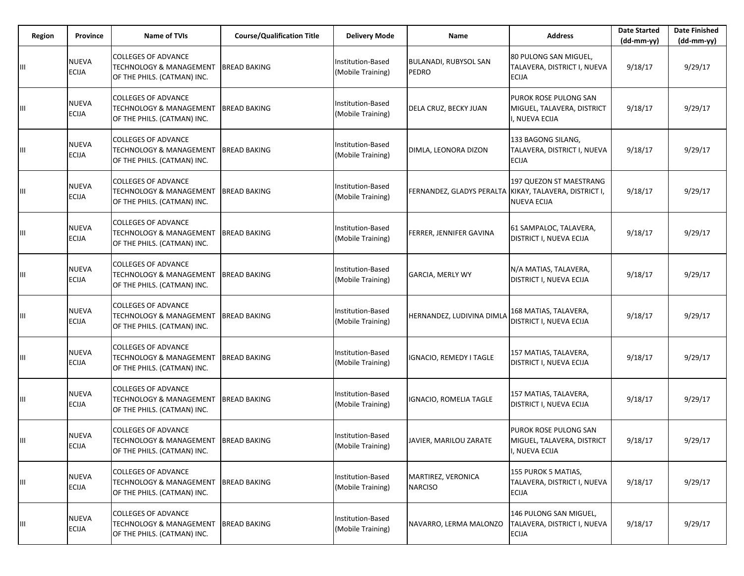| Region | Province                     | <b>Name of TVIs</b>                                                                             | <b>Course/Qualification Title</b> | <b>Delivery Mode</b>                   | Name                                                   | <b>Address</b>                                                        | <b>Date Started</b><br>$(dd-mm-yy)$ | <b>Date Finished</b><br>$(dd-mm-yy)$ |
|--------|------------------------------|-------------------------------------------------------------------------------------------------|-----------------------------------|----------------------------------------|--------------------------------------------------------|-----------------------------------------------------------------------|-------------------------------------|--------------------------------------|
| Ш      | <b>NUEVA</b><br><b>ECIJA</b> | <b>COLLEGES OF ADVANCE</b><br><b>TECHNOLOGY &amp; MANAGEMENT</b><br>OF THE PHILS. (CATMAN) INC. | <b>BREAD BAKING</b>               | Institution-Based<br>(Mobile Training) | BULANADI, RUBYSOL SAN<br><b>PEDRO</b>                  | 80 PULONG SAN MIGUEL,<br>TALAVERA, DISTRICT I, NUEVA<br><b>ECIJA</b>  | 9/18/17                             | 9/29/17                              |
| Ш      | NUEVA<br><b>ECIJA</b>        | <b>COLLEGES OF ADVANCE</b><br><b>TECHNOLOGY &amp; MANAGEMENT</b><br>OF THE PHILS. (CATMAN) INC. | <b>BREAD BAKING</b>               | Institution-Based<br>(Mobile Training) | DELA CRUZ, BECKY JUAN                                  | PUROK ROSE PULONG SAN<br>MIGUEL, TALAVERA, DISTRICT<br>, NUEVA ECIJA  | 9/18/17                             | 9/29/17                              |
| Ш      | <b>NUEVA</b><br><b>ECIJA</b> | <b>COLLEGES OF ADVANCE</b><br><b>TECHNOLOGY &amp; MANAGEMENT</b><br>OF THE PHILS. (CATMAN) INC. | <b>BREAD BAKING</b>               | Institution-Based<br>Mobile Training)  | DIMLA, LEONORA DIZON                                   | 133 BAGONG SILANG,<br>TALAVERA, DISTRICT I, NUEVA<br><b>ECIJA</b>     | 9/18/17                             | 9/29/17                              |
| Ш      | NUEVA<br><b>ECIJA</b>        | <b>COLLEGES OF ADVANCE</b><br><b>TECHNOLOGY &amp; MANAGEMENT</b><br>OF THE PHILS. (CATMAN) INC. | <b>BREAD BAKING</b>               | Institution-Based<br>(Mobile Training) | FERNANDEZ, GLADYS PERALTA KIKAY, TALAVERA, DISTRICT I, | 197 QUEZON ST MAESTRANG<br><b>NUEVA ECIJA</b>                         | 9/18/17                             | 9/29/17                              |
| Ш      | <b>NUEVA</b><br><b>ECIJA</b> | <b>COLLEGES OF ADVANCE</b><br>TECHNOLOGY & MANAGEMENT<br>OF THE PHILS. (CATMAN) INC.            | <b>BREAD BAKING</b>               | nstitution-Based<br>(Mobile Training)  | FERRER, JENNIFER GAVINA                                | 61 SAMPALOC, TALAVERA,<br>DISTRICT I, NUEVA ECIJA                     | 9/18/17                             | 9/29/17                              |
| Ш      | <b>NUEVA</b><br><b>ECIJA</b> | <b>COLLEGES OF ADVANCE</b><br><b>TECHNOLOGY &amp; MANAGEMENT</b><br>OF THE PHILS. (CATMAN) INC. | <b>BREAD BAKING</b>               | Institution-Based<br>(Mobile Training) | <b>GARCIA, MERLY WY</b>                                | N/A MATIAS, TALAVERA,<br>DISTRICT I, NUEVA ECIJA                      | 9/18/17                             | 9/29/17                              |
| Ш      | NUEVA<br><b>ECIJA</b>        | <b>COLLEGES OF ADVANCE</b><br><b>TECHNOLOGY &amp; MANAGEMENT</b><br>OF THE PHILS. (CATMAN) INC. | <b>BREAD BAKING</b>               | Institution-Based<br>(Mobile Training) | HERNANDEZ, LUDIVINA DIMLA                              | 168 MATIAS, TALAVERA,<br><b>DISTRICT I, NUEVA ECIJA</b>               | 9/18/17                             | 9/29/17                              |
| Ш      | NUEVA<br><b>ECIJA</b>        | <b>COLLEGES OF ADVANCE</b><br>TECHNOLOGY & MANAGEMENT<br>OF THE PHILS. (CATMAN) INC.            | <b>BREAD BAKING</b>               | Institution-Based<br>(Mobile Training) | IGNACIO, REMEDY I TAGLE                                | 157 MATIAS, TALAVERA,<br>DISTRICT I, NUEVA ECIJA                      | 9/18/17                             | 9/29/17                              |
| Ш      | <b>NUEVA</b><br><b>ECIJA</b> | <b>COLLEGES OF ADVANCE</b><br><b>TECHNOLOGY &amp; MANAGEMENT</b><br>OF THE PHILS. (CATMAN) INC. | <b>BREAD BAKING</b>               | Institution-Based<br>(Mobile Training) | IGNACIO, ROMELIA TAGLE                                 | 157 MATIAS, TALAVERA,<br>DISTRICT I, NUEVA ECIJA                      | 9/18/17                             | 9/29/17                              |
| Ш      | NUEVA<br><b>ECIJA</b>        | <b>COLLEGES OF ADVANCE</b><br><b>TECHNOLOGY &amp; MANAGEMENT</b><br>OF THE PHILS. (CATMAN) INC. | <b>BREAD BAKING</b>               | Institution-Based<br>(Mobile Training) | JAVIER, MARILOU ZARATE                                 | PUROK ROSE PULONG SAN<br>MIGUEL, TALAVERA, DISTRICT<br>, NUEVA ECIJA  | 9/18/17                             | 9/29/17                              |
| Ш      | NUEVA<br><b>ECIJA</b>        | <b>COLLEGES OF ADVANCE</b><br><b>TECHNOLOGY &amp; MANAGEMENT</b><br>OF THE PHILS. (CATMAN) INC. | <b>BREAD BAKING</b>               | Institution-Based<br>(Mobile Training) | MARTIREZ, VERONICA<br><b>NARCISO</b>                   | 155 PUROK 5 MATIAS,<br>TALAVERA, DISTRICT I, NUEVA<br><b>ECIJA</b>    | 9/18/17                             | 9/29/17                              |
| Ш      | <b>NUEVA</b><br>ECIJA        | <b>COLLEGES OF ADVANCE</b><br><b>TECHNOLOGY &amp; MANAGEMENT</b><br>OF THE PHILS. (CATMAN) INC. | <b>BREAD BAKING</b>               | Institution-Based<br>(Mobile Training) | NAVARRO, LERMA MALONZO                                 | 146 PULONG SAN MIGUEL,<br>TALAVERA, DISTRICT I, NUEVA<br><b>ECIJA</b> | 9/18/17                             | 9/29/17                              |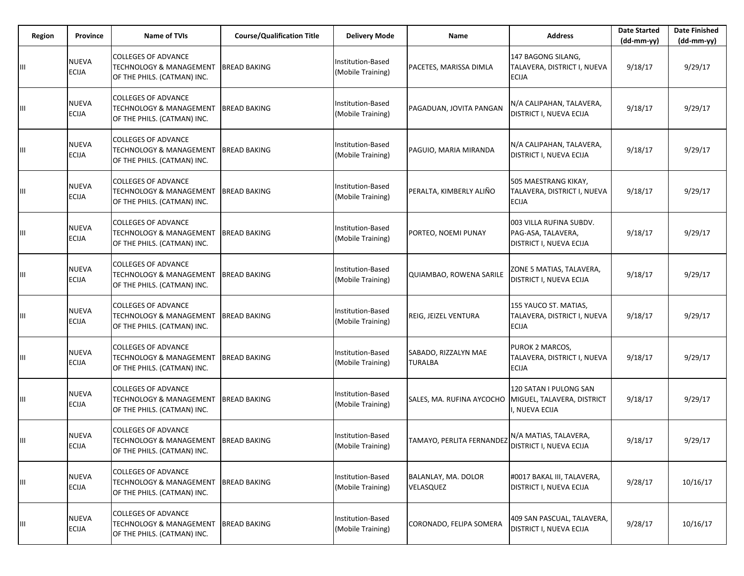| Region | Province                     | <b>Name of TVIs</b>                                                                             | <b>Course/Qualification Title</b> | <b>Delivery Mode</b>                          | Name                                   | <b>Address</b>                                                           | <b>Date Started</b><br>$(dd-mm-yy)$ | <b>Date Finished</b><br>$(dd-mm-yy)$ |
|--------|------------------------------|-------------------------------------------------------------------------------------------------|-----------------------------------|-----------------------------------------------|----------------------------------------|--------------------------------------------------------------------------|-------------------------------------|--------------------------------------|
| Ш      | <b>NUEVA</b><br><b>ECIJA</b> | <b>COLLEGES OF ADVANCE</b><br><b>TECHNOLOGY &amp; MANAGEMENT</b><br>OF THE PHILS. (CATMAN) INC. | <b>BREAD BAKING</b>               | Institution-Based<br>(Mobile Training)        | PACETES, MARISSA DIMLA                 | 147 BAGONG SILANG,<br>TALAVERA, DISTRICT I, NUEVA<br><b>ECIJA</b>        | 9/18/17                             | 9/29/17                              |
| Ш      | NUEVA<br><b>ECIJA</b>        | <b>COLLEGES OF ADVANCE</b><br><b>TECHNOLOGY &amp; MANAGEMENT</b><br>OF THE PHILS. (CATMAN) INC. | <b>BREAD BAKING</b>               | nstitution-Based<br>(Mobile Training)         | PAGADUAN, JOVITA PANGAN                | N/A CALIPAHAN, TALAVERA,<br>DISTRICT I, NUEVA ECIJA                      | 9/18/17                             | 9/29/17                              |
| Ш      | <b>NUEVA</b><br><b>ECIJA</b> | <b>COLLEGES OF ADVANCE</b><br><b>TECHNOLOGY &amp; MANAGEMENT</b><br>OF THE PHILS. (CATMAN) INC. | <b>BREAD BAKING</b>               | Institution-Based<br>Mobile Training)         | PAGUIO, MARIA MIRANDA                  | N/A CALIPAHAN, TALAVERA,<br>DISTRICT I, NUEVA ECIJA                      | 9/18/17                             | 9/29/17                              |
| Ш      | NUEVA<br><b>ECIJA</b>        | <b>COLLEGES OF ADVANCE</b><br><b>TECHNOLOGY &amp; MANAGEMENT</b><br>OF THE PHILS. (CATMAN) INC. | <b>BREAD BAKING</b>               | Institution-Based<br>(Mobile Training)        | PERALTA, KIMBERLY ALIÑO                | 505 MAESTRANG KIKAY,<br>TALAVERA, DISTRICT I, NUEVA<br><b>ECIJA</b>      | 9/18/17                             | 9/29/17                              |
| Ш      | <b>NUEVA</b><br><b>ECIJA</b> | <b>COLLEGES OF ADVANCE</b><br>TECHNOLOGY & MANAGEMENT<br>OF THE PHILS. (CATMAN) INC.            | <b>BREAD BAKING</b>               | nstitution-Based<br>(Mobile Training)         | PORTEO, NOEMI PUNAY                    | 003 VILLA RUFINA SUBDV.<br>PAG-ASA, TALAVERA,<br>DISTRICT I, NUEVA ECIJA | 9/18/17                             | 9/29/17                              |
| Ш      | <b>NUEVA</b><br><b>ECIJA</b> | <b>COLLEGES OF ADVANCE</b><br><b>TECHNOLOGY &amp; MANAGEMENT</b><br>OF THE PHILS. (CATMAN) INC. | <b>BREAD BAKING</b>               | Institution-Based<br>(Mobile Training)        | QUIAMBAO, ROWENA SARILE                | ZONE 5 MATIAS, TALAVERA,<br>DISTRICT I, NUEVA ECIJA                      | 9/18/17                             | 9/29/17                              |
| Ш      | NUEVA<br><b>ECIJA</b>        | <b>COLLEGES OF ADVANCE</b><br><b>TECHNOLOGY &amp; MANAGEMENT</b><br>OF THE PHILS. (CATMAN) INC. | <b>BREAD BAKING</b>               | Institution-Based<br>(Mobile Training)        | REIG, JEIZEL VENTURA                   | 155 YAUCO ST. MATIAS,<br>TALAVERA, DISTRICT I, NUEVA<br><b>ECIJA</b>     | 9/18/17                             | 9/29/17                              |
| Ш      | NUEVA<br><b>ECIJA</b>        | <b>COLLEGES OF ADVANCE</b><br>TECHNOLOGY & MANAGEMENT<br>OF THE PHILS. (CATMAN) INC.            | <b>BREAD BAKING</b>               | Institution-Based<br>(Mobile Training)        | SABADO, RIZZALYN MAE<br><b>TURALBA</b> | PUROK 2 MARCOS,<br>TALAVERA, DISTRICT I, NUEVA<br><b>ECIJA</b>           | 9/18/17                             | 9/29/17                              |
| Ш      | <b>NUEVA</b><br><b>ECIJA</b> | <b>COLLEGES OF ADVANCE</b><br><b>TECHNOLOGY &amp; MANAGEMENT</b><br>OF THE PHILS. (CATMAN) INC. | <b>BREAD BAKING</b>               | Institution-Based<br>(Mobile Training)        | SALES, MA. RUFINA AYCOCHO              | 120 SATAN I PULONG SAN<br>MIGUEL, TALAVERA, DISTRICT<br>. NUEVA ECIJA    | 9/18/17                             | 9/29/17                              |
| Ш      | NUEVA<br><b>ECIJA</b>        | <b>COLLEGES OF ADVANCE</b><br><b>TECHNOLOGY &amp; MANAGEMENT</b><br>OF THE PHILS. (CATMAN) INC. | <b>BREAD BAKING</b>               | Institution-Based<br>(Mobile Training)        | TAMAYO, PERLITA FERNANDEZ              | N/A MATIAS, TALAVERA,<br>DISTRICT I, NUEVA ECIJA                         | 9/18/17                             | 9/29/17                              |
| Ш      | NUEVA<br><b>ECIJA</b>        | <b>COLLEGES OF ADVANCE</b><br><b>TECHNOLOGY &amp; MANAGEMENT</b><br>OF THE PHILS. (CATMAN) INC. | <b>BREAD BAKING</b>               | Institution-Based<br>(Mobile Training)        | BALANLAY, MA. DOLOR<br>VELASQUEZ       | #0017 BAKAL III, TALAVERA,<br>DISTRICT I, NUEVA ECIJA                    | 9/28/17                             | 10/16/17                             |
| Ш      | <b>NUEVA</b><br>ECIJA        | <b>COLLEGES OF ADVANCE</b><br><b>TECHNOLOGY &amp; MANAGEMENT</b><br>OF THE PHILS. (CATMAN) INC. | <b>BREAD BAKING</b>               | <b>Institution-Based</b><br>(Mobile Training) | CORONADO, FELIPA SOMERA                | 409 SAN PASCUAL, TALAVERA,<br><b>DISTRICT I, NUEVA ECIJA</b>             | 9/28/17                             | 10/16/17                             |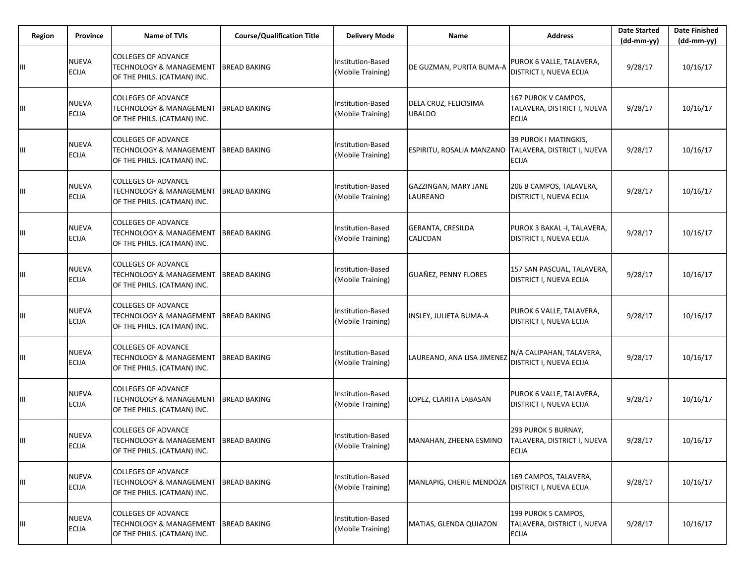| Region | <b>Province</b>              | <b>Name of TVIs</b>                                                                             | <b>Course/Qualification Title</b> | <b>Delivery Mode</b>                          | Name                                                  | <b>Address</b>                                                     | <b>Date Started</b><br>(dd-mm-yy) | <b>Date Finished</b><br>(dd-mm-yy) |
|--------|------------------------------|-------------------------------------------------------------------------------------------------|-----------------------------------|-----------------------------------------------|-------------------------------------------------------|--------------------------------------------------------------------|-----------------------------------|------------------------------------|
| Ш      | NUEVA<br><b>ECIJA</b>        | <b>COLLEGES OF ADVANCE</b><br><b>TECHNOLOGY &amp; MANAGEMENT</b><br>OF THE PHILS. (CATMAN) INC. | <b>BREAD BAKING</b>               | Institution-Based<br>(Mobile Training)        | DE GUZMAN, PURITA BUMA-A                              | PUROK 6 VALLE, TALAVERA,<br><b>DISTRICT I, NUEVA ECIJA</b>         | 9/28/17                           | 10/16/17                           |
| Ш      | NUEVA<br><b>ECIJA</b>        | <b>COLLEGES OF ADVANCE</b><br><b>TECHNOLOGY &amp; MANAGEMENT</b><br>OF THE PHILS. (CATMAN) INC. | <b>BREAD BAKING</b>               | Institution-Based<br>(Mobile Training)        | DELA CRUZ, FELICISIMA<br>UBALDO                       | 167 PUROK V CAMPOS,<br>TALAVERA, DISTRICT I, NUEVA<br><b>ECIJA</b> | 9/28/17                           | 10/16/17                           |
| Ш      | NUEVA<br><b>ECIJA</b>        | <b>COLLEGES OF ADVANCE</b><br><b>TECHNOLOGY &amp; MANAGEMENT</b><br>OF THE PHILS. (CATMAN) INC. | <b>BREAD BAKING</b>               | Institution-Based<br>Mobile Training)         | ESPIRITU, ROSALIA MANZANO TALAVERA, DISTRICT I, NUEVA | 39 PUROK I MATINGKIS,<br><b>ECIJA</b>                              | 9/28/17                           | 10/16/17                           |
| Ш      | NUEVA<br><b>ECIJA</b>        | <b>COLLEGES OF ADVANCE</b><br><b>TECHNOLOGY &amp; MANAGEMENT</b><br>OF THE PHILS. (CATMAN) INC. | <b>BREAD BAKING</b>               | Institution-Based<br>(Mobile Training)        | GAZZINGAN, MARY JANE<br>LAUREANO                      | 206 B CAMPOS, TALAVERA,<br>DISTRICT I, NUEVA ECIJA                 | 9/28/17                           | 10/16/17                           |
| Ш      | NUEVA<br><b>ECIJA</b>        | <b>COLLEGES OF ADVANCE</b><br><b>TECHNOLOGY &amp; MANAGEMENT</b><br>OF THE PHILS. (CATMAN) INC. | <b>BREAD BAKING</b>               | Institution-Based<br>(Mobile Training)        | GERANTA, CRESILDA<br>CALICDAN                         | PUROK 3 BAKAL -I, TALAVERA,<br>DISTRICT I, NUEVA ECIJA             | 9/28/17                           | 10/16/17                           |
| Ш      | NUEVA<br><b>ECIJA</b>        | <b>COLLEGES OF ADVANCE</b><br><b>TECHNOLOGY &amp; MANAGEMENT</b><br>OF THE PHILS. (CATMAN) INC. | <b>BREAD BAKING</b>               | Institution-Based<br>(Mobile Training)        | <b>GUAÑEZ, PENNY FLORES</b>                           | 157 SAN PASCUAL, TALAVERA,<br>DISTRICT I, NUEVA ECIJA              | 9/28/17                           | 10/16/17                           |
| Ш      | NUEVA<br><b>ECIJA</b>        | <b>COLLEGES OF ADVANCE</b><br><b>TECHNOLOGY &amp; MANAGEMENT</b><br>OF THE PHILS. (CATMAN) INC. | <b>BREAD BAKING</b>               | Institution-Based<br>(Mobile Training)        | INSLEY, JULIETA BUMA-A                                | PUROK 6 VALLE, TALAVERA,<br><b>DISTRICT I, NUEVA ECIJA</b>         | 9/28/17                           | 10/16/17                           |
| Ш      | NUEVA<br><b>ECIJA</b>        | <b>COLLEGES OF ADVANCE</b><br><b>TECHNOLOGY &amp; MANAGEMENT</b><br>OF THE PHILS. (CATMAN) INC. | <b>BREAD BAKING</b>               | Institution-Based<br>(Mobile Training)        | LAUREANO, ANA LISA JIMENEZ                            | N/A CALIPAHAN, TALAVERA,<br>DISTRICT I, NUEVA ECIJA                | 9/28/17                           | 10/16/17                           |
| Ш      | NUEVA<br><b>ECIJA</b>        | <b>COLLEGES OF ADVANCE</b><br><b>TECHNOLOGY &amp; MANAGEMENT</b><br>OF THE PHILS. (CATMAN) INC. | <b>BREAD BAKING</b>               | Institution-Based<br>(Mobile Training)        | LOPEZ, CLARITA LABASAN                                | PUROK 6 VALLE, TALAVERA,<br><b>DISTRICT I, NUEVA ECIJA</b>         | 9/28/17                           | 10/16/17                           |
| Ш      | NUEVA<br><b>ECIJA</b>        | <b>COLLEGES OF ADVANCE</b><br><b>TECHNOLOGY &amp; MANAGEMENT</b><br>OF THE PHILS. (CATMAN) INC. | <b>BREAD BAKING</b>               | Institution-Based<br>(Mobile Training)        | MANAHAN, ZHEENA ESMINO                                | 293 PUROK 5 BURNAY,<br>TALAVERA, DISTRICT I, NUEVA<br><b>ECIJA</b> | 9/28/17                           | 10/16/17                           |
| Ш      | NUEVA<br>ECIJA               | <b>COLLEGES OF ADVANCE</b><br><b>TECHNOLOGY &amp; MANAGEMENT</b><br>OF THE PHILS. (CATMAN) INC. | <b>BREAD BAKING</b>               | <b>Institution-Based</b><br>(Mobile Training) | MANLAPIG, CHERIE MENDOZA                              | 169 CAMPOS, TALAVERA,<br>DISTRICT I, NUEVA ECIJA                   | 9/28/17                           | 10/16/17                           |
| Ш      | <b>NUEVA</b><br><b>ECIJA</b> | <b>COLLEGES OF ADVANCE</b><br><b>TECHNOLOGY &amp; MANAGEMENT</b><br>OF THE PHILS. (CATMAN) INC. | <b>BREAD BAKING</b>               | Institution-Based<br>(Mobile Training)        | MATIAS, GLENDA QUIAZON                                | 199 PUROK 5 CAMPOS,<br>TALAVERA, DISTRICT I, NUEVA<br><b>ECIJA</b> | 9/28/17                           | 10/16/17                           |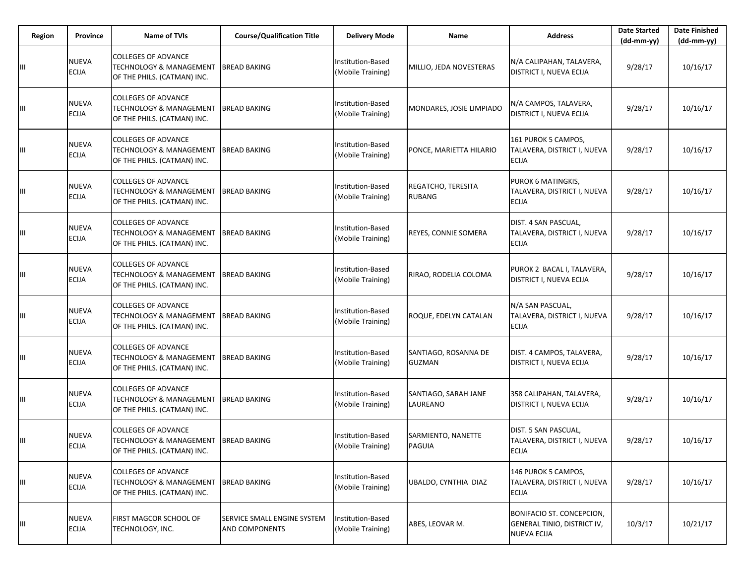| Region | Province                     | <b>Name of TVIs</b>                                                                             | <b>Course/Qualification Title</b>                    | <b>Delivery Mode</b>                   | Name                                  | <b>Address</b>                                                                 | <b>Date Started</b><br>$(dd-mm-yy)$ | <b>Date Finished</b><br>(dd-mm-yy) |
|--------|------------------------------|-------------------------------------------------------------------------------------------------|------------------------------------------------------|----------------------------------------|---------------------------------------|--------------------------------------------------------------------------------|-------------------------------------|------------------------------------|
| Ш      | <b>NUEVA</b><br>ECIJA        | <b>COLLEGES OF ADVANCE</b><br><b>TECHNOLOGY &amp; MANAGEMENT</b><br>OF THE PHILS. (CATMAN) INC. | <b>BREAD BAKING</b>                                  | Institution-Based<br>(Mobile Training) | MILLIO, JEDA NOVESTERAS               | N/A CALIPAHAN, TALAVERA,<br>DISTRICT I, NUEVA ECIJA                            | 9/28/17                             | 10/16/17                           |
| Ш      | NUEVA<br><b>ECIJA</b>        | <b>COLLEGES OF ADVANCE</b><br><b>TECHNOLOGY &amp; MANAGEMENT</b><br>OF THE PHILS. (CATMAN) INC. | <b>BREAD BAKING</b>                                  | nstitution-Based<br>(Mobile Training)  | MONDARES, JOSIE LIMPIADO              | N/A CAMPOS, TALAVERA,<br>DISTRICT I, NUEVA ECIJA                               | 9/28/17                             | 10/16/17                           |
| Ш      | <b>NUEVA</b><br><b>ECIJA</b> | <b>COLLEGES OF ADVANCE</b><br><b>TECHNOLOGY &amp; MANAGEMENT</b><br>OF THE PHILS. (CATMAN) INC. | <b>BREAD BAKING</b>                                  | Institution-Based<br>Mobile Training)  | PONCE, MARIETTA HILARIO               | 161 PUROK 5 CAMPOS,<br>TALAVERA, DISTRICT I, NUEVA<br><b>ECIJA</b>             | 9/28/17                             | 10/16/17                           |
| Ш      | NUEVA<br><b>ECIJA</b>        | <b>COLLEGES OF ADVANCE</b><br><b>TECHNOLOGY &amp; MANAGEMENT</b><br>OF THE PHILS. (CATMAN) INC. | <b>BREAD BAKING</b>                                  | Institution-Based<br>(Mobile Training) | REGATCHO, TERESITA<br><b>RUBANG</b>   | PUROK 6 MATINGKIS,<br>TALAVERA, DISTRICT I, NUEVA<br><b>ECIJA</b>              | 9/28/17                             | 10/16/17                           |
| Ш      | <b>NUEVA</b><br><b>ECIJA</b> | <b>COLLEGES OF ADVANCE</b><br>TECHNOLOGY & MANAGEMENT<br>OF THE PHILS. (CATMAN) INC.            | <b>BREAD BAKING</b>                                  | nstitution-Based<br>(Mobile Training)  | REYES, CONNIE SOMERA                  | DIST. 4 SAN PASCUAL,<br>TALAVERA, DISTRICT I, NUEVA<br><b>ECIJA</b>            | 9/28/17                             | 10/16/17                           |
| Ш      | <b>NUEVA</b><br><b>ECIJA</b> | <b>COLLEGES OF ADVANCE</b><br><b>TECHNOLOGY &amp; MANAGEMENT</b><br>OF THE PHILS. (CATMAN) INC. | <b>BREAD BAKING</b>                                  | Institution-Based<br>(Mobile Training) | RIRAO, RODELIA COLOMA                 | PUROK 2 BACAL I, TALAVERA,<br>DISTRICT I, NUEVA ECIJA                          | 9/28/17                             | 10/16/17                           |
| Ш      | NUEVA<br><b>ECIJA</b>        | <b>COLLEGES OF ADVANCE</b><br><b>TECHNOLOGY &amp; MANAGEMENT</b><br>OF THE PHILS. (CATMAN) INC. | <b>BREAD BAKING</b>                                  | Institution-Based<br>(Mobile Training) | ROQUE, EDELYN CATALAN                 | N/A SAN PASCUAL,<br>TALAVERA, DISTRICT I, NUEVA<br><b>ECIJA</b>                | 9/28/17                             | 10/16/17                           |
| Ш      | NUEVA<br><b>ECIJA</b>        | <b>COLLEGES OF ADVANCE</b><br>TECHNOLOGY & MANAGEMENT<br>OF THE PHILS. (CATMAN) INC.            | <b>BREAD BAKING</b>                                  | Institution-Based<br>(Mobile Training) | SANTIAGO, ROSANNA DE<br><b>GUZMAN</b> | DIST. 4 CAMPOS, TALAVERA,<br>DISTRICT I, NUEVA ECIJA                           | 9/28/17                             | 10/16/17                           |
| Ш      | <b>NUEVA</b><br><b>ECIJA</b> | <b>COLLEGES OF ADVANCE</b><br><b>TECHNOLOGY &amp; MANAGEMENT</b><br>OF THE PHILS. (CATMAN) INC. | <b>BREAD BAKING</b>                                  | Institution-Based<br>(Mobile Training) | SANTIAGO, SARAH JANE<br>LAUREANO      | 358 CALIPAHAN, TALAVERA,<br>DISTRICT I, NUEVA ECIJA                            | 9/28/17                             | 10/16/17                           |
| Ш      | NUEVA<br><b>ECIJA</b>        | <b>COLLEGES OF ADVANCE</b><br><b>TECHNOLOGY &amp; MANAGEMENT</b><br>OF THE PHILS. (CATMAN) INC. | <b>BREAD BAKING</b>                                  | Institution-Based<br>(Mobile Training) | SARMIENTO, NANETTE<br>PAGUIA          | DIST. 5 SAN PASCUAL,<br>TALAVERA, DISTRICT I, NUEVA<br><b>ECIJA</b>            | 9/28/17                             | 10/16/17                           |
| Ш      | NUEVA<br><b>ECIJA</b>        | <b>COLLEGES OF ADVANCE</b><br><b>TECHNOLOGY &amp; MANAGEMENT</b><br>OF THE PHILS. (CATMAN) INC. | <b>BREAD BAKING</b>                                  | Institution-Based<br>(Mobile Training) | UBALDO, CYNTHIA DIAZ                  | 146 PUROK 5 CAMPOS,<br>TALAVERA, DISTRICT I, NUEVA<br><b>ECIJA</b>             | 9/28/17                             | 10/16/17                           |
| Ш      | <b>NUEVA</b><br>ECIJA        | FIRST MAGCOR SCHOOL OF<br>TECHNOLOGY, INC.                                                      | SERVICE SMALL ENGINE SYSTEM<br><b>AND COMPONENTS</b> | Institution-Based<br>(Mobile Training) | ABES, LEOVAR M.                       | BONIFACIO ST. CONCEPCION,<br>GENERAL TINIO, DISTRICT IV,<br><b>NUEVA ECIJA</b> | 10/3/17                             | 10/21/17                           |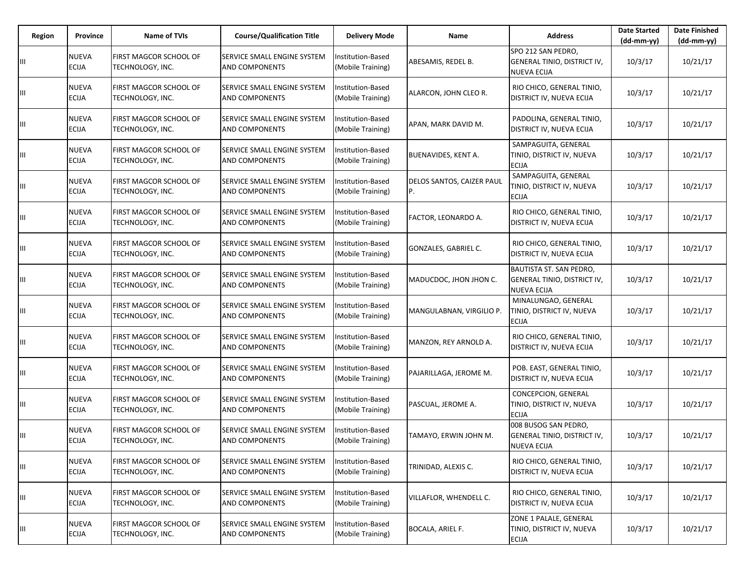| Region | <b>Province</b>              | <b>Name of TVIs</b>                        | <b>Course/Qualification Title</b>                    | <b>Delivery Mode</b>                          | Name                                   | <b>Address</b>                                                               | <b>Date Started</b><br>$(dd-mm-yy)$ | <b>Date Finished</b><br>$(dd-mm-yy)$ |
|--------|------------------------------|--------------------------------------------|------------------------------------------------------|-----------------------------------------------|----------------------------------------|------------------------------------------------------------------------------|-------------------------------------|--------------------------------------|
|        | <b>NUEVA</b><br><b>ECIJA</b> | FIRST MAGCOR SCHOOL OF<br>TECHNOLOGY, INC. | SERVICE SMALL ENGINE SYSTEM<br>AND COMPONENTS        | Institution-Based<br>(Mobile Training)        | ABESAMIS, REDEL B.                     | SPO 212 SAN PEDRO.<br>GENERAL TINIO, DISTRICT IV,<br><b>NUEVA ECIJA</b>      | 10/3/17                             | 10/21/17                             |
|        | <b>NUEVA</b><br><b>ECIJA</b> | FIRST MAGCOR SCHOOL OF<br>TECHNOLOGY, INC. | SERVICE SMALL ENGINE SYSTEM<br>AND COMPONENTS        | Institution-Based<br>(Mobile Training)        | ALARCON, JOHN CLEO R.                  | RIO CHICO, GENERAL TINIO,<br>DISTRICT IV, NUEVA ECIJA                        | 10/3/17                             | 10/21/17                             |
| Щ      | <b>NUEVA</b><br><b>ECIJA</b> | FIRST MAGCOR SCHOOL OF<br>TECHNOLOGY, INC. | SERVICE SMALL ENGINE SYSTEM<br><b>AND COMPONENTS</b> | Institution-Based<br>(Mobile Training)        | APAN, MARK DAVID M.                    | PADOLINA, GENERAL TINIO,<br>DISTRICT IV, NUEVA ECIJA                         | 10/3/17                             | 10/21/17                             |
| Ш      | <b>NUEVA</b><br><b>ECIJA</b> | FIRST MAGCOR SCHOOL OF<br>TECHNOLOGY, INC. | SERVICE SMALL ENGINE SYSTEM<br>AND COMPONENTS        | Institution-Based<br>(Mobile Training)        | BUENAVIDES, KENT A.                    | SAMPAGUITA, GENERAL<br>TINIO, DISTRICT IV, NUEVA<br><b>ECIJA</b>             | 10/3/17                             | 10/21/17                             |
| Ш      | <b>NUEVA</b><br><b>ECIJA</b> | FIRST MAGCOR SCHOOL OF<br>TECHNOLOGY, INC. | SERVICE SMALL ENGINE SYSTEM<br>AND COMPONENTS        | Institution-Based<br>(Mobile Training)        | <b>DELOS SANTOS, CAIZER PAUL</b><br>P. | SAMPAGUITA, GENERAL<br>TINIO, DISTRICT IV, NUEVA<br><b>ECIJA</b>             | 10/3/17                             | 10/21/17                             |
|        | <b>NUEVA</b><br><b>ECIJA</b> | FIRST MAGCOR SCHOOL OF<br>TECHNOLOGY, INC. | SERVICE SMALL ENGINE SYSTEM<br>AND COMPONENTS        | Institution-Based<br>(Mobile Training)        | FACTOR, LEONARDO A.                    | RIO CHICO, GENERAL TINIO,<br>DISTRICT IV, NUEVA ECIJA                        | 10/3/17                             | 10/21/17                             |
| Щ      | <b>NUEVA</b><br><b>ECIJA</b> | FIRST MAGCOR SCHOOL OF<br>TECHNOLOGY, INC. | SERVICE SMALL ENGINE SYSTEM<br>AND COMPONENTS        | Institution-Based<br>(Mobile Training)        | GONZALES, GABRIEL C.                   | RIO CHICO, GENERAL TINIO,<br>DISTRICT IV, NUEVA ECIJA                        | 10/3/17                             | 10/21/17                             |
| Щ      | <b>NUEVA</b><br><b>ECIJA</b> | FIRST MAGCOR SCHOOL OF<br>TECHNOLOGY, INC. | SERVICE SMALL ENGINE SYSTEM<br>AND COMPONENTS        | Institution-Based<br>(Mobile Training)        | MADUCDOC, JHON JHON C.                 | BAUTISTA ST. SAN PEDRO,<br>GENERAL TINIO, DISTRICT IV,<br><b>NUEVA ECIJA</b> | 10/3/17                             | 10/21/17                             |
| Щ      | <b>NUEVA</b><br><b>ECIJA</b> | FIRST MAGCOR SCHOOL OF<br>TECHNOLOGY, INC. | SERVICE SMALL ENGINE SYSTEM<br><b>AND COMPONENTS</b> | Institution-Based<br>(Mobile Training)        | MANGULABNAN, VIRGILIO P.               | MINALUNGAO, GENERAL<br>TINIO, DISTRICT IV, NUEVA<br><b>ECIJA</b>             | 10/3/17                             | 10/21/17                             |
| Ш      | <b>NUEVA</b><br><b>ECIJA</b> | FIRST MAGCOR SCHOOL OF<br>TECHNOLOGY, INC. | SERVICE SMALL ENGINE SYSTEM<br>AND COMPONENTS        | Institution-Based<br>(Mobile Training)        | MANZON, REY ARNOLD A.                  | RIO CHICO, GENERAL TINIO,<br>DISTRICT IV, NUEVA ECIJA                        | 10/3/17                             | 10/21/17                             |
| Щ      | <b>NUEVA</b><br><b>ECIJA</b> | FIRST MAGCOR SCHOOL OF<br>TECHNOLOGY, INC. | SERVICE SMALL ENGINE SYSTEM<br><b>AND COMPONENTS</b> | Institution-Based<br>(Mobile Training)        | PAJARILLAGA, JEROME M.                 | POB. EAST, GENERAL TINIO,<br>DISTRICT IV, NUEVA ECIJA                        | 10/3/17                             | 10/21/17                             |
| Щ      | <b>NUEVA</b><br><b>ECIJA</b> | FIRST MAGCOR SCHOOL OF<br>TECHNOLOGY, INC. | SERVICE SMALL ENGINE SYSTEM<br>AND COMPONENTS        | Institution-Based<br>(Mobile Training)        | PASCUAL, JEROME A.                     | CONCEPCION, GENERAL<br>TINIO, DISTRICT IV, NUEVA<br><b>ECIJA</b>             | 10/3/17                             | 10/21/17                             |
| Ш      | <b>NUEVA</b><br><b>ECIJA</b> | FIRST MAGCOR SCHOOL OF<br>TECHNOLOGY, INC. | SERVICE SMALL ENGINE SYSTEM<br><b>AND COMPONENTS</b> | Institution-Based<br>(Mobile Training)        | TAMAYO, ERWIN JOHN M.                  | 008 BUSOG SAN PEDRO,<br>GENERAL TINIO, DISTRICT IV,<br>NUEVA ECIJA           | 10/3/17                             | 10/21/17                             |
| Щ      | <b>NUEVA</b><br><b>ECIJA</b> | FIRST MAGCOR SCHOOL OF<br>TECHNOLOGY, INC. | SERVICE SMALL ENGINE SYSTEM<br>AND COMPONENTS        | <b>Institution-Based</b><br>(Mobile Training) | TRINIDAD, ALEXIS C.                    | RIO CHICO, GENERAL TINIO,<br>DISTRICT IV, NUEVA ECIJA                        | 10/3/17                             | 10/21/17                             |
| Щ      | <b>NUEVA</b><br><b>ECIJA</b> | FIRST MAGCOR SCHOOL OF<br>TECHNOLOGY, INC. | SERVICE SMALL ENGINE SYSTEM<br>AND COMPONENTS        | Institution-Based<br>(Mobile Training)        | VILLAFLOR, WHENDELL C.                 | RIO CHICO, GENERAL TINIO,<br>DISTRICT IV, NUEVA ECIJA                        | 10/3/17                             | 10/21/17                             |
|        | <b>NUEVA</b><br><b>ECIJA</b> | FIRST MAGCOR SCHOOL OF<br>TECHNOLOGY, INC. | SERVICE SMALL ENGINE SYSTEM<br>AND COMPONENTS        | Institution-Based<br>(Mobile Training)        | BOCALA, ARIEL F.                       | ZONE 1 PALALE, GENERAL<br>TINIO, DISTRICT IV, NUEVA<br><b>ECIJA</b>          | 10/3/17                             | 10/21/17                             |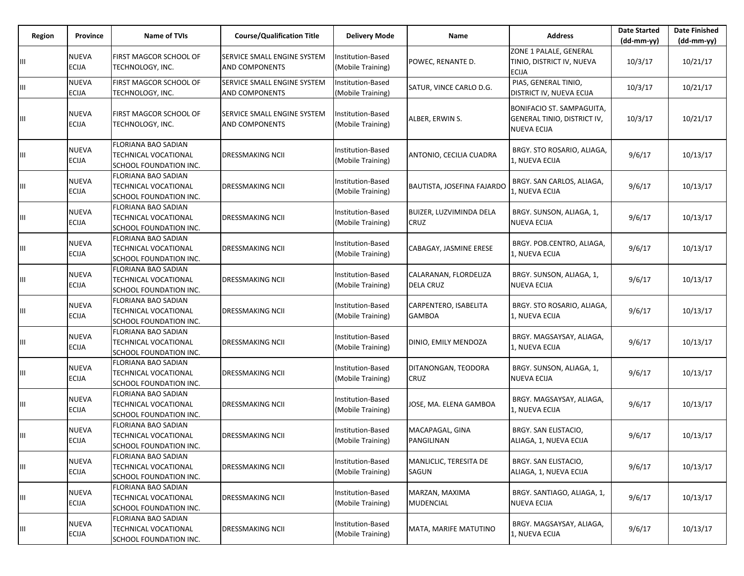| Region | <b>Province</b>              | <b>Name of TVIs</b>                                                                 | <b>Course/Qualification Title</b>                            | <b>Delivery Mode</b>                          | Name                                      | <b>Address</b>                                                                 | <b>Date Started</b><br>$(dd-mm-yy)$ | <b>Date Finished</b><br>(dd-mm-yy) |
|--------|------------------------------|-------------------------------------------------------------------------------------|--------------------------------------------------------------|-----------------------------------------------|-------------------------------------------|--------------------------------------------------------------------------------|-------------------------------------|------------------------------------|
|        | <b>NUEVA</b><br><b>ECIJA</b> | FIRST MAGCOR SCHOOL OF<br>TECHNOLOGY, INC.                                          | <b>ISERVICE SMALL ENGINE SYSTEM</b><br><b>AND COMPONENTS</b> | <b>Institution-Based</b><br>(Mobile Training) | POWEC, RENANTE D.                         | ZONE 1 PALALE, GENERAL<br>TINIO, DISTRICT IV, NUEVA<br><b>ECIJA</b>            | 10/3/17                             | 10/21/17                           |
| Ш      | <b>NUEVA</b><br><b>ECIJA</b> | FIRST MAGCOR SCHOOL OF<br>TECHNOLOGY, INC.                                          | <b>SERVICE SMALL ENGINE SYSTEM</b><br><b>AND COMPONENTS</b>  | Institution-Based<br>(Mobile Training)        | SATUR, VINCE CARLO D.G.                   | PIAS, GENERAL TINIO,<br>DISTRICT IV, NUEVA ECIJA                               | 10/3/17                             | 10/21/17                           |
| Ш      | <b>NUEVA</b><br><b>ECIJA</b> | FIRST MAGCOR SCHOOL OF<br>TECHNOLOGY, INC.                                          | SERVICE SMALL ENGINE SYSTEM<br><b>AND COMPONENTS</b>         | Institution-Based<br>(Mobile Training)        | ALBER, ERWIN S.                           | BONIFACIO ST. SAMPAGUITA,<br>GENERAL TINIO, DISTRICT IV,<br><b>NUEVA ECIJA</b> | 10/3/17                             | 10/21/17                           |
| Ш      | <b>NUEVA</b><br><b>ECIJA</b> | FLORIANA BAO SADIAN<br>TECHNICAL VOCATIONAL<br>SCHOOL FOUNDATION INC.               | DRESSMAKING NCII                                             | Institution-Based<br>(Mobile Training)        | ANTONIO, CECILIA CUADRA                   | BRGY. STO ROSARIO, ALIAGA,<br>1, NUEVA ECIJA                                   | 9/6/17                              | 10/13/17                           |
| Ш      | <b>NUEVA</b><br><b>ECIJA</b> | FLORIANA BAO SADIAN<br><b>TECHNICAL VOCATIONAL</b><br>SCHOOL FOUNDATION INC.        | <b>DRESSMAKING NCII</b>                                      | Institution-Based<br>(Mobile Training)        | BAUTISTA, JOSEFINA FAJARDO                | BRGY. SAN CARLOS, ALIAGA,<br>1, NUEVA ECIJA                                    | 9/6/17                              | 10/13/17                           |
| Ш      | <b>NUEVA</b><br><b>ECIJA</b> | FLORIANA BAO SADIAN<br>TECHNICAL VOCATIONAL<br>SCHOOL FOUNDATION INC.               | <b>DRESSMAKING NCII</b>                                      | Institution-Based<br>(Mobile Training)        | BUIZER, LUZVIMINDA DELA<br>CRUZ           | BRGY. SUNSON, ALIAGA, 1,<br><b>NUEVA ECIJA</b>                                 | 9/6/17                              | 10/13/17                           |
| Ш      | <b>NUEVA</b><br><b>ECIJA</b> | FLORIANA BAO SADIAN<br>TECHNICAL VOCATIONAL<br>SCHOOL FOUNDATION INC.               | <b>DRESSMAKING NCII</b>                                      | <b>Institution-Based</b><br>(Mobile Training) | CABAGAY, JASMINE ERESE                    | BRGY. POB.CENTRO, ALIAGA,<br>1, NUEVA ECIJA                                    | 9/6/17                              | 10/13/17                           |
| Ш      | <b>NUEVA</b><br><b>ECIJA</b> | FLORIANA BAO SADIAN<br>TECHNICAL VOCATIONAL<br>SCHOOL FOUNDATION INC.               | IDRESSMAKING NCII                                            | Institution-Based<br>(Mobile Training)        | CALARANAN, FLORDELIZA<br><b>DELA CRUZ</b> | BRGY. SUNSON, ALIAGA, 1,<br><b>NUEVA ECIJA</b>                                 | 9/6/17                              | 10/13/17                           |
| Ш      | <b>NUEVA</b><br><b>ECIJA</b> | FLORIANA BAO SADIAN<br><b>TECHNICAL VOCATIONAL</b><br>SCHOOL FOUNDATION INC.        | <b>DRESSMAKING NCII</b>                                      | Institution-Based<br>(Mobile Training)        | CARPENTERO, ISABELITA<br><b>GAMBOA</b>    | BRGY. STO ROSARIO, ALIAGA,<br>1, NUEVA ECIJA                                   | 9/6/17                              | 10/13/17                           |
| Ш      | <b>NUEVA</b><br><b>ECIJA</b> | FLORIANA BAO SADIAN<br>TECHNICAL VOCATIONAL<br>SCHOOL FOUNDATION INC.               | <b>DRESSMAKING NCII</b>                                      | <b>Institution-Based</b><br>(Mobile Training) | DINIO, EMILY MENDOZA                      | BRGY. MAGSAYSAY, ALIAGA,<br>1, NUEVA ECIJA                                     | 9/6/17                              | 10/13/17                           |
| Ш      | <b>NUEVA</b><br><b>ECIJA</b> | FLORIANA BAO SADIAN<br><b>TECHNICAL VOCATIONAL</b><br>SCHOOL FOUNDATION INC.        | <b>DRESSMAKING NCII</b>                                      | <b>Institution-Based</b><br>(Mobile Training) | DITANONGAN, TEODORA<br>CRUZ               | BRGY. SUNSON, ALIAGA, 1,<br><b>NUEVA ECIJA</b>                                 | 9/6/17                              | 10/13/17                           |
| Щ      | <b>NUEVA</b><br><b>ECIJA</b> | <b>FLORIANA BAO SADIAN</b><br>TECHNICAL VOCATIONAL<br>SCHOOL FOUNDATION INC.        | <b>DRESSMAKING NCII</b>                                      | <b>Institution-Based</b><br>(Mobile Training) | JOSE, MA. ELENA GAMBOA                    | BRGY. MAGSAYSAY, ALIAGA,<br>1, NUEVA ECIJA                                     | 9/6/17                              | 10/13/17                           |
| Ш      | <b>NUEVA</b><br><b>ECIJA</b> | <b>FLORIANA BAO SADIAN</b><br><b>TECHNICAL VOCATIONAL</b><br>SCHOOL FOUNDATION INC. | <b>DRESSMAKING NCII</b>                                      | <b>Institution-Based</b><br>(Mobile Training) | MACAPAGAL, GINA<br>PANGILINAN             | BRGY. SAN ELISTACIO,<br>ALIAGA, 1, NUEVA ECIJA                                 | 9/6/17                              | 10/13/17                           |
| Щ      | <b>NUEVA</b><br><b>ECIJA</b> | FLORIANA BAO SADIAN<br>TECHNICAL VOCATIONAL<br>SCHOOL FOUNDATION INC.               | <b>DRESSMAKING NCII</b>                                      | <b>Institution-Based</b><br>(Mobile Training) | MANLICLIC, TERESITA DE<br>SAGUN           | BRGY. SAN ELISTACIO,<br>ALIAGA, 1, NUEVA ECIJA                                 | 9/6/17                              | 10/13/17                           |
| Щ      | <b>NUEVA</b><br><b>ECIJA</b> | FLORIANA BAO SADIAN<br>TECHNICAL VOCATIONAL<br>SCHOOL FOUNDATION INC.               | <b>DRESSMAKING NCII</b>                                      | Institution-Based<br>(Mobile Training)        | MARZAN, MAXIMA<br><b>MUDENCIAL</b>        | BRGY. SANTIAGO, ALIAGA, 1,<br>NUEVA ECIJA                                      | 9/6/17                              | 10/13/17                           |
| Щ      | <b>NUEVA</b><br><b>ECIJA</b> | FLORIANA BAO SADIAN<br>TECHNICAL VOCATIONAL<br>SCHOOL FOUNDATION INC.               | <b>DRESSMAKING NCII</b>                                      | Institution-Based<br>(Mobile Training)        | MATA, MARIFE MATUTINO                     | BRGY. MAGSAYSAY, ALIAGA,<br>1, NUEVA ECIJA                                     | 9/6/17                              | 10/13/17                           |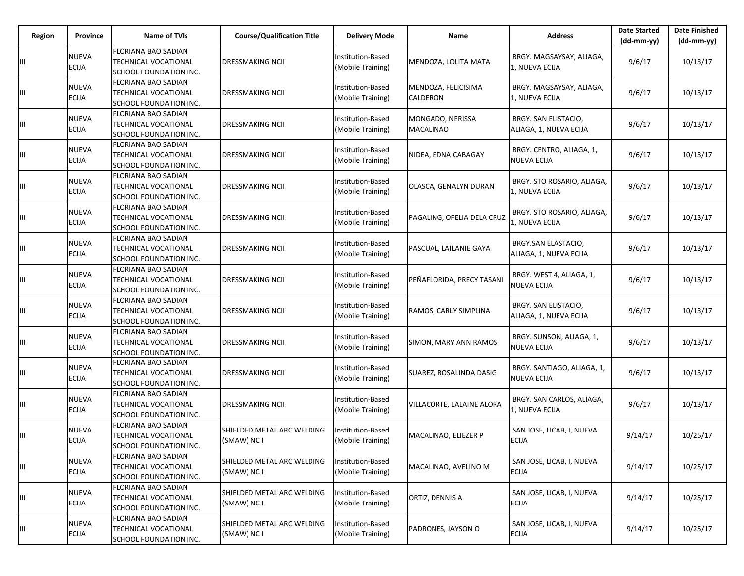| Region | Province                     | Name of TVIs                                                                 | <b>Course/Qualification Title</b>         | <b>Delivery Mode</b>                   | Name                                   | <b>Address</b>                                 | <b>Date Started</b><br>$(dd-mm-vv)$ | <b>Date Finished</b><br>$(dd-mm-yy)$ |
|--------|------------------------------|------------------------------------------------------------------------------|-------------------------------------------|----------------------------------------|----------------------------------------|------------------------------------------------|-------------------------------------|--------------------------------------|
|        | <b>NUEVA</b><br><b>ECIJA</b> | FLORIANA BAO SADIAN<br>TECHNICAL VOCATIONAL<br>SCHOOL FOUNDATION INC.        | DRESSMAKING NCII                          | Institution-Based<br>(Mobile Training) | MENDOZA, LOLITA MATA                   | BRGY. MAGSAYSAY, ALIAGA,<br>1, NUEVA ECIJA     | 9/6/17                              | 10/13/17                             |
| Щ      | <b>NUEVA</b><br><b>ECIJA</b> | FLORIANA BAO SADIAN<br>TECHNICAL VOCATIONAL<br>SCHOOL FOUNDATION INC.        | DRESSMAKING NCII                          | Institution-Based<br>(Mobile Training) | MENDOZA, FELICISIMA<br><b>CALDERON</b> | BRGY. MAGSAYSAY, ALIAGA,<br>L, NUEVA ECIJA     | 9/6/17                              | 10/13/17                             |
| Ш      | <b>NUEVA</b><br><b>ECIJA</b> | FLORIANA BAO SADIAN<br>TECHNICAL VOCATIONAL<br>SCHOOL FOUNDATION INC.        | DRESSMAKING NCII                          | Institution-Based<br>(Mobile Training) | MONGADO, NERISSA<br><b>MACALINAO</b>   | BRGY. SAN ELISTACIO,<br>ALIAGA, 1, NUEVA ECIJA | 9/6/17                              | 10/13/17                             |
| Ш      | <b>NUEVA</b><br><b>ECIJA</b> | FLORIANA BAO SADIAN<br>TECHNICAL VOCATIONAL<br>SCHOOL FOUNDATION INC.        | DRESSMAKING NCII                          | Institution-Based<br>(Mobile Training) | NIDEA, EDNA CABAGAY                    | BRGY. CENTRO, ALIAGA, 1,<br>NUEVA ECIJA        | 9/6/17                              | 10/13/17                             |
| Ш      | <b>NUEVA</b><br><b>ECIJA</b> | <b>FLORIANA BAO SADIAN</b><br>TECHNICAL VOCATIONAL<br>SCHOOL FOUNDATION INC. | <b>DRESSMAKING NCII</b>                   | Institution-Based<br>(Mobile Training) | OLASCA, GENALYN DURAN                  | BRGY. STO ROSARIO, ALIAGA,<br>1, NUEVA ECIJA   | 9/6/17                              | 10/13/17                             |
| Ш      | <b>NUEVA</b><br><b>ECIJA</b> | FLORIANA BAO SADIAN<br>TECHNICAL VOCATIONAL<br>SCHOOL FOUNDATION INC.        | DRESSMAKING NCII                          | Institution-Based<br>(Mobile Training) | PAGALING, OFELIA DELA CRUZ             | BRGY. STO ROSARIO, ALIAGA,<br>L, NUEVA ECIJA   | 9/6/17                              | 10/13/17                             |
| Ш      | <b>NUEVA</b><br><b>ECIJA</b> | <b>FLORIANA BAO SADIAN</b><br>TECHNICAL VOCATIONAL<br>SCHOOL FOUNDATION INC. | DRESSMAKING NCII                          | Institution-Based<br>(Mobile Training) | PASCUAL, LAILANIE GAYA                 | BRGY.SAN ELASTACIO,<br>ALIAGA, 1, NUEVA ECIJA  | 9/6/17                              | 10/13/17                             |
| Ш      | <b>NUEVA</b><br><b>ECIJA</b> | FLORIANA BAO SADIAN<br>TECHNICAL VOCATIONAL<br>SCHOOL FOUNDATION INC.        | DRESSMAKING NCII                          | Institution-Based<br>Mobile Training)  | PEÑAFLORIDA, PRECY TASANI              | BRGY. WEST 4, ALIAGA, 1,<br>NUEVA ECIJA        | 9/6/17                              | 10/13/17                             |
| Ш      | <b>NUEVA</b><br><b>ECIJA</b> | FLORIANA BAO SADIAN<br>TECHNICAL VOCATIONAL<br>SCHOOL FOUNDATION INC.        | <b>DRESSMAKING NCII</b>                   | Institution-Based<br>(Mobile Training) | RAMOS, CARLY SIMPLINA                  | BRGY. SAN ELISTACIO,<br>ALIAGA, 1, NUEVA ECIJA | 9/6/17                              | 10/13/17                             |
| Ш      | <b>NUEVA</b><br><b>ECIJA</b> | FLORIANA BAO SADIAN<br>TECHNICAL VOCATIONAL<br>SCHOOL FOUNDATION INC.        | DRESSMAKING NCII                          | Institution-Based<br>(Mobile Training) | SIMON, MARY ANN RAMOS                  | BRGY. SUNSON, ALIAGA, 1,<br><b>NUEVA ECIJA</b> | 9/6/17                              | 10/13/17                             |
| Ш      | <b>NUEVA</b><br><b>ECIJA</b> | FLORIANA BAO SADIAN<br>TECHNICAL VOCATIONAL<br>SCHOOL FOUNDATION INC.        | <b>DRESSMAKING NCII</b>                   | Institution-Based<br>(Mobile Training) | SUAREZ, ROSALINDA DASIG                | BRGY. SANTIAGO, ALIAGA, 1,<br>NUEVA ECIJA      | 9/6/17                              | 10/13/17                             |
| Ш      | <b>NUEVA</b><br><b>ECIJA</b> | FLORIANA BAO SADIAN<br>TECHNICAL VOCATIONAL<br>SCHOOL FOUNDATION INC.        | DRESSMAKING NCII                          | Institution-Based<br>(Mobile Training) | <b>VILLACORTE, LALAINE ALORA</b>       | BRGY. SAN CARLOS, ALIAGA,<br>1, NUEVA ECIJA    | 9/6/17                              | 10/13/17                             |
| Ш      | <b>NUEVA</b><br><b>ECIJA</b> | FLORIANA BAO SADIAN<br><b>TECHNICAL VOCATIONAL</b><br>SCHOOL FOUNDATION INC. | SHIELDED METAL ARC WELDING<br>(SMAW) NC I | nstitution-Based<br>(Mobile Training)  | MACALINAO, ELIEZER P                   | SAN JOSE, LICAB, I, NUEVA<br><b>ECIJA</b>      | 9/14/17                             | 10/25/17                             |
| Ш      | NUEVA<br><b>ECIJA</b>        | FLORIANA BAO SADIAN<br>TECHNICAL VOCATIONAL<br>SCHOOL FOUNDATION INC.        | SHIELDED METAL ARC WELDING<br>(SMAW) NC I | nstitution-Based<br>(Mobile Training)  | MACALINAO, AVELINO M                   | SAN JOSE, LICAB, I, NUEVA<br><b>ECIJA</b>      | 9/14/17                             | 10/25/17                             |
| Ш      | <b>NUEVA</b><br><b>ECIJA</b> | <b>FLORIANA BAO SADIAN</b><br>TECHNICAL VOCATIONAL<br>SCHOOL FOUNDATION INC. | SHIELDED METAL ARC WELDING<br>(SMAW) NC I | Institution-Based<br>(Mobile Training) | ORTIZ, DENNIS A                        | SAN JOSE, LICAB, I, NUEVA<br><b>ECIJA</b>      | 9/14/17                             | 10/25/17                             |
| Ш      | <b>NUEVA</b><br><b>ECIJA</b> | FLORIANA BAO SADIAN<br>TECHNICAL VOCATIONAL<br>SCHOOL FOUNDATION INC.        | SHIELDED METAL ARC WELDING<br>(SMAW) NC I | nstitution-Based<br>(Mobile Training)  | PADRONES, JAYSON O                     | SAN JOSE, LICAB, I, NUEVA<br><b>ECIJA</b>      | 9/14/17                             | 10/25/17                             |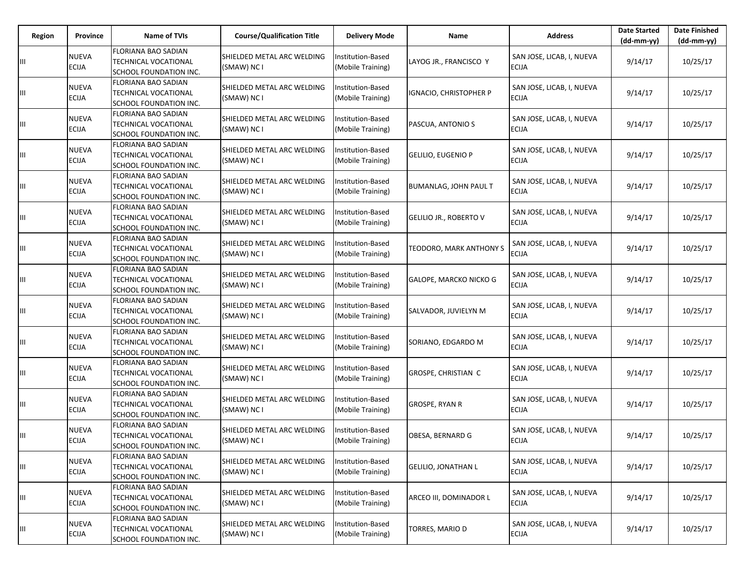| Region | <b>Province</b>              | <b>Name of TVIs</b>                                                          | <b>Course/Qualification Title</b>         | <b>Delivery Mode</b>                   | Name                           | <b>Address</b>                            | <b>Date Started</b><br>$(dd-mm-yy)$ | <b>Date Finished</b><br>(dd-mm-yy) |
|--------|------------------------------|------------------------------------------------------------------------------|-------------------------------------------|----------------------------------------|--------------------------------|-------------------------------------------|-------------------------------------|------------------------------------|
|        | <b>NUEVA</b><br><b>ECIJA</b> | <b>FLORIANA BAO SADIAN</b><br>TECHNICAL VOCATIONAL<br>SCHOOL FOUNDATION INC. | SHIELDED METAL ARC WELDING<br>(SMAW) NC I | Institution-Based<br>(Mobile Training) | LAYOG JR., FRANCISCO Y         | SAN JOSE, LICAB, I, NUEVA<br><b>ECIJA</b> | 9/14/17                             | 10/25/17                           |
| Ш      | <b>NUEVA</b><br><b>ECIJA</b> | <b>FLORIANA BAO SADIAN</b><br>TECHNICAL VOCATIONAL<br>SCHOOL FOUNDATION INC. | SHIELDED METAL ARC WELDING<br>(SMAW) NC I | nstitution-Based<br>(Mobile Training)  | IGNACIO, CHRISTOPHER P         | SAN JOSE, LICAB, I, NUEVA<br><b>ECIJA</b> | 9/14/17                             | 10/25/17                           |
| Ш      | <b>NUEVA</b><br><b>ECIJA</b> | FLORIANA BAO SADIAN<br><b>TECHNICAL VOCATIONAL</b><br>SCHOOL FOUNDATION INC. | SHIELDED METAL ARC WELDING<br>(SMAW) NC I | Institution-Based<br>(Mobile Training) | PASCUA, ANTONIO S              | SAN JOSE, LICAB, I, NUEVA<br><b>ECIJA</b> | 9/14/17                             | 10/25/17                           |
| Ш      | <b>NUEVA</b><br><b>ECIJA</b> | FLORIANA BAO SADIAN<br>TECHNICAL VOCATIONAL<br>SCHOOL FOUNDATION INC.        | SHIELDED METAL ARC WELDING<br>(SMAW) NC I | nstitution-Based<br>(Mobile Training)  | <b>GELILIO, EUGENIO P</b>      | SAN JOSE, LICAB, I, NUEVA<br>ECIJA        | 9/14/17                             | 10/25/17                           |
| Ш      | <b>NUEVA</b><br><b>ECIJA</b> | FLORIANA BAO SADIAN<br>TECHNICAL VOCATIONAL<br>SCHOOL FOUNDATION INC.        | SHIELDED METAL ARC WELDING<br>(SMAW) NC I | nstitution-Based<br>(Mobile Training)  | <b>BUMANLAG, JOHN PAUL T</b>   | SAN JOSE, LICAB, I, NUEVA<br>ECIJA        | 9/14/17                             | 10/25/17                           |
| Ш      | <b>NUEVA</b><br><b>ECIJA</b> | FLORIANA BAO SADIAN<br>TECHNICAL VOCATIONAL<br>SCHOOL FOUNDATION INC.        | SHIELDED METAL ARC WELDING<br>(SMAW) NC I | nstitution-Based<br>(Mobile Training)  | <b>GELILIO JR., ROBERTO V</b>  | SAN JOSE, LICAB, I, NUEVA<br>ECIJA        | 9/14/17                             | 10/25/17                           |
| Ш      | <b>NUEVA</b><br><b>ECIJA</b> | FLORIANA BAO SADIAN<br>TECHNICAL VOCATIONAL<br>SCHOOL FOUNDATION INC.        | SHIELDED METAL ARC WELDING<br>(SMAW) NC I | Institution-Based<br>(Mobile Training) | <b>TEODORO, MARK ANTHONY S</b> | SAN JOSE, LICAB, I, NUEVA<br><b>ECIJA</b> | 9/14/17                             | 10/25/17                           |
| Ш      | <b>NUEVA</b><br><b>ECIJA</b> | <b>FLORIANA BAO SADIAN</b><br>TECHNICAL VOCATIONAL<br>SCHOOL FOUNDATION INC. | SHIELDED METAL ARC WELDING<br>(SMAW) NC I | nstitution-Based<br>(Mobile Training)  | GALOPE, MARCKO NICKO G         | SAN JOSE, LICAB, I, NUEVA<br><b>ECIJA</b> | 9/14/17                             | 10/25/17                           |
| Ш      | <b>NUEVA</b><br><b>ECIJA</b> | FLORIANA BAO SADIAN<br>TECHNICAL VOCATIONAL<br>SCHOOL FOUNDATION INC.        | SHIELDED METAL ARC WELDING<br>(SMAW) NC I | nstitution-Based<br>(Mobile Training)  | SALVADOR, JUVIELYN M           | SAN JOSE, LICAB, I, NUEVA<br>ECIJA        | 9/14/17                             | 10/25/17                           |
| Ш      | <b>NUEVA</b><br><b>ECIJA</b> | FLORIANA BAO SADIAN<br>TECHNICAL VOCATIONAL<br>SCHOOL FOUNDATION INC.        | SHIELDED METAL ARC WELDING<br>(SMAW) NC I | nstitution-Based<br>(Mobile Training)  | SORIANO, EDGARDO M             | SAN JOSE, LICAB, I, NUEVA<br><b>ECIJA</b> | 9/14/17                             | 10/25/17                           |
| Ш      | <b>NUEVA</b><br><b>ECIJA</b> | FLORIANA BAO SADIAN<br>TECHNICAL VOCATIONAL<br>SCHOOL FOUNDATION INC.        | SHIELDED METAL ARC WELDING<br>(SMAW) NC I | Institution-Based<br>(Mobile Training) | GROSPE, CHRISTIAN C            | SAN JOSE, LICAB, I, NUEVA<br><b>ECIJA</b> | 9/14/17                             | 10/25/17                           |
| Ш      | <b>NUEVA</b><br><b>ECIJA</b> | FLORIANA BAO SADIAN<br>TECHNICAL VOCATIONAL<br>SCHOOL FOUNDATION INC.        | SHIELDED METAL ARC WELDING<br>(SMAW) NC I | nstitution-Based<br>(Mobile Training)  | <b>GROSPE, RYAN R</b>          | SAN JOSE, LICAB, I, NUEVA<br><b>ECIJA</b> | 9/14/17                             | 10/25/17                           |
| Ш      | <b>NUEVA</b><br><b>ECIJA</b> | FLORIANA BAO SADIAN<br>TECHNICAL VOCATIONAL<br>SCHOOL FOUNDATION INC.        | SHIELDED METAL ARC WELDING<br>(SMAW) NC I | nstitution-Based<br>(Mobile Training)  | OBESA, BERNARD G               | SAN JOSE, LICAB, I, NUEVA<br><b>ECIJA</b> | 9/14/17                             | 10/25/17                           |
| Ш      | <b>NUEVA</b><br><b>ECIJA</b> | FLORIANA BAO SADIAN<br>TECHNICAL VOCATIONAL<br>SCHOOL FOUNDATION INC.        | SHIELDED METAL ARC WELDING<br>(SMAW) NC I | nstitution-Based<br>(Mobile Training)  | <b>GELILIO, JONATHAN L</b>     | SAN JOSE, LICAB, I, NUEVA<br><b>ECIJA</b> | 9/14/17                             | 10/25/17                           |
| Ш      | <b>NUEVA</b><br><b>ECIJA</b> | FLORIANA BAO SADIAN<br>TECHNICAL VOCATIONAL<br>SCHOOL FOUNDATION INC.        | SHIELDED METAL ARC WELDING<br>(SMAW) NC I | Institution-Based<br>(Mobile Training) | ARCEO III, DOMINADOR L         | SAN JOSE, LICAB, I, NUEVA<br><b>ECIJA</b> | 9/14/17                             | 10/25/17                           |
| Ш      | <b>NUEVA</b><br><b>ECIJA</b> | FLORIANA BAO SADIAN<br>TECHNICAL VOCATIONAL<br>SCHOOL FOUNDATION INC.        | SHIELDED METAL ARC WELDING<br>(SMAW) NC I | nstitution-Based<br>(Mobile Training)  | TORRES, MARIO D                | SAN JOSE, LICAB, I, NUEVA<br><b>ECIJA</b> | 9/14/17                             | 10/25/17                           |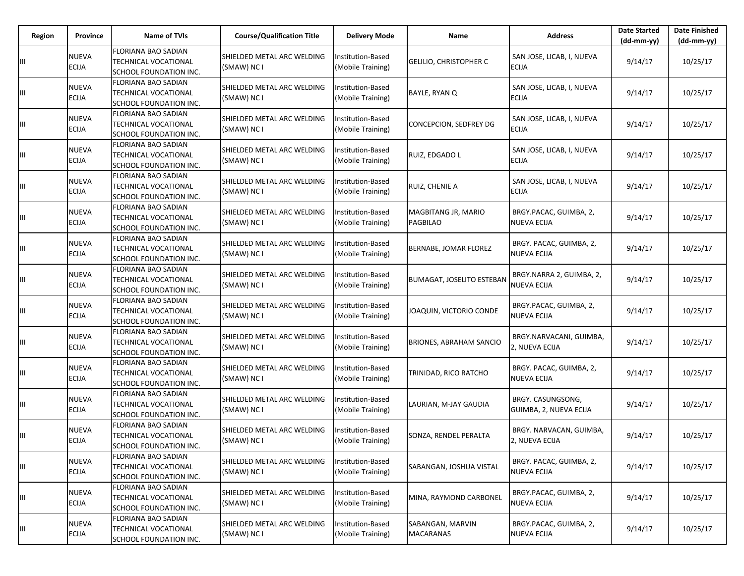| Region | Province                     | <b>Name of TVIs</b>                                                          | <b>Course/Qualification Title</b>         | <b>Delivery Mode</b>                   | Name                                   | <b>Address</b>                                 | <b>Date Started</b><br>$(dd-mm-yy)$ | <b>Date Finished</b><br>$(dd-mm-vv)$ |
|--------|------------------------------|------------------------------------------------------------------------------|-------------------------------------------|----------------------------------------|----------------------------------------|------------------------------------------------|-------------------------------------|--------------------------------------|
|        | <b>NUEVA</b><br><b>ECIJA</b> | <b>FLORIANA BAO SADIAN</b><br>TECHNICAL VOCATIONAL<br>SCHOOL FOUNDATION INC. | SHIELDED METAL ARC WELDING<br>(SMAW) NC I | Institution-Based<br>(Mobile Training) | <b>GELILIO, CHRISTOPHER C</b>          | SAN JOSE, LICAB, I, NUEVA<br><b>ECIJA</b>      | 9/14/17                             | 10/25/17                             |
| Ш      | <b>NUEVA</b><br><b>ECIJA</b> | FLORIANA BAO SADIAN<br>TECHNICAL VOCATIONAL<br>SCHOOL FOUNDATION INC.        | SHIELDED METAL ARC WELDING<br>(SMAW) NC I | nstitution-Based<br>(Mobile Training)  | BAYLE, RYAN Q                          | SAN JOSE, LICAB, I, NUEVA<br><b>ECIJA</b>      | 9/14/17                             | 10/25/17                             |
| Ш      | <b>NUEVA</b><br><b>ECIJA</b> | FLORIANA BAO SADIAN<br>TECHNICAL VOCATIONAL<br>SCHOOL FOUNDATION INC.        | SHIELDED METAL ARC WELDING<br>(SMAW) NC I | Institution-Based<br>(Mobile Training) | CONCEPCION, SEDFREY DG                 | SAN JOSE, LICAB, I, NUEVA<br><b>ECIJA</b>      | 9/14/17                             | 10/25/17                             |
| Ш      | <b>NUEVA</b><br><b>ECIJA</b> | FLORIANA BAO SADIAN<br>TECHNICAL VOCATIONAL<br>SCHOOL FOUNDATION INC.        | SHIELDED METAL ARC WELDING<br>(SMAW) NC I | nstitution-Based<br>(Mobile Training)  | RUIZ, EDGADO L                         | SAN JOSE, LICAB, I, NUEVA<br><b>ECIJA</b>      | 9/14/17                             | 10/25/17                             |
| Ш      | <b>NUEVA</b><br><b>ECIJA</b> | FLORIANA BAO SADIAN<br>TECHNICAL VOCATIONAL<br>SCHOOL FOUNDATION INC.        | SHIELDED METAL ARC WELDING<br>(SMAW) NC I | Institution-Based<br>(Mobile Training) | RUIZ, CHENIE A                         | SAN JOSE, LICAB, I, NUEVA<br>ECIJA             | 9/14/17                             | 10/25/17                             |
| Ш      | <b>NUEVA</b><br><b>ECIJA</b> | FLORIANA BAO SADIAN<br>TECHNICAL VOCATIONAL<br>SCHOOL FOUNDATION INC.        | SHIELDED METAL ARC WELDING<br>(SMAW) NC I | nstitution-Based<br>(Mobile Training)  | MAGBITANG JR, MARIO<br><b>PAGBILAO</b> | BRGY.PACAC, GUIMBA, 2,<br>NUEVA ECIJA          | 9/14/17                             | 10/25/17                             |
| Ш      | <b>NUEVA</b><br><b>ECIJA</b> | FLORIANA BAO SADIAN<br>TECHNICAL VOCATIONAL<br>SCHOOL FOUNDATION INC.        | SHIELDED METAL ARC WELDING<br>(SMAW) NC I | Institution-Based<br>(Mobile Training) | BERNABE, JOMAR FLOREZ                  | BRGY. PACAC, GUIMBA, 2,<br>NUEVA ECIJA         | 9/14/17                             | 10/25/17                             |
| Ш      | <b>NUEVA</b><br><b>ECIJA</b> | FLORIANA BAO SADIAN<br>TECHNICAL VOCATIONAL<br>SCHOOL FOUNDATION INC.        | SHIELDED METAL ARC WELDING<br>(SMAW) NC I | nstitution-Based<br>(Mobile Training)  | <b>BUMAGAT, JOSELITO ESTEBAN</b>       | BRGY.NARRA 2, GUIMBA, 2,<br><b>NUEVA ECIJA</b> | 9/14/17                             | 10/25/17                             |
| Ш      | <b>NUEVA</b><br><b>ECIJA</b> | FLORIANA BAO SADIAN<br>TECHNICAL VOCATIONAL<br>SCHOOL FOUNDATION INC.        | SHIELDED METAL ARC WELDING<br>(SMAW) NC I | nstitution-Based<br>(Mobile Training)  | JOAQUIN, VICTORIO CONDE                | BRGY.PACAC, GUIMBA, 2,<br>NUEVA ECIJA          | 9/14/17                             | 10/25/17                             |
| Ш      | <b>NUEVA</b><br><b>ECIJA</b> | FLORIANA BAO SADIAN<br>TECHNICAL VOCATIONAL<br>SCHOOL FOUNDATION INC.        | SHIELDED METAL ARC WELDING<br>(SMAW) NC I | nstitution-Based<br>(Mobile Training)  | <b>BRIONES, ABRAHAM SANCIO</b>         | BRGY.NARVACANI, GUIMBA,<br>2, NUEVA ECIJA      | 9/14/17                             | 10/25/17                             |
| Ш      | <b>NUEVA</b><br><b>ECIJA</b> | FLORIANA BAO SADIAN<br>TECHNICAL VOCATIONAL<br>SCHOOL FOUNDATION INC.        | SHIELDED METAL ARC WELDING<br>(SMAW) NC I | Institution-Based<br>(Mobile Training) | TRINIDAD, RICO RATCHO                  | BRGY. PACAC, GUIMBA, 2,<br>NUEVA ECIJA         | 9/14/17                             | 10/25/17                             |
| Ш      | <b>NUEVA</b><br><b>ECIJA</b> | FLORIANA BAO SADIAN<br>TECHNICAL VOCATIONAL<br>SCHOOL FOUNDATION INC.        | SHIELDED METAL ARC WELDING<br>(SMAW) NC I | nstitution-Based<br>(Mobile Training)  | LAURIAN, M-JAY GAUDIA                  | BRGY. CASUNGSONG,<br>GUIMBA, 2, NUEVA ECIJA    | 9/14/17                             | 10/25/17                             |
| Ш      | <b>NUEVA</b><br><b>ECIJA</b> | FLORIANA BAO SADIAN<br>TECHNICAL VOCATIONAL<br>SCHOOL FOUNDATION INC.        | SHIELDED METAL ARC WELDING<br>(SMAW) NC I | nstitution-Based<br>(Mobile Training)  | SONZA, RENDEL PERALTA                  | BRGY. NARVACAN, GUIMBA,<br>2, NUEVA ECIJA      | 9/14/17                             | 10/25/17                             |
| Ш      | <b>NUEVA</b><br><b>ECIJA</b> | FLORIANA BAO SADIAN<br>TECHNICAL VOCATIONAL<br>SCHOOL FOUNDATION INC.        | SHIELDED METAL ARC WELDING<br>(SMAW) NC I | nstitution-Based<br>(Mobile Training)  | SABANGAN, JOSHUA VISTAL                | BRGY. PACAC, GUIMBA, 2,<br><b>NUEVA ECIJA</b>  | 9/14/17                             | 10/25/17                             |
| Ш      | <b>NUEVA</b><br><b>ECIJA</b> | FLORIANA BAO SADIAN<br>TECHNICAL VOCATIONAL<br>SCHOOL FOUNDATION INC.        | SHIELDED METAL ARC WELDING<br>(SMAW) NC I | nstitution-Based<br>(Mobile Training)  | MINA, RAYMOND CARBONEL                 | BRGY.PACAC, GUIMBA, 2,<br><b>NUEVA ECIJA</b>   | 9/14/17                             | 10/25/17                             |
| Ш      | <b>NUEVA</b><br><b>ECIJA</b> | FLORIANA BAO SADIAN<br>TECHNICAL VOCATIONAL<br>SCHOOL FOUNDATION INC.        | SHIELDED METAL ARC WELDING<br>(SMAW) NC I | nstitution-Based<br>(Mobile Training)  | SABANGAN, MARVIN<br><b>MACARANAS</b>   | BRGY.PACAC, GUIMBA, 2,<br><b>NUEVA ECIJA</b>   | 9/14/17                             | 10/25/17                             |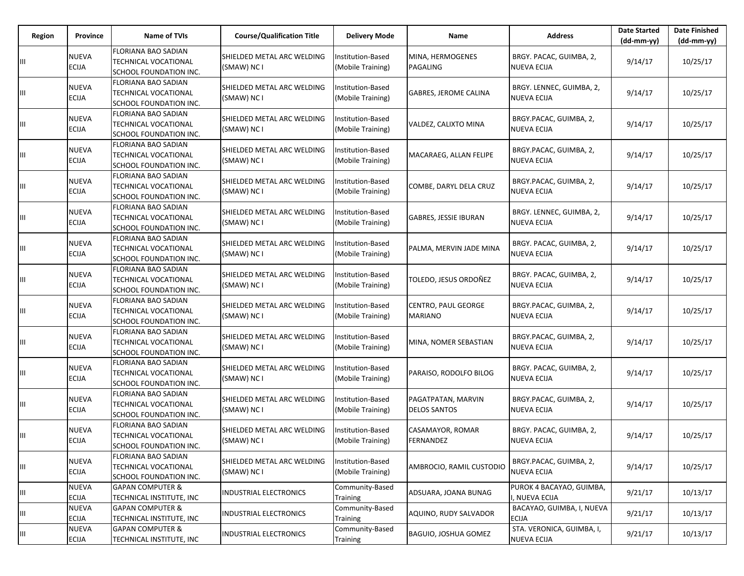| Region | <b>Province</b>              | <b>Name of TVIs</b>                                                                 | <b>Course/Qualification Title</b>         | <b>Delivery Mode</b>                          | Name                                      | <b>Address</b>                                | <b>Date Started</b><br>$(dd-mm-yy)$ | <b>Date Finished</b><br>(dd-mm-yy) |
|--------|------------------------------|-------------------------------------------------------------------------------------|-------------------------------------------|-----------------------------------------------|-------------------------------------------|-----------------------------------------------|-------------------------------------|------------------------------------|
|        | <b>NUEVA</b><br><b>ECIJA</b> | FLORIANA BAO SADIAN<br>TECHNICAL VOCATIONAL<br>SCHOOL FOUNDATION INC.               | SHIELDED METAL ARC WELDING<br>(SMAW) NC I | Institution-Based<br>(Mobile Training)        | MINA, HERMOGENES<br>PAGALING              | BRGY. PACAC, GUIMBA, 2,<br>NUEVA ECIJA        | 9/14/17                             | 10/25/17                           |
| Ш      | <b>NUEVA</b><br><b>ECIJA</b> | FLORIANA BAO SADIAN<br>TECHNICAL VOCATIONAL<br>SCHOOL FOUNDATION INC.               | SHIELDED METAL ARC WELDING<br>(SMAW) NC I | Institution-Based<br>(Mobile Training)        | GABRES, JEROME CALINA                     | BRGY. LENNEC, GUIMBA, 2,<br>NUEVA ECIJA       | 9/14/17                             | 10/25/17                           |
| Ш      | <b>NUEVA</b><br><b>ECIJA</b> | <b>FLORIANA BAO SADIAN</b><br><b>TECHNICAL VOCATIONAL</b><br>SCHOOL FOUNDATION INC. | SHIELDED METAL ARC WELDING<br>(SMAW) NC I | Institution-Based<br>(Mobile Training)        | VALDEZ, CALIXTO MINA                      | BRGY.PACAC, GUIMBA, 2,<br><b>NUEVA ECIJA</b>  | 9/14/17                             | 10/25/17                           |
| Ш      | <b>NUEVA</b><br><b>ECIJA</b> | FLORIANA BAO SADIAN<br>TECHNICAL VOCATIONAL<br>SCHOOL FOUNDATION INC.               | SHIELDED METAL ARC WELDING<br>(SMAW) NC I | Institution-Based<br>(Mobile Training)        | MACARAEG, ALLAN FELIPE                    | BRGY.PACAC, GUIMBA, 2,<br>NUEVA ECIJA         | 9/14/17                             | 10/25/17                           |
| Ш      | <b>NUEVA</b><br><b>ECIJA</b> | FLORIANA BAO SADIAN<br>TECHNICAL VOCATIONAL<br>SCHOOL FOUNDATION INC.               | SHIELDED METAL ARC WELDING<br>(SMAW) NC I | Institution-Based<br>(Mobile Training)        | COMBE, DARYL DELA CRUZ                    | BRGY.PACAC, GUIMBA, 2,<br><b>NUEVA ECIJA</b>  | 9/14/17                             | 10/25/17                           |
| Ш      | <b>NUEVA</b><br><b>ECIJA</b> | FLORIANA BAO SADIAN<br>TECHNICAL VOCATIONAL<br>SCHOOL FOUNDATION INC.               | SHIELDED METAL ARC WELDING<br>(SMAW) NC I | <b>Institution-Based</b><br>(Mobile Training) | GABRES, JESSIE IBURAN                     | BRGY. LENNEC, GUIMBA, 2,<br>NUEVA ECIJA       | 9/14/17                             | 10/25/17                           |
| Ш      | <b>NUEVA</b><br><b>ECIJA</b> | FLORIANA BAO SADIAN<br>TECHNICAL VOCATIONAL<br>SCHOOL FOUNDATION INC.               | SHIELDED METAL ARC WELDING<br>(SMAW) NC I | <b>Institution-Based</b><br>(Mobile Training) | PALMA, MERVIN JADE MINA                   | BRGY. PACAC, GUIMBA, 2,<br>NUEVA ECIJA        | 9/14/17                             | 10/25/17                           |
| Ш      | <b>NUEVA</b><br><b>ECIJA</b> | <b>FLORIANA BAO SADIAN</b><br>TECHNICAL VOCATIONAL<br>SCHOOL FOUNDATION INC.        | SHIELDED METAL ARC WELDING<br>(SMAW) NC I | Institution-Based<br>(Mobile Training)        | TOLEDO, JESUS ORDOÑEZ                     | BRGY. PACAC, GUIMBA, 2,<br>NUEVA ECIJA        | 9/14/17                             | 10/25/17                           |
| Ш      | <b>NUEVA</b><br><b>ECIJA</b> | FLORIANA BAO SADIAN<br>TECHNICAL VOCATIONAL<br>SCHOOL FOUNDATION INC.               | SHIELDED METAL ARC WELDING<br>(SMAW) NC I | Institution-Based<br>(Mobile Training)        | CENTRO, PAUL GEORGE<br><b>MARIANO</b>     | BRGY.PACAC, GUIMBA, 2,<br>NUEVA ECIJA         | 9/14/17                             | 10/25/17                           |
| Ш      | <b>NUEVA</b><br><b>ECIJA</b> | FLORIANA BAO SADIAN<br>TECHNICAL VOCATIONAL<br>SCHOOL FOUNDATION INC.               | SHIELDED METAL ARC WELDING<br>(SMAW) NC I | Institution-Based<br>(Mobile Training)        | MINA, NOMER SEBASTIAN                     | BRGY.PACAC, GUIMBA, 2,<br>NUEVA ECIJA         | 9/14/17                             | 10/25/17                           |
| Ш      | <b>NUEVA</b><br><b>ECIJA</b> | FLORIANA BAO SADIAN<br>TECHNICAL VOCATIONAL<br>SCHOOL FOUNDATION INC.               | SHIELDED METAL ARC WELDING<br>(SMAW) NC I | Institution-Based<br>(Mobile Training)        | PARAISO, RODOLFO BILOG                    | BRGY. PACAC, GUIMBA, 2,<br>NUEVA ECIJA        | 9/14/17                             | 10/25/17                           |
| Ш      | <b>NUEVA</b><br><b>ECIJA</b> | FLORIANA BAO SADIAN<br>TECHNICAL VOCATIONAL<br>SCHOOL FOUNDATION INC.               | SHIELDED METAL ARC WELDING<br>(SMAW) NC I | Institution-Based<br>(Mobile Training)        | PAGATPATAN, MARVIN<br><b>DELOS SANTOS</b> | BRGY.PACAC, GUIMBA, 2,<br>NUEVA ECIJA         | 9/14/17                             | 10/25/17                           |
| Ш      | <b>NUEVA</b><br><b>ECIJA</b> | FLORIANA BAO SADIAN<br><b>TECHNICAL VOCATIONAL</b><br>SCHOOL FOUNDATION INC.        | SHIELDED METAL ARC WELDING<br>(SMAW) NC I | Institution-Based<br>(Mobile Training)        | CASAMAYOR, ROMAR<br>FERNANDEZ             | BRGY. PACAC, GUIMBA, 2,<br><b>NUEVA ECIJA</b> | 9/14/17                             | 10/25/17                           |
| Ш      | <b>NUEVA</b><br><b>ECIJA</b> | FLORIANA BAO SADIAN<br>TECHNICAL VOCATIONAL<br>SCHOOL FOUNDATION INC.               | SHIELDED METAL ARC WELDING<br>(SMAW) NC I | Institution-Based<br>(Mobile Training)        | AMBROCIO, RAMIL CUSTODIO                  | BRGY.PACAC, GUIMBA, 2,<br><b>NUEVA ECIJA</b>  | 9/14/17                             | 10/25/17                           |
| Ш.     | <b>NUEVA</b><br><b>ECIJA</b> | <b>GAPAN COMPUTER &amp;</b><br>TECHNICAL INSTITUTE, INC                             | INDUSTRIAL ELECTRONICS                    | Community-Based<br>Training                   | ADSUARA, JOANA BUNAG                      | PUROK 4 BACAYAO, GUIMBA,<br>, NUEVA ECIJA     | 9/21/17                             | 10/13/17                           |
| Ш      | <b>NUEVA</b><br><b>ECIJA</b> | <b>GAPAN COMPUTER &amp;</b><br>TECHNICAL INSTITUTE, INC                             | INDUSTRIAL ELECTRONICS                    | Community-Based<br>Training                   | AQUINO, RUDY SALVADOR                     | BACAYAO, GUIMBA, I, NUEVA<br><b>ECIJA</b>     | 9/21/17                             | 10/13/17                           |
| Ш      | <b>NUEVA</b><br><b>ECIJA</b> | <b>GAPAN COMPUTER &amp;</b><br>TECHNICAL INSTITUTE, INC                             | INDUSTRIAL ELECTRONICS                    | Community-Based<br>Training                   | BAGUIO, JOSHUA GOMEZ                      | STA. VERONICA, GUIMBA, I,<br>NUEVA ECIJA      | 9/21/17                             | 10/13/17                           |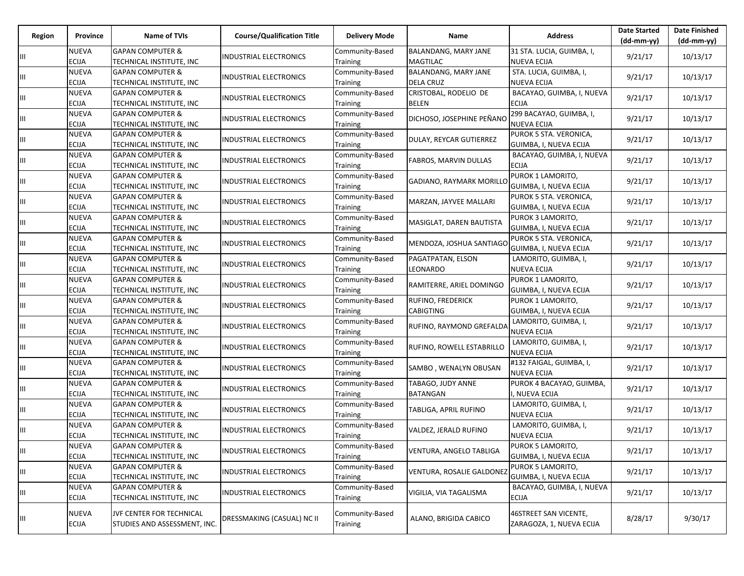| <b>Region</b> | Province                     | <b>Name of TVIs</b>                                      | <b>Course/Qualification Title</b> | <b>Delivery Mode</b>        | Name                                            | <b>Address</b>                                    | <b>Date Started</b><br>$(dd-mm-yy)$ | <b>Date Finished</b><br>$(dd-mm-yy)$ |
|---------------|------------------------------|----------------------------------------------------------|-----------------------------------|-----------------------------|-------------------------------------------------|---------------------------------------------------|-------------------------------------|--------------------------------------|
| Ш             | <b>NUEVA</b><br><b>ECIJA</b> | <b>GAPAN COMPUTER &amp;</b><br>TECHNICAL INSTITUTE, INC  | INDUSTRIAL ELECTRONICS            | Community-Based<br>Training | BALANDANG, MARY JANE<br><b>MAGTILAC</b>         | 31 STA. LUCIA, GUIMBA, I,<br><b>NUEVA ECIJA</b>   | 9/21/17                             | 10/13/17                             |
| Ш             | <b>NUEVA</b><br>ECIJA        | <b>GAPAN COMPUTER &amp;</b><br>TECHNICAL INSTITUTE, INC  | INDUSTRIAL ELECTRONICS            | Community-Based<br>Training | <b>BALANDANG, MARY JANE</b><br><b>DELA CRUZ</b> | STA. LUCIA, GUIMBA, I,<br><b>NUEVA ECIJA</b>      | 9/21/17                             | 10/13/17                             |
| Ш             | <b>NUEVA</b><br><b>ECIJA</b> | <b>GAPAN COMPUTER &amp;</b><br>TECHNICAL INSTITUTE, INC  | INDUSTRIAL ELECTRONICS            | Community-Based<br>Training | CRISTOBAL, RODELIO DE<br><b>BELEN</b>           | BACAYAO, GUIMBA, I, NUEVA<br><b>ECIJA</b>         | 9/21/17                             | 10/13/17                             |
| Ш             | <b>NUEVA</b><br><b>ECIJA</b> | <b>GAPAN COMPUTER &amp;</b><br>TECHNICAL INSTITUTE, INC  | <b>INDUSTRIAL ELECTRONICS</b>     | Community-Based<br>Training | DICHOSO, JOSEPHINE PEÑANC                       | 299 BACAYAO, GUIMBA, I,<br><b>NUEVA ECIJA</b>     | 9/21/17                             | 10/13/17                             |
| Ш             | <b>NUEVA</b><br><b>ECIJA</b> | <b>GAPAN COMPUTER &amp;</b><br>TECHNICAL INSTITUTE, INC  | <b>INDUSTRIAL ELECTRONICS</b>     | Community-Based<br>Training | DULAY, REYCAR GUTIERREZ                         | PUROK 5 STA. VERONICA,<br>GUIMBA, I, NUEVA ECIJA  | 9/21/17                             | 10/13/17                             |
| Ш             | <b>NUEVA</b><br>ECIJA        | <b>GAPAN COMPUTER &amp;</b><br>TECHNICAL INSTITUTE, INC  | NDUSTRIAL ELECTRONICS             | Community-Based<br>Training | FABROS, MARVIN DULLAS                           | BACAYAO, GUIMBA, I, NUEVA<br><b>ECIJA</b>         | 9/21/17                             | 10/13/17                             |
| Ш             | <b>NUEVA</b><br>ECIJA        | <b>GAPAN COMPUTER &amp;</b><br>TECHNICAL INSTITUTE, INC  | <b>INDUSTRIAL ELECTRONICS</b>     | Community-Based<br>Training | <b>GADIANO, RAYMARK MORILLO</b>                 | PUROK 1 LAMORITO,<br>GUIMBA, I, NUEVA ECIJA       | 9/21/17                             | 10/13/17                             |
| Ш             | <b>NUEVA</b><br><b>ECIJA</b> | <b>GAPAN COMPUTER &amp;</b><br>TECHNICAL INSTITUTE, INC  | INDUSTRIAL ELECTRONICS            | Community-Based<br>Training | MARZAN, JAYVEE MALLARI                          | PUROK 5 STA. VERONICA,<br>GUIMBA, I, NUEVA ECIJA  | 9/21/17                             | 10/13/17                             |
| Ш             | <b>NUEVA</b><br><b>ECIJA</b> | <b>GAPAN COMPUTER &amp;</b><br>TECHNICAL INSTITUTE, INC  | INDUSTRIAL ELECTRONICS            | Community-Based<br>Training | MASIGLAT, DAREN BAUTISTA                        | PUROK 3 LAMORITO,<br>GUIMBA, I, NUEVA ECIJA       | 9/21/17                             | 10/13/17                             |
| Ш             | <b>NUEVA</b><br>ECIJA        | <b>GAPAN COMPUTER &amp;</b><br>TECHNICAL INSTITUTE, INC  | INDUSTRIAL ELECTRONICS            | Community-Based<br>Training | MENDOZA, JOSHUA SANTIAGO                        | PUROK 5 STA. VERONICA,<br>GUIMBA, I, NUEVA ECIJA  | 9/21/17                             | 10/13/17                             |
| Ш             | <b>NUEVA</b><br><b>ECIJA</b> | <b>GAPAN COMPUTER &amp;</b><br>TECHNICAL INSTITUTE, INC  | INDUSTRIAL ELECTRONICS            | Community-Based<br>Training | PAGATPATAN, ELSON<br>LEONARDO                   | LAMORITO, GUIMBA, I,<br><b>NUEVA ECIJA</b>        | 9/21/17                             | 10/13/17                             |
| Ш             | <b>NUEVA</b><br><b>ECIJA</b> | <b>GAPAN COMPUTER &amp;</b><br>TECHNICAL INSTITUTE, INC  | <b>INDUSTRIAL ELECTRONICS</b>     | Community-Based<br>Training | RAMITERRE, ARIEL DOMINGO                        | PUROK 1 LAMORITO,<br>GUIMBA, I, NUEVA ECIJA       | 9/21/17                             | 10/13/17                             |
| Ш             | <b>NUEVA</b><br><b>ECIJA</b> | <b>GAPAN COMPUTER &amp;</b><br>TECHNICAL INSTITUTE, INC  | INDUSTRIAL ELECTRONICS            | Community-Based<br>Training | RUFINO, FREDERICK<br><b>CABIGTING</b>           | PUROK 1 LAMORITO,<br>GUIMBA, I, NUEVA ECIJA       | 9/21/17                             | 10/13/17                             |
| Ш             | <b>NUEVA</b><br><b>ECIJA</b> | <b>GAPAN COMPUTER &amp;</b><br>TECHNICAL INSTITUTE, INC  | INDUSTRIAL ELECTRONICS            | Community-Based<br>Training | RUFINO, RAYMOND GREFALDA                        | LAMORITO, GUIMBA, I,<br><b>NUEVA ECIJA</b>        | 9/21/17                             | 10/13/17                             |
| Ш             | <b>NUEVA</b><br><b>ECIJA</b> | <b>GAPAN COMPUTER &amp;</b><br>TECHNICAL INSTITUTE, INC  | INDUSTRIAL ELECTRONICS            | Community-Based<br>Training | RUFINO, ROWELL ESTABRILLO                       | LAMORITO, GUIMBA, I,<br><b>NUEVA ECIJA</b>        | 9/21/17                             | 10/13/17                             |
| Ш             | <b>NUEVA</b><br><b>ECIJA</b> | <b>GAPAN COMPUTER &amp;</b><br>TECHNICAL INSTITUTE, INC  | INDUSTRIAL ELECTRONICS            | Community-Based<br>Training | SAMBO, WENALYN OBUSAN                           | #132 FAIGAL, GUIMBA, I,<br><b>NUEVA ECIJA</b>     | 9/21/17                             | 10/13/17                             |
| Ш             | <b>NUEVA</b><br><b>ECIJA</b> | <b>GAPAN COMPUTER &amp;</b><br>TECHNICAL INSTITUTE, INC  | INDUSTRIAL ELECTRONICS            | Community-Based<br>Training | TABAGO, JUDY ANNE<br><b>BATANGAN</b>            | PUROK 4 BACAYAO, GUIMBA,<br>I, NUEVA ECIJA        | 9/21/17                             | 10/13/17                             |
| Ш             | <b>NUEVA</b><br><b>ECIJA</b> | <b>GAPAN COMPUTER &amp;</b><br>TECHNICAL INSTITUTE, INC  | INDUSTRIAL ELECTRONICS            | Community-Based<br>Training | TABLIGA, APRIL RUFINO                           | LAMORITO, GUIMBA, I,<br><b>NUEVA ECIJA</b>        | 9/21/17                             | 10/13/17                             |
| Ш             | <b>NUEVA</b><br><b>ECIJA</b> | <b>GAPAN COMPUTER &amp;</b><br>TECHNICAL INSTITUTE, INC  | <b>INDUSTRIAL ELECTRONICS</b>     | Community-Based<br>Training | VALDEZ, JERALD RUFINO                           | LAMORITO, GUIMBA, I,<br><b>NUEVA ECIJA</b>        | 9/21/17                             | 10/13/17                             |
| Ш             | <b>NUEVA</b><br><b>ECIJA</b> | <b>GAPAN COMPUTER &amp;</b><br>TECHNICAL INSTITUTE, INC  | INDUSTRIAL ELECTRONICS            | Community-Based<br>Training | VENTURA, ANGELO TABLIGA                         | PUROK 5 LAMORITO,<br>GUIMBA, I, NUEVA ECIJA       | 9/21/17                             | 10/13/17                             |
| Ш.            | <b>NUEVA</b><br><b>ECIJA</b> | <b>GAPAN COMPUTER &amp;</b><br>TECHNICAL INSTITUTE, INC  | INDUSTRIAL ELECTRONICS            | Community-Based<br>Training | <b>VENTURA, ROSALIE GALDONEZ</b>                | PUROK 5 LAMORITO,<br>GUIMBA, I, NUEVA ECIJA       | 9/21/17                             | 10/13/17                             |
| Ш             | <b>NUEVA</b><br><b>ECIJA</b> | <b>GAPAN COMPUTER &amp;</b><br>TECHNICAL INSTITUTE, INC  | INDUSTRIAL ELECTRONICS            | Community-Based<br>Training | VIGILIA, VIA TAGALISMA                          | BACAYAO, GUIMBA, I, NUEVA<br><b>ECIJA</b>         | 9/21/17                             | 10/13/17                             |
| Щ             | <b>NUEVA</b><br><b>ECIJA</b> | JVF CENTER FOR TECHNICAL<br>STUDIES AND ASSESSMENT, INC. | DRESSMAKING (CASUAL) NC II        | Community-Based<br>Training | ALANO, BRIGIDA CABICO                           | 46STREET SAN VICENTE,<br>ZARAGOZA, 1, NUEVA ECIJA | 8/28/17                             | 9/30/17                              |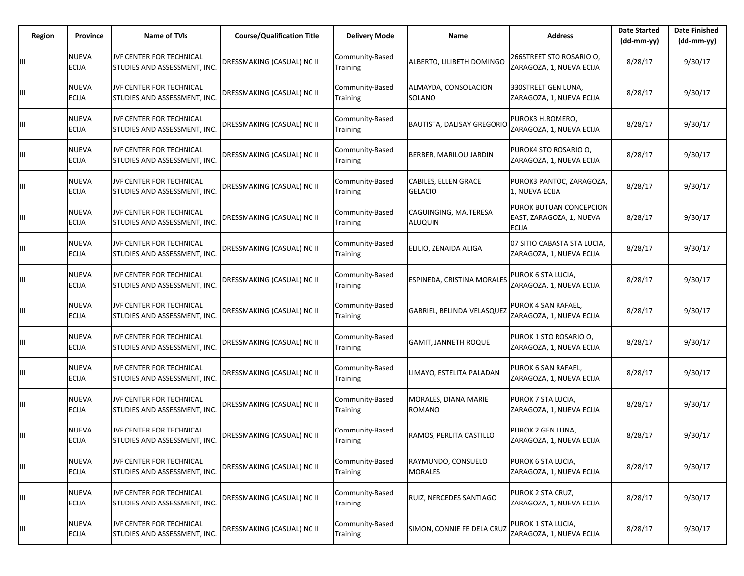| Region | Province                     | Name of TVIs                                             | <b>Course/Qualification Title</b> | <b>Delivery Mode</b>               | Name                                    | <b>Address</b>                                                      | <b>Date Started</b><br>$(dd-mm-yy)$ | <b>Date Finished</b><br>(dd-mm-yy) |
|--------|------------------------------|----------------------------------------------------------|-----------------------------------|------------------------------------|-----------------------------------------|---------------------------------------------------------------------|-------------------------------------|------------------------------------|
| Ш      | NUEVA<br><b>ECIJA</b>        | JVF CENTER FOR TECHNICAL<br>STUDIES AND ASSESSMENT, INC. | DRESSMAKING (CASUAL) NC II        | Community-Based<br>Training        | ALBERTO, LILIBETH DOMINGO               | 266STREET STO ROSARIO O,<br>ZARAGOZA, 1, NUEVA ECIJA                | 8/28/17                             | 9/30/17                            |
| Ш      | NUEVA<br>ECIJA               | JVF CENTER FOR TECHNICAL<br>STUDIES AND ASSESSMENT, INC. | DRESSMAKING (CASUAL) NC II        | Community-Based<br>Training        | ALMAYDA, CONSOLACION<br>SOLANO          | 330STREET GEN LUNA,<br>ZARAGOZA, 1, NUEVA ECIJA                     | 8/28/17                             | 9/30/17                            |
| Ш      | NUEVA<br><b>ECIJA</b>        | JVF CENTER FOR TECHNICAL<br>STUDIES AND ASSESSMENT, INC. | <b>DRESSMAKING (CASUAL) NC II</b> | Community-Based<br>Training        | <b>BAUTISTA, DALISAY GREGORIO</b>       | PUROK3 H.ROMERO,<br>ZARAGOZA, 1, NUEVA ECIJA                        | 8/28/17                             | 9/30/17                            |
| Ш      | NUEVA<br><b>ECIJA</b>        | JVF CENTER FOR TECHNICAL<br>STUDIES AND ASSESSMENT, INC. | DRESSMAKING (CASUAL) NC II        | Community-Based<br>Training        | BERBER, MARILOU JARDIN                  | PUROK4 STO ROSARIO O,<br>ZARAGOZA, 1, NUEVA ECIJA                   | 8/28/17                             | 9/30/17                            |
| Ш      | NUEVA<br><b>ECIJA</b>        | JVF CENTER FOR TECHNICAL<br>STUDIES AND ASSESSMENT, INC. | DRESSMAKING (CASUAL) NC II        | Community-Based<br>Training        | CABILES, ELLEN GRACE<br><b>GELACIO</b>  | PUROK3 PANTOC, ZARAGOZA,<br>1, NUEVA ECIJA                          | 8/28/17                             | 9/30/17                            |
| Ш      | NUEVA<br>ECIJA               | JVF CENTER FOR TECHNICAL<br>STUDIES AND ASSESSMENT, INC. | DRESSMAKING (CASUAL) NC II        | Community-Based<br>Training        | CAGUINGING, MA.TERESA<br><b>ALUQUIN</b> | PUROK BUTUAN CONCEPCION<br>EAST, ZARAGOZA, 1, NUEVA<br><b>ECIJA</b> | 8/28/17                             | 9/30/17                            |
| Ш      | NUEVA<br>ECIJA               | JVF CENTER FOR TECHNICAL<br>STUDIES AND ASSESSMENT, INC. | DRESSMAKING (CASUAL) NC II        | Community-Based<br><b>Training</b> | ELILIO, ZENAIDA ALIGA                   | 07 SITIO CABASTA STA LUCIA,<br>ZARAGOZA, 1, NUEVA ECIJA             | 8/28/17                             | 9/30/17                            |
| Ш      | NUEVA<br>ECIJA               | JVF CENTER FOR TECHNICAL<br>STUDIES AND ASSESSMENT, INC. | DRESSMAKING (CASUAL) NC II        | Community-Based<br>Training        | <b>ESPINEDA, CRISTINA MORALES</b>       | PUROK 6 STA LUCIA,<br>ZARAGOZA, 1, NUEVA ECIJA                      | 8/28/17                             | 9/30/17                            |
| Ш      | NUEVA<br>ECIJA               | JVF CENTER FOR TECHNICAL<br>STUDIES AND ASSESSMENT, INC. | DRESSMAKING (CASUAL) NC II        | Community-Based<br>Training        | GABRIEL, BELINDA VELASQUEZ              | PUROK 4 SAN RAFAEL,<br>ZARAGOZA, 1, NUEVA ECIJA                     | 8/28/17                             | 9/30/17                            |
| Ш      | NUEVA<br>ECIJA               | JVF CENTER FOR TECHNICAL<br>STUDIES AND ASSESSMENT, INC. | DRESSMAKING (CASUAL) NC II        | Community-Based<br>Training        | <b>GAMIT, JANNETH ROQUE</b>             | PUROK 1 STO ROSARIO O,<br>ZARAGOZA, 1, NUEVA ECIJA                  | 8/28/17                             | 9/30/17                            |
| Ш      | NUEVA<br>ECIJA               | JVF CENTER FOR TECHNICAL<br>STUDIES AND ASSESSMENT, INC. | DRESSMAKING (CASUAL) NC II        | Community-Based<br><b>Training</b> | LIMAYO, ESTELITA PALADAN                | PUROK 6 SAN RAFAEL,<br>ZARAGOZA, 1, NUEVA ECIJA                     | 8/28/17                             | 9/30/17                            |
| Ш      | NUEVA<br>ECIJA               | JVF CENTER FOR TECHNICAL<br>STUDIES AND ASSESSMENT, INC. | DRESSMAKING (CASUAL) NC II        | Community-Based<br>Training        | MORALES, DIANA MARIE<br><b>ROMANO</b>   | PUROK 7 STA LUCIA,<br>ZARAGOZA, 1, NUEVA ECIJA                      | 8/28/17                             | 9/30/17                            |
| Ш      | NUEVA<br><b>ECIJA</b>        | JVF CENTER FOR TECHNICAL<br>STUDIES AND ASSESSMENT, INC. | DRESSMAKING (CASUAL) NC II        | Community-Based<br><b>Training</b> | RAMOS, PERLITA CASTILLO                 | PUROK 2 GEN LUNA,<br>ZARAGOZA, 1, NUEVA ECIJA                       | 8/28/17                             | 9/30/17                            |
| Ш      | NUEVA<br><b>ECIJA</b>        | JVF CENTER FOR TECHNICAL<br>STUDIES AND ASSESSMENT, INC. | DRESSMAKING (CASUAL) NC II        | Community-Based<br><b>Training</b> | RAYMUNDO, CONSUELO<br><b>MORALES</b>    | PUROK 6 STA LUCIA,<br>ZARAGOZA, 1, NUEVA ECIJA                      | 8/28/17                             | 9/30/17                            |
| Ш      | NUEVA<br><b>ECIJA</b>        | JVF CENTER FOR TECHNICAL<br>STUDIES AND ASSESSMENT, INC. | DRESSMAKING (CASUAL) NC II        | Community-Based<br>Training        | RUIZ, NERCEDES SANTIAGO                 | PUROK 2 STA CRUZ,<br>ZARAGOZA, 1, NUEVA ECIJA                       | 8/28/17                             | 9/30/17                            |
| Ш      | <b>NUEVA</b><br><b>ECIJA</b> | JVF CENTER FOR TECHNICAL<br>STUDIES AND ASSESSMENT, INC. | DRESSMAKING (CASUAL) NC II        | Community-Based<br>Training        | SIMON, CONNIE FE DELA CRUZ              | PUROK 1 STA LUCIA,<br>ZARAGOZA, 1, NUEVA ECIJA                      | 8/28/17                             | 9/30/17                            |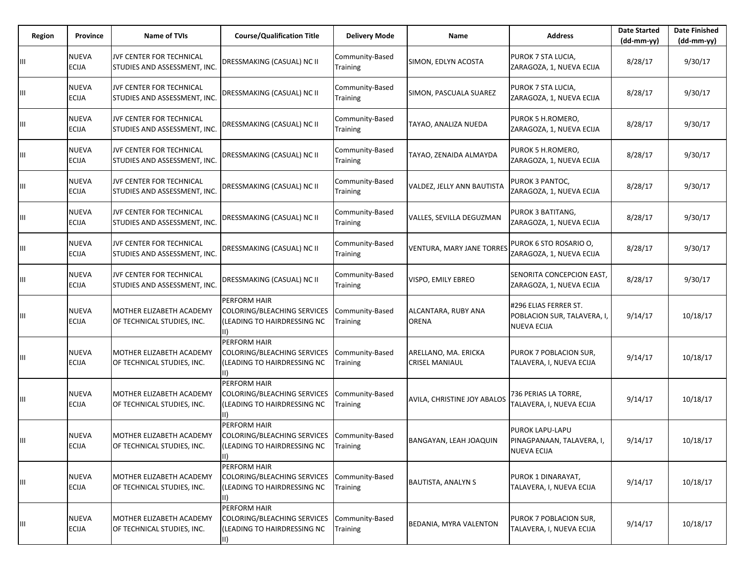| Region | Province                     | Name of TVIs                                             | <b>Course/Qualification Title</b>                                                                        | <b>Delivery Mode</b>               | Name                                          | <b>Address</b>                                                     | <b>Date Started</b><br>$(dd-mm-yy)$ | <b>Date Finished</b><br>(dd-mm-yy) |
|--------|------------------------------|----------------------------------------------------------|----------------------------------------------------------------------------------------------------------|------------------------------------|-----------------------------------------------|--------------------------------------------------------------------|-------------------------------------|------------------------------------|
| Ш      | NUEVA<br>ECIJA               | JVF CENTER FOR TECHNICAL<br>STUDIES AND ASSESSMENT, INC. | DRESSMAKING (CASUAL) NC II                                                                               | Community-Based<br>Training        | SIMON, EDLYN ACOSTA                           | PUROK 7 STA LUCIA,<br>ZARAGOZA, 1, NUEVA ECIJA                     | 8/28/17                             | 9/30/17                            |
| Ш      | NUEVA<br><b>ECIJA</b>        | JVF CENTER FOR TECHNICAL<br>STUDIES AND ASSESSMENT, INC. | DRESSMAKING (CASUAL) NC II                                                                               | Community-Based<br>Training        | SIMON, PASCUALA SUAREZ                        | PUROK 7 STA LUCIA,<br>ZARAGOZA, 1, NUEVA ECIJA                     | 8/28/17                             | 9/30/17                            |
| Ш      | NUEVA<br>ECIJA               | JVF CENTER FOR TECHNICAL<br>STUDIES AND ASSESSMENT, INC. | <b>DRESSMAKING (CASUAL) NC II</b>                                                                        | Community-Based<br>Training        | TAYAO, ANALIZA NUEDA                          | PUROK 5 H.ROMERO,<br>ZARAGOZA, 1, NUEVA ECIJA                      | 8/28/17                             | 9/30/17                            |
| Ш      | NUEVA<br>ECIJA               | JVF CENTER FOR TECHNICAL<br>STUDIES AND ASSESSMENT, INC. | DRESSMAKING (CASUAL) NC II                                                                               | Community-Based<br>Training        | TAYAO, ZENAIDA ALMAYDA                        | PUROK 5 H.ROMERO,<br>ZARAGOZA, 1, NUEVA ECIJA                      | 8/28/17                             | 9/30/17                            |
| Ш      | NUEVA<br>ECIJA               | JVF CENTER FOR TECHNICAL<br>STUDIES AND ASSESSMENT, INC. | DRESSMAKING (CASUAL) NC II                                                                               | Community-Based<br>Training        | VALDEZ, JELLY ANN BAUTISTA                    | PUROK 3 PANTOC,<br>ZARAGOZA, 1, NUEVA ECIJA                        | 8/28/17                             | 9/30/17                            |
| Ш      | NUEVA<br>ECIJA               | JVF CENTER FOR TECHNICAL<br>STUDIES AND ASSESSMENT, INC. | DRESSMAKING (CASUAL) NC II                                                                               | Community-Based<br>Training        | VALLES, SEVILLA DEGUZMAN                      | PUROK 3 BATITANG,<br>ZARAGOZA, 1, NUEVA ECIJA                      | 8/28/17                             | 9/30/17                            |
| Ш      | NUEVA<br>ECIJA               | JVF CENTER FOR TECHNICAL<br>STUDIES AND ASSESSMENT, INC. | DRESSMAKING (CASUAL) NC II                                                                               | Community-Based<br>Training        | VENTURA, MARY JANE TORRES                     | PUROK 6 STO ROSARIO O,<br>ZARAGOZA, 1, NUEVA ECIJA                 | 8/28/17                             | 9/30/17                            |
| Ш      | NUEVA<br>ECIJA               | JVF CENTER FOR TECHNICAL<br>STUDIES AND ASSESSMENT, INC. | DRESSMAKING (CASUAL) NC II                                                                               | Community-Based<br>Training        | VISPO, EMILY EBREO                            | SENORITA CONCEPCION EAST,<br>ZARAGOZA, 1, NUEVA ECIJA              | 8/28/17                             | 9/30/17                            |
| Ш      | NUEVA<br>ECIJA               | MOTHER ELIZABETH ACADEMY<br>OF TECHNICAL STUDIES, INC.   | PERFORM HAIR<br>COLORING/BLEACHING SERVICES<br>(LEADING TO HAIRDRESSING NC<br>lii).                      | Community-Based<br>Training        | ALCANTARA, RUBY ANA<br>ORENA                  | #296 ELIAS FERRER ST.<br>POBLACION SUR, TALAVERA, I<br>NUEVA ECIJA | 9/14/17                             | 10/18/17                           |
| Ш      | NUEVA<br>ECIJA               | MOTHER ELIZABETH ACADEMY<br>OF TECHNICAL STUDIES, INC.   | <b>PERFORM HAIR</b><br>COLORING/BLEACHING SERVICES<br>(LEADING TO HAIRDRESSING NC<br>$\vert \vert \vert$ | Community-Based<br>Training        | ARELLANO, MA. ERICKA<br><b>CRISEL MANIAUL</b> | PUROK 7 POBLACION SUR,<br>TALAVERA, I, NUEVA ECIJA                 | 9/14/17                             | 10/18/17                           |
| ШL     | NUEVA<br><b>ECIJA</b>        | MOTHER ELIZABETH ACADEMY<br>OF TECHNICAL STUDIES, INC.   | PERFORM HAIR<br>COLORING/BLEACHING SERVICES<br>(LEADING TO HAIRDRESSING NC                               | Community-Based<br><b>Fraining</b> | AVILA, CHRISTINE JOY ABALOS                   | 736 PERIAS LA TORRE,<br>TALAVERA, I, NUEVA ECIJA                   | 9/14/17                             | 10/18/17                           |
| Ш      | NUEVA<br><b>ECIJA</b>        | MOTHER ELIZABETH ACADEMY<br>OF TECHNICAL STUDIES, INC.   | PERFORM HAIR<br>COLORING/BLEACHING SERVICES<br>(LEADING TO HAIRDRESSING NC                               | Community-Based<br>Training        | BANGAYAN, LEAH JOAQUIN                        | PUROK LAPU-LAPU<br>PINAGPANAAN, TALAVERA, I,<br><b>NUEVA ECIJA</b> | 9/14/17                             | 10/18/17                           |
| Ш      | NUEVA<br>ECIJA               | MOTHER ELIZABETH ACADEMY<br>OF TECHNICAL STUDIES, INC.   | PERFORM HAIR<br>COLORING/BLEACHING SERVICES<br>(LEADING TO HAIRDRESSING NC<br>III)                       | Community-Based<br>Training        | <b>BAUTISTA, ANALYN S</b>                     | PUROK 1 DINARAYAT,<br>TALAVERA, I, NUEVA ECIJA                     | 9/14/17                             | 10/18/17                           |
| Ш      | <b>NUEVA</b><br><b>ECIJA</b> | MOTHER ELIZABETH ACADEMY<br>OF TECHNICAL STUDIES, INC.   | PERFORM HAIR<br>COLORING/BLEACHING SERVICES<br>(LEADING TO HAIRDRESSING NC<br>II)                        | Community-Based<br>Training        | BEDANIA, MYRA VALENTON                        | PUROK 7 POBLACION SUR,<br>TALAVERA, I, NUEVA ECIJA                 | 9/14/17                             | 10/18/17                           |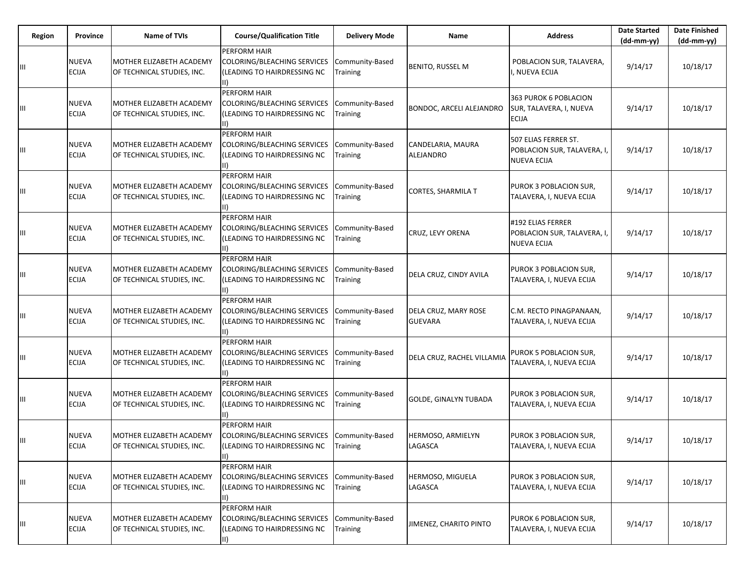| Region | Province                     | Name of TVIs                                           | <b>Course/Qualification Title</b>                                                           | <b>Delivery Mode</b>        | Name                                   | <b>Address</b>                                                            | <b>Date Started</b><br>(dd-mm-yy) | <b>Date Finished</b><br>$(dd-mm-yy)$ |
|--------|------------------------------|--------------------------------------------------------|---------------------------------------------------------------------------------------------|-----------------------------|----------------------------------------|---------------------------------------------------------------------------|-----------------------------------|--------------------------------------|
| Ш      | <b>NUEVA</b><br><b>ECIJA</b> | MOTHER ELIZABETH ACADEMY<br>OF TECHNICAL STUDIES, INC. | PERFORM HAIR<br>COLORING/BLEACHING SERVICES<br>(LEADING TO HAIRDRESSING NC<br>$\vert \vert$ | Community-Based<br>Training | <b>BENITO, RUSSEL M</b>                | POBLACION SUR, TALAVERA,<br>, NUEVA ECIJA                                 | 9/14/17                           | 10/18/17                             |
| Ш      | <b>NUEVA</b><br><b>ECIJA</b> | MOTHER ELIZABETH ACADEMY<br>OF TECHNICAL STUDIES, INC. | PERFORM HAIR<br>COLORING/BLEACHING SERVICES<br>(LEADING TO HAIRDRESSING NC<br>II)           | Community-Based<br>Training | BONDOC, ARCELI ALEJANDRO               | 363 PUROK 6 POBLACION<br>SUR, TALAVERA, I, NUEVA<br><b>ECIJA</b>          | 9/14/17                           | 10/18/17                             |
| Ш      | <b>NUEVA</b><br><b>ECIJA</b> | MOTHER ELIZABETH ACADEMY<br>OF TECHNICAL STUDIES, INC. | PERFORM HAIR<br>COLORING/BLEACHING SERVICES<br><b>LEADING TO HAIRDRESSING NC</b>            | Community-Based<br>Training | CANDELARIA, MAURA<br>ALEJANDRO         | 507 ELIAS FERRER ST.<br>POBLACION SUR, TALAVERA, I,<br><b>NUEVA ECIJA</b> | 9/14/17                           | 10/18/17                             |
| Ш      | NUEVA<br>ECIJA               | MOTHER ELIZABETH ACADEMY<br>OF TECHNICAL STUDIES, INC. | PERFORM HAIR<br>COLORING/BLEACHING SERVICES<br>(LEADING TO HAIRDRESSING NC<br>$\vert \vert$ | Community-Based<br>Training | <b>CORTES, SHARMILA T</b>              | PUROK 3 POBLACION SUR,<br>TALAVERA, I, NUEVA ECIJA                        | 9/14/17                           | 10/18/17                             |
| Ш      | <b>NUEVA</b><br><b>ECIJA</b> | MOTHER ELIZABETH ACADEMY<br>OF TECHNICAL STUDIES, INC. | PERFORM HAIR<br>COLORING/BLEACHING SERVICES<br>(LEADING TO HAIRDRESSING NC                  | Community-Based<br>Training | CRUZ, LEVY ORENA                       | #192 ELIAS FERRER<br>POBLACION SUR, TALAVERA, I,<br><b>NUEVA ECIJA</b>    | 9/14/17                           | 10/18/17                             |
| Ш      | NUEVA<br><b>ECIJA</b>        | MOTHER ELIZABETH ACADEMY<br>OF TECHNICAL STUDIES, INC. | PERFORM HAIR<br>COLORING/BLEACHING SERVICES<br>(LEADING TO HAIRDRESSING NC                  | Community-Based<br>Training | DELA CRUZ, CINDY AVILA                 | PUROK 3 POBLACION SUR,<br>TALAVERA, I, NUEVA ECIJA                        | 9/14/17                           | 10/18/17                             |
| Ш      | NUEVA<br><b>ECIJA</b>        | MOTHER ELIZABETH ACADEMY<br>OF TECHNICAL STUDIES, INC. | PERFORM HAIR<br>COLORING/BLEACHING SERVICES<br>(LEADING TO HAIRDRESSING NC<br>$\parallel$   | Community-Based<br>Training | DELA CRUZ, MARY ROSE<br><b>GUEVARA</b> | C.M. RECTO PINAGPANAAN,<br>TALAVERA, I, NUEVA ECIJA                       | 9/14/17                           | 10/18/17                             |
| Ш      | <b>NUEVA</b><br><b>ECIJA</b> | MOTHER ELIZABETH ACADEMY<br>OF TECHNICAL STUDIES, INC. | PERFORM HAIR<br>COLORING/BLEACHING SERVICES<br>(LEADING TO HAIRDRESSING NC<br>II)           | Community-Based<br>Training | DELA CRUZ, RACHEL VILLAMIA             | PUROK 5 POBLACION SUR,<br>TALAVERA, I, NUEVA ECIJA                        | 9/14/17                           | 10/18/17                             |
| Ш      | NUEVA<br><b>ECIJA</b>        | MOTHER ELIZABETH ACADEMY<br>OF TECHNICAL STUDIES, INC. | PERFORM HAIR<br>COLORING/BLEACHING SERVICES<br>(LEADING TO HAIRDRESSING NC                  | Community-Based<br>Training | <b>GOLDE, GINALYN TUBADA</b>           | PUROK 3 POBLACION SUR,<br>TALAVERA, I, NUEVA ECIJA                        | 9/14/17                           | 10/18/17                             |
| Ш      | <b>NUEVA</b><br><b>ECIJA</b> | MOTHER ELIZABETH ACADEMY<br>OF TECHNICAL STUDIES, INC. | PERFORM HAIR<br>COLORING/BLEACHING SERVICES<br>(LEADING TO HAIRDRESSING NC<br>$\parallel$   | Community-Based<br>Training | HERMOSO, ARMIELYN<br>LAGASCA           | PUROK 3 POBLACION SUR,<br>TALAVERA, I, NUEVA ECIJA                        | 9/14/17                           | 10/18/17                             |
| Ш      | NUEVA<br><b>ECIJA</b>        | MOTHER ELIZABETH ACADEMY<br>OF TECHNICAL STUDIES, INC. | PERFORM HAIR<br>COLORING/BLEACHING SERVICES<br>(LEADING TO HAIRDRESSING NC<br>II)           | Community-Based<br>Training | HERMOSO, MIGUELA<br>LAGASCA            | PUROK 3 POBLACION SUR,<br>TALAVERA, I, NUEVA ECIJA                        | 9/14/17                           | 10/18/17                             |
| Ш      | <b>NUEVA</b><br>ECIJA        | MOTHER ELIZABETH ACADEMY<br>OF TECHNICAL STUDIES, INC. | PERFORM HAIR<br>COLORING/BLEACHING SERVICES<br>(LEADING TO HAIRDRESSING NC<br>II)           | Community-Based<br>Training | JIMENEZ, CHARITO PINTO                 | PUROK 6 POBLACION SUR,<br>TALAVERA, I, NUEVA ECIJA                        | 9/14/17                           | 10/18/17                             |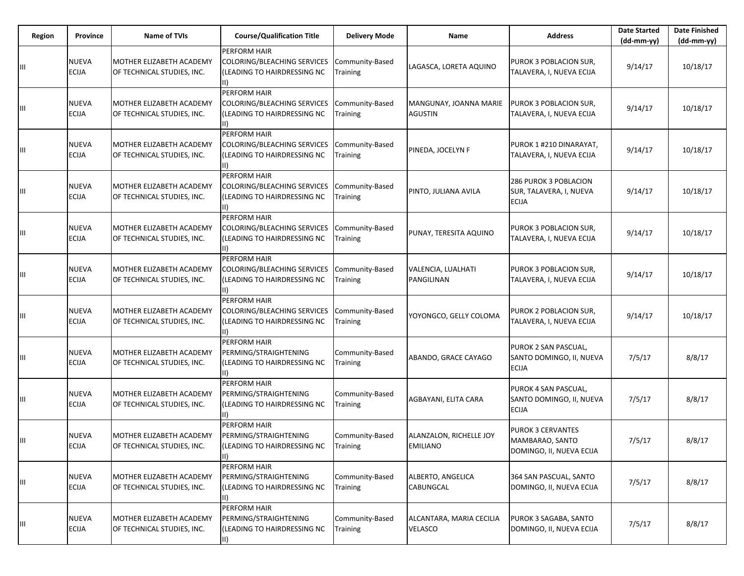| Region | Province                     | <b>Name of TVIs</b>                                           | <b>Course/Qualification Title</b>                                                           | <b>Delivery Mode</b>        | Name                                | <b>Address</b>                                                          | <b>Date Started</b><br>(dd-mm-yy) | <b>Date Finished</b><br>$(dd-mm-yy)$ |
|--------|------------------------------|---------------------------------------------------------------|---------------------------------------------------------------------------------------------|-----------------------------|-------------------------------------|-------------------------------------------------------------------------|-----------------------------------|--------------------------------------|
| Ш      | NUEVA<br>ECIJA               | MOTHER ELIZABETH ACADEMY<br>OF TECHNICAL STUDIES, INC.        | PERFORM HAIR<br>COLORING/BLEACHING SERVICES<br>(LEADING TO HAIRDRESSING NC<br>$\vert \vert$ | Community-Based<br>Training | LAGASCA, LORETA AQUINO              | PUROK 3 POBLACION SUR,<br>TALAVERA, I, NUEVA ECIJA                      | 9/14/17                           | 10/18/17                             |
| Ш      | <b>NUEVA</b><br><b>ECIJA</b> | MOTHER ELIZABETH ACADEMY<br>OF TECHNICAL STUDIES, INC.        | PERFORM HAIR<br>COLORING/BLEACHING SERVICES<br>(LEADING TO HAIRDRESSING NC                  | Community-Based<br>Training | MANGUNAY, JOANNA MARIE<br>AGUSTIN   | <b>PUROK 3 POBLACION SUR,</b><br>TALAVERA, I, NUEVA ECIJA               | 9/14/17                           | 10/18/17                             |
|        | NUEVA<br><b>ECIJA</b>        | MOTHER ELIZABETH ACADEMY<br>OF TECHNICAL STUDIES, INC.        | PERFORM HAIR<br>COLORING/BLEACHING SERVICES<br>(LEADING TO HAIRDRESSING NC                  | Community-Based<br>Training | PINEDA, JOCELYN F                   | PUROK 1 #210 DINARAYAT,<br>TALAVERA, I, NUEVA ECIJA                     | 9/14/17                           | 10/18/17                             |
| Ш      | NUEVA<br><b>ECIJA</b>        | MOTHER ELIZABETH ACADEMY<br>OF TECHNICAL STUDIES, INC.        | PERFORM HAIR<br>COLORING/BLEACHING SERVICES<br>(LEADING TO HAIRDRESSING NC<br>$\vert \vert$ | Community-Based<br>Training | PINTO, JULIANA AVILA                | <b>286 PUROK 3 POBLACION</b><br>SUR, TALAVERA, I, NUEVA<br><b>ECIJA</b> | 9/14/17                           | 10/18/17                             |
| Ш      | <b>NUEVA</b><br><b>ECIJA</b> | MOTHER ELIZABETH ACADEMY<br>OF TECHNICAL STUDIES, INC.        | PERFORM HAIR<br>COLORING/BLEACHING SERVICES<br>(LEADING TO HAIRDRESSING NC<br>II)           | Community-Based<br>Training | PUNAY, TERESITA AQUINO              | PUROK 3 POBLACION SUR,<br>TALAVERA, I, NUEVA ECIJA                      | 9/14/17                           | 10/18/17                             |
|        | <b>NUEVA</b><br><b>ECIJA</b> | MOTHER ELIZABETH ACADEMY<br>OF TECHNICAL STUDIES, INC.        | PERFORM HAIR<br>COLORING/BLEACHING SERVICES<br>(LEADING TO HAIRDRESSING NC                  | Community-Based<br>Training | VALENCIA, LUALHATI<br>PANGILINAN    | PUROK 3 POBLACION SUR,<br>TALAVERA, I, NUEVA ECIJA                      | 9/14/17                           | 10/18/17                             |
| Ш      | <b>NUEVA</b><br>ECIJA        | MOTHER ELIZABETH ACADEMY<br>OF TECHNICAL STUDIES, INC.        | PERFORM HAIR<br>COLORING/BLEACHING SERVICES<br>(LEADING TO HAIRDRESSING NC<br>$\parallel$   | Community-Based<br>Training | YOYONGCO, GELLY COLOMA              | PUROK 2 POBLACION SUR,<br>TALAVERA, I, NUEVA ECIJA                      | 9/14/17                           | 10/18/17                             |
| Ш      | NUEVA<br>ECIJA               | MOTHER ELIZABETH ACADEMY<br>OF TECHNICAL STUDIES, INC.        | PERFORM HAIR<br>PERMING/STRAIGHTENING<br>(LEADING TO HAIRDRESSING NC<br>II)                 | Community-Based<br>Training | ABANDO, GRACE CAYAGO                | PUROK 2 SAN PASCUAL,<br>SANTO DOMINGO, II, NUEVA<br><b>ECIJA</b>        | 7/5/17                            | 8/8/17                               |
| Ш      | <b>NUEVA</b><br><b>ECIJA</b> | <b>MOTHER ELIZABETH ACADEMY</b><br>OF TECHNICAL STUDIES, INC. | PERFORM HAIR<br>PERMING/STRAIGHTENING<br>(LEADING TO HAIRDRESSING NC                        | Community-Based<br>Training | AGBAYANI, ELITA CARA                | PUROK 4 SAN PASCUAL,<br>SANTO DOMINGO, II, NUEVA<br><b>ECIJA</b>        | 7/5/17                            | 8/8/17                               |
| Ш      | NUEVA<br><b>ECIJA</b>        | MOTHER ELIZABETH ACADEMY<br>OF TECHNICAL STUDIES, INC.        | PERFORM HAIR<br>PERMING/STRAIGHTENING<br>(LEADING TO HAIRDRESSING NC                        | Community-Based<br>Training | ALANZALON, RICHELLE JOY<br>EMILIANO | <b>PUROK 3 CERVANTES</b><br>MAMBARAO, SANTO<br>DOMINGO, II, NUEVA ECIJA | 7/5/17                            | 8/8/17                               |
| Ш      | NUEVA<br><b>ECIJA</b>        | MOTHER ELIZABETH ACADEMY<br>OF TECHNICAL STUDIES, INC.        | PERFORM HAIR<br>PERMING/STRAIGHTENING<br>(LEADING TO HAIRDRESSING NC                        | Community-Based<br>Training | ALBERTO, ANGELICA<br>CABUNGCAL      | 364 SAN PASCUAL, SANTO<br>DOMINGO, II, NUEVA ECIJA                      | 7/5/17                            | 8/8/17                               |
| Ш      | <b>NUEVA</b><br>ECIJA        | MOTHER ELIZABETH ACADEMY<br>OF TECHNICAL STUDIES, INC.        | PERFORM HAIR<br>PERMING/STRAIGHTENING<br>(LEADING TO HAIRDRESSING NC<br>II)                 | Community-Based<br>Training | ALCANTARA, MARIA CECILIA<br>VELASCO | PUROK 3 SAGABA, SANTO<br>DOMINGO, II, NUEVA ECIJA                       | 7/5/17                            | 8/8/17                               |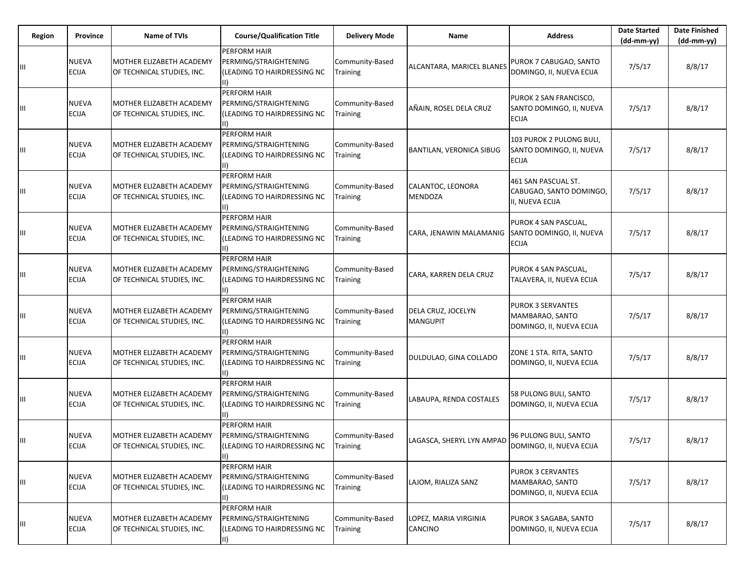| Region | Province                     | Name of TVIs                                           | <b>Course/Qualification Title</b>                                                     | <b>Delivery Mode</b>        | Name                                    | <b>Address</b>                                                          | <b>Date Started</b><br>(dd-mm-yy) | <b>Date Finished</b><br>$(dd-mm-yy)$ |
|--------|------------------------------|--------------------------------------------------------|---------------------------------------------------------------------------------------|-----------------------------|-----------------------------------------|-------------------------------------------------------------------------|-----------------------------------|--------------------------------------|
| Ш      | NUEVA<br>ECIJA               | MOTHER ELIZABETH ACADEMY<br>OF TECHNICAL STUDIES, INC. | PERFORM HAIR<br>PERMING/STRAIGHTENING<br>(LEADING TO HAIRDRESSING NC<br>$\vert \vert$ | Community-Based<br>Training | ALCANTARA, MARICEL BLANES               | PUROK 7 CABUGAO, SANTO<br>DOMINGO, II, NUEVA ECIJA                      | 7/5/17                            | 8/8/17                               |
| Ш      | <b>NUEVA</b><br><b>ECIJA</b> | MOTHER ELIZABETH ACADEMY<br>OF TECHNICAL STUDIES, INC. | PERFORM HAIR<br>PERMING/STRAIGHTENING<br>(LEADING TO HAIRDRESSING NC                  | Community-Based<br>Training | AÑAIN, ROSEL DELA CRUZ                  | PUROK 2 SAN FRANCISCO,<br>SANTO DOMINGO, II, NUEVA<br><b>ECIJA</b>      | 7/5/17                            | 8/8/17                               |
|        | NUEVA<br><b>ECIJA</b>        | MOTHER ELIZABETH ACADEMY<br>OF TECHNICAL STUDIES, INC. | PERFORM HAIR<br>PERMING/STRAIGHTENING<br>(LEADING TO HAIRDRESSING NC                  | Community-Based<br>Training | <b>BANTILAN, VERONICA SIBUG</b>         | 103 PUROK 2 PULONG BULI,<br>SANTO DOMINGO, II, NUEVA<br><b>ECIJA</b>    | 7/5/17                            | 8/8/17                               |
| Ш      | NUEVA<br><b>ECIJA</b>        | MOTHER ELIZABETH ACADEMY<br>OF TECHNICAL STUDIES, INC. | PERFORM HAIR<br>PERMING/STRAIGHTENING<br>(LEADING TO HAIRDRESSING NC<br>$\vert \vert$ | Community-Based<br>Training | CALANTOC, LEONORA<br><b>MENDOZA</b>     | 461 SAN PASCUAL ST.<br>CABUGAO, SANTO DOMINGO,<br>II, NUEVA ECIJA       | 7/5/17                            | 8/8/17                               |
| Ш      | <b>NUEVA</b><br><b>ECIJA</b> | MOTHER ELIZABETH ACADEMY<br>OF TECHNICAL STUDIES, INC. | PERFORM HAIR<br>PERMING/STRAIGHTENING<br>(LEADING TO HAIRDRESSING NC<br>II)           | Community-Based<br>Training | CARA, JENAWIN MALAMANIG                 | PUROK 4 SAN PASCUAL,<br>SANTO DOMINGO, II, NUEVA<br><b>ECIJA</b>        | 7/5/17                            | 8/8/17                               |
|        | <b>NUEVA</b><br><b>ECIJA</b> | MOTHER ELIZABETH ACADEMY<br>OF TECHNICAL STUDIES, INC. | PERFORM HAIR<br>PERMING/STRAIGHTENING<br>(LEADING TO HAIRDRESSING NC                  | Community-Based<br>Training | CARA, KARREN DELA CRUZ                  | PUROK 4 SAN PASCUAL,<br>TALAVERA, II, NUEVA ECIJA                       | 7/5/17                            | 8/8/17                               |
| Ш      | <b>NUEVA</b><br>ECIJA        | MOTHER ELIZABETH ACADEMY<br>OF TECHNICAL STUDIES, INC. | PERFORM HAIR<br>PERMING/STRAIGHTENING<br>(LEADING TO HAIRDRESSING NC<br>$\parallel$   | Community-Based<br>Training | DELA CRUZ, JOCELYN<br><b>MANGUPIT</b>   | <b>PUROK 3 SERVANTES</b><br>MAMBARAO, SANTO<br>DOMINGO, II, NUEVA ECIJA | 7/5/17                            | 8/8/17                               |
| Ш      | NUEVA<br>ECIJA               | MOTHER ELIZABETH ACADEMY<br>OF TECHNICAL STUDIES, INC. | PERFORM HAIR<br>PERMING/STRAIGHTENING<br>(LEADING TO HAIRDRESSING NC<br>II).          | Community-Based<br>Training | DULDULAO, GINA COLLADO                  | ZONE 1 STA. RITA, SANTO<br>DOMINGO, II, NUEVA ECIJA                     | 7/5/17                            | 8/8/17                               |
| Ш      | <b>NUEVA</b><br><b>ECIJA</b> | MOTHER ELIZABETH ACADEMY<br>OF TECHNICAL STUDIES, INC. | PERFORM HAIR<br>PERMING/STRAIGHTENING<br>(LEADING TO HAIRDRESSING NC                  | Community-Based<br>Training | LABAUPA, RENDA COSTALES                 | 58 PULONG BULI, SANTO<br>DOMINGO, II, NUEVA ECIJA                       | 7/5/17                            | 8/8/17                               |
| Ш      | NUEVA<br><b>ECIJA</b>        | MOTHER ELIZABETH ACADEMY<br>OF TECHNICAL STUDIES, INC. | PERFORM HAIR<br>PERMING/STRAIGHTENING<br>(LEADING TO HAIRDRESSING NC                  | Community-Based<br>Training | LAGASCA, SHERYL LYN AMPAD               | 96 PULONG BULI, SANTO<br>DOMINGO, II, NUEVA ECIJA                       | 7/5/17                            | 8/8/17                               |
| Ш      | NUEVA<br><b>ECIJA</b>        | MOTHER ELIZABETH ACADEMY<br>OF TECHNICAL STUDIES, INC. | PERFORM HAIR<br>PERMING/STRAIGHTENING<br>(LEADING TO HAIRDRESSING NC                  | Community-Based<br>Training | LAJOM, RIALIZA SANZ                     | <b>PUROK 3 CERVANTES</b><br>MAMBARAO, SANTO<br>DOMINGO, II, NUEVA ECIJA | 7/5/17                            | 8/8/17                               |
| Ш      | <b>NUEVA</b><br>ECIJA        | MOTHER ELIZABETH ACADEMY<br>OF TECHNICAL STUDIES, INC. | PERFORM HAIR<br>PERMING/STRAIGHTENING<br>(LEADING TO HAIRDRESSING NC<br>II)           | Community-Based<br>Training | LOPEZ, MARIA VIRGINIA<br><b>CANCINO</b> | PUROK 3 SAGABA, SANTO<br>DOMINGO, II, NUEVA ECIJA                       | 7/5/17                            | 8/8/17                               |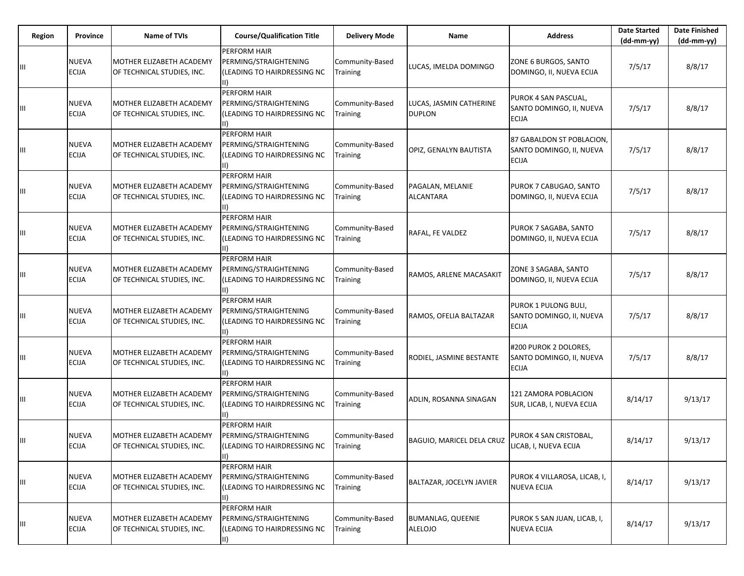| Region | Province                     | Name of TVIs                                           | <b>Course/Qualification Title</b>                                                     | <b>Delivery Mode</b>        | Name                                       | <b>Address</b>                                                        | <b>Date Started</b><br>(dd-mm-yy) | <b>Date Finished</b><br>$(dd-mm-yy)$ |
|--------|------------------------------|--------------------------------------------------------|---------------------------------------------------------------------------------------|-----------------------------|--------------------------------------------|-----------------------------------------------------------------------|-----------------------------------|--------------------------------------|
| Ш      | NUEVA<br>ECIJA               | MOTHER ELIZABETH ACADEMY<br>OF TECHNICAL STUDIES, INC. | PERFORM HAIR<br>PERMING/STRAIGHTENING<br>(LEADING TO HAIRDRESSING NC<br>$\vert \vert$ | Community-Based<br>Training | LUCAS, IMELDA DOMINGO                      | ZONE 6 BURGOS, SANTO<br>DOMINGO, II, NUEVA ECIJA                      | 7/5/17                            | 8/8/17                               |
| Ш      | <b>NUEVA</b><br><b>ECIJA</b> | MOTHER ELIZABETH ACADEMY<br>OF TECHNICAL STUDIES, INC. | PERFORM HAIR<br>PERMING/STRAIGHTENING<br>(LEADING TO HAIRDRESSING NC                  | Community-Based<br>Training | LUCAS, JASMIN CATHERINE<br><b>DUPLON</b>   | PUROK 4 SAN PASCUAL,<br>SANTO DOMINGO, II, NUEVA<br><b>ECIJA</b>      | 7/5/17                            | 8/8/17                               |
|        | NUEVA<br><b>ECIJA</b>        | MOTHER ELIZABETH ACADEMY<br>OF TECHNICAL STUDIES, INC. | PERFORM HAIR<br>PERMING/STRAIGHTENING<br>(LEADING TO HAIRDRESSING NC                  | Community-Based<br>Training | OPIZ, GENALYN BAUTISTA                     | 87 GABALDON ST POBLACION,<br>SANTO DOMINGO, II, NUEVA<br><b>ECIJA</b> | 7/5/17                            | 8/8/17                               |
| Ш      | NUEVA<br><b>ECIJA</b>        | MOTHER ELIZABETH ACADEMY<br>OF TECHNICAL STUDIES, INC. | PERFORM HAIR<br>PERMING/STRAIGHTENING<br>(LEADING TO HAIRDRESSING NC<br>$\vert \vert$ | Community-Based<br>Training | PAGALAN, MELANIE<br>ALCANTARA              | PUROK 7 CABUGAO, SANTO<br>DOMINGO, II, NUEVA ECIJA                    | 7/5/17                            | 8/8/17                               |
| Ш      | <b>NUEVA</b><br><b>ECIJA</b> | MOTHER ELIZABETH ACADEMY<br>OF TECHNICAL STUDIES, INC. | PERFORM HAIR<br>PERMING/STRAIGHTENING<br>(LEADING TO HAIRDRESSING NC<br>II)           | Community-Based<br>Training | RAFAL, FE VALDEZ                           | PUROK 7 SAGABA, SANTO<br>DOMINGO, II, NUEVA ECIJA                     | 7/5/17                            | 8/8/17                               |
|        | <b>NUEVA</b><br><b>ECIJA</b> | MOTHER ELIZABETH ACADEMY<br>OF TECHNICAL STUDIES, INC. | PERFORM HAIR<br>PERMING/STRAIGHTENING<br>(LEADING TO HAIRDRESSING NC                  | Community-Based<br>Training | RAMOS, ARLENE MACASAKIT                    | ZONE 3 SAGABA, SANTO<br>DOMINGO, II, NUEVA ECIJA                      | 7/5/17                            | 8/8/17                               |
| Ш      | <b>NUEVA</b><br>ECIJA        | MOTHER ELIZABETH ACADEMY<br>OF TECHNICAL STUDIES, INC. | PERFORM HAIR<br>PERMING/STRAIGHTENING<br>(LEADING TO HAIRDRESSING NC<br>$\parallel$   | Community-Based<br>Training | RAMOS, OFELIA BALTAZAR                     | PUROK 1 PULONG BULI,<br>SANTO DOMINGO, II, NUEVA<br><b>ECIJA</b>      | 7/5/17                            | 8/8/17                               |
| Ш      | NUEVA<br>ECIJA               | MOTHER ELIZABETH ACADEMY<br>OF TECHNICAL STUDIES, INC. | PERFORM HAIR<br>PERMING/STRAIGHTENING<br>(LEADING TO HAIRDRESSING NC<br>II).          | Community-Based<br>Training | RODIEL, JASMINE BESTANTE                   | #200 PUROK 2 DOLORES,<br>SANTO DOMINGO, II, NUEVA<br><b>ECIJA</b>     | 7/5/17                            | 8/8/17                               |
|        | <b>NUEVA</b><br><b>ECIJA</b> | MOTHER ELIZABETH ACADEMY<br>OF TECHNICAL STUDIES, INC. | PERFORM HAIR<br>PERMING/STRAIGHTENING<br>(LEADING TO HAIRDRESSING NC                  | Community-Based<br>Training | ADLIN, ROSANNA SINAGAN                     | 121 ZAMORA POBLACION<br>SUR, LICAB, I, NUEVA ECIJA                    | 8/14/17                           | 9/13/17                              |
| Ш      | NUEVA<br><b>ECIJA</b>        | MOTHER ELIZABETH ACADEMY<br>OF TECHNICAL STUDIES, INC. | PERFORM HAIR<br>PERMING/STRAIGHTENING<br>(LEADING TO HAIRDRESSING NC                  | Community-Based<br>Training | BAGUIO, MARICEL DELA CRUZ                  | PUROK 4 SAN CRISTOBAL,<br>LICAB, I, NUEVA ECIJA                       | 8/14/17                           | 9/13/17                              |
| Ш      | NUEVA<br><b>ECIJA</b>        | MOTHER ELIZABETH ACADEMY<br>OF TECHNICAL STUDIES, INC. | PERFORM HAIR<br>PERMING/STRAIGHTENING<br>(LEADING TO HAIRDRESSING NC                  | Community-Based<br>Training | BALTAZAR, JOCELYN JAVIER                   | PUROK 4 VILLAROSA, LICAB, I,<br><b>NUEVA ECIJA</b>                    | 8/14/17                           | 9/13/17                              |
| Ш      | <b>NUEVA</b><br><b>ECIJA</b> | MOTHER ELIZABETH ACADEMY<br>OF TECHNICAL STUDIES, INC. | PERFORM HAIR<br>PERMING/STRAIGHTENING<br>(LEADING TO HAIRDRESSING NC<br>II)           | Community-Based<br>Training | <b>BUMANLAG, QUEENIE</b><br><b>ALELOJO</b> | PUROK 5 SAN JUAN, LICAB, I,<br><b>NUEVA ECIJA</b>                     | 8/14/17                           | 9/13/17                              |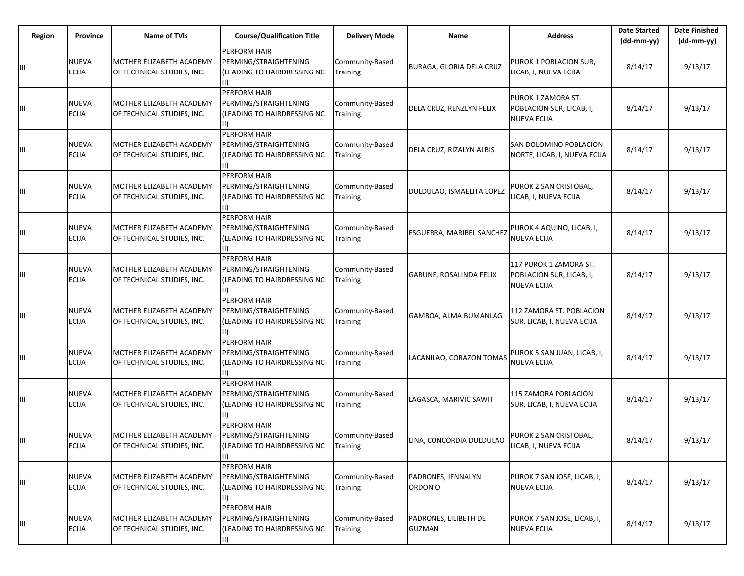| Region | Province                     | <b>Name of TVIs</b>                                    | <b>Course/Qualification Title</b>                                                            | <b>Delivery Mode</b>        | Name                                   | <b>Address</b>                                                           | <b>Date Started</b><br>$(dd-mm-yy)$ | <b>Date Finished</b><br>$(dd-mm-yy)$ |
|--------|------------------------------|--------------------------------------------------------|----------------------------------------------------------------------------------------------|-----------------------------|----------------------------------------|--------------------------------------------------------------------------|-------------------------------------|--------------------------------------|
| Ш      | NUEVA<br>ECIJA               | MOTHER ELIZABETH ACADEMY<br>OF TECHNICAL STUDIES, INC. | PERFORM HAIR<br>PERMING/STRAIGHTENING<br>(LEADING TO HAIRDRESSING NC<br>$\vert \vert \vert$  | Community-Based<br>Training | <b>BURAGA, GLORIA DELA CRUZ</b>        | PUROK 1 POBLACION SUR,<br>LICAB, I, NUEVA ECIJA                          | 8/14/17                             | 9/13/17                              |
| Ш      | NUEVA<br><b>ECIJA</b>        | MOTHER ELIZABETH ACADEMY<br>OF TECHNICAL STUDIES, INC. | PERFORM HAIR<br>PERMING/STRAIGHTENING<br>(LEADING TO HAIRDRESSING NC                         | Community-Based<br>Training | DELA CRUZ, RENZLYN FELIX               | PUROK 1 ZAMORA ST.<br>POBLACION SUR, LICAB, I,<br><b>NUEVA ECIJA</b>     | 8/14/17                             | 9/13/17                              |
| Ш      | NUEVA<br>ECIJA               | MOTHER ELIZABETH ACADEMY<br>OF TECHNICAL STUDIES, INC. | <b>PERFORM HAIR</b><br>PERMING/STRAIGHTENING<br>(LEADING TO HAIRDRESSING NC                  | Community-Based<br>Training | DELA CRUZ, RIZALYN ALBIS               | SAN DOLOMINO POBLACION<br>NORTE, LICAB, I, NUEVA ECIJA                   | 8/14/17                             | 9/13/17                              |
| Ш      | NUEVA<br>ECIJA               | MOTHER ELIZABETH ACADEMY<br>OF TECHNICAL STUDIES, INC. | PERFORM HAIR<br>PERMING/STRAIGHTENING<br>(LEADING TO HAIRDRESSING NC<br>III)                 | Community-Based<br>Training | DULDULAO, ISMAELITA LOPEZ              | PUROK 2 SAN CRISTOBAL,<br>LICAB, I, NUEVA ECIJA                          | 8/14/17                             | 9/13/17                              |
| Ш      | NUEVA<br><b>ECIJA</b>        | MOTHER ELIZABETH ACADEMY<br>OF TECHNICAL STUDIES, INC. | PERFORM HAIR<br>PERMING/STRAIGHTENING<br>(LEADING TO HAIRDRESSING NC                         | Community-Based<br>Training | ESGUERRA, MARIBEL SANCHEZ              | PUROK 4 AQUINO, LICAB, I,<br><b>NUEVA ECIJA</b>                          | 8/14/17                             | 9/13/17                              |
| Ш      | NUEVA<br><b>ECIJA</b>        | MOTHER ELIZABETH ACADEMY<br>OF TECHNICAL STUDIES, INC. | <b>PERFORM HAIR</b><br>PERMING/STRAIGHTENING<br>(LEADING TO HAIRDRESSING NC                  | Community-Based<br>Training | <b>GABUNE, ROSALINDA FELIX</b>         | 117 PUROK 1 ZAMORA ST.<br>POBLACION SUR, LICAB, I,<br><b>NUEVA ECIJA</b> | 8/14/17                             | 9/13/17                              |
| Ш      | NUEVA<br>ECIJA               | MOTHER ELIZABETH ACADEMY<br>OF TECHNICAL STUDIES, INC. | PERFORM HAIR<br>PERMING/STRAIGHTENING<br>(LEADING TO HAIRDRESSING NC<br>III)                 | Community-Based<br>Training | GAMBOA, ALMA BUMANLAG                  | 112 ZAMORA ST. POBLACION<br>SUR, LICAB, I, NUEVA ECIJA                   | 8/14/17                             | 9/13/17                              |
| Ш      | NUEVA<br><b>ECIJA</b>        | MOTHER ELIZABETH ACADEMY<br>OF TECHNICAL STUDIES, INC. | <b>PERFORM HAIR</b><br>PERMING/STRAIGHTENING<br>(LEADING TO HAIRDRESSING NC<br>$\mathbf{II}$ | Community-Based<br>Training | LACANILAO, CORAZON TOMAS               | PUROK 5 SAN JUAN, LICAB, I,<br><b>NUEVA ECIJA</b>                        | 8/14/17                             | 9/13/17                              |
| ШL     | NUEVA<br><b>ECIJA</b>        | MOTHER ELIZABETH ACADEMY<br>OF TECHNICAL STUDIES, INC. | PERFORM HAIR<br>PERMING/STRAIGHTENING<br>(LEADING TO HAIRDRESSING NC                         | Community-Based<br>Training | LAGASCA, MARIVIC SAWIT                 | 115 ZAMORA POBLACION<br>SUR, LICAB, I, NUEVA ECIJA                       | 8/14/17                             | 9/13/17                              |
| Ш      | NUEVA<br><b>ECIJA</b>        | MOTHER ELIZABETH ACADEMY<br>OF TECHNICAL STUDIES, INC. | PERFORM HAIR<br>PERMING/STRAIGHTENING<br>(LEADING TO HAIRDRESSING NC<br>III)                 | Community-Based<br>Training | LINA, CONCORDIA DULDULAO               | PUROK 2 SAN CRISTOBAL,<br>LICAB, I, NUEVA ECIJA                          | 8/14/17                             | 9/13/17                              |
| Ш      | NUEVA<br>ECIJA               | MOTHER ELIZABETH ACADEMY<br>OF TECHNICAL STUDIES, INC. | PERFORM HAIR<br>PERMING/STRAIGHTENING<br>(LEADING TO HAIRDRESSING NC<br>III)                 | Community-Based<br>Training | PADRONES, JENNALYN<br>ORDONIO          | PUROK 7 SAN JOSE, LICAB, I,<br><b>NUEVA ECIJA</b>                        | 8/14/17                             | 9/13/17                              |
| Ш      | <b>NUEVA</b><br><b>ECIJA</b> | MOTHER ELIZABETH ACADEMY<br>OF TECHNICAL STUDIES, INC. | PERFORM HAIR<br>PERMING/STRAIGHTENING<br>(LEADING TO HAIRDRESSING NC<br>II)                  | Community-Based<br>Training | PADRONES, LILIBETH DE<br><b>GUZMAN</b> | PUROK 7 SAN JOSE, LICAB, I,<br><b>NUEVA ECIJA</b>                        | 8/14/17                             | 9/13/17                              |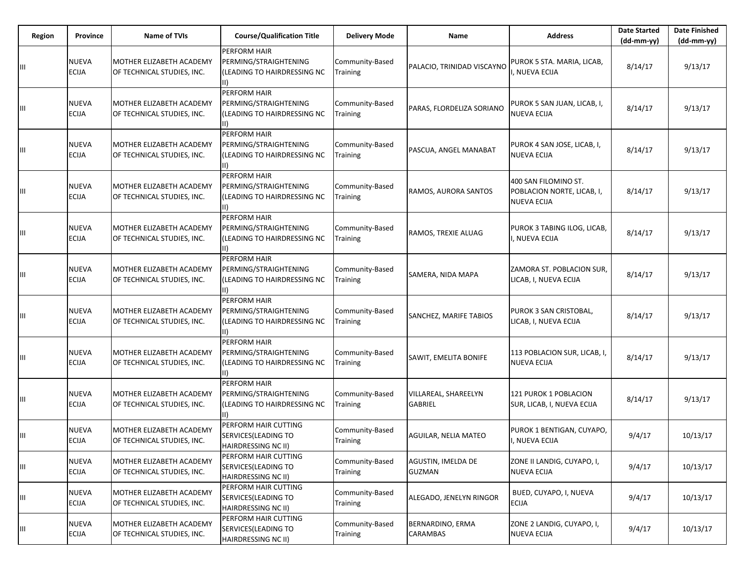| <b>Region</b> | Province              | <b>Name of TVIs</b>                                    | <b>Course/Qualification Title</b>                                                            | <b>Delivery Mode</b>        | Name                                   | <b>Address</b>                                                           | <b>Date Started</b><br>$(dd-mm-yy)$ | <b>Date Finished</b><br>$(dd-mm-yy)$ |
|---------------|-----------------------|--------------------------------------------------------|----------------------------------------------------------------------------------------------|-----------------------------|----------------------------------------|--------------------------------------------------------------------------|-------------------------------------|--------------------------------------|
| Ш             | NUEVA<br>ECIJA        | MOTHER ELIZABETH ACADEMY<br>OF TECHNICAL STUDIES, INC. | PERFORM HAIR<br>PERMING/STRAIGHTENING<br>(LEADING TO HAIRDRESSING NC<br>III)                 | Community-Based<br>Training | PALACIO, TRINIDAD VISCAYNO             | PUROK 5 STA. MARIA, LICAB,<br>, NUEVA ECIJA                              | 8/14/17                             | 9/13/17                              |
| Ш             | NUEVA<br><b>ECIJA</b> | MOTHER ELIZABETH ACADEMY<br>OF TECHNICAL STUDIES, INC. | PERFORM HAIR<br>PERMING/STRAIGHTENING<br>(LEADING TO HAIRDRESSING NC                         | Community-Based<br>Training | PARAS, FLORDELIZA SORIANO              | PUROK 5 SAN JUAN, LICAB, I,<br><b>NUEVA ECIJA</b>                        | 8/14/17                             | 9/13/17                              |
| Ш             | NUEVA<br><b>ECIJA</b> | MOTHER ELIZABETH ACADEMY<br>OF TECHNICAL STUDIES, INC. | PERFORM HAIR<br>PERMING/STRAIGHTENING<br>(LEADING TO HAIRDRESSING NC                         | Community-Based<br>Training | PASCUA, ANGEL MANABAT                  | PUROK 4 SAN JOSE, LICAB, I,<br><b>NUEVA ECIJA</b>                        | 8/14/17                             | 9/13/17                              |
| Ш             | NUEVA<br><b>ECIJA</b> | MOTHER ELIZABETH ACADEMY<br>OF TECHNICAL STUDIES, INC. | PERFORM HAIR<br>PERMING/STRAIGHTENING<br>(LEADING TO HAIRDRESSING NC<br>III)                 | Community-Based<br>Training | RAMOS, AURORA SANTOS                   | 400 SAN FILOMINO ST.<br>POBLACION NORTE, LICAB, I,<br><b>NUEVA ECIJA</b> | 8/14/17                             | 9/13/17                              |
| Ш             | NUEVA<br><b>ECIJA</b> | MOTHER ELIZABETH ACADEMY<br>OF TECHNICAL STUDIES, INC. | PERFORM HAIR<br>PERMING/STRAIGHTENING<br>(LEADING TO HAIRDRESSING NC<br>$\parallel$          | Community-Based<br>Training | RAMOS, TREXIE ALUAG                    | PUROK 3 TABING ILOG, LICAB,<br>, NUEVA ECIJA                             | 8/14/17                             | 9/13/17                              |
| Ш             | NUEVA<br><b>ECIJA</b> | MOTHER ELIZABETH ACADEMY<br>OF TECHNICAL STUDIES, INC. | <b>PERFORM HAIR</b><br>PERMING/STRAIGHTENING<br>(LEADING TO HAIRDRESSING NC                  | Community-Based<br>Training | SAMERA, NIDA MAPA                      | ZAMORA ST. POBLACION SUR,<br>LICAB, I, NUEVA ECIJA                       | 8/14/17                             | 9/13/17                              |
| Ш             | NUEVA<br>ECIJA        | MOTHER ELIZABETH ACADEMY<br>OF TECHNICAL STUDIES, INC. | PERFORM HAIR<br>PERMING/STRAIGHTENING<br>(LEADING TO HAIRDRESSING NC<br>III)                 | Community-Based<br>Training | SANCHEZ, MARIFE TABIOS                 | PUROK 3 SAN CRISTOBAL,<br>LICAB, I, NUEVA ECIJA                          | 8/14/17                             | 9/13/17                              |
| Ш             | NUEVA<br><b>ECIJA</b> | MOTHER ELIZABETH ACADEMY<br>OF TECHNICAL STUDIES, INC. | <b>PERFORM HAIR</b><br>PERMING/STRAIGHTENING<br>(LEADING TO HAIRDRESSING NC<br>$\mathbf{II}$ | Community-Based<br>Training | SAWIT, EMELITA BONIFE                  | 113 POBLACION SUR, LICAB, I,<br><b>NUEVA ECIJA</b>                       | 8/14/17                             | 9/13/17                              |
| ШL            | NUEVA<br><b>ECIJA</b> | MOTHER ELIZABETH ACADEMY<br>OF TECHNICAL STUDIES, INC. | PERFORM HAIR<br>PERMING/STRAIGHTENING<br>(LEADING TO HAIRDRESSING NC<br>$\parallel$          | Community-Based<br>Training | VILLAREAL, SHAREELYN<br><b>GABRIEL</b> | 121 PUROK 1 POBLACION<br>SUR, LICAB, I, NUEVA ECIJA                      | 8/14/17                             | 9/13/17                              |
| Ш             | NUEVA<br><b>ECIJA</b> | MOTHER ELIZABETH ACADEMY<br>OF TECHNICAL STUDIES, INC. | PERFORM HAIR CUTTING<br>SERVICES (LEADING TO<br>HAIRDRESSING NC II)                          | Community-Based<br>Training | AGUILAR, NELIA MATEO                   | PUROK 1 BENTIGAN, CUYAPO,<br>I, NUEVA ECIJA                              | 9/4/17                              | 10/13/17                             |
| Ш             | NUEVA<br>ECIJA        | MOTHER ELIZABETH ACADEMY<br>OF TECHNICAL STUDIES, INC. | PERFORM HAIR CUTTING<br>SERVICES (LEADING TO<br><b>HAIRDRESSING NC II)</b>                   | Community-Based<br>Training | AGUSTIN, IMELDA DE<br><b>GUZMAN</b>    | ZONE II LANDIG, CUYAPO, I,<br><b>NUEVA ECIJA</b>                         | 9/4/17                              | 10/13/17                             |
| Ш             | NUEVA<br><b>ECIJA</b> | MOTHER ELIZABETH ACADEMY<br>OF TECHNICAL STUDIES, INC. | PERFORM HAIR CUTTING<br>SERVICES (LEADING TO<br>HAIRDRESSING NC II)                          | Community-Based<br>Training | ALEGADO, JENELYN RINGOR                | BUED, CUYAPO, I, NUEVA<br><b>ECIJA</b>                                   | 9/4/17                              | 10/13/17                             |
| Ш             | NUEVA<br>ECIJA        | MOTHER ELIZABETH ACADEMY<br>OF TECHNICAL STUDIES, INC. | PERFORM HAIR CUTTING<br>SERVICES (LEADING TO<br>HAIRDRESSING NC II)                          | Community-Based<br>Training | BERNARDINO, ERMA<br>CARAMBAS           | ZONE 2 LANDIG, CUYAPO, I,<br><b>NUEVA ECIJA</b>                          | 9/4/17                              | 10/13/17                             |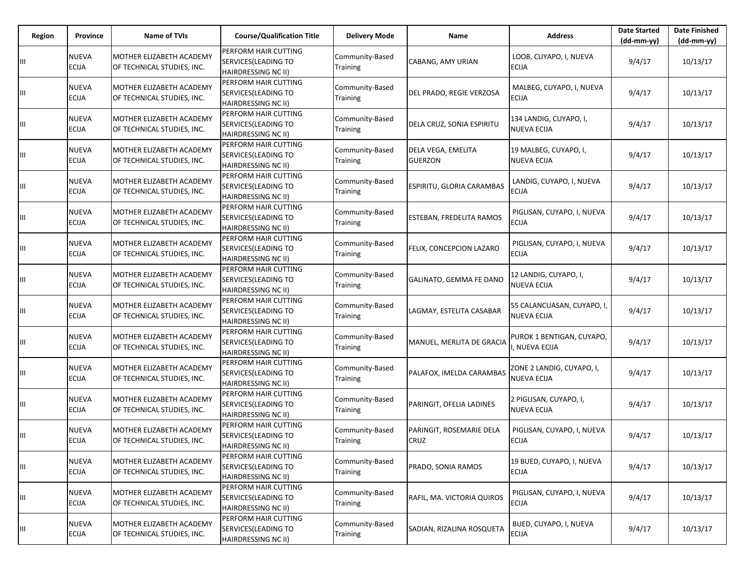| Region | Province                     | <b>Name of TVIs</b>                                    | <b>Course/Qualification Title</b>                                          | <b>Delivery Mode</b>               | Name                                    | <b>Address</b>                               | <b>Date Started</b><br>$(dd-mm-yy)$ | <b>Date Finished</b><br>$(dd-mm-yy)$ |
|--------|------------------------------|--------------------------------------------------------|----------------------------------------------------------------------------|------------------------------------|-----------------------------------------|----------------------------------------------|-------------------------------------|--------------------------------------|
|        | <b>NUEVA</b><br><b>ECIJA</b> | MOTHER ELIZABETH ACADEMY<br>OF TECHNICAL STUDIES, INC. | PERFORM HAIR CUTTING<br>SERVICES(LEADING TO<br><b>HAIRDRESSING NC II)</b>  | Community-Based<br>Training        | CABANG, AMY URIAN                       | LOOB, CUYAPO, I, NUEVA<br>ECIJA              | 9/4/17                              | 10/13/17                             |
| Ш      | <b>NUEVA</b><br><b>ECIJA</b> | MOTHER ELIZABETH ACADEMY<br>OF TECHNICAL STUDIES, INC. | PERFORM HAIR CUTTING<br>SERVICES (LEADING TO<br><b>HAIRDRESSING NC II)</b> | Community-Based<br>Training        | DEL PRADO, REGIE VERZOSA                | MALBEG, CUYAPO, I, NUEVA<br><b>ECIJA</b>     | 9/4/17                              | 10/13/17                             |
| Ш      | <b>NUEVA</b><br><b>ECIJA</b> | MOTHER ELIZABETH ACADEMY<br>OF TECHNICAL STUDIES, INC. | PERFORM HAIR CUTTING<br>SERVICES(LEADING TO<br>HAIRDRESSING NC II)         | Community-Based<br>Training        | DELA CRUZ, SONIA ESPIRITU               | 134 LANDIG, CUYAPO, I,<br><b>NUEVA ECIJA</b> | 9/4/17                              | 10/13/17                             |
| Ш      | <b>NUEVA</b><br><b>ECIJA</b> | MOTHER ELIZABETH ACADEMY<br>OF TECHNICAL STUDIES, INC. | PERFORM HAIR CUTTING<br>SERVICES (LEADING TO<br>HAIRDRESSING NC II)        | Community-Based<br>Training        | DELA VEGA, EMELITA<br><b>GUERZON</b>    | 19 MALBEG, CUYAPO, I,<br>NUEVA ECIJA         | 9/4/17                              | 10/13/17                             |
| Ш      | <b>NUEVA</b><br><b>ECIJA</b> | MOTHER ELIZABETH ACADEMY<br>OF TECHNICAL STUDIES, INC. | PERFORM HAIR CUTTING<br>SERVICES(LEADING TO<br><b>HAIRDRESSING NC II)</b>  | Community-Based<br>Training        | ESPIRITU, GLORIA CARAMBAS               | LANDIG, CUYAPO, I, NUEVA<br>ECIJA            | 9/4/17                              | 10/13/17                             |
| Щ      | <b>NUEVA</b><br><b>ECIJA</b> | MOTHER ELIZABETH ACADEMY<br>OF TECHNICAL STUDIES, INC. | PERFORM HAIR CUTTING<br>SERVICES (LEADING TO<br><b>HAIRDRESSING NC II)</b> | Community-Based<br>Training        | <b>ESTEBAN, FREDELITA RAMOS</b>         | PIGLISAN, CUYAPO, I, NUEVA<br><b>ECIJA</b>   | 9/4/17                              | 10/13/17                             |
| Ш      | <b>NUEVA</b><br><b>ECIJA</b> | MOTHER ELIZABETH ACADEMY<br>OF TECHNICAL STUDIES, INC. | PERFORM HAIR CUTTING<br>SERVICES(LEADING TO<br><b>HAIRDRESSING NC II)</b>  | Community-Based<br>Training        | FELIX, CONCEPCION LAZARO                | PIGLISAN, CUYAPO, I, NUEVA<br>ECIJA          | 9/4/17                              | 10/13/17                             |
| Щ      | <b>NUEVA</b><br><b>ECIJA</b> | MOTHER ELIZABETH ACADEMY<br>OF TECHNICAL STUDIES, INC. | PERFORM HAIR CUTTING<br>SERVICES (LEADING TO<br><b>HAIRDRESSING NC II)</b> | Community-Based<br>Training        | GALINATO, GEMMA FE DANO                 | 12 LANDIG, CUYAPO, I,<br><b>NUEVA ECIJA</b>  | 9/4/17                              | 10/13/17                             |
| Ш      | <b>NUEVA</b><br><b>ECIJA</b> | MOTHER ELIZABETH ACADEMY<br>OF TECHNICAL STUDIES, INC. | PERFORM HAIR CUTTING<br>SERVICES(LEADING TO<br><b>HAIRDRESSING NC II)</b>  | Community-Based<br>Training        | LAGMAY, ESTELITA CASABAR                | 55 CALANCUASAN, CUYAPO, I,<br>NUEVA ECIJA    | 9/4/17                              | 10/13/17                             |
| Ш      | <b>NUEVA</b><br><b>ECIJA</b> | MOTHER ELIZABETH ACADEMY<br>OF TECHNICAL STUDIES, INC. | PERFORM HAIR CUTTING<br>SERVICES (LEADING TO<br>HAIRDRESSING NC II)        | Community-Based<br>Training        | MANUEL, MERLITA DE GRACIA               | PUROK 1 BENTIGAN, CUYAPO,<br>NUEVA ECIJA     | 9/4/17                              | 10/13/17                             |
| Щ      | <b>NUEVA</b><br><b>ECIJA</b> | MOTHER ELIZABETH ACADEMY<br>OF TECHNICAL STUDIES, INC. | PERFORM HAIR CUTTING<br>SERVICES(LEADING TO<br><b>HAIRDRESSING NC II)</b>  | Community-Based<br>Training        | PALAFOX, IMELDA CARAMBAS                | ZONE 2 LANDIG, CUYAPO, I,<br>NUEVA ECIJA     | 9/4/17                              | 10/13/17                             |
| Ш      | <b>NUEVA</b><br><b>ECIJA</b> | MOTHER ELIZABETH ACADEMY<br>OF TECHNICAL STUDIES, INC. | PERFORM HAIR CUTTING<br>SERVICES (LEADING TO<br>HAIRDRESSING NC II)        | Community-Based<br><b>Training</b> | PARINGIT, OFELIA LADINES                | 2 PIGLISAN, CUYAPO, I,<br><b>NUEVA ECIJA</b> | 9/4/17                              | 10/13/17                             |
| Ш      | <b>NUEVA</b><br><b>ECIJA</b> | MOTHER ELIZABETH ACADEMY<br>OF TECHNICAL STUDIES, INC. | PERFORM HAIR CUTTING<br>SERVICES(LEADING TO<br><b>HAIRDRESSING NC II)</b>  | Community-Based<br><b>Training</b> | PARINGIT, ROSEMARIE DELA<br><b>CRUZ</b> | PIGLISAN, CUYAPO, I, NUEVA<br><b>ECIJA</b>   | 9/4/17                              | 10/13/17                             |
| Ш      | <b>NUEVA</b><br><b>ECIJA</b> | MOTHER ELIZABETH ACADEMY<br>OF TECHNICAL STUDIES, INC. | PERFORM HAIR CUTTING<br>SERVICES (LEADING TO<br>HAIRDRESSING NC II)        | Community-Based<br>Training        | PRADO, SONIA RAMOS                      | 19 BUED, CUYAPO, I, NUEVA<br><b>ECIJA</b>    | 9/4/17                              | 10/13/17                             |
| Ш      | <b>NUEVA</b><br><b>ECIJA</b> | MOTHER ELIZABETH ACADEMY<br>OF TECHNICAL STUDIES, INC. | PERFORM HAIR CUTTING<br>SERVICES (LEADING TO<br>HAIRDRESSING NC II)        | Community-Based<br>Training        | RAFIL, MA. VICTORIA QUIROS              | PIGLISAN, CUYAPO, I, NUEVA<br><b>ECIJA</b>   | 9/4/17                              | 10/13/17                             |
| Ш      | <b>NUEVA</b><br><b>ECIJA</b> | MOTHER ELIZABETH ACADEMY<br>OF TECHNICAL STUDIES, INC. | PERFORM HAIR CUTTING<br>SERVICES (LEADING TO<br>HAIRDRESSING NC II)        | Community-Based<br><b>Training</b> | SADIAN, RIZALINA ROSQUETA               | BUED, CUYAPO, I, NUEVA<br><b>ECIJA</b>       | 9/4/17                              | 10/13/17                             |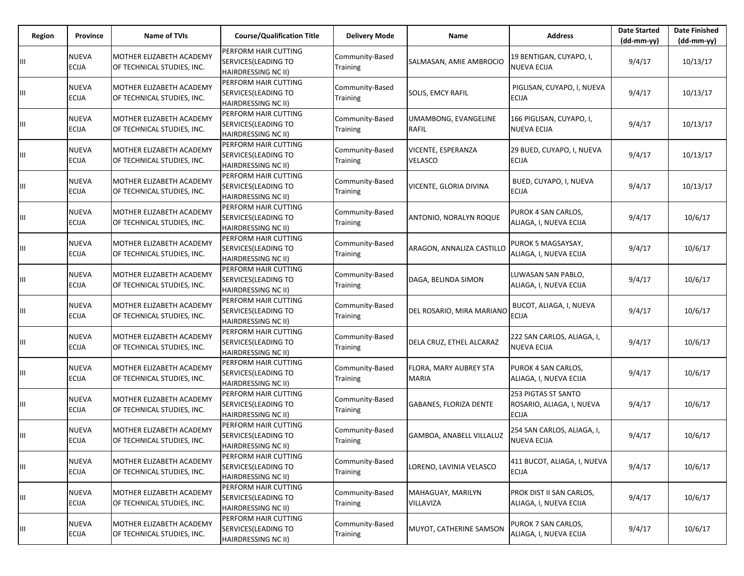| Region | <b>Province</b>              | <b>Name of TVIs</b>                                    | <b>Course/Qualification Title</b>                                          | <b>Delivery Mode</b>               | Name                                        | <b>Address</b>                                                   | <b>Date Started</b><br>$(dd-mm-yy)$ | <b>Date Finished</b><br>(dd-mm-yy) |
|--------|------------------------------|--------------------------------------------------------|----------------------------------------------------------------------------|------------------------------------|---------------------------------------------|------------------------------------------------------------------|-------------------------------------|------------------------------------|
|        | <b>NUEVA</b><br><b>ECIJA</b> | MOTHER ELIZABETH ACADEMY<br>OF TECHNICAL STUDIES, INC. | PERFORM HAIR CUTTING<br>SERVICES (LEADING TO<br>HAIRDRESSING NC II)        | Community-Based<br>Training        | SALMASAN, AMIE AMBROCIO                     | 19 BENTIGAN, CUYAPO, I,<br><b>NUEVA ECIJA</b>                    | 9/4/17                              | 10/13/17                           |
|        | <b>NUEVA</b><br><b>ECIJA</b> | MOTHER ELIZABETH ACADEMY<br>OF TECHNICAL STUDIES, INC. | PERFORM HAIR CUTTING<br>SERVICES (LEADING TO<br>HAIRDRESSING NC II)        | Community-Based<br><b>Training</b> | <b>SOLIS, EMCY RAFIL</b>                    | PIGLISAN, CUYAPO, I, NUEVA<br>ECIJA                              | 9/4/17                              | 10/13/17                           |
| Ш      | <b>NUEVA</b><br><b>ECIJA</b> | MOTHER ELIZABETH ACADEMY<br>OF TECHNICAL STUDIES, INC. | PERFORM HAIR CUTTING<br>SERVICES (LEADING TO<br>HAIRDRESSING NC II)        | Community-Based<br>Training        | UMAMBONG, EVANGELINE<br><b>RAFIL</b>        | 166 PIGLISAN, CUYAPO, I,<br><b>NUEVA ECIJA</b>                   | 9/4/17                              | 10/13/17                           |
| Ш      | <b>NUEVA</b><br><b>ECIJA</b> | MOTHER ELIZABETH ACADEMY<br>OF TECHNICAL STUDIES, INC. | PERFORM HAIR CUTTING<br>SERVICES (LEADING TO<br><b>HAIRDRESSING NC II)</b> | Community-Based<br>Training        | <b>VICENTE, ESPERANZA</b><br><b>VELASCO</b> | 29 BUED, CUYAPO, I, NUEVA<br><b>ECIJA</b>                        | 9/4/17                              | 10/13/17                           |
| Щ      | <b>NUEVA</b><br><b>ECIJA</b> | MOTHER ELIZABETH ACADEMY<br>OF TECHNICAL STUDIES, INC. | PERFORM HAIR CUTTING<br>SERVICES(LEADING TO<br>HAIRDRESSING NC II)         | Community-Based<br>Training        | VICENTE, GLORIA DIVINA                      | BUED, CUYAPO, I, NUEVA<br>ECIJA                                  | 9/4/17                              | 10/13/17                           |
|        | <b>NUEVA</b><br><b>ECIJA</b> | MOTHER ELIZABETH ACADEMY<br>OF TECHNICAL STUDIES, INC. | PERFORM HAIR CUTTING<br>SERVICES (LEADING TO<br><b>HAIRDRESSING NC II)</b> | Community-Based<br>Training        | ANTONIO, NORALYN ROQUE                      | PUROK 4 SAN CARLOS,<br>ALIAGA, I, NUEVA ECIJA                    | 9/4/17                              | 10/6/17                            |
| Щ      | <b>NUEVA</b><br><b>ECIJA</b> | MOTHER ELIZABETH ACADEMY<br>OF TECHNICAL STUDIES, INC. | PERFORM HAIR CUTTING<br>SERVICES (LEADING TO<br>HAIRDRESSING NC II)        | Community-Based<br>Training        | ARAGON, ANNALIZA CASTILLO                   | PUROK 5 MAGSAYSAY,<br>ALIAGA, I, NUEVA ECIJA                     | 9/4/17                              | 10/6/17                            |
| Щ      | <b>NUEVA</b><br><b>ECIJA</b> | MOTHER ELIZABETH ACADEMY<br>OF TECHNICAL STUDIES, INC. | PERFORM HAIR CUTTING<br>SERVICES (LEADING TO<br><b>HAIRDRESSING NC II)</b> | Community-Based<br>Training        | DAGA, BELINDA SIMON                         | LUWASAN SAN PABLO,<br>ALIAGA, I, NUEVA ECIJA                     | 9/4/17                              | 10/6/17                            |
| Ш      | <b>NUEVA</b><br><b>ECIJA</b> | MOTHER ELIZABETH ACADEMY<br>OF TECHNICAL STUDIES, INC. | PERFORM HAIR CUTTING<br>SERVICES (LEADING TO<br><b>HAIRDRESSING NC II)</b> | Community-Based<br>Training        | DEL ROSARIO, MIRA MARIANC                   | BUCOT, ALIAGA, I, NUEVA<br><b>ECIJA</b>                          | 9/4/17                              | 10/6/17                            |
| Ш      | <b>NUEVA</b><br><b>ECIJA</b> | MOTHER ELIZABETH ACADEMY<br>OF TECHNICAL STUDIES, INC. | PERFORM HAIR CUTTING<br>SERVICES (LEADING TO<br>HAIRDRESSING NC II)        | Community-Based<br>Training        | DELA CRUZ, ETHEL ALCARAZ                    | 222 SAN CARLOS, ALIAGA, I,<br><b>NUEVA ECIJA</b>                 | 9/4/17                              | 10/6/17                            |
| Щ      | <b>NUEVA</b><br><b>ECIJA</b> | MOTHER ELIZABETH ACADEMY<br>OF TECHNICAL STUDIES, INC. | PERFORM HAIR CUTTING<br>SERVICES (LEADING TO<br><b>HAIRDRESSING NC II)</b> | Community-Based<br>Training        | FLORA, MARY AUBREY STA<br><b>MARIA</b>      | PUROK 4 SAN CARLOS,<br>ALIAGA, I, NUEVA ECIJA                    | 9/4/17                              | 10/6/17                            |
| Щ      | <b>NUEVA</b><br><b>ECIJA</b> | MOTHER ELIZABETH ACADEMY<br>OF TECHNICAL STUDIES, INC. | PERFORM HAIR CUTTING<br>SERVICES (LEADING TO<br><b>HAIRDRESSING NC II)</b> | Community-Based<br>Training        | <b>GABANES, FLORIZA DENTE</b>               | 253 PIGTAS ST SANTO<br>ROSARIO, ALIAGA, I, NUEVA<br><b>ECIJA</b> | 9/4/17                              | 10/6/17                            |
| Ш      | <b>NUEVA</b><br><b>ECIJA</b> | MOTHER ELIZABETH ACADEMY<br>OF TECHNICAL STUDIES, INC. | PERFORM HAIR CUTTING<br>SERVICES (LEADING TO<br>HAIRDRESSING NC II)        | Community-Based<br><b>Training</b> | GAMBOA, ANABELL VILLALUZ                    | 254 SAN CARLOS, ALIAGA, I,<br><b>NUEVA ECIJA</b>                 | 9/4/17                              | 10/6/17                            |
| Щ      | <b>NUEVA</b><br><b>ECIJA</b> | MOTHER ELIZABETH ACADEMY<br>OF TECHNICAL STUDIES, INC. | PERFORM HAIR CUTTING<br>SERVICES(LEADING TO<br>HAIRDRESSING NC II)         | Community-Based<br>Training        | LORENO, LAVINIA VELASCO                     | 411 BUCOT, ALIAGA, I, NUEVA<br><b>ECIJA</b>                      | 9/4/17                              | 10/6/17                            |
| Щ      | <b>NUEVA</b><br><b>ECIJA</b> | MOTHER ELIZABETH ACADEMY<br>OF TECHNICAL STUDIES, INC. | PERFORM HAIR CUTTING<br>SERVICES (LEADING TO<br>HAIRDRESSING NC II)        | Community-Based<br>Training        | MAHAGUAY, MARILYN<br>VILLAVIZA              | PROK DIST II SAN CARLOS,<br>ALIAGA, I, NUEVA ECIJA               | 9/4/17                              | 10/6/17                            |
|        | <b>NUEVA</b><br><b>ECIJA</b> | MOTHER ELIZABETH ACADEMY<br>OF TECHNICAL STUDIES, INC. | PERFORM HAIR CUTTING<br>SERVICES (LEADING TO<br>HAIRDRESSING NC II)        | Community-Based<br>Training        | MUYOT, CATHERINE SAMSON                     | PUROK 7 SAN CARLOS,<br>ALIAGA, I, NUEVA ECIJA                    | 9/4/17                              | 10/6/17                            |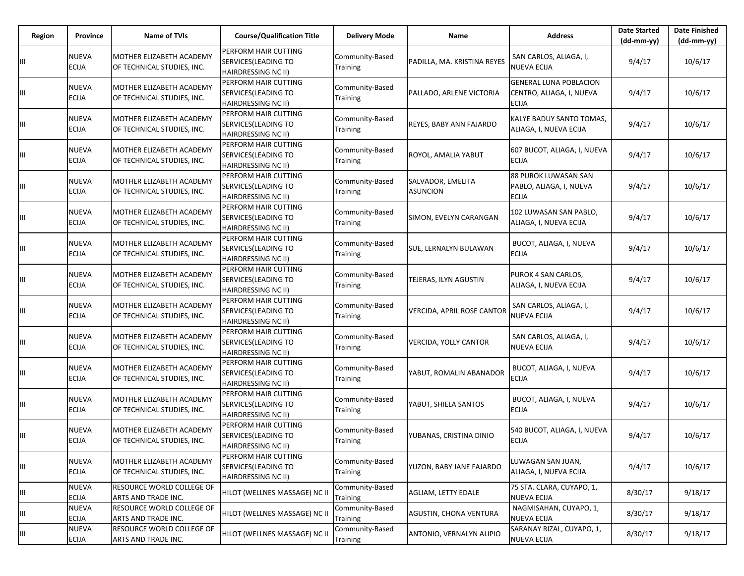| Region | <b>Province</b>              | <b>Name of TVIs</b>                                    | <b>Course/Qualification Title</b>                                          | <b>Delivery Mode</b>               | Name                                 | <b>Address</b>                                                            | <b>Date Started</b><br>$(dd-mm-yy)$ | <b>Date Finished</b><br>(dd-mm-yy) |
|--------|------------------------------|--------------------------------------------------------|----------------------------------------------------------------------------|------------------------------------|--------------------------------------|---------------------------------------------------------------------------|-------------------------------------|------------------------------------|
|        | <b>NUEVA</b><br><b>ECIJA</b> | MOTHER ELIZABETH ACADEMY<br>OF TECHNICAL STUDIES, INC. | PERFORM HAIR CUTTING<br>SERVICES (LEADING TO<br>HAIRDRESSING NC II)        | Community-Based<br>Training        | PADILLA, MA. KRISTINA REYES          | SAN CARLOS, ALIAGA, I,<br><b>NUEVA ECIJA</b>                              | 9/4/17                              | 10/6/17                            |
|        | <b>NUEVA</b><br><b>ECIJA</b> | MOTHER ELIZABETH ACADEMY<br>OF TECHNICAL STUDIES, INC. | PERFORM HAIR CUTTING<br>SERVICES (LEADING TO<br>HAIRDRESSING NC II)        | Community-Based<br><b>Training</b> | PALLADO, ARLENE VICTORIA             | <b>GENERAL LUNA POBLACION</b><br>CENTRO, ALIAGA, I, NUEVA<br><b>ECIJA</b> | 9/4/17                              | 10/6/17                            |
| Ш      | <b>NUEVA</b><br><b>ECIJA</b> | MOTHER ELIZABETH ACADEMY<br>OF TECHNICAL STUDIES, INC. | PERFORM HAIR CUTTING<br>SERVICES (LEADING TO<br>HAIRDRESSING NC II)        | Community-Based<br>Training        | REYES, BABY ANN FAJARDO              | KALYE BADUY SANTO TOMAS.<br>ALIAGA, I, NUEVA ECIJA                        | 9/4/17                              | 10/6/17                            |
| Ш      | <b>NUEVA</b><br><b>ECIJA</b> | MOTHER ELIZABETH ACADEMY<br>OF TECHNICAL STUDIES, INC. | PERFORM HAIR CUTTING<br>SERVICES (LEADING TO<br><b>HAIRDRESSING NC II)</b> | Community-Based<br>Training        | ROYOL, AMALIA YABUT                  | 607 BUCOT, ALIAGA, I, NUEVA<br><b>ECIJA</b>                               | 9/4/17                              | 10/6/17                            |
| Ш      | <b>NUEVA</b><br><b>ECIJA</b> | MOTHER ELIZABETH ACADEMY<br>OF TECHNICAL STUDIES, INC. | PERFORM HAIR CUTTING<br>SERVICES(LEADING TO<br>HAIRDRESSING NC II)         | Community-Based<br>Training        | SALVADOR, EMELITA<br><b>ASUNCION</b> | 88 PUROK LUWASAN SAN<br>PABLO, ALIAGA, I, NUEVA<br><b>ECIJA</b>           | 9/4/17                              | 10/6/17                            |
|        | <b>NUEVA</b><br><b>ECIJA</b> | MOTHER ELIZABETH ACADEMY<br>OF TECHNICAL STUDIES, INC. | PERFORM HAIR CUTTING<br>SERVICES (LEADING TO<br><b>HAIRDRESSING NC II)</b> | Community-Based<br>Training        | SIMON, EVELYN CARANGAN               | 102 LUWASAN SAN PABLO,<br>ALIAGA, I, NUEVA ECIJA                          | 9/4/17                              | 10/6/17                            |
| Щ      | <b>NUEVA</b><br><b>ECIJA</b> | MOTHER ELIZABETH ACADEMY<br>OF TECHNICAL STUDIES, INC. | PERFORM HAIR CUTTING<br>SERVICES (LEADING TO<br>HAIRDRESSING NC II)        | Community-Based<br>Training        | SUE, LERNALYN BULAWAN                | BUCOT, ALIAGA, I, NUEVA<br>ECIJA                                          | 9/4/17                              | 10/6/17                            |
| Щ      | <b>NUEVA</b><br><b>ECIJA</b> | MOTHER ELIZABETH ACADEMY<br>OF TECHNICAL STUDIES, INC. | PERFORM HAIR CUTTING<br>SERVICES (LEADING TO<br><b>HAIRDRESSING NC II)</b> | Community-Based<br>Training        | TEJERAS, ILYN AGUSTIN                | PUROK 4 SAN CARLOS,<br>ALIAGA, I, NUEVA ECIJA                             | 9/4/17                              | 10/6/17                            |
| Ш      | <b>NUEVA</b><br><b>ECIJA</b> | MOTHER ELIZABETH ACADEMY<br>OF TECHNICAL STUDIES, INC. | PERFORM HAIR CUTTING<br>SERVICES (LEADING TO<br><b>HAIRDRESSING NC II)</b> | Community-Based<br>Training        | <b>VERCIDA, APRIL ROSE CANTOR</b>    | SAN CARLOS, ALIAGA, I,<br><b>NUEVA ECIJA</b>                              | 9/4/17                              | 10/6/17                            |
| Ш      | <b>NUEVA</b><br><b>ECIJA</b> | MOTHER ELIZABETH ACADEMY<br>OF TECHNICAL STUDIES, INC. | PERFORM HAIR CUTTING<br>SERVICES (LEADING TO<br>HAIRDRESSING NC II)        | Community-Based<br>Training        | <b>VERCIDA, YOLLY CANTOR</b>         | SAN CARLOS, ALIAGA, I,<br>NUEVA ECIJA                                     | 9/4/17                              | 10/6/17                            |
| Щ      | <b>NUEVA</b><br><b>ECIJA</b> | MOTHER ELIZABETH ACADEMY<br>OF TECHNICAL STUDIES, INC. | PERFORM HAIR CUTTING<br>SERVICES (LEADING TO<br><b>HAIRDRESSING NC II)</b> | Community-Based<br>Training        | YABUT, ROMALIN ABANADOR              | BUCOT, ALIAGA, I, NUEVA<br>ECIJA                                          | 9/4/17                              | 10/6/17                            |
| Щ      | <b>NUEVA</b><br><b>ECIJA</b> | MOTHER ELIZABETH ACADEMY<br>OF TECHNICAL STUDIES, INC. | PERFORM HAIR CUTTING<br>SERVICES (LEADING TO<br><b>HAIRDRESSING NC II)</b> | Community-Based<br>Training        | YABUT, SHIELA SANTOS                 | BUCOT, ALIAGA, I, NUEVA<br><b>ECIJA</b>                                   | 9/4/17                              | 10/6/17                            |
| Ш      | <b>NUEVA</b><br><b>ECIJA</b> | MOTHER ELIZABETH ACADEMY<br>OF TECHNICAL STUDIES, INC. | PERFORM HAIR CUTTING<br>SERVICES (LEADING TO<br>HAIRDRESSING NC II)        | Community-Based<br><b>Training</b> | YUBANAS, CRISTINA DINIO              | 540 BUCOT, ALIAGA, I, NUEVA<br><b>ECIJA</b>                               | 9/4/17                              | 10/6/17                            |
| Щ      | <b>NUEVA</b><br><b>ECIJA</b> | MOTHER ELIZABETH ACADEMY<br>OF TECHNICAL STUDIES, INC. | PERFORM HAIR CUTTING<br>SERVICES (LEADING TO<br>HAIRDRESSING NC II)        | Community-Based<br><b>Training</b> | YUZON, BABY JANE FAJARDO             | LUWAGAN SAN JUAN,<br>ALIAGA, I, NUEVA ECIJA                               | 9/4/17                              | 10/6/17                            |
| Ш      | <b>NUEVA</b><br><b>ECIJA</b> | RESOURCE WORLD COLLEGE OF<br>ARTS AND TRADE INC.       | HILOT (WELLNES MASSAGE) NC II                                              | Community-Based<br>Training        | <b>AGLIAM, LETTY EDALE</b>           | 75 STA. CLARA, CUYAPO, 1,<br><b>NUEVA ECIJA</b>                           | 8/30/17                             | 9/18/17                            |
| Щ      | <b>NUEVA</b><br><b>ECIJA</b> | RESOURCE WORLD COLLEGE OF<br>ARTS AND TRADE INC.       | HILOT (WELLNES MASSAGE) NC II                                              | Community-Based<br>Training        | AGUSTIN, CHONA VENTURA               | NAGMISAHAN, CUYAPO, 1,<br><b>NUEVA ECIJA</b>                              | 8/30/17                             | 9/18/17                            |
| Щ      | <b>NUEVA</b><br><b>ECIJA</b> | RESOURCE WORLD COLLEGE OF<br>ARTS AND TRADE INC.       | HILOT (WELLNES MASSAGE) NC II                                              | Community-Based<br>Training        | ANTONIO, VERNALYN ALIPIO             | SARANAY RIZAL, CUYAPO, 1,<br><b>NUEVA ECIJA</b>                           | 8/30/17                             | 9/18/17                            |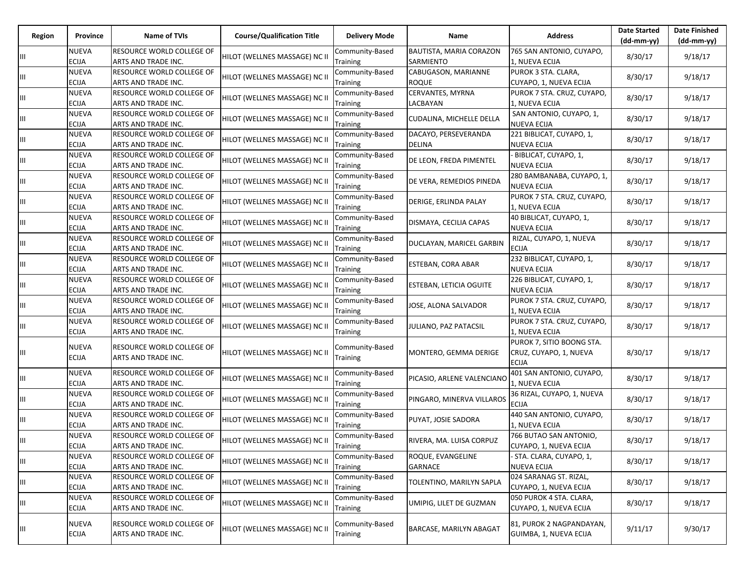| Region | Province                     | Name of TVIs                                            | <b>Course/Qualification Title</b> | <b>Delivery Mode</b>               | Name                                 | <b>Address</b>                                                      | <b>Date Started</b><br>$(dd-mm-yy)$ | <b>Date Finished</b><br>$(dd-mm-yy)$ |
|--------|------------------------------|---------------------------------------------------------|-----------------------------------|------------------------------------|--------------------------------------|---------------------------------------------------------------------|-------------------------------------|--------------------------------------|
| Ш      | NUEVA<br><b>ECIJA</b>        | <b>RESOURCE WORLD COLLEGE OF</b><br>ARTS AND TRADE INC. | HILOT (WELLNES MASSAGE) NC II     | Community-Based<br>Training        | BAUTISTA, MARIA CORAZON<br>SARMIENTO | 765 SAN ANTONIO, CUYAPO,<br>1, NUEVA ECIJA                          | 8/30/17                             | 9/18/17                              |
| Ш      | NUEVA<br>ECIJA               | RESOURCE WORLD COLLEGE OF<br>ARTS AND TRADE INC.        | HILOT (WELLNES MASSAGE) NC II     | Community-Based<br>Training        | CABUGASON, MARIANNE<br><b>ROQUE</b>  | PUROK 3 STA. CLARA,<br>CUYAPO, 1, NUEVA ECIJA                       | 8/30/17                             | 9/18/17                              |
| Ш      | NUEVA<br><b>ECIJA</b>        | RESOURCE WORLD COLLEGE OF<br>ARTS AND TRADE INC.        | HILOT (WELLNES MASSAGE) NC II     | Community-Based<br>Training        | CERVANTES, MYRNA<br>LACBAYAN         | PUROK 7 STA. CRUZ, CUYAPO,<br>1, NUEVA ECIJA                        | 8/30/17                             | 9/18/17                              |
| Ш      | NUEVA<br><b>ECIJA</b>        | RESOURCE WORLD COLLEGE OF<br>ARTS AND TRADE INC.        | HILOT (WELLNES MASSAGE) NC II     | Community-Based<br>Training        | CUDALINA, MICHELLE DELLA             | SAN ANTONIO, CUYAPO, 1,<br><b>NUEVA ECIJA</b>                       | 8/30/17                             | 9/18/17                              |
| Ш      | NUEVA<br>ECIJA               | RESOURCE WORLD COLLEGE OF<br>ARTS AND TRADE INC.        | HILOT (WELLNES MASSAGE) NC II     | Community-Based<br><b>Training</b> | DACAYO, PERSEVERANDA<br>DELINA       | 221 BIBLICAT, CUYAPO, 1,<br><b>NUEVA ECIJA</b>                      | 8/30/17                             | 9/18/17                              |
| Ш      | NUEVA<br><b>ECIJA</b>        | RESOURCE WORLD COLLEGE OF<br>ARTS AND TRADE INC.        | HILOT (WELLNES MASSAGE) NC II     | Community-Based<br>Training        | DE LEON, FREDA PIMENTEL              | BIBLICAT, CUYAPO, 1,<br><b>NUEVA ECIJA</b>                          | 8/30/17                             | 9/18/17                              |
| Ш      | NUEVA<br>ECIJA               | RESOURCE WORLD COLLEGE OF<br>ARTS AND TRADE INC.        | HILOT (WELLNES MASSAGE) NC II     | Community-Based<br>Training        | DE VERA, REMEDIOS PINEDA             | 280 BAMBANABA, CUYAPO, 1,<br><b>NUEVA ECIJA</b>                     | 8/30/17                             | 9/18/17                              |
| Ш      | NUEVA<br><b>ECIJA</b>        | RESOURCE WORLD COLLEGE OF<br>ARTS AND TRADE INC.        | HILOT (WELLNES MASSAGE) NC II     | Community-Based<br>Training        | DERIGE, ERLINDA PALAY                | PUROK 7 STA. CRUZ, CUYAPO,<br>1, NUEVA ECIJA                        | 8/30/17                             | 9/18/17                              |
| Ш      | NUEVA<br><b>ECIJA</b>        | RESOURCE WORLD COLLEGE OF<br>ARTS AND TRADE INC.        | HILOT (WELLNES MASSAGE) NC II     | Community-Based<br>Training        | DISMAYA, CECILIA CAPAS               | 40 BIBLICAT, CUYAPO, 1,<br><b>NUEVA ECIJA</b>                       | 8/30/17                             | 9/18/17                              |
| Ш      | NUEVA<br>ECIJA               | RESOURCE WORLD COLLEGE OF<br>ARTS AND TRADE INC.        | HILOT (WELLNES MASSAGE) NC II     | Community-Based<br>Training        | DUCLAYAN, MARICEL GARBIN             | RIZAL, CUYAPO, 1, NUEVA<br><b>ECIJA</b>                             | 8/30/17                             | 9/18/17                              |
| Ш      | NUEVA<br><b>ECIJA</b>        | RESOURCE WORLD COLLEGE OF<br>ARTS AND TRADE INC.        | HILOT (WELLNES MASSAGE) NC II     | Community-Based<br>Training        | ESTEBAN, CORA ABAR                   | 232 BIBLICAT, CUYAPO, 1,<br><b>NUEVA ECIJA</b>                      | 8/30/17                             | 9/18/17                              |
| Ш      | NUEVA<br><b>ECIJA</b>        | RESOURCE WORLD COLLEGE OF<br>ARTS AND TRADE INC.        | HILOT (WELLNES MASSAGE) NC II     | Community-Based<br>Training        | ESTEBAN, LETICIA OGUITE              | 226 BIBLICAT, CUYAPO, 1,<br><b>NUEVA ECIJA</b>                      | 8/30/17                             | 9/18/17                              |
| Ш      | NUEVA<br>ECIJA               | RESOURCE WORLD COLLEGE OF<br>ARTS AND TRADE INC.        | HILOT (WELLNES MASSAGE) NC II     | Community-Based<br>Training        | JOSE, ALONA SALVADOR                 | PUROK 7 STA. CRUZ, CUYAPO,<br>1, NUEVA ECIJA                        | 8/30/17                             | 9/18/17                              |
| ШL     | NUEVA<br>ECIJA               | <b>RESOURCE WORLD COLLEGE OF</b><br>ARTS AND TRADE INC. | HILOT (WELLNES MASSAGE) NC II     | Community-Based<br>Training        | JULIANO, PAZ PATACSIL                | PUROK 7 STA. CRUZ, CUYAPO,<br>1, NUEVA ECIJA                        | 8/30/17                             | 9/18/17                              |
| Ш      | NUEVA<br>ECIJA               | RESOURCE WORLD COLLEGE OF<br>ARTS AND TRADE INC.        | HILOT (WELLNES MASSAGE) NC II     | Community-Based<br>Training        | MONTERO, GEMMA DERIGE                | PUROK 7, SITIO BOONG STA.<br>CRUZ, CUYAPO, 1, NUEVA<br><b>ECIJA</b> | 8/30/17                             | 9/18/17                              |
| Ш      | NUEVA<br><b>ECIJA</b>        | RESOURCE WORLD COLLEGE OF<br>ARTS AND TRADE INC.        | HILOT (WELLNES MASSAGE) NC II     | Community-Based<br>Training        | PICASIO, ARLENE VALENCIANO           | 401 SAN ANTONIO, CUYAPO,<br>1, NUEVA ECIJA                          | 8/30/17                             | 9/18/17                              |
| Ш      | NUEVA<br>ECIJA               | RESOURCE WORLD COLLEGE OF<br>ARTS AND TRADE INC.        | HILOT (WELLNES MASSAGE) NC II     | Community-Based<br>Training        | PINGARO, MINERVA VILLAROS            | 36 RIZAL, CUYAPO, 1, NUEVA<br><b>ECIJA</b>                          | 8/30/17                             | 9/18/17                              |
| Ш      | NUEVA<br>ECIJA               | RESOURCE WORLD COLLEGE OF<br>ARTS AND TRADE INC.        | HILOT (WELLNES MASSAGE) NC II     | Community-Based<br>Training        | PUYAT, JOSIE SADORA                  | 440 SAN ANTONIO, CUYAPO,<br>1, NUEVA ECIJA                          | 8/30/17                             | 9/18/17                              |
| Ш      | NUEVA<br>ECIJA               | RESOURCE WORLD COLLEGE OF<br>ARTS AND TRADE INC.        | HILOT (WELLNES MASSAGE) NC II     | Community-Based<br>Training        | RIVERA, MA. LUISA CORPUZ             | 766 BUTAO SAN ANTONIO,<br>CUYAPO, 1, NUEVA ECIJA                    | 8/30/17                             | 9/18/17                              |
| Ш      | <b>NUEVA</b><br><b>ECIJA</b> | <b>RESOURCE WORLD COLLEGE OF</b><br>ARTS AND TRADE INC. | HILOT (WELLNES MASSAGE) NC II     | Community-Based<br>Training        | ROQUE, EVANGELINE<br><b>GARNACE</b>  | - STA. CLARA, CUYAPO, 1,<br><b>NUEVA ECIJA</b>                      | 8/30/17                             | 9/18/17                              |
| Ш      | NUEVA<br>ECIJA               | RESOURCE WORLD COLLEGE OF<br>ARTS AND TRADE INC.        | HILOT (WELLNES MASSAGE) NC II     | Community-Based<br>Training        | TOLENTINO, MARILYN SAPLA             | 024 SARANAG ST. RIZAL,<br>CUYAPO, 1, NUEVA ECIJA                    | 8/30/17                             | 9/18/17                              |
| ШL     | NUEVA<br>ECIJA               | RESOURCE WORLD COLLEGE OF<br>ARTS AND TRADE INC.        | HILOT (WELLNES MASSAGE) NC II     | Community-Based<br>Training        | UMIPIG, LILET DE GUZMAN              | 050 PUROK 4 STA. CLARA,<br>CUYAPO, 1, NUEVA ECIJA                   | 8/30/17                             | 9/18/17                              |
| Ш      | NUEVA<br><b>ECIJA</b>        | RESOURCE WORLD COLLEGE OF<br>ARTS AND TRADE INC.        | HILOT (WELLNES MASSAGE) NC II     | Community-Based<br>Training        | <b>BARCASE, MARILYN ABAGAT</b>       | 81, PUROK 2 NAGPANDAYAN,<br>GUIMBA, 1, NUEVA ECIJA                  | 9/11/17                             | 9/30/17                              |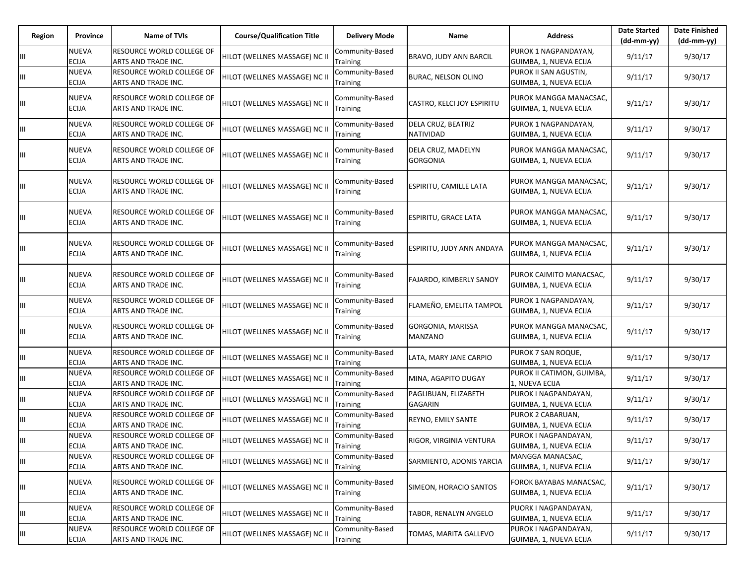| Region | Province                     | Name of TVIs                                     | <b>Course/Qualification Title</b> | <b>Delivery Mode</b>        | Name                                   | <b>Address</b>                                    | <b>Date Started</b><br>(dd-mm-yy) | <b>Date Finished</b><br>$(dd-mm-yy)$ |
|--------|------------------------------|--------------------------------------------------|-----------------------------------|-----------------------------|----------------------------------------|---------------------------------------------------|-----------------------------------|--------------------------------------|
| Ш      | <b>NUEVA</b><br><b>ECIJA</b> | RESOURCE WORLD COLLEGE OF<br>ARTS AND TRADE INC. | HILOT (WELLNES MASSAGE) NC II     | Community-Based<br>Training | BRAVO, JUDY ANN BARCIL                 | PUROK 1 NAGPANDAYAN,<br>GUIMBA, 1, NUEVA ECIJA    | 9/11/17                           | 9/30/17                              |
| Щ      | <b>NUEVA</b><br><b>ECIJA</b> | RESOURCE WORLD COLLEGE OF<br>ARTS AND TRADE INC. | HILOT (WELLNES MASSAGE) NC II     | Community-Based<br>Training | <b>BURAC, NELSON OLINO</b>             | PUROK II SAN AGUSTIN,<br>GUIMBA, 1, NUEVA ECIJA   | 9/11/17                           | 9/30/17                              |
| Щ      | <b>NUEVA</b><br><b>ECIJA</b> | RESOURCE WORLD COLLEGE OF<br>ARTS AND TRADE INC. | HILOT (WELLNES MASSAGE) NC II     | Community-Based<br>Training | CASTRO, KELCI JOY ESPIRITU             | PUROK MANGGA MANACSAC,<br>GUIMBA, 1, NUEVA ECIJA  | 9/11/17                           | 9/30/17                              |
| Ш      | <b>NUEVA</b><br><b>ECIJA</b> | RESOURCE WORLD COLLEGE OF<br>ARTS AND TRADE INC. | HILOT (WELLNES MASSAGE) NC II     | Community-Based<br>Training | DELA CRUZ, BEATRIZ<br>NATIVIDAD        | PUROK 1 NAGPANDAYAN,<br>GUIMBA, 1, NUEVA ECIJA    | 9/11/17                           | 9/30/17                              |
| Ш      | <b>NUEVA</b><br><b>ECIJA</b> | RESOURCE WORLD COLLEGE OF<br>ARTS AND TRADE INC. | HILOT (WELLNES MASSAGE) NC II     | Community-Based<br>Training | DELA CRUZ, MADELYN<br><b>GORGONIA</b>  | PUROK MANGGA MANACSAC,<br>GUIMBA, 1, NUEVA ECIJA  | 9/11/17                           | 9/30/17                              |
|        | <b>NUEVA</b><br><b>ECIJA</b> | RESOURCE WORLD COLLEGE OF<br>ARTS AND TRADE INC. | HILOT (WELLNES MASSAGE) NC II     | Community-Based<br>Training | <b>ESPIRITU, CAMILLE LATA</b>          | PUROK MANGGA MANACSAC,<br>GUIMBA, 1, NUEVA ECIJA  | 9/11/17                           | 9/30/17                              |
|        | <b>NUEVA</b><br><b>ECIJA</b> | RESOURCE WORLD COLLEGE OF<br>ARTS AND TRADE INC. | HILOT (WELLNES MASSAGE) NC II     | Community-Based<br>Training | ESPIRITU, GRACE LATA                   | PUROK MANGGA MANACSAC,<br>GUIMBA, 1, NUEVA ECIJA  | 9/11/17                           | 9/30/17                              |
| Ш      | <b>NUEVA</b><br><b>ECIJA</b> | RESOURCE WORLD COLLEGE OF<br>ARTS AND TRADE INC. | HILOT (WELLNES MASSAGE) NC II     | Community-Based<br>Training | <b>ESPIRITU, JUDY ANN ANDAYA</b>       | PUROK MANGGA MANACSAC,<br>GUIMBA, 1, NUEVA ECIJA  | 9/11/17                           | 9/30/17                              |
|        | <b>NUEVA</b><br><b>ECIJA</b> | RESOURCE WORLD COLLEGE OF<br>ARTS AND TRADE INC. | HILOT (WELLNES MASSAGE) NC II     | Community-Based<br>Training | FAJARDO, KIMBERLY SANOY                | PUROK CAIMITO MANACSAC,<br>GUIMBA, 1, NUEVA ECIJA | 9/11/17                           | 9/30/17                              |
| Ш      | <b>NUEVA</b><br><b>ECIJA</b> | RESOURCE WORLD COLLEGE OF<br>ARTS AND TRADE INC. | HILOT (WELLNES MASSAGE) NC II     | Community-Based<br>Training | FLAMEÑO, EMELITA TAMPOL                | PUROK 1 NAGPANDAYAN,<br>GUIMBA, 1, NUEVA ECIJA    | 9/11/17                           | 9/30/17                              |
| Ш      | <b>NUEVA</b><br><b>ECIJA</b> | RESOURCE WORLD COLLEGE OF<br>ARTS AND TRADE INC. | HILOT (WELLNES MASSAGE) NC II     | Community-Based<br>Training | GORGONIA, MARISSA<br><b>MANZANO</b>    | PUROK MANGGA MANACSAC,<br>GUIMBA, 1, NUEVA ECIJA  | 9/11/17                           | 9/30/17                              |
| Щ      | <b>NUEVA</b><br><b>ECIJA</b> | RESOURCE WORLD COLLEGE OF<br>ARTS AND TRADE INC. | HILOT (WELLNES MASSAGE) NC II     | Community-Based<br>Training | LATA, MARY JANE CARPIO                 | PUROK 7 SAN ROQUE,<br>GUIMBA, 1, NUEVA ECIJA      | 9/11/17                           | 9/30/17                              |
| Ш      | <b>NUEVA</b><br><b>ECIJA</b> | RESOURCE WORLD COLLEGE OF<br>ARTS AND TRADE INC. | HILOT (WELLNES MASSAGE) NC II     | Community-Based<br>Training | MINA, AGAPITO DUGAY                    | PUROK II CATIMON, GUIMBA,<br>1, NUEVA ECIJA       | 9/11/17                           | 9/30/17                              |
| Щ      | <b>NUEVA</b><br><b>ECIJA</b> | RESOURCE WORLD COLLEGE OF<br>ARTS AND TRADE INC. | HILOT (WELLNES MASSAGE) NC II     | Community-Based<br>Training | PAGLIBUAN, ELIZABETH<br><b>GAGARIN</b> | PUROK I NAGPANDAYAN,<br>GUIMBA, 1, NUEVA ECIJA    | 9/11/17                           | 9/30/17                              |
| Ш      | <b>NUEVA</b><br><b>ECIJA</b> | RESOURCE WORLD COLLEGE OF<br>ARTS AND TRADE INC. | HILOT (WELLNES MASSAGE) NC II     | Community-Based<br>Training | REYNO, EMILY SANTE                     | PUROK 2 CABARUAN,<br>GUIMBA, 1, NUEVA ECIJA       | 9/11/17                           | 9/30/17                              |
| Щ      | <b>NUEVA</b><br><b>ECIJA</b> | RESOURCE WORLD COLLEGE OF<br>ARTS AND TRADE INC. | HILOT (WELLNES MASSAGE) NC II     | Community-Based<br>Training | RIGOR, VIRGINIA VENTURA                | PUROK I NAGPANDAYAN,<br>GUIMBA, 1, NUEVA ECIJA    | 9/11/17                           | 9/30/17                              |
| Ш      | <b>NUEVA</b><br><b>ECIJA</b> | RESOURCE WORLD COLLEGE OF<br>ARTS AND TRADE INC. | HILOT (WELLNES MASSAGE) NC II     | Community-Based<br>Training | SARMIENTO, ADONIS YARCIA               | MANGGA MANACSAC,<br>GUIMBA, 1, NUEVA ECIJA        | 9/11/17                           | 9/30/17                              |
| Щ      | <b>NUEVA</b><br><b>ECIJA</b> | RESOURCE WORLD COLLEGE OF<br>ARTS AND TRADE INC. | HILOT (WELLNES MASSAGE) NC II     | Community-Based<br>Training | SIMEON, HORACIO SANTOS                 | FOROK BAYABAS MANACSAC,<br>GUIMBA, 1, NUEVA ECIJA | 9/11/17                           | 9/30/17                              |
| Ш      | <b>NUEVA</b><br><b>ECIJA</b> | RESOURCE WORLD COLLEGE OF<br>ARTS AND TRADE INC. | HILOT (WELLNES MASSAGE) NC II     | Community-Based<br>Training | TABOR, RENALYN ANGELO                  | PUORK I NAGPANDAYAN,<br>GUIMBA, 1, NUEVA ECIJA    | 9/11/17                           | 9/30/17                              |
| Щ      | <b>NUEVA</b><br><b>ECIJA</b> | RESOURCE WORLD COLLEGE OF<br>ARTS AND TRADE INC. | HILOT (WELLNES MASSAGE) NC II     | Community-Based<br>Training | TOMAS, MARITA GALLEVO                  | PUROK I NAGPANDAYAN,<br>GUIMBA, 1, NUEVA ECIJA    | 9/11/17                           | 9/30/17                              |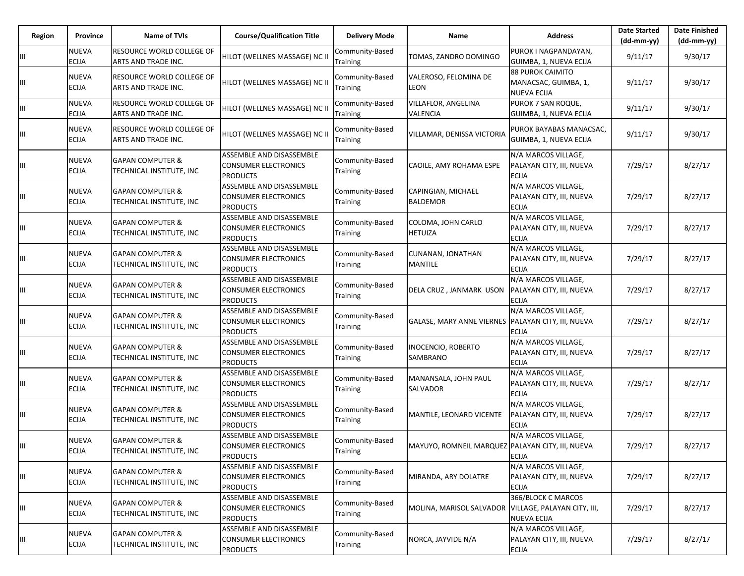| Region | <b>Province</b>              | <b>Name of TVIs</b>                                     | <b>Course/Qualification Title</b>                                          | <b>Delivery Mode</b>               | Name                                                 | <b>Address</b>                                                  | <b>Date Started</b><br>$(dd-mm-yy)$ | <b>Date Finished</b><br>(dd-mm-yy) |
|--------|------------------------------|---------------------------------------------------------|----------------------------------------------------------------------------|------------------------------------|------------------------------------------------------|-----------------------------------------------------------------|-------------------------------------|------------------------------------|
| Ш      | <b>NUEVA</b><br><b>ECIJA</b> | RESOURCE WORLD COLLEGE OF<br>ARTS AND TRADE INC.        | HILOT (WELLNES MASSAGE) NC II                                              | Community-Based<br>Training        | TOMAS, ZANDRO DOMINGO                                | PUROK I NAGPANDAYAN.<br>GUIMBA, 1, NUEVA ECIJA                  | 9/11/17                             | 9/30/17                            |
| Ш      | <b>NUEVA</b><br><b>ECIJA</b> | <b>RESOURCE WORLD COLLEGE OF</b><br>ARTS AND TRADE INC. | HILOT (WELLNES MASSAGE) NC II                                              | Community-Based<br>Training        | VALEROSO, FELOMINA DE<br><b>LEON</b>                 | <b>88 PUROK CAIMITO</b><br>MANACSAC, GUIMBA, 1,<br>NUEVA ECIJA  | 9/11/17                             | 9/30/17                            |
| Щ      | <b>NUEVA</b><br><b>ECIJA</b> | RESOURCE WORLD COLLEGE OF<br>ARTS AND TRADE INC.        | HILOT (WELLNES MASSAGE) NC II                                              | Community-Based<br>Training        | <b>VILLAFLOR, ANGELINA</b><br>VALENCIA               | PUROK 7 SAN ROQUE,<br>GUIMBA, 1, NUEVA ECIJA                    | 9/11/17                             | 9/30/17                            |
| Ш      | <b>NUEVA</b><br><b>ECIJA</b> | RESOURCE WORLD COLLEGE OF<br>ARTS AND TRADE INC.        | HILOT (WELLNES MASSAGE) NC II                                              | Community-Based<br>Training        | VILLAMAR, DENISSA VICTORIA                           | PUROK BAYABAS MANACSAC,<br>GUIMBA, 1, NUEVA ECIJA               | 9/11/17                             | 9/30/17                            |
| Ш      | <b>NUEVA</b><br><b>ECIJA</b> | <b>GAPAN COMPUTER &amp;</b><br>TECHNICAL INSTITUTE, INC | ASSEMBLE AND DISASSEMBLE<br>CONSUMER ELECTRONICS<br><b>PRODUCTS</b>        | Community-Based<br>Training        | CAOILE, AMY ROHAMA ESPE                              | N/A MARCOS VILLAGE,<br>PALAYAN CITY, III, NUEVA<br><b>ECIJA</b> | 7/29/17                             | 8/27/17                            |
| Ш      | <b>NUEVA</b><br><b>ECIJA</b> | <b>GAPAN COMPUTER &amp;</b><br>TECHNICAL INSTITUTE, INC | ASSEMBLE AND DISASSEMBLE<br>CONSUMER ELECTRONICS<br><b>PRODUCTS</b>        | Community-Based<br>Training        | CAPINGIAN, MICHAEL<br><b>BALDEMOR</b>                | N/A MARCOS VILLAGE,<br>PALAYAN CITY, III, NUEVA<br><b>ECIJA</b> | 7/29/17                             | 8/27/17                            |
| Ш      | <b>NUEVA</b><br><b>ECIJA</b> | <b>GAPAN COMPUTER &amp;</b><br>TECHNICAL INSTITUTE, INC | ASSEMBLE AND DISASSEMBLE<br>CONSUMER ELECTRONICS<br><b>PRODUCTS</b>        | Community-Based<br>Training        | COLOMA, JOHN CARLO<br><b>HETUIZA</b>                 | N/A MARCOS VILLAGE,<br>PALAYAN CITY, III, NUEVA<br><b>ECIJA</b> | 7/29/17                             | 8/27/17                            |
| Щ      | <b>NUEVA</b><br><b>ECIJA</b> | <b>GAPAN COMPUTER &amp;</b><br>TECHNICAL INSTITUTE, INC | ASSEMBLE AND DISASSEMBLE<br><b>CONSUMER ELECTRONICS</b><br><b>PRODUCTS</b> | Community-Based<br>Training        | <b>CUNANAN, JONATHAN</b><br><b>MANTILE</b>           | N/A MARCOS VILLAGE,<br>PALAYAN CITY, III, NUEVA<br><b>ECIJA</b> | 7/29/17                             | 8/27/17                            |
| Ш      | <b>NUEVA</b><br><b>ECIJA</b> | <b>GAPAN COMPUTER &amp;</b><br>TECHNICAL INSTITUTE, INC | ASSEMBLE AND DISASSEMBLE<br><b>CONSUMER ELECTRONICS</b><br><b>PRODUCTS</b> | Community-Based<br>Training        | DELA CRUZ, JANMARK USON                              | N/A MARCOS VILLAGE,<br>PALAYAN CITY, III, NUEVA<br><b>ECIJA</b> | 7/29/17                             | 8/27/17                            |
|        | <b>NUEVA</b><br><b>ECIJA</b> | <b>GAPAN COMPUTER &amp;</b><br>TECHNICAL INSTITUTE, INC | ASSEMBLE AND DISASSEMBLE<br><b>CONSUMER ELECTRONICS</b><br><b>PRODUCTS</b> | Community-Based<br>Training        | GALASE, MARY ANNE VIERNES PALAYAN CITY, III, NUEVA   | N/A MARCOS VILLAGE,<br><b>ECIJA</b>                             | 7/29/17                             | 8/27/17                            |
|        | <b>NUEVA</b><br><b>ECIJA</b> | <b>GAPAN COMPUTER &amp;</b><br>TECHNICAL INSTITUTE, INC | ASSEMBLE AND DISASSEMBLE<br>CONSUMER ELECTRONICS<br><b>PRODUCTS</b>        | Community-Based<br>Training        | <b>INOCENCIO, ROBERTO</b><br>SAMBRANO                | N/A MARCOS VILLAGE,<br>PALAYAN CITY, III, NUEVA<br><b>ECIJA</b> | 7/29/17                             | 8/27/17                            |
|        | <b>NUEVA</b><br><b>ECIJA</b> | <b>GAPAN COMPUTER &amp;</b><br>TECHNICAL INSTITUTE, INC | ASSEMBLE AND DISASSEMBLE<br><b>CONSUMER ELECTRONICS</b><br><b>PRODUCTS</b> | Community-Based<br>Training        | MANANSALA, JOHN PAUL<br><b>SALVADOR</b>              | N/A MARCOS VILLAGE,<br>PALAYAN CITY, III, NUEVA<br><b>ECIJA</b> | 7/29/17                             | 8/27/17                            |
| Ш      | <b>NUEVA</b><br><b>ECIJA</b> | <b>GAPAN COMPUTER &amp;</b><br>TECHNICAL INSTITUTE, INC | ASSEMBLE AND DISASSEMBLE<br><b>CONSUMER ELECTRONICS</b><br><b>PRODUCTS</b> | Community-Based<br>Training        | MANTILE, LEONARD VICENTE                             | N/A MARCOS VILLAGE,<br>PALAYAN CITY, III, NUEVA<br>ECIJA        | 7/29/17                             | 8/27/17                            |
| Ш      | <b>NUEVA</b><br><b>ECIJA</b> | <b>GAPAN COMPUTER &amp;</b><br>TECHNICAL INSTITUTE, INC | ASSEMBLE AND DISASSEMBLE<br>CONSUMER ELECTRONICS<br><b>PRODUCTS</b>        | Community-Based<br><b>Training</b> | MAYUYO, ROMNEIL MARQUEZ PALAYAN CITY, III, NUEVA     | N/A MARCOS VILLAGE.<br>ECIJA                                    | 7/29/17                             | 8/27/17                            |
| Ш      | <b>NUEVA</b><br><b>ECIJA</b> | <b>GAPAN COMPUTER &amp;</b><br>TECHNICAL INSTITUTE, INC | ASSEMBLE AND DISASSEMBLE<br><b>CONSUMER ELECTRONICS</b><br><b>PRODUCTS</b> | Community-Based<br>Training        | MIRANDA, ARY DOLATRE                                 | N/A MARCOS VILLAGE,<br>PALAYAN CITY, III, NUEVA<br><b>ECIJA</b> | 7/29/17                             | 8/27/17                            |
| Ш      | <b>NUEVA</b><br><b>ECIJA</b> | <b>GAPAN COMPUTER &amp;</b><br>TECHNICAL INSTITUTE, INC | ASSEMBLE AND DISASSEMBLE<br>CONSUMER ELECTRONICS<br><b>PRODUCTS</b>        | Community-Based<br>Training        | MOLINA, MARISOL SALVADOR VILLAGE, PALAYAN CITY, III, | 366/BLOCK C MARCOS<br><b>NUEVA ECIJA</b>                        | 7/29/17                             | 8/27/17                            |
| Ш      | <b>NUEVA</b><br><b>ECIJA</b> | <b>GAPAN COMPUTER &amp;</b><br>TECHNICAL INSTITUTE, INC | ASSEMBLE AND DISASSEMBLE<br>CONSUMER ELECTRONICS<br><b>PRODUCTS</b>        | Community-Based<br>Training        | NORCA, JAYVIDE N/A                                   | N/A MARCOS VILLAGE,<br>PALAYAN CITY, III, NUEVA<br><b>ECIJA</b> | 7/29/17                             | 8/27/17                            |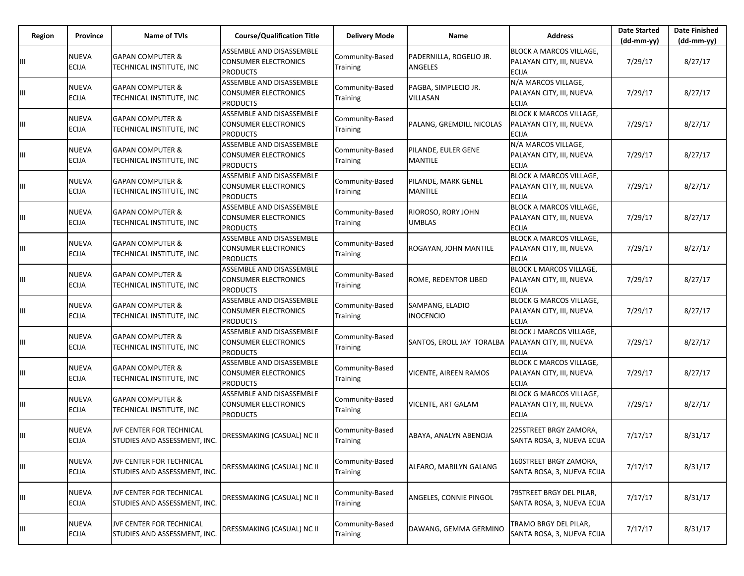| Region | <b>Province</b>              | <b>Name of TVIs</b>                                      | <b>Course/Qualification Title</b>                                          | <b>Delivery Mode</b>               | Name                                      | <b>Address</b>                                                             | <b>Date Started</b><br>$(dd-mm-yy)$ | <b>Date Finished</b><br>$(dd-mm-vv)$ |
|--------|------------------------------|----------------------------------------------------------|----------------------------------------------------------------------------|------------------------------------|-------------------------------------------|----------------------------------------------------------------------------|-------------------------------------|--------------------------------------|
|        | <b>NUEVA</b><br><b>ECIJA</b> | <b>GAPAN COMPUTER &amp;</b><br>TECHNICAL INSTITUTE, INC  | ASSEMBLE AND DISASSEMBLE<br><b>CONSUMER ELECTRONICS</b><br><b>PRODUCTS</b> | Community-Based<br>Training        | PADERNILLA, ROGELIO JR.<br><b>ANGELES</b> | <b>BLOCK A MARCOS VILLAGE.</b><br>PALAYAN CITY, III, NUEVA<br><b>ECIJA</b> | 7/29/17                             | 8/27/17                              |
|        | <b>NUEVA</b><br><b>ECIJA</b> | <b>GAPAN COMPUTER &amp;</b><br>TECHNICAL INSTITUTE, INC  | ASSEMBLE AND DISASSEMBLE<br>CONSUMER ELECTRONICS<br><b>PRODUCTS</b>        | Community-Based<br>Training        | PAGBA, SIMPLECIO JR.<br><b>VILLASAN</b>   | N/A MARCOS VILLAGE,<br>PALAYAN CITY, III, NUEVA<br><b>ECIJA</b>            | 7/29/17                             | 8/27/17                              |
| Ш      | <b>NUEVA</b><br><b>ECIJA</b> | <b>GAPAN COMPUTER &amp;</b><br>TECHNICAL INSTITUTE, INC  | ASSEMBLE AND DISASSEMBLE<br><b>CONSUMER ELECTRONICS</b><br><b>PRODUCTS</b> | Community-Based<br>Training        | PALANG, GREMDILL NICOLAS                  | <b>BLOCK K MARCOS VILLAGE,</b><br>PALAYAN CITY, III, NUEVA<br><b>ECIJA</b> | 7/29/17                             | 8/27/17                              |
| Ш      | <b>NUEVA</b><br><b>ECIJA</b> | <b>GAPAN COMPUTER &amp;</b><br>TECHNICAL INSTITUTE, INC  | ASSEMBLE AND DISASSEMBLE<br><b>CONSUMER ELECTRONICS</b><br><b>PRODUCTS</b> | Community-Based<br>Training        | PILANDE, EULER GENE<br><b>MANTILE</b>     | N/A MARCOS VILLAGE,<br>PALAYAN CITY, III, NUEVA<br><b>ECIJA</b>            | 7/29/17                             | 8/27/17                              |
| Ш      | <b>NUEVA</b><br><b>ECIJA</b> | <b>GAPAN COMPUTER &amp;</b><br>TECHNICAL INSTITUTE, INC  | ASSEMBLE AND DISASSEMBLE<br>CONSUMER ELECTRONICS<br><b>PRODUCTS</b>        | Community-Based<br>Training        | PILANDE, MARK GENEL<br><b>MANTILE</b>     | <b>BLOCK A MARCOS VILLAGE,</b><br>PALAYAN CITY, III, NUEVA<br><b>ECIJA</b> | 7/29/17                             | 8/27/17                              |
|        | <b>NUEVA</b><br><b>ECIJA</b> | <b>GAPAN COMPUTER &amp;</b><br>TECHNICAL INSTITUTE, INC  | ASSEMBLE AND DISASSEMBLE<br>CONSUMER ELECTRONICS<br><b>PRODUCTS</b>        | Community-Based<br>Training        | RIOROSO, RORY JOHN<br><b>UMBLAS</b>       | <b>BLOCK A MARCOS VILLAGE,</b><br>PALAYAN CITY, III, NUEVA<br><b>ECIJA</b> | 7/29/17                             | 8/27/17                              |
| Ш      | <b>NUEVA</b><br><b>ECIJA</b> | <b>GAPAN COMPUTER &amp;</b><br>TECHNICAL INSTITUTE, INC  | ASSEMBLE AND DISASSEMBLE<br><b>CONSUMER ELECTRONICS</b><br><b>PRODUCTS</b> | Community-Based<br>Training        | ROGAYAN, JOHN MANTILE                     | <b>BLOCK A MARCOS VILLAGE,</b><br>PALAYAN CITY, III, NUEVA<br><b>ECIJA</b> | 7/29/17                             | 8/27/17                              |
| Ш      | <b>NUEVA</b><br><b>ECIJA</b> | <b>GAPAN COMPUTER &amp;</b><br>TECHNICAL INSTITUTE, INC  | ASSEMBLE AND DISASSEMBLE<br><b>CONSUMER ELECTRONICS</b><br><b>PRODUCTS</b> | Community-Based<br>Training        | ROME, REDENTOR LIBED                      | <b>BLOCK L MARCOS VILLAGE,</b><br>PALAYAN CITY, III, NUEVA<br><b>ECIJA</b> | 7/29/17                             | 8/27/17                              |
| Ш      | <b>NUEVA</b><br><b>ECIJA</b> | <b>GAPAN COMPUTER &amp;</b><br>TECHNICAL INSTITUTE, INC  | ASSEMBLE AND DISASSEMBLE<br>CONSUMER ELECTRONICS<br><b>PRODUCTS</b>        | Community-Based<br>Training        | SAMPANG, ELADIO<br><b>INOCENCIO</b>       | <b>BLOCK G MARCOS VILLAGE,</b><br>PALAYAN CITY, III, NUEVA<br><b>ECIJA</b> | 7/29/17                             | 8/27/17                              |
| Ш      | <b>NUEVA</b><br><b>ECIJA</b> | <b>GAPAN COMPUTER &amp;</b><br>TECHNICAL INSTITUTE, INC  | ASSEMBLE AND DISASSEMBLE<br><b>CONSUMER ELECTRONICS</b><br><b>PRODUCTS</b> | Community-Based<br><b>Training</b> | SANTOS, EROLL JAY TORALBA                 | <b>BLOCK J MARCOS VILLAGE,</b><br>PALAYAN CITY, III, NUEVA<br>ECIJA        | 7/29/17                             | 8/27/17                              |
| Щ      | <b>NUEVA</b><br><b>ECIJA</b> | <b>GAPAN COMPUTER &amp;</b><br>TECHNICAL INSTITUTE, INC  | ASSEMBLE AND DISASSEMBLE<br><b>CONSUMER ELECTRONICS</b><br><b>PRODUCTS</b> | Community-Based<br><b>Training</b> | <b>VICENTE, AIREEN RAMOS</b>              | <b>BLOCK C MARCOS VILLAGE,</b><br>PALAYAN CITY, III, NUEVA<br>ECIJA        | 7/29/17                             | 8/27/17                              |
| Щ      | <b>NUEVA</b><br><b>ECIJA</b> | <b>GAPAN COMPUTER &amp;</b><br>TECHNICAL INSTITUTE, INC  | ASSEMBLE AND DISASSEMBLE<br><b>CONSUMER ELECTRONICS</b><br><b>PRODUCTS</b> | Community-Based<br>Training        | <b>VICENTE, ART GALAM</b>                 | <b>BLOCK G MARCOS VILLAGE,</b><br>PALAYAN CITY, III, NUEVA<br><b>ECIJA</b> | 7/29/17                             | 8/27/17                              |
| Ш      | <b>NUEVA</b><br><b>ECIJA</b> | JVF CENTER FOR TECHNICAL<br>STUDIES AND ASSESSMENT, INC. | DRESSMAKING (CASUAL) NC II                                                 | Community-Based<br><b>Training</b> | ABAYA, ANALYN ABENOJA                     | 225STREET BRGY ZAMORA,<br>SANTA ROSA, 3, NUEVA ECIJA                       | 7/17/17                             | 8/31/17                              |
| Щ      | <b>NUEVA</b><br><b>ECIJA</b> | JVF CENTER FOR TECHNICAL<br>STUDIES AND ASSESSMENT, INC. | DRESSMAKING (CASUAL) NC II                                                 | Community-Based<br>Training        | ALFARO, MARILYN GALANG                    | 160STREET BRGY ZAMORA,<br>SANTA ROSA, 3, NUEVA ECIJA                       | 7/17/17                             | 8/31/17                              |
| Щ      | <b>NUEVA</b><br><b>ECIJA</b> | JVF CENTER FOR TECHNICAL<br>STUDIES AND ASSESSMENT, INC. | DRESSMAKING (CASUAL) NC II                                                 | Community-Based<br>Training        | ANGELES, CONNIE PINGOL                    | 79STREET BRGY DEL PILAR,<br>SANTA ROSA, 3, NUEVA ECIJA                     | 7/17/17                             | 8/31/17                              |
|        | <b>NUEVA</b><br><b>ECIJA</b> | JVF CENTER FOR TECHNICAL<br>STUDIES AND ASSESSMENT, INC. | DRESSMAKING (CASUAL) NC II                                                 | Community-Based<br>Training        | DAWANG, GEMMA GERMINO                     | TRAMO BRGY DEL PILAR,<br>SANTA ROSA, 3, NUEVA ECIJA                        | 7/17/17                             | 8/31/17                              |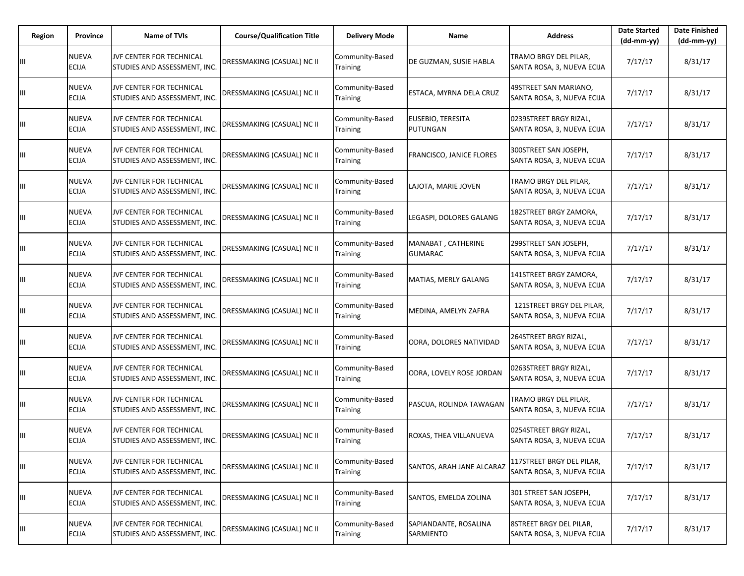| Region | Province                     | Name of TVIs                                             | <b>Course/Qualification Title</b> | <b>Delivery Mode</b>               | Name                                 | <b>Address</b>                                          | <b>Date Started</b><br>$(dd-mm-yy)$ | <b>Date Finished</b><br>(dd-mm-yy) |
|--------|------------------------------|----------------------------------------------------------|-----------------------------------|------------------------------------|--------------------------------------|---------------------------------------------------------|-------------------------------------|------------------------------------|
| Ш      | NUEVA<br>ECIJA               | JVF CENTER FOR TECHNICAL<br>STUDIES AND ASSESSMENT, INC. | DRESSMAKING (CASUAL) NC II        | Community-Based<br>Training        | DE GUZMAN, SUSIE HABLA               | TRAMO BRGY DEL PILAR,<br>SANTA ROSA, 3, NUEVA ECIJA     | 7/17/17                             | 8/31/17                            |
| Ш      | NUEVA<br><b>ECIJA</b>        | JVF CENTER FOR TECHNICAL<br>STUDIES AND ASSESSMENT, INC. | DRESSMAKING (CASUAL) NC II        | Community-Based<br>Training        | ESTACA, MYRNA DELA CRUZ              | 49STREET SAN MARIANO,<br>SANTA ROSA, 3, NUEVA ECIJA     | 7/17/17                             | 8/31/17                            |
| Ш      | NUEVA<br><b>ECIJA</b>        | JVF CENTER FOR TECHNICAL<br>STUDIES AND ASSESSMENT, INC. | DRESSMAKING (CASUAL) NC II        | Community-Based<br>Training        | EUSEBIO, TERESITA<br>PUTUNGAN        | 0239STREET BRGY RIZAL,<br>SANTA ROSA, 3, NUEVA ECIJA    | 7/17/17                             | 8/31/17                            |
| Ш      | NUEVA<br>ECIJA               | JVF CENTER FOR TECHNICAL<br>STUDIES AND ASSESSMENT, INC. | DRESSMAKING (CASUAL) NC II        | Community-Based<br>Training        | FRANCISCO, JANICE FLORES             | 300STREET SAN JOSEPH,<br>SANTA ROSA, 3, NUEVA ECIJA     | 7/17/17                             | 8/31/17                            |
| Ш      | NUEVA<br><b>ECIJA</b>        | JVF CENTER FOR TECHNICAL<br>STUDIES AND ASSESSMENT, INC. | DRESSMAKING (CASUAL) NC II        | Community-Based<br>Training        | LAJOTA, MARIE JOVEN                  | TRAMO BRGY DEL PILAR,<br>SANTA ROSA, 3, NUEVA ECIJA     | 7/17/17                             | 8/31/17                            |
| Ш      | NUEVA<br>ECIJA               | JVF CENTER FOR TECHNICAL<br>STUDIES AND ASSESSMENT, INC. | DRESSMAKING (CASUAL) NC II        | Community-Based<br>Training        | LEGASPI, DOLORES GALANG              | 182STREET BRGY ZAMORA,<br>SANTA ROSA, 3, NUEVA ECIJA    | 7/17/17                             | 8/31/17                            |
| Ш      | NUEVA<br>ECIJA               | JVF CENTER FOR TECHNICAL<br>STUDIES AND ASSESSMENT, INC. | <b>DRESSMAKING (CASUAL) NC II</b> | Community-Based<br>Training        | MANABAT, CATHERINE<br><b>GUMARAC</b> | 299STREET SAN JOSEPH,<br>SANTA ROSA, 3, NUEVA ECIJA     | 7/17/17                             | 8/31/17                            |
| Ш      | NUEVA<br>ECIJA               | JVF CENTER FOR TECHNICAL<br>STUDIES AND ASSESSMENT, INC. | DRESSMAKING (CASUAL) NC II        | Community-Based<br>Training        | MATIAS, MERLY GALANG                 | 141STREET BRGY ZAMORA,<br>SANTA ROSA, 3, NUEVA ECIJA    | 7/17/17                             | 8/31/17                            |
| Ш      | NUEVA<br>ECIJA               | JVF CENTER FOR TECHNICAL<br>STUDIES AND ASSESSMENT, INC. | DRESSMAKING (CASUAL) NC II        | Community-Based<br>Training        | MEDINA, AMELYN ZAFRA                 | 121STREET BRGY DEL PILAR,<br>SANTA ROSA, 3, NUEVA ECIJA | 7/17/17                             | 8/31/17                            |
| Ш      | NUEVA<br>ECIJA               | JVF CENTER FOR TECHNICAL<br>STUDIES AND ASSESSMENT, INC. | DRESSMAKING (CASUAL) NC II        | Community-Based<br>Training        | ODRA, DOLORES NATIVIDAD              | 264STREET BRGY RIZAL,<br>SANTA ROSA, 3, NUEVA ECIJA     | 7/17/17                             | 8/31/17                            |
| Ш      | NUEVA<br>ECIJA               | JVF CENTER FOR TECHNICAL<br>STUDIES AND ASSESSMENT, INC. | DRESSMAKING (CASUAL) NC II        | Community-Based<br>Training        | ODRA, LOVELY ROSE JORDAN             | 0263STREET BRGY RIZAL,<br>SANTA ROSA, 3, NUEVA ECIJA    | 7/17/17                             | 8/31/17                            |
| Ш      | NUEVA<br>ECIJA               | JVF CENTER FOR TECHNICAL<br>STUDIES AND ASSESSMENT, INC. | DRESSMAKING (CASUAL) NC II        | Community-Based<br>Training        | PASCUA, ROLINDA TAWAGAN              | TRAMO BRGY DEL PILAR,<br>SANTA ROSA, 3, NUEVA ECIJA     | 7/17/17                             | 8/31/17                            |
| Ш      | NUEVA<br><b>ECIJA</b>        | JVF CENTER FOR TECHNICAL<br>STUDIES AND ASSESSMENT, INC. | DRESSMAKING (CASUAL) NC II        | Community-Based<br>Training        | ROXAS, THEA VILLANUEVA               | 0254STREET BRGY RIZAL,<br>SANTA ROSA, 3, NUEVA ECIJA    | 7/17/17                             | 8/31/17                            |
| Ш      | NUEVA<br><b>ECIJA</b>        | JVF CENTER FOR TECHNICAL<br>STUDIES AND ASSESSMENT, INC. | DRESSMAKING (CASUAL) NC II        | Community-Based<br><b>Training</b> | SANTOS, ARAH JANE ALCARAZ            | 117STREET BRGY DEL PILAR,<br>SANTA ROSA, 3, NUEVA ECIJA | 7/17/17                             | 8/31/17                            |
| Ш      | NUEVA<br><b>ECIJA</b>        | JVF CENTER FOR TECHNICAL<br>STUDIES AND ASSESSMENT, INC. | DRESSMAKING (CASUAL) NC II        | Community-Based<br>Training        | SANTOS, EMELDA ZOLINA                | 301 STREET SAN JOSEPH,<br>SANTA ROSA, 3, NUEVA ECIJA    | 7/17/17                             | 8/31/17                            |
| Ш      | <b>NUEVA</b><br><b>ECIJA</b> | JVF CENTER FOR TECHNICAL<br>STUDIES AND ASSESSMENT, INC. | DRESSMAKING (CASUAL) NC II        | Community-Based<br>Training        | SAPIANDANTE, ROSALINA<br>SARMIENTO   | 8STREET BRGY DEL PILAR,<br>SANTA ROSA, 3, NUEVA ECIJA   | 7/17/17                             | 8/31/17                            |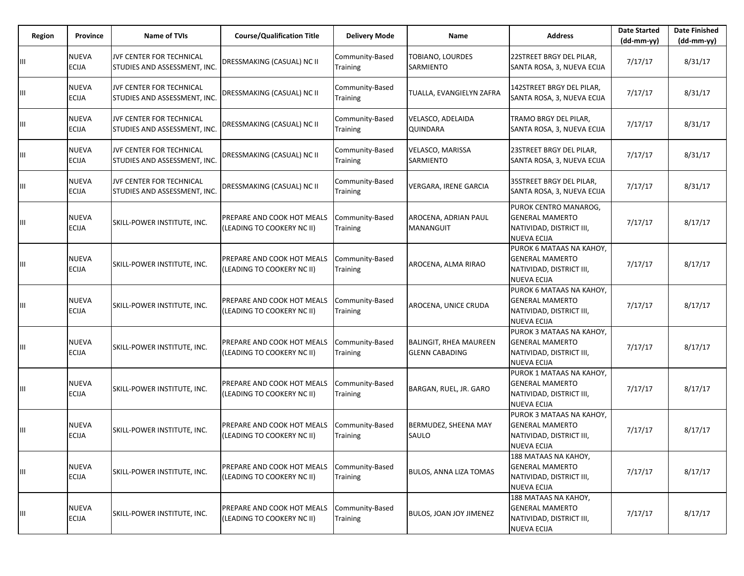| Region | Province                     | Name of TVIs                                             | <b>Course/Qualification Title</b>                        | <b>Delivery Mode</b>               | Name                                                   | <b>Address</b>                                                                                       | <b>Date Started</b><br>$(dd-mm-yy)$ | <b>Date Finished</b><br>$(dd-mm-yy)$ |
|--------|------------------------------|----------------------------------------------------------|----------------------------------------------------------|------------------------------------|--------------------------------------------------------|------------------------------------------------------------------------------------------------------|-------------------------------------|--------------------------------------|
| Ш      | NUEVA<br>ECIJA               | JVF CENTER FOR TECHNICAL<br>STUDIES AND ASSESSMENT, INC. | DRESSMAKING (CASUAL) NC II                               | Community-Based<br>Training        | <b>TOBIANO, LOURDES</b><br><b>SARMIENTO</b>            | 22STREET BRGY DEL PILAR,<br>SANTA ROSA, 3, NUEVA ECIJA                                               | 7/17/17                             | 8/31/17                              |
| Ш      | NUEVA<br><b>ECIJA</b>        | JVF CENTER FOR TECHNICAL<br>STUDIES AND ASSESSMENT, INC. | DRESSMAKING (CASUAL) NC II                               | Community-Based<br>Training        | TUALLA, EVANGIELYN ZAFRA                               | 142STREET BRGY DEL PILAR,<br>SANTA ROSA, 3, NUEVA ECIJA                                              | 7/17/17                             | 8/31/17                              |
| Ш      | NUEVA<br>ECIJA               | JVF CENTER FOR TECHNICAL<br>STUDIES AND ASSESSMENT, INC. | DRESSMAKING (CASUAL) NC II                               | Community-Based<br>Training        | VELASCO, ADELAIDA<br>QUINDARA                          | TRAMO BRGY DEL PILAR,<br>SANTA ROSA, 3, NUEVA ECIJA                                                  | 7/17/17                             | 8/31/17                              |
| Ш      | NUEVA<br><b>ECIJA</b>        | JVF CENTER FOR TECHNICAL<br>STUDIES AND ASSESSMENT, INC. | DRESSMAKING (CASUAL) NC II                               | Community-Based<br>Training        | VELASCO, MARISSA<br>SARMIENTO                          | 23STREET BRGY DEL PILAR,<br>SANTA ROSA, 3, NUEVA ECIJA                                               | 7/17/17                             | 8/31/17                              |
| Ш      | NUEVA<br>ECIJA               | JVF CENTER FOR TECHNICAL<br>STUDIES AND ASSESSMENT, INC. | DRESSMAKING (CASUAL) NC II                               | Community-Based<br><b>Training</b> | VERGARA, IRENE GARCIA                                  | 35STREET BRGY DEL PILAR,<br>SANTA ROSA, 3, NUEVA ECIJA                                               | 7/17/17                             | 8/31/17                              |
| Ш      | NUEVA<br><b>ECIJA</b>        | SKILL-POWER INSTITUTE, INC.                              | PREPARE AND COOK HOT MEALS<br>(LEADING TO COOKERY NC II) | Community-Based<br>Training        | AROCENA, ADRIAN PAUL<br><b>MANANGUIT</b>               | PUROK CENTRO MANAROG,<br><b>GENERAL MAMERTO</b><br>NATIVIDAD, DISTRICT III,<br><b>NUEVA ECIJA</b>    | 7/17/17                             | 8/17/17                              |
| Ш      | NUEVA<br><b>ECIJA</b>        | SKILL-POWER INSTITUTE, INC.                              | PREPARE AND COOK HOT MEALS<br>(LEADING TO COOKERY NC II) | Community-Based<br>Training        | AROCENA, ALMA RIRAO                                    | PUROK 6 MATAAS NA KAHOY,<br><b>GENERAL MAMERTO</b><br>NATIVIDAD, DISTRICT III,<br><b>NUEVA ECIJA</b> | 7/17/17                             | 8/17/17                              |
| Ш      | NUEVA<br>ECIJA               | SKILL-POWER INSTITUTE, INC.                              | PREPARE AND COOK HOT MEALS<br>(LEADING TO COOKERY NC II) | Community-Based<br>Training        | AROCENA, UNICE CRUDA                                   | PUROK 6 MATAAS NA KAHOY,<br><b>GENERAL MAMERTO</b><br>NATIVIDAD, DISTRICT III,<br><b>NUEVA ECIJA</b> | 7/17/17                             | 8/17/17                              |
| Ш      | NUEVA<br><b>ECIJA</b>        | SKILL-POWER INSTITUTE, INC.                              | PREPARE AND COOK HOT MEALS<br>(LEADING TO COOKERY NC II) | Community-Based<br>Training        | <b>BALINGIT, RHEA MAUREEN</b><br><b>GLENN CABADING</b> | PUROK 3 MATAAS NA KAHOY,<br><b>GENERAL MAMERTO</b><br>NATIVIDAD, DISTRICT III,<br><b>NUEVA ECIJA</b> | 7/17/17                             | 8/17/17                              |
| Ш      | NUEVA<br><b>ECIJA</b>        | SKILL-POWER INSTITUTE, INC.                              | PREPARE AND COOK HOT MEALS<br>(LEADING TO COOKERY NC II) | Community-Based<br>Training        | BARGAN, RUEL, JR. GARO                                 | PUROK 1 MATAAS NA KAHOY,<br><b>GENERAL MAMERTO</b><br>NATIVIDAD, DISTRICT III,<br><b>NUEVA ECIJA</b> | 7/17/17                             | 8/17/17                              |
| Ш      | NUEVA<br><b>ECIJA</b>        | SKILL-POWER INSTITUTE, INC.                              | PREPARE AND COOK HOT MEALS<br>(LEADING TO COOKERY NC II) | Community-Based<br>Training        | BERMUDEZ, SHEENA MAY<br>SAULO                          | PUROK 3 MATAAS NA KAHOY,<br><b>GENERAL MAMERTO</b><br>NATIVIDAD, DISTRICT III,<br><b>NUEVA ECIJA</b> | 7/17/17                             | 8/17/17                              |
| Ш      | <b>NUEVA</b><br><b>ECIJA</b> | SKILL-POWER INSTITUTE, INC.                              | PREPARE AND COOK HOT MEALS<br>(LEADING TO COOKERY NC II) | Community-Based<br>Training        | <b>BULOS, ANNA LIZA TOMAS</b>                          | 188 MATAAS NA KAHOY,<br><b>GENERAL MAMERTO</b><br>NATIVIDAD, DISTRICT III,<br><b>NUEVA ECIJA</b>     | 7/17/17                             | 8/17/17                              |
| Ш      | <b>NUEVA</b><br><b>ECIJA</b> | SKILL-POWER INSTITUTE, INC.                              | PREPARE AND COOK HOT MEALS<br>(LEADING TO COOKERY NC II) | Community-Based<br>Training        | <b>BULOS, JOAN JOY JIMENEZ</b>                         | 188 MATAAS NA KAHOY,<br><b>GENERAL MAMERTO</b><br>NATIVIDAD, DISTRICT III,<br><b>NUEVA ECIJA</b>     | 7/17/17                             | 8/17/17                              |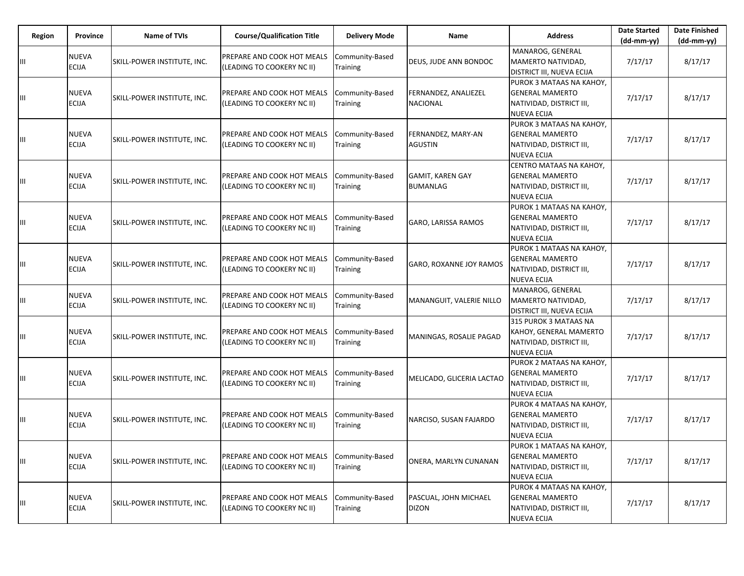| Region | Province                     | <b>Name of TVIs</b>         | <b>Course/Qualification Title</b>                        | <b>Delivery Mode</b>               | Name                                       | <b>Address</b>                                                                                       | <b>Date Started</b><br>(dd-mm-yy) | <b>Date Finished</b><br>(dd-mm-yy) |
|--------|------------------------------|-----------------------------|----------------------------------------------------------|------------------------------------|--------------------------------------------|------------------------------------------------------------------------------------------------------|-----------------------------------|------------------------------------|
| Ш      | <b>NUEVA</b><br><b>ECIJA</b> | SKILL-POWER INSTITUTE, INC. | PREPARE AND COOK HOT MEALS<br>(LEADING TO COOKERY NC II) | Community-Based<br>Training        | DEUS, JUDE ANN BONDOC                      | MANAROG, GENERAL<br>MAMERTO NATIVIDAD,<br><b>DISTRICT III, NUEVA ECIJA</b>                           | 7/17/17                           | 8/17/17                            |
| Ш      | <b>NUEVA</b><br><b>ECIJA</b> | SKILL-POWER INSTITUTE, INC. | PREPARE AND COOK HOT MEALS<br>(LEADING TO COOKERY NC II) | Community-Based<br>Training        | FERNANDEZ, ANALIEZEL<br>NACIONAL           | PUROK 3 MATAAS NA KAHOY,<br><b>GENERAL MAMERTO</b><br>NATIVIDAD, DISTRICT III,<br><b>NUEVA ECIJA</b> | 7/17/17                           | 8/17/17                            |
| Ш      | <b>NUEVA</b><br><b>ECIJA</b> | SKILL-POWER INSTITUTE, INC. | PREPARE AND COOK HOT MEALS<br>LEADING TO COOKERY NC II)  | Community-Based<br>Training        | FERNANDEZ, MARY-AN<br>AGUSTIN              | PUROK 3 MATAAS NA KAHOY,<br><b>GENERAL MAMERTO</b><br>NATIVIDAD, DISTRICT III,<br><b>NUEVA ECIJA</b> | 7/17/17                           | 8/17/17                            |
| Ш      | <b>NUEVA</b><br><b>ECIJA</b> | SKILL-POWER INSTITUTE, INC. | PREPARE AND COOK HOT MEALS<br>(LEADING TO COOKERY NC II) | Community-Based<br>Training        | <b>GAMIT, KAREN GAY</b><br><b>BUMANLAG</b> | CENTRO MATAAS NA KAHOY,<br><b>GENERAL MAMERTO</b><br>NATIVIDAD, DISTRICT III,<br><b>NUEVA ECIJA</b>  | 7/17/17                           | 8/17/17                            |
| Ш      | <b>NUEVA</b><br><b>ECIJA</b> | SKILL-POWER INSTITUTE, INC. | PREPARE AND COOK HOT MEALS<br>(LEADING TO COOKERY NC II) | Community-Based<br>Training        | GARO, LARISSA RAMOS                        | PUROK 1 MATAAS NA KAHOY,<br><b>GENERAL MAMERTO</b><br>NATIVIDAD, DISTRICT III,<br><b>NUEVA ECIJA</b> | 7/17/17                           | 8/17/17                            |
| Ш      | <b>NUEVA</b><br><b>ECIJA</b> | SKILL-POWER INSTITUTE, INC. | PREPARE AND COOK HOT MEALS<br>LEADING TO COOKERY NC II)  | Community-Based<br>Training        | GARO, ROXANNE JOY RAMOS                    | PUROK 1 MATAAS NA KAHOY,<br><b>GENERAL MAMERTO</b><br>NATIVIDAD, DISTRICT III,<br>NUEVA ECIJA        | 7/17/17                           | 8/17/17                            |
| Ш      | <b>NUEVA</b><br><b>ECIJA</b> | SKILL-POWER INSTITUTE, INC. | PREPARE AND COOK HOT MEALS<br>(LEADING TO COOKERY NC II) | Community-Based<br>Training        | MANANGUIT, VALERIE NILLO                   | MANAROG, GENERAL<br>MAMERTO NATIVIDAD,<br>DISTRICT III, NUEVA ECIJA                                  | 7/17/17                           | 8/17/17                            |
| Ш      | <b>NUEVA</b><br><b>ECIJA</b> | SKILL-POWER INSTITUTE, INC. | PREPARE AND COOK HOT MEALS<br>LEADING TO COOKERY NC II)  | Community-Based<br>Training        | MANINGAS, ROSALIE PAGAD                    | 315 PUROK 3 MATAAS NA<br>KAHOY, GENERAL MAMERTO<br>NATIVIDAD, DISTRICT III,<br><b>NUEVA ECIJA</b>    | 7/17/17                           | 8/17/17                            |
| Ш      | <b>NUEVA</b><br><b>ECIJA</b> | SKILL-POWER INSTITUTE, INC. | PREPARE AND COOK HOT MEALS<br>(LEADING TO COOKERY NC II) | Community-Based<br><b>Training</b> | MELICADO, GLICERIA LACTAO                  | PUROK 2 MATAAS NA KAHOY,<br><b>GENERAL MAMERTO</b><br>NATIVIDAD, DISTRICT III,<br><b>NUEVA ECIJA</b> | 7/17/17                           | 8/17/17                            |
| Ш      | <b>NUEVA</b><br><b>ECIJA</b> | SKILL-POWER INSTITUTE, INC. | PREPARE AND COOK HOT MEALS<br>(LEADING TO COOKERY NC II) | Community-Based<br><b>Training</b> | NARCISO, SUSAN FAJARDO                     | PUROK 4 MATAAS NA KAHOY,<br><b>GENERAL MAMERTO</b><br>NATIVIDAD, DISTRICT III,<br><b>NUEVA ECIJA</b> | 7/17/17                           | 8/17/17                            |
| Ш      | <b>NUEVA</b><br><b>ECIJA</b> | SKILL-POWER INSTITUTE, INC. | PREPARE AND COOK HOT MEALS<br>(LEADING TO COOKERY NC II) | Community-Based<br>Training        | ONERA, MARLYN CUNANAN                      | PUROK 1 MATAAS NA KAHOY,<br><b>GENERAL MAMERTO</b><br>NATIVIDAD, DISTRICT III,<br><b>NUEVA ECIJA</b> | 7/17/17                           | 8/17/17                            |
| Ш      | <b>NUEVA</b><br>ECIJA        | SKILL-POWER INSTITUTE, INC. | PREPARE AND COOK HOT MEALS<br>(LEADING TO COOKERY NC II) | Community-Based<br><b>Training</b> | PASCUAL, JOHN MICHAEL<br><b>DIZON</b>      | PUROK 4 MATAAS NA KAHOY,<br><b>GENERAL MAMERTO</b><br>NATIVIDAD, DISTRICT III,<br><b>NUEVA ECIJA</b> | 7/17/17                           | 8/17/17                            |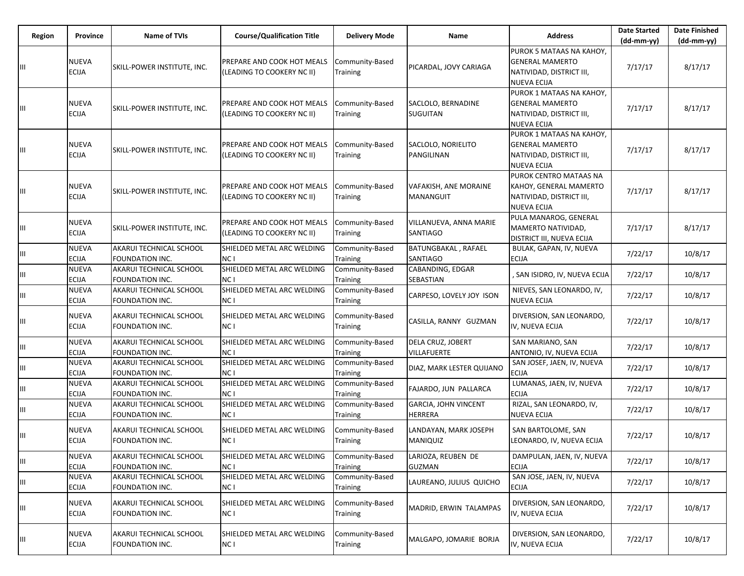| Region | Province                     | Name of TVIs                                      | <b>Course/Qualification Title</b>                        | <b>Delivery Mode</b>               | Name                                          | <b>Address</b>                                                                                       | <b>Date Started</b><br>$(dd-mm-yy)$ | <b>Date Finished</b><br>$(dd-mm-yy)$ |
|--------|------------------------------|---------------------------------------------------|----------------------------------------------------------|------------------------------------|-----------------------------------------------|------------------------------------------------------------------------------------------------------|-------------------------------------|--------------------------------------|
| Ш      | <b>NUEVA</b><br><b>ECIJA</b> | SKILL-POWER INSTITUTE, INC.                       | PREPARE AND COOK HOT MEALS<br>(LEADING TO COOKERY NC II) | Community-Based<br>Training        | PICARDAL, JOVY CARIAGA                        | PUROK 5 MATAAS NA KAHOY,<br><b>GENERAL MAMERTO</b><br>NATIVIDAD, DISTRICT III,<br><b>NUEVA ECIJA</b> | 7/17/17                             | 8/17/17                              |
| Ш      | <b>NUEVA</b><br><b>ECIJA</b> | SKILL-POWER INSTITUTE, INC.                       | PREPARE AND COOK HOT MEALS<br>(LEADING TO COOKERY NC II) | Community-Based<br>Training        | SACLOLO, BERNADINE<br><b>SUGUITAN</b>         | PUROK 1 MATAAS NA KAHOY,<br><b>GENERAL MAMERTO</b><br>NATIVIDAD, DISTRICT III,<br><b>NUEVA ECIJA</b> | 7/17/17                             | 8/17/17                              |
|        | <b>NUEVA</b><br><b>ECIJA</b> | SKILL-POWER INSTITUTE, INC.                       | PREPARE AND COOK HOT MEALS<br>(LEADING TO COOKERY NC II) | Community-Based<br>Training        | SACLOLO, NORIELITO<br>PANGILINAN              | PUROK 1 MATAAS NA KAHOY,<br><b>GENERAL MAMERTO</b><br>NATIVIDAD, DISTRICT III,<br>NUEVA ECIJA        | 7/17/17                             | 8/17/17                              |
| Ш      | <b>NUEVA</b><br><b>ECIJA</b> | SKILL-POWER INSTITUTE, INC.                       | PREPARE AND COOK HOT MEALS<br>(LEADING TO COOKERY NC II) | Community-Based<br>Training        | VAFAKISH, ANE MORAINE<br><b>MANANGUIT</b>     | PUROK CENTRO MATAAS NA<br>KAHOY, GENERAL MAMERTO<br>NATIVIDAD, DISTRICT III,<br><b>NUEVA ECIJA</b>   | 7/17/17                             | 8/17/17                              |
| Ш      | <b>NUEVA</b><br><b>ECIJA</b> | SKILL-POWER INSTITUTE, INC.                       | PREPARE AND COOK HOT MEALS<br>(LEADING TO COOKERY NC II) | Community-Based<br>Training        | VILLANUEVA, ANNA MARIE<br><b>SANTIAGO</b>     | PULA MANAROG, GENERAL<br>MAMERTO NATIVIDAD,<br>DISTRICT III, NUEVA ECIJA                             | 7/17/17                             | 8/17/17                              |
| Ш      | <b>NUEVA</b><br><b>ECIJA</b> | AKARUI TECHNICAL SCHOOL<br>FOUNDATION INC.        | SHIELDED METAL ARC WELDING<br><b>NC</b> I                | Community-Based<br>Training        | BATUNGBAKAL, RAFAEL<br><b>SANTIAGO</b>        | BULAK, GAPAN, IV, NUEVA<br><b>ECIJA</b>                                                              | 7/22/17                             | 10/8/17                              |
| Ш      | <b>NUEVA</b><br><b>ECIJA</b> | AKARUI TECHNICAL SCHOOL<br><b>FOUNDATION INC.</b> | SHIELDED METAL ARC WELDING<br>NC I                       | Community-Based<br>Training        | CABANDING, EDGAR<br>SEBASTIAN                 | , SAN ISIDRO, IV, NUEVA ECIJA                                                                        | 7/22/17                             | 10/8/17                              |
| Ш      | <b>NUEVA</b><br><b>ECIJA</b> | AKARUI TECHNICAL SCHOOL<br>FOUNDATION INC.        | SHIELDED METAL ARC WELDING<br>NC I                       | Community-Based<br>Training        | CARPESO, LOVELY JOY ISON                      | NIEVES, SAN LEONARDO, IV,<br>NUEVA ECIJA                                                             | 7/22/17                             | 10/8/17                              |
| Ш      | <b>NUEVA</b><br><b>ECIJA</b> | AKARUI TECHNICAL SCHOOL<br>FOUNDATION INC.        | SHIELDED METAL ARC WELDING<br>NC I                       | Community-Based<br>Training        | CASILLA, RANNY GUZMAN                         | DIVERSION, SAN LEONARDO,<br>IV, NUEVA ECIJA                                                          | 7/22/17                             | 10/8/17                              |
| Ш      | <b>NUEVA</b><br><b>ECIJA</b> | AKARUI TECHNICAL SCHOOL<br>FOUNDATION INC.        | SHIELDED METAL ARC WELDING<br>NC I                       | Community-Based<br>Training        | DELA CRUZ, JOBERT<br><b>VILLAFUERTE</b>       | SAN MARIANO, SAN<br>ANTONIO, IV, NUEVA ECIJA                                                         | 7/22/17                             | 10/8/17                              |
| Ш      | <b>NUEVA</b><br><b>ECIJA</b> | AKARUI TECHNICAL SCHOOL<br>FOUNDATION INC.        | SHIELDED METAL ARC WELDING<br>NC I                       | Community-Based<br><b>Training</b> | DIAZ, MARK LESTER QUIJANO                     | SAN JOSEF, JAEN, IV, NUEVA<br>ECIJA                                                                  | 7/22/17                             | 10/8/17                              |
| Ш      | <b>NUEVA</b><br><b>ECIJA</b> | AKARUI TECHNICAL SCHOOL<br>FOUNDATION INC.        | SHIELDED METAL ARC WELDING<br><b>NC</b> I                | Community-Based<br>Training        | FAJARDO, JUN PALLARCA                         | LUMANAS, JAEN, IV, NUEVA<br><b>ECIJA</b>                                                             | 7/22/17                             | 10/8/17                              |
| Ш      | <b>NUEVA</b><br><b>ECIJA</b> | AKARUI TECHNICAL SCHOOL<br>FOUNDATION INC.        | SHIELDED METAL ARC WELDING<br>NC <sub>1</sub>            | Community-Based<br>Training        | <b>GARCIA, JOHN VINCENT</b><br><b>HERRERA</b> | RIZAL, SAN LEONARDO, IV,<br>NUEVA ECIJA                                                              | 7/22/17                             | 10/8/17                              |
| Ш      | <b>NUEVA</b><br><b>ECIJA</b> | AKARUI TECHNICAL SCHOOL<br>FOUNDATION INC.        | SHIELDED METAL ARC WELDING<br>NC I                       | Community-Based<br><b>Training</b> | LANDAYAN, MARK JOSEPH<br><b>MANIQUIZ</b>      | SAN BARTOLOME, SAN<br>LEONARDO, IV, NUEVA ECIJA                                                      | 7/22/17                             | 10/8/17                              |
| Ш      | <b>NUEVA</b><br><b>ECIJA</b> | AKARUI TECHNICAL SCHOOL<br>FOUNDATION INC.        | SHIELDED METAL ARC WELDING<br>NC <sub>1</sub>            | Community-Based<br>Training        | LARIOZA, REUBEN DE<br><b>GUZMAN</b>           | DAMPULAN, JAEN, IV, NUEVA<br><b>ECIJA</b>                                                            | 7/22/17                             | 10/8/17                              |
| Ш      | <b>NUEVA</b><br><b>ECIJA</b> | AKARUI TECHNICAL SCHOOL<br>FOUNDATION INC.        | SHIELDED METAL ARC WELDING<br>NC I                       | Community-Based<br><b>Training</b> | LAUREANO, JULIUS QUICHO                       | SAN JOSE, JAEN, IV, NUEVA<br>ECIJA                                                                   | 7/22/17                             | 10/8/17                              |
| Щ      | <b>NUEVA</b><br><b>ECIJA</b> | AKARUI TECHNICAL SCHOOL<br>FOUNDATION INC.        | SHIELDED METAL ARC WELDING<br>NC I                       | Community-Based<br>Training        | MADRID, ERWIN TALAMPAS                        | DIVERSION, SAN LEONARDO,<br>IV, NUEVA ECIJA                                                          | 7/22/17                             | 10/8/17                              |
|        | NUEVA<br>ECIJA               | AKARUI TECHNICAL SCHOOL<br>FOUNDATION INC.        | SHIELDED METAL ARC WELDING<br>NC I                       | Community-Based<br>Training        | MALGAPO, JOMARIE BORJA                        | DIVERSION, SAN LEONARDO,<br>IV, NUEVA ECIJA                                                          | 7/22/17                             | 10/8/17                              |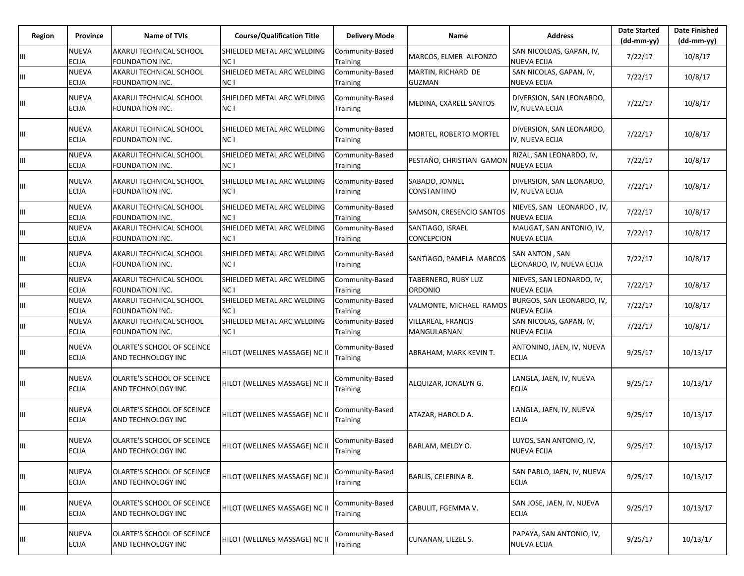| Region | Province                     | Name of TVIs                                      | <b>Course/Qualification Title</b>  | <b>Delivery Mode</b>               | Name                                     | <b>Address</b>                                  | <b>Date Started</b><br>(dd-mm-yy) | <b>Date Finished</b><br>$(dd-mm-yy)$ |
|--------|------------------------------|---------------------------------------------------|------------------------------------|------------------------------------|------------------------------------------|-------------------------------------------------|-----------------------------------|--------------------------------------|
| Ш      | <b>NUEVA</b><br><b>ECIJA</b> | AKARUI TECHNICAL SCHOOL<br>FOUNDATION INC.        | SHIELDED METAL ARC WELDING<br>NC I | Community-Based<br>Training        | MARCOS, ELMER ALFONZO                    | SAN NICOLOAS, GAPAN, IV,<br><b>NUEVA ECIJA</b>  | 7/22/17                           | 10/8/17                              |
| Ш      | <b>NUEVA</b><br>ECIJA        | AKARUI TECHNICAL SCHOOL<br>FOUNDATION INC.        | SHIELDED METAL ARC WELDING<br>NC I | Community-Based<br>Training        | MARTIN, RICHARD DE<br><b>GUZMAN</b>      | SAN NICOLAS, GAPAN, IV,<br>NUEVA ECIJA          | 7/22/17                           | 10/8/17                              |
| Ш      | NUEVA<br><b>ECIJA</b>        | AKARUI TECHNICAL SCHOOL<br>FOUNDATION INC.        | SHIELDED METAL ARC WELDING<br>NC I | Community-Based<br>Training        | MEDINA, CXARELL SANTOS                   | DIVERSION, SAN LEONARDO,<br>IV, NUEVA ECIJA     | 7/22/17                           | 10/8/17                              |
| Ш      | <b>NUEVA</b><br><b>ECIJA</b> | AKARUI TECHNICAL SCHOOL<br>FOUNDATION INC.        | SHIELDED METAL ARC WELDING<br>NC I | Community-Based<br>Training        | MORTEL, ROBERTO MORTEL                   | DIVERSION, SAN LEONARDO,<br>IV, NUEVA ECIJA     | 7/22/17                           | 10/8/17                              |
| Ш      | NUEVA<br>ECIJA               | AKARUI TECHNICAL SCHOOL<br>FOUNDATION INC.        | SHIELDED METAL ARC WELDING<br>NC I | Community-Based<br>Training        | PESTAÑO, CHRISTIAN GAMON                 | RIZAL, SAN LEONARDO, IV,<br><b>NUEVA ECIJA</b>  | 7/22/17                           | 10/8/17                              |
| Ш      | NUEVA<br>ECIJA               | AKARUI TECHNICAL SCHOOL<br>FOUNDATION INC.        | SHIELDED METAL ARC WELDING<br>NC I | Community-Based<br>Training        | SABADO, JONNEL<br>CONSTANTINO            | DIVERSION, SAN LEONARDO,<br>IV, NUEVA ECIJA     | 7/22/17                           | 10/8/17                              |
| Ш      | NUEVA<br><b>ECIJA</b>        | AKARUI TECHNICAL SCHOOL<br><b>FOUNDATION INC.</b> | SHIELDED METAL ARC WELDING<br>NC I | Community-Based<br>Training        | SAMSON, CRESENCIO SANTOS                 | NIEVES, SAN LEONARDO, IV,<br><b>NUEVA ECIJA</b> | 7/22/17                           | 10/8/17                              |
| Ш      | <b>NUEVA</b><br><b>ECIJA</b> | AKARUI TECHNICAL SCHOOL<br>FOUNDATION INC.        | SHIELDED METAL ARC WELDING<br>NC I | Community-Based<br>Training        | SANTIAGO, ISRAEL<br>CONCEPCION           | MAUGAT, SAN ANTONIO, IV,<br>NUEVA ECIJA         | 7/22/17                           | 10/8/17                              |
| Ш      | <b>NUEVA</b><br>ECIJA        | AKARUI TECHNICAL SCHOOL<br>FOUNDATION INC.        | SHIELDED METAL ARC WELDING<br>NC I | Community-Based<br>Training        | SANTIAGO, PAMELA MARCOS                  | SAN ANTON, SAN<br>LEONARDO, IV, NUEVA ECIJA     | 7/22/17                           | 10/8/17                              |
| Ш      | <b>NUEVA</b><br><b>ECIJA</b> | AKARUI TECHNICAL SCHOOL<br>FOUNDATION INC.        | SHIELDED METAL ARC WELDING<br>NC I | Community-Based<br>Training        | TABERNERO, RUBY LUZ<br><b>ORDONIO</b>    | NIEVES, SAN LEONARDO, IV,<br>NUEVA ECIJA        | 7/22/17                           | 10/8/17                              |
| Ш      | <b>NUEVA</b><br><b>ECIJA</b> | AKARUI TECHNICAL SCHOOL<br>FOUNDATION INC.        | SHIELDED METAL ARC WELDING<br>NC I | Community-Based<br><b>Training</b> | VALMONTE, MICHAEL RAMOS                  | BURGOS, SAN LEONARDO, IV,<br><b>NUEVA ECIJA</b> | 7/22/17                           | 10/8/17                              |
| Ш      | <b>NUEVA</b><br>ECIJA        | AKARUI TECHNICAL SCHOOL<br>FOUNDATION INC.        | SHIELDED METAL ARC WELDING<br>NC I | Community-Based<br>Training        | <b>VILLAREAL, FRANCIS</b><br>MANGULABNAN | SAN NICOLAS, GAPAN, IV,<br>NUEVA ECIJA          | 7/22/17                           | 10/8/17                              |
| Ш      | NUEVA<br>ECIJA               | OLARTE'S SCHOOL OF SCEINCE<br>AND TECHNOLOGY INC  | HILOT (WELLNES MASSAGE) NC II      | Community-Based<br>Training        | ABRAHAM, MARK KEVIN T.                   | ANTONINO, JAEN, IV, NUEVA<br><b>ECIJA</b>       | 9/25/17                           | 10/13/17                             |
| Ш      | <b>NUEVA</b><br>ECIJA        | OLARTE'S SCHOOL OF SCEINCE<br>AND TECHNOLOGY INC  | HILOT (WELLNES MASSAGE) NC II      | Community-Based<br>Training        | ALQUIZAR, JONALYN G.                     | LANGLA, JAEN, IV, NUEVA<br><b>ECIJA</b>         | 9/25/17                           | 10/13/17                             |
| Ш      | <b>NUEVA</b><br>ECIJA        | OLARTE'S SCHOOL OF SCEINCE<br>AND TECHNOLOGY INC  | HILOT (WELLNES MASSAGE) NC II      | Community-Based<br>Training        | ATAZAR, HAROLD A.                        | LANGLA, JAEN, IV, NUEVA<br><b>ECIJA</b>         | 9/25/17                           | 10/13/17                             |
|        | <b>NUEVA</b><br><b>ECIJA</b> | OLARTE'S SCHOOL OF SCEINCE<br>AND TECHNOLOGY INC  | HILOT (WELLNES MASSAGE) NC II      | Community-Based<br>Training        | BARLAM, MELDY O.                         | LUYOS, SAN ANTONIO, IV,<br><b>NUEVA ECIJA</b>   | 9/25/17                           | 10/13/17                             |
| Ш      | NUEVA<br>ECIJA               | OLARTE'S SCHOOL OF SCEINCE<br>AND TECHNOLOGY INC  | HILOT (WELLNES MASSAGE) NC II      | Community-Based<br>Training        | BARLIS, CELERINA B.                      | SAN PABLO, JAEN, IV, NUEVA<br><b>ECIJA</b>      | 9/25/17                           | 10/13/17                             |
| Ш      | <b>NUEVA</b><br><b>ECIJA</b> | OLARTE'S SCHOOL OF SCEINCE<br>AND TECHNOLOGY INC  | HILOT (WELLNES MASSAGE) NC II      | Community-Based<br>Training        | CABULIT, FGEMMA V.                       | SAN JOSE, JAEN, IV, NUEVA<br><b>ECIJA</b>       | 9/25/17                           | 10/13/17                             |
| Ш      | NUEVA<br>ECIJA               | OLARTE'S SCHOOL OF SCEINCE<br>AND TECHNOLOGY INC  | HILOT (WELLNES MASSAGE) NC II      | Community-Based<br>Training        | CUNANAN, LIEZEL S.                       | PAPAYA, SAN ANTONIO, IV,<br><b>NUEVA ECIJA</b>  | 9/25/17                           | 10/13/17                             |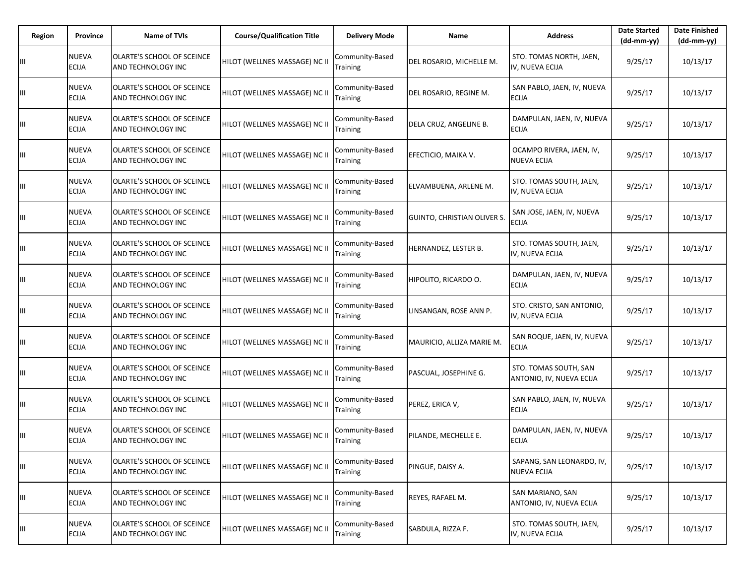| Region | Province                     | <b>Name of TVIs</b>                              | <b>Course/Qualification Title</b> | <b>Delivery Mode</b>               | Name                        | <b>Address</b>                                    | <b>Date Started</b><br>(dd-mm-yy) | <b>Date Finished</b><br>$(dd-mm-yy)$ |
|--------|------------------------------|--------------------------------------------------|-----------------------------------|------------------------------------|-----------------------------|---------------------------------------------------|-----------------------------------|--------------------------------------|
|        | <b>NUEVA</b><br><b>ECIJA</b> | OLARTE'S SCHOOL OF SCEINCE<br>AND TECHNOLOGY INC | HILOT (WELLNES MASSAGE) NC II     | Community-Based<br><b>Training</b> | DEL ROSARIO, MICHELLE M.    | STO. TOMAS NORTH, JAEN,<br>IV, NUEVA ECIJA        | 9/25/17                           | 10/13/17                             |
| Ш      | <b>NUEVA</b><br><b>ECIJA</b> | OLARTE'S SCHOOL OF SCEINCE<br>AND TECHNOLOGY INC | HILOT (WELLNES MASSAGE) NC II     | Community-Based<br>Training        | DEL ROSARIO, REGINE M.      | SAN PABLO, JAEN, IV, NUEVA<br><b>ECIJA</b>        | 9/25/17                           | 10/13/17                             |
| Ш      | <b>NUEVA</b><br>ECIJA        | OLARTE'S SCHOOL OF SCEINCE<br>AND TECHNOLOGY INC | HILOT (WELLNES MASSAGE) NC II     | Community-Based<br>Training        | DELA CRUZ, ANGELINE B.      | DAMPULAN, JAEN, IV, NUEVA<br><b>ECIJA</b>         | 9/25/17                           | 10/13/17                             |
| Ш      | <b>NUEVA</b><br><b>ECIJA</b> | OLARTE'S SCHOOL OF SCEINCE<br>AND TECHNOLOGY INC | HILOT (WELLNES MASSAGE) NC II     | Community-Based<br>Training        | EFECTICIO, MAIKA V.         | OCAMPO RIVERA, JAEN, IV,<br><b>NUEVA ECIJA</b>    | 9/25/17                           | 10/13/17                             |
| Ш      | <b>NUEVA</b><br><b>ECIJA</b> | OLARTE'S SCHOOL OF SCEINCE<br>AND TECHNOLOGY INC | HILOT (WELLNES MASSAGE) NC II     | Community-Based<br>Training        | ELVAMBUENA, ARLENE M.       | STO. TOMAS SOUTH, JAEN,<br>IV, NUEVA ECIJA        | 9/25/17                           | 10/13/17                             |
| Ш      | <b>NUEVA</b><br>ECIJA        | OLARTE'S SCHOOL OF SCEINCE<br>AND TECHNOLOGY INC | HILOT (WELLNES MASSAGE) NC II     | Community-Based<br>Training        | GUINTO, CHRISTIAN OLIVER S. | SAN JOSE, JAEN, IV, NUEVA<br><b>ECIJA</b>         | 9/25/17                           | 10/13/17                             |
| Ш      | NUEVA<br><b>ECIJA</b>        | OLARTE'S SCHOOL OF SCEINCE<br>AND TECHNOLOGY INC | HILOT (WELLNES MASSAGE) NC II     | Community-Based<br>Training        | HERNANDEZ, LESTER B.        | STO. TOMAS SOUTH, JAEN,<br>IV, NUEVA ECIJA        | 9/25/17                           | 10/13/17                             |
| Ш      | <b>NUEVA</b><br>ECIJA        | OLARTE'S SCHOOL OF SCEINCE<br>AND TECHNOLOGY INC | HILOT (WELLNES MASSAGE) NC II     | Community-Based<br>Training        | HIPOLITO, RICARDO O.        | DAMPULAN, JAEN, IV, NUEVA<br><b>ECIJA</b>         | 9/25/17                           | 10/13/17                             |
| Ш      | <b>NUEVA</b><br><b>ECIJA</b> | OLARTE'S SCHOOL OF SCEINCE<br>AND TECHNOLOGY INC | HILOT (WELLNES MASSAGE) NC II     | Community-Based<br>Training        | LINSANGAN, ROSE ANN P.      | STO. CRISTO, SAN ANTONIO,<br>IV, NUEVA ECIJA      | 9/25/17                           | 10/13/17                             |
| Ш      | <b>NUEVA</b><br>ECIJA        | OLARTE'S SCHOOL OF SCEINCE<br>AND TECHNOLOGY INC | HILOT (WELLNES MASSAGE) NC II     | Community-Based<br>Training        | MAURICIO, ALLIZA MARIE M.   | SAN ROQUE, JAEN, IV, NUEVA<br><b>ECIJA</b>        | 9/25/17                           | 10/13/17                             |
| Ш      | NUEVA<br>ECIJA               | OLARTE'S SCHOOL OF SCEINCE<br>AND TECHNOLOGY INC | HILOT (WELLNES MASSAGE) NC II     | Community-Based<br>Training        | PASCUAL, JOSEPHINE G.       | STO. TOMAS SOUTH, SAN<br>ANTONIO, IV, NUEVA ECIJA | 9/25/17                           | 10/13/17                             |
| Ш      | <b>NUEVA</b><br><b>ECIJA</b> | OLARTE'S SCHOOL OF SCEINCE<br>AND TECHNOLOGY INC | HILOT (WELLNES MASSAGE) NC II     | Community-Based<br>Training        | PEREZ, ERICA V,             | SAN PABLO, JAEN, IV, NUEVA<br><b>ECIJA</b>        | 9/25/17                           | 10/13/17                             |
| Ш      | NUEVA<br><b>ECIJA</b>        | OLARTE'S SCHOOL OF SCEINCE<br>AND TECHNOLOGY INC | HILOT (WELLNES MASSAGE) NC II     | Community-Based<br><b>Training</b> | PILANDE, MECHELLE E.        | DAMPULAN, JAEN, IV, NUEVA<br><b>ECIJA</b>         | 9/25/17                           | 10/13/17                             |
| Ш      | <b>NUEVA</b><br><b>ECIJA</b> | OLARTE'S SCHOOL OF SCEINCE<br>AND TECHNOLOGY INC | HILOT (WELLNES MASSAGE) NC II     | Community-Based<br>Training        | PINGUE, DAISY A.            | SAPANG, SAN LEONARDO, IV,<br><b>NUEVA ECIJA</b>   | 9/25/17                           | 10/13/17                             |
| Ш      | NUEVA<br><b>ECIJA</b>        | OLARTE'S SCHOOL OF SCEINCE<br>AND TECHNOLOGY INC | HILOT (WELLNES MASSAGE) NC II     | Community-Based<br>Training        | REYES, RAFAEL M.            | SAN MARIANO, SAN<br>ANTONIO, IV, NUEVA ECIJA      | 9/25/17                           | 10/13/17                             |
| Ш      | <b>NUEVA</b><br>ECIJA        | OLARTE'S SCHOOL OF SCEINCE<br>AND TECHNOLOGY INC | HILOT (WELLNES MASSAGE) NC II     | Community-Based<br>Training        | SABDULA, RIZZA F.           | STO. TOMAS SOUTH, JAEN,<br>IV, NUEVA ECIJA        | 9/25/17                           | 10/13/17                             |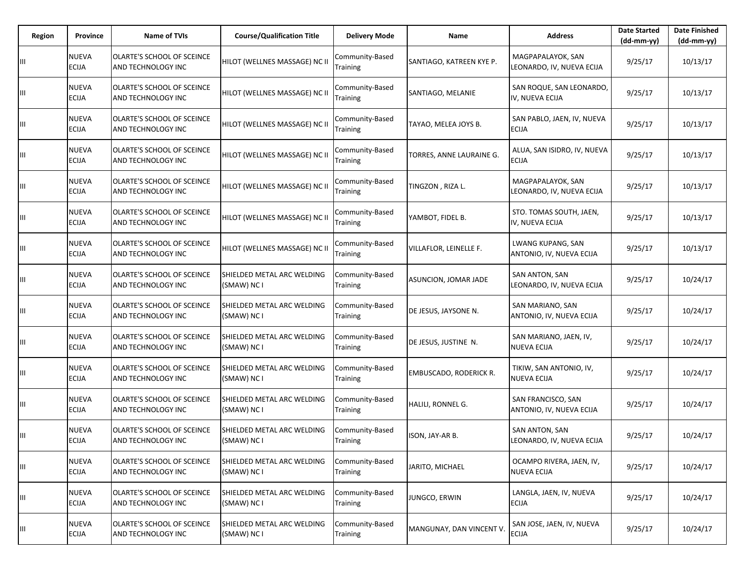| <b>Region</b> | <b>Province</b>              | <b>Name of TVIs</b>                              | <b>Course/Qualification Title</b>         | <b>Delivery Mode</b>               | Name                          | <b>Address</b>                                 | <b>Date Started</b><br>$(dd-mm-yy)$ | <b>Date Finished</b><br>$(dd-mm-yy)$ |
|---------------|------------------------------|--------------------------------------------------|-------------------------------------------|------------------------------------|-------------------------------|------------------------------------------------|-------------------------------------|--------------------------------------|
| Ш             | NUEVA<br><b>ECIJA</b>        | OLARTE'S SCHOOL OF SCEINCE<br>AND TECHNOLOGY INC | HILOT (WELLNES MASSAGE) NC II             | Community-Based<br><b>Training</b> | SANTIAGO, KATREEN KYE P.      | MAGPAPALAYOK, SAN<br>LEONARDO, IV, NUEVA ECIJA | 9/25/17                             | 10/13/17                             |
| Ш             | NUEVA<br>ECIJA               | OLARTE'S SCHOOL OF SCEINCE<br>AND TECHNOLOGY INC | HILOT (WELLNES MASSAGE) NC II             | Community-Based<br><b>Training</b> | SANTIAGO, MELANIE             | SAN ROQUE, SAN LEONARDO,<br>IV, NUEVA ECIJA    | 9/25/17                             | 10/13/17                             |
| Ш             | NUEVA<br><b>ECIJA</b>        | OLARTE'S SCHOOL OF SCEINCE<br>AND TECHNOLOGY INC | HILOT (WELLNES MASSAGE) NC II             | Community-Based<br>Training        | TAYAO, MELEA JOYS B.          | SAN PABLO, JAEN, IV, NUEVA<br><b>ECIJA</b>     | 9/25/17                             | 10/13/17                             |
| Ш             | NUEVA<br><b>ECIJA</b>        | OLARTE'S SCHOOL OF SCEINCE<br>AND TECHNOLOGY INC | HILOT (WELLNES MASSAGE) NC II             | Community-Based<br>Training        | TORRES, ANNE LAURAINE G.      | ALUA, SAN ISIDRO, IV, NUEVA<br><b>ECIJA</b>    | 9/25/17                             | 10/13/17                             |
| Ш             | NUEVA<br><b>ECIJA</b>        | OLARTE'S SCHOOL OF SCEINCE<br>AND TECHNOLOGY INC | HILOT (WELLNES MASSAGE) NC II             | Community-Based<br><b>Training</b> | TINGZON, RIZA L.              | MAGPAPALAYOK, SAN<br>LEONARDO, IV, NUEVA ECIJA | 9/25/17                             | 10/13/17                             |
| Ш             | NUEVA<br>ECIJA               | OLARTE'S SCHOOL OF SCEINCE<br>AND TECHNOLOGY INC | HILOT (WELLNES MASSAGE) NC II             | Community-Based<br>Training        | YAMBOT, FIDEL B.              | STO. TOMAS SOUTH, JAEN,<br>IV, NUEVA ECIJA     | 9/25/17                             | 10/13/17                             |
| Ш             | NUEVA<br>ECIJA               | OLARTE'S SCHOOL OF SCEINCE<br>AND TECHNOLOGY INC | HILOT (WELLNES MASSAGE) NC II             | Community-Based<br>Training        | <b>VILLAFLOR, LEINELLE F.</b> | LWANG KUPANG, SAN<br>ANTONIO, IV, NUEVA ECIJA  | 9/25/17                             | 10/13/17                             |
| Ш             | NUEVA<br><b>ECIJA</b>        | OLARTE'S SCHOOL OF SCEINCE<br>AND TECHNOLOGY INC | SHIELDED METAL ARC WELDING<br>(SMAW) NC I | Community-Based<br>Training        | ASUNCION, JOMAR JADE          | SAN ANTON, SAN<br>LEONARDO, IV, NUEVA ECIJA    | 9/25/17                             | 10/24/17                             |
| Ш             | NUEVA<br><b>ECIJA</b>        | OLARTE'S SCHOOL OF SCEINCE<br>AND TECHNOLOGY INC | SHIELDED METAL ARC WELDING<br>(SMAW) NC I | Community-Based<br>Training        | DE JESUS, JAYSONE N.          | SAN MARIANO, SAN<br>ANTONIO, IV, NUEVA ECIJA   | 9/25/17                             | 10/24/17                             |
| Ш             | NUEVA<br><b>ECIJA</b>        | OLARTE'S SCHOOL OF SCEINCE<br>AND TECHNOLOGY INC | SHIELDED METAL ARC WELDING<br>(SMAW) NC I | Community-Based<br>Training        | DE JESUS, JUSTINE N.          | SAN MARIANO, JAEN, IV,<br><b>NUEVA ECIJA</b>   | 9/25/17                             | 10/24/17                             |
| Ш             | NUEVA<br>ECIJA               | OLARTE'S SCHOOL OF SCEINCE<br>AND TECHNOLOGY INC | SHIELDED METAL ARC WELDING<br>(SMAW) NC I | Community-Based<br><b>Training</b> | EMBUSCADO, RODERICK R.        | TIKIW, SAN ANTONIO, IV,<br><b>NUEVA ECIJA</b>  | 9/25/17                             | 10/24/17                             |
| Ш             | NUEVA<br>ECIJA               | OLARTE'S SCHOOL OF SCEINCE<br>AND TECHNOLOGY INC | SHIELDED METAL ARC WELDING<br>(SMAW) NC I | Community-Based<br>Training        | HALILI, RONNEL G.             | SAN FRANCISCO, SAN<br>ANTONIO, IV, NUEVA ECIJA | 9/25/17                             | 10/24/17                             |
| Ш             | NUEVA<br><b>ECIJA</b>        | OLARTE'S SCHOOL OF SCEINCE<br>AND TECHNOLOGY INC | SHIELDED METAL ARC WELDING<br>(SMAW) NC I | Community-Based<br><b>Training</b> | ISON, JAY-AR B.               | SAN ANTON, SAN<br>LEONARDO, IV, NUEVA ECIJA    | 9/25/17                             | 10/24/17                             |
| Ш             | NUEVA<br><b>ECIJA</b>        | OLARTE'S SCHOOL OF SCEINCE<br>AND TECHNOLOGY INC | SHIELDED METAL ARC WELDING<br>(SMAW) NC I | Community-Based<br>Training        | JARITO, MICHAEL               | OCAMPO RIVERA, JAEN, IV,<br><b>NUEVA ECIJA</b> | 9/25/17                             | 10/24/17                             |
| Ш             | <b>NUEVA</b><br><b>ECIJA</b> | OLARTE'S SCHOOL OF SCEINCE<br>AND TECHNOLOGY INC | SHIELDED METAL ARC WELDING<br>(SMAW) NC I | Community-Based<br>Training        | JUNGCO, ERWIN                 | LANGLA, JAEN, IV, NUEVA<br><b>ECIJA</b>        | 9/25/17                             | 10/24/17                             |
| Ш             | NUEVA<br><b>ECIJA</b>        | OLARTE'S SCHOOL OF SCEINCE<br>AND TECHNOLOGY INC | SHIELDED METAL ARC WELDING<br>(SMAW) NC I | Community-Based<br>Training        | MANGUNAY, DAN VINCENT V.      | SAN JOSE, JAEN, IV, NUEVA<br><b>ECIJA</b>      | 9/25/17                             | 10/24/17                             |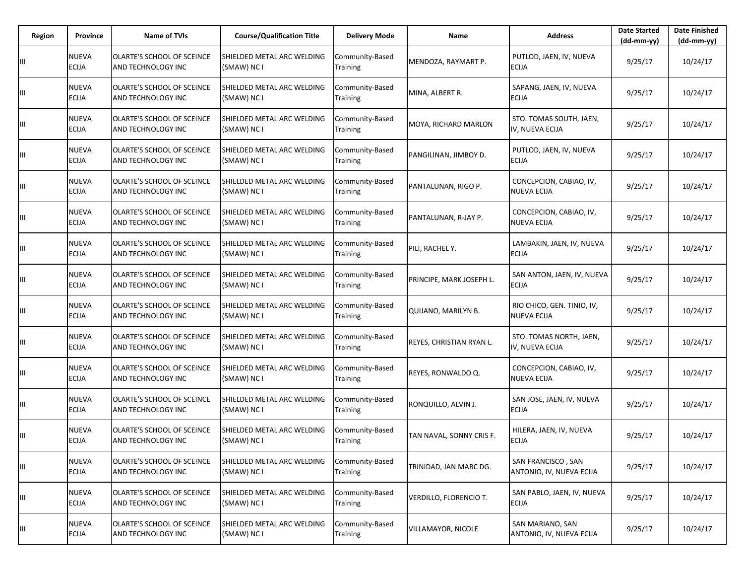| Region | <b>Province</b>              | <b>Name of TVIs</b>                              | <b>Course/Qualification Title</b>                | <b>Delivery Mode</b>               | <b>Name</b>               | <b>Address</b>                                   | <b>Date Started</b><br>$(dd-mm-yy)$ | <b>Date Finished</b><br>(dd-mm-yy) |
|--------|------------------------------|--------------------------------------------------|--------------------------------------------------|------------------------------------|---------------------------|--------------------------------------------------|-------------------------------------|------------------------------------|
| Ш      | NUEVA<br><b>ECIJA</b>        | OLARTE'S SCHOOL OF SCEINCE<br>AND TECHNOLOGY INC | <b>SHIELDED METAL ARC WELDING</b><br>(SMAW) NC I | Community-Based<br>Training        | MENDOZA, RAYMART P.       | PUTLOD, JAEN, IV, NUEVA<br><b>ECIJA</b>          | 9/25/17                             | 10/24/17                           |
| Ш      | NUEVA<br><b>ECIJA</b>        | OLARTE'S SCHOOL OF SCEINCE<br>AND TECHNOLOGY INC | SHIELDED METAL ARC WELDING<br>(SMAW) NC I        | Community-Based<br><b>Training</b> | MINA, ALBERT R.           | SAPANG, JAEN, IV, NUEVA<br><b>ECIJA</b>          | 9/25/17                             | 10/24/17                           |
| Ш      | NUEVA<br><b>ECIJA</b>        | OLARTE'S SCHOOL OF SCEINCE<br>AND TECHNOLOGY INC | SHIELDED METAL ARC WELDING<br>(SMAW) NC I        | Community-Based<br><b>Training</b> | MOYA, RICHARD MARLON      | STO. TOMAS SOUTH, JAEN,<br>IV, NUEVA ECIJA       | 9/25/17                             | 10/24/17                           |
| Ш      | NUEVA<br><b>ECIJA</b>        | OLARTE'S SCHOOL OF SCEINCE<br>AND TECHNOLOGY INC | SHIELDED METAL ARC WELDING<br>(SMAW) NC I        | Community-Based<br>Training        | PANGILINAN, JIMBOY D.     | PUTLOD, JAEN, IV, NUEVA<br><b>ECIJA</b>          | 9/25/17                             | 10/24/17                           |
| Ш      | NUEVA<br><b>ECIJA</b>        | OLARTE'S SCHOOL OF SCEINCE<br>AND TECHNOLOGY INC | <b>SHIELDED METAL ARC WELDING</b><br>(SMAW) NC I | Community-Based<br>Training        | PANTALUNAN, RIGO P.       | CONCEPCION, CABIAO, IV,<br><b>NUEVA ECIJA</b>    | 9/25/17                             | 10/24/17                           |
| Ш      | NUEVA<br>ECIJA               | OLARTE'S SCHOOL OF SCEINCE<br>AND TECHNOLOGY INC | SHIELDED METAL ARC WELDING<br>(SMAW) NC I        | Community-Based<br>Training        | PANTALUNAN, R-JAY P.      | CONCEPCION, CABIAO, IV,<br><b>NUEVA ECIJA</b>    | 9/25/17                             | 10/24/17                           |
| Ш      | NUEVA<br>ECIJA               | OLARTE'S SCHOOL OF SCEINCE<br>AND TECHNOLOGY INC | SHIELDED METAL ARC WELDING<br>(SMAW) NC I        | Community-Based<br><b>Training</b> | PILI, RACHEL Y.           | LAMBAKIN, JAEN, IV, NUEVA<br><b>ECIJA</b>        | 9/25/17                             | 10/24/17                           |
| Ш      | NUEVA<br>ECIJA               | OLARTE'S SCHOOL OF SCEINCE<br>AND TECHNOLOGY INC | SHIELDED METAL ARC WELDING<br>(SMAW) NC I        | Community-Based<br>Training        | PRINCIPE, MARK JOSEPH L.  | SAN ANTON, JAEN, IV, NUEVA<br><b>ECIJA</b>       | 9/25/17                             | 10/24/17                           |
| Ш      | NUEVA<br>ECIJA               | OLARTE'S SCHOOL OF SCEINCE<br>AND TECHNOLOGY INC | SHIELDED METAL ARC WELDING<br>(SMAW) NC I        | Community-Based<br>Training        | QUIJANO, MARILYN B.       | RIO CHICO, GEN. TINIO, IV,<br><b>NUEVA ECIJA</b> | 9/25/17                             | 10/24/17                           |
| Ш      | NUEVA<br><b>ECIJA</b>        | OLARTE'S SCHOOL OF SCEINCE<br>AND TECHNOLOGY INC | SHIELDED METAL ARC WELDING<br>(SMAW) NC I        | Community-Based<br>Training        | REYES, CHRISTIAN RYAN L.  | STO. TOMAS NORTH, JAEN,<br>IV, NUEVA ECIJA       | 9/25/17                             | 10/24/17                           |
| Ш      | NUEVA<br>ECIJA               | OLARTE'S SCHOOL OF SCEINCE<br>AND TECHNOLOGY INC | SHIELDED METAL ARC WELDING<br>(SMAW) NC I        | Community-Based<br><b>Training</b> | REYES, RONWALDO Q.        | CONCEPCION, CABIAO, IV,<br><b>NUEVA ECIJA</b>    | 9/25/17                             | 10/24/17                           |
| Ш      | NUEVA<br><b>ECIJA</b>        | OLARTE'S SCHOOL OF SCEINCE<br>AND TECHNOLOGY INC | SHIELDED METAL ARC WELDING<br>(SMAW) NC I        | Community-Based<br>Training        | RONQUILLO, ALVIN J.       | SAN JOSE, JAEN, IV, NUEVA<br><b>ECIJA</b>        | 9/25/17                             | 10/24/17                           |
| Ш      | NUEVA<br><b>ECIJA</b>        | OLARTE'S SCHOOL OF SCEINCE<br>AND TECHNOLOGY INC | SHIELDED METAL ARC WELDING<br>(SMAW) NC I        | Community-Based<br><b>Training</b> | TAN NAVAL, SONNY CRIS F.  | HILERA, JAEN, IV, NUEVA<br><b>ECIJA</b>          | 9/25/17                             | 10/24/17                           |
| Ш      | NUEVA<br><b>ECIJA</b>        | OLARTE'S SCHOOL OF SCEINCE<br>AND TECHNOLOGY INC | SHIELDED METAL ARC WELDING<br>(SMAW) NC I        | Community-Based<br>Training        | TRINIDAD, JAN MARC DG.    | SAN FRANCISCO, SAN<br>ANTONIO, IV, NUEVA ECIJA   | 9/25/17                             | 10/24/17                           |
| Ш      | <b>NUEVA</b><br><b>ECIJA</b> | OLARTE'S SCHOOL OF SCEINCE<br>AND TECHNOLOGY INC | SHIELDED METAL ARC WELDING<br>(SMAW) NC I        | Community-Based<br>Training        | VERDILLO, FLORENCIO T.    | SAN PABLO, JAEN, IV, NUEVA<br><b>ECIJA</b>       | 9/25/17                             | 10/24/17                           |
| Ш      | NUEVA<br><b>ECIJA</b>        | OLARTE'S SCHOOL OF SCEINCE<br>AND TECHNOLOGY INC | SHIELDED METAL ARC WELDING<br>(SMAW) NC I        | Community-Based<br>Training        | <b>VILLAMAYOR, NICOLE</b> | SAN MARIANO, SAN<br>ANTONIO, IV, NUEVA ECIJA     | 9/25/17                             | 10/24/17                           |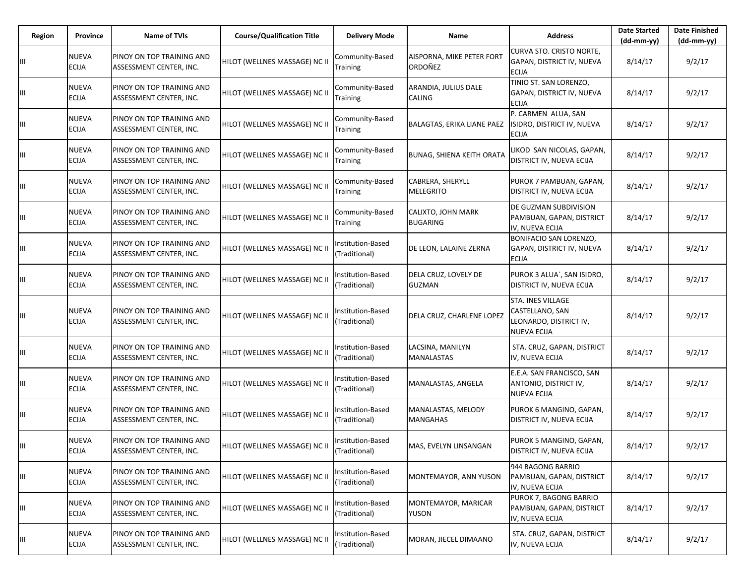| Region | Province                     | <b>Name of TVIs</b>                                  | <b>Course/Qualification Title</b> | <b>Delivery Mode</b>               | Name                                  | <b>Address</b>                                                                       | <b>Date Started</b><br>$(dd-mm-yy)$ | <b>Date Finished</b><br>(dd-mm-yy) |
|--------|------------------------------|------------------------------------------------------|-----------------------------------|------------------------------------|---------------------------------------|--------------------------------------------------------------------------------------|-------------------------------------|------------------------------------|
|        | NUEVA<br>ECIJA               | PINOY ON TOP TRAINING AND<br>ASSESSMENT CENTER, INC. | HILOT (WELLNES MASSAGE) NC II     | Community-Based<br>Training        | AISPORNA, MIKE PETER FORT<br>ORDOÑEZ  | CURVA STO. CRISTO NORTE,<br>GAPAN, DISTRICT IV, NUEVA<br><b>ECIJA</b>                | 8/14/17                             | 9/2/17                             |
| Ш      | <b>NUEVA</b><br><b>ECIJA</b> | PINOY ON TOP TRAINING AND<br>ASSESSMENT CENTER, INC. | HILOT (WELLNES MASSAGE) NC II     | Community-Based<br>Training        | ARANDIA, JULIUS DALE<br>CALING        | TINIO ST. SAN LORENZO,<br>GAPAN, DISTRICT IV, NUEVA<br><b>ECIJA</b>                  | 8/14/17                             | 9/2/17                             |
| Ш      | NUEVA<br><b>ECIJA</b>        | PINOY ON TOP TRAINING AND<br>ASSESSMENT CENTER, INC. | HILOT (WELLNES MASSAGE) NC II     | Community-Based<br>Training        | BALAGTAS, ERIKA LIANE PAEZ            | P. CARMEN ALUA, SAN<br>ISIDRO, DISTRICT IV, NUEVA<br><b>ECIJA</b>                    | 8/14/17                             | 9/2/17                             |
| Ш      | NUEVA<br>ECIJA               | PINOY ON TOP TRAINING AND<br>ASSESSMENT CENTER, INC. | HILOT (WELLNES MASSAGE) NC II     | Community-Based<br>Training        | <b>BUNAG, SHIENA KEITH ORATA</b>      | LIKOD SAN NICOLAS, GAPAN,<br>DISTRICT IV, NUEVA ECIJA                                | 8/14/17                             | 9/2/17                             |
| Ш      | NUEVA<br><b>ECIJA</b>        | PINOY ON TOP TRAINING AND<br>ASSESSMENT CENTER, INC. | HILOT (WELLNES MASSAGE) NC II     | Community-Based<br>Training        | CABRERA, SHERYLL<br><b>MELEGRITO</b>  | PUROK 7 PAMBUAN, GAPAN,<br>DISTRICT IV, NUEVA ECIJA                                  | 8/14/17                             | 9/2/17                             |
| Ш      | NUEVA<br>ECIJA               | PINOY ON TOP TRAINING AND<br>ASSESSMENT CENTER, INC. | HILOT (WELLNES MASSAGE) NC II     | Community-Based<br>Training        | CALIXTO, JOHN MARK<br><b>BUGARING</b> | DE GUZMAN SUBDIVISION<br>PAMBUAN, GAPAN, DISTRICT<br>IV, NUEVA ECIJA                 | 8/14/17                             | 9/2/17                             |
| Ш      | NUEVA<br>ECIJA               | PINOY ON TOP TRAINING AND<br>ASSESSMENT CENTER, INC. | HILOT (WELLNES MASSAGE) NC II     | nstitution-Based<br>(Traditional)  | DE LEON, LALAINE ZERNA                | BONIFACIO SAN LORENZO,<br>GAPAN, DISTRICT IV, NUEVA<br><b>ECIJA</b>                  | 8/14/17                             | 9/2/17                             |
| Ш      | NUEVA<br>ECIJA               | PINOY ON TOP TRAINING AND<br>ASSESSMENT CENTER, INC. | HILOT (WELLNES MASSAGE) NC II     | Institution-Based<br>(Traditional) | DELA CRUZ, LOVELY DE<br><b>GUZMAN</b> | PUROK 3 ALUA`, SAN ISIDRO,<br>DISTRICT IV, NUEVA ECIJA                               | 8/14/17                             | 9/2/17                             |
| Ш      | NUEVA<br><b>ECIJA</b>        | PINOY ON TOP TRAINING AND<br>ASSESSMENT CENTER, INC. | HILOT (WELLNES MASSAGE) NC II     | nstitution-Based<br>(Traditional)  | DELA CRUZ, CHARLENE LOPEZ             | STA. INES VILLAGE<br>CASTELLANO, SAN<br>LEONARDO, DISTRICT IV,<br><b>NUEVA ECIJA</b> | 8/14/17                             | 9/2/17                             |
| Ш      | <b>NUEVA</b><br>ECIJA        | PINOY ON TOP TRAINING AND<br>ASSESSMENT CENTER, INC. | HILOT (WELLNES MASSAGE) NC II     | Institution-Based<br>(Traditional) | LACSINA, MANILYN<br>MANALASTAS        | STA. CRUZ, GAPAN, DISTRICT<br>IV, NUEVA ECIJA                                        | 8/14/17                             | 9/2/17                             |
| Ш      | NUEVA<br><b>ECIJA</b>        | PINOY ON TOP TRAINING AND<br>ASSESSMENT CENTER, INC. | HILOT (WELLNES MASSAGE) NC II     | nstitution-Based<br>(Traditional)  | MANALASTAS, ANGELA                    | E.E.A. SAN FRANCISCO, SAN<br>ANTONIO, DISTRICT IV,<br><b>NUEVA ECIJA</b>             | 8/14/17                             | 9/2/17                             |
| Ш      | NUEVA<br>ECIJA               | PINOY ON TOP TRAINING AND<br>ASSESSMENT CENTER, INC. | HILOT (WELLNES MASSAGE) NC II     | nstitution-Based<br>(Traditional)  | MANALASTAS, MELODY<br><b>MANGAHAS</b> | PUROK 6 MANGINO, GAPAN,<br>DISTRICT IV, NUEVA ECIJA                                  | 8/14/17                             | 9/2/17                             |
|        | <b>NUEVA</b><br><b>ECIJA</b> | PINOY ON TOP TRAINING AND<br>ASSESSMENT CENTER, INC. | HILOT (WELLNES MASSAGE) NC II     | Institution-Based<br>(Traditional) | MAS, EVELYN LINSANGAN                 | PUROK 5 MANGINO, GAPAN,<br>DISTRICT IV, NUEVA ECIJA                                  | 8/14/17                             | 9/2/17                             |
| Ш      | <b>NUEVA</b><br>ECIJA        | PINOY ON TOP TRAINING AND<br>ASSESSMENT CENTER, INC. | HILOT (WELLNES MASSAGE) NC II     | Institution-Based<br>(Traditional) | MONTEMAYOR, ANN YUSON                 | 944 BAGONG BARRIO<br>PAMBUAN, GAPAN, DISTRICT<br>IV, NUEVA ECIJA                     | 8/14/17                             | 9/2/17                             |
| Ш      | NUEVA<br><b>ECIJA</b>        | PINOY ON TOP TRAINING AND<br>ASSESSMENT CENTER, INC. | HILOT (WELLNES MASSAGE) NC II     | Institution-Based<br>(Traditional) | MONTEMAYOR, MARICAR<br>YUSON          | PUROK 7, BAGONG BARRIO<br>PAMBUAN, GAPAN, DISTRICT<br>IV, NUEVA ECIJA                | 8/14/17                             | 9/2/17                             |
| Ш      | NUEVA<br>ECIJA               | PINOY ON TOP TRAINING AND<br>ASSESSMENT CENTER, INC. | HILOT (WELLNES MASSAGE) NC II     | Institution-Based<br>(Traditional) | MORAN, JIECEL DIMAANO                 | STA. CRUZ, GAPAN, DISTRICT<br>IV, NUEVA ECIJA                                        | 8/14/17                             | 9/2/17                             |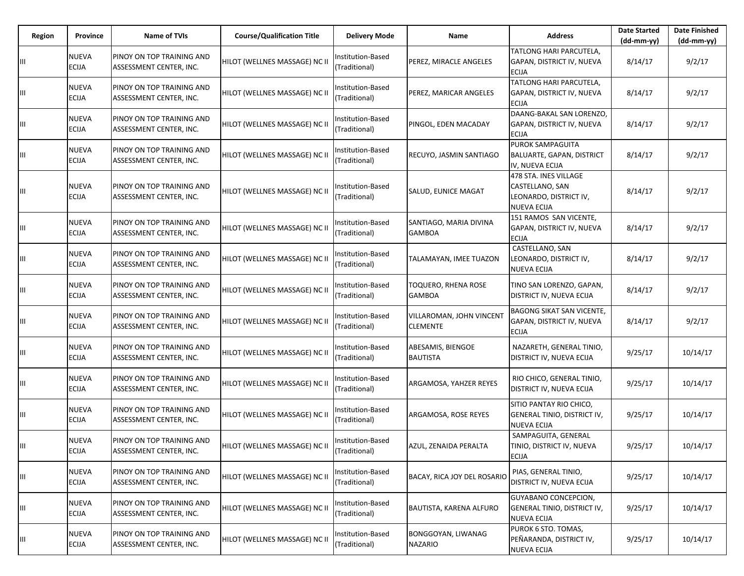| Region | Province                     | Name of TVIs                                         | <b>Course/Qualification Title</b> | <b>Delivery Mode</b>               | Name                                        | <b>Address</b>                                                                           | <b>Date Started</b><br>$(dd-mm-yy)$ | <b>Date Finished</b><br>(dd-mm-yy) |
|--------|------------------------------|------------------------------------------------------|-----------------------------------|------------------------------------|---------------------------------------------|------------------------------------------------------------------------------------------|-------------------------------------|------------------------------------|
| Ш      | NUEVA<br>ECIJA               | PINOY ON TOP TRAINING AND<br>ASSESSMENT CENTER, INC. | HILOT (WELLNES MASSAGE) NC II     | Institution-Based<br>(Traditional) | PEREZ, MIRACLE ANGELES                      | TATLONG HARI PARCUTELA,<br>GAPAN, DISTRICT IV, NUEVA<br><b>ECIJA</b>                     | 8/14/17                             | 9/2/17                             |
| Ш      | NUEVA<br><b>ECIJA</b>        | PINOY ON TOP TRAINING AND<br>ASSESSMENT CENTER, INC. | HILOT (WELLNES MASSAGE) NC II     | nstitution-Based<br>(Traditional)  | PEREZ, MARICAR ANGELES                      | TATLONG HARI PARCUTELA,<br>GAPAN, DISTRICT IV, NUEVA<br><b>ECIJA</b>                     | 8/14/17                             | 9/2/17                             |
| Ш      | NUEVA<br>ECIJA               | PINOY ON TOP TRAINING AND<br>ASSESSMENT CENTER, INC. | HILOT (WELLNES MASSAGE) NC II     | Institution-Based<br>(Traditional) | PINGOL, EDEN MACADAY                        | DAANG-BAKAL SAN LORENZO,<br>GAPAN, DISTRICT IV, NUEVA<br><b>ECIJA</b>                    | 8/14/17                             | 9/2/17                             |
| Ш      | NUEVA<br>ECIJA               | PINOY ON TOP TRAINING AND<br>ASSESSMENT CENTER, INC. | HILOT (WELLNES MASSAGE) NC II     | nstitution-Based<br>(Traditional)  | RECUYO, JASMIN SANTIAGO                     | PUROK SAMPAGUITA<br>BALUARTE, GAPAN, DISTRICT<br>IV, NUEVA ECIJA                         | 8/14/17                             | 9/2/17                             |
| Ш      | NUEVA<br>ECIJA               | PINOY ON TOP TRAINING AND<br>ASSESSMENT CENTER, INC. | HILOT (WELLNES MASSAGE) NC II     | Institution-Based<br>(Traditional) | SALUD, EUNICE MAGAT                         | 478 STA. INES VILLAGE<br>CASTELLANO, SAN<br>LEONARDO, DISTRICT IV,<br><b>NUEVA ECIJA</b> | 8/14/17                             | 9/2/17                             |
| Ш      | NUEVA<br>ECIJA               | PINOY ON TOP TRAINING AND<br>ASSESSMENT CENTER, INC. | HILOT (WELLNES MASSAGE) NC II     | nstitution-Based<br>(Traditional)  | SANTIAGO, MARIA DIVINA<br><b>GAMBOA</b>     | 151 RAMOS SAN VICENTE,<br>GAPAN, DISTRICT IV, NUEVA<br><b>ECIJA</b>                      | 8/14/17                             | 9/2/17                             |
| Ш      | NUEVA<br>ECIJA               | PINOY ON TOP TRAINING AND<br>ASSESSMENT CENTER, INC. | HILOT (WELLNES MASSAGE) NC II     | Institution-Based<br>(Traditional) | TALAMAYAN, IMEE TUAZON                      | CASTELLANO, SAN<br>LEONARDO, DISTRICT IV,<br><b>NUEVA ECIJA</b>                          | 8/14/17                             | 9/2/17                             |
| Ш      | NUEVA<br>ECIJA               | PINOY ON TOP TRAINING AND<br>ASSESSMENT CENTER, INC. | HILOT (WELLNES MASSAGE) NC II     | nstitution-Based<br>(Traditional)  | TOQUERO, RHENA ROSE<br><b>GAMBOA</b>        | TINO SAN LORENZO, GAPAN,<br>DISTRICT IV, NUEVA ECIJA                                     | 8/14/17                             | 9/2/17                             |
| Ш      | NUEVA<br>ECIJA               | PINOY ON TOP TRAINING AND<br>ASSESSMENT CENTER, INC. | HILOT (WELLNES MASSAGE) NC II     | Institution-Based<br>(Traditional) | VILLAROMAN, JOHN VINCENT<br><b>CLEMENTE</b> | <b>BAGONG SIKAT SAN VICENTE,</b><br>GAPAN, DISTRICT IV, NUEVA<br><b>ECIJA</b>            | 8/14/17                             | 9/2/17                             |
| Ш      | NUEVA<br><b>ECIJA</b>        | PINOY ON TOP TRAINING AND<br>ASSESSMENT CENTER, INC. | HILOT (WELLNES MASSAGE) NC II     | nstitution-Based<br>(Traditional)  | ABESAMIS, BIENGOE<br><b>BAUTISTA</b>        | NAZARETH, GENERAL TINIO,<br>DISTRICT IV, NUEVA ECIJA                                     | 9/25/17                             | 10/14/17                           |
| Ш      | NUEVA<br>ECIJA               | PINOY ON TOP TRAINING AND<br>ASSESSMENT CENTER, INC. | HILOT (WELLNES MASSAGE) NC II     | Institution-Based<br>(Traditional) | ARGAMOSA, YAHZER REYES                      | RIO CHICO, GENERAL TINIO,<br><b>DISTRICT IV, NUEVA ECIJA</b>                             | 9/25/17                             | 10/14/17                           |
| Ш      | NUEVA<br>ECIJA               | PINOY ON TOP TRAINING AND<br>ASSESSMENT CENTER, INC. | HILOT (WELLNES MASSAGE) NC II     | nstitution-Based<br>(Traditional)  | ARGAMOSA, ROSE REYES                        | SITIO PANTAY RIO CHICO,<br>GENERAL TINIO, DISTRICT IV,<br><b>NUEVA ECIJA</b>             | 9/25/17                             | 10/14/17                           |
|        | NUEVA<br><b>ECIJA</b>        | PINOY ON TOP TRAINING AND<br>ASSESSMENT CENTER, INC. | HILOT (WELLNES MASSAGE) NC II     | Institution-Based<br>(Traditional) | AZUL, ZENAIDA PERALTA                       | SAMPAGUITA, GENERAL<br>TINIO, DISTRICT IV, NUEVA<br><b>ECIJA</b>                         | 9/25/17                             | 10/14/17                           |
| Ш      | NUEVA<br><b>ECIJA</b>        | PINOY ON TOP TRAINING AND<br>ASSESSMENT CENTER, INC. | HILOT (WELLNES MASSAGE) NC II     | Institution-Based<br>(Traditional) | <b>BACAY, RICA JOY DEL ROSARIO</b>          | PIAS, GENERAL TINIO,<br>DISTRICT IV, NUEVA ECIJA                                         | 9/25/17                             | 10/14/17                           |
| Ш      | <b>NUEVA</b><br><b>ECIJA</b> | PINOY ON TOP TRAINING AND<br>ASSESSMENT CENTER, INC. | HILOT (WELLNES MASSAGE) NC II     | Institution-Based<br>(Traditional) | BAUTISTA, KARENA ALFURO                     | <b>GUYABANO CONCEPCION,</b><br>GENERAL TINIO, DISTRICT IV,<br><b>NUEVA ECIJA</b>         | 9/25/17                             | 10/14/17                           |
| Ш      | <b>NUEVA</b><br><b>ECIJA</b> | PINOY ON TOP TRAINING AND<br>ASSESSMENT CENTER, INC. | HILOT (WELLNES MASSAGE) NC II     | Institution-Based<br>(Traditional) | BONGGOYAN, LIWANAG<br><b>NAZARIO</b>        | PUROK 6 STO. TOMAS,<br>PEÑARANDA, DISTRICT IV,<br><b>NUEVA ECIJA</b>                     | 9/25/17                             | 10/14/17                           |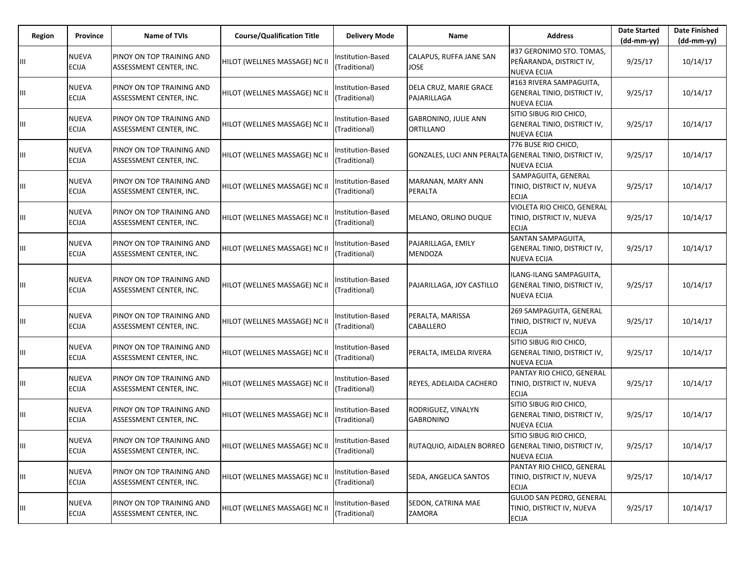| Region | Province                     | Name of TVIs                                         | <b>Course/Qualification Title</b> | <b>Delivery Mode</b>               | Name                                                   | <b>Address</b>                                                               | <b>Date Started</b><br>$(dd-mm-yy)$ | <b>Date Finished</b><br>$(dd-mm-yy)$ |
|--------|------------------------------|------------------------------------------------------|-----------------------------------|------------------------------------|--------------------------------------------------------|------------------------------------------------------------------------------|-------------------------------------|--------------------------------------|
|        | NUEVA<br>ECIJA               | PINOY ON TOP TRAINING AND<br>ASSESSMENT CENTER, INC. | HILOT (WELLNES MASSAGE) NC II     | Institution-Based<br>(Traditional) | CALAPUS, RUFFA JANE SAN<br>JOSE                        | #37 GERONIMO STO. TOMAS,<br>PEÑARANDA, DISTRICT IV,<br><b>NUEVA ECIJA</b>    | 9/25/17                             | 10/14/17                             |
| Ш      | NUEVA<br>ECIJA               | PINOY ON TOP TRAINING AND<br>ASSESSMENT CENTER, INC. | HILOT (WELLNES MASSAGE) NC II     | nstitution-Based<br>(Traditional)  | DELA CRUZ, MARIE GRACE<br>PAJARILLAGA                  | #163 RIVERA SAMPAGUITA,<br>GENERAL TINIO, DISTRICT IV,<br><b>NUEVA ECIJA</b> | 9/25/17                             | 10/14/17                             |
| Ш      | NUEVA<br><b>ECIJA</b>        | PINOY ON TOP TRAINING AND<br>ASSESSMENT CENTER, INC. | HILOT (WELLNES MASSAGE) NC II     | Institution-Based<br>(Traditional) | <b>GABRONINO, JULIE ANN</b><br><b>ORTILLANO</b>        | SITIO SIBUG RIO CHICO,<br>GENERAL TINIO, DISTRICT IV,<br><b>NUEVA ECIJA</b>  | 9/25/17                             | 10/14/17                             |
| Ш      | NUEVA<br>ECIJA               | PINOY ON TOP TRAINING AND<br>ASSESSMENT CENTER, INC. | HILOT (WELLNES MASSAGE) NC II     | Institution-Based<br>(Traditional) | GONZALES, LUCI ANN PERALTA GENERAL TINIO, DISTRICT IV, | 776 BUSE RIO CHICO,<br><b>NUEVA ECIJA</b>                                    | 9/25/17                             | 10/14/17                             |
| Ш      | NUEVA<br>ECIJA               | PINOY ON TOP TRAINING AND<br>ASSESSMENT CENTER, INC. | HILOT (WELLNES MASSAGE) NC II     | Institution-Based<br>(Traditional) | MARANAN, MARY ANN<br>PERALTA                           | SAMPAGUITA, GENERAL<br>TINIO, DISTRICT IV, NUEVA<br><b>ECIJA</b>             | 9/25/17                             | 10/14/17                             |
| Ш      | NUEVA<br>ECIJA               | PINOY ON TOP TRAINING AND<br>ASSESSMENT CENTER, INC. | HILOT (WELLNES MASSAGE) NC II     | Institution-Based<br>(Traditional) | MELANO, ORLINO DUQUE                                   | VIOLETA RIO CHICO, GENERAL<br>TINIO, DISTRICT IV, NUEVA<br><b>ECIJA</b>      | 9/25/17                             | 10/14/17                             |
| Ш      | NUEVA<br>ECIJA               | PINOY ON TOP TRAINING AND<br>ASSESSMENT CENTER, INC. | HILOT (WELLNES MASSAGE) NC II     | Institution-Based<br>(Traditional) | PAJARILLAGA, EMILY<br><b>MENDOZA</b>                   | SANTAN SAMPAGUITA,<br>GENERAL TINIO, DISTRICT IV,<br><b>NUEVA ECIJA</b>      | 9/25/17                             | 10/14/17                             |
| Ш      | NUEVA<br><b>ECIJA</b>        | PINOY ON TOP TRAINING AND<br>ASSESSMENT CENTER, INC. | HILOT (WELLNES MASSAGE) NC II     | nstitution-Based<br>(Traditional)  | PAJARILLAGA, JOY CASTILLO                              | ILANG-ILANG SAMPAGUITA,<br>GENERAL TINIO, DISTRICT IV,<br><b>NUEVA ECIJA</b> | 9/25/17                             | 10/14/17                             |
| Ш      | NUEVA<br>ECIJA               | PINOY ON TOP TRAINING AND<br>ASSESSMENT CENTER, INC. | HILOT (WELLNES MASSAGE) NC II     | Institution-Based<br>(Traditional) | PERALTA, MARISSA<br>CABALLERO                          | 269 SAMPAGUITA, GENERAL<br>TINIO, DISTRICT IV, NUEVA<br><b>ECIJA</b>         | 9/25/17                             | 10/14/17                             |
| Ш      | NUEVA<br>ECIJA               | PINOY ON TOP TRAINING AND<br>ASSESSMENT CENTER, INC. | HILOT (WELLNES MASSAGE) NC II     | nstitution-Based<br>(Traditional)  | PERALTA, IMELDA RIVERA                                 | SITIO SIBUG RIO CHICO,<br>GENERAL TINIO, DISTRICT IV,<br><b>NUEVA ECIJA</b>  | 9/25/17                             | 10/14/17                             |
| Ш      | NUEVA<br>ECIJA               | PINOY ON TOP TRAINING AND<br>ASSESSMENT CENTER, INC. | HILOT (WELLNES MASSAGE) NC II     | Institution-Based<br>(Traditional) | REYES, ADELAIDA CACHERO                                | PANTAY RIO CHICO, GENERAL<br>TINIO, DISTRICT IV, NUEVA<br><b>ECIJA</b>       | 9/25/17                             | 10/14/17                             |
| Ш      | NUEVA<br><b>ECIJA</b>        | PINOY ON TOP TRAINING AND<br>ASSESSMENT CENTER, INC. | HILOT (WELLNES MASSAGE) NC II     | Institution-Based<br>(Traditional) | RODRIGUEZ, VINALYN<br><b>GABRONINO</b>                 | SITIO SIBUG RIO CHICO,<br>GENERAL TINIO, DISTRICT IV,<br><b>NUEVA ECIJA</b>  | 9/25/17                             | 10/14/17                             |
|        | <b>NUEVA</b><br><b>ECIJA</b> | PINOY ON TOP TRAINING AND<br>ASSESSMENT CENTER, INC. | HILOT (WELLNES MASSAGE) NC II     | Institution-Based<br>(Traditional) | RUTAQUIO, AIDALEN BORREO GENERAL TINIO, DISTRICT IV,   | SITIO SIBUG RIO CHICO,<br><b>NUEVA ECIJA</b>                                 | 9/25/17                             | 10/14/17                             |
| Ш      | NUEVA<br>ECIJA               | PINOY ON TOP TRAINING AND<br>ASSESSMENT CENTER, INC. | HILOT (WELLNES MASSAGE) NC II     | Institution-Based<br>(Traditional) | SEDA, ANGELICA SANTOS                                  | PANTAY RIO CHICO, GENERAL<br>TINIO, DISTRICT IV, NUEVA<br><b>ECIJA</b>       | 9/25/17                             | 10/14/17                             |
| Ш      | <b>NUEVA</b><br>ECIJA        | PINOY ON TOP TRAINING AND<br>ASSESSMENT CENTER, INC. | HILOT (WELLNES MASSAGE) NC II     | Institution-Based<br>(Traditional) | SEDON, CATRINA MAE<br>ZAMORA                           | GULOD SAN PEDRO, GENERAL<br>TINIO, DISTRICT IV, NUEVA<br><b>ECIJA</b>        | 9/25/17                             | 10/14/17                             |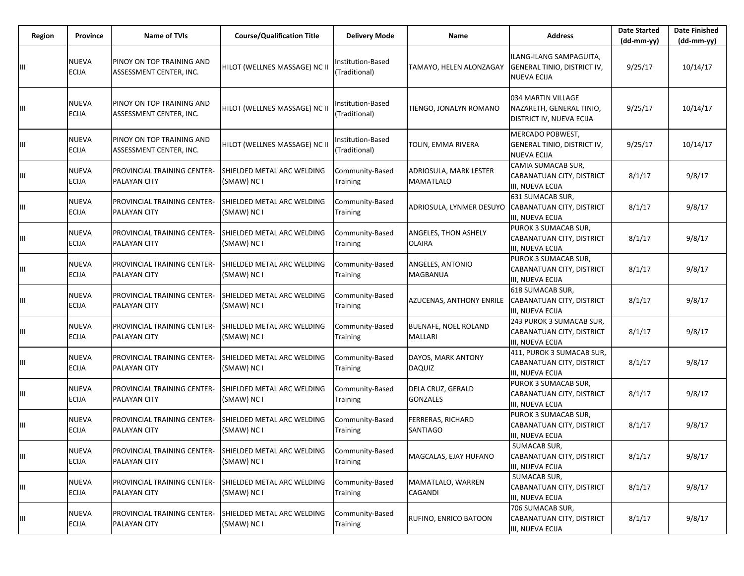| Region | Province                     | <b>Name of TVIs</b>                                  | <b>Course/Qualification Title</b>         | <b>Delivery Mode</b>               | Name                                          | <b>Address</b>                                                                      | <b>Date Started</b><br>(dd-mm-yy) | <b>Date Finished</b><br>(dd-mm-yy) |
|--------|------------------------------|------------------------------------------------------|-------------------------------------------|------------------------------------|-----------------------------------------------|-------------------------------------------------------------------------------------|-----------------------------------|------------------------------------|
| Ш      | <b>NUEVA</b><br><b>ECIJA</b> | PINOY ON TOP TRAINING AND<br>ASSESSMENT CENTER, INC. | HILOT (WELLNES MASSAGE) NC II             | Institution-Based<br>(Traditional) | TAMAYO, HELEN ALONZAGAY                       | ILANG-ILANG SAMPAGUITA,<br><b>GENERAL TINIO, DISTRICT IV,</b><br><b>NUEVA ECIJA</b> | 9/25/17                           | 10/14/17                           |
| Ш      | <b>NUEVA</b><br><b>ECIJA</b> | PINOY ON TOP TRAINING AND<br>ASSESSMENT CENTER, INC. | HILOT (WELLNES MASSAGE) NC II             | Institution-Based<br>(Traditional) | TIENGO, JONALYN ROMANO                        | 034 MARTIN VILLAGE<br>NAZARETH, GENERAL TINIO,<br>DISTRICT IV, NUEVA ECIJA          | 9/25/17                           | 10/14/17                           |
| Ш      | <b>NUEVA</b><br><b>ECIJA</b> | PINOY ON TOP TRAINING AND<br>ASSESSMENT CENTER, INC. | HILOT (WELLNES MASSAGE) NC II             | Institution-Based<br>(Traditional) | TOLIN, EMMA RIVERA                            | MERCADO POBWEST,<br>GENERAL TINIO, DISTRICT IV,<br><b>NUEVA ECIJA</b>               | 9/25/17                           | 10/14/17                           |
| Ш      | <b>NUEVA</b><br><b>ECIJA</b> | PROVINCIAL TRAINING CENTER-<br>PALAYAN CITY          | SHIELDED METAL ARC WELDING<br>(SMAW) NC I | Community-Based<br>Training        | ADRIOSULA, MARK LESTER<br>MAMATLALO           | CAMIA SUMACAB SUR,<br>CABANATUAN CITY, DISTRICT<br>III, NUEVA ECIJA                 | 8/1/17                            | 9/8/17                             |
| Ш      | <b>NUEVA</b><br><b>ECIJA</b> | PROVINCIAL TRAINING CENTER-<br>PALAYAN CITY          | SHIELDED METAL ARC WELDING<br>(SMAW) NC I | Community-Based<br>Training        | ADRIOSULA, LYNMER DESUYO                      | 631 SUMACAB SUR,<br>CABANATUAN CITY, DISTRICT<br>III, NUEVA ECIJA                   | 8/1/17                            | 9/8/17                             |
| Ш      | NUEVA<br><b>ECIJA</b>        | PROVINCIAL TRAINING CENTER-<br>PALAYAN CITY          | SHIELDED METAL ARC WELDING<br>(SMAW) NC I | Community-Based<br><b>Training</b> | ANGELES, THON ASHELY<br><b>OLAIRA</b>         | PUROK 3 SUMACAB SUR,<br>CABANATUAN CITY, DISTRICT<br>III, NUEVA ECIJA               | 8/1/17                            | 9/8/17                             |
| Ш      | <b>NUEVA</b><br><b>ECIJA</b> | PROVINCIAL TRAINING CENTER-<br><b>PALAYAN CITY</b>   | SHIELDED METAL ARC WELDING<br>(SMAW) NC I | Community-Based<br><b>Training</b> | ANGELES, ANTONIO<br><b>MAGBANUA</b>           | PUROK 3 SUMACAB SUR,<br>CABANATUAN CITY, DISTRICT<br>III, NUEVA ECIJA               | 8/1/17                            | 9/8/17                             |
| Ш      | <b>NUEVA</b><br><b>ECIJA</b> | PROVINCIAL TRAINING CENTER-<br><b>PALAYAN CITY</b>   | SHIELDED METAL ARC WELDING<br>(SMAW) NC I | Community-Based<br>Training        | AZUCENAS, ANTHONY ENRILE                      | 618 SUMACAB SUR,<br>CABANATUAN CITY, DISTRICT<br>III, NUEVA ECIJA                   | 8/1/17                            | 9/8/17                             |
| Ш      | <b>NUEVA</b><br><b>ECIJA</b> | PROVINCIAL TRAINING CENTER-<br>PALAYAN CITY          | SHIELDED METAL ARC WELDING<br>(SMAW) NC I | Community-Based<br><b>Training</b> | <b>BUENAFE, NOEL ROLAND</b><br><b>MALLARI</b> | 243 PUROK 3 SUMACAB SUR,<br>CABANATUAN CITY, DISTRICT<br>III, NUEVA ECIJA           | 8/1/17                            | 9/8/17                             |
| Ш      | NUEVA<br><b>ECIJA</b>        | PROVINCIAL TRAINING CENTER-<br>PALAYAN CITY          | SHIELDED METAL ARC WELDING<br>(SMAW) NC I | Community-Based<br><b>Training</b> | DAYOS, MARK ANTONY<br><b>DAQUIZ</b>           | 411, PUROK 3 SUMACAB SUR,<br>CABANATUAN CITY, DISTRICT<br>III, NUEVA ECIJA          | 8/1/17                            | 9/8/17                             |
| Ш      | <b>NUEVA</b><br><b>ECIJA</b> | PROVINCIAL TRAINING CENTER-<br>PALAYAN CITY          | SHIELDED METAL ARC WELDING<br>(SMAW) NC I | Community-Based<br><b>Training</b> | DELA CRUZ, GERALD<br><b>GONZALES</b>          | PUROK 3 SUMACAB SUR,<br>CABANATUAN CITY, DISTRICT<br>III, NUEVA ECIJA               | 8/1/17                            | 9/8/17                             |
| Ш      | <b>NUEVA</b><br><b>ECIJA</b> | <b>PROVINCIAL TRAINING CENTER-</b><br>PALAYAN CITY   | SHIELDED METAL ARC WELDING<br>(SMAW) NC I | Community-Based<br><b>Training</b> | <b>FERRERAS, RICHARD</b><br>SANTIAGO          | PUROK 3 SUMACAB SUR,<br>CABANATUAN CITY, DISTRICT<br>III, NUEVA ECIJA               | 8/1/17                            | 9/8/17                             |
| Ш      | <b>NUEVA</b><br>ECIJA        | <b>PROVINCIAL TRAINING CENTER-</b><br>PALAYAN CITY   | SHIELDED METAL ARC WELDING<br>(SMAW) NC I | Community-Based<br>Training        | MAGCALAS, EJAY HUFANO                         | SUMACAB SUR,<br>CABANATUAN CITY, DISTRICT<br>III, NUEVA ECIJA                       | 8/1/17                            | 9/8/17                             |
| Ш      | NUEVA<br>ECIJA               | PROVINCIAL TRAINING CENTER-<br>PALAYAN CITY          | SHIELDED METAL ARC WELDING<br>(SMAW) NC I | Community-Based<br>Training        | MAMATLALO, WARREN<br>CAGANDI                  | SUMACAB SUR,<br>CABANATUAN CITY, DISTRICT<br>III, NUEVA ECIJA                       | 8/1/17                            | 9/8/17                             |
| Ш      | <b>NUEVA</b><br>ECIJA        | PROVINCIAL TRAINING CENTER-<br><b>PALAYAN CITY</b>   | SHIELDED METAL ARC WELDING<br>(SMAW) NC I | Community-Based<br>Training        | RUFINO, ENRICO BATOON                         | 706 SUMACAB SUR,<br>CABANATUAN CITY, DISTRICT<br>III, NUEVA ECIJA                   | 8/1/17                            | 9/8/17                             |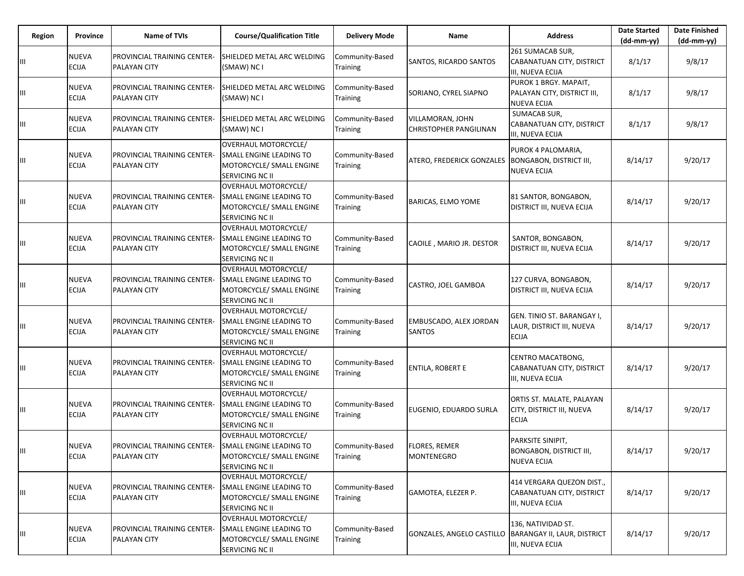| Region | Province                     | <b>Name of TVIs</b>                                | <b>Course/Qualification Title</b>                                                                     | <b>Delivery Mode</b>               | Name                                              | <b>Address</b>                                                             | <b>Date Started</b><br>$(dd-mm-vv)$ | <b>Date Finished</b><br>$(dd-mm-yy)$ |
|--------|------------------------------|----------------------------------------------------|-------------------------------------------------------------------------------------------------------|------------------------------------|---------------------------------------------------|----------------------------------------------------------------------------|-------------------------------------|--------------------------------------|
|        | <b>NUEVA</b><br><b>ECIJA</b> | PROVINCIAL TRAINING CENTER-<br>PALAYAN CITY        | SHIELDED METAL ARC WELDING<br>(SMAW) NC I                                                             | Community-Based<br><b>Training</b> | SANTOS, RICARDO SANTOS                            | 261 SUMACAB SUR,<br>CABANATUAN CITY, DISTRICT<br>III, NUEVA ECIJA          | 8/1/17                              | 9/8/17                               |
| Ш      | <b>NUEVA</b><br><b>ECIJA</b> | PROVINCIAL TRAINING CENTER-<br>PALAYAN CITY        | SHIELDED METAL ARC WELDING<br>(SMAW) NC I                                                             | Community-Based<br>Training        | SORIANO, CYREL SIAPNO                             | PUROK 1 BRGY. MAPAIT,<br>PALAYAN CITY, DISTRICT III,<br><b>NUEVA ECIJA</b> | 8/1/17                              | 9/8/17                               |
| Ш      | NUEVA<br><b>ECIJA</b>        | PROVINCIAL TRAINING CENTER-<br>PALAYAN CITY        | SHIELDED METAL ARC WELDING<br>(SMAW) NC I                                                             | Community-Based<br>Training        | VILLAMORAN, JOHN<br><b>CHRISTOPHER PANGILINAN</b> | SUMACAB SUR,<br>CABANATUAN CITY, DISTRICT<br>III, NUEVA ECIJA              | 8/1/17                              | 9/8/17                               |
| Ш      | NUEVA<br><b>ECIJA</b>        | PROVINCIAL TRAINING CENTER-<br>PALAYAN CITY        | OVERHAUL MOTORCYCLE/<br>SMALL ENGINE LEADING TO<br>MOTORCYCLE/ SMALL ENGINE<br>SERVICING NC II        | Community-Based<br><b>Training</b> | ATERO, FREDERICK GONZALES                         | PUROK 4 PALOMARIA,<br><b>BONGABON, DISTRICT III,</b><br><b>NUEVA ECIJA</b> | 8/14/17                             | 9/20/17                              |
| Ш      | <b>NUEVA</b><br><b>ECIJA</b> | PROVINCIAL TRAINING CENTER-<br><b>PALAYAN CITY</b> | <b>OVERHAUL MOTORCYCLE/</b><br>SMALL ENGINE LEADING TO<br>MOTORCYCLE/ SMALL ENGINE<br>SERVICING NC II | Community-Based<br>Training        | BARICAS, ELMO YOME                                | 81 SANTOR, BONGABON,<br>DISTRICT III, NUEVA ECIJA                          | 8/14/17                             | 9/20/17                              |
| Ш      | NUEVA<br><b>ECIJA</b>        | PROVINCIAL TRAINING CENTER-<br><b>PALAYAN CITY</b> | OVERHAUL MOTORCYCLE/<br>SMALL ENGINE LEADING TO<br>MOTORCYCLE/ SMALL ENGINE<br>SERVICING NC II        | Community-Based<br>Training        | CAOILE, MARIO JR. DESTOR                          | SANTOR, BONGABON,<br>DISTRICT III, NUEVA ECIJA                             | 8/14/17                             | 9/20/17                              |
| Ш      | <b>NUEVA</b><br><b>ECIJA</b> | PROVINCIAL TRAINING CENTER-<br>PALAYAN CITY        | <b>OVERHAUL MOTORCYCLE/</b><br>SMALL ENGINE LEADING TO<br>MOTORCYCLE/ SMALL ENGINE<br>SERVICING NC II | Community-Based<br>Training        | CASTRO, JOEL GAMBOA                               | 127 CURVA, BONGABON,<br>DISTRICT III, NUEVA ECIJA                          | 8/14/17                             | 9/20/17                              |
| Ш      | <b>NUEVA</b><br>ECIJA        | PROVINCIAL TRAINING CENTER-<br><b>PALAYAN CITY</b> | <b>OVERHAUL MOTORCYCLE/</b><br>SMALL ENGINE LEADING TO<br>MOTORCYCLE/ SMALL ENGINE<br>SERVICING NC II | Community-Based<br>Training        | EMBUSCADO, ALEX JORDAN<br><b>SANTOS</b>           | GEN. TINIO ST. BARANGAY I,<br>LAUR, DISTRICT III, NUEVA<br><b>ECIJA</b>    | 8/14/17                             | 9/20/17                              |
| Ш      | <b>NUEVA</b><br><b>ECIJA</b> | PROVINCIAL TRAINING CENTER-<br><b>PALAYAN CITY</b> | OVERHAUL MOTORCYCLE/<br>SMALL ENGINE LEADING TO<br>MOTORCYCLE/ SMALL ENGINE<br>SERVICING NC II        | Community-Based<br>Training        | ENTILA, ROBERT E                                  | CENTRO MACATBONG,<br>CABANATUAN CITY, DISTRICT<br>III, NUEVA ECIJA         | 8/14/17                             | 9/20/17                              |
| Ш      | <b>NUEVA</b><br><b>ECIJA</b> | PROVINCIAL TRAINING CENTER-<br>PALAYAN CITY        | OVERHAUL MOTORCYCLE/<br>SMALL ENGINE LEADING TO<br>MOTORCYCLE/ SMALL ENGINE<br>SERVICING NC II        | Community-Based<br>Training        | EUGENIO, EDUARDO SURLA                            | ORTIS ST. MALATE, PALAYAN<br>CITY, DISTRICT III, NUEVA<br><b>ECIJA</b>     | 8/14/17                             | 9/20/17                              |
| ШL     | <b>NUEVA</b><br><b>ECIJA</b> | PROVINCIAL TRAINING CENTER-<br>PALAYAN CITY        | <b>OVERHAUL MOTORCYCLE/</b><br>SMALL ENGINE LEADING TO<br>MOTORCYCLE/ SMALL ENGINE<br>SERVICING NC II | Community-Based<br>Training        | <b>FLORES, REMER</b><br><b>MONTENEGRO</b>         | PARKSITE SINIPIT,<br><b>BONGABON, DISTRICT III,</b><br><b>NUEVA ECIJA</b>  | 8/14/17                             | 9/20/17                              |
| Ш      | NUEVA<br><b>ECIJA</b>        | PROVINCIAL TRAINING CENTER-<br>PALAYAN CITY        | OVERHAUL MOTORCYCLE/<br>SMALL ENGINE LEADING TO<br>MOTORCYCLE/ SMALL ENGINE<br>SERVICING NC II        | Community-Based<br>Training        | GAMOTEA, ELEZER P.                                | 414 VERGARA QUEZON DIST.,<br>CABANATUAN CITY, DISTRICT<br>III, NUEVA ECIJA | 8/14/17                             | 9/20/17                              |
| Ш      | <b>NUEVA</b><br>ECIJA        | PROVINCIAL TRAINING CENTER-<br>PALAYAN CITY        | OVERHAUL MOTORCYCLE/<br>SMALL ENGINE LEADING TO<br>MOTORCYCLE/ SMALL ENGINE<br>SERVICING NC II        | Community-Based<br>Training        | GONZALES, ANGELO CASTILLO                         | 136, NATIVIDAD ST.<br>BARANGAY II, LAUR, DISTRICT<br>III, NUEVA ECIJA      | 8/14/17                             | 9/20/17                              |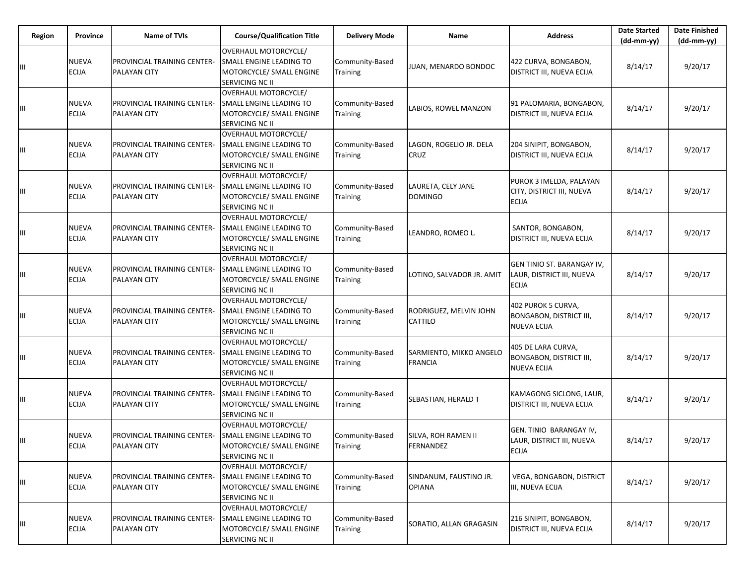| Region | Province                     | <b>Name of TVIs</b>                                       | <b>Course/Qualification Title</b>                                                                     | <b>Delivery Mode</b>               | Name                                      | <b>Address</b>                                                             | <b>Date Started</b><br>$(dd-mm-yy)$ | <b>Date Finished</b><br>$(dd-mm-vv)$ |
|--------|------------------------------|-----------------------------------------------------------|-------------------------------------------------------------------------------------------------------|------------------------------------|-------------------------------------------|----------------------------------------------------------------------------|-------------------------------------|--------------------------------------|
| Ш      | NUEVA<br>ECIJA               | PROVINCIAL TRAINING CENTER-<br><b>PALAYAN CITY</b>        | OVERHAUL MOTORCYCLE/<br>SMALL ENGINE LEADING TO<br>MOTORCYCLE/ SMALL ENGINE<br>SERVICING NC II        | Community-Based<br>Training        | JUAN, MENARDO BONDOC                      | 422 CURVA, BONGABON,<br>DISTRICT III, NUEVA ECIJA                          | 8/14/17                             | 9/20/17                              |
| Ш      | <b>NUEVA</b><br><b>ECIJA</b> | PROVINCIAL TRAINING CENTER-<br><b>PALAYAN CITY</b>        | OVERHAUL MOTORCYCLE/<br>SMALL ENGINE LEADING TO<br>MOTORCYCLE/ SMALL ENGINE<br>SERVICING NC II        | Community-Based<br><b>Training</b> | LABIOS, ROWEL MANZON                      | 91 PALOMARIA, BONGABON,<br><b>DISTRICT III, NUEVA ECIJA</b>                | 8/14/17                             | 9/20/17                              |
| Ш      | <b>NUEVA</b><br><b>ECIJA</b> | <b>PROVINCIAL TRAINING CENTER-</b><br><b>PALAYAN CITY</b> | OVERHAUL MOTORCYCLE/<br>SMALL ENGINE LEADING TO<br>MOTORCYCLE/ SMALL ENGINE<br>SERVICING NC II        | Community-Based<br>Training        | LAGON, ROGELIO JR. DELA<br><b>CRUZ</b>    | 204 SINIPIT, BONGABON,<br>DISTRICT III, NUEVA ECIJA                        | 8/14/17                             | 9/20/17                              |
| Ш      | <b>NUEVA</b><br><b>ECIJA</b> | PROVINCIAL TRAINING CENTER-<br><b>PALAYAN CITY</b>        | <b>OVERHAUL MOTORCYCLE/</b><br>SMALL ENGINE LEADING TO<br>MOTORCYCLE/ SMALL ENGINE<br>SERVICING NC II | Community-Based<br><b>Training</b> | LAURETA, CELY JANE<br><b>DOMINGO</b>      | PUROK 3 IMELDA, PALAYAN<br>CITY, DISTRICT III, NUEVA<br><b>ECIJA</b>       | 8/14/17                             | 9/20/17                              |
| Ш      | <b>NUEVA</b><br><b>ECIJA</b> | PROVINCIAL TRAINING CENTER-<br>PALAYAN CITY               | OVERHAUL MOTORCYCLE/<br>SMALL ENGINE LEADING TO<br>MOTORCYCLE/ SMALL ENGINE<br>SERVICING NC II        | Community-Based<br><b>Training</b> | LEANDRO, ROMEO L.                         | SANTOR, BONGABON,<br>DISTRICT III, NUEVA ECIJA                             | 8/14/17                             | 9/20/17                              |
| Ш      | <b>NUEVA</b><br><b>ECIJA</b> | PROVINCIAL TRAINING CENTER-<br><b>PALAYAN CITY</b>        | <b>OVERHAUL MOTORCYCLE/</b><br>SMALL ENGINE LEADING TO<br>MOTORCYCLE/ SMALL ENGINE<br>SERVICING NC II | Community-Based<br><b>Training</b> | LOTINO, SALVADOR JR. AMIT                 | GEN TINIO ST. BARANGAY IV,<br>LAUR, DISTRICT III, NUEVA<br><b>ECIJA</b>    | 8/14/17                             | 9/20/17                              |
| Ш      | <b>NUEVA</b><br><b>ECIJA</b> | PROVINCIAL TRAINING CENTER-<br><b>PALAYAN CITY</b>        | OVERHAUL MOTORCYCLE/<br>SMALL ENGINE LEADING TO<br>MOTORCYCLE/ SMALL ENGINE<br>SERVICING NC II        | Community-Based<br>Training        | RODRIGUEZ, MELVIN JOHN<br>CATTILO         | 402 PUROK 5 CURVA,<br><b>BONGABON, DISTRICT III,</b><br><b>NUEVA ECIJA</b> | 8/14/17                             | 9/20/17                              |
| Ш      | NUEVA<br>ECIJA               | PROVINCIAL TRAINING CENTER-<br>PALAYAN CITY               | <b>OVERHAUL MOTORCYCLE/</b><br>SMALL ENGINE LEADING TO<br>MOTORCYCLE/ SMALL ENGINE<br>SERVICING NC II | Community-Based<br>Training        | SARMIENTO, MIKKO ANGELO<br><b>FRANCIA</b> | 405 DE LARA CURVA,<br><b>BONGABON, DISTRICT III,</b><br><b>NUEVA ECIJA</b> | 8/14/17                             | 9/20/17                              |
| Ш      | <b>NUEVA</b><br><b>ECIJA</b> | PROVINCIAL TRAINING CENTER-<br>PALAYAN CITY               | OVERHAUL MOTORCYCLE/<br>SMALL ENGINE LEADING TO<br>MOTORCYCLE/ SMALL ENGINE<br>SERVICING NC II        | Community-Based<br>Training        | SEBASTIAN, HERALD T                       | KAMAGONG SICLONG, LAUR,<br>DISTRICT III, NUEVA ECIJA                       | 8/14/17                             | 9/20/17                              |
| Ш      | NUEVA<br><b>ECIJA</b>        | PROVINCIAL TRAINING CENTER-<br>PALAYAN CITY               | <b>OVERHAUL MOTORCYCLE/</b><br>SMALL ENGINE LEADING TO<br>MOTORCYCLE/ SMALL ENGINE<br>SERVICING NC II | Community-Based<br>Training        | SILVA, ROH RAMEN II<br>FERNANDEZ          | GEN. TINIO BARANGAY IV,<br>LAUR, DISTRICT III, NUEVA<br><b>ECIJA</b>       | 8/14/17                             | 9/20/17                              |
| Ш      | NUEVA<br><b>ECIJA</b>        | PROVINCIAL TRAINING CENTER-<br>PALAYAN CITY               | OVERHAUL MOTORCYCLE/<br>SMALL ENGINE LEADING TO<br>MOTORCYCLE/ SMALL ENGINE<br>SERVICING NC II        | Community-Based<br>Training        | SINDANUM, FAUSTINO JR.<br><b>OPIANA</b>   | VEGA, BONGABON, DISTRICT<br>III, NUEVA ECIJA                               | 8/14/17                             | 9/20/17                              |
| Ш      | <b>NUEVA</b><br><b>ECIJA</b> | PROVINCIAL TRAINING CENTER-<br>PALAYAN CITY               | <b>OVERHAUL MOTORCYCLE/</b><br>SMALL ENGINE LEADING TO<br>MOTORCYCLE/ SMALL ENGINE<br>SERVICING NC II | Community-Based<br>Training        | SORATIO, ALLAN GRAGASIN                   | 216 SINIPIT, BONGABON,<br>DISTRICT III, NUEVA ECIJA                        | 8/14/17                             | 9/20/17                              |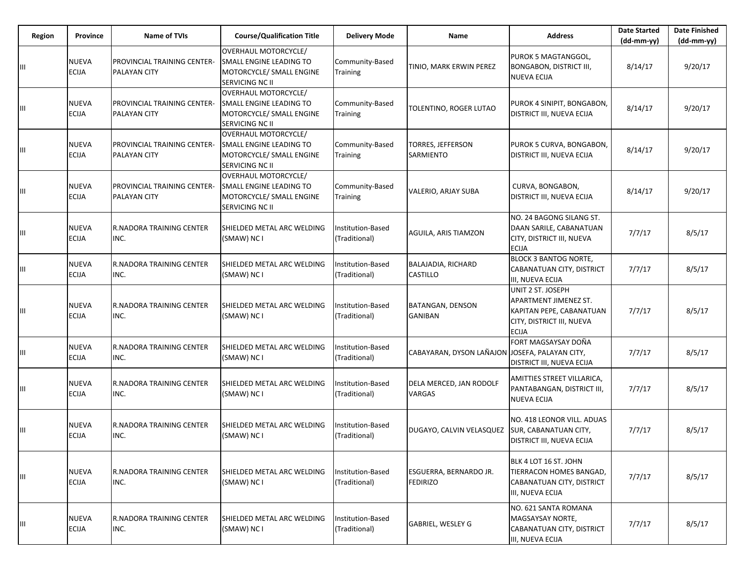| <b>Region</b>                      | <b>Province</b>       | <b>Name of TVIs</b>                         | <b>Course/Qualification Title</b>                                                                            | <b>Delivery Mode</b>                      | Name                                             | <b>Address</b>                                                                                                      | <b>Date Started</b><br>(dd-mm-yy) | <b>Date Finished</b><br>(dd-mm-yy) |
|------------------------------------|-----------------------|---------------------------------------------|--------------------------------------------------------------------------------------------------------------|-------------------------------------------|--------------------------------------------------|---------------------------------------------------------------------------------------------------------------------|-----------------------------------|------------------------------------|
| Ш                                  | NUEVA<br><b>ECIJA</b> | PROVINCIAL TRAINING CENTER-<br>PALAYAN CITY | <b>OVERHAUL MOTORCYCLE/</b><br>SMALL ENGINE LEADING TO<br>MOTORCYCLE/ SMALL ENGINE<br><b>SERVICING NC II</b> | Community-Based<br>Training               | TINIO, MARK ERWIN PEREZ                          | PUROK 5 MAGTANGGOL,<br><b>BONGABON, DISTRICT III,</b><br><b>NUEVA ECIJA</b>                                         | 8/14/17                           | 9/20/17                            |
| Ш                                  | NUEVA<br><b>ECIJA</b> | PROVINCIAL TRAINING CENTER-<br>PALAYAN CITY | OVERHAUL MOTORCYCLE/<br>SMALL ENGINE LEADING TO<br>MOTORCYCLE/ SMALL ENGINE<br><b>SERVICING NC II</b>        | Community-Based<br>Training               | TOLENTINO, ROGER LUTAO                           | PUROK 4 SINIPIT, BONGABON,<br><b>DISTRICT III, NUEVA ECIJA</b>                                                      | 8/14/17                           | 9/20/17                            |
| $\ensuremath{\mathsf{III}}\xspace$ | NUEVA<br><b>ECIJA</b> | PROVINCIAL TRAINING CENTER-<br>PALAYAN CITY | OVERHAUL MOTORCYCLE/<br>SMALL ENGINE LEADING TO<br>MOTORCYCLE/ SMALL ENGINE<br>SERVICING NC II               | Community-Based<br>Training               | TORRES, JEFFERSON<br>SARMIENTO                   | PUROK 5 CURVA, BONGABON,<br>DISTRICT III, NUEVA ECIJA                                                               | 8/14/17                           | 9/20/17                            |
| Ш                                  | NUEVA<br><b>ECIJA</b> | PROVINCIAL TRAINING CENTER-<br>PALAYAN CITY | <b>OVERHAUL MOTORCYCLE/</b><br><b>SMALL ENGINE LEADING TO</b><br>MOTORCYCLE/ SMALL ENGINE<br>SERVICING NC II | Community-Based<br>Training               | VALERIO, ARJAY SUBA                              | CURVA, BONGABON,<br>DISTRICT III, NUEVA ECIJA                                                                       | 8/14/17                           | 9/20/17                            |
| Ш                                  | NUEVA<br><b>ECIJA</b> | R.NADORA TRAINING CENTER<br>INC.            | SHIELDED METAL ARC WELDING<br>(SMAW) NC I                                                                    | nstitution-Based<br>(Traditional)         | AGUILA, ARIS TIAMZON                             | NO. 24 BAGONG SILANG ST.<br>DAAN SARILE, CABANATUAN<br>CITY, DISTRICT III, NUEVA<br><b>ECIJA</b>                    | 7/7/17                            | 8/5/17                             |
| Ш                                  | NUEVA<br><b>ECIJA</b> | R.NADORA TRAINING CENTER<br>INC.            | SHIELDED METAL ARC WELDING<br>(SMAW) NC I                                                                    | Institution-Based<br>(Traditional)        | BALAJADIA, RICHARD<br>CASTILLO                   | <b>BLOCK 3 BANTOG NORTE,</b><br>CABANATUAN CITY, DISTRICT<br>III, NUEVA ECIJA                                       | 7/7/17                            | 8/5/17                             |
| Ш                                  | NUEVA<br><b>ECIJA</b> | R.NADORA TRAINING CENTER<br>INC.            | SHIELDED METAL ARC WELDING<br>(SMAW) NC I                                                                    | Institution-Based<br>(Traditional)        | <b>BATANGAN, DENSON</b><br><b>GANIBAN</b>        | UNIT 2 ST. JOSEPH<br>APARTMENT JIMENEZ ST.<br>KAPITAN PEPE, CABANATUAN<br>CITY, DISTRICT III, NUEVA<br><b>ECIJA</b> | 7/7/17                            | 8/5/17                             |
| Ш                                  | NUEVA<br>ECIJA        | R.NADORA TRAINING CENTER<br>INC.            | SHIELDED METAL ARC WELDING<br>(SMAW) NC I                                                                    | Institution-Based<br>(Traditional)        | CABAYARAN, DYSON LAÑAJON JOSEFA, PALAYAN CITY,   | FORT MAGSAYSAY DOÑA<br><b>DISTRICT III, NUEVA ECIJA</b>                                                             | 7/7/17                            | 8/5/17                             |
| Ш                                  | NUEVA<br>ECIJA        | R.NADORA TRAINING CENTER<br>INC.            | SHIELDED METAL ARC WELDING<br>(SMAW) NC I                                                                    | <b>Institution-Based</b><br>(Traditional) | DELA MERCED, JAN RODOLF<br>VARGAS                | AMITTIES STREET VILLARICA,<br>PANTABANGAN, DISTRICT III,<br><b>NUEVA ECIJA</b>                                      | 7/7/17                            | 8/5/17                             |
| Ш                                  | NUEVA<br><b>ECIJA</b> | R.NADORA TRAINING CENTER<br>INC.            | SHIELDED METAL ARC WELDING<br>(SMAW) NC I                                                                    | Institution-Based<br>(Traditional)        | DUGAYO, CALVIN VELASQUEZ                         | NO. 418 LEONOR VILL. ADUAS<br><b>SUR, CABANATUAN CITY,</b><br><b>DISTRICT III, NUEVA ECIJA</b>                      | 7/7/17                            | 8/5/17                             |
| Ш                                  | NUEVA<br><b>ECIJA</b> | R.NADORA TRAINING CENTER<br>INC.            | SHIELDED METAL ARC WELDING<br>(SMAW) NC I                                                                    | Institution-Based<br>(Traditional)        | <b>ESGUERRA, BERNARDO JR.</b><br><b>FEDIRIZO</b> | BLK 4 LOT 16 ST. JOHN<br>TIERRACON HOMES BANGAD,<br>CABANATUAN CITY, DISTRICT<br>III, NUEVA ECIJA                   | 7/7/17                            | 8/5/17                             |
| Ш                                  | NUEVA<br><b>ECIJA</b> | R.NADORA TRAINING CENTER<br>INC.            | SHIELDED METAL ARC WELDING<br>(SMAW) NC I                                                                    | Institution-Based<br>(Traditional)        | GABRIEL, WESLEY G                                | NO. 621 SANTA ROMANA<br>MAGSAYSAY NORTE,<br>CABANATUAN CITY, DISTRICT<br>III, NUEVA ECIJA                           | 7/7/17                            | 8/5/17                             |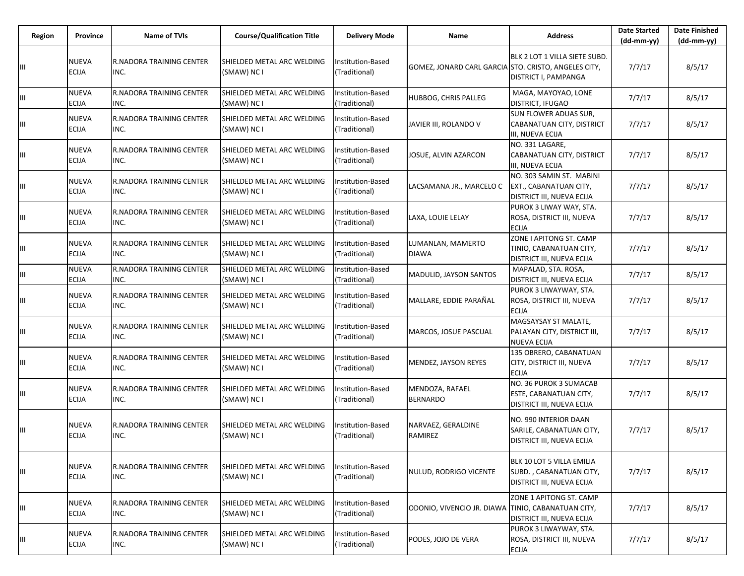| Region | <b>Province</b>              | <b>Name of TVIs</b>                     | <b>Course/Qualification Title</b>         | <b>Delivery Mode</b>               | <b>Name</b>                                          | <b>Address</b>                                                                    | <b>Date Started</b><br>$(dd-mm-yy)$ | <b>Date Finished</b><br>$(dd-mm-yy)$ |
|--------|------------------------------|-----------------------------------------|-------------------------------------------|------------------------------------|------------------------------------------------------|-----------------------------------------------------------------------------------|-------------------------------------|--------------------------------------|
| Ш      | <b>NUEVA</b><br><b>ECIJA</b> | R.NADORA TRAINING CENTER<br>INC.        | SHIELDED METAL ARC WELDING<br>(SMAW) NC I | Institution-Based<br>(Traditional) | GOMEZ, JONARD CARL GARCIA STO. CRISTO, ANGELES CITY, | BLK 2 LOT 1 VILLA SIETE SUBD.<br>DISTRICT I, PAMPANGA                             | 7/7/17                              | 8/5/17                               |
| Ш      | <b>NUEVA</b><br><b>ECIJA</b> | R.NADORA TRAINING CENTER<br>INC.        | SHIELDED METAL ARC WELDING<br>(SMAW) NC I | Institution-Based<br>(Traditional) | HUBBOG, CHRIS PALLEG                                 | MAGA, MAYOYAO, LONE<br>DISTRICT, IFUGAO                                           | 7/7/17                              | 8/5/17                               |
| Ш      | <b>NUEVA</b><br><b>ECIJA</b> | R.NADORA TRAINING CENTER<br>INC.        | SHIELDED METAL ARC WELDING<br>(SMAW) NC I | Institution-Based<br>(Traditional) | JAVIER III, ROLANDO V                                | SUN FLOWER ADUAS SUR,<br>CABANATUAN CITY, DISTRICT<br>III, NUEVA ECIJA            | 7/7/17                              | 8/5/17                               |
| Ш      | <b>NUEVA</b><br><b>ECIJA</b> | R.NADORA TRAINING CENTER<br>INC.        | SHIELDED METAL ARC WELDING<br>(SMAW) NC I | Institution-Based<br>(Traditional) | JOSUE, ALVIN AZARCON                                 | NO. 331 LAGARE,<br>CABANATUAN CITY, DISTRICT<br>III, NUEVA ECIJA                  | 7/7/17                              | 8/5/17                               |
| Ш      | <b>NUEVA</b><br><b>ECIJA</b> | <b>R.NADORA TRAINING CENTER</b><br>INC. | SHIELDED METAL ARC WELDING<br>(SMAW) NC I | Institution-Based<br>(Traditional) | LACSAMANA JR., MARCELO C                             | NO. 303 SAMIN ST. MABINI<br>EXT., CABANATUAN CITY,<br>DISTRICT III, NUEVA ECIJA   | 7/7/17                              | 8/5/17                               |
|        | <b>NUEVA</b><br><b>ECIJA</b> | <b>R.NADORA TRAINING CENTER</b><br>INC. | SHIELDED METAL ARC WELDING<br>(SMAW) NC I | Institution-Based<br>(Traditional) | LAXA, LOUIE LELAY                                    | PUROK 3 LIWAY WAY, STA.<br>ROSA, DISTRICT III, NUEVA<br><b>ECIJA</b>              | 7/7/17                              | 8/5/17                               |
| Ш      | <b>NUEVA</b><br><b>ECIJA</b> | <b>R.NADORA TRAINING CENTER</b><br>INC. | SHIELDED METAL ARC WELDING<br>(SMAW) NC I | Institution-Based<br>(Traditional) | LUMANLAN, MAMERTO<br><b>DIAWA</b>                    | ZONE I APITONG ST. CAMP<br>TINIO, CABANATUAN CITY,<br>DISTRICT III, NUEVA ECIJA   | 7/7/17                              | 8/5/17                               |
| Ш      | <b>NUEVA</b><br><b>ECIJA</b> | <b>R.NADORA TRAINING CENTER</b><br>INC. | SHIELDED METAL ARC WELDING<br>(SMAW) NC I | Institution-Based<br>(Traditional) | MADULID, JAYSON SANTOS                               | MAPALAD, STA. ROSA,<br>DISTRICT III, NUEVA ECIJA                                  | 7/7/17                              | 8/5/17                               |
| Ш      | <b>NUEVA</b><br><b>ECIJA</b> | R.NADORA TRAINING CENTER<br>INC.        | SHIELDED METAL ARC WELDING<br>(SMAW) NC I | Institution-Based<br>(Traditional) | MALLARE, EDDIE PARAÑAL                               | PUROK 3 LIWAYWAY, STA.<br>ROSA, DISTRICT III, NUEVA<br><b>ECIJA</b>               | 7/7/17                              | 8/5/17                               |
| Ш      | <b>NUEVA</b><br><b>ECIJA</b> | R.NADORA TRAINING CENTER<br>INC.        | SHIELDED METAL ARC WELDING<br>(SMAW) NC I | Institution-Based<br>(Traditional) | MARCOS, JOSUE PASCUAL                                | MAGSAYSAY ST MALATE,<br>PALAYAN CITY, DISTRICT III,<br><b>NUEVA ECIJA</b>         | 7/7/17                              | 8/5/17                               |
| Ш      | <b>NUEVA</b><br><b>ECIJA</b> | R.NADORA TRAINING CENTER<br>INC.        | SHIELDED METAL ARC WELDING<br>(SMAW) NC I | Institution-Based<br>(Traditional) | MENDEZ, JAYSON REYES                                 | 135 OBRERO, CABANATUAN<br>CITY, DISTRICT III, NUEVA<br><b>ECIJA</b>               | 7/7/17                              | 8/5/17                               |
| Ш      | <b>NUEVA</b><br><b>ECIJA</b> | <b>R.NADORA TRAINING CENTER</b><br>INC. | SHIELDED METAL ARC WELDING<br>(SMAW) NC I | Institution-Based<br>(Traditional) | MENDOZA, RAFAEL<br><b>BERNARDO</b>                   | NO. 36 PUROK 3 SUMACAB<br>ESTE, CABANATUAN CITY,<br>DISTRICT III, NUEVA ECIJA     | 7/7/17                              | 8/5/17                               |
| Ш      | <b>NUEVA</b><br><b>ECIJA</b> | R.NADORA TRAINING CENTER<br>INC.        | SHIELDED METAL ARC WELDING<br>(SMAW) NC I | Institution-Based<br>(Traditional) | NARVAEZ, GERALDINE<br><b>RAMIREZ</b>                 | NO. 990 INTERIOR DAAN<br>SARILE, CABANATUAN CITY,<br>DISTRICT III, NUEVA ECIJA    | 7/7/17                              | 8/5/17                               |
| Ш      | <b>NUEVA</b><br><b>ECIJA</b> | R.NADORA TRAINING CENTER<br>INC.        | SHIELDED METAL ARC WELDING<br>(SMAW) NC I | Institution-Based<br>(Traditional) | NULUD, RODRIGO VICENTE                               | BLK 10 LOT 5 VILLA EMILIA<br>SUBD., CABANATUAN CITY,<br>DISTRICT III, NUEVA ECIJA | 7/7/17                              | 8/5/17                               |
| Ш      | <b>NUEVA</b><br><b>ECIJA</b> | R.NADORA TRAINING CENTER<br>INC.        | SHIELDED METAL ARC WELDING<br>(SMAW) NC I | Institution-Based<br>(Traditional) | ODONIO, VIVENCIO JR. DIAWA TINIO, CABANATUAN CITY,   | ZONE 1 APITONG ST. CAMP<br>DISTRICT III, NUEVA ECIJA                              | 7/7/17                              | 8/5/17                               |
|        | <b>NUEVA</b><br><b>ECIJA</b> | R.NADORA TRAINING CENTER<br>INC.        | SHIELDED METAL ARC WELDING<br>(SMAW) NC I | Institution-Based<br>(Traditional) | PODES, JOJO DE VERA                                  | PUROK 3 LIWAYWAY, STA.<br>ROSA, DISTRICT III, NUEVA<br><b>ECIJA</b>               | 7/7/17                              | 8/5/17                               |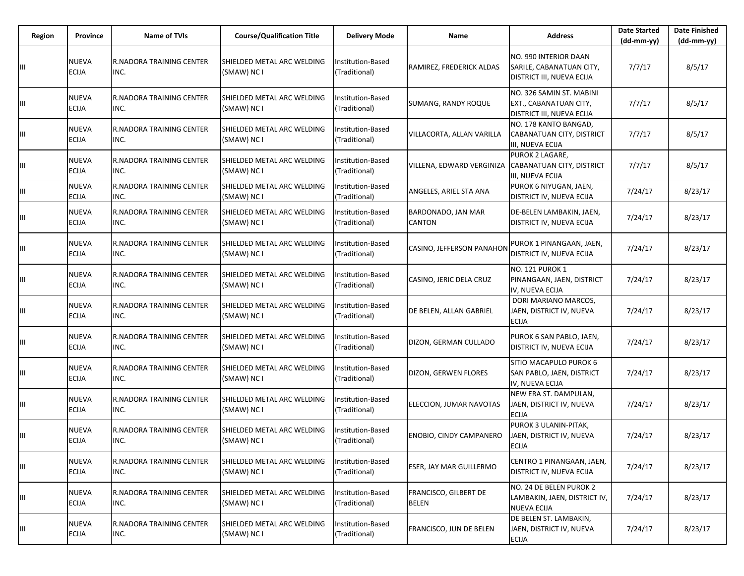| Region | <b>Province</b>              | <b>Name of TVIs</b>              | <b>Course/Qualification Title</b>                | <b>Delivery Mode</b>                      | Name                                  | <b>Address</b>                                                                  | <b>Date Started</b><br>$(dd-mm-yy)$ | <b>Date Finished</b><br>(dd-mm-yy) |
|--------|------------------------------|----------------------------------|--------------------------------------------------|-------------------------------------------|---------------------------------------|---------------------------------------------------------------------------------|-------------------------------------|------------------------------------|
| Ш      | <b>NUEVA</b><br><b>ECIJA</b> | R.NADORA TRAINING CENTER<br>INC. | SHIELDED METAL ARC WELDING<br>(SMAW) NC I        | Institution-Based<br>(Traditional)        | RAMIREZ, FREDERICK ALDAS              | NO. 990 INTERIOR DAAN<br>SARILE, CABANATUAN CITY,<br>DISTRICT III, NUEVA ECIJA  | 7/7/17                              | 8/5/17                             |
| Ш      | <b>NUEVA</b><br><b>ECIJA</b> | R.NADORA TRAINING CENTER<br>INC. | SHIELDED METAL ARC WELDING<br>(SMAW) NC I        | Institution-Based<br>(Traditional)        | <b>SUMANG, RANDY ROQUE</b>            | NO. 326 SAMIN ST. MABINI<br>EXT., CABANATUAN CITY,<br>DISTRICT III, NUEVA ECIJA | 7/7/17                              | 8/5/17                             |
| Ш      | <b>NUEVA</b><br><b>ECIJA</b> | R.NADORA TRAINING CENTER<br>INC. | <b>SHIELDED METAL ARC WELDING</b><br>(SMAW) NC I | Institution-Based<br>(Traditional)        | VILLACORTA, ALLAN VARILLA             | NO. 178 KANTO BANGAD,<br>CABANATUAN CITY, DISTRICT<br>III, NUEVA ECIJA          | 7/7/17                              | 8/5/17                             |
| Ш      | <b>NUEVA</b><br><b>ECIJA</b> | R.NADORA TRAINING CENTER<br>INC. | SHIELDED METAL ARC WELDING<br>(SMAW) NC I        | Institution-Based<br>(Traditional)        | VILLENA, EDWARD VERGINIZA             | PUROK 2 LAGARE.<br>CABANATUAN CITY, DISTRICT<br>III, NUEVA ECIJA                | 7/7/17                              | 8/5/17                             |
| Ш      | <b>NUEVA</b><br><b>ECIJA</b> | R.NADORA TRAINING CENTER<br>INC. | SHIELDED METAL ARC WELDING<br>(SMAW) NC I        | Institution-Based<br>(Traditional)        | ANGELES, ARIEL STA ANA                | PUROK 6 NIYUGAN, JAEN,<br>DISTRICT IV, NUEVA ECIJA                              | 7/24/17                             | 8/23/17                            |
|        | <b>NUEVA</b><br><b>ECIJA</b> | R.NADORA TRAINING CENTER<br>INC. | SHIELDED METAL ARC WELDING<br>(SMAW) NC I        | Institution-Based<br>(Traditional)        | BARDONADO, JAN MAR<br>CANTON          | DE-BELEN LAMBAKIN, JAEN,<br>DISTRICT IV, NUEVA ECIJA                            | 7/24/17                             | 8/23/17                            |
| Ш      | <b>NUEVA</b><br><b>ECIJA</b> | R.NADORA TRAINING CENTER<br>INC. | SHIELDED METAL ARC WELDING<br>(SMAW) NC I        | <b>Institution-Based</b><br>(Traditional) | CASINO, JEFFERSON PANAHON             | PUROK 1 PINANGAAN, JAEN,<br><b>DISTRICT IV. NUEVA ECIJA</b>                     | 7/24/17                             | 8/23/17                            |
| Ш      | <b>NUEVA</b><br><b>ECIJA</b> | R.NADORA TRAINING CENTER<br>INC. | SHIELDED METAL ARC WELDING<br>(SMAW) NC I        | <b>Institution-Based</b><br>(Traditional) | CASINO, JERIC DELA CRUZ               | <b>NO. 121 PUROK 1</b><br>PINANGAAN, JAEN, DISTRICT<br>IV, NUEVA ECIJA          | 7/24/17                             | 8/23/17                            |
| Ш      | <b>NUEVA</b><br><b>ECIJA</b> | R.NADORA TRAINING CENTER<br>INC. | <b>SHIELDED METAL ARC WELDING</b><br>(SMAW) NC I | <b>Institution-Based</b><br>(Traditional) | DE BELEN, ALLAN GABRIEL               | DORI MARIANO MARCOS,<br>JAEN, DISTRICT IV, NUEVA<br><b>ECIJA</b>                | 7/24/17                             | 8/23/17                            |
| Ш      | <b>NUEVA</b><br><b>ECIJA</b> | R.NADORA TRAINING CENTER<br>INC. | SHIELDED METAL ARC WELDING<br>(SMAW) NC I        | Institution-Based<br>(Traditional)        | DIZON, GERMAN CULLADO                 | PUROK 6 SAN PABLO, JAEN,<br>DISTRICT IV, NUEVA ECIJA                            | 7/24/17                             | 8/23/17                            |
| Щ      | <b>NUEVA</b><br><b>ECIJA</b> | R.NADORA TRAINING CENTER<br>INC. | SHIELDED METAL ARC WELDING<br>(SMAW) NC I        | Institution-Based<br>(Traditional)        | DIZON, GERWEN FLORES                  | SITIO MACAPULO PUROK 6<br>SAN PABLO, JAEN, DISTRICT<br>IV, NUEVA ECIJA          | 7/24/17                             | 8/23/17                            |
| Щ      | <b>NUEVA</b><br><b>ECIJA</b> | R.NADORA TRAINING CENTER<br>INC. | SHIELDED METAL ARC WELDING<br>(SMAW) NC I        | Institution-Based<br>(Traditional)        | ELECCION, JUMAR NAVOTAS               | NEW ERA ST. DAMPULAN,<br>JAEN, DISTRICT IV, NUEVA<br><b>ECIJA</b>               | 7/24/17                             | 8/23/17                            |
| Ш      | <b>NUEVA</b><br><b>ECIJA</b> | R.NADORA TRAINING CENTER<br>INC. | SHIELDED METAL ARC WELDING<br>(SMAW) NC I        | <b>Institution-Based</b><br>(Traditional) | <b>ENOBIO, CINDY CAMPANERO</b>        | PUROK 3 ULANIN-PITAK,<br>JAEN, DISTRICT IV, NUEVA<br><b>ECIJA</b>               | 7/24/17                             | 8/23/17                            |
| Ш      | <b>NUEVA</b><br><b>ECIJA</b> | R.NADORA TRAINING CENTER<br>INC. | SHIELDED METAL ARC WELDING<br>(SMAW) NC I        | Institution-Based<br>(Traditional)        | ESER, JAY MAR GUILLERMO               | CENTRO 1 PINANGAAN, JAEN,<br>DISTRICT IV, NUEVA ECIJA                           | 7/24/17                             | 8/23/17                            |
| Щ      | <b>NUEVA</b><br><b>ECIJA</b> | R.NADORA TRAINING CENTER<br>INC. | SHIELDED METAL ARC WELDING<br>(SMAW) NC I        | Institution-Based<br>(Traditional)        | FRANCISCO, GILBERT DE<br><b>BELEN</b> | NO. 24 DE BELEN PUROK 2<br>LAMBAKIN, JAEN, DISTRICT IV,<br><b>NUEVA ECIJA</b>   | 7/24/17                             | 8/23/17                            |
| Щ      | <b>NUEVA</b><br><b>ECIJA</b> | R.NADORA TRAINING CENTER<br>INC. | SHIELDED METAL ARC WELDING<br>(SMAW) NC I        | Institution-Based<br>(Traditional)        | FRANCISCO, JUN DE BELEN               | DE BELEN ST. LAMBAKIN,<br>JAEN, DISTRICT IV, NUEVA<br><b>ECIJA</b>              | 7/24/17                             | 8/23/17                            |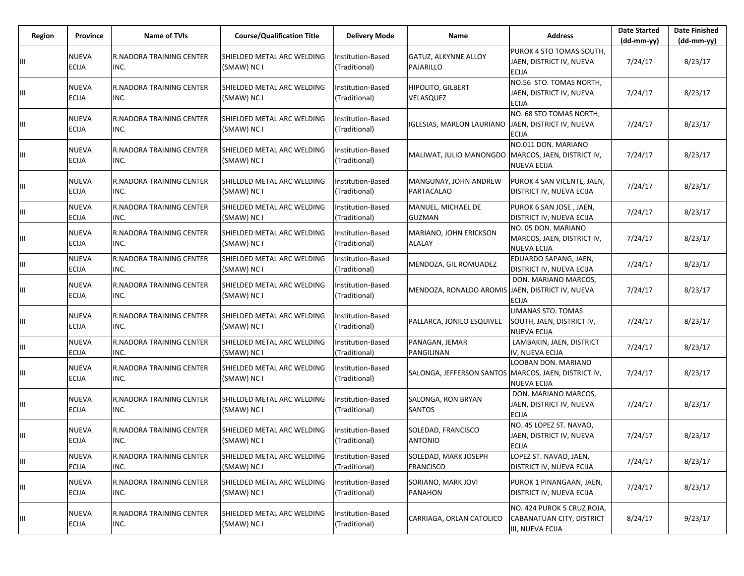| Region | Province                     | Name of TVIs                            | <b>Course/Qualification Title</b>         | <b>Delivery Mode</b>                      | Name                                                 | <b>Address</b>                                                              | <b>Date Started</b><br>(dd-mm-yy) | <b>Date Finished</b><br>$(dd-mm-yy)$ |
|--------|------------------------------|-----------------------------------------|-------------------------------------------|-------------------------------------------|------------------------------------------------------|-----------------------------------------------------------------------------|-----------------------------------|--------------------------------------|
|        | <b>NUEVA</b><br><b>ECIJA</b> | <b>R.NADORA TRAINING CENTER</b><br>INC. | SHIELDED METAL ARC WELDING<br>(SMAW) NC I | Institution-Based<br>(Traditional)        | <b>GATUZ, ALKYNNE ALLOY</b><br>PAJARILLO             | PUROK 4 STO TOMAS SOUTH,<br>JAEN, DISTRICT IV, NUEVA<br><b>ECIJA</b>        | 7/24/17                           | 8/23/17                              |
| Ш      | <b>NUEVA</b><br>ECIJA        | <b>R.NADORA TRAINING CENTER</b><br>INC. | SHIELDED METAL ARC WELDING<br>(SMAW) NC I | nstitution-Based<br>(Traditional)         | HIPOLITO, GILBERT<br>VELASQUEZ                       | NO.56 STO. TOMAS NORTH,<br>JAEN, DISTRICT IV, NUEVA<br><b>ECIJA</b>         | 7/24/17                           | 8/23/17                              |
| Ш      | <b>NUEVA</b><br><b>ECIJA</b> | <b>R.NADORA TRAINING CENTER</b><br>INC. | SHIELDED METAL ARC WELDING<br>(SMAW) NC I | Institution-Based<br>(Traditional)        | <b>IGLESIAS, MARLON LAURIANO</b>                     | NO. 68 STO TOMAS NORTH,<br>JAEN, DISTRICT IV, NUEVA<br><b>ECIJA</b>         | 7/24/17                           | 8/23/17                              |
| Ш      | <b>NUEVA</b><br><b>ECIJA</b> | R.NADORA TRAINING CENTER<br>INC.        | SHIELDED METAL ARC WELDING<br>(SMAW) NC I | nstitution-Based<br>(Traditional)         | MALIWAT, JULIO MANONGDO MARCOS, JAEN, DISTRICT IV,   | NO.011 DON. MARIANO<br><b>NUEVA ECIJA</b>                                   | 7/24/17                           | 8/23/17                              |
| Ш      | <b>NUEVA</b><br><b>ECIJA</b> | <b>R.NADORA TRAINING CENTER</b><br>INC. | SHIELDED METAL ARC WELDING<br>(SMAW) NC I | <b>Institution-Based</b><br>(Traditional) | MANGUNAY, JOHN ANDREW<br>PARTACALAO                  | PUROK 4 SAN VICENTE, JAEN,<br>DISTRICT IV, NUEVA ECIJA                      | 7/24/17                           | 8/23/17                              |
| Ш      | <b>NUEVA</b><br><b>ECIJA</b> | <b>R.NADORA TRAINING CENTER</b><br>INC. | SHIELDED METAL ARC WELDING<br>(SMAW) NC I | <b>Institution-Based</b><br>(Traditional) | MANUEL, MICHAEL DE<br><b>GUZMAN</b>                  | PUROK 6 SAN JOSE, JAEN,<br>DISTRICT IV, NUEVA ECIJA                         | 7/24/17                           | 8/23/17                              |
| Ш      | <b>NUEVA</b><br><b>ECIJA</b> | <b>R.NADORA TRAINING CENTER</b><br>INC. | SHIELDED METAL ARC WELDING<br>(SMAW) NC I | Institution-Based<br>(Traditional)        | MARIANO, JOHN ERICKSON<br><b>ALALAY</b>              | NO. 05 DON. MARIANO<br>MARCOS, JAEN, DISTRICT IV,<br><b>NUEVA ECIJA</b>     | 7/24/17                           | 8/23/17                              |
| Ш      | <b>NUEVA</b><br><b>ECIJA</b> | <b>R.NADORA TRAINING CENTER</b><br>INC. | SHIELDED METAL ARC WELDING<br>(SMAW) NC I | Institution-Based<br>(Traditional)        | MENDOZA, GIL ROMUADEZ                                | EDUARDO SAPANG, JAEN,<br>DISTRICT IV, NUEVA ECIJA                           | 7/24/17                           | 8/23/17                              |
| Ш      | <b>NUEVA</b><br>ECIJA        | <b>R.NADORA TRAINING CENTER</b><br>INC. | SHIELDED METAL ARC WELDING<br>(SMAW) NC I | nstitution-Based<br>(Traditional)         | MENDOZA, RONALDO AROMIS JAEN, DISTRICT IV, NUEVA     | DON. MARIANO MARCOS.<br><b>ECIJA</b>                                        | 7/24/17                           | 8/23/17                              |
| Ш      | <b>NUEVA</b><br>ECIJA        | <b>R.NADORA TRAINING CENTER</b><br>INC. | SHIELDED METAL ARC WELDING<br>(SMAW) NC I | Institution-Based<br>(Traditional)        | PALLARCA, JONILO ESQUIVEL                            | LIMANAS STO. TOMAS<br>SOUTH, JAEN, DISTRICT IV,<br><b>NUEVA ECIJA</b>       | 7/24/17                           | 8/23/17                              |
| Ш      | <b>NUEVA</b><br><b>ECIJA</b> | <b>R.NADORA TRAINING CENTER</b><br>INC. | SHIELDED METAL ARC WELDING<br>(SMAW) NC I | <b>Institution-Based</b><br>(Traditional) | PANAGAN, JEMAR<br>PANGILINAN                         | LAMBAKIN, JAEN, DISTRICT<br>IV, NUEVA ECIJA                                 | 7/24/17                           | 8/23/17                              |
| Ш      | NUEVA<br><b>ECIJA</b>        | <b>R.NADORA TRAINING CENTER</b><br>INC. | SHIELDED METAL ARC WELDING<br>(SMAW) NC I | Institution-Based<br>(Traditional)        | SALONGA, JEFFERSON SANTOS MARCOS, JAEN, DISTRICT IV, | LOOBAN DON. MARIANO<br><b>NUEVA ECIJA</b>                                   | 7/24/17                           | 8/23/17                              |
| Ш      | <b>NUEVA</b><br><b>ECIJA</b> | <b>R.NADORA TRAINING CENTER</b><br>INC. | SHIELDED METAL ARC WELDING<br>(SMAW) NC I | Institution-Based<br>(Traditional)        | SALONGA, RON BRYAN<br><b>SANTOS</b>                  | DON. MARIANO MARCOS,<br>JAEN, DISTRICT IV, NUEVA<br><b>ECIJA</b>            | 7/24/17                           | 8/23/17                              |
| Ш      | NUEVA<br><b>ECIJA</b>        | <b>R.NADORA TRAINING CENTER</b><br>INC. | SHIELDED METAL ARC WELDING<br>(SMAW) NC I | nstitution-Based<br>(Traditional)         | SOLEDAD, FRANCISCO<br><b>ANTONIO</b>                 | NO. 45 LOPEZ ST. NAVAO,<br>JAEN, DISTRICT IV, NUEVA<br><b>ECIJA</b>         | 7/24/17                           | 8/23/17                              |
| Ш      | <b>NUEVA</b><br><b>ECIJA</b> | R.NADORA TRAINING CENTER<br>INC.        | SHIELDED METAL ARC WELDING<br>(SMAW) NC I | Institution-Based<br>(Traditional)        | SOLEDAD, MARK JOSEPH<br><b>FRANCISCO</b>             | LOPEZ ST. NAVAO, JAEN,<br>DISTRICT IV, NUEVA ECIJA                          | 7/24/17                           | 8/23/17                              |
| Ш      | NUEVA<br>ECIJA               | R.NADORA TRAINING CENTER<br>INC.        | SHIELDED METAL ARC WELDING<br>(SMAW) NC I | Institution-Based<br>(Traditional)        | SORIANO, MARK JOVI<br><b>PANAHON</b>                 | PUROK 1 PINANGAAN, JAEN,<br>DISTRICT IV, NUEVA ECIJA                        | 7/24/17                           | 8/23/17                              |
| Ш      | <b>NUEVA</b><br><b>ECIJA</b> | R.NADORA TRAINING CENTER<br>INC.        | SHIELDED METAL ARC WELDING<br>(SMAW) NC I | Institution-Based<br>(Traditional)        | CARRIAGA, ORLAN CATOLICO                             | NO. 424 PUROK 5 CRUZ ROJA,<br>CABANATUAN CITY, DISTRICT<br>III, NUEVA ECIJA | 8/24/17                           | 9/23/17                              |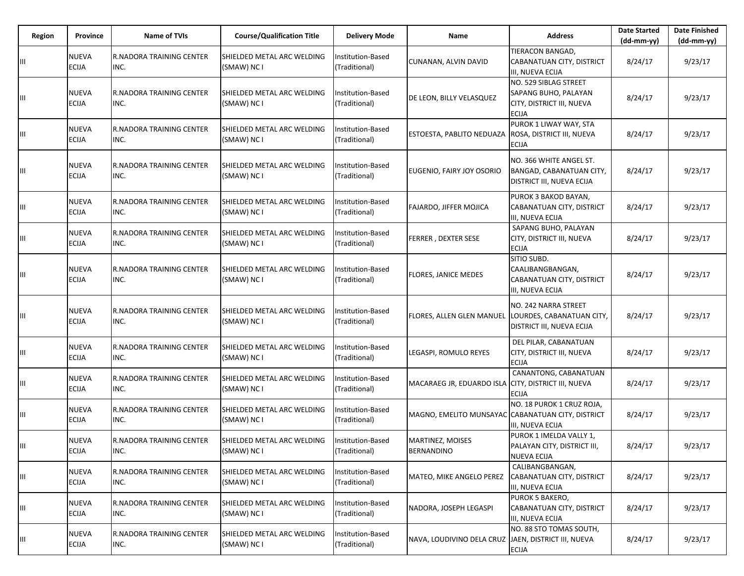| Region | Province                     | <b>Name of TVIs</b>              | <b>Course/Qualification Title</b>         | <b>Delivery Mode</b>               | Name                                                | <b>Address</b>                                                                             | <b>Date Started</b><br>$(dd-mm-vv)$ | <b>Date Finished</b><br>(dd-mm-yy) |
|--------|------------------------------|----------------------------------|-------------------------------------------|------------------------------------|-----------------------------------------------------|--------------------------------------------------------------------------------------------|-------------------------------------|------------------------------------|
| Ш      | <b>NUEVA</b><br><b>ECIJA</b> | R.NADORA TRAINING CENTER<br>INC. | SHIELDED METAL ARC WELDING<br>(SMAW) NC I | Institution-Based<br>(Traditional) | CUNANAN, ALVIN DAVID                                | TIERACON BANGAD,<br>CABANATUAN CITY, DISTRICT<br>III, NUEVA ECIJA                          | 8/24/17                             | 9/23/17                            |
| Ш      | <b>NUEVA</b><br><b>ECIJA</b> | R.NADORA TRAINING CENTER<br>INC. | SHIELDED METAL ARC WELDING<br>(SMAW) NC I | nstitution-Based<br>(Traditional)  | DE LEON, BILLY VELASQUEZ                            | NO. 529 SIBLAG STREET<br>SAPANG BUHO, PALAYAN<br>CITY, DISTRICT III, NUEVA<br><b>ECIJA</b> | 8/24/17                             | 9/23/17                            |
| Ш      | <b>NUEVA</b><br><b>ECIJA</b> | R.NADORA TRAINING CENTER<br>INC. | SHIELDED METAL ARC WELDING<br>(SMAW) NC I | Institution-Based<br>(Traditional) | ESTOESTA, PABLITO NEDUAZA                           | PUROK 1 LIWAY WAY, STA<br>ROSA, DISTRICT III, NUEVA<br><b>ECIJA</b>                        | 8/24/17                             | 9/23/17                            |
| Ш      | <b>NUEVA</b><br><b>ECIJA</b> | R.NADORA TRAINING CENTER<br>INC. | SHIELDED METAL ARC WELDING<br>(SMAW) NC I | Institution-Based<br>(Traditional) | EUGENIO, FAIRY JOY OSORIO                           | NO. 366 WHITE ANGEL ST.<br>BANGAD, CABANATUAN CITY,<br><b>DISTRICT III, NUEVA ECIJA</b>    | 8/24/17                             | 9/23/17                            |
| Ш      | <b>NUEVA</b><br><b>ECIJA</b> | R.NADORA TRAINING CENTER<br>INC. | SHIELDED METAL ARC WELDING<br>(SMAW) NC I | Institution-Based<br>(Traditional) | FAJARDO, JIFFER MOJICA                              | PUROK 3 BAKOD BAYAN,<br>CABANATUAN CITY, DISTRICT<br>III, NUEVA ECIJA                      | 8/24/17                             | 9/23/17                            |
| Ш      | <b>NUEVA</b><br><b>ECIJA</b> | R.NADORA TRAINING CENTER<br>INC. | SHIELDED METAL ARC WELDING<br>(SMAW) NC I | Institution-Based<br>(Traditional) | <b>FERRER, DEXTER SESE</b>                          | SAPANG BUHO, PALAYAN<br>CITY, DISTRICT III, NUEVA<br><b>ECIJA</b>                          | 8/24/17                             | 9/23/17                            |
| Ш      | <b>NUEVA</b><br><b>ECIJA</b> | R.NADORA TRAINING CENTER<br>INC. | SHIELDED METAL ARC WELDING<br>(SMAW) NC I | Institution-Based<br>(Traditional) | <b>FLORES, JANICE MEDES</b>                         | SITIO SUBD.<br>CAALIBANGBANGAN,<br>CABANATUAN CITY, DISTRICT<br>III, NUEVA ECIJA           | 8/24/17                             | 9/23/17                            |
| Ш      | <b>NUEVA</b><br><b>ECIJA</b> | R.NADORA TRAINING CENTER<br>INC. | SHIELDED METAL ARC WELDING<br>(SMAW) NC I | Institution-Based<br>(Traditional) | FLORES, ALLEN GLEN MANUEL                           | NO. 242 NARRA STREET<br>LOURDES, CABANATUAN CITY,<br><b>DISTRICT III, NUEVA ECIJA</b>      | 8/24/17                             | 9/23/17                            |
| Ш      | <b>NUEVA</b><br><b>ECIJA</b> | R.NADORA TRAINING CENTER<br>INC. | SHIELDED METAL ARC WELDING<br>(SMAW) NC I | Institution-Based<br>(Traditional) | LEGASPI, ROMULO REYES                               | DEL PILAR, CABANATUAN<br>CITY, DISTRICT III, NUEVA<br><b>ECIJA</b>                         | 8/24/17                             | 9/23/17                            |
| Ш      | <b>NUEVA</b><br><b>ECIJA</b> | R.NADORA TRAINING CENTER<br>INC. | SHIELDED METAL ARC WELDING<br>(SMAW) NC I | Institution-Based<br>(Traditional) | MACARAEG JR, EDUARDO ISLA                           | CANANTONG, CABANATUAN<br>CITY, DISTRICT III, NUEVA<br><b>ECIJA</b>                         | 8/24/17                             | 9/23/17                            |
| Ш      | <b>NUEVA</b><br><b>ECIJA</b> | R.NADORA TRAINING CENTER<br>INC. | SHIELDED METAL ARC WELDING<br>(SMAW) NC I | Institution-Based<br>(Traditional) | MAGNO, EMELITO MUNSAYAC CABANATUAN CITY, DISTRICT   | NO. 18 PUROK 1 CRUZ ROJA,<br>III, NUEVA ECIJA                                              | 8/24/17                             | 9/23/17                            |
| Ш      | <b>NUEVA</b><br><b>ECIJA</b> | R.NADORA TRAINING CENTER<br>INC. | SHIELDED METAL ARC WELDING<br>(SMAW) NC I | Institution-Based<br>(Traditional) | MARTINEZ, MOISES<br><b>BERNANDINO</b>               | PUROK 1 IMELDA VALLY 1.<br>PALAYAN CITY, DISTRICT III,<br><b>NUEVA ECIJA</b>               | 8/24/17                             | 9/23/17                            |
| Ш      | <b>NUEVA</b><br><b>ECIJA</b> | R.NADORA TRAINING CENTER<br>INC. | SHIELDED METAL ARC WELDING<br>(SMAW) NC I | Institution-Based<br>(Traditional) | MATEO, MIKE ANGELO PEREZ                            | CALIBANGBANGAN,<br>CABANATUAN CITY, DISTRICT<br>III, NUEVA ECIJA                           | 8/24/17                             | 9/23/17                            |
| Ш      | <b>NUEVA</b><br><b>ECIJA</b> | R.NADORA TRAINING CENTER<br>INC. | SHIELDED METAL ARC WELDING<br>(SMAW) NC I | Institution-Based<br>(Traditional) | NADORA, JOSEPH LEGASPI                              | PUROK 5 BAKERO,<br>CABANATUAN CITY, DISTRICT<br>III, NUEVA ECIJA                           | 8/24/17                             | 9/23/17                            |
| Ш      | <b>NUEVA</b><br><b>ECIJA</b> | R.NADORA TRAINING CENTER<br>INC. | SHIELDED METAL ARC WELDING<br>(SMAW) NC I | Institution-Based<br>(Traditional) | NAVA, LOUDIVINO DELA CRUZ JAEN, DISTRICT III, NUEVA | NO. 88 STO TOMAS SOUTH,<br><b>ECIJA</b>                                                    | 8/24/17                             | 9/23/17                            |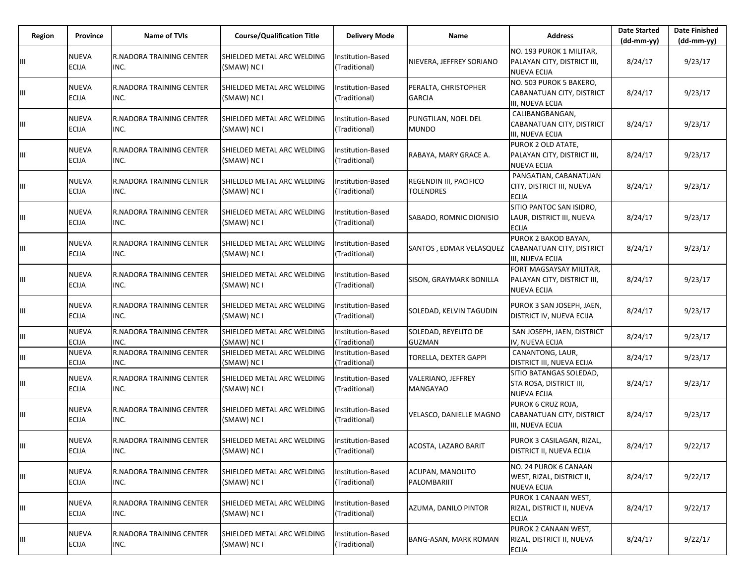| Region | Province                     | <b>Name of TVIs</b>                     | <b>Course/Qualification Title</b>         | <b>Delivery Mode</b>                      | <b>Name</b>                                       | <b>Address</b>                                                                | <b>Date Started</b><br>$(dd-mm-yy)$ | <b>Date Finished</b><br>(dd-mm-yy) |
|--------|------------------------------|-----------------------------------------|-------------------------------------------|-------------------------------------------|---------------------------------------------------|-------------------------------------------------------------------------------|-------------------------------------|------------------------------------|
| Ш      | <b>NUEVA</b><br><b>ECIJA</b> | <b>R.NADORA TRAINING CENTER</b><br>INC. | SHIELDED METAL ARC WELDING<br>(SMAW) NC I | Institution-Based<br>(Traditional)        | NIEVERA, JEFFREY SORIANO                          | NO. 193 PUROK 1 MILITAR,<br>PALAYAN CITY, DISTRICT III,<br><b>NUEVA ECIJA</b> | 8/24/17                             | 9/23/17                            |
| Ш      | <b>NUEVA</b><br><b>ECIJA</b> | <b>R.NADORA TRAINING CENTER</b><br>INC. | SHIELDED METAL ARC WELDING<br>(SMAW) NC I | Institution-Based<br>(Traditional)        | PERALTA, CHRISTOPHER<br><b>GARCIA</b>             | NO. 503 PUROK 5 BAKERO,<br>CABANATUAN CITY, DISTRICT<br>III, NUEVA ECIJA      | 8/24/17                             | 9/23/17                            |
| Ш      | <b>NUEVA</b><br><b>ECIJA</b> | <b>R.NADORA TRAINING CENTER</b><br>INC. | SHIELDED METAL ARC WELDING<br>(SMAW) NC I | Institution-Based<br>(Traditional)        | PUNGTILAN, NOEL DEL<br><b>MUNDO</b>               | CALIBANGBANGAN,<br>CABANATUAN CITY, DISTRICT<br>III, NUEVA ECIJA              | 8/24/17                             | 9/23/17                            |
| Ш      | <b>NUEVA</b><br><b>ECIJA</b> | <b>R.NADORA TRAINING CENTER</b><br>INC. | SHIELDED METAL ARC WELDING<br>(SMAW) NC I | nstitution-Based<br>(Traditional)         | RABAYA, MARY GRACE A.                             | PUROK 2 OLD ATATE.<br>PALAYAN CITY, DISTRICT III,<br><b>NUEVA ECIJA</b>       | 8/24/17                             | 9/23/17                            |
| Ш      | <b>NUEVA</b><br><b>ECIJA</b> | <b>R.NADORA TRAINING CENTER</b><br>INC. | SHIELDED METAL ARC WELDING<br>(SMAW) NC I | <b>Institution-Based</b><br>(Traditional) | <b>REGENDIN III, PACIFICO</b><br><b>TOLENDRES</b> | PANGATIAN, CABANATUAN<br>CITY, DISTRICT III, NUEVA<br><b>ECIJA</b>            | 8/24/17                             | 9/23/17                            |
| Ш      | <b>NUEVA</b><br>ECIJA        | <b>R.NADORA TRAINING CENTER</b><br>INC. | SHIELDED METAL ARC WELDING<br>(SMAW) NC I | Institution-Based<br>(Traditional)        | SABADO, ROMNIC DIONISIO                           | SITIO PANTOC SAN ISIDRO,<br>LAUR, DISTRICT III, NUEVA<br><b>ECIJA</b>         | 8/24/17                             | 9/23/17                            |
| Ш      | <b>NUEVA</b><br><b>ECIJA</b> | <b>R.NADORA TRAINING CENTER</b><br>INC. | SHIELDED METAL ARC WELDING<br>(SMAW) NC I | <b>Institution-Based</b><br>(Traditional) | SANTOS, EDMAR VELASQUEZ                           | PUROK 2 BAKOD BAYAN,<br>CABANATUAN CITY, DISTRICT<br>III, NUEVA ECIJA         | 8/24/17                             | 9/23/17                            |
| Ш      | NUEVA<br><b>ECIJA</b>        | <b>R.NADORA TRAINING CENTER</b><br>INC. | SHIELDED METAL ARC WELDING<br>(SMAW) NC I | nstitution-Based<br>(Traditional)         | SISON, GRAYMARK BONILLA                           | FORT MAGSAYSAY MILITAR,<br>PALAYAN CITY, DISTRICT III,<br><b>NUEVA ECIJA</b>  | 8/24/17                             | 9/23/17                            |
| Ш      | <b>NUEVA</b><br><b>ECIJA</b> | <b>R.NADORA TRAINING CENTER</b><br>INC. | SHIELDED METAL ARC WELDING<br>(SMAW) NC I | Institution-Based<br>(Traditional)        | SOLEDAD, KELVIN TAGUDIN                           | PUROK 3 SAN JOSEPH, JAEN,<br>DISTRICT IV, NUEVA ECIJA                         | 8/24/17                             | 9/23/17                            |
| Ш      | <b>NUEVA</b><br><b>ECIJA</b> | <b>R.NADORA TRAINING CENTER</b><br>INC. | SHIELDED METAL ARC WELDING<br>(SMAW) NC I | Institution-Based<br>(Traditional)        | SOLEDAD, REYELITO DE<br><b>GUZMAN</b>             | SAN JOSEPH, JAEN, DISTRICT<br>IV, NUEVA ECIJA                                 | 8/24/17                             | 9/23/17                            |
| Ш      | <b>NUEVA</b><br><b>ECIJA</b> | R.NADORA TRAINING CENTER<br>INC.        | SHIELDED METAL ARC WELDING<br>(SMAW) NC I | Institution-Based<br>(Traditional)        | TORELLA, DEXTER GAPPI                             | CANANTONG, LAUR,<br>DISTRICT III, NUEVA ECIJA                                 | 8/24/17                             | 9/23/17                            |
| Ш      | NUEVA<br><b>ECIJA</b>        | <b>R.NADORA TRAINING CENTER</b><br>INC. | SHIELDED METAL ARC WELDING<br>(SMAW) NC I | Institution-Based<br>(Traditional)        | VALERIANO, JEFFREY<br><b>MANGAYAO</b>             | SITIO BATANGAS SOLEDAD,<br>STA ROSA, DISTRICT III,<br><b>NUEVA ECIJA</b>      | 8/24/17                             | 9/23/17                            |
| Ш      | <b>NUEVA</b><br><b>ECIJA</b> | <b>R.NADORA TRAINING CENTER</b><br>INC. | SHIELDED METAL ARC WELDING<br>(SMAW) NC I | nstitution-Based<br>(Traditional)         | VELASCO, DANIELLE MAGNO                           | PUROK 6 CRUZ ROJA,<br>CABANATUAN CITY, DISTRICT<br>III, NUEVA ECIJA           | 8/24/17                             | 9/23/17                            |
|        | <b>NUEVA</b><br><b>ECIJA</b> | <b>R.NADORA TRAINING CENTER</b><br>INC. | SHIELDED METAL ARC WELDING<br>(SMAW) NC I | Institution-Based<br>(Traditional)        | ACOSTA, LAZARO BARIT                              | PUROK 3 CASILAGAN, RIZAL,<br><b>DISTRICT II, NUEVA ECIJA</b>                  | 8/24/17                             | 9/22/17                            |
| Ш      | <b>NUEVA</b><br>ECIJA        | <b>R.NADORA TRAINING CENTER</b><br>INC. | SHIELDED METAL ARC WELDING<br>(SMAW) NC I | Institution-Based<br>(Traditional)        | ACUPAN, MANOLITO<br>PALOMBARIIT                   | NO. 24 PUROK 6 CANAAN<br>WEST, RIZAL, DISTRICT II,<br><b>NUEVA ECIJA</b>      | 8/24/17                             | 9/22/17                            |
| Ш      | <b>NUEVA</b><br><b>ECIJA</b> | R.NADORA TRAINING CENTER<br>INC.        | SHIELDED METAL ARC WELDING<br>(SMAW) NC I | Institution-Based<br>(Traditional)        | AZUMA, DANILO PINTOR                              | PUROK 1 CANAAN WEST,<br>RIZAL, DISTRICT II, NUEVA<br><b>ECIJA</b>             | 8/24/17                             | 9/22/17                            |
| Ш      | <b>NUEVA</b><br><b>ECIJA</b> | R.NADORA TRAINING CENTER<br>INC.        | SHIELDED METAL ARC WELDING<br>(SMAW) NC I | Institution-Based<br>(Traditional)        | BANG-ASAN, MARK ROMAN                             | PUROK 2 CANAAN WEST,<br>RIZAL, DISTRICT II, NUEVA<br><b>ECIJA</b>             | 8/24/17                             | 9/22/17                            |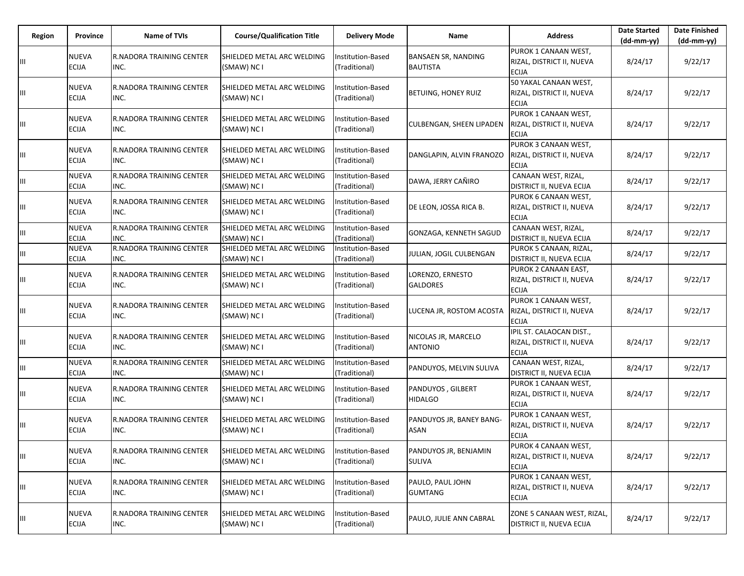| Region | Province                     | <b>Name of TVIs</b>                     | <b>Course/Qualification Title</b>         | <b>Delivery Mode</b>               | <b>Name</b>                                   | <b>Address</b>                                                        | <b>Date Started</b><br>$(dd-mm-yy)$ | <b>Date Finished</b><br>(dd-mm-yy) |
|--------|------------------------------|-----------------------------------------|-------------------------------------------|------------------------------------|-----------------------------------------------|-----------------------------------------------------------------------|-------------------------------------|------------------------------------|
| Ш      | <b>NUEVA</b><br><b>ECIJA</b> | <b>R.NADORA TRAINING CENTER</b><br>INC. | SHIELDED METAL ARC WELDING<br>(SMAW) NC I | Institution-Based<br>(Traditional) | <b>BANSAEN SR, NANDING</b><br><b>BAUTISTA</b> | PUROK 1 CANAAN WEST,<br>RIZAL, DISTRICT II, NUEVA<br><b>ECIJA</b>     | 8/24/17                             | 9/22/17                            |
| Ш      | <b>NUEVA</b><br><b>ECIJA</b> | <b>R.NADORA TRAINING CENTER</b><br>INC. | SHIELDED METAL ARC WELDING<br>(SMAW) NC I | Institution-Based<br>(Traditional) | <b>BETUING, HONEY RUIZ</b>                    | 50 YAKAL CANAAN WEST,<br>RIZAL, DISTRICT II, NUEVA<br><b>ECIJA</b>    | 8/24/17                             | 9/22/17                            |
| Ш      | <b>NUEVA</b><br><b>ECIJA</b> | <b>R.NADORA TRAINING CENTER</b><br>INC. | SHIELDED METAL ARC WELDING<br>(SMAW) NC I | Institution-Based<br>(Traditional) | <b>CULBENGAN, SHEEN LIPADEN</b>               | PUROK 1 CANAAN WEST,<br>RIZAL, DISTRICT II, NUEVA<br><b>ECIJA</b>     | 8/24/17                             | 9/22/17                            |
| Ш      | <b>NUEVA</b><br><b>ECIJA</b> | <b>R.NADORA TRAINING CENTER</b><br>INC. | SHIELDED METAL ARC WELDING<br>(SMAW) NC I | Institution-Based<br>(Traditional) | DANGLAPIN, ALVIN FRANOZO                      | PUROK 3 CANAAN WEST,<br>RIZAL, DISTRICT II, NUEVA<br><b>ECIJA</b>     | 8/24/17                             | 9/22/17                            |
| Ш      | <b>NUEVA</b><br><b>ECIJA</b> | R.NADORA TRAINING CENTER<br>INC.        | SHIELDED METAL ARC WELDING<br>(SMAW) NC I | Institution-Based<br>(Traditional) | DAWA, JERRY CAÑIRO                            | CANAAN WEST, RIZAL,<br><b>DISTRICT II, NUEVA ECIJA</b>                | 8/24/17                             | 9/22/17                            |
| Ш      | <b>NUEVA</b><br><b>ECIJA</b> | <b>R.NADORA TRAINING CENTER</b><br>INC. | SHIELDED METAL ARC WELDING<br>(SMAW) NC I | Institution-Based<br>(Traditional) | DE LEON, JOSSA RICA B.                        | PUROK 6 CANAAN WEST,<br>RIZAL, DISTRICT II, NUEVA<br><b>ECIJA</b>     | 8/24/17                             | 9/22/17                            |
| Ш      | <b>NUEVA</b><br><b>ECIJA</b> | <b>R.NADORA TRAINING CENTER</b><br>INC. | SHIELDED METAL ARC WELDING<br>(SMAW) NC I | Institution-Based<br>(Traditional) | GONZAGA, KENNETH SAGUD                        | CANAAN WEST, RIZAL,<br>DISTRICT II, NUEVA ECIJA                       | 8/24/17                             | 9/22/17                            |
| Ш      | <b>NUEVA</b><br><b>ECIJA</b> | R.NADORA TRAINING CENTER<br>INC.        | SHIELDED METAL ARC WELDING<br>(SMAW) NC I | Institution-Based<br>(Traditional) | JULIAN, JOGIL CULBENGAN                       | PUROK 5 CANAAN, RIZAL,<br>DISTRICT II, NUEVA ECIJA                    | 8/24/17                             | 9/22/17                            |
| Ш      | <b>NUEVA</b><br><b>ECIJA</b> | <b>R.NADORA TRAINING CENTER</b><br>INC. | SHIELDED METAL ARC WELDING<br>(SMAW) NC I | Institution-Based<br>(Traditional) | LORENZO, ERNESTO<br><b>GALDORES</b>           | PUROK 2 CANAAN EAST,<br>RIZAL, DISTRICT II, NUEVA<br><b>ECIJA</b>     | 8/24/17                             | 9/22/17                            |
| Ш      | <b>NUEVA</b><br><b>ECIJA</b> | <b>R.NADORA TRAINING CENTER</b><br>INC. | SHIELDED METAL ARC WELDING<br>(SMAW) NC I | Institution-Based<br>(Traditional) | LUCENA JR, ROSTOM ACOSTA                      | PUROK 1 CANAAN WEST,<br>RIZAL, DISTRICT II, NUEVA<br><b>ECIJA</b>     | 8/24/17                             | 9/22/17                            |
| Ш      | <b>NUEVA</b><br>ECIJA        | <b>R.NADORA TRAINING CENTER</b><br>INC. | SHIELDED METAL ARC WELDING<br>(SMAW) NC I | Institution-Based<br>(Traditional) | NICOLAS JR, MARCELO<br><b>ANTONIO</b>         | IPIL ST. CALAOCAN DIST.,<br>RIZAL, DISTRICT II, NUEVA<br><b>ECIJA</b> | 8/24/17                             | 9/22/17                            |
| Ш      | <b>NUEVA</b><br><b>ECIJA</b> | R.NADORA TRAINING CENTER<br>INC.        | SHIELDED METAL ARC WELDING<br>(SMAW) NC I | Institution-Based<br>(Traditional) | PANDUYOS, MELVIN SULIVA                       | CANAAN WEST, RIZAL,<br><b>DISTRICT II, NUEVA ECIJA</b>                | 8/24/17                             | 9/22/17                            |
| Ш      | <b>NUEVA</b><br><b>ECIJA</b> | <b>R.NADORA TRAINING CENTER</b><br>INC. | SHIELDED METAL ARC WELDING<br>(SMAW) NC I | Institution-Based<br>(Traditional) | PANDUYOS, GILBERT<br><b>HIDALGO</b>           | PUROK 1 CANAAN WEST,<br>RIZAL, DISTRICT II, NUEVA<br><b>ECIJA</b>     | 8/24/17                             | 9/22/17                            |
| Ш      | <b>NUEVA</b><br><b>ECIJA</b> | <b>R.NADORA TRAINING CENTER</b><br>INC. | SHIELDED METAL ARC WELDING<br>(SMAW) NC I | nstitution-Based<br>(Traditional)  | PANDUYOS JR, BANEY BANG-<br><b>ASAN</b>       | PUROK 1 CANAAN WEST,<br>RIZAL, DISTRICT II, NUEVA<br><b>ECIJA</b>     | 8/24/17                             | 9/22/17                            |
| Ш      | <b>NUEVA</b><br>ECIJA        | R.NADORA TRAINING CENTER<br>INC.        | SHIELDED METAL ARC WELDING<br>(SMAW) NC I | Institution-Based<br>(Traditional) | PANDUYOS JR, BENJAMIN<br>SULIVA               | PUROK 4 CANAAN WEST,<br>RIZAL, DISTRICT II, NUEVA<br><b>ECIJA</b>     | 8/24/17                             | 9/22/17                            |
| Ш      | NUEVA<br>ECIJA               | <b>R.NADORA TRAINING CENTER</b><br>INC. | SHIELDED METAL ARC WELDING<br>(SMAW) NC I | Institution-Based<br>(Traditional) | PAULO, PAUL JOHN<br>GUMTANG                   | PUROK 1 CANAAN WEST,<br>RIZAL, DISTRICT II, NUEVA<br><b>ECIJA</b>     | 8/24/17                             | 9/22/17                            |
| Ш      | <b>NUEVA</b><br><b>ECIJA</b> | R.NADORA TRAINING CENTER<br>INC.        | SHIELDED METAL ARC WELDING<br>(SMAW) NC I | Institution-Based<br>(Traditional) | PAULO, JULIE ANN CABRAL                       | ZONE 5 CANAAN WEST, RIZAL,<br><b>DISTRICT II, NUEVA ECIJA</b>         | 8/24/17                             | 9/22/17                            |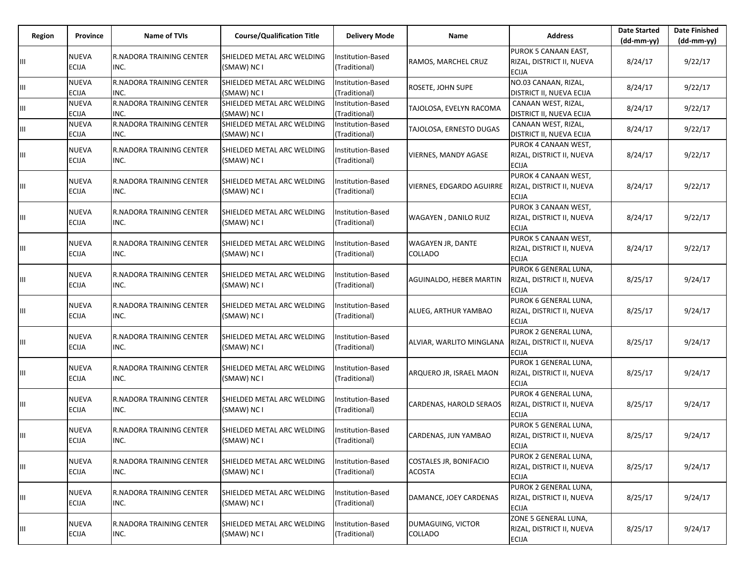| Region | Province                     | <b>Name of TVIs</b>                     | <b>Course/Qualification Title</b>         | <b>Delivery Mode</b>               | Name                                       | <b>Address</b>                                                     | <b>Date Started</b><br>$(dd-mm-yy)$ | <b>Date Finished</b><br>(dd-mm-yy) |
|--------|------------------------------|-----------------------------------------|-------------------------------------------|------------------------------------|--------------------------------------------|--------------------------------------------------------------------|-------------------------------------|------------------------------------|
|        | <b>NUEVA</b><br><b>ECIJA</b> | R.NADORA TRAINING CENTER<br>INC.        | SHIELDED METAL ARC WELDING<br>(SMAW) NC I | Institution-Based<br>(Traditional) | RAMOS, MARCHEL CRUZ                        | PUROK 5 CANAAN EAST.<br>RIZAL, DISTRICT II, NUEVA<br><b>ECIJA</b>  | 8/24/17                             | 9/22/17                            |
| Ш      | <b>NUEVA</b><br><b>ECIJA</b> | R.NADORA TRAINING CENTER<br>INC.        | SHIELDED METAL ARC WELDING<br>(SMAW) NC I | Institution-Based<br>(Traditional) | ROSETE, JOHN SUPE                          | NO.03 CANAAN, RIZAL,<br>DISTRICT II, NUEVA ECIJA                   | 8/24/17                             | 9/22/17                            |
| Ш      | <b>NUEVA</b><br><b>ECIJA</b> | <b>R.NADORA TRAINING CENTER</b><br>INC. | SHIELDED METAL ARC WELDING<br>(SMAW) NC I | Institution-Based<br>(Traditional) | TAJOLOSA, EVELYN RACOMA                    | CANAAN WEST, RIZAL,<br>DISTRICT II, NUEVA ECIJA                    | 8/24/17                             | 9/22/17                            |
| Ш      | <b>NUEVA</b><br><b>ECIJA</b> | R.NADORA TRAINING CENTER<br>INC.        | SHIELDED METAL ARC WELDING<br>(SMAW) NC I | Institution-Based<br>(Traditional) | TAJOLOSA, ERNESTO DUGAS                    | CANAAN WEST, RIZAL,<br>DISTRICT II, NUEVA ECIJA                    | 8/24/17                             | 9/22/17                            |
| Щ      | <b>NUEVA</b><br><b>ECIJA</b> | <b>R.NADORA TRAINING CENTER</b><br>INC. | SHIELDED METAL ARC WELDING<br>(SMAW) NC I | Institution-Based<br>(Traditional) | <b>VIERNES, MANDY AGASE</b>                | PUROK 4 CANAAN WEST,<br>RIZAL, DISTRICT II, NUEVA<br><b>ECIJA</b>  | 8/24/17                             | 9/22/17                            |
| Ш      | <b>NUEVA</b><br><b>ECIJA</b> | R.NADORA TRAINING CENTER<br>INC.        | SHIELDED METAL ARC WELDING<br>(SMAW) NC I | Institution-Based<br>(Traditional) | VIERNES, EDGARDO AGUIRRE                   | PUROK 4 CANAAN WEST,<br>RIZAL, DISTRICT II, NUEVA<br><b>ECIJA</b>  | 8/24/17                             | 9/22/17                            |
| Ш      | <b>NUEVA</b><br><b>ECIJA</b> | R.NADORA TRAINING CENTER<br>INC.        | SHIELDED METAL ARC WELDING<br>(SMAW) NC I | Institution-Based<br>(Traditional) | WAGAYEN, DANILO RUIZ                       | PUROK 3 CANAAN WEST,<br>RIZAL, DISTRICT II, NUEVA<br><b>ECIJA</b>  | 8/24/17                             | 9/22/17                            |
| Ш      | <b>NUEVA</b><br><b>ECIJA</b> | R.NADORA TRAINING CENTER<br>INC.        | SHIELDED METAL ARC WELDING<br>(SMAW) NC I | Institution-Based<br>(Traditional) | <b>WAGAYEN JR, DANTE</b><br><b>COLLADO</b> | PUROK 5 CANAAN WEST,<br>RIZAL, DISTRICT II, NUEVA<br>ECIJA         | 8/24/17                             | 9/22/17                            |
| Ш      | <b>NUEVA</b><br><b>ECIJA</b> | <b>R.NADORA TRAINING CENTER</b><br>INC. | SHIELDED METAL ARC WELDING<br>(SMAW) NC I | Institution-Based<br>(Traditional) | <b>AGUINALDO, HEBER MARTIN</b>             | PUROK 6 GENERAL LUNA,<br>RIZAL, DISTRICT II, NUEVA<br>ECIJA        | 8/25/17                             | 9/24/17                            |
| Ш      | <b>NUEVA</b><br><b>ECIJA</b> | R.NADORA TRAINING CENTER<br>INC.        | SHIELDED METAL ARC WELDING<br>(SMAW) NC I | Institution-Based<br>(Traditional) | ALUEG, ARTHUR YAMBAO                       | PUROK 6 GENERAL LUNA,<br>RIZAL, DISTRICT II, NUEVA<br><b>ECIJA</b> | 8/25/17                             | 9/24/17                            |
| Ш      | <b>NUEVA</b><br><b>ECIJA</b> | R.NADORA TRAINING CENTER<br>INC.        | SHIELDED METAL ARC WELDING<br>(SMAW) NC I | Institution-Based<br>(Traditional) | ALVIAR, WARLITO MINGLANA                   | PUROK 2 GENERAL LUNA,<br>RIZAL, DISTRICT II, NUEVA<br><b>ECIJA</b> | 8/25/17                             | 9/24/17                            |
| Ш      | <b>NUEVA</b><br><b>ECIJA</b> | R.NADORA TRAINING CENTER<br>INC.        | SHIELDED METAL ARC WELDING<br>(SMAW) NC I | Institution-Based<br>(Traditional) | ARQUERO JR, ISRAEL MAON                    | PUROK 1 GENERAL LUNA,<br>RIZAL, DISTRICT II, NUEVA<br>ECIJA        | 8/25/17                             | 9/24/17                            |
| Щ      | <b>NUEVA</b><br><b>ECIJA</b> | <b>R.NADORA TRAINING CENTER</b><br>INC. | SHIELDED METAL ARC WELDING<br>(SMAW) NC I | Institution-Based<br>(Traditional) | <b>CARDENAS, HAROLD SERAOS</b>             | PUROK 4 GENERAL LUNA,<br>RIZAL, DISTRICT II, NUEVA<br>ECIJA        | 8/25/17                             | 9/24/17                            |
| Ш      | <b>NUEVA</b><br><b>ECIJA</b> | <b>R.NADORA TRAINING CENTER</b><br>INC. | SHIELDED METAL ARC WELDING<br>(SMAW) NC I | Institution-Based<br>(Traditional) | CARDENAS, JUN YAMBAO                       | PUROK 5 GENERAL LUNA,<br>RIZAL, DISTRICT II, NUEVA<br><b>ECIJA</b> | 8/25/17                             | 9/24/17                            |
| Ш      | <b>NUEVA</b><br><b>ECIJA</b> | R.NADORA TRAINING CENTER<br>INC.        | SHIELDED METAL ARC WELDING<br>(SMAW) NC I | Institution-Based<br>(Traditional) | COSTALES JR, BONIFACIO<br><b>ACOSTA</b>    | PUROK 2 GENERAL LUNA,<br>RIZAL, DISTRICT II, NUEVA<br><b>ECIJA</b> | 8/25/17                             | 9/24/17                            |
| Ш      | <b>NUEVA</b><br><b>ECIJA</b> | <b>R.NADORA TRAINING CENTER</b><br>INC. | SHIELDED METAL ARC WELDING<br>(SMAW) NC I | Institution-Based<br>(Traditional) | DAMANCE, JOEY CARDENAS                     | PUROK 2 GENERAL LUNA,<br>RIZAL, DISTRICT II, NUEVA<br><b>ECIJA</b> | 8/25/17                             | 9/24/17                            |
|        | <b>NUEVA</b><br><b>ECIJA</b> | R.NADORA TRAINING CENTER<br>INC.        | SHIELDED METAL ARC WELDING<br>(SMAW) NC I | Institution-Based<br>(Traditional) | DUMAGUING, VICTOR<br><b>COLLADO</b>        | ZONE 5 GENERAL LUNA,<br>RIZAL, DISTRICT II, NUEVA<br><b>ECIJA</b>  | 8/25/17                             | 9/24/17                            |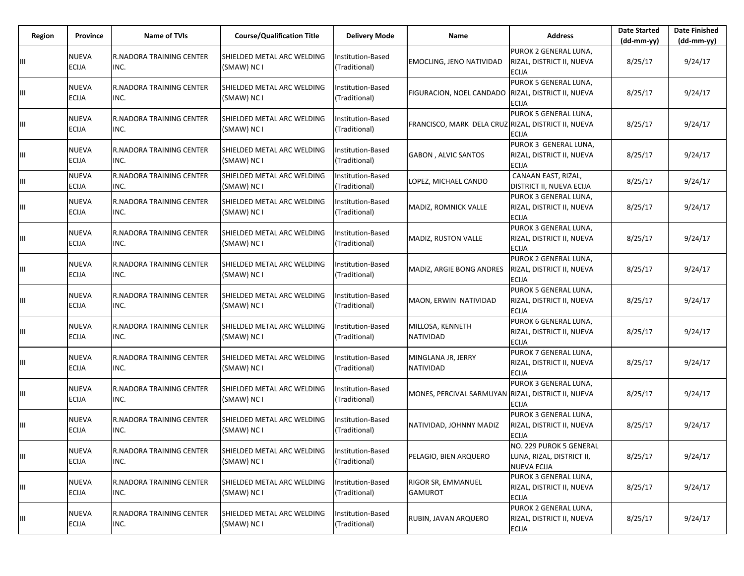| Region | Province                     | <b>Name of TVIs</b>                     | <b>Course/Qualification Title</b>         | <b>Delivery Mode</b>               | <b>Name</b>                                         | <b>Address</b>                                                             | <b>Date Started</b><br>$(dd-mm-yy)$ | <b>Date Finished</b><br>(dd-mm-yy) |
|--------|------------------------------|-----------------------------------------|-------------------------------------------|------------------------------------|-----------------------------------------------------|----------------------------------------------------------------------------|-------------------------------------|------------------------------------|
| Ш      | <b>NUEVA</b><br><b>ECIJA</b> | <b>R.NADORA TRAINING CENTER</b><br>INC. | SHIELDED METAL ARC WELDING<br>(SMAW) NC I | Institution-Based<br>(Traditional) | <b>EMOCLING, JENO NATIVIDAD</b>                     | PUROK 2 GENERAL LUNA,<br>RIZAL, DISTRICT II, NUEVA<br><b>ECIJA</b>         | 8/25/17                             | 9/24/17                            |
| Ш      | <b>NUEVA</b><br><b>ECIJA</b> | <b>R.NADORA TRAINING CENTER</b><br>INC. | SHIELDED METAL ARC WELDING<br>(SMAW) NC I | Institution-Based<br>(Traditional) | FIGURACION, NOEL CANDADO                            | PUROK 5 GENERAL LUNA.<br>RIZAL, DISTRICT II, NUEVA<br><b>ECIJA</b>         | 8/25/17                             | 9/24/17                            |
| Ш      | <b>NUEVA</b><br><b>ECIJA</b> | <b>R.NADORA TRAINING CENTER</b><br>INC. | SHIELDED METAL ARC WELDING<br>(SMAW) NC I | Institution-Based<br>(Traditional) | FRANCISCO, MARK DELA CRUZ RIZAL, DISTRICT II, NUEVA | PUROK 5 GENERAL LUNA,<br><b>ECIJA</b>                                      | 8/25/17                             | 9/24/17                            |
| Ш      | <b>NUEVA</b><br><b>ECIJA</b> | <b>R.NADORA TRAINING CENTER</b><br>INC. | SHIELDED METAL ARC WELDING<br>(SMAW) NC I | nstitution-Based<br>(Traditional)  | <b>GABON, ALVIC SANTOS</b>                          | PUROK 3 GENERAL LUNA,<br>RIZAL, DISTRICT II, NUEVA<br><b>ECIJA</b>         | 8/25/17                             | 9/24/17                            |
| Ш      | <b>NUEVA</b><br><b>ECIJA</b> | R.NADORA TRAINING CENTER<br>INC.        | SHIELDED METAL ARC WELDING<br>(SMAW) NC I | Institution-Based<br>(Traditional) | LOPEZ, MICHAEL CANDO                                | CANAAN EAST, RIZAL,<br>DISTRICT II, NUEVA ECIJA                            | 8/25/17                             | 9/24/17                            |
| Ш      | <b>NUEVA</b><br><b>ECIJA</b> | <b>R.NADORA TRAINING CENTER</b><br>INC. | SHIELDED METAL ARC WELDING<br>(SMAW) NC I | nstitution-Based<br>(Traditional)  | MADIZ, ROMNICK VALLE                                | PUROK 3 GENERAL LUNA,<br>RIZAL, DISTRICT II, NUEVA<br><b>ECIJA</b>         | 8/25/17                             | 9/24/17                            |
| Ш      | <b>NUEVA</b><br><b>ECIJA</b> | <b>R.NADORA TRAINING CENTER</b><br>INC. | SHIELDED METAL ARC WELDING<br>(SMAW) NC I | Institution-Based<br>(Traditional) | MADIZ, RUSTON VALLE                                 | PUROK 3 GENERAL LUNA,<br>RIZAL, DISTRICT II, NUEVA<br><b>ECIJA</b>         | 8/25/17                             | 9/24/17                            |
| Ш      | <b>NUEVA</b><br><b>ECIJA</b> | <b>R.NADORA TRAINING CENTER</b><br>INC. | SHIELDED METAL ARC WELDING<br>(SMAW) NC I | nstitution-Based<br>(Traditional)  | MADIZ, ARGIE BONG ANDRES                            | PUROK 2 GENERAL LUNA,<br>RIZAL, DISTRICT II, NUEVA<br><b>ECIJA</b>         | 8/25/17                             | 9/24/17                            |
| Ш      | <b>NUEVA</b><br><b>ECIJA</b> | <b>R.NADORA TRAINING CENTER</b><br>INC. | SHIELDED METAL ARC WELDING<br>(SMAW) NC I | nstitution-Based<br>(Traditional)  | MAON, ERWIN NATIVIDAD                               | PUROK 5 GENERAL LUNA,<br>RIZAL, DISTRICT II, NUEVA<br><b>ECIJA</b>         | 8/25/17                             | 9/24/17                            |
| Ш      | <b>NUEVA</b><br><b>ECIJA</b> | <b>R.NADORA TRAINING CENTER</b><br>INC. | SHIELDED METAL ARC WELDING<br>(SMAW) NC I | Institution-Based<br>(Traditional) | MILLOSA, KENNETH<br><b>NATIVIDAD</b>                | PUROK 6 GENERAL LUNA,<br>RIZAL, DISTRICT II, NUEVA<br><b>ECIJA</b>         | 8/25/17                             | 9/24/17                            |
| Ш      | <b>NUEVA</b><br><b>ECIJA</b> | <b>R.NADORA TRAINING CENTER</b><br>INC. | SHIELDED METAL ARC WELDING<br>(SMAW) NC I | Institution-Based<br>(Traditional) | MINGLANA JR, JERRY<br>NATIVIDAD                     | PUROK 7 GENERAL LUNA,<br>RIZAL, DISTRICT II, NUEVA<br><b>ECIJA</b>         | 8/25/17                             | 9/24/17                            |
| Ш      | <b>NUEVA</b><br><b>ECIJA</b> | <b>R.NADORA TRAINING CENTER</b><br>INC. | SHIELDED METAL ARC WELDING<br>(SMAW) NC I | Institution-Based<br>(Traditional) | MONES, PERCIVAL SARMUYAN                            | PUROK 3 GENERAL LUNA,<br>RIZAL, DISTRICT II, NUEVA<br><b>ECIJA</b>         | 8/25/17                             | 9/24/17                            |
| Ш      | <b>NUEVA</b><br><b>ECIJA</b> | R.NADORA TRAINING CENTER<br>INC.        | SHIELDED METAL ARC WELDING<br>(SMAW) NC I | nstitution-Based<br>(Traditional)  | NATIVIDAD, JOHNNY MADIZ                             | PUROK 3 GENERAL LUNA,<br>RIZAL, DISTRICT II, NUEVA<br><b>ECIJA</b>         | 8/25/17                             | 9/24/17                            |
| Ш      | <b>NUEVA</b><br>ECIJA        | R.NADORA TRAINING CENTER<br>INC.        | SHIELDED METAL ARC WELDING<br>(SMAW) NC I | Institution-Based<br>(Traditional) | PELAGIO, BIEN ARQUERO                               | NO. 229 PUROK 5 GENERAL<br>LUNA, RIZAL, DISTRICT II,<br><b>NUEVA ECIJA</b> | 8/25/17                             | 9/24/17                            |
| Ш      | NUEVA<br>ECIJA               | R.NADORA TRAINING CENTER<br>INC.        | SHIELDED METAL ARC WELDING<br>(SMAW) NC I | nstitution-Based<br>(Traditional)  | RIGOR SR, EMMANUEL<br>GAMUROT                       | PUROK 3 GENERAL LUNA,<br>RIZAL, DISTRICT II, NUEVA<br><b>ECIJA</b>         | 8/25/17                             | 9/24/17                            |
| Ш      | <b>NUEVA</b><br><b>ECIJA</b> | R.NADORA TRAINING CENTER<br>INC.        | SHIELDED METAL ARC WELDING<br>(SMAW) NC I | Institution-Based<br>(Traditional) | RUBIN, JAVAN ARQUERO                                | PUROK 2 GENERAL LUNA,<br>RIZAL, DISTRICT II, NUEVA<br><b>ECIJA</b>         | 8/25/17                             | 9/24/17                            |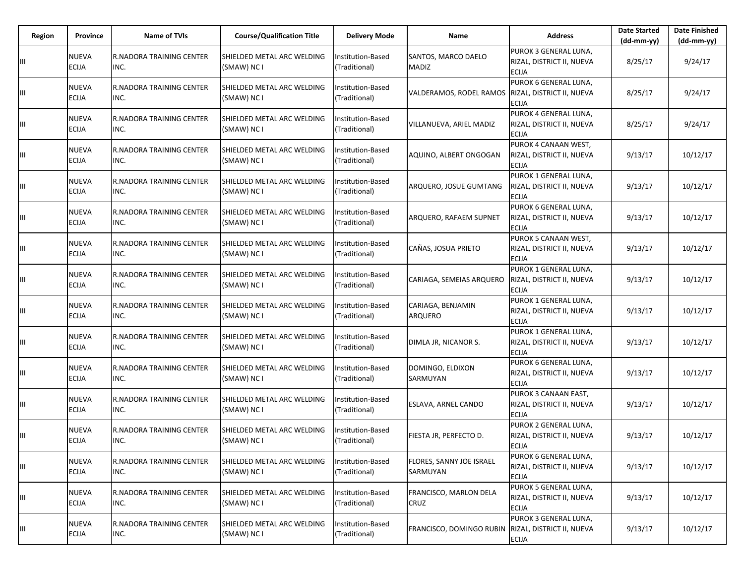| Region | Province                     | <b>Name of TVIs</b>                     | <b>Course/Qualification Title</b>         | <b>Delivery Mode</b>                      | Name                                 | <b>Address</b>                                                     | <b>Date Started</b><br>(dd-mm-yy) | <b>Date Finished</b><br>$(dd-mm-yy)$ |
|--------|------------------------------|-----------------------------------------|-------------------------------------------|-------------------------------------------|--------------------------------------|--------------------------------------------------------------------|-----------------------------------|--------------------------------------|
| Ш      | NUEVA<br><b>ECIJA</b>        | <b>R.NADORA TRAINING CENTER</b><br>INC. | SHIELDED METAL ARC WELDING<br>(SMAW) NC I | Institution-Based<br>(Traditional)        | SANTOS, MARCO DAELO<br>MADIZ         | PUROK 3 GENERAL LUNA,<br>RIZAL, DISTRICT II, NUEVA<br><b>ECIJA</b> | 8/25/17                           | 9/24/17                              |
| Ш      | <b>NUEVA</b><br><b>ECIJA</b> | <b>R.NADORA TRAINING CENTER</b><br>INC. | SHIELDED METAL ARC WELDING<br>(SMAW) NC I | Institution-Based<br>(Traditional)        | VALDERAMOS, RODEL RAMOS              | PUROK 6 GENERAL LUNA.<br>RIZAL, DISTRICT II, NUEVA<br><b>ECIJA</b> | 8/25/17                           | 9/24/17                              |
| Ш      | NUEVA<br><b>ECIJA</b>        | <b>R.NADORA TRAINING CENTER</b><br>INC. | SHIELDED METAL ARC WELDING<br>(SMAW) NC I | Institution-Based<br>(Traditional)        | VILLANUEVA, ARIEL MADIZ              | PUROK 4 GENERAL LUNA,<br>RIZAL, DISTRICT II, NUEVA<br><b>ECIJA</b> | 8/25/17                           | 9/24/17                              |
| Ш      | <b>NUEVA</b><br><b>ECIJA</b> | <b>R.NADORA TRAINING CENTER</b><br>INC. | SHIELDED METAL ARC WELDING<br>(SMAW) NC I | Institution-Based<br>(Traditional)        | AQUINO, ALBERT ONGOGAN               | PUROK 4 CANAAN WEST,<br>RIZAL, DISTRICT II, NUEVA<br><b>ECIJA</b>  | 9/13/17                           | 10/12/17                             |
| Ш      | <b>NUEVA</b><br><b>ECIJA</b> | R.NADORA TRAINING CENTER<br>INC.        | SHIELDED METAL ARC WELDING<br>(SMAW) NC I | <b>Institution-Based</b><br>(Traditional) | ARQUERO, JOSUE GUMTANG               | PUROK 1 GENERAL LUNA,<br>RIZAL, DISTRICT II, NUEVA<br><b>ECIJA</b> | 9/13/17                           | 10/12/17                             |
| Ш      | <b>NUEVA</b><br><b>ECIJA</b> | <b>R.NADORA TRAINING CENTER</b><br>INC. | SHIELDED METAL ARC WELDING<br>(SMAW) NC I | Institution-Based<br>(Traditional)        | ARQUERO, RAFAEM SUPNET               | PUROK 6 GENERAL LUNA,<br>RIZAL, DISTRICT II, NUEVA<br><b>ECIJA</b> | 9/13/17                           | 10/12/17                             |
| Ш      | NUEVA<br><b>ECIJA</b>        | <b>R.NADORA TRAINING CENTER</b><br>INC. | SHIELDED METAL ARC WELDING<br>(SMAW) NC I | Institution-Based<br>(Traditional)        | CAÑAS, JOSUA PRIETO                  | PUROK 5 CANAAN WEST,<br>RIZAL, DISTRICT II, NUEVA<br><b>ECIJA</b>  | 9/13/17                           | 10/12/17                             |
| Ш      | NUEVA<br><b>ECIJA</b>        | R.NADORA TRAINING CENTER<br>INC.        | SHIELDED METAL ARC WELDING<br>(SMAW) NC I | Institution-Based<br>(Traditional)        | CARIAGA, SEMEIAS ARQUERO             | PUROK 1 GENERAL LUNA.<br>RIZAL, DISTRICT II, NUEVA<br><b>ECIJA</b> | 9/13/17                           | 10/12/17                             |
| Ш      | <b>NUEVA</b><br><b>ECIJA</b> | <b>R.NADORA TRAINING CENTER</b><br>INC. | SHIELDED METAL ARC WELDING<br>(SMAW) NC I | <b>Institution-Based</b><br>(Traditional) | CARIAGA, BENJAMIN<br>ARQUERO         | PUROK 1 GENERAL LUNA,<br>RIZAL, DISTRICT II, NUEVA<br><b>ECIJA</b> | 9/13/17                           | 10/12/17                             |
| Ш      | <b>NUEVA</b><br><b>ECIJA</b> | <b>R.NADORA TRAINING CENTER</b><br>INC. | SHIELDED METAL ARC WELDING<br>(SMAW) NC I | Institution-Based<br>(Traditional)        | DIMLA JR, NICANOR S.                 | PUROK 1 GENERAL LUNA,<br>RIZAL, DISTRICT II, NUEVA<br><b>ECIJA</b> | 9/13/17                           | 10/12/17                             |
| Ш      | NUEVA<br><b>ECIJA</b>        | R.NADORA TRAINING CENTER<br>INC.        | SHIELDED METAL ARC WELDING<br>(SMAW) NC I | Institution-Based<br>(Traditional)        | DOMINGO, ELDIXON<br>SARMUYAN         | PUROK 6 GENERAL LUNA,<br>RIZAL, DISTRICT II, NUEVA<br><b>ECIJA</b> | 9/13/17                           | 10/12/17                             |
| Ш      | <b>NUEVA</b><br><b>ECIJA</b> | R.NADORA TRAINING CENTER<br>INC.        | SHIELDED METAL ARC WELDING<br>(SMAW) NC I | Institution-Based<br>(Traditional)        | ESLAVA, ARNEL CANDO                  | PUROK 3 CANAAN EAST,<br>RIZAL, DISTRICT II, NUEVA<br><b>ECIJA</b>  | 9/13/17                           | 10/12/17                             |
| Ш      | <b>NUEVA</b><br><b>ECIJA</b> | <b>R.NADORA TRAINING CENTER</b><br>INC. | SHIELDED METAL ARC WELDING<br>(SMAW) NC I | Institution-Based<br>(Traditional)        | FIESTA JR, PERFECTO D.               | PUROK 2 GENERAL LUNA,<br>RIZAL, DISTRICT II, NUEVA<br><b>ECIJA</b> | 9/13/17                           | 10/12/17                             |
| Ш      | NUEVA<br><b>ECIJA</b>        | R.NADORA TRAINING CENTER<br>INC.        | SHIELDED METAL ARC WELDING<br>(SMAW) NC I | Institution-Based<br>(Traditional)        | FLORES, SANNY JOE ISRAEL<br>SARMUYAN | PUROK 6 GENERAL LUNA,<br>RIZAL, DISTRICT II, NUEVA<br><b>ECIJA</b> | 9/13/17                           | 10/12/17                             |
| Ш      | NUEVA<br><b>ECIJA</b>        | R.NADORA TRAINING CENTER<br>INC.        | SHIELDED METAL ARC WELDING<br>(SMAW) NC I | Institution-Based<br>(Traditional)        | FRANCISCO, MARLON DELA<br>CRUZ       | PUROK 5 GENERAL LUNA,<br>RIZAL, DISTRICT II, NUEVA<br><b>ECIJA</b> | 9/13/17                           | 10/12/17                             |
| Ш      | <b>NUEVA</b><br>ECIJA        | <b>R.NADORA TRAINING CENTER</b><br>INC. | SHIELDED METAL ARC WELDING<br>(SMAW) NC I | Institution-Based<br>(Traditional)        | FRANCISCO, DOMINGO RUBIN             | PUROK 3 GENERAL LUNA,<br>RIZAL, DISTRICT II, NUEVA<br><b>ECIJA</b> | 9/13/17                           | 10/12/17                             |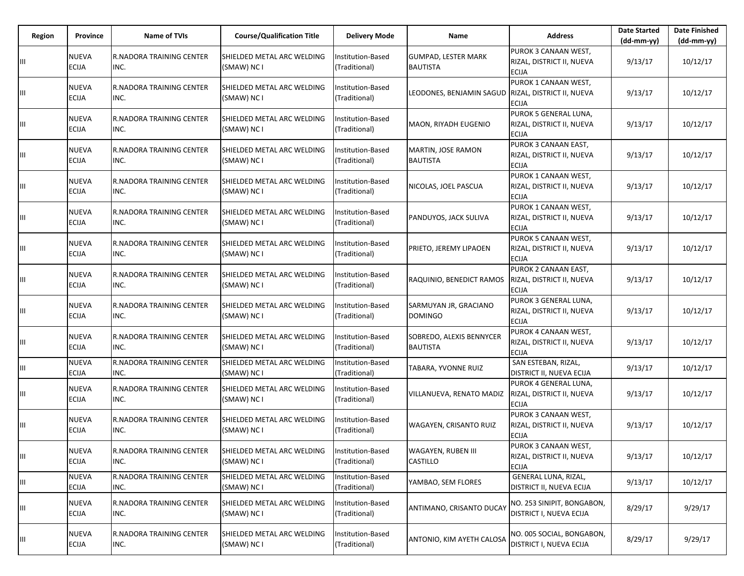| Region | Province                     | <b>Name of TVIs</b>                     | <b>Course/Qualification Title</b>         | <b>Delivery Mode</b>                      | Name                                          | <b>Address</b>                                                     | <b>Date Started</b><br>(dd-mm-yy) | <b>Date Finished</b><br>(dd-mm-yy) |
|--------|------------------------------|-----------------------------------------|-------------------------------------------|-------------------------------------------|-----------------------------------------------|--------------------------------------------------------------------|-----------------------------------|------------------------------------|
| Ш      | <b>NUEVA</b><br><b>ECIJA</b> | R.NADORA TRAINING CENTER<br>INC.        | SHIELDED METAL ARC WELDING<br>(SMAW) NC I | Institution-Based<br>(Traditional)        | <b>GUMPAD, LESTER MARK</b><br><b>BAUTISTA</b> | PUROK 3 CANAAN WEST,<br>RIZAL, DISTRICT II, NUEVA<br><b>ECIJA</b>  | 9/13/17                           | 10/12/17                           |
| Ш      | <b>NUEVA</b><br><b>ECIJA</b> | <b>R.NADORA TRAINING CENTER</b><br>INC. | SHIELDED METAL ARC WELDING<br>(SMAW) NC I | Institution-Based<br>(Traditional)        | LEODONES, BENJAMIN SAGUD                      | PUROK 1 CANAAN WEST,<br>RIZAL, DISTRICT II, NUEVA<br><b>ECIJA</b>  | 9/13/17                           | 10/12/17                           |
| Ш      | <b>NUEVA</b><br><b>ECIJA</b> | <b>R.NADORA TRAINING CENTER</b><br>INC. | SHIELDED METAL ARC WELDING<br>(SMAW) NC I | <b>Institution-Based</b><br>(Traditional) | <b>MAON. RIYADH EUGENIO</b>                   | PUROK 5 GENERAL LUNA,<br>RIZAL, DISTRICT II, NUEVA<br><b>ECIJA</b> | 9/13/17                           | 10/12/17                           |
| Ш      | <b>NUEVA</b><br><b>ECIJA</b> | <b>R.NADORA TRAINING CENTER</b><br>INC. | SHIELDED METAL ARC WELDING<br>(SMAW) NC I | nstitution-Based<br>(Traditional)         | MARTIN, JOSE RAMON<br><b>BAUTISTA</b>         | PUROK 3 CANAAN EAST,<br>RIZAL, DISTRICT II, NUEVA<br><b>ECIJA</b>  | 9/13/17                           | 10/12/17                           |
| Ш      | <b>NUEVA</b><br><b>ECIJA</b> | <b>R.NADORA TRAINING CENTER</b><br>INC. | SHIELDED METAL ARC WELDING<br>(SMAW) NC I | <b>Institution-Based</b><br>(Traditional) | NICOLAS, JOEL PASCUA                          | PUROK 1 CANAAN WEST,<br>RIZAL, DISTRICT II, NUEVA<br><b>ECIJA</b>  | 9/13/17                           | 10/12/17                           |
| Ш      | <b>NUEVA</b><br><b>ECIJA</b> | <b>R.NADORA TRAINING CENTER</b><br>INC. | SHIELDED METAL ARC WELDING<br>(SMAW) NC I | <b>Institution-Based</b><br>(Traditional) | PANDUYOS, JACK SULIVA                         | PUROK 1 CANAAN WEST,<br>RIZAL, DISTRICT II, NUEVA<br><b>ECIJA</b>  | 9/13/17                           | 10/12/17                           |
| Ш      | <b>NUEVA</b><br><b>ECIJA</b> | R.NADORA TRAINING CENTER<br>INC.        | SHIELDED METAL ARC WELDING<br>(SMAW) NC I | Institution-Based<br>(Traditional)        | PRIETO, JEREMY LIPAOEN                        | PUROK 5 CANAAN WEST,<br>RIZAL, DISTRICT II, NUEVA<br><b>ECIJA</b>  | 9/13/17                           | 10/12/17                           |
| Ш      | <b>NUEVA</b><br><b>ECIJA</b> | <b>R.NADORA TRAINING CENTER</b><br>INC. | SHIELDED METAL ARC WELDING<br>(SMAW) NC I | nstitution-Based<br>(Traditional)         | RAQUINIO, BENEDICT RAMOS                      | PUROK 2 CANAAN EAST,<br>RIZAL, DISTRICT II, NUEVA<br><b>ECIJA</b>  | 9/13/17                           | 10/12/17                           |
| Ш      | <b>NUEVA</b><br><b>ECIJA</b> | <b>R.NADORA TRAINING CENTER</b><br>INC. | SHIELDED METAL ARC WELDING<br>(SMAW) NC I | Institution-Based<br>(Traditional)        | SARMUYAN JR, GRACIANO<br><b>DOMINGO</b>       | PUROK 3 GENERAL LUNA,<br>RIZAL, DISTRICT II, NUEVA<br><b>ECIJA</b> | 9/13/17                           | 10/12/17                           |
| Ш      | <b>NUEVA</b><br><b>ECIJA</b> | <b>R.NADORA TRAINING CENTER</b><br>INC. | SHIELDED METAL ARC WELDING<br>(SMAW) NC I | nstitution-Based<br>(Traditional)         | SOBREDO, ALEXIS BENNYCER<br><b>BAUTISTA</b>   | PUROK 4 CANAAN WEST,<br>RIZAL, DISTRICT II, NUEVA<br><b>ECIJA</b>  | 9/13/17                           | 10/12/17                           |
| Ш      | <b>NUEVA</b><br><b>ECIJA</b> | <b>R.NADORA TRAINING CENTER</b><br>INC. | SHIELDED METAL ARC WELDING<br>(SMAW) NC I | Institution-Based<br>(Traditional)        | TABARA, YVONNE RUIZ                           | SAN ESTEBAN, RIZAL,<br>DISTRICT II, NUEVA ECIJA                    | 9/13/17                           | 10/12/17                           |
| Ш      | <b>NUEVA</b><br><b>ECIJA</b> | <b>R.NADORA TRAINING CENTER</b><br>INC. | SHIELDED METAL ARC WELDING<br>(SMAW) NC I | <b>Institution-Based</b><br>(Traditional) | VILLANUEVA, RENATO MADIZ                      | PUROK 4 GENERAL LUNA,<br>RIZAL, DISTRICT II, NUEVA<br><b>ECIJA</b> | 9/13/17                           | 10/12/17                           |
| Ш      | NUEVA<br><b>ECIJA</b>        | R.NADORA TRAINING CENTER<br>INC.        | SHIELDED METAL ARC WELDING<br>(SMAW) NC I | nstitution-Based<br>(Traditional)         | WAGAYEN, CRISANTO RUIZ                        | PUROK 3 CANAAN WEST,<br>RIZAL, DISTRICT II, NUEVA<br><b>ECIJA</b>  | 9/13/17                           | 10/12/17                           |
| Ш      | <b>NUEVA</b><br>ECIJA        | R.NADORA TRAINING CENTER<br>INC.        | SHIELDED METAL ARC WELDING<br>(SMAW) NC I | Institution-Based<br>(Traditional)        | WAGAYEN, RUBEN III<br><b>CASTILLO</b>         | PUROK 3 CANAAN WEST,<br>RIZAL, DISTRICT II, NUEVA<br><b>ECIJA</b>  | 9/13/17                           | 10/12/17                           |
| Ш      | <b>NUEVA</b><br><b>ECIJA</b> | R.NADORA TRAINING CENTER<br>INC.        | SHIELDED METAL ARC WELDING<br>(SMAW) NC I | Institution-Based<br>(Traditional)        | YAMBAO, SEM FLORES                            | <b>GENERAL LUNA, RIZAL,</b><br>DISTRICT II, NUEVA ECIJA            | 9/13/17                           | 10/12/17                           |
| Ш      | NUEVA<br><b>ECIJA</b>        | R.NADORA TRAINING CENTER<br>INC.        | SHIELDED METAL ARC WELDING<br>(SMAW) NC I | Institution-Based<br>(Traditional)        | ANTIMANO, CRISANTO DUCAY                      | NO. 253 SINIPIT, BONGABON,<br><b>DISTRICT I, NUEVA ECIJA</b>       | 8/29/17                           | 9/29/17                            |
| Ш      | NUEVA<br>ECIJA               | R.NADORA TRAINING CENTER<br>INC.        | SHIELDED METAL ARC WELDING<br>(SMAW) NC I | nstitution-Based<br>(Traditional)         | ANTONIO, KIM AYETH CALOSA                     | NO. 005 SOCIAL, BONGABON,<br>DISTRICT I, NUEVA ECIJA               | 8/29/17                           | 9/29/17                            |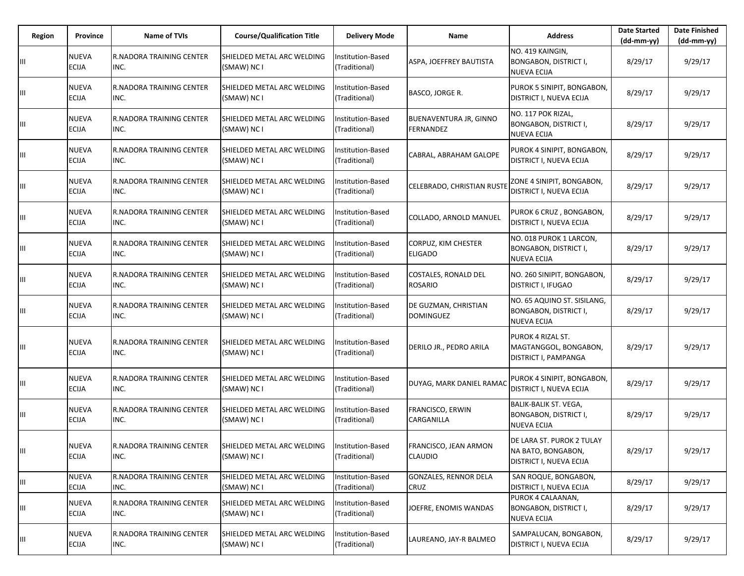| Region | Province                     | <b>Name of TVIs</b>              | <b>Course/Qualification Title</b>         | <b>Delivery Mode</b>                      | Name                                              | <b>Address</b>                                                                     | <b>Date Started</b><br>$(dd-mm-yy)$ | <b>Date Finished</b><br>$(dd-mm-yy)$ |
|--------|------------------------------|----------------------------------|-------------------------------------------|-------------------------------------------|---------------------------------------------------|------------------------------------------------------------------------------------|-------------------------------------|--------------------------------------|
| Ш      | <b>NUEVA</b><br><b>ECIJA</b> | R.NADORA TRAINING CENTER<br>INC. | SHIELDED METAL ARC WELDING<br>(SMAW) NC I | Institution-Based<br>(Traditional)        | ASPA, JOEFFREY BAUTISTA                           | NO. 419 KAINGIN,<br><b>BONGABON, DISTRICT I,</b><br><b>NUEVA ECIJA</b>             | 8/29/17                             | 9/29/17                              |
| Ш      | <b>NUEVA</b><br><b>ECIJA</b> | R.NADORA TRAINING CENTER<br>INC. | SHIELDED METAL ARC WELDING<br>(SMAW) NC I | nstitution-Based<br>(Traditional)         | BASCO, JORGE R.                                   | PUROK 5 SINIPIT, BONGABON,<br>DISTRICT I, NUEVA ECIJA                              | 8/29/17                             | 9/29/17                              |
| Ш      | <b>NUEVA</b><br><b>ECIJA</b> | R.NADORA TRAINING CENTER<br>INC. | SHIELDED METAL ARC WELDING<br>(SMAW) NC I | Institution-Based<br>(Traditional)        | <b>BUENAVENTURA JR, GINNO</b><br><b>FERNANDEZ</b> | NO. 117 POK RIZAL,<br><b>BONGABON, DISTRICT I,</b><br><b>NUEVA ECIJA</b>           | 8/29/17                             | 9/29/17                              |
| Ш      | <b>NUEVA</b><br><b>ECIJA</b> | R.NADORA TRAINING CENTER<br>INC. | SHIELDED METAL ARC WELDING<br>(SMAW) NC I | nstitution-Based<br>(Traditional)         | CABRAL, ABRAHAM GALOPE                            | PUROK 4 SINIPIT, BONGABON,<br>DISTRICT I, NUEVA ECIJA                              | 8/29/17                             | 9/29/17                              |
| Ш      | <b>NUEVA</b><br><b>ECIJA</b> | R.NADORA TRAINING CENTER<br>INC. | SHIELDED METAL ARC WELDING<br>(SMAW) NC I | <b>Institution-Based</b><br>(Traditional) | CELEBRADO, CHRISTIAN RUST                         | ZONE 4 SINIPIT, BONGABON,<br>DISTRICT I, NUEVA ECIJA                               | 8/29/17                             | 9/29/17                              |
| Ш      | <b>NUEVA</b><br><b>ECIJA</b> | R.NADORA TRAINING CENTER<br>INC. | SHIELDED METAL ARC WELDING<br>(SMAW) NC I | nstitution-Based<br>(Traditional)         | COLLADO, ARNOLD MANUEL                            | PUROK 6 CRUZ, BONGABON,<br>DISTRICT I, NUEVA ECIJA                                 | 8/29/17                             | 9/29/17                              |
| Ш      | <b>NUEVA</b><br><b>ECIJA</b> | R.NADORA TRAINING CENTER<br>INC. | SHIELDED METAL ARC WELDING<br>(SMAW) NC I | <b>Institution-Based</b><br>(Traditional) | CORPUZ, KIM CHESTER<br><b>ELIGADO</b>             | NO. 018 PUROK 1 LARCON,<br><b>BONGABON, DISTRICT I,</b><br><b>NUEVA ECIJA</b>      | 8/29/17                             | 9/29/17                              |
| Ш      | <b>NUEVA</b><br>ECIJA        | R.NADORA TRAINING CENTER<br>INC. | SHIELDED METAL ARC WELDING<br>(SMAW) NC I | nstitution-Based<br>(Traditional)         | <b>COSTALES, RONALD DEL</b><br><b>ROSARIO</b>     | NO. 260 SINIPIT, BONGABON,<br><b>DISTRICT I, IFUGAO</b>                            | 8/29/17                             | 9/29/17                              |
| Ш      | <b>NUEVA</b><br><b>ECIJA</b> | R.NADORA TRAINING CENTER<br>INC. | SHIELDED METAL ARC WELDING<br>(SMAW) NC I | Institution-Based<br>(Traditional)        | DE GUZMAN, CHRISTIAN<br><b>DOMINGUEZ</b>          | NO. 65 AQUINO ST. SISILANG,<br><b>BONGABON, DISTRICT I,</b><br><b>NUEVA ECIJA</b>  | 8/29/17                             | 9/29/17                              |
| Ш      | <b>NUEVA</b><br>ECIJA        | R.NADORA TRAINING CENTER<br>INC. | SHIELDED METAL ARC WELDING<br>(SMAW) NC I | nstitution-Based<br>(Traditional)         | DERILO JR., PEDRO ARILA                           | PUROK 4 RIZAL ST.<br>MAGTANGGOL, BONGABON,<br>DISTRICT I, PAMPANGA                 | 8/29/17                             | 9/29/17                              |
| Ш      | <b>NUEVA</b><br><b>ECIJA</b> | R.NADORA TRAINING CENTER<br>INC. | SHIELDED METAL ARC WELDING<br>(SMAW) NC I | Institution-Based<br>(Traditional)        | DUYAG, MARK DANIEL RAMAC                          | PUROK 4 SINIPIT, BONGABON,<br>DISTRICT I, NUEVA ECIJA                              | 8/29/17                             | 9/29/17                              |
| Ш      | <b>NUEVA</b><br><b>ECIJA</b> | R.NADORA TRAINING CENTER<br>INC. | SHIELDED METAL ARC WELDING<br>(SMAW) NC I | nstitution-Based<br>(Traditional)         | FRANCISCO, ERWIN<br>CARGANILLA                    | <b>BALIK-BALIK ST. VEGA,</b><br><b>BONGABON, DISTRICT I,</b><br><b>NUEVA ECIJA</b> | 8/29/17                             | 9/29/17                              |
| Ш      | NUEVA<br><b>ECIJA</b>        | R.NADORA TRAINING CENTER<br>INC. | SHIELDED METAL ARC WELDING<br>(SMAW) NC I | Institution-Based<br>(Traditional)        | FRANCISCO, JEAN ARMON<br>CLAUDIO                  | DE LARA ST. PUROK 2 TULAY<br>NA BATO, BONGABON,<br>DISTRICT I, NUEVA ECIJA         | 8/29/17                             | 9/29/17                              |
| Ш      | <b>NUEVA</b><br><b>ECIJA</b> | R.NADORA TRAINING CENTER<br>INC. | SHIELDED METAL ARC WELDING<br>(SMAW) NC I | Institution-Based<br>(Traditional)        | <b>GONZALES, RENNOR DELA</b><br>CRUZ              | SAN ROQUE, BONGABON,<br>DISTRICT I, NUEVA ECIJA                                    | 8/29/17                             | 9/29/17                              |
| Ш      | <b>NUEVA</b><br><b>ECIJA</b> | R.NADORA TRAINING CENTER<br>INC. | SHIELDED METAL ARC WELDING<br>(SMAW) NC I | Institution-Based<br>(Traditional)        | JOEFRE, ENOMIS WANDAS                             | PUROK 4 CALAANAN,<br><b>BONGABON, DISTRICT I,</b><br><b>NUEVA ECIJA</b>            | 8/29/17                             | 9/29/17                              |
| Ш      | <b>NUEVA</b><br>ECIJA        | R.NADORA TRAINING CENTER<br>INC. | SHIELDED METAL ARC WELDING<br>(SMAW) NC I | Institution-Based<br>(Traditional)        | LAUREANO, JAY-R BALMEO                            | SAMPALUCAN, BONGABON,<br>DISTRICT I, NUEVA ECIJA                                   | 8/29/17                             | 9/29/17                              |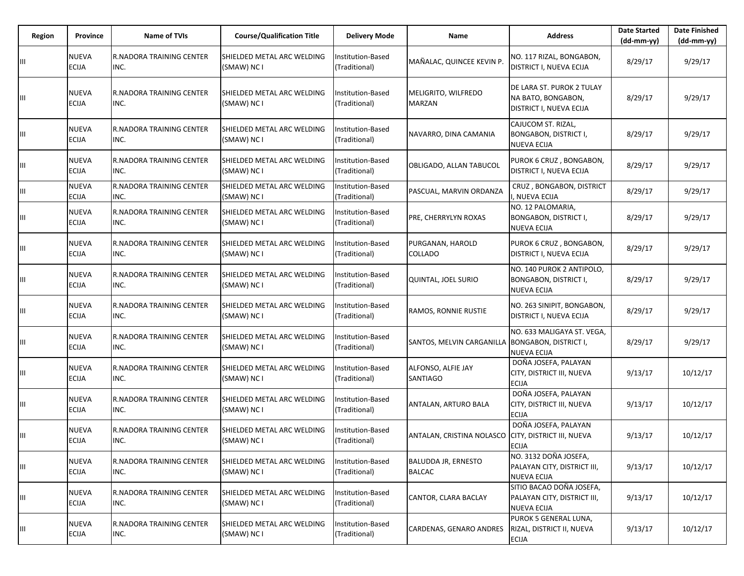| Region | Province                     | <b>Name of TVIs</b>                     | <b>Course/Qualification Title</b>         | <b>Delivery Mode</b>               | Name                                                | <b>Address</b>                                                                   | <b>Date Started</b><br>$(dd-mm-yy)$ | <b>Date Finished</b><br>(dd-mm-yy) |
|--------|------------------------------|-----------------------------------------|-------------------------------------------|------------------------------------|-----------------------------------------------------|----------------------------------------------------------------------------------|-------------------------------------|------------------------------------|
| Ш      | <b>NUEVA</b><br><b>ECIJA</b> | R.NADORA TRAINING CENTER<br>INC.        | SHIELDED METAL ARC WELDING<br>(SMAW) NC I | Institution-Based<br>(Traditional) | MAÑALAC, QUINCEE KEVIN P.                           | NO. 117 RIZAL, BONGABON,<br><b>DISTRICT I, NUEVA ECIJA</b>                       | 8/29/17                             | 9/29/17                            |
| Ш      | <b>NUEVA</b><br><b>ECIJA</b> | R.NADORA TRAINING CENTER<br>INC.        | SHIELDED METAL ARC WELDING<br>(SMAW) NC I | nstitution-Based<br>(Traditional)  | MELIGRITO, WILFREDO<br><b>MARZAN</b>                | DE LARA ST. PUROK 2 TULAY<br>NA BATO, BONGABON,<br>DISTRICT I, NUEVA ECIJA       | 8/29/17                             | 9/29/17                            |
| Ш      | <b>NUEVA</b><br><b>ECIJA</b> | R.NADORA TRAINING CENTER<br>INC.        | SHIELDED METAL ARC WELDING<br>(SMAW) NC I | Institution-Based<br>(Traditional) | NAVARRO, DINA CAMANIA                               | CAJUCOM ST. RIZAL,<br><b>BONGABON, DISTRICT I,</b><br><b>NUEVA ECIJA</b>         | 8/29/17                             | 9/29/17                            |
| Ш      | <b>NUEVA</b><br><b>ECIJA</b> | R.NADORA TRAINING CENTER<br>INC.        | SHIELDED METAL ARC WELDING<br>(SMAW) NC I | Institution-Based<br>(Traditional) | OBLIGADO, ALLAN TABUCOL                             | PUROK 6 CRUZ, BONGABON,<br>DISTRICT I, NUEVA ECIJA                               | 8/29/17                             | 9/29/17                            |
| Ш      | <b>NUEVA</b><br><b>ECIJA</b> | R.NADORA TRAINING CENTER<br>INC.        | SHIELDED METAL ARC WELDING<br>(SMAW) NC I | Institution-Based<br>(Traditional) | PASCUAL, MARVIN ORDANZA                             | CRUZ, BONGABON, DISTRICT<br>I, NUEVA ECIJA                                       | 8/29/17                             | 9/29/17                            |
| Ш      | <b>NUEVA</b><br>ECIJA        | R.NADORA TRAINING CENTER<br>INC.        | SHIELDED METAL ARC WELDING<br>(SMAW) NC I | Institution-Based<br>(Traditional) | PRE, CHERRYLYN ROXAS                                | NO. 12 PALOMARIA,<br><b>BONGABON, DISTRICT I,</b><br><b>NUEVA ECIJA</b>          | 8/29/17                             | 9/29/17                            |
| Ш      | <b>NUEVA</b><br><b>ECIJA</b> | R.NADORA TRAINING CENTER<br>INC.        | SHIELDED METAL ARC WELDING<br>(SMAW) NC I | Institution-Based<br>(Traditional) | PURGANAN, HAROLD<br><b>COLLADO</b>                  | PUROK 6 CRUZ, BONGABON,<br>DISTRICT I, NUEVA ECIJA                               | 8/29/17                             | 9/29/17                            |
| Ш      | <b>NUEVA</b><br><b>ECIJA</b> | R.NADORA TRAINING CENTER<br>INC.        | SHIELDED METAL ARC WELDING<br>(SMAW) NC I | nstitution-Based<br>(Traditional)  | QUINTAL, JOEL SURIO                                 | NO. 140 PUROK 2 ANTIPOLO.<br><b>BONGABON, DISTRICT I,</b><br><b>NUEVA ECIJA</b>  | 8/29/17                             | 9/29/17                            |
| Ш      | <b>NUEVA</b><br><b>ECIJA</b> | IR.NADORA TRAINING CENTER<br>INC.       | SHIELDED METAL ARC WELDING<br>(SMAW) NC I | Institution-Based<br>(Traditional) | <b>RAMOS, RONNIE RUSTIE</b>                         | NO. 263 SINIPIT, BONGABON,<br><b>DISTRICT I, NUEVA ECIJA</b>                     | 8/29/17                             | 9/29/17                            |
| Ш      | <b>NUEVA</b><br>ECIJA        | R.NADORA TRAINING CENTER<br>INC.        | SHIELDED METAL ARC WELDING<br>(SMAW) NC I | Institution-Based<br>(Traditional) | SANTOS, MELVIN CARGANILLA                           | NO. 633 MALIGAYA ST. VEGA,<br><b>BONGABON, DISTRICT I,</b><br><b>NUEVA ECIJA</b> | 8/29/17                             | 9/29/17                            |
| Ш      | <b>NUEVA</b><br>ECIJA        | R.NADORA TRAINING CENTER<br>INC.        | SHIELDED METAL ARC WELDING<br>(SMAW) NC I | Institution-Based<br>(Traditional) | ALFONSO, ALFIE JAY<br><b>SANTIAGO</b>               | DOÑA JOSEFA, PALAYAN<br>CITY, DISTRICT III, NUEVA<br><b>ECIJA</b>                | 9/13/17                             | 10/12/17                           |
| Ш      | <b>NUEVA</b><br>ECIJA        | <b>R.NADORA TRAINING CENTER</b><br>INC. | SHIELDED METAL ARC WELDING<br>(SMAW) NC I | nstitution-Based<br>(Traditional)  | ANTALAN, ARTURO BALA                                | DOÑA JOSEFA, PALAYAN<br>CITY, DISTRICT III, NUEVA<br><b>ECIJA</b>                | 9/13/17                             | 10/12/17                           |
| Ш      | <b>NUEVA</b><br><b>ECIJA</b> | R.NADORA TRAINING CENTER<br>INC.        | SHIELDED METAL ARC WELDING<br>(SMAW) NC I | nstitution-Based<br>(Traditional)  | ANTALAN, CRISTINA NOLASCO CITY, DISTRICT III, NUEVA | DOÑA JOSEFA, PALAYAN<br><b>ECIJA</b>                                             | 9/13/17                             | 10/12/17                           |
| Ш      | <b>NUEVA</b><br>ECIJA        | R.NADORA TRAINING CENTER<br>INC.        | SHIELDED METAL ARC WELDING<br>(SMAW) NC I | Institution-Based<br>(Traditional) | <b>BALUDDA JR, ERNESTO</b><br><b>BALCAC</b>         | NO. 3132 DOÑA JOSEFA,<br>PALAYAN CITY, DISTRICT III,<br><b>NUEVA ECIJA</b>       | 9/13/17                             | 10/12/17                           |
| Ш      | <b>NUEVA</b><br><b>ECIJA</b> | R.NADORA TRAINING CENTER<br>INC.        | SHIELDED METAL ARC WELDING<br>(SMAW) NC I | Institution-Based<br>(Traditional) | CANTOR, CLARA BACLAY                                | SITIO BACAO DOÑA JOSEFA,<br>PALAYAN CITY, DISTRICT III,<br><b>NUEVA ECIJA</b>    | 9/13/17                             | 10/12/17                           |
| Ш      | <b>NUEVA</b><br>ECIJA        | R.NADORA TRAINING CENTER<br>INC.        | SHIELDED METAL ARC WELDING<br>(SMAW) NC I | Institution-Based<br>(Traditional) | CARDENAS, GENARO ANDRES                             | PUROK 5 GENERAL LUNA,<br>RIZAL, DISTRICT II, NUEVA<br><b>ECIJA</b>               | 9/13/17                             | 10/12/17                           |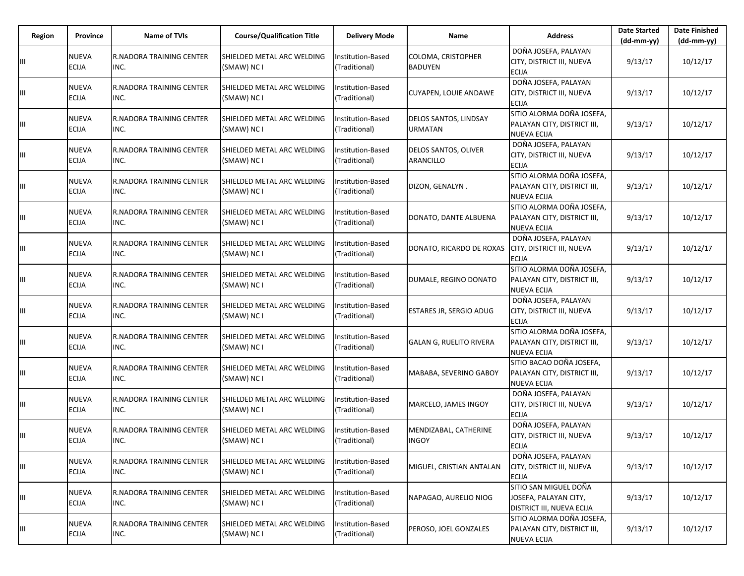| Region | Province                     | <b>Name of TVIs</b>                     | <b>Course/Qualification Title</b>         | <b>Delivery Mode</b>               | <b>Name</b>                             | <b>Address</b>                                                                     | <b>Date Started</b><br>$(dd-mm-yy)$ | <b>Date Finished</b><br>(dd-mm-yy) |
|--------|------------------------------|-----------------------------------------|-------------------------------------------|------------------------------------|-----------------------------------------|------------------------------------------------------------------------------------|-------------------------------------|------------------------------------|
| Ш      | <b>NUEVA</b><br><b>ECIJA</b> | R.NADORA TRAINING CENTER<br>INC.        | SHIELDED METAL ARC WELDING<br>(SMAW) NC I | Institution-Based<br>(Traditional) | COLOMA, CRISTOPHER<br><b>BADUYEN</b>    | DOÑA JOSEFA, PALAYAN<br>CITY, DISTRICT III, NUEVA<br><b>ECIJA</b>                  | 9/13/17                             | 10/12/17                           |
| Ш      | <b>NUEVA</b><br><b>ECIJA</b> | R.NADORA TRAINING CENTER<br>INC.        | SHIELDED METAL ARC WELDING<br>(SMAW) NC I | Institution-Based<br>(Traditional) | <b>CUYAPEN, LOUIE ANDAWE</b>            | DOÑA JOSEFA, PALAYAN<br>CITY, DISTRICT III, NUEVA<br><b>ECIJA</b>                  | 9/13/17                             | 10/12/17                           |
| Ш      | <b>NUEVA</b><br><b>ECIJA</b> | R.NADORA TRAINING CENTER<br>INC.        | SHIELDED METAL ARC WELDING<br>(SMAW) NC I | Institution-Based<br>(Traditional) | DELOS SANTOS, LINDSAY<br><b>URMATAN</b> | SITIO ALORMA DOÑA JOSEFA,<br>PALAYAN CITY, DISTRICT III,<br><b>NUEVA ECIJA</b>     | 9/13/17                             | 10/12/17                           |
| Ш      | <b>NUEVA</b><br><b>ECIJA</b> | <b>R.NADORA TRAINING CENTER</b><br>INC. | SHIELDED METAL ARC WELDING<br>(SMAW) NC I | nstitution-Based<br>(Traditional)  | DELOS SANTOS, OLIVER<br>ARANCILLO       | DOÑA JOSEFA, PALAYAN<br>CITY, DISTRICT III, NUEVA<br><b>ECIJA</b>                  | 9/13/17                             | 10/12/17                           |
| Ш      | <b>NUEVA</b><br><b>ECIJA</b> | IR.NADORA TRAINING CENTER<br>INC.       | SHIELDED METAL ARC WELDING<br>(SMAW) NC I | Institution-Based<br>(Traditional) | DIZON, GENALYN.                         | SITIO ALORMA DOÑA JOSEFA,<br>PALAYAN CITY, DISTRICT III,<br>NUEVA ECIJA            | 9/13/17                             | 10/12/17                           |
| Ш      | <b>NUEVA</b><br>ECIJA        | R.NADORA TRAINING CENTER<br>INC.        | SHIELDED METAL ARC WELDING<br>(SMAW) NC I | Institution-Based<br>(Traditional) | DONATO, DANTE ALBUENA                   | SITIO ALORMA DOÑA JOSEFA,<br>PALAYAN CITY, DISTRICT III,<br><b>NUEVA ECIJA</b>     | 9/13/17                             | 10/12/17                           |
| Ш      | <b>NUEVA</b><br><b>ECIJA</b> | R.NADORA TRAINING CENTER<br>INC.        | SHIELDED METAL ARC WELDING<br>(SMAW) NC I | Institution-Based<br>(Traditional) | DONATO, RICARDO DE ROXAS                | DOÑA JOSEFA, PALAYAN<br>CITY, DISTRICT III, NUEVA<br><b>ECIJA</b>                  | 9/13/17                             | 10/12/17                           |
| Ш      | <b>NUEVA</b><br><b>ECIJA</b> | R.NADORA TRAINING CENTER<br>INC.        | SHIELDED METAL ARC WELDING<br>(SMAW) NC I | nstitution-Based<br>(Traditional)  | DUMALE, REGINO DONATO                   | SITIO ALORMA DOÑA JOSEFA,<br>PALAYAN CITY, DISTRICT III,<br><b>NUEVA ECIJA</b>     | 9/13/17                             | 10/12/17                           |
| Ш      | <b>NUEVA</b><br><b>ECIJA</b> | IR.NADORA TRAINING CENTER<br>INC.       | SHIELDED METAL ARC WELDING<br>(SMAW) NC I | Institution-Based<br>(Traditional) | <b>ESTARES JR, SERGIO ADUG</b>          | DOÑA JOSEFA, PALAYAN<br>CITY, DISTRICT III, NUEVA<br><b>ECIJA</b>                  | 9/13/17                             | 10/12/17                           |
| Ш      | <b>NUEVA</b><br>ECIJA        | R.NADORA TRAINING CENTER<br>INC.        | SHIELDED METAL ARC WELDING<br>(SMAW) NC I | Institution-Based<br>(Traditional) | <b>GALAN G, RUELITO RIVERA</b>          | SITIO ALORMA DOÑA JOSEFA,<br>PALAYAN CITY, DISTRICT III,<br><b>NUEVA ECIJA</b>     | 9/13/17                             | 10/12/17                           |
| Ш      | <b>NUEVA</b><br>ECIJA        | R.NADORA TRAINING CENTER<br>INC.        | SHIELDED METAL ARC WELDING<br>(SMAW) NC I | Institution-Based<br>(Traditional) | MABABA, SEVERINO GABOY                  | SITIO BACAO DOÑA JOSEFA,<br>PALAYAN CITY, DISTRICT III,<br><b>NUEVA ECIJA</b>      | 9/13/17                             | 10/12/17                           |
| Ш      | <b>NUEVA</b><br><b>ECIJA</b> | <b>R.NADORA TRAINING CENTER</b><br>INC. | SHIELDED METAL ARC WELDING<br>(SMAW) NC I | nstitution-Based<br>(Traditional)  | MARCELO, JAMES INGOY                    | DOÑA JOSEFA, PALAYAN<br>CITY, DISTRICT III, NUEVA<br><b>ECIJA</b>                  | 9/13/17                             | 10/12/17                           |
| Ш      | <b>NUEVA</b><br><b>ECIJA</b> | R.NADORA TRAINING CENTER<br>INC.        | SHIELDED METAL ARC WELDING<br>(SMAW) NC I | nstitution-Based<br>(Traditional)  | MENDIZABAL, CATHERINE<br><b>INGOY</b>   | DOÑA JOSEFA, PALAYAN<br>CITY, DISTRICT III, NUEVA<br><b>ECIJA</b>                  | 9/13/17                             | 10/12/17                           |
| Ш      | <b>NUEVA</b><br>ECIJA        | R.NADORA TRAINING CENTER<br>INC.        | SHIELDED METAL ARC WELDING<br>(SMAW) NC I | Institution-Based<br>(Traditional) | MIGUEL, CRISTIAN ANTALAN                | DOÑA JOSEFA, PALAYAN<br>CITY, DISTRICT III, NUEVA<br><b>ECIJA</b>                  | 9/13/17                             | 10/12/17                           |
| Ш      | <b>NUEVA</b><br><b>ECIJA</b> | R.NADORA TRAINING CENTER<br>INC.        | SHIELDED METAL ARC WELDING<br>(SMAW) NC I | Institution-Based<br>(Traditional) | NAPAGAO, AURELIO NIOG                   | SITIO SAN MIGUEL DOÑA<br>JOSEFA, PALAYAN CITY,<br><b>DISTRICT III, NUEVA ECIJA</b> | 9/13/17                             | 10/12/17                           |
| Ш      | <b>NUEVA</b><br><b>ECIJA</b> | R.NADORA TRAINING CENTER<br>INC.        | SHIELDED METAL ARC WELDING<br>(SMAW) NC I | Institution-Based<br>(Traditional) | PEROSO, JOEL GONZALES                   | SITIO ALORMA DOÑA JOSEFA,<br>PALAYAN CITY, DISTRICT III,<br><b>NUEVA ECIJA</b>     | 9/13/17                             | 10/12/17                           |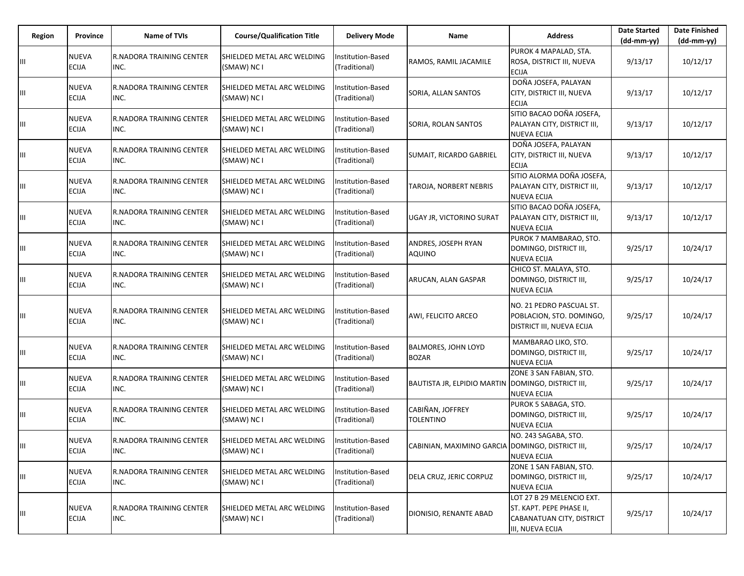| Region | Province                     | <b>Name of TVIs</b>                     | <b>Course/Qualification Title</b>         | <b>Delivery Mode</b>               | <b>Name</b>                                        | <b>Address</b>                                                                                         | <b>Date Started</b><br>$(dd-mm-yy)$ | <b>Date Finished</b><br>$(dd-mm-yy)$ |
|--------|------------------------------|-----------------------------------------|-------------------------------------------|------------------------------------|----------------------------------------------------|--------------------------------------------------------------------------------------------------------|-------------------------------------|--------------------------------------|
|        | <b>NUEVA</b><br><b>ECIJA</b> | <b>R.NADORA TRAINING CENTER</b><br>INC. | SHIELDED METAL ARC WELDING<br>(SMAW) NC I | Institution-Based<br>(Traditional) | RAMOS, RAMIL JACAMILE                              | PUROK 4 MAPALAD, STA.<br>ROSA, DISTRICT III, NUEVA<br><b>ECIJA</b>                                     | 9/13/17                             | 10/12/17                             |
| Ш      | <b>NUEVA</b><br><b>ECIJA</b> | <b>R.NADORA TRAINING CENTER</b><br>INC. | SHIELDED METAL ARC WELDING<br>(SMAW) NC I | Institution-Based<br>(Traditional) | SORIA, ALLAN SANTOS                                | DOÑA JOSEFA, PALAYAN<br>CITY, DISTRICT III, NUEVA<br><b>ECIJA</b>                                      | 9/13/17                             | 10/12/17                             |
| Ш      | <b>NUEVA</b><br><b>ECIJA</b> | <b>R.NADORA TRAINING CENTER</b><br>INC. | SHIELDED METAL ARC WELDING<br>(SMAW) NC I | Institution-Based<br>(Traditional) | SORIA, ROLAN SANTOS                                | SITIO BACAO DOÑA JOSEFA,<br>PALAYAN CITY, DISTRICT III,<br><b>NUEVA ECIJA</b>                          | 9/13/17                             | 10/12/17                             |
| Ш      | <b>NUEVA</b><br><b>ECIJA</b> | <b>R.NADORA TRAINING CENTER</b><br>INC. | SHIELDED METAL ARC WELDING<br>(SMAW) NC I | Institution-Based<br>(Traditional) | SUMAIT, RICARDO GABRIEL                            | DOÑA JOSEFA, PALAYAN<br>CITY, DISTRICT III, NUEVA<br><b>ECIJA</b>                                      | 9/13/17                             | 10/12/17                             |
| Ш      | <b>NUEVA</b><br><b>ECIJA</b> | <b>R.NADORA TRAINING CENTER</b><br>INC. | SHIELDED METAL ARC WELDING<br>(SMAW) NC I | Institution-Based<br>(Traditional) | TAROJA, NORBERT NEBRIS                             | SITIO ALORMA DOÑA JOSEFA,<br>PALAYAN CITY, DISTRICT III,<br><b>NUEVA ECIJA</b>                         | 9/13/17                             | 10/12/17                             |
| Ш      | <b>NUEVA</b><br>ECIJA        | <b>R.NADORA TRAINING CENTER</b><br>INC. | SHIELDED METAL ARC WELDING<br>(SMAW) NC I | Institution-Based<br>(Traditional) | <b>UGAY JR, VICTORINO SURAT</b>                    | SITIO BACAO DOÑA JOSEFA,<br>PALAYAN CITY, DISTRICT III,<br><b>NUEVA ECIJA</b>                          | 9/13/17                             | 10/12/17                             |
| Ш      | <b>NUEVA</b><br><b>ECIJA</b> | <b>R.NADORA TRAINING CENTER</b><br>INC. | SHIELDED METAL ARC WELDING<br>(SMAW) NC I | Institution-Based<br>(Traditional) | ANDRES, JOSEPH RYAN<br><b>AQUINO</b>               | PUROK 7 MAMBARAO, STO.<br>DOMINGO, DISTRICT III,<br><b>NUEVA ECIJA</b>                                 | 9/25/17                             | 10/24/17                             |
| Ш      | NUEVA<br><b>ECIJA</b>        | <b>R.NADORA TRAINING CENTER</b><br>INC. | SHIELDED METAL ARC WELDING<br>(SMAW) NC I | nstitution-Based<br>(Traditional)  | ARUCAN, ALAN GASPAR                                | CHICO ST. MALAYA, STO.<br>DOMINGO, DISTRICT III,<br><b>NUEVA ECIJA</b>                                 | 9/25/17                             | 10/24/17                             |
| Ш      | <b>NUEVA</b><br><b>ECIJA</b> | <b>R.NADORA TRAINING CENTER</b><br>INC. | SHIELDED METAL ARC WELDING<br>(SMAW) NC I | Institution-Based<br>(Traditional) | AWI, FELICITO ARCEO                                | NO. 21 PEDRO PASCUAL ST.<br>POBLACION, STO. DOMINGO,<br><b>DISTRICT III, NUEVA ECIJA</b>               | 9/25/17                             | 10/24/17                             |
| Ш      | <b>NUEVA</b><br><b>ECIJA</b> | <b>R.NADORA TRAINING CENTER</b><br>INC. | SHIELDED METAL ARC WELDING<br>(SMAW) NC I | Institution-Based<br>(Traditional) | <b>BALMORES, JOHN LOYD</b><br><b>BOZAR</b>         | MAMBARAO LIKO, STO.<br>DOMINGO, DISTRICT III,<br><b>NUEVA ECIJA</b>                                    | 9/25/17                             | 10/24/17                             |
| Ш      | <b>NUEVA</b><br><b>ECIJA</b> | <b>R.NADORA TRAINING CENTER</b><br>INC. | SHIELDED METAL ARC WELDING<br>(SMAW) NC I | Institution-Based<br>(Traditional) | BAUTISTA JR, ELPIDIO MARTIN DOMINGO, DISTRICT III, | ZONE 3 SAN FABIAN, STO.<br><b>NUEVA ECIJA</b>                                                          | 9/25/17                             | 10/24/17                             |
| Ш      | <b>NUEVA</b><br><b>ECIJA</b> | <b>R.NADORA TRAINING CENTER</b><br>INC. | SHIELDED METAL ARC WELDING<br>(SMAW) NC I | Institution-Based<br>(Traditional) | CABIÑAN, JOFFREY<br>TOLENTINO                      | PUROK 5 SABAGA, STO.<br>DOMINGO, DISTRICT III,<br><b>NUEVA ECIJA</b>                                   | 9/25/17                             | 10/24/17                             |
| Ш      | <b>NUEVA</b><br><b>ECIJA</b> | <b>R.NADORA TRAINING CENTER</b><br>INC. | SHIELDED METAL ARC WELDING<br>(SMAW) NC I | Institution-Based<br>(Traditional) | CABINIAN, MAXIMINO GARCIA DOMINGO, DISTRICT III,   | NO. 243 SAGABA, STO.<br><b>NUEVA ECIJA</b>                                                             | 9/25/17                             | 10/24/17                             |
| Ш      | <b>NUEVA</b><br><b>ECIJA</b> | <b>R.NADORA TRAINING CENTER</b><br>INC. | SHIELDED METAL ARC WELDING<br>(SMAW) NC I | Institution-Based<br>(Traditional) | DELA CRUZ, JERIC CORPUZ                            | ZONE 1 SAN FABIAN, STO.<br>DOMINGO, DISTRICT III,<br><b>NUEVA ECIJA</b>                                | 9/25/17                             | 10/24/17                             |
| Ш      | NUEVA<br>ECIJA               | R.NADORA TRAINING CENTER<br>INC.        | SHIELDED METAL ARC WELDING<br>(SMAW) NC I | Institution-Based<br>(Traditional) | DIONISIO, RENANTE ABAD                             | LOT 27 B 29 MELENCIO EXT.<br>ST. KAPT. PEPE PHASE II,<br>CABANATUAN CITY, DISTRICT<br>III, NUEVA ECIJA | 9/25/17                             | 10/24/17                             |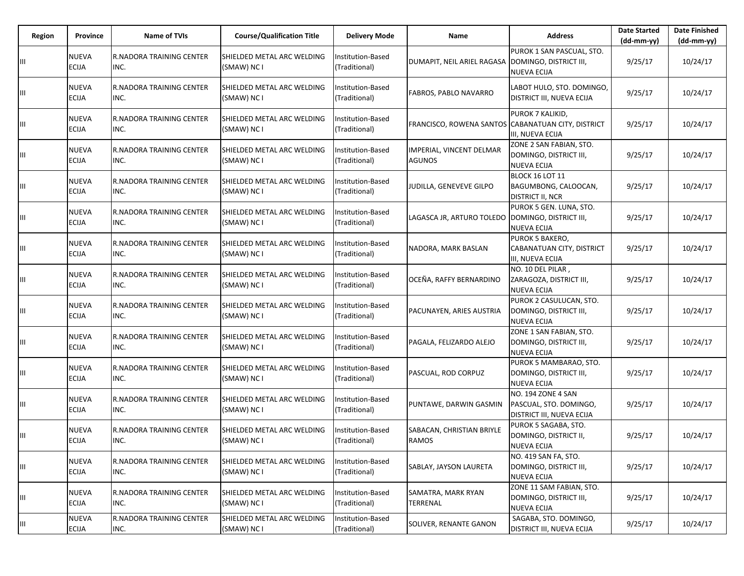| Region | Province                     | Name of TVIs                            | <b>Course/Qualification Title</b>         | <b>Delivery Mode</b>                      | Name                                               | <b>Address</b>                                                                   | <b>Date Started</b><br>$(dd-mm-yy)$ | <b>Date Finished</b><br>$(dd-mm-yy)$ |
|--------|------------------------------|-----------------------------------------|-------------------------------------------|-------------------------------------------|----------------------------------------------------|----------------------------------------------------------------------------------|-------------------------------------|--------------------------------------|
| Ш      | <b>NUEVA</b><br><b>ECIJA</b> | <b>R.NADORA TRAINING CENTER</b><br>INC. | SHIELDED METAL ARC WELDING<br>(SMAW) NC I | Institution-Based<br>(Traditional)        | DUMAPIT, NEIL ARIEL RAGASA                         | PUROK 1 SAN PASCUAL, STO.<br>DOMINGO, DISTRICT III,<br><b>NUEVA ECIJA</b>        | 9/25/17                             | 10/24/17                             |
| Ш      | <b>NUEVA</b><br><b>ECIJA</b> | <b>R.NADORA TRAINING CENTER</b><br>INC. | SHIELDED METAL ARC WELDING<br>(SMAW) NC I | nstitution-Based<br>(Traditional)         | FABROS, PABLO NAVARRO                              | LABOT HULO, STO. DOMINGO,<br>DISTRICT III, NUEVA ECIJA                           | 9/25/17                             | 10/24/17                             |
| Ш      | <b>NUEVA</b><br><b>ECIJA</b> | <b>R.NADORA TRAINING CENTER</b><br>INC. | SHIELDED METAL ARC WELDING<br>(SMAW) NC I | Institution-Based<br>(Traditional)        | FRANCISCO, ROWENA SANTOS CABANATUAN CITY, DISTRICT | PUROK 7 KALIKID,<br>III, NUEVA ECIJA                                             | 9/25/17                             | 10/24/17                             |
| Ш      | <b>NUEVA</b><br><b>ECIJA</b> | <b>R.NADORA TRAINING CENTER</b><br>INC. | SHIELDED METAL ARC WELDING<br>(SMAW) NC I | nstitution-Based<br>(Traditional)         | IMPERIAL, VINCENT DELMAR<br><b>AGUNOS</b>          | ZONE 2 SAN FABIAN, STO.<br>DOMINGO, DISTRICT III,<br><b>NUEVA ECIJA</b>          | 9/25/17                             | 10/24/17                             |
| Ш      | <b>NUEVA</b><br><b>ECIJA</b> | <b>R.NADORA TRAINING CENTER</b><br>INC. | SHIELDED METAL ARC WELDING<br>(SMAW) NC I | Institution-Based<br>(Traditional)        | JUDILLA, GENEVEVE GILPO                            | BLOCK 16 LOT 11<br>BAGUMBONG, CALOOCAN,<br><b>DISTRICT II, NCR</b>               | 9/25/17                             | 10/24/17                             |
| Ш      | <b>NUEVA</b><br><b>ECIJA</b> | <b>R.NADORA TRAINING CENTER</b><br>INC. | SHIELDED METAL ARC WELDING<br>(SMAW) NC I | nstitution-Based<br>(Traditional)         | LAGASCA JR, ARTURO TOLEDO                          | PUROK 5 GEN. LUNA, STO.<br>DOMINGO, DISTRICT III,<br><b>NUEVA ECIJA</b>          | 9/25/17                             | 10/24/17                             |
| Ш      | <b>NUEVA</b><br><b>ECIJA</b> | R.NADORA TRAINING CENTER<br>INC.        | SHIELDED METAL ARC WELDING<br>(SMAW) NC I | <b>Institution-Based</b><br>(Traditional) | NADORA, MARK BASLAN                                | <b>PUROK 5 BAKERO,</b><br>CABANATUAN CITY, DISTRICT<br>III, NUEVA ECIJA          | 9/25/17                             | 10/24/17                             |
| Ш      | <b>NUEVA</b><br><b>ECIJA</b> | <b>R.NADORA TRAINING CENTER</b><br>INC. | SHIELDED METAL ARC WELDING<br>(SMAW) NC I | nstitution-Based<br>(Traditional)         | OCEÑA, RAFFY BERNARDINO                            | NO. 10 DEL PILAR,<br>ZARAGOZA, DISTRICT III,<br><b>NUEVA ECIJA</b>               | 9/25/17                             | 10/24/17                             |
| Ш      | <b>NUEVA</b><br>ECIJA        | <b>R.NADORA TRAINING CENTER</b><br>INC. | SHIELDED METAL ARC WELDING<br>(SMAW) NC I | Institution-Based<br>(Traditional)        | PACUNAYEN, ARIES AUSTRIA                           | PUROK 2 CASULUCAN, STO.<br>DOMINGO, DISTRICT III,<br><b>NUEVA ECIJA</b>          | 9/25/17                             | 10/24/17                             |
| Ш      | <b>NUEVA</b><br><b>ECIJA</b> | <b>R.NADORA TRAINING CENTER</b><br>INC. | SHIELDED METAL ARC WELDING<br>(SMAW) NC I | nstitution-Based<br>(Traditional)         | PAGALA, FELIZARDO ALEJO                            | ZONE 1 SAN FABIAN, STO.<br>DOMINGO, DISTRICT III,<br><b>NUEVA ECIJA</b>          | 9/25/17                             | 10/24/17                             |
| Ш      | <b>NUEVA</b><br><b>ECIJA</b> | <b>R.NADORA TRAINING CENTER</b><br>INC. | SHIELDED METAL ARC WELDING<br>(SMAW) NC I | Institution-Based<br>(Traditional)        | PASCUAL, ROD CORPUZ                                | PUROK 5 MAMBARAO, STO.<br>DOMINGO, DISTRICT III,<br><b>NUEVA ECIJA</b>           | 9/25/17                             | 10/24/17                             |
| Ш      | NUEVA<br><b>ECIJA</b>        | <b>R.NADORA TRAINING CENTER</b><br>INC. | SHIELDED METAL ARC WELDING<br>(SMAW) NC I | nstitution-Based<br>(Traditional)         | PUNTAWE, DARWIN GASMIN                             | <b>NO. 194 ZONE 4 SAN</b><br>PASCUAL, STO. DOMINGO,<br>DISTRICT III, NUEVA ECIJA | 9/25/17                             | 10/24/17                             |
| Ш      | NUEVA<br><b>ECIJA</b>        | <b>R.NADORA TRAINING CENTER</b><br>INC. | SHIELDED METAL ARC WELDING<br>(SMAW) NC I | nstitution-Based<br>(Traditional)         | SABACAN, CHRISTIAN BRIYLE<br><b>RAMOS</b>          | PUROK 5 SAGABA, STO.<br>DOMINGO, DISTRICT II,<br><b>NUEVA ECIJA</b>              | 9/25/17                             | 10/24/17                             |
| Ш      | <b>NUEVA</b><br>ECIJA        | <b>R.NADORA TRAINING CENTER</b><br>INC. | SHIELDED METAL ARC WELDING<br>(SMAW) NC I | nstitution-Based<br>(Traditional)         | SABLAY, JAYSON LAURETA                             | NO. 419 SAN FA, STO.<br>DOMINGO, DISTRICT III,<br><b>NUEVA ECIJA</b>             | 9/25/17                             | 10/24/17                             |
| Ш      | NUEVA<br><b>ECIJA</b>        | <b>R.NADORA TRAINING CENTER</b><br>INC. | SHIELDED METAL ARC WELDING<br>(SMAW) NC I | Institution-Based<br>(Traditional)        | SAMATRA, MARK RYAN<br>TERRENAL                     | ZONE 11 SAM FABIAN, STO.<br>DOMINGO, DISTRICT III,<br><b>NUEVA ECIJA</b>         | 9/25/17                             | 10/24/17                             |
| Ш      | <b>NUEVA</b><br><b>ECIJA</b> | <b>R.NADORA TRAINING CENTER</b><br>INC. | SHIELDED METAL ARC WELDING<br>(SMAW) NC I | Institution-Based<br>(Traditional)        | SOLIVER, RENANTE GANON                             | SAGABA, STO. DOMINGO,<br>DISTRICT III, NUEVA ECIJA                               | 9/25/17                             | 10/24/17                             |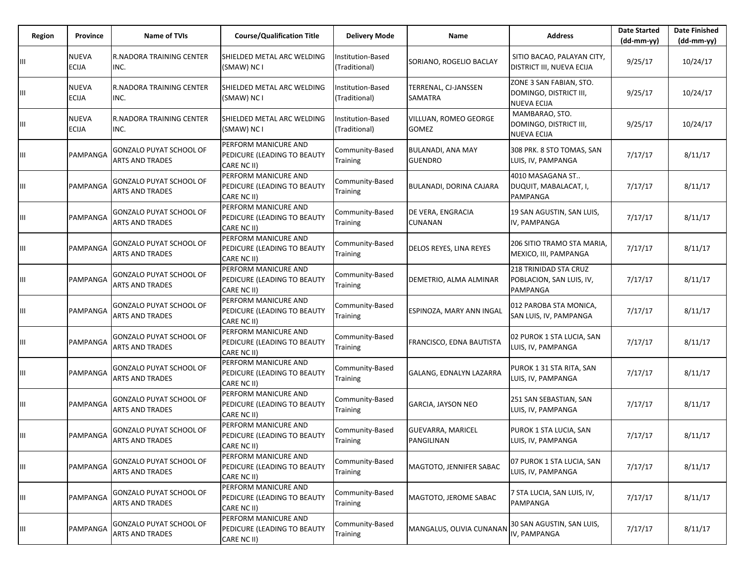| Region | Province                     | <b>Name of TVIs</b>                                      | <b>Course/Qualification Title</b>                                  | <b>Delivery Mode</b>               | Name                                       | <b>Address</b>                                                          | <b>Date Started</b><br>$(dd-mm-yy)$ | <b>Date Finished</b><br>(dd-mm-yy) |
|--------|------------------------------|----------------------------------------------------------|--------------------------------------------------------------------|------------------------------------|--------------------------------------------|-------------------------------------------------------------------------|-------------------------------------|------------------------------------|
| Ш      | <b>NUEVA</b><br><b>ECIJA</b> | <b>R.NADORA TRAINING CENTER</b><br>INC.                  | SHIELDED METAL ARC WELDING<br>(SMAW) NC I                          | Institution-Based<br>(Traditional) | SORIANO, ROGELIO BACLAY                    | SITIO BACAO, PALAYAN CITY,<br><b>DISTRICT III, NUEVA ECIJA</b>          | 9/25/17                             | 10/24/17                           |
| Ш      | <b>NUEVA</b><br><b>ECIJA</b> | R.NADORA TRAINING CENTER<br>INC.                         | SHIELDED METAL ARC WELDING<br>(SMAW) NC I                          | Institution-Based<br>(Traditional) | TERRENAL, CJ-JANSSEN<br>SAMATRA            | ZONE 3 SAN FABIAN, STO.<br>DOMINGO, DISTRICT III,<br><b>NUEVA ECIJA</b> | 9/25/17                             | 10/24/17                           |
| Ш      | <b>NUEVA</b><br><b>ECIJA</b> | <b>R.NADORA TRAINING CENTER</b><br>INC.                  | SHIELDED METAL ARC WELDING<br>(SMAW) NC I                          | Institution-Based<br>(Traditional) | VILLUAN, ROMEO GEORGE<br>GOMEZ             | MAMBARAO, STO.<br>DOMINGO, DISTRICT III,<br><b>NUEVA ECIJA</b>          | 9/25/17                             | 10/24/17                           |
| Ш      | PAMPANGA                     | <b>GONZALO PUYAT SCHOOL OF</b><br><b>ARTS AND TRADES</b> | PERFORM MANICURE AND<br>PEDICURE (LEADING TO BEAUTY<br>CARE NC II) | Community-Based<br>Training        | <b>BULANADI, ANA MAY</b><br><b>GUENDRO</b> | 308 PRK. 8 STO TOMAS, SAN<br>LUIS, IV, PAMPANGA                         | 7/17/17                             | 8/11/17                            |
| Ш      | PAMPANGA                     | <b>GONZALO PUYAT SCHOOL OF</b><br><b>ARTS AND TRADES</b> | PERFORM MANICURE AND<br>PEDICURE (LEADING TO BEAUTY<br>CARE NC II) | Community-Based<br>Training        | BULANADI, DORINA CAJARA                    | 4010 MASAGANA ST<br>DUQUIT, MABALACAT, I,<br>PAMPANGA                   | 7/17/17                             | 8/11/17                            |
| Ш      | PAMPANGA                     | GONZALO PUYAT SCHOOL OF<br><b>ARTS AND TRADES</b>        | PERFORM MANICURE AND<br>PEDICURE (LEADING TO BEAUTY<br>CARE NC II) | Community-Based<br>Training        | DE VERA, ENGRACIA<br>CUNANAN               | 19 SAN AGUSTIN, SAN LUIS,<br>IV, PAMPANGA                               | 7/17/17                             | 8/11/17                            |
| Ш      | PAMPANGA                     | <b>GONZALO PUYAT SCHOOL OF</b><br><b>ARTS AND TRADES</b> | PERFORM MANICURE AND<br>PEDICURE (LEADING TO BEAUTY<br>CARE NC II) | Community-Based<br>Training        | DELOS REYES, LINA REYES                    | 206 SITIO TRAMO STA MARIA,<br>MEXICO, III, PAMPANGA                     | 7/17/17                             | 8/11/17                            |
| Ш      | PAMPANGA                     | <b>GONZALO PUYAT SCHOOL OF</b><br><b>ARTS AND TRADES</b> | PERFORM MANICURE AND<br>PEDICURE (LEADING TO BEAUTY<br>CARE NC II) | Community-Based<br>Training        | DEMETRIO, ALMA ALMINAR                     | 218 TRINIDAD STA CRUZ<br>POBLACION, SAN LUIS, IV,<br>PAMPANGA           | 7/17/17                             | 8/11/17                            |
| Ш      | PAMPANGA                     | <b>GONZALO PUYAT SCHOOL OF</b><br><b>ARTS AND TRADES</b> | PERFORM MANICURE AND<br>PEDICURE (LEADING TO BEAUTY<br>CARE NC II) | Community-Based<br>Training        | ESPINOZA, MARY ANN INGAL                   | 012 PAROBA STA MONICA,<br>SAN LUIS, IV, PAMPANGA                        | 7/17/17                             | 8/11/17                            |
| Ш      | PAMPANGA                     | <b>GONZALO PUYAT SCHOOL OF</b><br><b>ARTS AND TRADES</b> | PERFORM MANICURE AND<br>PEDICURE (LEADING TO BEAUTY<br>CARE NC II) | Community-Based<br>Training        | FRANCISCO, EDNA BAUTISTA                   | 02 PUROK 1 STA LUCIA, SAN<br>LUIS, IV, PAMPANGA                         | 7/17/17                             | 8/11/17                            |
| Ш      | PAMPANGA                     | <b>GONZALO PUYAT SCHOOL OF</b><br>ARTS AND TRADES        | PERFORM MANICURE AND<br>PEDICURE (LEADING TO BEAUTY<br>CARE NC II) | Community-Based<br>Training        | GALANG, EDNALYN LAZARRA                    | PUROK 1 31 STA RITA, SAN<br>LUIS, IV, PAMPANGA                          | 7/17/17                             | 8/11/17                            |
| Ш      | PAMPANGA                     | <b>GONZALO PUYAT SCHOOL OF</b><br><b>ARTS AND TRADES</b> | PERFORM MANICURE AND<br>PEDICURE (LEADING TO BEAUTY<br>CARE NC II) | Community-Based<br>Training        | <b>GARCIA, JAYSON NEO</b>                  | 251 SAN SEBASTIAN, SAN<br>LUIS, IV, PAMPANGA                            | 7/17/17                             | 8/11/17                            |
| Ш      | PAMPANGA                     | <b>GONZALO PUYAT SCHOOL OF</b><br><b>ARTS AND TRADES</b> | PERFORM MANICURE AND<br>PEDICURE (LEADING TO BEAUTY<br>CARE NC II) | Community-Based<br>Training        | <b>GUEVARRA, MARICEL</b><br>PANGILINAN     | PUROK 1 STA LUCIA, SAN<br>LUIS, IV, PAMPANGA                            | 7/17/17                             | 8/11/17                            |
| Ш      | PAMPANGA                     | <b>GONZALO PUYAT SCHOOL OF</b><br>ARTS AND TRADES        | PERFORM MANICURE AND<br>PEDICURE (LEADING TO BEAUTY<br>CARE NC II) | Community-Based<br>Training        | MAGTOTO, JENNIFER SABAC                    | 07 PUROK 1 STA LUCIA, SAN<br>LUIS, IV, PAMPANGA                         | 7/17/17                             | 8/11/17                            |
| Ш      | PAMPANGA                     | <b>GONZALO PUYAT SCHOOL OF</b><br><b>ARTS AND TRADES</b> | PERFORM MANICURE AND<br>PEDICURE (LEADING TO BEAUTY<br>CARE NC II) | Community-Based<br>Training        | MAGTOTO, JEROME SABAC                      | 7 STA LUCIA, SAN LUIS, IV,<br>PAMPANGA                                  | 7/17/17                             | 8/11/17                            |
| Ш      | PAMPANGA                     | GONZALO PUYAT SCHOOL OF<br><b>ARTS AND TRADES</b>        | PERFORM MANICURE AND<br>PEDICURE (LEADING TO BEAUTY<br>CARE NC II) | Community-Based<br>Training        | MANGALUS, OLIVIA CUNANAN                   | 30 SAN AGUSTIN, SAN LUIS,<br>IV, PAMPANGA                               | 7/17/17                             | 8/11/17                            |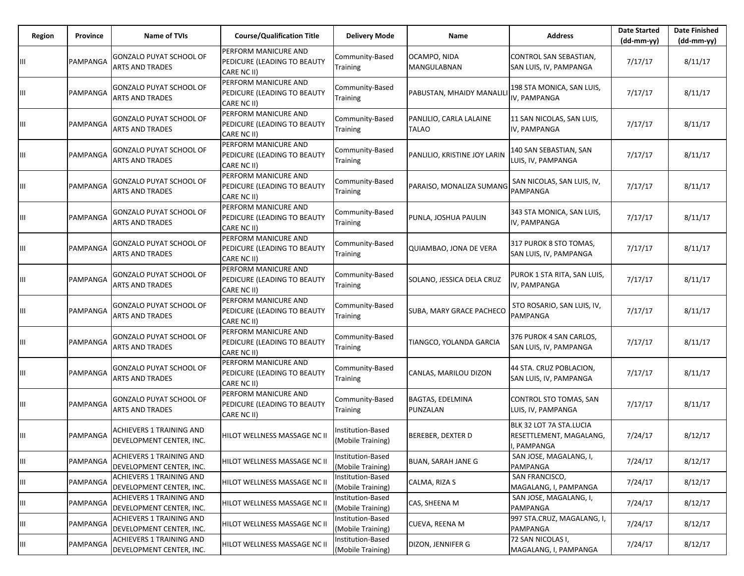| Region | Province | <b>Name of TVIs</b>                                         | <b>Course/Qualification Title</b>                                  | <b>Delivery Mode</b>                   | Name                                    | <b>Address</b>                                                    | <b>Date Started</b><br>$(dd-mm-yy)$ | <b>Date Finished</b><br>(dd-mm-yy) |
|--------|----------|-------------------------------------------------------------|--------------------------------------------------------------------|----------------------------------------|-----------------------------------------|-------------------------------------------------------------------|-------------------------------------|------------------------------------|
| Ш      | PAMPANGA | GONZALO PUYAT SCHOOL OF<br><b>ARTS AND TRADES</b>           | PERFORM MANICURE AND<br>PEDICURE (LEADING TO BEAUTY<br>CARE NC II) | Community-Based<br><b>Training</b>     | OCAMPO, NIDA<br>MANGULABNAN             | CONTROL SAN SEBASTIAN,<br>SAN LUIS, IV, PAMPANGA                  | 7/17/17                             | 8/11/17                            |
| Ш      | PAMPANGA | GONZALO PUYAT SCHOOL OF<br><b>ARTS AND TRADES</b>           | PERFORM MANICURE AND<br>PEDICURE (LEADING TO BEAUTY<br>CARE NC II) | Community-Based<br><b>Training</b>     | PABUSTAN, MHAIDY MANALIL                | 198 STA MONICA, SAN LUIS,<br>IV, PAMPANGA                         | 7/17/17                             | 8/11/17                            |
| Ш      | PAMPANGA | GONZALO PUYAT SCHOOL OF<br><b>ARTS AND TRADES</b>           | PERFORM MANICURE AND<br>PEDICURE (LEADING TO BEAUTY<br>CARE NC II) | Community-Based<br>Training            | PANLILIO, CARLA LALAINE<br><b>TALAO</b> | 11 SAN NICOLAS, SAN LUIS,<br>IV, PAMPANGA                         | 7/17/17                             | 8/11/17                            |
| Ш      | PAMPANGA | <b>GONZALO PUYAT SCHOOL OF</b><br><b>ARTS AND TRADES</b>    | PERFORM MANICURE AND<br>PEDICURE (LEADING TO BEAUTY<br>CARE NC II) | Community-Based<br>Training            | PANLILIO, KRISTINE JOY LARIN            | 140 SAN SEBASTIAN, SAN<br>LUIS, IV, PAMPANGA                      | 7/17/17                             | 8/11/17                            |
| Ш      | PAMPANGA | GONZALO PUYAT SCHOOL OF<br><b>ARTS AND TRADES</b>           | PERFORM MANICURE AND<br>PEDICURE (LEADING TO BEAUTY<br>CARE NC II) | Community-Based<br>Training            | PARAISO, MONALIZA SUMANG                | SAN NICOLAS, SAN LUIS, IV,<br>PAMPANGA                            | 7/17/17                             | 8/11/17                            |
| Щ      | PAMPANGA | GONZALO PUYAT SCHOOL OF<br><b>ARTS AND TRADES</b>           | PERFORM MANICURE AND<br>PEDICURE (LEADING TO BEAUTY<br>CARE NC II) | Community-Based<br>Training            | PUNLA, JOSHUA PAULIN                    | 343 STA MONICA, SAN LUIS,<br>IV, PAMPANGA                         | 7/17/17                             | 8/11/17                            |
| Ш      | PAMPANGA | <b>GONZALO PUYAT SCHOOL OF</b><br><b>ARTS AND TRADES</b>    | PERFORM MANICURE AND<br>PEDICURE (LEADING TO BEAUTY<br>CARE NC II) | Community-Based<br>Training            | QUIAMBAO, JONA DE VERA                  | 317 PUROK 8 STO TOMAS,<br>SAN LUIS, IV, PAMPANGA                  | 7/17/17                             | 8/11/17                            |
| Ш      | PAMPANGA | <b>GONZALO PUYAT SCHOOL OF</b><br><b>ARTS AND TRADES</b>    | PERFORM MANICURE AND<br>PEDICURE (LEADING TO BEAUTY<br>CARE NC II) | Community-Based<br>Training            | SOLANO, JESSICA DELA CRUZ               | PUROK 1 STA RITA, SAN LUIS,<br>IV, PAMPANGA                       | 7/17/17                             | 8/11/17                            |
| Ш      | PAMPANGA | GONZALO PUYAT SCHOOL OF<br><b>ARTS AND TRADES</b>           | PERFORM MANICURE AND<br>PEDICURE (LEADING TO BEAUTY<br>CARE NC II) | Community-Based<br>Training            | SUBA, MARY GRACE PACHECO                | STO ROSARIO, SAN LUIS, IV,<br>PAMPANGA                            | 7/17/17                             | 8/11/17                            |
| Ш      | PAMPANGA | <b>GONZALO PUYAT SCHOOL OF</b><br><b>ARTS AND TRADES</b>    | PERFORM MANICURE AND<br>PEDICURE (LEADING TO BEAUTY<br>CARE NC II) | Community-Based<br><b>Training</b>     | TIANGCO, YOLANDA GARCIA                 | 376 PUROK 4 SAN CARLOS,<br>SAN LUIS, IV, PAMPANGA                 | 7/17/17                             | 8/11/17                            |
| Ш      | PAMPANGA | <b>GONZALO PUYAT SCHOOL OF</b><br><b>ARTS AND TRADES</b>    | PERFORM MANICURE AND<br>PEDICURE (LEADING TO BEAUTY<br>CARE NC II) | Community-Based<br><b>Training</b>     | CANLAS, MARILOU DIZON                   | 44 STA. CRUZ POBLACION,<br>SAN LUIS, IV, PAMPANGA                 | 7/17/17                             | 8/11/17                            |
| Ш      | PAMPANGA | <b>GONZALO PUYAT SCHOOL OF</b><br><b>ARTS AND TRADES</b>    | PERFORM MANICURE AND<br>PEDICURE (LEADING TO BEAUTY<br>CARE NC II) | Community-Based<br><b>Training</b>     | <b>BAGTAS, EDELMINA</b><br>PUNZALAN     | CONTROL STO TOMAS, SAN<br>LUIS, IV, PAMPANGA                      | 7/17/17                             | 8/11/17                            |
| Ш      | PAMPANGA | ACHIEVERS 1 TRAINING AND<br>DEVELOPMENT CENTER, INC.        | HILOT WELLNESS MASSAGE NC II                                       | Institution-Based<br>(Mobile Training) | <b>BEREBER, DEXTER D</b>                | BLK 32 LOT 7A STA.LUCIA<br>RESETTLEMENT, MAGALANG,<br>I, PAMPANGA | 7/24/17                             | 8/12/17                            |
| Ш      | PAMPANGA | ACHIEVERS 1 TRAINING AND<br>DEVELOPMENT CENTER, INC.        | HILOT WELLNESS MASSAGE NC II                                       | Institution-Based<br>(Mobile Training) | <b>BUAN, SARAH JANE G</b>               | SAN JOSE, MAGALANG, I,<br>PAMPANGA                                | 7/24/17                             | 8/12/17                            |
| Ш      | PAMPANGA | <b>ACHIEVERS 1 TRAINING AND</b><br>DEVELOPMENT CENTER, INC. | HILOT WELLNESS MASSAGE NC II                                       | Institution-Based<br>(Mobile Training) | CALMA, RIZA S                           | SAN FRANCISCO,<br>MAGALANG, I, PAMPANGA                           | 7/24/17                             | 8/12/17                            |
| Ш      | PAMPANGA | <b>ACHIEVERS 1 TRAINING AND</b><br>DEVELOPMENT CENTER, INC. | HILOT WELLNESS MASSAGE NC II                                       | Institution-Based<br>(Mobile Training) | CAS, SHEENA M                           | SAN JOSE, MAGALANG, I,<br>PAMPANGA                                | 7/24/17                             | 8/12/17                            |
| Ш      | PAMPANGA | <b>ACHIEVERS 1 TRAINING AND</b><br>DEVELOPMENT CENTER, INC. | HILOT WELLNESS MASSAGE NC II                                       | Institution-Based<br>(Mobile Training) | CUEVA, REENA M                          | 997 STA.CRUZ, MAGALANG, I,<br>PAMPANGA                            | 7/24/17                             | 8/12/17                            |
| Щ      | PAMPANGA | <b>ACHIEVERS 1 TRAINING AND</b><br>DEVELOPMENT CENTER, INC. | HILOT WELLNESS MASSAGE NC II                                       | Institution-Based<br>(Mobile Training) | DIZON, JENNIFER G                       | 72 SAN NICOLAS I,<br>MAGALANG, I, PAMPANGA                        | 7/24/17                             | 8/12/17                            |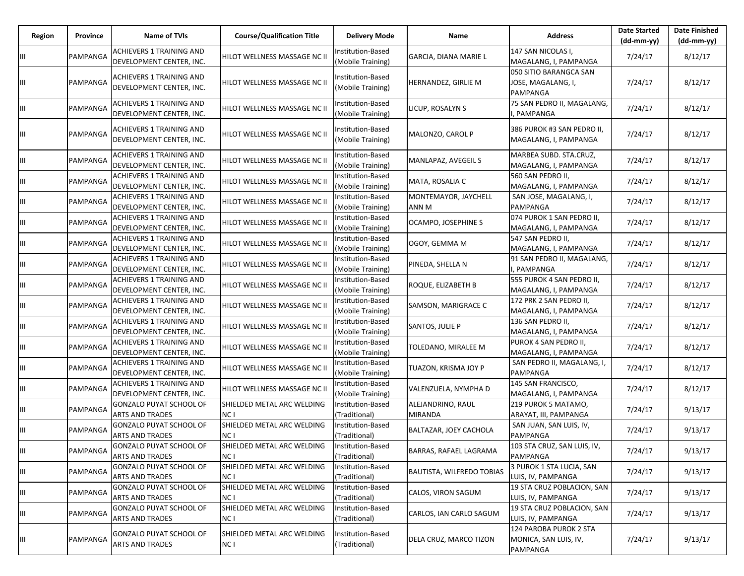| Region | Province | Name of TVIs                                                | <b>Course/Qualification Title</b>             | <b>Delivery Mode</b>                          | Name                                | <b>Address</b>                                              | <b>Date Started</b><br>$(dd-mm-yy)$ | <b>Date Finished</b><br>$(dd-mm-yy)$ |
|--------|----------|-------------------------------------------------------------|-----------------------------------------------|-----------------------------------------------|-------------------------------------|-------------------------------------------------------------|-------------------------------------|--------------------------------------|
| Ш      | PAMPANGA | <b>ACHIEVERS 1 TRAINING AND</b><br>DEVELOPMENT CENTER, INC. | HILOT WELLNESS MASSAGE NC II                  | Institution-Based<br>(Mobile Training)        | GARCIA, DIANA MARIE L               | 147 SAN NICOLAS I,<br>MAGALANG, I, PAMPANGA                 | 7/24/17                             | 8/12/17                              |
| Ш      | PAMPANGA | ACHIEVERS 1 TRAINING AND<br>DEVELOPMENT CENTER, INC.        | HILOT WELLNESS MASSAGE NC II                  | Institution-Based<br>(Mobile Training)        | HERNANDEZ, GIRLIE M                 | 050 SITIO BARANGCA SAN<br>JOSE, MAGALANG, I,<br>PAMPANGA    | 7/24/17                             | 8/12/17                              |
| Ш      | PAMPANGA | ACHIEVERS 1 TRAINING AND<br>DEVELOPMENT CENTER, INC.        | HILOT WELLNESS MASSAGE NC II                  | Institution-Based<br>(Mobile Training)        | LICUP, ROSALYN S                    | 75 SAN PEDRO II, MAGALANG,<br>PAMPANGA                      | 7/24/17                             | 8/12/17                              |
| Ш      | PAMPANGA | ACHIEVERS 1 TRAINING AND<br>DEVELOPMENT CENTER, INC.        | HILOT WELLNESS MASSAGE NC II                  | Institution-Based<br>(Mobile Training)        | MALONZO, CAROL P                    | 386 PUROK #3 SAN PEDRO II,<br>MAGALANG, I, PAMPANGA         | 7/24/17                             | 8/12/17                              |
| Ш      | PAMPANGA | ACHIEVERS 1 TRAINING AND<br>DEVELOPMENT CENTER, INC.        | HILOT WELLNESS MASSAGE NC II                  | <b>Institution-Based</b><br>(Mobile Training) | MANLAPAZ, AVEGEIL S                 | MARBEA SUBD. STA.CRUZ,<br>MAGALANG, I, PAMPANGA             | 7/24/17                             | 8/12/17                              |
| Ш      | PAMPANGA | <b>ACHIEVERS 1 TRAINING AND</b><br>DEVELOPMENT CENTER, INC. | HILOT WELLNESS MASSAGE NC II                  | Institution-Based<br>(Mobile Training)        | MATA, ROSALIA C                     | 560 SAN PEDRO II,<br>MAGALANG, I, PAMPANGA                  | 7/24/17                             | 8/12/17                              |
| Ш      | PAMPANGA | <b>ACHIEVERS 1 TRAINING AND</b><br>DEVELOPMENT CENTER, INC. | HILOT WELLNESS MASSAGE NC II                  | Institution-Based<br>(Mobile Training)        | MONTEMAYOR, JAYCHELL<br>ANN M       | SAN JOSE, MAGALANG, I,<br>PAMPANGA                          | 7/24/17                             | 8/12/17                              |
| Ш      | PAMPANGA | <b>ACHIEVERS 1 TRAINING AND</b><br>DEVELOPMENT CENTER, INC. | HILOT WELLNESS MASSAGE NC II                  | Institution-Based<br>(Mobile Training)        | OCAMPO, JOSEPHINE S                 | 074 PUROK 1 SAN PEDRO II,<br>MAGALANG, I, PAMPANGA          | 7/24/17                             | 8/12/17                              |
| Ш      | PAMPANGA | ACHIEVERS 1 TRAINING AND<br>DEVELOPMENT CENTER, INC.        | HILOT WELLNESS MASSAGE NC II                  | Institution-Based<br>(Mobile Training)        | OGOY, GEMMA M                       | 547 SAN PEDRO II,<br>MAGALANG, I, PAMPANGA                  | 7/24/17                             | 8/12/17                              |
| Ш      | PAMPANGA | ACHIEVERS 1 TRAINING AND<br>DEVELOPMENT CENTER, INC.        | HILOT WELLNESS MASSAGE NC II                  | Institution-Based<br>(Mobile Training)        | PINEDA, SHELLA N                    | 91 SAN PEDRO II, MAGALANG,<br>, PAMPANGA                    | 7/24/17                             | 8/12/17                              |
| Ш      | PAMPANGA | <b>ACHIEVERS 1 TRAINING AND</b><br>DEVELOPMENT CENTER, INC. | HILOT WELLNESS MASSAGE NC II                  | Institution-Based<br>(Mobile Training)        | ROQUE, ELIZABETH B                  | 555 PUROK 4 SAN PEDRO II,<br>MAGALANG, I, PAMPANGA          | 7/24/17                             | 8/12/17                              |
| Ш      | PAMPANGA | ACHIEVERS 1 TRAINING AND<br>DEVELOPMENT CENTER, INC.        | HILOT WELLNESS MASSAGE NC II                  | Institution-Based<br>(Mobile Training)        | SAMSON, MARIGRACE C                 | 172 PRK 2 SAN PEDRO II,<br>MAGALANG, I, PAMPANGA            | 7/24/17                             | 8/12/17                              |
| Ш      | PAMPANGA | <b>ACHIEVERS 1 TRAINING AND</b><br>DEVELOPMENT CENTER, INC. | HILOT WELLNESS MASSAGE NC II                  | Institution-Based<br>(Mobile Training)        | SANTOS, JULIE P                     | 136 SAN PEDRO II,<br>MAGALANG, I, PAMPANGA                  | 7/24/17                             | 8/12/17                              |
| Ш      | PAMPANGA | ACHIEVERS 1 TRAINING AND<br>DEVELOPMENT CENTER, INC.        | HILOT WELLNESS MASSAGE NC II                  | Institution-Based<br>(Mobile Training)        | TOLEDANO, MIRALEE M                 | PUROK 4 SAN PEDRO II,<br>MAGALANG, I, PAMPANGA              | 7/24/17                             | 8/12/17                              |
| Ш      | PAMPANGA | ACHIEVERS 1 TRAINING AND<br>DEVELOPMENT CENTER, INC.        | HILOT WELLNESS MASSAGE NC II                  | Institution-Based<br>(Mobile Training)        | TUAZON, KRISMA JOY P                | SAN PEDRO II, MAGALANG, I,<br>PAMPANGA                      | 7/24/17                             | 8/12/17                              |
| Ш      | PAMPANGA | <b>ACHIEVERS 1 TRAINING AND</b><br>DEVELOPMENT CENTER, INC. | HILOT WELLNESS MASSAGE NC II                  | Institution-Based<br>(Mobile Training)        | VALENZUELA, NYMPHA D                | 145 SAN FRANCISCO,<br>MAGALANG, I, PAMPANGA                 | 7/24/17                             | 8/12/17                              |
| Ш      | PAMPANGA | <b>GONZALO PUYAT SCHOOL OF</b><br><b>ARTS AND TRADES</b>    | SHIELDED METAL ARC WELDING<br>NC I            | Institution-Based<br>(Traditional)            | ALEJANDRINO, RAUL<br><b>MIRANDA</b> | 219 PUROK 5 MATAMO,<br>ARAYAT, III, PAMPANGA                | 7/24/17                             | 9/13/17                              |
| Ш      | PAMPANGA | GONZALO PUYAT SCHOOL OF<br><b>ARTS AND TRADES</b>           | SHIELDED METAL ARC WELDING<br>NC <sub>1</sub> | Institution-Based<br>(Traditional)            | BALTAZAR, JOEY CACHOLA              | SAN JUAN, SAN LUIS, IV,<br>PAMPANGA                         | 7/24/17                             | 9/13/17                              |
| IШ     | PAMPANGA | GONZALO PUYAT SCHOOL OF<br><b>ARTS AND TRADES</b>           | SHIELDED METAL ARC WELDING<br>NC <sub>1</sub> | Institution-Based<br>(Traditional)            | BARRAS, RAFAEL LAGRAMA              | 103 STA CRUZ, SAN LUIS, IV,<br>PAMPANGA                     | 7/24/17                             | 9/13/17                              |
| Ш      | PAMPANGA | GONZALO PUYAT SCHOOL OF<br><b>ARTS AND TRADES</b>           | SHIELDED METAL ARC WELDING<br>NC <sub>1</sub> | Institution-Based<br>(Traditional)            | <b>BAUTISTA, WILFREDO TOBIAS</b>    | 3 PUROK 1 STA LUCIA, SAN<br>LUIS, IV, PAMPANGA              | 7/24/17                             | 9/13/17                              |
| Ш      | PAMPANGA | GONZALO PUYAT SCHOOL OF<br><b>ARTS AND TRADES</b>           | SHIELDED METAL ARC WELDING<br>NC <sub>1</sub> | Institution-Based<br>(Traditional)            | CALOS, VIRON SAGUM                  | 19 STA CRUZ POBLACION, SAN<br>LUIS, IV, PAMPANGA            | 7/24/17                             | 9/13/17                              |
| Ш      | PAMPANGA | GONZALO PUYAT SCHOOL OF<br><b>ARTS AND TRADES</b>           | SHIELDED METAL ARC WELDING<br>NC <sub>1</sub> | Institution-Based<br>(Traditional)            | CARLOS, IAN CARLO SAGUM             | 19 STA CRUZ POBLACION, SAN<br>LUIS, IV, PAMPANGA            | 7/24/17                             | 9/13/17                              |
| Ш      | PAMPANGA | GONZALO PUYAT SCHOOL OF<br><b>ARTS AND TRADES</b>           | SHIELDED METAL ARC WELDING<br>NC I            | Institution-Based<br>(Traditional)            | DELA CRUZ, MARCO TIZON              | 124 PAROBA PUROK 2 STA<br>MONICA, SAN LUIS, IV,<br>PAMPANGA | 7/24/17                             | 9/13/17                              |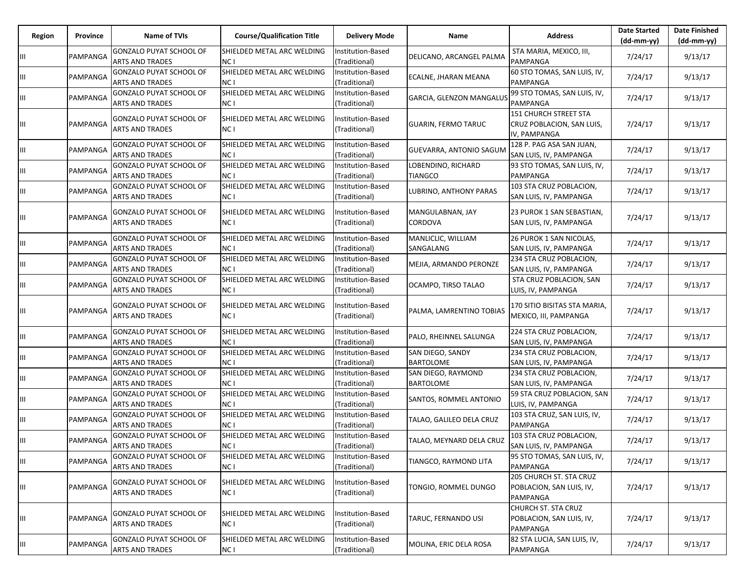| Region | Province | Name of TVIs                                               | <b>Course/Qualification Title</b>  | <b>Delivery Mode</b>                      | Name                                   | <b>Address</b>                                                     | <b>Date Started</b><br>$(dd-mm-yy)$ | <b>Date Finished</b><br>(dd-mm-yy) |
|--------|----------|------------------------------------------------------------|------------------------------------|-------------------------------------------|----------------------------------------|--------------------------------------------------------------------|-------------------------------------|------------------------------------|
| Ш      | PAMPANGA | <b>GONZALO PUYAT SCHOOL OF</b><br><b>ARTS AND TRADES</b>   | SHIELDED METAL ARC WELDING<br>NC I | Institution-Based<br>(Traditional)        | DELICANO, ARCANGEL PALMA               | STA MARIA, MEXICO, III,<br>PAMPANGA                                | 7/24/17                             | 9/13/17                            |
| Ш      | PAMPANGA | <b>GONZALO PUYAT SCHOOL OF</b><br><b>ARTS AND TRADES</b>   | SHIELDED METAL ARC WELDING<br>NC I | Institution-Based<br>(Traditional)        | ECALNE, JHARAN MEANA                   | 60 STO TOMAS, SAN LUIS, IV,<br>PAMPANGA                            | 7/24/17                             | 9/13/17                            |
| Ш      | PAMPANGA | <b>GONZALO PUYAT SCHOOL OF</b><br><b>ARTS AND TRADES</b>   | SHIELDED METAL ARC WELDING<br>NC I | Institution-Based<br>(Traditional)        | GARCIA, GLENZON MANGALUS               | 99 STO TOMAS, SAN LUIS, IV,<br>PAMPANGA                            | 7/24/17                             | 9/13/17                            |
| Ш      | PAMPANGA | <b>GONZALO PUYAT SCHOOL OF</b><br><b>ARTS AND TRADES</b>   | SHIELDED METAL ARC WELDING<br>NC I | Institution-Based<br>(Traditional)        | <b>GUARIN, FERMO TARUC</b>             | 151 CHURCH STREET STA<br>CRUZ POBLACION, SAN LUIS,<br>IV, PAMPANGA | 7/24/17                             | 9/13/17                            |
| Ш      | PAMPANGA | <b>GONZALO PUYAT SCHOOL OF</b><br><b>ARTS AND TRADES</b>   | SHIELDED METAL ARC WELDING<br>NC I | Institution-Based<br>(Traditional)        | GUEVARRA, ANTONIO SAGUN                | 128 P. PAG ASA SAN JUAN,<br>SAN LUIS, IV, PAMPANGA                 | 7/24/17                             | 9/13/17                            |
| Ш      | PAMPANGA | GONZALO PUYAT SCHOOL OF<br>ARTS AND TRADES                 | SHIELDED METAL ARC WELDING<br>NC I | Institution-Based<br>(Traditional)        | LOBENDINO, RICHARD<br><b>TIANGCO</b>   | 93 STO TOMAS, SAN LUIS, IV,<br>PAMPANGA                            | 7/24/17                             | 9/13/17                            |
| Ш      | PAMPANGA | <b>GONZALO PUYAT SCHOOL OF</b><br><b>ARTS AND TRADES</b>   | SHIELDED METAL ARC WELDING<br>NC I | Institution-Based<br>(Traditional)        | LUBRINO, ANTHONY PARAS                 | 103 STA CRUZ POBLACION,<br>SAN LUIS, IV, PAMPANGA                  | 7/24/17                             | 9/13/17                            |
| Ш      | PAMPANGA | <b>GONZALO PUYAT SCHOOL OF</b><br><b>ARTS AND TRADES</b>   | SHIELDED METAL ARC WELDING<br>NC I | Institution-Based<br>(Traditional)        | MANGULABNAN, JAY<br>CORDOVA            | 23 PUROK 1 SAN SEBASTIAN,<br>SAN LUIS, IV, PAMPANGA                | 7/24/17                             | 9/13/17                            |
| Ш      | PAMPANGA | GONZALO PUYAT SCHOOL OF<br>ARTS AND TRADES                 | SHIELDED METAL ARC WELDING<br>NC I | <b>Institution-Based</b><br>(Traditional) | MANLICLIC, WILLIAM<br>SANGALANG        | 26 PUROK 1 SAN NICOLAS,<br>SAN LUIS, IV, PAMPANGA                  | 7/24/17                             | 9/13/17                            |
| Ш      | PAMPANGA | <b>GONZALO PUYAT SCHOOL OF</b><br><b>ARTS AND TRADES</b>   | SHIELDED METAL ARC WELDING<br>NC I | Institution-Based<br>(Traditional)        | MEJIA, ARMANDO PERONZE                 | 234 STA CRUZ POBLACION,<br>SAN LUIS, IV, PAMPANGA                  | 7/24/17                             | 9/13/17                            |
| Ш      | PAMPANGA | <b>GONZALO PUYAT SCHOOL OF</b><br>ARTS AND TRADES          | SHIELDED METAL ARC WELDING<br>NC I | Institution-Based<br>(Traditional)        | OCAMPO, TIRSO TALAO                    | STA CRUZ POBLACION, SAN<br>LUIS, IV, PAMPANGA                      | 7/24/17                             | 9/13/17                            |
| Ш      | PAMPANGA | <b>GONZALO PUYAT SCHOOL OF</b><br>ARTS AND TRADES          | SHIELDED METAL ARC WELDING<br>NC I | Institution-Based<br>(Traditional)        | PALMA, LAMRENTINO TOBIAS               | 170 SITIO BISITAS STA MARIA,<br>MEXICO, III, PAMPANGA              | 7/24/17                             | 9/13/17                            |
| Ш      | PAMPANGA | GONZALO PUYAT SCHOOL OF<br><b>ARTS AND TRADES</b>          | SHIELDED METAL ARC WELDING<br>NC I | Institution-Based<br>(Traditional)        | PALO, RHEINNEL SALUNGA                 | 224 STA CRUZ POBLACION,<br>SAN LUIS, IV, PAMPANGA                  | 7/24/17                             | 9/13/17                            |
| Ш      | PAMPANGA | <b>GONZALO PUYAT SCHOOL OF</b><br><b>ARTS AND TRADES</b>   | SHIELDED METAL ARC WELDING<br>NC I | Institution-Based<br>(Traditional)        | SAN DIEGO, SANDY<br><b>BARTOLOME</b>   | 234 STA CRUZ POBLACION,<br>SAN LUIS, IV, PAMPANGA                  | 7/24/17                             | 9/13/17                            |
| Ш      | PAMPANGA | <b>GONZALO PUYAT SCHOOL OF</b><br>ARTS AND TRADES          | SHIELDED METAL ARC WELDING<br>NC I | Institution-Based<br>(Traditional)        | SAN DIEGO, RAYMOND<br><b>BARTOLOME</b> | 234 STA CRUZ POBLACION,<br>SAN LUIS, IV, PAMPANGA                  | 7/24/17                             | 9/13/17                            |
| Ш      | PAMPANGA | <b>GONZALO PUYAT SCHOOL OF</b><br><b>ARTS AND TRADES</b>   | SHIELDED METAL ARC WELDING<br>NC I | <b>Institution-Based</b><br>(Traditional) | SANTOS, ROMMEL ANTONIO                 | 59 STA CRUZ POBLACION, SAN<br>LUIS, IV, PAMPANGA                   | 7/24/17                             | 9/13/17                            |
| Ш      | PAMPANGA | <b>GONZALO PUYAT SCHOOL OF</b><br><b>ARTS AND TRADES</b>   | SHIELDED METAL ARC WELDING<br>NC I | Institution-Based<br>(Traditional)        | TALAO, GALILEO DELA CRUZ               | 103 STA CRUZ, SAN LUIS, IV,<br>PAMPANGA                            | 7/24/17                             | 9/13/17                            |
| Ш      |          | <b>GONZALO PUYAT SCHOOL OF</b><br>PAMPANGA ARTS AND TRADES | SHIELDED METAL ARC WELDING<br>NC I | Institution-Based<br>(Traditional)        | TALAO, MEYNARD DELA CRUZ               | 103 STA CRUZ POBLACION,<br>SAN LUIS, IV, PAMPANGA                  | 7/24/17                             | 9/13/17                            |
| ШL     | PAMPANGA | GONZALO PUYAT SCHOOL OF<br><b>ARTS AND TRADES</b>          | SHIELDED METAL ARC WELDING<br>NC I | Institution-Based<br>(Traditional)        | TIANGCO, RAYMOND LITA                  | 95 STO TOMAS, SAN LUIS, IV,<br>PAMPANGA                            | 7/24/17                             | 9/13/17                            |
| Ш      | PAMPANGA | <b>GONZALO PUYAT SCHOOL OF</b><br><b>ARTS AND TRADES</b>   | SHIELDED METAL ARC WELDING<br>NC I | nstitution-Based<br>(Traditional)         | TONGIO, ROMMEL DUNGO                   | 205 CHURCH ST. STA CRUZ<br>POBLACION, SAN LUIS, IV,<br>PAMPANGA    | 7/24/17                             | 9/13/17                            |
| Ш      | PAMPANGA | <b>GONZALO PUYAT SCHOOL OF</b><br><b>ARTS AND TRADES</b>   | SHIELDED METAL ARC WELDING<br>NC I | Institution-Based<br>(Traditional)        | TARUC, FERNANDO USI                    | CHURCH ST. STA CRUZ<br>POBLACION, SAN LUIS, IV,<br>PAMPANGA        | 7/24/17                             | 9/13/17                            |
| Ш      | PAMPANGA | <b>GONZALO PUYAT SCHOOL OF</b><br><b>ARTS AND TRADES</b>   | SHIELDED METAL ARC WELDING<br>NC I | Institution-Based<br>(Traditional)        | MOLINA, ERIC DELA ROSA                 | 82 STA LUCIA, SAN LUIS, IV,<br>PAMPANGA                            | 7/24/17                             | 9/13/17                            |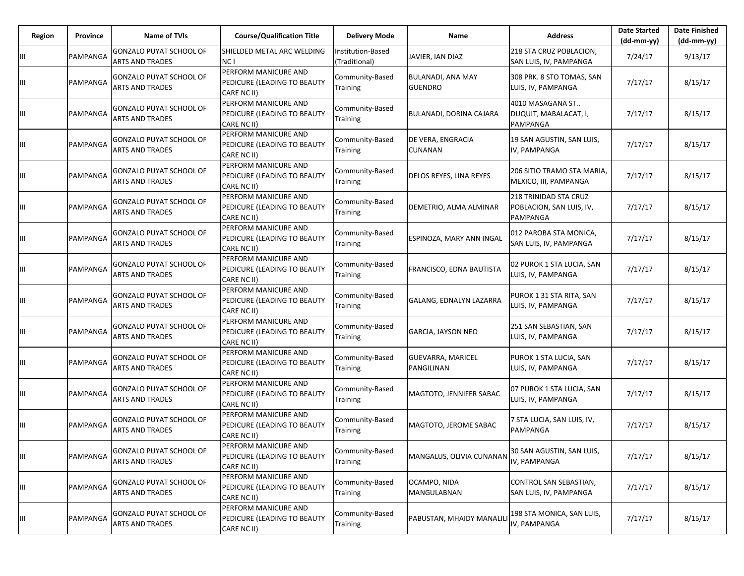| Region | Province | <b>Name of TVIs</b>                                      | <b>Course/Qualification Title</b>                                  | <b>Delivery Mode</b>               | Name                                       | <b>Address</b>                                                | <b>Date Started</b><br>$(dd-mm-yy)$ | <b>Date Finished</b><br>$(dd-mm-yy)$ |
|--------|----------|----------------------------------------------------------|--------------------------------------------------------------------|------------------------------------|--------------------------------------------|---------------------------------------------------------------|-------------------------------------|--------------------------------------|
| Ш      | PAMPANGA | <b>GONZALO PUYAT SCHOOL OF</b><br><b>ARTS AND TRADES</b> | SHIELDED METAL ARC WELDING<br>NC I                                 | Institution-Based<br>(Traditional) | JAVIER, IAN DIAZ                           | 218 STA CRUZ POBLACION,<br>SAN LUIS, IV, PAMPANGA             | 7/24/17                             | 9/13/17                              |
| Ш      | PAMPANGA | <b>GONZALO PUYAT SCHOOL OF</b><br><b>ARTS AND TRADES</b> | PERFORM MANICURE AND<br>PEDICURE (LEADING TO BEAUTY<br>CARE NC II) | Community-Based<br>Training        | <b>BULANADI, ANA MAY</b><br><b>GUENDRO</b> | 308 PRK. 8 STO TOMAS, SAN<br>LUIS, IV, PAMPANGA               | 7/17/17                             | 8/15/17                              |
| Ш      | PAMPANGA | GONZALO PUYAT SCHOOL OF<br><b>ARTS AND TRADES</b>        | PERFORM MANICURE AND<br>PEDICURE (LEADING TO BEAUTY<br>CARE NC II) | Community-Based<br><b>Training</b> | BULANADI, DORINA CAJARA                    | 4010 MASAGANA ST<br>DUQUIT, MABALACAT, I,<br>PAMPANGA         | 7/17/17                             | 8/15/17                              |
| Ш      | PAMPANGA | <b>GONZALO PUYAT SCHOOL OF</b><br><b>ARTS AND TRADES</b> | PERFORM MANICURE AND<br>PEDICURE (LEADING TO BEAUTY<br>CARE NC II) | Community-Based<br>Training        | DE VERA, ENGRACIA<br>CUNANAN               | 19 SAN AGUSTIN, SAN LUIS,<br>IV, PAMPANGA                     | 7/17/17                             | 8/15/17                              |
| Ш      | PAMPANGA | <b>GONZALO PUYAT SCHOOL OF</b><br><b>ARTS AND TRADES</b> | PERFORM MANICURE AND<br>PEDICURE (LEADING TO BEAUTY<br>CARE NC II) | Community-Based<br>Training        | DELOS REYES, LINA REYES                    | 206 SITIO TRAMO STA MARIA,<br>MEXICO, III, PAMPANGA           | 7/17/17                             | 8/15/17                              |
| Ш      | PAMPANGA | <b>GONZALO PUYAT SCHOOL OF</b><br><b>ARTS AND TRADES</b> | PERFORM MANICURE AND<br>PEDICURE (LEADING TO BEAUTY<br>CARE NC II) | Community-Based<br>Training        | DEMETRIO, ALMA ALMINAR                     | 218 TRINIDAD STA CRUZ<br>POBLACION, SAN LUIS, IV,<br>PAMPANGA | 7/17/17                             | 8/15/17                              |
| Ш      | PAMPANGA | <b>GONZALO PUYAT SCHOOL OF</b><br><b>ARTS AND TRADES</b> | PERFORM MANICURE AND<br>PEDICURE (LEADING TO BEAUTY<br>CARE NC II) | Community-Based<br>Training        | ESPINOZA, MARY ANN INGAL                   | 012 PAROBA STA MONICA,<br>SAN LUIS, IV, PAMPANGA              | 7/17/17                             | 8/15/17                              |
| Ш      | PAMPANGA | <b>GONZALO PUYAT SCHOOL OF</b><br><b>ARTS AND TRADES</b> | PERFORM MANICURE AND<br>PEDICURE (LEADING TO BEAUTY<br>CARE NC II) | Community-Based<br>Training        | <b>FRANCISCO, EDNA BAUTISTA</b>            | 02 PUROK 1 STA LUCIA, SAN<br>LUIS, IV, PAMPANGA               | 7/17/17                             | 8/15/17                              |
| Ш      | PAMPANGA | <b>GONZALO PUYAT SCHOOL OF</b><br><b>ARTS AND TRADES</b> | PERFORM MANICURE AND<br>PEDICURE (LEADING TO BEAUTY<br>CARE NC II) | Community-Based<br>Training        | GALANG, EDNALYN LAZARRA                    | PUROK 1 31 STA RITA, SAN<br>LUIS, IV, PAMPANGA                | 7/17/17                             | 8/15/17                              |
| Ш      | PAMPANGA | <b>GONZALO PUYAT SCHOOL OF</b><br><b>ARTS AND TRADES</b> | PERFORM MANICURE AND<br>PEDICURE (LEADING TO BEAUTY<br>CARE NC II) | Community-Based<br>Training        | <b>GARCIA, JAYSON NEO</b>                  | 251 SAN SEBASTIAN, SAN<br>LUIS, IV, PAMPANGA                  | 7/17/17                             | 8/15/17                              |
| Ш      | PAMPANGA | <b>GONZALO PUYAT SCHOOL OF</b><br><b>ARTS AND TRADES</b> | PERFORM MANICURE AND<br>PEDICURE (LEADING TO BEAUTY<br>CARE NC II) | Community-Based<br><b>Training</b> | <b>GUEVARRA, MARICEL</b><br>PANGILINAN     | PUROK 1 STA LUCIA, SAN<br>LUIS, IV, PAMPANGA                  | 7/17/17                             | 8/15/17                              |
| Ш      | PAMPANGA | <b>GONZALO PUYAT SCHOOL OF</b><br><b>ARTS AND TRADES</b> | PERFORM MANICURE AND<br>PEDICURE (LEADING TO BEAUTY<br>CARE NC II) | Community-Based<br><b>Training</b> | MAGTOTO, JENNIFER SABAC                    | 07 PUROK 1 STA LUCIA, SAN<br>LUIS, IV, PAMPANGA               | 7/17/17                             | 8/15/17                              |
| Ш      | PAMPANGA | <b>GONZALO PUYAT SCHOOL OF</b><br><b>ARTS AND TRADES</b> | PERFORM MANICURE AND<br>PEDICURE (LEADING TO BEAUTY<br>CARE NC II) | Community-Based<br>Training        | MAGTOTO, JEROME SABAC                      | 7 STA LUCIA, SAN LUIS, IV,<br>PAMPANGA                        | 7/17/17                             | 8/15/17                              |
| Ш      | PAMPANGA | <b>GONZALO PUYAT SCHOOL OF</b><br><b>ARTS AND TRADES</b> | PERFORM MANICURE AND<br>PEDICURE (LEADING TO BEAUTY<br>CARE NC II) | Community-Based<br>Training        | MANGALUS, OLIVIA CUNANAN                   | 30 SAN AGUSTIN, SAN LUIS,<br>IV. PAMPANGA                     | 7/17/17                             | 8/15/17                              |
| Ш      | PAMPANGA | <b>GONZALO PUYAT SCHOOL OF</b><br><b>ARTS AND TRADES</b> | PERFORM MANICURE AND<br>PEDICURE (LEADING TO BEAUTY<br>CARE NC II) | Community-Based<br>Training        | OCAMPO, NIDA<br>MANGULABNAN                | CONTROL SAN SEBASTIAN,<br>SAN LUIS, IV, PAMPANGA              | 7/17/17                             | 8/15/17                              |
| Ш      | PAMPANGA | <b>GONZALO PUYAT SCHOOL OF</b><br><b>ARTS AND TRADES</b> | PERFORM MANICURE AND<br>PEDICURE (LEADING TO BEAUTY<br>CARE NC II) | Community-Based<br>Training        | PABUSTAN, MHAIDY MANALILI                  | 198 STA MONICA, SAN LUIS,<br>IV, PAMPANGA                     | 7/17/17                             | 8/15/17                              |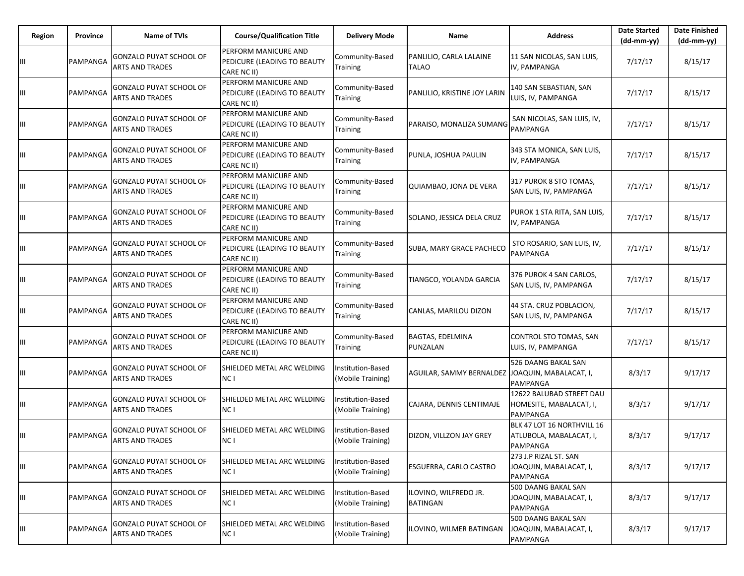| Region | Province | <b>Name of TVIs</b>                                      | <b>Course/Qualification Title</b>                                         | <b>Delivery Mode</b>                          | Name                                            | <b>Address</b>                                                     | <b>Date Started</b><br>$(dd-mm-yy)$ | <b>Date Finished</b><br>$(dd-mm-yy)$ |
|--------|----------|----------------------------------------------------------|---------------------------------------------------------------------------|-----------------------------------------------|-------------------------------------------------|--------------------------------------------------------------------|-------------------------------------|--------------------------------------|
| Ш      | PAMPANGA | <b>GONZALO PUYAT SCHOOL OF</b><br><b>ARTS AND TRADES</b> | PERFORM MANICURE AND<br>PEDICURE (LEADING TO BEAUTY<br>CARE NC II)        | Community-Based<br>Training                   | PANLILIO, CARLA LALAINE<br><b>TALAO</b>         | 11 SAN NICOLAS, SAN LUIS,<br>IV, PAMPANGA                          | 7/17/17                             | 8/15/17                              |
| Ш      | PAMPANGA | <b>GONZALO PUYAT SCHOOL OF</b><br><b>ARTS AND TRADES</b> | PERFORM MANICURE AND<br>PEDICURE (LEADING TO BEAUTY<br>CARE NC II)        | Community-Based<br>Training                   | PANLILIO, KRISTINE JOY LARIN                    | 140 SAN SEBASTIAN, SAN<br>LUIS, IV, PAMPANGA                       | 7/17/17                             | 8/15/17                              |
| Ш      | PAMPANGA | <b>GONZALO PUYAT SCHOOL OF</b><br><b>ARTS AND TRADES</b> | PERFORM MANICURE AND<br>PEDICURE (LEADING TO BEAUTY<br>CARE NC II)        | Community-Based<br>Training                   | PARAISO, MONALIZA SUMANG                        | SAN NICOLAS, SAN LUIS, IV,<br>PAMPANGA                             | 7/17/17                             | 8/15/17                              |
| Ш      | PAMPANGA | <b>GONZALO PUYAT SCHOOL OF</b><br><b>ARTS AND TRADES</b> | <b>PERFORM MANICURE AND</b><br>PEDICURE (LEADING TO BEAUTY<br>CARE NC II) | Community-Based<br>Training                   | PUNLA, JOSHUA PAULIN                            | 343 STA MONICA, SAN LUIS,<br>IV, PAMPANGA                          | 7/17/17                             | 8/15/17                              |
| Ш      | PAMPANGA | <b>GONZALO PUYAT SCHOOL OF</b><br><b>ARTS AND TRADES</b> | PERFORM MANICURE AND<br>PEDICURE (LEADING TO BEAUTY<br>CARE NC II)        | Community-Based<br>Training                   | QUIAMBAO, JONA DE VERA                          | 317 PUROK 8 STO TOMAS,<br>SAN LUIS, IV, PAMPANGA                   | 7/17/17                             | 8/15/17                              |
| Ш      | PAMPANGA | <b>GONZALO PUYAT SCHOOL OF</b><br><b>ARTS AND TRADES</b> | PERFORM MANICURE AND<br>PEDICURE (LEADING TO BEAUTY<br>CARE NC II)        | Community-Based<br>Training                   | SOLANO, JESSICA DELA CRUZ                       | PUROK 1 STA RITA, SAN LUIS,<br>IV, PAMPANGA                        | 7/17/17                             | 8/15/17                              |
| Ш      | PAMPANGA | <b>GONZALO PUYAT SCHOOL OF</b><br><b>ARTS AND TRADES</b> | PERFORM MANICURE AND<br>PEDICURE (LEADING TO BEAUTY<br>CARE NC II)        | Community-Based<br>Training                   | SUBA, MARY GRACE PACHECO                        | STO ROSARIO, SAN LUIS, IV,<br>PAMPANGA                             | 7/17/17                             | 8/15/17                              |
| Ш      | PAMPANGA | GONZALO PUYAT SCHOOL OF<br><b>ARTS AND TRADES</b>        | PERFORM MANICURE AND<br>PEDICURE (LEADING TO BEAUTY<br>CARE NC II)        | Community-Based<br>Training                   | TIANGCO, YOLANDA GARCIA                         | 376 PUROK 4 SAN CARLOS,<br>SAN LUIS, IV, PAMPANGA                  | 7/17/17                             | 8/15/17                              |
| Ш      | PAMPANGA | <b>GONZALO PUYAT SCHOOL OF</b><br><b>ARTS AND TRADES</b> | PERFORM MANICURE AND<br>PEDICURE (LEADING TO BEAUTY<br>CARE NC II)        | Community-Based<br>Training                   | CANLAS, MARILOU DIZON                           | 44 STA. CRUZ POBLACION,<br>SAN LUIS, IV, PAMPANGA                  | 7/17/17                             | 8/15/17                              |
| Ш      | PAMPANGA | <b>GONZALO PUYAT SCHOOL OF</b><br><b>ARTS AND TRADES</b> | PERFORM MANICURE AND<br>PEDICURE (LEADING TO BEAUTY<br>CARE NC II)        | Community-Based<br><b>Training</b>            | BAGTAS, EDELMINA<br>PUNZALAN                    | CONTROL STO TOMAS, SAN<br>LUIS, IV, PAMPANGA                       | 7/17/17                             | 8/15/17                              |
| Ш      | PAMPANGA | <b>GONZALO PUYAT SCHOOL OF</b><br><b>ARTS AND TRADES</b> | SHIELDED METAL ARC WELDING<br>NC I                                        | Institution-Based<br>(Mobile Training)        | AGUILAR, SAMMY BERNALDEZ JOAQUIN, MABALACAT, I, | 526 DAANG BAKAL SAN<br>PAMPANGA                                    | 8/3/17                              | 9/17/17                              |
| Ш      | PAMPANGA | <b>GONZALO PUYAT SCHOOL OF</b><br><b>ARTS AND TRADES</b> | SHIELDED METAL ARC WELDING<br>NC I                                        | <b>Institution-Based</b><br>(Mobile Training) | CAJARA, DENNIS CENTIMAJE                        | 12622 BALUBAD STREET DAU<br>HOMESITE, MABALACAT, I,<br>PAMPANGA    | 8/3/17                              | 9/17/17                              |
| Ш      | PAMPANGA | GONZALO PUYAT SCHOOL OF<br><b>ARTS AND TRADES</b>        | SHIELDED METAL ARC WELDING<br>NC I                                        | Institution-Based<br>(Mobile Training)        | DIZON, VILLZON JAY GREY                         | BLK 47 LOT 16 NORTHVILL 16<br>ATLUBOLA, MABALACAT, I,<br>PAMPANGA  | 8/3/17                              | 9/17/17                              |
| Ш      | PAMPANGA | <b>GONZALO PUYAT SCHOOL OF</b><br><b>ARTS AND TRADES</b> | SHIELDED METAL ARC WELDING<br>NC I                                        | Institution-Based<br>(Mobile Training)        | ESGUERRA, CARLO CASTRO                          | 273 J.P RIZAL ST. SAN<br>JOAQUIN, MABALACAT, I,<br><b>PAMPANGA</b> | 8/3/17                              | 9/17/17                              |
| Ш      | PAMPANGA | GONZALO PUYAT SCHOOL OF<br><b>ARTS AND TRADES</b>        | SHIELDED METAL ARC WELDING<br>NC I                                        | Institution-Based<br>(Mobile Training)        | ILOVINO, WILFREDO JR.<br><b>BATINGAN</b>        | 500 DAANG BAKAL SAN<br>JOAQUIN, MABALACAT, I,<br>PAMPANGA          | 8/3/17                              | 9/17/17                              |
| Ш      | PAMPANGA | GONZALO PUYAT SCHOOL OF<br><b>ARTS AND TRADES</b>        | SHIELDED METAL ARC WELDING<br>NC I                                        | Institution-Based<br>(Mobile Training)        | ILOVINO, WILMER BATINGAN                        | 500 DAANG BAKAL SAN<br>JOAQUIN, MABALACAT, I,<br>PAMPANGA          | 8/3/17                              | 9/17/17                              |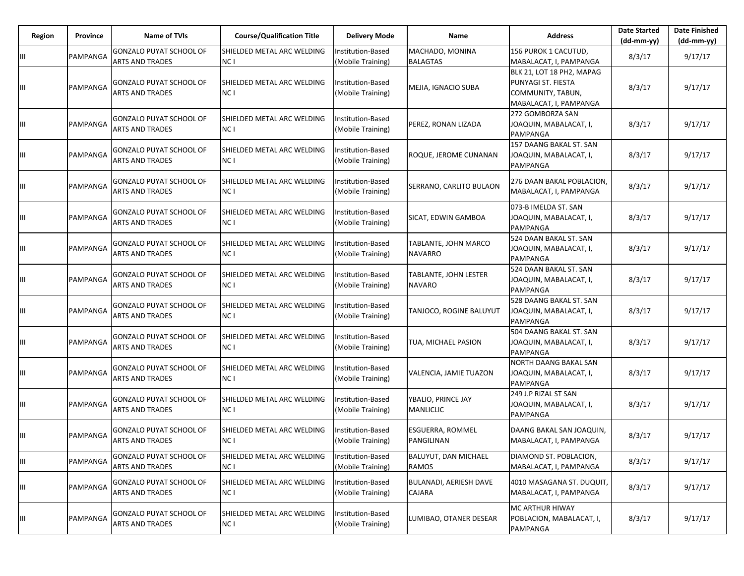| Region | Province | Name of TVIs                                             | <b>Course/Qualification Title</b>             | <b>Delivery Mode</b>                   | Name                                        | <b>Address</b>                                                                                 | <b>Date Started</b><br>$(dd-mm-yy)$ | <b>Date Finished</b><br>$(dd-mm-yy)$ |
|--------|----------|----------------------------------------------------------|-----------------------------------------------|----------------------------------------|---------------------------------------------|------------------------------------------------------------------------------------------------|-------------------------------------|--------------------------------------|
| Ш      | PAMPANGA | <b>GONZALO PUYAT SCHOOL OF</b><br><b>ARTS AND TRADES</b> | SHIELDED METAL ARC WELDING<br>NC I            | Institution-Based<br>(Mobile Training) | MACHADO, MONINA<br><b>BALAGTAS</b>          | 156 PUROK 1 CACUTUD.<br>MABALACAT, I, PAMPANGA                                                 | 8/3/17                              | 9/17/17                              |
| Ш      | PAMPANGA | GONZALO PUYAT SCHOOL OF<br><b>ARTS AND TRADES</b>        | SHIELDED METAL ARC WELDING<br>NC I            | Institution-Based<br>(Mobile Training) | MEJIA, IGNACIO SUBA                         | BLK 21, LOT 18 PH2, MAPAG<br>PUNYAGI ST. FIESTA<br>COMMUNITY, TABUN,<br>MABALACAT, I, PAMPANGA | 8/3/17                              | 9/17/17                              |
| Ш      | PAMPANGA | GONZALO PUYAT SCHOOL OF<br><b>ARTS AND TRADES</b>        | SHIELDED METAL ARC WELDING<br>NC I            | Institution-Based<br>(Mobile Training) | PEREZ, RONAN LIZADA                         | 272 GOMBORZA SAN<br>JOAQUIN, MABALACAT, I,<br>PAMPANGA                                         | 8/3/17                              | 9/17/17                              |
| Ш      | PAMPANGA | GONZALO PUYAT SCHOOL OF<br><b>ARTS AND TRADES</b>        | SHIELDED METAL ARC WELDING<br>NC I            | Institution-Based<br>(Mobile Training) | ROQUE, JEROME CUNANAN                       | 157 DAANG BAKAL ST. SAN<br>JOAQUIN, MABALACAT, I,<br>PAMPANGA                                  | 8/3/17                              | 9/17/17                              |
| Ш      | PAMPANGA | GONZALO PUYAT SCHOOL OF<br><b>ARTS AND TRADES</b>        | SHIELDED METAL ARC WELDING<br>NC I            | Institution-Based<br>(Mobile Training) | SERRANO, CARLITO BULAON                     | 276 DAAN BAKAL POBLACION,<br>MABALACAT, I, PAMPANGA                                            | 8/3/17                              | 9/17/17                              |
| Ш      | PAMPANGA | GONZALO PUYAT SCHOOL OF<br><b>ARTS AND TRADES</b>        | SHIELDED METAL ARC WELDING<br>NC I            | Institution-Based<br>(Mobile Training) | SICAT, EDWIN GAMBOA                         | 073-B IMELDA ST. SAN<br>JOAQUIN, MABALACAT, I,<br>PAMPANGA                                     | 8/3/17                              | 9/17/17                              |
| Ш      | PAMPANGA | GONZALO PUYAT SCHOOL OF<br><b>ARTS AND TRADES</b>        | SHIELDED METAL ARC WELDING<br>NC <sub>1</sub> | Institution-Based<br>(Mobile Training) | TABLANTE, JOHN MARCO<br><b>NAVARRO</b>      | 524 DAAN BAKAL ST. SAN<br>JOAQUIN, MABALACAT, I,<br><b>PAMPANGA</b>                            | 8/3/17                              | 9/17/17                              |
| Ш      | PAMPANGA | GONZALO PUYAT SCHOOL OF<br><b>ARTS AND TRADES</b>        | SHIELDED METAL ARC WELDING<br>NC I            | Institution-Based<br>(Mobile Training) | TABLANTE, JOHN LESTER<br><b>NAVARO</b>      | 524 DAAN BAKAL ST. SAN<br>JOAQUIN, MABALACAT, I,<br>PAMPANGA                                   | 8/3/17                              | 9/17/17                              |
| Ш      | PAMPANGA | GONZALO PUYAT SCHOOL OF<br><b>ARTS AND TRADES</b>        | SHIELDED METAL ARC WELDING<br>NC <sub>1</sub> | Institution-Based<br>(Mobile Training) | TANJOCO, ROGINE BALUYUT                     | 528 DAANG BAKAL ST. SAN<br>JOAQUIN, MABALACAT, I,<br><b>PAMPANGA</b>                           | 8/3/17                              | 9/17/17                              |
| Ш      | PAMPANGA | GONZALO PUYAT SCHOOL OF<br><b>ARTS AND TRADES</b>        | SHIELDED METAL ARC WELDING<br>NC I            | nstitution-Based<br>(Mobile Training)  | TUA, MICHAEL PASION                         | 504 DAANG BAKAL ST. SAN<br>JOAQUIN, MABALACAT, I,<br><b>PAMPANGA</b>                           | 8/3/17                              | 9/17/17                              |
| Ш      | PAMPANGA | GONZALO PUYAT SCHOOL OF<br><b>ARTS AND TRADES</b>        | SHIELDED METAL ARC WELDING<br>NC I            | Institution-Based<br>(Mobile Training) | VALENCIA, JAMIE TUAZON                      | NORTH DAANG BAKAL SAN<br>JOAQUIN, MABALACAT, I,<br><b>PAMPANGA</b>                             | 8/3/17                              | 9/17/17                              |
| Ш      | PAMPANGA | GONZALO PUYAT SCHOOL OF<br><b>ARTS AND TRADES</b>        | SHIELDED METAL ARC WELDING<br>NC I            | nstitution-Based<br>(Mobile Training)  | YBALIO, PRINCE JAY<br><b>MANLICLIC</b>      | 249 J.P RIZAL ST SAN<br>JOAQUIN, MABALACAT, I,<br>PAMPANGA                                     | 8/3/17                              | 9/17/17                              |
| Ш      | PAMPANGA | GONZALO PUYAT SCHOOL OF<br><b>ARTS AND TRADES</b>        | SHIELDED METAL ARC WELDING<br>NC <sub>1</sub> | Institution-Based<br>(Mobile Training) | ESGUERRA, ROMMEL<br>PANGILINAN              | DAANG BAKAL SAN JOAQUIN,<br>MABALACAT, I, PAMPANGA                                             | 8/3/17                              | 9/17/17                              |
| Ш      | PAMPANGA | GONZALO PUYAT SCHOOL OF<br>ARTS AND TRADES               | SHIELDED METAL ARC WELDING<br>NC I            | Institution-Based<br>(Mobile Training) | <b>BALUYUT, DAN MICHAEL</b><br><b>RAMOS</b> | DIAMOND ST. POBLACION,<br>MABALACAT, I, PAMPANGA                                               | 8/3/17                              | 9/17/17                              |
| Ш      | PAMPANGA | GONZALO PUYAT SCHOOL OF<br>ARTS AND TRADES               | SHIELDED METAL ARC WELDING<br>NC I            | Institution-Based<br>(Mobile Training) | <b>BULANADI, AERIESH DAVE</b><br>CAJARA     | 4010 MASAGANA ST. DUQUIT,<br>MABALACAT, I, PAMPANGA                                            | 8/3/17                              | 9/17/17                              |
| Ш      | PAMPANGA | GONZALO PUYAT SCHOOL OF<br><b>ARTS AND TRADES</b>        | SHIELDED METAL ARC WELDING<br>NC I            | Institution-Based<br>(Mobile Training) | LUMIBAO, OTANER DESEAR                      | MC ARTHUR HIWAY<br>POBLACION, MABALACAT, I,<br>PAMPANGA                                        | 8/3/17                              | 9/17/17                              |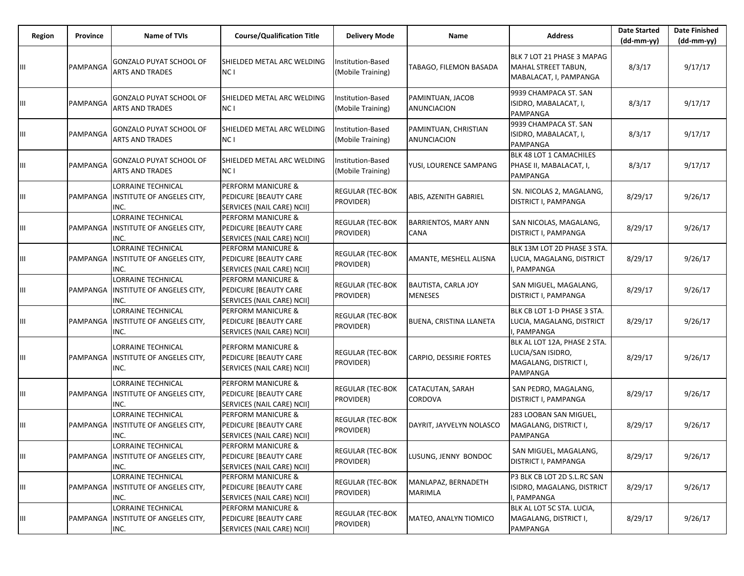| Region | Province | Name of TVIs                                                           | <b>Course/Qualification Title</b>                                                    | <b>Delivery Mode</b>                   | Name                                         | <b>Address</b>                                                                         | <b>Date Started</b><br>$(dd-mm-yy)$ | <b>Date Finished</b><br>(dd-mm-yy) |
|--------|----------|------------------------------------------------------------------------|--------------------------------------------------------------------------------------|----------------------------------------|----------------------------------------------|----------------------------------------------------------------------------------------|-------------------------------------|------------------------------------|
| Ш      | PAMPANGA | GONZALO PUYAT SCHOOL OF<br><b>ARTS AND TRADES</b>                      | SHIELDED METAL ARC WELDING<br>NC I                                                   | Institution-Based<br>(Mobile Training) | TABAGO, FILEMON BASADA                       | BLK 7 LOT 21 PHASE 3 MAPAG<br>MAHAL STREET TABUN,<br>MABALACAT, I, PAMPANGA            | 8/3/17                              | 9/17/17                            |
| Ш      | PAMPANGA | GONZALO PUYAT SCHOOL OF<br>ARTS AND TRADES                             | SHIELDED METAL ARC WELDING<br>NC I                                                   | Institution-Based<br>(Mobile Training) | PAMINTUAN, JACOB<br><b>ANUNCIACION</b>       | 9939 CHAMPACA ST. SAN<br>ISIDRO, MABALACAT, I,<br>PAMPANGA                             | 8/3/17                              | 9/17/17                            |
| Щ      | PAMPANGA | GONZALO PUYAT SCHOOL OF<br><b>ARTS AND TRADES</b>                      | SHIELDED METAL ARC WELDING<br>NC I                                                   | Institution-Based<br>(Mobile Training) | PAMINTUAN, CHRISTIAN<br>ANUNCIACION          | 9939 CHAMPACA ST. SAN<br>ISIDRO, MABALACAT, I,<br>PAMPANGA                             | 8/3/17                              | 9/17/17                            |
| Ш      | PAMPANGA | GONZALO PUYAT SCHOOL OF<br><b>ARTS AND TRADES</b>                      | SHIELDED METAL ARC WELDING<br>NC I                                                   | Institution-Based<br>(Mobile Training) | YUSI, LOURENCE SAMPANG                       | BLK 48 LOT 1 CAMACHILES<br>PHASE II, MABALACAT, I,<br>PAMPANGA                         | 8/3/17                              | 9/17/17                            |
| Ш      | PAMPANGA | <b>LORRAINE TECHNICAL</b><br>INSTITUTE OF ANGELES CITY,<br>INC.        | <b>PERFORM MANICURE &amp;</b><br>PEDICURE [BEAUTY CARE<br>SERVICES (NAIL CARE) NCII] | <b>REGULAR (TEC-BOK</b><br>PROVIDER)   | ABIS, AZENITH GABRIEL                        | SN. NICOLAS 2, MAGALANG,<br>DISTRICT I, PAMPANGA                                       | 8/29/17                             | 9/26/17                            |
| Щ      | PAMPANGA | <b>LORRAINE TECHNICAL</b><br><b>INSTITUTE OF ANGELES CITY,</b><br>INC. | PERFORM MANICURE &<br>PEDICURE [BEAUTY CARE<br>SERVICES (NAIL CARE) NCII]            | REGULAR (TEC-BOK<br>PROVIDER)          | BARRIENTOS, MARY ANN<br>CANA                 | SAN NICOLAS, MAGALANG,<br>DISTRICT I, PAMPANGA                                         | 8/29/17                             | 9/26/17                            |
| Ш      | PAMPANGA | <b>LORRAINE TECHNICAL</b><br><b>INSTITUTE OF ANGELES CITY,</b><br>INC. | <b>PERFORM MANICURE &amp;</b><br>PEDICURE [BEAUTY CARE<br>SERVICES (NAIL CARE) NCII] | <b>REGULAR (TEC-BOK</b><br>PROVIDER)   | AMANTE, MESHELL ALISNA                       | BLK 13M LOT 2D PHASE 3 STA.<br>LUCIA, MAGALANG, DISTRICT<br>, PAMPANGA                 | 8/29/17                             | 9/26/17                            |
| Ш      | PAMPANGA | <b>LORRAINE TECHNICAL</b><br><b>INSTITUTE OF ANGELES CITY,</b><br>INC. | <b>PERFORM MANICURE &amp;</b><br>PEDICURE [BEAUTY CARE<br>SERVICES (NAIL CARE) NCII] | REGULAR (TEC-BOK<br>PROVIDER)          | <b>BAUTISTA, CARLA JOY</b><br><b>MENESES</b> | SAN MIGUEL, MAGALANG,<br>DISTRICT I, PAMPANGA                                          | 8/29/17                             | 9/26/17                            |
| Ш      | PAMPANGA | <b>LORRAINE TECHNICAL</b><br><b>INSTITUTE OF ANGELES CITY,</b><br>INC. | <b>PERFORM MANICURE &amp;</b><br>PEDICURE [BEAUTY CARE<br>SERVICES (NAIL CARE) NCII] | <b>REGULAR (TEC-BOK</b><br>PROVIDER)   | <b>BUENA, CRISTINA LLANETA</b>               | BLK CB LOT 1-D PHASE 3 STA.<br>LUCIA, MAGALANG, DISTRICT<br>, PAMPANGA                 | 8/29/17                             | 9/26/17                            |
| Ш      | PAMPANGA | LORRAINE TECHNICAL<br><b>INSTITUTE OF ANGELES CITY,</b><br>INC.        | <b>PERFORM MANICURE &amp;</b><br>PEDICURE [BEAUTY CARE<br>SERVICES (NAIL CARE) NCII] | <b>REGULAR (TEC-BOK</b><br>PROVIDER)   | CARPIO, DESSIRIE FORTES                      | BLK AL LOT 12A, PHASE 2 STA.<br>LUCIA/SAN ISIDRO,<br>MAGALANG, DISTRICT I,<br>PAMPANGA | 8/29/17                             | 9/26/17                            |
| Ш      | PAMPANGA | <b>LORRAINE TECHNICAL</b><br><b>INSTITUTE OF ANGELES CITY,</b><br>INC. | <b>PERFORM MANICURE &amp;</b><br>PEDICURE [BEAUTY CARE<br>SERVICES (NAIL CARE) NCII] | <b>REGULAR (TEC-BOK</b><br>PROVIDER)   | CATACUTAN, SARAH<br>CORDOVA                  | SAN PEDRO, MAGALANG,<br>DISTRICT I, PAMPANGA                                           | 8/29/17                             | 9/26/17                            |
| Ш      | PAMPANGA | LORRAINE TECHNICAL<br><b>INSTITUTE OF ANGELES CITY,</b><br>INC.        | <b>PERFORM MANICURE &amp;</b><br>PEDICURE [BEAUTY CARE<br>SERVICES (NAIL CARE) NCII] | REGULAR (TEC-BOK<br>PROVIDER)          | DAYRIT, JAYVELYN NOLASCO                     | 283 LOOBAN SAN MIGUEL,<br>MAGALANG, DISTRICT I,<br>PAMPANGA                            | 8/29/17                             | 9/26/17                            |
| Ш      |          | LORRAINE TECHNICAL<br>PAMPANGA  INSTITUTE OF ANGELES CITY,<br>INC.     | PERFORM MANICURE &<br><b>PEDICURE [BEAUTY CARE</b><br>SERVICES (NAIL CARE) NCII]     | <b>REGULAR (TEC-BOK</b><br>PROVIDER)   | LUSUNG, JENNY BONDOC                         | SAN MIGUEL, MAGALANG,<br><b>DISTRICT I, PAMPANGA</b>                                   | 8/29/17                             | 9/26/17                            |
| Ш      | PAMPANGA | <b>LORRAINE TECHNICAL</b><br>INSTITUTE OF ANGELES CITY,<br>INC.        | <b>PERFORM MANICURE &amp;</b><br>PEDICURE [BEAUTY CARE<br>SERVICES (NAIL CARE) NCII] | REGULAR (TEC-BOK<br>PROVIDER)          | MANLAPAZ, BERNADETH<br><b>MARIMLA</b>        | P3 BLK CB LOT 2D S.L.RC SAN<br>ISIDRO, MAGALANG, DISTRICT<br>, PAMPANGA                | 8/29/17                             | 9/26/17                            |
| Ш      | PAMPANGA | <b>LORRAINE TECHNICAL</b><br><b>INSTITUTE OF ANGELES CITY,</b><br>INC. | <b>PERFORM MANICURE &amp;</b><br>PEDICURE [BEAUTY CARE<br>SERVICES (NAIL CARE) NCII] | <b>REGULAR (TEC-BOK</b><br>PROVIDER)   | MATEO, ANALYN TIOMICO                        | BLK AL LOT 5C STA. LUCIA,<br>MAGALANG, DISTRICT I,<br>PAMPANGA                         | 8/29/17                             | 9/26/17                            |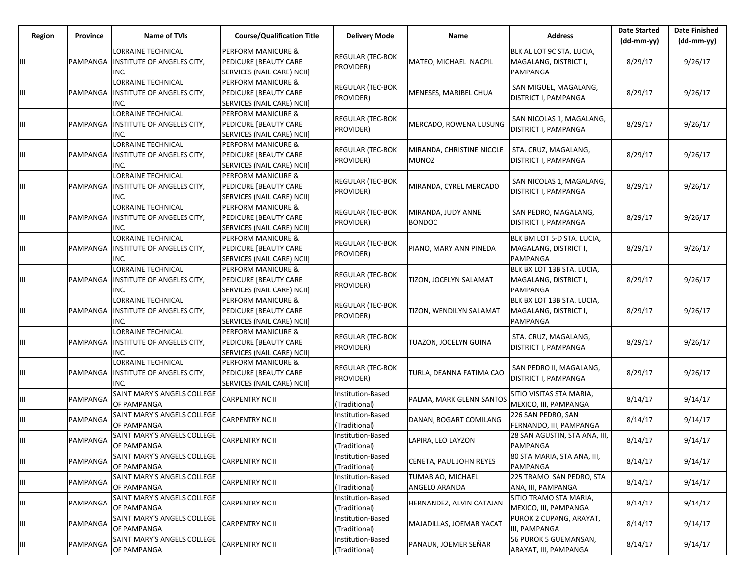| Region | Province        | <b>Name of TVIs</b>                                                    | <b>Course/Qualification Title</b>                                                    | <b>Delivery Mode</b>                 | Name                                      | <b>Address</b>                                                  | <b>Date Started</b><br>$(dd-mm-yy)$ | <b>Date Finished</b><br>(dd-mm-yy) |
|--------|-----------------|------------------------------------------------------------------------|--------------------------------------------------------------------------------------|--------------------------------------|-------------------------------------------|-----------------------------------------------------------------|-------------------------------------|------------------------------------|
| Ш      | PAMPANGA        | <b>LORRAINE TECHNICAL</b><br><b>INSTITUTE OF ANGELES CITY,</b><br>INC. | PERFORM MANICURE &<br>PEDICURE [BEAUTY CARE<br>SERVICES (NAIL CARE) NCII]            | <b>REGULAR (TEC-BOK</b><br>PROVIDER) | MATEO, MICHAEL NACPIL                     | BLK AL LOT 9C STA. LUCIA,<br>MAGALANG, DISTRICT I,<br>PAMPANGA  | 8/29/17                             | 9/26/17                            |
| Ш      | PAMPANGA        | <b>LORRAINE TECHNICAL</b><br><b>INSTITUTE OF ANGELES CITY,</b><br>INC. | PERFORM MANICURE &<br>PEDICURE [BEAUTY CARE<br>SERVICES (NAIL CARE) NCII]            | <b>REGULAR (TEC-BOK</b><br>PROVIDER) | MENESES, MARIBEL CHUA                     | SAN MIGUEL, MAGALANG,<br>DISTRICT I, PAMPANGA                   | 8/29/17                             | 9/26/17                            |
| Ш      | PAMPANGA        | <b>LORRAINE TECHNICAL</b><br><b>INSTITUTE OF ANGELES CITY,</b><br>INC. | <b>PERFORM MANICURE &amp;</b><br>PEDICURE [BEAUTY CARE<br>SERVICES (NAIL CARE) NCII] | <b>REGULAR (TEC-BOK</b><br>PROVIDER) | MERCADO, ROWENA LUSUNG                    | SAN NICOLAS 1, MAGALANG,<br>DISTRICT I, PAMPANGA                | 8/29/17                             | 9/26/17                            |
| Ш      | PAMPANGA        | <b>LORRAINE TECHNICAL</b><br><b>INSTITUTE OF ANGELES CITY,</b><br>INC. | PERFORM MANICURE &<br>PEDICURE [BEAUTY CARE<br>SERVICES (NAIL CARE) NCII]            | <b>REGULAR (TEC-BOK</b><br>PROVIDER) | MIRANDA, CHRISTINE NICOLE<br><b>MUNOZ</b> | STA. CRUZ, MAGALANG,<br>DISTRICT I, PAMPANGA                    | 8/29/17                             | 9/26/17                            |
| Ш      | PAMPANGA        | <b>LORRAINE TECHNICAL</b><br><b>INSTITUTE OF ANGELES CITY,</b><br>INC. | <b>PERFORM MANICURE &amp;</b><br>PEDICURE [BEAUTY CARE<br>SERVICES (NAIL CARE) NCII] | <b>REGULAR (TEC-BOK</b><br>PROVIDER) | MIRANDA, CYREL MERCADO                    | SAN NICOLAS 1, MAGALANG,<br>DISTRICT I, PAMPANGA                | 8/29/17                             | 9/26/17                            |
| Ш      | PAMPANGA        | <b>LORRAINE TECHNICAL</b><br>INSTITUTE OF ANGELES CITY,<br>INC.        | PERFORM MANICURE &<br>PEDICURE [BEAUTY CARE<br>SERVICES (NAIL CARE) NCII]            | <b>REGULAR (TEC-BOK</b><br>PROVIDER) | MIRANDA, JUDY ANNE<br><b>BONDOC</b>       | SAN PEDRO, MAGALANG,<br>DISTRICT I, PAMPANGA                    | 8/29/17                             | 9/26/17                            |
| Ш      | PAMPANGA        | <b>LORRAINE TECHNICAL</b><br>INSTITUTE OF ANGELES CITY,<br>INC.        | PERFORM MANICURE &<br>PEDICURE [BEAUTY CARE<br>SERVICES (NAIL CARE) NCII]            | <b>REGULAR (TEC-BOK</b><br>PROVIDER) | PIANO, MARY ANN PINEDA                    | BLK BM LOT 5-D STA. LUCIA,<br>MAGALANG, DISTRICT I,<br>PAMPANGA | 8/29/17                             | 9/26/17                            |
| Ш      | <b>PAMPANGA</b> | <b>LORRAINE TECHNICAL</b><br>INSTITUTE OF ANGELES CITY,<br>INC.        | <b>PERFORM MANICURE &amp;</b><br>PEDICURE [BEAUTY CARE<br>SERVICES (NAIL CARE) NCII] | <b>REGULAR (TEC-BOK</b><br>PROVIDER) | TIZON, JOCELYN SALAMAT                    | BLK BX LOT 13B STA. LUCIA,<br>MAGALANG, DISTRICT I,<br>PAMPANGA | 8/29/17                             | 9/26/17                            |
| ШL     | PAMPANGA        | <b>LORRAINE TECHNICAL</b><br><b>INSTITUTE OF ANGELES CITY,</b><br>INC. | <b>PERFORM MANICURE &amp;</b><br>PEDICURE [BEAUTY CARE<br>SERVICES (NAIL CARE) NCII] | <b>REGULAR (TEC-BOK</b><br>PROVIDER) | TIZON, WENDILYN SALAMAT                   | BLK BX LOT 13B STA. LUCIA,<br>MAGALANG, DISTRICT I,<br>PAMPANGA | 8/29/17                             | 9/26/17                            |
| Ш      | PAMPANGA        | <b>LORRAINE TECHNICAL</b><br>INSTITUTE OF ANGELES CITY,<br>INC.        | PERFORM MANICURE &<br>PEDICURE [BEAUTY CARE<br>SERVICES (NAIL CARE) NCII]            | <b>REGULAR (TEC-BOK</b><br>PROVIDER) | TUAZON, JOCELYN GUINA                     | STA. CRUZ, MAGALANG,<br>DISTRICT I, PAMPANGA                    | 8/29/17                             | 9/26/17                            |
| Ш      | PAMPANGA        | <b>LORRAINE TECHNICAL</b><br>INSTITUTE OF ANGELES CITY,<br>INC.        | PERFORM MANICURE &<br>PEDICURE [BEAUTY CARE<br>SERVICES (NAIL CARE) NCII]            | <b>REGULAR (TEC-BOK</b><br>PROVIDER) | TURLA, DEANNA FATIMA CAO                  | SAN PEDRO II, MAGALANG,<br>DISTRICT I, PAMPANGA                 | 8/29/17                             | 9/26/17                            |
| Ш      | PAMPANGA        | SAINT MARY'S ANGELS COLLEGE<br>OF PAMPANGA                             | <b>CARPENTRY NC II</b>                                                               | Institution-Based<br>(Traditional)   | PALMA, MARK GLENN SANTOS                  | SITIO VISITAS STA MARIA,<br>MEXICO, III, PAMPANGA               | 8/14/17                             | 9/14/17                            |
| Щ      | PAMPANGA        | SAINT MARY'S ANGELS COLLEGE<br>OF PAMPANGA                             | <b>CARPENTRY NC II</b>                                                               | Institution-Based<br>(Traditional)   | DANAN, BOGART COMILANG                    | 226 SAN PEDRO, SAN<br>FERNANDO, III, PAMPANGA                   | 8/14/17                             | 9/14/17                            |
| Ш      | PAMPANGA        | SAINT MARY'S ANGELS COLLEGE<br>OF PAMPANGA                             | <b>CARPENTRY NC II</b>                                                               | Institution-Based<br>(Traditional)   | LAPIRA, LEO LAYZON                        | 28 SAN AGUSTIN, STA ANA, III,<br>PAMPANGA                       | 8/14/17                             | 9/14/17                            |
| Ш      | PAMPANGA        | SAINT MARY'S ANGELS COLLEGE<br>OF PAMPANGA                             | <b>CARPENTRY NC II</b>                                                               | Institution-Based<br>(Traditional)   | CENETA, PAUL JOHN REYES                   | 80 STA MARIA, STA ANA, III,<br>PAMPANGA                         | 8/14/17                             | 9/14/17                            |
| Ш      | PAMPANGA        | SAINT MARY'S ANGELS COLLEGE<br>OF PAMPANGA                             | <b>CARPENTRY NC II</b>                                                               | Institution-Based<br>(Traditional)   | TUMABIAO, MICHAEL<br>ANGELO ARANDA        | 225 TRAMO SAN PEDRO, STA<br>ANA, III, PAMPANGA                  | 8/14/17                             | 9/14/17                            |
| Ш      | PAMPANGA        | SAINT MARY'S ANGELS COLLEGE<br>OF PAMPANGA                             | <b>CARPENTRY NC II</b>                                                               | Institution-Based<br>(Traditional)   | HERNANDEZ, ALVIN CATAJAN                  | SITIO TRAMO STA MARIA,<br>MEXICO, III, PAMPANGA                 | 8/14/17                             | 9/14/17                            |
| Ш      | PAMPANGA        | SAINT MARY'S ANGELS COLLEGE<br>OF PAMPANGA                             | <b>CARPENTRY NC II</b>                                                               | Institution-Based<br>(Traditional)   | MAJADILLAS, JOEMAR YACAT                  | PUROK 2 CUPANG, ARAYAT,<br>III, PAMPANGA                        | 8/14/17                             | 9/14/17                            |
| Ш      | PAMPANGA        | SAINT MARY'S ANGELS COLLEGE<br>OF PAMPANGA                             | <b>CARPENTRY NC II</b>                                                               | Institution-Based<br>(Traditional)   | PANAUN, JOEMER SEÑAR                      | 56 PUROK 5 GUEMANSAN,<br>ARAYAT, III, PAMPANGA                  | 8/14/17                             | 9/14/17                            |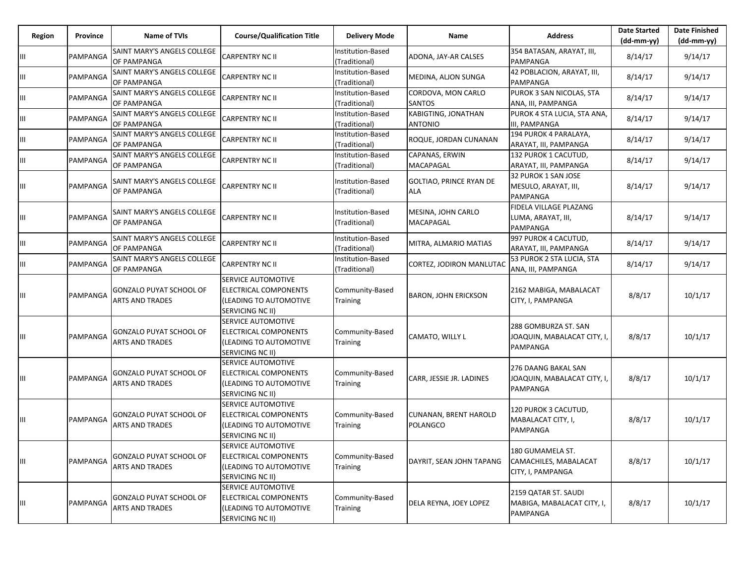| Region | <b>Province</b> | <b>Name of TVIs</b>                                      | <b>Course/Qualification Title</b>                                                         | <b>Delivery Mode</b>               | Name                                     | <b>Address</b>                                                        | <b>Date Started</b><br>$(dd-mm-vv)$ | <b>Date Finished</b><br>(dd-mm-yy) |
|--------|-----------------|----------------------------------------------------------|-------------------------------------------------------------------------------------------|------------------------------------|------------------------------------------|-----------------------------------------------------------------------|-------------------------------------|------------------------------------|
| Ш      | PAMPANGA        | SAINT MARY'S ANGELS COLLEGE<br><b>OF PAMPANGA</b>        | CARPENTRY NC II                                                                           | Institution-Based<br>(Traditional) | ADONA, JAY-AR CALSES                     | 354 BATASAN, ARAYAT, III,<br>PAMPANGA                                 | 8/14/17                             | 9/14/17                            |
| Ш      | PAMPANGA        | SAINT MARY'S ANGELS COLLEGE<br>OF PAMPANGA               | <b>CARPENTRY NC II</b>                                                                    | nstitution-Based<br>Traditional)   | MEDINA, ALJON SUNGA                      | 42 POBLACION, ARAYAT, III,<br>PAMPANGA                                | 8/14/17                             | 9/14/17                            |
| Ш      | PAMPANGA        | SAINT MARY'S ANGELS COLLEGE<br>OF PAMPANGA               | CARPENTRY NC II                                                                           | Institution-Based<br>(Traditional) | CORDOVA, MON CARLO<br><b>SANTOS</b>      | PUROK 3 SAN NICOLAS, STA<br>ANA, III, PAMPANGA                        | 8/14/17                             | 9/14/17                            |
| Ш      | PAMPANGA        | SAINT MARY'S ANGELS COLLEGE<br>OF PAMPANGA               | CARPENTRY NC II                                                                           | Institution-Based<br>(Traditional) | KABIGTING, JONATHAN<br><b>ANTONIO</b>    | PUROK 4 STA LUCIA, STA ANA,<br>III, PAMPANGA                          | 8/14/17                             | 9/14/17                            |
| Ш      | PAMPANGA        | SAINT MARY'S ANGELS COLLEGE<br>OF PAMPANGA               | <b>CARPENTRY NC II</b>                                                                    | Institution-Based<br>(Traditional) | ROQUE, JORDAN CUNANAN                    | 194 PUROK 4 PARALAYA,<br>ARAYAT, III, PAMPANGA                        | 8/14/17                             | 9/14/17                            |
| Ш      | PAMPANGA        | SAINT MARY'S ANGELS COLLEGE<br>OF PAMPANGA               | CARPENTRY NC II                                                                           | Institution-Based<br>(Traditional) | CAPANAS, ERWIN<br>MACAPAGAL              | 132 PUROK 1 CACUTUD,<br>ARAYAT, III, PAMPANGA                         | 8/14/17                             | 9/14/17                            |
| Ш      | PAMPANGA        | SAINT MARY'S ANGELS COLLEGE<br>OF PAMPANGA               | CARPENTRY NC II                                                                           | Institution-Based<br>(Traditional) | GOLTIAO, PRINCE RYAN DE<br><b>ALA</b>    | 32 PUROK 1 SAN JOSE<br>MESULO, ARAYAT, III,<br><b>PAMPANGA</b>        | 8/14/17                             | 9/14/17                            |
| Ш      | PAMPANGA        | SAINT MARY'S ANGELS COLLEGE<br>OF PAMPANGA               | CARPENTRY NC II                                                                           | Institution-Based<br>(Traditional) | MESINA, JOHN CARLO<br>MACAPAGAL          | FIDELA VILLAGE PLAZANG<br>LUMA, ARAYAT, III,<br>PAMPANGA              | 8/14/17                             | 9/14/17                            |
| Ш      | PAMPANGA        | SAINT MARY'S ANGELS COLLEGE<br>OF PAMPANGA               | CARPENTRY NC II                                                                           | Institution-Based<br>(Traditional) | MITRA, ALMARIO MATIAS                    | 997 PUROK 4 CACUTUD,<br>ARAYAT, III, PAMPANGA                         | 8/14/17                             | 9/14/17                            |
| Ш      | PAMPANGA        | SAINT MARY'S ANGELS COLLEGE<br>OF PAMPANGA               | <b>CARPENTRY NC II</b>                                                                    | Institution-Based<br>(Traditional) | CORTEZ, JODIRON MANLUTAC                 | 53 PUROK 2 STA LUCIA, STA<br>ANA, III, PAMPANGA                       | 8/14/17                             | 9/14/17                            |
| Ш      | PAMPANGA        | <b>GONZALO PUYAT SCHOOL OF</b><br><b>ARTS AND TRADES</b> | SERVICE AUTOMOTIVE<br>ELECTRICAL COMPONENTS<br>(LEADING TO AUTOMOTIVE<br>SERVICING NC II) | Community-Based<br><b>Training</b> | <b>BARON, JOHN ERICKSON</b>              | 2162 MABIGA, MABALACAT<br>CITY, I, PAMPANGA                           | 8/8/17                              | 10/1/17                            |
| Ш      | PAMPANGA        | <b>GONZALO PUYAT SCHOOL OF</b><br><b>ARTS AND TRADES</b> | SERVICE AUTOMOTIVE<br>ELECTRICAL COMPONENTS<br>(LEADING TO AUTOMOTIVE<br>SERVICING NC II) | Community-Based<br>Training        | CAMATO, WILLY L                          | 288 GOMBURZA ST. SAN<br>JOAQUIN, MABALACAT CITY, I,<br>PAMPANGA       | 8/8/17                              | 10/1/17                            |
| Ш      | PAMPANGA        | <b>GONZALO PUYAT SCHOOL OF</b><br><b>ARTS AND TRADES</b> | SERVICE AUTOMOTIVE<br>ELECTRICAL COMPONENTS<br>(LEADING TO AUTOMOTIVE<br>SERVICING NC II) | Community-Based<br><b>Training</b> | CARR, JESSIE JR. LADINES                 | 276 DAANG BAKAL SAN<br>JOAQUIN, MABALACAT CITY, I,<br><b>PAMPANGA</b> | 8/8/17                              | 10/1/17                            |
| Ш      | PAMPANGA        | <b>GONZALO PUYAT SCHOOL OF</b><br><b>ARTS AND TRADES</b> | SERVICE AUTOMOTIVE<br>ELECTRICAL COMPONENTS<br>(LEADING TO AUTOMOTIVE<br>SERVICING NC II) | Community-Based<br><b>Training</b> | <b>CUNANAN, BRENT HAROLD</b><br>POLANGCO | 120 PUROK 3 CACUTUD,<br>MABALACAT CITY, I,<br>PAMPANGA                | 8/8/17                              | 10/1/17                            |
| Ш      | PAMPANGA        | <b>GONZALO PUYAT SCHOOL OF</b><br><b>ARTS AND TRADES</b> | SERVICE AUTOMOTIVE<br>ELECTRICAL COMPONENTS<br>(LEADING TO AUTOMOTIVE<br>SERVICING NC II) | Community-Based<br>Training        | DAYRIT, SEAN JOHN TAPANG                 | 180 GUMAMELA ST.<br>CAMACHILES, MABALACAT<br>CITY, I, PAMPANGA        | 8/8/17                              | 10/1/17                            |
| Ш      | PAMPANGA        | <b>GONZALO PUYAT SCHOOL OF</b><br><b>ARTS AND TRADES</b> | SERVICE AUTOMOTIVE<br>ELECTRICAL COMPONENTS<br>(LEADING TO AUTOMOTIVE<br>SERVICING NC II) | Community-Based<br>Training        | DELA REYNA, JOEY LOPEZ                   | 2159 QATAR ST. SAUDI<br>MABIGA, MABALACAT CITY, I,<br>PAMPANGA        | 8/8/17                              | 10/1/17                            |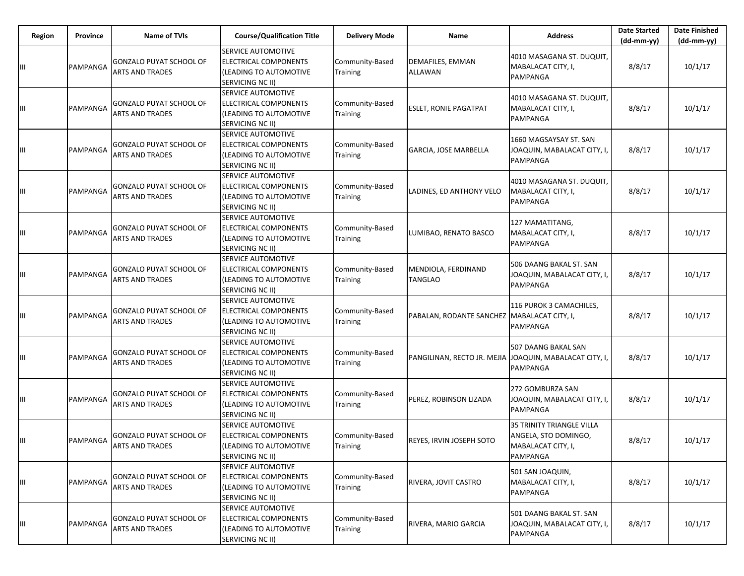| Region | Province | Name of TVIs                                             | <b>Course/Qualification Title</b>                                                         | <b>Delivery Mode</b>               | Name                                                     | <b>Address</b>                                                                             | <b>Date Started</b><br>$(dd-mm-vv)$ | <b>Date Finished</b><br>$(dd-mm-yy)$ |
|--------|----------|----------------------------------------------------------|-------------------------------------------------------------------------------------------|------------------------------------|----------------------------------------------------------|--------------------------------------------------------------------------------------------|-------------------------------------|--------------------------------------|
| Ш      | PAMPANGA | <b>GONZALO PUYAT SCHOOL OF</b><br><b>ARTS AND TRADES</b> | SERVICE AUTOMOTIVE<br>ELECTRICAL COMPONENTS<br>(LEADING TO AUTOMOTIVE<br>SERVICING NC II) | Community-Based<br>Training        | DEMAFILES, EMMAN<br><b>ALLAWAN</b>                       | 4010 MASAGANA ST. DUQUIT,<br>MABALACAT CITY, I,<br>PAMPANGA                                | 8/8/17                              | 10/1/17                              |
| Ш      | PAMPANGA | <b>GONZALO PUYAT SCHOOL OF</b><br><b>ARTS AND TRADES</b> | SERVICE AUTOMOTIVE<br>ELECTRICAL COMPONENTS<br>(LEADING TO AUTOMOTIVE<br>SERVICING NC II) | Community-Based<br><b>Training</b> | <b>ESLET, RONIE PAGATPAT</b>                             | 4010 MASAGANA ST. DUQUIT,<br>MABALACAT CITY, I,<br>PAMPANGA                                | 8/8/17                              | 10/1/17                              |
| Ш      | PAMPANGA | <b>GONZALO PUYAT SCHOOL OF</b><br><b>ARTS AND TRADES</b> | SERVICE AUTOMOTIVE<br>ELECTRICAL COMPONENTS<br>(LEADING TO AUTOMOTIVE<br>SERVICING NC II) | Community-Based<br><b>Training</b> | GARCIA, JOSE MARBELLA                                    | 1660 MAGSAYSAY ST. SAN<br>JOAQUIN, MABALACAT CITY, I,<br>PAMPANGA                          | 8/8/17                              | 10/1/17                              |
| Ш      | PAMPANGA | <b>GONZALO PUYAT SCHOOL OF</b><br><b>ARTS AND TRADES</b> | SERVICE AUTOMOTIVE<br>ELECTRICAL COMPONENTS<br>(LEADING TO AUTOMOTIVE<br>SERVICING NC II) | Community-Based<br>Training        | LADINES, ED ANTHONY VELO                                 | 4010 MASAGANA ST. DUQUIT,<br>MABALACAT CITY, I,<br>PAMPANGA                                | 8/8/17                              | 10/1/17                              |
| Ш      | PAMPANGA | GONZALO PUYAT SCHOOL OF<br><b>ARTS AND TRADES</b>        | SERVICE AUTOMOTIVE<br>ELECTRICAL COMPONENTS<br>(LEADING TO AUTOMOTIVE<br>SERVICING NC II) | Community-Based<br><b>Training</b> | LUMIBAO, RENATO BASCO                                    | 127 MAMATITANG,<br>MABALACAT CITY, I,<br>PAMPANGA                                          | 8/8/17                              | 10/1/17                              |
| Ш      | PAMPANGA | <b>GONZALO PUYAT SCHOOL OF</b><br><b>ARTS AND TRADES</b> | SERVICE AUTOMOTIVE<br>ELECTRICAL COMPONENTS<br>(LEADING TO AUTOMOTIVE<br>SERVICING NC II) | Community-Based<br>Training        | MENDIOLA, FERDINAND<br><b>TANGLAO</b>                    | 506 DAANG BAKAL ST. SAN<br>JOAQUIN, MABALACAT CITY, I,<br>PAMPANGA                         | 8/8/17                              | 10/1/17                              |
| Ш      | PAMPANGA | <b>GONZALO PUYAT SCHOOL OF</b><br><b>ARTS AND TRADES</b> | SERVICE AUTOMOTIVE<br>ELECTRICAL COMPONENTS<br>(LEADING TO AUTOMOTIVE<br>SERVICING NC II) | Community-Based<br>Training        | PABALAN, RODANTE SANCHEZ   MABALACAT CITY, I,            | 116 PUROK 3 CAMACHILES,<br><b>PAMPANGA</b>                                                 | 8/8/17                              | 10/1/17                              |
| Ш      | PAMPANGA | <b>GONZALO PUYAT SCHOOL OF</b><br><b>ARTS AND TRADES</b> | SERVICE AUTOMOTIVE<br>ELECTRICAL COMPONENTS<br>(LEADING TO AUTOMOTIVE<br>SERVICING NC II) | Community-Based<br>Training        | PANGILINAN, RECTO JR. MEJIA JJOAQUIN, MABALACAT CITY, I, | 507 DAANG BAKAL SAN<br>PAMPANGA                                                            | 8/8/17                              | 10/1/17                              |
| Ш      | PAMPANGA | <b>GONZALO PUYAT SCHOOL OF</b><br><b>ARTS AND TRADES</b> | SERVICE AUTOMOTIVE<br>ELECTRICAL COMPONENTS<br>(LEADING TO AUTOMOTIVE<br>SERVICING NC II) | Community-Based<br><b>Training</b> | PEREZ, ROBINSON LIZADA                                   | 272 GOMBURZA SAN<br>JOAQUIN, MABALACAT CITY, I,<br><b>PAMPANGA</b>                         | 8/8/17                              | 10/1/17                              |
| Ш      | PAMPANGA | <b>GONZALO PUYAT SCHOOL OF</b><br><b>ARTS AND TRADES</b> | SERVICE AUTOMOTIVE<br>ELECTRICAL COMPONENTS<br>(LEADING TO AUTOMOTIVE<br>SERVICING NC II) | Community-Based<br>Training        | <b>REYES. IRVIN JOSEPH SOTO</b>                          | <b>35 TRINITY TRIANGLE VILLA</b><br>ANGELA, STO DOMINGO,<br>MABALACAT CITY, I,<br>PAMPANGA | 8/8/17                              | 10/1/17                              |
| Ш      | PAMPANGA | <b>GONZALO PUYAT SCHOOL OF</b><br><b>ARTS AND TRADES</b> | SERVICE AUTOMOTIVE<br>ELECTRICAL COMPONENTS<br>(LEADING TO AUTOMOTIVE<br>SERVICING NC II) | Community-Based<br>Training        | RIVERA, JOVIT CASTRO                                     | 501 SAN JOAQUIN,<br>MABALACAT CITY, I,<br>PAMPANGA                                         | 8/8/17                              | 10/1/17                              |
| Ш      | PAMPANGA | <b>GONZALO PUYAT SCHOOL OF</b><br><b>ARTS AND TRADES</b> | SERVICE AUTOMOTIVE<br>ELECTRICAL COMPONENTS<br>(LEADING TO AUTOMOTIVE<br>SERVICING NC II) | Community-Based<br>Training        | RIVERA, MARIO GARCIA                                     | 501 DAANG BAKAL ST. SAN<br>JOAQUIN, MABALACAT CITY, I,<br>PAMPANGA                         | 8/8/17                              | 10/1/17                              |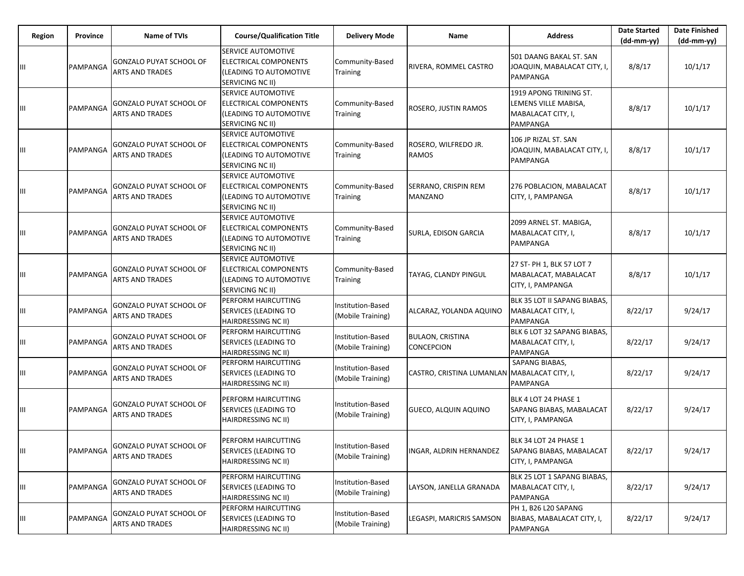| Region | <b>Province</b> | <b>Name of TVIs</b>                                      | <b>Course/Qualification Title</b>                                                         | <b>Delivery Mode</b>                   | Name                                         | <b>Address</b>                                                                   | <b>Date Started</b><br>$(dd-mm-yy)$ | <b>Date Finished</b><br>$(dd-mm-yy)$ |
|--------|-----------------|----------------------------------------------------------|-------------------------------------------------------------------------------------------|----------------------------------------|----------------------------------------------|----------------------------------------------------------------------------------|-------------------------------------|--------------------------------------|
| Ш      | PAMPANGA        | <b>GONZALO PUYAT SCHOOL OF</b><br><b>ARTS AND TRADES</b> | SERVICE AUTOMOTIVE<br>ELECTRICAL COMPONENTS<br>(LEADING TO AUTOMOTIVE<br>SERVICING NC II) | Community-Based<br>Training            | RIVERA, ROMMEL CASTRO                        | 501 DAANG BAKAL ST. SAN<br>JOAQUIN, MABALACAT CITY, I,<br>PAMPANGA               | 8/8/17                              | 10/1/17                              |
| Ш      | PAMPANGA        | GONZALO PUYAT SCHOOL OF<br><b>ARTS AND TRADES</b>        | SERVICE AUTOMOTIVE<br>ELECTRICAL COMPONENTS<br>(LEADING TO AUTOMOTIVE<br>SERVICING NC II) | Community-Based<br>Training            | ROSERO, JUSTIN RAMOS                         | 1919 APONG TRINING ST.<br>LEMENS VILLE MABISA,<br>MABALACAT CITY, I,<br>PAMPANGA | 8/8/17                              | 10/1/17                              |
| Ш      | PAMPANGA        | GONZALO PUYAT SCHOOL OF<br>ARTS AND TRADES               | SERVICE AUTOMOTIVE<br>ELECTRICAL COMPONENTS<br>(LEADING TO AUTOMOTIVE<br>SERVICING NC II) | Community-Based<br>Training            | ROSERO, WILFREDO JR.<br>RAMOS                | 106 JP RIZAL ST. SAN<br>JOAQUIN, MABALACAT CITY, I,<br>PAMPANGA                  | 8/8/17                              | 10/1/17                              |
| Ш      | PAMPANGA        | <b>GONZALO PUYAT SCHOOL OF</b><br><b>ARTS AND TRADES</b> | SERVICE AUTOMOTIVE<br>ELECTRICAL COMPONENTS<br>(LEADING TO AUTOMOTIVE<br>SERVICING NC II) | Community-Based<br><b>Training</b>     | SERRANO, CRISPIN REM<br><b>MANZANO</b>       | 276 POBLACION, MABALACAT<br>CITY, I, PAMPANGA                                    | 8/8/17                              | 10/1/17                              |
| Ш      | PAMPANGA        | GONZALO PUYAT SCHOOL OF<br><b>ARTS AND TRADES</b>        | SERVICE AUTOMOTIVE<br>ELECTRICAL COMPONENTS<br>(LEADING TO AUTOMOTIVE<br>SERVICING NC II) | Community-Based<br><b>Training</b>     | SURLA, EDISON GARCIA                         | 2099 ARNEL ST. MABIGA,<br>MABALACAT CITY, I,<br>PAMPANGA                         | 8/8/17                              | 10/1/17                              |
| Ш      | PAMPANGA        | GONZALO PUYAT SCHOOL OF<br><b>ARTS AND TRADES</b>        | SERVICE AUTOMOTIVE<br>ELECTRICAL COMPONENTS<br>(LEADING TO AUTOMOTIVE<br>SERVICING NC II) | Community-Based<br><b>Training</b>     | TAYAG, CLANDY PINGUL                         | 27 ST- PH 1, BLK 57 LOT 7<br>MABALACAT, MABALACAT<br>CITY, I, PAMPANGA           | 8/8/17                              | 10/1/17                              |
| Ш      | PAMPANGA        | GONZALO PUYAT SCHOOL OF<br><b>ARTS AND TRADES</b>        | PERFORM HAIRCUTTING<br>SERVICES (LEADING TO<br>HAIRDRESSING NC II)                        | Institution-Based<br>(Mobile Training) | ALCARAZ, YOLANDA AQUINO                      | BLK 35 LOT II SAPANG BIABAS,<br>MABALACAT CITY, I,<br><b>PAMPANGA</b>            | 8/22/17                             | 9/24/17                              |
| Ш      | PAMPANGA        | <b>GONZALO PUYAT SCHOOL OF</b><br><b>ARTS AND TRADES</b> | PERFORM HAIRCUTTING<br>SERVICES (LEADING TO<br>HAIRDRESSING NC II)                        | Institution-Based<br>(Mobile Training) | <b>BULAON, CRISTINA</b><br><b>CONCEPCION</b> | BLK 6 LOT 32 SAPANG BIABAS,<br>MABALACAT CITY, I,<br>PAMPANGA                    | 8/22/17                             | 9/24/17                              |
| Ш      | PAMPANGA        | GONZALO PUYAT SCHOOL OF<br>ARTS AND TRADES               | PERFORM HAIRCUTTING<br>SERVICES (LEADING TO<br>HAIRDRESSING NC II)                        | Institution-Based<br>(Mobile Training) | CASTRO, CRISTINA LUMANLAN MABALACAT CITY, I, | SAPANG BIABAS,<br>PAMPANGA                                                       | 8/22/17                             | 9/24/17                              |
| Ш      | PAMPANGA        | GONZALO PUYAT SCHOOL OF<br>ARTS AND TRADES               | PERFORM HAIRCUTTING<br>SERVICES (LEADING TO<br>HAIRDRESSING NC II)                        | Institution-Based<br>(Mobile Training) | <b>GUECO, ALQUIN AQUINO</b>                  | BLK 4 LOT 24 PHASE 1<br>SAPANG BIABAS, MABALACAT<br>CITY, I, PAMPANGA            | 8/22/17                             | 9/24/17                              |
| Ш      | PAMPANGA        | GONZALO PUYAT SCHOOL OF<br><b>ARTS AND TRADES</b>        | PERFORM HAIRCUTTING<br>SERVICES (LEADING TO<br>HAIRDRESSING NC II)                        | Institution-Based<br>(Mobile Training) | INGAR, ALDRIN HERNANDEZ                      | BLK 34 LOT 24 PHASE 1<br><b>SAPANG BIABAS, MABALACAT</b><br>CITY, I, PAMPANGA    | 8/22/17                             | 9/24/17                              |
| Ш      | PAMPANGA        | <b>GONZALO PUYAT SCHOOL OF</b><br><b>ARTS AND TRADES</b> | PERFORM HAIRCUTTING<br>SERVICES (LEADING TO<br>HAIRDRESSING NC II)                        | Institution-Based<br>(Mobile Training) | LAYSON, JANELLA GRANADA                      | BLK 25 LOT 1 SAPANG BIABAS,<br>MABALACAT CITY, I,<br>PAMPANGA                    | 8/22/17                             | 9/24/17                              |
| Ш      | PAMPANGA        | GONZALO PUYAT SCHOOL OF<br><b>ARTS AND TRADES</b>        | PERFORM HAIRCUTTING<br>SERVICES (LEADING TO<br>HAIRDRESSING NC II)                        | Institution-Based<br>(Mobile Training) | LEGASPI, MARICRIS SAMSON                     | PH 1, B26 L20 SAPANG<br>BIABAS, MABALACAT CITY, I,<br>PAMPANGA                   | 8/22/17                             | 9/24/17                              |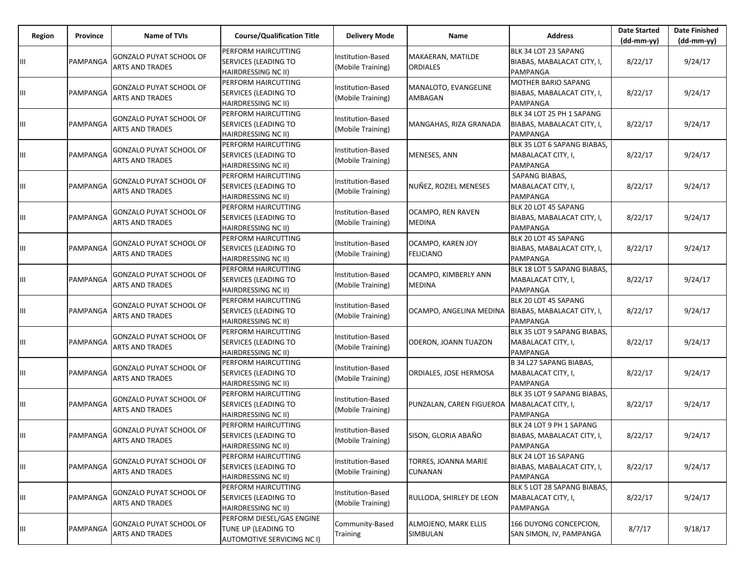| Region | Province | <b>Name of TVIs</b>                                      | <b>Course/Qualification Title</b>                                              | <b>Delivery Mode</b>                   | Name                                  | <b>Address</b>                                                        | <b>Date Started</b><br>$(dd-mm-yy)$ | <b>Date Finished</b><br>(dd-mm-yy) |
|--------|----------|----------------------------------------------------------|--------------------------------------------------------------------------------|----------------------------------------|---------------------------------------|-----------------------------------------------------------------------|-------------------------------------|------------------------------------|
| Ш      | PAMPANGA | <b>GONZALO PUYAT SCHOOL OF</b><br><b>ARTS AND TRADES</b> | PERFORM HAIRCUTTING<br>SERVICES (LEADING TO<br>HAIRDRESSING NC II)             | Institution-Based<br>(Mobile Training) | MAKAERAN, MATILDE<br><b>ORDIALES</b>  | BLK 34 LOT 23 SAPANG<br>BIABAS, MABALACAT CITY, I,<br>PAMPANGA        | 8/22/17                             | 9/24/17                            |
| Ш      | PAMPANGA | <b>GONZALO PUYAT SCHOOL OF</b><br><b>ARTS AND TRADES</b> | PERFORM HAIRCUTTING<br>SERVICES (LEADING TO<br>HAIRDRESSING NC II)             | Institution-Based<br>(Mobile Training) | MANALOTO, EVANGELINE<br>AMBAGAN       | MOTHER BARIO SAPANG<br>BIABAS, MABALACAT CITY, I,<br>PAMPANGA         | 8/22/17                             | 9/24/17                            |
| Ш      | PAMPANGA | <b>GONZALO PUYAT SCHOOL OF</b><br><b>ARTS AND TRADES</b> | PERFORM HAIRCUTTING<br>SERVICES (LEADING TO<br>HAIRDRESSING NC II)             | Institution-Based<br>(Mobile Training) | MANGAHAS, RIZA GRANADA                | BLK 34 LOT 25 PH 1 SAPANG<br>BIABAS, MABALACAT CITY, I,<br>PAMPANGA   | 8/22/17                             | 9/24/17                            |
| Ш      | PAMPANGA | <b>GONZALO PUYAT SCHOOL OF</b><br><b>ARTS AND TRADES</b> | PERFORM HAIRCUTTING<br>SERVICES (LEADING TO<br>HAIRDRESSING NC II)             | Institution-Based<br>(Mobile Training) | MENESES, ANN                          | BLK 35 LOT 6 SAPANG BIABAS,<br>MABALACAT CITY, I,<br>PAMPANGA         | 8/22/17                             | 9/24/17                            |
| Ш      | PAMPANGA | <b>GONZALO PUYAT SCHOOL OF</b><br><b>ARTS AND TRADES</b> | PERFORM HAIRCUTTING<br>SERVICES (LEADING TO<br>HAIRDRESSING NC II)             | Institution-Based<br>(Mobile Training) | NUÑEZ, ROZIEL MENESES                 | SAPANG BIABAS,<br>MABALACAT CITY, I,<br><b>PAMPANGA</b>               | 8/22/17                             | 9/24/17                            |
| Ш      | PAMPANGA | GONZALO PUYAT SCHOOL OF<br>ARTS AND TRADES               | PERFORM HAIRCUTTING<br>SERVICES (LEADING TO<br><b>HAIRDRESSING NC II)</b>      | Institution-Based<br>(Mobile Training) | OCAMPO, REN RAVEN<br>MEDINA           | BLK 20 LOT 45 SAPANG<br>BIABAS, MABALACAT CITY, I,<br>PAMPANGA        | 8/22/17                             | 9/24/17                            |
| Ш      | PAMPANGA | <b>GONZALO PUYAT SCHOOL OF</b><br><b>ARTS AND TRADES</b> | PERFORM HAIRCUTTING<br>SERVICES (LEADING TO<br>HAIRDRESSING NC II)             | Institution-Based<br>(Mobile Training) | OCAMPO, KAREN JOY<br><b>FELICIANO</b> | BLK 20 LOT 45 SAPANG<br>BIABAS, MABALACAT CITY, I,<br><b>PAMPANGA</b> | 8/22/17                             | 9/24/17                            |
| Ш      | PAMPANGA | <b>GONZALO PUYAT SCHOOL OF</b><br>ARTS AND TRADES        | PERFORM HAIRCUTTING<br>SERVICES (LEADING TO<br>HAIRDRESSING NC II)             | Institution-Based<br>Mobile Training)  | OCAMPO, KIMBERLY ANN<br>MEDINA        | BLK 18 LOT 5 SAPANG BIABAS,<br>MABALACAT CITY, I,<br>PAMPANGA         | 8/22/17                             | 9/24/17                            |
| Ш      | PAMPANGA | <b>GONZALO PUYAT SCHOOL OF</b><br>ARTS AND TRADES        | PERFORM HAIRCUTTING<br>SERVICES (LEADING TO<br>HAIRDRESSING NC II)             | Institution-Based<br>Mobile Training)  | OCAMPO, ANGELINA MEDINA               | BLK 20 LOT 45 SAPANG<br>BIABAS, MABALACAT CITY, I,<br>PAMPANGA        | 8/22/17                             | 9/24/17                            |
| Ш      | PAMPANGA | <b>GONZALO PUYAT SCHOOL OF</b><br>ARTS AND TRADES        | PERFORM HAIRCUTTING<br>SERVICES (LEADING TO<br>HAIRDRESSING NC II)             | Institution-Based<br>(Mobile Training) | ODERON, JOANN TUAZON                  | BLK 35 LOT 9 SAPANG BIABAS,<br>MABALACAT CITY, I,<br>PAMPANGA         | 8/22/17                             | 9/24/17                            |
| Ш      | PAMPANGA | <b>GONZALO PUYAT SCHOOL OF</b><br>ARTS AND TRADES        | PERFORM HAIRCUTTING<br>SERVICES (LEADING TO<br>HAIRDRESSING NC II)             | Institution-Based<br>Mobile Training)  | ORDIALES, JOSE HERMOSA                | B 34 L27 SAPANG BIABAS,<br>MABALACAT CITY, I,<br>PAMPANGA             | 8/22/17                             | 9/24/17                            |
| Ш      | PAMPANGA | <b>GONZALO PUYAT SCHOOL OF</b><br><b>ARTS AND TRADES</b> | PERFORM HAIRCUTTING<br>SERVICES (LEADING TO<br>HAIRDRESSING NC II)             | Institution-Based<br>Mobile Training)  | PUNZALAN, CAREN FIGUEROA              | BLK 35 LOT 9 SAPANG BIABAS,<br>MABALACAT CITY, I,<br>PAMPANGA         | 8/22/17                             | 9/24/17                            |
| Ш      | PAMPANGA | <b>GONZALO PUYAT SCHOOL OF</b><br><b>ARTS AND TRADES</b> | PERFORM HAIRCUTTING<br>SERVICES (LEADING TO<br>HAIRDRESSING NC II)             | Institution-Based<br>(Mobile Training) | SISON, GLORIA ABAÑO                   | BLK 24 LOT 9 PH 1 SAPANG<br>BIABAS, MABALACAT CITY, I,<br>PAMPANGA    | 8/22/17                             | 9/24/17                            |
| Ш      | PAMPANGA | <b>GONZALO PUYAT SCHOOL OF</b><br>ARTS AND TRADES        | PERFORM HAIRCUTTING<br>SERVICES (LEADING TO<br>HAIRDRESSING NC II)             | Institution-Based<br>(Mobile Training) | TORRES, JOANNA MARIE<br>CUNANAN       | BLK 24 LOT 16 SAPANG<br>BIABAS, MABALACAT CITY, I,<br>PAMPANGA        | 8/22/17                             | 9/24/17                            |
| Ш      | PAMPANGA | GONZALO PUYAT SCHOOL OF<br><b>ARTS AND TRADES</b>        | PERFORM HAIRCUTTING<br>SERVICES (LEADING TO<br>HAIRDRESSING NC II)             | Institution-Based<br>(Mobile Training) | RULLODA, SHIRLEY DE LEON              | BLK 5 LOT 28 SAPANG BIABAS,<br>MABALACAT CITY, I,<br>PAMPANGA         | 8/22/17                             | 9/24/17                            |
| Ш      | PAMPANGA | GONZALO PUYAT SCHOOL OF<br><b>ARTS AND TRADES</b>        | PERFORM DIESEL/GAS ENGINE<br>TUNE UP (LEADING TO<br>AUTOMOTIVE SERVICING NC I) | Community-Based<br>Training            | ALMOJENO, MARK ELLIS<br>SIMBULAN      | 166 DUYONG CONCEPCION,<br>SAN SIMON, IV, PAMPANGA                     | 8/7/17                              | 9/18/17                            |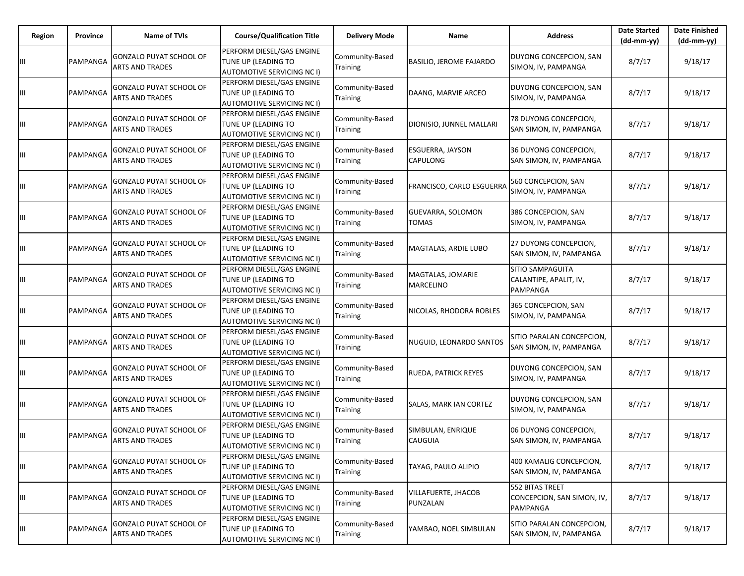| Region | Province | <b>Name of TVIs</b>                                      | <b>Course/Qualification Title</b>                                                     | <b>Delivery Mode</b>               | Name                                   | <b>Address</b>                                                | <b>Date Started</b><br>$(dd-mm-yy)$ | <b>Date Finished</b><br>(dd-mm-yy) |
|--------|----------|----------------------------------------------------------|---------------------------------------------------------------------------------------|------------------------------------|----------------------------------------|---------------------------------------------------------------|-------------------------------------|------------------------------------|
| Ш      | PAMPANGA | <b>GONZALO PUYAT SCHOOL OF</b><br><b>ARTS AND TRADES</b> | PERFORM DIESEL/GAS ENGINE<br>TUNE UP (LEADING TO<br>AUTOMOTIVE SERVICING NC I)        | Community-Based<br>Training        | <b>BASILIO, JEROME FAJARDO</b>         | DUYONG CONCEPCION, SAN<br>SIMON, IV, PAMPANGA                 | 8/7/17                              | 9/18/17                            |
| Ш      | PAMPANGA | <b>GONZALO PUYAT SCHOOL OF</b><br><b>ARTS AND TRADES</b> | PERFORM DIESEL/GAS ENGINE<br>TUNE UP (LEADING TO<br>AUTOMOTIVE SERVICING NC I)        | Community-Based<br>Training        | DAANG, MARVIE ARCEO                    | DUYONG CONCEPCION, SAN<br>SIMON, IV, PAMPANGA                 | 8/7/17                              | 9/18/17                            |
| Ш      | PAMPANGA | <b>GONZALO PUYAT SCHOOL OF</b><br><b>ARTS AND TRADES</b> | PERFORM DIESEL/GAS ENGINE<br>TUNE UP (LEADING TO<br>AUTOMOTIVE SERVICING NC I)        | Community-Based<br>Training        | DIONISIO, JUNNEL MALLARI               | 78 DUYONG CONCEPCION,<br>SAN SIMON, IV, PAMPANGA              | 8/7/17                              | 9/18/17                            |
| Ш      | PAMPANGA | <b>GONZALO PUYAT SCHOOL OF</b><br><b>ARTS AND TRADES</b> | PERFORM DIESEL/GAS ENGINE<br>TUNE UP (LEADING TO<br>AUTOMOTIVE SERVICING NC I)        | Community-Based<br>Training        | ESGUERRA, JAYSON<br>CAPULONG           | 36 DUYONG CONCEPCION,<br>SAN SIMON, IV, PAMPANGA              | 8/7/17                              | 9/18/17                            |
| Ш      | PAMPANGA | <b>GONZALO PUYAT SCHOOL OF</b><br><b>ARTS AND TRADES</b> | PERFORM DIESEL/GAS ENGINE<br>TUNE UP (LEADING TO<br><b>AUTOMOTIVE SERVICING NC I)</b> | Community-Based<br>Training        | FRANCISCO, CARLO ESGUERRA              | 560 CONCEPCION, SAN<br>SIMON, IV, PAMPANGA                    | 8/7/17                              | 9/18/17                            |
| Ш      | PAMPANGA | <b>GONZALO PUYAT SCHOOL OF</b><br><b>ARTS AND TRADES</b> | PERFORM DIESEL/GAS ENGINE<br>TUNE UP (LEADING TO<br><b>AUTOMOTIVE SERVICING NC I)</b> | Community-Based<br>Training        | GUEVARRA, SOLOMON<br>TOMAS             | 386 CONCEPCION, SAN<br>SIMON, IV, PAMPANGA                    | 8/7/17                              | 9/18/17                            |
| Ш      | PAMPANGA | <b>GONZALO PUYAT SCHOOL OF</b><br><b>ARTS AND TRADES</b> | PERFORM DIESEL/GAS ENGINE<br>TUNE UP (LEADING TO<br><b>AUTOMOTIVE SERVICING NC I)</b> | Community-Based<br>Training        | MAGTALAS, ARDIE LUBO                   | 27 DUYONG CONCEPCION,<br>SAN SIMON, IV, PAMPANGA              | 8/7/17                              | 9/18/17                            |
| Ш      | PAMPANGA | <b>GONZALO PUYAT SCHOOL OF</b><br><b>ARTS AND TRADES</b> | PERFORM DIESEL/GAS ENGINE<br>TUNE UP (LEADING TO<br>AUTOMOTIVE SERVICING NC I)        | Community-Based<br>Training        | MAGTALAS, JOMARIE<br>MARCELINO         | <b>SITIO SAMPAGUITA</b><br>CALANTIPE, APALIT, IV,<br>PAMPANGA | 8/7/17                              | 9/18/17                            |
| Ш      | PAMPANGA | <b>GONZALO PUYAT SCHOOL OF</b><br><b>ARTS AND TRADES</b> | PERFORM DIESEL/GAS ENGINE<br>TUNE UP (LEADING TO<br><b>AUTOMOTIVE SERVICING NC I)</b> | Community-Based<br>Training        | NICOLAS, RHODORA ROBLES                | 365 CONCEPCION, SAN<br>SIMON, IV, PAMPANGA                    | 8/7/17                              | 9/18/17                            |
| Ш      | PAMPANGA | <b>GONZALO PUYAT SCHOOL OF</b><br><b>ARTS AND TRADES</b> | PERFORM DIESEL/GAS ENGINE<br>TUNE UP (LEADING TO<br>AUTOMOTIVE SERVICING NC I)        | Community-Based<br><b>Training</b> | NUGUID, LEONARDO SANTOS                | SITIO PARALAN CONCEPCION,<br>SAN SIMON, IV, PAMPANGA          | 8/7/17                              | 9/18/17                            |
| Ш      | PAMPANGA | <b>GONZALO PUYAT SCHOOL OF</b><br><b>ARTS AND TRADES</b> | PERFORM DIESEL/GAS ENGINE<br>TUNE UP (LEADING TO<br><b>AUTOMOTIVE SERVICING NC I)</b> | Community-Based<br>Training        | RUEDA, PATRICK REYES                   | DUYONG CONCEPCION, SAN<br>SIMON, IV, PAMPANGA                 | 8/7/17                              | 9/18/17                            |
| Ш      | PAMPANGA | <b>GONZALO PUYAT SCHOOL OF</b><br><b>ARTS AND TRADES</b> | PERFORM DIESEL/GAS ENGINE<br>TUNE UP (LEADING TO<br><b>AUTOMOTIVE SERVICING NC I)</b> | Community-Based<br>Training        | SALAS, MARK IAN CORTEZ                 | DUYONG CONCEPCION, SAN<br>SIMON, IV, PAMPANGA                 | 8/7/17                              | 9/18/17                            |
| Ш      | PAMPANGA | <b>GONZALO PUYAT SCHOOL OF</b><br><b>ARTS AND TRADES</b> | PERFORM DIESEL/GAS ENGINE<br>TUNE UP (LEADING TO<br>AUTOMOTIVE SERVICING NC I)        | Community-Based<br>Training        | SIMBULAN, ENRIQUE<br><b>CAUGUIA</b>    | 06 DUYONG CONCEPCION,<br>SAN SIMON, IV, PAMPANGA              | 8/7/17                              | 9/18/17                            |
| Ш      | PAMPANGA | GONZALO PUYAT SCHOOL OF<br><b>ARTS AND TRADES</b>        | PERFORM DIESEL/GAS ENGINE<br>TUNE UP (LEADING TO<br><b>AUTOMOTIVE SERVICING NC I)</b> | Community-Based<br>Training        | TAYAG, PAULO ALIPIO                    | 400 KAMALIG CONCEPCION,<br>SAN SIMON, IV, PAMPANGA            | 8/7/17                              | 9/18/17                            |
| Ш      | PAMPANGA | <b>GONZALO PUYAT SCHOOL OF</b><br><b>ARTS AND TRADES</b> | PERFORM DIESEL/GAS ENGINE<br>TUNE UP (LEADING TO<br>AUTOMOTIVE SERVICING NC I)        | Community-Based<br>Training        | <b>VILLAFUERTE, JHACOB</b><br>PUNZALAN | 552 BITAS TREET<br>CONCEPCION, SAN SIMON, IV,<br>PAMPANGA     | 8/7/17                              | 9/18/17                            |
| Ш      | PAMPANGA | <b>GONZALO PUYAT SCHOOL OF</b><br><b>ARTS AND TRADES</b> | PERFORM DIESEL/GAS ENGINE<br>TUNE UP (LEADING TO<br>AUTOMOTIVE SERVICING NC I)        | Community-Based<br>Training        | YAMBAO, NOEL SIMBULAN                  | SITIO PARALAN CONCEPCION,<br>SAN SIMON, IV, PAMPANGA          | 8/7/17                              | 9/18/17                            |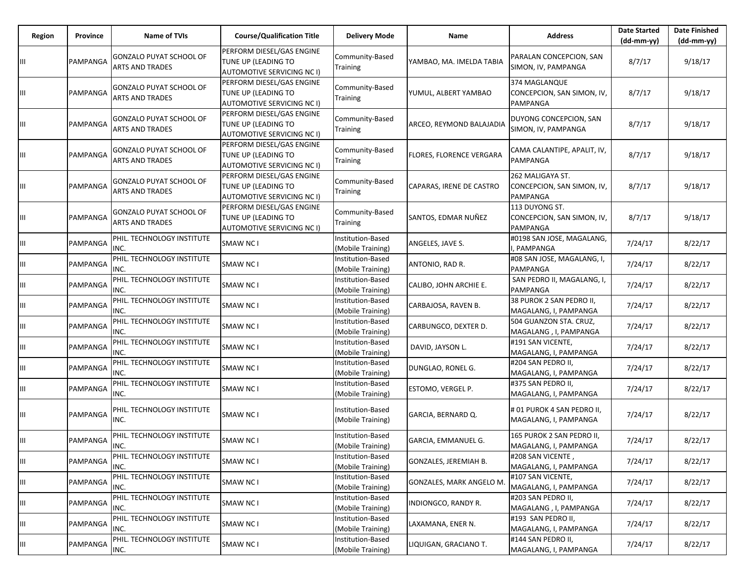| Region | Province | <b>Name of TVIs</b>                                      | <b>Course/Qualification Title</b>                                                     | <b>Delivery Mode</b>                   | Name                     | <b>Address</b>                                             | <b>Date Started</b><br>$(dd-mm-yy)$ | <b>Date Finished</b><br>$(dd-mm-yy)$ |
|--------|----------|----------------------------------------------------------|---------------------------------------------------------------------------------------|----------------------------------------|--------------------------|------------------------------------------------------------|-------------------------------------|--------------------------------------|
|        | PAMPANGA | <b>GONZALO PUYAT SCHOOL OF</b><br><b>ARTS AND TRADES</b> | PERFORM DIESEL/GAS ENGINE<br>TUNE UP (LEADING TO<br>AUTOMOTIVE SERVICING NC I)        | Community-Based<br>Training            | YAMBAO, MA. IMELDA TABIA | PARALAN CONCEPCION, SAN<br>SIMON, IV, PAMPANGA             | 8/7/17                              | 9/18/17                              |
| Ш      | PAMPANGA | GONZALO PUYAT SCHOOL OF<br><b>ARTS AND TRADES</b>        | PERFORM DIESEL/GAS ENGINE<br>TUNE UP (LEADING TO<br>AUTOMOTIVE SERVICING NC I)        | Community-Based<br>Training            | YUMUL, ALBERT YAMBAO     | 374 MAGLANQUE<br>CONCEPCION, SAN SIMON, IV,<br>PAMPANGA    | 8/7/17                              | 9/18/17                              |
| Ш      | PAMPANGA | <b>GONZALO PUYAT SCHOOL OF</b><br><b>ARTS AND TRADES</b> | PERFORM DIESEL/GAS ENGINE<br>TUNE UP (LEADING TO<br><b>AUTOMOTIVE SERVICING NC I)</b> | Community-Based<br>Training            | ARCEO, REYMOND BALAJADIA | DUYONG CONCEPCION, SAN<br>SIMON, IV, PAMPANGA              | 8/7/17                              | 9/18/17                              |
| Ш      | PAMPANGA | GONZALO PUYAT SCHOOL OF<br><b>ARTS AND TRADES</b>        | PERFORM DIESEL/GAS ENGINE<br>TUNE UP (LEADING TO<br>AUTOMOTIVE SERVICING NC I)        | Community-Based<br>Training            | FLORES, FLORENCE VERGARA | CAMA CALANTIPE, APALIT, IV,<br>PAMPANGA                    | 8/7/17                              | 9/18/17                              |
| Ш      | PAMPANGA | GONZALO PUYAT SCHOOL OF<br><b>ARTS AND TRADES</b>        | PERFORM DIESEL/GAS ENGINE<br>TUNE UP (LEADING TO<br>AUTOMOTIVE SERVICING NC I)        | Community-Based<br>Training            | CAPARAS, IRENE DE CASTRO | 262 MALIGAYA ST.<br>CONCEPCION, SAN SIMON, IV,<br>PAMPANGA | 8/7/17                              | 9/18/17                              |
| Ш      | PAMPANGA | GONZALO PUYAT SCHOOL OF<br><b>ARTS AND TRADES</b>        | PERFORM DIESEL/GAS ENGINE<br>TUNE UP (LEADING TO<br>AUTOMOTIVE SERVICING NC I)        | Community-Based<br>Training            | SANTOS, EDMAR NUÑEZ      | 113 DUYONG ST.<br>CONCEPCION, SAN SIMON, IV,<br>PAMPANGA   | 8/7/17                              | 9/18/17                              |
| Ш      | PAMPANGA | PHIL. TECHNOLOGY INSTITUTE<br>INC.                       | SMAW NC I                                                                             | Institution-Based<br>(Mobile Training) | ANGELES, JAVE S.         | #0198 SAN JOSE, MAGALANG,<br>, PAMPANGA                    | 7/24/17                             | 8/22/17                              |
| Ш      | PAMPANGA | PHIL. TECHNOLOGY INSTITUTE<br>INC.                       | SMAW NC I                                                                             | Institution-Based<br>(Mobile Training) | ANTONIO, RAD R.          | #08 SAN JOSE, MAGALANG, I,<br>PAMPANGA                     | 7/24/17                             | 8/22/17                              |
| Ш      | PAMPANGA | PHIL. TECHNOLOGY INSTITUTE<br>INC.                       | SMAW NC I                                                                             | Institution-Based<br>(Mobile Training) | CALIBO, JOHN ARCHIE E.   | SAN PEDRO II, MAGALANG, I,<br>PAMPANGA                     | 7/24/17                             | 8/22/17                              |
| Ш      | PAMPANGA | PHIL. TECHNOLOGY INSTITUTE<br>INC.                       | SMAW NC I                                                                             | Institution-Based<br>(Mobile Training) | CARBAJOSA, RAVEN B.      | 38 PUROK 2 SAN PEDRO II,<br>MAGALANG, I, PAMPANGA          | 7/24/17                             | 8/22/17                              |
| Ш      | PAMPANGA | PHIL. TECHNOLOGY INSTITUTE<br>INC.                       | SMAW NC I                                                                             | Institution-Based<br>(Mobile Training) | CARBUNGCO, DEXTER D.     | 504 GUANZON STA. CRUZ,<br>MAGALANG, I, PAMPANGA            | 7/24/17                             | 8/22/17                              |
| Ш      | PAMPANGA | PHIL. TECHNOLOGY INSTITUTE<br>INC.                       | <b>SMAW NCI</b>                                                                       | Institution-Based<br>(Mobile Training) | DAVID, JAYSON L.         | #191 SAN VICENTE,<br>MAGALANG, I, PAMPANGA                 | 7/24/17                             | 8/22/17                              |
| Ш      | PAMPANGA | PHIL. TECHNOLOGY INSTITUTE<br>INC.                       | SMAW NC I                                                                             | Institution-Based<br>(Mobile Training) | DUNGLAO, RONEL G.        | #204 SAN PEDRO II,<br>MAGALANG, I, PAMPANGA                | 7/24/17                             | 8/22/17                              |
| Ш      | PAMPANGA | PHIL. TECHNOLOGY INSTITUTE<br>INC.                       | <b>SMAW NC1</b>                                                                       | Institution-Based<br>(Mobile Training) | ESTOMO, VERGEL P.        | #375 SAN PEDRO II,<br>MAGALANG, I, PAMPANGA                | 7/24/17                             | 8/22/17                              |
| Ш      | PAMPANGA | PHIL. TECHNOLOGY INSTITUTE<br>INC.                       | SMAW NC I                                                                             | Institution-Based<br>(Mobile Training) | GARCIA, BERNARD Q.       | # 01 PUROK 4 SAN PEDRO II,<br>MAGALANG, I, PAMPANGA        | 7/24/17                             | 8/22/17                              |
| Ш      | PAMPANGA | PHIL. TECHNOLOGY INSTITUTE<br>INC.                       | SMAW NC I                                                                             | Institution-Based<br>(Mobile Training) | GARCIA, EMMANUEL G.      | 165 PUROK 2 SAN PEDRO II,<br>MAGALANG, I, PAMPANGA         | 7/24/17                             | 8/22/17                              |
| Ш      | PAMPANGA | PHIL. TECHNOLOGY INSTITUTE<br>INC.                       | <b>SMAW NCI</b>                                                                       | Institution-Based<br>(Mobile Training) | GONZALES, JEREMIAH B.    | #208 SAN VICENTE,<br>MAGALANG, I, PAMPANGA                 | 7/24/17                             | 8/22/17                              |
| Ш      | PAMPANGA | PHIL. TECHNOLOGY INSTITUTE<br>INC.                       | <b>SMAW NCI</b>                                                                       | Institution-Based<br>(Mobile Training) | GONZALES, MARK ANGELO M. | #107 SAN VICENTE,<br>MAGALANG, I, PAMPANGA                 | 7/24/17                             | 8/22/17                              |
| Ш      | PAMPANGA | PHIL. TECHNOLOGY INSTITUTE<br>INC.                       | SMAW NC I                                                                             | Institution-Based<br>(Mobile Training) | INDIONGCO, RANDY R.      | #203 SAN PEDRO II,<br>MAGALANG, I, PAMPANGA                | 7/24/17                             | 8/22/17                              |
| Ш      | PAMPANGA | PHIL. TECHNOLOGY INSTITUTE<br>INC.                       | <b>SMAW NCI</b>                                                                       | Institution-Based<br>(Mobile Training) | LAXAMANA, ENER N.        | #193 SAN PEDRO II,<br>MAGALANG, I, PAMPANGA                | 7/24/17                             | 8/22/17                              |
| ШL     | PAMPANGA | PHIL. TECHNOLOGY INSTITUTE<br>INC.                       | <b>SMAW NCI</b>                                                                       | Institution-Based<br>(Mobile Training) | LIQUIGAN, GRACIANO T.    | #144 SAN PEDRO II,<br>MAGALANG, I, PAMPANGA                | 7/24/17                             | 8/22/17                              |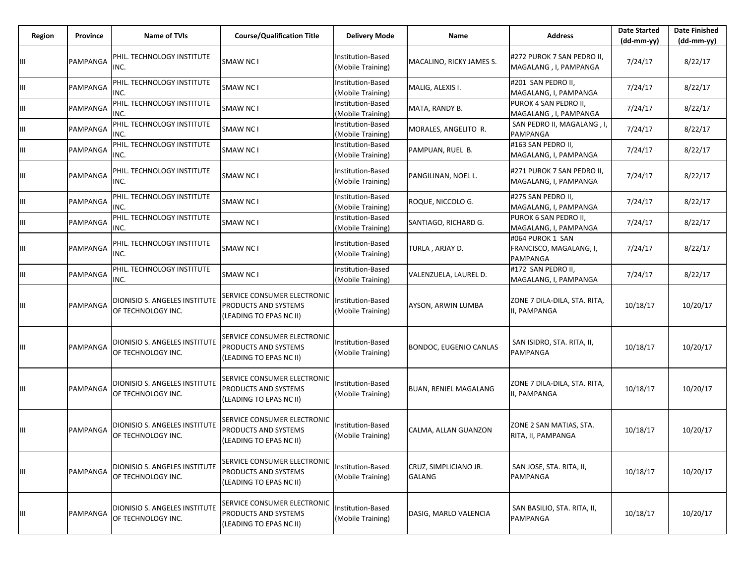| Region | Province | Name of TVIs                                        | <b>Course/Qualification Title</b>                                              | <b>Delivery Mode</b>                   | Name                                   | <b>Address</b>                                                 | <b>Date Started</b><br>$(dd-mm-yy)$ | <b>Date Finished</b><br>$(dd-mm-yy)$ |
|--------|----------|-----------------------------------------------------|--------------------------------------------------------------------------------|----------------------------------------|----------------------------------------|----------------------------------------------------------------|-------------------------------------|--------------------------------------|
| Ш      | PAMPANGA | PHIL. TECHNOLOGY INSTITUTE<br>INC.                  | SMAW NC I                                                                      | Institution-Based<br>(Mobile Training) | MACALINO, RICKY JAMES S.               | #272 PUROK 7 SAN PEDRO II,<br>MAGALANG , I, PAMPANGA           | 7/24/17                             | 8/22/17                              |
| Ш      | PAMPANGA | PHIL. TECHNOLOGY INSTITUTE<br>INC.                  | SMAW NC I                                                                      | Institution-Based<br>(Mobile Training) | MALIG, ALEXIS I.                       | #201 SAN PEDRO II,<br>MAGALANG, I, PAMPANGA                    | 7/24/17                             | 8/22/17                              |
| Ш      | PAMPANGA | PHIL. TECHNOLOGY INSTITUTE<br>INC.                  | SMAW NC I                                                                      | Institution-Based<br>(Mobile Training) | MATA, RANDY B.                         | PUROK 4 SAN PEDRO II,<br>MAGALANG, I, PAMPANGA                 | 7/24/17                             | 8/22/17                              |
| Ш      | PAMPANGA | PHIL. TECHNOLOGY INSTITUTE<br>INC.                  | SMAW NC I                                                                      | Institution-Based<br>(Mobile Training) | MORALES, ANGELITO R.                   | SAN PEDRO II, MAGALANG, I,<br><b>PAMPANGA</b>                  | 7/24/17                             | 8/22/17                              |
| Ш      | PAMPANGA | PHIL. TECHNOLOGY INSTITUTE<br>INC.                  | SMAW NC I                                                                      | Institution-Based<br>(Mobile Training) | PAMPUAN, RUEL B.                       | #163 SAN PEDRO II,<br>MAGALANG, I, PAMPANGA                    | 7/24/17                             | 8/22/17                              |
| Ш      | PAMPANGA | PHIL. TECHNOLOGY INSTITUTE<br>INC.                  | SMAW NC I                                                                      | Institution-Based<br>(Mobile Training) | PANGILINAN, NOEL L.                    | #271 PUROK 7 SAN PEDRO II,<br>MAGALANG, I, PAMPANGA            | 7/24/17                             | 8/22/17                              |
| Ш      | PAMPANGA | PHIL. TECHNOLOGY INSTITUTE<br>INC.                  | SMAW NC I                                                                      | Institution-Based<br>(Mobile Training) | ROQUE, NICCOLO G.                      | #275 SAN PEDRO II,<br>MAGALANG, I, PAMPANGA                    | 7/24/17                             | 8/22/17                              |
| Ш      | PAMPANGA | PHIL. TECHNOLOGY INSTITUTE<br>INC.                  | SMAW NC I                                                                      | Institution-Based<br>(Mobile Training) | SANTIAGO, RICHARD G.                   | PUROK 6 SAN PEDRO II,<br>MAGALANG, I, PAMPANGA                 | 7/24/17                             | 8/22/17                              |
| Ш      | PAMPANGA | PHIL. TECHNOLOGY INSTITUTE<br>INC.                  | SMAW NC I                                                                      | Institution-Based<br>(Mobile Training) | TURLA, ARJAY D.                        | #064 PUROK 1 SAN<br>FRANCISCO, MAGALANG, I,<br><b>PAMPANGA</b> | 7/24/17                             | 8/22/17                              |
| Ш      | PAMPANGA | PHIL. TECHNOLOGY INSTITUTE<br>INC.                  | SMAW NC I                                                                      | Institution-Based<br>(Mobile Training) | VALENZUELA, LAUREL D.                  | #172 SAN PEDRO II,<br>MAGALANG, I, PAMPANGA                    | 7/24/17                             | 8/22/17                              |
| Ш      | PAMPANGA | DIONISIO S. ANGELES INSTITUTE<br>OF TECHNOLOGY INC. | SERVICE CONSUMER ELECTRONIC<br>PRODUCTS AND SYSTEMS<br>(LEADING TO EPAS NC II) | Institution-Based<br>(Mobile Training) | AYSON, ARWIN LUMBA                     | ZONE 7 DILA-DILA, STA. RITA,<br>II, PAMPANGA                   | 10/18/17                            | 10/20/17                             |
| Ш      | PAMPANGA | DIONISIO S. ANGELES INSTITUTE<br>OF TECHNOLOGY INC. | SERVICE CONSUMER ELECTRONIC<br>PRODUCTS AND SYSTEMS<br>(LEADING TO EPAS NC II) | Institution-Based<br>(Mobile Training) | <b>BONDOC, EUGENIO CANLAS</b>          | SAN ISIDRO, STA. RITA, II,<br><b>PAMPANGA</b>                  | 10/18/17                            | 10/20/17                             |
| Ш      | PAMPANGA | DIONISIO S. ANGELES INSTITUTE<br>OF TECHNOLOGY INC. | SERVICE CONSUMER ELECTRONIC<br>PRODUCTS AND SYSTEMS<br>(LEADING TO EPAS NC II) | Institution-Based<br>(Mobile Training) | <b>BUAN, RENIEL MAGALANG</b>           | ZONE 7 DILA-DILA, STA. RITA,<br>II, PAMPANGA                   | 10/18/17                            | 10/20/17                             |
| Ш      | PAMPANGA | DIONISIO S. ANGELES INSTITUTE<br>OF TECHNOLOGY INC. | SERVICE CONSUMER ELECTRONIC<br>PRODUCTS AND SYSTEMS<br>(LEADING TO EPAS NC II) | Institution-Based<br>(Mobile Training) | CALMA, ALLAN GUANZON                   | ZONE 2 SAN MATIAS, STA.<br>RITA, II, PAMPANGA                  | 10/18/17                            | 10/20/17                             |
| Ш      | PAMPANGA | DIONISIO S. ANGELES INSTITUTE<br>OF TECHNOLOGY INC. | SERVICE CONSUMER ELECTRONIC<br>PRODUCTS AND SYSTEMS<br>(LEADING TO EPAS NC II) | Institution-Based<br>(Mobile Training) | CRUZ, SIMPLICIANO JR.<br><b>GALANG</b> | SAN JOSE, STA. RITA, II,<br>PAMPANGA                           | 10/18/17                            | 10/20/17                             |
| Ш      | PAMPANGA | DIONISIO S. ANGELES INSTITUTE<br>OF TECHNOLOGY INC. | SERVICE CONSUMER ELECTRONIC<br>PRODUCTS AND SYSTEMS<br>(LEADING TO EPAS NC II) | Institution-Based<br>(Mobile Training) | DASIG, MARLO VALENCIA                  | SAN BASILIO, STA. RITA, II,<br>PAMPANGA                        | 10/18/17                            | 10/20/17                             |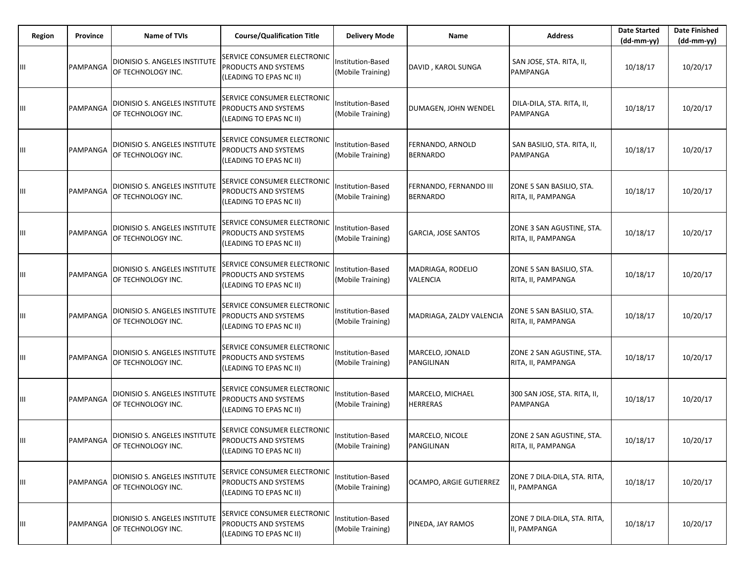| Region | Province | <b>Name of TVIs</b>                                 | <b>Course/Qualification Title</b>                                              | <b>Delivery Mode</b>                   | Name                                      | <b>Address</b>                                  | <b>Date Started</b><br>$(dd-mm-yy)$ | <b>Date Finished</b><br>$(dd-mm-yy)$ |
|--------|----------|-----------------------------------------------------|--------------------------------------------------------------------------------|----------------------------------------|-------------------------------------------|-------------------------------------------------|-------------------------------------|--------------------------------------|
| Ш      | PAMPANGA | DIONISIO S. ANGELES INSTITUTE<br>OF TECHNOLOGY INC. | SERVICE CONSUMER ELECTRONIC<br>PRODUCTS AND SYSTEMS<br>(LEADING TO EPAS NC II) | Institution-Based<br>(Mobile Training) | DAVID, KAROL SUNGA                        | SAN JOSE, STA. RITA, II,<br>PAMPANGA            | 10/18/17                            | 10/20/17                             |
| Ш      | PAMPANGA | DIONISIO S. ANGELES INSTITUTE<br>OF TECHNOLOGY INC. | SERVICE CONSUMER ELECTRONIC<br>PRODUCTS AND SYSTEMS<br>(LEADING TO EPAS NC II) | nstitution-Based<br>(Mobile Training)  | DUMAGEN, JOHN WENDEL                      | DILA-DILA, STA. RITA, II,<br>PAMPANGA           | 10/18/17                            | 10/20/17                             |
| Ш      | PAMPANGA | DIONISIO S. ANGELES INSTITUTE<br>OF TECHNOLOGY INC. | SERVICE CONSUMER ELECTRONIC<br>PRODUCTS AND SYSTEMS<br>(LEADING TO EPAS NC II) | Institution-Based<br>(Mobile Training) | FERNANDO, ARNOLD<br><b>BERNARDO</b>       | SAN BASILIO, STA. RITA, II,<br>PAMPANGA         | 10/18/17                            | 10/20/17                             |
| Ш      | PAMPANGA | DIONISIO S. ANGELES INSTITUTE<br>OF TECHNOLOGY INC. | SERVICE CONSUMER ELECTRONIC<br>PRODUCTS AND SYSTEMS<br>(LEADING TO EPAS NC II) | Institution-Based<br>(Mobile Training) | FERNANDO, FERNANDO III<br><b>BERNARDO</b> | ZONE 5 SAN BASILIO, STA.<br>RITA, II, PAMPANGA  | 10/18/17                            | 10/20/17                             |
| Ш      | PAMPANGA | DIONISIO S. ANGELES INSTITUTE<br>OF TECHNOLOGY INC. | SERVICE CONSUMER ELECTRONIC<br>PRODUCTS AND SYSTEMS<br>(LEADING TO EPAS NC II) | nstitution-Based<br>(Mobile Training)  | <b>GARCIA, JOSE SANTOS</b>                | ZONE 3 SAN AGUSTINE, STA.<br>RITA, II, PAMPANGA | 10/18/17                            | 10/20/17                             |
| Ш      | PAMPANGA | DIONISIO S. ANGELES INSTITUTE<br>OF TECHNOLOGY INC. | SERVICE CONSUMER ELECTRONIC<br>PRODUCTS AND SYSTEMS<br>(LEADING TO EPAS NC II) | Institution-Based<br>Mobile Training)  | MADRIAGA, RODELIO<br><b>VALENCIA</b>      | ZONE 5 SAN BASILIO, STA.<br>RITA, II, PAMPANGA  | 10/18/17                            | 10/20/17                             |
| Ш      | PAMPANGA | DIONISIO S. ANGELES INSTITUTE<br>OF TECHNOLOGY INC. | SERVICE CONSUMER ELECTRONIC<br>PRODUCTS AND SYSTEMS<br>(LEADING TO EPAS NC II) | Institution-Based<br>(Mobile Training) | MADRIAGA, ZALDY VALENCIA                  | ZONE 5 SAN BASILIO, STA.<br>RITA, II, PAMPANGA  | 10/18/17                            | 10/20/17                             |
| Ш      | PAMPANGA | DIONISIO S. ANGELES INSTITUTE<br>OF TECHNOLOGY INC. | SERVICE CONSUMER ELECTRONIC<br>PRODUCTS AND SYSTEMS<br>(LEADING TO EPAS NC II) | Institution-Based<br>(Mobile Training) | MARCELO, JONALD<br>PANGILINAN             | ZONE 2 SAN AGUSTINE, STA.<br>RITA, II, PAMPANGA | 10/18/17                            | 10/20/17                             |
| Ш      | PAMPANGA | DIONISIO S. ANGELES INSTITUTE<br>OF TECHNOLOGY INC. | SERVICE CONSUMER ELECTRONIC<br>PRODUCTS AND SYSTEMS<br>(LEADING TO EPAS NC II) | Institution-Based<br>(Mobile Training) | MARCELO, MICHAEL<br><b>HERRERAS</b>       | 300 SAN JOSE, STA. RITA, II,<br><b>PAMPANGA</b> | 10/18/17                            | 10/20/17                             |
| Ш      | PAMPANGA | DIONISIO S. ANGELES INSTITUTE<br>OF TECHNOLOGY INC. | SERVICE CONSUMER ELECTRONIC<br>PRODUCTS AND SYSTEMS<br>(LEADING TO EPAS NC II) | nstitution-Based<br>(Mobile Training)  | MARCELO, NICOLE<br>PANGILINAN             | ZONE 2 SAN AGUSTINE, STA.<br>RITA, II, PAMPANGA | 10/18/17                            | 10/20/17                             |
| Ш      | PAMPANGA | DIONISIO S. ANGELES INSTITUTE<br>OF TECHNOLOGY INC. | SERVICE CONSUMER ELECTRONIC<br>PRODUCTS AND SYSTEMS<br>(LEADING TO EPAS NC II) | Institution-Based<br>(Mobile Training) | OCAMPO, ARGIE GUTIERREZ                   | ZONE 7 DILA-DILA, STA. RITA,<br>II, PAMPANGA    | 10/18/17                            | 10/20/17                             |
| Ш      | PAMPANGA | DIONISIO S. ANGELES INSTITUTE<br>OF TECHNOLOGY INC. | SERVICE CONSUMER ELECTRONIC<br>PRODUCTS AND SYSTEMS<br>(LEADING TO EPAS NC II) | Institution-Based<br>(Mobile Training) | PINEDA, JAY RAMOS                         | ZONE 7 DILA-DILA, STA. RITA,<br>II, PAMPANGA    | 10/18/17                            | 10/20/17                             |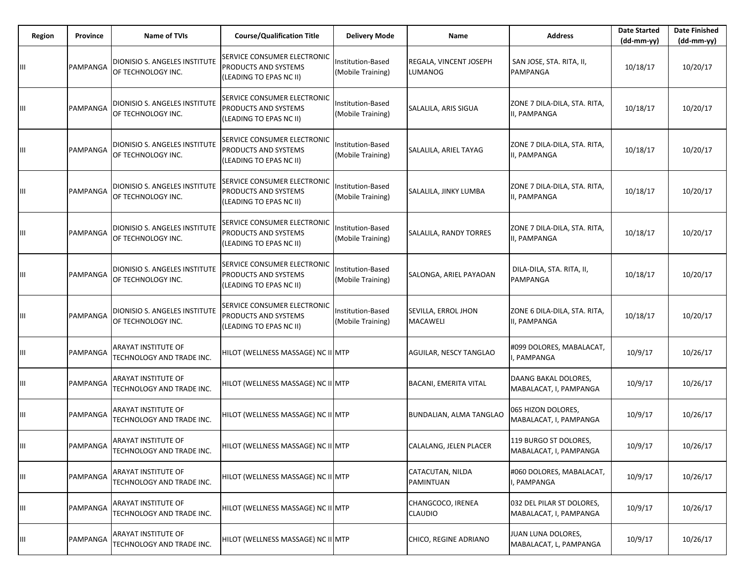| Region | Province | Name of TVIs                                              | <b>Course/Qualification Title</b>                                              | <b>Delivery Mode</b>                   | Name                                   | <b>Address</b>                                      | <b>Date Started</b><br>$(dd-mm-yy)$ | <b>Date Finished</b><br>$(dd-mm-yy)$ |
|--------|----------|-----------------------------------------------------------|--------------------------------------------------------------------------------|----------------------------------------|----------------------------------------|-----------------------------------------------------|-------------------------------------|--------------------------------------|
| Ш      | PAMPANGA | DIONISIO S. ANGELES INSTITUTE<br>OF TECHNOLOGY INC.       | SERVICE CONSUMER ELECTRONIC<br>PRODUCTS AND SYSTEMS<br>(LEADING TO EPAS NC II) | Institution-Based<br>(Mobile Training) | REGALA, VINCENT JOSEPH<br>LUMANOG      | SAN JOSE, STA. RITA, II,<br>PAMPANGA                | 10/18/17                            | 10/20/17                             |
| Ш      | PAMPANGA | DIONISIO S. ANGELES INSTITUTE<br>OF TECHNOLOGY INC.       | SERVICE CONSUMER ELECTRONIC<br>PRODUCTS AND SYSTEMS<br>(LEADING TO EPAS NC II) | nstitution-Based<br>(Mobile Training)  | SALALILA, ARIS SIGUA                   | ZONE 7 DILA-DILA, STA. RITA,<br>II, PAMPANGA        | 10/18/17                            | 10/20/17                             |
| Ш      | PAMPANGA | DIONISIO S. ANGELES INSTITUTE<br>OF TECHNOLOGY INC.       | SERVICE CONSUMER ELECTRONIC<br>PRODUCTS AND SYSTEMS<br>(LEADING TO EPAS NC II) | Institution-Based<br>(Mobile Training) | SALALILA, ARIEL TAYAG                  | ZONE 7 DILA-DILA, STA. RITA,<br>II, PAMPANGA        | 10/18/17                            | 10/20/17                             |
| Ш      | PAMPANGA | DIONISIO S. ANGELES INSTITUTE<br>OF TECHNOLOGY INC.       | SERVICE CONSUMER ELECTRONIC<br>PRODUCTS AND SYSTEMS<br>(LEADING TO EPAS NC II) | Institution-Based<br>(Mobile Training) | SALALILA, JINKY LUMBA                  | ZONE 7 DILA-DILA, STA. RITA,<br>II, PAMPANGA        | 10/18/17                            | 10/20/17                             |
| Ш      | PAMPANGA | DIONISIO S. ANGELES INSTITUTE<br>OF TECHNOLOGY INC.       | SERVICE CONSUMER ELECTRONIC<br>PRODUCTS AND SYSTEMS<br>(LEADING TO EPAS NC II) | nstitution-Based<br>(Mobile Training)  | SALALILA, RANDY TORRES                 | ZONE 7 DILA-DILA, STA. RITA,<br>II, PAMPANGA        | 10/18/17                            | 10/20/17                             |
| Ш      | PAMPANGA | DIONISIO S. ANGELES INSTITUTE<br>OF TECHNOLOGY INC.       | SERVICE CONSUMER ELECTRONIC<br>PRODUCTS AND SYSTEMS<br>(LEADING TO EPAS NC II) | Institution-Based<br>(Mobile Training) | SALONGA, ARIEL PAYAOAN                 | DILA-DILA, STA. RITA, II,<br>PAMPANGA               | 10/18/17                            | 10/20/17                             |
| Ш      | PAMPANGA | DIONISIO S. ANGELES INSTITUTE<br>OF TECHNOLOGY INC.       | SERVICE CONSUMER ELECTRONIC<br>PRODUCTS AND SYSTEMS<br>(LEADING TO EPAS NC II) | Institution-Based<br>(Mobile Training) | SEVILLA, ERROL JHON<br><b>MACAWELI</b> | ZONE 6 DILA-DILA, STA. RITA,<br>II, PAMPANGA        | 10/18/17                            | 10/20/17                             |
| Ш      | PAMPANGA | ARAYAT INSTITUTE OF<br>TECHNOLOGY AND TRADE INC.          | HILOT (WELLNESS MASSAGE) NC II MTP                                             |                                        | AGUILAR, NESCY TANGLAO                 | #099 DOLORES, MABALACAT,<br>, PAMPANGA              | 10/9/17                             | 10/26/17                             |
| Ш      | PAMPANGA | ARAYAT INSTITUTE OF<br>TECHNOLOGY AND TRADE INC.          | HILOT (WELLNESS MASSAGE) NC II MTP                                             |                                        | <b>BACANI, EMERITA VITAL</b>           | DAANG BAKAL DOLORES,<br>MABALACAT, I, PAMPANGA      | 10/9/17                             | 10/26/17                             |
| Ш      | PAMPANGA | <b>ARAYAT INSTITUTE OF</b><br>TECHNOLOGY AND TRADE INC.   | HILOT (WELLNESS MASSAGE) NC II MTP                                             |                                        | BUNDALIAN, ALMA TANGLAO                | 065 HIZON DOLORES,<br>MABALACAT, I, PAMPANGA        | 10/9/17                             | 10/26/17                             |
| Ш      |          | PAMPANGA ARAYAT INSTITUTE OF<br>TECHNOLOGY AND TRADE INC. | HILOT (WELLNESS MASSAGE) NC II MTP                                             |                                        | CALALANG, JELEN PLACER                 | 119 BURGO ST DOLORES,<br>MABALACAT, I, PAMPANGA     | 10/9/17                             | 10/26/17                             |
| Ш      | PAMPANGA | <b>ARAYAT INSTITUTE OF</b><br>TECHNOLOGY AND TRADE INC.   | HILOT (WELLNESS MASSAGE) NC II MTP                                             |                                        | CATACUTAN, NILDA<br>PAMINTUAN          | #060 DOLORES, MABALACAT,<br>I, PAMPANGA             | 10/9/17                             | 10/26/17                             |
| Ш      | PAMPANGA | <b>ARAYAT INSTITUTE OF</b><br>TECHNOLOGY AND TRADE INC.   | HILOT (WELLNESS MASSAGE) NC II MTP                                             |                                        | CHANGCOCO, IRENEA<br><b>CLAUDIO</b>    | 032 DEL PILAR ST DOLORES,<br>MABALACAT, I, PAMPANGA | 10/9/17                             | 10/26/17                             |
| Ш      | PAMPANGA | <b>ARAYAT INSTITUTE OF</b><br>TECHNOLOGY AND TRADE INC.   | HILOT (WELLNESS MASSAGE) NC II MTP                                             |                                        | CHICO, REGINE ADRIANO                  | JUAN LUNA DOLORES,<br>MABALACAT, L, PAMPANGA        | 10/9/17                             | 10/26/17                             |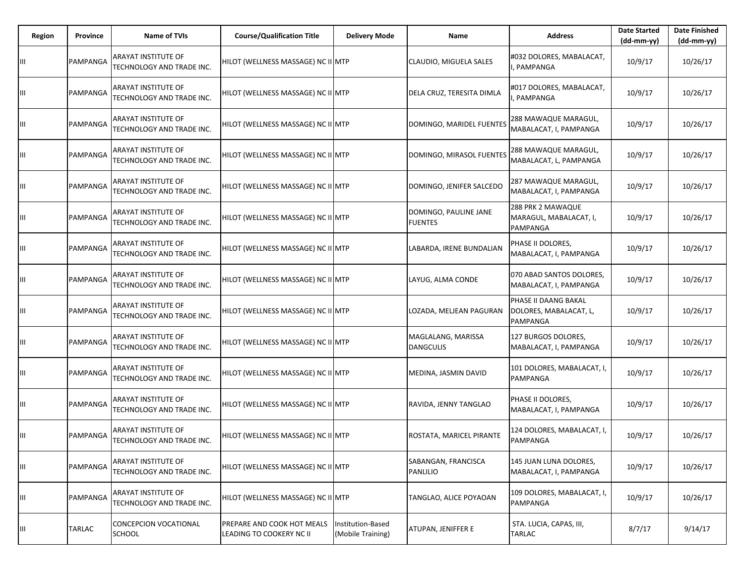| <b>Region</b> | Province | <b>Name of TVIs</b>                              | <b>Course/Qualification Title</b>                      | <b>Delivery Mode</b>                   | Name                                    | <b>Address</b>                                                    | <b>Date Started</b><br>$(dd-mm-yy)$ | <b>Date Finished</b><br>(dd-mm-yy) |
|---------------|----------|--------------------------------------------------|--------------------------------------------------------|----------------------------------------|-----------------------------------------|-------------------------------------------------------------------|-------------------------------------|------------------------------------|
| Ш             | PAMPANGA | ARAYAT INSTITUTE OF<br>TECHNOLOGY AND TRADE INC. | HILOT (WELLNESS MASSAGE) NC II MTP                     |                                        | CLAUDIO, MIGUELA SALES                  | #032 DOLORES, MABALACAT,<br>, PAMPANGA                            | 10/9/17                             | 10/26/17                           |
| Ш             | PAMPANGA | ARAYAT INSTITUTE OF<br>TECHNOLOGY AND TRADE INC. | HILOT (WELLNESS MASSAGE) NC II MTP                     |                                        | DELA CRUZ, TERESITA DIMLA               | #017 DOLORES, MABALACAT,<br>PAMPANGA                              | 10/9/17                             | 10/26/17                           |
| Ш             | PAMPANGA | ARAYAT INSTITUTE OF<br>TECHNOLOGY AND TRADE INC. | HILOT (WELLNESS MASSAGE) NC II MTP                     |                                        | DOMINGO, MARIDEL FUENTES                | 288 MAWAQUE MARAGUL,<br>MABALACAT, I, PAMPANGA                    | 10/9/17                             | 10/26/17                           |
| Ш             | PAMPANGA | ARAYAT INSTITUTE OF<br>TECHNOLOGY AND TRADE INC. | HILOT (WELLNESS MASSAGE) NC II MTP                     |                                        | DOMINGO, MIRASOL FUENTES                | 288 MAWAQUE MARAGUL,<br>MABALACAT, L, PAMPANGA                    | 10/9/17                             | 10/26/17                           |
| Ш             | PAMPANGA | ARAYAT INSTITUTE OF<br>TECHNOLOGY AND TRADE INC. | HILOT (WELLNESS MASSAGE) NC II MTP                     |                                        | DOMINGO, JENIFER SALCEDO                | 287 MAWAQUE MARAGUL,<br>MABALACAT, I, PAMPANGA                    | 10/9/17                             | 10/26/17                           |
| Ш             | PAMPANGA | ARAYAT INSTITUTE OF<br>TECHNOLOGY AND TRADE INC. | HILOT (WELLNESS MASSAGE) NC II MTP                     |                                        | DOMINGO, PAULINE JANE<br><b>FUENTES</b> | 288 PRK 2 MAWAQUE<br>MARAGUL, MABALACAT, I,<br>PAMPANGA           | 10/9/17                             | 10/26/17                           |
| Ш             | PAMPANGA | ARAYAT INSTITUTE OF<br>TECHNOLOGY AND TRADE INC. | HILOT (WELLNESS MASSAGE) NC II MTP                     |                                        | LABARDA, IRENE BUNDALIAN                | PHASE II DOLORES,<br>MABALACAT, I, PAMPANGA                       | 10/9/17                             | 10/26/17                           |
| Ш             | PAMPANGA | ARAYAT INSTITUTE OF<br>TECHNOLOGY AND TRADE INC. | HILOT (WELLNESS MASSAGE) NC II MTP                     |                                        | LAYUG, ALMA CONDE                       | 070 ABAD SANTOS DOLORES,<br>MABALACAT, I, PAMPANGA                | 10/9/17                             | 10/26/17                           |
| Ш             | PAMPANGA | ARAYAT INSTITUTE OF<br>TECHNOLOGY AND TRADE INC. | HILOT (WELLNESS MASSAGE) NC II MTP                     |                                        | LOZADA, MELJEAN PAGURAN                 | PHASE II DAANG BAKAL<br>DOLORES, MABALACAT, L,<br><b>PAMPANGA</b> | 10/9/17                             | 10/26/17                           |
| Ш             | PAMPANGA | ARAYAT INSTITUTE OF<br>TECHNOLOGY AND TRADE INC. | HILOT (WELLNESS MASSAGE) NC II MTP                     |                                        | MAGLALANG, MARISSA<br><b>DANGCULIS</b>  | 127 BURGOS DOLORES,<br>MABALACAT, I, PAMPANGA                     | 10/9/17                             | 10/26/17                           |
| Ш             | PAMPANGA | ARAYAT INSTITUTE OF<br>TECHNOLOGY AND TRADE INC. | HILOT (WELLNESS MASSAGE) NC II MTP                     |                                        | MEDINA, JASMIN DAVID                    | 101 DOLORES, MABALACAT, I,<br>PAMPANGA                            | 10/9/17                             | 10/26/17                           |
| Ш             | PAMPANGA | ARAYAT INSTITUTE OF<br>TECHNOLOGY AND TRADE INC. | HILOT (WELLNESS MASSAGE) NC II MTP                     |                                        | RAVIDA, JENNY TANGLAO                   | PHASE II DOLORES,<br>MABALACAT, I, PAMPANGA                       | 10/9/17                             | 10/26/17                           |
| Ш             | PAMPANGA | ARAYAT INSTITUTE OF<br>TECHNOLOGY AND TRADE INC. | HILOT (WELLNESS MASSAGE) NC II MTP                     |                                        | ROSTATA, MARICEL PIRANTE                | 124 DOLORES, MABALACAT, I,<br><b>PAMPANGA</b>                     | 10/9/17                             | 10/26/17                           |
| Ш             | PAMPANGA | ARAYAT INSTITUTE OF<br>TECHNOLOGY AND TRADE INC. | HILOT (WELLNESS MASSAGE) NC II MTP                     |                                        | SABANGAN, FRANCISCA<br><b>PANLILIO</b>  | 145 JUAN LUNA DOLORES,<br>MABALACAT, I, PAMPANGA                  | 10/9/17                             | 10/26/17                           |
| Ш             | PAMPANGA | ARAYAT INSTITUTE OF<br>TECHNOLOGY AND TRADE INC. | HILOT (WELLNESS MASSAGE) NC II MTP                     |                                        | TANGLAO, ALICE POYAOAN                  | 109 DOLORES, MABALACAT, I,<br>PAMPANGA                            | 10/9/17                             | 10/26/17                           |
| Ш             | TARLAC   | CONCEPCION VOCATIONAL<br><b>SCHOOL</b>           | PREPARE AND COOK HOT MEALS<br>LEADING TO COOKERY NC II | Institution-Based<br>(Mobile Training) | ATUPAN, JENIFFER E                      | STA. LUCIA, CAPAS, III,<br><b>TARLAC</b>                          | 8/7/17                              | 9/14/17                            |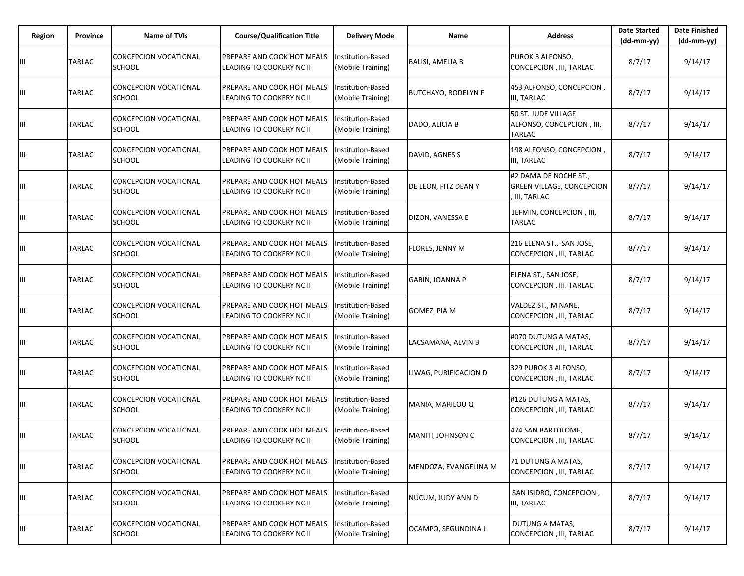| Region | Province      | <b>Name of TVIs</b>                           | <b>Course/Qualification Title</b>                             | <b>Delivery Mode</b>                   | Name                       | <b>Address</b>                                                           | <b>Date Started</b><br>$(dd-mm-yy)$ | <b>Date Finished</b><br>(dd-mm-yy) |
|--------|---------------|-----------------------------------------------|---------------------------------------------------------------|----------------------------------------|----------------------------|--------------------------------------------------------------------------|-------------------------------------|------------------------------------|
| Ш      | TARLAC        | <b>CONCEPCION VOCATIONAL</b><br><b>SCHOOL</b> | <b>PREPARE AND COOK HOT MEALS</b><br>LEADING TO COOKERY NC II | Institution-Based<br>(Mobile Training) | <b>BALISI, AMELIA B</b>    | PUROK 3 ALFONSO,<br>CONCEPCION, III, TARLAC                              | 8/7/17                              | 9/14/17                            |
| Ш      | TARLAC        | CONCEPCION VOCATIONAL<br><b>SCHOOL</b>        | PREPARE AND COOK HOT MEALS<br>LEADING TO COOKERY NC II        | Institution-Based<br>(Mobile Training) | <b>BUTCHAYO, RODELYN F</b> | 453 ALFONSO, CONCEPCION,<br>III, TARLAC                                  | 8/7/17                              | 9/14/17                            |
| Ш      | TARLAC        | CONCEPCION VOCATIONAL<br><b>SCHOOL</b>        | PREPARE AND COOK HOT MEALS<br>LEADING TO COOKERY NC II        | Institution-Based<br>(Mobile Training) | DADO, ALICIA B             | 50 ST. JUDE VILLAGE<br>ALFONSO, CONCEPCION, III,<br>TARLAC               | 8/7/17                              | 9/14/17                            |
| Ш      | TARLAC        | CONCEPCION VOCATIONAL<br><b>SCHOOL</b>        | PREPARE AND COOK HOT MEALS<br>LEADING TO COOKERY NC II        | Institution-Based<br>(Mobile Training) | DAVID, AGNES S             | 198 ALFONSO, CONCEPCION,<br>III, TARLAC                                  | 8/7/17                              | 9/14/17                            |
| Ш      | TARLAC        | CONCEPCION VOCATIONAL<br><b>SCHOOL</b>        | PREPARE AND COOK HOT MEALS<br>LEADING TO COOKERY NC II        | Institution-Based<br>(Mobile Training) | DE LEON, FITZ DEAN Y       | #2 DAMA DE NOCHE ST.,<br><b>GREEN VILLAGE, CONCEPCION</b><br>III, TARLAC | 8/7/17                              | 9/14/17                            |
| Ш      | TARLAC        | CONCEPCION VOCATIONAL<br><b>SCHOOL</b>        | PREPARE AND COOK HOT MEALS<br>LEADING TO COOKERY NC II        | Institution-Based<br>(Mobile Training) | DIZON, VANESSA E           | JEFMIN, CONCEPCION, III,<br>TARLAC                                       | 8/7/17                              | 9/14/17                            |
| Ш      | TARLAC        | CONCEPCION VOCATIONAL<br><b>SCHOOL</b>        | PREPARE AND COOK HOT MEALS<br>LEADING TO COOKERY NC II        | Institution-Based<br>(Mobile Training) | FLORES, JENNY M            | 216 ELENA ST., SAN JOSE,<br>CONCEPCION, III, TARLAC                      | 8/7/17                              | 9/14/17                            |
| Ш      | TARLAC        | CONCEPCION VOCATIONAL<br><b>SCHOOL</b>        | PREPARE AND COOK HOT MEALS<br>LEADING TO COOKERY NC II        | Institution-Based<br>(Mobile Training) | GARIN, JOANNA P            | ELENA ST., SAN JOSE,<br>CONCEPCION, III, TARLAC                          | 8/7/17                              | 9/14/17                            |
| Ш      | TARLAC        | CONCEPCION VOCATIONAL<br><b>SCHOOL</b>        | PREPARE AND COOK HOT MEALS<br>LEADING TO COOKERY NC II        | Institution-Based<br>(Mobile Training) | GOMEZ, PIA M               | VALDEZ ST., MINANE,<br>CONCEPCION, III, TARLAC                           | 8/7/17                              | 9/14/17                            |
| Ш      | TARLAC        | CONCEPCION VOCATIONAL<br><b>SCHOOL</b>        | PREPARE AND COOK HOT MEALS<br>LEADING TO COOKERY NC II        | Institution-Based<br>(Mobile Training) | LACSAMANA, ALVIN B         | #070 DUTUNG A MATAS,<br>CONCEPCION, III, TARLAC                          | 8/7/17                              | 9/14/17                            |
| Ш      | TARLAC        | CONCEPCION VOCATIONAL<br><b>SCHOOL</b>        | PREPARE AND COOK HOT MEALS<br>LEADING TO COOKERY NC II        | Institution-Based<br>(Mobile Training) | LIWAG, PURIFICACION D      | 329 PUROK 3 ALFONSO,<br>CONCEPCION, III, TARLAC                          | 8/7/17                              | 9/14/17                            |
| Ш      | TARLAC        | <b>CONCEPCION VOCATIONAL</b><br><b>SCHOOL</b> | PREPARE AND COOK HOT MEALS<br>LEADING TO COOKERY NC II        | Institution-Based<br>(Mobile Training) | MANIA, MARILOU Q           | #126 DUTUNG A MATAS,<br>CONCEPCION, III, TARLAC                          | 8/7/17                              | 9/14/17                            |
| Ш      | TARLAC        | CONCEPCION VOCATIONAL<br><b>SCHOOL</b>        | <b>PREPARE AND COOK HOT MEALS</b><br>LEADING TO COOKERY NC II | Institution-Based<br>(Mobile Training) | MANITI, JOHNSON C          | 474 SAN BARTOLOME,<br>CONCEPCION, III, TARLAC                            | 8/7/17                              | 9/14/17                            |
| Ш      | <b>TARLAC</b> | CONCEPCION VOCATIONAL<br><b>SCHOOL</b>        | PREPARE AND COOK HOT MEALS<br>LEADING TO COOKERY NC II        | Institution-Based<br>(Mobile Training) | MENDOZA, EVANGELINA M      | 71 DUTUNG A MATAS,<br>CONCEPCION, III, TARLAC                            | 8/7/17                              | 9/14/17                            |
| Ш      | TARLAC        | CONCEPCION VOCATIONAL<br><b>SCHOOL</b>        | PREPARE AND COOK HOT MEALS<br>LEADING TO COOKERY NC II        | Institution-Based<br>(Mobile Training) | NUCUM, JUDY ANN D          | SAN ISIDRO, CONCEPCION,<br>III, TARLAC                                   | 8/7/17                              | 9/14/17                            |
| Ш      | TARLAC        | CONCEPCION VOCATIONAL<br><b>SCHOOL</b>        | PREPARE AND COOK HOT MEALS<br>LEADING TO COOKERY NC II        | Institution-Based<br>(Mobile Training) | OCAMPO, SEGUNDINA L        | DUTUNG A MATAS,<br>CONCEPCION, III, TARLAC                               | 8/7/17                              | 9/14/17                            |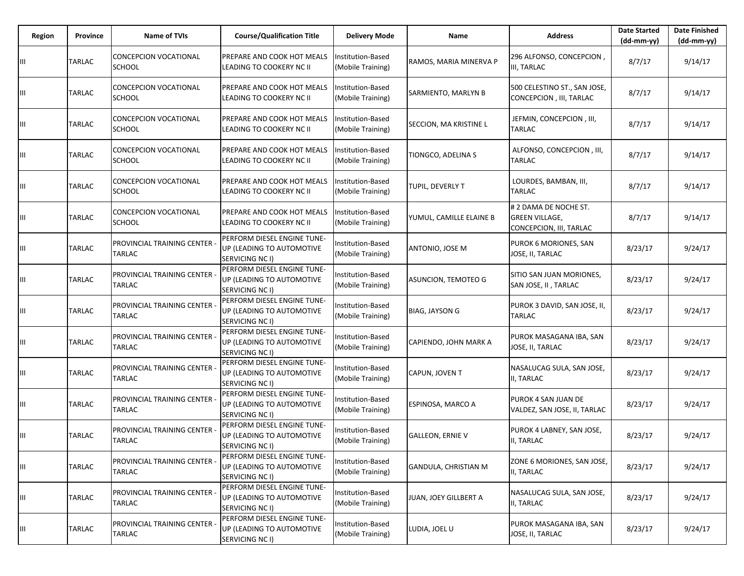| Region | Province      | <b>Name of TVIs</b>                           | <b>Course/Qualification Title</b>                                           | <b>Delivery Mode</b>                   | Name                        | <b>Address</b>                                                            | <b>Date Started</b><br>$(dd-mm-yy)$ | <b>Date Finished</b><br>$(dd-mm-yy)$ |
|--------|---------------|-----------------------------------------------|-----------------------------------------------------------------------------|----------------------------------------|-----------------------------|---------------------------------------------------------------------------|-------------------------------------|--------------------------------------|
| Ш      | TARLAC        | <b>CONCEPCION VOCATIONAL</b><br><b>SCHOOL</b> | PREPARE AND COOK HOT MEALS<br>LEADING TO COOKERY NC II                      | Institution-Based<br>(Mobile Training) | RAMOS, MARIA MINERVA P      | 296 ALFONSO, CONCEPCION,<br>III, TARLAC                                   | 8/7/17                              | 9/14/17                              |
| Ш      | TARLAC        | CONCEPCION VOCATIONAL<br><b>SCHOOL</b>        | PREPARE AND COOK HOT MEALS<br>LEADING TO COOKERY NC II                      | Institution-Based<br>(Mobile Training) | SARMIENTO, MARLYN B         | 500 CELESTINO ST., SAN JOSE,<br>CONCEPCION, III, TARLAC                   | 8/7/17                              | 9/14/17                              |
| Ш      | TARLAC        | CONCEPCION VOCATIONAL<br><b>SCHOOL</b>        | PREPARE AND COOK HOT MEALS<br>LEADING TO COOKERY NC II                      | Institution-Based<br>(Mobile Training) | SECCION, MA KRISTINE L      | JEFMIN, CONCEPCION, III,<br><b>TARLAC</b>                                 | 8/7/17                              | 9/14/17                              |
| Ш      | TARLAC        | CONCEPCION VOCATIONAL<br><b>SCHOOL</b>        | PREPARE AND COOK HOT MEALS<br>LEADING TO COOKERY NC II                      | nstitution-Based<br>(Mobile Training)  | TIONGCO, ADELINA S          | ALFONSO, CONCEPCION, III,<br>TARLAC                                       | 8/7/17                              | 9/14/17                              |
| Ш      | TARLAC        | CONCEPCION VOCATIONAL<br><b>SCHOOL</b>        | PREPARE AND COOK HOT MEALS<br>LEADING TO COOKERY NC II                      | Institution-Based<br>(Mobile Training) | TUPIL, DEVERLY T            | LOURDES, BAMBAN, III,<br>TARLAC                                           | 8/7/17                              | 9/14/17                              |
| Ш      | TARLAC        | CONCEPCION VOCATIONAL<br><b>SCHOOL</b>        | PREPARE AND COOK HOT MEALS<br>LEADING TO COOKERY NC II                      | Institution-Based<br>(Mobile Training) | YUMUL, CAMILLE ELAINE B     | # 2 DAMA DE NOCHE ST.<br><b>GREEN VILLAGE,</b><br>CONCEPCION, III, TARLAC | 8/7/17                              | 9/14/17                              |
| Ш      | TARLAC        | PROVINCIAL TRAINING CENTER -<br><b>TARLAC</b> | PERFORM DIESEL ENGINE TUNE-<br>UP (LEADING TO AUTOMOTIVE<br>SERVICING NC I) | Institution-Based<br>(Mobile Training) | ANTONIO, JOSE M             | PUROK 6 MORIONES, SAN<br>JOSE, II, TARLAC                                 | 8/23/17                             | 9/24/17                              |
| Ш      | TARLAC        | PROVINCIAL TRAINING CENTER<br>TARLAC          | PERFORM DIESEL ENGINE TUNE-<br>UP (LEADING TO AUTOMOTIVE<br>SERVICING NC I) | nstitution-Based<br>(Mobile Training)  | ASUNCION, TEMOTEO G         | SITIO SAN JUAN MORIONES,<br>SAN JOSE, II, TARLAC                          | 8/23/17                             | 9/24/17                              |
| Ш      | TARLAC        | PROVINCIAL TRAINING CENTER<br><b>TARLAC</b>   | PERFORM DIESEL ENGINE TUNE-<br>UP (LEADING TO AUTOMOTIVE<br>SERVICING NC I) | nstitution-Based<br>(Mobile Training)  | <b>BIAG, JAYSON G</b>       | PUROK 3 DAVID, SAN JOSE, II,<br><b>TARLAC</b>                             | 8/23/17                             | 9/24/17                              |
| Ш      | TARLAC        | PROVINCIAL TRAINING CENTER<br>TARLAC          | PERFORM DIESEL ENGINE TUNE-<br>UP (LEADING TO AUTOMOTIVE<br>SERVICING NC I) | Institution-Based<br>(Mobile Training) | CAPIENDO, JOHN MARK A       | PUROK MASAGANA IBA, SAN<br>JOSE, II, TARLAC                               | 8/23/17                             | 9/24/17                              |
| Ш      | TARLAC        | PROVINCIAL TRAINING CENTER<br>TARLAC          | PERFORM DIESEL ENGINE TUNE-<br>UP (LEADING TO AUTOMOTIVE<br>SERVICING NC I) | nstitution-Based<br>(Mobile Training)  | CAPUN, JOVEN T              | NASALUCAG SULA, SAN JOSE,<br>II, TARLAC                                   | 8/23/17                             | 9/24/17                              |
| Ш      | TARLAC        | PROVINCIAL TRAINING CENTER<br><b>TARLAC</b>   | PERFORM DIESEL ENGINE TUNE-<br>UP (LEADING TO AUTOMOTIVE<br>SERVICING NC I) | Institution-Based<br>(Mobile Training) | ESPINOSA, MARCO A           | PUROK 4 SAN JUAN DE<br>VALDEZ, SAN JOSE, II, TARLAC                       | 8/23/17                             | 9/24/17                              |
| Ш      | TARLAC        | PROVINCIAL TRAINING CENTER<br><b>TARLAC</b>   | PERFORM DIESEL ENGINE TUNE-<br>UP (LEADING TO AUTOMOTIVE<br>SERVICING NC I) | nstitution-Based<br>(Mobile Training)  | <b>GALLEON, ERNIE V</b>     | PUROK 4 LABNEY, SAN JOSE,<br>II, TARLAC                                   | 8/23/17                             | 9/24/17                              |
| Ш      | <b>TARLAC</b> | PROVINCIAL TRAINING CENTER<br><b>TARLAC</b>   | PERFORM DIESEL ENGINE TUNE-<br>UP (LEADING TO AUTOMOTIVE<br>SERVICING NC I) | Institution-Based<br>(Mobile Training) | <b>GANDULA, CHRISTIAN M</b> | ZONE 6 MORIONES, SAN JOSE,<br>II, TARLAC                                  | 8/23/17                             | 9/24/17                              |
| Ш      | TARLAC        | PROVINCIAL TRAINING CENTER -<br><b>TARLAC</b> | PERFORM DIESEL ENGINE TUNE-<br>UP (LEADING TO AUTOMOTIVE<br>SERVICING NC I) | nstitution-Based<br>(Mobile Training)  | JUAN, JOEY GILLBERT A       | NASALUCAG SULA, SAN JOSE,<br>II, TARLAC                                   | 8/23/17                             | 9/24/17                              |
| Ш      | <b>TARLAC</b> | PROVINCIAL TRAINING CENTER<br><b>TARLAC</b>   | PERFORM DIESEL ENGINE TUNE-<br>UP (LEADING TO AUTOMOTIVE<br>SERVICING NC I) | Institution-Based<br>(Mobile Training) | LUDIA, JOEL U               | PUROK MASAGANA IBA, SAN<br>JOSE, II, TARLAC                               | 8/23/17                             | 9/24/17                              |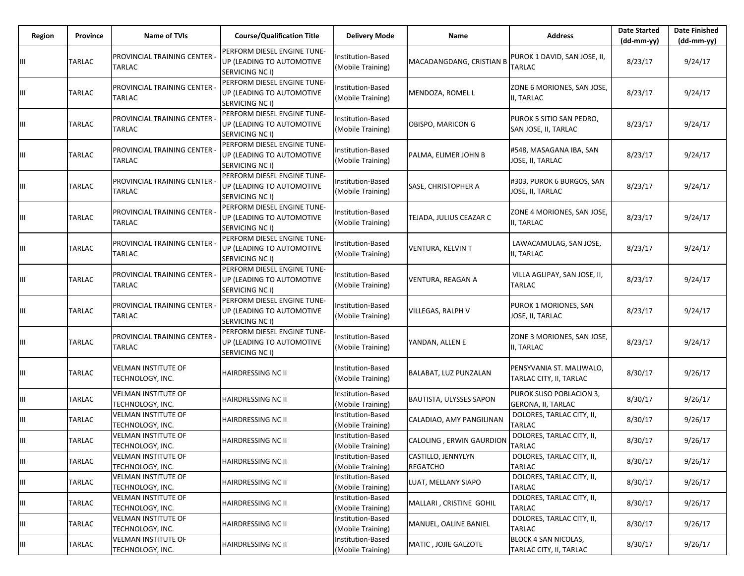| Region | Province      | <b>Name of TVIs</b>                            | <b>Course/Qualification Title</b>                                                  | <b>Delivery Mode</b>                          | Name                                  | <b>Address</b>                                         | <b>Date Started</b><br>$(dd-mm-yy)$ | <b>Date Finished</b><br>(dd-mm-yy) |
|--------|---------------|------------------------------------------------|------------------------------------------------------------------------------------|-----------------------------------------------|---------------------------------------|--------------------------------------------------------|-------------------------------------|------------------------------------|
|        | TARLAC        | PROVINCIAL TRAINING CENTER -<br><b>TARLAC</b>  | PERFORM DIESEL ENGINE TUNE-<br>UP (LEADING TO AUTOMOTIVE<br>SERVICING NC I)        | Institution-Based<br>(Mobile Training)        | MACADANGDANG, CRISTIAN B              | PUROK 1 DAVID, SAN JOSE, II,<br>TARLAC                 | 8/23/17                             | 9/24/17                            |
| Ш      | <b>TARLAC</b> | PROVINCIAL TRAINING CENTER<br><b>TARLAC</b>    | PERFORM DIESEL ENGINE TUNE-<br>UP (LEADING TO AUTOMOTIVE<br>SERVICING NC I)        | Institution-Based<br>(Mobile Training)        | MENDOZA, ROMEL L                      | ZONE 6 MORIONES, SAN JOSE,<br>II, TARLAC               | 8/23/17                             | 9/24/17                            |
| Ш      | TARLAC        | PROVINCIAL TRAINING CENTER<br>TARLAC           | PERFORM DIESEL ENGINE TUNE-<br>UP (LEADING TO AUTOMOTIVE<br><b>SERVICING NC I)</b> | Institution-Based<br>(Mobile Training)        | OBISPO, MARICON G                     | PUROK 5 SITIO SAN PEDRO,<br>SAN JOSE, II, TARLAC       | 8/23/17                             | 9/24/17                            |
| Ш      | TARLAC        | PROVINCIAL TRAINING CENTER<br>TARLAC           | PERFORM DIESEL ENGINE TUNE-<br>UP (LEADING TO AUTOMOTIVE<br>SERVICING NC I)        | Institution-Based<br>(Mobile Training)        | PALMA, ELIMER JOHN B                  | #548, MASAGANA IBA, SAN<br>JOSE, II, TARLAC            | 8/23/17                             | 9/24/17                            |
| Ш      | TARLAC        | PROVINCIAL TRAINING CENTER<br>TARLAC           | PERFORM DIESEL ENGINE TUNE-<br>UP (LEADING TO AUTOMOTIVE<br><b>SERVICING NC I)</b> | Institution-Based<br>(Mobile Training)        | SASE, CHRISTOPHER A                   | #303, PUROK 6 BURGOS, SAN<br>JOSE, II, TARLAC          | 8/23/17                             | 9/24/17                            |
| Ш      | <b>TARLAC</b> | PROVINCIAL TRAINING CENTER<br>TARLAC           | PERFORM DIESEL ENGINE TUNE-<br>UP (LEADING TO AUTOMOTIVE<br><b>SERVICING NC I)</b> | Institution-Based<br>(Mobile Training)        | TEJADA, JULIUS CEAZAR C               | ZONE 4 MORIONES, SAN JOSE,<br>II, TARLAC               | 8/23/17                             | 9/24/17                            |
| Ш      | <b>TARLAC</b> | PROVINCIAL TRAINING CENTER<br>TARLAC           | PERFORM DIESEL ENGINE TUNE-<br>UP (LEADING TO AUTOMOTIVE<br>SERVICING NC I)        | Institution-Based<br>(Mobile Training)        | <b>VENTURA, KELVIN T</b>              | LAWACAMULAG, SAN JOSE,<br>II, TARLAC                   | 8/23/17                             | 9/24/17                            |
| Ш      | <b>TARLAC</b> | PROVINCIAL TRAINING CENTER<br>TARLAC           | PERFORM DIESEL ENGINE TUNE-<br>UP (LEADING TO AUTOMOTIVE<br>SERVICING NC I)        | Institution-Based<br>(Mobile Training)        | VENTURA, REAGAN A                     | VILLA AGLIPAY, SAN JOSE, II,<br>TARLAC                 | 8/23/17                             | 9/24/17                            |
| Ш      | <b>TARLAC</b> | PROVINCIAL TRAINING CENTER<br>TARLAC           | PERFORM DIESEL ENGINE TUNE-<br>UP (LEADING TO AUTOMOTIVE<br><b>SERVICING NC I)</b> | Institution-Based<br>(Mobile Training)        | <b>VILLEGAS, RALPH V</b>              | PUROK 1 MORIONES, SAN<br>JOSE, II, TARLAC              | 8/23/17                             | 9/24/17                            |
| Ш      | <b>TARLAC</b> | PROVINCIAL TRAINING CENTER<br><b>TARLAC</b>    | PERFORM DIESEL ENGINE TUNE-<br>UP (LEADING TO AUTOMOTIVE<br>SERVICING NC I)        | Institution-Based<br>(Mobile Training)        | YANDAN, ALLEN E                       | ZONE 3 MORIONES, SAN JOSE,<br>II, TARLAC               | 8/23/17                             | 9/24/17                            |
| Ш      | TARLAC        | VELMAN INSTITUTE OF<br>TECHNOLOGY, INC.        | HAIRDRESSING NC II                                                                 | Institution-Based<br>(Mobile Training)        | BALABAT, LUZ PUNZALAN                 | PENSYVANIA ST. MALIWALO,<br>TARLAC CITY, II, TARLAC    | 8/30/17                             | 9/26/17                            |
| Ш      | TARLAC        | <b>VELMAN INSTITUTE OF</b><br>TECHNOLOGY, INC. | HAIRDRESSING NC II                                                                 | Institution-Based<br>(Mobile Training)        | <b>BAUTISTA, ULYSSES SAPON</b>        | PUROK SUSO POBLACION 3,<br>GERONA, II, TARLAC          | 8/30/17                             | 9/26/17                            |
| Щ      | TARLAC        | VELMAN INSTITUTE OF<br>TECHNOLOGY, INC.        | HAIRDRESSING NC II                                                                 | Institution-Based<br>(Mobile Training)        | CALADIAO, AMY PANGILINAN              | DOLORES, TARLAC CITY, II,<br><b>TARLAC</b>             | 8/30/17                             | 9/26/17                            |
| Ш      | <b>TARLAC</b> | VELMAN INSTITUTE OF<br>TECHNOLOGY, INC.        | HAIRDRESSING NC II                                                                 | Institution-Based<br>(Mobile Training)        | CALOLING, ERWIN GAURDION              | DOLORES, TARLAC CITY, II,<br><b>TARLAC</b>             | 8/30/17                             | 9/26/17                            |
| Ш      | <b>TARLAC</b> | VELMAN INSTITUTE OF<br>TECHNOLOGY, INC.        | HAIRDRESSING NC II                                                                 | Institution-Based<br>(Mobile Training)        | CASTILLO, JENNYLYN<br><b>REGATCHO</b> | DOLORES, TARLAC CITY, II,<br>TARLAC                    | 8/30/17                             | 9/26/17                            |
| Ш      | TARLAC        | <b>VELMAN INSTITUTE OF</b><br>TECHNOLOGY, INC. | HAIRDRESSING NC II                                                                 | <b>Institution-Based</b><br>(Mobile Training) | LUAT, MELLANY SIAPO                   | DOLORES, TARLAC CITY, II,<br><b>TARLAC</b>             | 8/30/17                             | 9/26/17                            |
| Ш      | TARLAC        | VELMAN INSTITUTE OF<br>TECHNOLOGY, INC.        | HAIRDRESSING NC II                                                                 | Institution-Based<br>(Mobile Training)        | MALLARI, CRISTINE GOHIL               | DOLORES, TARLAC CITY, II,<br><b>TARLAC</b>             | 8/30/17                             | 9/26/17                            |
| Ш      | <b>TARLAC</b> | VELMAN INSTITUTE OF<br>TECHNOLOGY, INC.        | HAIRDRESSING NC II                                                                 | Institution-Based<br>(Mobile Training)        | MANUEL, OALINE BANIEL                 | DOLORES, TARLAC CITY, II,<br><b>TARLAC</b>             | 8/30/17                             | 9/26/17                            |
| Ш      | TARLAC        | VELMAN INSTITUTE OF<br>TECHNOLOGY, INC.        | HAIRDRESSING NC II                                                                 | Institution-Based<br>(Mobile Training)        | MATIC, JOJIE GALZOTE                  | <b>BLOCK 4 SAN NICOLAS,</b><br>TARLAC CITY, II, TARLAC | 8/30/17                             | 9/26/17                            |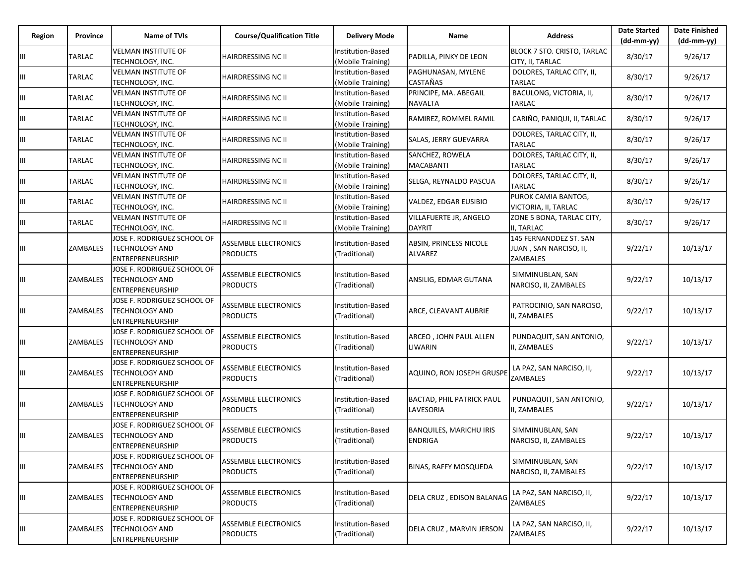| Region | Province      | <b>Name of TVIs</b>                                                             | <b>Course/Qualification Title</b>              | <b>Delivery Mode</b>                          | Name                                             | <b>Address</b>                                               | <b>Date Started</b><br>$(dd-mm-yy)$ | <b>Date Finished</b><br>$(dd-mm-yy)$ |
|--------|---------------|---------------------------------------------------------------------------------|------------------------------------------------|-----------------------------------------------|--------------------------------------------------|--------------------------------------------------------------|-------------------------------------|--------------------------------------|
| Ш      | TARLAC        | <b>VELMAN INSTITUTE OF</b><br>TECHNOLOGY, INC.                                  | <b>HAIRDRESSING NC II</b>                      | Institution-Based<br>(Mobile Training)        | PADILLA, PINKY DE LEON                           | BLOCK 7 STO. CRISTO, TARLAC<br>CITY, II, TARLAC              | 8/30/17                             | 9/26/17                              |
| Ш      | TARLAC        | <b>VELMAN INSTITUTE OF</b><br>TECHNOLOGY, INC.                                  | <b>HAIRDRESSING NC II</b>                      | Institution-Based<br>(Mobile Training)        | PAGHUNASAN, MYLENE<br><b>CASTAÑAS</b>            | DOLORES, TARLAC CITY, II,<br><b>TARLAC</b>                   | 8/30/17                             | 9/26/17                              |
| Ш      | TARLAC        | <b>VELMAN INSTITUTE OF</b><br>TECHNOLOGY, INC.                                  | <b>HAIRDRESSING NC II</b>                      | Institution-Based<br>(Mobile Training)        | PRINCIPE, MA. ABEGAIL<br>NAVALTA                 | BACULONG, VICTORIA, II,<br><b>TARLAC</b>                     | 8/30/17                             | 9/26/17                              |
| Ш      | TARLAC        | <b>VELMAN INSTITUTE OF</b><br>TECHNOLOGY, INC.                                  | <b>HAIRDRESSING NC II</b>                      | Institution-Based<br>(Mobile Training)        | RAMIREZ, ROMMEL RAMIL                            | CARIÑO, PANIQUI, II, TARLAC                                  | 8/30/17                             | 9/26/17                              |
| Ш      | TARLAC        | <b>VELMAN INSTITUTE OF</b><br>TECHNOLOGY, INC.                                  | <b>HAIRDRESSING NC II</b>                      | Institution-Based<br>(Mobile Training)        | SALAS, JERRY GUEVARRA                            | DOLORES, TARLAC CITY, II,<br><b>TARLAC</b>                   | 8/30/17                             | 9/26/17                              |
| Ш      | TARLAC        | VELMAN INSTITUTE OF<br>TECHNOLOGY, INC.                                         | <b>HAIRDRESSING NC II</b>                      | Institution-Based<br>(Mobile Training)        | SANCHEZ, ROWELA<br><b>MACABANTI</b>              | DOLORES, TARLAC CITY, II,<br><b>TARLAC</b>                   | 8/30/17                             | 9/26/17                              |
| Ш      | <b>TARLAC</b> | <b>VELMAN INSTITUTE OF</b><br>TECHNOLOGY, INC.                                  | <b>HAIRDRESSING NC II</b>                      | Institution-Based<br>(Mobile Training)        | SELGA, REYNALDO PASCUA                           | DOLORES, TARLAC CITY, II,<br><b>TARLAC</b>                   | 8/30/17                             | 9/26/17                              |
| Ш      | TARLAC        | <b>VELMAN INSTITUTE OF</b><br>TECHNOLOGY, INC.                                  | <b>HAIRDRESSING NC II</b>                      | <b>Institution-Based</b><br>(Mobile Training) | VALDEZ, EDGAR EUSIBIO                            | PUROK CAMIA BANTOG,<br>VICTORIA, II, TARLAC                  | 8/30/17                             | 9/26/17                              |
| Ш      | TARLAC        | <b>VELMAN INSTITUTE OF</b><br>TECHNOLOGY, INC.                                  | <b>HAIRDRESSING NC II</b>                      | Institution-Based<br>(Mobile Training)        | <b>VILLAFUERTE JR. ANGELO</b><br><b>DAYRIT</b>   | ZONE 5 BONA, TARLAC CITY,<br>II, TARLAC                      | 8/30/17                             | 9/26/17                              |
| Ш      | ZAMBALES      | JOSE F. RODRIGUEZ SCHOOL OF<br><b>TECHNOLOGY AND</b><br>ENTREPRENEURSHIP        | <b>ASSEMBLE ELECTRONICS</b><br><b>PRODUCTS</b> | Institution-Based<br>(Traditional)            | ABSIN, PRINCESS NICOLE<br><b>ALVAREZ</b>         | 145 FERNANDDEZ ST. SAN<br>JUAN, SAN NARCISO, II,<br>ZAMBALES | 9/22/17                             | 10/13/17                             |
| Ш      | ZAMBALES      | JOSE F. RODRIGUEZ SCHOOL OF<br><b>TECHNOLOGY AND</b><br>ENTREPRENEURSHIP        | <b>ASSEMBLE ELECTRONICS</b><br><b>PRODUCTS</b> | Institution-Based<br>(Traditional)            | ANSILIG, EDMAR GUTANA                            | SIMMINUBLAN, SAN<br>NARCISO, II, ZAMBALES                    | 9/22/17                             | 10/13/17                             |
| Ш      | ZAMBALES      | JOSE F. RODRIGUEZ SCHOOL OF<br><b>TECHNOLOGY AND</b><br><b>ENTREPRENEURSHIP</b> | <b>ASSEMBLE ELECTRONICS</b><br><b>PRODUCTS</b> | Institution-Based<br>(Traditional)            | ARCE, CLEAVANT AUBRIE                            | PATROCINIO, SAN NARCISO,<br>I, ZAMBALES                      | 9/22/17                             | 10/13/17                             |
| Ш      | ZAMBALES      | JOSE F. RODRIGUEZ SCHOOL OF<br><b>TECHNOLOGY AND</b><br>ENTREPRENEURSHIP        | <b>ASSEMBLE ELECTRONICS</b><br><b>PRODUCTS</b> | Institution-Based<br>(Traditional)            | ARCEO, JOHN PAUL ALLEN<br>LIWARIN                | PUNDAQUIT, SAN ANTONIO,<br>II, ZAMBALES                      | 9/22/17                             | 10/13/17                             |
| Ш      | ZAMBALES      | JOSE F. RODRIGUEZ SCHOOL OF<br><b>TECHNOLOGY AND</b><br>ENTREPRENEURSHIP        | <b>ASSEMBLE ELECTRONICS</b><br><b>PRODUCTS</b> | Institution-Based<br>(Traditional)            | AQUINO, RON JOSEPH GRUSPE                        | LA PAZ, SAN NARCISO, II,<br>ZAMBALES                         | 9/22/17                             | 10/13/17                             |
| Ш      | ZAMBALES      | JOSE F. RODRIGUEZ SCHOOL OF<br><b>TECHNOLOGY AND</b><br>ENTREPRENEURSHIP        | <b>ASSEMBLE ELECTRONICS</b><br><b>PRODUCTS</b> | Institution-Based<br>(Traditional)            | <b>BACTAD, PHIL PATRICK PAUL</b><br>LAVESORIA    | PUNDAQUIT, SAN ANTONIO,<br>I, ZAMBALES                       | 9/22/17                             | 10/13/17                             |
| Ш      | ZAMBALES      | JOSE F. RODRIGUEZ SCHOOL OF<br><b>TECHNOLOGY AND</b><br>ENTREPRENEURSHIP        | <b>ASSEMBLE ELECTRONICS</b><br><b>PRODUCTS</b> | Institution-Based<br>(Traditional)            | <b>BANQUILES, MARICHU IRIS</b><br><b>ENDRIGA</b> | SIMMINUBLAN, SAN<br>NARCISO, II, ZAMBALES                    | 9/22/17                             | 10/13/17                             |
| Ш      | ZAMBALES      | JOSE F. RODRIGUEZ SCHOOL OF<br><b>TECHNOLOGY AND</b><br><b>ENTREPRENEURSHIP</b> | <b>ASSEMBLE ELECTRONICS</b><br><b>PRODUCTS</b> | Institution-Based<br>(Traditional)            | <b>BINAS, RAFFY MOSQUEDA</b>                     | SIMMINUBLAN, SAN<br>NARCISO, II, ZAMBALES                    | 9/22/17                             | 10/13/17                             |
| Ш      | ZAMBALES      | JOSE F. RODRIGUEZ SCHOOL OF<br><b>TECHNOLOGY AND</b><br><b>ENTREPRENEURSHIP</b> | <b>ASSEMBLE ELECTRONICS</b><br><b>PRODUCTS</b> | Institution-Based<br>(Traditional)            | DELA CRUZ, EDISON BALANAG                        | LA PAZ, SAN NARCISO, II,<br>ZAMBALES                         | 9/22/17                             | 10/13/17                             |
| Ш      | ZAMBALES      | JOSE F. RODRIGUEZ SCHOOL OF<br><b>TECHNOLOGY AND</b><br><b>ENTREPRENEURSHIP</b> | <b>ASSEMBLE ELECTRONICS</b><br><b>PRODUCTS</b> | Institution-Based<br>(Traditional)            | DELA CRUZ, MARVIN JERSON                         | LA PAZ, SAN NARCISO, II,<br>ZAMBALES                         | 9/22/17                             | 10/13/17                             |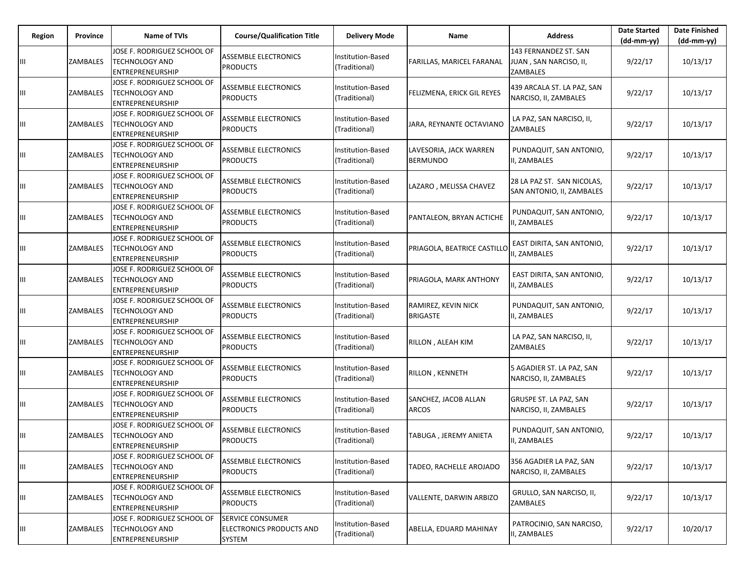| Region | Province        | <b>Name of TVIs</b>                                                             | <b>Course/Qualification Title</b>                      | <b>Delivery Mode</b>               | Name                                      | <b>Address</b>                                              | <b>Date Started</b><br>$(dd-mm-yy)$ | <b>Date Finished</b><br>$(dd-mm-yy)$ |
|--------|-----------------|---------------------------------------------------------------------------------|--------------------------------------------------------|------------------------------------|-------------------------------------------|-------------------------------------------------------------|-------------------------------------|--------------------------------------|
|        | <b>ZAMBALES</b> | JOSE F. RODRIGUEZ SCHOOL OF<br>TECHNOLOGY AND<br>ENTREPRENEURSHIP               | ASSEMBLE ELECTRONICS<br><b>PRODUCTS</b>                | Institution-Based<br>(Traditional) | FARILLAS, MARICEL FARANAL                 | 143 FERNANDEZ ST. SAN<br>JUAN, SAN NARCISO, II,<br>ZAMBALES | 9/22/17                             | 10/13/17                             |
| Щ      | ZAMBALES        | JOSE F. RODRIGUEZ SCHOOL OF<br><b>TECHNOLOGY AND</b><br>ENTREPRENEURSHIP        | ASSEMBLE ELECTRONICS<br><b>PRODUCTS</b>                | Institution-Based<br>(Traditional) | FELIZMENA, ERICK GIL REYES                | 439 ARCALA ST. LA PAZ, SAN<br>NARCISO, II, ZAMBALES         | 9/22/17                             | 10/13/17                             |
| Ш      | ZAMBALES        | JOSE F. RODRIGUEZ SCHOOL OF<br><b>TECHNOLOGY AND</b><br>ENTREPRENEURSHIP        | ASSEMBLE ELECTRONICS<br><b>PRODUCTS</b>                | Institution-Based<br>(Traditional) | JARA, REYNANTE OCTAVIANO                  | LA PAZ, SAN NARCISO, II,<br><b>ZAMBALES</b>                 | 9/22/17                             | 10/13/17                             |
| Ш      | <b>ZAMBALES</b> | JOSE F. RODRIGUEZ SCHOOL OF<br><b>TECHNOLOGY AND</b><br>ENTREPRENEURSHIP        | <b>ASSEMBLE ELECTRONICS</b><br><b>PRODUCTS</b>         | Institution-Based<br>(Traditional) | LAVESORIA, JACK WARREN<br><b>BERMUNDO</b> | PUNDAQUIT, SAN ANTONIO,<br>II, ZAMBALES                     | 9/22/17                             | 10/13/17                             |
| Ш      | <b>ZAMBALES</b> | JOSE F. RODRIGUEZ SCHOOL OF<br><b>TECHNOLOGY AND</b><br>ENTREPRENEURSHIP        | <b>ASSEMBLE ELECTRONICS</b><br><b>PRODUCTS</b>         | Institution-Based<br>(Traditional) | LAZARO, MELISSA CHAVEZ                    | 28 LA PAZ ST. SAN NICOLAS,<br>SAN ANTONIO, II, ZAMBALES     | 9/22/17                             | 10/13/17                             |
| Щ      | ZAMBALES        | JOSE F. RODRIGUEZ SCHOOL OF<br><b>TECHNOLOGY AND</b><br>ENTREPRENEURSHIP        | ASSEMBLE ELECTRONICS<br><b>PRODUCTS</b>                | Institution-Based<br>(Traditional) | PANTALEON, BRYAN ACTICHE                  | PUNDAQUIT, SAN ANTONIO,<br>II, ZAMBALES                     | 9/22/17                             | 10/13/17                             |
| Ш      | <b>ZAMBALES</b> | JOSE F. RODRIGUEZ SCHOOL OF<br><b>TECHNOLOGY AND</b><br>ENTREPRENEURSHIP        | ASSEMBLE ELECTRONICS<br><b>PRODUCTS</b>                | Institution-Based<br>(Traditional) | PRIAGOLA, BEATRICE CASTILLC               | EAST DIRITA, SAN ANTONIO,<br>II, ZAMBALES                   | 9/22/17                             | 10/13/17                             |
| Ш      | <b>ZAMBALES</b> | JOSE F. RODRIGUEZ SCHOOL OF<br><b>TECHNOLOGY AND</b><br><b>ENTREPRENEURSHIP</b> | <b>ASSEMBLE ELECTRONICS</b><br><b>PRODUCTS</b>         | Institution-Based<br>(Traditional) | PRIAGOLA, MARK ANTHONY                    | EAST DIRITA, SAN ANTONIO,<br>II, ZAMBALES                   | 9/22/17                             | 10/13/17                             |
| Ш      | ZAMBALES        | JOSE F. RODRIGUEZ SCHOOL OF<br><b>TECHNOLOGY AND</b><br>ENTREPRENEURSHIP        | ASSEMBLE ELECTRONICS<br><b>PRODUCTS</b>                | Institution-Based<br>(Traditional) | RAMIREZ, KEVIN NICK<br><b>BRIGASTE</b>    | PUNDAQUIT, SAN ANTONIO,<br>II, ZAMBALES                     | 9/22/17                             | 10/13/17                             |
| Ш      | ZAMBALES        | JOSE F. RODRIGUEZ SCHOOL OF<br>TECHNOLOGY AND<br>ENTREPRENEURSHIP               | ASSEMBLE ELECTRONICS<br><b>PRODUCTS</b>                | Institution-Based<br>(Traditional) | RILLON, ALEAH KIM                         | LA PAZ, SAN NARCISO, II,<br>ZAMBALES                        | 9/22/17                             | 10/13/17                             |
| Щ      | ZAMBALES        | JOSE F. RODRIGUEZ SCHOOL OF<br><b>TECHNOLOGY AND</b><br>ENTREPRENEURSHIP        | ASSEMBLE ELECTRONICS<br><b>PRODUCTS</b>                | Institution-Based<br>(Traditional) | RILLON, KENNETH                           | 5 AGADIER ST. LA PAZ, SAN<br>NARCISO, II, ZAMBALES          | 9/22/17                             | 10/13/17                             |
| Ш      | ZAMBALES        | JOSE F. RODRIGUEZ SCHOOL OF<br>TECHNOLOGY AND<br>ENTREPRENEURSHIP               | ASSEMBLE ELECTRONICS<br><b>PRODUCTS</b>                | Institution-Based<br>(Traditional) | SANCHEZ, JACOB ALLAN<br><b>ARCOS</b>      | GRUSPE ST. LA PAZ, SAN<br>NARCISO, II, ZAMBALES             | 9/22/17                             | 10/13/17                             |
| Ш      | ZAMBALES        | JOSE F. RODRIGUEZ SCHOOL OF<br><b>TECHNOLOGY AND</b><br>ENTREPRENEURSHIP        | ASSEMBLE ELECTRONICS<br><b>PRODUCTS</b>                | Institution-Based<br>(Traditional) | TABUGA, JEREMY ANIETA                     | PUNDAQUIT, SAN ANTONIO,<br>II, ZAMBALES                     | 9/22/17                             | 10/13/17                             |
| Ш      | <b>ZAMBALES</b> | JOSE F. RODRIGUEZ SCHOOL OF<br><b>TECHNOLOGY AND</b><br>ENTREPRENEURSHIP        | <b>ASSEMBLE ELECTRONICS</b><br><b>PRODUCTS</b>         | Institution-Based<br>(Traditional) | TADEO, RACHELLE AROJADO                   | 356 AGADIER LA PAZ, SAN<br>NARCISO, II, ZAMBALES            | 9/22/17                             | 10/13/17                             |
| Ш      | <b>ZAMBALES</b> | JOSE F. RODRIGUEZ SCHOOL OF<br><b>TECHNOLOGY AND</b><br>ENTREPRENEURSHIP        | <b>ASSEMBLE ELECTRONICS</b><br><b>PRODUCTS</b>         | Institution-Based<br>(Traditional) | VALLENTE, DARWIN ARBIZO                   | GRULLO, SAN NARCISO, II,<br>ZAMBALES                        | 9/22/17                             | 10/13/17                             |
| Щ      | <b>ZAMBALES</b> | JOSE F. RODRIGUEZ SCHOOL OF<br><b>TECHNOLOGY AND</b><br>ENTREPRENEURSHIP        | SERVICE CONSUMER<br>ELECTRONICS PRODUCTS AND<br>SYSTEM | Institution-Based<br>(Traditional) | <b>ABELLA, EDUARD MAHINAY</b>             | PATROCINIO, SAN NARCISO,<br>II, ZAMBALES                    | 9/22/17                             | 10/20/17                             |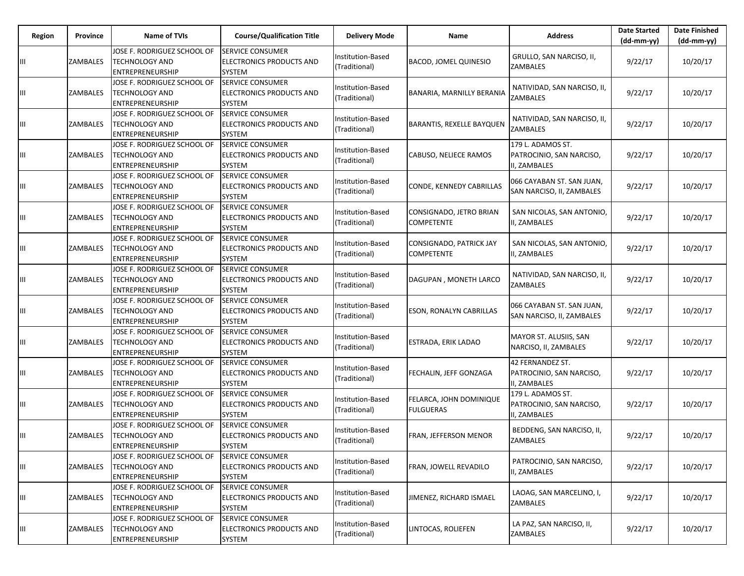| Region | <b>Province</b> | <b>Name of TVIs</b>                                                             | <b>Course/Qualification Title</b>                                           | <b>Delivery Mode</b>               | Name                                                | <b>Address</b>                                                | <b>Date Started</b><br>$(dd-mm-yy)$ | <b>Date Finished</b><br>$(dd-mm-vv)$ |
|--------|-----------------|---------------------------------------------------------------------------------|-----------------------------------------------------------------------------|------------------------------------|-----------------------------------------------------|---------------------------------------------------------------|-------------------------------------|--------------------------------------|
| Ш      | ZAMBALES        | JOSE F. RODRIGUEZ SCHOOL OF<br><b>TECHNOLOGY AND</b><br><b>ENTREPRENEURSHIP</b> | <b>SERVICE CONSUMER</b><br>ELECTRONICS PRODUCTS AND<br>SYSTEM               | Institution-Based<br>(Traditional) | <b>BACOD, JOMEL QUINESIO</b>                        | GRULLO, SAN NARCISO, II,<br>ZAMBALES                          | 9/22/17                             | 10/20/17                             |
| Ш      | ZAMBALES        | JOSE F. RODRIGUEZ SCHOOL OF<br>TECHNOLOGY AND<br>ENTREPRENEURSHIP               | <b>SERVICE CONSUMER</b><br>ELECTRONICS PRODUCTS AND<br>SYSTEM               | Institution-Based<br>(Traditional) | BANARIA, MARNILLY BERANIA                           | NATIVIDAD, SAN NARCISO, II,<br>ZAMBALES                       | 9/22/17                             | 10/20/17                             |
| Ш      | ZAMBALES        | JOSE F. RODRIGUEZ SCHOOL OF<br><b>TECHNOLOGY AND</b><br><b>ENTREPRENEURSHIP</b> | <b>SERVICE CONSUMER</b><br>ELECTRONICS PRODUCTS AND<br>SYSTEM               | Institution-Based<br>(Traditional) | <b>BARANTIS, REXELLE BAYQUEN</b>                    | NATIVIDAD, SAN NARCISO, II,<br><b>ZAMBALES</b>                | 9/22/17                             | 10/20/17                             |
| Ш      | ZAMBALES        | JOSE F. RODRIGUEZ SCHOOL OF<br><b>TECHNOLOGY AND</b><br>ENTREPRENEURSHIP        | <b>SERVICE CONSUMER</b><br>ELECTRONICS PRODUCTS AND<br>SYSTEM               | Institution-Based<br>(Traditional) | CABUSO, NELIECE RAMOS                               | 179 L. ADAMOS ST.<br>PATROCINIO, SAN NARCISO,<br>II, ZAMBALES | 9/22/17                             | 10/20/17                             |
| Ш      | ZAMBALES        | JOSE F. RODRIGUEZ SCHOOL OF<br><b>TECHNOLOGY AND</b><br>ENTREPRENEURSHIP        | <b>SERVICE CONSUMER</b><br>ELECTRONICS PRODUCTS AND<br><b>SYSTEM</b>        | Institution-Based<br>(Traditional) | CONDE, KENNEDY CABRILLAS                            | 066 CAYABAN ST. SAN JUAN,<br>SAN NARCISO, II, ZAMBALES        | 9/22/17                             | 10/20/17                             |
| Ш      | ZAMBALES        | JOSE F. RODRIGUEZ SCHOOL OF<br>TECHNOLOGY AND<br><b>ENTREPRENEURSHIP</b>        | <b>SERVICE CONSUMER</b><br><b>ELECTRONICS PRODUCTS AND</b><br>SYSTEM        | Institution-Based<br>(Traditional) | CONSIGNADO, JETRO BRIAN<br><b>COMPETENTE</b>        | SAN NICOLAS, SAN ANTONIO,<br>II, ZAMBALES                     | 9/22/17                             | 10/20/17                             |
| Ш      | ZAMBALES        | JOSE F. RODRIGUEZ SCHOOL OF<br><b>TECHNOLOGY AND</b><br><b>ENTREPRENEURSHIP</b> | <b>SERVICE CONSUMER</b><br><b>ELECTRONICS PRODUCTS AND</b><br><b>SYSTEM</b> | Institution-Based<br>(Traditional) | <b>CONSIGNADO, PATRICK JAY</b><br><b>COMPETENTE</b> | SAN NICOLAS, SAN ANTONIO,<br>II, ZAMBALES                     | 9/22/17                             | 10/20/17                             |
| Ш      | ZAMBALES        | JOSE F. RODRIGUEZ SCHOOL OF<br><b>TECHNOLOGY AND</b><br>ENTREPRENEURSHIP        | <b>SERVICE CONSUMER</b><br>ELECTRONICS PRODUCTS AND<br>SYSTEM               | Institution-Based<br>(Traditional) | DAGUPAN, MONETH LARCO                               | NATIVIDAD, SAN NARCISO, II,<br>ZAMBALES                       | 9/22/17                             | 10/20/17                             |
| Ш      | ZAMBALES        | JOSE F. RODRIGUEZ SCHOOL OF<br><b>TECHNOLOGY AND</b><br><b>ENTREPRENEURSHIP</b> | <b>SERVICE CONSUMER</b><br>ELECTRONICS PRODUCTS AND<br><b>SYSTEM</b>        | Institution-Based<br>(Traditional) | <b>ESON, RONALYN CABRILLAS</b>                      | 066 CAYABAN ST. SAN JUAN,<br>SAN NARCISO, II, ZAMBALES        | 9/22/17                             | 10/20/17                             |
| Ш      | ZAMBALES        | JOSE F. RODRIGUEZ SCHOOL OF<br>TECHNOLOGY AND<br>ENTREPRENEURSHIP               | <b>SERVICE CONSUMER</b><br>ELECTRONICS PRODUCTS AND<br>SYSTEM               | Institution-Based<br>(Traditional) | <b>ESTRADA, ERIK LADAO</b>                          | MAYOR ST. ALUSIIS, SAN<br>NARCISO, II, ZAMBALES               | 9/22/17                             | 10/20/17                             |
| Ш      | ZAMBALES        | JOSE F. RODRIGUEZ SCHOOL OF<br><b>TECHNOLOGY AND</b><br>ENTREPRENEURSHIP        | <b>SERVICE CONSUMER</b><br>ELECTRONICS PRODUCTS AND<br><b>SYSTEM</b>        | Institution-Based<br>(Traditional) | <b>FECHALIN, JEFF GONZAGA</b>                       | 42 FERNANDEZ ST.<br>PATROCINIO, SAN NARCISO,<br>II, ZAMBALES  | 9/22/17                             | 10/20/17                             |
| Ш      | ZAMBALES        | JOSE F. RODRIGUEZ SCHOOL OF<br>TECHNOLOGY AND<br>ENTREPRENEURSHIP               | <b>SERVICE CONSUMER</b><br>ELECTRONICS PRODUCTS AND<br>SYSTEM               | Institution-Based<br>(Traditional) | FELARCA, JOHN DOMINIQUE<br><b>FULGUERAS</b>         | 179 L. ADAMOS ST.<br>PATROCINIO, SAN NARCISO,<br>II, ZAMBALES | 9/22/17                             | 10/20/17                             |
| Ш      | ZAMBALES        | JOSE F. RODRIGUEZ SCHOOL OF<br><b>TECHNOLOGY AND</b><br>ENTREPRENEURSHIP        | <b>SERVICE CONSUMER</b><br><b>ELECTRONICS PRODUCTS AND</b><br>SYSTEM        | Institution-Based<br>(Traditional) | FRAN, JEFFERSON MENOR                               | BEDDENG, SAN NARCISO, II,<br>ZAMBALES                         | 9/22/17                             | 10/20/17                             |
| Ш      | ZAMBALES        | JOSE F. RODRIGUEZ SCHOOL OF<br>TECHNOLOGY AND<br>ENTREPRENEURSHIP               | <b>SERVICE CONSUMER</b><br>ELECTRONICS PRODUCTS AND<br>SYSTEM               | Institution-Based<br>(Traditional) | <b>FRAN, JOWELL REVADILO</b>                        | PATROCINIO, SAN NARCISO,<br>II, ZAMBALES                      | 9/22/17                             | 10/20/17                             |
| Ш      | ZAMBALES        | JOSE F. RODRIGUEZ SCHOOL OF<br><b>TECHNOLOGY AND</b><br>ENTREPRENEURSHIP        | <b>SERVICE CONSUMER</b><br>ELECTRONICS PRODUCTS AND<br>SYSTEM               | Institution-Based<br>(Traditional) | JIMENEZ, RICHARD ISMAEL                             | LAOAG, SAN MARCELINO, I,<br>ZAMBALES                          | 9/22/17                             | 10/20/17                             |
| Ш      | ZAMBALES        | JOSE F. RODRIGUEZ SCHOOL OF<br>TECHNOLOGY AND<br><b>ENTREPRENEURSHIP</b>        | SERVICE CONSUMER<br>ELECTRONICS PRODUCTS AND<br><b>SYSTEM</b>               | Institution-Based<br>(Traditional) | LINTOCAS, ROLIEFEN                                  | LA PAZ, SAN NARCISO, II,<br>ZAMBALES                          | 9/22/17                             | 10/20/17                             |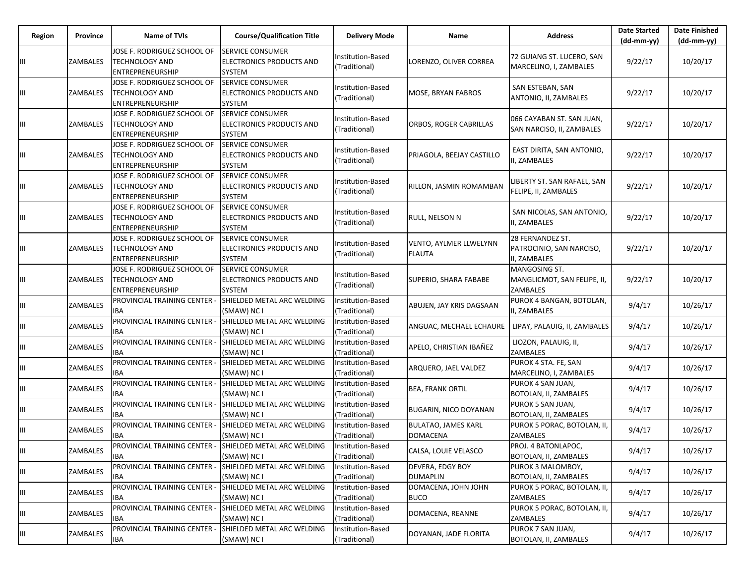| Region | <b>Province</b> | Name of TVIs                                                                    | <b>Course/Qualification Title</b>                                     | <b>Delivery Mode</b>                      | Name                                           | <b>Address</b>                                                  | <b>Date Started</b><br>$(dd-mm-yy)$ | <b>Date Finished</b><br>(dd-mm-yy) |
|--------|-----------------|---------------------------------------------------------------------------------|-----------------------------------------------------------------------|-------------------------------------------|------------------------------------------------|-----------------------------------------------------------------|-------------------------------------|------------------------------------|
| Ш      | ZAMBALES        | JOSE F. RODRIGUEZ SCHOOL OF<br><b>TECHNOLOGY AND</b><br>ENTREPRENEURSHIP        | <b>ISERVICE CONSUMER</b><br>ELECTRONICS PRODUCTS AND<br><b>SYSTEM</b> | Institution-Based<br>(Traditional)        | LORENZO, OLIVER CORREA                         | 72 GUIANG ST. LUCERO, SAN<br>MARCELINO, I, ZAMBALES             | 9/22/17                             | 10/20/17                           |
| Ш      | ZAMBALES        | JOSE F. RODRIGUEZ SCHOOL OF<br><b>TECHNOLOGY AND</b><br>ENTREPRENEURSHIP        | <b>SERVICE CONSUMER</b><br>ELECTRONICS PRODUCTS AND<br>SYSTEM         | Institution-Based<br>(Traditional)        | MOSE, BRYAN FABROS                             | SAN ESTEBAN, SAN<br>ANTONIO, II, ZAMBALES                       | 9/22/17                             | 10/20/17                           |
| Ш      | ZAMBALES        | JOSE F. RODRIGUEZ SCHOOL OF<br><b>TECHNOLOGY AND</b><br>ENTREPRENEURSHIP        | <b>SERVICE CONSUMER</b><br><b>ELECTRONICS PRODUCTS AND</b><br>SYSTEM  | Institution-Based<br>(Traditional)        | ORBOS, ROGER CABRILLAS                         | 066 CAYABAN ST. SAN JUAN,<br>SAN NARCISO, II, ZAMBALES          | 9/22/17                             | 10/20/17                           |
| Ш      | ZAMBALES        | JOSE F. RODRIGUEZ SCHOOL OF<br><b>TECHNOLOGY AND</b><br>ENTREPRENEURSHIP        | <b>SERVICE CONSUMER</b><br>ELECTRONICS PRODUCTS AND<br>SYSTEM         | Institution-Based<br>(Traditional)        | PRIAGOLA, BEEJAY CASTILLO                      | EAST DIRITA, SAN ANTONIO,<br>I, ZAMBALES                        | 9/22/17                             | 10/20/17                           |
| Ш      | ZAMBALES        | JOSE F. RODRIGUEZ SCHOOL OF<br><b>TECHNOLOGY AND</b><br>ENTREPRENEURSHIP        | <b>SERVICE CONSUMER</b><br>ELECTRONICS PRODUCTS AND<br>SYSTEM         | Institution-Based<br>(Traditional)        | RILLON, JASMIN ROMAMBAN                        | IBERTY ST. SAN RAFAEL, SAN<br>FELIPE, II, ZAMBALES              | 9/22/17                             | 10/20/17                           |
| Ш      | ZAMBALES        | JOSE F. RODRIGUEZ SCHOOL OF<br>TECHNOLOGY AND<br>ENTREPRENEURSHIP               | <b>SERVICE CONSUMER</b><br>ELECTRONICS PRODUCTS AND<br>SYSTEM         | Institution-Based<br>(Traditional)        | RULL, NELSON N                                 | SAN NICOLAS, SAN ANTONIO,<br>I, ZAMBALES                        | 9/22/17                             | 10/20/17                           |
| Ш      | ZAMBALES        | JOSE F. RODRIGUEZ SCHOOL OF<br><b>TECHNOLOGY AND</b><br><b>ENTREPRENEURSHIP</b> | <b>SERVICE CONSUMER</b><br>ELECTRONICS PRODUCTS AND<br><b>SYSTEM</b>  | Institution-Based<br>(Traditional)        | <b>VENTO, AYLMER LLWELYNN</b><br><b>FLAUTA</b> | 28 FERNANDEZ ST.<br>PATROCINIO, SAN NARCISO,<br>II, ZAMBALES    | 9/22/17                             | 10/20/17                           |
| Ш      | ZAMBALES        | JOSE F. RODRIGUEZ SCHOOL OF<br><b>TECHNOLOGY AND</b><br>ENTREPRENEURSHIP        | <b>SERVICE CONSUMER</b><br>ELECTRONICS PRODUCTS AND<br>SYSTEM         | Institution-Based<br>(Traditional)        | SUPERIO, SHARA FABABE                          | MANGOSING ST.<br>MANGLICMOT, SAN FELIPE, II,<br><b>ZAMBALES</b> | 9/22/17                             | 10/20/17                           |
| Ш      | ZAMBALES        | PROVINCIAL TRAINING CENTER -<br><b>IBA</b>                                      | SHIELDED METAL ARC WELDING<br>(SMAW) NC I                             | Institution-Based<br>(Traditional)        | ABUJEN, JAY KRIS DAGSAAN                       | PUROK 4 BANGAN, BOTOLAN,<br>I, ZAMBALES                         | 9/4/17                              | 10/26/17                           |
| Ш      | ZAMBALES        | PROVINCIAL TRAINING CENTER -<br><b>IBA</b>                                      | SHIELDED METAL ARC WELDING<br>(SMAW) NC I                             | Institution-Based<br>(Traditional)        | ANGUAC, MECHAEL ECHAURE                        | LIPAY, PALAUIG, II, ZAMBALES                                    | 9/4/17                              | 10/26/17                           |
| Ш      | ZAMBALES        | PROVINCIAL TRAINING CENTER -<br><b>IBA</b>                                      | SHIELDED METAL ARC WELDING<br>(SMAW) NC I                             | Institution-Based<br>(Traditional)        | APELO, CHRISTIAN IBAÑEZ                        | LIOZON, PALAUIG, II,<br>ZAMBALES                                | 9/4/17                              | 10/26/17                           |
| Ш      | ZAMBALES        | PROVINCIAL TRAINING CENTER -<br><b>IBA</b>                                      | SHIELDED METAL ARC WELDING<br>(SMAW) NC I                             | Institution-Based<br>(Traditional)        | ARQUERO, JAEL VALDEZ                           | PUROK 4 STA. FE, SAN<br>MARCELINO, I, ZAMBALES                  | 9/4/17                              | 10/26/17                           |
| Ш      | ZAMBALES        | PROVINCIAL TRAINING CENTER -<br><b>IBA</b>                                      | SHIELDED METAL ARC WELDING<br>(SMAW) NC I                             | Institution-Based<br>(Traditional)        | <b>BEA, FRANK ORTIL</b>                        | PUROK 4 SAN JUAN,<br>BOTOLAN, II, ZAMBALES                      | 9/4/17                              | 10/26/17                           |
| Ш      | <b>ZAMBALES</b> | PROVINCIAL TRAINING CENTER -<br><b>IBA</b>                                      | SHIELDED METAL ARC WELDING<br>(SMAW) NC I                             | Institution-Based<br>(Traditional)        | <b>BUGARIN, NICO DOYANAN</b>                   | PUROK 5 SAN JUAN,<br>BOTOLAN, II, ZAMBALES                      | 9/4/17                              | 10/26/17                           |
| Ш      | ZAMBALES        | PROVINCIAL TRAINING CENTER -<br>IBA                                             | SHIELDED METAL ARC WELDING<br>(SMAW) NC I                             | Institution-Based<br>(Traditional)        | <b>BULATAO, JAMES KARL</b><br><b>DOMACENA</b>  | PUROK 5 PORAC, BOTOLAN, II,<br><b>ZAMBALES</b>                  | 9/4/17                              | 10/26/17                           |
| Ш      | ZAMBALES        | PROVINCIAL TRAINING CENTER -<br><b>IBA</b>                                      | SHIELDED METAL ARC WELDING<br>(SMAW) NC I                             | Institution-Based<br>(Traditional)        | CALSA, LOUIE VELASCO                           | PROJ. 4 BATONLAPOC,<br><b>BOTOLAN, II, ZAMBALES</b>             | 9/4/17                              | 10/26/17                           |
| Ш.     | ZAMBALES        | PROVINCIAL TRAINING CENTER -<br><b>IBA</b>                                      | SHIELDED METAL ARC WELDING<br>(SMAW) NC I                             | Institution-Based<br>(Traditional)        | <b>DEVERA, EDGY BOY</b><br><b>DUMAPLIN</b>     | PUROK 3 MALOMBOY,<br>BOTOLAN, II, ZAMBALES                      | 9/4/17                              | 10/26/17                           |
| Ш.     | ZAMBALES        | PROVINCIAL TRAINING CENTER -<br><b>IBA</b>                                      | SHIELDED METAL ARC WELDING<br>(SMAW) NC I                             | Institution-Based<br>(Traditional)        | DOMACENA, JOHN JOHN<br><b>BUCO</b>             | PUROK 5 PORAC, BOTOLAN, II,<br>ZAMBALES                         | 9/4/17                              | 10/26/17                           |
| Ш      | ZAMBALES        | PROVINCIAL TRAINING CENTER -<br><b>IBA</b>                                      | SHIELDED METAL ARC WELDING<br>(SMAW) NC I                             | <b>Institution-Based</b><br>(Traditional) | DOMACENA, REANNE                               | PUROK 5 PORAC, BOTOLAN, II,<br>ZAMBALES                         | 9/4/17                              | 10/26/17                           |
| Ш      | ZAMBALES        | PROVINCIAL TRAINING CENTER -<br><b>IBA</b>                                      | SHIELDED METAL ARC WELDING<br>(SMAW) NC I                             | Institution-Based<br>(Traditional)        | DOYANAN, JADE FLORITA                          | PUROK 7 SAN JUAN,<br><b>BOTOLAN, II, ZAMBALES</b>               | 9/4/17                              | 10/26/17                           |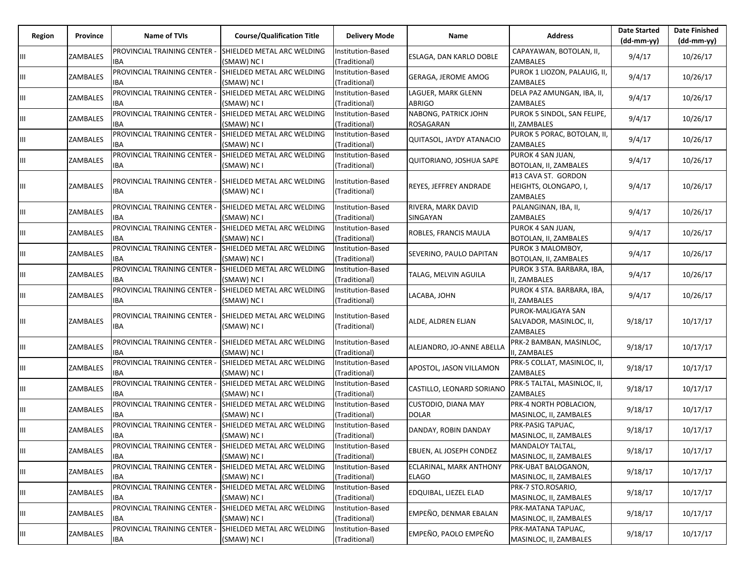| Region | Province        | Name of TVIs                               | <b>Course/Qualification Title</b>         | <b>Delivery Mode</b>               | Name                                       | <b>Address</b>                                            | <b>Date Started</b><br>$(dd-mm-yy)$ | <b>Date Finished</b><br>$(dd-mm-yy)$ |
|--------|-----------------|--------------------------------------------|-------------------------------------------|------------------------------------|--------------------------------------------|-----------------------------------------------------------|-------------------------------------|--------------------------------------|
| Ш      | ZAMBALES        | PROVINCIAL TRAINING CENTER -<br><b>IBA</b> | SHIELDED METAL ARC WELDING<br>(SMAW) NC I | Institution-Based<br>(Traditional) | ESLAGA, DAN KARLO DOBLE                    | CAPAYAWAN, BOTOLAN, II,<br><b>ZAMBALES</b>                | 9/4/17                              | 10/26/17                             |
| Ш      | ZAMBALES        | PROVINCIAL TRAINING CENTER -<br><b>IBA</b> | SHIELDED METAL ARC WELDING<br>(SMAW) NC I | Institution-Based<br>(Traditional) | GERAGA, JEROME AMOG                        | PUROK 1 LIOZON, PALAUIG, II,<br>ZAMBALES                  | 9/4/17                              | 10/26/17                             |
| Ш      | ZAMBALES        | PROVINCIAL TRAINING CENTER -<br><b>IBA</b> | SHIELDED METAL ARC WELDING<br>(SMAW) NC I | Institution-Based<br>(Traditional) | LAGUER, MARK GLENN<br><b>ABRIGO</b>        | DELA PAZ AMUNGAN, IBA, II,<br>ZAMBALES                    | 9/4/17                              | 10/26/17                             |
| Ш      | ZAMBALES        | PROVINCIAL TRAINING CENTER -<br><b>IBA</b> | SHIELDED METAL ARC WELDING<br>(SMAW) NC I | Institution-Based<br>(Traditional) | NABONG, PATRICK JOHN<br><b>ROSAGARAN</b>   | PUROK 5 SINDOL, SAN FELIPE,<br>II, ZAMBALES               | 9/4/17                              | 10/26/17                             |
| Ш      | <b>ZAMBALES</b> | PROVINCIAL TRAINING CENTER ·<br><b>IBA</b> | SHIELDED METAL ARC WELDING<br>(SMAW) NC I | Institution-Based<br>(Traditional) | QUITASOL, JAYDY ATANACIO                   | PUROK 5 PORAC, BOTOLAN, II,<br><b>ZAMBALES</b>            | 9/4/17                              | 10/26/17                             |
| Ш      | ZAMBALES        | PROVINCIAL TRAINING CENTER -<br><b>IBA</b> | SHIELDED METAL ARC WELDING<br>(SMAW) NC I | Institution-Based<br>(Traditional) | QUITORIANO, JOSHUA SAPE                    | PUROK 4 SAN JUAN,<br>BOTOLAN, II, ZAMBALES                | 9/4/17                              | 10/26/17                             |
| Ш      | ZAMBALES        | PROVINCIAL TRAINING CENTER -<br><b>IBA</b> | SHIELDED METAL ARC WELDING<br>(SMAW) NC I | Institution-Based<br>(Traditional) | REYES, JEFFREY ANDRADE                     | #13 CAVA ST. GORDON<br>HEIGHTS, OLONGAPO, I,<br>ZAMBALES  | 9/4/17                              | 10/26/17                             |
| Ш      | ZAMBALES        | PROVINCIAL TRAINING CENTER -<br><b>IBA</b> | SHIELDED METAL ARC WELDING<br>(SMAW) NC I | Institution-Based<br>(Traditional) | RIVERA, MARK DAVID<br>SINGAYAN             | PALANGINAN, IBA, II,<br><b>ZAMBALES</b>                   | 9/4/17                              | 10/26/17                             |
| Ш      | ZAMBALES        | PROVINCIAL TRAINING CENTER -<br><b>IBA</b> | SHIELDED METAL ARC WELDING<br>(SMAW) NC I | Institution-Based<br>(Traditional) | ROBLES, FRANCIS MAULA                      | PUROK 4 SAN JUAN,<br>BOTOLAN, II, ZAMBALES                | 9/4/17                              | 10/26/17                             |
| Ш      | ZAMBALES        | PROVINCIAL TRAINING CENTER -<br><b>IBA</b> | SHIELDED METAL ARC WELDING<br>(SMAW) NC I | Institution-Based<br>(Traditional) | SEVERINO, PAULO DAPITAN                    | PUROK 3 MALOMBOY,<br>BOTOLAN, II, ZAMBALES                | 9/4/17                              | 10/26/17                             |
| Ш      | ZAMBALES        | PROVINCIAL TRAINING CENTER -<br><b>IBA</b> | SHIELDED METAL ARC WELDING<br>(SMAW) NC I | Institution-Based<br>(Traditional) | TALAG, MELVIN AGUILA                       | PUROK 3 STA. BARBARA, IBA,<br>II, ZAMBALES                | 9/4/17                              | 10/26/17                             |
| Ш      | <b>ZAMBALES</b> | PROVINCIAL TRAINING CENTER -<br><b>IBA</b> | SHIELDED METAL ARC WELDING<br>(SMAW) NC I | Institution-Based<br>(Traditional) | LACABA, JOHN                               | PUROK 4 STA. BARBARA, IBA,<br>II, ZAMBALES                | 9/4/17                              | 10/26/17                             |
| Ш      | ZAMBALES        | PROVINCIAL TRAINING CENTER -<br><b>IBA</b> | SHIELDED METAL ARC WELDING<br>(SMAW) NC I | Institution-Based<br>(Traditional) | ALDE, ALDREN ELJAN                         | PUROK-MALIGAYA SAN<br>SALVADOR, MASINLOC, II,<br>ZAMBALES | 9/18/17                             | 10/17/17                             |
| Ш      | ZAMBALES        | PROVINCIAL TRAINING CENTER -<br><b>IBA</b> | SHIELDED METAL ARC WELDING<br>(SMAW) NC I | Institution-Based<br>(Traditional) | ALEJANDRO, JO-ANNE ABELLA                  | PRK-2 BAMBAN, MASINLOC,<br>II, ZAMBALES                   | 9/18/17                             | 10/17/17                             |
| Ш      | <b>ZAMBALES</b> | PROVINCIAL TRAINING CENTER -<br>IBA        | SHIELDED METAL ARC WELDING<br>(SMAW) NC I | Institution-Based<br>(Traditional) | APOSTOL, JASON VILLAMON                    | PRK-5 COLLAT, MASINLOC, II,<br>ZAMBALES                   | 9/18/17                             | 10/17/17                             |
| Ш      | <b>ZAMBALES</b> | PROVINCIAL TRAINING CENTER -<br><b>IBA</b> | SHIELDED METAL ARC WELDING<br>(SMAW) NC I | Institution-Based<br>(Traditional) | CASTILLO, LEONARD SORIANO                  | PRK-5 TALTAL, MASINLOC, II,<br>ZAMBALES                   | 9/18/17                             | 10/17/17                             |
| Ш      | ZAMBALES        | PROVINCIAL TRAINING CENTER -<br><b>IBA</b> | SHIELDED METAL ARC WELDING<br>(SMAW) NC I | Institution-Based<br>(Traditional) | <b>CUSTODIO, DIANA MAY</b><br><b>DOLAR</b> | PRK-4 NORTH POBLACION,<br>MASINLOC, II, ZAMBALES          | 9/18/17                             | 10/17/17                             |
| Ш      | ZAMBALES        | PROVINCIAL TRAINING CENTER -<br><b>IBA</b> | SHIELDED METAL ARC WELDING<br>(SMAW) NC I | Institution-Based<br>(Traditional) | DANDAY, ROBIN DANDAY                       | PRK-PASIG TAPUAC,<br>MASINLOC, II, ZAMBALES               | 9/18/17                             | 10/17/17                             |
| Iш     | ZAMBALES        | PROVINCIAL TRAINING CENTER -<br><b>IBA</b> | SHIELDED METAL ARC WELDING<br>(SMAW) NC I | Institution-Based<br>(Traditional) | EBUEN, AL JOSEPH CONDEZ                    | MANDALOY TALTAL,<br>MASINLOC, II, ZAMBALES                | 9/18/17                             | 10/17/17                             |
| Ш      | ZAMBALES        | PROVINCIAL TRAINING CENTER -<br><b>IBA</b> | SHIELDED METAL ARC WELDING<br>(SMAW) NC I | Institution-Based<br>(Traditional) | ECLARINAL, MARK ANTHONY<br><b>ELAGO</b>    | PRK-UBAT BALOGANON,<br>MASINLOC, II, ZAMBALES             | 9/18/17                             | 10/17/17                             |
| Ш      | ZAMBALES        | PROVINCIAL TRAINING CENTER -<br><b>IBA</b> | SHIELDED METAL ARC WELDING<br>(SMAW) NC I | Institution-Based<br>(Traditional) | EDQUIBAL, LIEZEL ELAD                      | PRK-7 STO.ROSARIO,<br>MASINLOC, II, ZAMBALES              | 9/18/17                             | 10/17/17                             |
| Ш      | ZAMBALES        | PROVINCIAL TRAINING CENTER -<br><b>IBA</b> | SHIELDED METAL ARC WELDING<br>(SMAW) NC I | Institution-Based<br>(Traditional) | EMPEÑO, DENMAR EBALAN                      | PRK-MATANA TAPUAC,<br>MASINLOC, II, ZAMBALES              | 9/18/17                             | 10/17/17                             |
| Ш      | ZAMBALES        | PROVINCIAL TRAINING CENTER -<br><b>IBA</b> | SHIELDED METAL ARC WELDING<br>(SMAW) NC I | Institution-Based<br>(Traditional) | EMPEÑO, PAOLO EMPEÑO                       | PRK-MATANA TAPUAC,<br>MASINLOC, II, ZAMBALES              | 9/18/17                             | 10/17/17                             |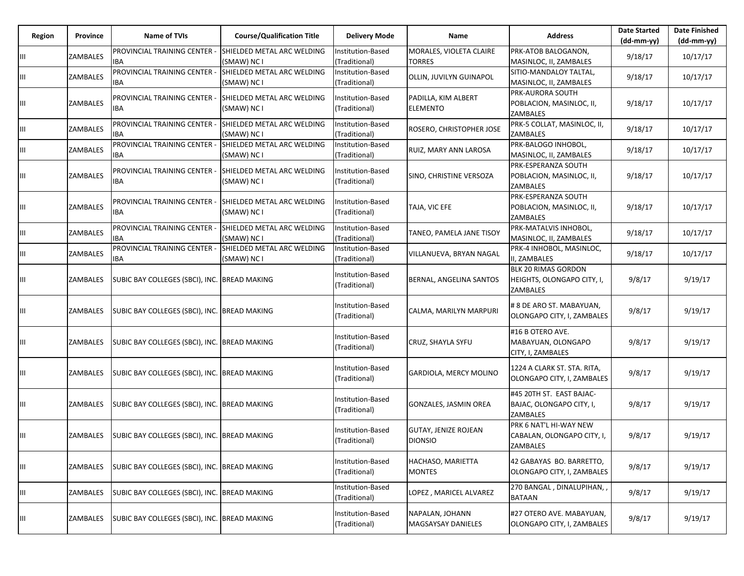| Region | Province        | Name of TVIs                                  | <b>Course/Qualification Title</b>         | <b>Delivery Mode</b>                      | Name                                          | <b>Address</b>                                                       | <b>Date Started</b><br>$(dd-mm-yy)$ | <b>Date Finished</b><br>$(dd-mm-yy)$ |
|--------|-----------------|-----------------------------------------------|-------------------------------------------|-------------------------------------------|-----------------------------------------------|----------------------------------------------------------------------|-------------------------------------|--------------------------------------|
| Ш      | ZAMBALES        | PROVINCIAL TRAINING CENTER -<br><b>IBA</b>    | SHIELDED METAL ARC WELDING<br>(SMAW) NC I | Institution-Based<br>(Traditional)        | MORALES, VIOLETA CLAIRE<br><b>TORRES</b>      | PRK-ATOB BALOGANON,<br>MASINLOC, II, ZAMBALES                        | 9/18/17                             | 10/17/17                             |
| Ш      | ZAMBALES        | PROVINCIAL TRAINING CENTER<br>IBA             | SHIELDED METAL ARC WELDING<br>(SMAW) NC I | Institution-Based<br>(Traditional)        | OLLIN, JUVILYN GUINAPOL                       | SITIO-MANDALOY TALTAL,<br>MASINLOC, II, ZAMBALES                     | 9/18/17                             | 10/17/17                             |
| Ш      | ZAMBALES        | PROVINCIAL TRAINING CENTER -<br>IBA           | SHIELDED METAL ARC WELDING<br>(SMAW) NC I | Institution-Based<br>(Traditional)        | PADILLA, KIM ALBERT<br><b>ELEMENTO</b>        | PRK-AURORA SOUTH<br>POBLACION, MASINLOC, II,<br>ZAMBALES             | 9/18/17                             | 10/17/17                             |
| Ш      | <b>ZAMBALES</b> | PROVINCIAL TRAINING CENTER<br><b>IBA</b>      | SHIELDED METAL ARC WELDING<br>(SMAW) NC I | Institution-Based<br>(Traditional)        | ROSERO, CHRISTOPHER JOSE                      | PRK-5 COLLAT, MASINLOC, II,<br><b>ZAMBALES</b>                       | 9/18/17                             | 10/17/17                             |
| Ш      | ZAMBALES        | PROVINCIAL TRAINING CENTER -<br>IBA           | SHIELDED METAL ARC WELDING<br>(SMAW) NC I | Institution-Based<br>(Traditional)        | RUIZ, MARY ANN LAROSA                         | PRK-BALOGO INHOBOL,<br>MASINLOC, II, ZAMBALES                        | 9/18/17                             | 10/17/17                             |
| Ш      | ZAMBALES        | PROVINCIAL TRAINING CENTER -<br>IBA           | SHIELDED METAL ARC WELDING<br>(SMAW) NC I | Institution-Based<br>(Traditional)        | SINO, CHRISTINE VERSOZA                       | PRK-ESPERANZA SOUTH<br>POBLACION, MASINLOC, II,<br>ZAMBALES          | 9/18/17                             | 10/17/17                             |
| Ш      | <b>ZAMBALES</b> | PROVINCIAL TRAINING CENTER<br>IBA             | SHIELDED METAL ARC WELDING<br>(SMAW) NC I | Institution-Based<br>(Traditional)        | TAJA, VIC EFE                                 | PRK-ESPERANZA SOUTH<br>POBLACION, MASINLOC, II,<br><b>ZAMBALES</b>   | 9/18/17                             | 10/17/17                             |
| Ш      | ZAMBALES        | PROVINCIAL TRAINING CENTER -<br>IBA           | SHIELDED METAL ARC WELDING<br>(SMAW) NC I | Institution-Based<br>(Traditional)        | TANEO, PAMELA JANE TISOY                      | PRK-MATALVIS INHOBOL,<br>MASINLOC, II, ZAMBALES                      | 9/18/17                             | 10/17/17                             |
| Ш      | <b>ZAMBALES</b> | PROVINCIAL TRAINING CENTER -<br><b>IBA</b>    | SHIELDED METAL ARC WELDING<br>(SMAW) NC I | Institution-Based<br>(Traditional)        | VILLANUEVA, BRYAN NAGAL                       | PRK-4 INHOBOL, MASINLOC,<br>II, ZAMBALES                             | 9/18/17                             | 10/17/17                             |
| Ш      | ZAMBALES        | SUBIC BAY COLLEGES (SBCI), INC. BREAD MAKING  |                                           | Institution-Based<br>(Traditional)        | <b>BERNAL, ANGELINA SANTOS</b>                | <b>BLK 20 RIMAS GORDON</b><br>HEIGHTS, OLONGAPO CITY, I,<br>ZAMBALES | 9/8/17                              | 9/19/17                              |
| Ш      | ZAMBALES        | SUBIC BAY COLLEGES (SBCI), INC. BREAD MAKING  |                                           | <b>Institution-Based</b><br>(Traditional) | CALMA, MARILYN MARPURI                        | # 8 DE ARO ST. MABAYUAN,<br>OLONGAPO CITY, I, ZAMBALES               | 9/8/17                              | 9/19/17                              |
| Ш      | ZAMBALES        | SUBIC BAY COLLEGES (SBCI), INC.  BREAD MAKING |                                           | Institution-Based<br>(Traditional)        | <b>CRUZ, SHAYLA SYFU</b>                      | #16 B OTERO AVE.<br>MABAYUAN, OLONGAPO<br>CITY, I, ZAMBALES          | 9/8/17                              | 9/19/17                              |
| Ш      | ZAMBALES        | SUBIC BAY COLLEGES (SBCI), INC. BREAD MAKING  |                                           | Institution-Based<br>(Traditional)        | GARDIOLA, MERCY MOLINO                        | 1224 A CLARK ST. STA. RITA,<br>OLONGAPO CITY, I, ZAMBALES            | 9/8/17                              | 9/19/17                              |
| Ш      | ZAMBALES        | SUBIC BAY COLLEGES (SBCI), INC. BREAD MAKING  |                                           | Institution-Based<br>(Traditional)        | GONZALES, JASMIN OREA                         | #45 20TH ST. EAST BAJAC-<br>BAJAC, OLONGAPO CITY, I,<br>ZAMBALES     | 9/8/17                              | 9/19/17                              |
| Ш      | ZAMBALES        | SUBIC BAY COLLEGES (SBCI), INC. BREAD MAKING  |                                           | Institution-Based<br>(Traditional)        | <b>GUTAY, JENIZE ROJEAN</b><br><b>DIONSIO</b> | PRK 6 NAT'L HI-WAY NEW<br>CABALAN, OLONGAPO CITY, I,<br>ZAMBALES     | 9/8/17                              | 9/19/17                              |
| Ш      | ZAMBALES        | SUBIC BAY COLLEGES (SBCI), INC. BREAD MAKING  |                                           | Institution-Based<br>(Traditional)        | HACHASO, MARIETTA<br><b>MONTES</b>            | 42 GABAYAS BO. BARRETTO,<br>OLONGAPO CITY, I, ZAMBALES               | 9/8/17                              | 9/19/17                              |
| Ш      | ZAMBALES        | SUBIC BAY COLLEGES (SBCI), INC.  BREAD MAKING |                                           | Institution-Based<br>(Traditional)        | LOPEZ, MARICEL ALVAREZ                        | 270 BANGAL, DINALUPIHAN,,<br><b>BATAAN</b>                           | 9/8/17                              | 9/19/17                              |
| Ш      | ZAMBALES        | SUBIC BAY COLLEGES (SBCI), INC. BREAD MAKING  |                                           | Institution-Based<br>(Traditional)        | NAPALAN, JOHANN<br>MAGSAYSAY DANIELES         | #27 OTERO AVE. MABAYUAN,<br>OLONGAPO CITY, I, ZAMBALES               | 9/8/17                              | 9/19/17                              |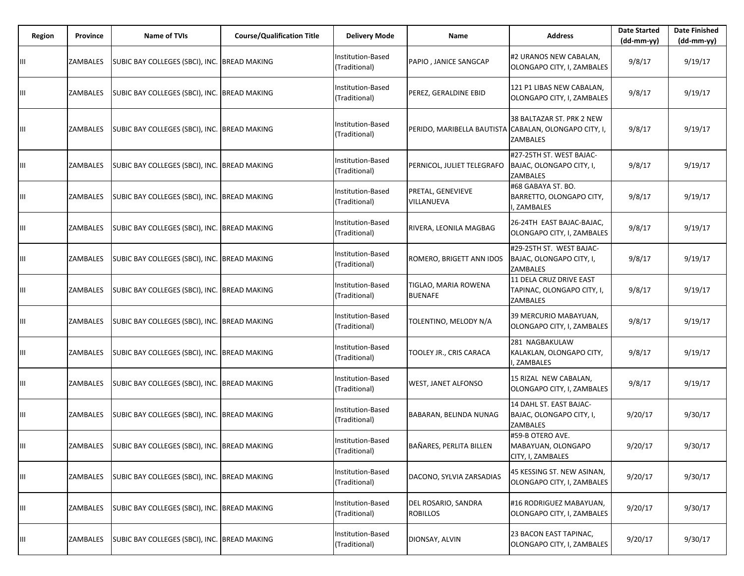| Region | Province | Name of TVIs                                          | <b>Course/Qualification Title</b> | <b>Delivery Mode</b>               | Name                                                  | <b>Address</b>                                                    | <b>Date Started</b><br>$(dd-mm-yy)$ | <b>Date Finished</b><br>(dd-mm-yy) |
|--------|----------|-------------------------------------------------------|-----------------------------------|------------------------------------|-------------------------------------------------------|-------------------------------------------------------------------|-------------------------------------|------------------------------------|
| Ш      | ZAMBALES | SUBIC BAY COLLEGES (SBCI), INC. BREAD MAKING          |                                   | Institution-Based<br>(Traditional) | PAPIO, JANICE SANGCAP                                 | #2 URANOS NEW CABALAN,<br>OLONGAPO CITY, I, ZAMBALES              | 9/8/17                              | 9/19/17                            |
| Ш      | ZAMBALES | SUBIC BAY COLLEGES (SBCI), INC. BREAD MAKING          |                                   | Institution-Based<br>(Traditional) | PEREZ, GERALDINE EBID                                 | 121 P1 LIBAS NEW CABALAN,<br>OLONGAPO CITY, I, ZAMBALES           | 9/8/17                              | 9/19/17                            |
| Ш      | ZAMBALES | SUBIC BAY COLLEGES (SBCI), INC. BREAD MAKING          |                                   | Institution-Based<br>(Traditional) | PERIDO, MARIBELLA BAUTISTA CABALAN, OLONGAPO CITY, I, | 38 BALTAZAR ST. PRK 2 NEW<br><b>ZAMBALES</b>                      | 9/8/17                              | 9/19/17                            |
| Ш      | ZAMBALES | SUBIC BAY COLLEGES (SBCI), INC. BREAD MAKING          |                                   | Institution-Based<br>(Traditional) | PERNICOL, JULIET TELEGRAFO                            | #27-25TH ST. WEST BAJAC-<br>BAJAC, OLONGAPO CITY, I,<br>ZAMBALES  | 9/8/17                              | 9/19/17                            |
| Ш      | ZAMBALES | SUBIC BAY COLLEGES (SBCI), INC. BREAD MAKING          |                                   | Institution-Based<br>(Traditional) | PRETAL, GENEVIEVE<br>VILLANUEVA                       | #68 GABAYA ST. BO.<br>BARRETTO, OLONGAPO CITY,<br>I, ZAMBALES     | 9/8/17                              | 9/19/17                            |
| Ш      | ZAMBALES | SUBIC BAY COLLEGES (SBCI), INC. BREAD MAKING          |                                   | Institution-Based<br>(Traditional) | RIVERA, LEONILA MAGBAG                                | 26-24TH EAST BAJAC-BAJAC,<br>OLONGAPO CITY, I, ZAMBALES           | 9/8/17                              | 9/19/17                            |
| Ш      | ZAMBALES | SUBIC BAY COLLEGES (SBCI), INC. BREAD MAKING          |                                   | Institution-Based<br>(Traditional) | ROMERO, BRIGETT ANN IDOS                              | #29-25TH ST. WEST BAJAC-<br>BAJAC, OLONGAPO CITY, I,<br>ZAMBALES  | 9/8/17                              | 9/19/17                            |
| Ш      | ZAMBALES | SUBIC BAY COLLEGES (SBCI), INC. BREAD MAKING          |                                   | Institution-Based<br>(Traditional) | TIGLAO, MARIA ROWENA<br><b>BUENAFE</b>                | 11 DELA CRUZ DRIVE EAST<br>TAPINAC, OLONGAPO CITY, I,<br>ZAMBALES | 9/8/17                              | 9/19/17                            |
| Ш      | ZAMBALES | SUBIC BAY COLLEGES (SBCI), INC. BREAD MAKING          |                                   | Institution-Based<br>(Traditional) | TOLENTINO, MELODY N/A                                 | 39 MERCURIO MABAYUAN,<br>OLONGAPO CITY, I, ZAMBALES               | 9/8/17                              | 9/19/17                            |
| Ш      | ZAMBALES | SUBIC BAY COLLEGES (SBCI), INC. BREAD MAKING          |                                   | Institution-Based<br>(Traditional) | TOOLEY JR., CRIS CARACA                               | 281 NAGBAKULAW<br>KALAKLAN, OLONGAPO CITY,<br>, ZAMBALES          | 9/8/17                              | 9/19/17                            |
| Ш      | ZAMBALES | SUBIC BAY COLLEGES (SBCI), INC. BREAD MAKING          |                                   | Institution-Based<br>(Traditional) | <b>WEST, JANET ALFONSO</b>                            | 15 RIZAL NEW CABALAN,<br>OLONGAPO CITY, I, ZAMBALES               | 9/8/17                              | 9/19/17                            |
| Ш      | ZAMBALES | SUBIC BAY COLLEGES (SBCI), INC. BREAD MAKING          |                                   | Institution-Based<br>(Traditional) | BABARAN, BELINDA NUNAG                                | 14 DAHL ST. EAST BAJAC-<br>BAJAC, OLONGAPO CITY, I,<br>ZAMBALES   | 9/20/17                             | 9/30/17                            |
|        |          | ZAMBALES SUBIC BAY COLLEGES (SBCI), INC. BREAD MAKING |                                   | Institution-Based<br>(Traditional) | BAÑARES, PERLITA BILLEN                               | #59-B OTERO AVE.<br>MABAYUAN, OLONGAPO<br>CITY, I, ZAMBALES       | 9/20/17                             | 9/30/17                            |
| Ш      | ZAMBALES | SUBIC BAY COLLEGES (SBCI), INC. BREAD MAKING          |                                   | Institution-Based<br>(Traditional) | DACONO, SYLVIA ZARSADIAS                              | 45 KESSING ST. NEW ASINAN,<br>OLONGAPO CITY, I, ZAMBALES          | 9/20/17                             | 9/30/17                            |
| Ш      | ZAMBALES | SUBIC BAY COLLEGES (SBCI), INC. BREAD MAKING          |                                   | Institution-Based<br>(Traditional) | DEL ROSARIO, SANDRA<br><b>ROBILLOS</b>                | #16 RODRIGUEZ MABAYUAN,<br>OLONGAPO CITY, I, ZAMBALES             | 9/20/17                             | 9/30/17                            |
| Ш      | ZAMBALES | SUBIC BAY COLLEGES (SBCI), INC. BREAD MAKING          |                                   | Institution-Based<br>(Traditional) | DIONSAY, ALVIN                                        | 23 BACON EAST TAPINAC,<br>OLONGAPO CITY, I, ZAMBALES              | 9/20/17                             | 9/30/17                            |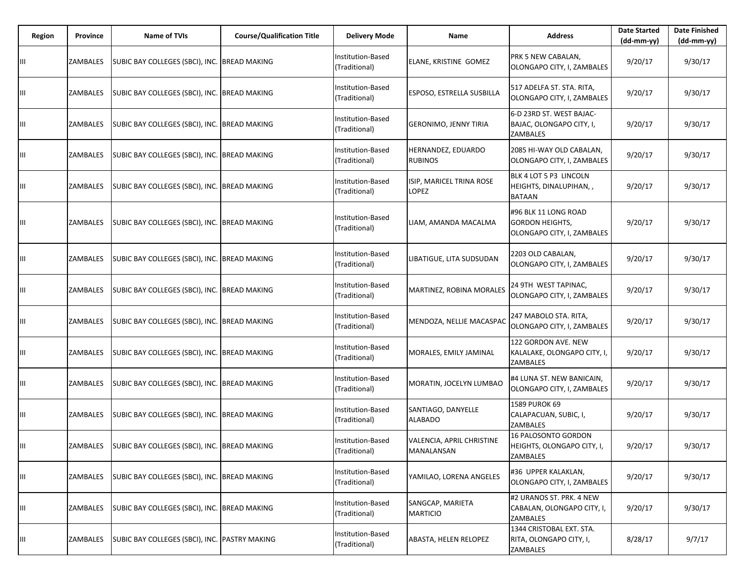| Region | Province | Name of TVIs                                          | <b>Course/Qualification Title</b> | <b>Delivery Mode</b>               | Name                                    | <b>Address</b>                                                               | <b>Date Started</b><br>$(dd-mm-yy)$ | <b>Date Finished</b><br>(dd-mm-yy) |
|--------|----------|-------------------------------------------------------|-----------------------------------|------------------------------------|-----------------------------------------|------------------------------------------------------------------------------|-------------------------------------|------------------------------------|
| Ш      | ZAMBALES | SUBIC BAY COLLEGES (SBCI), INC. BREAD MAKING          |                                   | Institution-Based<br>(Traditional) | ELANE, KRISTINE GOMEZ                   | PRK 5 NEW CABALAN,<br>OLONGAPO CITY, I, ZAMBALES                             | 9/20/17                             | 9/30/17                            |
| Ш      | ZAMBALES | SUBIC BAY COLLEGES (SBCI), INC. BREAD MAKING          |                                   | Institution-Based<br>(Traditional) | ESPOSO, ESTRELLA SUSBILLA               | 517 ADELFA ST. STA. RITA,<br>OLONGAPO CITY, I, ZAMBALES                      | 9/20/17                             | 9/30/17                            |
| Ш      | ZAMBALES | SUBIC BAY COLLEGES (SBCI), INC. BREAD MAKING          |                                   | Institution-Based<br>(Traditional) | <b>GERONIMO, JENNY TIRIA</b>            | 6-D 23RD ST. WEST BAJAC-<br>BAJAC, OLONGAPO CITY, I,<br>ZAMBALES             | 9/20/17                             | 9/30/17                            |
| Ш      | ZAMBALES | SUBIC BAY COLLEGES (SBCI), INC. BREAD MAKING          |                                   | Institution-Based<br>(Traditional) | HERNANDEZ, EDUARDO<br><b>RUBINOS</b>    | 2085 HI-WAY OLD CABALAN,<br>OLONGAPO CITY, I, ZAMBALES                       | 9/20/17                             | 9/30/17                            |
| Ш      | ZAMBALES | SUBIC BAY COLLEGES (SBCI), INC. BREAD MAKING          |                                   | Institution-Based<br>(Traditional) | ISIP, MARICEL TRINA ROSE<br>LOPEZ       | BLK 4 LOT 5 P3 LINCOLN<br>HEIGHTS, DINALUPIHAN,,<br><b>BATAAN</b>            | 9/20/17                             | 9/30/17                            |
| Ш      | ZAMBALES | SUBIC BAY COLLEGES (SBCI), INC. BREAD MAKING          |                                   | Institution-Based<br>(Traditional) | LIAM, AMANDA MACALMA                    | #96 BLK 11 LONG ROAD<br><b>GORDON HEIGHTS,</b><br>OLONGAPO CITY, I, ZAMBALES | 9/20/17                             | 9/30/17                            |
| Ш      | ZAMBALES | SUBIC BAY COLLEGES (SBCI), INC. BREAD MAKING          |                                   | Institution-Based<br>(Traditional) | LIBATIGUE, LITA SUDSUDAN                | 2203 OLD CABALAN,<br>OLONGAPO CITY, I, ZAMBALES                              | 9/20/17                             | 9/30/17                            |
| Ш      | ZAMBALES | SUBIC BAY COLLEGES (SBCI), INC. BREAD MAKING          |                                   | Institution-Based<br>(Traditional) | MARTINEZ, ROBINA MORALES                | 24 9TH WEST TAPINAC,<br>OLONGAPO CITY, I, ZAMBALES                           | 9/20/17                             | 9/30/17                            |
| Ш      | ZAMBALES | SUBIC BAY COLLEGES (SBCI), INC. BREAD MAKING          |                                   | Institution-Based<br>(Traditional) | MENDOZA, NELLIE MACASPAC                | 247 MABOLO STA. RITA,<br>OLONGAPO CITY, I, ZAMBALES                          | 9/20/17                             | 9/30/17                            |
| Ш      | ZAMBALES | SUBIC BAY COLLEGES (SBCI), INC. BREAD MAKING          |                                   | Institution-Based<br>(Traditional) | MORALES, EMILY JAMINAL                  | 122 GORDON AVE. NEW<br>KALALAKE, OLONGAPO CITY, I,<br>ZAMBALES               | 9/20/17                             | 9/30/17                            |
| Ш      | ZAMBALES | SUBIC BAY COLLEGES (SBCI), INC. BREAD MAKING          |                                   | Institution-Based<br>(Traditional) | MORATIN, JOCELYN LUMBAO                 | #4 LUNA ST. NEW BANICAIN,<br>OLONGAPO CITY, I, ZAMBALES                      | 9/20/17                             | 9/30/17                            |
| Ш      | ZAMBALES | SUBIC BAY COLLEGES (SBCI), INC. BREAD MAKING          |                                   | Institution-Based<br>(Traditional) | SANTIAGO, DANYELLE<br>ALABADO           | 1589 PUROK 69<br>CALAPACUAN, SUBIC, I,<br>ZAMBALES                           | 9/20/17                             | 9/30/17                            |
|        |          | ZAMBALES SUBIC BAY COLLEGES (SBCI), INC. BREAD MAKING |                                   | Institution-Based<br>(Traditional) | VALENCIA, APRIL CHRISTINE<br>MANALANSAN | 16 PALOSONTO GORDON<br>HEIGHTS, OLONGAPO CITY, I,<br>ZAMBALES                | 9/20/17                             | 9/30/17                            |
| Ш      | ZAMBALES | SUBIC BAY COLLEGES (SBCI), INC. BREAD MAKING          |                                   | Institution-Based<br>(Traditional) | YAMILAO, LORENA ANGELES                 | #36 UPPER KALAKLAN,<br>OLONGAPO CITY, I, ZAMBALES                            | 9/20/17                             | 9/30/17                            |
| Ш      | ZAMBALES | SUBIC BAY COLLEGES (SBCI), INC. BREAD MAKING          |                                   | Institution-Based<br>(Traditional) | SANGCAP, MARIETA<br><b>MARTICIO</b>     | #2 URANOS ST. PRK. 4 NEW<br>CABALAN, OLONGAPO CITY, I,<br>ZAMBALES           | 9/20/17                             | 9/30/17                            |
| Ш      | ZAMBALES | SUBIC BAY COLLEGES (SBCI), INC. PASTRY MAKING         |                                   | Institution-Based<br>(Traditional) | ABASTA, HELEN RELOPEZ                   | 1344 CRISTOBAL EXT. STA.<br>RITA, OLONGAPO CITY, I,<br>ZAMBALES              | 8/28/17                             | 9/7/17                             |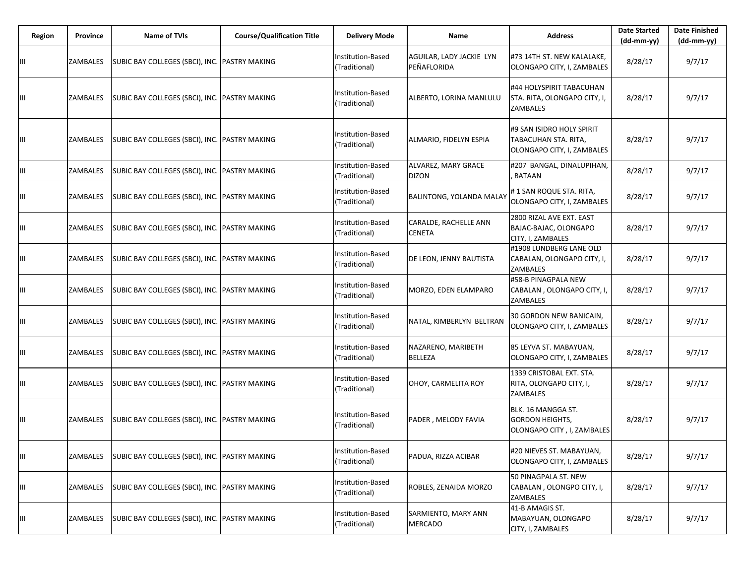| Region | Province | Name of TVIs                                  | <b>Course/Qualification Title</b> | <b>Delivery Mode</b>               | Name                                    | <b>Address</b>                                                                  | <b>Date Started</b><br>$(dd-mm-yy)$ | <b>Date Finished</b><br>$(dd-mm-yy)$ |
|--------|----------|-----------------------------------------------|-----------------------------------|------------------------------------|-----------------------------------------|---------------------------------------------------------------------------------|-------------------------------------|--------------------------------------|
| Ш      | ZAMBALES | SUBIC BAY COLLEGES (SBCI), INC.               | <b>PASTRY MAKING</b>              | Institution-Based<br>(Traditional) | AGUILAR, LADY JACKIE LYN<br>PEÑAFLORIDA | #73 14TH ST. NEW KALALAKE,<br>OLONGAPO CITY, I, ZAMBALES                        | 8/28/17                             | 9/7/17                               |
| Ш      | ZAMBALES | SUBIC BAY COLLEGES (SBCI), INC. PASTRY MAKING |                                   | Institution-Based<br>(Traditional) | ALBERTO, LORINA MANLULU                 | #44 HOLYSPIRIT TABACUHAN<br>STA. RITA, OLONGAPO CITY, I,<br>ZAMBALES            | 8/28/17                             | 9/7/17                               |
| Ш      | ZAMBALES | SUBIC BAY COLLEGES (SBCI), INC. PASTRY MAKING |                                   | Institution-Based<br>(Traditional) | ALMARIO, FIDELYN ESPIA                  | #9 SAN ISIDRO HOLY SPIRIT<br>TABACUHAN STA. RITA,<br>OLONGAPO CITY, I, ZAMBALES | 8/28/17                             | 9/7/17                               |
| Ш      | ZAMBALES | SUBIC BAY COLLEGES (SBCI), INC. PASTRY MAKING |                                   | Institution-Based<br>(Traditional) | ALVAREZ, MARY GRACE<br><b>DIZON</b>     | #207 BANGAL, DINALUPIHAN,<br><b>BATAAN</b>                                      | 8/28/17                             | 9/7/17                               |
| Ш      | ZAMBALES | SUBIC BAY COLLEGES (SBCI), INC. PASTRY MAKING |                                   | Institution-Based<br>(Traditional) | BALINTONG, YOLANDA MALAY                | #1 SAN ROQUE STA. RITA,<br>OLONGAPO CITY, I, ZAMBALES                           | 8/28/17                             | 9/7/17                               |
| Ш      | ZAMBALES | SUBIC BAY COLLEGES (SBCI), INC. PASTRY MAKING |                                   | Institution-Based<br>(Traditional) | CARALDE, RACHELLE ANN<br><b>CENETA</b>  | 2800 RIZAL AVE EXT. EAST<br>BAJAC-BAJAC, OLONGAPO<br>CITY, I, ZAMBALES          | 8/28/17                             | 9/7/17                               |
| Ш      | ZAMBALES | SUBIC BAY COLLEGES (SBCI), INC. PASTRY MAKING |                                   | Institution-Based<br>(Traditional) | DE LEON, JENNY BAUTISTA                 | #1908 LUNDBERG LANE OLD<br>CABALAN, OLONGAPO CITY, I,<br>ZAMBALES               | 8/28/17                             | 9/7/17                               |
| Ш      | ZAMBALES | SUBIC BAY COLLEGES (SBCI), INC. PASTRY MAKING |                                   | Institution-Based<br>(Traditional) | MORZO, EDEN ELAMPARO                    | #58-B PINAGPALA NEW<br>CABALAN, OLONGAPO CITY, I,<br>ZAMBALES                   | 8/28/17                             | 9/7/17                               |
| Ш      | ZAMBALES | SUBIC BAY COLLEGES (SBCI), INC. PASTRY MAKING |                                   | Institution-Based<br>(Traditional) | NATAL, KIMBERLYN BELTRAN                | 30 GORDON NEW BANICAIN,<br>OLONGAPO CITY, I, ZAMBALES                           | 8/28/17                             | 9/7/17                               |
| Ш      | ZAMBALES | SUBIC BAY COLLEGES (SBCI), INC. PASTRY MAKING |                                   | Institution-Based<br>(Traditional) | NAZARENO, MARIBETH<br><b>BELLEZA</b>    | 85 LEYVA ST. MABAYUAN,<br>OLONGAPO CITY, I, ZAMBALES                            | 8/28/17                             | 9/7/17                               |
| Ш      | ZAMBALES | SUBIC BAY COLLEGES (SBCI), INC. PASTRY MAKING |                                   | Institution-Based<br>(Traditional) | OHOY, CARMELITA ROY                     | 1339 CRISTOBAL EXT. STA.<br>RITA, OLONGAPO CITY, I,<br>ZAMBALES                 | 8/28/17                             | 9/7/17                               |
| Ш      | ZAMBALES | SUBIC BAY COLLEGES (SBCI), INC. PASTRY MAKING |                                   | Institution-Based<br>(Traditional) | PADER, MELODY FAVIA                     | BLK. 16 MANGGA ST.<br><b>GORDON HEIGHTS,</b><br>OLONGAPO CITY, I, ZAMBALES      | 8/28/17                             | 9/7/17                               |
| Ш      | ZAMBALES | SUBIC BAY COLLEGES (SBCI), INC. PASTRY MAKING |                                   | Institution-Based<br>(Traditional) | PADUA, RIZZA ACIBAR                     | #20 NIEVES ST. MABAYUAN,<br>OLONGAPO CITY, I, ZAMBALES                          | 8/28/17                             | 9/7/17                               |
| Ш      | ZAMBALES | SUBIC BAY COLLEGES (SBCI), INC. PASTRY MAKING |                                   | Institution-Based<br>(Traditional) | ROBLES, ZENAIDA MORZO                   | 50 PINAGPALA ST. NEW<br>CABALAN, OLONGPO CITY, I,<br>ZAMBALES                   | 8/28/17                             | 9/7/17                               |
| Ш      | ZAMBALES | SUBIC BAY COLLEGES (SBCI), INC. PASTRY MAKING |                                   | Institution-Based<br>(Traditional) | SARMIENTO, MARY ANN<br><b>MERCADO</b>   | 41-B AMAGIS ST.<br>MABAYUAN, OLONGAPO<br>CITY, I, ZAMBALES                      | 8/28/17                             | 9/7/17                               |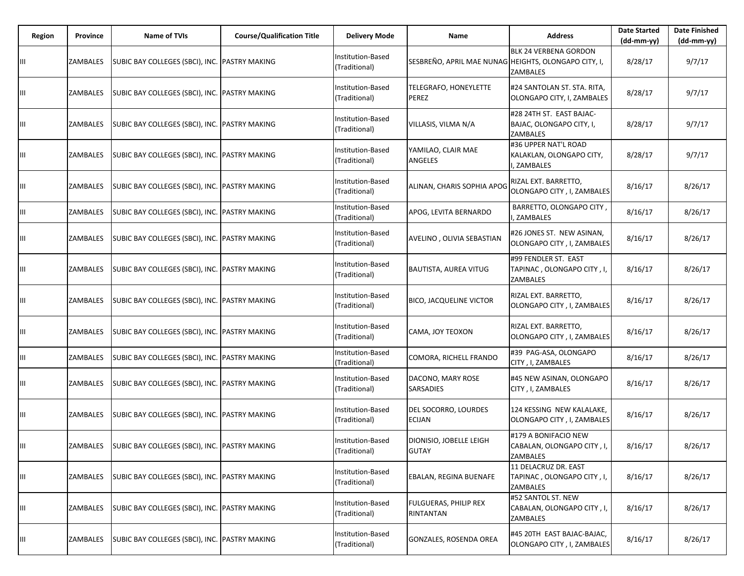| Region | Province | Name of TVIs                                  | <b>Course/Qualification Title</b> | <b>Delivery Mode</b>               | Name                                                 | <b>Address</b>                                                          | <b>Date Started</b><br>(dd-mm-yy) | <b>Date Finished</b><br>(dd-mm-yy) |
|--------|----------|-----------------------------------------------|-----------------------------------|------------------------------------|------------------------------------------------------|-------------------------------------------------------------------------|-----------------------------------|------------------------------------|
| Ш      | ZAMBALES | SUBIC BAY COLLEGES (SBCI), INC. PASTRY MAKING |                                   | Institution-Based<br>(Traditional) | SESBREÑO, APRIL MAE NUNAG HEIGHTS, OLONGAPO CITY, I, | <b>BLK 24 VERBENA GORDON</b><br><b>ZAMBALES</b>                         | 8/28/17                           | 9/7/17                             |
| Ш      | ZAMBALES | SUBIC BAY COLLEGES (SBCI), INC. PASTRY MAKING |                                   | Institution-Based<br>(Traditional) | TELEGRAFO, HONEYLETTE<br>PEREZ                       | #24 SANTOLAN ST. STA. RITA,<br>OLONGAPO CITY, I, ZAMBALES               | 8/28/17                           | 9/7/17                             |
| Ш      | ZAMBALES | SUBIC BAY COLLEGES (SBCI), INC. PASTRY MAKING |                                   | Institution-Based<br>(Traditional) | VILLASIS, VILMA N/A                                  | #28 24TH ST. EAST BAJAC-<br>BAJAC, OLONGAPO CITY, I,<br><b>ZAMBALES</b> | 8/28/17                           | 9/7/17                             |
| Ш      | ZAMBALES | SUBIC BAY COLLEGES (SBCI), INC. PASTRY MAKING |                                   | Institution-Based<br>(Traditional) | YAMILAO, CLAIR MAE<br>ANGELES                        | #36 UPPER NAT'L ROAD<br>KALAKLAN, OLONGAPO CITY,<br>, ZAMBALES          | 8/28/17                           | 9/7/17                             |
| Ш      | ZAMBALES | SUBIC BAY COLLEGES (SBCI), INC. PASTRY MAKING |                                   | Institution-Based<br>(Traditional) | ALINAN, CHARIS SOPHIA APOG                           | RIZAL EXT. BARRETTO,<br>OLONGAPO CITY, I, ZAMBALES                      | 8/16/17                           | 8/26/17                            |
| Ш      | ZAMBALES | SUBIC BAY COLLEGES (SBCI), INC. PASTRY MAKING |                                   | Institution-Based<br>(Traditional) | APOG, LEVITA BERNARDO                                | BARRETTO, OLONGAPO CITY,<br>, ZAMBALES                                  | 8/16/17                           | 8/26/17                            |
| Ш      | ZAMBALES | SUBIC BAY COLLEGES (SBCI), INC. PASTRY MAKING |                                   | Institution-Based<br>(Traditional) | AVELINO, OLIVIA SEBASTIAN                            | #26 JONES ST. NEW ASINAN,<br>OLONGAPO CITY, I, ZAMBALES                 | 8/16/17                           | 8/26/17                            |
| Ш      | ZAMBALES | SUBIC BAY COLLEGES (SBCI), INC. PASTRY MAKING |                                   | Institution-Based<br>(Traditional) | BAUTISTA, AUREA VITUG                                | #99 FENDLER ST. EAST<br>TAPINAC, OLONGAPO CITY, I,<br>ZAMBALES          | 8/16/17                           | 8/26/17                            |
| Ш      | ZAMBALES | SUBIC BAY COLLEGES (SBCI), INC. PASTRY MAKING |                                   | Institution-Based<br>(Traditional) | <b>BICO, JACQUELINE VICTOR</b>                       | RIZAL EXT. BARRETTO,<br>OLONGAPO CITY, I, ZAMBALES                      | 8/16/17                           | 8/26/17                            |
| Ш      | ZAMBALES | SUBIC BAY COLLEGES (SBCI), INC. PASTRY MAKING |                                   | Institution-Based<br>(Traditional) | CAMA, JOY TEOXON                                     | RIZAL EXT. BARRETTO,<br>OLONGAPO CITY, I, ZAMBALES                      | 8/16/17                           | 8/26/17                            |
| Ш      | ZAMBALES | SUBIC BAY COLLEGES (SBCI), INC. PASTRY MAKING |                                   | nstitution-Based<br>(Traditional)  | COMORA, RICHELL FRANDO                               | #39 PAG-ASA, OLONGAPO<br>CITY, I, ZAMBALES                              | 8/16/17                           | 8/26/17                            |
| Ш      | ZAMBALES | SUBIC BAY COLLEGES (SBCI), INC. PASTRY MAKING |                                   | Institution-Based<br>(Traditional) | DACONO, MARY ROSE<br><b>SARSADIES</b>                | #45 NEW ASINAN, OLONGAPO<br>CITY, I, ZAMBALES                           | 8/16/17                           | 8/26/17                            |
| Ш      | ZAMBALES | SUBIC BAY COLLEGES (SBCI), INC. PASTRY MAKING |                                   | Institution-Based<br>(Traditional) | DEL SOCORRO, LOURDES<br><b>ECIJAN</b>                | 124 KESSING NEW KALALAKE,<br>OLONGAPO CITY, I, ZAMBALES                 | 8/16/17                           | 8/26/17                            |
|        | ZAMBALES | SUBIC BAY COLLEGES (SBCI), INC. PASTRY MAKING |                                   | Institution-Based<br>(Traditional) | DIONISIO, JOBELLE LEIGH<br><b>GUTAY</b>              | #179 A BONIFACIO NEW<br>CABALAN, OLONGAPO CITY, I,<br>ZAMBALES          | 8/16/17                           | 8/26/17                            |
| Ш      | ZAMBALES | SUBIC BAY COLLEGES (SBCI), INC. PASTRY MAKING |                                   | Institution-Based<br>(Traditional) | EBALAN, REGINA BUENAFE                               | 11 DELACRUZ DR. EAST<br>TAPINAC, OLONGAPO CITY, I,<br>ZAMBALES          | 8/16/17                           | 8/26/17                            |
| Ш      | ZAMBALES | SUBIC BAY COLLEGES (SBCI), INC. PASTRY MAKING |                                   | Institution-Based<br>(Traditional) | FULGUERAS, PHILIP REX<br>RINTANTAN                   | #52 SANTOL ST. NEW<br>CABALAN, OLONGAPO CITY, I,<br>ZAMBALES            | 8/16/17                           | 8/26/17                            |
| Ш      | ZAMBALES | SUBIC BAY COLLEGES (SBCI), INC. PASTRY MAKING |                                   | Institution-Based<br>(Traditional) | GONZALES, ROSENDA OREA                               | #45 20TH EAST BAJAC-BAJAC,<br>OLONGAPO CITY, I, ZAMBALES                | 8/16/17                           | 8/26/17                            |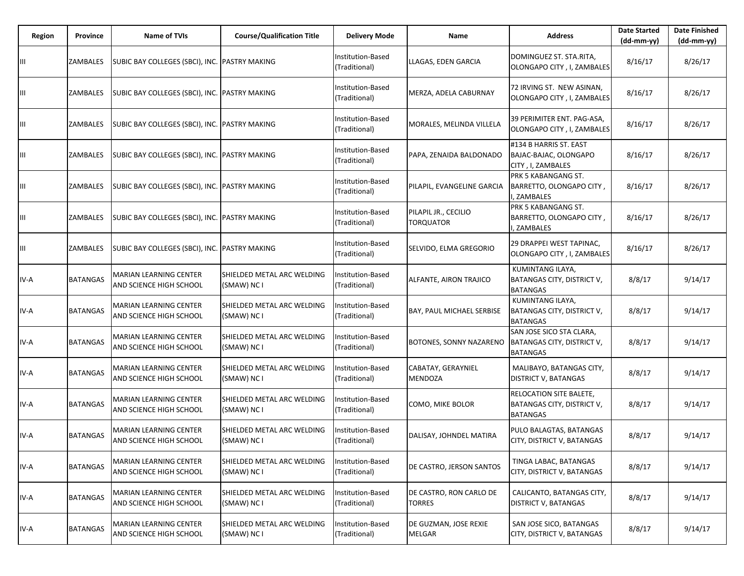| Region | Province        | <b>Name of TVIs</b>                                      | <b>Course/Qualification Title</b>         | <b>Delivery Mode</b>               | Name                                     | <b>Address</b>                                                                   | <b>Date Started</b><br>$(dd-mm-yy)$ | <b>Date Finished</b><br>(dd-mm-yy) |
|--------|-----------------|----------------------------------------------------------|-------------------------------------------|------------------------------------|------------------------------------------|----------------------------------------------------------------------------------|-------------------------------------|------------------------------------|
| Ш      | ZAMBALES        | SUBIC BAY COLLEGES (SBCI), INC. PASTRY MAKING            |                                           | Institution-Based<br>(Traditional) | LLAGAS, EDEN GARCIA                      | DOMINGUEZ ST. STA.RITA,<br>OLONGAPO CITY, I, ZAMBALES                            | 8/16/17                             | 8/26/17                            |
| Ш      | ZAMBALES        | SUBIC BAY COLLEGES (SBCI), INC. PASTRY MAKING            |                                           | Institution-Based<br>(Traditional) | MERZA, ADELA CABURNAY                    | 72 IRVING ST. NEW ASINAN,<br>OLONGAPO CITY, I, ZAMBALES                          | 8/16/17                             | 8/26/17                            |
| Ш      | ZAMBALES        | SUBIC BAY COLLEGES (SBCI), INC. PASTRY MAKING            |                                           | Institution-Based<br>(Traditional) | MORALES, MELINDA VILLELA                 | 39 PERIMITER ENT. PAG-ASA,<br>OLONGAPO CITY, I, ZAMBALES                         | 8/16/17                             | 8/26/17                            |
| Ш      | ZAMBALES        | SUBIC BAY COLLEGES (SBCI), INC. PASTRY MAKING            |                                           | Institution-Based<br>(Traditional) | PAPA, ZENAIDA BALDONADO                  | #134 B HARRIS ST. EAST<br>BAJAC-BAJAC, OLONGAPO<br>CITY, I, ZAMBALES             | 8/16/17                             | 8/26/17                            |
| Ш      | ZAMBALES        | SUBIC BAY COLLEGES (SBCI), INC. PASTRY MAKING            |                                           | Institution-Based<br>(Traditional) | PILAPIL, EVANGELINE GARCIA               | PRK 5 KABANGANG ST.<br>BARRETTO, OLONGAPO CITY,<br>I, ZAMBALES                   | 8/16/17                             | 8/26/17                            |
| Ш      | ZAMBALES        | SUBIC BAY COLLEGES (SBCI), INC. PASTRY MAKING            |                                           | Institution-Based<br>(Traditional) | PILAPIL JR., CECILIO<br><b>TORQUATOR</b> | PRK 5 KABANGANG ST.<br>BARRETTO, OLONGAPO CITY,<br>, ZAMBALES                    | 8/16/17                             | 8/26/17                            |
| Ш      | ZAMBALES        | SUBIC BAY COLLEGES (SBCI), INC. PASTRY MAKING            |                                           | Institution-Based<br>(Traditional) | SELVIDO, ELMA GREGORIO                   | 29 DRAPPEI WEST TAPINAC,<br>OLONGAPO CITY, I, ZAMBALES                           | 8/16/17                             | 8/26/17                            |
| IV-A   | <b>BATANGAS</b> | MARIAN LEARNING CENTER<br>AND SCIENCE HIGH SCHOOL        | SHIELDED METAL ARC WELDING<br>(SMAW) NC I | nstitution-Based<br>(Traditional)  | ALFANTE, AIRON TRAJICO                   | KUMINTANG ILAYA,<br>BATANGAS CITY, DISTRICT V,<br><b>BATANGAS</b>                | 8/8/17                              | 9/14/17                            |
| IV-A   | BATANGAS        | MARIAN LEARNING CENTER<br>AND SCIENCE HIGH SCHOOL        | SHIELDED METAL ARC WELDING<br>(SMAW) NC I | Institution-Based<br>(Traditional) | BAY, PAUL MICHAEL SERBISE                | KUMINTANG ILAYA,<br>BATANGAS CITY, DISTRICT V,<br><b>BATANGAS</b>                | 8/8/17                              | 9/14/17                            |
| IV-A   | BATANGAS        | <b>MARIAN LEARNING CENTER</b><br>AND SCIENCE HIGH SCHOOL | SHIELDED METAL ARC WELDING<br>(SMAW) NC I | Institution-Based<br>(Traditional) | BOTONES, SONNY NAZARENO                  | SAN JOSE SICO STA CLARA,<br><b>BATANGAS CITY, DISTRICT V,</b><br><b>BATANGAS</b> | 8/8/17                              | 9/14/17                            |
| IV-A   | <b>BATANGAS</b> | MARIAN LEARNING CENTER<br>AND SCIENCE HIGH SCHOOL        | SHIELDED METAL ARC WELDING<br>(SMAW) NC I | Institution-Based<br>(Traditional) | CABATAY, GERAYNIEL<br>MENDOZA            | MALIBAYO, BATANGAS CITY,<br><b>DISTRICT V, BATANGAS</b>                          | 8/8/17                              | 9/14/17                            |
| IV-A   | BATANGAS        | MARIAN LEARNING CENTER<br>AND SCIENCE HIGH SCHOOL        | SHIELDED METAL ARC WELDING<br>(SMAW) NC I | nstitution-Based<br>(Traditional)  | COMO, MIKE BOLOR                         | RELOCATION SITE BALETE,<br>BATANGAS CITY, DISTRICT V,<br><b>BATANGAS</b>         | 8/8/17                              | 9/14/17                            |
| IV-A   | <b>BATANGAS</b> | <b>MARIAN LEARNING CENTER</b><br>AND SCIENCE HIGH SCHOOL | SHIELDED METAL ARC WELDING<br>(SMAW) NC I | Institution-Based<br>(Traditional) | DALISAY, JOHNDEL MATIRA                  | PULO BALAGTAS, BATANGAS<br>CITY, DISTRICT V, BATANGAS                            | 8/8/17                              | 9/14/17                            |
| IV-A   | <b>BATANGAS</b> | <b>MARIAN LEARNING CENTER</b><br>AND SCIENCE HIGH SCHOOL | SHIELDED METAL ARC WELDING<br>(SMAW) NC I | Institution-Based<br>(Traditional) | DE CASTRO, JERSON SANTOS                 | TINGA LABAC, BATANGAS<br>CITY, DISTRICT V, BATANGAS                              | 8/8/17                              | 9/14/17                            |
| IV-A   | <b>BATANGAS</b> | <b>MARIAN LEARNING CENTER</b><br>AND SCIENCE HIGH SCHOOL | SHIELDED METAL ARC WELDING<br>(SMAW) NC I | Institution-Based<br>(Traditional) | DE CASTRO, RON CARLO DE<br><b>TORRES</b> | CALICANTO, BATANGAS CITY,<br>DISTRICT V, BATANGAS                                | 8/8/17                              | 9/14/17                            |
| IV-A   | <b>BATANGAS</b> | <b>MARIAN LEARNING CENTER</b><br>AND SCIENCE HIGH SCHOOL | SHIELDED METAL ARC WELDING<br>(SMAW) NC I | nstitution-Based<br>(Traditional)  | DE GUZMAN, JOSE REXIE<br>MELGAR          | SAN JOSE SICO, BATANGAS<br>CITY, DISTRICT V, BATANGAS                            | 8/8/17                              | 9/14/17                            |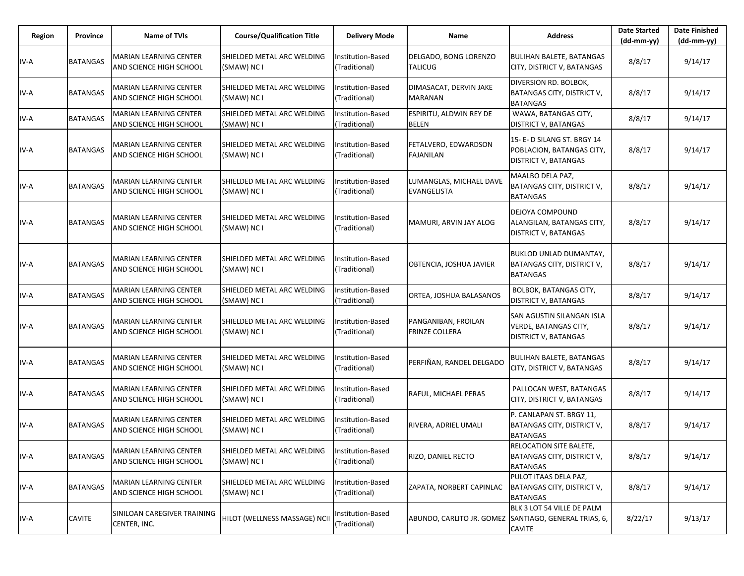| Region | Province        | <b>Name of TVIs</b>                                             | <b>Course/Qualification Title</b>                | <b>Delivery Mode</b>               | Name                                                  | <b>Address</b>                                                                           | <b>Date Started</b><br>$(dd-mm-yy)$ | <b>Date Finished</b><br>$(dd-mm-yy)$ |
|--------|-----------------|-----------------------------------------------------------------|--------------------------------------------------|------------------------------------|-------------------------------------------------------|------------------------------------------------------------------------------------------|-------------------------------------|--------------------------------------|
| IV-A   | <b>BATANGAS</b> | <b>MARIAN LEARNING CENTER</b><br><b>AND SCIENCE HIGH SCHOOL</b> | SHIELDED METAL ARC WELDING<br>(SMAW) NC I        | Institution-Based<br>(Traditional) | DELGADO, BONG LORENZO<br><b>TALICUG</b>               | <b>BULIHAN BALETE, BATANGAS</b><br>CITY, DISTRICT V, BATANGAS                            | 8/8/17                              | 9/14/17                              |
| IV-A   | <b>BATANGAS</b> | <b>MARIAN LEARNING CENTER</b><br>AND SCIENCE HIGH SCHOOL        | SHIELDED METAL ARC WELDING<br>(SMAW) NC I        | Institution-Based<br>(Traditional) | DIMASACAT, DERVIN JAKE<br><b>MARANAN</b>              | <b>DIVERSION RD. BOLBOK,</b><br>BATANGAS CITY, DISTRICT V,<br><b>BATANGAS</b>            | 8/8/17                              | 9/14/17                              |
| IV-A   | <b>BATANGAS</b> | <b>MARIAN LEARNING CENTER</b><br>AND SCIENCE HIGH SCHOOL        | SHIELDED METAL ARC WELDING<br>(SMAW) NC I        | Institution-Based<br>(Traditional) | ESPIRITU, ALDWIN REY DE<br><b>BELEN</b>               | WAWA, BATANGAS CITY,<br><b>DISTRICT V, BATANGAS</b>                                      | 8/8/17                              | 9/14/17                              |
| IV-A   | <b>BATANGAS</b> | <b>MARIAN LEARNING CENTER</b><br>AND SCIENCE HIGH SCHOOL        | SHIELDED METAL ARC WELDING<br>(SMAW) NC I        | Institution-Based<br>(Traditional) | FETALVERO, EDWARDSON<br><b>FAJANILAN</b>              | 15- E- D SILANG ST. BRGY 14<br>POBLACION, BATANGAS CITY,<br><b>DISTRICT V, BATANGAS</b>  | 8/8/17                              | 9/14/17                              |
| IV-A   | <b>BATANGAS</b> | <b>MARIAN LEARNING CENTER</b><br>AND SCIENCE HIGH SCHOOL        | <b>SHIELDED METAL ARC WELDING</b><br>(SMAW) NC I | Institution-Based<br>(Traditional) | LUMANGLAS, MICHAEL DAVE<br><b>EVANGELISTA</b>         | MAALBO DELA PAZ,<br>BATANGAS CITY, DISTRICT V,<br><b>BATANGAS</b>                        | 8/8/17                              | 9/14/17                              |
| IV-A   | <b>BATANGAS</b> | <b>MARIAN LEARNING CENTER</b><br>AND SCIENCE HIGH SCHOOL        | SHIELDED METAL ARC WELDING<br>(SMAW) NC I        | Institution-Based<br>(Traditional) | MAMURI, ARVIN JAY ALOG                                | DEJOYA COMPOUND<br>ALANGILAN, BATANGAS CITY,<br><b>DISTRICT V, BATANGAS</b>              | 8/8/17                              | 9/14/17                              |
| IV-A   | <b>BATANGAS</b> | <b>MARIAN LEARNING CENTER</b><br>AND SCIENCE HIGH SCHOOL        | SHIELDED METAL ARC WELDING<br>(SMAW) NC I        | Institution-Based<br>(Traditional) | OBTENCIA, JOSHUA JAVIER                               | <b>BUKLOD UNLAD DUMANTAY,</b><br>BATANGAS CITY, DISTRICT V,<br><b>BATANGAS</b>           | 8/8/17                              | 9/14/17                              |
| IV-A   | <b>BATANGAS</b> | MARIAN LEARNING CENTER<br>AND SCIENCE HIGH SCHOOL               | SHIELDED METAL ARC WELDING<br>(SMAW) NC I        | Institution-Based<br>(Traditional) | ORTEA, JOSHUA BALASANOS                               | BOLBOK, BATANGAS CITY,<br><b>DISTRICT V, BATANGAS</b>                                    | 8/8/17                              | 9/14/17                              |
| IV-A   | <b>BATANGAS</b> | <b>MARIAN LEARNING CENTER</b><br><b>AND SCIENCE HIGH SCHOOL</b> | SHIELDED METAL ARC WELDING<br>(SMAW) NC I        | Institution-Based<br>(Traditional) | PANGANIBAN, FROILAN<br><b>FRINZE COLLERA</b>          | SAN AGUSTIN SILANGAN ISLA<br><b>VERDE, BATANGAS CITY,</b><br><b>DISTRICT V, BATANGAS</b> | 8/8/17                              | 9/14/17                              |
| IV-A   | <b>BATANGAS</b> | <b>MARIAN LEARNING CENTER</b><br>AND SCIENCE HIGH SCHOOL        | SHIELDED METAL ARC WELDING<br>(SMAW) NC I        | Institution-Based<br>(Traditional) | PERFIÑAN, RANDEL DELGADO                              | <b>BULIHAN BALETE, BATANGAS</b><br>CITY, DISTRICT V, BATANGAS                            | 8/8/17                              | 9/14/17                              |
| IV-A   | <b>BATANGAS</b> | <b>MARIAN LEARNING CENTER</b><br>AND SCIENCE HIGH SCHOOL        | SHIELDED METAL ARC WELDING<br>(SMAW) NC I        | Institution-Based<br>(Traditional) | RAFUL, MICHAEL PERAS                                  | PALLOCAN WEST, BATANGAS<br>CITY, DISTRICT V, BATANGAS                                    | 8/8/17                              | 9/14/17                              |
| IV-A   | <b>BATANGAS</b> | <b>MARIAN LEARNING CENTER</b><br>AND SCIENCE HIGH SCHOOL        | SHIELDED METAL ARC WELDING<br>(SMAW) NC I        | nstitution-Based<br>(Traditional)  | RIVERA, ADRIEL UMALI                                  | P. CANLAPAN ST. BRGY 11,<br>BATANGAS CITY, DISTRICT V,<br><b>BATANGAS</b>                | 8/8/17                              | 9/14/17                              |
| IV-A   | <b>BATANGAS</b> | MARIAN LEARNING CENTER<br><b>AND SCIENCE HIGH SCHOOL</b>        | SHIELDED METAL ARC WELDING<br>(SMAW) NC I        | Institution-Based<br>(Traditional) | RIZO, DANIEL RECTO                                    | <b>RELOCATION SITE BALETE,</b><br>BATANGAS CITY, DISTRICT V,<br><b>BATANGAS</b>          | 8/8/17                              | 9/14/17                              |
| IV-A   | <b>BATANGAS</b> | <b>MARIAN LEARNING CENTER</b><br>AND SCIENCE HIGH SCHOOL        | SHIELDED METAL ARC WELDING<br>(SMAW) NC I        | Institution-Based<br>(Traditional) | ZAPATA, NORBERT CAPINLAC                              | PULOT ITAAS DELA PAZ,<br><b>BATANGAS CITY, DISTRICT V,</b><br><b>BATANGAS</b>            | 8/8/17                              | 9/14/17                              |
| IV-A   | <b>CAVITE</b>   | SINILOAN CAREGIVER TRAINING<br>CENTER, INC.                     | HILOT (WELLNESS MASSAGE) NCII                    | Institution-Based<br>(Traditional) | ABUNDO, CARLITO JR. GOMEZ SANTIAGO, GENERAL TRIAS, 6, | BLK 3 LOT 54 VILLE DE PALM<br><b>CAVITE</b>                                              | 8/22/17                             | 9/13/17                              |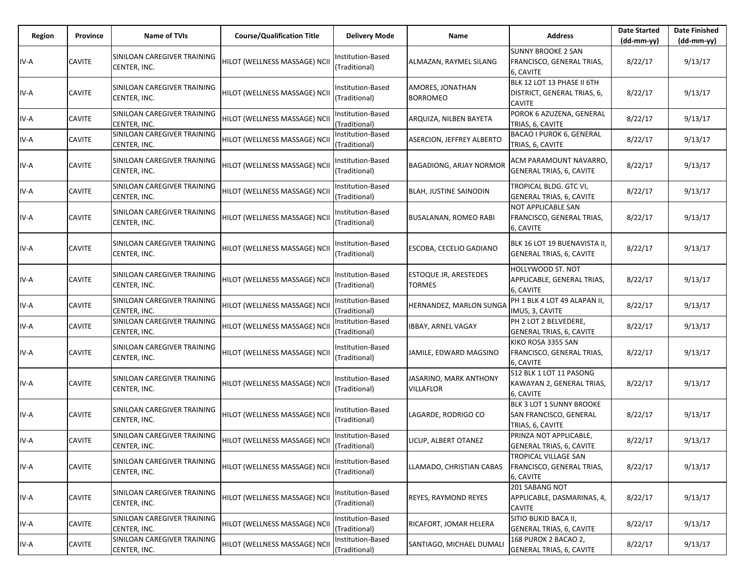| Region | Province      | Name of TVIs                                | <b>Course/Qualification Title</b> | Delivery Mode                      | Name                                       | <b>Address</b>                                                               | <b>Date Started</b><br>$(dd-mm-yy)$ | <b>Date Finished</b><br>(dd-mm-yy) |
|--------|---------------|---------------------------------------------|-----------------------------------|------------------------------------|--------------------------------------------|------------------------------------------------------------------------------|-------------------------------------|------------------------------------|
| IV-A   | <b>CAVITE</b> | SINILOAN CAREGIVER TRAINING<br>CENTER, INC. | HILOT (WELLNESS MASSAGE) NCII     | nstitution-Based<br>(Traditional)  | ALMAZAN, RAYMEL SILANG                     | <b>SUNNY BROOKE 2 SAN</b><br>FRANCISCO, GENERAL TRIAS,<br>6, CAVITE          | 8/22/17                             | 9/13/17                            |
| IV-A   | <b>CAVITE</b> | SINILOAN CAREGIVER TRAINING<br>CENTER, INC. | HILOT (WELLNESS MASSAGE) NCII     | nstitution-Based<br>(Traditional)  | AMORES, JONATHAN<br><b>BORROMEO</b>        | BLK 12 LOT 13 PHASE II 6TH<br>DISTRICT, GENERAL TRIAS, 6,<br><b>CAVITE</b>   | 8/22/17                             | 9/13/17                            |
| IV-A   | <b>CAVITE</b> | SINILOAN CAREGIVER TRAINING<br>CENTER, INC. | HILOT (WELLNESS MASSAGE) NCII     | nstitution-Based<br>Traditional)   | ARQUIZA, NILBEN BAYETA                     | POROK 6 AZUZENA, GENERAL<br>TRIAS, 6, CAVITE                                 | 8/22/17                             | 9/13/17                            |
| IV-A   | <b>CAVITE</b> | SINILOAN CAREGIVER TRAINING<br>CENTER, INC. | HILOT (WELLNESS MASSAGE) NCII     | Institution-Based<br>(Traditional) | <b>ASERCION, JEFFREY ALBERTO</b>           | BACAO I PUROK 6, GENERAL<br>TRIAS, 6, CAVITE                                 | 8/22/17                             | 9/13/17                            |
| IV-A   | <b>CAVITE</b> | SINILOAN CAREGIVER TRAINING<br>CENTER, INC. | HILOT (WELLNESS MASSAGE) NCII     | nstitution-Based<br>(Traditional)  | BAGADIONG, ARJAY NORMOR                    | ACM PARAMOUNT NAVARRO,<br><b>GENERAL TRIAS, 6, CAVITE</b>                    | 8/22/17                             | 9/13/17                            |
| IV-A   | <b>CAVITE</b> | SINILOAN CAREGIVER TRAINING<br>CENTER, INC. | HILOT (WELLNESS MASSAGE) NCII     | nstitution-Based<br>(Traditional)  | <b>BLAH, JUSTINE SAINODIN</b>              | TROPICAL BLDG. GTC VI,<br><b>GENERAL TRIAS, 6, CAVITE</b>                    | 8/22/17                             | 9/13/17                            |
| IV-A   | <b>CAVITE</b> | SINILOAN CAREGIVER TRAINING<br>CENTER, INC. | HILOT (WELLNESS MASSAGE) NCII     | nstitution-Based<br>(Traditional)  | <b>BUSALANAN, ROMEO RABI</b>               | <b>NOT APPLICABLE SAN</b><br>FRANCISCO, GENERAL TRIAS,<br>6, CAVITE          | 8/22/17                             | 9/13/17                            |
| IV-A   | <b>CAVITE</b> | SINILOAN CAREGIVER TRAINING<br>CENTER, INC. | HILOT (WELLNESS MASSAGE) NCII     | nstitution-Based<br>(Traditional)  | ESCOBA, CECELIO GADIANO                    | BLK 16 LOT 19 BUENAVISTA II,<br><b>GENERAL TRIAS, 6, CAVITE</b>              | 8/22/17                             | 9/13/17                            |
| IV-A   | <b>CAVITE</b> | SINILOAN CAREGIVER TRAINING<br>CENTER, INC. | HILOT (WELLNESS MASSAGE) NCII     | nstitution-Based<br>Traditional)   | ESTOQUE JR, ARESTEDES<br>TORMES            | HOLLYWOOD ST. NOT<br>APPLICABLE, GENERAL TRIAS,<br>6, CAVITE                 | 8/22/17                             | 9/13/17                            |
| IV-A   | <b>CAVITE</b> | SINILOAN CAREGIVER TRAINING<br>CENTER, INC. | HILOT (WELLNESS MASSAGE) NCII     | nstitution-Based<br>(Traditional)  | HERNANDEZ, MARLON SUNGA                    | PH 1 BLK 4 LOT 49 ALAPAN II,<br>IMUS, 3, CAVITE                              | 8/22/17                             | 9/13/17                            |
| IV-A   | <b>CAVITE</b> | SINILOAN CAREGIVER TRAINING<br>CENTER, INC. | HILOT (WELLNESS MASSAGE) NCII     | Institution-Based<br>(Traditional) | IBBAY, ARNEL VAGAY                         | PH 2 LOT 2 BELVEDERE,<br><b>GENERAL TRIAS, 6, CAVITE</b>                     | 8/22/17                             | 9/13/17                            |
| IV-A   | <b>CAVITE</b> | SINILOAN CAREGIVER TRAINING<br>CENTER, INC. | HILOT (WELLNESS MASSAGE) NCII     | nstitution-Based<br>(Traditional)  | JAMILE, EDWARD MAGSINO                     | KIKO ROSA 3355 SAN<br>FRANCISCO, GENERAL TRIAS,<br>6, CAVITE                 | 8/22/17                             | 9/13/17                            |
| IV-A   | <b>CAVITE</b> | SINILOAN CAREGIVER TRAINING<br>CENTER, INC. | HILOT (WELLNESS MASSAGE) NCII     | nstitution-Based<br>(Traditional)  | JASARINO, MARK ANTHONY<br><b>VILLAFLOR</b> | S12 BLK 1 LOT 11 PASONG<br>KAWAYAN 2, GENERAL TRIAS,<br>6, CAVITE            | 8/22/17                             | 9/13/17                            |
| IV-A   | <b>CAVITE</b> | SINILOAN CAREGIVER TRAINING<br>CENTER, INC. | HILOT (WELLNESS MASSAGE) NCII     | nstitution-Based<br>Traditional)   | LAGARDE, RODRIGO CO                        | BLK 3 LOT 1 SUNNY BROOKE<br>SAN FRANCISCO, GENERAL<br>TRIAS, 6, CAVITE       | 8/22/17                             | 9/13/17                            |
| IV-A   | <b>CAVITE</b> | SINILOAN CAREGIVER TRAINING<br>CENTER, INC. | HILOT (WELLNESS MASSAGE) NCII     | Institution-Based<br>(Traditional) | LICUP, ALBERT OTANEZ                       | PRINZA NOT APPLICABLE,<br><b>GENERAL TRIAS, 6, CAVITE</b>                    | 8/22/17                             | 9/13/17                            |
| IV-A   | <b>CAVITE</b> | SINILOAN CAREGIVER TRAINING<br>CENTER, INC. | HILOT (WELLNESS MASSAGE) NCII     | Institution-Based<br>(Traditional) | LLAMADO, CHRISTIAN CABAS                   | <b>TROPICAL VILLAGE SAN</b><br><b>FRANCISCO, GENERAL TRIAS,</b><br>6, CAVITE | 8/22/17                             | 9/13/17                            |
| IV-A   | <b>CAVITE</b> | SINILOAN CAREGIVER TRAINING<br>CENTER, INC. | HILOT (WELLNESS MASSAGE) NCII     | nstitution-Based<br>(Traditional)  | REYES, RAYMOND REYES                       | 201 SABANG NOT<br>APPLICABLE, DASMARINAS, 4,<br><b>CAVITE</b>                | 8/22/17                             | 9/13/17                            |
| IV-A   | <b>CAVITE</b> | SINILOAN CAREGIVER TRAINING<br>CENTER, INC. | HILOT (WELLNESS MASSAGE) NCII     | Institution-Based<br>(Traditional) | RICAFORT, JOMAR HELERA                     | SITIO BUKID BACA II,<br><b>GENERAL TRIAS, 6, CAVITE</b>                      | 8/22/17                             | 9/13/17                            |
| IV-A   | <b>CAVITE</b> | SINILOAN CAREGIVER TRAINING<br>CENTER, INC. | HILOT (WELLNESS MASSAGE) NCII     | Institution-Based<br>(Traditional) | SANTIAGO, MICHAEL DUMALI                   | 168 PUROK 2 BACAO 2,<br><b>GENERAL TRIAS, 6, CAVITE</b>                      | 8/22/17                             | 9/13/17                            |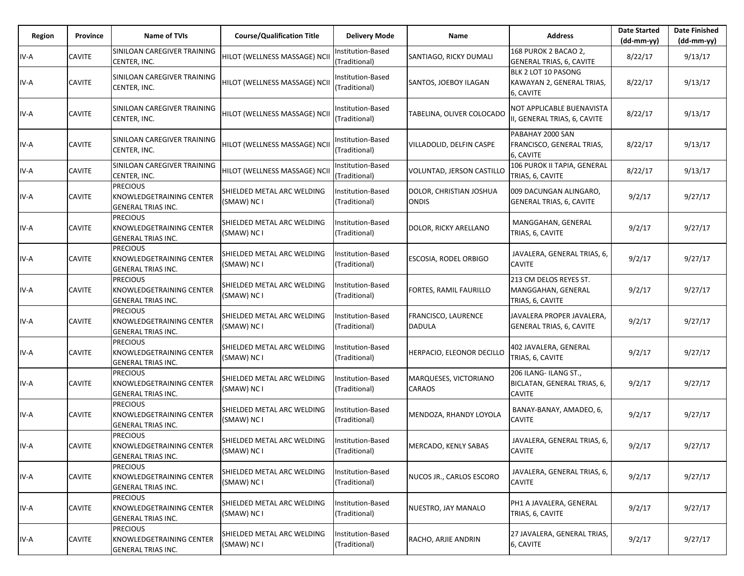| Region | Province      | <b>Name of TVIs</b>                                                             | <b>Course/Qualification Title</b>         | <b>Delivery Mode</b>               | Name                                    | <b>Address</b>                                                        | <b>Date Started</b><br>$(dd-mm-vv)$ | <b>Date Finished</b><br>(dd-mm-yy) |
|--------|---------------|---------------------------------------------------------------------------------|-------------------------------------------|------------------------------------|-----------------------------------------|-----------------------------------------------------------------------|-------------------------------------|------------------------------------|
| IV-A   | <b>CAVITE</b> | SINILOAN CAREGIVER TRAINING<br>CENTER, INC.                                     | HILOT (WELLNESS MASSAGE) NCII             | Institution-Based<br>(Traditional) | SANTIAGO, RICKY DUMALI                  | 168 PUROK 2 BACAO 2,<br>GENERAL TRIAS, 6, CAVITE                      | 8/22/17                             | 9/13/17                            |
| IV-A   | CAVITE        | SINILOAN CAREGIVER TRAINING<br>CENTER, INC.                                     | HILOT (WELLNESS MASSAGE) NCII             | Institution-Based<br>(Traditional) | SANTOS, JOEBOY ILAGAN                   | BLK 2 LOT 10 PASONG<br>KAWAYAN 2, GENERAL TRIAS,<br>6, CAVITE         | 8/22/17                             | 9/13/17                            |
| IV-A   | <b>CAVITE</b> | SINILOAN CAREGIVER TRAINING<br>CENTER, INC.                                     | HILOT (WELLNESS MASSAGE) NCII             | Institution-Based<br>(Traditional) | TABELINA, OLIVER COLOCADO               | NOT APPLICABLE BUENAVISTA<br>II, GENERAL TRIAS, 6, CAVITE             | 8/22/17                             | 9/13/17                            |
| IV-A   | <b>CAVITE</b> | SINILOAN CAREGIVER TRAINING<br>CENTER, INC.                                     | HILOT (WELLNESS MASSAGE) NCII             | Institution-Based<br>(Traditional) | VILLADOLID, DELFIN CASPE                | PABAHAY 2000 SAN<br>FRANCISCO, GENERAL TRIAS,<br>6, CAVITE            | 8/22/17                             | 9/13/17                            |
| IV-A   | CAVITE        | SINILOAN CAREGIVER TRAINING<br>CENTER, INC.                                     | HILOT (WELLNESS MASSAGE) NCII             | Institution-Based<br>(Traditional) | VOLUNTAD, JERSON CASTILLO               | 106 PUROK II TAPIA, GENERAL<br>TRIAS, 6, CAVITE                       | 8/22/17                             | 9/13/17                            |
| IV-A   | <b>CAVITE</b> | <b>PRECIOUS</b><br>KNOWLEDGETRAINING CENTER<br><b>GENERAL TRIAS INC.</b>        | SHIELDED METAL ARC WELDING<br>(SMAW) NC I | Institution-Based<br>(Traditional) | DOLOR, CHRISTIAN JOSHUA<br><b>ONDIS</b> | 009 DACUNGAN ALINGARO,<br><b>GENERAL TRIAS, 6, CAVITE</b>             | 9/2/17                              | 9/27/17                            |
| IV-A   | CAVITE        | <b>PRECIOUS</b><br>KNOWLEDGETRAINING CENTER<br><b>GENERAL TRIAS INC.</b>        | SHIELDED METAL ARC WELDING<br>(SMAW) NC I | Institution-Based<br>(Traditional) | DOLOR, RICKY ARELLANO                   | MANGGAHAN, GENERAL<br>TRIAS, 6, CAVITE                                | 9/2/17                              | 9/27/17                            |
| IV-A   | CAVITE        | <b>PRECIOUS</b><br>KNOWLEDGETRAINING CENTER<br><b>GENERAL TRIAS INC.</b>        | SHIELDED METAL ARC WELDING<br>(SMAW) NC I | Institution-Based<br>(Traditional) | ESCOSIA, RODEL ORBIGO                   | JAVALERA, GENERAL TRIAS, 6,<br><b>CAVITE</b>                          | 9/2/17                              | 9/27/17                            |
| IV-A   | <b>CAVITE</b> | <b>PRECIOUS</b><br>KNOWLEDGETRAINING CENTER<br><b>GENERAL TRIAS INC.</b>        | SHIELDED METAL ARC WELDING<br>(SMAW) NC I | nstitution-Based<br>(Traditional)  | FORTES, RAMIL FAURILLO                  | 213 CM DELOS REYES ST.<br>MANGGAHAN, GENERAL<br>TRIAS, 6, CAVITE      | 9/2/17                              | 9/27/17                            |
| IV-A   | <b>CAVITE</b> | <b>PRECIOUS</b><br><b>KNOWLEDGETRAINING CENTER</b><br><b>GENERAL TRIAS INC.</b> | SHIELDED METAL ARC WELDING<br>(SMAW) NC I | Institution-Based<br>(Traditional) | FRANCISCO, LAURENCE<br><b>DADULA</b>    | JAVALERA PROPER JAVALERA,<br><b>GENERAL TRIAS, 6, CAVITE</b>          | 9/2/17                              | 9/27/17                            |
| IV-A   | CAVITE        | <b>PRECIOUS</b><br>KNOWLEDGETRAINING CENTER<br><b>GENERAL TRIAS INC.</b>        | SHIELDED METAL ARC WELDING<br>(SMAW) NC I | Institution-Based<br>(Traditional) | HERPACIO, ELEONOR DECILLO               | 402 JAVALERA, GENERAL<br>TRIAS, 6, CAVITE                             | 9/2/17                              | 9/27/17                            |
| IV-A   | CAVITE        | <b>PRECIOUS</b><br>KNOWLEDGETRAINING CENTER<br><b>GENERAL TRIAS INC.</b>        | SHIELDED METAL ARC WELDING<br>(SMAW) NC I | Institution-Based<br>(Traditional) | MARQUESES, VICTORIANO<br><b>CARAOS</b>  | 206 ILANG- ILANG ST.,<br>BICLATAN, GENERAL TRIAS, 6,<br><b>CAVITE</b> | 9/2/17                              | 9/27/17                            |
| IV-A   | CAVITE        | <b>PRECIOUS</b><br>KNOWLEDGETRAINING CENTER<br><b>GENERAL TRIAS INC.</b>        | SHIELDED METAL ARC WELDING<br>(SMAW) NC I | Institution-Based<br>(Traditional) | MENDOZA, RHANDY LOYOLA                  | BANAY-BANAY, AMADEO, 6,<br><b>CAVITE</b>                              | 9/2/17                              | 9/27/17                            |
| IV-A   | <b>CAVITE</b> | <b>PRECIOUS</b><br><b>KNOWLEDGETRAINING CENTER</b><br><b>GENERAL TRIAS INC.</b> | SHIELDED METAL ARC WELDING<br>(SMAW) NC I | Institution-Based<br>(Traditional) | MERCADO, KENLY SABAS                    | JAVALERA, GENERAL TRIAS, 6,<br><b>CAVITE</b>                          | 9/2/17                              | 9/27/17                            |
| IV-A   | CAVITE        | <b>PRECIOUS</b><br><b>KNOWLEDGETRAINING CENTER</b><br><b>GENERAL TRIAS INC.</b> | SHIELDED METAL ARC WELDING<br>(SMAW) NC I | Institution-Based<br>(Traditional) | NUCOS JR., CARLOS ESCORO                | JAVALERA, GENERAL TRIAS, 6,<br><b>CAVITE</b>                          | 9/2/17                              | 9/27/17                            |
| IV-A   | <b>CAVITE</b> | <b>PRECIOUS</b><br><b>KNOWLEDGETRAINING CENTER</b><br><b>GENERAL TRIAS INC.</b> | SHIELDED METAL ARC WELDING<br>(SMAW) NC I | Institution-Based<br>(Traditional) | NUESTRO, JAY MANALO                     | PH1 A JAVALERA, GENERAL<br>TRIAS, 6, CAVITE                           | 9/2/17                              | 9/27/17                            |
| IV-A   | <b>CAVITE</b> | <b>PRECIOUS</b><br><b>KNOWLEDGETRAINING CENTER</b><br>GENERAL TRIAS INC.        | SHIELDED METAL ARC WELDING<br>(SMAW) NC I | Institution-Based<br>(Traditional) | RACHO, ARJIE ANDRIN                     | 27 JAVALERA, GENERAL TRIAS,<br>6, CAVITE                              | 9/2/17                              | 9/27/17                            |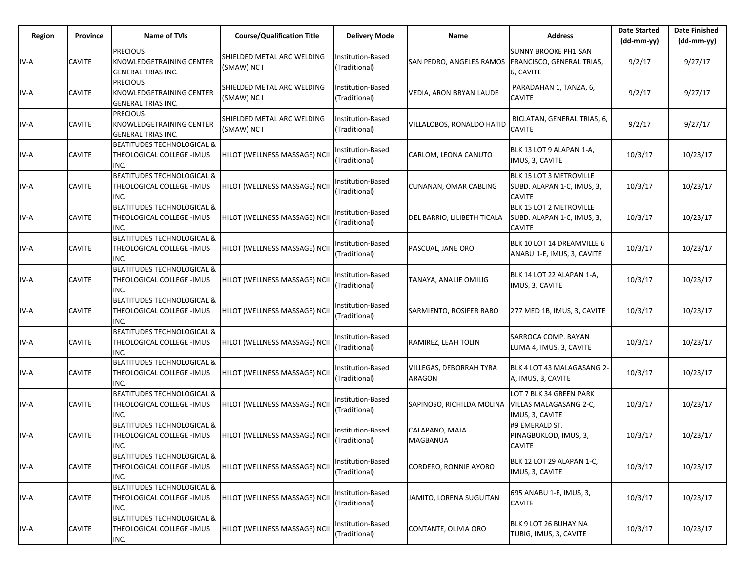| Region | Province      | Name of TVIs                                                                    | <b>Course/Qualification Title</b>         | <b>Delivery Mode</b>              | Name                              | <b>Address</b>                                                         | <b>Date Started</b><br>$(dd-mm-yy)$ | <b>Date Finished</b><br>$(dd-mm-yy)$ |
|--------|---------------|---------------------------------------------------------------------------------|-------------------------------------------|-----------------------------------|-----------------------------------|------------------------------------------------------------------------|-------------------------------------|--------------------------------------|
| IV-A   | <b>CAVITE</b> | <b>PRECIOUS</b><br><b>KNOWLEDGETRAINING CENTER</b><br><b>GENERAL TRIAS INC.</b> | SHIELDED METAL ARC WELDING<br>(SMAW) NC I | nstitution-Based<br>(Traditional) | SAN PEDRO, ANGELES RAMOS          | <b>SUNNY BROOKE PH1 SAN</b><br>FRANCISCO, GENERAL TRIAS,<br>6, CAVITE  | 9/2/17                              | 9/27/17                              |
| IV-A   | <b>CAVITE</b> | <b>PRECIOUS</b><br>KNOWLEDGETRAINING CENTER<br><b>GENERAL TRIAS INC.</b>        | SHIELDED METAL ARC WELDING<br>(SMAW) NC I | nstitution-Based<br>(Traditional) | VEDIA, ARON BRYAN LAUDE           | PARADAHAN 1, TANZA, 6,<br><b>CAVITE</b>                                | 9/2/17                              | 9/27/17                              |
| IV-A   | <b>CAVITE</b> | <b>PRECIOUS</b><br><b>KNOWLEDGETRAINING CENTER</b><br><b>GENERAL TRIAS INC.</b> | SHIELDED METAL ARC WELDING<br>(SMAW) NC I | nstitution-Based<br>(Traditional) | VILLALOBOS, RONALDO HATID         | BICLATAN, GENERAL TRIAS, 6,<br><b>CAVITE</b>                           | 9/2/17                              | 9/27/17                              |
| IV-A   | <b>CAVITE</b> | <b>BEATITUDES TECHNOLOGICAL &amp;</b><br>THEOLOGICAL COLLEGE - IMUS<br>INC.     | HILOT (WELLNESS MASSAGE) NCII             | nstitution-Based<br>(Traditional) | CARLOM, LEONA CANUTO              | BLK 13 LOT 9 ALAPAN 1-A,<br>IMUS, 3, CAVITE                            | 10/3/17                             | 10/23/17                             |
| IV-A   | <b>CAVITE</b> | <b>BEATITUDES TECHNOLOGICAL &amp;</b><br>THEOLOGICAL COLLEGE - IMUS<br>INC.     | HILOT (WELLNESS MASSAGE) NCII             | nstitution-Based<br>(Traditional) | CUNANAN, OMAR CABLING             | BLK 15 LOT 3 METROVILLE<br>SUBD. ALAPAN 1-C, IMUS, 3,<br><b>CAVITE</b> | 10/3/17                             | 10/23/17                             |
| IV-A   | <b>CAVITE</b> | <b>BEATITUDES TECHNOLOGICAL &amp;</b><br>THEOLOGICAL COLLEGE -IMUS<br>INC.      | HILOT (WELLNESS MASSAGE) NCII             | nstitution-Based<br>(Traditional) | DEL BARRIO, LILIBETH TICALA       | BLK 15 LOT 2 METROVILLE<br>SUBD. ALAPAN 1-C, IMUS, 3,<br><b>CAVITE</b> | 10/3/17                             | 10/23/17                             |
| IV-A   | <b>CAVITE</b> | <b>BEATITUDES TECHNOLOGICAL &amp;</b><br>THEOLOGICAL COLLEGE - IMUS<br>INC.     | HILOT (WELLNESS MASSAGE) NCII             | nstitution-Based<br>(Traditional) | PASCUAL, JANE ORO                 | BLK 10 LOT 14 DREAMVILLE 6<br>ANABU 1-E, IMUS, 3, CAVITE               | 10/3/17                             | 10/23/17                             |
| IV-A   | <b>CAVITE</b> | <b>BEATITUDES TECHNOLOGICAL &amp;</b><br>THEOLOGICAL COLLEGE -IMUS<br>INC.      | HILOT (WELLNESS MASSAGE) NCII             | nstitution-Based<br>(Traditional) | TANAYA, ANALIE OMILIG             | BLK 14 LOT 22 ALAPAN 1-A.<br>IMUS, 3, CAVITE                           | 10/3/17                             | 10/23/17                             |
| IV-A   | <b>CAVITE</b> | <b>BEATITUDES TECHNOLOGICAL &amp;</b><br>THEOLOGICAL COLLEGE - IMUS<br>INC.     | HILOT (WELLNESS MASSAGE) NCII             | nstitution-Based<br>(Traditional) | SARMIENTO, ROSIFER RABO           | 277 MED 1B, IMUS, 3, CAVITE                                            | 10/3/17                             | 10/23/17                             |
| IV-A   | <b>CAVITE</b> | <b>BEATITUDES TECHNOLOGICAL &amp;</b><br>THEOLOGICAL COLLEGE -IMUS<br>INC.      | HILOT (WELLNESS MASSAGE) NCII             | nstitution-Based<br>(Traditional) | RAMIREZ, LEAH TOLIN               | SARROCA COMP. BAYAN<br>LUMA 4, IMUS, 3, CAVITE                         | 10/3/17                             | 10/23/17                             |
| IV-A   | <b>CAVITE</b> | <b>BEATITUDES TECHNOLOGICAL &amp;</b><br>THEOLOGICAL COLLEGE - IMUS<br>INC.     | HILOT (WELLNESS MASSAGE) NCII             | nstitution-Based<br>(Traditional) | VILLEGAS, DEBORRAH TYRA<br>ARAGON | BLK 4 LOT 43 MALAGASANG 2-<br>A, IMUS, 3, CAVITE                       | 10/3/17                             | 10/23/17                             |
| IV-A   | <b>CAVITE</b> | <b>BEATITUDES TECHNOLOGICAL &amp;</b><br>THEOLOGICAL COLLEGE - IMUS<br>INC.     | HILOT (WELLNESS MASSAGE) NCII             | nstitution-Based<br>(Traditional) | SAPINOSO, RICHILDA MOLINA         | LOT 7 BLK 34 GREEN PARK<br>VILLAS MALAGASANG 2-C,<br>IMUS, 3, CAVITE   | 10/3/17                             | 10/23/17                             |
| IV-A   | <b>CAVITE</b> | <b>BEATITUDES TECHNOLOGICAL &amp;</b><br>THEOLOGICAL COLLEGE - IMUS<br>INC.     | HILOT (WELLNESS MASSAGE) NCII             | nstitution-Based<br>(Traditional) | CALAPANO, MAJA<br><b>MAGBANUA</b> | #9 EMERALD ST.<br>PINAGBUKLOD, IMUS, 3,<br><b>CAVITE</b>               | 10/3/17                             | 10/23/17                             |
| IV-A   | <b>CAVITE</b> | BEATITUDES TECHNOLOGICAL &<br>THEOLOGICAL COLLEGE - IMUS<br>INC.                | HILOT (WELLNESS MASSAGE) NCII             | nstitution-Based<br>(Traditional) | CORDERO, RONNIE AYOBO             | BLK 12 LOT 29 ALAPAN 1-C,<br>IMUS, 3, CAVITE                           | 10/3/17                             | 10/23/17                             |
| IV-A   | <b>CAVITE</b> | <b>BEATITUDES TECHNOLOGICAL &amp;</b><br>THEOLOGICAL COLLEGE - IMUS<br>INC.     | HILOT (WELLNESS MASSAGE) NCII             | nstitution-Based<br>(Traditional) | JAMITO, LORENA SUGUITAN           | 695 ANABU 1-E, IMUS, 3,<br><b>CAVITE</b>                               | 10/3/17                             | 10/23/17                             |
| IV-A   | <b>CAVITE</b> | <b>BEATITUDES TECHNOLOGICAL &amp;</b><br>THEOLOGICAL COLLEGE - IMUS<br>INC.     | HILOT (WELLNESS MASSAGE) NCII             | nstitution-Based<br>(Traditional) | CONTANTE, OLIVIA ORO              | BLK 9 LOT 26 BUHAY NA<br>TUBIG, IMUS, 3, CAVITE                        | 10/3/17                             | 10/23/17                             |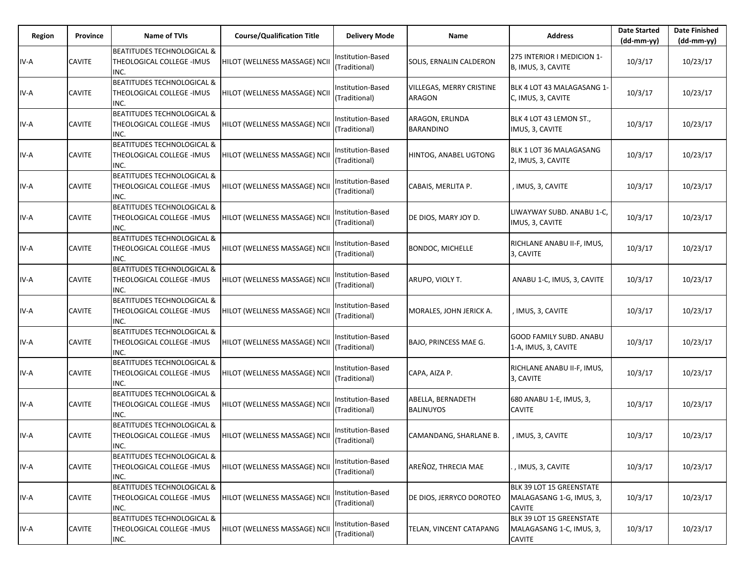| Region | Province      | <b>Name of TVIs</b>                                                         | <b>Course/Qualification Title</b> | <b>Delivery Mode</b>               | Name                                  | <b>Address</b>                                                        | <b>Date Started</b><br>$(dd-mm-yy)$ | <b>Date Finished</b><br>(dd-mm-yy) |
|--------|---------------|-----------------------------------------------------------------------------|-----------------------------------|------------------------------------|---------------------------------------|-----------------------------------------------------------------------|-------------------------------------|------------------------------------|
| IV-A   | <b>CAVITE</b> | BEATITUDES TECHNOLOGICAL &<br>THEOLOGICAL COLLEGE - IMUS<br>INC.            | HILOT (WELLNESS MASSAGE) NCII     | Institution-Based<br>(Traditional) | SOLIS, ERNALIN CALDERON               | 275 INTERIOR I MEDICION 1-<br>B, IMUS, 3, CAVITE                      | 10/3/17                             | 10/23/17                           |
| IV-A   | <b>CAVITE</b> | <b>BEATITUDES TECHNOLOGICAL &amp;</b><br>THEOLOGICAL COLLEGE -IMUS<br>INC.  | HILOT (WELLNESS MASSAGE) NCII     | Institution-Based<br>(Traditional) | VILLEGAS, MERRY CRISTINE<br>ARAGON    | BLK 4 LOT 43 MALAGASANG 1-<br>C, IMUS, 3, CAVITE                      | 10/3/17                             | 10/23/17                           |
| IV-A   | <b>CAVITE</b> | BEATITUDES TECHNOLOGICAL &<br>THEOLOGICAL COLLEGE - IMUS<br>INC.            | HILOT (WELLNESS MASSAGE) NCII     | Institution-Based<br>(Traditional) | ARAGON, ERLINDA<br><b>BARANDINO</b>   | BLK 4 LOT 43 LEMON ST.,<br>IMUS, 3, CAVITE                            | 10/3/17                             | 10/23/17                           |
| IV-A   | <b>CAVITE</b> | <b>BEATITUDES TECHNOLOGICAL &amp;</b><br>THEOLOGICAL COLLEGE -IMUS<br>INC.  | HILOT (WELLNESS MASSAGE) NCII     | Institution-Based<br>(Traditional) | HINTOG, ANABEL UGTONG                 | BLK 1 LOT 36 MALAGASANG<br>2, IMUS, 3, CAVITE                         | 10/3/17                             | 10/23/17                           |
| IV-A   | <b>CAVITE</b> | <b>BEATITUDES TECHNOLOGICAL &amp;</b><br>THEOLOGICAL COLLEGE - IMUS<br>INC. | HILOT (WELLNESS MASSAGE) NCII     | Institution-Based<br>(Traditional) | CABAIS, MERLITA P.                    | , IMUS, 3, CAVITE                                                     | 10/3/17                             | 10/23/17                           |
| IV-A   | <b>CAVITE</b> | <b>BEATITUDES TECHNOLOGICAL &amp;</b><br>THEOLOGICAL COLLEGE -IMUS<br>INC.  | HILOT (WELLNESS MASSAGE) NCII     | Institution-Based<br>(Traditional) | DE DIOS, MARY JOY D.                  | LIWAYWAY SUBD. ANABU 1-C,<br>IMUS, 3, CAVITE                          | 10/3/17                             | 10/23/17                           |
| IV-A   | <b>CAVITE</b> | <b>BEATITUDES TECHNOLOGICAL &amp;</b><br>THEOLOGICAL COLLEGE - IMUS<br>INC. | HILOT (WELLNESS MASSAGE) NCII     | Institution-Based<br>(Traditional) | <b>BONDOC, MICHELLE</b>               | RICHLANE ANABU II-F, IMUS,<br>3, CAVITE                               | 10/3/17                             | 10/23/17                           |
| IV-A   | <b>CAVITE</b> | BEATITUDES TECHNOLOGICAL &<br>THEOLOGICAL COLLEGE - IMUS<br>INC.            | HILOT (WELLNESS MASSAGE) NCII     | Institution-Based<br>(Traditional) | ARUPO, VIOLY T.                       | ANABU 1-C, IMUS, 3, CAVITE                                            | 10/3/17                             | 10/23/17                           |
| IV-A   | <b>CAVITE</b> | <b>BEATITUDES TECHNOLOGICAL &amp;</b><br>THEOLOGICAL COLLEGE - IMUS<br>INC. | HILOT (WELLNESS MASSAGE) NCII     | Institution-Based<br>(Traditional) | MORALES, JOHN JERICK A.               | , IMUS, 3, CAVITE                                                     | 10/3/17                             | 10/23/17                           |
| IV-A   | <b>CAVITE</b> | BEATITUDES TECHNOLOGICAL &<br>THEOLOGICAL COLLEGE -IMUS<br>INC.             | HILOT (WELLNESS MASSAGE) NCII     | Institution-Based<br>(Traditional) | BAJO, PRINCESS MAE G.                 | <b>GOOD FAMILY SUBD. ANABU</b><br>1-A, IMUS, 3, CAVITE                | 10/3/17                             | 10/23/17                           |
| IV-A   | <b>CAVITE</b> | <b>BEATITUDES TECHNOLOGICAL &amp;</b><br>THEOLOGICAL COLLEGE - IMUS<br>INC. | HILOT (WELLNESS MASSAGE) NCII     | Institution-Based<br>(Traditional) | CAPA, AIZA P.                         | RICHLANE ANABU II-F, IMUS,<br>3, CAVITE                               | 10/3/17                             | 10/23/17                           |
| IV-A   | <b>CAVITE</b> | <b>BEATITUDES TECHNOLOGICAL &amp;</b><br>THEOLOGICAL COLLEGE -IMUS<br>INC.  | HILOT (WELLNESS MASSAGE) NCII     | Institution-Based<br>(Traditional) | ABELLA, BERNADETH<br><b>BALINUYOS</b> | 680 ANABU 1-E, IMUS, 3,<br><b>CAVITE</b>                              | 10/3/17                             | 10/23/17                           |
| IV-A   | <b>CAVITE</b> | <b>BEATITUDES TECHNOLOGICAL &amp;</b><br>THEOLOGICAL COLLEGE - IMUS<br>INC. | HILOT (WELLNESS MASSAGE) NCII     | Institution-Based<br>(Traditional) | CAMANDANG, SHARLANE B.                | , IMUS, 3, CAVITE                                                     | 10/3/17                             | 10/23/17                           |
| IV-A   | <b>CAVITE</b> | BEATITUDES TECHNOLOGICAL &<br>THEOLOGICAL COLLEGE -IMUS<br>INC.             | HILOT (WELLNESS MASSAGE) NCII     | Institution-Based<br>(Traditional) | AREÑOZ, THRECIA MAE                   | , IMUS, 3, CAVITE                                                     | 10/3/17                             | 10/23/17                           |
| IV-A   | <b>CAVITE</b> | <b>BEATITUDES TECHNOLOGICAL &amp;</b><br>THEOLOGICAL COLLEGE - IMUS<br>INC. | HILOT (WELLNESS MASSAGE) NCII     | Institution-Based<br>(Traditional) | DE DIOS, JERRYCO DOROTEO              | BLK 39 LOT 15 GREENSTATE<br>MALAGASANG 1-G, IMUS, 3,<br><b>CAVITE</b> | 10/3/17                             | 10/23/17                           |
| IV-A   | <b>CAVITE</b> | BEATITUDES TECHNOLOGICAL &<br>THEOLOGICAL COLLEGE - IMUS<br>INC.            | HILOT (WELLNESS MASSAGE) NCII     | Institution-Based<br>(Traditional) | TELAN, VINCENT CATAPANG               | BLK 39 LOT 15 GREENSTATE<br>MALAGASANG 1-C, IMUS, 3,<br><b>CAVITE</b> | 10/3/17                             | 10/23/17                           |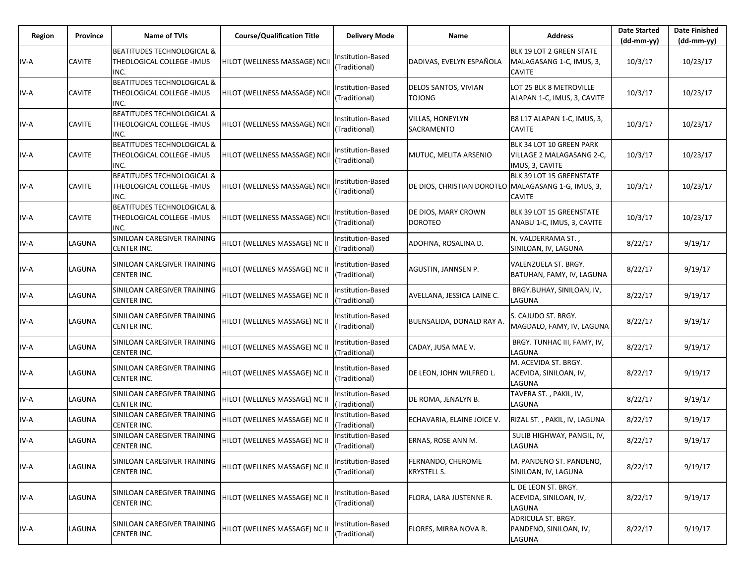| Region | Province      | Name of TVIs                                                                | <b>Course/Qualification Title</b> | <b>Delivery Mode</b>               | Name                                                | <b>Address</b>                                                           | <b>Date Started</b><br>$(dd-mm-yy)$ | <b>Date Finished</b><br>$(dd-mm-yy)$ |
|--------|---------------|-----------------------------------------------------------------------------|-----------------------------------|------------------------------------|-----------------------------------------------------|--------------------------------------------------------------------------|-------------------------------------|--------------------------------------|
| IV-A   | <b>CAVITE</b> | BEATITUDES TECHNOLOGICAL &<br>THEOLOGICAL COLLEGE -IMUS<br>INC.             | HILOT (WELLNESS MASSAGE) NCII     | Institution-Based<br>(Traditional) | DADIVAS, EVELYN ESPAÑOLA                            | BLK 19 LOT 2 GREEN STATE<br>MALAGASANG 1-C, IMUS, 3,<br><b>CAVITE</b>    | 10/3/17                             | 10/23/17                             |
| IV-A   | <b>CAVITE</b> | BEATITUDES TECHNOLOGICAL &<br>THEOLOGICAL COLLEGE - IMUS<br>INC.            | HILOT (WELLNESS MASSAGE) NCII     | Institution-Based<br>(Traditional) | DELOS SANTOS, VIVIAN<br><b>TOJONG</b>               | LOT 25 BLK 8 METROVILLE<br>ALAPAN 1-C, IMUS, 3, CAVITE                   | 10/3/17                             | 10/23/17                             |
| IV-A   | <b>CAVITE</b> | <b>BEATITUDES TECHNOLOGICAL &amp;</b><br>THEOLOGICAL COLLEGE - IMUS<br>INC. | HILOT (WELLNESS MASSAGE) NCII     | Institution-Based<br>(Traditional) | VILLAS, HONEYLYN<br>SACRAMENTO                      | B8 L17 ALAPAN 1-C, IMUS, 3,<br><b>CAVITE</b>                             | 10/3/17                             | 10/23/17                             |
| IV-A   | <b>CAVITE</b> | <b>BEATITUDES TECHNOLOGICAL &amp;</b><br>THEOLOGICAL COLLEGE - IMUS<br>INC. | HILOT (WELLNESS MASSAGE) NCII     | Institution-Based<br>(Traditional) | MUTUC, MELITA ARSENIO                               | BLK 34 LOT 10 GREEN PARK<br>VILLAGE 2 MALAGASANG 2-C,<br>IMUS, 3, CAVITE | 10/3/17                             | 10/23/17                             |
| IV-A   | <b>CAVITE</b> | <b>BEATITUDES TECHNOLOGICAL &amp;</b><br>THEOLOGICAL COLLEGE - IMUS<br>INC. | HILOT (WELLNESS MASSAGE) NCII     | Institution-Based<br>(Traditional) | DE DIOS, CHRISTIAN DOROTEO MALAGASANG 1-G, IMUS, 3, | BLK 39 LOT 15 GREENSTATE<br><b>CAVITE</b>                                | 10/3/17                             | 10/23/17                             |
| IV-A   | <b>CAVITE</b> | <b>BEATITUDES TECHNOLOGICAL &amp;</b><br>THEOLOGICAL COLLEGE -IMUS<br>INC.  | HILOT (WELLNESS MASSAGE) NCII     | Institution-Based<br>(Traditional) | DE DIOS, MARY CROWN<br><b>DOROTEO</b>               | BLK 39 LOT 15 GREENSTATE<br>ANABU 1-C, IMUS, 3, CAVITE                   | 10/3/17                             | 10/23/17                             |
| IV-A   | LAGUNA        | SINILOAN CAREGIVER TRAINING<br>CENTER INC.                                  | HILOT (WELLNES MASSAGE) NC II     | Institution-Based<br>(Traditional) | ADOFINA, ROSALINA D.                                | N. VALDERRAMA ST.,<br>SINILOAN, IV, LAGUNA                               | 8/22/17                             | 9/19/17                              |
| IV-A   | LAGUNA        | SINILOAN CAREGIVER TRAINING<br>CENTER INC.                                  | HILOT (WELLNES MASSAGE) NC II     | Institution-Based<br>(Traditional) | AGUSTIN, JANNSEN P.                                 | VALENZUELA ST. BRGY.<br>BATUHAN, FAMY, IV, LAGUNA                        | 8/22/17                             | 9/19/17                              |
| IV-A   | LAGUNA        | SINILOAN CAREGIVER TRAINING<br>CENTER INC.                                  | HILOT (WELLNES MASSAGE) NC II     | Institution-Based<br>(Traditional) | AVELLANA, JESSICA LAINE C.                          | BRGY.BUHAY, SINILOAN, IV,<br>LAGUNA                                      | 8/22/17                             | 9/19/17                              |
| IV-A   | LAGUNA        | SINILOAN CAREGIVER TRAINING<br>CENTER INC.                                  | HILOT (WELLNES MASSAGE) NC II     | Institution-Based<br>(Traditional) | <b>BUENSALIDA, DONALD RAY A.</b>                    | S. CAJUDO ST. BRGY.<br>MAGDALO, FAMY, IV, LAGUNA                         | 8/22/17                             | 9/19/17                              |
| IV-A   | LAGUNA        | SINILOAN CAREGIVER TRAINING<br>CENTER INC.                                  | HILOT (WELLNES MASSAGE) NC II     | Institution-Based<br>(Traditional) | CADAY, JUSA MAE V.                                  | BRGY. TUNHAC III, FAMY, IV,<br>LAGUNA                                    | 8/22/17                             | 9/19/17                              |
| IV-A   | LAGUNA        | SINILOAN CAREGIVER TRAINING<br>CENTER INC.                                  | HILOT (WELLNES MASSAGE) NC II     | Institution-Based<br>(Traditional) | DE LEON, JOHN WILFRED L.                            | M. ACEVIDA ST. BRGY.<br>ACEVIDA, SINILOAN, IV,<br>LAGUNA                 | 8/22/17                             | 9/19/17                              |
| IV-A   | LAGUNA        | SINILOAN CAREGIVER TRAINING<br><b>CENTER INC.</b>                           | HILOT (WELLNES MASSAGE) NC II     | Institution-Based<br>(Traditional) | DE ROMA, JENALYN B.                                 | TAVERA ST., PAKIL, IV,<br>LAGUNA                                         | 8/22/17                             | 9/19/17                              |
| IV-A   | LAGUNA        | SINILOAN CAREGIVER TRAINING<br>CENTER INC.                                  | HILOT (WELLNES MASSAGE) NC II     | Institution-Based<br>(Traditional) | ECHAVARIA, ELAINE JOICE V.                          | RIZAL ST., PAKIL, IV, LAGUNA                                             | 8/22/17                             | 9/19/17                              |
| IV-A   | LAGUNA        | SINILOAN CAREGIVER TRAINING<br>CENTER INC.                                  | HILOT (WELLNES MASSAGE) NC II     | nstitution-Based<br>(Traditional)  | ERNAS, ROSE ANN M.                                  | SULIB HIGHWAY, PANGIL, IV,<br>LAGUNA                                     | 8/22/17                             | 9/19/17                              |
| IV-A   | LAGUNA        | SINILOAN CAREGIVER TRAINING<br>CENTER INC.                                  | HILOT (WELLNES MASSAGE) NC II     | Institution-Based<br>(Traditional) | FERNANDO, CHEROME<br>KRYSTELL S.                    | M. PANDENO ST. PANDENO,<br>SINILOAN, IV, LAGUNA                          | 8/22/17                             | 9/19/17                              |
| IV-A   | LAGUNA        | SINILOAN CAREGIVER TRAINING<br>CENTER INC.                                  | HILOT (WELLNES MASSAGE) NC II     | Institution-Based<br>(Traditional) | FLORA, LARA JUSTENNE R.                             | L. DE LEON ST. BRGY.<br>ACEVIDA, SINILOAN, IV,<br>LAGUNA                 | 8/22/17                             | 9/19/17                              |
| IV-A   | LAGUNA        | SINILOAN CAREGIVER TRAINING<br>CENTER INC.                                  | HILOT (WELLNES MASSAGE) NC II     | Institution-Based<br>(Traditional) | FLORES, MIRRA NOVA R.                               | ADRICULA ST. BRGY.<br>PANDENO, SINILOAN, IV,<br>LAGUNA                   | 8/22/17                             | 9/19/17                              |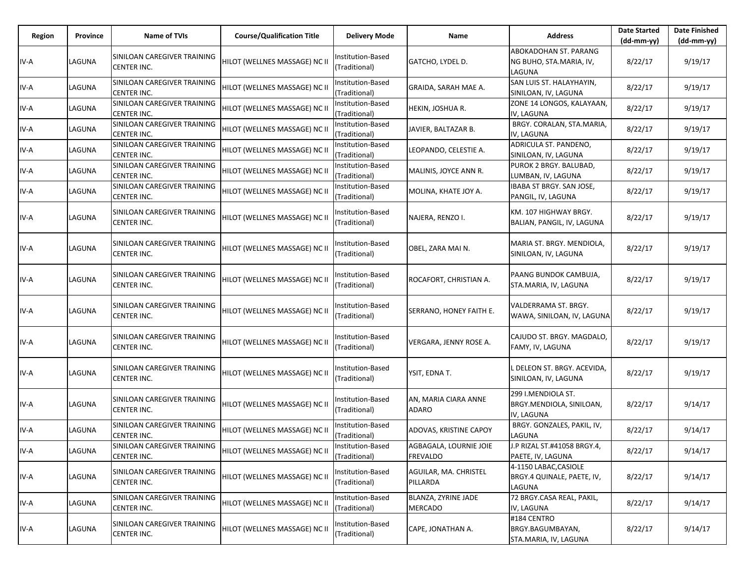| Region | Province | Name of TVIs                                      | <b>Course/Qualification Title</b> | <b>Delivery Mode</b>               | Name                                      | <b>Address</b>                                                    | <b>Date Started</b><br>$(dd-mm-yy)$ | <b>Date Finished</b><br>$(dd-mm-yy)$ |
|--------|----------|---------------------------------------------------|-----------------------------------|------------------------------------|-------------------------------------------|-------------------------------------------------------------------|-------------------------------------|--------------------------------------|
| IV-A   | LAGUNA   | SINILOAN CAREGIVER TRAINING<br><b>CENTER INC.</b> | HILOT (WELLNES MASSAGE) NC II     | nstitution-Based<br>(Traditional)  | GATCHO, LYDEL D.                          | <b>ABOKADOHAN ST. PARANG</b><br>NG BUHO, STA.MARIA, IV,<br>LAGUNA | 8/22/17                             | 9/19/17                              |
| IV-A   | LAGUNA   | SINILOAN CAREGIVER TRAINING<br>CENTER INC.        | HILOT (WELLNES MASSAGE) NC II     | nstitution-Based<br>(Traditional)  | GRAIDA, SARAH MAE A.                      | SAN LUIS ST. HALAYHAYIN,<br>SINILOAN, IV, LAGUNA                  | 8/22/17                             | 9/19/17                              |
| IV-A   | LAGUNA   | SINILOAN CAREGIVER TRAINING<br>CENTER INC.        | HILOT (WELLNES MASSAGE) NC II     | nstitution-Based<br>(Traditional)  | HEKIN, JOSHUA R.                          | ZONE 14 LONGOS, KALAYAAN,<br>IV, LAGUNA                           | 8/22/17                             | 9/19/17                              |
| IV-A   | LAGUNA   | SINILOAN CAREGIVER TRAINING<br><b>CENTER INC.</b> | HILOT (WELLNES MASSAGE) NC II     | Institution-Based<br>(Traditional) | JAVIER, BALTAZAR B.                       | BRGY. CORALAN, STA.MARIA,<br>IV, LAGUNA                           | 8/22/17                             | 9/19/17                              |
| IV-A   | LAGUNA   | SINILOAN CAREGIVER TRAINING<br>CENTER INC.        | HILOT (WELLNES MASSAGE) NC II     | Institution-Based<br>(Traditional) | LEOPANDO, CELESTIE A.                     | ADRICULA ST. PANDENO,<br>SINILOAN, IV, LAGUNA                     | 8/22/17                             | 9/19/17                              |
| IV-A   | LAGUNA   | SINILOAN CAREGIVER TRAINING<br>CENTER INC.        | HILOT (WELLNES MASSAGE) NC II     | nstitution-Based<br>(Traditional)  | MALINIS, JOYCE ANN R.                     | PUROK 2 BRGY. BALUBAD,<br>LUMBAN, IV, LAGUNA                      | 8/22/17                             | 9/19/17                              |
| IV-A   | LAGUNA   | SINILOAN CAREGIVER TRAINING<br>CENTER INC.        | HILOT (WELLNES MASSAGE) NC II     | Institution-Based<br>(Traditional) | MOLINA, KHATE JOY A.                      | IBABA ST BRGY. SAN JOSE,<br>PANGIL, IV, LAGUNA                    | 8/22/17                             | 9/19/17                              |
| IV-A   | LAGUNA   | SINILOAN CAREGIVER TRAINING<br>CENTER INC.        | HILOT (WELLNES MASSAGE) NC II     | nstitution-Based<br>(Traditional)  | NAJERA, RENZO I.                          | KM. 107 HIGHWAY BRGY.<br>BALIAN, PANGIL, IV, LAGUNA               | 8/22/17                             | 9/19/17                              |
| IV-A   | LAGUNA   | SINILOAN CAREGIVER TRAINING<br>CENTER INC.        | HILOT (WELLNES MASSAGE) NC II     | nstitution-Based<br>(Traditional)  | OBEL, ZARA MAI N.                         | MARIA ST. BRGY. MENDIOLA,<br>SINILOAN, IV, LAGUNA                 | 8/22/17                             | 9/19/17                              |
| IV-A   | LAGUNA   | SINILOAN CAREGIVER TRAINING<br>CENTER INC.        | HILOT (WELLNES MASSAGE) NC II     | nstitution-Based<br>(Traditional)  | ROCAFORT, CHRISTIAN A.                    | PAANG BUNDOK CAMBUJA,<br>STA.MARIA, IV, LAGUNA                    | 8/22/17                             | 9/19/17                              |
| IV-A   | LAGUNA   | SINILOAN CAREGIVER TRAINING<br>CENTER INC.        | HILOT (WELLNES MASSAGE) NC II     | Institution-Based<br>(Traditional) | SERRANO, HONEY FAITH E.                   | VALDERRAMA ST. BRGY.<br>WAWA, SINILOAN, IV, LAGUNA                | 8/22/17                             | 9/19/17                              |
| IV-A   | LAGUNA   | SINILOAN CAREGIVER TRAINING<br>CENTER INC.        | HILOT (WELLNES MASSAGE) NC II     | nstitution-Based<br>(Traditional)  | VERGARA, JENNY ROSE A.                    | CAJUDO ST. BRGY. MAGDALO,<br>FAMY, IV, LAGUNA                     | 8/22/17                             | 9/19/17                              |
| IV-A   | LAGUNA   | SINILOAN CAREGIVER TRAINING<br>CENTER INC.        | HILOT (WELLNES MASSAGE) NC II     | nstitution-Based<br>(Traditional)  | YSIT, EDNA T.                             | L DELEON ST. BRGY. ACEVIDA,<br>SINILOAN, IV, LAGUNA               | 8/22/17                             | 9/19/17                              |
| IV-A   | LAGUNA   | SINILOAN CAREGIVER TRAINING<br>CENTER INC.        | HILOT (WELLNES MASSAGE) NC II     | nstitution-Based<br>(Traditional)  | AN, MARIA CIARA ANNE<br>ADARO             | 299 I.MENDIOLA ST.<br>BRGY.MENDIOLA, SINILOAN,<br>IV, LAGUNA      | 8/22/17                             | 9/14/17                              |
| IV-A   | LAGUNA   | SINILOAN CAREGIVER TRAINING<br>CENTER INC.        | HILOT (WELLNES MASSAGE) NC II     | nstitution-Based<br>(Traditional)  | ADOVAS, KRISTINE CAPOY                    | BRGY. GONZALES, PAKIL, IV,<br>LAGUNA                              | 8/22/17                             | 9/14/17                              |
| IV-A   | LAGUNA   | SINILOAN CAREGIVER TRAINING<br>CENTER INC.        | HILOT (WELLNES MASSAGE) NC II     | Institution-Based<br>(Traditional) | AGBAGALA, LOURNIE JOIE<br><b>FREVALDO</b> | J.P RIZAL ST.#41058 BRGY.4,<br>PAETE, IV, LAGUNA                  | 8/22/17                             | 9/14/17                              |
| IV-A   | LAGUNA   | SINILOAN CAREGIVER TRAINING<br>CENTER INC.        | HILOT (WELLNES MASSAGE) NC II     | Institution-Based<br>(Traditional) | AGUILAR, MA. CHRISTEL<br>PILLARDA         | 4-1150 LABAC, CASIOLE<br>BRGY.4 QUINALE, PAETE, IV,<br>LAGUNA     | 8/22/17                             | 9/14/17                              |
| IV-A   | LAGUNA   | SINILOAN CAREGIVER TRAINING<br><b>CENTER INC.</b> | HILOT (WELLNES MASSAGE) NC II     | nstitution-Based<br>(Traditional)  | BLANZA, ZYRINE JADE<br>MERCADO            | 72 BRGY.CASA REAL, PAKIL,<br>IV, LAGUNA                           | 8/22/17                             | 9/14/17                              |
| IV-A   | LAGUNA   | SINILOAN CAREGIVER TRAINING<br>CENTER INC.        | HILOT (WELLNES MASSAGE) NC II     | nstitution-Based<br>(Traditional)  | CAPE, JONATHAN A.                         | #184 CENTRO<br>BRGY.BAGUMBAYAN,<br>STA.MARIA, IV, LAGUNA          | 8/22/17                             | 9/14/17                              |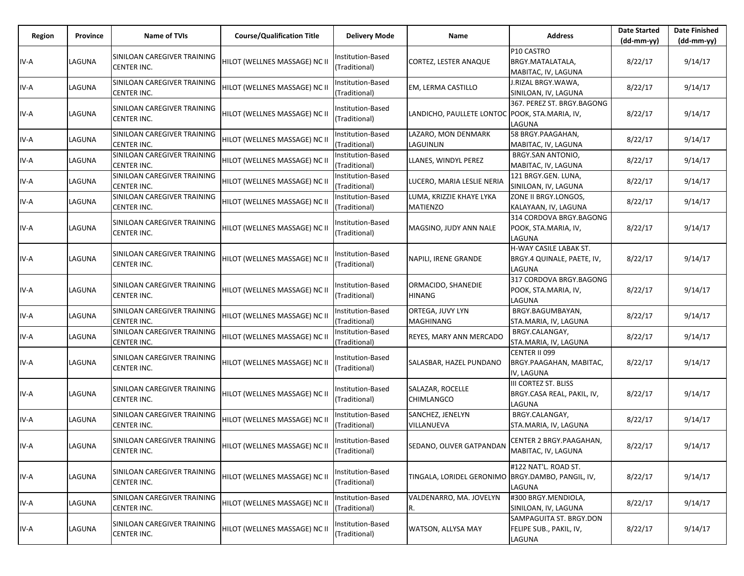| Region | Province | Name of TVIs                                      | <b>Course/Qualification Title</b> | <b>Delivery Mode</b>               | Name                                                | <b>Address</b>                                                        | <b>Date Started</b><br>$(dd-mm-yy)$ | <b>Date Finished</b><br>(dd-mm-yy) |
|--------|----------|---------------------------------------------------|-----------------------------------|------------------------------------|-----------------------------------------------------|-----------------------------------------------------------------------|-------------------------------------|------------------------------------|
| IV-A   | LAGUNA   | SINILOAN CAREGIVER TRAINING<br><b>CENTER INC.</b> | HILOT (WELLNES MASSAGE) NC II     | Institution-Based<br>(Traditional) | <b>CORTEZ, LESTER ANAQUE</b>                        | P10 CASTRO<br>BRGY.MATALATALA,<br>MABITAC, IV, LAGUNA                 | 8/22/17                             | 9/14/17                            |
| IV-A   | LAGUNA   | SINILOAN CAREGIVER TRAINING<br><b>CENTER INC.</b> | HILOT (WELLNES MASSAGE) NC II     | nstitution-Based<br>(Traditional)  | <b>EM, LERMA CASTILLO</b>                           | J.RIZAL BRGY.WAWA,<br>SINILOAN, IV, LAGUNA                            | 8/22/17                             | 9/14/17                            |
| IV-A   | LAGUNA   | SINILOAN CAREGIVER TRAINING<br><b>CENTER INC.</b> | HILOT (WELLNES MASSAGE) NC II     | Institution-Based<br>(Traditional) | LANDICHO, PAULLETE LONTOC POOK, STA.MARIA, IV,      | 367. PEREZ ST. BRGY.BAGONG<br>LAGUNA                                  | 8/22/17                             | 9/14/17                            |
| IV-A   | LAGUNA   | SINILOAN CAREGIVER TRAINING<br><b>CENTER INC.</b> | HILOT (WELLNES MASSAGE) NC II     | Institution-Based<br>(Traditional) | LAZARO, MON DENMARK<br>LAGUINLIN                    | 58 BRGY.PAAGAHAN,<br>MABITAC, IV, LAGUNA                              | 8/22/17                             | 9/14/17                            |
| IV-A   | LAGUNA   | SINILOAN CAREGIVER TRAINING<br><b>CENTER INC.</b> | HILOT (WELLNES MASSAGE) NC II     | Institution-Based<br>(Traditional) | LLANES, WINDYL PEREZ                                | BRGY.SAN ANTONIO,<br>MABITAC, IV, LAGUNA                              | 8/22/17                             | 9/14/17                            |
| IV-A   | LAGUNA   | SINILOAN CAREGIVER TRAINING<br><b>CENTER INC.</b> | HILOT (WELLNES MASSAGE) NC II     | nstitution-Based<br>(Traditional)  | LUCERO, MARIA LESLIE NERIA                          | 121 BRGY.GEN. LUNA,<br>SINILOAN, IV, LAGUNA                           | 8/22/17                             | 9/14/17                            |
| IV-A   | LAGUNA   | SINILOAN CAREGIVER TRAINING<br>CENTER INC.        | HILOT (WELLNES MASSAGE) NC II     | nstitution-Based<br>(Traditional)  | LUMA, KRIZZIE KHAYE LYKA<br><b>MATIENZO</b>         | ZONE II BRGY.LONGOS,<br>KALAYAAN, IV, LAGUNA                          | 8/22/17                             | 9/14/17                            |
| IV-A   | LAGUNA   | SINILOAN CAREGIVER TRAINING<br>CENTER INC.        | HILOT (WELLNES MASSAGE) NC II     | Institution-Based<br>(Traditional) | MAGSINO, JUDY ANN NALE                              | 314 CORDOVA BRGY.BAGONG<br>POOK, STA.MARIA, IV,<br>LAGUNA             | 8/22/17                             | 9/14/17                            |
| IV-A   | LAGUNA   | SINILOAN CAREGIVER TRAINING<br><b>CENTER INC.</b> | HILOT (WELLNES MASSAGE) NC II     | Institution-Based<br>(Traditional) | NAPILI, IRENE GRANDE                                | <b>H-WAY CASILE LABAK ST.</b><br>BRGY.4 QUINALE, PAETE, IV,<br>LAGUNA | 8/22/17                             | 9/14/17                            |
| IV-A   | LAGUNA   | SINILOAN CAREGIVER TRAINING<br><b>CENTER INC.</b> | HILOT (WELLNES MASSAGE) NC II     | nstitution-Based<br>(Traditional)  | ORMACIDO, SHANEDIE<br><b>HINANG</b>                 | 317 CORDOVA BRGY.BAGONG<br>POOK, STA.MARIA, IV,<br>LAGUNA             | 8/22/17                             | 9/14/17                            |
| IV-A   | LAGUNA   | SINILOAN CAREGIVER TRAINING<br><b>CENTER INC.</b> | HILOT (WELLNES MASSAGE) NC II     | Institution-Based<br>(Traditional) | ORTEGA, JUVY LYN<br>MAGHINANG                       | BRGY.BAGUMBAYAN,<br>STA.MARIA, IV, LAGUNA                             | 8/22/17                             | 9/14/17                            |
| IV-A   | LAGUNA   | SINILOAN CAREGIVER TRAINING<br><b>CENTER INC.</b> | HILOT (WELLNES MASSAGE) NC II     | nstitution-Based<br>(Traditional)  | REYES, MARY ANN MERCADO                             | BRGY.CALANGAY,<br>STA.MARIA, IV, LAGUNA                               | 8/22/17                             | 9/14/17                            |
| IV-A   | LAGUNA   | SINILOAN CAREGIVER TRAINING<br><b>CENTER INC.</b> | HILOT (WELLNES MASSAGE) NC II     | nstitution-Based<br>(Traditional)  | SALASBAR, HAZEL PUNDANO                             | CENTER II 099<br>BRGY.PAAGAHAN, MABITAC,<br>IV, LAGUNA                | 8/22/17                             | 9/14/17                            |
| IV-A   | LAGUNA   | SINILOAN CAREGIVER TRAINING<br><b>CENTER INC.</b> | HILOT (WELLNES MASSAGE) NC II     | Institution-Based<br>(Traditional) | SALAZAR, ROCELLE<br><b>CHIMLANGCO</b>               | <b>III CORTEZ ST. BLISS</b><br>BRGY.CASA REAL, PAKIL, IV,<br>LAGUNA   | 8/22/17                             | 9/14/17                            |
| IV-A   | LAGUNA   | SINILOAN CAREGIVER TRAINING<br><b>CENTER INC.</b> | HILOT (WELLNES MASSAGE) NC II     | Institution-Based<br>(Traditional) | SANCHEZ, JENELYN<br>VILLANUEVA                      | BRGY.CALANGAY,<br>STA.MARIA, IV, LAGUNA                               | 8/22/17                             | 9/14/17                            |
| IV-A   | LAGUNA   | SINILOAN CAREGIVER TRAINING<br><b>CENTER INC.</b> | HILOT (WELLNES MASSAGE) NC II     | Institution-Based<br>(Traditional) | SEDANO, OLIVER GATPANDAN                            | CENTER 2 BRGY.PAAGAHAN,<br>MABITAC, IV, LAGUNA                        | 8/22/17                             | 9/14/17                            |
| IV-A   | LAGUNA   | SINILOAN CAREGIVER TRAINING<br>CENTER INC.        | HILOT (WELLNES MASSAGE) NC II     | Institution-Based<br>(Traditional) | TINGALA, LORIDEL GERONIMO   BRGY.DAMBO, PANGIL, IV, | #122 NAT'L. ROAD ST.<br>LAGUNA                                        | 8/22/17                             | 9/14/17                            |
| IV-A   | LAGUNA   | SINILOAN CAREGIVER TRAINING<br><b>CENTER INC.</b> | HILOT (WELLNES MASSAGE) NC II     | nstitution-Based<br>(Traditional)  | VALDENARRO, MA. JOVELYN                             | #300 BRGY.MENDIOLA,<br>SINILOAN, IV, LAGUNA                           | 8/22/17                             | 9/14/17                            |
| IV-A   | LAGUNA   | SINILOAN CAREGIVER TRAINING<br>CENTER INC.        | HILOT (WELLNES MASSAGE) NC II     | Institution-Based<br>(Traditional) | WATSON, ALLYSA MAY                                  | SAMPAGUITA ST. BRGY.DON<br>FELIPE SUB., PAKIL, IV,<br>LAGUNA          | 8/22/17                             | 9/14/17                            |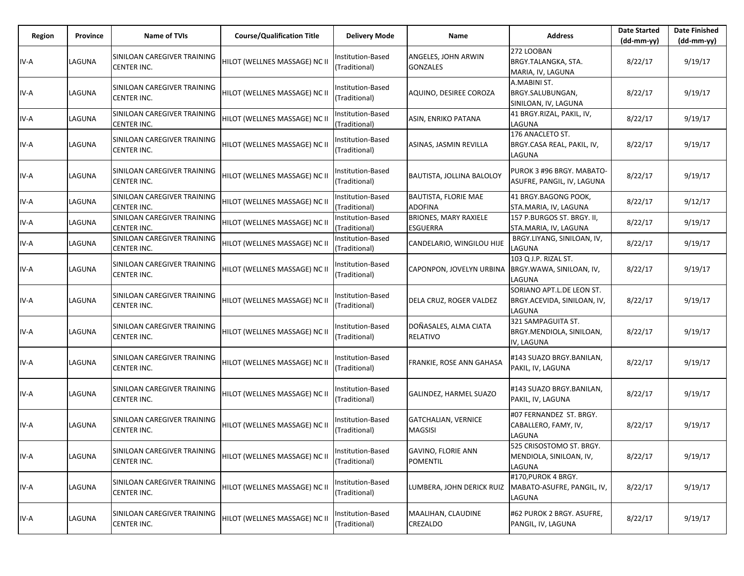| Region | Province | Name of TVIs                                      | <b>Course/Qualification Title</b> | <b>Delivery Mode</b>               | Name                                            | <b>Address</b>                                                     | <b>Date Started</b><br>$(dd-mm-yy)$ | <b>Date Finished</b><br>$(dd-mm-yy)$ |
|--------|----------|---------------------------------------------------|-----------------------------------|------------------------------------|-------------------------------------------------|--------------------------------------------------------------------|-------------------------------------|--------------------------------------|
| IV-A   | LAGUNA   | SINILOAN CAREGIVER TRAINING<br><b>CENTER INC.</b> | HILOT (WELLNES MASSAGE) NC II     | Institution-Based<br>(Traditional) | ANGELES, JOHN ARWIN<br><b>GONZALES</b>          | 272 LOOBAN<br>BRGY.TALANGKA, STA.<br>MARIA, IV, LAGUNA             | 8/22/17                             | 9/19/17                              |
| IV-A   | LAGUNA   | SINILOAN CAREGIVER TRAINING<br>CENTER INC.        | HILOT (WELLNES MASSAGE) NC II     | Institution-Based<br>(Traditional) | AQUINO, DESIREE COROZA                          | A.MABINI ST.<br>BRGY.SALUBUNGAN,<br>SINILOAN, IV, LAGUNA           | 8/22/17                             | 9/19/17                              |
| IV-A   | LAGUNA   | SINILOAN CAREGIVER TRAINING<br><b>CENTER INC.</b> | HILOT (WELLNES MASSAGE) NC II     | Institution-Based<br>(Traditional) | <b>ASIN, ENRIKO PATANA</b>                      | 41 BRGY.RIZAL, PAKIL, IV,<br>LAGUNA                                | 8/22/17                             | 9/19/17                              |
| IV-A   | LAGUNA   | SINILOAN CAREGIVER TRAINING<br>CENTER INC.        | HILOT (WELLNES MASSAGE) NC II     | Institution-Based<br>(Traditional) | ASINAS, JASMIN REVILLA                          | 176 ANACLETO ST.<br>BRGY.CASA REAL, PAKIL, IV,<br>LAGUNA           | 8/22/17                             | 9/19/17                              |
| IV-A   | LAGUNA   | SINILOAN CAREGIVER TRAINING<br>CENTER INC.        | HILOT (WELLNES MASSAGE) NC II     | Institution-Based<br>(Traditional) | BAUTISTA, JOLLINA BALOLOY                       | PUROK 3 #96 BRGY. MABATO-<br>ASUFRE, PANGIL, IV, LAGUNA            | 8/22/17                             | 9/19/17                              |
| IV-A   | LAGUNA   | SINILOAN CAREGIVER TRAINING<br><b>CENTER INC.</b> | HILOT (WELLNES MASSAGE) NC II     | Institution-Based<br>(Traditional) | <b>BAUTISTA, FLORIE MAE</b><br><b>ADOFINA</b>   | 41 BRGY.BAGONG POOK,<br>STA.MARIA, IV, LAGUNA                      | 8/22/17                             | 9/12/17                              |
| IV-A   | LAGUNA   | SINILOAN CAREGIVER TRAINING<br>CENTER INC.        | HILOT (WELLNES MASSAGE) NC II     | Institution-Based<br>(Traditional) | <b>BRIONES, MARY RAXIELE</b><br><b>ESGUERRA</b> | 157 P.BURGOS ST. BRGY. II,<br>STA.MARIA, IV, LAGUNA                | 8/22/17                             | 9/19/17                              |
| IV-A   | LAGUNA   | SINILOAN CAREGIVER TRAINING<br><b>CENTER INC.</b> | HILOT (WELLNES MASSAGE) NC II     | Institution-Based<br>(Traditional) | CANDELARIO, WINGILOU HIJE                       | BRGY.LIYANG, SINILOAN, IV,<br>LAGUNA                               | 8/22/17                             | 9/19/17                              |
| IV-A   | LAGUNA   | SINILOAN CAREGIVER TRAINING<br>CENTER INC.        | HILOT (WELLNES MASSAGE) NC II     | Institution-Based<br>(Traditional) | CAPONPON, JOVELYN URBINA                        | 103 Q J.P. RIZAL ST.<br>BRGY.WAWA, SINILOAN, IV,<br>LAGUNA         | 8/22/17                             | 9/19/17                              |
| IV-A   | LAGUNA   | SINILOAN CAREGIVER TRAINING<br>CENTER INC.        | HILOT (WELLNES MASSAGE) NC II     | Institution-Based<br>(Traditional) | DELA CRUZ, ROGER VALDEZ                         | SORIANO APT.L.DE LEON ST.<br>BRGY.ACEVIDA, SINILOAN, IV,<br>LAGUNA | 8/22/17                             | 9/19/17                              |
| IV-A   | LAGUNA   | SINILOAN CAREGIVER TRAINING<br>CENTER INC.        | HILOT (WELLNES MASSAGE) NC II     | Institution-Based<br>(Traditional) | DOÑASALES, ALMA CIATA<br><b>RELATIVO</b>        | 321 SAMPAGUITA ST.<br>BRGY.MENDIOLA, SINILOAN,<br>IV, LAGUNA       | 8/22/17                             | 9/19/17                              |
| IV-A   | LAGUNA   | SINILOAN CAREGIVER TRAINING<br>CENTER INC.        | HILOT (WELLNES MASSAGE) NC II     | Institution-Based<br>(Traditional) | FRANKIE, ROSE ANN GAHASA                        | #143 SUAZO BRGY.BANILAN,<br>PAKIL, IV, LAGUNA                      | 8/22/17                             | 9/19/17                              |
| IV-A   | LAGUNA   | SINILOAN CAREGIVER TRAINING<br>CENTER INC.        | HILOT (WELLNES MASSAGE) NC II     | Institution-Based<br>(Traditional) | GALINDEZ, HARMEL SUAZO                          | #143 SUAZO BRGY.BANILAN.<br>PAKIL, IV, LAGUNA                      | 8/22/17                             | 9/19/17                              |
| IV-A   | LAGUNA   | SINILOAN CAREGIVER TRAINING<br>CENTER INC.        | HILOT (WELLNES MASSAGE) NC II     | Institution-Based<br>(Traditional) | <b>GATCHALIAN, VERNICE</b><br><b>MAGSISI</b>    | #07 FERNANDEZ ST. BRGY.<br>CABALLERO, FAMY, IV,<br>LAGUNA          | 8/22/17                             | 9/19/17                              |
| IV-A   | LAGUNA   | SINILOAN CAREGIVER TRAINING<br>CENTER INC.        | HILOT (WELLNES MASSAGE) NC II     | Institution-Based<br>(Traditional) | <b>GAVINO, FLORIE ANN</b><br><b>POMENTIL</b>    | 525 CRISOSTOMO ST. BRGY.<br>MENDIOLA, SINILOAN, IV,<br>LAGUNA      | 8/22/17                             | 9/19/17                              |
| IV-A   | LAGUNA   | SINILOAN CAREGIVER TRAINING<br>CENTER INC.        | HILOT (WELLNES MASSAGE) NC II     | Institution-Based<br>(Traditional) | LUMBERA, JOHN DERICK RUIZ                       | #170, PUROK 4 BRGY.<br>MABATO-ASUFRE, PANGIL, IV,<br>LAGUNA        | 8/22/17                             | 9/19/17                              |
| IV-A   | LAGUNA   | SINILOAN CAREGIVER TRAINING<br>CENTER INC.        | HILOT (WELLNES MASSAGE) NC II     | Institution-Based<br>(Traditional) | MAALIHAN, CLAUDINE<br>CREZALDO                  | #62 PUROK 2 BRGY. ASUFRE,<br>PANGIL, IV, LAGUNA                    | 8/22/17                             | 9/19/17                              |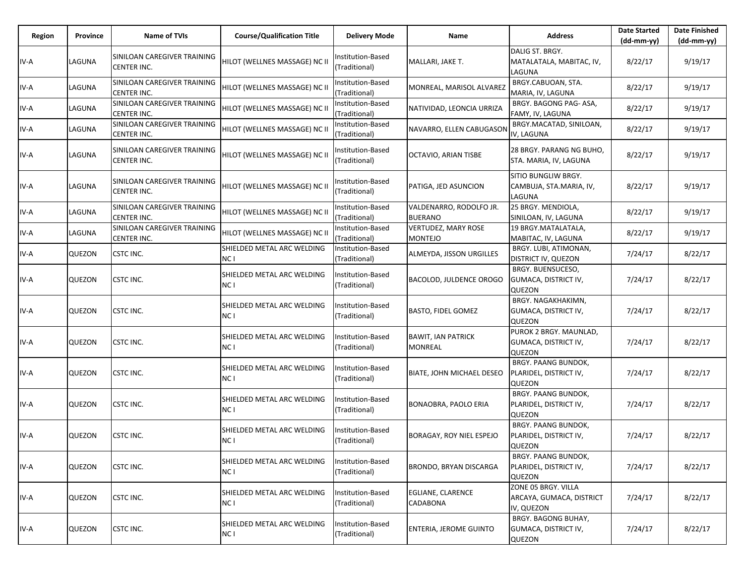| Region | Province | <b>Name of TVIs</b>                               | <b>Course/Qualification Title</b>  | <b>Delivery Mode</b>               | Name                                         | <b>Address</b>                                                | <b>Date Started</b><br>$(dd-mm-yy)$ | <b>Date Finished</b><br>$(dd-mm-vv)$ |
|--------|----------|---------------------------------------------------|------------------------------------|------------------------------------|----------------------------------------------|---------------------------------------------------------------|-------------------------------------|--------------------------------------|
| IV-A   | LAGUNA   | SINILOAN CAREGIVER TRAINING<br><b>CENTER INC.</b> | HILOT (WELLNES MASSAGE) NC II      | Institution-Based<br>(Traditional) | MALLARI, JAKE T.                             | DALIG ST. BRGY.<br>MATALATALA, MABITAC, IV,<br>LAGUNA         | 8/22/17                             | 9/19/17                              |
| IV-A   | LAGUNA   | SINILOAN CAREGIVER TRAINING<br><b>CENTER INC.</b> | HILOT (WELLNES MASSAGE) NC II      | nstitution-Based<br>(Traditional)  | MONREAL, MARISOL ALVAREZ                     | BRGY.CABUOAN, STA.<br>MARIA, IV, LAGUNA                       | 8/22/17                             | 9/19/17                              |
| IV-A   | LAGUNA   | SINILOAN CAREGIVER TRAINING<br>CENTER INC.        | HILOT (WELLNES MASSAGE) NC II      | nstitution-Based<br>(Traditional)  | NATIVIDAD, LEONCIA URRIZA                    | BRGY. BAGONG PAG-ASA,<br>FAMY, IV, LAGUNA                     | 8/22/17                             | 9/19/17                              |
| IV-A   | LAGUNA   | SINILOAN CAREGIVER TRAINING<br><b>CENTER INC.</b> | HILOT (WELLNES MASSAGE) NC II      | Institution-Based<br>(Traditional) | NAVARRO, ELLEN CABUGASON                     | BRGY.MACATAD, SINILOAN,<br>IV, LAGUNA                         | 8/22/17                             | 9/19/17                              |
| IV-A   | LAGUNA   | SINILOAN CAREGIVER TRAINING<br>CENTER INC.        | HILOT (WELLNES MASSAGE) NC II      | nstitution-Based<br>(Traditional)  | OCTAVIO, ARIAN TISBE                         | 28 BRGY. PARANG NG BUHO,<br>STA. MARIA, IV, LAGUNA            | 8/22/17                             | 9/19/17                              |
| IV-A   | LAGUNA   | SINILOAN CAREGIVER TRAINING<br><b>CENTER INC.</b> | HILOT (WELLNES MASSAGE) NC II      | nstitution-Based<br>(Traditional)  | PATIGA, JED ASUNCION                         | SITIO BUNGLIW BRGY.<br>CAMBUJA, STA.MARIA, IV,<br>LAGUNA      | 8/22/17                             | 9/19/17                              |
| IV-A   | LAGUNA   | SINILOAN CAREGIVER TRAINING<br><b>CENTER INC.</b> | HILOT (WELLNES MASSAGE) NC II      | Institution-Based<br>(Traditional) | VALDENARRO, RODOLFO JR.<br><b>BUERANO</b>    | 25 BRGY. MENDIOLA,<br>SINILOAN, IV, LAGUNA                    | 8/22/17                             | 9/19/17                              |
| IV-A   | LAGUNA   | SINILOAN CAREGIVER TRAINING<br>CENTER INC.        | HILOT (WELLNES MASSAGE) NC II      | nstitution-Based<br>(Traditional)  | <b>VERTUDEZ, MARY ROSE</b><br><b>MONTEJO</b> | 19 BRGY.MATALATALA,<br>MABITAC, IV, LAGUNA                    | 8/22/17                             | 9/19/17                              |
| IV-A   | QUEZON   | <b>CSTC INC.</b>                                  | SHIELDED METAL ARC WELDING<br>NC I | Institution-Based<br>(Traditional) | ALMEYDA, JISSON URGILLES                     | BRGY. LUBI, ATIMONAN,<br>DISTRICT IV, QUEZON                  | 7/24/17                             | 8/22/17                              |
| IV-A   | QUEZON   | <b>CSTC INC.</b>                                  | SHIELDED METAL ARC WELDING<br>NC I | nstitution-Based<br>(Traditional)  | BACOLOD, JULDENCE OROGO                      | BRGY. BUENSUCESO,<br>GUMACA, DISTRICT IV,<br>QUEZON           | 7/24/17                             | 8/22/17                              |
| IV-A   | QUEZON   | <b>CSTC INC.</b>                                  | SHIELDED METAL ARC WELDING<br>NC I | Institution-Based<br>(Traditional) | <b>BASTO, FIDEL GOMEZ</b>                    | BRGY. NAGAKHAKIMN,<br>GUMACA, DISTRICT IV,<br>QUEZON          | 7/24/17                             | 8/22/17                              |
| IV-A   | QUEZON   | <b>CSTC INC.</b>                                  | SHIELDED METAL ARC WELDING<br>NC I | nstitution-Based<br>(Traditional)  | <b>BAWIT, IAN PATRICK</b><br>MONREAL         | PUROK 2 BRGY. MAUNLAD,<br>GUMACA, DISTRICT IV,<br>QUEZON      | 7/24/17                             | 8/22/17                              |
| IV-A   | QUEZON   | <b>CSTC INC.</b>                                  | SHIELDED METAL ARC WELDING<br>NC I | Institution-Based<br>(Traditional) | BIATE, JOHN MICHAEL DESEO                    | BRGY. PAANG BUNDOK,<br>PLARIDEL, DISTRICT IV,<br>QUEZON       | 7/24/17                             | 8/22/17                              |
| IV-A   | QUEZON   | <b>CSTC INC.</b>                                  | SHIELDED METAL ARC WELDING<br>NC I | nstitution-Based<br>(Traditional)  | BONAOBRA, PAOLO ERIA                         | BRGY. PAANG BUNDOK,<br>PLARIDEL, DISTRICT IV,<br>QUEZON       | 7/24/17                             | 8/22/17                              |
| IV-A   | QUEZON   | <b>CSTC INC.</b>                                  | SHIELDED METAL ARC WELDING<br>NC I | nstitution-Based<br>(Traditional)  | BORAGAY, ROY NIEL ESPEJO                     | BRGY. PAANG BUNDOK,<br>PLARIDEL, DISTRICT IV,<br>QUEZON       | 7/24/17                             | 8/22/17                              |
| IV-A   | QUEZON   | <b>CSTC INC.</b>                                  | SHIELDED METAL ARC WELDING<br>NC I | nstitution-Based<br>(Traditional)  | BRONDO, BRYAN DISCARGA                       | BRGY. PAANG BUNDOK,<br>PLARIDEL, DISTRICT IV,<br>QUEZON       | 7/24/17                             | 8/22/17                              |
| IV-A   | QUEZON   | <b>CSTC INC.</b>                                  | SHIELDED METAL ARC WELDING<br>NC I | Institution-Based<br>(Traditional) | EGLIANE, CLARENCE<br>CADABONA                | ZONE 05 BRGY. VILLA<br>ARCAYA, GUMACA, DISTRICT<br>IV, QUEZON | 7/24/17                             | 8/22/17                              |
| IV-A   | QUEZON   | <b>CSTC INC.</b>                                  | SHIELDED METAL ARC WELDING<br>NC I | nstitution-Based<br>(Traditional)  | ENTERIA, JEROME GUINTO                       | BRGY. BAGONG BUHAY,<br>GUMACA, DISTRICT IV,<br>QUEZON         | 7/24/17                             | 8/22/17                              |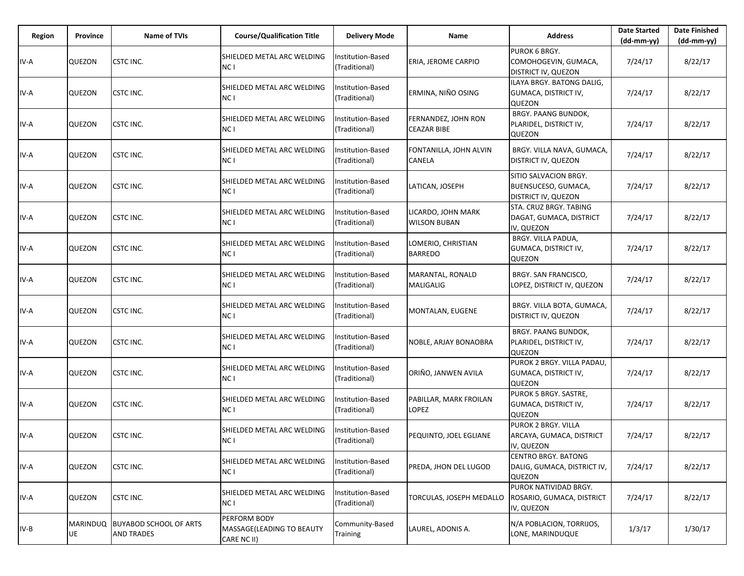| Region | <b>Province</b>       | <b>Name of TVIs</b>                                | <b>Course/Qualification Title</b>                        | <b>Delivery Mode</b>               | Name                                      | <b>Address</b>                                                             | <b>Date Started</b><br>$(dd-mm-yy)$ | <b>Date Finished</b><br>(dd-mm-yy) |
|--------|-----------------------|----------------------------------------------------|----------------------------------------------------------|------------------------------------|-------------------------------------------|----------------------------------------------------------------------------|-------------------------------------|------------------------------------|
| IV-A   | QUEZON                | CSTC INC.                                          | SHIELDED METAL ARC WELDING<br>NC I                       | Institution-Based<br>(Traditional) | ERIA, JEROME CARPIO                       | PUROK 6 BRGY.<br>COMOHOGEVIN, GUMACA,<br><b>DISTRICT IV, QUEZON</b>        | 7/24/17                             | 8/22/17                            |
| IV-A   | QUEZON                | CSTC INC.                                          | SHIELDED METAL ARC WELDING<br>NC I                       | Institution-Based<br>(Traditional) | ERMINA, NIÑO OSING                        | ILAYA BRGY, BATONG DALIG.<br>GUMACA, DISTRICT IV,<br>QUEZON                | 7/24/17                             | 8/22/17                            |
| IV-A   | QUEZON                | CSTC INC.                                          | SHIELDED METAL ARC WELDING<br>NC <sub>1</sub>            | Institution-Based<br>(Traditional) | FERNANDEZ, JOHN RON<br><b>CEAZAR BIBE</b> | BRGY. PAANG BUNDOK,<br>PLARIDEL, DISTRICT IV,<br>QUEZON                    | 7/24/17                             | 8/22/17                            |
| IV-A   | QUEZON                | CSTC INC.                                          | SHIELDED METAL ARC WELDING<br>NC I                       | Institution-Based<br>(Traditional) | FONTANILLA, JOHN ALVIN<br><b>CANELA</b>   | BRGY. VILLA NAVA, GUMACA,<br><b>DISTRICT IV, QUEZON</b>                    | 7/24/17                             | 8/22/17                            |
| IV-A   | QUEZON                | CSTC INC.                                          | SHIELDED METAL ARC WELDING<br>NC I                       | Institution-Based<br>(Traditional) | LATICAN, JOSEPH                           | SITIO SALVACION BRGY.<br>BUENSUCESO, GUMACA,<br><b>DISTRICT IV, QUEZON</b> | 7/24/17                             | 8/22/17                            |
| IV-A   | QUEZON                | CSTC INC.                                          | SHIELDED METAL ARC WELDING<br>NC I                       | Institution-Based<br>(Traditional) | LICARDO, JOHN MARK<br><b>WILSON BUBAN</b> | STA. CRUZ BRGY. TABING<br>DAGAT, GUMACA, DISTRICT<br>IV, QUEZON            | 7/24/17                             | 8/22/17                            |
| IV-A   | QUEZON                | CSTC INC.                                          | SHIELDED METAL ARC WELDING<br>NC I                       | Institution-Based<br>(Traditional) | LOMERIO, CHRISTIAN<br><b>BARREDO</b>      | BRGY. VILLA PADUA,<br>GUMACA, DISTRICT IV,<br><b>QUEZON</b>                | 7/24/17                             | 8/22/17                            |
| IV-A   | QUEZON                | CSTC INC.                                          | SHIELDED METAL ARC WELDING<br>NC I                       | Institution-Based<br>(Traditional) | MARANTAL, RONALD<br><b>MALIGALIG</b>      | BRGY. SAN FRANCISCO,<br>LOPEZ, DISTRICT IV, QUEZON                         | 7/24/17                             | 8/22/17                            |
| IV-A   | QUEZON                | <b>CSTC INC.</b>                                   | SHIELDED METAL ARC WELDING<br>NC I                       | Institution-Based<br>(Traditional) | MONTALAN, EUGENE                          | BRGY. VILLA BOTA, GUMACA,<br>DISTRICT IV, QUEZON                           | 7/24/17                             | 8/22/17                            |
| IV-A   | QUEZON                | CSTC INC.                                          | SHIELDED METAL ARC WELDING<br>NC I                       | Institution-Based<br>(Traditional) | NOBLE, ARJAY BONAOBRA                     | BRGY. PAANG BUNDOK,<br>PLARIDEL, DISTRICT IV,<br><b>QUEZON</b>             | 7/24/17                             | 8/22/17                            |
| IV-A   | QUEZON                | CSTC INC.                                          | SHIELDED METAL ARC WELDING<br>NC I                       | Institution-Based<br>(Traditional) | ORIÑO, JANWEN AVILA                       | PUROK 2 BRGY. VILLA PADAU,<br>GUMACA, DISTRICT IV,<br>QUEZON               | 7/24/17                             | 8/22/17                            |
| IV-A   | QUEZON                | CSTC INC.                                          | SHIELDED METAL ARC WELDING<br>NC I                       | Institution-Based<br>(Traditional) | PABILLAR, MARK FROILAN<br><b>LOPEZ</b>    | <b>PUROK 5 BRGY. SASTRE,</b><br>GUMACA, DISTRICT IV,<br>QUEZON             | 7/24/17                             | 8/22/17                            |
| IV-A   | QUEZON                | CSTC INC.                                          | SHIELDED METAL ARC WELDING<br>NC <sub>1</sub>            | Institution-Based<br>(Traditional) | PEQUINTO, JOEL EGLIANE                    | PUROK 2 BRGY. VILLA<br>ARCAYA, GUMACA, DISTRICT<br>IV, QUEZON              | 7/24/17                             | 8/22/17                            |
| IV-A   | QUEZON                | <b>CSTC INC.</b>                                   | SHIELDED METAL ARC WELDING<br>NC I                       | Institution-Based<br>(Traditional) | PREDA, JHON DEL LUGOD                     | <b>CENTRO BRGY. BATONG</b><br>DALIG, GUMACA, DISTRICT IV,<br><b>QUEZON</b> | 7/24/17                             | 8/22/17                            |
| IV-A   | QUEZON                | <b>CSTC INC.</b>                                   | SHIELDED METAL ARC WELDING<br>NC I                       | Institution-Based<br>(Traditional) | TORCULAS, JOSEPH MEDALLO                  | PUROK NATIVIDAD BRGY.<br>ROSARIO, GUMACA, DISTRICT<br>IV, QUEZON           | 7/24/17                             | 8/22/17                            |
| $IV-B$ | <b>MARINDUQ</b><br>UE | <b>BUYABOD SCHOOL OF ARTS</b><br><b>AND TRADES</b> | PERFORM BODY<br>MASSAGE(LEADING TO BEAUTY<br>CARE NC II) | Community-Based<br>Training        | LAUREL, ADONIS A.                         | N/A POBLACION, TORRIJOS,<br>LONE, MARINDUQUE                               | 1/3/17                              | 1/30/17                            |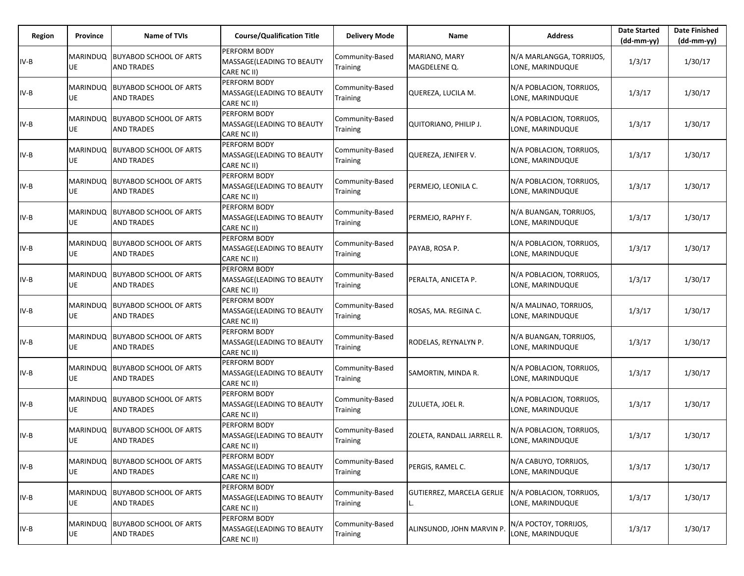| Region | Province       | <b>Name of TVIs</b>                                   | <b>Course/Qualification Title</b>                                | <b>Delivery Mode</b>               | Name                          | <b>Address</b>                               | <b>Date Started</b><br>$(dd-mm-yy)$ | <b>Date Finished</b><br>$(dd-mm-vv)$ |
|--------|----------------|-------------------------------------------------------|------------------------------------------------------------------|------------------------------------|-------------------------------|----------------------------------------------|-------------------------------------|--------------------------------------|
| $IV-B$ | MARINDUQ<br>UE | <b>BUYABOD SCHOOL OF ARTS</b><br><b>AND TRADES</b>    | <b>PERFORM BODY</b><br>MASSAGE(LEADING TO BEAUTY<br>CARE NC II)  | Community-Based<br>Training        | MARIANO, MARY<br>MAGDELENE Q. | N/A MARLANGGA, TORRIJOS,<br>LONE, MARINDUQUE | 1/3/17                              | 1/30/17                              |
| IV-B   | MARINDUQ<br>UE | <b>BUYABOD SCHOOL OF ARTS</b><br><b>AND TRADES</b>    | <b>PERFORM BODY</b><br>MASSAGE(LEADING TO BEAUTY<br>CARE NC II)  | Community-Based<br>Training        | QUEREZA, LUCILA M.            | N/A POBLACION, TORRIJOS,<br>LONE, MARINDUQUE | 1/3/17                              | 1/30/17                              |
| IV-B   | MARINDUQ<br>UE | BUYABOD SCHOOL OF ARTS<br><b>AND TRADES</b>           | <b>PERFORM BODY</b><br>MASSAGE(LEADING TO BEAUTY<br>CARE NC II)  | Community-Based<br>Training        | <b>QUITORIANO, PHILIP J.</b>  | N/A POBLACION, TORRIJOS,<br>LONE, MARINDUQUE | 1/3/17                              | 1/30/17                              |
| IV-B   | MARINDUQ<br>UE | <b>BUYABOD SCHOOL OF ARTS</b><br><b>AND TRADES</b>    | <b>PERFORM BODY</b><br>MASSAGE(LEADING TO BEAUTY<br>CARE NC II)  | Community-Based<br>Training        | QUEREZA, JENIFER V.           | N/A POBLACION, TORRIJOS,<br>LONE, MARINDUQUE | 1/3/17                              | 1/30/17                              |
| IV-B   | MARINDUQ<br>UE | <b>BUYABOD SCHOOL OF ARTS</b><br><b>AND TRADES</b>    | PERFORM BODY<br>MASSAGE(LEADING TO BEAUTY<br>CARE NC II)         | Community-Based<br>Training        | PERMEJO, LEONILA C.           | N/A POBLACION, TORRIJOS,<br>LONE, MARINDUQUE | 1/3/17                              | 1/30/17                              |
| IV-B   | MARINDUQ<br>UE | <b>BUYABOD SCHOOL OF ARTS</b><br><b>AND TRADES</b>    | <b>PERFORM BODY</b><br>MASSAGE(LEADING TO BEAUTY<br>CARE NC II)  | Community-Based<br>Training        | PERMEJO, RAPHY F.             | N/A BUANGAN, TORRIJOS,<br>LONE, MARINDUQUE   | 1/3/17                              | 1/30/17                              |
| IV-B   | MARINDUQ<br>UE | <b>BUYABOD SCHOOL OF ARTS</b><br><b>AND TRADES</b>    | PERFORM BODY<br>MASSAGE(LEADING TO BEAUTY<br>CARE NC II)         | Community-Based<br>Training        | PAYAB, ROSA P.                | N/A POBLACION, TORRIJOS,<br>LONE, MARINDUQUE | 1/3/17                              | 1/30/17                              |
| IV-B   | MARINDUQ<br>UE | <b>BUYABOD SCHOOL OF ARTS</b><br><b>AND TRADES</b>    | PERFORM BODY<br><b>MASSAGE (LEADING TO BEAUTY</b><br>CARE NC II) | Community-Based<br>Training        | PERALTA, ANICETA P.           | N/A POBLACION, TORRIJOS,<br>LONE, MARINDUQUE | 1/3/17                              | 1/30/17                              |
| IV-B   | MARINDUQ<br>UE | <b>BUYABOD SCHOOL OF ARTS</b><br><b>AND TRADES</b>    | PERFORM BODY<br>MASSAGE(LEADING TO BEAUTY<br>CARE NC II)         | Community-Based<br>Training        | ROSAS, MA. REGINA C.          | N/A MALINAO, TORRIJOS,<br>LONE, MARINDUQUE   | 1/3/17                              | 1/30/17                              |
| IV-B   | MARINDUQ<br>UE | <b>BUYABOD SCHOOL OF ARTS</b><br><b>AND TRADES</b>    | <b>PERFORM BODY</b><br>MASSAGE(LEADING TO BEAUTY<br>CARE NC II)  | Community-Based<br>Training        | RODELAS, REYNALYN P.          | N/A BUANGAN, TORRIJOS,<br>LONE, MARINDUQUE   | 1/3/17                              | 1/30/17                              |
| IV-B   | MARINDUQ<br>UE | <b>BUYABOD SCHOOL OF ARTS</b><br><b>AND TRADES</b>    | PERFORM BODY<br>MASSAGE(LEADING TO BEAUTY<br>CARE NC II)         | Community-Based<br>Training        | SAMORTIN, MINDA R.            | N/A POBLACION, TORRIJOS,<br>LONE, MARINDUQUE | 1/3/17                              | 1/30/17                              |
| IV-B   | MARINDUQ<br>UE | <b>BUYABOD SCHOOL OF ARTS</b><br><b>AND TRADES</b>    | <b>PERFORM BODY</b><br>MASSAGE(LEADING TO BEAUTY<br>CARE NC II)  | Community-Based<br>Training        | ZULUETA, JOEL R.              | N/A POBLACION, TORRIJOS,<br>LONE, MARINDUQUE | 1/3/17                              | 1/30/17                              |
| IV-B   | UE             | MARINDUQ  BUYABOD SCHOOL OF ARTS<br><b>AND TRADES</b> | <b>PERFORM BODY</b><br>MASSAGE(LEADING TO BEAUTY<br>CARE NC II)  | Community-Based<br><b>Training</b> | ZOLETA, RANDALL JARRELL R.    | N/A POBLACION, TORRIJOS,<br>LONE, MARINDUQUE | 1/3/17                              | 1/30/17                              |
| $IV-B$ | MARINDUQ<br>UE | <b>BUYABOD SCHOOL OF ARTS</b><br><b>AND TRADES</b>    | PERFORM BODY<br>MASSAGE(LEADING TO BEAUTY<br>CARE NC II)         | Community-Based<br>Training        | PERGIS, RAMEL C.              | N/A CABUYO, TORRIJOS,<br>LONE, MARINDUQUE    | 1/3/17                              | 1/30/17                              |
| $IV-B$ | UE             | MARINDUQ BUYABOD SCHOOL OF ARTS<br><b>AND TRADES</b>  | PERFORM BODY<br>MASSAGE(LEADING TO BEAUTY<br>CARE NC II)         | Community-Based<br>Training        | GUTIERREZ, MARCELA GERLIE     | N/A POBLACION, TORRIJOS,<br>LONE, MARINDUQUE | 1/3/17                              | 1/30/17                              |
| $IV-B$ | MARINDUQ<br>UE | <b>BUYABOD SCHOOL OF ARTS</b><br><b>AND TRADES</b>    | PERFORM BODY<br>MASSAGE(LEADING TO BEAUTY<br>CARE NC II)         | Community-Based<br>Training        | ALINSUNOD, JOHN MARVIN P.     | N/A POCTOY, TORRIJOS,<br>LONE, MARINDUQUE    | 1/3/17                              | 1/30/17                              |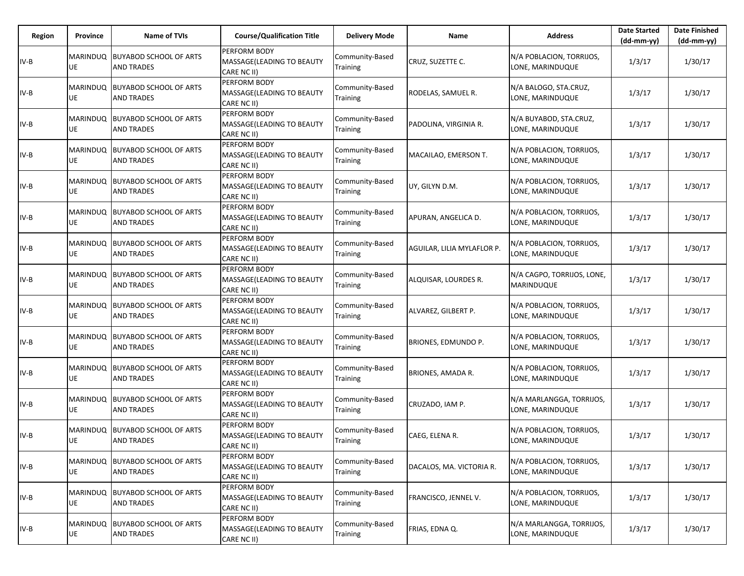| Region | Province                     | Name of TVIs                                         | <b>Course/Qualification Title</b>                        | <b>Delivery Mode</b>               | Name                       | <b>Address</b>                               | <b>Date Started</b><br>$(dd-mm-yy)$ | <b>Date Finished</b><br>$(dd-mm-yy)$ |
|--------|------------------------------|------------------------------------------------------|----------------------------------------------------------|------------------------------------|----------------------------|----------------------------------------------|-------------------------------------|--------------------------------------|
| IV-B   | <b>MARINDUQ</b><br>UE        | <b>BUYABOD SCHOOL OF ARTS</b><br><b>AND TRADES</b>   | PERFORM BODY<br>MASSAGE(LEADING TO BEAUTY<br>CARE NC II) | Community-Based<br>Training        | CRUZ, SUZETTE C.           | N/A POBLACION, TORRIJOS,<br>LONE, MARINDUQUE | 1/3/17                              | 1/30/17                              |
| IV-B   | MARINDUQ<br>UE               | <b>BUYABOD SCHOOL OF ARTS</b><br><b>AND TRADES</b>   | PERFORM BODY<br>MASSAGE(LEADING TO BEAUTY<br>CARE NC II) | Community-Based<br>Training        | RODELAS, SAMUEL R.         | N/A BALOGO, STA.CRUZ,<br>LONE, MARINDUQUE    | 1/3/17                              | 1/30/17                              |
| IV-B   | <b>MARINDUQ</b><br>UE        | <b>BUYABOD SCHOOL OF ARTS</b><br><b>AND TRADES</b>   | PERFORM BODY<br>MASSAGE(LEADING TO BEAUTY<br>CARE NC II) | Community-Based<br>Training        | PADOLINA, VIRGINIA R.      | N/A BUYABOD, STA.CRUZ,<br>LONE, MARINDUQUE   | 1/3/17                              | 1/30/17                              |
| IV-B   | <b>MARINDUQ</b><br>UE        | <b>BUYABOD SCHOOL OF ARTS</b><br><b>AND TRADES</b>   | PERFORM BODY<br>MASSAGE(LEADING TO BEAUTY<br>CARE NC II) | Community-Based<br>Training        | MACAILAO, EMERSON T.       | N/A POBLACION, TORRIJOS,<br>LONE, MARINDUQUE | 1/3/17                              | 1/30/17                              |
| IV-B   | MARINDUQ<br><b>UE</b>        | <b>BUYABOD SCHOOL OF ARTS</b><br><b>AND TRADES</b>   | PERFORM BODY<br>MASSAGE(LEADING TO BEAUTY<br>CARE NC II) | Community-Based<br><b>Training</b> | UY, GILYN D.M.             | N/A POBLACION, TORRIJOS,<br>LONE, MARINDUQUE | 1/3/17                              | 1/30/17                              |
| IV-B   | <b>MARINDUQ</b><br><b>UE</b> | <b>BUYABOD SCHOOL OF ARTS</b><br><b>AND TRADES</b>   | PERFORM BODY<br>MASSAGE(LEADING TO BEAUTY<br>CARE NC II) | Community-Based<br>Training        | APURAN, ANGELICA D.        | N/A POBLACION, TORRIJOS,<br>LONE, MARINDUQUE | 1/3/17                              | 1/30/17                              |
| IV-B   | UE                           | MARINDUQ BUYABOD SCHOOL OF ARTS<br><b>AND TRADES</b> | PERFORM BODY<br>MASSAGE(LEADING TO BEAUTY<br>CARE NC II) | Community-Based<br>Training        | AGUILAR, LILIA MYLAFLOR P. | N/A POBLACION, TORRIJOS,<br>LONE, MARINDUQUE | 1/3/17                              | 1/30/17                              |
| IV-B   | <b>MARINDUQ</b><br>UE        | <b>BUYABOD SCHOOL OF ARTS</b><br><b>AND TRADES</b>   | PERFORM BODY<br>MASSAGE(LEADING TO BEAUTY<br>CARE NC II) | Community-Based<br>Training        | ALQUISAR, LOURDES R.       | N/A CAGPO, TORRIJOS, LONE,<br>MARINDUQUE     | 1/3/17                              | 1/30/17                              |
| IV-B   | UE                           | MARINDUQ BUYABOD SCHOOL OF ARTS<br><b>AND TRADES</b> | PERFORM BODY<br>MASSAGE(LEADING TO BEAUTY<br>CARE NC II) | Community-Based<br>Training        | ALVAREZ, GILBERT P.        | N/A POBLACION, TORRIJOS,<br>LONE, MARINDUQUE | 1/3/17                              | 1/30/17                              |
| IV-B   | <b>MARINDUQ</b><br>UE        | <b>BUYABOD SCHOOL OF ARTS</b><br><b>AND TRADES</b>   | PERFORM BODY<br>MASSAGE(LEADING TO BEAUTY<br>CARE NC II) | Community-Based<br>Training        | BRIONES, EDMUNDO P.        | N/A POBLACION, TORRIJOS,<br>LONE, MARINDUQUE | 1/3/17                              | 1/30/17                              |
| IV-B   | MARINDUQ<br>UE               | <b>BUYABOD SCHOOL OF ARTS</b><br><b>AND TRADES</b>   | PERFORM BODY<br>MASSAGE(LEADING TO BEAUTY<br>CARE NC II) | Community-Based<br>Training        | <b>BRIONES, AMADA R.</b>   | N/A POBLACION, TORRIJOS,<br>LONE, MARINDUQUE | 1/3/17                              | 1/30/17                              |
| IV-B   | MARINDUQ<br>UE               | <b>BUYABOD SCHOOL OF ARTS</b><br><b>AND TRADES</b>   | PERFORM BODY<br>MASSAGE(LEADING TO BEAUTY<br>CARE NC II) | Community-Based<br>Training        | CRUZADO, IAM P.            | N/A MARLANGGA, TORRIJOS,<br>LONE, MARINDUQUE | 1/3/17                              | 1/30/17                              |
| IV-B   | UE                           | MARINDUQ BUYABOD SCHOOL OF ARTS<br><b>AND TRADES</b> | PERFORM BODY<br>MASSAGE(LEADING TO BEAUTY<br>CARE NC II) | Community-Based<br><b>Training</b> | CAEG, ELENA R.             | N/A POBLACION, TORRIJOS,<br>LONE, MARINDUQUE | 1/3/17                              | 1/30/17                              |
| IV-B   | <b>MARINDUQ</b><br>UE        | <b>BUYABOD SCHOOL OF ARTS</b><br><b>AND TRADES</b>   | PERFORM BODY<br>MASSAGE(LEADING TO BEAUTY<br>CARE NC II) | Community-Based<br>Training        | DACALOS, MA. VICTORIA R.   | N/A POBLACION, TORRIJOS,<br>LONE, MARINDUQUE | 1/3/17                              | 1/30/17                              |
| IV-B   | UE                           | MARINDUQ BUYABOD SCHOOL OF ARTS<br><b>AND TRADES</b> | PERFORM BODY<br>MASSAGE(LEADING TO BEAUTY<br>CARE NC II) | Community-Based<br>Training        | FRANCISCO, JENNEL V.       | N/A POBLACION, TORRIJOS,<br>LONE, MARINDUQUE | 1/3/17                              | 1/30/17                              |
| IV-B   | <b>MARINDUQ</b><br>UE        | <b>BUYABOD SCHOOL OF ARTS</b><br><b>AND TRADES</b>   | PERFORM BODY<br>MASSAGE(LEADING TO BEAUTY<br>CARE NC II) | Community-Based<br>Training        | FRIAS, EDNA Q.             | N/A MARLANGGA, TORRIJOS,<br>LONE, MARINDUQUE | 1/3/17                              | 1/30/17                              |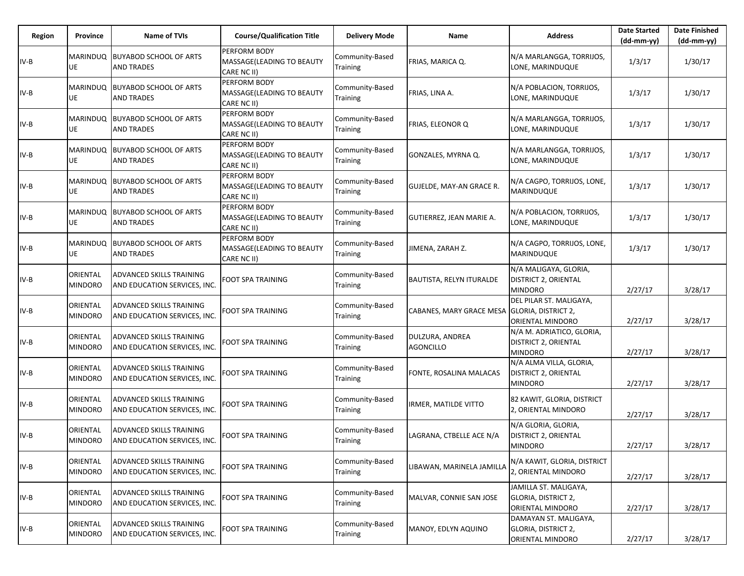| Region | <b>Province</b>            | <b>Name of TVIs</b>                                      | <b>Course/Qualification Title</b>                               | <b>Delivery Mode</b>               | Name                                         | <b>Address</b>                                                      | <b>Date Started</b><br>$(dd-mm-vv)$ | <b>Date Finished</b><br>(dd-mm-yy) |
|--------|----------------------------|----------------------------------------------------------|-----------------------------------------------------------------|------------------------------------|----------------------------------------------|---------------------------------------------------------------------|-------------------------------------|------------------------------------|
| IV-B   | UE                         | MARINDUQ BUYABOD SCHOOL OF ARTS<br><b>AND TRADES</b>     | <b>PERFORM BODY</b><br>MASSAGE(LEADING TO BEAUTY<br>CARE NC II) | Community-Based<br><b>Training</b> | FRIAS, MARICA Q.                             | N/A MARLANGGA, TORRIJOS,<br>LONE, MARINDUQUE                        | 1/3/17                              | 1/30/17                            |
| $IV-B$ | MARINDUQ<br>UE             | <b>BUYABOD SCHOOL OF ARTS</b><br><b>AND TRADES</b>       | PERFORM BODY<br>MASSAGE(LEADING TO BEAUTY<br>CARE NC II)        | Community-Based<br>Training        | FRIAS, LINA A.                               | N/A POBLACION, TORRIJOS,<br>LONE, MARINDUQUE                        | 1/3/17                              | 1/30/17                            |
| $IV-B$ | MARINDUQ<br>UE             | BUYABOD SCHOOL OF ARTS<br><b>AND TRADES</b>              | <b>PERFORM BODY</b><br>MASSAGE(LEADING TO BEAUTY<br>CARE NC II) | Community-Based<br>Training        | FRIAS, ELEONOR Q                             | N/A MARLANGGA, TORRIJOS,<br>LONE, MARINDUQUE                        | 1/3/17                              | 1/30/17                            |
| $IV-B$ | <b>MARINDUQ</b><br>UE      | <b>BUYABOD SCHOOL OF ARTS</b><br><b>AND TRADES</b>       | PERFORM BODY<br>MASSAGE(LEADING TO BEAUTY<br>CARE NC II)        | Community-Based<br>Training        | GONZALES, MYRNA Q.                           | N/A MARLANGGA, TORRIJOS,<br>LONE, MARINDUQUE                        | 1/3/17                              | 1/30/17                            |
| $IV-B$ | UE                         | MARINDUQ BUYABOD SCHOOL OF ARTS<br><b>AND TRADES</b>     | PERFORM BODY<br>MASSAGE(LEADING TO BEAUTY<br>CARE NC II)        | Community-Based<br>Training        | GUJELDE, MAY-AN GRACE R.                     | N/A CAGPO, TORRIJOS, LONE,<br>MARINDUQUE                            | 1/3/17                              | 1/30/17                            |
| $IV-B$ | MARINDUQ<br>UE             | <b>BUYABOD SCHOOL OF ARTS</b><br><b>AND TRADES</b>       | PERFORM BODY<br>MASSAGE(LEADING TO BEAUTY<br>CARE NC II)        | Community-Based<br>Training        | GUTIERREZ, JEAN MARIE A.                     | N/A POBLACION, TORRIJOS,<br>LONE, MARINDUQUE                        | 1/3/17                              | 1/30/17                            |
| $IV-B$ | MARINDUQ<br>UE             | <b>BUYABOD SCHOOL OF ARTS</b><br><b>AND TRADES</b>       | <b>PERFORM BODY</b><br>MASSAGE(LEADING TO BEAUTY<br>CARE NC II) | Community-Based<br><b>Training</b> | JIMENA, ZARAH Z.                             | N/A CAGPO, TORRIJOS, LONE,<br>MARINDUQUE                            | 1/3/17                              | 1/30/17                            |
| $IV-B$ | ORIENTAL<br>MINDORO        | ADVANCED SKILLS TRAINING<br>AND EDUCATION SERVICES, INC. | FOOT SPA TRAINING                                               | Community-Based<br>Training        | <b>BAUTISTA, RELYN ITURALDE</b>              | N/A MALIGAYA, GLORIA,<br>DISTRICT 2, ORIENTAL<br><b>MINDORO</b>     | 2/27/17                             | 3/28/17                            |
| $IV-B$ | ORIENTAL<br>MINDORO        | ADVANCED SKILLS TRAINING<br>AND EDUCATION SERVICES, INC. | FOOT SPA TRAINING                                               | Community-Based<br>Training        | CABANES, MARY GRACE MESA GLORIA, DISTRICT 2, | DEL PILAR ST. MALIGAYA,<br>ORIENTAL MINDORO                         | 2/27/17                             | 3/28/17                            |
| $IV-B$ | ORIENTAL<br>MINDORO        | ADVANCED SKILLS TRAINING<br>AND EDUCATION SERVICES, INC. | FOOT SPA TRAINING                                               | Community-Based<br>Training        | DULZURA, ANDREA<br><b>AGONCILLO</b>          | N/A M. ADRIATICO, GLORIA,<br>DISTRICT 2, ORIENTAL<br><b>MINDORO</b> | 2/27/17                             | 3/28/17                            |
| $IV-B$ | ORIENTAL<br>MINDORO        | ADVANCED SKILLS TRAINING<br>AND EDUCATION SERVICES, INC. | FOOT SPA TRAINING                                               | Community-Based<br>Training        | FONTE, ROSALINA MALACAS                      | N/A ALMA VILLA, GLORIA,<br>DISTRICT 2, ORIENTAL<br><b>MINDORO</b>   | 2/27/17                             | 3/28/17                            |
| $IV-B$ | ORIENTAL<br>MINDORO        | ADVANCED SKILLS TRAINING<br>AND EDUCATION SERVICES, INC. | FOOT SPA TRAINING                                               | Community-Based<br>Training        | IRMER, MATILDE VITTO                         | 82 KAWIT, GLORIA, DISTRICT<br>2, ORIENTAL MINDORO                   | 2/27/17                             | 3/28/17                            |
| IV-B   | ORIENTAL<br><b>MINDORO</b> | ADVANCED SKILLS TRAINING<br>AND EDUCATION SERVICES, INC. | <b>FOOT SPA TRAINING</b>                                        | Community-Based<br><b>Training</b> | LAGRANA, CTBELLE ACE N/A                     | N/A GLORIA, GLORIA,<br>DISTRICT 2, ORIENTAL<br><b>MINDORO</b>       | 2/27/17                             | 3/28/17                            |
| $IV-B$ | ORIENTAL<br><b>MINDORO</b> | ADVANCED SKILLS TRAINING<br>AND EDUCATION SERVICES, INC. | FOOT SPA TRAINING                                               | Community-Based<br><b>Training</b> | LIBAWAN, MARINELA JAMILLA                    | N/A KAWIT, GLORIA, DISTRICT<br>2, ORIENTAL MINDORO                  | 2/27/17                             | 3/28/17                            |
| $IV-B$ | ORIENTAL<br>MINDORO        | ADVANCED SKILLS TRAINING<br>AND EDUCATION SERVICES, INC. | FOOT SPA TRAINING                                               | Community-Based<br>Training        | MALVAR, CONNIE SAN JOSE                      | JAMILLA ST. MALIGAYA,<br>GLORIA, DISTRICT 2,<br>ORIENTAL MINDORO    | 2/27/17                             | 3/28/17                            |
| $IV-B$ | ORIENTAL<br><b>MINDORO</b> | ADVANCED SKILLS TRAINING<br>AND EDUCATION SERVICES, INC. | FOOT SPA TRAINING                                               | Community-Based<br><b>Training</b> | MANOY, EDLYN AQUINO                          | DAMAYAN ST. MALIGAYA,<br>GLORIA, DISTRICT 2,<br>ORIENTAL MINDORO    | 2/27/17                             | 3/28/17                            |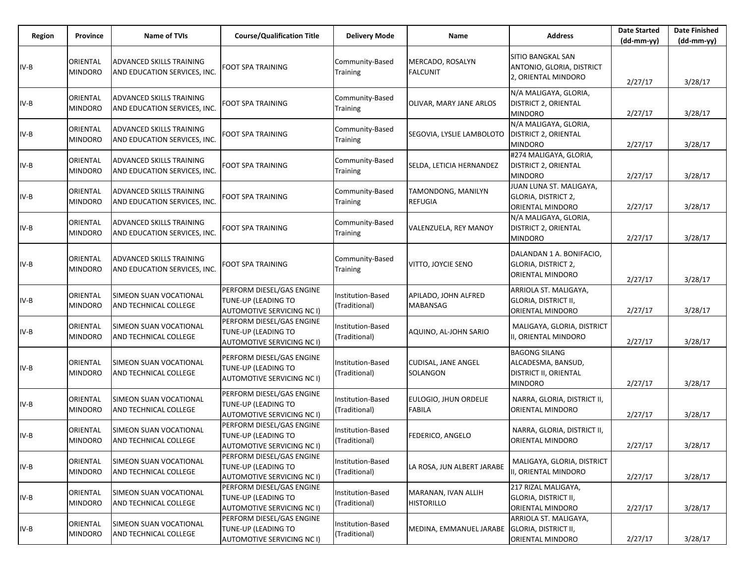| Region | Province                   | <b>Name of TVIs</b>                                             | <b>Course/Qualification Title</b>                                                     | <b>Delivery Mode</b>                      | Name                                     | <b>Address</b>                                                                               | <b>Date Started</b><br>$(dd-mm-yy)$ | <b>Date Finished</b><br>(dd-mm-yy) |
|--------|----------------------------|-----------------------------------------------------------------|---------------------------------------------------------------------------------------|-------------------------------------------|------------------------------------------|----------------------------------------------------------------------------------------------|-------------------------------------|------------------------------------|
| $IV-B$ | ORIENTAL<br><b>MINDORO</b> | ADVANCED SKILLS TRAINING<br>AND EDUCATION SERVICES, INC.        | FOOT SPA TRAINING                                                                     | Community-Based<br>Training               | MERCADO, ROSALYN<br><b>FALCUNIT</b>      | <b>SITIO BANGKAL SAN</b><br>ANTONIO, GLORIA, DISTRICT                                        |                                     |                                    |
|        |                            |                                                                 |                                                                                       |                                           |                                          | 2, ORIENTAL MINDORO                                                                          | 2/27/17                             | 3/28/17                            |
| $IV-B$ | ORIENTAL<br>MINDORO        | ADVANCED SKILLS TRAINING<br>AND EDUCATION SERVICES, INC.        | FOOT SPA TRAINING                                                                     | Community-Based<br>Training               | OLIVAR, MARY JANE ARLOS                  | N/A MALIGAYA, GLORIA,<br><b>DISTRICT 2, ORIENTAL</b><br><b>MINDORO</b>                       | 2/27/17                             | 3/28/17                            |
| $IV-B$ | ORIENTAL<br>MINDORO        | ADVANCED SKILLS TRAINING<br>AND EDUCATION SERVICES, INC.        | FOOT SPA TRAINING                                                                     | Community-Based<br>Training               | SEGOVIA, LYSLIE LAMBOLOTO                | N/A MALIGAYA, GLORIA,<br><b>DISTRICT 2, ORIENTAL</b><br><b>MINDORO</b>                       | 2/27/17                             | 3/28/17                            |
| $IV-B$ | ORIENTAL<br><b>MINDORO</b> | ADVANCED SKILLS TRAINING<br>AND EDUCATION SERVICES, INC.        | FOOT SPA TRAINING                                                                     | Community-Based<br>Training               | SELDA, LETICIA HERNANDEZ                 | #274 MALIGAYA, GLORIA,<br><b>DISTRICT 2, ORIENTAL</b><br><b>MINDORO</b>                      | 2/27/17                             | 3/28/17                            |
| $IV-B$ | ORIENTAL<br><b>MINDORO</b> | ADVANCED SKILLS TRAINING<br>AND EDUCATION SERVICES, INC.        | FOOT SPA TRAINING                                                                     | Community-Based<br>Training               | TAMONDONG, MANILYN<br>REFUGIA            | JUAN LUNA ST. MALIGAYA,<br><b>GLORIA, DISTRICT 2,</b><br>ORIENTAL MINDORO                    | 2/27/17                             | 3/28/17                            |
| $IV-B$ | ORIENTAL<br><b>MINDORO</b> | <b>ADVANCED SKILLS TRAINING</b><br>AND EDUCATION SERVICES, INC. | FOOT SPA TRAINING                                                                     | Community-Based<br>Training               | VALENZUELA, REY MANOY                    | N/A MALIGAYA, GLORIA,<br><b>DISTRICT 2, ORIENTAL</b><br><b>MINDORO</b>                       | 2/27/17                             | 3/28/17                            |
| $IV-B$ | ORIENTAL<br>MINDORO        | ADVANCED SKILLS TRAINING<br>AND EDUCATION SERVICES, INC.        | FOOT SPA TRAINING                                                                     | Community-Based<br>Training               | VITTO, JOYCIE SENO                       | DALANDAN 1 A. BONIFACIO,<br>GLORIA, DISTRICT 2,<br>ORIENTAL MINDORO                          | 2/27/17                             | 3/28/17                            |
| $IV-B$ | ORIENTAL<br>MINDORO        | SIMEON SUAN VOCATIONAL<br>AND TECHNICAL COLLEGE                 | PERFORM DIESEL/GAS ENGINE<br>TUNE-UP (LEADING TO<br><b>AUTOMOTIVE SERVICING NC I)</b> | <b>Institution-Based</b><br>(Traditional) | APILADO, JOHN ALFRED<br>MABANSAG         | ARRIOLA ST. MALIGAYA,<br>GLORIA, DISTRICT II,<br>ORIENTAL MINDORO                            | 2/27/17                             | 3/28/17                            |
| $IV-B$ | ORIENTAL<br><b>MINDORO</b> | SIMEON SUAN VOCATIONAL<br>AND TECHNICAL COLLEGE                 | PERFORM DIESEL/GAS ENGINE<br>TUNE-UP (LEADING TO<br>AUTOMOTIVE SERVICING NC I)        | Institution-Based<br>(Traditional)        | AQUINO, AL-JOHN SARIO                    | MALIGAYA, GLORIA, DISTRICT<br>II, ORIENTAL MINDORO                                           | 2/27/17                             | 3/28/17                            |
| $IV-B$ | ORIENTAL<br>MINDORO        | SIMEON SUAN VOCATIONAL<br>AND TECHNICAL COLLEGE                 | PERFORM DIESEL/GAS ENGINE<br>TUNE-UP (LEADING TO<br>AUTOMOTIVE SERVICING NC I)        | Institution-Based<br>(Traditional)        | CUDISAL, JANE ANGEL<br>SOLANGON          | <b>BAGONG SILANG</b><br>ALCADESMA, BANSUD,<br><b>DISTRICT II, ORIENTAL</b><br><b>MINDORO</b> | 2/27/17                             | 3/28/17                            |
| $IV-B$ | ORIENTAL<br>MINDORO        | SIMEON SUAN VOCATIONAL<br>AND TECHNICAL COLLEGE                 | PERFORM DIESEL/GAS ENGINE<br>TUNE-UP (LEADING TO<br>AUTOMOTIVE SERVICING NC I)        | Institution-Based<br>(Traditional)        | EULOGIO, JHUN ORDELIE<br>FABILA          | NARRA, GLORIA, DISTRICT II,<br>ORIENTAL MINDORO                                              | 2/27/17                             | 3/28/17                            |
| $IV-B$ | ORIENTAL<br><b>MINDORO</b> | <b>SIMEON SUAN VOCATIONAL</b><br>AND TECHNICAL COLLEGE          | PERFORM DIESEL/GAS ENGINE<br>TUNE-UP (LEADING TO<br>AUTOMOTIVE SERVICING NC I)        | <b>Institution-Based</b><br>(Traditional) | FEDERICO, ANGELO                         | NARRA, GLORIA, DISTRICT II,<br>ORIENTAL MINDORO                                              | 2/27/17                             | 3/28/17                            |
| $IV-B$ | ORIENTAL<br>MINDORO        | SIMEON SUAN VOCATIONAL<br>AND TECHNICAL COLLEGE                 | PERFORM DIESEL/GAS ENGINE<br>TUNE-UP (LEADING TO<br>AUTOMOTIVE SERVICING NC I)        | Institution-Based<br>(Traditional)        | LA ROSA, JUN ALBERT JARABE               | MALIGAYA, GLORIA, DISTRICT<br>II, ORIENTAL MINDORO                                           | 2/27/17                             | 3/28/17                            |
| $IV-B$ | ORIENTAL<br>MINDORO        | SIMEON SUAN VOCATIONAL<br>AND TECHNICAL COLLEGE                 | PERFORM DIESEL/GAS ENGINE<br>TUNE-UP (LEADING TO<br>AUTOMOTIVE SERVICING NC I)        | <b>Institution-Based</b><br>(Traditional) | MARANAN, IVAN ALLIH<br><b>HISTORILLO</b> | 217 RIZAL MALIGAYA,<br><b>GLORIA, DISTRICT II,</b><br><b>ORIENTAL MINDORO</b>                | 2/27/17                             | 3/28/17                            |
| IV-B   | ORIENTAL<br>MINDORO        | SIMEON SUAN VOCATIONAL<br>AND TECHNICAL COLLEGE                 | PERFORM DIESEL/GAS ENGINE<br>TUNE-UP (LEADING TO<br><b>AUTOMOTIVE SERVICING NC I)</b> | Institution-Based<br>(Traditional)        | MEDINA, EMMANUEL JARABE                  | ARRIOLA ST. MALIGAYA,<br><b>GLORIA, DISTRICT II,</b><br>ORIENTAL MINDORO                     | 2/27/17                             | 3/28/17                            |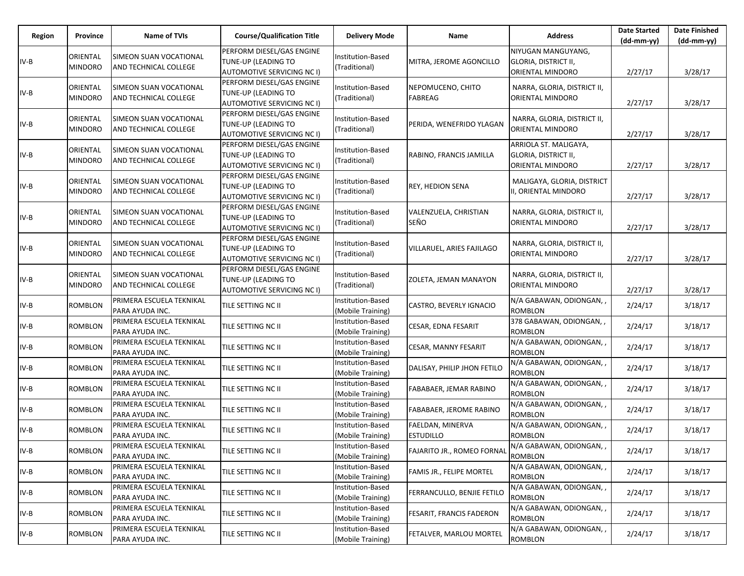| Region | Province                   | Name of TVIs                                    | <b>Course/Qualification Title</b>                                                     | <b>Delivery Mode</b>                      | Name                                 | <b>Address</b>                                                        | <b>Date Started</b><br>$(dd-mm-yy)$ | <b>Date Finished</b><br>$(dd-mm-yy)$ |
|--------|----------------------------|-------------------------------------------------|---------------------------------------------------------------------------------------|-------------------------------------------|--------------------------------------|-----------------------------------------------------------------------|-------------------------------------|--------------------------------------|
| IV-B   | ORIENTAL<br><b>MINDORO</b> | SIMEON SUAN VOCATIONAL<br>AND TECHNICAL COLLEGE | PERFORM DIESEL/GAS ENGINE<br>TUNE-UP (LEADING TO<br>AUTOMOTIVE SERVICING NC I)        | Institution-Based<br>(Traditional)        | MITRA, JEROME AGONCILLO              | NIYUGAN MANGUYANG,<br><b>GLORIA, DISTRICT II,</b><br>ORIENTAL MINDORO | 2/27/17                             | 3/28/17                              |
| IV-B   | ORIENTAL<br><b>MINDORO</b> | SIMEON SUAN VOCATIONAL<br>AND TECHNICAL COLLEGE | PERFORM DIESEL/GAS ENGINE<br>TUNE-UP (LEADING TO<br>AUTOMOTIVE SERVICING NC I)        | Institution-Based<br>(Traditional)        | NEPOMUCENO, CHITO<br><b>FABREAG</b>  | NARRA, GLORIA, DISTRICT II,<br>ORIENTAL MINDORO                       | 2/27/17                             | 3/28/17                              |
| IV-B   | ORIENTAL<br><b>MINDORO</b> | SIMEON SUAN VOCATIONAL<br>AND TECHNICAL COLLEGE | PERFORM DIESEL/GAS ENGINE<br><b>TUNE-UP (LEADING TO</b><br>AUTOMOTIVE SERVICING NC I) | Institution-Based<br>(Traditional)        | PERIDA, WENEFRIDO YLAGAN             | NARRA, GLORIA, DISTRICT II,<br>ORIENTAL MINDORO                       | 2/27/17                             | 3/28/17                              |
| IV-B   | ORIENTAL<br><b>MINDORO</b> | SIMEON SUAN VOCATIONAL<br>AND TECHNICAL COLLEGE | PERFORM DIESEL/GAS ENGINE<br>TUNE-UP (LEADING TO<br>AUTOMOTIVE SERVICING NC I)        | <b>Institution-Based</b><br>(Traditional) | RABINO, FRANCIS JAMILLA              | ARRIOLA ST. MALIGAYA,<br>GLORIA, DISTRICT II,<br>ORIENTAL MINDORO     | 2/27/17                             | 3/28/17                              |
| IV-B   | ORIENTAL<br><b>MINDORO</b> | SIMEON SUAN VOCATIONAL<br>AND TECHNICAL COLLEGE | PERFORM DIESEL/GAS ENGINE<br>TUNE-UP (LEADING TO<br>AUTOMOTIVE SERVICING NC I)        | Institution-Based<br>(Traditional)        | <b>REY, HEDION SENA</b>              | MALIGAYA, GLORIA, DISTRICT<br>II, ORIENTAL MINDORO                    | 2/27/17                             | 3/28/17                              |
| IV-B   | ORIENTAL<br><b>MINDORO</b> | SIMEON SUAN VOCATIONAL<br>AND TECHNICAL COLLEGE | PERFORM DIESEL/GAS ENGINE<br>TUNE-UP (LEADING TO<br>AUTOMOTIVE SERVICING NC I)        | <b>Institution-Based</b><br>(Traditional) | VALENZUELA, CHRISTIAN<br>SEÑO        | NARRA, GLORIA, DISTRICT II,<br>ORIENTAL MINDORO                       | 2/27/17                             | 3/28/17                              |
| IV-B   | ORIENTAL<br><b>MINDORO</b> | SIMEON SUAN VOCATIONAL<br>AND TECHNICAL COLLEGE | PERFORM DIESEL/GAS ENGINE<br>TUNE-UP (LEADING TO<br><b>AUTOMOTIVE SERVICING NC I)</b> | Institution-Based<br>(Traditional)        | VILLARUEL, ARIES FAJILAGO            | NARRA, GLORIA, DISTRICT II,<br>ORIENTAL MINDORO                       | 2/27/17                             | 3/28/17                              |
| IV-B   | ORIENTAL<br><b>MINDORO</b> | SIMEON SUAN VOCATIONAL<br>AND TECHNICAL COLLEGE | PERFORM DIESEL/GAS ENGINE<br>TUNE-UP (LEADING TO<br>AUTOMOTIVE SERVICING NC I)        | Institution-Based<br>(Traditional)        | ZOLETA, JEMAN MANAYON                | NARRA, GLORIA, DISTRICT II,<br>ORIENTAL MINDORO                       | 2/27/17                             | 3/28/17                              |
| IV-B   | <b>ROMBLON</b>             | PRIMERA ESCUELA TEKNIKAL<br>PARA AYUDA INC.     | TILE SETTING NC II                                                                    | Institution-Based<br>(Mobile Training)    | CASTRO, BEVERLY IGNACIO              | N/A GABAWAN, ODIONGAN, ,<br><b>ROMBLON</b>                            | 2/24/17                             | 3/18/17                              |
| IV-B   | ROMBLON                    | PRIMERA ESCUELA TEKNIKAL<br>PARA AYUDA INC.     | TILE SETTING NC II                                                                    | Institution-Based<br>(Mobile Training)    | CESAR, EDNA FESARIT                  | 378 GABAWAN, ODIONGAN, ,<br><b>ROMBLON</b>                            | 2/24/17                             | 3/18/17                              |
| IV-B   | ROMBLON                    | PRIMERA ESCUELA TEKNIKAL<br>PARA AYUDA INC.     | TILE SETTING NC II                                                                    | Institution-Based<br>(Mobile Training)    | CESAR, MANNY FESARIT                 | N/A GABAWAN, ODIONGAN,,<br><b>ROMBLON</b>                             | 2/24/17                             | 3/18/17                              |
| IV-B   | <b>ROMBLON</b>             | PRIMERA ESCUELA TEKNIKAL<br>PARA AYUDA INC.     | TILE SETTING NC II                                                                    | Institution-Based<br>(Mobile Training)    | DALISAY, PHILIP JHON FETILO          | N/A GABAWAN, ODIONGAN, ,<br>ROMBLON                                   | 2/24/17                             | 3/18/17                              |
| IV-B   | <b>ROMBLON</b>             | PRIMERA ESCUELA TEKNIKAL<br>PARA AYUDA INC.     | TILE SETTING NC II                                                                    | Institution-Based<br>(Mobile Training)    | FABABAER, JEMAR RABINO               | N/A GABAWAN, ODIONGAN, ,<br><b>ROMBLON</b>                            | 2/24/17                             | 3/18/17                              |
| IV-B   | ROMBLON                    | PRIMERA ESCUELA TEKNIKAL<br>PARA AYUDA INC.     | TILE SETTING NC II                                                                    | Institution-Based<br>(Mobile Training)    | FABABAER, JEROME RABINO              | N/A GABAWAN, ODIONGAN, ,<br><b>ROMBLON</b>                            | 2/24/17                             | 3/18/17                              |
| IV-B   | <b>ROMBLON</b>             | PRIMERA ESCUELA TEKNIKAL<br>PARA AYUDA INC.     | TILE SETTING NC II                                                                    | Institution-Based<br>(Mobile Training)    | FAELDAN, MINERVA<br><b>ESTUDILLO</b> | N/A GABAWAN, ODIONGAN, ,<br><b>ROMBLON</b>                            | 2/24/17                             | 3/18/17                              |
| $IV-B$ | <b>ROMBLON</b>             | PRIMERA ESCUELA TEKNIKAL<br>PARA AYUDA INC.     | TILE SETTING NC II                                                                    | Institution-Based<br>(Mobile Training)    | <b>FAJARITO JR., ROMEO FORNAL</b>    | N/A GABAWAN, ODIONGAN,<br><b>ROMBLON</b>                              | 2/24/17                             | 3/18/17                              |
| IV-B   | <b>ROMBLON</b>             | PRIMERA ESCUELA TEKNIKAL<br>PARA AYUDA INC.     | TILE SETTING NC II                                                                    | Institution-Based<br>(Mobile Training)    | FAMIS JR., FELIPE MORTEL             | N/A GABAWAN, ODIONGAN, ,<br><b>ROMBLON</b>                            | 2/24/17                             | 3/18/17                              |
| IV-B   | <b>ROMBLON</b>             | PRIMERA ESCUELA TEKNIKAL<br>PARA AYUDA INC.     | TILE SETTING NC II                                                                    | Institution-Based<br>(Mobile Training)    | FERRANCULLO, BENJIE FETILO           | N/A GABAWAN, ODIONGAN,,<br><b>ROMBLON</b>                             | 2/24/17                             | 3/18/17                              |
| IV-B   | <b>ROMBLON</b>             | PRIMERA ESCUELA TEKNIKAL<br>PARA AYUDA INC.     | TILE SETTING NC II                                                                    | Institution-Based<br>(Mobile Training)    | FESARIT, FRANCIS FADERON             | N/A GABAWAN, ODIONGAN, ,<br><b>ROMBLON</b>                            | 2/24/17                             | 3/18/17                              |
| IV-B   | <b>ROMBLON</b>             | PRIMERA ESCUELA TEKNIKAL<br>PARA AYUDA INC.     | TILE SETTING NC II                                                                    | Institution-Based<br>(Mobile Training)    | FETALVER, MARLOU MORTEL              | N/A GABAWAN, ODIONGAN, ,<br>ROMBLON                                   | 2/24/17                             | 3/18/17                              |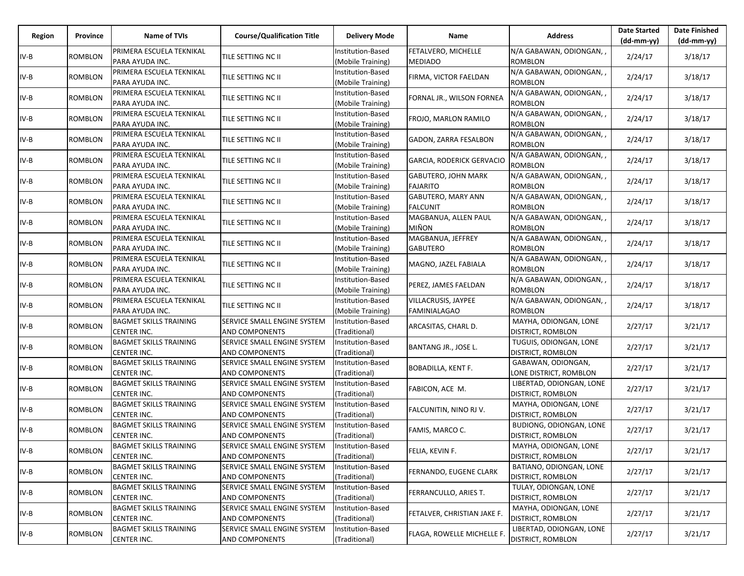| Region | Province       | Name of TVIs                                        | <b>Course/Qualification Title</b>                           | <b>Delivery Mode</b>                          | Name                                          | <b>Address</b>                                    | <b>Date Started</b><br>$(dd-mm-yy)$ | <b>Date Finished</b><br>$(dd-mm-yy)$ |
|--------|----------------|-----------------------------------------------------|-------------------------------------------------------------|-----------------------------------------------|-----------------------------------------------|---------------------------------------------------|-------------------------------------|--------------------------------------|
| IV-B   | ROMBLON        | PRIMERA ESCUELA TEKNIKAL<br>PARA AYUDA INC.         | TILE SETTING NC II                                          | Institution-Based<br>(Mobile Training)        | FETALVERO, MICHELLE<br><b>MEDIADO</b>         | N/A GABAWAN, ODIONGAN, ,<br><b>ROMBLON</b>        | 2/24/17                             | 3/18/17                              |
| IV-B   | ROMBLON        | PRIMERA ESCUELA TEKNIKAL<br>PARA AYUDA INC.         | TILE SETTING NC II                                          | <b>Institution-Based</b><br>(Mobile Training) | FIRMA, VICTOR FAELDAN                         | N/A GABAWAN, ODIONGAN, ,<br><b>ROMBLON</b>        | 2/24/17                             | 3/18/17                              |
| IV-B   | <b>ROMBLON</b> | PRIMERA ESCUELA TEKNIKAL<br>PARA AYUDA INC.         | TILE SETTING NC II                                          | Institution-Based<br>(Mobile Training)        | FORNAL JR., WILSON FORNEA                     | N/A GABAWAN, ODIONGAN,,<br>ROMBLON                | 2/24/17                             | 3/18/17                              |
| IV-B   | ROMBLON        | PRIMERA ESCUELA TEKNIKAL<br>PARA AYUDA INC.         | TILE SETTING NC II                                          | Institution-Based<br>(Mobile Training)        | FROJO, MARLON RAMILO                          | N/A GABAWAN, ODIONGAN, ,<br><b>ROMBLON</b>        | 2/24/17                             | 3/18/17                              |
| IV-B   | <b>ROMBLON</b> | PRIMERA ESCUELA TEKNIKAL<br>PARA AYUDA INC.         | TILE SETTING NC II                                          | <b>Institution-Based</b><br>(Mobile Training) | GADON, ZARRA FESALBON                         | N/A GABAWAN, ODIONGAN, ,<br>ROMBLON               | 2/24/17                             | 3/18/17                              |
| IV-B   | <b>ROMBLON</b> | PRIMERA ESCUELA TEKNIKAL<br>PARA AYUDA INC.         | TILE SETTING NC II                                          | Institution-Based<br>(Mobile Training)        | GARCIA, RODERICK GERVACIO                     | N/A GABAWAN, ODIONGAN, ,<br>ROMBLON               | 2/24/17                             | 3/18/17                              |
| IV-B   | <b>ROMBLON</b> | PRIMERA ESCUELA TEKNIKAL<br>PARA AYUDA INC.         | TILE SETTING NC II                                          | Institution-Based<br>(Mobile Training)        | <b>GABUTERO, JOHN MARK</b><br><b>FAJARITO</b> | N/A GABAWAN, ODIONGAN,,<br><b>ROMBLON</b>         | 2/24/17                             | 3/18/17                              |
| IV-B   | ROMBLON        | PRIMERA ESCUELA TEKNIKAL<br>PARA AYUDA INC.         | TILE SETTING NC II                                          | Institution-Based<br>(Mobile Training)        | GABUTERO, MARY ANN<br><b>FALCUNIT</b>         | N/A GABAWAN, ODIONGAN, ,<br><b>ROMBLON</b>        | 2/24/17                             | 3/18/17                              |
| IV-B   | ROMBLON        | PRIMERA ESCUELA TEKNIKAL<br>PARA AYUDA INC.         | TILE SETTING NC II                                          | Institution-Based<br>(Mobile Training)        | MAGBANUA, ALLEN PAUL<br><b>MIÑON</b>          | N/A GABAWAN, ODIONGAN, ,<br>ROMBLON               | 2/24/17                             | 3/18/17                              |
| IV-B   | <b>ROMBLON</b> | PRIMERA ESCUELA TEKNIKAL<br>PARA AYUDA INC.         | <b>TILE SETTING NC II</b>                                   | Institution-Based<br>(Mobile Training)        | MAGBANUA, JEFFREY<br><b>GABUTERO</b>          | N/A GABAWAN, ODIONGAN, ,<br>ROMBLON               | 2/24/17                             | 3/18/17                              |
| IV-B   | ROMBLON        | PRIMERA ESCUELA TEKNIKAL<br>PARA AYUDA INC.         | TILE SETTING NC II                                          | Institution-Based<br>(Mobile Training)        | MAGNO, JAZEL FABIALA                          | N/A GABAWAN, ODIONGAN, ,<br><b>ROMBLON</b>        | 2/24/17                             | 3/18/17                              |
| IV-B   | <b>ROMBLON</b> | PRIMERA ESCUELA TEKNIKAL<br>PARA AYUDA INC.         | TILE SETTING NC II                                          | Institution-Based<br>(Mobile Training)        | PEREZ, JAMES FAELDAN                          | N/A GABAWAN, ODIONGAN,,<br>ROMBLON                | 2/24/17                             | 3/18/17                              |
| IV-B   | <b>ROMBLON</b> | PRIMERA ESCUELA TEKNIKAL<br>PARA AYUDA INC.         | TILE SETTING NC II                                          | Institution-Based<br>(Mobile Training)        | VILLACRUSIS, JAYPEE<br><b>FAMINIALAGAO</b>    | N/A GABAWAN, ODIONGAN, ,<br><b>ROMBLON</b>        | 2/24/17                             | 3/18/17                              |
| IV-B   | ROMBLON        | <b>BAGMET SKILLS TRAINING</b><br><b>CENTER INC.</b> | SERVICE SMALL ENGINE SYSTEM<br><b>AND COMPONENTS</b>        | Institution-Based<br>(Traditional)            | ARCASITAS, CHARL D.                           | MAYHA, ODIONGAN, LONE<br>DISTRICT, ROMBLON        | 2/27/17                             | 3/21/17                              |
| IV-B   | <b>ROMBLON</b> | <b>BAGMET SKILLS TRAINING</b><br><b>CENTER INC.</b> | <b>SERVICE SMALL ENGINE SYSTEM</b><br><b>AND COMPONENTS</b> | Institution-Based<br>(Traditional)            | BANTANG JR., JOSE L.                          | TUGUIS, ODIONGAN, LONE<br>DISTRICT, ROMBLON       | 2/27/17                             | 3/21/17                              |
| IV-B   | <b>ROMBLON</b> | <b>BAGMET SKILLS TRAINING</b><br>CENTER INC.        | <b>SERVICE SMALL ENGINE SYSTEM</b><br><b>AND COMPONENTS</b> | Institution-Based<br>(Traditional)            | <b>BOBADILLA, KENT F.</b>                     | GABAWAN, ODIONGAN,<br>LONE DISTRICT, ROMBLON      | 2/27/17                             | 3/21/17                              |
| IV-B   | <b>ROMBLON</b> | <b>BAGMET SKILLS TRAINING</b><br><b>CENTER INC.</b> | SERVICE SMALL ENGINE SYSTEM<br><b>AND COMPONENTS</b>        | Institution-Based<br>(Traditional)            | FABICON, ACE M.                               | LIBERTAD, ODIONGAN, LONE<br>DISTRICT, ROMBLON     | 2/27/17                             | 3/21/17                              |
| IV-B   | <b>ROMBLON</b> | <b>BAGMET SKILLS TRAINING</b><br><b>CENTER INC.</b> | <b>SERVICE SMALL ENGINE SYSTEM</b><br><b>AND COMPONENTS</b> | Institution-Based<br>(Traditional)            | FALCUNITIN, NINO RJ V.                        | MAYHA, ODIONGAN, LONE<br><b>DISTRICT, ROMBLON</b> | 2/27/17                             | 3/21/17                              |
| IV-B   | <b>ROMBLON</b> | <b>BAGMET SKILLS TRAINING</b><br>CENTER INC.        | <b>SERVICE SMALL ENGINE SYSTEM</b><br><b>AND COMPONENTS</b> | Institution-Based<br>(Traditional)            | FAMIS, MARCO C.                               | BUDIONG, ODIONGAN, LONE<br>DISTRICT, ROMBLON      | 2/27/17                             | 3/21/17                              |
| $IV-B$ | <b>ROMBLON</b> | <b>BAGMET SKILLS TRAINING</b><br>CENTER INC.        | SERVICE SMALL ENGINE SYSTEM<br><b>AND COMPONENTS</b>        | Institution-Based<br>(Traditional)            | FELIA, KEVIN F.                               | MAYHA, ODIONGAN, LONE<br>DISTRICT, ROMBLON        | 2/27/17                             | 3/21/17                              |
| IV-B   | <b>ROMBLON</b> | <b>BAGMET SKILLS TRAINING</b><br>CENTER INC.        | SERVICE SMALL ENGINE SYSTEM<br><b>AND COMPONENTS</b>        | Institution-Based<br>(Traditional)            | FERNANDO, EUGENE CLARK                        | BATIANO, ODIONGAN, LONE<br>DISTRICT, ROMBLON      | 2/27/17                             | 3/21/17                              |
| IV-B   | <b>ROMBLON</b> | <b>BAGMET SKILLS TRAINING</b><br><b>CENTER INC.</b> | <b>SERVICE SMALL ENGINE SYSTEM</b><br><b>AND COMPONENTS</b> | Institution-Based<br>(Traditional)            | FERRANCULLO, ARIES T.                         | TULAY, ODIONGAN, LONE<br>DISTRICT, ROMBLON        | 2/27/17                             | 3/21/17                              |
| IV-B   | <b>ROMBLON</b> | <b>BAGMET SKILLS TRAINING</b><br><b>CENTER INC.</b> | SERVICE SMALL ENGINE SYSTEM<br><b>AND COMPONENTS</b>        | Institution-Based<br>(Traditional)            | FETALVER, CHRISTIAN JAKE F.                   | MAYHA, ODIONGAN, LONE<br>DISTRICT, ROMBLON        | 2/27/17                             | 3/21/17                              |
| IV-B   | <b>ROMBLON</b> | <b>BAGMET SKILLS TRAINING</b><br>CENTER INC.        | SERVICE SMALL ENGINE SYSTEM<br><b>AND COMPONENTS</b>        | Institution-Based<br>(Traditional)            | FLAGA, ROWELLE MICHELLE F.                    | LIBERTAD, ODIONGAN, LONE<br>DISTRICT, ROMBLON     | 2/27/17                             | 3/21/17                              |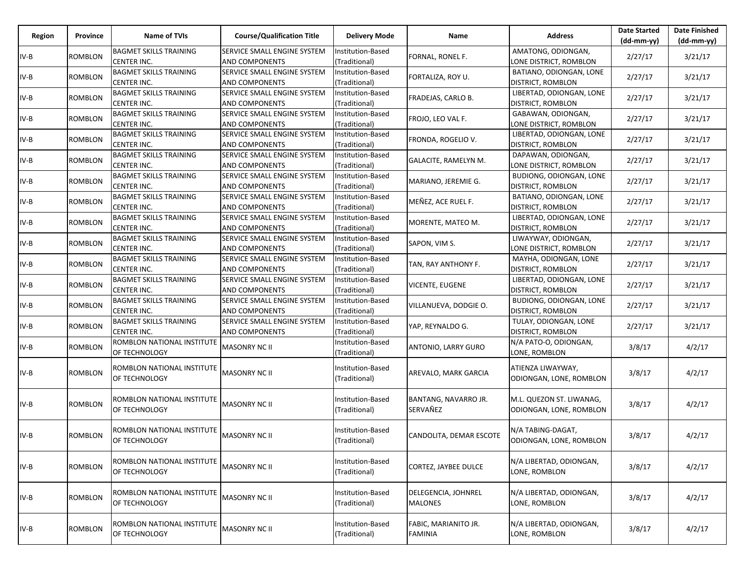| Region | Province       | <b>Name of TVIs</b>                                 | <b>Course/Qualification Title</b>                    | <b>Delivery Mode</b>               | Name                                   | <b>Address</b>                                       | <b>Date Started</b><br>(dd-mm-yy) | <b>Date Finished</b><br>(dd-mm-yy) |
|--------|----------------|-----------------------------------------------------|------------------------------------------------------|------------------------------------|----------------------------------------|------------------------------------------------------|-----------------------------------|------------------------------------|
| $IV-B$ | ROMBLON        | <b>BAGMET SKILLS TRAINING</b><br><b>CENTER INC.</b> | SERVICE SMALL ENGINE SYSTEM<br>AND COMPONENTS        | Institution-Based<br>(Traditional) | FORNAL, RONEL F.                       | AMATONG, ODIONGAN,<br>LONE DISTRICT, ROMBLON         | 2/27/17                           | 3/21/17                            |
| $IV-B$ | ROMBLON        | <b>BAGMET SKILLS TRAINING</b><br><b>CENTER INC.</b> | SERVICE SMALL ENGINE SYSTEM<br><b>AND COMPONENTS</b> | Institution-Based<br>(Traditional) | FORTALIZA, ROY U.                      | BATIANO, ODIONGAN, LONE<br>DISTRICT, ROMBLON         | 2/27/17                           | 3/21/17                            |
| IV-B   | ROMBLON        | <b>BAGMET SKILLS TRAINING</b><br>CENTER INC.        | SERVICE SMALL ENGINE SYSTEM<br>AND COMPONENTS        | Institution-Based<br>(Traditional) | FRADEJAS, CARLO B.                     | LIBERTAD, ODIONGAN, LONE<br>DISTRICT, ROMBLON        | 2/27/17                           | 3/21/17                            |
| IV-B   | <b>ROMBLON</b> | <b>BAGMET SKILLS TRAINING</b><br><b>CENTER INC.</b> | SERVICE SMALL ENGINE SYSTEM<br>AND COMPONENTS        | Institution-Based<br>(Traditional) | FROJO, LEO VAL F.                      | GABAWAN, ODIONGAN,<br>LONE DISTRICT, ROMBLON         | 2/27/17                           | 3/21/17                            |
| $IV-B$ | <b>ROMBLON</b> | <b>BAGMET SKILLS TRAINING</b><br><b>CENTER INC.</b> | SERVICE SMALL ENGINE SYSTEM<br>AND COMPONENTS        | Institution-Based<br>(Traditional) | FRONDA, ROGELIO V.                     | LIBERTAD, ODIONGAN, LONE<br><b>DISTRICT, ROMBLON</b> | 2/27/17                           | 3/21/17                            |
| IV-B   | ROMBLON        | <b>BAGMET SKILLS TRAINING</b><br><b>CENTER INC.</b> | SERVICE SMALL ENGINE SYSTEM<br><b>AND COMPONENTS</b> | Institution-Based<br>(Traditional) | GALACITE, RAMELYN M.                   | DAPAWAN, ODIONGAN,<br>LONE DISTRICT, ROMBLON         | 2/27/17                           | 3/21/17                            |
| IV-B   | <b>ROMBLON</b> | <b>BAGMET SKILLS TRAINING</b><br><b>CENTER INC.</b> | SERVICE SMALL ENGINE SYSTEM<br><b>AND COMPONENTS</b> | Institution-Based<br>(Traditional) | MARIANO, JEREMIE G.                    | BUDIONG, ODIONGAN, LONE<br>DISTRICT, ROMBLON         | 2/27/17                           | 3/21/17                            |
| $IV-B$ | ROMBLON        | <b>BAGMET SKILLS TRAINING</b><br><b>CENTER INC.</b> | SERVICE SMALL ENGINE SYSTEM<br><b>AND COMPONENTS</b> | Institution-Based<br>(Traditional) | MEÑEZ, ACE RUEL F.                     | BATIANO, ODIONGAN, LONE<br>DISTRICT, ROMBLON         | 2/27/17                           | 3/21/17                            |
| $IV-B$ | ROMBLON        | <b>BAGMET SKILLS TRAINING</b><br><b>CENTER INC.</b> | SERVICE SMALL ENGINE SYSTEM<br>AND COMPONENTS        | Institution-Based<br>(Traditional) | MORENTE, MATEO M.                      | LIBERTAD, ODIONGAN, LONE<br>DISTRICT, ROMBLON        | 2/27/17                           | 3/21/17                            |
| $IV-B$ | <b>ROMBLON</b> | <b>BAGMET SKILLS TRAINING</b><br><b>CENTER INC.</b> | SERVICE SMALL ENGINE SYSTEM<br><b>AND COMPONENTS</b> | Institution-Based<br>(Traditional) | SAPON, VIM S.                          | LIWAYWAY, ODIONGAN,<br>LONE DISTRICT, ROMBLON        | 2/27/17                           | 3/21/17                            |
| IV-B   | <b>ROMBLON</b> | <b>BAGMET SKILLS TRAINING</b><br><b>CENTER INC.</b> | SERVICE SMALL ENGINE SYSTEM<br>AND COMPONENTS        | Institution-Based<br>(Traditional) | TAN, RAY ANTHONY F.                    | MAYHA, ODIONGAN, LONE<br>DISTRICT, ROMBLON           | 2/27/17                           | 3/21/17                            |
| $IV-B$ | ROMBLON        | <b>BAGMET SKILLS TRAINING</b><br><b>CENTER INC.</b> | SERVICE SMALL ENGINE SYSTEM<br>AND COMPONENTS        | Institution-Based<br>(Traditional) | <b>VICENTE, EUGENE</b>                 | LIBERTAD, ODIONGAN, LONE<br><b>DISTRICT, ROMBLON</b> | 2/27/17                           | 3/21/17                            |
| IV-B   | <b>ROMBLON</b> | <b>BAGMET SKILLS TRAINING</b><br><b>CENTER INC.</b> | SERVICE SMALL ENGINE SYSTEM<br><b>AND COMPONENTS</b> | Institution-Based<br>(Traditional) | VILLANUEVA, DODGIE O.                  | BUDIONG, ODIONGAN, LONE<br><b>DISTRICT, ROMBLON</b>  | 2/27/17                           | 3/21/17                            |
| IV-B   | <b>ROMBLON</b> | <b>BAGMET SKILLS TRAINING</b><br><b>CENTER INC.</b> | SERVICE SMALL ENGINE SYSTEM<br><b>AND COMPONENTS</b> | Institution-Based<br>(Traditional) | YAP, REYNALDO G.                       | TULAY, ODIONGAN, LONE<br>DISTRICT, ROMBLON           | 2/27/17                           | 3/21/17                            |
| $IV-B$ | ROMBLON        | ROMBLON NATIONAL INSTITUTE<br>OF TECHNOLOGY         | <b>MASONRY NC II</b>                                 | Institution-Based<br>(Traditional) | ANTONIO, LARRY GURO                    | N/A PATO-O, ODIONGAN,<br>LONE, ROMBLON               | 3/8/17                            | 4/2/17                             |
| $IV-B$ | <b>ROMBLON</b> | ROMBLON NATIONAL INSTITUTE<br>OF TECHNOLOGY         | MASONRY NC II                                        | Institution-Based<br>(Traditional) | AREVALO, MARK GARCIA                   | ATIENZA LIWAYWAY,<br>ODIONGAN, LONE, ROMBLON         | 3/8/17                            | 4/2/17                             |
| $IV-B$ | <b>ROMBLON</b> | ROMBLON NATIONAL INSTITUTE<br>OF TECHNOLOGY         | <b>MASONRY NC II</b>                                 | Institution-Based<br>(Traditional) | BANTANG, NAVARRO JR.<br>SERVAÑEZ       | M.L. QUEZON ST. LIWANAG,<br>ODIONGAN, LONE, ROMBLON  | 3/8/17                            | 4/2/17                             |
| IV-B   | <b>ROMBLON</b> | ROMBLON NATIONAL INSTITUTE<br>OF TECHNOLOGY         | <b>MASONRY NC II</b>                                 | Institution-Based<br>(Traditional) | CANDOLITA, DEMAR ESCOTE                | N/A TABING-DAGAT,<br>ODIONGAN, LONE, ROMBLON         | 3/8/17                            | 4/2/17                             |
| $IV-B$ | <b>ROMBLON</b> | ROMBLON NATIONAL INSTITUTE<br>OF TECHNOLOGY         | MASONRY NC II                                        | Institution-Based<br>(Traditional) | CORTEZ, JAYBEE DULCE                   | N/A LIBERTAD, ODIONGAN,<br>LONE, ROMBLON             | 3/8/17                            | 4/2/17                             |
| $IV-B$ | ROMBLON        | ROMBLON NATIONAL INSTITUTE<br>OF TECHNOLOGY         | <b>MASONRY NC II</b>                                 | Institution-Based<br>(Traditional) | DELEGENCIA, JOHNREL<br><b>MALONES</b>  | N/A LIBERTAD, ODIONGAN,<br>LONE, ROMBLON             | 3/8/17                            | 4/2/17                             |
| IV-B   | <b>ROMBLON</b> | ROMBLON NATIONAL INSTITUTE<br>OF TECHNOLOGY         | MASONRY NC II                                        | Institution-Based<br>(Traditional) | FABIC, MARIANITO JR.<br><b>FAMINIA</b> | N/A LIBERTAD, ODIONGAN,<br>LONE, ROMBLON             | 3/8/17                            | 4/2/17                             |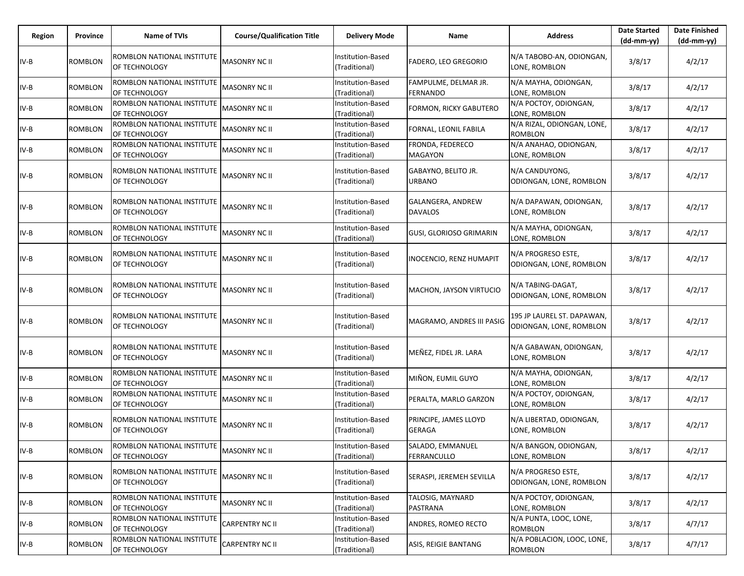| Region | Province       | <b>Name of TVIs</b>                         | <b>Course/Qualification Title</b> | <b>Delivery Mode</b>                      | Name                                 | <b>Address</b>                                        | <b>Date Started</b><br>$(dd-mm-yy)$ | <b>Date Finished</b><br>$(dd-mm-yy)$ |
|--------|----------------|---------------------------------------------|-----------------------------------|-------------------------------------------|--------------------------------------|-------------------------------------------------------|-------------------------------------|--------------------------------------|
| IV-B   | <b>ROMBLON</b> | ROMBLON NATIONAL INSTITUTE<br>OF TECHNOLOGY | <b>MASONRY NC II</b>              | <b>Institution-Based</b><br>(Traditional) | <b>FADERO, LEO GREGORIO</b>          | N/A TABOBO-AN, ODIONGAN,<br>LONE, ROMBLON             | 3/8/17                              | 4/2/17                               |
| IV-B   | <b>ROMBLON</b> | ROMBLON NATIONAL INSTITUTE<br>OF TECHNOLOGY | <b>MASONRY NC II</b>              | Institution-Based<br>(Traditional)        | FAMPULME, DELMAR JR.<br>FERNANDO     | N/A MAYHA, ODIONGAN,<br>LONE, ROMBLON                 | 3/8/17                              | 4/2/17                               |
| IV-B   | <b>ROMBLON</b> | ROMBLON NATIONAL INSTITUTE<br>OF TECHNOLOGY | <b>MASONRY NC II</b>              | Institution-Based<br>(Traditional)        | <b>FORMON, RICKY GABUTERO</b>        | N/A POCTOY, ODIONGAN,<br>LONE, ROMBLON                | 3/8/17                              | 4/2/17                               |
| IV-B   | <b>ROMBLON</b> | ROMBLON NATIONAL INSTITUTE<br>OF TECHNOLOGY | <b>MASONRY NC II</b>              | Institution-Based<br>(Traditional)        | FORNAL, LEONIL FABILA                | N/A RIZAL, ODIONGAN, LONE,<br><b>ROMBLON</b>          | 3/8/17                              | 4/2/17                               |
| IV-B   | <b>ROMBLON</b> | ROMBLON NATIONAL INSTITUTE<br>OF TECHNOLOGY | <b>MASONRY NC II</b>              | Institution-Based<br>(Traditional)        | FRONDA, FEDERECO<br><b>MAGAYON</b>   | N/A ANAHAO, ODIONGAN,<br>LONE, ROMBLON                | 3/8/17                              | 4/2/17                               |
| IV-B   | <b>ROMBLON</b> | ROMBLON NATIONAL INSTITUTE<br>OF TECHNOLOGY | <b>MASONRY NC II</b>              | Institution-Based<br>(Traditional)        | GABAYNO, BELITO JR.<br><b>URBANO</b> | N/A CANDUYONG,<br>ODIONGAN, LONE, ROMBLON             | 3/8/17                              | 4/2/17                               |
| IV-B   | <b>ROMBLON</b> | ROMBLON NATIONAL INSTITUTE<br>OF TECHNOLOGY | <b>MASONRY NC II</b>              | Institution-Based<br>(Traditional)        | GALANGERA, ANDREW<br><b>DAVALOS</b>  | N/A DAPAWAN, ODIONGAN,<br>LONE, ROMBLON               | 3/8/17                              | 4/2/17                               |
| IV-B   | <b>ROMBLON</b> | ROMBLON NATIONAL INSTITUTE<br>OF TECHNOLOGY | <b>MASONRY NC II</b>              | Institution-Based<br>(Traditional)        | GUSI, GLORIOSO GRIMARIN              | N/A MAYHA, ODIONGAN,<br>LONE, ROMBLON                 | 3/8/17                              | 4/2/17                               |
| IV-B   | <b>ROMBLON</b> | ROMBLON NATIONAL INSTITUTE<br>OF TECHNOLOGY | <b>MASONRY NC II</b>              | <b>Institution-Based</b><br>(Traditional) | <b>INOCENCIO, RENZ HUMAPIT</b>       | N/A PROGRESO ESTE,<br>ODIONGAN, LONE, ROMBLON         | 3/8/17                              | 4/2/17                               |
| IV-B   | <b>ROMBLON</b> | ROMBLON NATIONAL INSTITUTE<br>OF TECHNOLOGY | <b>MASONRY NC II</b>              | Institution-Based<br>(Traditional)        | MACHON, JAYSON VIRTUCIO              | N/A TABING-DAGAT,<br>ODIONGAN, LONE, ROMBLON          | 3/8/17                              | 4/2/17                               |
| IV-B   | <b>ROMBLON</b> | ROMBLON NATIONAL INSTITUTE<br>OF TECHNOLOGY | <b>MASONRY NC II</b>              | Institution-Based<br>(Traditional)        | MAGRAMO, ANDRES III PASIG            | 195 JP LAUREL ST. DAPAWAN,<br>ODIONGAN, LONE, ROMBLON | 3/8/17                              | 4/2/17                               |
| IV-B   | ROMBLON        | ROMBLON NATIONAL INSTITUTE<br>OF TECHNOLOGY | <b>MASONRY NC II</b>              | Institution-Based<br>(Traditional)        | MEÑEZ, FIDEL JR. LARA                | N/A GABAWAN, ODIONGAN,<br>LONE, ROMBLON               | 3/8/17                              | 4/2/17                               |
| IV-B   | <b>ROMBLON</b> | ROMBLON NATIONAL INSTITUTE<br>OF TECHNOLOGY | <b>MASONRY NC II</b>              | Institution-Based<br>(Traditional)        | MIÑON, EUMIL GUYO                    | N/A MAYHA, ODIONGAN,<br>LONE, ROMBLON                 | 3/8/17                              | 4/2/17                               |
| IV-B   | <b>ROMBLON</b> | ROMBLON NATIONAL INSTITUTE<br>OF TECHNOLOGY | <b>MASONRY NC II</b>              | Institution-Based<br>(Traditional)        | PERALTA, MARLO GARZON                | N/A POCTOY, ODIONGAN,<br>LONE, ROMBLON                | 3/8/17                              | 4/2/17                               |
| IV-B   | ROMBLON        | ROMBLON NATIONAL INSTITUTE<br>OF TECHNOLOGY | <b>MASONRY NC II</b>              | Institution-Based<br>(Traditional)        | PRINCIPE, JAMES LLOYD<br>GERAGA      | N/A LIBERTAD, ODIONGAN,<br>LONE, ROMBLON              | 3/8/17                              | 4/2/17                               |
| $IV-B$ | ROMBLON        | ROMBLON NATIONAL INSTITUTE<br>OF TECHNOLOGY | <b>MASONRY NC II</b>              | Institution-Based<br>(Traditional)        | SALADO, EMMANUEL<br>FERRANCULLO      | N/A BANGON, ODIONGAN,<br>LONE, ROMBLON                | 3/8/17                              | 4/2/17                               |
| IV-B   | <b>ROMBLON</b> | ROMBLON NATIONAL INSTITUTE<br>OF TECHNOLOGY | <b>MASONRY NC II</b>              | Institution-Based<br>(Traditional)        | SERASPI, JEREMEH SEVILLA             | N/A PROGRESO ESTE,<br>ODIONGAN, LONE, ROMBLON         | 3/8/17                              | 4/2/17                               |
| IV-B   | <b>ROMBLON</b> | ROMBLON NATIONAL INSTITUTE<br>OF TECHNOLOGY | <b>MASONRY NC II</b>              | Institution-Based<br>(Traditional)        | TALOSIG, MAYNARD<br>PASTRANA         | N/A POCTOY, ODIONGAN,<br>LONE, ROMBLON                | 3/8/17                              | 4/2/17                               |
| IV-B   | <b>ROMBLON</b> | ROMBLON NATIONAL INSTITUTE<br>OF TECHNOLOGY | <b>CARPENTRY NC II</b>            | Institution-Based<br>(Traditional)        | ANDRES, ROMEO RECTO                  | N/A PUNTA, LOOC, LONE,<br><b>ROMBLON</b>              | 3/8/17                              | 4/7/17                               |
| IV-B   | <b>ROMBLON</b> | ROMBLON NATIONAL INSTITUTE<br>OF TECHNOLOGY | <b>CARPENTRY NC II</b>            | Institution-Based<br>(Traditional)        | ASIS, REIGIE BANTANG                 | N/A POBLACION, LOOC, LONE,<br><b>ROMBLON</b>          | 3/8/17                              | 4/7/17                               |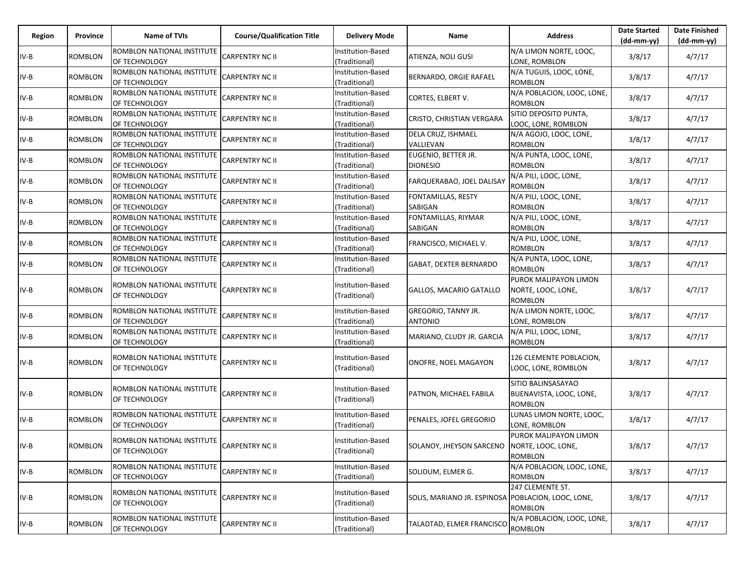| Region | Province       | Name of TVIs                                       | <b>Course/Qualification Title</b> | <b>Delivery Mode</b>               | Name                                               | <b>Address</b>                                                  | <b>Date Started</b><br>$(dd-mm-yy)$ | <b>Date Finished</b><br>$(dd-mm-yy)$ |
|--------|----------------|----------------------------------------------------|-----------------------------------|------------------------------------|----------------------------------------------------|-----------------------------------------------------------------|-------------------------------------|--------------------------------------|
| $IV-B$ | ROMBLON        | ROMBLON NATIONAL INSTITUTE<br>OF TECHNOLOGY        | <b>CARPENTRY NC II</b>            | Institution-Based<br>(Traditional) | ATIENZA, NOLI GUSI                                 | N/A LIMON NORTE, LOOC,<br>LONE, ROMBLON                         | 3/8/17                              | 4/7/17                               |
| $IV-B$ | <b>ROMBLON</b> | ROMBLON NATIONAL INSTITUTE<br>OF TECHNOLOGY        | <b>CARPENTRY NC II</b>            | nstitution-Based<br>(Traditional)  | BERNARDO, ORGIE RAFAEL                             | N/A TUGUIS, LOOC, LONE,<br><b>ROMBLON</b>                       | 3/8/17                              | 4/7/17                               |
| $IV-B$ | ROMBLON        | ROMBLON NATIONAL INSTITUTE<br>OF TECHNOLOGY        | CARPENTRY NC II                   | Institution-Based<br>(Traditional) | CORTES, ELBERT V.                                  | N/A POBLACION, LOOC, LONE,<br><b>ROMBLON</b>                    | 3/8/17                              | 4/7/17                               |
| $IV-B$ | ROMBLON        | ROMBLON NATIONAL INSTITUTE<br>OF TECHNOLOGY        | CARPENTRY NC II                   | Institution-Based<br>(Traditional) | CRISTO, CHRISTIAN VERGARA                          | SITIO DEPOSITO PUNTA,<br>LOOC, LONE, ROMBLON                    | 3/8/17                              | 4/7/17                               |
| $IV-B$ | ROMBLON        | ROMBLON NATIONAL INSTITUTE<br>OF TECHNOLOGY        | CARPENTRY NC II                   | Institution-Based<br>(Traditional) | DELA CRUZ, ISHMAEL<br>VALLIEVAN                    | N/A AGOJO, LOOC, LONE,<br><b>ROMBLON</b>                        | 3/8/17                              | 4/7/17                               |
| $IV-B$ | ROMBLON        | ROMBLON NATIONAL INSTITUTE<br>OF TECHNOLOGY        | CARPENTRY NC II                   | Institution-Based<br>(Traditional) | EUGENIO, BETTER JR.<br><b>DIONESIO</b>             | N/A PUNTA, LOOC, LONE,<br>ROMBLON                               | 3/8/17                              | 4/7/17                               |
| $IV-B$ | ROMBLON        | ROMBLON NATIONAL INSTITUTE<br>OF TECHNOLOGY        | CARPENTRY NC II                   | Institution-Based<br>(Traditional) | FARQUERABAO, JOEL DALISAY                          | N/A PILI, LOOC, LONE,<br><b>ROMBLON</b>                         | 3/8/17                              | 4/7/17                               |
| $IV-B$ | ROMBLON        | ROMBLON NATIONAL INSTITUTE<br>OF TECHNOLOGY        | CARPENTRY NC II                   | nstitution-Based<br>(Traditional)  | FONTAMILLAS, RESTY<br>SABIGAN                      | N/A PILI, LOOC, LONE,<br><b>ROMBLON</b>                         | 3/8/17                              | 4/7/17                               |
| $IV-B$ | ROMBLON        | ROMBLON NATIONAL INSTITUTE<br>OF TECHNOLOGY        | CARPENTRY NC II                   | Institution-Based<br>(Traditional) | FONTAMILLAS, RIYMAR<br>SABIGAN                     | N/A PILI, LOOC, LONE,<br>ROMBLON                                | 3/8/17                              | 4/7/17                               |
| $IV-B$ | <b>ROMBLON</b> | ROMBLON NATIONAL INSTITUTE<br>OF TECHNOLOGY        | CARPENTRY NC II                   | Institution-Based<br>(Traditional) | FRANCISCO, MICHAEL V.                              | N/A PILI, LOOC, LONE,<br><b>ROMBLON</b>                         | 3/8/17                              | 4/7/17                               |
| $IV-B$ | ROMBLON        | ROMBLON NATIONAL INSTITUTE<br>OF TECHNOLOGY        | CARPENTRY NC II                   | Institution-Based<br>(Traditional) | GABAT, DEXTER BERNARDO                             | N/A PUNTA, LOOC, LONE,<br><b>ROMBLON</b>                        | 3/8/17                              | 4/7/17                               |
| $IV-B$ | ROMBLON        | ROMBLON NATIONAL INSTITUTE<br>OF TECHNOLOGY        | <b>CARPENTRY NC II</b>            | Institution-Based<br>(Traditional) | GALLOS, MACARIO GATALLO                            | PUROK MALIPAYON LIMON<br>NORTE, LOOC, LONE,<br>ROMBLON          | 3/8/17                              | 4/7/17                               |
| $IV-B$ | ROMBLON        | ROMBLON NATIONAL INSTITUTE<br>OF TECHNOLOGY        | <b>CARPENTRY NC II</b>            | Institution-Based<br>(Traditional) | GREGORIO, TANNY JR.<br><b>ANTONIO</b>              | N/A LIMON NORTE, LOOC,<br>LONE, ROMBLON                         | 3/8/17                              | 4/7/17                               |
| $IV-B$ | ROMBLON        | ROMBLON NATIONAL INSTITUTE<br>OF TECHNOLOGY        | <b>CARPENTRY NC II</b>            | Institution-Based<br>(Traditional) | MARIANO, CLUDY JR. GARCIA                          | N/A PILI, LOOC, LONE,<br>ROMBLON                                | 3/8/17                              | 4/7/17                               |
| $IV-B$ | ROMBLON        | ROMBLON NATIONAL INSTITUTE<br>OF TECHNOLOGY        | CARPENTRY NC II                   | Institution-Based<br>(Traditional) | ONOFRE, NOEL MAGAYON                               | 126 CLEMENTE POBLACION,<br>LOOC, LONE, ROMBLON                  | 3/8/17                              | 4/7/17                               |
| $IV-B$ | ROMBLON        | ROMBLON NATIONAL INSTITUTE<br>OF TECHNOLOGY        | <b>CARPENTRY NC II</b>            | Institution-Based<br>(Traditional) | PATNON, MICHAEL FABILA                             | SITIO BALINSASAYAO<br>BUENAVISTA, LOOC, LONE,<br><b>ROMBLON</b> | 3/8/17                              | 4/7/17                               |
| $IV-B$ | ROMBLON        | ROMBLON NATIONAL INSTITUTE<br>OF TECHNOLOGY        | CARPENTRY NC II                   | Institution-Based<br>(Traditional) | PENALES, JOFEL GREGORIO                            | LUNAS LIMON NORTE, LOOC,<br>LONE, ROMBLON                       | 3/8/17                              | 4/7/17                               |
| IV-B   | ROMBLON        | ROMBLON NATIONAL INSTITUTE<br><b>OF TECHNOLOGY</b> | <b>CARPENTRY NC II</b>            | Institution-Based<br>(Traditional) | SOLANOY, JHEYSON SARCENO NORTE, LOOC, LONE,        | PUROK MALIPAYON LIMON<br><b>ROMBLON</b>                         | 3/8/17                              | 4/7/17                               |
| IV-B   | ROMBLON        | ROMBLON NATIONAL INSTITUTE<br>OF TECHNOLOGY        | <b>CARPENTRY NC II</b>            | Institution-Based<br>(Traditional) | SOLIDUM, ELMER G.                                  | N/A POBLACION, LOOC, LONE,<br><b>ROMBLON</b>                    | 3/8/17                              | 4/7/17                               |
| $IV-B$ | <b>ROMBLON</b> | ROMBLON NATIONAL INSTITUTE<br>OF TECHNOLOGY        | <b>CARPENTRY NC II</b>            | Institution-Based<br>(Traditional) | SOLIS, MARIANO JR. ESPINOSA POBLACION, LOOC, LONE, | 247 CLEMENTE ST.<br><b>ROMBLON</b>                              | 3/8/17                              | 4/7/17                               |
| $IV-B$ | <b>ROMBLON</b> | ROMBLON NATIONAL INSTITUTE<br>OF TECHNOLOGY        | <b>CARPENTRY NC II</b>            | Institution-Based<br>(Traditional) | TALADTAD, ELMER FRANCISCO                          | N/A POBLACION, LOOC, LONE,<br><b>ROMBLON</b>                    | 3/8/17                              | 4/7/17                               |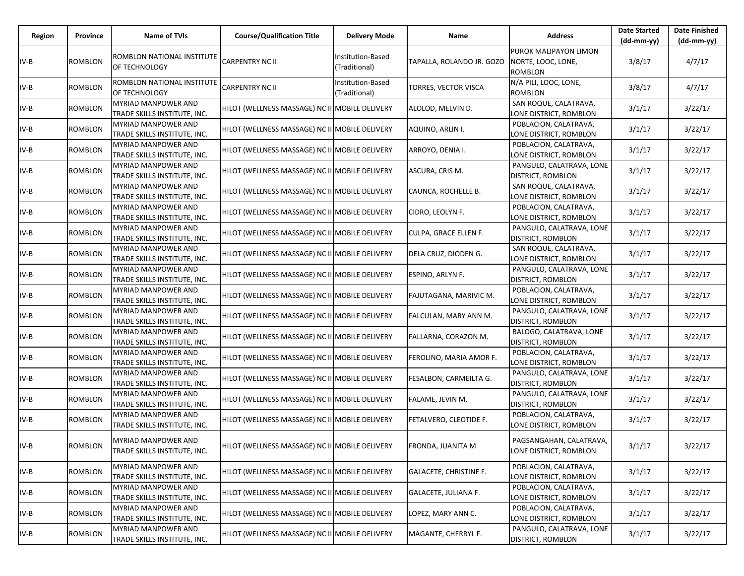| Region | Province       | Name of TVIs                                               | <b>Course/Qualification Title</b>              | <b>Delivery Mode</b>               | Name                          | <b>Address</b>                                                | <b>Date Started</b><br>$(dd-mm-yy)$ | <b>Date Finished</b><br>(dd-mm-yy) |
|--------|----------------|------------------------------------------------------------|------------------------------------------------|------------------------------------|-------------------------------|---------------------------------------------------------------|-------------------------------------|------------------------------------|
| IV-B   | <b>ROMBLON</b> | ROMBLON NATIONAL INSTITUTE<br>OF TECHNOLOGY                | <b>CARPENTRY NC II</b>                         | Institution-Based<br>(Traditional) | TAPALLA, ROLANDO JR. GOZO     | PUROK MALIPAYON LIMON<br>NORTE, LOOC, LONE,<br><b>ROMBLON</b> | 3/8/17                              | 4/7/17                             |
| IV-B   | <b>ROMBLON</b> | ROMBLON NATIONAL INSTITUTE<br>OF TECHNOLOGY                | <b>CARPENTRY NC II</b>                         | Institution-Based<br>(Traditional) | TORRES, VECTOR VISCA          | N/A PILI, LOOC, LONE,<br><b>ROMBLON</b>                       | 3/8/17                              | 4/7/17                             |
| IV-B   | <b>ROMBLON</b> | MYRIAD MANPOWER AND<br>TRADE SKILLS INSTITUTE, INC.        | HILOT (WELLNESS MASSAGE) NC II MOBILE DELIVERY |                                    | ALOLOD, MELVIN D.             | SAN ROQUE, CALATRAVA,<br>LONE DISTRICT, ROMBLON               | 3/1/17                              | 3/22/17                            |
| IV-B   | <b>ROMBLON</b> | <b>MYRIAD MANPOWER AND</b><br>TRADE SKILLS INSTITUTE, INC. | HILOT (WELLNESS MASSAGE) NC II MOBILE DELIVERY |                                    | AQUINO, ARLIN I.              | POBLACION, CALATRAVA,<br>LONE DISTRICT, ROMBLON               | 3/1/17                              | 3/22/17                            |
| IV-B   | ROMBLON        | <b>MYRIAD MANPOWER AND</b><br>TRADE SKILLS INSTITUTE, INC. | HILOT (WELLNESS MASSAGE) NC II MOBILE DELIVERY |                                    | ARROYO, DENIA I.              | POBLACION, CALATRAVA,<br>LONE DISTRICT, ROMBLON               | 3/1/17                              | 3/22/17                            |
| IV-B   | ROMBLON        | MYRIAD MANPOWER AND<br>TRADE SKILLS INSTITUTE, INC.        | HILOT (WELLNESS MASSAGE) NC II MOBILE DELIVERY |                                    | ASCURA, CRIS M.               | PANGULO, CALATRAVA, LONE<br><b>DISTRICT, ROMBLON</b>          | 3/1/17                              | 3/22/17                            |
| IV-B   | <b>ROMBLON</b> | <b>MYRIAD MANPOWER AND</b><br>TRADE SKILLS INSTITUTE, INC. | HILOT (WELLNESS MASSAGE) NC II MOBILE DELIVERY |                                    | CAUNCA, ROCHELLE B.           | SAN ROQUE, CALATRAVA,<br>LONE DISTRICT, ROMBLON               | 3/1/17                              | 3/22/17                            |
| IV-B   | ROMBLON        | <b>MYRIAD MANPOWER AND</b><br>TRADE SKILLS INSTITUTE, INC. | HILOT (WELLNESS MASSAGE) NC II MOBILE DELIVERY |                                    | CIDRO, LEOLYN F.              | POBLACION, CALATRAVA,<br>LONE DISTRICT, ROMBLON               | 3/1/17                              | 3/22/17                            |
| IV-B   | <b>ROMBLON</b> | MYRIAD MANPOWER AND<br>TRADE SKILLS INSTITUTE, INC.        | HILOT (WELLNESS MASSAGE) NC II MOBILE DELIVERY |                                    | CULPA, GRACE ELLEN F.         | PANGULO, CALATRAVA, LONE<br><b>DISTRICT, ROMBLON</b>          | 3/1/17                              | 3/22/17                            |
| IV-B   | <b>ROMBLON</b> | MYRIAD MANPOWER AND<br>TRADE SKILLS INSTITUTE, INC.        | HILOT (WELLNESS MASSAGE) NC II MOBILE DELIVERY |                                    | DELA CRUZ, DIODEN G.          | SAN ROQUE, CALATRAVA,<br>LONE DISTRICT, ROMBLON               | 3/1/17                              | 3/22/17                            |
| $IV-B$ | <b>ROMBLON</b> | <b>MYRIAD MANPOWER AND</b><br>TRADE SKILLS INSTITUTE, INC. | HILOT (WELLNESS MASSAGE) NC II MOBILE DELIVERY |                                    | ESPINO, ARLYN F.              | PANGULO, CALATRAVA, LONE<br>DISTRICT, ROMBLON                 | 3/1/17                              | 3/22/17                            |
| IV-B   | <b>ROMBLON</b> | MYRIAD MANPOWER AND<br>TRADE SKILLS INSTITUTE, INC.        | HILOT (WELLNESS MASSAGE) NC II MOBILE DELIVERY |                                    | FAJUTAGANA, MARIVIC M.        | POBLACION, CALATRAVA,<br>LONE DISTRICT, ROMBLON               | 3/1/17                              | 3/22/17                            |
| IV-B   | <b>ROMBLON</b> | <b>MYRIAD MANPOWER AND</b><br>TRADE SKILLS INSTITUTE, INC. | HILOT (WELLNESS MASSAGE) NC II MOBILE DELIVERY |                                    | FALCULAN, MARY ANN M.         | PANGULO, CALATRAVA, LONE<br><b>DISTRICT, ROMBLON</b>          | 3/1/17                              | 3/22/17                            |
| IV-B   | <b>ROMBLON</b> | <b>MYRIAD MANPOWER AND</b><br>TRADE SKILLS INSTITUTE, INC. | HILOT (WELLNESS MASSAGE) NC II MOBILE DELIVERY |                                    | FALLARNA, CORAZON M.          | BALOGO, CALATRAVA, LONE<br><b>DISTRICT, ROMBLON</b>           | 3/1/17                              | 3/22/17                            |
| IV-B   | <b>ROMBLON</b> | MYRIAD MANPOWER AND<br>TRADE SKILLS INSTITUTE, INC.        | HILOT (WELLNESS MASSAGE) NC II MOBILE DELIVERY |                                    | FEROLINO, MARIA AMOR F.       | POBLACION, CALATRAVA,<br>LONE DISTRICT, ROMBLON               | 3/1/17                              | 3/22/17                            |
| IV-B   | <b>ROMBLON</b> | MYRIAD MANPOWER AND<br>TRADE SKILLS INSTITUTE, INC.        | HILOT (WELLNESS MASSAGE) NC II MOBILE DELIVERY |                                    | FESALBON, CARMEILTA G.        | PANGULO, CALATRAVA, LONE<br>DISTRICT, ROMBLON                 | 3/1/17                              | 3/22/17                            |
| IV-B   | <b>ROMBLON</b> | <b>MYRIAD MANPOWER AND</b><br>TRADE SKILLS INSTITUTE, INC. | HILOT (WELLNESS MASSAGE) NC II MOBILE DELIVERY |                                    | FALAME, JEVIN M.              | PANGULO, CALATRAVA, LONE<br>DISTRICT, ROMBLON                 | 3/1/17                              | 3/22/17                            |
| IV-B   | <b>ROMBLON</b> | MYRIAD MANPOWER AND<br>TRADE SKILLS INSTITUTE, INC.        | HILOT (WELLNESS MASSAGE) NC II MOBILE DELIVERY |                                    | FETALVERO, CLEOTIDE F.        | POBLACION, CALATRAVA,<br>LONE DISTRICT, ROMBLON               | 3/1/17                              | 3/22/17                            |
| IV-B   | ROMBLON        | <b>MYRIAD MANPOWER AND</b><br>TRADE SKILLS INSTITUTE, INC. | HILOT (WELLNESS MASSAGE) NC II MOBILE DELIVERY |                                    | FRONDA, JUANITA M             | PAGSANGAHAN, CALATRAVA,<br>LONE DISTRICT, ROMBLON             | 3/1/17                              | 3/22/17                            |
| IV-B   | <b>ROMBLON</b> | <b>MYRIAD MANPOWER AND</b><br>TRADE SKILLS INSTITUTE, INC. | HILOT (WELLNESS MASSAGE) NC II MOBILE DELIVERY |                                    | <b>GALACETE, CHRISTINE F.</b> | POBLACION, CALATRAVA,<br>LONE DISTRICT, ROMBLON               | 3/1/17                              | 3/22/17                            |
| IV-B   | <b>ROMBLON</b> | <b>MYRIAD MANPOWER AND</b><br>TRADE SKILLS INSTITUTE, INC. | HILOT (WELLNESS MASSAGE) NC II MOBILE DELIVERY |                                    | GALACETE, JULIANA F.          | POBLACION, CALATRAVA,<br>LONE DISTRICT, ROMBLON               | 3/1/17                              | 3/22/17                            |
| IV-B   | <b>ROMBLON</b> | MYRIAD MANPOWER AND<br>TRADE SKILLS INSTITUTE, INC.        | HILOT (WELLNESS MASSAGE) NC II MOBILE DELIVERY |                                    | LOPEZ, MARY ANN C.            | POBLACION, CALATRAVA,<br>LONE DISTRICT, ROMBLON               | 3/1/17                              | 3/22/17                            |
| IV-B   | <b>ROMBLON</b> | <b>MYRIAD MANPOWER AND</b><br>TRADE SKILLS INSTITUTE, INC. | HILOT (WELLNESS MASSAGE) NC II MOBILE DELIVERY |                                    | MAGANTE, CHERRYL F.           | PANGULO, CALATRAVA, LONE<br>DISTRICT, ROMBLON                 | 3/1/17                              | 3/22/17                            |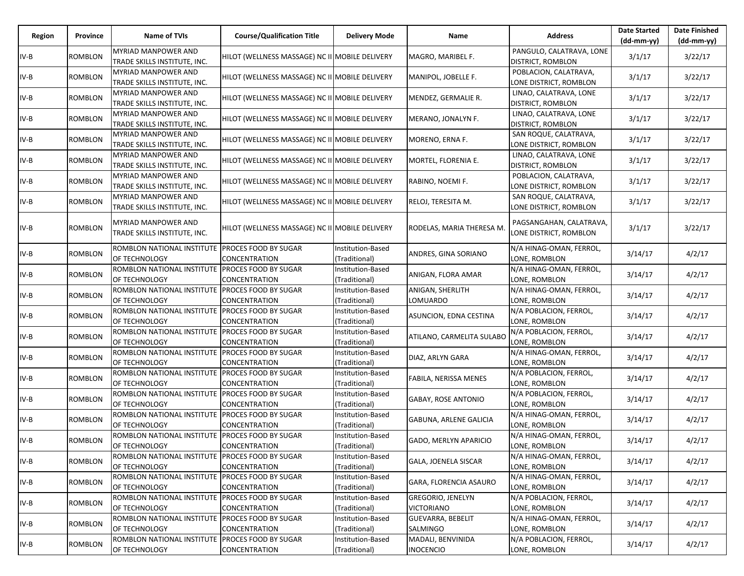| Region | Province       | Name of TVIs                                                      | <b>Course/Qualification Title</b>                   | <b>Delivery Mode</b>               | Name                                          | <b>Address</b>                                     | <b>Date Started</b><br>(dd-mm-yy) | <b>Date Finished</b><br>(dd-mm-yy) |
|--------|----------------|-------------------------------------------------------------------|-----------------------------------------------------|------------------------------------|-----------------------------------------------|----------------------------------------------------|-----------------------------------|------------------------------------|
| IV-B   | ROMBLON        | <b>MYRIAD MANPOWER AND</b><br>TRADE SKILLS INSTITUTE, INC.        | HILOT (WELLNESS MASSAGE) NC II MOBILE DELIVERY      |                                    | MAGRO, MARIBEL F.                             | PANGULO, CALATRAVA, LONE<br>DISTRICT, ROMBLON      | 3/1/17                            | 3/22/17                            |
| IV-B   | <b>ROMBLON</b> | MYRIAD MANPOWER AND<br>TRADE SKILLS INSTITUTE, INC.               | HILOT (WELLNESS MASSAGE) NC II MOBILE DELIVERY      |                                    | MANIPOL, JOBELLE F.                           | POBLACION, CALATRAVA,<br>LONE DISTRICT, ROMBLON    | 3/1/17                            | 3/22/17                            |
| IV-B   | <b>ROMBLON</b> | MYRIAD MANPOWER AND<br>TRADE SKILLS INSTITUTE, INC.               | HILOT (WELLNESS MASSAGE) NC II MOBILE DELIVERY      |                                    | MENDEZ, GERMALIE R.                           | LINAO, CALATRAVA, LONE<br>DISTRICT, ROMBLON        | 3/1/17                            | 3/22/17                            |
| IV-B   | <b>ROMBLON</b> | MYRIAD MANPOWER AND<br>TRADE SKILLS INSTITUTE, INC.               | HILOT (WELLNESS MASSAGE) NC II MOBILE DELIVERY      |                                    | MERANO, JONALYN F.                            | LINAO, CALATRAVA, LONE<br><b>DISTRICT, ROMBLON</b> | 3/1/17                            | 3/22/17                            |
| IV-B   | <b>ROMBLON</b> | <b>MYRIAD MANPOWER AND</b><br>TRADE SKILLS INSTITUTE, INC.        | HILOT (WELLNESS MASSAGE) NC II MOBILE DELIVERY      |                                    | MORENO, ERNA F.                               | SAN ROQUE, CALATRAVA,<br>LONE DISTRICT, ROMBLON    | 3/1/17                            | 3/22/17                            |
| IV-B   | <b>ROMBLON</b> | MYRIAD MANPOWER AND<br>TRADE SKILLS INSTITUTE, INC.               | HILOT (WELLNESS MASSAGE) NC II MOBILE DELIVERY      |                                    | MORTEL, FLORENIA E.                           | LINAO, CALATRAVA, LONE<br><b>DISTRICT, ROMBLON</b> | 3/1/17                            | 3/22/17                            |
| IV-B   | <b>ROMBLON</b> | <b>MYRIAD MANPOWER AND</b><br>TRADE SKILLS INSTITUTE, INC.        | HILOT (WELLNESS MASSAGE) NC II MOBILE DELIVERY      |                                    | RABINO, NOEMI F.                              | POBLACION, CALATRAVA,<br>LONE DISTRICT, ROMBLON    | 3/1/17                            | 3/22/17                            |
| IV-B   | <b>ROMBLON</b> | <b>MYRIAD MANPOWER AND</b><br>TRADE SKILLS INSTITUTE, INC.        | HILOT (WELLNESS MASSAGE) NC II MOBILE DELIVERY      |                                    | RELOJ, TERESITA M.                            | SAN ROQUE, CALATRAVA,<br>LONE DISTRICT, ROMBLON    | 3/1/17                            | 3/22/17                            |
| IV-B   | <b>ROMBLON</b> | MYRIAD MANPOWER AND<br>TRADE SKILLS INSTITUTE, INC.               | HILOT (WELLNESS MASSAGE) NC II MOBILE DELIVERY      |                                    | RODELAS, MARIA THERESA M                      | PAGSANGAHAN, CALATRAVA,<br>LONE DISTRICT, ROMBLON  | 3/1/17                            | 3/22/17                            |
| IV-B   | <b>ROMBLON</b> | ROMBLON NATIONAL INSTITUTE PROCES FOOD BY SUGAR<br>OF TECHNOLOGY  | <b>CONCENTRATION</b>                                | Institution-Based<br>(Traditional) | ANDRES, GINA SORIANO                          | N/A HINAG-OMAN, FERROL,<br>LONE, ROMBLON           | 3/14/17                           | 4/2/17                             |
| IV-B   | <b>ROMBLON</b> | ROMBLON NATIONAL INSTITUTE PROCES FOOD BY SUGAR<br>OF TECHNOLOGY  | <b>CONCENTRATION</b>                                | Institution-Based<br>(Traditional) | ANIGAN, FLORA AMAR                            | N/A HINAG-OMAN, FERROL,<br>LONE, ROMBLON           | 3/14/17                           | 4/2/17                             |
| IV-B   | <b>ROMBLON</b> | ROMBLON NATIONAL INSTITUTE PROCES FOOD BY SUGAR<br>OF TECHNOLOGY  | <b>CONCENTRATION</b>                                | Institution-Based<br>(Traditional) | ANIGAN, SHERLITH<br>LOMUARDO                  | N/A HINAG-OMAN, FERROL,<br>LONE, ROMBLON           | 3/14/17                           | 4/2/17                             |
| IV-B   | <b>ROMBLON</b> | ROMBLON NATIONAL INSTITUTE PROCES FOOD BY SUGAR<br>OF TECHNOLOGY  | <b>CONCENTRATION</b>                                | Institution-Based<br>(Traditional) | ASUNCION, EDNA CESTINA                        | N/A POBLACION, FERROL,<br>LONE, ROMBLON            | 3/14/17                           | 4/2/17                             |
| IV-B   | ROMBLON        | ROMBLON NATIONAL INSTITUTE<br>OF TECHNOLOGY                       | <b>PROCES FOOD BY SUGAR</b><br><b>CONCENTRATION</b> | Institution-Based<br>(Traditional) | ATILANO, CARMELITA SULABO                     | N/A POBLACION, FERROL,<br>LONE, ROMBLON            | 3/14/17                           | 4/2/17                             |
| IV-B   | <b>ROMBLON</b> | ROMBLON NATIONAL INSTITUTE PROCES FOOD BY SUGAR<br>OF TECHNOLOGY  | <b>CONCENTRATION</b>                                | Institution-Based<br>(Traditional) | DIAZ, ARLYN GARA                              | N/A HINAG-OMAN, FERROL,<br>LONE, ROMBLON           | 3/14/17                           | 4/2/17                             |
| IV-B   | <b>ROMBLON</b> | ROMBLON NATIONAL INSTITUTE PROCES FOOD BY SUGAR<br>OF TECHNOLOGY  | <b>CONCENTRATION</b>                                | Institution-Based<br>(Traditional) | FABILA, NERISSA MENES                         | N/A POBLACION, FERROL,<br>LONE, ROMBLON            | 3/14/17                           | 4/2/17                             |
| IV-B   | <b>ROMBLON</b> | ROMBLON NATIONAL INSTITUTE PROCES FOOD BY SUGAR<br>OF TECHNOLOGY  | <b>CONCENTRATION</b>                                | Institution-Based<br>(Traditional) | <b>GABAY, ROSE ANTONIO</b>                    | N/A POBLACION, FERROL,<br>LONE, ROMBLON            | 3/14/17                           | 4/2/17                             |
| IV-B   | ROMBLON        | ROMBLON NATIONAL INSTITUTE PROCES FOOD BY SUGAR<br>OF TECHNOLOGY  | <b>CONCENTRATION</b>                                | Institution-Based<br>(Traditional) | GABUNA, ARLENE GALICIA                        | N/A HINAG-OMAN, FERROL,<br>LONE, ROMBLON           | 3/14/17                           | 4/2/17                             |
| IV-B   | <b>ROMBLON</b> | ROMBLON NATIONAL INSTITUTE PROCES FOOD BY SUGAR<br>OF TECHNOLOGY  | CONCENTRATION                                       | Institution-Based<br>(Traditional) | GADO, MERLYN APARICIO                         | N/A HINAG-OMAN, FERROL,<br>LONE, ROMBLON           | 3/14/17                           | 4/2/17                             |
| $IV-B$ | ROMBLON        | ROMBLON NATIONAL INSTITUTE PROCES FOOD BY SUGAR<br>OF TECHNOLOGY  | CONCENTRATION                                       | Institution-Based<br>(Traditional) | GALA, JOENELA SISCAR                          | N/A HINAG-OMAN, FERROL,<br>LONE, ROMBLON           | 3/14/17                           | 4/2/17                             |
| $IV-B$ | <b>ROMBLON</b> | ROMBLON NATIONAL INSTITUTE PROCES FOOD BY SUGAR<br>OF TECHNOLOGY  | CONCENTRATION                                       | Institution-Based<br>(Traditional) | GARA, FLORENCIA ASAURO                        | N/A HINAG-OMAN, FERROL,<br>LONE, ROMBLON           | 3/14/17                           | 4/2/17                             |
| $IV-B$ | <b>ROMBLON</b> | ROMBLON NATIONAL INSTITUTE PROCES FOOD BY SUGAR<br>OF TECHNOLOGY  | <b>CONCENTRATION</b>                                | Institution-Based<br>(Traditional) | <b>GREGORIO, JENELYN</b><br><b>VICTORIANO</b> | N/A POBLACION, FERROL,<br>LONE, ROMBLON            | 3/14/17                           | 4/2/17                             |
| IV-B   | ROMBLON        | ROMBLON NATIONAL INSTITUTE PROCES FOOD BY SUGAR<br>OF TECHNOLOGY  | <b>CONCENTRATION</b>                                | Institution-Based<br>(Traditional) | <b>GUEVARRA, BEBELIT</b><br>SALMINGO          | N/A HINAG-OMAN, FERROL,<br>LONE, ROMBLON           | 3/14/17                           | 4/2/17                             |
| IV-B   | <b>ROMBLON</b> | ROMBLON NATIONAL INSTITUTE  PROCES FOOD BY SUGAR<br>OF TECHNOLOGY | <b>CONCENTRATION</b>                                | Institution-Based<br>(Traditional) | MADALI, BENVINIDA<br><b>INOCENCIO</b>         | N/A POBLACION, FERROL,<br>LONE, ROMBLON            | 3/14/17                           | 4/2/17                             |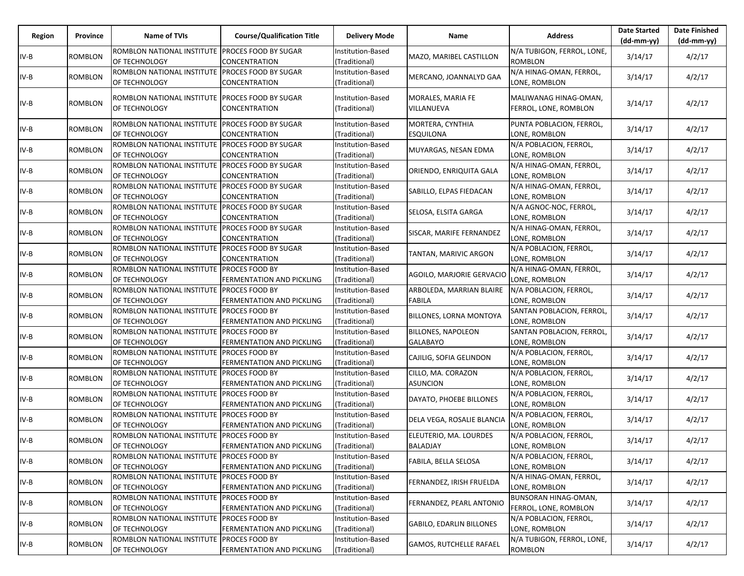| Region | Province       | Name of TVIs                                                     | <b>Course/Qualification Title</b>                  | <b>Delivery Mode</b>               | Name                                         | <b>Address</b>                                 | <b>Date Started</b><br>$(dd-mm-yy)$ | <b>Date Finished</b><br>(dd-mm-yy) |
|--------|----------------|------------------------------------------------------------------|----------------------------------------------------|------------------------------------|----------------------------------------------|------------------------------------------------|-------------------------------------|------------------------------------|
| IV-B   | ROMBLON        | ROMBLON NATIONAL INSTITUTE PROCES FOOD BY SUGAR<br>OF TECHNOLOGY | CONCENTRATION                                      | Institution-Based<br>(Traditional) | MAZO, MARIBEL CASTILLON                      | N/A TUBIGON, FERROL, LONE,<br><b>ROMBLON</b>   | 3/14/17                             | 4/2/17                             |
| IV-B   | ROMBLON        | ROMBLON NATIONAL INSTITUTE<br>OF TECHNOLOGY                      | PROCES FOOD BY SUGAR<br>CONCENTRATION              | nstitution-Based<br>(Traditional)  | MERCANO, JOANNALYD GAA                       | N/A HINAG-OMAN, FERROL,<br>LONE, ROMBLON       | 3/14/17                             | 4/2/17                             |
| $IV-B$ | ROMBLON        | ROMBLON NATIONAL INSTITUTE PROCES FOOD BY SUGAR<br>OF TECHNOLOGY | CONCENTRATION                                      | Institution-Based<br>(Traditional) | MORALES, MARIA FE<br>VILLANUEVA              | MALIWANAG HINAG-OMAN,<br>FERROL, LONE, ROMBLON | 3/14/17                             | 4/2/17                             |
| IV-B   | ROMBLON        | ROMBLON NATIONAL INSTITUTE<br>OF TECHNOLOGY                      | PROCES FOOD BY SUGAR<br>CONCENTRATION              | Institution-Based<br>(Traditional) | MORTERA, CYNTHIA<br><b>ESQUILONA</b>         | PUNTA POBLACION, FERROL,<br>LONE, ROMBLON      | 3/14/17                             | 4/2/17                             |
| IV-B   | ROMBLON        | ROMBLON NATIONAL INSTITUTE<br>OF TECHNOLOGY                      | PROCES FOOD BY SUGAR<br>CONCENTRATION              | Institution-Based<br>(Traditional) | MUYARGAS, NESAN EDMA                         | N/A POBLACION, FERROL,<br>LONE, ROMBLON        | 3/14/17                             | 4/2/17                             |
| IV-B   | ROMBLON        | ROMBLON NATIONAL INSTITUTE PROCES FOOD BY SUGAR<br>OF TECHNOLOGY | CONCENTRATION                                      | nstitution-Based<br>(Traditional)  | ORIENDO, ENRIQUITA GALA                      | N/A HINAG-OMAN, FERROL,<br>LONE, ROMBLON       | 3/14/17                             | 4/2/17                             |
| IV-B   | <b>ROMBLON</b> | ROMBLON NATIONAL INSTITUTE<br>OF TECHNOLOGY                      | PROCES FOOD BY SUGAR<br>CONCENTRATION              | Institution-Based<br>(Traditional) | SABILLO, ELPAS FIEDACAN                      | N/A HINAG-OMAN, FERROL,<br>LONE, ROMBLON       | 3/14/17                             | 4/2/17                             |
| IV-B   | ROMBLON        | ROMBLON NATIONAL INSTITUTE<br>OF TECHNOLOGY                      | PROCES FOOD BY SUGAR<br>CONCENTRATION              | nstitution-Based<br>(Traditional)  | SELOSA, ELSITA GARGA                         | N/A AGNOC-NOC, FERROL,<br>LONE, ROMBLON        | 3/14/17                             | 4/2/17                             |
| $IV-B$ | ROMBLON        | ROMBLON NATIONAL INSTITUTE<br>OF TECHNOLOGY                      | PROCES FOOD BY SUGAR<br>CONCENTRATION              | nstitution-Based<br>(Traditional)  | SISCAR, MARIFE FERNANDEZ                     | N/A HINAG-OMAN, FERROL,<br>LONE, ROMBLON       | 3/14/17                             | 4/2/17                             |
| IV-B   | ROMBLON        | ROMBLON NATIONAL INSTITUTE<br>OF TECHNOLOGY                      | <b>PROCES FOOD BY SUGAR</b><br>CONCENTRATION       | Institution-Based<br>(Traditional) | TANTAN, MARIVIC ARGON                        | N/A POBLACION, FERROL,<br>LONE, ROMBLON        | 3/14/17                             | 4/2/17                             |
| IV-B   | ROMBLON        | ROMBLON NATIONAL INSTITUTE<br>OF TECHNOLOGY                      | PROCES FOOD BY<br>FERMENTATION AND PICKLING        | Institution-Based<br>(Traditional) | AGOILO, MARJORIE GERVACIO                    | N/A HINAG-OMAN, FERROL,<br>LONE, ROMBLON       | 3/14/17                             | 4/2/17                             |
| IV-B   | <b>ROMBLON</b> | ROMBLON NATIONAL INSTITUTE<br>OF TECHNOLOGY                      | PROCES FOOD BY<br>FERMENTATION AND PICKLING        | Institution-Based<br>(Traditional) | ARBOLEDA, MARRIAN BLAIRE<br><b>FABILA</b>    | N/A POBLACION, FERROL,<br>LONE, ROMBLON        | 3/14/17                             | 4/2/17                             |
| IV-B   | ROMBLON        | ROMBLON NATIONAL INSTITUTE PROCES FOOD BY<br>OF TECHNOLOGY       | FERMENTATION AND PICKLING                          | Institution-Based<br>(Traditional) | BILLONES, LORNA MONTOYA                      | SANTAN POBLACION, FERROL,<br>LONE, ROMBLON     | 3/14/17                             | 4/2/17                             |
| IV-B   | ROMBLON        | ROMBLON NATIONAL INSTITUTE<br>OF TECHNOLOGY                      | PROCES FOOD BY<br>FERMENTATION AND PICKLING        | Institution-Based<br>(Traditional) | <b>BILLONES, NAPOLEON</b><br><b>GALABAYO</b> | SANTAN POBLACION, FERROL,<br>LONE, ROMBLON     | 3/14/17                             | 4/2/17                             |
| IV-B   | ROMBLON        | ROMBLON NATIONAL INSTITUTE<br>OF TECHNOLOGY                      | PROCES FOOD BY<br>FERMENTATION AND PICKLING        | Institution-Based<br>(Traditional) | CAJILIG, SOFIA GELINDON                      | N/A POBLACION, FERROL,<br>LONE, ROMBLON        | 3/14/17                             | 4/2/17                             |
| IV-B   | ROMBLON        | ROMBLON NATIONAL INSTITUTE PROCES FOOD BY<br>OF TECHNOLOGY       | FERMENTATION AND PICKLING                          | Institution-Based<br>(Traditional) | CILLO, MA. CORAZON<br><b>ASUNCION</b>        | N/A POBLACION, FERROL,<br>LONE, ROMBLON        | 3/14/17                             | 4/2/17                             |
| IV-B   | ROMBLON        | ROMBLON NATIONAL INSTITUTE<br>OF TECHNOLOGY                      | <b>PROCES FOOD BY</b><br>FERMENTATION AND PICKLING | Institution-Based<br>(Traditional) | DAYATO, PHOEBE BILLONES                      | N/A POBLACION, FERROL,<br>LONE, ROMBLON        | 3/14/17                             | 4/2/17                             |
| IV-B   | ROMBLON        | ROMBLON NATIONAL INSTITUTE<br>OF TECHNOLOGY                      | <b>PROCES FOOD BY</b><br>FERMENTATION AND PICKLING | Institution-Based<br>(Traditional) | DELA VEGA, ROSALIE BLANCIA                   | N/A POBLACION, FERROL,<br>LONE, ROMBLON        | 3/14/17                             | 4/2/17                             |
| IV-B   | <b>ROMBLON</b> | ROMBLON NATIONAL INSTITUTE PROCES FOOD BY<br>OF TECHNOLOGY       | FERMENTATION AND PICKLING                          | Institution-Based<br>(Traditional) | ELEUTERIO, MA. LOURDES<br>BALADJAY           | N/A POBLACION, FERROL,<br>LONE, ROMBLON        | 3/14/17                             | 4/2/17                             |
| $IV-B$ | ROMBLON        | ROMBLON NATIONAL INSTITUTE PROCES FOOD BY<br>OF TECHNOLOGY       | FERMENTATION AND PICKLING                          | Institution-Based<br>(Traditional) | <b>FABILA, BELLA SELOSA</b>                  | N/A POBLACION, FERROL,<br>LONE, ROMBLON        | 3/14/17                             | 4/2/17                             |
| $IV-B$ | ROMBLON        | ROMBLON NATIONAL INSTITUTE<br>OF TECHNOLOGY                      | <b>PROCES FOOD BY</b><br>FERMENTATION AND PICKLING | Institution-Based<br>(Traditional) | FERNANDEZ, IRISH FRUELDA                     | N/A HINAG-OMAN, FERROL,<br>LONE, ROMBLON       | 3/14/17                             | 4/2/17                             |
| $IV-B$ | <b>ROMBLON</b> | ROMBLON NATIONAL INSTITUTE PROCES FOOD BY<br>OF TECHNOLOGY       | FERMENTATION AND PICKLING                          | Institution-Based<br>(Traditional) | FERNANDEZ, PEARL ANTONIO                     | BUNSORAN HINAG-OMAN,<br>FERROL, LONE, ROMBLON  | 3/14/17                             | 4/2/17                             |
| IV-B   | ROMBLON        | ROMBLON NATIONAL INSTITUTE<br>OF TECHNOLOGY                      | <b>PROCES FOOD BY</b><br>FERMENTATION AND PICKLING | Institution-Based<br>(Traditional) | <b>GABILO, EDARLIN BILLONES</b>              | N/A POBLACION, FERROL,<br>LONE, ROMBLON        | 3/14/17                             | 4/2/17                             |
| IV-B   | ROMBLON        | ROMBLON NATIONAL INSTITUTE PROCES FOOD BY<br>OF TECHNOLOGY       | FERMENTATION AND PICKLING                          | Institution-Based<br>(Traditional) | <b>GAMOS, RUTCHELLE RAFAEL</b>               | N/A TUBIGON, FERROL, LONE,<br>ROMBLON          | 3/14/17                             | 4/2/17                             |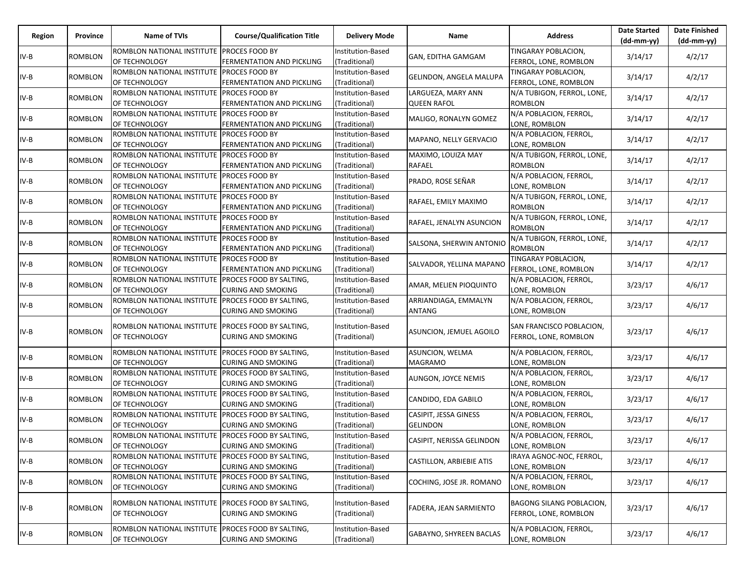| Region | Province       | Name of TVIs                                                        | <b>Course/Qualification Title</b>                           | <b>Delivery Mode</b>               | Name                                     | <b>Address</b>                                    | <b>Date Started</b> | <b>Date Finished</b> |
|--------|----------------|---------------------------------------------------------------------|-------------------------------------------------------------|------------------------------------|------------------------------------------|---------------------------------------------------|---------------------|----------------------|
|        |                |                                                                     |                                                             |                                    |                                          |                                                   | $(dd-mm-yy)$        | $(dd-mm-yy)$         |
| $IV-B$ | ROMBLON        | ROMBLON NATIONAL INSTITUTE<br>OF TECHNOLOGY                         | <b>PROCES FOOD BY</b><br><b>FERMENTATION AND PICKLING</b>   | Institution-Based<br>(Traditional) | GAN, EDITHA GAMGAM                       | TINGARAY POBLACION,<br>FERROL, LONE, ROMBLON      | 3/14/17             | 4/2/17               |
| $IV-B$ | <b>ROMBLON</b> | ROMBLON NATIONAL INSTITUTE<br>OF TECHNOLOGY                         | PROCES FOOD BY<br><b>FERMENTATION AND PICKLING</b>          | Institution-Based<br>(Traditional) | <b>GELINDON, ANGELA MALUPA</b>           | TINGARAY POBLACION,<br>FERROL, LONE, ROMBLON      | 3/14/17             | 4/2/17               |
|        |                |                                                                     |                                                             |                                    |                                          |                                                   |                     |                      |
| $IV-B$ | ROMBLON        | ROMBLON NATIONAL INSTITUTE<br>OF TECHNOLOGY                         | <b>PROCES FOOD BY</b><br>FERMENTATION AND PICKLING          | Institution-Based<br>(Traditional) | LARGUEZA, MARY ANN<br><b>QUEEN RAFOL</b> | N/A TUBIGON, FERROL, LONE,<br>ROMBLON             | 3/14/17             | 4/2/17               |
| $IV-B$ | <b>ROMBLON</b> | ROMBLON NATIONAL INSTITUTE PROCES FOOD BY<br>OF TECHNOLOGY          | <b>FERMENTATION AND PICKLING</b>                            | Institution-Based<br>(Traditional) | MALIGO, RONALYN GOMEZ                    | N/A POBLACION, FERROL,<br>LONE, ROMBLON           | 3/14/17             | 4/2/17               |
| $IV-B$ | <b>ROMBLON</b> | ROMBLON NATIONAL INSTITUTE<br>OF TECHNOLOGY                         | <b>PROCES FOOD BY</b><br>FERMENTATION AND PICKLING          | Institution-Based<br>(Traditional) | MAPANO, NELLY GERVACIO                   | N/A POBLACION, FERROL,<br>LONE, ROMBLON           | 3/14/17             | 4/2/17               |
| IV-B   | ROMBLON        | ROMBLON NATIONAL INSTITUTE                                          | <b>PROCES FOOD BY</b>                                       | Institution-Based                  | MAXIMO, LOUIZA MAY                       | N/A TUBIGON, FERROL, LONE,                        | 3/14/17             | 4/2/17               |
|        |                | OF TECHNOLOGY                                                       | FERMENTATION AND PICKLING                                   | (Traditional)                      | RAFAEL                                   | ROMBLON                                           |                     |                      |
| $IV-B$ | ROMBLON        | ROMBLON NATIONAL INSTITUTE<br>OF TECHNOLOGY                         | <b>PROCES FOOD BY</b><br>FERMENTATION AND PICKLING          | Institution-Based<br>(Traditional) | PRADO, ROSE SEÑAR                        | N/A POBLACION, FERROL,<br>LONE, ROMBLON           | 3/14/17             | 4/2/17               |
| $IV-B$ | ROMBLON        | ROMBLON NATIONAL INSTITUTE<br>OF TECHNOLOGY                         | <b>PROCES FOOD BY</b><br>FERMENTATION AND PICKLING          | Institution-Based<br>(Traditional) | RAFAEL, EMILY MAXIMO                     | N/A TUBIGON, FERROL, LONE,<br><b>ROMBLON</b>      | 3/14/17             | 4/2/17               |
| $IV-B$ | ROMBLON        | ROMBLON NATIONAL INSTITUTE<br>OF TECHNOLOGY                         | <b>PROCES FOOD BY</b><br>FERMENTATION AND PICKLING          | Institution-Based<br>(Traditional) | RAFAEL, JENALYN ASUNCION                 | N/A TUBIGON, FERROL, LONE,<br>ROMBLON             | 3/14/17             | 4/2/17               |
| IV-B   | ROMBLON        | ROMBLON NATIONAL INSTITUTE PROCES FOOD BY<br>OF TECHNOLOGY          | FERMENTATION AND PICKLING                                   | Institution-Based<br>(Traditional) | SALSONA, SHERWIN ANTONIO                 | N/A TUBIGON, FERROL, LONE,<br>ROMBLON             | 3/14/17             | 4/2/17               |
| $IV-B$ | ROMBLON        | ROMBLON NATIONAL INSTITUTE PROCES FOOD BY<br>OF TECHNOLOGY          | FERMENTATION AND PICKLING                                   | Institution-Based<br>(Traditional) | SALVADOR, YELLINA MAPANO                 | TINGARAY POBLACION,<br>FERROL, LONE, ROMBLON      | 3/14/17             | 4/2/17               |
| $IV-B$ | ROMBLON        | ROMBLON NATIONAL INSTITUTE<br>OF TECHNOLOGY                         | PROCES FOOD BY SALTING,<br><b>CURING AND SMOKING</b>        | Institution-Based<br>(Traditional) | AMAR, MELIEN PIOQUINTO                   | N/A POBLACION, FERROL,<br>LONE, ROMBLON           | 3/23/17             | 4/6/17               |
| IV-B   | ROMBLON        | ROMBLON NATIONAL INSTITUTE PROCES FOOD BY SALTING,                  |                                                             | Institution-Based                  | ARRIANDIAGA, EMMALYN                     | N/A POBLACION, FERROL,                            | 3/23/17             | 4/6/17               |
|        |                | OF TECHNOLOGY                                                       | <b>CURING AND SMOKING</b>                                   | (Traditional)                      | ANTANG                                   | LONE, ROMBLON                                     |                     |                      |
| $IV-B$ | ROMBLON        | ROMBLON NATIONAL INSTITUTE<br>OF TECHNOLOGY                         | PROCES FOOD BY SALTING,<br><b>CURING AND SMOKING</b>        | Institution-Based<br>(Traditional) | ASUNCION, JEMUEL AGOILO                  | SAN FRANCISCO POBLACION,<br>FERROL, LONE, ROMBLON | 3/23/17             | 4/6/17               |
| IV-B   | ROMBLON        | ROMBLON NATIONAL INSTITUTE<br>OF TECHNOLOGY                         | PROCES FOOD BY SALTING,<br><b>CURING AND SMOKING</b>        | Institution-Based<br>(Traditional) | <b>ASUNCION, WELMA</b><br>MAGRAMO        | N/A POBLACION, FERROL,<br>LONE, ROMBLON           | 3/23/17             | 4/6/17               |
| IV-B   | <b>ROMBLON</b> | ROMBLON NATIONAL INSTITUTE PROCES FOOD BY SALTING,<br>OF TECHNOLOGY | <b>CURING AND SMOKING</b>                                   | Institution-Based<br>(Traditional) | AUNGON, JOYCE NEMIS                      | N/A POBLACION, FERROL,<br>LONE, ROMBLON           | 3/23/17             | 4/6/17               |
| $IV-B$ | ROMBLON        | ROMBLON NATIONAL INSTITUTE<br>OF TECHNOLOGY                         | <b>PROCES FOOD BY SALTING,</b><br><b>CURING AND SMOKING</b> | Institution-Based<br>(Traditional) | CANDIDO, EDA GABILO                      | N/A POBLACION, FERROL,<br>LONE, ROMBLON           | 3/23/17             | 4/6/17               |
| IV-B   | ROMBLON        | ROMBLON NATIONAL INSTITUTE<br>OF TECHNOLOGY                         | PROCES FOOD BY SALTING,<br><b>CURING AND SMOKING</b>        | Institution-Based<br>(Traditional) | CASIPIT, JESSA GINESS<br><b>GELINDON</b> | N/A POBLACION, FERROL,<br>LONE, ROMBLON           | 3/23/17             | 4/6/17               |
| $IV-B$ | ROMBLON        | ROMBLON NATIONAL INSTITUTE PROCES FOOD BY SALTING,<br>OF TECHNOLOGY | <b>CURING AND SMOKING</b>                                   | Institution-Based<br>(Traditional) | CASIPIT, NERISSA GELINDON                | N/A POBLACION, FERROL,<br>LONE, ROMBLON           | 3/23/17             | 4/6/17               |
| $IV-B$ | ROMBLON        | ROMBLON NATIONAL INSTITUTE PROCES FOOD BY SALTING,<br>OF TECHNOLOGY | <b>CURING AND SMOKING</b>                                   | Institution-Based<br>(Traditional) | <b>CASTILLON, ARBIEBIE ATIS</b>          | IRAYA AGNOC-NOC, FERROL,<br>LONE, ROMBLON         | 3/23/17             | 4/6/17               |
| $IV-B$ | <b>ROMBLON</b> | ROMBLON NATIONAL INSTITUTE<br>OF TECHNOLOGY                         | PROCES FOOD BY SALTING,<br><b>CURING AND SMOKING</b>        | Institution-Based<br>(Traditional) | COCHING, JOSE JR. ROMANO                 | N/A POBLACION, FERROL,<br>LONE, ROMBLON           | 3/23/17             | 4/6/17               |
| IV-B   | ROMBLON        | ROMBLON NATIONAL INSTITUTE PROCES FOOD BY SALTING,<br>OF TECHNOLOGY | <b>CURING AND SMOKING</b>                                   | Institution-Based<br>(Traditional) | <b>FADERA, JEAN SARMIENTO</b>            | BAGONG SILANG POBLACION,<br>FERROL, LONE, ROMBLON | 3/23/17             | 4/6/17               |
| $IV-B$ | ROMBLON        | ROMBLON NATIONAL INSTITUTE<br>OF TECHNOLOGY                         | PROCES FOOD BY SALTING,<br><b>CURING AND SMOKING</b>        | Institution-Based<br>(Traditional) | <b>GABAYNO, SHYREEN BACLAS</b>           | N/A POBLACION, FERROL,<br>LONE, ROMBLON           | 3/23/17             | 4/6/17               |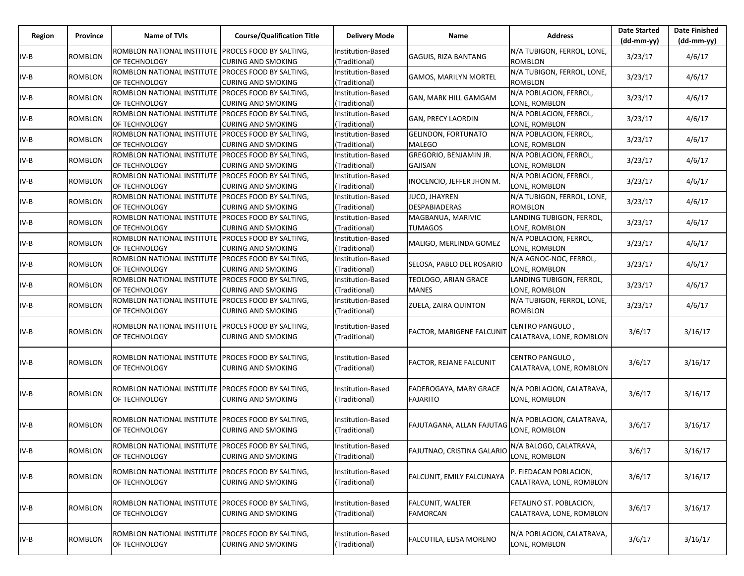| Region | Province       | Name of TVIs                                                               | <b>Course/Qualification Title</b>                           | <b>Delivery Mode</b>               | Name                                              | <b>Address</b>                                      | <b>Date Started</b><br>$(dd-mm-yy)$ | <b>Date Finished</b><br>$(dd-mm-yy)$ |
|--------|----------------|----------------------------------------------------------------------------|-------------------------------------------------------------|------------------------------------|---------------------------------------------------|-----------------------------------------------------|-------------------------------------|--------------------------------------|
| $IV-B$ | <b>ROMBLON</b> | ROMBLON NATIONAL INSTITUTE<br>OF TECHNOLOGY                                | <b>PROCES FOOD BY SALTING,</b><br><b>CURING AND SMOKING</b> | Institution-Based<br>(Traditional) | <b>GAGUIS, RIZA BANTANG</b>                       | N/A TUBIGON, FERROL, LONE,<br><b>ROMBLON</b>        | 3/23/17                             | 4/6/17                               |
| IV-B   | <b>ROMBLON</b> | ROMBLON NATIONAL INSTITUTE<br>OF TECHNOLOGY                                | PROCES FOOD BY SALTING,<br><b>CURING AND SMOKING</b>        | Institution-Based<br>(Traditional) | <b>GAMOS, MARILYN MORTEL</b>                      | N/A TUBIGON, FERROL, LONE,<br><b>ROMBLON</b>        | 3/23/17                             | 4/6/17                               |
| IV-B   | ROMBLON        | ROMBLON NATIONAL INSTITUTE<br>OF TECHNOLOGY                                | PROCES FOOD BY SALTING,<br><b>CURING AND SMOKING</b>        | Institution-Based<br>(Traditional) | GAN, MARK HILL GAMGAM                             | N/A POBLACION, FERROL,<br>LONE, ROMBLON             | 3/23/17                             | 4/6/17                               |
| IV-B   | <b>ROMBLON</b> | ROMBLON NATIONAL INSTITUTE PROCES FOOD BY SALTING,<br>OF TECHNOLOGY        | <b>CURING AND SMOKING</b>                                   | Institution-Based<br>(Traditional) | <b>GAN, PRECY LAORDIN</b>                         | N/A POBLACION, FERROL,<br>LONE, ROMBLON             | 3/23/17                             | 4/6/17                               |
| IV-B   | <b>ROMBLON</b> | ROMBLON NATIONAL INSTITUTE<br>OF TECHNOLOGY                                | PROCES FOOD BY SALTING,<br><b>CURING AND SMOKING</b>        | Institution-Based<br>(Traditional) | <b>GELINDON, FORTUNATO</b><br><b>MALEGO</b>       | N/A POBLACION, FERROL,<br>LONE, ROMBLON             | 3/23/17                             | 4/6/17                               |
| IV-B   | ROMBLON        | ROMBLON NATIONAL INSTITUTE<br>OF TECHNOLOGY                                | <b>PROCES FOOD BY SALTING,</b><br><b>CURING AND SMOKING</b> | Institution-Based<br>(Traditional) | GREGORIO, BENJAMIN JR.<br>GAJISAN                 | N/A POBLACION, FERROL,<br>LONE, ROMBLON             | 3/23/17                             | 4/6/17                               |
| IV-B   | ROMBLON        | ROMBLON NATIONAL INSTITUTE<br>OF TECHNOLOGY                                | <b>PROCES FOOD BY SALTING,</b><br><b>CURING AND SMOKING</b> | Institution-Based<br>(Traditional) | INOCENCIO, JEFFER JHON M.                         | N/A POBLACION, FERROL,<br>LONE, ROMBLON             | 3/23/17                             | 4/6/17                               |
| IV-B   | <b>ROMBLON</b> | ROMBLON NATIONAL INSTITUTE<br>OF TECHNOLOGY                                | <b>PROCES FOOD BY SALTING,</b><br><b>CURING AND SMOKING</b> | Institution-Based<br>(Traditional) | JUCO, JHAYREN<br><b>DESPABIADERAS</b>             | N/A TUBIGON, FERROL, LONE,<br><b>ROMBLON</b>        | 3/23/17                             | 4/6/17                               |
| IV-B   | ROMBLON        | <b>ROMBLON NATIONAL INSTITUTE</b><br>OF TECHNOLOGY                         | PROCES FOOD BY SALTING,<br><b>CURING AND SMOKING</b>        | Institution-Based<br>(Traditional) | MAGBANUA, MARIVIC<br>TUMAGOS                      | LANDING TUBIGON, FERROL,<br>LONE, ROMBLON           | 3/23/17                             | 4/6/17                               |
| IV-B   | ROMBLON        | ROMBLON NATIONAL INSTITUTE PROCES FOOD BY SALTING,<br>OF TECHNOLOGY        | <b>CURING AND SMOKING</b>                                   | Institution-Based<br>(Traditional) | MALIGO, MERLINDA GOMEZ                            | N/A POBLACION, FERROL,<br>LONE, ROMBLON             | 3/23/17                             | 4/6/17                               |
| IV-B   | <b>ROMBLON</b> | ROMBLON NATIONAL INSTITUTE PROCES FOOD BY SALTING,<br>OF TECHNOLOGY        | <b>CURING AND SMOKING</b>                                   | Institution-Based<br>(Traditional) | SELOSA, PABLO DEL ROSARIO                         | N/A AGNOC-NOC, FERROL,<br>LONE, ROMBLON             | 3/23/17                             | 4/6/17                               |
| IV-B   | <b>ROMBLON</b> | ROMBLON NATIONAL INSTITUTE<br>OF TECHNOLOGY                                | PROCES FOOD BY SALTING,<br><b>CURING AND SMOKING</b>        | Institution-Based<br>(Traditional) | TEOLOGO, ARIAN GRACE<br><b>MANES</b>              | LANDING TUBIGON, FERROL,<br>LONE, ROMBLON           | 3/23/17                             | 4/6/17                               |
| IV-B   | ROMBLON        | ROMBLON NATIONAL INSTITUTE<br>OF TECHNOLOGY                                | <b>PROCES FOOD BY SALTING,</b><br><b>CURING AND SMOKING</b> | Institution-Based<br>(Traditional) | ZUELA, ZAIRA QUINTON                              | N/A TUBIGON, FERROL, LONE,<br>ROMBLON               | 3/23/17                             | 4/6/17                               |
| IV-B   | <b>ROMBLON</b> | ROMBLON NATIONAL INSTITUTE<br>OF TECHNOLOGY                                | <b>PROCES FOOD BY SALTING,</b><br><b>CURING AND SMOKING</b> | Institution-Based<br>(Traditional) | <b>FACTOR, MARIGENE FALCUNIT</b>                  | CENTRO PANGULO,<br>CALATRAVA, LONE, ROMBLON         | 3/6/17                              | 3/16/17                              |
| IV-B   | ROMBLON        | ROMBLON NATIONAL INSTITUTE<br>OF TECHNOLOGY                                | <b>PROCES FOOD BY SALTING,</b><br><b>CURING AND SMOKING</b> | Institution-Based<br>(Traditional) | FACTOR, REJANE FALCUNIT                           | CENTRO PANGULO,<br>CALATRAVA, LONE, ROMBLON         | 3/6/17                              | 3/16/17                              |
| IV-B   | <b>ROMBLON</b> | ROMBLON NATIONAL INSTITUTE PROCES FOOD BY SALTING,<br>OF TECHNOLOGY        | <b>CURING AND SMOKING</b>                                   | Institution-Based<br>(Traditional) | FADEROGAYA, MARY GRACE<br><b>FAJARITO</b>         | N/A POBLACION, CALATRAVA,<br>LONE, ROMBLON          | 3/6/17                              | 3/16/17                              |
| IV-B   | ROMBLON        | ROMBLON NATIONAL INSTITUTE<br>OF TECHNOLOGY                                | <b>PROCES FOOD BY SALTING,</b><br><b>CURING AND SMOKING</b> | Institution-Based<br>(Traditional) | FAJUTAGANA, ALLAN FAJUTAG                         | N/A POBLACION, CALATRAVA,<br>LONE, ROMBLON          | 3/6/17                              | 3/16/17                              |
| $IV-B$ | <b>ROMBLON</b> | ROMBLON NATIONAL INSTITUTE PROCES FOOD BY SALTING,<br><b>OF TECHNOLOGY</b> | <b>CURING AND SMOKING</b>                                   | Institution-Based<br>(Traditional) | FAJUTNAO, CRISTINA GALARIO INA BALOGO, CALATRAVA, | LONE, ROMBLON                                       | 3/6/17                              | 3/16/17                              |
| IV-B   | <b>ROMBLON</b> | ROMBLON NATIONAL INSTITUTE<br><b>OF TECHNOLOGY</b>                         | PROCES FOOD BY SALTING,<br><b>CURING AND SMOKING</b>        | Institution-Based<br>(Traditional) | FALCUNIT, EMILY FALCUNAYA                         | P. FIEDACAN POBLACION,<br>CALATRAVA, LONE, ROMBLON  | 3/6/17                              | 3/16/17                              |
| IV-B   | <b>ROMBLON</b> | ROMBLON NATIONAL INSTITUTE PROCES FOOD BY SALTING,<br>OF TECHNOLOGY        | <b>CURING AND SMOKING</b>                                   | Institution-Based<br>(Traditional) | <b>FALCUNIT, WALTER</b><br><b>FAMORCAN</b>        | FETALINO ST. POBLACION,<br>CALATRAVA, LONE, ROMBLON | 3/6/17                              | 3/16/17                              |
| IV-B   | <b>ROMBLON</b> | ROMBLON NATIONAL INSTITUTE<br>OF TECHNOLOGY                                | PROCES FOOD BY SALTING,<br><b>CURING AND SMOKING</b>        | Institution-Based<br>(Traditional) | FALCUTILA, ELISA MORENO                           | N/A POBLACION, CALATRAVA,<br>LONE, ROMBLON          | 3/6/17                              | 3/16/17                              |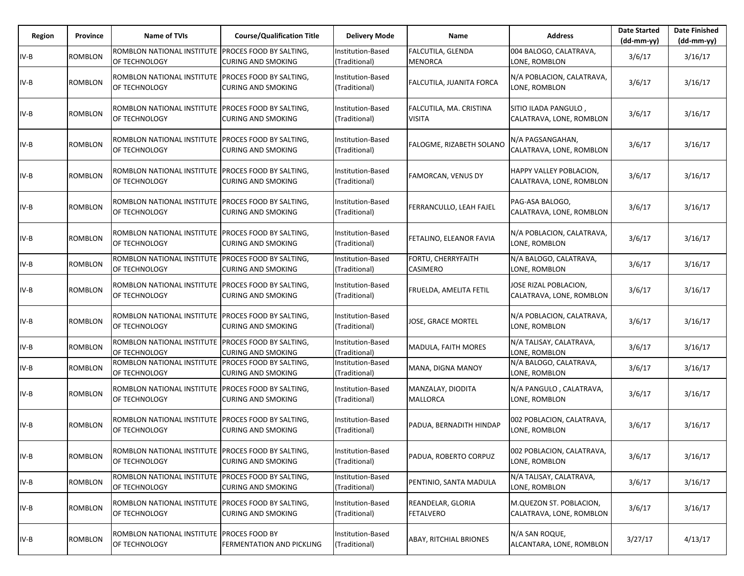| Region | Province       | <b>Name of TVIs</b>                                                        | <b>Course/Qualification Title</b>                           | <b>Delivery Mode</b>                      | <b>Name</b>                                | <b>Address</b>                                             | <b>Date Started</b><br>(dd-mm-yy) | <b>Date Finished</b><br>(dd-mm-yy) |
|--------|----------------|----------------------------------------------------------------------------|-------------------------------------------------------------|-------------------------------------------|--------------------------------------------|------------------------------------------------------------|-----------------------------------|------------------------------------|
| IV-B   | <b>ROMBLON</b> | ROMBLON NATIONAL INSTITUTE<br>OF TECHNOLOGY                                | <b>PROCES FOOD BY SALTING.</b><br><b>CURING AND SMOKING</b> | <b>Institution-Based</b><br>(Traditional) | <b>FALCUTILA, GLENDA</b><br><b>MENORCA</b> | 004 BALOGO, CALATRAVA,<br>LONE, ROMBLON                    | 3/6/17                            | 3/16/17                            |
| IV-B   | ROMBLON        | ROMBLON NATIONAL INSTITUTE<br>OF TECHNOLOGY                                | <b>PROCES FOOD BY SALTING,</b><br><b>CURING AND SMOKING</b> | Institution-Based<br>(Traditional)        | <b>FALCUTILA, JUANITA FORCA</b>            | N/A POBLACION, CALATRAVA,<br>LONE, ROMBLON                 | 3/6/17                            | 3/16/17                            |
| IV-B   | <b>ROMBLON</b> | ROMBLON NATIONAL INSTITUTE PROCES FOOD BY SALTING,<br>OF TECHNOLOGY        | <b>CURING AND SMOKING</b>                                   | Institution-Based<br>(Traditional)        | FALCUTILA, MA. CRISTINA<br><b>VISITA</b>   | SITIO ILADA PANGULO,<br>CALATRAVA, LONE, ROMBLON           | 3/6/17                            | 3/16/17                            |
| IV-B   | ROMBLON        | ROMBLON NATIONAL INSTITUTE<br>OF TECHNOLOGY                                | PROCES FOOD BY SALTING,<br><b>CURING AND SMOKING</b>        | Institution-Based<br>(Traditional)        | FALOGME, RIZABETH SOLANO                   | N/A PAGSANGAHAN,<br>CALATRAVA, LONE, ROMBLON               | 3/6/17                            | 3/16/17                            |
| IV-B   | <b>ROMBLON</b> | ROMBLON NATIONAL INSTITUTE PROCES FOOD BY SALTING,<br>OF TECHNOLOGY        | <b>CURING AND SMOKING</b>                                   | Institution-Based<br>(Traditional)        | FAMORCAN, VENUS DY                         | <b>HAPPY VALLEY POBLACION,</b><br>CALATRAVA, LONE, ROMBLON | 3/6/17                            | 3/16/17                            |
| IV-B   | ROMBLON        | ROMBLON NATIONAL INSTITUTE<br>OF TECHNOLOGY                                | PROCES FOOD BY SALTING,<br><b>CURING AND SMOKING</b>        | Institution-Based<br>(Traditional)        | FERRANCULLO, LEAH FAJEL                    | PAG-ASA BALOGO,<br>CALATRAVA, LONE, ROMBLON                | 3/6/17                            | 3/16/17                            |
| IV-B   | <b>ROMBLON</b> | ROMBLON NATIONAL INSTITUTE PROCES FOOD BY SALTING,<br>OF TECHNOLOGY        | <b>CURING AND SMOKING</b>                                   | Institution-Based<br>(Traditional)        | FETALINO, ELEANOR FAVIA                    | N/A POBLACION, CALATRAVA,<br>LONE. ROMBLON                 | 3/6/17                            | 3/16/17                            |
| IV-B   | <b>ROMBLON</b> | ROMBLON NATIONAL INSTITUTE<br>OF TECHNOLOGY                                | PROCES FOOD BY SALTING,<br><b>CURING AND SMOKING</b>        | Institution-Based<br>(Traditional)        | FORTU, CHERRYFAITH<br><b>CASIMERO</b>      | N/A BALOGO, CALATRAVA,<br>LONE, ROMBLON                    | 3/6/17                            | 3/16/17                            |
| IV-B   | <b>ROMBLON</b> | ROMBLON NATIONAL INSTITUTE<br>OF TECHNOLOGY                                | <b>PROCES FOOD BY SALTING,</b><br><b>CURING AND SMOKING</b> | Institution-Based<br>(Traditional)        | FRUELDA, AMELITA FETIL                     | JOSE RIZAL POBLACION,<br>CALATRAVA, LONE, ROMBLON          | 3/6/17                            | 3/16/17                            |
| IV-B   | <b>ROMBLON</b> | ROMBLON NATIONAL INSTITUTE PROCES FOOD BY SALTING,<br><b>OF TECHNOLOGY</b> | <b>CURING AND SMOKING</b>                                   | Institution-Based<br>(Traditional)        | JOSE, GRACE MORTEL                         | N/A POBLACION, CALATRAVA,<br>LONE, ROMBLON                 | 3/6/17                            | 3/16/17                            |
| IV-B   | ROMBLON        | ROMBLON NATIONAL INSTITUTE<br>OF TECHNOLOGY                                | PROCES FOOD BY SALTING,<br><b>CURING AND SMOKING</b>        | Institution-Based<br>(Traditional)        | MADULA, FAITH MORES                        | N/A TALISAY, CALATRAVA,<br>LONE, ROMBLON                   | 3/6/17                            | 3/16/17                            |
| IV-B   | <b>ROMBLON</b> | ROMBLON NATIONAL INSTITUTE<br>OF TECHNOLOGY                                | <b>PROCES FOOD BY SALTING,</b><br><b>CURING AND SMOKING</b> | Institution-Based<br>(Traditional)        | MANA, DIGNA MANOY                          | N/A BALOGO, CALATRAVA,<br>LONE, ROMBLON                    | 3/6/17                            | 3/16/17                            |
| IV-B   | <b>ROMBLON</b> | ROMBLON NATIONAL INSTITUTE<br>OF TECHNOLOGY                                | <b>PROCES FOOD BY SALTING,</b><br><b>CURING AND SMOKING</b> | Institution-Based<br>(Traditional)        | MANZALAY, DIODITA<br><b>MALLORCA</b>       | N/A PANGULO, CALATRAVA,<br>LONE, ROMBLON                   | 3/6/17                            | 3/16/17                            |
| IV-B   | <b>ROMBLON</b> | ROMBLON NATIONAL INSTITUTE<br>OF TECHNOLOGY                                | <b>PROCES FOOD BY SALTING,</b><br><b>CURING AND SMOKING</b> | Institution-Based<br>(Traditional)        | PADUA, BERNADITH HINDAP                    | 002 POBLACION, CALATRAVA,<br>LONE, ROMBLON                 | 3/6/17                            | 3/16/17                            |
| IV-B   | <b>ROMBLON</b> | ROMBLON NATIONAL INSTITUTE PROCES FOOD BY SALTING,<br><b>OF TECHNOLOGY</b> | <b>CURING AND SMOKING</b>                                   | Institution-Based<br>(Traditional)        | PADUA, ROBERTO CORPUZ                      | 002 POBLACION, CALATRAVA,<br>LONE. ROMBLON                 | 3/6/17                            | 3/16/17                            |
| IV-B   | ROMBLON        | ROMBLON NATIONAL INSTITUTE<br>OF TECHNOLOGY                                | PROCES FOOD BY SALTING,<br><b>CURING AND SMOKING</b>        | Institution-Based<br>(Traditional)        | PENTINIO, SANTA MADULA                     | N/A TALISAY, CALATRAVA,<br>LONE, ROMBLON                   | 3/6/17                            | 3/16/17                            |
| IV-B   | ROMBLON        | ROMBLON NATIONAL INSTITUTE<br><b>OF TECHNOLOGY</b>                         | <b>PROCES FOOD BY SALTING,</b><br><b>CURING AND SMOKING</b> | Institution-Based<br>(Traditional)        | REANDELAR, GLORIA<br><b>FETALVERO</b>      | M.QUEZON ST. POBLACION,<br>CALATRAVA, LONE, ROMBLON        | 3/6/17                            | 3/16/17                            |
| IV-B   | ROMBLON        | ROMBLON NATIONAL INSTITUTE<br>OF TECHNOLOGY                                | <b>PROCES FOOD BY</b><br>FERMENTATION AND PICKLING          | Institution-Based<br>(Traditional)        | <b>ABAY, RITCHIAL BRIONES</b>              | N/A SAN ROQUE,<br>ALCANTARA, LONE, ROMBLON                 | 3/27/17                           | 4/13/17                            |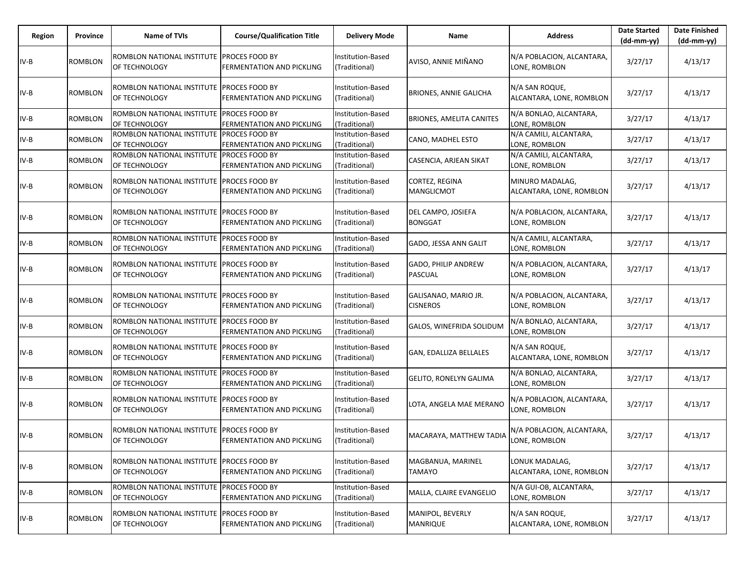| Region | Province       | <b>Name of TVIs</b>                                        | <b>Course/Qualification Title</b>                  | <b>Delivery Mode</b>               | Name                                         | <b>Address</b>                              | <b>Date Started</b><br>$(dd-mm-vv)$ | <b>Date Finished</b><br>(dd-mm-yy) |
|--------|----------------|------------------------------------------------------------|----------------------------------------------------|------------------------------------|----------------------------------------------|---------------------------------------------|-------------------------------------|------------------------------------|
| $IV-B$ | ROMBLON        | ROMBLON NATIONAL INSTITUTE<br>OF TECHNOLOGY                | <b>PROCES FOOD BY</b><br>FERMENTATION AND PICKLING | Institution-Based<br>(Traditional) | AVISO, ANNIE MIÑANO                          | N/A POBLACION, ALCANTARA,<br>LONE, ROMBLON  | 3/27/17                             | 4/13/17                            |
| $IV-B$ | ROMBLON        | ROMBLON NATIONAL INSTITUTE<br>OF TECHNOLOGY                | PROCES FOOD BY<br>FERMENTATION AND PICKLING        | Institution-Based<br>(Traditional) | BRIONES, ANNIE GALICHA                       | N/A SAN ROQUE,<br>ALCANTARA, LONE, ROMBLON  | 3/27/17                             | 4/13/17                            |
| IV-B   | ROMBLON        | ROMBLON NATIONAL INSTITUTE PROCES FOOD BY<br>OF TECHNOLOGY | FERMENTATION AND PICKLING                          | Institution-Based<br>(Traditional) | BRIONES, AMELITA CANITES                     | N/A BONLAO, ALCANTARA,<br>LONE, ROMBLON     | 3/27/17                             | 4/13/17                            |
| $IV-B$ | ROMBLON        | ROMBLON NATIONAL INSTITUTE<br>OF TECHNOLOGY                | <b>PROCES FOOD BY</b><br>FERMENTATION AND PICKLING | Institution-Based<br>(Traditional) | CANO, MADHEL ESTO                            | N/A CAMILI, ALCANTARA,<br>LONE, ROMBLON     | 3/27/17                             | 4/13/17                            |
| IV-B   | ROMBLON        | ROMBLON NATIONAL INSTITUTE<br>OF TECHNOLOGY                | PROCES FOOD BY<br>FERMENTATION AND PICKLING        | Institution-Based<br>(Traditional) | CASENCIA, ARJEAN SIKAT                       | N/A CAMILI, ALCANTARA,<br>LONE, ROMBLON     | 3/27/17                             | 4/13/17                            |
| IV-B   | ROMBLON        | ROMBLON NATIONAL INSTITUTE PROCES FOOD BY<br>OF TECHNOLOGY | FERMENTATION AND PICKLING                          | Institution-Based<br>(Traditional) | CORTEZ, REGINA<br>MANGLICMOT                 | MINURO MADALAG,<br>ALCANTARA, LONE, ROMBLON | 3/27/17                             | 4/13/17                            |
| IV-B   | ROMBLON        | ROMBLON NATIONAL INSTITUTE<br>OF TECHNOLOGY                | <b>PROCES FOOD BY</b><br>FERMENTATION AND PICKLING | Institution-Based<br>(Traditional) | DEL CAMPO, JOSIEFA<br><b>BONGGAT</b>         | N/A POBLACION, ALCANTARA,<br>LONE, ROMBLON  | 3/27/17                             | 4/13/17                            |
| IV-B   | ROMBLON        | ROMBLON NATIONAL INSTITUTE PROCES FOOD BY<br>OF TECHNOLOGY | FERMENTATION AND PICKLING                          | Institution-Based<br>Traditional)  | GADO, JESSA ANN GALIT                        | N/A CAMILI, ALCANTARA,<br>LONE, ROMBLON     | 3/27/17                             | 4/13/17                            |
| $IV-B$ | ROMBLON        | ROMBLON NATIONAL INSTITUTE<br>OF TECHNOLOGY                | PROCES FOOD BY<br>FERMENTATION AND PICKLING        | Institution-Based<br>(Traditional) | <b>GADO, PHILIP ANDREW</b><br><b>PASCUAL</b> | N/A POBLACION, ALCANTARA,<br>LONE, ROMBLON  | 3/27/17                             | 4/13/17                            |
| $IV-B$ | ROMBLON        | ROMBLON NATIONAL INSTITUTE PROCES FOOD BY<br>OF TECHNOLOGY | FERMENTATION AND PICKLING                          | Institution-Based<br>(Traditional) | GALISANAO, MARIO JR.<br><b>CISNEROS</b>      | N/A POBLACION, ALCANTARA,<br>LONE, ROMBLON  | 3/27/17                             | 4/13/17                            |
| IV-B   | <b>ROMBLON</b> | ROMBLON NATIONAL INSTITUTE<br>OF TECHNOLOGY                | PROCES FOOD BY<br>FERMENTATION AND PICKLING        | Institution-Based<br>(Traditional) | GALOS, WINEFRIDA SOLIDUM                     | N/A BONLAO, ALCANTARA,<br>LONE, ROMBLON     | 3/27/17                             | 4/13/17                            |
| $IV-B$ | ROMBLON        | ROMBLON NATIONAL INSTITUTE<br>OF TECHNOLOGY                | PROCES FOOD BY<br>FERMENTATION AND PICKLING        | Institution-Based<br>(Traditional) | GAN, EDALLIZA BELLALES                       | N/A SAN ROQUE,<br>ALCANTARA, LONE, ROMBLON  | 3/27/17                             | 4/13/17                            |
| IV-B   | ROMBLON        | ROMBLON NATIONAL INSTITUTE PROCES FOOD BY<br>OF TECHNOLOGY | FERMENTATION AND PICKLING                          | Institution-Based<br>(Traditional) | GELITO, RONELYN GALIMA                       | N/A BONLAO, ALCANTARA,<br>LONE, ROMBLON     | 3/27/17                             | 4/13/17                            |
| $IV-B$ | ROMBLON        | ROMBLON NATIONAL INSTITUTE<br>OF TECHNOLOGY                | PROCES FOOD BY<br>FERMENTATION AND PICKLING        | Institution-Based<br>Traditional)  | LOTA, ANGELA MAE MERANO                      | N/A POBLACION, ALCANTARA,<br>LONE, ROMBLON  | 3/27/17                             | 4/13/17                            |
| IV-B   | <b>ROMBLON</b> | ROMBLON NATIONAL INSTITUTE<br>OF TECHNOLOGY                | PROCES FOOD BY<br>FERMENTATION AND PICKLING        | Institution-Based<br>(Traditional) | MACARAYA, MATTHEW TADIA                      | N/A POBLACION, ALCANTARA,<br>LONE, ROMBLON  | 3/27/17                             | 4/13/17                            |
| $IV-B$ | <b>ROMBLON</b> | ROMBLON NATIONAL INSTITUTE<br>OF TECHNOLOGY                | PROCES FOOD BY<br>FERMENTATION AND PICKLING        | Institution-Based<br>(Traditional) | MAGBANUA, MARINEL<br>TAMAYO                  | LONUK MADALAG,<br>ALCANTARA, LONE, ROMBLON  | 3/27/17                             | 4/13/17                            |
| $IV-B$ | ROMBLON        | ROMBLON NATIONAL INSTITUTE PROCES FOOD BY<br>OF TECHNOLOGY | FERMENTATION AND PICKLING                          | Institution-Based<br>(Traditional) | MALLA, CLAIRE EVANGELIO                      | N/A GUI-OB, ALCANTARA,<br>LONE, ROMBLON     | 3/27/17                             | 4/13/17                            |
| IV-B   | <b>ROMBLON</b> | ROMBLON NATIONAL INSTITUTE<br>OF TECHNOLOGY                | PROCES FOOD BY<br>FERMENTATION AND PICKLING        | Institution-Based<br>(Traditional) | MANIPOL, BEVERLY<br><b>MANRIQUE</b>          | N/A SAN ROQUE,<br>ALCANTARA, LONE, ROMBLON  | 3/27/17                             | 4/13/17                            |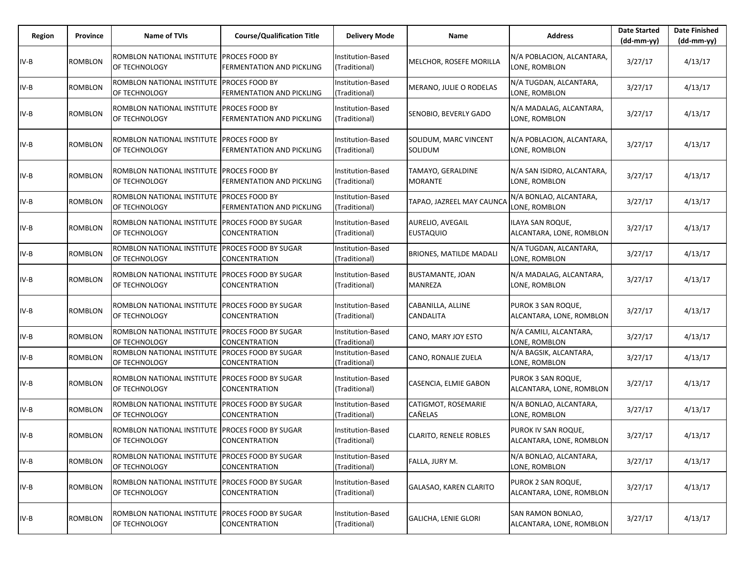| Region | Province       | <b>Name of TVIs</b>                                        | <b>Course/Qualification Title</b>                  | <b>Delivery Mode</b>               | Name                                 | <b>Address</b>                                  | <b>Date Started</b><br>$(dd-mm-yy)$ | <b>Date Finished</b><br>(dd-mm-yy) |
|--------|----------------|------------------------------------------------------------|----------------------------------------------------|------------------------------------|--------------------------------------|-------------------------------------------------|-------------------------------------|------------------------------------|
| $IV-B$ | ROMBLON        | ROMBLON NATIONAL INSTITUTE<br>OF TECHNOLOGY                | <b>PROCES FOOD BY</b><br>FERMENTATION AND PICKLING | Institution-Based<br>(Traditional) | MELCHOR, ROSEFE MORILLA              | N/A POBLACION, ALCANTARA,<br>LONE, ROMBLON      | 3/27/17                             | 4/13/17                            |
| $IV-B$ | ROMBLON        | ROMBLON NATIONAL INSTITUTE<br>OF TECHNOLOGY                | PROCES FOOD BY<br>FERMENTATION AND PICKLING        | Institution-Based<br>(Traditional) | MERANO, JULIE O RODELAS              | N/A TUGDAN, ALCANTARA,<br>LONE, ROMBLON         | 3/27/17                             | 4/13/17                            |
| $IV-B$ | <b>ROMBLON</b> | ROMBLON NATIONAL INSTITUTE PROCES FOOD BY<br>OF TECHNOLOGY | FERMENTATION AND PICKLING                          | Institution-Based<br>(Traditional) | SENOBIO, BEVERLY GADO                | N/A MADALAG, ALCANTARA,<br>LONE, ROMBLON        | 3/27/17                             | 4/13/17                            |
| $IV-B$ | <b>ROMBLON</b> | ROMBLON NATIONAL INSTITUTE<br>OF TECHNOLOGY                | PROCES FOOD BY<br>FERMENTATION AND PICKLING        | Institution-Based<br>Traditional)  | SOLIDUM, MARC VINCENT<br>SOLIDUM     | N/A POBLACION, ALCANTARA,<br>LONE, ROMBLON      | 3/27/17                             | 4/13/17                            |
| $IV-B$ | ROMBLON        | ROMBLON NATIONAL INSTITUTE PROCES FOOD BY<br>OF TECHNOLOGY | FERMENTATION AND PICKLING                          | Institution-Based<br>(Traditional) | TAMAYO, GERALDINE<br><b>MORANTE</b>  | N/A SAN ISIDRO, ALCANTARA,<br>LONE, ROMBLON     | 3/27/17                             | 4/13/17                            |
| $IV-B$ | ROMBLON        | ROMBLON NATIONAL INSTITUTE<br>OF TECHNOLOGY                | PROCES FOOD BY<br>FERMENTATION AND PICKLING        | Institution-Based<br>(Traditional) | TAPAO, JAZREEL MAY CAUNCA            | N/A BONLAO, ALCANTARA,<br>LONE, ROMBLON         | 3/27/17                             | 4/13/17                            |
| $IV-B$ | ROMBLON        | ROMBLON NATIONAL INSTITUTE<br>OF TECHNOLOGY                | <b>PROCES FOOD BY SUGAR</b><br>CONCENTRATION       | Institution-Based<br>(Traditional) | AURELIO, AVEGAIL<br><b>EUSTAQUIO</b> | ILAYA SAN ROQUE,<br>ALCANTARA, LONE, ROMBLON    | 3/27/17                             | 4/13/17                            |
| IV-B   | <b>ROMBLON</b> | ROMBLON NATIONAL INSTITUTE<br>OF TECHNOLOGY                | PROCES FOOD BY SUGAR<br>CONCENTRATION              | Institution-Based<br>(Traditional) | <b>BRIONES, MATILDE MADALI</b>       | N/A TUGDAN, ALCANTARA,<br>LONE, ROMBLON         | 3/27/17                             | 4/13/17                            |
| $IV-B$ | ROMBLON        | ROMBLON NATIONAL INSTITUTE<br>OF TECHNOLOGY                | PROCES FOOD BY SUGAR<br>CONCENTRATION              | Institution-Based<br>(Traditional) | BUSTAMANTE, JOAN<br>MANREZA          | N/A MADALAG, ALCANTARA,<br>LONE, ROMBLON        | 3/27/17                             | 4/13/17                            |
| IV-B   | ROMBLON        | ROMBLON NATIONAL INSTITUTE<br>OF TECHNOLOGY                | <b>PROCES FOOD BY SUGAR</b><br>CONCENTRATION       | Institution-Based<br>(Traditional) | CABANILLA, ALLINE<br>CANDALITA       | PUROK 3 SAN ROQUE,<br>ALCANTARA, LONE, ROMBLON  | 3/27/17                             | 4/13/17                            |
| $IV-B$ | <b>ROMBLON</b> | ROMBLON NATIONAL INSTITUTE<br>OF TECHNOLOGY                | PROCES FOOD BY SUGAR<br>CONCENTRATION              | Institution-Based<br>Traditional)  | CANO, MARY JOY ESTO                  | N/A CAMILI, ALCANTARA,<br>LONE, ROMBLON         | 3/27/17                             | 4/13/17                            |
| $IV-B$ | ROMBLON        | ROMBLON NATIONAL INSTITUTE<br>OF TECHNOLOGY                | PROCES FOOD BY SUGAR<br>CONCENTRATION              | Institution-Based<br>(Traditional) | CANO, RONALIE ZUELA                  | N/A BAGSIK, ALCANTARA,<br>LONE, ROMBLON         | 3/27/17                             | 4/13/17                            |
| $IV-B$ | ROMBLON        | ROMBLON NATIONAL INSTITUTE<br>OF TECHNOLOGY                | PROCES FOOD BY SUGAR<br>CONCENTRATION              | Institution-Based<br>(Traditional) | CASENCIA, ELMIE GABON                | PUROK 3 SAN ROQUE,<br>ALCANTARA, LONE, ROMBLON  | 3/27/17                             | 4/13/17                            |
| IV-B   | ROMBLON        | ROMBLON NATIONAL INSTITUTE<br>OF TECHNOLOGY                | PROCES FOOD BY SUGAR<br>CONCENTRATION              | Institution-Based<br>(Traditional) | CATIGMOT, ROSEMARIE<br>CAÑELAS       | N/A BONLAO, ALCANTARA,<br>LONE, ROMBLON         | 3/27/17                             | 4/13/17                            |
| IV-B   | <b>ROMBLON</b> | ROMBLON NATIONAL INSTITUTE<br>OF TECHNOLOGY                | PROCES FOOD BY SUGAR<br>CONCENTRATION              | Institution-Based<br>(Traditional) | <b>CLARITO, RENELE ROBLES</b>        | PUROK IV SAN ROQUE,<br>ALCANTARA, LONE, ROMBLON | 3/27/17                             | 4/13/17                            |
| $IV-B$ | <b>ROMBLON</b> | ROMBLON NATIONAL INSTITUTE<br>OF TECHNOLOGY                | PROCES FOOD BY SUGAR<br>CONCENTRATION              | Institution-Based<br>(Traditional) | FALLA, JURY M.                       | N/A BONLAO, ALCANTARA,<br>LONE, ROMBLON         | 3/27/17                             | 4/13/17                            |
| $IV-B$ | ROMBLON        | ROMBLON NATIONAL INSTITUTE<br>OF TECHNOLOGY                | PROCES FOOD BY SUGAR<br>CONCENTRATION              | Institution-Based<br>(Traditional) | GALASAO, KAREN CLARITO               | PUROK 2 SAN ROQUE,<br>ALCANTARA, LONE, ROMBLON  | 3/27/17                             | 4/13/17                            |
| $IV-B$ | <b>ROMBLON</b> | ROMBLON NATIONAL INSTITUTE<br>OF TECHNOLOGY                | PROCES FOOD BY SUGAR<br>CONCENTRATION              | Institution-Based<br>(Traditional) | <b>GALICHA, LENIE GLORI</b>          | SAN RAMON BONLAO,<br>ALCANTARA, LONE, ROMBLON   | 3/27/17                             | 4/13/17                            |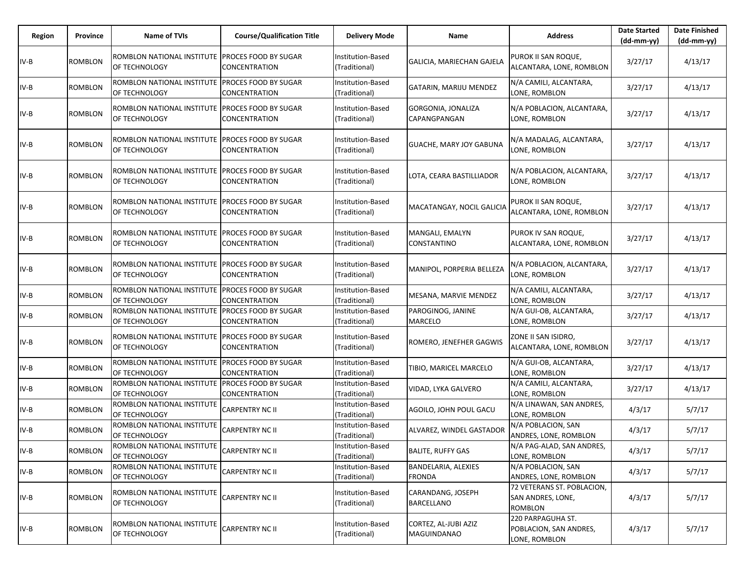| Region | Province       | Name of TVIs                                                     | <b>Course/Qualification Title</b>            | <b>Delivery Mode</b>               | Name                                   | <b>Address</b>                                                    | <b>Date Started</b><br>$(dd-mm-yy)$ | <b>Date Finished</b><br>$(dd-mm-yy)$ |
|--------|----------------|------------------------------------------------------------------|----------------------------------------------|------------------------------------|----------------------------------------|-------------------------------------------------------------------|-------------------------------------|--------------------------------------|
| $IV-B$ | ROMBLON        | ROMBLON NATIONAL INSTITUTE<br>OF TECHNOLOGY                      | PROCES FOOD BY SUGAR<br>CONCENTRATION        | Institution-Based<br>(Traditional) | GALICIA, MARIECHAN GAJELA              | PUROK II SAN ROQUE,<br>ALCANTARA, LONE, ROMBLON                   | 3/27/17                             | 4/13/17                              |
| $IV-B$ | ROMBLON        | ROMBLON NATIONAL INSTITUTE<br>OF TECHNOLOGY                      | PROCES FOOD BY SUGAR<br>CONCENTRATION        | Institution-Based<br>(Traditional) | GATARIN, MARIJU MENDEZ                 | N/A CAMILI, ALCANTARA,<br>LONE, ROMBLON                           | 3/27/17                             | 4/13/17                              |
| IV-B   | <b>ROMBLON</b> | ROMBLON NATIONAL INSTITUTE PROCES FOOD BY SUGAR<br>OF TECHNOLOGY | CONCENTRATION                                | Institution-Based<br>(Traditional) | GORGONIA, JONALIZA<br>CAPANGPANGAN     | N/A POBLACION, ALCANTARA,<br>LONE, ROMBLON                        | 3/27/17                             | 4/13/17                              |
| $IV-B$ | <b>ROMBLON</b> | ROMBLON NATIONAL INSTITUTE<br>OF TECHNOLOGY                      | PROCES FOOD BY SUGAR<br>CONCENTRATION        | nstitution-Based<br>(Traditional)  | <b>GUACHE, MARY JOY GABUNA</b>         | N/A MADALAG, ALCANTARA,<br>LONE, ROMBLON                          | 3/27/17                             | 4/13/17                              |
| $IV-B$ | ROMBLON        | ROMBLON NATIONAL INSTITUTE<br>OF TECHNOLOGY                      | <b>PROCES FOOD BY SUGAR</b><br>CONCENTRATION | Institution-Based<br>(Traditional) | LOTA, CEARA BASTILLIADOR               | N/A POBLACION, ALCANTARA,<br>LONE, ROMBLON                        | 3/27/17                             | 4/13/17                              |
| $IV-B$ | ROMBLON        | ROMBLON NATIONAL INSTITUTE<br>OF TECHNOLOGY                      | PROCES FOOD BY SUGAR<br>CONCENTRATION        | Institution-Based<br>(Traditional) | MACATANGAY, NOCIL GALICIA              | PUROK II SAN ROQUE,<br>ALCANTARA, LONE, ROMBLON                   | 3/27/17                             | 4/13/17                              |
| $IV-B$ | <b>ROMBLON</b> | ROMBLON NATIONAL INSTITUTE<br>OF TECHNOLOGY                      | <b>PROCES FOOD BY SUGAR</b><br>CONCENTRATION | Institution-Based<br>(Traditional) | MANGALI, EMALYN<br>CONSTANTINO         | PUROK IV SAN ROQUE,<br>ALCANTARA, LONE, ROMBLON                   | 3/27/17                             | 4/13/17                              |
| $IV-B$ | <b>ROMBLON</b> | ROMBLON NATIONAL INSTITUTE<br>OF TECHNOLOGY                      | PROCES FOOD BY SUGAR<br>CONCENTRATION        | nstitution-Based<br>(Traditional)  | MANIPOL, PORPERIA BELLEZA              | N/A POBLACION, ALCANTARA,<br>LONE, ROMBLON                        | 3/27/17                             | 4/13/17                              |
| $IV-B$ | ROMBLON        | ROMBLON NATIONAL INSTITUTE PROCES FOOD BY SUGAR<br>OF TECHNOLOGY | CONCENTRATION                                | Institution-Based<br>(Traditional) | MESANA, MARVIE MENDEZ                  | N/A CAMILI, ALCANTARA,<br>LONE, ROMBLON                           | 3/27/17                             | 4/13/17                              |
| $IV-B$ | ROMBLON        | ROMBLON NATIONAL INSTITUTE<br>OF TECHNOLOGY                      | PROCES FOOD BY SUGAR<br>CONCENTRATION        | Institution-Based<br>(Traditional) | PAROGINOG, JANINE<br>MARCELO           | N/A GUI-OB, ALCANTARA,<br>LONE, ROMBLON                           | 3/27/17                             | 4/13/17                              |
| $IV-B$ | ROMBLON        | ROMBLON NATIONAL INSTITUTE<br>OF TECHNOLOGY                      | PROCES FOOD BY SUGAR<br>CONCENTRATION        | Institution-Based<br>(Traditional) | ROMERO, JENEFHER GAGWIS                | ZONE II SAN ISIDRO,<br>ALCANTARA, LONE, ROMBLON                   | 3/27/17                             | 4/13/17                              |
| $IV-B$ | <b>ROMBLON</b> | ROMBLON NATIONAL INSTITUTE PROCES FOOD BY SUGAR<br>OF TECHNOLOGY | CONCENTRATION                                | Institution-Based<br>Traditional)  | TIBIO, MARICEL MARCELO                 | N/A GUI-OB, ALCANTARA,<br>LONE, ROMBLON                           | 3/27/17                             | 4/13/17                              |
| IV-B   | <b>ROMBLON</b> | ROMBLON NATIONAL INSTITUTE<br>OF TECHNOLOGY                      | PROCES FOOD BY SUGAR<br>CONCENTRATION        | Institution-Based<br>(Traditional) | VIDAD, LYKA GALVERO                    | N/A CAMILI, ALCANTARA,<br>LONE, ROMBLON                           | 3/27/17                             | 4/13/17                              |
| $IV-B$ | ROMBLON        | ROMBLON NATIONAL INSTITUTE<br>OF TECHNOLOGY                      | CARPENTRY NC II                              | Institution-Based<br>(Traditional) | AGOILO, JOHN POUL GACU                 | N/A LINAWAN, SAN ANDRES,<br>LONE, ROMBLON                         | 4/3/17                              | 5/7/17                               |
| $IV-B$ | <b>ROMBLON</b> | ROMBLON NATIONAL INSTITUTE<br>OF TECHNOLOGY                      | CARPENTRY NC II                              | Institution-Based<br>(Traditional) | ALVAREZ, WINDEL GASTADOR               | N/A POBLACION, SAN<br>ANDRES, LONE, ROMBLON                       | 4/3/17                              | 5/7/17                               |
| IV-B   | <b>ROMBLON</b> | ROMBLON NATIONAL INSTITUTE<br>OF TECHNOLOGY                      | <b>CARPENTRY NC II</b>                       | Institution-Based<br>(Traditional) | <b>BALITE, RUFFY GAS</b>               | N/A PAG-ALAD, SAN ANDRES,<br>LONE, ROMBLON                        | 4/3/17                              | 5/7/17                               |
| $IV-B$ | ROMBLON        | ROMBLON NATIONAL INSTITUTE<br>OF TECHNOLOGY                      | CARPENTRY NC II                              | Institution-Based<br>(Traditional) | BANDELARIA, ALEXIES<br><b>FRONDA</b>   | N/A POBLACION, SAN<br>ANDRES, LONE, ROMBLON                       | 4/3/17                              | 5/7/17                               |
| $IV-B$ | <b>ROMBLON</b> | ROMBLON NATIONAL INSTITUTE<br>OF TECHNOLOGY                      | CARPENTRY NC II                              | Institution-Based<br>(Traditional) | CARANDANG, JOSEPH<br><b>BARCELLANO</b> | 72 VETERANS ST. POBLACION,<br>SAN ANDRES, LONE,<br><b>ROMBLON</b> | 4/3/17                              | 5/7/17                               |
| $IV-B$ | <b>ROMBLON</b> | ROMBLON NATIONAL INSTITUTE<br>OF TECHNOLOGY                      | CARPENTRY NC II                              | Institution-Based<br>(Traditional) | CORTEZ, AL-JUBI AZIZ<br>MAGUINDANAO    | 220 PARPAGUHA ST.<br>POBLACION, SAN ANDRES,<br>LONE, ROMBLON      | 4/3/17                              | 5/7/17                               |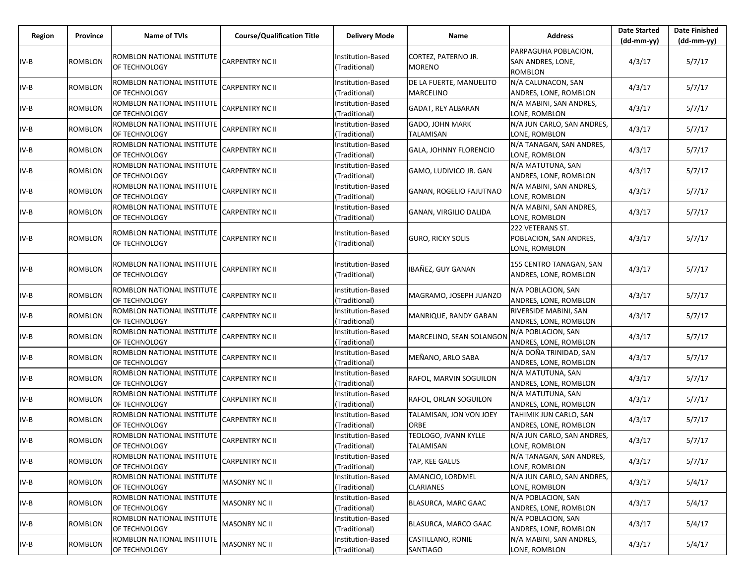| Region | Province       | Name of TVIs                                | <b>Course/Qualification Title</b> | <b>Delivery Mode</b>                      | Name                                        | <b>Address</b>                                              | <b>Date Started</b><br>$(dd-mm-yy)$ | <b>Date Finished</b><br>(dd-mm-yy) |
|--------|----------------|---------------------------------------------|-----------------------------------|-------------------------------------------|---------------------------------------------|-------------------------------------------------------------|-------------------------------------|------------------------------------|
| IV-B   | <b>ROMBLON</b> | ROMBLON NATIONAL INSTITUTE<br>OF TECHNOLOGY | <b>CARPENTRY NC II</b>            | Institution-Based<br>(Traditional)        | CORTEZ, PATERNO JR.<br><b>MORENO</b>        | PARPAGUHA POBLACION,<br>SAN ANDRES, LONE,<br><b>ROMBLON</b> | 4/3/17                              | 5/7/17                             |
| IV-B   | <b>ROMBLON</b> | ROMBLON NATIONAL INSTITUTE<br>OF TECHNOLOGY | <b>CARPENTRY NC II</b>            | Institution-Based<br>(Traditional)        | DE LA FUERTE, MANUELITO<br><b>MARCELINO</b> | N/A CALUNACON, SAN<br>ANDRES, LONE, ROMBLON                 | 4/3/17                              | 5/7/17                             |
| IV-B   | <b>ROMBLON</b> | ROMBLON NATIONAL INSTITUTE<br>OF TECHNOLOGY | <b>CARPENTRY NC II</b>            | Institution-Based<br>(Traditional)        | GADAT, REY ALBARAN                          | N/A MABINI, SAN ANDRES,<br>LONE, ROMBLON                    | 4/3/17                              | 5/7/17                             |
| IV-B   | ROMBLON        | ROMBLON NATIONAL INSTITUTE<br>OF TECHNOLOGY | <b>CARPENTRY NC II</b>            | Institution-Based<br>(Traditional)        | <b>GADO, JOHN MARK</b><br><b>TALAMISAN</b>  | N/A JUN CARLO, SAN ANDRES,<br>LONE, ROMBLON                 | 4/3/17                              | 5/7/17                             |
| IV-B   | ROMBLON        | ROMBLON NATIONAL INSTITUTE<br>OF TECHNOLOGY | <b>CARPENTRY NC II</b>            | Institution-Based<br>(Traditional)        | GALA, JOHNNY FLORENCIO                      | N/A TANAGAN, SAN ANDRES,<br>LONE, ROMBLON                   | 4/3/17                              | 5/7/17                             |
| IV-B   | <b>ROMBLON</b> | ROMBLON NATIONAL INSTITUTE<br>OF TECHNOLOGY | <b>CARPENTRY NC II</b>            | Institution-Based<br>(Traditional)        | GAMO, LUDIVICO JR. GAN                      | N/A MATUTUNA, SAN<br>ANDRES, LONE, ROMBLON                  | 4/3/17                              | 5/7/17                             |
| IV-B   | ROMBLON        | ROMBLON NATIONAL INSTITUTE<br>OF TECHNOLOGY | <b>CARPENTRY NC II</b>            | Institution-Based<br>(Traditional)        | GANAN, ROGELIO FAJUTNAO                     | N/A MABINI, SAN ANDRES,<br>LONE, ROMBLON                    | 4/3/17                              | 5/7/17                             |
| IV-B   | ROMBLON        | ROMBLON NATIONAL INSTITUTE<br>OF TECHNOLOGY | <b>CARPENTRY NC II</b>            | <b>Institution-Based</b><br>(Traditional) | GANAN, VIRGILIO DALIDA                      | N/A MABINI, SAN ANDRES,<br>LONE, ROMBLON                    | 4/3/17                              | 5/7/17                             |
| IV-B   | <b>ROMBLON</b> | ROMBLON NATIONAL INSTITUTE<br>OF TECHNOLOGY | <b>CARPENTRY NC II</b>            | <b>Institution-Based</b><br>(Traditional) | <b>GURO, RICKY SOLIS</b>                    | 222 VETERANS ST.<br>POBLACION, SAN ANDRES,<br>LONE, ROMBLON | 4/3/17                              | 5/7/17                             |
| IV-B   | <b>ROMBLON</b> | ROMBLON NATIONAL INSTITUTE<br>OF TECHNOLOGY | <b>CARPENTRY NC II</b>            | Institution-Based<br>(Traditional)        | IBAÑEZ, GUY GANAN                           | 155 CENTRO TANAGAN, SAN<br>ANDRES, LONE, ROMBLON            | 4/3/17                              | 5/7/17                             |
| IV-B   | <b>ROMBLON</b> | ROMBLON NATIONAL INSTITUTE<br>OF TECHNOLOGY | <b>CARPENTRY NC II</b>            | Institution-Based<br>(Traditional)        | MAGRAMO, JOSEPH JUANZO                      | N/A POBLACION, SAN<br>ANDRES, LONE, ROMBLON                 | 4/3/17                              | 5/7/17                             |
| IV-B   | <b>ROMBLON</b> | ROMBLON NATIONAL INSTITUTE<br>OF TECHNOLOGY | <b>CARPENTRY NC II</b>            | Institution-Based<br>(Traditional)        | MANRIQUE, RANDY GABAN                       | RIVERSIDE MABINI, SAN<br>ANDRES, LONE, ROMBLON              | 4/3/17                              | 5/7/17                             |
| IV-B   | ROMBLON        | ROMBLON NATIONAL INSTITUTE<br>OF TECHNOLOGY | <b>CARPENTRY NC II</b>            | Institution-Based<br>(Traditional)        | MARCELINO, SEAN SOLANGON                    | N/A POBLACION, SAN<br>ANDRES, LONE, ROMBLON                 | 4/3/17                              | 5/7/17                             |
| IV-B   | ROMBLON        | ROMBLON NATIONAL INSTITUTE<br>OF TECHNOLOGY | <b>CARPENTRY NC II</b>            | Institution-Based<br>(Traditional)        | MEÑANO, ARLO SABA                           | N/A DOÑA TRINIDAD, SAN<br>ANDRES, LONE, ROMBLON             | 4/3/17                              | 5/7/17                             |
| IV-B   | <b>ROMBLON</b> | ROMBLON NATIONAL INSTITUTE<br>OF TECHNOLOGY | <b>CARPENTRY NC II</b>            | Institution-Based<br>(Traditional)        | RAFOL, MARVIN SOGUILON                      | N/A MATUTUNA, SAN<br>ANDRES, LONE, ROMBLON                  | 4/3/17                              | 5/7/17                             |
| IV-B   | <b>ROMBLON</b> | ROMBLON NATIONAL INSTITUTE<br>OF TECHNOLOGY | <b>CARPENTRY NC II</b>            | Institution-Based<br>(Traditional)        | RAFOL, ORLAN SOGUILON                       | N/A MATUTUNA, SAN<br>ANDRES, LONE, ROMBLON                  | 4/3/17                              | 5/7/17                             |
| IV-B   | ROMBLON        | ROMBLON NATIONAL INSTITUTE<br>OF TECHNOLOGY | <b>CARPENTRY NC II</b>            | Institution-Based<br>(Traditional)        | TALAMISAN, JON VON JOEY<br>ORBE             | TAHIMIK JUN CARLO, SAN<br>ANDRES, LONE, ROMBLON             | 4/3/17                              | 5/7/17                             |
| IV-B   | <b>ROMBLON</b> | ROMBLON NATIONAL INSTITUTE<br>OF TECHNOLOGY | <b>CARPENTRY NC II</b>            | Institution-Based<br>(Traditional)        | TEOLOGO, JVANN KYLLE<br>TALAMISAN           | N/A JUN CARLO, SAN ANDRES,<br>LONE, ROMBLON                 | 4/3/17                              | 5/7/17                             |
| IV-B   | <b>ROMBLON</b> | ROMBLON NATIONAL INSTITUTE<br>OF TECHNOLOGY | <b>CARPENTRY NC II</b>            | Institution-Based<br>(Traditional)        | YAP, KEE GALUS                              | N/A TANAGAN, SAN ANDRES,<br>LONE, ROMBLON                   | 4/3/17                              | 5/7/17                             |
| IV-B   | <b>ROMBLON</b> | ROMBLON NATIONAL INSTITUTE<br>OF TECHNOLOGY | <b>MASONRY NC II</b>              | Institution-Based<br>(Traditional)        | AMANCIO, LORDMEL<br><b>CLARIANES</b>        | N/A JUN CARLO, SAN ANDRES,<br>LONE, ROMBLON                 | 4/3/17                              | 5/4/17                             |
| IV-B   | <b>ROMBLON</b> | ROMBLON NATIONAL INSTITUTE<br>OF TECHNOLOGY | <b>MASONRY NC II</b>              | Institution-Based<br>(Traditional)        | BLASURCA, MARC GAAC                         | N/A POBLACION, SAN<br>ANDRES, LONE, ROMBLON                 | 4/3/17                              | 5/4/17                             |
| IV-B   | <b>ROMBLON</b> | ROMBLON NATIONAL INSTITUTE<br>OF TECHNOLOGY | <b>MASONRY NC II</b>              | Institution-Based<br>(Traditional)        | BLASURCA, MARCO GAAC                        | N/A POBLACION, SAN<br>ANDRES, LONE, ROMBLON                 | 4/3/17                              | 5/4/17                             |
| IV-B   | ROMBLON        | ROMBLON NATIONAL INSTITUTE<br>OF TECHNOLOGY | <b>MASONRY NC II</b>              | Institution-Based<br>(Traditional)        | CASTILLANO, RONIE<br>SANTIAGO               | N/A MABINI, SAN ANDRES,<br>LONE, ROMBLON                    | 4/3/17                              | 5/4/17                             |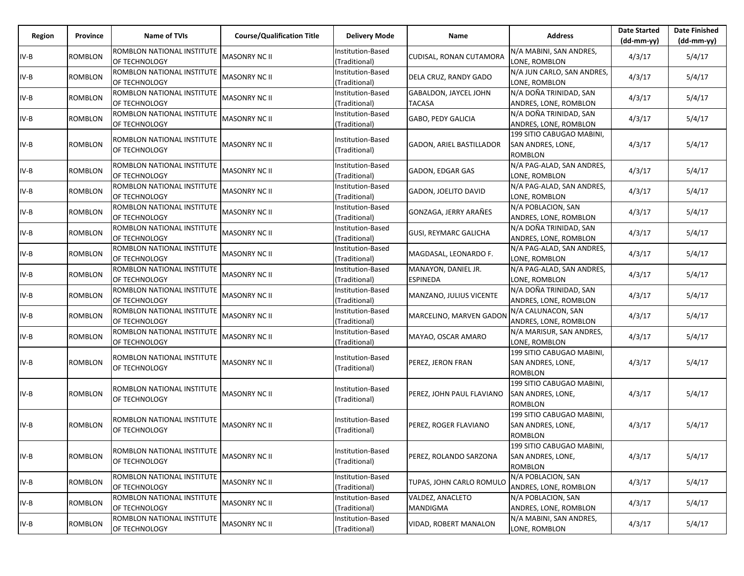| Region | Province       | Name of TVIs                                | <b>Course/Qualification Title</b> | <b>Delivery Mode</b>               | Name                                   | <b>Address</b>                                                          | <b>Date Started</b><br>$(dd-mm-yy)$ | <b>Date Finished</b><br>$(dd-mm-yy)$ |
|--------|----------------|---------------------------------------------|-----------------------------------|------------------------------------|----------------------------------------|-------------------------------------------------------------------------|-------------------------------------|--------------------------------------|
| $IV-B$ | ROMBLON        | ROMBLON NATIONAL INSTITUTE<br>OF TECHNOLOGY | <b>MASONRY NC II</b>              | Institution-Based<br>(Traditional) | CUDISAL, RONAN CUTAMORA                | N/A MABINI, SAN ANDRES,<br>LONE, ROMBLON                                | 4/3/17                              | 5/4/17                               |
| $IV-B$ | <b>ROMBLON</b> | ROMBLON NATIONAL INSTITUTE<br>OF TECHNOLOGY | <b>MASONRY NC II</b>              | Institution-Based<br>(Traditional) | DELA CRUZ, RANDY GADO                  | N/A JUN CARLO, SAN ANDRES,<br>LONE, ROMBLON                             | 4/3/17                              | 5/4/17                               |
| $IV-B$ | ROMBLON        | ROMBLON NATIONAL INSTITUTE<br>OF TECHNOLOGY | MASONRY NC II                     | Institution-Based<br>(Traditional) | GABALDON, JAYCEL JOHN<br>TACASA        | N/A DOÑA TRINIDAD, SAN<br>ANDRES, LONE, ROMBLON                         | 4/3/17                              | 5/4/17                               |
| $IV-B$ | <b>ROMBLON</b> | ROMBLON NATIONAL INSTITUTE<br>OF TECHNOLOGY | <b>MASONRY NC II</b>              | Institution-Based<br>(Traditional) | GABO, PEDY GALICIA                     | N/A DOÑA TRINIDAD, SAN<br>ANDRES, LONE, ROMBLON                         | 4/3/17                              | 5/4/17                               |
| IV-B   | ROMBLON        | ROMBLON NATIONAL INSTITUTE<br>OF TECHNOLOGY | MASONRY NC II                     | Institution-Based<br>(Traditional) | <b>GADON, ARIEL BASTILLADOR</b>        | 199 SITIO CABUGAO MABINI,<br>SAN ANDRES, LONE,<br><b>ROMBLON</b>        | 4/3/17                              | 5/4/17                               |
| $IV-B$ | ROMBLON        | ROMBLON NATIONAL INSTITUTE<br>OF TECHNOLOGY | MASONRY NC II                     | Institution-Based<br>Traditional)  | GADON, EDGAR GAS                       | N/A PAG-ALAD, SAN ANDRES,<br>LONE, ROMBLON                              | 4/3/17                              | 5/4/17                               |
| IV-B   | <b>ROMBLON</b> | ROMBLON NATIONAL INSTITUTE<br>OF TECHNOLOGY | <b>MASONRY NC II</b>              | Institution-Based<br>(Traditional) | GADON, JOELITO DAVID                   | N/A PAG-ALAD, SAN ANDRES,<br>LONE, ROMBLON                              | 4/3/17                              | 5/4/17                               |
| $IV-B$ | <b>ROMBLON</b> | ROMBLON NATIONAL INSTITUTE<br>OF TECHNOLOGY | <b>MASONRY NC II</b>              | Institution-Based<br>(Traditional) | GONZAGA, JERRY ARAÑES                  | N/A POBLACION, SAN<br>ANDRES, LONE, ROMBLON                             | 4/3/17                              | 5/4/17                               |
| $IV-B$ | ROMBLON        | ROMBLON NATIONAL INSTITUTE<br>OF TECHNOLOGY | MASONRY NC II                     | Institution-Based<br>(Traditional) | <b>GUSI, REYMARC GALICHA</b>           | N/A DOÑA TRINIDAD, SAN<br>ANDRES, LONE, ROMBLON                         | 4/3/17                              | 5/4/17                               |
| IV-B   | <b>ROMBLON</b> | ROMBLON NATIONAL INSTITUTE<br>OF TECHNOLOGY | MASONRY NC II                     | Institution-Based<br>(Traditional) | MAGDASAL, LEONARDO F.                  | N/A PAG-ALAD, SAN ANDRES,<br>LONE, ROMBLON                              | 4/3/17                              | 5/4/17                               |
| IV-B   | ROMBLON        | ROMBLON NATIONAL INSTITUTE<br>OF TECHNOLOGY | <b>MASONRY NC II</b>              | Institution-Based<br>(Traditional) | MANAYON, DANIEL JR.<br><b>ESPINEDA</b> | N/A PAG-ALAD, SAN ANDRES,<br>LONE, ROMBLON                              | 4/3/17                              | 5/4/17                               |
| $IV-B$ | ROMBLON        | ROMBLON NATIONAL INSTITUTE<br>OF TECHNOLOGY | MASONRY NC II                     | Institution-Based<br>(Traditional) | MANZANO, JULIUS VICENTE                | N/A DOÑA TRINIDAD, SAN<br>ANDRES, LONE, ROMBLON                         | 4/3/17                              | 5/4/17                               |
| IV-B   | ROMBLON        | ROMBLON NATIONAL INSTITUTE<br>OF TECHNOLOGY | <b>MASONRY NC II</b>              | Institution-Based<br>(Traditional) | MARCELINO, MARVEN GADON                | N/A CALUNACON, SAN<br>ANDRES, LONE, ROMBLON                             | 4/3/17                              | 5/4/17                               |
| $IV-B$ | <b>ROMBLON</b> | ROMBLON NATIONAL INSTITUTE<br>OF TECHNOLOGY | <b>MASONRY NC II</b>              | Institution-Based<br>(Traditional) | MAYAO, OSCAR AMARO                     | N/A MARISUR, SAN ANDRES,<br>LONE, ROMBLON                               | 4/3/17                              | 5/4/17                               |
| $IV-B$ | ROMBLON        | ROMBLON NATIONAL INSTITUTE<br>OF TECHNOLOGY | MASONRY NC II                     | Institution-Based<br>(Traditional) | PEREZ, JERON FRAN                      | 199 SITIO CABUGAO MABINI,<br>SAN ANDRES, LONE,<br><b>ROMBLON</b>        | 4/3/17                              | 5/4/17                               |
| $IV-B$ | ROMBLON        | ROMBLON NATIONAL INSTITUTE<br>OF TECHNOLOGY | <b>MASONRY NC II</b>              | Institution-Based<br>(Traditional) | PEREZ, JOHN PAUL FLAVIANO              | 199 SITIO CABUGAO MABINI,<br>SAN ANDRES, LONE,<br><b>ROMBLON</b>        | 4/3/17                              | 5/4/17                               |
| $IV-B$ | ROMBLON        | ROMBLON NATIONAL INSTITUTE<br>OF TECHNOLOGY | MASONRY NC II                     | Institution-Based<br>(Traditional) | PEREZ, ROGER FLAVIANO                  | 199 SITIO CABUGAO MABINI,<br>SAN ANDRES, LONE,<br><b>ROMBLON</b>        | 4/3/17                              | 5/4/17                               |
| $IV-B$ | <b>ROMBLON</b> | ROMBLON NATIONAL INSTITUTE<br>OF TECHNOLOGY | <b>MASONRY NC II</b>              | Institution-Based<br>(Traditional) | PEREZ, ROLANDO SARZONA                 | 199 SITIO CABUGAO MABINI,<br><b>SAN ANDRES, LONE,</b><br><b>ROMBLON</b> | 4/3/17                              | 5/4/17                               |
| $IV-B$ | ROMBLON        | ROMBLON NATIONAL INSTITUTE<br>OF TECHNOLOGY | MASONRY NC II                     | Institution-Based<br>(Traditional) | TUPAS, JOHN CARLO ROMULO               | N/A POBLACION, SAN<br>ANDRES, LONE, ROMBLON                             | 4/3/17                              | 5/4/17                               |
| $IV-B$ | <b>ROMBLON</b> | ROMBLON NATIONAL INSTITUTE<br>OF TECHNOLOGY | <b>MASONRY NC II</b>              | Institution-Based<br>(Traditional) | VALDEZ, ANACLETO<br>MANDIGMA           | N/A POBLACION, SAN<br>ANDRES, LONE, ROMBLON                             | 4/3/17                              | 5/4/17                               |
| $IV-B$ | <b>ROMBLON</b> | ROMBLON NATIONAL INSTITUTE<br>OF TECHNOLOGY | <b>MASONRY NC II</b>              | Institution-Based<br>(Traditional) | VIDAD, ROBERT MANALON                  | N/A MABINI, SAN ANDRES,<br>LONE, ROMBLON                                | 4/3/17                              | 5/4/17                               |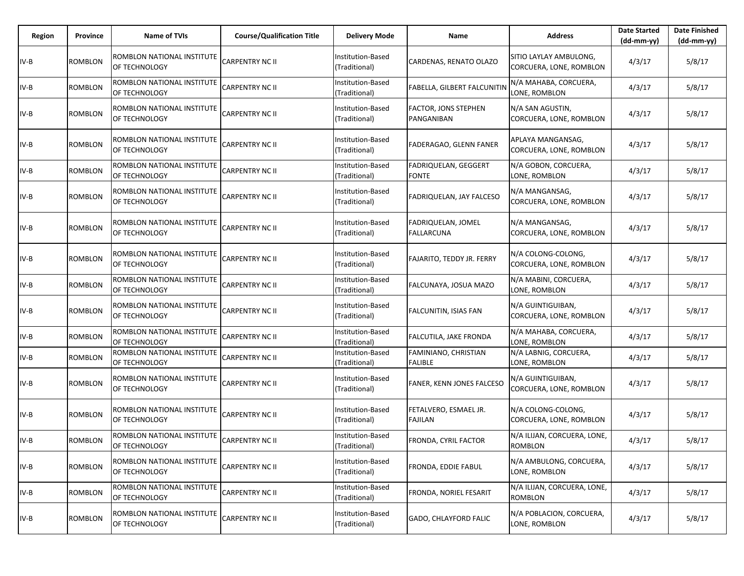| Region | Province | <b>Name of TVIs</b>                         | <b>Course/Qualification Title</b> | <b>Delivery Mode</b>               | Name                                    | <b>Address</b>                                    | <b>Date Started</b><br>$(dd-mm-yy)$ | <b>Date Finished</b><br>(dd-mm-yy) |
|--------|----------|---------------------------------------------|-----------------------------------|------------------------------------|-----------------------------------------|---------------------------------------------------|-------------------------------------|------------------------------------|
| IV-B   | ROMBLON  | ROMBLON NATIONAL INSTITUTE<br>OF TECHNOLOGY | CARPENTRY NC II                   | Institution-Based<br>(Traditional) | CARDENAS, RENATO OLAZO                  | SITIO LAYLAY AMBULONG,<br>CORCUERA, LONE, ROMBLON | 4/3/17                              | 5/8/17                             |
| IV-B   | ROMBLON  | ROMBLON NATIONAL INSTITUTE<br>OF TECHNOLOGY | <b>CARPENTRY NC II</b>            | Institution-Based<br>(Traditional) | FABELLA, GILBERT FALCUNITIN             | N/A MAHABA, CORCUERA,<br>LONE, ROMBLON            | 4/3/17                              | 5/8/17                             |
| IV-B   | ROMBLON  | ROMBLON NATIONAL INSTITUTE<br>OF TECHNOLOGY | <b>CARPENTRY NC II</b>            | Institution-Based<br>(Traditional) | FACTOR, JONS STEPHEN<br>PANGANIBAN      | N/A SAN AGUSTIN,<br>CORCUERA, LONE, ROMBLON       | 4/3/17                              | 5/8/17                             |
| IV-B   | ROMBLON  | ROMBLON NATIONAL INSTITUTE<br>OF TECHNOLOGY | <b>CARPENTRY NC II</b>            | Institution-Based<br>Traditional)  | FADERAGAO, GLENN FANER                  | APLAYA MANGANSAG,<br>CORCUERA, LONE, ROMBLON      | 4/3/17                              | 5/8/17                             |
| IV-B   | ROMBLON  | ROMBLON NATIONAL INSTITUTE<br>OF TECHNOLOGY | <b>CARPENTRY NC II</b>            | Institution-Based<br>(Traditional) | FADRIQUELAN, GEGGERT<br><b>FONTE</b>    | N/A GOBON, CORCUERA,<br>LONE, ROMBLON             | 4/3/17                              | 5/8/17                             |
| IV-B   | ROMBLON  | ROMBLON NATIONAL INSTITUTE<br>OF TECHNOLOGY | CARPENTRY NC II                   | Institution-Based<br>(Traditional) | FADRIQUELAN, JAY FALCESO                | N/A MANGANSAG,<br>CORCUERA, LONE, ROMBLON         | 4/3/17                              | 5/8/17                             |
| IV-B   | ROMBLON  | ROMBLON NATIONAL INSTITUTE<br>OF TECHNOLOGY | CARPENTRY NC II                   | Institution-Based<br>(Traditional) | FADRIQUELAN, JOMEL<br><b>FALLARCUNA</b> | N/A MANGANSAG,<br>CORCUERA, LONE, ROMBLON         | 4/3/17                              | 5/8/17                             |
| IV-B   | ROMBLON  | ROMBLON NATIONAL INSTITUTE<br>OF TECHNOLOGY | <b>CARPENTRY NC II</b>            | nstitution-Based<br>(Traditional)  | FAJARITO, TEDDY JR. FERRY               | N/A COLONG-COLONG,<br>CORCUERA, LONE, ROMBLON     | 4/3/17                              | 5/8/17                             |
| IV-B   | ROMBLON  | ROMBLON NATIONAL INSTITUTE<br>OF TECHNOLOGY | CARPENTRY NC II                   | Institution-Based<br>(Traditional) | FALCUNAYA, JOSUA MAZO                   | N/A MABINI, CORCUERA,<br>LONE, ROMBLON            | 4/3/17                              | 5/8/17                             |
| IV-B   | ROMBLON  | ROMBLON NATIONAL INSTITUTE<br>OF TECHNOLOGY | CARPENTRY NC II                   | Institution-Based<br>(Traditional) | FALCUNITIN, ISIAS FAN                   | N/A GUINTIGUIBAN,<br>CORCUERA, LONE, ROMBLON      | 4/3/17                              | 5/8/17                             |
| IV-B   | ROMBLON  | ROMBLON NATIONAL INSTITUTE<br>OF TECHNOLOGY | <b>CARPENTRY NC II</b>            | Institution-Based<br>(Traditional) | FALCUTILA, JAKE FRONDA                  | N/A MAHABA, CORCUERA,<br>LONE, ROMBLON            | 4/3/17                              | 5/8/17                             |
| IV-B   | ROMBLON  | ROMBLON NATIONAL INSTITUTE<br>OF TECHNOLOGY | CARPENTRY NC II                   | nstitution-Based<br>(Traditional)  | FAMINIANO, CHRISTIAN<br><b>FALIBLE</b>  | N/A LABNIG, CORCUERA,<br>LONE, ROMBLON            | 4/3/17                              | 5/8/17                             |
| IV-B   | ROMBLON  | ROMBLON NATIONAL INSTITUTE<br>OF TECHNOLOGY | CARPENTRY NC II                   | Institution-Based<br>(Traditional) | FANER, KENN JONES FALCESO               | N/A GUINTIGUIBAN,<br>CORCUERA, LONE, ROMBLON      | 4/3/17                              | 5/8/17                             |
| $IV-B$ | ROMBLON  | ROMBLON NATIONAL INSTITUTE<br>OF TECHNOLOGY | <b>CARPENTRY NC II</b>            | Institution-Based<br>(Traditional) | FETALVERO, ESMAEL JR.<br><b>FAJILAN</b> | N/A COLONG-COLONG,<br>CORCUERA, LONE, ROMBLON     | 4/3/17                              | 5/8/17                             |
| IV-B   | ROMBLON  | ROMBLON NATIONAL INSTITUTE<br>OF TECHNOLOGY | <b>CARPENTRY NC II</b>            | Institution-Based<br>(Traditional) | FRONDA, CYRIL FACTOR                    | N/A ILIJAN, CORCUERA, LONE,<br>ROMBLON            | 4/3/17                              | 5/8/17                             |
| $IV-B$ | ROMBLON  | ROMBLON NATIONAL INSTITUTE<br>OF TECHNOLOGY | <b>CARPENTRY NC II</b>            | Institution-Based<br>(Traditional) | FRONDA, EDDIE FABUL                     | N/A AMBULONG, CORCUERA,<br>LONE, ROMBLON          | 4/3/17                              | 5/8/17                             |
| $IV-B$ | ROMBLON  | ROMBLON NATIONAL INSTITUTE<br>OF TECHNOLOGY | <b>CARPENTRY NC II</b>            | Institution-Based<br>(Traditional) | FRONDA, NORIEL FESARIT                  | N/A ILIJAN, CORCUERA, LONE,<br><b>ROMBLON</b>     | 4/3/17                              | 5/8/17                             |
| $IV-B$ | ROMBLON  | ROMBLON NATIONAL INSTITUTE<br>OF TECHNOLOGY | <b>CARPENTRY NC II</b>            | Institution-Based<br>(Traditional) | GADO, CHLAYFORD FALIC                   | N/A POBLACION, CORCUERA,<br>LONE, ROMBLON         | 4/3/17                              | 5/8/17                             |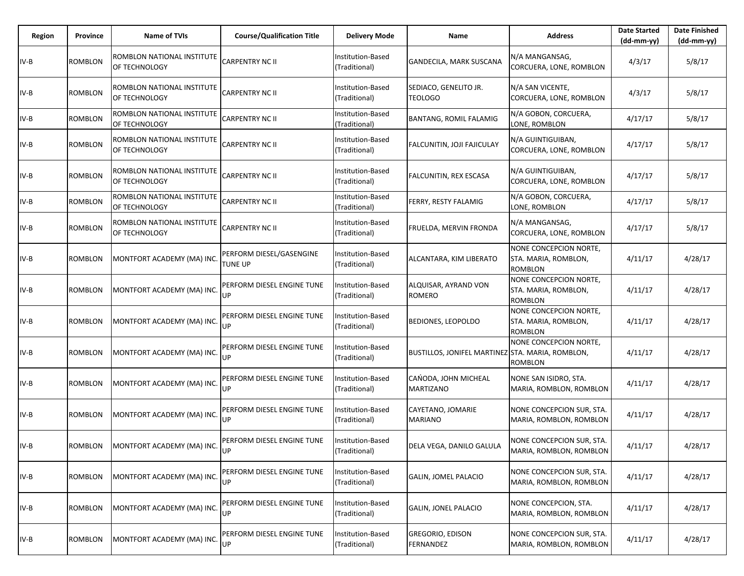| Region | Province       | <b>Name of TVIs</b>                         | <b>Course/Qualification Title</b>   | <b>Delivery Mode</b>               | Name                                             | <b>Address</b>                                                   | <b>Date Started</b><br>$(dd-mm-yy)$ | <b>Date Finished</b><br>(dd-mm-yy) |
|--------|----------------|---------------------------------------------|-------------------------------------|------------------------------------|--------------------------------------------------|------------------------------------------------------------------|-------------------------------------|------------------------------------|
| IV-B   | ROMBLON        | ROMBLON NATIONAL INSTITUTE<br>OF TECHNOLOGY | CARPENTRY NC II                     | Institution-Based<br>(Traditional) | GANDECILA, MARK SUSCANA                          | N/A MANGANSAG,<br>CORCUERA, LONE, ROMBLON                        | 4/3/17                              | 5/8/17                             |
| $IV-B$ | ROMBLON        | ROMBLON NATIONAL INSTITUTE<br>OF TECHNOLOGY | CARPENTRY NC II                     | Institution-Based<br>(Traditional) | SEDIACO, GENELITO JR.<br><b>TEOLOGO</b>          | N/A SAN VICENTE,<br>CORCUERA, LONE, ROMBLON                      | 4/3/17                              | 5/8/17                             |
| $IV-B$ | ROMBLON        | ROMBLON NATIONAL INSTITUTE<br>OF TECHNOLOGY | CARPENTRY NC II                     | Institution-Based<br>(Traditional) | <b>BANTANG, ROMIL FALAMIG</b>                    | N/A GOBON, CORCUERA,<br>LONE, ROMBLON                            | 4/17/17                             | 5/8/17                             |
| $IV-B$ | ROMBLON        | ROMBLON NATIONAL INSTITUTE<br>OF TECHNOLOGY | CARPENTRY NC II                     | Institution-Based<br>(Traditional) | FALCUNITIN, JOJI FAJICULAY                       | N/A GUINTIGUIBAN,<br>CORCUERA, LONE, ROMBLON                     | 4/17/17                             | 5/8/17                             |
| $IV-B$ | <b>ROMBLON</b> | ROMBLON NATIONAL INSTITUTE<br>OF TECHNOLOGY | CARPENTRY NC II                     | Institution-Based<br>(Traditional) | FALCUNITIN, REX ESCASA                           | N/A GUINTIGUIBAN,<br>CORCUERA, LONE, ROMBLON                     | 4/17/17                             | 5/8/17                             |
| $IV-B$ | ROMBLON        | ROMBLON NATIONAL INSTITUTE<br>OF TECHNOLOGY | <b>CARPENTRY NC II</b>              | Institution-Based<br>(Traditional) | FERRY, RESTY FALAMIG                             | N/A GOBON, CORCUERA,<br>LONE, ROMBLON                            | 4/17/17                             | 5/8/17                             |
| $IV-B$ | ROMBLON        | ROMBLON NATIONAL INSTITUTE<br>OF TECHNOLOGY | CARPENTRY NC II                     | Institution-Based<br>(Traditional) | FRUELDA, MERVIN FRONDA                           | N/A MANGANSAG,<br>CORCUERA, LONE, ROMBLON                        | 4/17/17                             | 5/8/17                             |
| $IV-B$ | ROMBLON        | MONTFORT ACADEMY (MA) INC.                  | PERFORM DIESEL/GASENGINE<br>TUNE UP | Institution-Based<br>(Traditional) | ALCANTARA, KIM LIBERATO                          | NONE CONCEPCION NORTE,<br>STA. MARIA, ROMBLON,<br><b>ROMBLON</b> | 4/11/17                             | 4/28/17                            |
| $IV-B$ | ROMBLON        | MONTFORT ACADEMY (MA) INC.                  | PERFORM DIESEL ENGINE TUNE<br>UP    | nstitution-Based<br>(Traditional)  | ALQUISAR, AYRAND VON<br>ROMERO                   | NONE CONCEPCION NORTE,<br>STA. MARIA, ROMBLON,<br>ROMBLON        | 4/11/17                             | 4/28/17                            |
| $IV-B$ | ROMBLON        | MONTFORT ACADEMY (MA) INC.                  | PERFORM DIESEL ENGINE TUNE<br>UP    | Institution-Based<br>(Traditional) | <b>BEDIONES, LEOPOLDO</b>                        | NONE CONCEPCION NORTE,<br>STA. MARIA, ROMBLON,<br><b>ROMBLON</b> | 4/11/17                             | 4/28/17                            |
| $IV-B$ | ROMBLON        | MONTFORT ACADEMY (MA) INC.                  | PERFORM DIESEL ENGINE TUNE<br>UP    | Institution-Based<br>(Traditional) | BUSTILLOS, JONIFEL MARTINEZ STA. MARIA, ROMBLON, | NONE CONCEPCION NORTE,<br><b>ROMBLON</b>                         | 4/11/17                             | 4/28/17                            |
| $IV-B$ | ROMBLON        | MONTFORT ACADEMY (MA) INC.                  | PERFORM DIESEL ENGINE TUNE<br>UP    | Institution-Based<br>(Traditional) | CANODA, JOHN MICHEAL<br><b>MARTIZANO</b>         | NONE SAN ISIDRO, STA.<br>MARIA, ROMBLON, ROMBLON                 | 4/11/17                             | 4/28/17                            |
| IV-B   | ROMBLON        | MONTFORT ACADEMY (MA) INC.                  | PERFORM DIESEL ENGINE TUNE<br>UP    | Institution-Based<br>(Traditional) | CAYETANO, JOMARIE<br><b>MARIANO</b>              | NONE CONCEPCION SUR, STA.<br>MARIA, ROMBLON, ROMBLON             | 4/11/17                             | 4/28/17                            |
| IV-B   | ROMBLON        | MONTFORT ACADEMY (MA) INC. UP               | PERFORM DIESEL ENGINE TUNE          | Institution-Based<br>(Traditional) | DELA VEGA, DANILO GALULA                         | NONE CONCEPCION SUR, STA.<br>MARIA, ROMBLON, ROMBLON             | 4/11/17                             | 4/28/17                            |
| $IV-B$ | ROMBLON        | MONTFORT ACADEMY (MA) INC.                  | PERFORM DIESEL ENGINE TUNE<br>UP    | Institution-Based<br>(Traditional) | GALIN, JOMEL PALACIO                             | NONE CONCEPCION SUR, STA.<br>MARIA, ROMBLON, ROMBLON             | 4/11/17                             | 4/28/17                            |
| $IV-B$ | <b>ROMBLON</b> | MONTFORT ACADEMY (MA) INC.                  | PERFORM DIESEL ENGINE TUNE<br>UP    | Institution-Based<br>(Traditional) | <b>GALIN, JONEL PALACIO</b>                      | NONE CONCEPCION, STA.<br>MARIA, ROMBLON, ROMBLON                 | 4/11/17                             | 4/28/17                            |
| $IV-B$ | ROMBLON        | MONTFORT ACADEMY (MA) INC.                  | PERFORM DIESEL ENGINE TUNE<br>UP    | Institution-Based<br>(Traditional) | GREGORIO, EDISON<br>FERNANDEZ                    | NONE CONCEPCION SUR, STA.<br>MARIA, ROMBLON, ROMBLON             | 4/11/17                             | 4/28/17                            |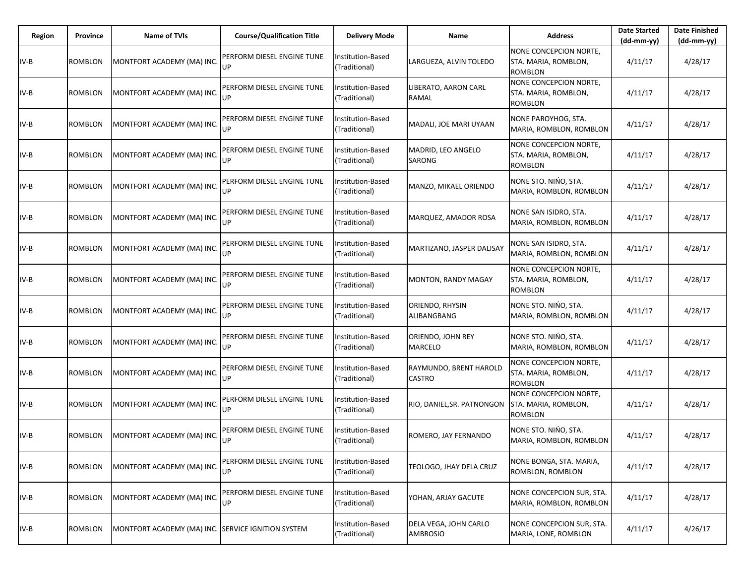| Region | <b>Province</b> | <b>Name of TVIs</b>                                | <b>Course/Qualification Title</b> | <b>Delivery Mode</b>               | Name                                     | <b>Address</b>                                                   | <b>Date Started</b><br>$(dd-mm-yy)$ | <b>Date Finished</b><br>(dd-mm-yy) |
|--------|-----------------|----------------------------------------------------|-----------------------------------|------------------------------------|------------------------------------------|------------------------------------------------------------------|-------------------------------------|------------------------------------|
| $IV-B$ | ROMBLON         | MONTFORT ACADEMY (MA) INC.                         | PERFORM DIESEL ENGINE TUNE<br>UP  | Institution-Based<br>(Traditional) | LARGUEZA, ALVIN TOLEDO                   | NONE CONCEPCION NORTE,<br>STA. MARIA, ROMBLON,<br><b>ROMBLON</b> | 4/11/17                             | 4/28/17                            |
| IV-B   | ROMBLON         | MONTFORT ACADEMY (MA) INC.                         | PERFORM DIESEL ENGINE TUNE<br>UP  | Institution-Based<br>(Traditional) | LIBERATO, AARON CARL<br>RAMAL            | NONE CONCEPCION NORTE,<br>STA. MARIA, ROMBLON,<br><b>ROMBLON</b> | 4/11/17                             | 4/28/17                            |
| IV-B   | ROMBLON         | MONTFORT ACADEMY (MA) INC.                         | PERFORM DIESEL ENGINE TUNE<br>UP  | Institution-Based<br>(Traditional) | MADALI, JOE MARI UYAAN                   | NONE PAROYHOG, STA.<br>MARIA, ROMBLON, ROMBLON                   | 4/11/17                             | 4/28/17                            |
| $IV-B$ | ROMBLON         | MONTFORT ACADEMY (MA) INC.                         | PERFORM DIESEL ENGINE TUNE<br>UP  | Institution-Based<br>(Traditional) | MADRID, LEO ANGELO<br><b>SARONG</b>      | NONE CONCEPCION NORTE,<br>STA. MARIA, ROMBLON,<br><b>ROMBLON</b> | 4/11/17                             | 4/28/17                            |
| IV-B   | ROMBLON         | MONTFORT ACADEMY (MA) INC.                         | PERFORM DIESEL ENGINE TUNE<br>UP  | Institution-Based<br>(Traditional) | MANZO, MIKAEL ORIENDO                    | NONE STO. NIŃO, STA.<br>MARIA, ROMBLON, ROMBLON                  | 4/11/17                             | 4/28/17                            |
| IV-B   | ROMBLON         | MONTFORT ACADEMY (MA) INC.                         | PERFORM DIESEL ENGINE TUNE<br>UP  | Institution-Based<br>(Traditional) | MARQUEZ, AMADOR ROSA                     | NONE SAN ISIDRO, STA.<br>MARIA, ROMBLON, ROMBLON                 | 4/11/17                             | 4/28/17                            |
| IV-B   | <b>ROMBLON</b>  | MONTFORT ACADEMY (MA) INC                          | PERFORM DIESEL ENGINE TUNE<br>UP  | Institution-Based<br>(Traditional) | MARTIZANO, JASPER DALISAY                | NONE SAN ISIDRO, STA.<br>MARIA, ROMBLON, ROMBLON                 | 4/11/17                             | 4/28/17                            |
| IV-B   | ROMBLON         | MONTFORT ACADEMY (MA) INC.                         | PERFORM DIESEL ENGINE TUNE<br>UP  | Institution-Based<br>(Traditional) | <b>MONTON, RANDY MAGAY</b>               | NONE CONCEPCION NORTE,<br>STA. MARIA, ROMBLON,<br><b>ROMBLON</b> | 4/11/17                             | 4/28/17                            |
| IV-B   | ROMBLON         | MONTFORT ACADEMY (MA) INC                          | PERFORM DIESEL ENGINE TUNE<br>UP. | Institution-Based<br>(Traditional) | ORIENDO, RHYSIN<br>ALIBANGBANG           | NONE STO. NIŃO, STA.<br>MARIA, ROMBLON, ROMBLON                  | 4/11/17                             | 4/28/17                            |
| $IV-B$ | ROMBLON         | MONTFORT ACADEMY (MA) INC.                         | PERFORM DIESEL ENGINE TUNE<br>UP  | Institution-Based<br>(Traditional) | ORIENDO, JOHN REY<br><b>MARCELO</b>      | NONE STO. NIŃO, STA.<br>MARIA, ROMBLON, ROMBLON                  | 4/11/17                             | 4/28/17                            |
| $IV-B$ | ROMBLON         | MONTFORT ACADEMY (MA) INC.                         | PERFORM DIESEL ENGINE TUNE<br>UP  | Institution-Based<br>(Traditional) | RAYMUNDO, BRENT HAROLD<br><b>CASTRO</b>  | NONE CONCEPCION NORTE,<br>STA. MARIA, ROMBLON,<br><b>ROMBLON</b> | 4/11/17                             | 4/28/17                            |
| $IV-B$ | ROMBLON         | MONTFORT ACADEMY (MA) INC.                         | PERFORM DIESEL ENGINE TUNE<br>UP  | Institution-Based<br>(Traditional) | RIO, DANIEL, SR. PATNONGON               | NONE CONCEPCION NORTE,<br>STA. MARIA, ROMBLON,<br><b>ROMBLON</b> | 4/11/17                             | 4/28/17                            |
| IV-B   | ROMBLON         | MONTFORT ACADEMY (MA) INC.                         | PERFORM DIESEL ENGINE TUNE<br>UP  | nstitution-Based<br>(Traditional)  | ROMERO, JAY FERNANDO                     | NONE STO. NIŃO, STA.<br>MARIA, ROMBLON, ROMBLON                  | 4/11/17                             | 4/28/17                            |
| $IV-B$ | ROMBLON         | MONTFORT ACADEMY (MA) INC.                         | PERFORM DIESEL ENGINE TUNE<br>UP  | Institution-Based<br>(Traditional) | TEOLOGO, JHAY DELA CRUZ                  | NONE BONGA, STA. MARIA,<br>ROMBLON, ROMBLON                      | 4/11/17                             | 4/28/17                            |
| $IV-B$ | ROMBLON         | MONTFORT ACADEMY (MA) INC.                         | PERFORM DIESEL ENGINE TUNE<br>UP  | Institution-Based<br>(Traditional) | YOHAN, ARJAY GACUTE                      | NONE CONCEPCION SUR, STA.<br>MARIA, ROMBLON, ROMBLON             | 4/11/17                             | 4/28/17                            |
| $IV-B$ | <b>ROMBLON</b>  | MONTFORT ACADEMY (MA) INC. SERVICE IGNITION SYSTEM |                                   | Institution-Based<br>(Traditional) | DELA VEGA, JOHN CARLO<br><b>AMBROSIO</b> | NONE CONCEPCION SUR, STA.<br>MARIA, LONE, ROMBLON                | 4/11/17                             | 4/26/17                            |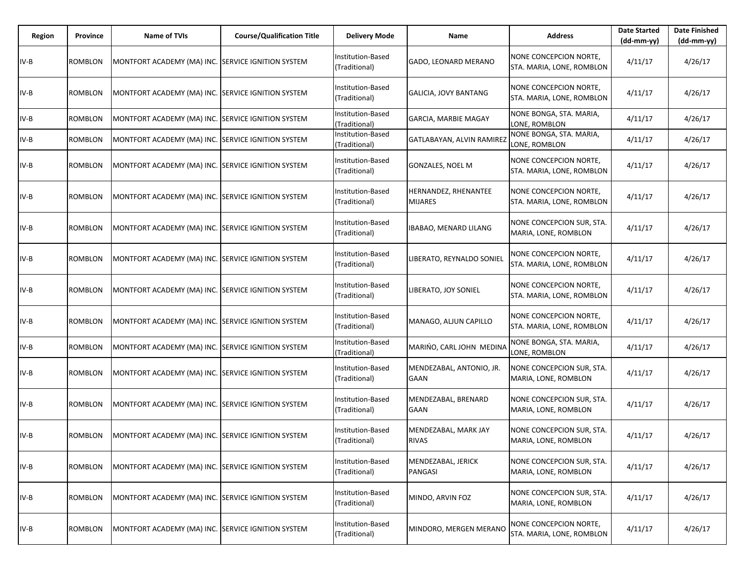| Region | Province | Name of TVIs                                       | <b>Course/Qualification Title</b> | <b>Delivery Mode</b>                      | Name                                   | <b>Address</b>                                      | <b>Date Started</b><br>$(dd-mm-yy)$ | <b>Date Finished</b><br>(dd-mm-yy) |
|--------|----------|----------------------------------------------------|-----------------------------------|-------------------------------------------|----------------------------------------|-----------------------------------------------------|-------------------------------------|------------------------------------|
| IV-B   | ROMBLON  | MONTFORT ACADEMY (MA) INC. SERVICE IGNITION SYSTEM |                                   | Institution-Based<br>(Traditional)        | GADO, LEONARD MERANO                   | NONE CONCEPCION NORTE,<br>STA. MARIA, LONE, ROMBLON | 4/11/17                             | 4/26/17                            |
| $IV-B$ | ROMBLON  | MONTFORT ACADEMY (MA) INC. SERVICE IGNITION SYSTEM |                                   | Institution-Based<br>(Traditional)        | GALICIA, JOVY BANTANG                  | NONE CONCEPCION NORTE,<br>STA. MARIA, LONE, ROMBLON | 4/11/17                             | 4/26/17                            |
| IV-B   | ROMBLON  | MONTFORT ACADEMY (MA) INC. SERVICE IGNITION SYSTEM |                                   | <b>Institution-Based</b><br>(Traditional) | GARCIA, MARBIE MAGAY                   | NONE BONGA, STA. MARIA,<br>LONE, ROMBLON            | 4/11/17                             | 4/26/17                            |
| IV-B   | ROMBLON  | MONTFORT ACADEMY (MA) INC. SERVICE IGNITION SYSTEM |                                   | Institution-Based<br>(Traditional)        | GATLABAYAN, ALVIN RAMIREZ              | NONE BONGA, STA. MARIA,<br>LONE, ROMBLON            | 4/11/17                             | 4/26/17                            |
| $IV-B$ | ROMBLON  | MONTFORT ACADEMY (MA) INC. SERVICE IGNITION SYSTEM |                                   | Institution-Based<br>(Traditional)        | GONZALES, NOEL M                       | NONE CONCEPCION NORTE,<br>STA. MARIA, LONE, ROMBLON | 4/11/17                             | 4/26/17                            |
| IV-B   | ROMBLON  | MONTFORT ACADEMY (MA) INC. SERVICE IGNITION SYSTEM |                                   | Institution-Based<br>(Traditional)        | HERNANDEZ, RHENANTEE<br><b>MIJARES</b> | NONE CONCEPCION NORTE,<br>STA. MARIA, LONE, ROMBLON | 4/11/17                             | 4/26/17                            |
| $IV-B$ | ROMBLON  | MONTFORT ACADEMY (MA) INC. SERVICE IGNITION SYSTEM |                                   | Institution-Based<br>(Traditional)        | IBABAO, MENARD LILANG                  | NONE CONCEPCION SUR, STA.<br>MARIA, LONE, ROMBLON   | 4/11/17                             | 4/26/17                            |
| IV-B   | ROMBLON  | MONTFORT ACADEMY (MA) INC. SERVICE IGNITION SYSTEM |                                   | Institution-Based<br>(Traditional)        | LIBERATO, REYNALDO SONIEL              | NONE CONCEPCION NORTE,<br>STA. MARIA, LONE, ROMBLON | 4/11/17                             | 4/26/17                            |
| $IV-B$ | ROMBLON  | MONTFORT ACADEMY (MA) INC. SERVICE IGNITION SYSTEM |                                   | Institution-Based<br>(Traditional)        | LIBERATO, JOY SONIEL                   | NONE CONCEPCION NORTE,<br>STA. MARIA, LONE, ROMBLON | 4/11/17                             | 4/26/17                            |
| $IV-B$ | ROMBLON  | MONTFORT ACADEMY (MA) INC. SERVICE IGNITION SYSTEM |                                   | Institution-Based<br>(Traditional)        | MANAGO, ALJUN CAPILLO                  | NONE CONCEPCION NORTE,<br>STA. MARIA, LONE, ROMBLON | 4/11/17                             | 4/26/17                            |
| $IV-B$ | ROMBLON  | MONTFORT ACADEMY (MA) INC. SERVICE IGNITION SYSTEM |                                   | Institution-Based<br>(Traditional)        | MARIŃO, CARL JOHN MEDINA               | NONE BONGA, STA. MARIA,<br>LONE, ROMBLON            | 4/11/17                             | 4/26/17                            |
| IV-B   | ROMBLON  | MONTFORT ACADEMY (MA) INC. SERVICE IGNITION SYSTEM |                                   | Institution-Based<br>(Traditional)        | MENDEZABAL, ANTONIO, JR.<br>GAAN       | NONE CONCEPCION SUR, STA.<br>MARIA, LONE, ROMBLON   | 4/11/17                             | 4/26/17                            |
| IV-B   | ROMBLON  | MONTFORT ACADEMY (MA) INC. SERVICE IGNITION SYSTEM |                                   | Institution-Based<br>(Traditional)        | MENDEZABAL, BRENARD<br>GAAN            | NONE CONCEPCION SUR, STA.<br>MARIA, LONE, ROMBLON   | 4/11/17                             | 4/26/17                            |
| IV-B   | ROMBLON  | MONTFORT ACADEMY (MA) INC. SERVICE IGNITION SYSTEM |                                   | Institution-Based<br>(Traditional)        | MENDEZABAL, MARK JAY<br><b>RIVAS</b>   | NONE CONCEPCION SUR, STA.<br>MARIA, LONE, ROMBLON   | 4/11/17                             | 4/26/17                            |
| IV-B   | ROMBLON  | MONTFORT ACADEMY (MA) INC. SERVICE IGNITION SYSTEM |                                   | Institution-Based<br>(Traditional)        | MENDEZABAL, JERICK<br>PANGASI          | NONE CONCEPCION SUR, STA.<br>MARIA, LONE, ROMBLON   | 4/11/17                             | 4/26/17                            |
| IV-B   | ROMBLON  | MONTFORT ACADEMY (MA) INC. SERVICE IGNITION SYSTEM |                                   | Institution-Based<br>(Traditional)        | MINDO, ARVIN FOZ                       | NONE CONCEPCION SUR, STA.<br>MARIA, LONE, ROMBLON   | 4/11/17                             | 4/26/17                            |
| IV-B   | ROMBLON  | MONTFORT ACADEMY (MA) INC. SERVICE IGNITION SYSTEM |                                   | Institution-Based<br>(Traditional)        | MINDORO, MERGEN MERANO                 | NONE CONCEPCION NORTE,<br>STA. MARIA, LONE, ROMBLON | 4/11/17                             | 4/26/17                            |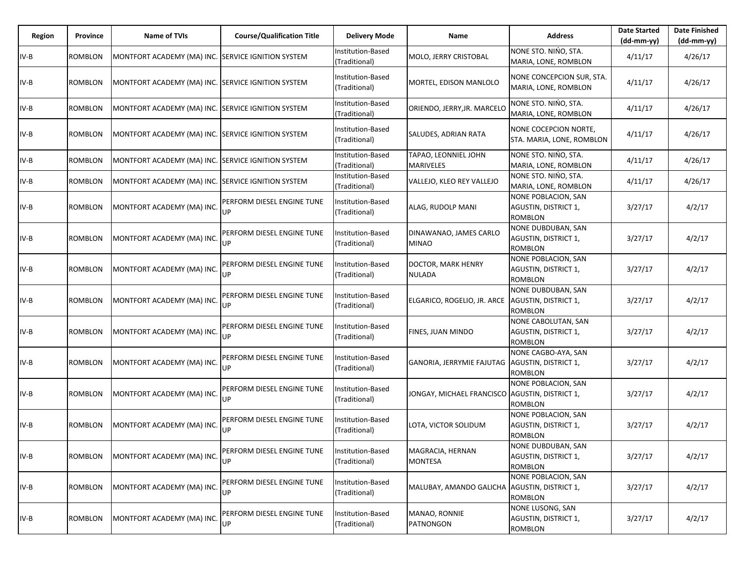| Region | Province       | <b>Name of TVIs</b>                                | <b>Course/Qualification Title</b> | <b>Delivery Mode</b>               | Name                                             | <b>Address</b>                                                             | <b>Date Started</b><br>$(dd-mm-yy)$ | <b>Date Finished</b><br>$(dd-mm-yy)$ |
|--------|----------------|----------------------------------------------------|-----------------------------------|------------------------------------|--------------------------------------------------|----------------------------------------------------------------------------|-------------------------------------|--------------------------------------|
| IV-B   | ROMBLON        | MONTFORT ACADEMY (MA) INC. SERVICE IGNITION SYSTEM |                                   | Institution-Based<br>(Traditional) | MOLO, JERRY CRISTOBAL                            | NONE STO. NIŃO, STA.<br>MARIA, LONE, ROMBLON                               | 4/11/17                             | 4/26/17                              |
| IV-B   | ROMBLON        | MONTFORT ACADEMY (MA) INC. SERVICE IGNITION SYSTEM |                                   | Institution-Based<br>(Traditional) | MORTEL, EDISON MANLOLO                           | NONE CONCEPCION SUR, STA.<br>MARIA, LONE, ROMBLON                          | 4/11/17                             | 4/26/17                              |
| IV-B   | <b>ROMBLON</b> | MONTFORT ACADEMY (MA) INC. SERVICE IGNITION SYSTEM |                                   | Institution-Based<br>(Traditional) | ORIENDO, JERRY, JR. MARCELO                      | NONE STO. NIŃO, STA.<br>MARIA, LONE, ROMBLON                               | 4/11/17                             | 4/26/17                              |
| IV-B   | <b>ROMBLON</b> | MONTFORT ACADEMY (MA) INC. SERVICE IGNITION SYSTEM |                                   | Institution-Based<br>(Traditional) | SALUDES, ADRIAN RATA                             | NONE COCEPCION NORTE,<br>STA. MARIA, LONE, ROMBLON                         | 4/11/17                             | 4/26/17                              |
| IV-B   | ROMBLON        | MONTFORT ACADEMY (MA) INC. SERVICE IGNITION SYSTEM |                                   | Institution-Based<br>(Traditional) | TAPAO, LEONNIEL JOHN<br><b>MARIVELES</b>         | NONE STO. NIŃO, STA.<br>MARIA, LONE, ROMBLON                               | 4/11/17                             | 4/26/17                              |
| IV-B   | <b>ROMBLON</b> | MONTFORT ACADEMY (MA) INC. SERVICE IGNITION SYSTEM |                                   | Institution-Based<br>(Traditional) | VALLEJO, KLEO REY VALLEJO                        | NONE STO. NIŃO, STA.<br>MARIA, LONE, ROMBLON                               | 4/11/17                             | 4/26/17                              |
| IV-B   | <b>ROMBLON</b> | MONTFORT ACADEMY (MA) INC                          | PERFORM DIESEL ENGINE TUNE<br>UP  | Institution-Based<br>(Traditional) | ALAG, RUDOLP MANI                                | <b>NONE POBLACION, SAN</b><br>AGUSTIN, DISTRICT 1,<br><b>ROMBLON</b>       | 3/27/17                             | 4/2/17                               |
| IV-B   | <b>ROMBLON</b> | MONTFORT ACADEMY (MA) INC                          | PERFORM DIESEL ENGINE TUNE<br>UP  | Institution-Based<br>(Traditional) | DINAWANAO, JAMES CARLO<br><b>MINAO</b>           | <b>NONE DUBDUBAN, SAN</b><br>AGUSTIN, DISTRICT 1,<br><b>ROMBLON</b>        | 3/27/17                             | 4/2/17                               |
| IV-B   | <b>ROMBLON</b> | MONTFORT ACADEMY (MA) INC                          | PERFORM DIESEL ENGINE TUNE<br>UP  | nstitution-Based<br>(Traditional)  | DOCTOR, MARK HENRY<br><b>NULADA</b>              | NONE POBLACION, SAN<br>AGUSTIN, DISTRICT 1,<br><b>ROMBLON</b>              | 3/27/17                             | 4/2/17                               |
| IV-B   | <b>ROMBLON</b> | MONTFORT ACADEMY (MA) INC.                         | PERFORM DIESEL ENGINE TUNE<br>UP  | Institution-Based<br>(Traditional) | ELGARICO, ROGELIO, JR. ARCE AGUSTIN, DISTRICT 1, | NONE DUBDUBAN, SAN<br><b>ROMBLON</b>                                       | 3/27/17                             | 4/2/17                               |
| IV-B   | <b>ROMBLON</b> | MONTFORT ACADEMY (MA) INC                          | PERFORM DIESEL ENGINE TUNE<br>UP  | Institution-Based<br>(Traditional) | FINES, JUAN MINDO                                | NONE CABOLUTAN, SAN<br>AGUSTIN, DISTRICT 1,<br><b>ROMBLON</b>              | 3/27/17                             | 4/2/17                               |
| IV-B   | <b>ROMBLON</b> | MONTFORT ACADEMY (MA) INC                          | PERFORM DIESEL ENGINE TUNE<br>UP  | Institution-Based<br>(Traditional) | GANORIA, JERRYMIE FAJUTAG AGUSTIN, DISTRICT 1,   | NONE CAGBO-AYA, SAN<br><b>ROMBLON</b>                                      | 3/27/17                             | 4/2/17                               |
| IV-B   | <b>ROMBLON</b> | MONTFORT ACADEMY (MA) INC                          | PERFORM DIESEL ENGINE TUNE<br>UP  | Institution-Based<br>(Traditional) | JONGAY, MICHAEL FRANCISCO AGUSTIN, DISTRICT 1,   | <b>NONE POBLACION, SAN</b><br><b>ROMBLON</b>                               | 3/27/17                             | 4/2/17                               |
| IV-B   | ROMBLON        | MONTFORT ACADEMY (MA) INC.                         | PERFORM DIESEL ENGINE TUNE<br>UP  | Institution-Based<br>(Traditional) | LOTA, VICTOR SOLIDUM                             | <b>NONE POBLACION, SAN</b><br>AGUSTIN, DISTRICT 1,<br><b>ROMBLON</b>       | 3/27/17                             | 4/2/17                               |
| IV-B   | <b>ROMBLON</b> | MONTFORT ACADEMY (MA) INC.                         | PERFORM DIESEL ENGINE TUNE<br>UP  | Institution-Based<br>(Traditional) | MAGRACIA, HERNAN<br><b>MONTESA</b>               | <b>NONE DUBDUBAN, SAN</b><br><b>AGUSTIN, DISTRICT 1,</b><br><b>ROMBLON</b> | 3/27/17                             | 4/2/17                               |
| IV-B   | ROMBLON        | MONTFORT ACADEMY (MA) INC.                         | PERFORM DIESEL ENGINE TUNE<br>UP  | Institution-Based<br>(Traditional) | MALUBAY, AMANDO GALICHA AGUSTIN, DISTRICT 1,     | NONE POBLACION, SAN<br><b>ROMBLON</b>                                      | 3/27/17                             | 4/2/17                               |
| IV-B   | <b>ROMBLON</b> | MONTFORT ACADEMY (MA) INC.                         | PERFORM DIESEL ENGINE TUNE<br>UP  | nstitution-Based<br>(Traditional)  | MANAO, RONNIE<br>PATNONGON                       | NONE LUSONG, SAN<br>AGUSTIN, DISTRICT 1,<br><b>ROMBLON</b>                 | 3/27/17                             | 4/2/17                               |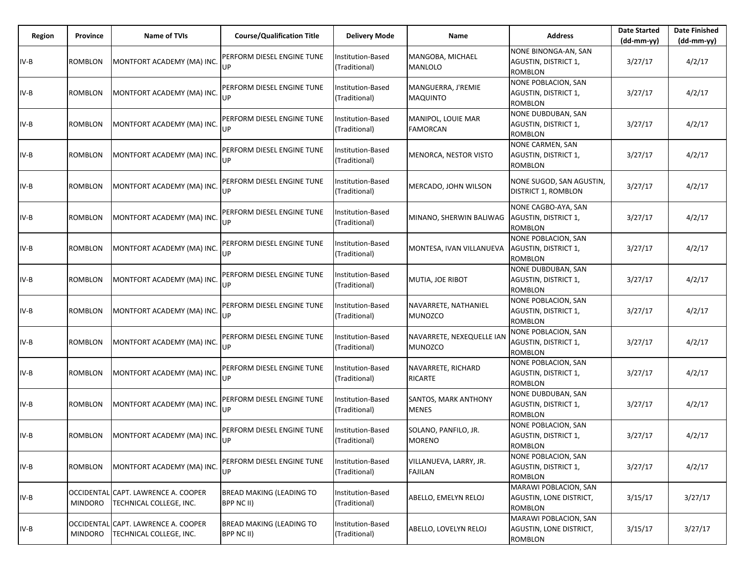| Region | Province       | <b>Name of TVIs</b>                                            | <b>Course/Qualification Title</b>             | <b>Delivery Mode</b>               | Name                                        | <b>Address</b>                                                       | <b>Date Started</b><br>$(dd-mm-yy)$ | <b>Date Finished</b><br>(dd-mm-yy) |
|--------|----------------|----------------------------------------------------------------|-----------------------------------------------|------------------------------------|---------------------------------------------|----------------------------------------------------------------------|-------------------------------------|------------------------------------|
| $IV-B$ | <b>ROMBLON</b> | MONTFORT ACADEMY (MA) INC.                                     | PERFORM DIESEL ENGINE TUNE<br><b>UP</b>       | Institution-Based<br>(Traditional) | MANGOBA, MICHAEL<br><b>MANLOLO</b>          | NONE BINONGA-AN, SAN<br>AGUSTIN, DISTRICT 1,<br><b>ROMBLON</b>       | 3/27/17                             | 4/2/17                             |
| IV-B   | ROMBLON        | MONTFORT ACADEMY (MA) INC.                                     | PERFORM DIESEL ENGINE TUNE<br>UP              | Institution-Based<br>(Traditional) | MANGUERRA, J'REMIE<br><b>MAQUINTO</b>       | NONE POBLACION, SAN<br>AGUSTIN, DISTRICT 1,<br><b>ROMBLON</b>        | 3/27/17                             | 4/2/17                             |
| IV-B   | ROMBLON        | MONTFORT ACADEMY (MA) INC.                                     | PERFORM DIESEL ENGINE TUNE<br>UP              | Institution-Based<br>(Traditional) | MANIPOL, LOUIE MAR<br><b>FAMORCAN</b>       | NONE DUBDUBAN, SAN<br>AGUSTIN, DISTRICT 1,<br><b>ROMBLON</b>         | 3/27/17                             | 4/2/17                             |
| IV-B   | ROMBLON        | MONTFORT ACADEMY (MA) INC.                                     | PERFORM DIESEL ENGINE TUNE<br>UP              | Institution-Based<br>(Traditional) | MENORCA, NESTOR VISTO                       | NONE CARMEN, SAN<br>AGUSTIN, DISTRICT 1,<br><b>ROMBLON</b>           | 3/27/17                             | 4/2/17                             |
| IV-B   | <b>ROMBLON</b> | MONTFORT ACADEMY (MA) INC.                                     | PERFORM DIESEL ENGINE TUNE<br>UP              | Institution-Based<br>(Traditional) | MERCADO, JOHN WILSON                        | NONE SUGOD, SAN AGUSTIN,<br><b>DISTRICT 1, ROMBLON</b>               | 3/27/17                             | 4/2/17                             |
| IV-B   | ROMBLON        | MONTFORT ACADEMY (MA) INC.                                     | PERFORM DIESEL ENGINE TUNE<br>UP              | Institution-Based<br>(Traditional) | MINANO, SHERWIN BALIWAG                     | NONE CAGBO-AYA, SAN<br>AGUSTIN, DISTRICT 1,<br><b>ROMBLON</b>        | 3/27/17                             | 4/2/17                             |
| IV-B   | <b>ROMBLON</b> | MONTFORT ACADEMY (MA) INC.                                     | PERFORM DIESEL ENGINE TUNE<br>UP              | Institution-Based<br>(Traditional) | MONTESA, IVAN VILLANUEVA                    | NONE POBLACION, SAN<br>AGUSTIN, DISTRICT 1,<br><b>ROMBLON</b>        | 3/27/17                             | 4/2/17                             |
| IV-B   | <b>ROMBLON</b> | MONTFORT ACADEMY (MA) INC.                                     | PERFORM DIESEL ENGINE TUNE<br>UP              | Institution-Based<br>(Traditional) | MUTIA, JOE RIBOT                            | NONE DUBDUBAN, SAN<br>AGUSTIN, DISTRICT 1,<br><b>ROMBLON</b>         | 3/27/17                             | 4/2/17                             |
| IV-B   | <b>ROMBLON</b> | MONTFORT ACADEMY (MA) INC.                                     | PERFORM DIESEL ENGINE TUNE<br>UP              | Institution-Based<br>(Traditional) | NAVARRETE, NATHANIEL<br>MUNOZCO             | NONE POBLACION, SAN<br>AGUSTIN, DISTRICT 1,<br><b>ROMBLON</b>        | 3/27/17                             | 4/2/17                             |
| $IV-B$ | <b>ROMBLON</b> | MONTFORT ACADEMY (MA) INC.                                     | PERFORM DIESEL ENGINE TUNE<br>UP              | Institution-Based<br>(Traditional) | NAVARRETE, NEXEQUELLE IAN<br>MUNOZCO        | <b>NONE POBLACION, SAN</b><br>AGUSTIN, DISTRICT 1,<br><b>ROMBLON</b> | 3/27/17                             | 4/2/17                             |
| $IV-B$ | <b>ROMBLON</b> | MONTFORT ACADEMY (MA) INC.                                     | PERFORM DIESEL ENGINE TUNE<br>UP              | Institution-Based<br>(Traditional) | NAVARRETE, RICHARD<br><b>RICARTE</b>        | NONE POBLACION, SAN<br>AGUSTIN, DISTRICT 1,<br><b>ROMBLON</b>        | 3/27/17                             | 4/2/17                             |
| $IV-B$ | <b>ROMBLON</b> | MONTFORT ACADEMY (MA) INC.                                     | PERFORM DIESEL ENGINE TUNE<br>UP              | Institution-Based<br>(Traditional) | <b>SANTOS, MARK ANTHONY</b><br><b>MENES</b> | NONE DUBDUBAN, SAN<br>AGUSTIN, DISTRICT 1,<br><b>ROMBLON</b>         | 3/27/17                             | 4/2/17                             |
| IV-B   | ROMBLON        | MONTFORT ACADEMY (MA) INC.                                     | PERFORM DIESEL ENGINE TUNE<br>UP              | nstitution-Based<br>(Traditional)  | SOLANO, PANFILO, JR.<br><b>MORENO</b>       | <b>NONE POBLACION, SAN</b><br>AGUSTIN, DISTRICT 1,<br>ROMBLON        | 3/27/17                             | 4/2/17                             |
| IV-B   | ROMBLON        | MONTFORT ACADEMY (MA) INC.                                     | PERFORM DIESEL ENGINE TUNE<br>UP              | Institution-Based<br>(Traditional) | VILLANUEVA, LARRY, JR.<br><b>FAJILAN</b>    | <b>NONE POBLACION, SAN</b><br>AGUSTIN, DISTRICT 1,<br><b>ROMBLON</b> | 3/27/17                             | 4/2/17                             |
| IV-B   | <b>MINDORO</b> | OCCIDENTAL CAPT. LAWRENCE A. COOPER<br>TECHNICAL COLLEGE, INC. | <b>BREAD MAKING (LEADING TO</b><br>BPP NC II) | Institution-Based<br>(Traditional) | ABELLO, EMELYN RELOJ                        | MARAWI POBLACION, SAN<br>AGUSTIN, LONE DISTRICT,<br><b>ROMBLON</b>   | 3/15/17                             | 3/27/17                            |
| $IV-B$ | <b>MINDORO</b> | OCCIDENTAL CAPT. LAWRENCE A. COOPER<br>TECHNICAL COLLEGE, INC. | BREAD MAKING (LEADING TO<br>BPP NC II)        | Institution-Based<br>(Traditional) | ABELLO, LOVELYN RELOJ                       | MARAWI POBLACION, SAN<br>AGUSTIN, LONE DISTRICT,<br>ROMBLON          | 3/15/17                             | 3/27/17                            |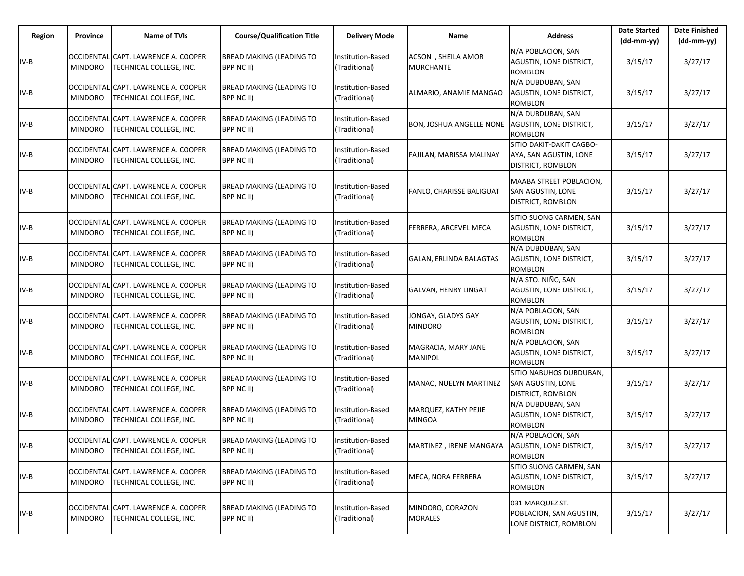| Region | Province       | Name of TVIs                                                   | <b>Course/Qualification Title</b>             | <b>Delivery Mode</b>               | Name                                   | <b>Address</b>                                                                  | <b>Date Started</b><br>$(dd-mm-yy)$ | <b>Date Finished</b><br>(dd-mm-yy) |
|--------|----------------|----------------------------------------------------------------|-----------------------------------------------|------------------------------------|----------------------------------------|---------------------------------------------------------------------------------|-------------------------------------|------------------------------------|
| $IV-B$ | <b>MINDORO</b> | OCCIDENTAL CAPT. LAWRENCE A. COOPER<br>TECHNICAL COLLEGE, INC. | <b>BREAD MAKING (LEADING TO</b><br>BPP NC II) | Institution-Based<br>(Traditional) | ACSON, SHEILA AMOR<br><b>MURCHANTE</b> | N/A POBLACION, SAN<br>AGUSTIN, LONE DISTRICT,<br><b>ROMBLON</b>                 | 3/15/17                             | 3/27/17                            |
| IV-B   | <b>MINDORO</b> | OCCIDENTAL CAPT. LAWRENCE A. COOPER<br>TECHNICAL COLLEGE, INC. | <b>BREAD MAKING (LEADING TO</b><br>BPP NC II) | Institution-Based<br>(Traditional) | ALMARIO, ANAMIE MANGAO                 | N/A DUBDUBAN, SAN<br>AGUSTIN, LONE DISTRICT,<br>ROMBLON                         | 3/15/17                             | 3/27/17                            |
| $IV-B$ | <b>MINDORO</b> | OCCIDENTAL CAPT. LAWRENCE A. COOPER<br>TECHNICAL COLLEGE, INC. | <b>BREAD MAKING (LEADING TO</b><br>BPP NC II) | Institution-Based<br>(Traditional) | <b>BON, JOSHUA ANGELLE NONE</b>        | N/A DUBDUBAN, SAN<br><b>AGUSTIN, LONE DISTRICT,</b><br><b>ROMBLON</b>           | 3/15/17                             | 3/27/17                            |
| $IV-B$ | <b>MINDORO</b> | OCCIDENTAL CAPT. LAWRENCE A. COOPER<br>TECHNICAL COLLEGE, INC. | <b>BREAD MAKING (LEADING TO</b><br>BPP NC II) | Institution-Based<br>(Traditional) | FAJILAN, MARISSA MALINAY               | SITIO DAKIT-DAKIT CAGBO-<br>AYA, SAN AGUSTIN, LONE<br>DISTRICT, ROMBLON         | 3/15/17                             | 3/27/17                            |
| $IV-B$ | <b>MINDORO</b> | OCCIDENTAL CAPT. LAWRENCE A. COOPER<br>TECHNICAL COLLEGE, INC. | <b>BREAD MAKING (LEADING TO</b><br>BPP NC II) | Institution-Based<br>(Traditional) | FANLO, CHARISSE BALIGUAT               | MAABA STREET POBLACION,<br>SAN AGUSTIN, LONE<br><b>DISTRICT, ROMBLON</b>        | 3/15/17                             | 3/27/17                            |
| $IV-B$ | <b>MINDORO</b> | OCCIDENTAL CAPT. LAWRENCE A. COOPER<br>TECHNICAL COLLEGE, INC. | <b>BREAD MAKING (LEADING TO</b><br>BPP NC II) | Institution-Based<br>(Traditional) | FERRERA, ARCEVEL MECA                  | SITIO SUONG CARMEN, SAN<br>AGUSTIN, LONE DISTRICT,<br>ROMBLON                   | 3/15/17                             | 3/27/17                            |
| $IV-B$ | <b>MINDORO</b> | OCCIDENTAL CAPT. LAWRENCE A. COOPER<br>TECHNICAL COLLEGE, INC. | <b>BREAD MAKING (LEADING TO</b><br>BPP NC II) | Institution-Based<br>(Traditional) | GALAN, ERLINDA BALAGTAS                | N/A DUBDUBAN, SAN<br>AGUSTIN, LONE DISTRICT,<br><b>ROMBLON</b>                  | 3/15/17                             | 3/27/17                            |
| $IV-B$ | <b>MINDORO</b> | OCCIDENTAL CAPT. LAWRENCE A. COOPER<br>TECHNICAL COLLEGE, INC. | <b>BREAD MAKING (LEADING TO</b><br>BPP NC II) | Institution-Based<br>(Traditional) | GALVAN, HENRY LINGAT                   | N/A STO. NIÑO, SAN<br><b>AGUSTIN, LONE DISTRICT,</b><br><b>ROMBLON</b>          | 3/15/17                             | 3/27/17                            |
| $IV-B$ | <b>MINDORO</b> | OCCIDENTAL CAPT. LAWRENCE A. COOPER<br>TECHNICAL COLLEGE, INC. | <b>BREAD MAKING (LEADING TO</b><br>BPP NC II) | Institution-Based<br>(Traditional) | JONGAY, GLADYS GAY<br><b>MINDORO</b>   | N/A POBLACION, SAN<br>AGUSTIN, LONE DISTRICT,<br><b>ROMBLON</b>                 | 3/15/17                             | 3/27/17                            |
| IV-B   | <b>MINDORO</b> | OCCIDENTAL CAPT. LAWRENCE A. COOPER<br>TECHNICAL COLLEGE, INC. | <b>BREAD MAKING (LEADING TO</b><br>BPP NC II) | Institution-Based<br>(Traditional) | MAGRACIA, MARY JANE<br><b>MANIPOL</b>  | N/A POBLACION, SAN<br>AGUSTIN, LONE DISTRICT,<br><b>ROMBLON</b>                 | 3/15/17                             | 3/27/17                            |
| $IV-B$ | <b>MINDORO</b> | OCCIDENTAL CAPT. LAWRENCE A. COOPER<br>TECHNICAL COLLEGE, INC. | <b>BREAD MAKING (LEADING TO</b><br>BPP NC II) | Institution-Based<br>(Traditional) | MANAO, NUELYN MARTINEZ                 | SITIO NABUHOS DUBDUBAN,<br><b>SAN AGUSTIN, LONE</b><br><b>DISTRICT, ROMBLON</b> | 3/15/17                             | 3/27/17                            |
| $IV-B$ | <b>MINDORO</b> | OCCIDENTAL CAPT. LAWRENCE A. COOPER<br>TECHNICAL COLLEGE, INC. | <b>BREAD MAKING (LEADING TO</b><br>BPP NC II) | Institution-Based<br>(Traditional) | MARQUEZ, KATHY PEJIE<br><b>MINGOA</b>  | N/A DUBDUBAN, SAN<br>AGUSTIN, LONE DISTRICT,<br>ROMBLON                         | 3/15/17                             | 3/27/17                            |
| $IV-B$ | <b>MINDORO</b> | OCCIDENTAL CAPT. LAWRENCE A. COOPER<br>TECHNICAL COLLEGE, INC. | <b>BREAD MAKING (LEADING TO</b><br>BPP NC II) | Institution-Based<br>(Traditional) | MARTINEZ, IRENE MANGAYA                | N/A POBLACION, SAN<br>AGUSTIN, LONE DISTRICT,<br><b>ROMBLON</b>                 | 3/15/17                             | 3/27/17                            |
| $IV-B$ | <b>MINDORO</b> | OCCIDENTAL CAPT. LAWRENCE A. COOPER<br>TECHNICAL COLLEGE, INC. | <b>BREAD MAKING (LEADING TO</b><br>BPP NC II) | Institution-Based<br>(Traditional) | MECA, NORA FERRERA                     | SITIO SUONG CARMEN, SAN<br>AGUSTIN, LONE DISTRICT,<br>ROMBLON                   | 3/15/17                             | 3/27/17                            |
| $IV-B$ | <b>MINDORO</b> | OCCIDENTAL CAPT. LAWRENCE A. COOPER<br>TECHNICAL COLLEGE, INC. | <b>BREAD MAKING (LEADING TO</b><br>BPP NC II) | Institution-Based<br>(Traditional) | MINDORO, CORAZON<br><b>MORALES</b>     | 031 MARQUEZ ST.<br>POBLACION, SAN AGUSTIN,<br>LONE DISTRICT, ROMBLON            | 3/15/17                             | 3/27/17                            |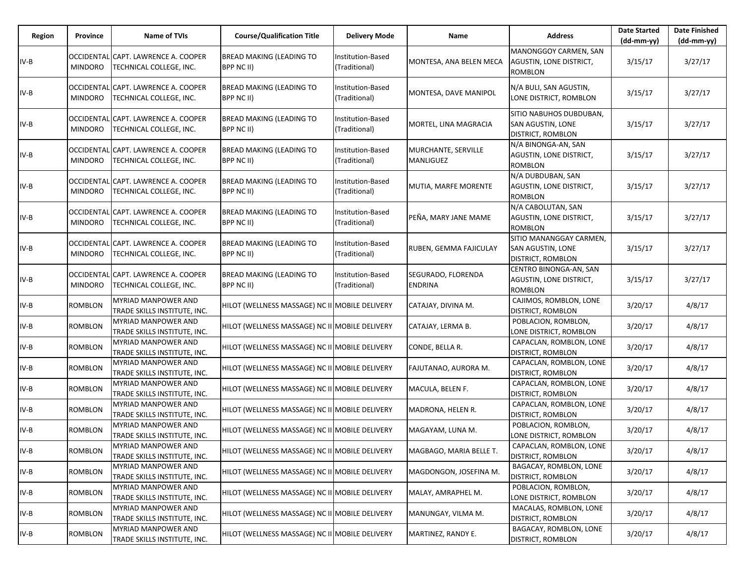| Region | Province       | Name of TVIs                                                   | <b>Course/Qualification Title</b>              | <b>Delivery Mode</b>               | Name                                    | <b>Address</b>                                                                  | <b>Date Started</b><br>$(dd-mm-yy)$ | <b>Date Finished</b><br>(dd-mm-yy) |
|--------|----------------|----------------------------------------------------------------|------------------------------------------------|------------------------------------|-----------------------------------------|---------------------------------------------------------------------------------|-------------------------------------|------------------------------------|
| $IV-B$ | <b>MINDORO</b> | OCCIDENTAL CAPT. LAWRENCE A. COOPER<br>TECHNICAL COLLEGE, INC. | <b>BREAD MAKING (LEADING TO</b><br>BPP NC II)  | Institution-Based<br>(Traditional) | MONTESA, ANA BELEN MECA                 | MANONGGOY CARMEN, SAN<br>AGUSTIN, LONE DISTRICT,<br><b>ROMBLON</b>              | 3/15/17                             | 3/27/17                            |
| $IV-B$ | <b>MINDORO</b> | OCCIDENTAL CAPT. LAWRENCE A. COOPER<br>TECHNICAL COLLEGE, INC. | BREAD MAKING (LEADING TO<br>BPP NC II)         | Institution-Based<br>(Traditional) | MONTESA, DAVE MANIPOL                   | N/A BULI, SAN AGUSTIN,<br>LONE DISTRICT, ROMBLON                                | 3/15/17                             | 3/27/17                            |
| $IV-B$ | <b>MINDORO</b> | OCCIDENTAL CAPT. LAWRENCE A. COOPER<br>TECHNICAL COLLEGE, INC. | <b>BREAD MAKING (LEADING TO</b><br>BPP NC II)  | Institution-Based<br>(Traditional) | MORTEL, LINA MAGRACIA                   | SITIO NABUHOS DUBDUBAN,<br>SAN AGUSTIN, LONE<br><b>DISTRICT, ROMBLON</b>        | 3/15/17                             | 3/27/17                            |
| $IV-B$ | <b>MINDORO</b> | OCCIDENTAL CAPT. LAWRENCE A. COOPER<br>TECHNICAL COLLEGE, INC. | BREAD MAKING (LEADING TO<br>BPP NC II)         | Institution-Based<br>(Traditional) | MURCHANTE, SERVILLE<br><b>MANLIGUEZ</b> | N/A BINONGA-AN, SAN<br>AGUSTIN, LONE DISTRICT,<br><b>ROMBLON</b>                | 3/15/17                             | 3/27/17                            |
| $IV-B$ | <b>MINDORO</b> | OCCIDENTAL CAPT. LAWRENCE A. COOPER<br>TECHNICAL COLLEGE, INC. | <b>BREAD MAKING (LEADING TO</b><br>BPP NC II)  | Institution-Based<br>(Traditional) | MUTIA, MARFE MORENTE                    | N/A DUBDUBAN, SAN<br>AGUSTIN, LONE DISTRICT,<br><b>ROMBLON</b>                  | 3/15/17                             | 3/27/17                            |
| $IV-B$ | <b>MINDORO</b> | OCCIDENTAL CAPT. LAWRENCE A. COOPER<br>TECHNICAL COLLEGE, INC. | BREAD MAKING (LEADING TO<br>BPP NC II)         | Institution-Based<br>(Traditional) | PEÑA, MARY JANE MAME                    | N/A CABOLUTAN, SAN<br>AGUSTIN, LONE DISTRICT,<br><b>ROMBLON</b>                 | 3/15/17                             | 3/27/17                            |
| $IV-B$ | <b>MINDORO</b> | OCCIDENTAL CAPT. LAWRENCE A. COOPER<br>TECHNICAL COLLEGE, INC. | <b>BREAD MAKING (LEADING TO</b><br>BPP NC II)  | Institution-Based<br>(Traditional) | RUBEN, GEMMA FAJICULAY                  | SITIO MANANGGAY CARMEN,<br><b>SAN AGUSTIN, LONE</b><br><b>DISTRICT, ROMBLON</b> | 3/15/17                             | 3/27/17                            |
| $IV-B$ | <b>MINDORO</b> | OCCIDENTAL CAPT. LAWRENCE A. COOPER<br>TECHNICAL COLLEGE, INC. | BREAD MAKING (LEADING TO<br>BPP NC II)         | Institution-Based<br>(Traditional) | SEGURADO, FLORENDA<br><b>ENDRINA</b>    | CENTRO BINONGA-AN, SAN<br><b>AGUSTIN, LONE DISTRICT,</b><br><b>ROMBLON</b>      | 3/15/17                             | 3/27/17                            |
| $IV-B$ | <b>ROMBLON</b> | <b>MYRIAD MANPOWER AND</b><br>TRADE SKILLS INSTITUTE, INC.     | HILOT (WELLNESS MASSAGE) NC II MOBILE DELIVERY |                                    | CATAJAY, DIVINA M.                      | CAJIMOS, ROMBLON, LONE<br><b>DISTRICT, ROMBLON</b>                              | 3/20/17                             | 4/8/17                             |
| $IV-B$ | <b>ROMBLON</b> | <b>MYRIAD MANPOWER AND</b><br>TRADE SKILLS INSTITUTE, INC.     | HILOT (WELLNESS MASSAGE) NC II MOBILE DELIVERY |                                    | CATAJAY, LERMA B.                       | POBLACION, ROMBLON,<br>LONE DISTRICT, ROMBLON                                   | 3/20/17                             | 4/8/17                             |
| $IV-B$ | ROMBLON        | <b>MYRIAD MANPOWER AND</b><br>TRADE SKILLS INSTITUTE, INC.     | HILOT (WELLNESS MASSAGE) NC II MOBILE DELIVERY |                                    | CONDE, BELLA R.                         | CAPACLAN, ROMBLON, LONE<br><b>DISTRICT, ROMBLON</b>                             | 3/20/17                             | 4/8/17                             |
| $IV-B$ | ROMBLON        | <b>MYRIAD MANPOWER AND</b><br>TRADE SKILLS INSTITUTE, INC.     | HILOT (WELLNESS MASSAGE) NC II MOBILE DELIVERY |                                    | FAJUTANAO, AURORA M.                    | CAPACLAN, ROMBLON, LONE<br><b>DISTRICT, ROMBLON</b>                             | 3/20/17                             | 4/8/17                             |
| IV-B   | <b>ROMBLON</b> | <b>MYRIAD MANPOWER AND</b><br>TRADE SKILLS INSTITUTE, INC.     | HILOT (WELLNESS MASSAGE) NC II MOBILE DELIVERY |                                    | MACULA, BELEN F.                        | CAPACLAN, ROMBLON, LONE<br><b>DISTRICT, ROMBLON</b>                             | 3/20/17                             | 4/8/17                             |
| $IV-B$ | ROMBLON        | <b>MYRIAD MANPOWER AND</b><br>TRADE SKILLS INSTITUTE, INC.     | HILOT (WELLNESS MASSAGE) NC II MOBILE DELIVERY |                                    | MADRONA, HELEN R.                       | CAPACLAN, ROMBLON, LONE<br><b>DISTRICT, ROMBLON</b>                             | 3/20/17                             | 4/8/17                             |
| $IV-B$ | ROMBLON        | <b>MYRIAD MANPOWER AND</b><br>TRADE SKILLS INSTITUTE, INC.     | HILOT (WELLNESS MASSAGE) NC II MOBILE DELIVERY |                                    | MAGAYAM, LUNA M.                        | POBLACION, ROMBLON,<br>LONE DISTRICT, ROMBLON                                   | 3/20/17                             | 4/8/17                             |
| IV-B   | <b>ROMBLON</b> | MYRIAD MANPOWER AND<br>TRADE SKILLS INSTITUTE, INC.            | HILOT (WELLNESS MASSAGE) NC II MOBILE DELIVERY |                                    | MAGBAGO, MARIA BELLE T.                 | CAPACLAN, ROMBLON, LONE<br><b>DISTRICT, ROMBLON</b>                             | 3/20/17                             | 4/8/17                             |
| $IV-B$ | ROMBLON        | <b>MYRIAD MANPOWER AND</b><br>TRADE SKILLS INSTITUTE, INC.     | HILOT (WELLNESS MASSAGE) NC II MOBILE DELIVERY |                                    | MAGDONGON, JOSEFINA M.                  | BAGACAY, ROMBLON, LONE<br><b>DISTRICT, ROMBLON</b>                              | 3/20/17                             | 4/8/17                             |
| $IV-B$ | ROMBLON        | MYRIAD MANPOWER AND<br>TRADE SKILLS INSTITUTE, INC.            | HILOT (WELLNESS MASSAGE) NC II MOBILE DELIVERY |                                    | MALAY, AMRAPHEL M.                      | POBLACION, ROMBLON,<br>LONE DISTRICT, ROMBLON                                   | 3/20/17                             | 4/8/17                             |
| $IV-B$ | ROMBLON        | <b>MYRIAD MANPOWER AND</b><br>TRADE SKILLS INSTITUTE, INC.     | HILOT (WELLNESS MASSAGE) NC II MOBILE DELIVERY |                                    | MANUNGAY, VILMA M.                      | MACALAS, ROMBLON, LONE<br><b>DISTRICT, ROMBLON</b>                              | 3/20/17                             | 4/8/17                             |
| $IV-B$ | <b>ROMBLON</b> | <b>MYRIAD MANPOWER AND</b><br>TRADE SKILLS INSTITUTE, INC.     | HILOT (WELLNESS MASSAGE) NC II MOBILE DELIVERY |                                    | MARTINEZ, RANDY E.                      | BAGACAY, ROMBLON, LONE<br><b>DISTRICT, ROMBLON</b>                              | 3/20/17                             | 4/8/17                             |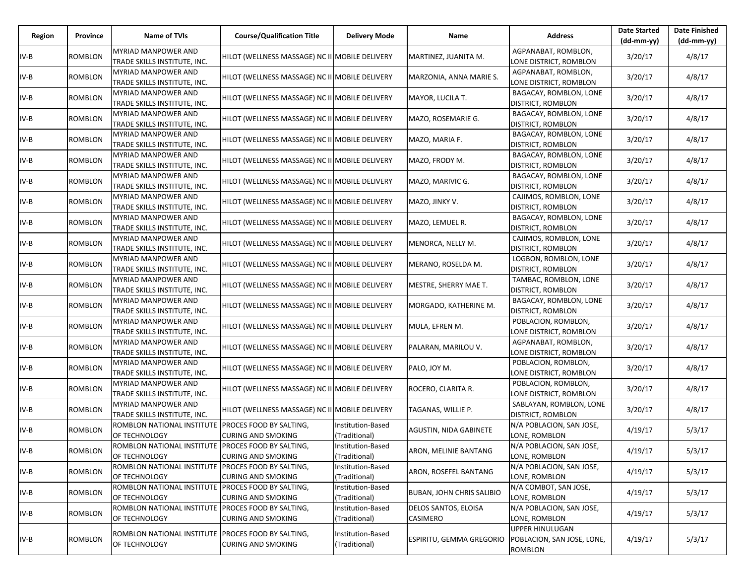| Region | Province       | Name of TVIs                                                        | <b>Course/Qualification Title</b>              | <b>Delivery Mode</b>               | Name                                    | <b>Address</b>                                           | <b>Date Started</b><br>$(dd-mm-yy)$ | <b>Date Finished</b><br>(dd-mm-yy) |
|--------|----------------|---------------------------------------------------------------------|------------------------------------------------|------------------------------------|-----------------------------------------|----------------------------------------------------------|-------------------------------------|------------------------------------|
| IV-B   | ROMBLON        | <b>MYRIAD MANPOWER AND</b><br>TRADE SKILLS INSTITUTE, INC.          | HILOT (WELLNESS MASSAGE) NC II MOBILE DELIVERY |                                    | MARTINEZ, JUANITA M.                    | AGPANABAT, ROMBLON,<br>LONE DISTRICT, ROMBLON            | 3/20/17                             | 4/8/17                             |
| IV-B   | <b>ROMBLON</b> | MYRIAD MANPOWER AND<br>TRADE SKILLS INSTITUTE, INC.                 | HILOT (WELLNESS MASSAGE) NC II MOBILE DELIVERY |                                    | MARZONIA, ANNA MARIE S.                 | AGPANABAT, ROMBLON,<br>LONE DISTRICT, ROMBLON            | 3/20/17                             | 4/8/17                             |
| IV-B   | <b>ROMBLON</b> | MYRIAD MANPOWER AND<br>TRADE SKILLS INSTITUTE, INC.                 | HILOT (WELLNESS MASSAGE) NC II MOBILE DELIVERY |                                    | MAYOR, LUCILA T.                        | BAGACAY, ROMBLON, LONE<br>DISTRICT, ROMBLON              | 3/20/17                             | 4/8/17                             |
| IV-B   | <b>ROMBLON</b> | MYRIAD MANPOWER AND<br>TRADE SKILLS INSTITUTE, INC.                 | HILOT (WELLNESS MASSAGE) NC II MOBILE DELIVERY |                                    | MAZO, ROSEMARIE G.                      | BAGACAY, ROMBLON, LONE<br>DISTRICT, ROMBLON              | 3/20/17                             | 4/8/17                             |
| IV-B   | <b>ROMBLON</b> | MYRIAD MANPOWER AND<br>TRADE SKILLS INSTITUTE, INC.                 | HILOT (WELLNESS MASSAGE) NC II MOBILE DELIVERY |                                    | MAZO, MARIA F.                          | BAGACAY, ROMBLON, LONE<br>DISTRICT, ROMBLON              | 3/20/17                             | 4/8/17                             |
| IV-B   | <b>ROMBLON</b> | MYRIAD MANPOWER AND<br>TRADE SKILLS INSTITUTE, INC.                 | HILOT (WELLNESS MASSAGE) NC II MOBILE DELIVERY |                                    | MAZO, FRODY M.                          | BAGACAY, ROMBLON, LONE<br>DISTRICT, ROMBLON              | 3/20/17                             | 4/8/17                             |
| IV-B   | <b>ROMBLON</b> | MYRIAD MANPOWER AND<br>TRADE SKILLS INSTITUTE, INC.                 | HILOT (WELLNESS MASSAGE) NC II MOBILE DELIVERY |                                    | MAZO, MARIVIC G.                        | BAGACAY, ROMBLON, LONE<br>DISTRICT, ROMBLON              | 3/20/17                             | 4/8/17                             |
| IV-B   | ROMBLON        | MYRIAD MANPOWER AND<br>TRADE SKILLS INSTITUTE, INC.                 | HILOT (WELLNESS MASSAGE) NC II MOBILE DELIVERY |                                    | MAZO, JINKY V.                          | CAJIMOS, ROMBLON, LONE<br>DISTRICT, ROMBLON              | 3/20/17                             | 4/8/17                             |
| IV-B   | <b>ROMBLON</b> | MYRIAD MANPOWER AND<br>TRADE SKILLS INSTITUTE, INC.                 | HILOT (WELLNESS MASSAGE) NC II MOBILE DELIVERY |                                    | MAZO, LEMUEL R.                         | BAGACAY, ROMBLON, LONE<br>DISTRICT, ROMBLON              | 3/20/17                             | 4/8/17                             |
| IV-B   | <b>ROMBLON</b> | MYRIAD MANPOWER AND<br>TRADE SKILLS INSTITUTE, INC.                 | HILOT (WELLNESS MASSAGE) NC II MOBILE DELIVERY |                                    | MENORCA, NELLY M.                       | CAJIMOS, ROMBLON, LONE<br><b>DISTRICT, ROMBLON</b>       | 3/20/17                             | 4/8/17                             |
| IV-B   | <b>ROMBLON</b> | MYRIAD MANPOWER AND<br>TRADE SKILLS INSTITUTE, INC.                 | HILOT (WELLNESS MASSAGE) NC II MOBILE DELIVERY |                                    | MERANO, ROSELDA M.                      | LOGBON, ROMBLON, LONE<br>DISTRICT, ROMBLON               | 3/20/17                             | 4/8/17                             |
| IV-B   | <b>ROMBLON</b> | <b>MYRIAD MANPOWER AND</b><br>TRADE SKILLS INSTITUTE, INC.          | HILOT (WELLNESS MASSAGE) NC II MOBILE DELIVERY |                                    | MESTRE, SHERRY MAE T.                   | TAMBAC, ROMBLON, LONE<br>DISTRICT, ROMBLON               | 3/20/17                             | 4/8/17                             |
| IV-B   | <b>ROMBLON</b> | MYRIAD MANPOWER AND<br>TRADE SKILLS INSTITUTE, INC.                 | HILOT (WELLNESS MASSAGE) NC II MOBILE DELIVERY |                                    | MORGADO, KATHERINE M.                   | BAGACAY, ROMBLON, LONE<br>DISTRICT, ROMBLON              | 3/20/17                             | 4/8/17                             |
| IV-B   | ROMBLON        | MYRIAD MANPOWER AND<br>TRADE SKILLS INSTITUTE, INC.                 | HILOT (WELLNESS MASSAGE) NC II MOBILE DELIVERY |                                    | MULA, EFREN M.                          | POBLACION, ROMBLON,<br>LONE DISTRICT, ROMBLON            | 3/20/17                             | 4/8/17                             |
| IV-B   | <b>ROMBLON</b> | <b>MYRIAD MANPOWER AND</b><br>TRADE SKILLS INSTITUTE, INC.          | HILOT (WELLNESS MASSAGE) NC II MOBILE DELIVERY |                                    | PALARAN, MARILOU V.                     | AGPANABAT, ROMBLON,<br>LONE DISTRICT, ROMBLON            | 3/20/17                             | 4/8/17                             |
| IV-B   | <b>ROMBLON</b> | MYRIAD MANPOWER AND<br>TRADE SKILLS INSTITUTE, INC.                 | HILOT (WELLNESS MASSAGE) NC II MOBILE DELIVERY |                                    | PALO, JOY M.                            | POBLACION, ROMBLON,<br>LONE DISTRICT, ROMBLON            | 3/20/17                             | 4/8/17                             |
| IV-B   | <b>ROMBLON</b> | MYRIAD MANPOWER AND<br>TRADE SKILLS INSTITUTE, INC.                 | HILOT (WELLNESS MASSAGE) NC II MOBILE DELIVERY |                                    | ROCERO, CLARITA R.                      | POBLACION, ROMBLON,<br>LONE DISTRICT, ROMBLON            | 3/20/17                             | 4/8/17                             |
| IV-B   | ROMBLON        | MYRIAD MANPOWER AND<br>TRADE SKILLS INSTITUTE, INC.                 | HILOT (WELLNESS MASSAGE) NC II MOBILE DELIVERY |                                    | TAGANAS, WILLIE P.                      | SABLAYAN, ROMBLON, LONE<br>DISTRICT, ROMBLON             | 3/20/17                             | 4/8/17                             |
| IV-B   | <b>ROMBLON</b> | ROMBLON NATIONAL INSTITUTE PROCES FOOD BY SALTING,<br>OF TECHNOLOGY | <b>CURING AND SMOKING</b>                      | Institution-Based<br>(Traditional) | <b>AGUSTIN, NIDA GABINETE</b>           | N/A POBLACION, SAN JOSE,<br>LONE, ROMBLON                | 4/19/17                             | 5/3/17                             |
| $IV-B$ | <b>ROMBLON</b> | ROMBLON NATIONAL INSTITUTE PROCES FOOD BY SALTING,<br>OF TECHNOLOGY | <b>CURING AND SMOKING</b>                      | Institution-Based<br>(Traditional) | ARON, MELINIE BANTANG                   | N/A POBLACION, SAN JOSE,<br>LONE, ROMBLON                | 4/19/17                             | 5/3/17                             |
| IV-B   | <b>ROMBLON</b> | ROMBLON NATIONAL INSTITUTE PROCES FOOD BY SALTING,<br>OF TECHNOLOGY | CURING AND SMOKING                             | Institution-Based<br>(Traditional) | ARON, ROSEFEL BANTANG                   | N/A POBLACION, SAN JOSE,<br>LONE, ROMBLON                | 4/19/17                             | 5/3/17                             |
| IV-B   | <b>ROMBLON</b> | ROMBLON NATIONAL INSTITUTE PROCES FOOD BY SALTING,<br>OF TECHNOLOGY | <b>CURING AND SMOKING</b>                      | Institution-Based<br>(Traditional) | <b>BUBAN, JOHN CHRIS SALIBIO</b>        | N/A COMBOT, SAN JOSE,<br>LONE, ROMBLON                   | 4/19/17                             | 5/3/17                             |
| IV-B   | <b>ROMBLON</b> | ROMBLON NATIONAL INSTITUTE PROCES FOOD BY SALTING,<br>OF TECHNOLOGY | <b>CURING AND SMOKING</b>                      | Institution-Based<br>(Traditional) | DELOS SANTOS, ELOISA<br><b>CASIMERO</b> | N/A POBLACION, SAN JOSE,<br>LONE, ROMBLON                | 4/19/17                             | 5/3/17                             |
| IV-B   | <b>ROMBLON</b> | ROMBLON NATIONAL INSTITUTE PROCES FOOD BY SALTING,<br>OF TECHNOLOGY | <b>CURING AND SMOKING</b>                      | Institution-Based<br>(Traditional) | ESPIRITU, GEMMA GREGORIO                | UPPER HINULUGAN<br>POBLACION, SAN JOSE, LONE,<br>ROMBLON | 4/19/17                             | 5/3/17                             |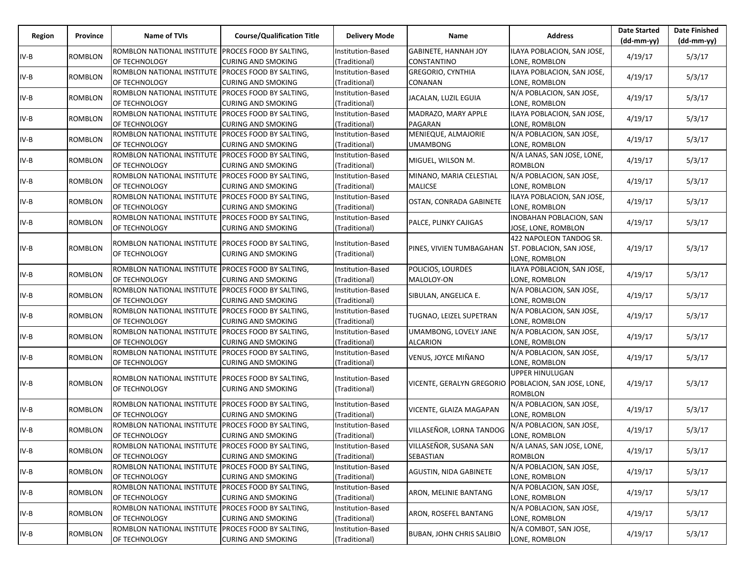| Region | Province       | Name of TVIs                                                        | <b>Course/Qualification Title</b> | <b>Delivery Mode</b> | Name                                                   | <b>Address</b>                 | <b>Date Started</b><br>$(dd-mm-yy)$ | <b>Date Finished</b><br>$(dd-mm-yy)$ |
|--------|----------------|---------------------------------------------------------------------|-----------------------------------|----------------------|--------------------------------------------------------|--------------------------------|-------------------------------------|--------------------------------------|
|        |                | ROMBLON NATIONAL INSTITUTE PROCES FOOD BY SALTING.                  |                                   | Institution-Based    | GABINETE, HANNAH JOY                                   | ILAYA POBLACION, SAN JOSE,     |                                     |                                      |
| $IV-B$ | ROMBLON        | OF TECHNOLOGY                                                       | CURING AND SMOKING                | (Traditional)        | CONSTANTINO                                            | LONE, ROMBLON                  | 4/19/17                             | 5/3/17                               |
| $IV-B$ | ROMBLON        | ROMBLON NATIONAL INSTITUTE                                          | PROCES FOOD BY SALTING,           | Institution-Based    | <b>GREGORIO, CYNTHIA</b>                               | ILAYA POBLACION, SAN JOSE,     | 4/19/17                             | 5/3/17                               |
|        |                | OF TECHNOLOGY                                                       | CURING AND SMOKING                | Traditional)         | CONANAN                                                | LONE, ROMBLON                  |                                     |                                      |
| $IV-B$ | ROMBLON        | ROMBLON NATIONAL INSTITUTE                                          | PROCES FOOD BY SALTING,           | Institution-Based    | JACALAN, LUZIL EGUIA                                   | N/A POBLACION, SAN JOSE,       | 4/19/17                             | 5/3/17                               |
|        |                | OF TECHNOLOGY                                                       | CURING AND SMOKING                | (Traditional)        |                                                        | LONE, ROMBLON                  |                                     |                                      |
| $IV-B$ | <b>ROMBLON</b> | ROMBLON NATIONAL INSTITUTE PROCES FOOD BY SALTING,                  |                                   | Institution-Based    | MADRAZO, MARY APPLE                                    | ILAYA POBLACION, SAN JOSE,     | 4/19/17                             | 5/3/17                               |
|        |                | OF TECHNOLOGY                                                       | CURING AND SMOKING                | (Traditional)        | PAGARAN                                                | LONE, ROMBLON                  |                                     |                                      |
| $IV-B$ | <b>ROMBLON</b> | ROMBLON NATIONAL INSTITUTE                                          | PROCES FOOD BY SALTING,           | Institution-Based    | MENIEQUE, ALMAJORIE                                    | N/A POBLACION, SAN JOSE,       | 4/19/17                             | 5/3/17                               |
|        |                | OF TECHNOLOGY                                                       | CURING AND SMOKING                | (Traditional)        | <b>UMAMBONG</b>                                        | LONE, ROMBLON                  |                                     |                                      |
| IV-B   | ROMBLON        | ROMBLON NATIONAL INSTITUTE                                          | PROCES FOOD BY SALTING,           | Institution-Based    | MIGUEL, WILSON M.                                      | N/A LANAS, SAN JOSE, LONE,     | 4/19/17                             | 5/3/17                               |
|        |                | OF TECHNOLOGY                                                       | CURING AND SMOKING                | (Traditional)        |                                                        | <b>ROMBLON</b>                 |                                     |                                      |
| IV-B   | ROMBLON        | ROMBLON NATIONAL INSTITUTE PROCES FOOD BY SALTING,                  |                                   | Institution-Based    | MINANO, MARIA CELESTIAL                                | N/A POBLACION, SAN JOSE,       | 4/19/17                             | 5/3/17                               |
|        |                | OF TECHNOLOGY                                                       | CURING AND SMOKING                | (Traditional)        | <b>MALICSE</b>                                         | LONE, ROMBLON                  |                                     |                                      |
|        |                | ROMBLON NATIONAL INSTITUTE                                          | PROCES FOOD BY SALTING,           | Institution-Based    |                                                        | ILAYA POBLACION, SAN JOSE,     | 4/19/17                             | 5/3/17                               |
| $IV-B$ | ROMBLON        | OF TECHNOLOGY                                                       | CURING AND SMOKING                | (Traditional)        | OSTAN, CONRADA GABINETE                                | LONE, ROMBLON                  |                                     |                                      |
|        |                | ROMBLON NATIONAL INSTITUTE                                          | PROCES FOOD BY SALTING,           | Institution-Based    |                                                        | <b>INOBAHAN POBLACION, SAN</b> | 4/19/17                             | 5/3/17                               |
| $IV-B$ | ROMBLON        | OF TECHNOLOGY                                                       | CURING AND SMOKING                | (Traditional)        | PALCE, PLINKY CAJIGAS                                  | JOSE, LONE, ROMBLON            |                                     |                                      |
|        |                |                                                                     |                                   |                      |                                                        | 422 NAPOLEON TANDOG SR.        |                                     |                                      |
| $IV-B$ | ROMBLON        | ROMBLON NATIONAL INSTITUTE PROCES FOOD BY SALTING,<br>OF TECHNOLOGY | CURING AND SMOKING                | Institution-Based    | PINES, VIVIEN TUMBAGAHAN                               | ST. POBLACION, SAN JOSE,       | 4/19/17                             | 5/3/17                               |
|        |                |                                                                     |                                   | (Traditional)        |                                                        | LONE, ROMBLON                  |                                     |                                      |
| $IV-B$ | <b>ROMBLON</b> | ROMBLON NATIONAL INSTITUTE                                          | PROCES FOOD BY SALTING,           | Institution-Based    | POLICIOS, LOURDES                                      | ILAYA POBLACION, SAN JOSE,     |                                     |                                      |
|        |                | OF TECHNOLOGY                                                       | <b>CURING AND SMOKING</b>         | (Traditional)        | MALOLOY-ON                                             | LONE, ROMBLON                  | 4/19/17                             | 5/3/17                               |
| IV-B   | ROMBLON        | ROMBLON NATIONAL INSTITUTE PROCES FOOD BY SALTING,                  |                                   | Institution-Based    |                                                        | N/A POBLACION, SAN JOSE,       | 4/19/17                             |                                      |
|        |                | OF TECHNOLOGY                                                       | CURING AND SMOKING                | (Traditional)        | SIBULAN, ANGELICA E.                                   | LONE, ROMBLON                  |                                     | 5/3/17                               |
|        |                | ROMBLON NATIONAL INSTITUTE PROCES FOOD BY SALTING,                  |                                   | Institution-Based    |                                                        | N/A POBLACION, SAN JOSE,       | 4/19/17                             | 5/3/17                               |
| $IV-B$ | ROMBLON        | OF TECHNOLOGY                                                       | CURING AND SMOKING                | (Traditional)        | TUGNAO, LEIZEL SUPETRAN                                | LONE, ROMBLON                  |                                     |                                      |
|        |                | ROMBLON NATIONAL INSTITUTE                                          | PROCES FOOD BY SALTING,           | Institution-Based    | UMAMBONG, LOVELY JANE                                  | N/A POBLACION, SAN JOSE,       | 4/19/17                             | 5/3/17                               |
| $IV-B$ | ROMBLON        | OF TECHNOLOGY                                                       | CURING AND SMOKING                | Traditional)         | <b>ALCARION</b>                                        | LONE, ROMBLON                  |                                     |                                      |
| $IV-B$ | ROMBLON        | ROMBLON NATIONAL INSTITUTE                                          | PROCES FOOD BY SALTING,           | Institution-Based    | VENUS, JOYCE MIÑANO                                    | N/A POBLACION, SAN JOSE,       | 4/19/17                             | 5/3/17                               |
|        |                | OF TECHNOLOGY                                                       | CURING AND SMOKING                | (Traditional)        |                                                        | LONE, ROMBLON                  |                                     |                                      |
|        |                | ROMBLON NATIONAL INSTITUTE                                          | PROCES FOOD BY SALTING,           | Institution-Based    |                                                        | <b>UPPER HINULUGAN</b>         |                                     |                                      |
| $IV-B$ | ROMBLON        | OF TECHNOLOGY                                                       | CURING AND SMOKING                | (Traditional)        | VICENTE, GERALYN GREGORIO   POBLACION, SAN JOSE, LONE, |                                | 4/19/17                             | 5/3/17                               |
|        |                |                                                                     |                                   |                      |                                                        | <b>ROMBLON</b>                 |                                     |                                      |
| $IV-B$ | ROMBLON        | ROMBLON NATIONAL INSTITUTE                                          | PROCES FOOD BY SALTING,           | Institution-Based    | VICENTE, GLAIZA MAGAPAN                                | N/A POBLACION, SAN JOSE,       | 4/19/17                             | 5/3/17                               |
|        |                | OF TECHNOLOGY                                                       | CURING AND SMOKING                | (Traditional)        |                                                        | LONE, ROMBLON                  |                                     |                                      |
| $IV-B$ | ROMBLON        | ROMBLON NATIONAL INSTITUTE PROCES FOOD BY SALTING,                  |                                   | Institution-Based    | VILLASEÑOR, LORNA TANDOG                               | N/A POBLACION, SAN JOSE,       | 4/19/17                             | 5/3/17                               |
|        |                | OF TECHNOLOGY                                                       | CURING AND SMOKING                | (Traditional)        |                                                        | LONE, ROMBLON                  |                                     |                                      |
| IV-B   | <b>ROMBLON</b> | ROMBLON NATIONAL INSTITUTE PROCES FOOD BY SALTING,                  |                                   | Institution-Based    | VILLASEÑOR, SUSANA SAN                                 | N/A LANAS, SAN JOSE, LONE,     | 4/19/17                             | 5/3/17                               |
|        |                | OF TECHNOLOGY                                                       | <b>CURING AND SMOKING</b>         | (Traditional)        | SEBASTIAN                                              | <b>ROMBLON</b>                 |                                     |                                      |
| IV-B   | <b>ROMBLON</b> | ROMBLON NATIONAL INSTITUTE                                          | PROCES FOOD BY SALTING,           | Institution-Based    | AGUSTIN, NIDA GABINETE                                 | N/A POBLACION, SAN JOSE,       | 4/19/17                             | 5/3/17                               |
|        |                | OF TECHNOLOGY                                                       | CURING AND SMOKING                | Traditional)         |                                                        | LONE, ROMBLON                  |                                     |                                      |
| $IV-B$ | ROMBLON        | ROMBLON NATIONAL INSTITUTE PROCES FOOD BY SALTING,                  |                                   | Institution-Based    | ARON, MELINIE BANTANG                                  | N/A POBLACION, SAN JOSE,       | 4/19/17                             | 5/3/17                               |
|        |                | OF TECHNOLOGY                                                       | CURING AND SMOKING                | (Traditional)        |                                                        | LONE, ROMBLON                  |                                     |                                      |
| $IV-B$ | ROMBLON        | ROMBLON NATIONAL INSTITUTE PROCES FOOD BY SALTING,                  |                                   | Institution-Based    | ARON, ROSEFEL BANTANG                                  | N/A POBLACION, SAN JOSE,       | 4/19/17                             | 5/3/17                               |
|        |                | OF TECHNOLOGY                                                       | <b>CURING AND SMOKING</b>         | (Traditional)        |                                                        | LONE, ROMBLON                  |                                     |                                      |
| $IV-B$ | <b>ROMBLON</b> | ROMBLON NATIONAL INSTITUTE                                          | PROCES FOOD BY SALTING,           | Institution-Based    | <b>BUBAN, JOHN CHRIS SALIBIO</b>                       | N/A COMBOT, SAN JOSE,          | 4/19/17                             | 5/3/17                               |
|        |                | OF TECHNOLOGY                                                       | CURING AND SMOKING                | (Traditional)        |                                                        | LONE, ROMBLON                  |                                     |                                      |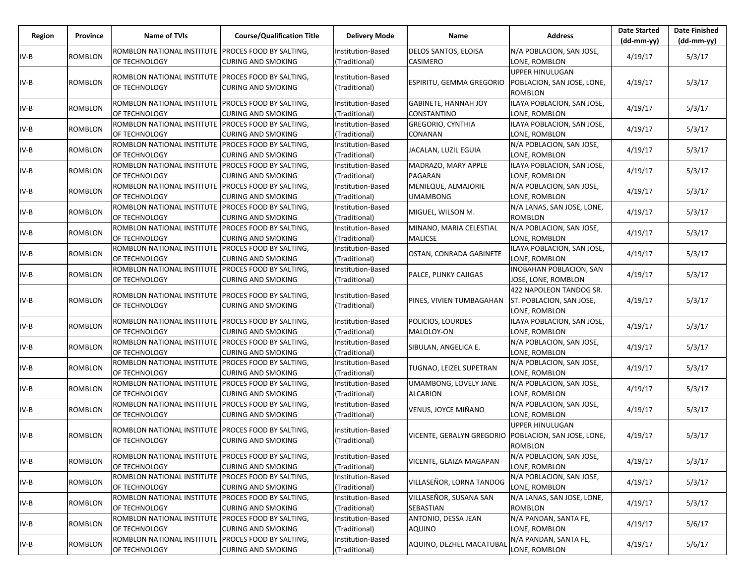| Region | Province       | Name of TVIs                                                        | <b>Course/Qualification Title</b>                    | <b>Delivery Mode</b>               | Name                                                   | <b>Address</b>                                                              | <b>Date Started</b><br>$(dd-mm-yy)$ | <b>Date Finished</b><br>$(dd-mm-yy)$ |
|--------|----------------|---------------------------------------------------------------------|------------------------------------------------------|------------------------------------|--------------------------------------------------------|-----------------------------------------------------------------------------|-------------------------------------|--------------------------------------|
| $IV-B$ | ROMBLON        | ROMBLON NATIONAL INSTITUTE PROCES FOOD BY SALTING,<br>OF TECHNOLOGY | CURING AND SMOKING                                   | Institution-Based<br>(Traditional) | <b>DELOS SANTOS, ELOISA</b><br>CASIMERO                | N/A POBLACION, SAN JOSE,<br>LONE, ROMBLON                                   | 4/19/17                             | 5/3/17                               |
| $IV-B$ | <b>ROMBLON</b> | ROMBLON NATIONAL INSTITUTE<br>OF TECHNOLOGY                         | PROCES FOOD BY SALTING,<br>CURING AND SMOKING        | Institution-Based<br>(Traditional) | ESPIRITU, GEMMA GREGORIO                               | <b>UPPER HINULUGAN</b><br>POBLACION, SAN JOSE, LONE,<br><b>ROMBLON</b>      | 4/19/17                             | 5/3/17                               |
| $IV-B$ | ROMBLON        | ROMBLON NATIONAL INSTITUTE PROCES FOOD BY SALTING,<br>OF TECHNOLOGY | CURING AND SMOKING                                   | Institution-Based<br>(Traditional) | GABINETE, HANNAH JOY<br>CONSTANTINO                    | ILAYA POBLACION, SAN JOSE,<br>LONE, ROMBLON                                 | 4/19/17                             | 5/3/17                               |
| $IV-B$ | <b>ROMBLON</b> | ROMBLON NATIONAL INSTITUTE<br>OF TECHNOLOGY                         | <b>PROCES FOOD BY SALTING,</b><br>CURING AND SMOKING | Institution-Based<br>(Traditional) | <b>GREGORIO, CYNTHIA</b><br>CONANAN                    | ILAYA POBLACION, SAN JOSE,<br>LONE, ROMBLON                                 | 4/19/17                             | 5/3/17                               |
| IV-B   | ROMBLON        | ROMBLON NATIONAL INSTITUTE<br>OF TECHNOLOGY                         | PROCES FOOD BY SALTING,<br>CURING AND SMOKING        | Institution-Based<br>(Traditional) | JACALAN, LUZIL EGUIA                                   | N/A POBLACION, SAN JOSE,<br>LONE, ROMBLON                                   | 4/19/17                             | 5/3/17                               |
| $IV-B$ | ROMBLON        | ROMBLON NATIONAL INSTITUTE PROCES FOOD BY SALTING,<br>OF TECHNOLOGY | <b>CURING AND SMOKING</b>                            | Institution-Based<br>(Traditional) | MADRAZO, MARY APPLE<br>PAGARAN                         | ILAYA POBLACION, SAN JOSE,<br>LONE, ROMBLON                                 | 4/19/17                             | 5/3/17                               |
| $IV-B$ | <b>ROMBLON</b> | ROMBLON NATIONAL INSTITUTE<br>OF TECHNOLOGY                         | <b>PROCES FOOD BY SALTING,</b><br>CURING AND SMOKING | Institution-Based<br>(Traditional) | MENIEQUE, ALMAJORIE<br><b>UMAMBONG</b>                 | N/A POBLACION, SAN JOSE,<br>LONE, ROMBLON                                   | 4/19/17                             | 5/3/17                               |
| $IV-B$ | <b>ROMBLON</b> | ROMBLON NATIONAL INSTITUTE<br>OF TECHNOLOGY                         | PROCES FOOD BY SALTING,<br>CURING AND SMOKING        | Institution-Based<br>Traditional)  | MIGUEL, WILSON M.                                      | N/A LANAS, SAN JOSE, LONE,<br><b>ROMBLON</b>                                | 4/19/17                             | 5/3/17                               |
| $IV-B$ | ROMBLON        | ROMBLON NATIONAL INSTITUTE PROCES FOOD BY SALTING,<br>OF TECHNOLOGY | CURING AND SMOKING                                   | Institution-Based<br>(Traditional) | MINANO, MARIA CELESTIAL<br><b>MALICSE</b>              | N/A POBLACION, SAN JOSE,<br>LONE, ROMBLON                                   | 4/19/17                             | 5/3/17                               |
| $IV-B$ | <b>ROMBLON</b> | ROMBLON NATIONAL INSTITUTE PROCES FOOD BY SALTING,<br>OF TECHNOLOGY | CURING AND SMOKING                                   | Institution-Based<br>(Traditional) | OSTAN, CONRADA GABINETE                                | ILAYA POBLACION, SAN JOSE,<br>LONE, ROMBLON                                 | 4/19/17                             | 5/3/17                               |
| $IV-B$ | <b>ROMBLON</b> | ROMBLON NATIONAL INSTITUTE<br>OF TECHNOLOGY                         | PROCES FOOD BY SALTING,<br>CURING AND SMOKING        | Institution-Based<br>(Traditional) | PALCE, PLINKY CAJIGAS                                  | <b>INOBAHAN POBLACION, SAN</b><br>JOSE, LONE, ROMBLON                       | 4/19/17                             | 5/3/17                               |
| $IV-B$ | ROMBLON        | ROMBLON NATIONAL INSTITUTE PROCES FOOD BY SALTING,<br>OF TECHNOLOGY | CURING AND SMOKING                                   | Institution-Based<br>(Traditional) | PINES, VIVIEN TUMBAGAHAN                               | 422 NAPOLEON TANDOG SR.<br><b>ST. POBLACION, SAN JOSE,</b><br>LONE, ROMBLON | 4/19/17                             | 5/3/17                               |
| IV-B   | <b>ROMBLON</b> | ROMBLON NATIONAL INSTITUTE<br>OF TECHNOLOGY                         | PROCES FOOD BY SALTING,<br>CURING AND SMOKING        | Institution-Based<br>(Traditional) | POLICIOS, LOURDES<br>MALOLOY-ON                        | ILAYA POBLACION, SAN JOSE,<br>LONE, ROMBLON                                 | 4/19/17                             | 5/3/17                               |
| $IV-B$ | ROMBLON        | ROMBLON NATIONAL INSTITUTE<br>OF TECHNOLOGY                         | PROCES FOOD BY SALTING,<br>CURING AND SMOKING        | Institution-Based<br>(Traditional) | SIBULAN, ANGELICA E.                                   | N/A POBLACION, SAN JOSE,<br>LONE, ROMBLON                                   | 4/19/17                             | 5/3/17                               |
| $IV-B$ | ROMBLON        | ROMBLON NATIONAL INSTITUTE PROCES FOOD BY SALTING,<br>OF TECHNOLOGY | CURING AND SMOKING                                   | Institution-Based<br>(Traditional) | TUGNAO, LEIZEL SUPETRAN                                | N/A POBLACION, SAN JOSE,<br>LONE, ROMBLON                                   | 4/19/17                             | 5/3/17                               |
| $IV-B$ | <b>ROMBLON</b> | ROMBLON NATIONAL INSTITUTE<br>OF TECHNOLOGY                         | PROCES FOOD BY SALTING,<br>CURING AND SMOKING        | Institution-Based<br>(Traditional) | UMAMBONG, LOVELY JANE<br>ALCARION                      | N/A POBLACION, SAN JOSE,<br>LONE, ROMBLON                                   | 4/19/17                             | 5/3/17                               |
| IV-B   | ROMBLON        | ROMBLON NATIONAL INSTITUTE<br>OF TECHNOLOGY                         | PROCES FOOD BY SALTING,<br>CURING AND SMOKING        | Institution-Based<br>(Traditional) | VENUS, JOYCE MIÑANO                                    | N/A POBLACION, SAN JOSE,<br>LONE, ROMBLON                                   | 4/19/17                             | 5/3/17                               |
| IV-B   | <b>ROMBLON</b> | ROMBLON NATIONAL INSTITUTE PROCES FOOD BY SALTING,<br>OF TECHNOLOGY | CURING AND SMOKING                                   | Institution-Based<br>(Traditional) | VICENTE, GERALYN GREGORIO   POBLACION, SAN JOSE, LONE, | <b>UPPER HINULUGAN</b><br>ROMBLON                                           | 4/19/17                             | 5/3/17                               |
| $IV-B$ | ROMBLON        | ROMBLON NATIONAL INSTITUTE PROCES FOOD BY SALTING,<br>OF TECHNOLOGY | CURING AND SMOKING                                   | Institution-Based<br>(Traditional) | VICENTE, GLAIZA MAGAPAN                                | N/A POBLACION, SAN JOSE,<br>LONE, ROMBLON                                   | 4/19/17                             | 5/3/17                               |
| $IV-B$ | ROMBLON        | ROMBLON NATIONAL INSTITUTE<br>OF TECHNOLOGY                         | PROCES FOOD BY SALTING,<br>CURING AND SMOKING        | Institution-Based<br>(Traditional) | VILLASEÑOR, LORNA TANDOG                               | N/A POBLACION, SAN JOSE,<br>LONE, ROMBLON                                   | 4/19/17                             | 5/3/17                               |
| IV-B   | ROMBLON        | ROMBLON NATIONAL INSTITUTE PROCES FOOD BY SALTING,<br>OF TECHNOLOGY | CURING AND SMOKING                                   | Institution-Based<br>(Traditional) | VILLASEÑOR, SUSANA SAN<br>SEBASTIAN                    | N/A LANAS, SAN JOSE, LONE,<br><b>ROMBLON</b>                                | 4/19/17                             | 5/3/17                               |
| $IV-B$ | <b>ROMBLON</b> | ROMBLON NATIONAL INSTITUTE<br>OF TECHNOLOGY                         | PROCES FOOD BY SALTING,<br><b>CURING AND SMOKING</b> | Institution-Based<br>(Traditional) | ANTONIO, DESSA JEAN<br><b>AQUINO</b>                   | N/A PANDAN, SANTA FE,<br>LONE, ROMBLON                                      | 4/19/17                             | 5/6/17                               |
| $IV-B$ | ROMBLON        | ROMBLON NATIONAL INSTITUTE<br>OF TECHNOLOGY                         | PROCES FOOD BY SALTING,<br>CURING AND SMOKING        | Institution-Based<br>(Traditional) | AQUINO, DEZHEL MACATUBAL                               | N/A PANDAN, SANTA FE,<br>LONE, ROMBLON                                      | 4/19/17                             | 5/6/17                               |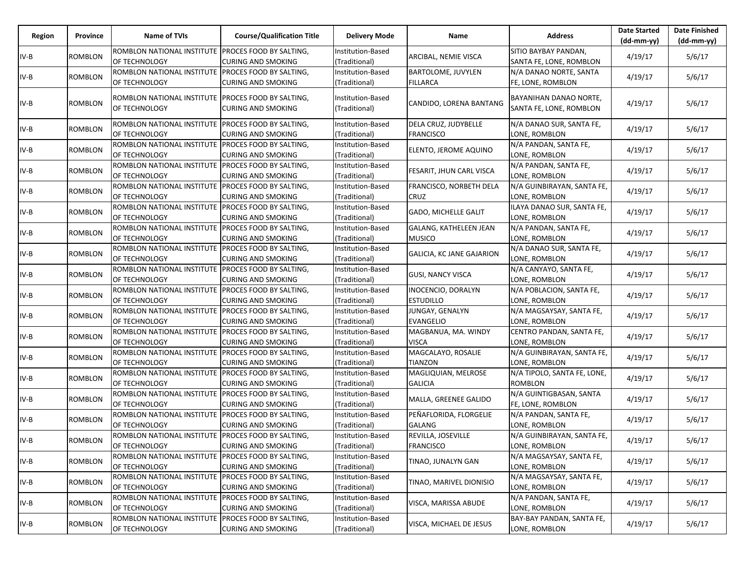|        |                |                                                    |                                                             |                                    |                                               |                                           | <b>Date Started</b> | <b>Date Finished</b> |
|--------|----------------|----------------------------------------------------|-------------------------------------------------------------|------------------------------------|-----------------------------------------------|-------------------------------------------|---------------------|----------------------|
| Region | Province       | Name of TVIs                                       | <b>Course/Qualification Title</b>                           | <b>Delivery Mode</b>               | Name                                          | <b>Address</b>                            | $(dd-mm-yy)$        | $(dd-mm-yy)$         |
|        |                | ROMBLON NATIONAL INSTITUTE                         | <b>PROCES FOOD BY SALTING,</b>                              | Institution-Based                  | ARCIBAL, NEMIE VISCA                          | SITIO BAYBAY PANDAN,                      | 4/19/17             | 5/6/17               |
| $IV-B$ | ROMBLON        | OF TECHNOLOGY                                      | <b>CURING AND SMOKING</b>                                   | (Traditional)                      |                                               | SANTA FE, LONE, ROMBLON                   |                     |                      |
| $IV-B$ | <b>ROMBLON</b> | ROMBLON NATIONAL INSTITUTE                         | PROCES FOOD BY SALTING,                                     | Institution-Based                  | <b>BARTOLOME, JUVYLEN</b>                     | N/A DANAO NORTE, SANTA                    |                     | 5/6/17               |
|        |                | OF TECHNOLOGY                                      | <b>CURING AND SMOKING</b>                                   | (Traditional)                      | <b>FILLARCA</b>                               | FE, LONE, ROMBLON                         | 4/19/17             |                      |
|        |                | ROMBLON NATIONAL INSTITUTE PROCES FOOD BY SALTING, |                                                             | Institution-Based                  |                                               | BAYANIHAN DANAO NORTE,                    |                     |                      |
| $IV-B$ | ROMBLON        | OF TECHNOLOGY                                      | <b>CURING AND SMOKING</b>                                   | (Traditional)                      | CANDIDO, LORENA BANTANG                       | SANTA FE, LONE, ROMBLON                   | 4/19/17             | 5/6/17               |
|        |                |                                                    |                                                             |                                    |                                               |                                           |                     |                      |
| IV-B   | <b>ROMBLON</b> | ROMBLON NATIONAL INSTITUTE                         | PROCES FOOD BY SALTING,                                     | Institution-Based                  | DELA CRUZ, JUDYBELLE                          | N/A DANAO SUR, SANTA FE,                  | 4/19/17             | 5/6/17               |
|        |                | OF TECHNOLOGY                                      | <b>CURING AND SMOKING</b>                                   | (Traditional)                      | <b>FRANCISCO</b>                              | LONE, ROMBLON                             |                     |                      |
| $IV-B$ | ROMBLON        | ROMBLON NATIONAL INSTITUTE                         | <b>PROCES FOOD BY SALTING,</b>                              | Institution-Based                  | ELENTO, JEROME AQUINO                         | N/A PANDAN, SANTA FE,                     | 4/19/17             | 5/6/17               |
|        |                | OF TECHNOLOGY                                      | <b>CURING AND SMOKING</b>                                   | (Traditional)                      |                                               | LONE, ROMBLON                             |                     |                      |
| $IV-B$ | ROMBLON        | ROMBLON NATIONAL INSTITUTE                         | <b>PROCES FOOD BY SALTING,</b>                              | Institution-Based                  | FESARIT, JHUN CARL VISCA                      | N/A PANDAN, SANTA FE,                     | 4/19/17             | 5/6/17               |
|        |                | OF TECHNOLOGY                                      | <b>CURING AND SMOKING</b>                                   | (Traditional)                      |                                               | LONE, ROMBLON                             |                     |                      |
| $IV-B$ | <b>ROMBLON</b> | ROMBLON NATIONAL INSTITUTE                         | <b>PROCES FOOD BY SALTING,</b>                              | Institution-Based                  | FRANCISCO, NORBETH DELA                       | N/A GUINBIRAYAN, SANTA FE,                | 4/19/17             | 5/6/17               |
|        |                | OF TECHNOLOGY                                      | <b>CURING AND SMOKING</b>                                   | (Traditional)                      | <b>CRUZ</b>                                   | LONE, ROMBLON                             |                     |                      |
| $IV-B$ | ROMBLON        | ROMBLON NATIONAL INSTITUTE                         | PROCES FOOD BY SALTING,                                     | Institution-Based                  | <b>GADO, MICHELLE GALIT</b>                   | ILAYA DANAO SUR, SANTA FE,                | 4/19/17             | 5/6/17               |
|        |                | OF TECHNOLOGY                                      | <b>CURING AND SMOKING</b>                                   | (Traditional)                      |                                               | LONE, ROMBLON                             |                     |                      |
| $IV-B$ | ROMBLON        | ROMBLON NATIONAL INSTITUTE PROCES FOOD BY SALTING, |                                                             | Institution-Based                  | GALANG, KATHELEEN JEAN                        | N/A PANDAN, SANTA FE,                     | 4/19/17             | 5/6/17               |
|        |                | OF TECHNOLOGY                                      | <b>CURING AND SMOKING</b>                                   | (Traditional)                      | <b>MUSICO</b>                                 | LONE, ROMBLON                             |                     |                      |
| IV-B   | <b>ROMBLON</b> | ROMBLON NATIONAL INSTITUTE PROCES FOOD BY SALTING, |                                                             | Institution-Based                  | <b>GALICIA, KC JANE GAJARION</b>              | N/A DANAO SUR, SANTA FE,                  | 4/19/17             | 5/6/17               |
|        |                | OF TECHNOLOGY                                      | <b>CURING AND SMOKING</b>                                   | (Traditional)                      |                                               | LONE, ROMBLON                             |                     |                      |
| IV-B   | ROMBLON        | ROMBLON NATIONAL INSTITUTE                         | PROCES FOOD BY SALTING,                                     | Institution-Based                  | <b>GUSI, NANCY VISCA</b>                      | N/A CANYAYO, SANTA FE,                    | 4/19/17             | 5/6/17               |
|        |                | OF TECHNOLOGY<br>ROMBLON NATIONAL INSTITUTE        | <b>CURING AND SMOKING</b><br><b>PROCES FOOD BY SALTING,</b> | (Traditional)<br>Institution-Based | INOCENCIO, DORALYN                            | LONE, ROMBLON<br>N/A POBLACION, SANTA FE, |                     |                      |
| $IV-B$ | ROMBLON        | OF TECHNOLOGY                                      | <b>CURING AND SMOKING</b>                                   | (Traditional)                      | <b>ESTUDILLO</b>                              | LONE, ROMBLON                             | 4/19/17             | 5/6/17               |
|        |                | ROMBLON NATIONAL INSTITUTE                         | <b>PROCES FOOD BY SALTING,</b>                              | Institution-Based                  | JUNGAY, GENALYN                               | N/A MAGSAYSAY, SANTA FE,                  |                     |                      |
| $IV-B$ | ROMBLON        | OF TECHNOLOGY                                      | <b>CURING AND SMOKING</b>                                   | (Traditional)                      | <b>EVANGELIO</b>                              | LONE, ROMBLON                             | 4/19/17             | 5/6/17               |
|        |                | ROMBLON NATIONAL INSTITUTE                         | PROCES FOOD BY SALTING,                                     | Institution-Based                  | MAGBANUA, MA. WINDY                           | CENTRO PANDAN, SANTA FE,                  |                     |                      |
| $IV-B$ | <b>ROMBLON</b> | OF TECHNOLOGY                                      | <b>CURING AND SMOKING</b>                                   | (Traditional)                      | <b>VISCA</b>                                  | LONE, ROMBLON                             | 4/19/17             | 5/6/17               |
|        |                | ROMBLON NATIONAL INSTITUTE                         | PROCES FOOD BY SALTING,                                     | Institution-Based                  | MAGCALAYO, ROSALIE                            | N/A GUINBIRAYAN, SANTA FE,                |                     |                      |
| $IV-B$ | ROMBLON        | OF TECHNOLOGY                                      | <b>CURING AND SMOKING</b>                                   | (Traditional)                      | TIANZON                                       | LONE, ROMBLON                             | 4/19/17             | 5/6/17               |
|        |                | ROMBLON NATIONAL INSTITUTE PROCES FOOD BY SALTING, |                                                             | Institution-Based                  | MAGLIQUIAN, MELROSE                           | N/A TIPOLO, SANTA FE, LONE,               |                     |                      |
| $IV-B$ | <b>ROMBLON</b> | OF TECHNOLOGY                                      | <b>CURING AND SMOKING</b>                                   | (Traditional)                      | <b>GALICIA</b>                                | ROMBLON                                   | 4/19/17             | 5/6/17               |
|        |                | ROMBLON NATIONAL INSTITUTE                         | PROCES FOOD BY SALTING,                                     | Institution-Based                  |                                               | N/A GUINTIGBASAN, SANTA                   |                     |                      |
| $IV-B$ | ROMBLON        | OF TECHNOLOGY                                      | <b>CURING AND SMOKING</b>                                   | (Traditional)                      | MALLA, GREENEE GALIDO                         | FE, LONE, ROMBLON                         | 4/19/17             | 5/6/17               |
|        |                | ROMBLON NATIONAL INSTITUTE                         | PROCES FOOD BY SALTING,                                     | Institution-Based                  | PEÑAFLORIDA, FLORGELIE                        | N/A PANDAN, SANTA FE,                     |                     | 5/6/17               |
| IV-B   | ROMBLON        | OF TECHNOLOGY                                      | <b>CURING AND SMOKING</b>                                   | (Traditional)                      | <b>GALANG</b>                                 | LONE, ROMBLON                             | 4/19/17             |                      |
| $IV-B$ | ROMBLON        | ROMBLON NATIONAL INSTITUTE PROCES FOOD BY SALTING, |                                                             | Institution-Based                  | REVILLA, JOSEVILLE                            | N/A GUINBIRAYAN, SANTA FE,                | 4/19/17             | 5/6/17               |
|        |                | OF TECHNOLOGY                                      | <b>CURING AND SMOKING</b>                                   | (Traditional)                      | <b>FRANCISCO</b>                              | LONE, ROMBLON                             |                     |                      |
| IV-B   | ROMBLON        | ROMBLON NATIONAL INSTITUTE PROCES FOOD BY SALTING, |                                                             | Institution-Based                  | TINAO, JUNALYN GAN                            | N/A MAGSAYSAY, SANTA FE,                  | 4/19/17             | 5/6/17               |
|        |                | OF TECHNOLOGY                                      | <b>CURING AND SMOKING</b>                                   | (Traditional)                      |                                               | LONE, ROMBLON                             |                     |                      |
| IV-B   | ROMBLON        | ROMBLON NATIONAL INSTITUTE                         | <b>PROCES FOOD BY SALTING,</b>                              | Institution-Based                  | TINAO, MARIVEL DIONISIO                       | N/A MAGSAYSAY, SANTA FE,                  | 4/19/17             | 5/6/17               |
|        |                | OF TECHNOLOGY                                      | <b>CURING AND SMOKING</b>                                   | (Traditional)                      |                                               | LONE, ROMBLON                             |                     |                      |
| $IV-B$ | ROMBLON        | ROMBLON NATIONAL INSTITUTE PROCES FOOD BY SALTING, |                                                             | Institution-Based                  | N/A PANDAN, SANTA FE,<br>VISCA, MARISSA ABUDE | 4/19/17                                   | 5/6/17              |                      |
|        |                | OF TECHNOLOGY                                      | CURING AND SMOKING                                          | (Traditional)                      |                                               | LONE, ROMBLON                             |                     |                      |
| $IV-B$ | ROMBLON        | ROMBLON NATIONAL INSTITUTE PROCES FOOD BY SALTING, |                                                             | Institution-Based                  | VISCA, MICHAEL DE JESUS                       | BAY-BAY PANDAN, SANTA FE,                 | 4/19/17             | 5/6/17               |
|        |                | OF TECHNOLOGY                                      | <b>CURING AND SMOKING</b>                                   | (Traditional)                      |                                               | LONE, ROMBLON                             |                     |                      |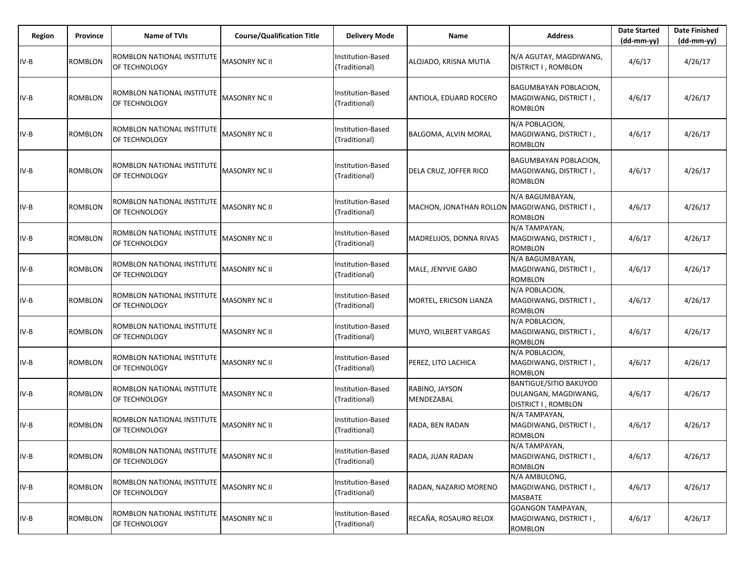| <b>Region</b> | Province       | <b>Name of TVIs</b>                         | <b>Course/Qualification Title</b> | <b>Delivery Mode</b>               | Name                                           | <b>Address</b>                                                               | <b>Date Started</b><br>(dd-mm-yy) | <b>Date Finished</b><br>(dd-mm-yy) |
|---------------|----------------|---------------------------------------------|-----------------------------------|------------------------------------|------------------------------------------------|------------------------------------------------------------------------------|-----------------------------------|------------------------------------|
| $IV-B$        | ROMBLON        | ROMBLON NATIONAL INSTITUTE<br>OF TECHNOLOGY | <b>MASONRY NC II</b>              | Institution-Based<br>(Traditional) | ALOJADO, KRISNA MUTIA                          | N/A AGUTAY, MAGDIWANG,<br>DISTRICT I, ROMBLON                                | 4/6/17                            | 4/26/17                            |
| IV-B          | ROMBLON        | ROMBLON NATIONAL INSTITUTE<br>OF TECHNOLOGY | MASONRY NC II                     | Institution-Based<br>(Traditional) | ANTIOLA, EDUARD ROCERO                         | BAGUMBAYAN POBLACION,<br>MAGDIWANG, DISTRICT I ,<br>ROMBLON                  | 4/6/17                            | 4/26/17                            |
| IV-B          | <b>ROMBLON</b> | ROMBLON NATIONAL INSTITUTE<br>OF TECHNOLOGY | <b>MASONRY NC II</b>              | Institution-Based<br>(Traditional) | BALGOMA, ALVIN MORAL                           | N/A POBLACION,<br>MAGDIWANG, DISTRICT I,<br>ROMBLON                          | 4/6/17                            | 4/26/17                            |
| IV-B          | <b>ROMBLON</b> | ROMBLON NATIONAL INSTITUTE<br>OF TECHNOLOGY | <b>MASONRY NC II</b>              | Institution-Based<br>(Traditional) | DELA CRUZ, JOFFER RICO                         | BAGUMBAYAN POBLACION,<br>MAGDIWANG, DISTRICT I ,<br>ROMBLON                  | 4/6/17                            | 4/26/17                            |
| IV-B          | ROMBLON        | ROMBLON NATIONAL INSTITUTE<br>OF TECHNOLOGY | <b>MASONRY NC II</b>              | Institution-Based<br>(Traditional) | MACHON, JONATHAN ROLLON MAGDIWANG, DISTRICT I, | N/A BAGUMBAYAN,<br>ROMBLON                                                   | 4/6/17                            | 4/26/17                            |
| IV-B          | <b>ROMBLON</b> | ROMBLON NATIONAL INSTITUTE<br>OF TECHNOLOGY | <b>MASONRY NC II</b>              | Institution-Based<br>(Traditional) | MADRELIJOS, DONNA RIVAS                        | N/A TAMPAYAN,<br>MAGDIWANG, DISTRICT I,<br><b>ROMBLON</b>                    | 4/6/17                            | 4/26/17                            |
| IV-B          | ROMBLON        | ROMBLON NATIONAL INSTITUTE<br>OF TECHNOLOGY | <b>MASONRY NC II</b>              | Institution-Based<br>(Traditional) | MALE, JENYVIE GABO                             | N/A BAGUMBAYAN,<br>MAGDIWANG, DISTRICT I,<br><b>ROMBLON</b>                  | 4/6/17                            | 4/26/17                            |
| IV-B          | <b>ROMBLON</b> | ROMBLON NATIONAL INSTITUTE<br>OF TECHNOLOGY | <b>MASONRY NC II</b>              | Institution-Based<br>(Traditional) | MORTEL, ERICSON LIANZA                         | N/A POBLACION,<br>MAGDIWANG, DISTRICT I,<br><b>ROMBLON</b>                   | 4/6/17                            | 4/26/17                            |
| IV-B          | ROMBLON        | ROMBLON NATIONAL INSTITUTE<br>OF TECHNOLOGY | <b>MASONRY NC II</b>              | Institution-Based<br>(Traditional) | MUYO, WILBERT VARGAS                           | N/A POBLACION,<br>MAGDIWANG, DISTRICT I,<br><b>ROMBLON</b>                   | 4/6/17                            | 4/26/17                            |
| IV-B          | <b>ROMBLON</b> | ROMBLON NATIONAL INSTITUTE<br>OF TECHNOLOGY | MASONRY NC II                     | Institution-Based<br>(Traditional) | PEREZ, LITO LACHICA                            | N/A POBLACION,<br>MAGDIWANG, DISTRICT I,<br><b>ROMBLON</b>                   | 4/6/17                            | 4/26/17                            |
| $IV-B$        | <b>ROMBLON</b> | ROMBLON NATIONAL INSTITUTE<br>OF TECHNOLOGY | <b>MASONRY NC II</b>              | Institution-Based<br>(Traditional) | RABINO, JAYSON<br>MENDEZABAL                   | <b>BANTIGUE/SITIO BAKUYOD</b><br>DULANGAN, MAGDIWANG,<br>DISTRICT I, ROMBLON | 4/6/17                            | 4/26/17                            |
| $IV-B$        | ROMBLON        | ROMBLON NATIONAL INSTITUTE<br>OF TECHNOLOGY | <b>MASONRY NC II</b>              | Institution-Based<br>(Traditional) | RADA, BEN RADAN                                | N/A TAMPAYAN,<br>MAGDIWANG, DISTRICT I,<br>ROMBLON                           | 4/6/17                            | 4/26/17                            |
| $IV-B$        | ROMBLON        | ROMBLON NATIONAL INSTITUTE<br>OF TECHNOLOGY | <b>MASONRY NC II</b>              | Institution-Based<br>(Traditional) | RADA, JUAN RADAN                               | N/A TAMPAYAN,<br>MAGDIWANG, DISTRICT I,<br><b>ROMBLON</b>                    | 4/6/17                            | 4/26/17                            |
| $IV-B$        | <b>ROMBLON</b> | ROMBLON NATIONAL INSTITUTE<br>OF TECHNOLOGY | <b>MASONRY NC II</b>              | Institution-Based<br>(Traditional) | RADAN, NAZARIO MORENO                          | N/A AMBULONG,<br>MAGDIWANG, DISTRICT I,<br>MASBATE                           | 4/6/17                            | 4/26/17                            |
| $IV-B$        | ROMBLON        | ROMBLON NATIONAL INSTITUTE<br>OF TECHNOLOGY | <b>MASONRY NC II</b>              | Institution-Based<br>(Traditional) | RECAÑA, ROSAURO RELOX                          | <b>GOANGON TAMPAYAN,</b><br>MAGDIWANG, DISTRICT I ,<br>ROMBLON               | 4/6/17                            | 4/26/17                            |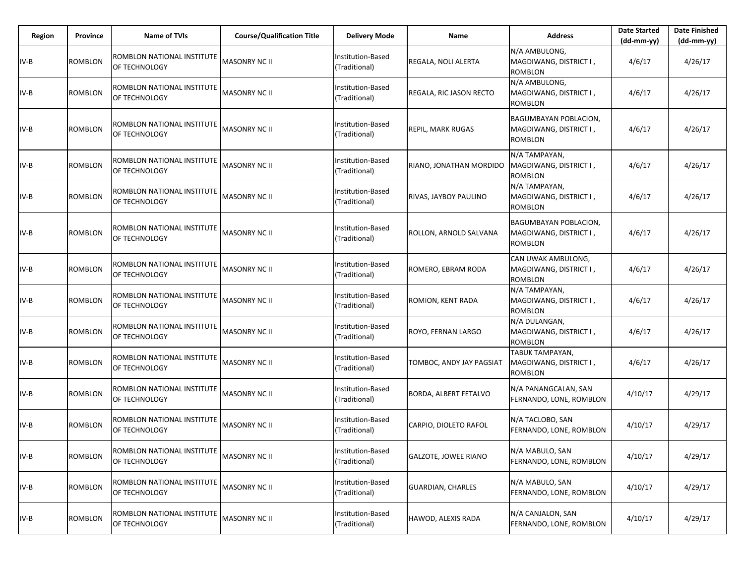| Region | Province       | <b>Name of TVIs</b>                         | <b>Course/Qualification Title</b> | <b>Delivery Mode</b>               | Name                         | <b>Address</b>                                                    | <b>Date Started</b><br>$(dd-mm-yy)$ | <b>Date Finished</b><br>$(dd-mm-yy)$ |
|--------|----------------|---------------------------------------------|-----------------------------------|------------------------------------|------------------------------|-------------------------------------------------------------------|-------------------------------------|--------------------------------------|
| IV-B   | ROMBLON        | ROMBLON NATIONAL INSTITUTE<br>OF TECHNOLOGY | <b>MASONRY NC II</b>              | Institution-Based<br>(Traditional) | REGALA, NOLI ALERTA          | N/A AMBULONG,<br>MAGDIWANG, DISTRICT I,<br><b>ROMBLON</b>         | 4/6/17                              | 4/26/17                              |
| IV-B   | <b>ROMBLON</b> | ROMBLON NATIONAL INSTITUTE<br>OF TECHNOLOGY | MASONRY NC II                     | Institution-Based<br>(Traditional) | REGALA, RIC JASON RECTO      | N/A AMBULONG,<br>MAGDIWANG, DISTRICT I,<br><b>ROMBLON</b>         | 4/6/17                              | 4/26/17                              |
| IV-B   | ROMBLON        | ROMBLON NATIONAL INSTITUTE<br>OF TECHNOLOGY | MASONRY NC II                     | Institution-Based<br>(Traditional) | <b>REPIL, MARK RUGAS</b>     | BAGUMBAYAN POBLACION,<br>MAGDIWANG, DISTRICT I,<br>ROMBLON        | 4/6/17                              | 4/26/17                              |
| IV-B   | ROMBLON        | ROMBLON NATIONAL INSTITUTE<br>OF TECHNOLOGY | <b>MASONRY NC II</b>              | Institution-Based<br>(Traditional) | RIANO, JONATHAN MORDIDO      | N/A TAMPAYAN,<br>MAGDIWANG, DISTRICT I,<br><b>ROMBLON</b>         | 4/6/17                              | 4/26/17                              |
| IV-B   | ROMBLON        | ROMBLON NATIONAL INSTITUTE<br>OF TECHNOLOGY | MASONRY NC II                     | Institution-Based<br>(Traditional) | RIVAS, JAYBOY PAULINO        | N/A TAMPAYAN,<br>MAGDIWANG, DISTRICT I,<br>ROMBLON                | 4/6/17                              | 4/26/17                              |
| IV-B   | <b>ROMBLON</b> | ROMBLON NATIONAL INSTITUTE<br>OF TECHNOLOGY | <b>MASONRY NC II</b>              | Institution-Based<br>(Traditional) | ROLLON, ARNOLD SALVANA       | BAGUMBAYAN POBLACION,<br>MAGDIWANG, DISTRICT I,<br><b>ROMBLON</b> | 4/6/17                              | 4/26/17                              |
| IV-B   | ROMBLON        | ROMBLON NATIONAL INSTITUTE<br>OF TECHNOLOGY | <b>MASONRY NC II</b>              | Institution-Based<br>(Traditional) | ROMERO, EBRAM RODA           | CAN UWAK AMBULONG,<br>MAGDIWANG, DISTRICT I,<br><b>ROMBLON</b>    | 4/6/17                              | 4/26/17                              |
| IV-B   | <b>ROMBLON</b> | ROMBLON NATIONAL INSTITUTE<br>OF TECHNOLOGY | MASONRY NC II                     | Institution-Based<br>(Traditional) | ROMION, KENT RADA            | N/A TAMPAYAN,<br>MAGDIWANG, DISTRICT I,<br><b>ROMBLON</b>         | 4/6/17                              | 4/26/17                              |
| IV-B   | <b>ROMBLON</b> | ROMBLON NATIONAL INSTITUTE<br>OF TECHNOLOGY | MASONRY NC II                     | Institution-Based<br>(Traditional) | ROYO, FERNAN LARGO           | N/A DULANGAN,<br>MAGDIWANG, DISTRICT I,<br><b>ROMBLON</b>         | 4/6/17                              | 4/26/17                              |
| IV-B   | <b>ROMBLON</b> | ROMBLON NATIONAL INSTITUTE<br>OF TECHNOLOGY | MASONRY NC II                     | Institution-Based<br>(Traditional) | TOMBOC, ANDY JAY PAGSIAT     | TABUK TAMPAYAN,<br>MAGDIWANG, DISTRICT I,<br><b>ROMBLON</b>       | 4/6/17                              | 4/26/17                              |
| IV-B   | <b>ROMBLON</b> | ROMBLON NATIONAL INSTITUTE<br>OF TECHNOLOGY | <b>MASONRY NC II</b>              | Institution-Based<br>(Traditional) | <b>BORDA, ALBERT FETALVO</b> | N/A PANANGCALAN, SAN<br>FERNANDO, LONE, ROMBLON                   | 4/10/17                             | 4/29/17                              |
| $IV-B$ | <b>ROMBLON</b> | ROMBLON NATIONAL INSTITUTE<br>OF TECHNOLOGY | <b>MASONRY NC II</b>              | Institution-Based<br>(Traditional) | CARPIO, DIOLETO RAFOL        | N/A TACLOBO, SAN<br>FERNANDO, LONE, ROMBLON                       | 4/10/17                             | 4/29/17                              |
| $IV-B$ | <b>ROMBLON</b> | ROMBLON NATIONAL INSTITUTE<br>OF TECHNOLOGY | <b>MASONRY NC II</b>              | Institution-Based<br>(Traditional) | <b>GALZOTE, JOWEE RIANO</b>  | N/A MABULO, SAN<br>FERNANDO, LONE, ROMBLON                        | 4/10/17                             | 4/29/17                              |
| $IV-B$ | ROMBLON        | ROMBLON NATIONAL INSTITUTE<br>OF TECHNOLOGY | <b>MASONRY NC II</b>              | Institution-Based<br>(Traditional) | <b>GUARDIAN, CHARLES</b>     | N/A MABULO, SAN<br>FERNANDO, LONE, ROMBLON                        | 4/10/17                             | 4/29/17                              |
| $IV-B$ | <b>ROMBLON</b> | ROMBLON NATIONAL INSTITUTE<br>OF TECHNOLOGY | <b>MASONRY NC II</b>              | Institution-Based<br>(Traditional) | HAWOD, ALEXIS RADA           | N/A CANJALON, SAN<br>FERNANDO, LONE, ROMBLON                      | 4/10/17                             | 4/29/17                              |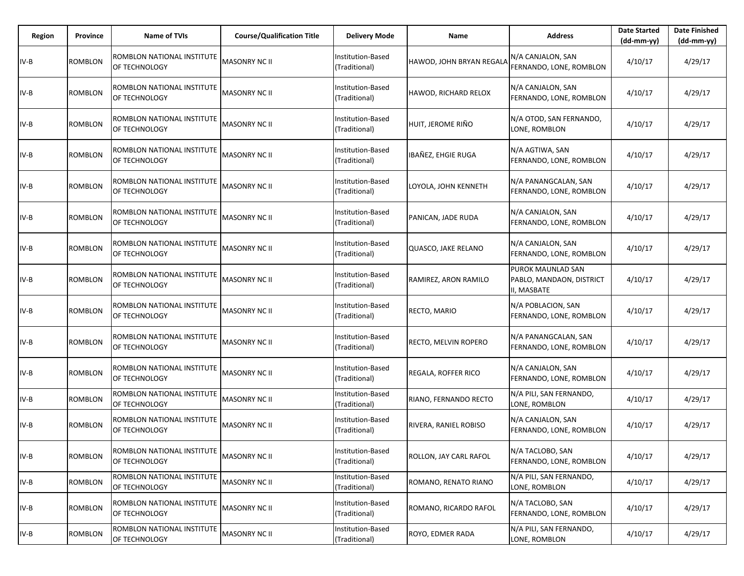| Region | Province       | <b>Name of TVIs</b>                         | <b>Course/Qualification Title</b> | <b>Delivery Mode</b>               | Name                     | <b>Address</b>                                               | <b>Date Started</b><br>(dd-mm-yy) | <b>Date Finished</b><br>$(dd-mm-yy)$ |
|--------|----------------|---------------------------------------------|-----------------------------------|------------------------------------|--------------------------|--------------------------------------------------------------|-----------------------------------|--------------------------------------|
| $IV-B$ | ROMBLON        | ROMBLON NATIONAL INSTITUTE<br>OF TECHNOLOGY | MASONRY NC II                     | Institution-Based<br>(Traditional) | HAWOD, JOHN BRYAN REGALA | N/A CANJALON, SAN<br>FERNANDO, LONE, ROMBLON                 | 4/10/17                           | 4/29/17                              |
| IV-B   | ROMBLON        | ROMBLON NATIONAL INSTITUTE<br>OF TECHNOLOGY | MASONRY NC II                     | Institution-Based<br>(Traditional) | HAWOD, RICHARD RELOX     | N/A CANJALON, SAN<br>FERNANDO, LONE, ROMBLON                 | 4/10/17                           | 4/29/17                              |
| IV-B   | <b>ROMBLON</b> | ROMBLON NATIONAL INSTITUTE<br>OF TECHNOLOGY | <b>MASONRY NC II</b>              | Institution-Based<br>(Traditional) | HUIT, JEROME RIÑO        | N/A OTOD, SAN FERNANDO,<br>LONE, ROMBLON                     | 4/10/17                           | 4/29/17                              |
| IV-B   | <b>ROMBLON</b> | ROMBLON NATIONAL INSTITUTE<br>OF TECHNOLOGY | <b>MASONRY NC II</b>              | Institution-Based<br>(Traditional) | IBAÑEZ, EHGIE RUGA       | N/A AGTIWA, SAN<br>FERNANDO, LONE, ROMBLON                   | 4/10/17                           | 4/29/17                              |
| IV-B   | <b>ROMBLON</b> | ROMBLON NATIONAL INSTITUTE<br>OF TECHNOLOGY | MASONRY NC II                     | Institution-Based<br>(Traditional) | LOYOLA, JOHN KENNETH     | N/A PANANGCALAN, SAN<br>FERNANDO, LONE, ROMBLON              | 4/10/17                           | 4/29/17                              |
| IV-B   | ROMBLON        | ROMBLON NATIONAL INSTITUTE<br>OF TECHNOLOGY | MASONRY NC II                     | Institution-Based<br>(Traditional) | PANICAN, JADE RUDA       | N/A CANJALON, SAN<br>FERNANDO, LONE, ROMBLON                 | 4/10/17                           | 4/29/17                              |
| IV-B   | <b>ROMBLON</b> | ROMBLON NATIONAL INSTITUTE<br>OF TECHNOLOGY | <b>MASONRY NC II</b>              | Institution-Based<br>(Traditional) | QUASCO, JAKE RELANO      | N/A CANJALON, SAN<br>FERNANDO, LONE, ROMBLON                 | 4/10/17                           | 4/29/17                              |
| IV-B   | ROMBLON        | ROMBLON NATIONAL INSTITUTE<br>OF TECHNOLOGY | MASONRY NC II                     | Institution-Based<br>(Traditional) | RAMIREZ, ARON RAMILO     | PUROK MAUNLAD SAN<br>PABLO, MANDAON, DISTRICT<br>II, MASBATE | 4/10/17                           | 4/29/17                              |
| IV-B   | ROMBLON        | ROMBLON NATIONAL INSTITUTE<br>OF TECHNOLOGY | MASONRY NC II                     | Institution-Based<br>(Traditional) | RECTO, MARIO             | N/A POBLACION, SAN<br>FERNANDO, LONE, ROMBLON                | 4/10/17                           | 4/29/17                              |
| IV-B   | ROMBLON        | ROMBLON NATIONAL INSTITUTE<br>OF TECHNOLOGY | MASONRY NC II                     | Institution-Based<br>(Traditional) | RECTO, MELVIN ROPERO     | N/A PANANGCALAN, SAN<br>FERNANDO, LONE, ROMBLON              | 4/10/17                           | 4/29/17                              |
| IV-B   | ROMBLON        | ROMBLON NATIONAL INSTITUTE<br>OF TECHNOLOGY | <b>MASONRY NC II</b>              | Institution-Based<br>(Traditional) | REGALA, ROFFER RICO      | N/A CANJALON, SAN<br>FERNANDO, LONE, ROMBLON                 | 4/10/17                           | 4/29/17                              |
| IV-B   | ROMBLON        | ROMBLON NATIONAL INSTITUTE<br>OF TECHNOLOGY | <b>MASONRY NC II</b>              | Institution-Based<br>(Traditional) | RIANO, FERNANDO RECTO    | N/A PILI, SAN FERNANDO,<br>LONE, ROMBLON                     | 4/10/17                           | 4/29/17                              |
| $IV-B$ | ROMBLON        | ROMBLON NATIONAL INSTITUTE<br>OF TECHNOLOGY | MASONRY NC II                     | Institution-Based<br>(Traditional) | RIVERA, RANIEL ROBISO    | N/A CANJALON, SAN<br>FERNANDO, LONE, ROMBLON                 | 4/10/17                           | 4/29/17                              |
| $IV-B$ | <b>ROMBLON</b> | ROMBLON NATIONAL INSTITUTE<br>OF TECHNOLOGY | MASONRY NC II                     | Institution-Based<br>(Traditional) | ROLLON, JAY CARL RAFOL   | N/A TACLOBO, SAN<br>FERNANDO, LONE, ROMBLON                  | 4/10/17                           | 4/29/17                              |
| $IV-B$ | ROMBLON        | ROMBLON NATIONAL INSTITUTE<br>OF TECHNOLOGY | <b>MASONRY NC II</b>              | Institution-Based<br>(Traditional) | ROMANO, RENATO RIANO     | N/A PILI, SAN FERNANDO,<br>LONE, ROMBLON                     | 4/10/17                           | 4/29/17                              |
| $IV-B$ | ROMBLON        | ROMBLON NATIONAL INSTITUTE<br>OF TECHNOLOGY | <b>MASONRY NC II</b>              | Institution-Based<br>(Traditional) | ROMANO, RICARDO RAFOL    | N/A TACLOBO, SAN<br>FERNANDO, LONE, ROMBLON                  | 4/10/17                           | 4/29/17                              |
| $IV-B$ | <b>ROMBLON</b> | ROMBLON NATIONAL INSTITUTE<br>OF TECHNOLOGY | <b>MASONRY NC II</b>              | Institution-Based<br>(Traditional) | ROYO, EDMER RADA         | N/A PILI, SAN FERNANDO,<br>LONE, ROMBLON                     | 4/10/17                           | 4/29/17                              |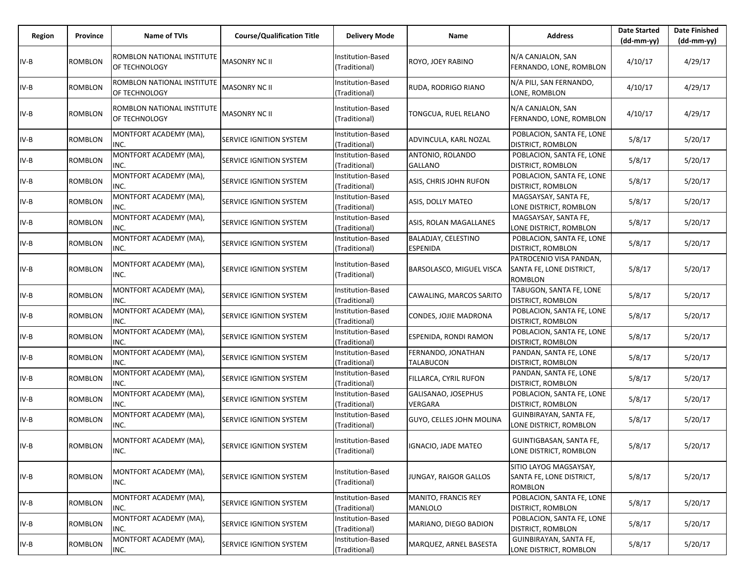| Region | Province       | Name of TVIs                                | <b>Course/Qualification Title</b> | <b>Delivery Mode</b>                      | Name                                   | <b>Address</b>                                                 | <b>Date Started</b><br>$(dd-mm-yy)$ | <b>Date Finished</b><br>(dd-mm-yy) |
|--------|----------------|---------------------------------------------|-----------------------------------|-------------------------------------------|----------------------------------------|----------------------------------------------------------------|-------------------------------------|------------------------------------|
| IV-B   | <b>ROMBLON</b> | ROMBLON NATIONAL INSTITUTE<br>OF TECHNOLOGY | <b>MASONRY NC II</b>              | Institution-Based<br>(Traditional)        | ROYO, JOEY RABINO                      | N/A CANJALON, SAN<br>FERNANDO, LONE, ROMBLON                   | 4/10/17                             | 4/29/17                            |
| IV-B   | ROMBLON        | ROMBLON NATIONAL INSTITUTE<br>OF TECHNOLOGY | <b>MASONRY NC II</b>              | Institution-Based<br>(Traditional)        | RUDA, RODRIGO RIANO                    | N/A PILI, SAN FERNANDO,<br>LONE, ROMBLON                       | 4/10/17                             | 4/29/17                            |
| IV-B   | <b>ROMBLON</b> | ROMBLON NATIONAL INSTITUTE<br>OF TECHNOLOGY | <b>MASONRY NC II</b>              | Institution-Based<br>(Traditional)        | TONGCUA, RUEL RELANO                   | N/A CANJALON, SAN<br>FERNANDO, LONE, ROMBLON                   | 4/10/17                             | 4/29/17                            |
| IV-B   | ROMBLON        | MONTFORT ACADEMY (MA),<br>INC.              | <b>SERVICE IGNITION SYSTEM</b>    | Institution-Based<br>(Traditional)        | ADVINCULA, KARL NOZAL                  | POBLACION, SANTA FE, LONE<br>DISTRICT, ROMBLON                 | 5/8/17                              | 5/20/17                            |
| IV-B   | <b>ROMBLON</b> | MONTFORT ACADEMY (MA),<br>INC.              | SERVICE IGNITION SYSTEM           | Institution-Based<br>(Traditional)        | ANTONIO, ROLANDO<br><b>GALLANO</b>     | POBLACION, SANTA FE, LONE<br>DISTRICT, ROMBLON                 | 5/8/17                              | 5/20/17                            |
| IV-B   | <b>ROMBLON</b> | MONTFORT ACADEMY (MA),<br>INC.              | <b>SERVICE IGNITION SYSTEM</b>    | Institution-Based<br>(Traditional)        | ASIS, CHRIS JOHN RUFON                 | POBLACION, SANTA FE, LONE<br>DISTRICT, ROMBLON                 | 5/8/17                              | 5/20/17                            |
| IV-B   | <b>ROMBLON</b> | MONTFORT ACADEMY (MA),<br>INC.              | <b>SERVICE IGNITION SYSTEM</b>    | Institution-Based<br>(Traditional)        | ASIS, DOLLY MATEO                      | MAGSAYSAY, SANTA FE,<br>LONE DISTRICT, ROMBLON                 | 5/8/17                              | 5/20/17                            |
| IV-B   | ROMBLON        | MONTFORT ACADEMY (MA),<br>INC.              | <b>SERVICE IGNITION SYSTEM</b>    | Institution-Based<br>(Traditional)        | ASIS, ROLAN MAGALLANES                 | MAGSAYSAY, SANTA FE,<br>LONE DISTRICT, ROMBLON                 | 5/8/17                              | 5/20/17                            |
| IV-B   | <b>ROMBLON</b> | MONTFORT ACADEMY (MA),<br>INC.              | <b>SERVICE IGNITION SYSTEM</b>    | Institution-Based<br>(Traditional)        | BALADJAY, CELESTINO<br><b>ESPENIDA</b> | POBLACION, SANTA FE, LONE<br>DISTRICT, ROMBLON                 | 5/8/17                              | 5/20/17                            |
| IV-B   | <b>ROMBLON</b> | MONTFORT ACADEMY (MA),<br>INC.              | SERVICE IGNITION SYSTEM           | Institution-Based<br>(Traditional)        | BARSOLASCO, MIGUEL VISCA               | PATROCENIO VISA PANDAN,<br>SANTA FE, LONE DISTRICT,<br>ROMBLON | 5/8/17                              | 5/20/17                            |
| IV-B   | <b>ROMBLON</b> | MONTFORT ACADEMY (MA),<br>INC.              | SERVICE IGNITION SYSTEM           | Institution-Based<br>(Traditional)        | CAWALING, MARCOS SARITO                | TABUGON, SANTA FE, LONE<br>DISTRICT, ROMBLON                   | 5/8/17                              | 5/20/17                            |
| IV-B   | <b>ROMBLON</b> | MONTFORT ACADEMY (MA),<br>INC.              | <b>SERVICE IGNITION SYSTEM</b>    | Institution-Based<br>(Traditional)        | CONDES, JOJIE MADRONA                  | POBLACION, SANTA FE, LONE<br>DISTRICT, ROMBLON                 | 5/8/17                              | 5/20/17                            |
| IV-B   | ROMBLON        | MONTFORT ACADEMY (MA),<br>INC.              | <b>SERVICE IGNITION SYSTEM</b>    | <b>Institution-Based</b><br>(Traditional) | ESPENIDA, RONDI RAMON                  | POBLACION, SANTA FE, LONE<br>DISTRICT, ROMBLON                 | 5/8/17                              | 5/20/17                            |
| IV-B   | <b>ROMBLON</b> | MONTFORT ACADEMY (MA),<br>INC.              | <b>SERVICE IGNITION SYSTEM</b>    | Institution-Based<br>(Traditional)        | FERNANDO, JONATHAN<br><b>TALABUCON</b> | PANDAN, SANTA FE, LONE<br>DISTRICT, ROMBLON                    | 5/8/17                              | 5/20/17                            |
| IV-B   | ROMBLON        | MONTFORT ACADEMY (MA),<br>INC.              | <b>SERVICE IGNITION SYSTEM</b>    | Institution-Based<br>(Traditional)        | FILLARCA, CYRIL RUFON                  | PANDAN, SANTA FE, LONE<br>DISTRICT, ROMBLON                    | 5/8/17                              | 5/20/17                            |
| IV-B   | ROMBLON        | MONTFORT ACADEMY (MA),<br>INC.              | <b>SERVICE IGNITION SYSTEM</b>    | Institution-Based<br>(Traditional)        | GALISANAO, JOSEPHUS<br><b>VERGARA</b>  | POBLACION, SANTA FE, LONE<br>DISTRICT, ROMBLON                 | 5/8/17                              | 5/20/17                            |
| IV-B   | <b>ROMBLON</b> | MONTFORT ACADEMY (MA),<br>INC.              | SERVICE IGNITION SYSTEM           | Institution-Based<br>(Traditional)        | GUYO, CELLES JOHN MOLINA               | GUINBIRAYAN, SANTA FE,<br>LONE DISTRICT, ROMBLON               | 5/8/17                              | 5/20/17                            |
| IV-B   | <b>ROMBLON</b> | MONTFORT ACADEMY (MA),<br>INC.              | SERVICE IGNITION SYSTEM           | Institution-Based<br>(Traditional)        | IGNACIO, JADE MATEO                    | GUINTIGBASAN, SANTA FE,<br>LONE DISTRICT, ROMBLON              | 5/8/17                              | 5/20/17                            |
| IV-B   | <b>ROMBLON</b> | MONTFORT ACADEMY (MA),<br>INC.              | <b>SERVICE IGNITION SYSTEM</b>    | Institution-Based<br>(Traditional)        | JUNGAY, RAIGOR GALLOS                  | SITIO LAYOG MAGSAYSAY,<br>SANTA FE, LONE DISTRICT,<br>ROMBLON  | 5/8/17                              | 5/20/17                            |
| IV-B   | <b>ROMBLON</b> | MONTFORT ACADEMY (MA),<br>INC.              | <b>SERVICE IGNITION SYSTEM</b>    | Institution-Based<br>(Traditional)        | MANITO, FRANCIS REY<br>MANLOLO         | POBLACION, SANTA FE, LONE<br>DISTRICT, ROMBLON                 | 5/8/17                              | 5/20/17                            |
| IV-B   | <b>ROMBLON</b> | MONTFORT ACADEMY (MA),<br>INC.              | <b>SERVICE IGNITION SYSTEM</b>    | Institution-Based<br>(Traditional)        | MARIANO, DIEGO BADION                  | POBLACION, SANTA FE, LONE<br>DISTRICT, ROMBLON                 | 5/8/17                              | 5/20/17                            |
| IV-B   | <b>ROMBLON</b> | MONTFORT ACADEMY (MA),<br>INC.              | <b>SERVICE IGNITION SYSTEM</b>    | Institution-Based<br>(Traditional)        | MARQUEZ, ARNEL BASESTA                 | GUINBIRAYAN, SANTA FE,<br>LONE DISTRICT, ROMBLON               | 5/8/17                              | 5/20/17                            |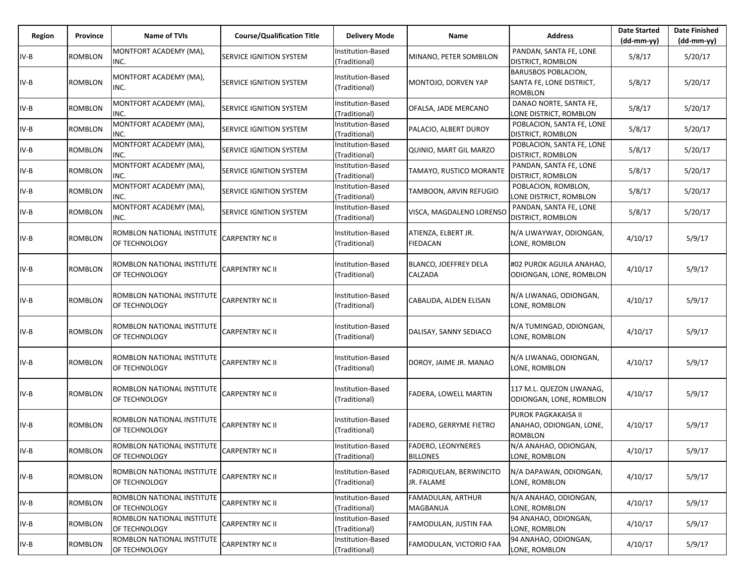| Region | Province       | Name of TVIs                                | <b>Course/Qualification Title</b> | <b>Delivery Mode</b>               | Name                                         | <b>Address</b>                                                           | <b>Date Started</b><br>$(dd-mm-yy)$ | <b>Date Finished</b><br>$(dd-mm-yy)$ |
|--------|----------------|---------------------------------------------|-----------------------------------|------------------------------------|----------------------------------------------|--------------------------------------------------------------------------|-------------------------------------|--------------------------------------|
| IV-B   | ROMBLON        | MONTFORT ACADEMY (MA),<br>INC.              | SERVICE IGNITION SYSTEM           | Institution-Based<br>(Traditional) | MINANO, PETER SOMBILON                       | PANDAN, SANTA FE, LONE<br><b>DISTRICT, ROMBLON</b>                       | 5/8/17                              | 5/20/17                              |
| IV-B   | <b>ROMBLON</b> | MONTFORT ACADEMY (MA),<br>INC.              | SERVICE IGNITION SYSTEM           | Institution-Based<br>(Traditional) | MONTOJO, DORVEN YAP                          | <b>BARUSBOS POBLACION,</b><br>SANTA FE, LONE DISTRICT,<br><b>ROMBLON</b> | 5/8/17                              | 5/20/17                              |
| IV-B   | <b>ROMBLON</b> | MONTFORT ACADEMY (MA),<br>INC.              | SERVICE IGNITION SYSTEM           | Institution-Based<br>(Traditional) | OFALSA, JADE MERCANO                         | DANAO NORTE, SANTA FE,<br>LONE DISTRICT, ROMBLON                         | 5/8/17                              | 5/20/17                              |
| IV-B   | <b>ROMBLON</b> | MONTFORT ACADEMY (MA),<br>INC.              | <b>SERVICE IGNITION SYSTEM</b>    | Institution-Based<br>(Traditional) | PALACIO, ALBERT DUROY                        | POBLACION, SANTA FE, LONE<br><b>DISTRICT, ROMBLON</b>                    | 5/8/17                              | 5/20/17                              |
| $IV-B$ | ROMBLON        | MONTFORT ACADEMY (MA),<br>INC.              | SERVICE IGNITION SYSTEM           | Institution-Based<br>(Traditional) | QUINIO, MART GIL MARZO                       | POBLACION, SANTA FE, LONE<br><b>DISTRICT, ROMBLON</b>                    | 5/8/17                              | 5/20/17                              |
| $IV-B$ | ROMBLON        | MONTFORT ACADEMY (MA),<br>INC.              | SERVICE IGNITION SYSTEM           | Institution-Based<br>Traditional)  | TAMAYO, RUSTICO MORANTE                      | PANDAN, SANTA FE, LONE<br><b>DISTRICT, ROMBLON</b>                       | 5/8/17                              | 5/20/17                              |
| IV-B   | <b>ROMBLON</b> | MONTFORT ACADEMY (MA),<br>INC.              | SERVICE IGNITION SYSTEM           | Institution-Based<br>(Traditional) | TAMBOON, ARVIN REFUGIO                       | POBLACION, ROMBLON,<br>LONE DISTRICT, ROMBLON                            | 5/8/17                              | 5/20/17                              |
| $IV-B$ | ROMBLON        | MONTFORT ACADEMY (MA),<br>INC.              | SERVICE IGNITION SYSTEM           | Institution-Based<br>(Traditional) | VISCA, MAGDALENO LORENSO                     | PANDAN, SANTA FE, LONE<br><b>DISTRICT, ROMBLON</b>                       | 5/8/17                              | 5/20/17                              |
| $IV-B$ | <b>ROMBLON</b> | ROMBLON NATIONAL INSTITUTE<br>OF TECHNOLOGY | <b>CARPENTRY NC II</b>            | Institution-Based<br>(Traditional) | ATIENZA, ELBERT JR.<br><b>FIEDACAN</b>       | N/A LIWAYWAY, ODIONGAN,<br>LONE, ROMBLON                                 | 4/10/17                             | 5/9/17                               |
| IV-B   | ROMBLON        | ROMBLON NATIONAL INSTITUTE<br>OF TECHNOLOGY | CARPENTRY NC II                   | Institution-Based<br>(Traditional) | BLANCO, JOEFFREY DELA<br>CALZADA             | #02 PUROK AGUILA ANAHAO,<br>ODIONGAN, LONE, ROMBLON                      | 4/10/17                             | 5/9/17                               |
| $IV-B$ | ROMBLON        | ROMBLON NATIONAL INSTITUTE<br>OF TECHNOLOGY | CARPENTRY NC II                   | Institution-Based<br>(Traditional) | CABALIDA, ALDEN ELISAN                       | N/A LIWANAG, ODIONGAN,<br>LONE, ROMBLON                                  | 4/10/17                             | 5/9/17                               |
| $IV-B$ | ROMBLON        | ROMBLON NATIONAL INSTITUTE<br>OF TECHNOLOGY | CARPENTRY NC II                   | Institution-Based<br>(Traditional) | DALISAY, SANNY SEDIACO                       | N/A TUMINGAD, ODIONGAN,<br>LONE, ROMBLON                                 | 4/10/17                             | 5/9/17                               |
| $IV-B$ | ROMBLON        | ROMBLON NATIONAL INSTITUTE<br>OF TECHNOLOGY | CARPENTRY NC II                   | Institution-Based<br>(Traditional) | DOROY, JAIME JR. MANAO                       | N/A LIWANAG, ODIONGAN,<br>LONE, ROMBLON                                  | 4/10/17                             | 5/9/17                               |
| $IV-B$ | ROMBLON        | ROMBLON NATIONAL INSTITUTE<br>OF TECHNOLOGY | CARPENTRY NC II                   | Institution-Based<br>(Traditional) | FADERA, LOWELL MARTIN                        | 117 M.L. QUEZON LIWANAG,<br>ODIONGAN, LONE, ROMBLON                      | 4/10/17                             | 5/9/17                               |
| $IV-B$ | ROMBLON        | ROMBLON NATIONAL INSTITUTE<br>OF TECHNOLOGY | CARPENTRY NC II                   | Institution-Based<br>(Traditional) | FADERO, GERRYME FIETRO                       | PUROK PAGKAKAISA II<br>ANAHAO, ODIONGAN, LONE,<br><b>ROMBLON</b>         | 4/10/17                             | 5/9/17                               |
| IV-B   | <b>ROMBLON</b> | ROMBLON NATIONAL INSTITUTE<br>OF TECHNOLOGY | <b>CARPENTRY NC II</b>            | Institution-Based<br>(Traditional) | <b>FADERO, LEONYNERES</b><br><b>BILLONES</b> | N/A ANAHAO, ODIONGAN,<br>LONE, ROMBLON                                   | 4/10/17                             | 5/9/17                               |
| $IV-B$ | ROMBLON        | ROMBLON NATIONAL INSTITUTE<br>OF TECHNOLOGY | <b>CARPENTRY NC II</b>            | Institution-Based<br>(Traditional) | FADRIQUELAN, BERWINCITO<br>JR. FALAME        | N/A DAPAWAN, ODIONGAN,<br>LONE, ROMBLON                                  | 4/10/17                             | 5/9/17                               |
| $IV-B$ | <b>ROMBLON</b> | ROMBLON NATIONAL INSTITUTE<br>OF TECHNOLOGY | <b>CARPENTRY NC II</b>            | Institution-Based<br>(Traditional) | FAMADULAN, ARTHUR<br>MAGBANUA                | N/A ANAHAO, ODIONGAN,<br>LONE, ROMBLON                                   | 4/10/17                             | 5/9/17                               |
| $IV-B$ | ROMBLON        | ROMBLON NATIONAL INSTITUTE<br>OF TECHNOLOGY | <b>CARPENTRY NC II</b>            | Institution-Based<br>(Traditional) | FAMODULAN, JUSTIN FAA                        | 94 ANAHAO, ODIONGAN,<br>LONE, ROMBLON                                    | 4/10/17                             | 5/9/17                               |
| $IV-B$ | ROMBLON        | ROMBLON NATIONAL INSTITUTE<br>OF TECHNOLOGY | CARPENTRY NC II                   | Institution-Based<br>(Traditional) | FAMODULAN, VICTORIO FAA                      | 94 ANAHAO, ODIONGAN,<br>LONE, ROMBLON                                    | 4/10/17                             | 5/9/17                               |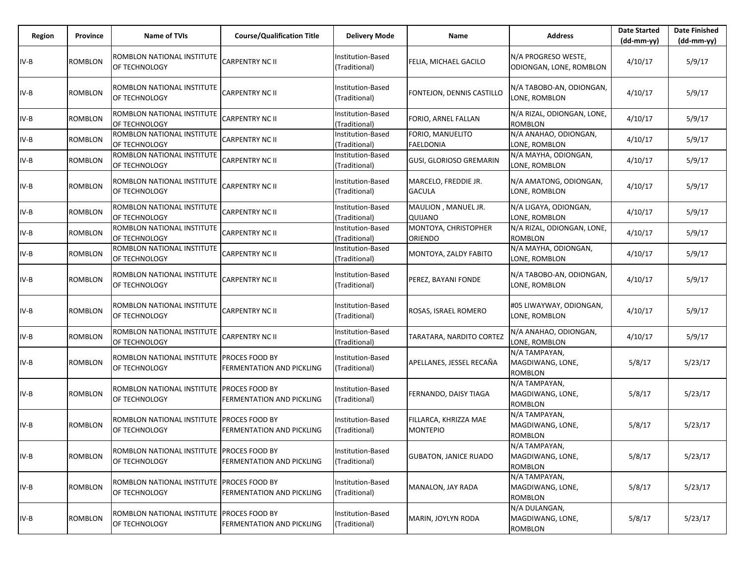| Region | Province       | <b>Name of TVIs</b>                                        | <b>Course/Qualification Title</b>                  | <b>Delivery Mode</b>               | Name                                     | <b>Address</b>                                      | <b>Date Started</b><br>$(dd-mm-yy)$ | <b>Date Finished</b><br>$(dd-mm-yy)$ |
|--------|----------------|------------------------------------------------------------|----------------------------------------------------|------------------------------------|------------------------------------------|-----------------------------------------------------|-------------------------------------|--------------------------------------|
| $IV-B$ | ROMBLON        | ROMBLON NATIONAL INSTITUTE<br>OF TECHNOLOGY                | CARPENTRY NC II                                    | Institution-Based<br>(Traditional) | FELIA, MICHAEL GACILO                    | N/A PROGRESO WESTE,<br>ODIONGAN, LONE, ROMBLON      | 4/10/17                             | 5/9/17                               |
| IV-B   | ROMBLON        | ROMBLON NATIONAL INSTITUTE<br>OF TECHNOLOGY                | CARPENTRY NC II                                    | Institution-Based<br>(Traditional) | FONTEJON, DENNIS CASTILLO                | N/A TABOBO-AN, ODIONGAN,<br>LONE, ROMBLON           | 4/10/17                             | 5/9/17                               |
| IV-B   | <b>ROMBLON</b> | ROMBLON NATIONAL INSTITUTE<br>OF TECHNOLOGY                | <b>CARPENTRY NC II</b>                             | Institution-Based<br>(Traditional) | FORIO, ARNEL FALLAN                      | N/A RIZAL, ODIONGAN, LONE,<br><b>ROMBLON</b>        | 4/10/17                             | 5/9/17                               |
| IV-B   | ROMBLON        | ROMBLON NATIONAL INSTITUTE<br>OF TECHNOLOGY                | CARPENTRY NC II                                    | Institution-Based<br>(Traditional) | FORIO, MANUELITO<br><b>FAELDONIA</b>     | N/A ANAHAO, ODIONGAN,<br>LONE, ROMBLON              | 4/10/17                             | 5/9/17                               |
| IV-B   | ROMBLON        | ROMBLON NATIONAL INSTITUTE<br>OF TECHNOLOGY                | CARPENTRY NC II                                    | Institution-Based<br>(Traditional) | <b>GUSI, GLORIOSO GREMARIN</b>           | N/A MAYHA, ODIONGAN,<br>LONE, ROMBLON               | 4/10/17                             | 5/9/17                               |
| IV-B   | ROMBLON        | ROMBLON NATIONAL INSTITUTE<br>OF TECHNOLOGY                | <b>CARPENTRY NC II</b>                             | Institution-Based<br>(Traditional) | MARCELO, FREDDIE JR.<br><b>GACULA</b>    | N/A AMATONG, ODIONGAN,<br>LONE, ROMBLON             | 4/10/17                             | 5/9/17                               |
| IV-B   | ROMBLON        | ROMBLON NATIONAL INSTITUTE<br>OF TECHNOLOGY                | CARPENTRY NC II                                    | Institution-Based<br>(Traditional) | MAULION, MANUEL JR.<br>QUIJANO           | N/A LIGAYA, ODIONGAN,<br>LONE, ROMBLON              | 4/10/17                             | 5/9/17                               |
| IV-B   | <b>ROMBLON</b> | ROMBLON NATIONAL INSTITUTE<br>OF TECHNOLOGY                | CARPENTRY NC II                                    | Institution-Based<br>(Traditional) | MONTOYA, CHRISTOPHER<br>ORIENDO          | N/A RIZAL, ODIONGAN, LONE,<br><b>ROMBLON</b>        | 4/10/17                             | 5/9/17                               |
| IV-B   | <b>ROMBLON</b> | ROMBLON NATIONAL INSTITUTE<br>OF TECHNOLOGY                | <b>CARPENTRY NC II</b>                             | Institution-Based<br>(Traditional) | MONTOYA, ZALDY FABITO                    | N/A MAYHA, ODIONGAN,<br>LONE, ROMBLON               | 4/10/17                             | 5/9/17                               |
| $IV-B$ | ROMBLON        | ROMBLON NATIONAL INSTITUTE<br>OF TECHNOLOGY                | CARPENTRY NC II                                    | Institution-Based<br>(Traditional) | PEREZ, BAYANI FONDE                      | N/A TABOBO-AN, ODIONGAN,<br>LONE, ROMBLON           | 4/10/17                             | 5/9/17                               |
| IV-B   | ROMBLON        | ROMBLON NATIONAL INSTITUTE<br>OF TECHNOLOGY                | CARPENTRY NC II                                    | Institution-Based<br>(Traditional) | ROSAS, ISRAEL ROMERO                     | #05 LIWAYWAY, ODIONGAN,<br>LONE, ROMBLON            | 4/10/17                             | 5/9/17                               |
| IV-B   | <b>ROMBLON</b> | ROMBLON NATIONAL INSTITUTE<br>OF TECHNOLOGY                | CARPENTRY NC II                                    | Institution-Based<br>Traditional)  | TARATARA, NARDITO CORTEZ                 | N/A ANAHAO, ODIONGAN,<br>LONE, ROMBLON              | 4/10/17                             | 5/9/17                               |
| $IV-B$ | <b>ROMBLON</b> | ROMBLON NATIONAL INSTITUTE<br>OF TECHNOLOGY                | <b>PROCES FOOD BY</b><br>FERMENTATION AND PICKLING | Institution-Based<br>(Traditional) | APELLANES, JESSEL RECAÑA                 | N/A TAMPAYAN,<br>MAGDIWANG, LONE,<br><b>ROMBLON</b> | 5/8/17                              | 5/23/17                              |
| $IV-B$ | <b>ROMBLON</b> | ROMBLON NATIONAL INSTITUTE<br>OF TECHNOLOGY                | PROCES FOOD BY<br>FERMENTATION AND PICKLING        | Institution-Based<br>Traditional)  | FERNANDO, DAISY TIAGA                    | N/A TAMPAYAN,<br>MAGDIWANG, LONE,<br><b>ROMBLON</b> | 5/8/17                              | 5/23/17                              |
| $IV-B$ | ROMBLON        | ROMBLON NATIONAL INSTITUTE<br>OF TECHNOLOGY                | <b>PROCES FOOD BY</b><br>FERMENTATION AND PICKLING | Institution-Based<br>(Traditional) | FILLARCA, KHRIZZA MAE<br><b>MONTEPIO</b> | N/A TAMPAYAN,<br>MAGDIWANG, LONE,<br><b>ROMBLON</b> | 5/8/17                              | 5/23/17                              |
| $IV-B$ | <b>ROMBLON</b> | ROMBLON NATIONAL INSTITUTE PROCES FOOD BY<br>OF TECHNOLOGY | <b>FERMENTATION AND PICKLING</b>                   | Institution-Based<br>(Traditional) | <b>GUBATON, JANICE RUADO</b>             | N/A TAMPAYAN,<br>MAGDIWANG, LONE,<br><b>ROMBLON</b> | 5/8/17                              | 5/23/17                              |
| $IV-B$ | ROMBLON        | ROMBLON NATIONAL INSTITUTE PROCES FOOD BY<br>OF TECHNOLOGY | <b>FERMENTATION AND PICKLING</b>                   | Institution-Based<br>(Traditional) | MANALON, JAY RADA                        | N/A TAMPAYAN,<br>MAGDIWANG, LONE,<br><b>ROMBLON</b> | 5/8/17                              | 5/23/17                              |
| $IV-B$ | <b>ROMBLON</b> | ROMBLON NATIONAL INSTITUTE<br>OF TECHNOLOGY                | PROCES FOOD BY<br>FERMENTATION AND PICKLING        | Institution-Based<br>(Traditional) | MARIN, JOYLYN RODA                       | N/A DULANGAN,<br>MAGDIWANG, LONE,<br><b>ROMBLON</b> | 5/8/17                              | 5/23/17                              |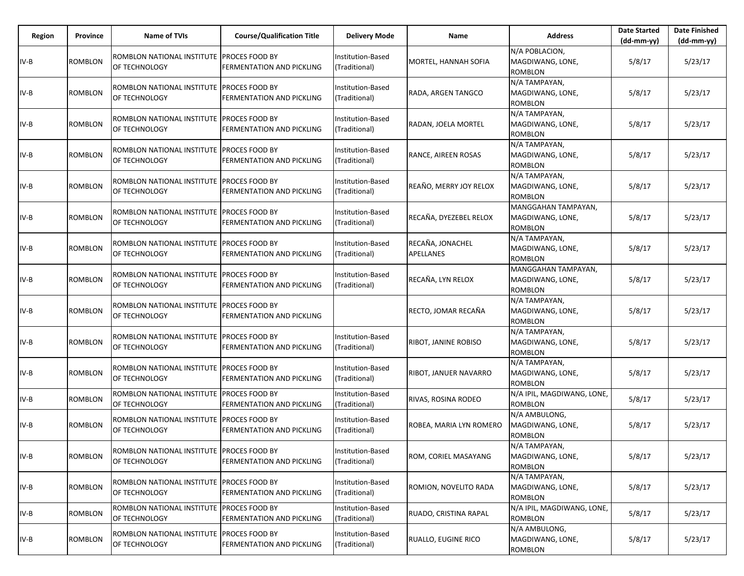| Region | Province       | <b>Name of TVIs</b>                                          | <b>Course/Qualification Title</b>                         | <b>Delivery Mode</b>               | Name                                 | <b>Address</b>                                            | <b>Date Started</b><br>$(dd-mm-yy)$ | <b>Date Finished</b><br>$(dd-mm-yy)$ |
|--------|----------------|--------------------------------------------------------------|-----------------------------------------------------------|------------------------------------|--------------------------------------|-----------------------------------------------------------|-------------------------------------|--------------------------------------|
| IV-B   | <b>ROMBLON</b> | ROMBLON NATIONAL INSTITUTE<br>OF TECHNOLOGY                  | <b>PROCES FOOD BY</b><br>FERMENTATION AND PICKLING        | Institution-Based<br>(Traditional) | MORTEL, HANNAH SOFIA                 | N/A POBLACION,<br>MAGDIWANG, LONE,<br><b>ROMBLON</b>      | 5/8/17                              | 5/23/17                              |
| IV-B   | ROMBLON        | ROMBLON NATIONAL INSTITUTE<br>OF TECHNOLOGY                  | <b>PROCES FOOD BY</b><br>FERMENTATION AND PICKLING        | Institution-Based<br>(Traditional) | RADA, ARGEN TANGCO                   | N/A TAMPAYAN,<br>MAGDIWANG, LONE,<br>ROMBLON              | 5/8/17                              | 5/23/17                              |
| IV-B   | <b>ROMBLON</b> | ROMBLON NATIONAL INSTITUTE<br>OF TECHNOLOGY                  | <b>PROCES FOOD BY</b><br><b>FERMENTATION AND PICKLING</b> | Institution-Based<br>(Traditional) | RADAN, JOELA MORTEL                  | N/A TAMPAYAN,<br>MAGDIWANG, LONE,<br>ROMBLON              | 5/8/17                              | 5/23/17                              |
| IV-B   | ROMBLON        | ROMBLON NATIONAL INSTITUTE<br>OF TECHNOLOGY                  | <b>PROCES FOOD BY</b><br>FERMENTATION AND PICKLING        | Institution-Based<br>(Traditional) | RANCE, AIREEN ROSAS                  | N/A TAMPAYAN,<br>MAGDIWANG, LONE,<br>ROMBLON              | 5/8/17                              | 5/23/17                              |
| IV-B   | ROMBLON        | ROMBLON NATIONAL INSTITUTE PROCES FOOD BY<br>OF TECHNOLOGY   | FERMENTATION AND PICKLING                                 | Institution-Based<br>(Traditional) | REAÑO, MERRY JOY RELOX               | N/A TAMPAYAN,<br>MAGDIWANG, LONE,<br><b>ROMBLON</b>       | 5/8/17                              | 5/23/17                              |
| IV-B   | ROMBLON        | ROMBLON NATIONAL INSTITUTE<br>OF TECHNOLOGY                  | <b>PROCES FOOD BY</b><br>FERMENTATION AND PICKLING        | Institution-Based<br>(Traditional) | RECAÑA, DYEZEBEL RELOX               | MANGGAHAN TAMPAYAN,<br>MAGDIWANG, LONE,<br>ROMBLON        | 5/8/17                              | 5/23/17                              |
| IV-B   | ROMBLON        | ROMBLON NATIONAL INSTITUTE PROCES FOOD BY<br>OF TECHNOLOGY   | FERMENTATION AND PICKLING                                 | Institution-Based<br>(Traditional) | RECAÑA, JONACHEL<br><b>APELLANES</b> | N/A TAMPAYAN,<br>MAGDIWANG, LONE,<br><b>ROMBLON</b>       | 5/8/17                              | 5/23/17                              |
| IV-B   | <b>ROMBLON</b> | ROMBLON NATIONAL INSTITUTE<br>OF TECHNOLOGY                  | <b>PROCES FOOD BY</b><br>FERMENTATION AND PICKLING        | Institution-Based<br>(Traditional) | RECAÑA, LYN RELOX                    | MANGGAHAN TAMPAYAN,<br>MAGDIWANG, LONE,<br><b>ROMBLON</b> | 5/8/17                              | 5/23/17                              |
| IV-B   | <b>ROMBLON</b> | ROMBLON NATIONAL INSTITUTE<br>OF TECHNOLOGY                  | <b>PROCES FOOD BY</b><br>FERMENTATION AND PICKLING        |                                    | RECTO, JOMAR RECAÑA                  | N/A TAMPAYAN,<br>MAGDIWANG, LONE,<br><b>ROMBLON</b>       | 5/8/17                              | 5/23/17                              |
| IV-B   | <b>ROMBLON</b> | ROMBLON NATIONAL INSTITUTE<br>OF TECHNOLOGY                  | PROCES FOOD BY<br>FERMENTATION AND PICKLING               | Institution-Based<br>(Traditional) | RIBOT, JANINE ROBISO                 | N/A TAMPAYAN,<br>MAGDIWANG, LONE,<br><b>ROMBLON</b>       | 5/8/17                              | 5/23/17                              |
| $IV-B$ | <b>ROMBLON</b> | ROMBLON NATIONAL INSTITUTE   PROCES FOOD BY<br>OF TECHNOLOGY | FERMENTATION AND PICKLING                                 | Institution-Based<br>(Traditional) | RIBOT, JANUER NAVARRO                | N/A TAMPAYAN,<br>MAGDIWANG, LONE,<br><b>ROMBLON</b>       | 5/8/17                              | 5/23/17                              |
| IV-B   | <b>ROMBLON</b> | ROMBLON NATIONAL INSTITUTE<br>OF TECHNOLOGY                  | <b>PROCES FOOD BY</b><br>FERMENTATION AND PICKLING        | Institution-Based<br>(Traditional) | RIVAS, ROSINA RODEO                  | N/A IPIL, MAGDIWANG, LONE,<br><b>ROMBLON</b>              | 5/8/17                              | 5/23/17                              |
| IV-B   | <b>ROMBLON</b> | ROMBLON NATIONAL INSTITUTE PROCES FOOD BY<br>OF TECHNOLOGY   | FERMENTATION AND PICKLING                                 | Institution-Based<br>(Traditional) | ROBEA, MARIA LYN ROMERO              | N/A AMBULONG,<br>MAGDIWANG, LONE,<br><b>ROMBLON</b>       | 5/8/17                              | 5/23/17                              |
| $IV-B$ | <b>ROMBLON</b> | ROMBLON NATIONAL INSTITUTE PROCES FOOD BY<br>OF TECHNOLOGY   | FERMENTATION AND PICKLING                                 | Institution-Based<br>(Traditional) | ROM, CORIEL MASAYANG                 | N/A TAMPAYAN,<br>MAGDIWANG, LONE,<br><b>ROMBLON</b>       | 5/8/17                              | 5/23/17                              |
| $IV-B$ | ROMBLON        | ROMBLON NATIONAL INSTITUTE PROCES FOOD BY<br>OF TECHNOLOGY   | FERMENTATION AND PICKLING                                 | Institution-Based<br>(Traditional) | ROMION, NOVELITO RADA                | N/A TAMPAYAN,<br>MAGDIWANG, LONE,<br><b>ROMBLON</b>       | 5/8/17                              | 5/23/17                              |
| $IV-B$ | ROMBLON        | ROMBLON NATIONAL INSTITUTE PROCES FOOD BY<br>OF TECHNOLOGY   | FERMENTATION AND PICKLING                                 | Institution-Based<br>(Traditional) | RUADO, CRISTINA RAPAL                | N/A IPIL, MAGDIWANG, LONE,<br><b>ROMBLON</b>              | 5/8/17                              | 5/23/17                              |
| $IV-B$ | ROMBLON        | ROMBLON NATIONAL INSTITUTE<br>OF TECHNOLOGY                  | <b>PROCES FOOD BY</b><br>FERMENTATION AND PICKLING        | Institution-Based<br>(Traditional) | RUALLO, EUGINE RICO                  | N/A AMBULONG,<br>MAGDIWANG, LONE,<br>ROMBLON              | 5/8/17                              | 5/23/17                              |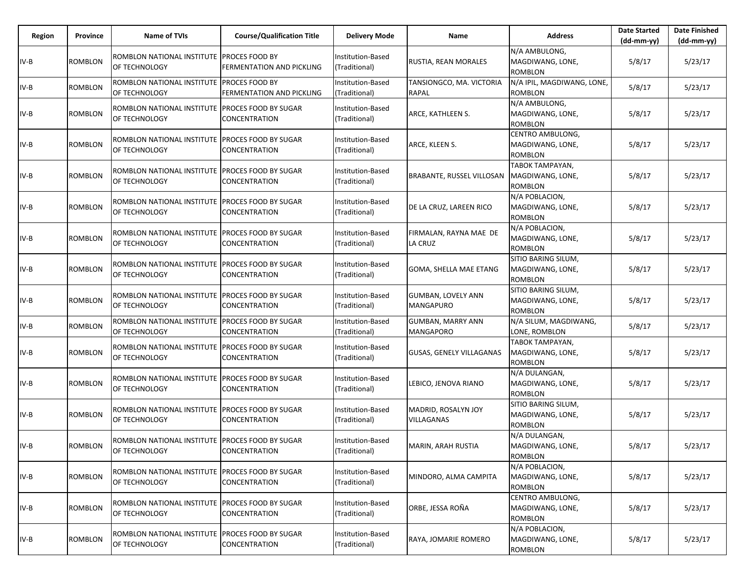| Region | Province | <b>Name of TVIs</b>                                                | <b>Course/Qualification Title</b>                   | <b>Delivery Mode</b>                      | Name                                          | <b>Address</b>                                            | <b>Date Started</b><br>$(dd-mm-yy)$ | <b>Date Finished</b><br>(dd-mm-yy) |
|--------|----------|--------------------------------------------------------------------|-----------------------------------------------------|-------------------------------------------|-----------------------------------------------|-----------------------------------------------------------|-------------------------------------|------------------------------------|
| IV-B   | ROMBLON  | ROMBLON NATIONAL INSTITUTE PROCES FOOD BY<br>OF TECHNOLOGY         | <b>FERMENTATION AND PICKLING</b>                    | Institution-Based<br>(Traditional)        | RUSTIA, REAN MORALES                          | N/A AMBULONG,<br>MAGDIWANG, LONE,<br><b>ROMBLON</b>       | 5/8/17                              | 5/23/17                            |
| IV-B   | ROMBLON  | ROMBLON NATIONAL INSTITUTE<br>OF TECHNOLOGY                        | <b>PROCES FOOD BY</b><br>FERMENTATION AND PICKLING  | <b>Institution-Based</b><br>(Traditional) | TANSIONGCO, MA. VICTORIA<br>RAPAL             | N/A IPIL, MAGDIWANG, LONE,<br><b>ROMBLON</b>              | 5/8/17                              | 5/23/17                            |
| IV-B   | ROMBLON  | ROMBLON NATIONAL INSTITUTE   PROCES FOOD BY SUGAR<br>OF TECHNOLOGY | <b>CONCENTRATION</b>                                | Institution-Based<br>(Traditional)        | ARCE, KATHLEEN S.                             | N/A AMBULONG,<br>MAGDIWANG, LONE,<br><b>ROMBLON</b>       | 5/8/17                              | 5/23/17                            |
| IV-B   | ROMBLON  | ROMBLON NATIONAL INSTITUTE<br>OF TECHNOLOGY                        | PROCES FOOD BY SUGAR<br>CONCENTRATION               | Institution-Based<br>(Traditional)        | ARCE, KLEEN S.                                | CENTRO AMBULONG,<br>MAGDIWANG, LONE,<br><b>ROMBLON</b>    | 5/8/17                              | 5/23/17                            |
| IV-B   | ROMBLON  | ROMBLON NATIONAL INSTITUTE PROCES FOOD BY SUGAR<br>OF TECHNOLOGY   | CONCENTRATION                                       | Institution-Based<br>(Traditional)        | BRABANTE, RUSSEL VILLOSAN                     | TABOK TAMPAYAN,<br>MAGDIWANG, LONE,<br><b>ROMBLON</b>     | 5/8/17                              | 5/23/17                            |
| IV-B   | ROMBLON  | ROMBLON NATIONAL INSTITUTE<br>OF TECHNOLOGY                        | PROCES FOOD BY SUGAR<br>CONCENTRATION               | Institution-Based<br>(Traditional)        | DE LA CRUZ, LAREEN RICO                       | N/A POBLACION,<br>MAGDIWANG, LONE,<br><b>ROMBLON</b>      | 5/8/17                              | 5/23/17                            |
| $IV-B$ | ROMBLON  | ROMBLON NATIONAL INSTITUTE   PROCES FOOD BY SUGAR<br>OF TECHNOLOGY | CONCENTRATION                                       | Institution-Based<br>(Traditional)        | FIRMALAN, RAYNA MAE DE<br>LA CRUZ             | N/A POBLACION,<br>MAGDIWANG, LONE,<br><b>ROMBLON</b>      | 5/8/17                              | 5/23/17                            |
| $IV-B$ | ROMBLON  | ROMBLON NATIONAL INSTITUTE<br>OF TECHNOLOGY                        | PROCES FOOD BY SUGAR<br>CONCENTRATION               | Institution-Based<br>(Traditional)        | GOMA, SHELLA MAE ETANG                        | SITIO BARING SILUM,<br>MAGDIWANG, LONE,<br><b>ROMBLON</b> | 5/8/17                              | 5/23/17                            |
| $IV-B$ | ROMBLON  | ROMBLON NATIONAL INSTITUTE PROCES FOOD BY SUGAR<br>OF TECHNOLOGY   | CONCENTRATION                                       | Institution-Based<br>(Traditional)        | <b>GUMBAN, LOVELY ANN</b><br><b>MANGAPURO</b> | SITIO BARING SILUM,<br>MAGDIWANG, LONE,<br><b>ROMBLON</b> | 5/8/17                              | 5/23/17                            |
| IV-B   | ROMBLON  | ROMBLON NATIONAL INSTITUTE<br>OF TECHNOLOGY                        | PROCES FOOD BY SUGAR<br><b>CONCENTRATION</b>        | Institution-Based<br>(Traditional)        | <b>GUMBAN, MARRY ANN</b><br><b>MANGAPORO</b>  | N/A SILUM, MAGDIWANG,<br>LONE, ROMBLON                    | 5/8/17                              | 5/23/17                            |
| IV-B   | ROMBLON  | ROMBLON NATIONAL INSTITUTE<br>OF TECHNOLOGY                        | PROCES FOOD BY SUGAR<br>CONCENTRATION               | Institution-Based<br>(Traditional)        | GUSAS, GENELY VILLAGANAS                      | TABOK TAMPAYAN,<br>MAGDIWANG, LONE,<br><b>ROMBLON</b>     | 5/8/17                              | 5/23/17                            |
| $IV-B$ | ROMBLON  | ROMBLON NATIONAL INSTITUTE<br>OF TECHNOLOGY                        | <b>PROCES FOOD BY SUGAR</b><br><b>CONCENTRATION</b> | Institution-Based<br>(Traditional)        | LEBICO, JENOVA RIANO                          | N/A DULANGAN,<br>MAGDIWANG, LONE,<br><b>ROMBLON</b>       | 5/8/17                              | 5/23/17                            |
| $IV-B$ | ROMBLON  | ROMBLON NATIONAL INSTITUTE<br>OF TECHNOLOGY                        | PROCES FOOD BY SUGAR<br>CONCENTRATION               | Institution-Based<br>(Traditional)        | MADRID, ROSALYN JOY<br>VILLAGANAS             | SITIO BARING SILUM,<br>MAGDIWANG, LONE,<br><b>ROMBLON</b> | 5/8/17                              | 5/23/17                            |
| IV-B   | ROMBLON  | ROMBLON NATIONAL INSTITUTE PROCES FOOD BY SUGAR<br>OF TECHNOLOGY   | <b>CONCENTRATION</b>                                | Institution-Based<br>(Traditional)        | MARIN, ARAH RUSTIA                            | N/A DULANGAN,<br>MAGDIWANG, LONE,<br><b>ROMBLON</b>       | 5/8/17                              | 5/23/17                            |
| $IV-B$ | ROMBLON  | ROMBLON NATIONAL INSTITUTE<br>OF TECHNOLOGY                        | <b>PROCES FOOD BY SUGAR</b><br>CONCENTRATION        | Institution-Based<br>(Traditional)        | MINDORO, ALMA CAMPITA                         | N/A POBLACION,<br>MAGDIWANG, LONE,<br><b>ROMBLON</b>      | 5/8/17                              | 5/23/17                            |
| $IV-B$ | ROMBLON  | ROMBLON NATIONAL INSTITUTE   PROCES FOOD BY SUGAR<br>OF TECHNOLOGY | CONCENTRATION                                       | Institution-Based<br>(Traditional)        | ORBE, JESSA ROÑA                              | CENTRO AMBULONG,<br>MAGDIWANG, LONE,<br><b>ROMBLON</b>    | 5/8/17                              | 5/23/17                            |
| IV-B   | ROMBLON  | ROMBLON NATIONAL INSTITUTE<br>OF TECHNOLOGY                        | PROCES FOOD BY SUGAR<br>CONCENTRATION               | Institution-Based<br>(Traditional)        | RAYA, JOMARIE ROMERO                          | N/A POBLACION,<br>MAGDIWANG, LONE,<br><b>ROMBLON</b>      | 5/8/17                              | 5/23/17                            |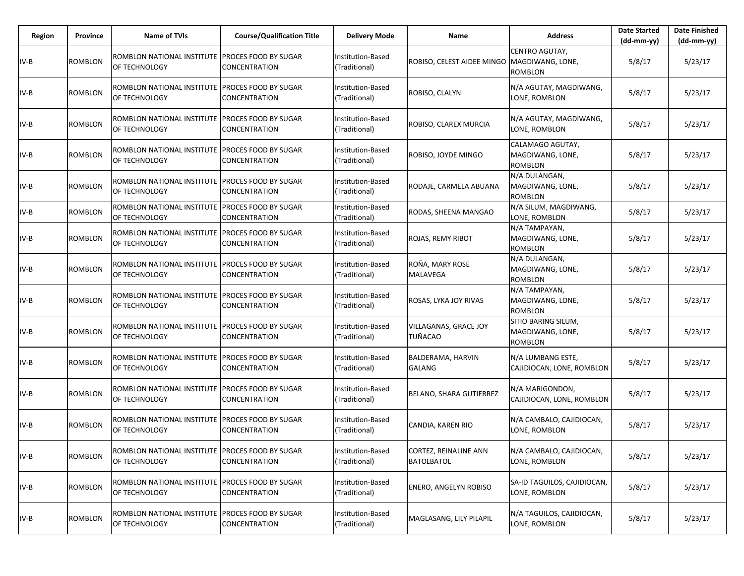| Region | Province       | Name of TVIs                                                     | <b>Course/Qualification Title</b>            | <b>Delivery Mode</b>               | Name                                        | <b>Address</b>                                            | <b>Date Started</b><br>$(dd-mm-yy)$ | <b>Date Finished</b><br>$(dd-mm-yy)$ |
|--------|----------------|------------------------------------------------------------------|----------------------------------------------|------------------------------------|---------------------------------------------|-----------------------------------------------------------|-------------------------------------|--------------------------------------|
| $IV-B$ | <b>ROMBLON</b> | ROMBLON NATIONAL INSTITUTE<br>OF TECHNOLOGY                      | <b>PROCES FOOD BY SUGAR</b><br>CONCENTRATION | Institution-Based<br>(Traditional) | ROBISO, CELEST AIDEE MINGO MAGDIWANG, LONE, | CENTRO AGUTAY,<br><b>ROMBLON</b>                          | 5/8/17                              | 5/23/17                              |
| IV-B   | <b>ROMBLON</b> | ROMBLON NATIONAL INSTITUTE<br>OF TECHNOLOGY                      | <b>PROCES FOOD BY SUGAR</b><br>CONCENTRATION | Institution-Based<br>(Traditional) | ROBISO, CLALYN                              | N/A AGUTAY, MAGDIWANG,<br>LONE, ROMBLON                   | 5/8/17                              | 5/23/17                              |
| IV-B   | <b>ROMBLON</b> | ROMBLON NATIONAL INSTITUTE<br>OF TECHNOLOGY                      | <b>PROCES FOOD BY SUGAR</b><br>CONCENTRATION | Institution-Based<br>(Traditional) | ROBISO, CLAREX MURCIA                       | N/A AGUTAY, MAGDIWANG,<br>LONE. ROMBLON                   | 5/8/17                              | 5/23/17                              |
| IV-B   | <b>ROMBLON</b> | ROMBLON NATIONAL INSTITUTE<br>OF TECHNOLOGY                      | <b>PROCES FOOD BY SUGAR</b><br>CONCENTRATION | Institution-Based<br>(Traditional) | ROBISO, JOYDE MINGO                         | CALAMAGO AGUTAY,<br>MAGDIWANG, LONE,<br><b>ROMBLON</b>    | 5/8/17                              | 5/23/17                              |
| IV-B   | ROMBLON        | ROMBLON NATIONAL INSTITUTE<br><b>OF TECHNOLOGY</b>               | <b>PROCES FOOD BY SUGAR</b><br>CONCENTRATION | Institution-Based<br>(Traditional) | RODAJE, CARMELA ABUANA                      | N/A DULANGAN,<br>MAGDIWANG, LONE,<br><b>ROMBLON</b>       | 5/8/17                              | 5/23/17                              |
| IV-B   | ROMBLON        | ROMBLON NATIONAL INSTITUTE<br>OF TECHNOLOGY                      | PROCES FOOD BY SUGAR<br>CONCENTRATION        | Institution-Based<br>(Traditional) | RODAS, SHEENA MANGAO                        | N/A SILUM, MAGDIWANG,<br>LONE, ROMBLON                    | 5/8/17                              | 5/23/17                              |
| IV-B   | <b>ROMBLON</b> | ROMBLON NATIONAL INSTITUTE PROCES FOOD BY SUGAR<br>OF TECHNOLOGY | CONCENTRATION                                | Institution-Based<br>(Traditional) | ROJAS, REMY RIBOT                           | N/A TAMPAYAN,<br>MAGDIWANG, LONE,<br><b>ROMBLON</b>       | 5/8/17                              | 5/23/17                              |
| IV-B   | <b>ROMBLON</b> | ROMBLON NATIONAL INSTITUTE<br>OF TECHNOLOGY                      | PROCES FOOD BY SUGAR<br>CONCENTRATION        | Institution-Based<br>(Traditional) | ROÑA, MARY ROSE<br><b>MALAVEGA</b>          | N/A DULANGAN,<br>MAGDIWANG, LONE,<br><b>ROMBLON</b>       | 5/8/17                              | 5/23/17                              |
| IV-B   | <b>ROMBLON</b> | ROMBLON NATIONAL INSTITUTE PROCES FOOD BY SUGAR<br>OF TECHNOLOGY | CONCENTRATION                                | Institution-Based<br>(Traditional) | ROSAS, LYKA JOY RIVAS                       | N/A TAMPAYAN,<br>MAGDIWANG, LONE,<br><b>ROMBLON</b>       | 5/8/17                              | 5/23/17                              |
| IV-B   | <b>ROMBLON</b> | ROMBLON NATIONAL INSTITUTE<br>OF TECHNOLOGY                      | PROCES FOOD BY SUGAR<br>CONCENTRATION        | Institution-Based<br>(Traditional) | VILLAGANAS, GRACE JOY<br><b>TUÑACAO</b>     | SITIO BARING SILUM,<br>MAGDIWANG, LONE,<br><b>ROMBLON</b> | 5/8/17                              | 5/23/17                              |
| IV-B   | <b>ROMBLON</b> | ROMBLON NATIONAL INSTITUTE PROCES FOOD BY SUGAR<br>OF TECHNOLOGY | CONCENTRATION                                | Institution-Based<br>(Traditional) | BALDERAMA, HARVIN<br><b>GALANG</b>          | N/A LUMBANG ESTE,<br>CAJIDIOCAN, LONE, ROMBLON            | 5/8/17                              | 5/23/17                              |
| IV-B   | <b>ROMBLON</b> | ROMBLON NATIONAL INSTITUTE<br>OF TECHNOLOGY                      | PROCES FOOD BY SUGAR<br>CONCENTRATION        | Institution-Based<br>(Traditional) | <b>BELANO, SHARA GUTIERREZ</b>              | N/A MARIGONDON,<br>CAJIDIOCAN, LONE, ROMBLON              | 5/8/17                              | 5/23/17                              |
| IV-B   | <b>ROMBLON</b> | ROMBLON NATIONAL INSTITUTE PROCES FOOD BY SUGAR<br>OF TECHNOLOGY | CONCENTRATION                                | Institution-Based<br>(Traditional) | CANDIA, KAREN RIO                           | N/A CAMBALO, CAJIDIOCAN,<br>LONE, ROMBLON                 | 5/8/17                              | 5/23/17                              |
| IV-B   | <b>ROMBLON</b> | ROMBLON NATIONAL INSTITUTE PROCES FOOD BY SUGAR<br>OF TECHNOLOGY | CONCENTRATION                                | Institution-Based<br>(Traditional) | CORTEZ, REINALINE ANN<br><b>BATOLBATOL</b>  | N/A CAMBALO, CAJIDIOCAN,<br>LONE, ROMBLON                 | 5/8/17                              | 5/23/17                              |
| IV-B   | ROMBLON        | ROMBLON NATIONAL INSTITUTE PROCES FOOD BY SUGAR<br>OF TECHNOLOGY | CONCENTRATION                                | Institution-Based<br>(Traditional) | <b>ENERO, ANGELYN ROBISO</b>                | SA-ID TAGUILOS, CAJIDIOCAN,<br>LONE, ROMBLON              | 5/8/17                              | 5/23/17                              |
| IV-B   | <b>ROMBLON</b> | ROMBLON NATIONAL INSTITUTE<br><b>OF TECHNOLOGY</b>               | <b>PROCES FOOD BY SUGAR</b><br>CONCENTRATION | Institution-Based<br>(Traditional) | MAGLASANG, LILY PILAPIL                     | N/A TAGUILOS, CAJIDIOCAN,<br>LONE, ROMBLON                | 5/8/17                              | 5/23/17                              |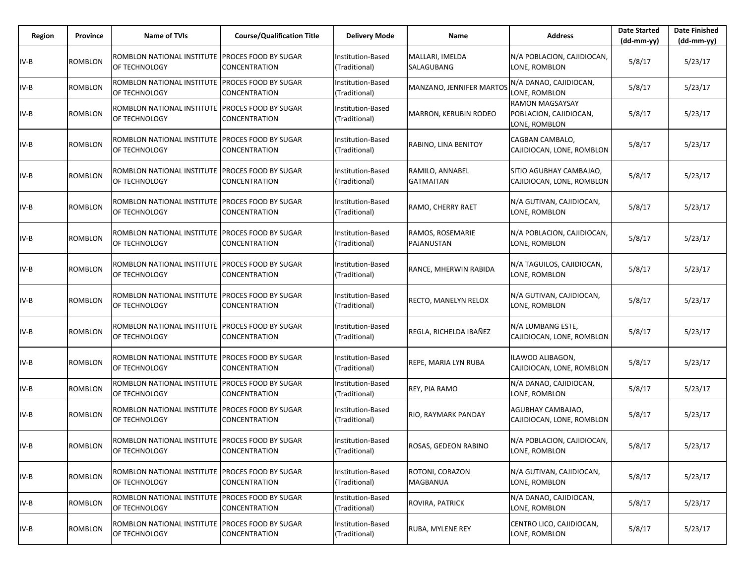| Region | Province       | Name of TVIs                                                     | <b>Course/Qualification Title</b>            | <b>Delivery Mode</b>               | Name                                | <b>Address</b>                                                    | <b>Date Started</b><br>$(dd-mm-yy)$ | <b>Date Finished</b><br>(dd-mm-yy) |
|--------|----------------|------------------------------------------------------------------|----------------------------------------------|------------------------------------|-------------------------------------|-------------------------------------------------------------------|-------------------------------------|------------------------------------|
| IV-B   | ROMBLON        | ROMBLON NATIONAL INSTITUTE<br>OF TECHNOLOGY                      | <b>PROCES FOOD BY SUGAR</b><br>CONCENTRATION | Institution-Based<br>(Traditional) | MALLARI, IMELDA<br>SALAGUBANG       | N/A POBLACION, CAJIDIOCAN,<br>LONE, ROMBLON                       | 5/8/17                              | 5/23/17                            |
| IV-B   | ROMBLON        | ROMBLON NATIONAL INSTITUTE<br>OF TECHNOLOGY                      | PROCES FOOD BY SUGAR<br>CONCENTRATION        | Institution-Based<br>(Traditional) | MANZANO, JENNIFER MARTOS            | N/A DANAO, CAJIDIOCAN,<br>LONE, ROMBLON                           | 5/8/17                              | 5/23/17                            |
| $IV-B$ | <b>ROMBLON</b> | ROMBLON NATIONAL INSTITUTE<br>OF TECHNOLOGY                      | <b>PROCES FOOD BY SUGAR</b><br>CONCENTRATION | Institution-Based<br>(Traditional) | <b>MARRON, KERUBIN RODEO</b>        | <b>RAMON MAGSAYSAY</b><br>POBLACION, CAJIDIOCAN,<br>LONE, ROMBLON | 5/8/17                              | 5/23/17                            |
| IV-B   | ROMBLON        | ROMBLON NATIONAL INSTITUTE<br>OF TECHNOLOGY                      | PROCES FOOD BY SUGAR<br>CONCENTRATION        | nstitution-Based<br>(Traditional)  | RABINO, LINA BENITOY                | CAGBAN CAMBALO,<br>CAJIDIOCAN, LONE, ROMBLON                      | 5/8/17                              | 5/23/17                            |
| $IV-B$ | <b>ROMBLON</b> | ROMBLON NATIONAL INSTITUTE<br>OF TECHNOLOGY                      | <b>PROCES FOOD BY SUGAR</b><br>CONCENTRATION | Institution-Based<br>(Traditional) | RAMILO, ANNABEL<br><b>GATMAITAN</b> | SITIO AGUBHAY CAMBAJAO,<br>CAJIDIOCAN, LONE, ROMBLON              | 5/8/17                              | 5/23/17                            |
| IV-B   | ROMBLON        | ROMBLON NATIONAL INSTITUTE<br>OF TECHNOLOGY                      | PROCES FOOD BY SUGAR<br>CONCENTRATION        | nstitution-Based<br>(Traditional)  | RAMO, CHERRY RAET                   | N/A GUTIVAN, CAJIDIOCAN,<br>LONE, ROMBLON                         | 5/8/17                              | 5/23/17                            |
| IV-B   | ROMBLON        | ROMBLON NATIONAL INSTITUTE PROCES FOOD BY SUGAR<br>OF TECHNOLOGY | CONCENTRATION                                | Institution-Based<br>(Traditional) | RAMOS, ROSEMARIE<br>PAJANUSTAN      | N/A POBLACION, CAJIDIOCAN,<br>LONE, ROMBLON                       | 5/8/17                              | 5/23/17                            |
| IV-B   | <b>ROMBLON</b> | ROMBLON NATIONAL INSTITUTE<br>OF TECHNOLOGY                      | PROCES FOOD BY SUGAR<br>CONCENTRATION        | nstitution-Based<br>(Traditional)  | RANCE, MHERWIN RABIDA               | N/A TAGUILOS, CAJIDIOCAN,<br>LONE, ROMBLON                        | 5/8/17                              | 5/23/17                            |
| IV-B   | ROMBLON        | ROMBLON NATIONAL INSTITUTE PROCES FOOD BY SUGAR<br>OF TECHNOLOGY | CONCENTRATION                                | nstitution-Based<br>(Traditional)  | RECTO, MANELYN RELOX                | N/A GUTIVAN, CAJIDIOCAN,<br>LONE, ROMBLON                         | 5/8/17                              | 5/23/17                            |
| $IV-B$ | ROMBLON        | ROMBLON NATIONAL INSTITUTE<br>OF TECHNOLOGY                      | PROCES FOOD BY SUGAR<br>CONCENTRATION        | Institution-Based<br>(Traditional) | REGLA, RICHELDA IBAÑEZ              | N/A LUMBANG ESTE,<br>CAJIDIOCAN, LONE, ROMBLON                    | 5/8/17                              | 5/23/17                            |
| IV-B   | ROMBLON        | ROMBLON NATIONAL INSTITUTE PROCES FOOD BY SUGAR<br>OF TECHNOLOGY | CONCENTRATION                                | nstitution-Based<br>(Traditional)  | REPE, MARIA LYN RUBA                | ILAWOD ALIBAGON,<br>CAJIDIOCAN, LONE, ROMBLON                     | 5/8/17                              | 5/23/17                            |
| $IV-B$ | <b>ROMBLON</b> | ROMBLON NATIONAL INSTITUTE<br>OF TECHNOLOGY                      | PROCES FOOD BY SUGAR<br>CONCENTRATION        | Institution-Based<br>(Traditional) | REY, PIA RAMO                       | N/A DANAO, CAJIDIOCAN,<br>LONE, ROMBLON                           | 5/8/17                              | 5/23/17                            |
| IV-B   | ROMBLON        | ROMBLON NATIONAL INSTITUTE<br>OF TECHNOLOGY                      | PROCES FOOD BY SUGAR<br>CONCENTRATION        | Institution-Based<br>(Traditional) | RIO, RAYMARK PANDAY                 | AGUBHAY CAMBAJAO,<br>CAJIDIOCAN, LONE, ROMBLON                    | 5/8/17                              | 5/23/17                            |
| IV-B   | <b>ROMBLON</b> | ROMBLON NATIONAL INSTITUTE PROCES FOOD BY SUGAR<br>OF TECHNOLOGY | CONCENTRATION                                | Institution-Based<br>(Traditional) | ROSAS, GEDEON RABINO                | N/A POBLACION, CAJIDIOCAN,<br>LONE, ROMBLON                       | 5/8/17                              | 5/23/17                            |
| IV-B   | ROMBLON        | ROMBLON NATIONAL INSTITUTE<br>OF TECHNOLOGY                      | <b>PROCES FOOD BY SUGAR</b><br>CONCENTRATION | Institution-Based<br>(Traditional) | ROTONI, CORAZON<br>MAGBANUA         | N/A GUTIVAN, CAJIDIOCAN,<br>LONE, ROMBLON                         | 5/8/17                              | 5/23/17                            |
| IV-B   | <b>ROMBLON</b> | ROMBLON NATIONAL INSTITUTE PROCES FOOD BY SUGAR<br>OF TECHNOLOGY | CONCENTRATION                                | Institution-Based<br>(Traditional) | ROVIRA, PATRICK                     | N/A DANAO, CAJIDIOCAN,<br>LONE, ROMBLON                           | 5/8/17                              | 5/23/17                            |
| IV-B   | <b>ROMBLON</b> | ROMBLON NATIONAL INSTITUTE<br>OF TECHNOLOGY                      | PROCES FOOD BY SUGAR<br>CONCENTRATION        | Institution-Based<br>(Traditional) | RUBA, MYLENE REY                    | CENTRO LICO, CAJIDIOCAN,<br>LONE, ROMBLON                         | 5/8/17                              | 5/23/17                            |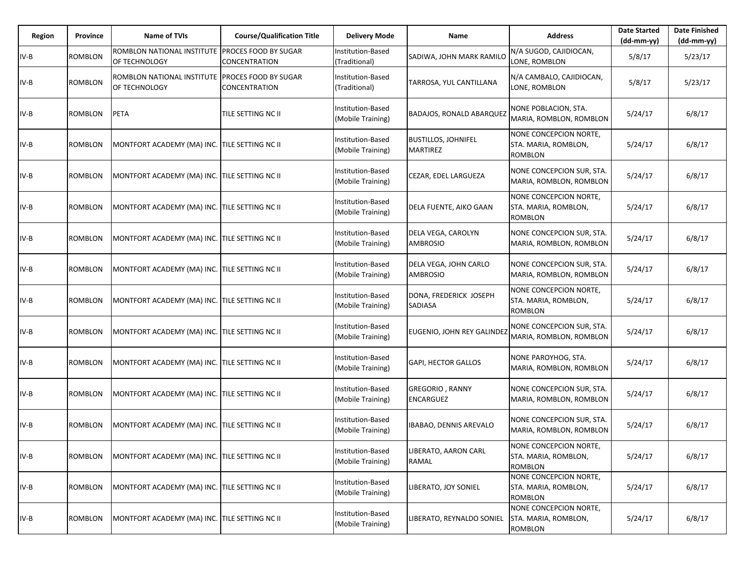| Region | Province       | <b>Name of TVIs</b>                           | <b>Course/Qualification Title</b>            | <b>Delivery Mode</b>                   | Name                                          | <b>Address</b>                                                   | <b>Date Started</b><br>$(dd-mm-yy)$ | <b>Date Finished</b><br>(dd-mm-yy) |
|--------|----------------|-----------------------------------------------|----------------------------------------------|----------------------------------------|-----------------------------------------------|------------------------------------------------------------------|-------------------------------------|------------------------------------|
| IV-B   | <b>ROMBLON</b> | ROMBLON NATIONAL INSTITUTE<br>OF TECHNOLOGY   | <b>PROCES FOOD BY SUGAR</b><br>CONCENTRATION | Institution-Based<br>(Traditional)     | SADIWA, JOHN MARK RAMILO                      | N/A SUGOD, CAJIDIOCAN,<br>LONE, ROMBLON                          | 5/8/17                              | 5/23/17                            |
| IV-B   | ROMBLON        | ROMBLON NATIONAL INSTITUTE<br>OF TECHNOLOGY   | <b>PROCES FOOD BY SUGAR</b><br>CONCENTRATION | Institution-Based<br>(Traditional)     | TARROSA, YUL CANTILLANA                       | N/A CAMBALO, CAJIDIOCAN,<br>LONE, ROMBLON                        | 5/8/17                              | 5/23/17                            |
| IV-B   | ROMBLON        | <b>PETA</b>                                   | TILE SETTING NC II                           | Institution-Based<br>(Mobile Training) | <b>BADAJOS, RONALD ABARQUEZ</b>               | NONE POBLACION, STA.<br>MARIA, ROMBLON, ROMBLON                  | 5/24/17                             | 6/8/17                             |
| IV-B   | ROMBLON        | MONTFORT ACADEMY (MA) INC. TILE SETTING NC II |                                              | Institution-Based<br>(Mobile Training) | <b>BUSTILLOS, JOHNIFEL</b><br><b>MARTIREZ</b> | NONE CONCEPCION NORTE,<br>STA. MARIA, ROMBLON,<br><b>ROMBLON</b> | 5/24/17                             | 6/8/17                             |
| IV-B   | <b>ROMBLON</b> | MONTFORT ACADEMY (MA) INC. TILE SETTING NC II |                                              | Institution-Based<br>(Mobile Training) | CEZAR, EDEL LARGUEZA                          | NONE CONCEPCION SUR, STA.<br>MARIA, ROMBLON, ROMBLON             | 5/24/17                             | 6/8/17                             |
| IV-B   | <b>ROMBLON</b> | MONTFORT ACADEMY (MA) INC. TILE SETTING NC II |                                              | Institution-Based<br>(Mobile Training) | DELA FUENTE, AIKO GAAN                        | NONE CONCEPCION NORTE,<br>STA. MARIA, ROMBLON,<br><b>ROMBLON</b> | 5/24/17                             | 6/8/17                             |
| IV-B   | <b>ROMBLON</b> | MONTFORT ACADEMY (MA) INC. TILE SETTING NC II |                                              | Institution-Based<br>(Mobile Training) | DELA VEGA, CAROLYN<br><b>AMBROSIO</b>         | NONE CONCEPCION SUR, STA.<br>MARIA, ROMBLON, ROMBLON             | 5/24/17                             | 6/8/17                             |
| IV-B   | <b>ROMBLON</b> | MONTFORT ACADEMY (MA) INC. TILE SETTING NC II |                                              | Institution-Based<br>(Mobile Training) | DELA VEGA, JOHN CARLO<br><b>AMBROSIO</b>      | NONE CONCEPCION SUR, STA.<br>MARIA, ROMBLON, ROMBLON             | 5/24/17                             | 6/8/17                             |
| IV-B   | <b>ROMBLON</b> | MONTFORT ACADEMY (MA) INC. TILE SETTING NC II |                                              | Institution-Based<br>(Mobile Training) | DONA, FREDERICK JOSEPH<br><b>SADIASA</b>      | NONE CONCEPCION NORTE,<br>STA. MARIA, ROMBLON,<br><b>ROMBLON</b> | 5/24/17                             | 6/8/17                             |
| IV-B   | <b>ROMBLON</b> | MONTFORT ACADEMY (MA) INC. TILE SETTING NC II |                                              | Institution-Based<br>(Mobile Training) | EUGENIO, JOHN REY GALINDEZ                    | NONE CONCEPCION SUR, STA.<br>MARIA, ROMBLON, ROMBLON             | 5/24/17                             | 6/8/17                             |
| $IV-B$ | <b>ROMBLON</b> | MONTFORT ACADEMY (MA) INC. TILE SETTING NC II |                                              | Institution-Based<br>(Mobile Training) | <b>GAPI, HECTOR GALLOS</b>                    | NONE PAROYHOG, STA.<br>MARIA, ROMBLON, ROMBLON                   | 5/24/17                             | 6/8/17                             |
| IV-B   | <b>ROMBLON</b> | MONTFORT ACADEMY (MA) INC. TILE SETTING NC II |                                              | Institution-Based<br>(Mobile Training) | <b>GREGORIO, RANNY</b><br><b>ENCARGUEZ</b>    | NONE CONCEPCION SUR, STA.<br>MARIA, ROMBLON, ROMBLON             | 5/24/17                             | 6/8/17                             |
| IV-B   | ROMBLON        | MONTFORT ACADEMY (MA) INC. TILE SETTING NC II |                                              | Institution-Based<br>(Mobile Training) | IBABAO, DENNIS AREVALO                        | NONE CONCEPCION SUR, STA.<br>MARIA, ROMBLON, ROMBLON             | 5/24/17                             | 6/8/17                             |
| IV-B   | ROMBLON        | MONTFORT ACADEMY (MA) INC. TILE SETTING NC II |                                              | Institution-Based<br>(Mobile Training) | LIBERATO, AARON CARL<br>RAMAL                 | NONE CONCEPCION NORTE,<br>STA. MARIA, ROMBLON,<br><b>ROMBLON</b> | 5/24/17                             | 6/8/17                             |
| IV-B   | <b>ROMBLON</b> | MONTFORT ACADEMY (MA) INC. TILE SETTING NC II |                                              | Institution-Based<br>(Mobile Training) | LIBERATO, JOY SONIEL                          | NONE CONCEPCION NORTE,<br>STA. MARIA, ROMBLON,<br><b>ROMBLON</b> | 5/24/17                             | 6/8/17                             |
| IV-B   | ROMBLON        | MONTFORT ACADEMY (MA) INC. TILE SETTING NC II |                                              | Institution-Based<br>(Mobile Training) | LIBERATO, REYNALDO SONIEL                     | NONE CONCEPCION NORTE,<br>STA. MARIA, ROMBLON,<br>ROMBLON        | 5/24/17                             | 6/8/17                             |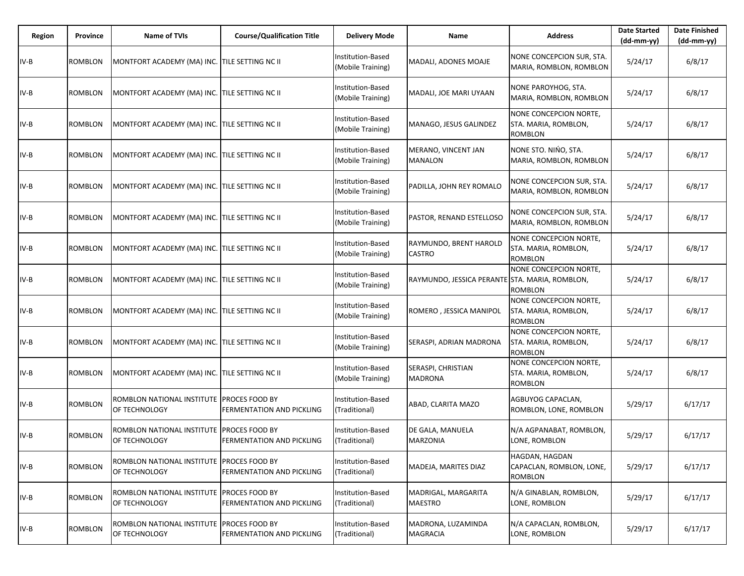| Region | Province       | <b>Name of TVIs</b>                                        | <b>Course/Qualification Title</b>                  | <b>Delivery Mode</b>                          | Name                                           | <b>Address</b>                                                   | <b>Date Started</b><br>(dd-mm-yy) | <b>Date Finished</b><br>$(dd-mm-yy)$ |
|--------|----------------|------------------------------------------------------------|----------------------------------------------------|-----------------------------------------------|------------------------------------------------|------------------------------------------------------------------|-----------------------------------|--------------------------------------|
| $IV-B$ | ROMBLON        | MONTFORT ACADEMY (MA) INC. TILE SETTING NC II              |                                                    | <b>Institution-Based</b><br>(Mobile Training) | MADALI, ADONES MOAJE                           | NONE CONCEPCION SUR, STA.<br>MARIA, ROMBLON, ROMBLON             | 5/24/17                           | 6/8/17                               |
| $IV-B$ | ROMBLON        | MONTFORT ACADEMY (MA) INC. TILE SETTING NC II              |                                                    | Institution-Based<br>(Mobile Training)        | MADALI, JOE MARI UYAAN                         | NONE PAROYHOG, STA.<br>MARIA, ROMBLON, ROMBLON                   | 5/24/17                           | 6/8/17                               |
| IV-B   | ROMBLON        | MONTFORT ACADEMY (MA) INC. TILE SETTING NC II              |                                                    | Institution-Based<br>(Mobile Training)        | MANAGO, JESUS GALINDEZ                         | NONE CONCEPCION NORTE,<br>STA. MARIA, ROMBLON,<br><b>ROMBLON</b> | 5/24/17                           | 6/8/17                               |
| $IV-B$ | ROMBLON        | MONTFORT ACADEMY (MA) INC. TILE SETTING NC II              |                                                    | Institution-Based<br>(Mobile Training)        | MERANO, VINCENT JAN<br><b>MANALON</b>          | NONE STO. NIŃO, STA.<br>MARIA, ROMBLON, ROMBLON                  | 5/24/17                           | 6/8/17                               |
| IV-B   | ROMBLON        | MONTFORT ACADEMY (MA) INC. TILE SETTING NC II              |                                                    | Institution-Based<br>(Mobile Training)        | PADILLA, JOHN REY ROMALO                       | NONE CONCEPCION SUR, STA.<br>MARIA, ROMBLON, ROMBLON             | 5/24/17                           | 6/8/17                               |
| $IV-B$ | ROMBLON        | MONTFORT ACADEMY (MA) INC. TILE SETTING NC II              |                                                    | Institution-Based<br>(Mobile Training)        | PASTOR, RENAND ESTELLOSO                       | NONE CONCEPCION SUR, STA.<br>MARIA, ROMBLON, ROMBLON             | 5/24/17                           | 6/8/17                               |
| IV-B   | ROMBLON        | MONTFORT ACADEMY (MA) INC. TILE SETTING NC II              |                                                    | Institution-Based<br>(Mobile Training)        | RAYMUNDO, BRENT HAROLD<br><b>CASTRO</b>        | NONE CONCEPCION NORTE,<br>STA. MARIA, ROMBLON,<br><b>ROMBLON</b> | 5/24/17                           | 6/8/17                               |
| $IV-B$ | ROMBLON        | MONTFORT ACADEMY (MA) INC. TILE SETTING NC II              |                                                    | Institution-Based<br>(Mobile Training)        | RAYMUNDO, JESSICA PERANTE STA. MARIA, ROMBLON, | NONE CONCEPCION NORTE,<br>ROMBLON                                | 5/24/17                           | 6/8/17                               |
| IV-B   | ROMBLON        | MONTFORT ACADEMY (MA) INC. TILE SETTING NC II              |                                                    | Institution-Based<br>(Mobile Training)        | ROMERO, JESSICA MANIPOL                        | NONE CONCEPCION NORTE,<br>STA. MARIA, ROMBLON,<br><b>ROMBLON</b> | 5/24/17                           | 6/8/17                               |
| $IV-B$ | ROMBLON        | MONTFORT ACADEMY (MA) INC. TILE SETTING NC II              |                                                    | Institution-Based<br>(Mobile Training)        | SERASPI, ADRIAN MADRONA                        | NONE CONCEPCION NORTE,<br>STA. MARIA, ROMBLON,<br><b>ROMBLON</b> | 5/24/17                           | 6/8/17                               |
| $IV-B$ | ROMBLON        | MONTFORT ACADEMY (MA) INC. TILE SETTING NC II              |                                                    | Institution-Based<br>(Mobile Training)        | SERASPI, CHRISTIAN<br><b>MADRONA</b>           | NONE CONCEPCION NORTE,<br>STA. MARIA, ROMBLON,<br><b>ROMBLON</b> | 5/24/17                           | 6/8/17                               |
| $IV-B$ | ROMBLON        | ROMBLON NATIONAL INSTITUTE<br>OF TECHNOLOGY                | PROCES FOOD BY<br>FERMENTATION AND PICKLING        | Institution-Based<br>(Traditional)            | ABAD, CLARITA MAZO                             | AGBUYOG CAPACLAN,<br>ROMBLON, LONE, ROMBLON                      | 5/29/17                           | 6/17/17                              |
| IV-B   | <b>ROMBLON</b> | ROMBLON NATIONAL INSTITUTE<br>OF TECHNOLOGY                | <b>PROCES FOOD BY</b><br>FERMENTATION AND PICKLING | Institution-Based<br>(Traditional)            | DE GALA, MANUELA<br><b>MARZONIA</b>            | N/A AGPANABAT, ROMBLON,<br>LONE, ROMBLON                         | 5/29/17                           | 6/17/17                              |
| $IV-B$ | <b>ROMBLON</b> | ROMBLON NATIONAL INSTITUTE<br>OF TECHNOLOGY                | PROCES FOOD BY<br>FERMENTATION AND PICKLING        | Institution-Based<br>(Traditional)            | MADEJA, MARITES DIAZ                           | HAGDAN, HAGDAN<br>CAPACLAN, ROMBLON, LONE,<br><b>ROMBLON</b>     | 5/29/17                           | 6/17/17                              |
| $IV-B$ | <b>ROMBLON</b> | ROMBLON NATIONAL INSTITUTE PROCES FOOD BY<br>OF TECHNOLOGY | FERMENTATION AND PICKLING                          | Institution-Based<br>(Traditional)            | MADRIGAL, MARGARITA<br><b>MAESTRO</b>          | N/A GINABLAN, ROMBLON,<br>LONE, ROMBLON                          | 5/29/17                           | 6/17/17                              |
| IV-B   | <b>ROMBLON</b> | ROMBLON NATIONAL INSTITUTE<br>OF TECHNOLOGY                | PROCES FOOD BY<br>FERMENTATION AND PICKLING        | Institution-Based<br>(Traditional)            | MADRONA, LUZAMINDA<br><b>MAGRACIA</b>          | N/A CAPACLAN, ROMBLON,<br>LONE, ROMBLON                          | 5/29/17                           | 6/17/17                              |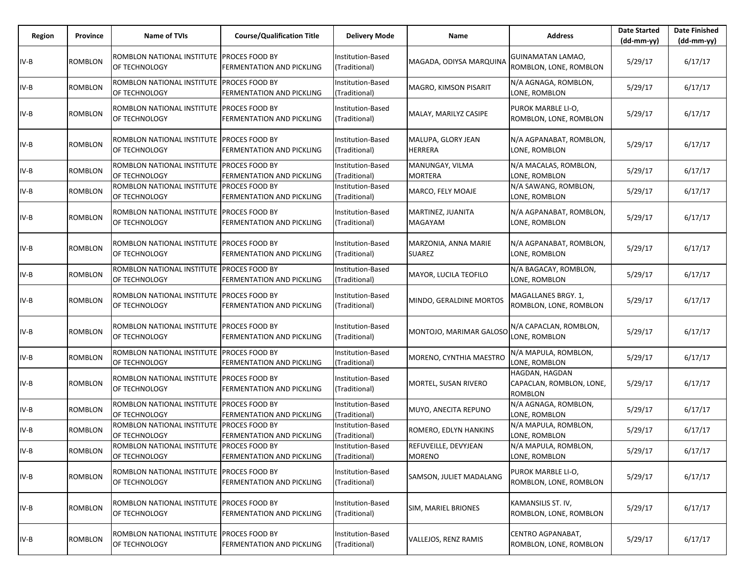| Region | Province       | Name of TVIs                                               | <b>Course/Qualification Title</b>                  | <b>Delivery Mode</b>                     | Name                                  | <b>Address</b>                                               | <b>Date Started</b><br>$(dd-mm-yy)$ | <b>Date Finished</b><br>(dd-mm-yy) |
|--------|----------------|------------------------------------------------------------|----------------------------------------------------|------------------------------------------|---------------------------------------|--------------------------------------------------------------|-------------------------------------|------------------------------------|
| IV-B   | ROMBLON        | ROMBLON NATIONAL INSTITUTE PROCES FOOD BY<br>OF TECHNOLOGY | <b>FERMENTATION AND PICKLING</b>                   | Institution-Based<br>(Traditional)       | MAGADA, ODIYSA MARQUINA               | <b>GUINAMATAN LAMAO,</b><br>ROMBLON, LONE, ROMBLON           | 5/29/17                             | 6/17/17                            |
| IV-B   | ROMBLON        | ROMBLON NATIONAL INSTITUTE<br>OF TECHNOLOGY                | <b>PROCES FOOD BY</b><br>FERMENTATION AND PICKLING | Institution-Based<br>(Traditional)       | MAGRO, KIMSON PISARIT                 | N/A AGNAGA, ROMBLON,<br>LONE, ROMBLON                        | 5/29/17                             | 6/17/17                            |
| IV-B   | ROMBLON        | ROMBLON NATIONAL INSTITUTE PROCES FOOD BY<br>OF TECHNOLOGY | FERMENTATION AND PICKLING                          | Institution-Based<br>(Traditional)       | MALAY, MARILYZ CASIPE                 | PUROK MARBLE LI-O,<br>ROMBLON, LONE, ROMBLON                 | 5/29/17                             | 6/17/17                            |
| IV-B   | ROMBLON        | ROMBLON NATIONAL INSTITUTE<br>OF TECHNOLOGY                | <b>PROCES FOOD BY</b><br>FERMENTATION AND PICKLING | Institution-Based<br>(Traditional)       | MALUPA, GLORY JEAN<br><b>HERRERA</b>  | N/A AGPANABAT, ROMBLON,<br>LONE, ROMBLON                     | 5/29/17                             | 6/17/17                            |
| $IV-B$ | ROMBLON        | ROMBLON NATIONAL INSTITUTE PROCES FOOD BY<br>OF TECHNOLOGY | <b>FERMENTATION AND PICKLING</b>                   | Institution-Based<br>(Traditional)       | MANUNGAY, VILMA<br><b>MORTERA</b>     | N/A MACALAS, ROMBLON,<br>LONE, ROMBLON                       | 5/29/17                             | 6/17/17                            |
| IV-B   | <b>ROMBLON</b> | ROMBLON NATIONAL INSTITUTE PROCES FOOD BY<br>OF TECHNOLOGY | FERMENTATION AND PICKLING                          | Institution-Based<br>(Traditional)       | MARCO, FELY MOAJE                     | N/A SAWANG, ROMBLON,<br>LONE, ROMBLON                        | 5/29/17                             | 6/17/17                            |
| IV-B   | ROMBLON        | ROMBLON NATIONAL INSTITUTE<br>OF TECHNOLOGY                | <b>PROCES FOOD BY</b><br>FERMENTATION AND PICKLING | Institution-Based<br>Traditional)        | MARTINEZ, JUANITA<br>MAGAYAM          | N/A AGPANABAT, ROMBLON,<br>LONE, ROMBLON                     | 5/29/17                             | 6/17/17                            |
| IV-B   | ROMBLON        | ROMBLON NATIONAL INSTITUTE PROCES FOOD BY<br>OF TECHNOLOGY | FERMENTATION AND PICKLING                          | Institution-Based<br>(Traditional)       | MARZONIA, ANNA MARIE<br><b>SUAREZ</b> | N/A AGPANABAT, ROMBLON,<br>LONE, ROMBLON                     | 5/29/17                             | 6/17/17                            |
| IV-B   | ROMBLON        | ROMBLON NATIONAL INSTITUTE<br>OF TECHNOLOGY                | <b>PROCES FOOD BY</b><br>FERMENTATION AND PICKLING | <b>Institution-Based</b><br>Traditional) | MAYOR, LUCILA TEOFILO                 | N/A BAGACAY, ROMBLON,<br>LONE, ROMBLON                       | 5/29/17                             | 6/17/17                            |
| $IV-B$ | ROMBLON        | ROMBLON NATIONAL INSTITUTE PROCES FOOD BY<br>OF TECHNOLOGY | FERMENTATION AND PICKLING                          | Institution-Based<br>(Traditional)       | MINDO, GERALDINE MORTOS               | MAGALLANES BRGY. 1,<br>ROMBLON, LONE, ROMBLON                | 5/29/17                             | 6/17/17                            |
| IV-B   | ROMBLON        | ROMBLON NATIONAL INSTITUTE<br>OF TECHNOLOGY                | <b>PROCES FOOD BY</b><br>FERMENTATION AND PICKLING | Institution-Based<br>(Traditional)       | MONTOJO, MARIMAR GALOSO               | N/A CAPACLAN, ROMBLON,<br>LONE, ROMBLON                      | 5/29/17                             | 6/17/17                            |
| $IV-B$ | ROMBLON        | ROMBLON NATIONAL INSTITUTE PROCES FOOD BY<br>OF TECHNOLOGY | FERMENTATION AND PICKLING                          | Institution-Based<br>(Traditional)       | MORENO, CYNTHIA MAESTRO               | N/A MAPULA, ROMBLON,<br>LONE, ROMBLON                        | 5/29/17                             | 6/17/17                            |
| IV-B   | ROMBLON        | ROMBLON NATIONAL INSTITUTE PROCES FOOD BY<br>OF TECHNOLOGY | <b>FERMENTATION AND PICKLING</b>                   | Institution-Based<br>(Traditional)       | MORTEL, SUSAN RIVERO                  | HAGDAN, HAGDAN<br>CAPACLAN, ROMBLON, LONE,<br><b>ROMBLON</b> | 5/29/17                             | 6/17/17                            |
| IV-B   | ROMBLON        | ROMBLON NATIONAL INSTITUTE<br>OF TECHNOLOGY                | <b>PROCES FOOD BY</b><br>FERMENTATION AND PICKLING | Institution-Based<br>(Traditional)       | MUYO, ANECITA REPUNO                  | N/A AGNAGA, ROMBLON,<br>LONE, ROMBLON                        | 5/29/17                             | 6/17/17                            |
| IV-B   | ROMBLON        | ROMBLON NATIONAL INSTITUTE PROCES FOOD BY<br>OF TECHNOLOGY | <b>FERMENTATION AND PICKLING</b>                   | Institution-Based<br>(Traditional)       | ROMERO, EDLYN HANKINS                 | N/A MAPULA, ROMBLON,<br>LONE, ROMBLON                        | 5/29/17                             | 6/17/17                            |
| $IV-B$ | ROMBLON        | ROMBLON NATIONAL INSTITUTE PROCES FOOD BY<br>OF TECHNOLOGY | <b>FERMENTATION AND PICKLING</b>                   | Institution-Based<br>(Traditional)       | REFUVEILLE, DEVYJEAN<br><b>MORENO</b> | N/A MAPULA, ROMBLON,<br>LONE, ROMBLON                        | 5/29/17                             | 6/17/17                            |
| $IV-B$ | ROMBLON        | ROMBLON NATIONAL INSTITUTE PROCES FOOD BY<br>OF TECHNOLOGY | FERMENTATION AND PICKLING                          | Institution-Based<br>(Traditional)       | SAMSON, JULIET MADALANG               | PUROK MARBLE LI-O,<br>ROMBLON, LONE, ROMBLON                 | 5/29/17                             | 6/17/17                            |
| $IV-B$ | ROMBLON        | ROMBLON NATIONAL INSTITUTE PROCES FOOD BY<br>OF TECHNOLOGY | <b>FERMENTATION AND PICKLING</b>                   | Institution-Based<br>(Traditional)       | SIM, MARIEL BRIONES                   | KAMANSILIS ST. IV,<br>ROMBLON, LONE, ROMBLON                 | 5/29/17                             | 6/17/17                            |
| $IV-B$ | ROMBLON        | ROMBLON NATIONAL INSTITUTE<br>OF TECHNOLOGY                | <b>PROCES FOOD BY</b><br>FERMENTATION AND PICKLING | Institution-Based<br>(Traditional)       | VALLEJOS, RENZ RAMIS                  | CENTRO AGPANABAT,<br>ROMBLON, LONE, ROMBLON                  | 5/29/17                             | 6/17/17                            |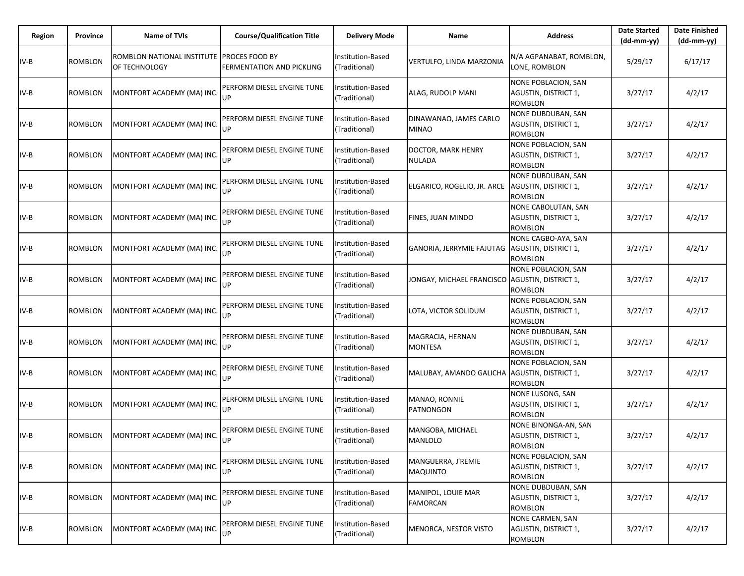| Region | Province       | <b>Name of TVIs</b>                                        | <b>Course/Qualification Title</b> | <b>Delivery Mode</b>               | Name                                             | <b>Address</b>                                                       | <b>Date Started</b><br>$(dd-mm-yy)$ | <b>Date Finished</b><br>(dd-mm-yy) |
|--------|----------------|------------------------------------------------------------|-----------------------------------|------------------------------------|--------------------------------------------------|----------------------------------------------------------------------|-------------------------------------|------------------------------------|
| IV-B   | <b>ROMBLON</b> | ROMBLON NATIONAL INSTITUTE PROCES FOOD BY<br>OF TECHNOLOGY | <b>FERMENTATION AND PICKLING</b>  | Institution-Based<br>(Traditional) | VERTULFO, LINDA MARZONIA                         | N/A AGPANABAT, ROMBLON,<br>LONE, ROMBLON                             | 5/29/17                             | 6/17/17                            |
| IV-B   | ROMBLON        | MONTFORT ACADEMY (MA) INC.                                 | PERFORM DIESEL ENGINE TUNE<br>UP  | Institution-Based<br>(Traditional) | ALAG, RUDOLP MANI                                | NONE POBLACION, SAN<br>AGUSTIN, DISTRICT 1,<br><b>ROMBLON</b>        | 3/27/17                             | 4/2/17                             |
| IV-B   | ROMBLON        | MONTFORT ACADEMY (MA) INC.                                 | PERFORM DIESEL ENGINE TUNE<br>UP  | Institution-Based<br>(Traditional) | DINAWANAO, JAMES CARLO<br><b>MINAO</b>           | <b>NONE DUBDUBAN, SAN</b><br>AGUSTIN, DISTRICT 1,<br><b>ROMBLON</b>  | 3/27/17                             | 4/2/17                             |
| IV-B   | ROMBLON        | MONTFORT ACADEMY (MA) INC.                                 | PERFORM DIESEL ENGINE TUNE<br>UP  | Institution-Based<br>(Traditional) | DOCTOR, MARK HENRY<br><b>NULADA</b>              | NONE POBLACION, SAN<br>AGUSTIN, DISTRICT 1,<br><b>ROMBLON</b>        | 3/27/17                             | 4/2/17                             |
| IV-B   | <b>ROMBLON</b> | MONTFORT ACADEMY (MA) INC.                                 | PERFORM DIESEL ENGINE TUNE<br>UP  | Institution-Based<br>(Traditional) | ELGARICO, ROGELIO, JR. ARCE                      | <b>NONE DUBDUBAN, SAN</b><br>AGUSTIN, DISTRICT 1,<br><b>ROMBLON</b>  | 3/27/17                             | 4/2/17                             |
| IV-B   | ROMBLON        | MONTFORT ACADEMY (MA) INC.                                 | PERFORM DIESEL ENGINE TUNE<br>UP  | Institution-Based<br>(Traditional) | <b>FINES, JUAN MINDO</b>                         | NONE CABOLUTAN, SAN<br>AGUSTIN, DISTRICT 1,<br><b>ROMBLON</b>        | 3/27/17                             | 4/2/17                             |
| IV-B   | <b>ROMBLON</b> | MONTFORT ACADEMY (MA) INC.                                 | PERFORM DIESEL ENGINE TUNE<br>UP  | Institution-Based<br>(Traditional) | GANORIA, JERRYMIE FAJUTAG   AGUSTIN, DISTRICT 1, | NONE CAGBO-AYA, SAN<br><b>ROMBLON</b>                                | 3/27/17                             | 4/2/17                             |
| IV-B   | <b>ROMBLON</b> | MONTFORT ACADEMY (MA) INC.                                 | PERFORM DIESEL ENGINE TUNE<br>UP  | Institution-Based<br>(Traditional) | JONGAY, MICHAEL FRANCISCO AGUSTIN, DISTRICT 1,   | NONE POBLACION, SAN<br><b>ROMBLON</b>                                | 3/27/17                             | 4/2/17                             |
| IV-B   | <b>ROMBLON</b> | MONTFORT ACADEMY (MA) INC.                                 | PERFORM DIESEL ENGINE TUNE<br>UP  | Institution-Based<br>(Traditional) | LOTA, VICTOR SOLIDUM                             | <b>NONE POBLACION, SAN</b><br>AGUSTIN, DISTRICT 1,<br><b>ROMBLON</b> | 3/27/17                             | 4/2/17                             |
| $IV-B$ | <b>ROMBLON</b> | MONTFORT ACADEMY (MA) INC.                                 | PERFORM DIESEL ENGINE TUNE<br>UP  | Institution-Based<br>(Traditional) | MAGRACIA, HERNAN<br><b>MONTESA</b>               | NONE DUBDUBAN, SAN<br>AGUSTIN, DISTRICT 1,<br><b>ROMBLON</b>         | 3/27/17                             | 4/2/17                             |
| $IV-B$ | <b>ROMBLON</b> | MONTFORT ACADEMY (MA) INC.                                 | PERFORM DIESEL ENGINE TUNE<br>UP  | Institution-Based<br>(Traditional) | MALUBAY, AMANDO GALICHA AGUSTIN, DISTRICT 1,     | NONE POBLACION, SAN<br><b>ROMBLON</b>                                | 3/27/17                             | 4/2/17                             |
| $IV-B$ | <b>ROMBLON</b> | MONTFORT ACADEMY (MA) INC.                                 | PERFORM DIESEL ENGINE TUNE<br>UP  | Institution-Based<br>(Traditional) | MANAO, RONNIE<br>PATNONGON                       | <b>NONE LUSONG, SAN</b><br>AGUSTIN, DISTRICT 1,<br><b>ROMBLON</b>    | 3/27/17                             | 4/2/17                             |
| IV-B   | ROMBLON        | MONTFORT ACADEMY (MA) INC.                                 | PERFORM DIESEL ENGINE TUNE<br>UP  | nstitution-Based<br>(Traditional)  | MANGOBA, MICHAEL<br><b>MANLOLO</b>               | NONE BINONGA-AN, SAN<br>AGUSTIN, DISTRICT 1,<br>ROMBLON              | 3/27/17                             | 4/2/17                             |
| IV-B   | ROMBLON        | MONTFORT ACADEMY (MA) INC.                                 | PERFORM DIESEL ENGINE TUNE<br>UP  | Institution-Based<br>(Traditional) | MANGUERRA, J'REMIE<br>MAQUINTO                   | NONE POBLACION, SAN<br>AGUSTIN, DISTRICT 1,<br><b>ROMBLON</b>        | 3/27/17                             | 4/2/17                             |
| IV-B   | ROMBLON        | MONTFORT ACADEMY (MA) INC.                                 | PERFORM DIESEL ENGINE TUNE<br>UP  | Institution-Based<br>(Traditional) | MANIPOL, LOUIE MAR<br><b>FAMORCAN</b>            | NONE DUBDUBAN, SAN<br>AGUSTIN, DISTRICT 1,<br><b>ROMBLON</b>         | 3/27/17                             | 4/2/17                             |
| IV-B   | <b>ROMBLON</b> | MONTFORT ACADEMY (MA) INC.                                 | PERFORM DIESEL ENGINE TUNE<br>UP  | Institution-Based<br>(Traditional) | MENORCA, NESTOR VISTO                            | <b>NONE CARMEN, SAN</b><br>AGUSTIN, DISTRICT 1,<br><b>ROMBLON</b>    | 3/27/17                             | 4/2/17                             |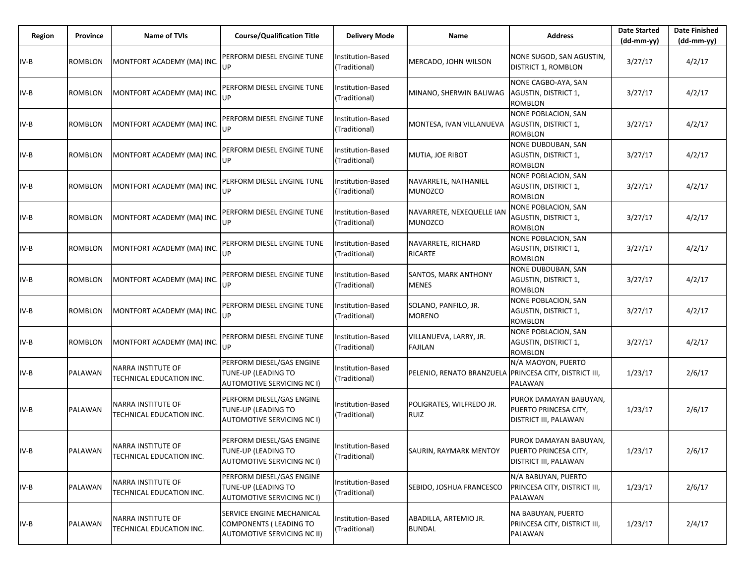| Region | Province       | <b>Name of TVIs</b>                            | <b>Course/Qualification Title</b>                                                         | <b>Delivery Mode</b>               | Name                                        | <b>Address</b>                                                                         | <b>Date Started</b><br>$(dd-mm-yy)$ | <b>Date Finished</b><br>(dd-mm-yy) |
|--------|----------------|------------------------------------------------|-------------------------------------------------------------------------------------------|------------------------------------|---------------------------------------------|----------------------------------------------------------------------------------------|-------------------------------------|------------------------------------|
| $IV-B$ | ROMBLON        | MONTFORT ACADEMY (MA) INC.                     | PERFORM DIESEL ENGINE TUNE<br>UP                                                          | Institution-Based<br>(Traditional) | MERCADO, JOHN WILSON                        | NONE SUGOD, SAN AGUSTIN,<br><b>DISTRICT 1, ROMBLON</b>                                 | 3/27/17                             | 4/2/17                             |
| $IV-B$ | ROMBLON        | MONTFORT ACADEMY (MA) INC.                     | PERFORM DIESEL ENGINE TUNE<br>UP                                                          | Institution-Based<br>(Traditional) | MINANO, SHERWIN BALIWAG                     | NONE CAGBO-AYA, SAN<br>AGUSTIN, DISTRICT 1,<br><b>ROMBLON</b>                          | 3/27/17                             | 4/2/17                             |
| $IV-B$ | ROMBLON        | MONTFORT ACADEMY (MA) INC.                     | PERFORM DIESEL ENGINE TUNE<br>UP                                                          | Institution-Based<br>(Traditional) | MONTESA, IVAN VILLANUEVA                    | NONE POBLACION, SAN<br>AGUSTIN, DISTRICT 1,<br><b>ROMBLON</b>                          | 3/27/17                             | 4/2/17                             |
| $IV-B$ | ROMBLON        | MONTFORT ACADEMY (MA) INC.                     | PERFORM DIESEL ENGINE TUNE<br>UP                                                          | Institution-Based<br>(Traditional) | MUTIA, JOE RIBOT                            | NONE DUBDUBAN, SAN<br>AGUSTIN, DISTRICT 1,<br><b>ROMBLON</b>                           | 3/27/17                             | 4/2/17                             |
| IV-B   | ROMBLON        | MONTFORT ACADEMY (MA) INC.                     | PERFORM DIESEL ENGINE TUNE<br>UP                                                          | Institution-Based<br>(Traditional) | NAVARRETE, NATHANIEL<br><b>MUNOZCO</b>      | <b>NONE POBLACION, SAN</b><br>AGUSTIN, DISTRICT 1,<br><b>ROMBLON</b>                   | 3/27/17                             | 4/2/17                             |
| $IV-B$ | <b>ROMBLON</b> | MONTFORT ACADEMY (MA) INC.                     | PERFORM DIESEL ENGINE TUNE<br>UP                                                          | Institution-Based<br>(Traditional) | NAVARRETE, NEXEQUELLE IAN<br><b>MUNOZCO</b> | NONE POBLACION, SAN<br>AGUSTIN, DISTRICT 1,<br><b>ROMBLON</b>                          | 3/27/17                             | 4/2/17                             |
| IV-B   | <b>ROMBLON</b> | MONTFORT ACADEMY (MA) INC                      | PERFORM DIESEL ENGINE TUNE<br>UP                                                          | Institution-Based<br>(Traditional) | NAVARRETE, RICHARD<br><b>RICARTE</b>        | <b>NONE POBLACION, SAN</b><br>AGUSTIN, DISTRICT 1,<br><b>ROMBLON</b>                   | 3/27/17                             | 4/2/17                             |
| $IV-B$ | ROMBLON        | MONTFORT ACADEMY (MA) INC.                     | PERFORM DIESEL ENGINE TUNE<br>UP                                                          | Institution-Based<br>(Traditional) | <b>SANTOS, MARK ANTHONY</b><br><b>MENES</b> | <b>NONE DUBDUBAN, SAN</b><br><b>AGUSTIN, DISTRICT 1,</b><br><b>ROMBLON</b>             | 3/27/17                             | 4/2/17                             |
| $IV-B$ | ROMBLON        | MONTFORT ACADEMY (MA) INC.                     | PERFORM DIESEL ENGINE TUNE<br>UP                                                          | Institution-Based<br>(Traditional) | SOLANO, PANFILO, JR.<br><b>MORENO</b>       | <b>NONE POBLACION, SAN</b><br>AGUSTIN, DISTRICT 1,<br><b>ROMBLON</b>                   | 3/27/17                             | 4/2/17                             |
| $IV-B$ | ROMBLON        | MONTFORT ACADEMY (MA) INC.                     | PERFORM DIESEL ENGINE TUNE<br>UP                                                          | Institution-Based<br>(Traditional) | VILLANUEVA, LARRY, JR.<br>FAJILAN           | <b>NONE POBLACION, SAN</b><br>AGUSTIN, DISTRICT 1,<br><b>ROMBLON</b>                   | 3/27/17                             | 4/2/17                             |
| $IV-B$ | PALAWAN        | NARRA INSTITUTE OF<br>TECHNICAL EDUCATION INC. | PERFORM DIESEL/GAS ENGINE<br>TUNE-UP (LEADING TO<br>AUTOMOTIVE SERVICING NC I)            | Institution-Based<br>(Traditional) | PELENIO, RENATO BRANZUELA                   | N/A MAOYON, PUERTO<br>PRINCESA CITY, DISTRICT III,<br><b>PALAWAN</b>                   | 1/23/17                             | 2/6/17                             |
| $IV-B$ | PALAWAN        | NARRA INSTITUTE OF<br>TECHNICAL EDUCATION INC. | PERFORM DIESEL/GAS ENGINE<br>TUNE-UP (LEADING TO<br>AUTOMOTIVE SERVICING NC I)            | Institution-Based<br>(Traditional) | POLIGRATES, WILFREDO JR.<br><b>RUIZ</b>     | PUROK DAMAYAN BABUYAN,<br>PUERTO PRINCESA CITY,<br>DISTRICT III, PALAWAN               | 1/23/17                             | 2/6/17                             |
| $IV-B$ | PALAWAN        | NARRA INSTITUTE OF<br>TECHNICAL EDUCATION INC. | PERFORM DIESEL/GAS ENGINE<br>TUNE-UP (LEADING TO<br>AUTOMOTIVE SERVICING NC I)            | Institution-Based<br>(Traditional) | SAURIN, RAYMARK MENTOY                      | PUROK DAMAYAN BABUYAN,<br><b>PUERTO PRINCESA CITY,</b><br><b>DISTRICT III, PALAWAN</b> | 1/23/17                             | 2/6/17                             |
| $IV-B$ | PALAWAN        | NARRA INSTITUTE OF<br>TECHNICAL EDUCATION INC. | PERFORM DIESEL/GAS ENGINE<br>TUNE-UP (LEADING TO<br>AUTOMOTIVE SERVICING NC I)            | Institution-Based<br>(Traditional) | SEBIDO, JOSHUA FRANCESCO                    | N/A BABUYAN, PUERTO<br>PRINCESA CITY, DISTRICT III,<br>PALAWAN                         | 1/23/17                             | 2/6/17                             |
| $IV-B$ | PALAWAN        | NARRA INSTITUTE OF<br>TECHNICAL EDUCATION INC. | SERVICE ENGINE MECHANICAL<br><b>COMPONENTS (LEADING TO</b><br>AUTOMOTIVE SERVICING NC II) | Institution-Based<br>(Traditional) | ABADILLA, ARTEMIO JR.<br><b>BUNDAL</b>      | NA BABUYAN, PUERTO<br>PRINCESA CITY, DISTRICT III,<br>PALAWAN                          | 1/23/17                             | 2/4/17                             |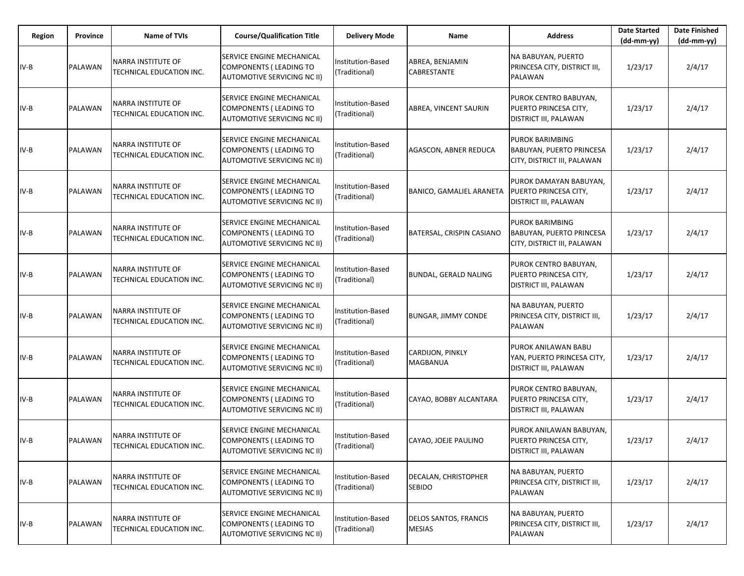| Region | Province | <b>Name of TVIs</b>                            | <b>Course/Qualification Title</b>                                                                | <b>Delivery Mode</b>               | Name                                       | <b>Address</b>                                                                           | <b>Date Started</b><br>$(dd-mm-yy)$ | <b>Date Finished</b><br>(dd-mm-yy) |
|--------|----------|------------------------------------------------|--------------------------------------------------------------------------------------------------|------------------------------------|--------------------------------------------|------------------------------------------------------------------------------------------|-------------------------------------|------------------------------------|
| $IV-B$ | PALAWAN  | NARRA INSTITUTE OF<br>TECHNICAL EDUCATION INC. | SERVICE ENGINE MECHANICAL<br><b>COMPONENTS (LEADING TO</b><br>AUTOMOTIVE SERVICING NC II)        | Institution-Based<br>(Traditional) | ABREA, BENJAMIN<br><b>CABRESTANTE</b>      | NA BABUYAN, PUERTO<br>PRINCESA CITY, DISTRICT III,<br>PALAWAN                            | 1/23/17                             | 2/4/17                             |
| $IV-B$ | PALAWAN  | NARRA INSTITUTE OF<br>TECHNICAL EDUCATION INC. | SERVICE ENGINE MECHANICAL<br><b>COMPONENTS (LEADING TO</b><br>AUTOMOTIVE SERVICING NC II)        | Institution-Based<br>(Traditional) | ABREA, VINCENT SAURIN                      | PUROK CENTRO BABUYAN,<br>PUERTO PRINCESA CITY,<br>DISTRICT III, PALAWAN                  | 1/23/17                             | 2/4/17                             |
| $IV-B$ | PALAWAN  | NARRA INSTITUTE OF<br>TECHNICAL EDUCATION INC. | SERVICE ENGINE MECHANICAL<br><b>COMPONENTS (LEADING TO</b><br>AUTOMOTIVE SERVICING NC II)        | Institution-Based<br>(Traditional) | AGASCON, ABNER REDUCA                      | PUROK BARIMBING<br><b>BABUYAN, PUERTO PRINCESA</b><br>CITY, DISTRICT III, PALAWAN        | 1/23/17                             | 2/4/17                             |
| $IV-B$ | PALAWAN  | NARRA INSTITUTE OF<br>TECHNICAL EDUCATION INC. | SERVICE ENGINE MECHANICAL<br><b>COMPONENTS (LEADING TO</b><br>AUTOMOTIVE SERVICING NC II)        | Institution-Based<br>(Traditional) | <b>BANICO, GAMALIEL ARANETA</b>            | PUROK DAMAYAN BABUYAN,<br><b>PUERTO PRINCESA CITY,</b><br><b>DISTRICT III, PALAWAN</b>   | 1/23/17                             | 2/4/17                             |
| IV-B   | PALAWAN  | NARRA INSTITUTE OF<br>TECHNICAL EDUCATION INC. | SERVICE ENGINE MECHANICAL<br><b>COMPONENTS (LEADING TO</b><br><b>AUTOMOTIVE SERVICING NC II)</b> | Institution-Based<br>(Traditional) | BATERSAL, CRISPIN CASIANO                  | <b>PUROK BARIMBING</b><br><b>BABUYAN, PUERTO PRINCESA</b><br>CITY, DISTRICT III, PALAWAN | 1/23/17                             | 2/4/17                             |
| $IV-B$ | PALAWAN  | NARRA INSTITUTE OF<br>TECHNICAL EDUCATION INC. | SERVICE ENGINE MECHANICAL<br><b>COMPONENTS (LEADING TO</b><br>AUTOMOTIVE SERVICING NC II)        | Institution-Based<br>(Traditional) | <b>BUNDAL, GERALD NALING</b>               | PUROK CENTRO BABUYAN,<br>PUERTO PRINCESA CITY,<br><b>DISTRICT III, PALAWAN</b>           | 1/23/17                             | 2/4/17                             |
| $IV-B$ | PALAWAN  | NARRA INSTITUTE OF<br>TECHNICAL EDUCATION INC. | SERVICE ENGINE MECHANICAL<br><b>COMPONENTS (LEADING TO</b><br><b>AUTOMOTIVE SERVICING NC II)</b> | Institution-Based<br>(Traditional) | <b>BUNGAR, JIMMY CONDE</b>                 | NA BABUYAN, PUERTO<br>PRINCESA CITY, DISTRICT III,<br><b>PALAWAN</b>                     | 1/23/17                             | 2/4/17                             |
| $IV-B$ | PALAWAN  | NARRA INSTITUTE OF<br>TECHNICAL EDUCATION INC. | SERVICE ENGINE MECHANICAL<br><b>COMPONENTS (LEADING TO</b><br><b>AUTOMOTIVE SERVICING NC II)</b> | Institution-Based<br>(Traditional) | <b>CARDIJON, PINKLY</b><br><b>MAGBANUA</b> | PUROK ANILAWAN BABU<br>YAN, PUERTO PRINCESA CITY,<br><b>DISTRICT III, PALAWAN</b>        | 1/23/17                             | 2/4/17                             |
| $IV-B$ | PALAWAN  | NARRA INSTITUTE OF<br>TECHNICAL EDUCATION INC. | SERVICE ENGINE MECHANICAL<br><b>COMPONENTS (LEADING TO</b><br><b>AUTOMOTIVE SERVICING NC II)</b> | Institution-Based<br>(Traditional) | CAYAO, BOBBY ALCANTARA                     | PUROK CENTRO BABUYAN,<br>PUERTO PRINCESA CITY,<br>DISTRICT III, PALAWAN                  | 1/23/17                             | 2/4/17                             |
| $IV-B$ | PALAWAN  | NARRA INSTITUTE OF<br>TECHNICAL EDUCATION INC. | SERVICE ENGINE MECHANICAL<br><b>COMPONENTS (LEADING TO</b><br>AUTOMOTIVE SERVICING NC II)        | Institution-Based<br>(Traditional) | CAYAO, JOEJE PAULINO                       | PUROK ANILAWAN BABUYAN,<br>PUERTO PRINCESA CITY,<br><b>DISTRICT III, PALAWAN</b>         | 1/23/17                             | 2/4/17                             |
| $IV-B$ | PALAWAN  | NARRA INSTITUTE OF<br>TECHNICAL EDUCATION INC. | SERVICE ENGINE MECHANICAL<br>COMPONENTS (LEADING TO<br>AUTOMOTIVE SERVICING NC II)               | Institution-Based<br>(Traditional) | DECALAN, CHRISTOPHER<br><b>SEBIDO</b>      | <b>NA BABUYAN, PUERTO</b><br>PRINCESA CITY, DISTRICT III,<br><b>PALAWAN</b>              | 1/23/17                             | 2/4/17                             |
| $IV-B$ | PALAWAN  | NARRA INSTITUTE OF<br>TECHNICAL EDUCATION INC. | SERVICE ENGINE MECHANICAL<br>COMPONENTS (LEADING TO<br><b>AUTOMOTIVE SERVICING NC II)</b>        | Institution-Based<br>(Traditional) | DELOS SANTOS, FRANCIS<br><b>MESIAS</b>     | NA BABUYAN, PUERTO<br>PRINCESA CITY, DISTRICT III,<br>PALAWAN                            | 1/23/17                             | 2/4/17                             |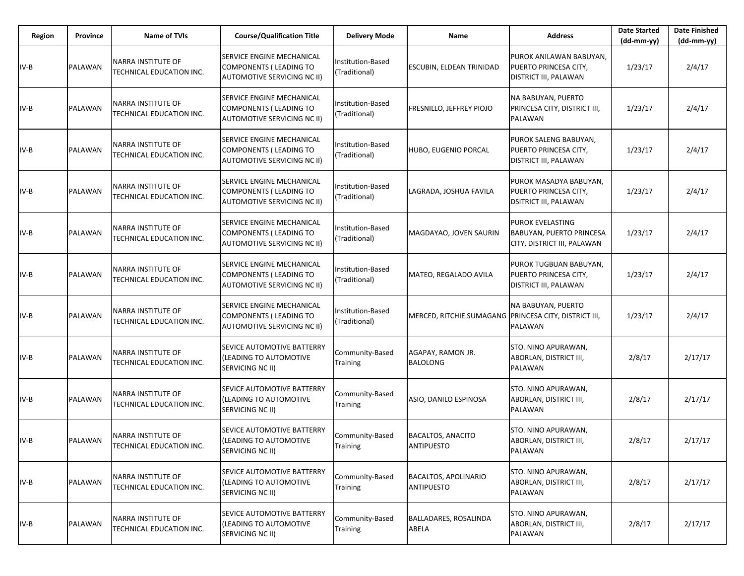| Region | Province | <b>Name of TVIs</b>                            | <b>Course/Qualification Title</b>                                                                | <b>Delivery Mode</b>               | Name                                                  | <b>Address</b>                                                                            | <b>Date Started</b><br>$(dd-mm-yy)$ | <b>Date Finished</b><br>$(dd-mm-yy)$ |
|--------|----------|------------------------------------------------|--------------------------------------------------------------------------------------------------|------------------------------------|-------------------------------------------------------|-------------------------------------------------------------------------------------------|-------------------------------------|--------------------------------------|
| $IV-B$ | PALAWAN  | NARRA INSTITUTE OF<br>TECHNICAL EDUCATION INC. | SERVICE ENGINE MECHANICAL<br><b>COMPONENTS (LEADING TO</b><br>AUTOMOTIVE SERVICING NC II)        | Institution-Based<br>(Traditional) | <b>ESCUBIN, ELDEAN TRINIDAD</b>                       | PUROK ANILAWAN BABUYAN,<br>PUERTO PRINCESA CITY,<br>DISTRICT III, PALAWAN                 | 1/23/17                             | 2/4/17                               |
| $IV-B$ | PALAWAN  | NARRA INSTITUTE OF<br>TECHNICAL EDUCATION INC. | SERVICE ENGINE MECHANICAL<br><b>COMPONENTS (LEADING TO</b><br><b>AUTOMOTIVE SERVICING NC II)</b> | Institution-Based<br>(Traditional) | FRESNILLO, JEFFREY PIOJO                              | <b>NA BABUYAN, PUERTO</b><br>PRINCESA CITY, DISTRICT III,<br>PALAWAN                      | 1/23/17                             | 2/4/17                               |
| $IV-B$ | PALAWAN  | NARRA INSTITUTE OF<br>TECHNICAL EDUCATION INC. | SERVICE ENGINE MECHANICAL<br><b>COMPONENTS (LEADING TO</b><br>AUTOMOTIVE SERVICING NC II)        | Institution-Based<br>(Traditional) | HUBO, EUGENIO PORCAL                                  | PUROK SALENG BABUYAN,<br>PUERTO PRINCESA CITY,<br>DISTRICT III, PALAWAN                   | 1/23/17                             | 2/4/17                               |
| $IV-B$ | PALAWAN  | NARRA INSTITUTE OF<br>TECHNICAL EDUCATION INC. | SERVICE ENGINE MECHANICAL<br><b>COMPONENTS (LEADING TO</b><br>AUTOMOTIVE SERVICING NC II)        | Institution-Based<br>(Traditional) | LAGRADA, JOSHUA FAVILA                                | PUROK MASADYA BABUYAN,<br>PUERTO PRINCESA CITY,<br><b>DSITRICT III, PALAWAN</b>           | 1/23/17                             | 2/4/17                               |
| $IV-B$ | PALAWAN  | NARRA INSTITUTE OF<br>TECHNICAL EDUCATION INC. | SERVICE ENGINE MECHANICAL<br><b>COMPONENTS (LEADING TO</b><br><b>AUTOMOTIVE SERVICING NC II)</b> | Institution-Based<br>(Traditional) | MAGDAYAO, JOVEN SAURIN                                | <b>PUROK EVELASTING</b><br><b>BABUYAN, PUERTO PRINCESA</b><br>CITY, DISTRICT III, PALAWAN | 1/23/17                             | 2/4/17                               |
| $IV-B$ | PALAWAN  | NARRA INSTITUTE OF<br>TECHNICAL EDUCATION INC. | SERVICE ENGINE MECHANICAL<br><b>COMPONENTS (LEADING TO</b><br>AUTOMOTIVE SERVICING NC II)        | Institution-Based<br>(Traditional) | MATEO, REGALADO AVILA                                 | PUROK TUGBUAN BABUYAN,<br>PUERTO PRINCESA CITY,<br><b>DISTRICT III, PALAWAN</b>           | 1/23/17                             | 2/4/17                               |
| $IV-B$ | PALAWAN  | NARRA INSTITUTE OF<br>TECHNICAL EDUCATION INC. | SERVICE ENGINE MECHANICAL<br><b>COMPONENTS (LEADING TO</b><br><b>AUTOMOTIVE SERVICING NC II)</b> | Institution-Based<br>(Traditional) | MERCED, RITCHIE SUMAGANG PRINCESA CITY, DISTRICT III, | NA BABUYAN, PUERTO<br><b>PALAWAN</b>                                                      | 1/23/17                             | 2/4/17                               |
| IV-B   | PALAWAN  | NARRA INSTITUTE OF<br>TECHNICAL EDUCATION INC. | SEVICE AUTOMOTIVE BATTERRY<br>(LEADING TO AUTOMOTIVE<br>SERVICING NC II)                         | Community-Based<br>Training        | AGAPAY, RAMON JR.<br><b>BALOLONG</b>                  | STO. NINO APURAWAN,<br>ABORLAN, DISTRICT III,<br>PALAWAN                                  | 2/8/17                              | 2/17/17                              |
| $IV-B$ | PALAWAN  | NARRA INSTITUTE OF<br>TECHNICAL EDUCATION INC. | SEVICE AUTOMOTIVE BATTERRY<br>(LEADING TO AUTOMOTIVE<br>SERVICING NC II)                         | Community-Based<br>Training        | ASIO, DANILO ESPINOSA                                 | STO. NINO APURAWAN,<br>ABORLAN, DISTRICT III,<br><b>PALAWAN</b>                           | 2/8/17                              | 2/17/17                              |
| $IV-B$ | PALAWAN  | NARRA INSTITUTE OF<br>TECHNICAL EDUCATION INC. | SEVICE AUTOMOTIVE BATTERRY<br>(LEADING TO AUTOMOTIVE<br>SERVICING NC II)                         | Community-Based<br>Training        | <b>BACALTOS, ANACITO</b><br><b>ANTIPUESTO</b>         | STO. NINO APURAWAN,<br>ABORLAN, DISTRICT III,<br>PALAWAN                                  | 2/8/17                              | 2/17/17                              |
| $IV-B$ | PALAWAN  | NARRA INSTITUTE OF<br>TECHNICAL EDUCATION INC. | SEVICE AUTOMOTIVE BATTERRY<br>(LEADING TO AUTOMOTIVE<br>SERVICING NC II)                         | Community-Based<br>Training        | <b>BACALTOS, APOLINARIO</b><br>ANTIPUESTO             | STO. NINO APURAWAN,<br>ABORLAN, DISTRICT III,<br>PALAWAN                                  | 2/8/17                              | 2/17/17                              |
| $IV-B$ | PALAWAN  | NARRA INSTITUTE OF<br>TECHNICAL EDUCATION INC. | SEVICE AUTOMOTIVE BATTERRY<br>(LEADING TO AUTOMOTIVE<br>SERVICING NC II)                         | Community-Based<br>Training        | <b>BALLADARES, ROSALINDA</b><br>ABELA                 | STO. NINO APURAWAN,<br>ABORLAN, DISTRICT III,<br>PALAWAN                                  | 2/8/17                              | 2/17/17                              |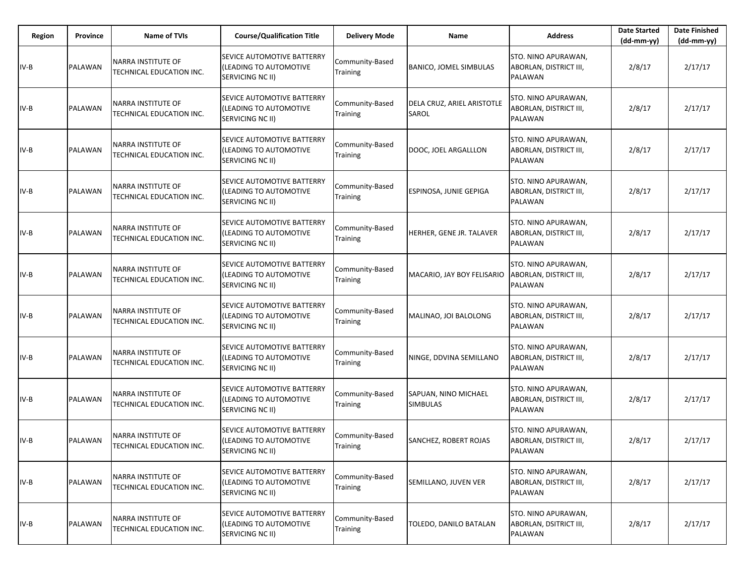| Region | <b>Province</b> | <b>Name of TVIs</b>                            | <b>Course/Qualification Title</b>                                               | <b>Delivery Mode</b>               | Name                                       | <b>Address</b>                                                  | <b>Date Started</b><br>$(dd-mm-yy)$ | <b>Date Finished</b><br>(dd-mm-yy) |
|--------|-----------------|------------------------------------------------|---------------------------------------------------------------------------------|------------------------------------|--------------------------------------------|-----------------------------------------------------------------|-------------------------------------|------------------------------------|
| $IV-B$ | PALAWAN         | NARRA INSTITUTE OF<br>TECHNICAL EDUCATION INC. | SEVICE AUTOMOTIVE BATTERRY<br>(LEADING TO AUTOMOTIVE<br>SERVICING NC II)        | Community-Based<br>Training        | <b>BANICO, JOMEL SIMBULAS</b>              | STO. NINO APURAWAN,<br>ABORLAN, DISTRICT III,<br>PALAWAN        | 2/8/17                              | 2/17/17                            |
| $IV-B$ | PALAWAN         | NARRA INSTITUTE OF<br>TECHNICAL EDUCATION INC. | SEVICE AUTOMOTIVE BATTERRY<br>(LEADING TO AUTOMOTIVE<br>SERVICING NC II)        | Community-Based<br>Training        | DELA CRUZ, ARIEL ARISTOTLE<br><b>SAROL</b> | STO. NINO APURAWAN,<br>ABORLAN, DISTRICT III,<br>PALAWAN        | 2/8/17                              | 2/17/17                            |
| $IV-B$ | PALAWAN         | NARRA INSTITUTE OF<br>TECHNICAL EDUCATION INC. | SEVICE AUTOMOTIVE BATTERRY<br>(LEADING TO AUTOMOTIVE<br>SERVICING NC II)        | Community-Based<br>Training        | DOOC, JOEL ARGALLLON                       | STO. NINO APURAWAN,<br>ABORLAN, DISTRICT III,<br><b>PALAWAN</b> | 2/8/17                              | 2/17/17                            |
| $IV-B$ | PALAWAN         | NARRA INSTITUTE OF<br>TECHNICAL EDUCATION INC. | SEVICE AUTOMOTIVE BATTERRY<br>(LEADING TO AUTOMOTIVE<br>SERVICING NC II)        | Community-Based<br>Training        | <b>ESPINOSA, JUNIE GEPIGA</b>              | STO. NINO APURAWAN,<br>ABORLAN, DISTRICT III,<br><b>PALAWAN</b> | 2/8/17                              | 2/17/17                            |
| $IV-B$ | PALAWAN         | NARRA INSTITUTE OF<br>TECHNICAL EDUCATION INC. | SEVICE AUTOMOTIVE BATTERRY<br>(LEADING TO AUTOMOTIVE<br>SERVICING NC II)        | Community-Based<br>Training        | HERHER, GENE JR. TALAVER                   | STO. NINO APURAWAN,<br>ABORLAN, DISTRICT III,<br>PALAWAN        | 2/8/17                              | 2/17/17                            |
| $IV-B$ | PALAWAN         | NARRA INSTITUTE OF<br>TECHNICAL EDUCATION INC. | SEVICE AUTOMOTIVE BATTERRY<br>(LEADING TO AUTOMOTIVE<br>SERVICING NC II)        | Community-Based<br><b>Training</b> | MACARIO, JAY BOY FELISARIO                 | STO. NINO APURAWAN,<br>ABORLAN, DISTRICT III,<br><b>PALAWAN</b> | 2/8/17                              | 2/17/17                            |
| $IV-B$ | PALAWAN         | NARRA INSTITUTE OF<br>TECHNICAL EDUCATION INC. | SEVICE AUTOMOTIVE BATTERRY<br>(LEADING TO AUTOMOTIVE<br>SERVICING NC II)        | Community-Based<br>Training        | MALINAO, JOI BALOLONG                      | STO. NINO APURAWAN,<br>ABORLAN, DISTRICT III,<br><b>PALAWAN</b> | 2/8/17                              | 2/17/17                            |
| IV-B   | PALAWAN         | NARRA INSTITUTE OF<br>TECHNICAL EDUCATION INC. | SEVICE AUTOMOTIVE BATTERRY<br>(LEADING TO AUTOMOTIVE<br>SERVICING NC II)        | Community-Based<br>Training        | NINGE, DDVINA SEMILLANO                    | STO. NINO APURAWAN,<br>ABORLAN, DISTRICT III,<br><b>PALAWAN</b> | 2/8/17                              | 2/17/17                            |
| $IV-B$ | PALAWAN         | NARRA INSTITUTE OF<br>TECHNICAL EDUCATION INC. | SEVICE AUTOMOTIVE BATTERRY<br>(LEADING TO AUTOMOTIVE<br>SERVICING NC II)        | Community-Based<br>Training        | SAPUAN, NINO MICHAEL<br><b>SIMBULAS</b>    | STO. NINO APURAWAN,<br>ABORLAN, DISTRICT III,<br><b>PALAWAN</b> | 2/8/17                              | 2/17/17                            |
| $IV-B$ | PALAWAN         | NARRA INSTITUTE OF<br>TECHNICAL EDUCATION INC. | SEVICE AUTOMOTIVE BATTERRY<br>(LEADING TO AUTOMOTIVE<br>SERVICING NC II)        | Community-Based<br>Training        | <b>SANCHEZ, ROBERT ROJAS</b>               | STO. NINO APURAWAN,<br>ABORLAN, DISTRICT III,<br><b>PALAWAN</b> | 2/8/17                              | 2/17/17                            |
| $IV-B$ | PALAWAN         | NARRA INSTITUTE OF<br>TECHNICAL EDUCATION INC. | SEVICE AUTOMOTIVE BATTERRY<br>(LEADING TO AUTOMOTIVE<br>SERVICING NC II)        | Community-Based<br>Training        | SEMILLANO, JUVEN VER                       | STO. NINO APURAWAN,<br>ABORLAN, DISTRICT III,<br>PALAWAN        | 2/8/17                              | 2/17/17                            |
| $IV-B$ | PALAWAN         | NARRA INSTITUTE OF<br>TECHNICAL EDUCATION INC. | SEVICE AUTOMOTIVE BATTERRY<br>(LEADING TO AUTOMOTIVE<br><b>SERVICING NC II)</b> | Community-Based<br>Training        | TOLEDO, DANILO BATALAN                     | STO. NINO APURAWAN,<br>ABORLAN, DSITRICT III,<br>PALAWAN        | 2/8/17                              | 2/17/17                            |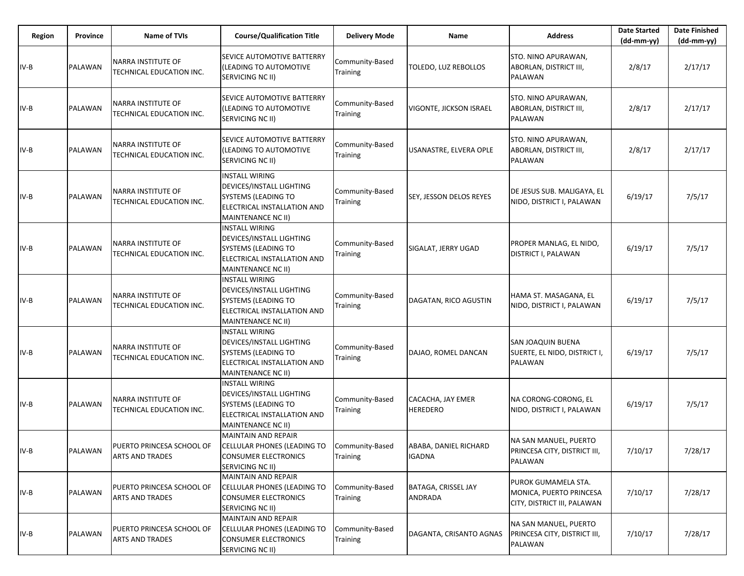| Region | Province | <b>Name of TVIs</b>                                   | <b>Course/Qualification Title</b>                                                                                                           | <b>Delivery Mode</b>               | Name                                   | <b>Address</b>                                                                | <b>Date Started</b><br>$(dd-mm-yy)$ | <b>Date Finished</b><br>(dd-mm-yy) |
|--------|----------|-------------------------------------------------------|---------------------------------------------------------------------------------------------------------------------------------------------|------------------------------------|----------------------------------------|-------------------------------------------------------------------------------|-------------------------------------|------------------------------------|
| IV-B   | PALAWAN  | <b>NARRA INSTITUTE OF</b><br>TECHNICAL EDUCATION INC. | SEVICE AUTOMOTIVE BATTERRY<br>(LEADING TO AUTOMOTIVE<br>SERVICING NC II)                                                                    | Community-Based<br>Training        | TOLEDO, LUZ REBOLLOS                   | STO. NINO APURAWAN,<br>ABORLAN, DISTRICT III,<br><b>PALAWAN</b>               | 2/8/17                              | 2/17/17                            |
| $IV-B$ | PALAWAN  | <b>NARRA INSTITUTE OF</b><br>TECHNICAL EDUCATION INC. | SEVICE AUTOMOTIVE BATTERRY<br>(LEADING TO AUTOMOTIVE<br>SERVICING NC II)                                                                    | Community-Based<br>Training        | VIGONTE, JICKSON ISRAEL                | STO. NINO APURAWAN,<br>ABORLAN, DISTRICT III,<br>PALAWAN                      | 2/8/17                              | 2/17/17                            |
| IV-B   | PALAWAN  | <b>NARRA INSTITUTE OF</b><br>TECHNICAL EDUCATION INC. | SEVICE AUTOMOTIVE BATTERRY<br>(LEADING TO AUTOMOTIVE<br>SERVICING NC II)                                                                    | Community-Based<br><b>Training</b> | USANASTRE, ELVERA OPLE                 | STO. NINO APURAWAN,<br>ABORLAN, DISTRICT III,<br><b>PALAWAN</b>               | 2/8/17                              | 2/17/17                            |
| $IV-B$ | PALAWAN  | <b>NARRA INSTITUTE OF</b><br>TECHNICAL EDUCATION INC. | <b>INSTALL WIRING</b><br>DEVICES/INSTALL LIGHTING<br><b>SYSTEMS (LEADING TO</b><br>ELECTRICAL INSTALLATION AND<br>MAINTENANCE NC II)        | Community-Based<br>Training        | SEY, JESSON DELOS REYES                | DE JESUS SUB. MALIGAYA, EL<br>NIDO, DISTRICT I, PALAWAN                       | 6/19/17                             | 7/5/17                             |
| $IV-B$ | PALAWAN  | <b>NARRA INSTITUTE OF</b><br>TECHNICAL EDUCATION INC. | INSTALL WIRING<br>DEVICES/INSTALL LIGHTING<br><b>SYSTEMS (LEADING TO</b><br>ELECTRICAL INSTALLATION AND<br>MAINTENANCE NC II)               | Community-Based<br>Training        | SIGALAT, JERRY UGAD                    | PROPER MANLAG, EL NIDO,<br><b>DISTRICT I, PALAWAN</b>                         | 6/19/17                             | 7/5/17                             |
| IV-B   | PALAWAN  | NARRA INSTITUTE OF<br>TECHNICAL EDUCATION INC.        | <b>INSTALL WIRING</b><br><b>DEVICES/INSTALL LIGHTING</b><br><b>SYSTEMS (LEADING TO</b><br>ELECTRICAL INSTALLATION AND<br>MAINTENANCE NC II) | Community-Based<br>Training        | DAGATAN, RICO AGUSTIN                  | HAMA ST. MASAGANA, EL<br>NIDO, DISTRICT I, PALAWAN                            | 6/19/17                             | 7/5/17                             |
| $IV-B$ | PALAWAN  | NARRA INSTITUTE OF<br>TECHNICAL EDUCATION INC.        | <b>INSTALL WIRING</b><br>DEVICES/INSTALL LIGHTING<br><b>SYSTEMS (LEADING TO</b><br>ELECTRICAL INSTALLATION AND<br>MAINTENANCE NC II)        | Community-Based<br>Training        | DAJAO, ROMEL DANCAN                    | SAN JOAQUIN BUENA<br>SUERTE, EL NIDO, DISTRICT I,<br>PALAWAN                  | 6/19/17                             | 7/5/17                             |
| IV-B   | PALAWAN  | <b>NARRA INSTITUTE OF</b><br>TECHNICAL EDUCATION INC. | <b>INSTALL WIRING</b><br>DEVICES/INSTALL LIGHTING<br>SYSTEMS (LEADING TO<br>ELECTRICAL INSTALLATION AND<br>MAINTENANCE NC II)               | Community-Based<br>Training        | CACACHA, JAY EMER<br><b>HEREDERO</b>   | NA CORONG-CORONG, EL<br>NIDO, DISTRICT I, PALAWAN                             | 6/19/17                             | 7/5/17                             |
| $IV-B$ | PALAWAN  | PUERTO PRINCESA SCHOOL OF<br><b>ARTS AND TRADES</b>   | <b>MAINTAIN AND REPAIR</b><br>CELLULAR PHONES (LEADING TO<br><b>CONSUMER ELECTRONICS</b><br>SERVICING NC II)                                | Community-Based<br>Training        | ABABA, DANIEL RICHARD<br><b>IGADNA</b> | NA SAN MANUEL, PUERTO<br>PRINCESA CITY, DISTRICT III,<br><b>PALAWAN</b>       | 7/10/17                             | 7/28/17                            |
| $IV-B$ | PALAWAN  | PUERTO PRINCESA SCHOOL OF<br><b>ARTS AND TRADES</b>   | MAINTAIN AND REPAIR<br>CELLULAR PHONES (LEADING TO<br><b>CONSUMER ELECTRONICS</b><br>SERVICING NC II)                                       | Community-Based<br>Training        | <b>BATAGA, CRISSEL JAY</b><br>ANDRADA  | PUROK GUMAMELA STA.<br>MONICA, PUERTO PRINCESA<br>CITY, DISTRICT III, PALAWAN | 7/10/17                             | 7/28/17                            |
| IV-B   | PALAWAN  | PUERTO PRINCESA SCHOOL OF<br><b>ARTS AND TRADES</b>   | <b>MAINTAIN AND REPAIR</b><br>CELLULAR PHONES (LEADING TO<br><b>CONSUMER ELECTRONICS</b><br>SERVICING NC II)                                | Community-Based<br>Training        | DAGANTA, CRISANTO AGNAS                | NA SAN MANUEL, PUERTO<br>PRINCESA CITY, DISTRICT III,<br>PALAWAN              | 7/10/17                             | 7/28/17                            |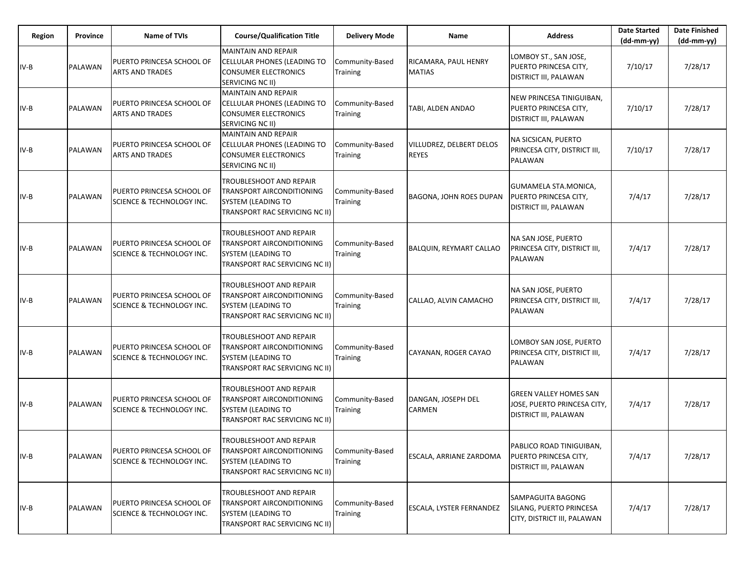| Region | Province       | <b>Name of TVIs</b>                                               | <b>Course/Qualification Title</b>                                                                                   | <b>Delivery Mode</b>               | Name                              | <b>Address</b>                                                                               | <b>Date Started</b><br>$(dd-mm-yy)$ | <b>Date Finished</b><br>$(dd-mm-yy)$ |
|--------|----------------|-------------------------------------------------------------------|---------------------------------------------------------------------------------------------------------------------|------------------------------------|-----------------------------------|----------------------------------------------------------------------------------------------|-------------------------------------|--------------------------------------|
| IV-B   | <b>PALAWAN</b> | PUERTO PRINCESA SCHOOL OF<br><b>ARTS AND TRADES</b>               | <b>MAINTAIN AND REPAIR</b><br>CELLULAR PHONES (LEADING TO<br><b>CONSUMER ELECTRONICS</b><br>SERVICING NC II)        | Community-Based<br>Training        | RICAMARA, PAUL HENRY<br>MATIAS    | LOMBOY ST., SAN JOSE,<br>PUERTO PRINCESA CITY,<br>DISTRICT III, PALAWAN                      | 7/10/17                             | 7/28/17                              |
| IV-B   | PALAWAN        | PUERTO PRINCESA SCHOOL OF<br><b>ARTS AND TRADES</b>               | <b>MAINTAIN AND REPAIR</b><br>CELLULAR PHONES (LEADING TO<br><b>CONSUMER ELECTRONICS</b><br><b>SERVICING NC II)</b> | Community-Based<br><b>Training</b> | TABI, ALDEN ANDAO                 | NEW PRINCESA TINIGUIBAN,<br>PUERTO PRINCESA CITY,<br>DISTRICT III, PALAWAN                   | 7/10/17                             | 7/28/17                              |
| IV-B   | PALAWAN        | PUERTO PRINCESA SCHOOL OF<br><b>ARTS AND TRADES</b>               | <b>MAINTAIN AND REPAIR</b><br>CELLULAR PHONES (LEADING TO<br><b>CONSUMER ELECTRONICS</b><br>SERVICING NC II)        | Community-Based<br>Training        | VILLUDREZ, DELBERT DELOS<br>REYES | NA SICSICAN, PUERTO<br>PRINCESA CITY, DISTRICT III,<br>PALAWAN                               | 7/10/17                             | 7/28/17                              |
| IV-B   | PALAWAN        | PUERTO PRINCESA SCHOOL OF<br><b>SCIENCE &amp; TECHNOLOGY INC.</b> | TROUBLESHOOT AND REPAIR<br>TRANSPORT AIRCONDITIONING<br>SYSTEM (LEADING TO<br>TRANSPORT RAC SERVICING NC II)        | Community-Based<br>Training        | BAGONA, JOHN ROES DUPAN           | GUMAMELA STA.MONICA,<br>PUERTO PRINCESA CITY,<br>DISTRICT III, PALAWAN                       | 7/4/17                              | 7/28/17                              |
| IV-B   | PALAWAN        | PUERTO PRINCESA SCHOOL OF<br><b>SCIENCE &amp; TECHNOLOGY INC.</b> | TROUBLESHOOT AND REPAIR<br><b>TRANSPORT AIRCONDITIONING</b><br>SYSTEM (LEADING TO<br>TRANSPORT RAC SERVICING NC II) | Community-Based<br>Training        | BALQUIN, REYMART CALLAO           | NA SAN JOSE, PUERTO<br>PRINCESA CITY, DISTRICT III,<br><b>PALAWAN</b>                        | 7/4/17                              | 7/28/17                              |
| IV-B   | PALAWAN        | PUERTO PRINCESA SCHOOL OF<br><b>SCIENCE &amp; TECHNOLOGY INC.</b> | TROUBLESHOOT AND REPAIR<br>TRANSPORT AIRCONDITIONING<br><b>SYSTEM (LEADING TO</b><br>TRANSPORT RAC SERVICING NC II) | Community-Based<br><b>Training</b> | CALLAO, ALVIN CAMACHO             | NA SAN JOSE, PUERTO<br>PRINCESA CITY, DISTRICT III,<br>PALAWAN                               | 7/4/17                              | 7/28/17                              |
| IV-B   | PALAWAN        | PUERTO PRINCESA SCHOOL OF<br>SCIENCE & TECHNOLOGY INC.            | TROUBLESHOOT AND REPAIR<br>TRANSPORT AIRCONDITIONING<br>SYSTEM (LEADING TO<br>TRANSPORT RAC SERVICING NC II)        | Community-Based<br><b>Training</b> | CAYANAN, ROGER CAYAO              | LOMBOY SAN JOSE, PUERTO<br>PRINCESA CITY, DISTRICT III,<br>PALAWAN                           | 7/4/17                              | 7/28/17                              |
| IV-B   | PALAWAN        | PUERTO PRINCESA SCHOOL OF<br><b>SCIENCE &amp; TECHNOLOGY INC.</b> | TROUBLESHOOT AND REPAIR<br>TRANSPORT AIRCONDITIONING<br>SYSTEM (LEADING TO<br>TRANSPORT RAC SERVICING NC II)        | Community-Based<br>Training        | DANGAN, JOSEPH DEL<br>CARMEN      | <b>GREEN VALLEY HOMES SAN</b><br>JOSE, PUERTO PRINCESA CITY,<br><b>DISTRICT III, PALAWAN</b> | 7/4/17                              | 7/28/17                              |
| $IV-B$ | PALAWAN        | PUERTO PRINCESA SCHOOL OF<br><b>SCIENCE &amp; TECHNOLOGY INC.</b> | TROUBLESHOOT AND REPAIR<br>TRANSPORT AIRCONDITIONING<br>SYSTEM (LEADING TO<br>TRANSPORT RAC SERVICING NC II)        | Community-Based<br><b>Training</b> | ESCALA, ARRIANE ZARDOMA           | PABLICO ROAD TINIGUIBAN,<br>PUERTO PRINCESA CITY,<br>DISTRICT III, PALAWAN                   | 7/4/17                              | 7/28/17                              |
| IV-B   | PALAWAN        | PUERTO PRINCESA SCHOOL OF<br><b>SCIENCE &amp; TECHNOLOGY INC.</b> | TROUBLESHOOT AND REPAIR<br>TRANSPORT AIRCONDITIONING<br>SYSTEM (LEADING TO<br>TRANSPORT RAC SERVICING NC II)        | Community-Based<br><b>Training</b> | ESCALA, LYSTER FERNANDEZ          | SAMPAGUITA BAGONG<br>SILANG, PUERTO PRINCESA<br>CITY, DISTRICT III, PALAWAN                  | 7/4/17                              | 7/28/17                              |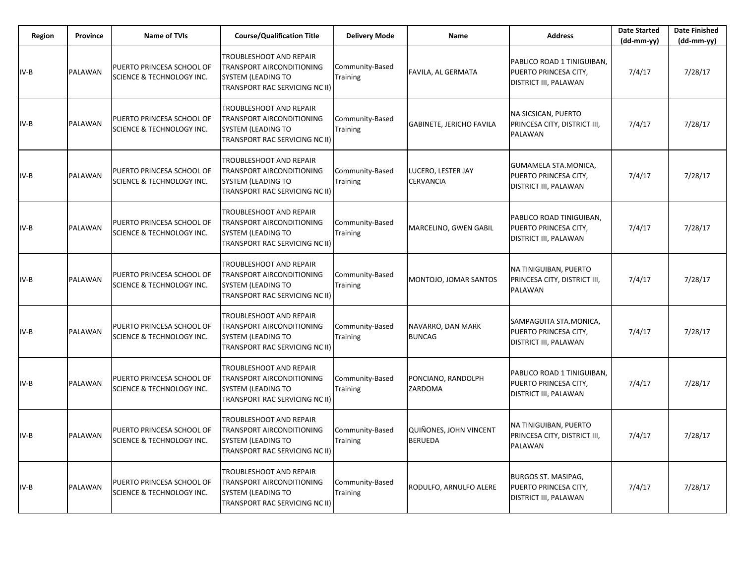| Region | Province | <b>Name of TVIs</b>                                               | <b>Course/Qualification Title</b>                                                                                          | <b>Delivery Mode</b>               | <b>Name</b>                              | <b>Address</b>                                                               | <b>Date Started</b><br>$(dd-mm-yy)$ | <b>Date Finished</b><br>$(dd-mm-yy)$ |
|--------|----------|-------------------------------------------------------------------|----------------------------------------------------------------------------------------------------------------------------|------------------------------------|------------------------------------------|------------------------------------------------------------------------------|-------------------------------------|--------------------------------------|
| $IV-B$ | PALAWAN  | PUERTO PRINCESA SCHOOL OF<br>SCIENCE & TECHNOLOGY INC.            | TROUBLESHOOT AND REPAIR<br>TRANSPORT AIRCONDITIONING<br>SYSTEM (LEADING TO<br><b>TRANSPORT RAC SERVICING NC II)</b>        | Community-Based<br>Training        | FAVILA, AL GERMATA                       | PABLICO ROAD 1 TINIGUIBAN,<br>PUERTO PRINCESA CITY,<br>DISTRICT III, PALAWAN | 7/4/17                              | 7/28/17                              |
| IV-B   | PALAWAN  | PUERTO PRINCESA SCHOOL OF<br>SCIENCE & TECHNOLOGY INC.            | TROUBLESHOOT AND REPAIR<br>TRANSPORT AIRCONDITIONING<br>SYSTEM (LEADING TO<br><b>TRANSPORT RAC SERVICING NC II)</b>        | Community-Based<br><b>Training</b> | GABINETE, JERICHO FAVILA                 | NA SICSICAN, PUERTO<br>PRINCESA CITY, DISTRICT III,<br>PALAWAN               | 7/4/17                              | 7/28/17                              |
| IV-B   | PALAWAN  | PUERTO PRINCESA SCHOOL OF<br>SCIENCE & TECHNOLOGY INC.            | TROUBLESHOOT AND REPAIR<br>TRANSPORT AIRCONDITIONING<br><b>SYSTEM (LEADING TO</b><br><b>TRANSPORT RAC SERVICING NC II)</b> | Community-Based<br><b>Training</b> | LUCERO, LESTER JAY<br>CERVANCIA          | GUMAMELA STA.MONICA,<br>PUERTO PRINCESA CITY,<br>DISTRICT III, PALAWAN       | 7/4/17                              | 7/28/17                              |
| IV-B   | PALAWAN  | PUERTO PRINCESA SCHOOL OF<br>SCIENCE & TECHNOLOGY INC.            | TROUBLESHOOT AND REPAIR<br>TRANSPORT AIRCONDITIONING<br><b>SYSTEM (LEADING TO</b><br><b>TRANSPORT RAC SERVICING NC II)</b> | Community-Based<br><b>Training</b> | MARCELINO, GWEN GABIL                    | PABLICO ROAD TINIGUIBAN,<br>PUERTO PRINCESA CITY,<br>DISTRICT III, PALAWAN   | 7/4/17                              | 7/28/17                              |
| $IV-B$ | PALAWAN  | PUERTO PRINCESA SCHOOL OF<br>SCIENCE & TECHNOLOGY INC.            | TROUBLESHOOT AND REPAIR<br>TRANSPORT AIRCONDITIONING<br><b>SYSTEM (LEADING TO</b><br>TRANSPORT RAC SERVICING NC II)        | Community-Based<br>Training        | MONTOJO, JOMAR SANTOS                    | NA TINIGUIBAN, PUERTO<br>PRINCESA CITY, DISTRICT III,<br>PALAWAN             | 7/4/17                              | 7/28/17                              |
| $IV-B$ | PALAWAN  | PUERTO PRINCESA SCHOOL OF<br>SCIENCE & TECHNOLOGY INC.            | TROUBLESHOOT AND REPAIR<br>TRANSPORT AIRCONDITIONING<br>SYSTEM (LEADING TO<br>TRANSPORT RAC SERVICING NC II)               | Community-Based<br>Training        | NAVARRO, DAN MARK<br><b>BUNCAG</b>       | SAMPAGUITA STA.MONICA,<br>PUERTO PRINCESA CITY,<br>DISTRICT III, PALAWAN     | 7/4/17                              | 7/28/17                              |
| IV-B   | PALAWAN  | PUERTO PRINCESA SCHOOL OF<br>SCIENCE & TECHNOLOGY INC.            | TROUBLESHOOT AND REPAIR<br>TRANSPORT AIRCONDITIONING<br><b>SYSTEM (LEADING TO</b><br>TRANSPORT RAC SERVICING NC II)        | Community-Based<br>Training        | PONCIANO, RANDOLPH<br>ZARDOMA            | PABLICO ROAD 1 TINIGUIBAN,<br>PUERTO PRINCESA CITY,<br>DISTRICT III, PALAWAN | 7/4/17                              | 7/28/17                              |
| IV-B   | PALAWAN  | PUERTO PRINCESA SCHOOL OF<br><b>SCIENCE &amp; TECHNOLOGY INC.</b> | TROUBLESHOOT AND REPAIR<br>TRANSPORT AIRCONDITIONING<br>SYSTEM (LEADING TO<br>TRANSPORT RAC SERVICING NC II)               | Community-Based<br><b>Training</b> | QUIÑONES, JOHN VINCENT<br><b>BERUEDA</b> | NA TINIGUIBAN, PUERTO<br>PRINCESA CITY, DISTRICT III,<br><b>PALAWAN</b>      | 7/4/17                              | 7/28/17                              |
| IV-B   | PALAWAN  | PUERTO PRINCESA SCHOOL OF<br><b>SCIENCE &amp; TECHNOLOGY INC.</b> | TROUBLESHOOT AND REPAIR<br>TRANSPORT AIRCONDITIONING<br>SYSTEM (LEADING TO<br>TRANSPORT RAC SERVICING NC II)               | Community-Based<br><b>Training</b> | RODULFO, ARNULFO ALERE                   | <b>BURGOS ST. MASIPAG,</b><br>PUERTO PRINCESA CITY,<br>DISTRICT III, PALAWAN | 7/4/17                              | 7/28/17                              |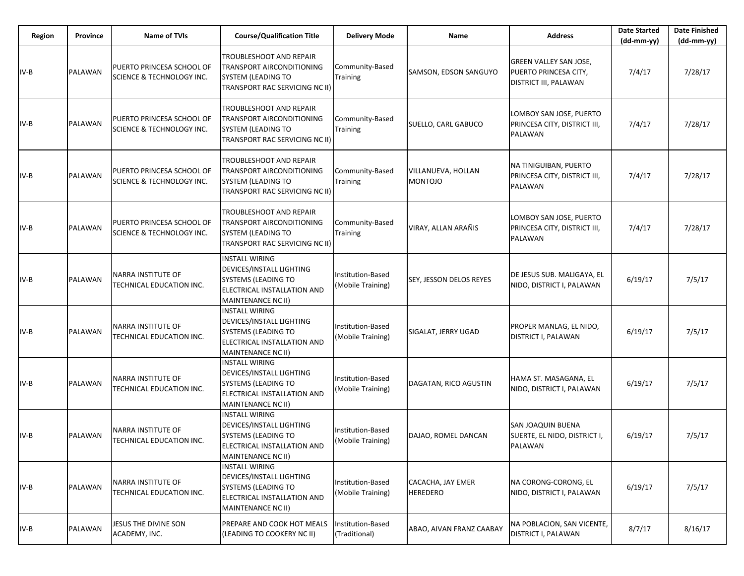| <b>Region</b> | Province | <b>Name of TVIs</b>                                    | <b>Course/Qualification Title</b>                                                                                                    | <b>Delivery Mode</b>                   | Name                                 | <b>Address</b>                                                                  | <b>Date Started</b><br>$(dd-mm-yy)$ | <b>Date Finished</b><br>$(dd-mm-yy)$ |
|---------------|----------|--------------------------------------------------------|--------------------------------------------------------------------------------------------------------------------------------------|----------------------------------------|--------------------------------------|---------------------------------------------------------------------------------|-------------------------------------|--------------------------------------|
| $IV-B$        | PALAWAN  | PUERTO PRINCESA SCHOOL OF<br>SCIENCE & TECHNOLOGY INC. | TROUBLESHOOT AND REPAIR<br>TRANSPORT AIRCONDITIONING<br>SYSTEM (LEADING TO<br>TRANSPORT RAC SERVICING NC II)                         | Community-Based<br><b>Training</b>     | SAMSON, EDSON SANGUYO                | <b>GREEN VALLEY SAN JOSE,</b><br>PUERTO PRINCESA CITY,<br>DISTRICT III, PALAWAN | 7/4/17                              | 7/28/17                              |
| IV-B          | PALAWAN  | PUERTO PRINCESA SCHOOL OF<br>SCIENCE & TECHNOLOGY INC. | TROUBLESHOOT AND REPAIR<br>TRANSPORT AIRCONDITIONING<br>SYSTEM (LEADING TO<br>TRANSPORT RAC SERVICING NC II)                         | Community-Based<br>Training            | SUELLO, CARL GABUCO                  | LOMBOY SAN JOSE, PUERTO<br>PRINCESA CITY, DISTRICT III,<br><b>PALAWAN</b>       | 7/4/17                              | 7/28/17                              |
| $IV-B$        | PALAWAN  | PUERTO PRINCESA SCHOOL OF<br>SCIENCE & TECHNOLOGY INC. | TROUBLESHOOT AND REPAIR<br>TRANSPORT AIRCONDITIONING<br>SYSTEM (LEADING TO<br>TRANSPORT RAC SERVICING NC II)                         | Community-Based<br><b>Training</b>     | VILLANUEVA, HOLLAN<br><b>MONTOJO</b> | NA TINIGUIBAN, PUERTO<br>PRINCESA CITY, DISTRICT III,<br><b>PALAWAN</b>         | 7/4/17                              | 7/28/17                              |
| $IV-B$        | PALAWAN  | PUERTO PRINCESA SCHOOL OF<br>SCIENCE & TECHNOLOGY INC. | <b>TROUBLESHOOT AND REPAIR</b><br>TRANSPORT AIRCONDITIONING<br>SYSTEM (LEADING TO<br>TRANSPORT RAC SERVICING NC II)                  | Community-Based<br>Training            | VIRAY, ALLAN ARAÑIS                  | LOMBOY SAN JOSE, PUERTO<br>PRINCESA CITY, DISTRICT III,<br><b>PALAWAN</b>       | 7/4/17                              | 7/28/17                              |
| $IV-B$        | PALAWAN  | NARRA INSTITUTE OF<br>TECHNICAL EDUCATION INC.         | <b>INSTALL WIRING</b><br>DEVICES/INSTALL LIGHTING<br><b>SYSTEMS (LEADING TO</b><br>ELECTRICAL INSTALLATION AND<br>MAINTENANCE NC II) | Institution-Based<br>(Mobile Training) | <b>SEY, JESSON DELOS REYES</b>       | DE JESUS SUB. MALIGAYA, EL<br>NIDO, DISTRICT I, PALAWAN                         | 6/19/17                             | 7/5/17                               |
| IV-B          | PALAWAN  | NARRA INSTITUTE OF<br>TECHNICAL EDUCATION INC.         | <b>INSTALL WIRING</b><br>DEVICES/INSTALL LIGHTING<br>SYSTEMS (LEADING TO<br>ELECTRICAL INSTALLATION AND<br>MAINTENANCE NC II)        | Institution-Based<br>(Mobile Training) | SIGALAT, JERRY UGAD                  | PROPER MANLAG, EL NIDO,<br>DISTRICT I, PALAWAN                                  | 6/19/17                             | 7/5/17                               |
| $IV-B$        | PALAWAN  | NARRA INSTITUTE OF<br>TECHNICAL EDUCATION INC.         | <b>INSTALL WIRING</b><br>DEVICES/INSTALL LIGHTING<br>SYSTEMS (LEADING TO<br>ELECTRICAL INSTALLATION AND<br>MAINTENANCE NC II)        | Institution-Based<br>(Mobile Training) | DAGATAN, RICO AGUSTIN                | HAMA ST. MASAGANA, EL<br>NIDO, DISTRICT I, PALAWAN                              | 6/19/17                             | 7/5/17                               |
| $IV-B$        | PALAWAN  | NARRA INSTITUTE OF<br>TECHNICAL EDUCATION INC.         | <b>INSTALL WIRING</b><br>DEVICES/INSTALL LIGHTING<br>SYSTEMS (LEADING TO<br>ELECTRICAL INSTALLATION AND<br>MAINTENANCE NC II)        | Institution-Based<br>(Mobile Training) | DAJAO, ROMEL DANCAN                  | SAN JOAQUIN BUENA<br>SUERTE, EL NIDO, DISTRICT I,<br>PALAWAN                    | 6/19/17                             | 7/5/17                               |
| $IV-B$        | PALAWAN  | NARRA INSTITUTE OF<br>TECHNICAL EDUCATION INC.         | <b>INSTALL WIRING</b><br>DEVICES/INSTALL LIGHTING<br>SYSTEMS (LEADING TO<br>ELECTRICAL INSTALLATION AND<br>MAINTENANCE NC II)        | Institution-Based<br>(Mobile Training) | CACACHA, JAY EMER<br><b>HEREDERO</b> | NA CORONG-CORONG, EL<br>NIDO, DISTRICT I, PALAWAN                               | 6/19/17                             | 7/5/17                               |
| $IV-B$        | PALAWAN  | JESUS THE DIVINE SON<br>ACADEMY, INC.                  | PREPARE AND COOK HOT MEALS<br>(LEADING TO COOKERY NC II)                                                                             | Institution-Based<br>(Traditional)     | ABAO, AIVAN FRANZ CAABAY             | NA POBLACION, SAN VICENTE,<br><b>DISTRICT I, PALAWAN</b>                        | 8/7/17                              | 8/16/17                              |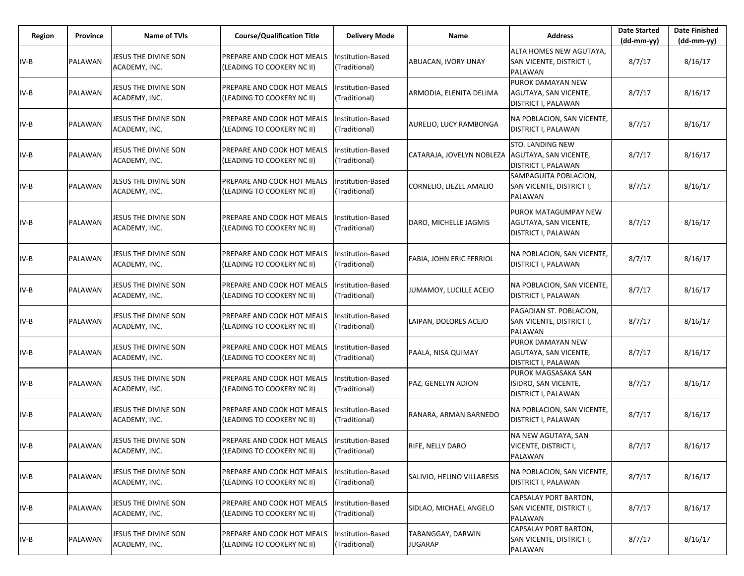| Region | Province | <b>Name of TVIs</b>                          | <b>Course/Qualification Title</b>                               | <b>Delivery Mode</b>               | Name                                            | <b>Address</b>                                                            | <b>Date Started</b><br>$(dd-mm-yy)$ | <b>Date Finished</b><br>(dd-mm-yy) |
|--------|----------|----------------------------------------------|-----------------------------------------------------------------|------------------------------------|-------------------------------------------------|---------------------------------------------------------------------------|-------------------------------------|------------------------------------|
| IV-B   | PALAWAN  | JESUS THE DIVINE SON<br>ACADEMY, INC.        | PREPARE AND COOK HOT MEALS<br>(LEADING TO COOKERY NC II)        | Institution-Based<br>(Traditional) | ABUACAN, IVORY UNAY                             | ALTA HOMES NEW AGUTAYA,<br>SAN VICENTE, DISTRICT I,<br><b>PALAWAN</b>     | 8/7/17                              | 8/16/17                            |
| IV-B   | PALAWAN  | JESUS THE DIVINE SON<br>ACADEMY, INC.        | PREPARE AND COOK HOT MEALS<br>(LEADING TO COOKERY NC II)        | Institution-Based<br>(Traditional) | ARMODIA, ELENITA DELIMA                         | PUROK DAMAYAN NEW<br>AGUTAYA, SAN VICENTE,<br><b>DISTRICT I, PALAWAN</b>  | 8/7/17                              | 8/16/17                            |
| IV-B   | PALAWAN  | JESUS THE DIVINE SON<br>ACADEMY, INC.        | <b>PREPARE AND COOK HOT MEALS</b><br>(LEADING TO COOKERY NC II) | Institution-Based<br>(Traditional) | AURELIO, LUCY RAMBONGA                          | NA POBLACION, SAN VICENTE,<br>DISTRICT I, PALAWAN                         | 8/7/17                              | 8/16/17                            |
| IV-B   | PALAWAN  | JESUS THE DIVINE SON<br>ACADEMY, INC.        | PREPARE AND COOK HOT MEALS<br>(LEADING TO COOKERY NC II)        | Institution-Based<br>(Traditional) | CATARAJA, JOVELYN NOBLEZA AGUTAYA, SAN VICENTE, | <b>STO. LANDING NEW</b><br>DISTRICT I, PALAWAN                            | 8/7/17                              | 8/16/17                            |
| $IV-B$ | PALAWAN  | JESUS THE DIVINE SON<br>ACADEMY, INC.        | PREPARE AND COOK HOT MEALS<br>(LEADING TO COOKERY NC II)        | Institution-Based<br>(Traditional) | CORNELIO, LIEZEL AMALIO                         | SAMPAGUITA POBLACION,<br>SAN VICENTE, DISTRICT I,<br><b>PALAWAN</b>       | 8/7/17                              | 8/16/17                            |
| IV-B   | PALAWAN  | JESUS THE DIVINE SON<br>ACADEMY, INC.        | PREPARE AND COOK HOT MEALS<br>(LEADING TO COOKERY NC II)        | Institution-Based<br>(Traditional) | DARO, MICHELLE JAGMIS                           | PUROK MATAGUMPAY NEW<br>AGUTAYA, SAN VICENTE,<br>DISTRICT I, PALAWAN      | 8/7/17                              | 8/16/17                            |
| IV-B   | PALAWAN  | JESUS THE DIVINE SON<br>ACADEMY, INC.        | PREPARE AND COOK HOT MEALS<br>(LEADING TO COOKERY NC II)        | Institution-Based<br>(Traditional) | FABIA, JOHN ERIC FERRIOL                        | NA POBLACION, SAN VICENTE,<br><b>DISTRICT I, PALAWAN</b>                  | 8/7/17                              | 8/16/17                            |
| IV-B   | PALAWAN  | JESUS THE DIVINE SON<br>ACADEMY, INC.        | PREPARE AND COOK HOT MEALS<br>(LEADING TO COOKERY NC II)        | Institution-Based<br>(Traditional) | JUMAMOY, LUCILLE ACEJO                          | NA POBLACION, SAN VICENTE,<br>DISTRICT I, PALAWAN                         | 8/7/17                              | 8/16/17                            |
| IV-B   | PALAWAN  | JESUS THE DIVINE SON<br>ACADEMY, INC.        | PREPARE AND COOK HOT MEALS<br>(LEADING TO COOKERY NC II)        | Institution-Based<br>(Traditional) | LAIPAN, DOLORES ACEJO                           | PAGADIAN ST. POBLACION,<br>SAN VICENTE, DISTRICT I,<br><b>PALAWAN</b>     | 8/7/17                              | 8/16/17                            |
| IV-B   | PALAWAN  | JESUS THE DIVINE SON<br>ACADEMY, INC.        | PREPARE AND COOK HOT MEALS<br>(LEADING TO COOKERY NC II)        | Institution-Based<br>(Traditional) | PAALA, NISA QUIMAY                              | PUROK DAMAYAN NEW<br>AGUTAYA, SAN VICENTE,<br>DISTRICT I, PALAWAN         | 8/7/17                              | 8/16/17                            |
| IV-B   | PALAWAN  | JESUS THE DIVINE SON<br>ACADEMY, INC.        | PREPARE AND COOK HOT MEALS<br>(LEADING TO COOKERY NC II)        | Institution-Based<br>(Traditional) | PAZ, GENELYN ADION                              | PUROK MAGSASAKA SAN<br>ISIDRO, SAN VICENTE,<br><b>DISTRICT I, PALAWAN</b> | 8/7/17                              | 8/16/17                            |
| IV-B   | PALAWAN  | JESUS THE DIVINE SON<br>ACADEMY, INC.        | PREPARE AND COOK HOT MEALS<br>(LEADING TO COOKERY NC II)        | Institution-Based<br>(Traditional) | RANARA, ARMAN BARNEDO                           | NA POBLACION, SAN VICENTE,<br><b>DISTRICT I, PALAWAN</b>                  | 8/7/17                              | 8/16/17                            |
| IV-B   | PALAWAN  | <b>JESUS THE DIVINE SON</b><br>ACADEMY, INC. | PREPARE AND COOK HOT MEALS<br>(LEADING TO COOKERY NC II)        | Institution-Based<br>(Traditional) | RIFE, NELLY DARO                                | NA NEW AGUTAYA, SAN<br>VICENTE, DISTRICT I,<br>PALAWAN                    | 8/7/17                              | 8/16/17                            |
| $IV-B$ | PALAWAN  | JESUS THE DIVINE SON<br>ACADEMY, INC.        | PREPARE AND COOK HOT MEALS<br>(LEADING TO COOKERY NC II)        | Institution-Based<br>(Traditional) | SALIVIO, HELINO VILLARESIS                      | NA POBLACION, SAN VICENTE,<br>DISTRICT I, PALAWAN                         | 8/7/17                              | 8/16/17                            |
| IV-B   | PALAWAN  | JESUS THE DIVINE SON<br>ACADEMY, INC.        | PREPARE AND COOK HOT MEALS<br>(LEADING TO COOKERY NC II)        | Institution-Based<br>(Traditional) | SIDLAO, MICHAEL ANGELO                          | CAPSALAY PORT BARTON,<br>SAN VICENTE, DISTRICT I,<br>PALAWAN              | 8/7/17                              | 8/16/17                            |
| IV-B   | PALAWAN  | JESUS THE DIVINE SON<br>ACADEMY, INC.        | PREPARE AND COOK HOT MEALS<br>(LEADING TO COOKERY NC II)        | Institution-Based<br>(Traditional) | TABANGGAY, DARWIN<br><b>JUGARAP</b>             | CAPSALAY PORT BARTON,<br>SAN VICENTE, DISTRICT I,<br>PALAWAN              | 8/7/17                              | 8/16/17                            |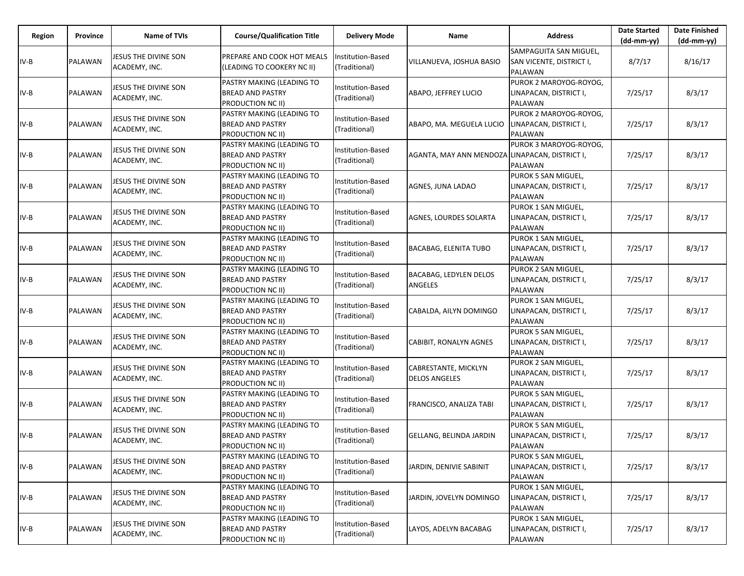| Region | Province | <b>Name of TVIs</b>                   | <b>Course/Qualification Title</b>                                         | <b>Delivery Mode</b>               | Name                                           | <b>Address</b>                                                       | <b>Date Started</b><br>$(dd-mm-yy)$ | <b>Date Finished</b><br>(dd-mm-yy) |
|--------|----------|---------------------------------------|---------------------------------------------------------------------------|------------------------------------|------------------------------------------------|----------------------------------------------------------------------|-------------------------------------|------------------------------------|
| IV-B   | PALAWAN  | JESUS THE DIVINE SON<br>ACADEMY, INC. | PREPARE AND COOK HOT MEALS<br>(LEADING TO COOKERY NC II)                  | Institution-Based<br>(Traditional) | VILLANUEVA, JOSHUA BASIO                       | SAMPAGUITA SAN MIGUEL.<br>SAN VICENTE, DISTRICT I,<br><b>PALAWAN</b> | 8/7/17                              | 8/16/17                            |
| $IV-B$ | PALAWAN  | JESUS THE DIVINE SON<br>ACADEMY, INC. | PASTRY MAKING (LEADING TO<br>BREAD AND PASTRY<br>PRODUCTION NC II)        | Institution-Based<br>(Traditional) | ABAPO, JEFFREY LUCIO                           | PUROK 2 MAROYOG-ROYOG,<br>LINAPACAN, DISTRICT I,<br>PALAWAN          | 7/25/17                             | 8/3/17                             |
| IV-B   | PALAWAN  | JESUS THE DIVINE SON<br>ACADEMY, INC. | PASTRY MAKING (LEADING TO<br>BREAD AND PASTRY<br>PRODUCTION NC II)        | Institution-Based<br>(Traditional) | ABAPO, MA. MEGUELA LUCIO                       | PUROK 2 MAROYOG-ROYOG,<br>LINAPACAN, DISTRICT I,<br><b>PALAWAN</b>   | 7/25/17                             | 8/3/17                             |
| IV-B   | PALAWAN  | JESUS THE DIVINE SON<br>ACADEMY, INC. | PASTRY MAKING (LEADING TO<br><b>BREAD AND PASTRY</b><br>PRODUCTION NC II) | Institution-Based<br>(Traditional) | AGANTA, MAY ANN MENDOZA LINAPACAN, DISTRICT I, | PUROK 3 MAROYOG-ROYOG,<br>PALAWAN                                    | 7/25/17                             | 8/3/17                             |
| IV-B   | PALAWAN  | JESUS THE DIVINE SON<br>ACADEMY, INC. | PASTRY MAKING (LEADING TO<br><b>BREAD AND PASTRY</b><br>PRODUCTION NC II) | Institution-Based<br>(Traditional) | AGNES, JUNA LADAO                              | PUROK 5 SAN MIGUEL,<br>LINAPACAN, DISTRICT I,<br>PALAWAN             | 7/25/17                             | 8/3/17                             |
| $IV-B$ | PALAWAN  | JESUS THE DIVINE SON<br>ACADEMY, INC. | PASTRY MAKING (LEADING TO<br>BREAD AND PASTRY<br>PRODUCTION NC II)        | Institution-Based<br>(Traditional) | AGNES, LOURDES SOLARTA                         | PUROK 1 SAN MIGUEL,<br>LINAPACAN, DISTRICT I,<br>PALAWAN             | 7/25/17                             | 8/3/17                             |
| IV-B   | PALAWAN  | JESUS THE DIVINE SON<br>ACADEMY, INC. | PASTRY MAKING (LEADING TO<br>BREAD AND PASTRY<br>PRODUCTION NC II)        | Institution-Based<br>(Traditional) | <b>BACABAG, ELENITA TUBO</b>                   | PUROK 1 SAN MIGUEL,<br>LINAPACAN, DISTRICT I,<br><b>PALAWAN</b>      | 7/25/17                             | 8/3/17                             |
| IV-B   | PALAWAN  | JESUS THE DIVINE SON<br>ACADEMY, INC. | PASTRY MAKING (LEADING TO<br><b>BREAD AND PASTRY</b><br>PRODUCTION NC II) | Institution-Based<br>(Traditional) | BACABAG, LEDYLEN DELOS<br>ANGELES              | PUROK 2 SAN MIGUEL,<br>LINAPACAN, DISTRICT I,<br>PALAWAN             | 7/25/17                             | 8/3/17                             |
| IV-B   | PALAWAN  | JESUS THE DIVINE SON<br>ACADEMY, INC. | PASTRY MAKING (LEADING TO<br><b>BREAD AND PASTRY</b><br>PRODUCTION NC II) | Institution-Based<br>(Traditional) | CABALDA, AILYN DOMINGO                         | PUROK 1 SAN MIGUEL,<br>LINAPACAN, DISTRICT I,<br><b>PALAWAN</b>      | 7/25/17                             | 8/3/17                             |
| IV-B   | PALAWAN  | JESUS THE DIVINE SON<br>ACADEMY, INC. | PASTRY MAKING (LEADING TO<br><b>BREAD AND PASTRY</b><br>PRODUCTION NC II) | Institution-Based<br>(Traditional) | <b>CABIBIT, RONALYN AGNES</b>                  | PUROK 5 SAN MIGUEL,<br>LINAPACAN, DISTRICT I,<br><b>PALAWAN</b>      | 7/25/17                             | 8/3/17                             |
| $IV-B$ | PALAWAN  | JESUS THE DIVINE SON<br>ACADEMY, INC. | PASTRY MAKING (LEADING TO<br><b>BREAD AND PASTRY</b><br>PRODUCTION NC II) | Institution-Based<br>(Traditional) | CABRESTANTE, MICKLYN<br><b>DELOS ANGELES</b>   | PUROK 2 SAN MIGUEL,<br>LINAPACAN, DISTRICT I,<br>PALAWAN             | 7/25/17                             | 8/3/17                             |
| $IV-B$ | PALAWAN  | JESUS THE DIVINE SON<br>ACADEMY, INC. | PASTRY MAKING (LEADING TO<br><b>BREAD AND PASTRY</b><br>PRODUCTION NC II) | Institution-Based<br>(Traditional) | FRANCISCO, ANALIZA TABI                        | PUROK 5 SAN MIGUEL,<br>LINAPACAN, DISTRICT I,<br>PALAWAN             | 7/25/17                             | 8/3/17                             |
| IV-B   | PALAWAN  | JESUS THE DIVINE SON<br>ACADEMY, INC. | PASTRY MAKING (LEADING TO<br>BREAD AND PASTRY<br>PRODUCTION NC II)        | Institution-Based<br>(Traditional) | GELLANG, BELINDA JARDIN                        | PUROK 5 SAN MIGUEL,<br>LINAPACAN, DISTRICT I,<br>PALAWAN             | 7/25/17                             | 8/3/17                             |
| $IV-B$ | PALAWAN  | JESUS THE DIVINE SON<br>ACADEMY, INC. | PASTRY MAKING (LEADING TO<br>BREAD AND PASTRY<br>PRODUCTION NC II)        | Institution-Based<br>(Traditional) | JARDIN, DENIVIE SABINIT                        | PUROK 5 SAN MIGUEL,<br>LINAPACAN, DISTRICT I,<br>PALAWAN             | 7/25/17                             | 8/3/17                             |
| $IV-B$ | PALAWAN  | JESUS THE DIVINE SON<br>ACADEMY, INC. | PASTRY MAKING (LEADING TO<br>BREAD AND PASTRY<br>PRODUCTION NC II)        | Institution-Based<br>(Traditional) | JARDIN, JOVELYN DOMINGO                        | PUROK 1 SAN MIGUEL,<br>LINAPACAN, DISTRICT I,<br>PALAWAN             | 7/25/17                             | 8/3/17                             |
| $IV-B$ | PALAWAN  | JESUS THE DIVINE SON<br>ACADEMY, INC. | PASTRY MAKING (LEADING TO<br>BREAD AND PASTRY<br>PRODUCTION NC II)        | Institution-Based<br>(Traditional) | LAYOS, ADELYN BACABAG                          | PUROK 1 SAN MIGUEL,<br>LINAPACAN, DISTRICT I,<br>PALAWAN             | 7/25/17                             | 8/3/17                             |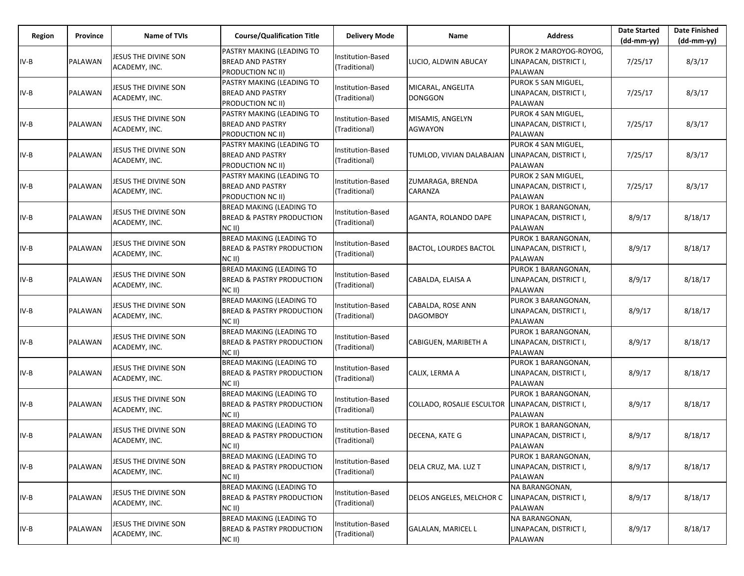| Region | Province | <b>Name of TVIs</b>                   | <b>Course/Qualification Title</b>                                                   | <b>Delivery Mode</b>               | Name                                 | <b>Address</b>                                                  | <b>Date Started</b><br>$(dd-mm-yy)$ | <b>Date Finished</b><br>(dd-mm-yy) |
|--------|----------|---------------------------------------|-------------------------------------------------------------------------------------|------------------------------------|--------------------------------------|-----------------------------------------------------------------|-------------------------------------|------------------------------------|
| IV-B   | PALAWAN  | JESUS THE DIVINE SON<br>ACADEMY, INC. | PASTRY MAKING (LEADING TO<br><b>BREAD AND PASTRY</b><br><b>PRODUCTION NC II)</b>    | Institution-Based<br>(Traditional) | LUCIO, ALDWIN ABUCAY                 | PUROK 2 MAROYOG-ROYOG.<br>LINAPACAN, DISTRICT I,<br>PALAWAN     | 7/25/17                             | 8/3/17                             |
| IV-B   | PALAWAN  | JESUS THE DIVINE SON<br>ACADEMY, INC. | PASTRY MAKING (LEADING TO<br><b>BREAD AND PASTRY</b><br><b>PRODUCTION NC II)</b>    | Institution-Based<br>(Traditional) | MICARAL, ANGELITA<br><b>DONGGON</b>  | PUROK 5 SAN MIGUEL,<br>LINAPACAN, DISTRICT I,<br>PALAWAN        | 7/25/17                             | 8/3/17                             |
| IV-B   | PALAWAN  | JESUS THE DIVINE SON<br>ACADEMY, INC. | PASTRY MAKING (LEADING TO<br><b>BREAD AND PASTRY</b><br><b>PRODUCTION NC II)</b>    | Institution-Based<br>(Traditional) | MISAMIS, ANGELYN<br><b>AGWAYON</b>   | PUROK 4 SAN MIGUEL,<br>LINAPACAN, DISTRICT I,<br>PALAWAN        | 7/25/17                             | 8/3/17                             |
| IV-B   | PALAWAN  | JESUS THE DIVINE SON<br>ACADEMY, INC. | PASTRY MAKING (LEADING TO<br><b>BREAD AND PASTRY</b><br><b>PRODUCTION NC II)</b>    | Institution-Based<br>(Traditional) | TUMLOD, VIVIAN DALABAJAN             | PUROK 4 SAN MIGUEL,<br>LINAPACAN, DISTRICT I,<br>PALAWAN        | 7/25/17                             | 8/3/17                             |
| IV-B   | PALAWAN  | JESUS THE DIVINE SON<br>ACADEMY, INC. | PASTRY MAKING (LEADING TO<br><b>BREAD AND PASTRY</b><br><b>PRODUCTION NC II)</b>    | Institution-Based<br>(Traditional) | ZUMARAGA, BRENDA<br>CARANZA          | PUROK 2 SAN MIGUEL,<br>LINAPACAN, DISTRICT I,<br>PALAWAN        | 7/25/17                             | 8/3/17                             |
| IV-B   | PALAWAN  | JESUS THE DIVINE SON<br>ACADEMY, INC. | <b>BREAD MAKING (LEADING TO</b><br><b>BREAD &amp; PASTRY PRODUCTION</b><br>$NC$ II) | Institution-Based<br>(Traditional) | AGANTA, ROLANDO DAPE                 | PUROK 1 BARANGONAN,<br>LINAPACAN, DISTRICT I,<br>PALAWAN        | 8/9/17                              | 8/18/17                            |
| IV-B   | PALAWAN  | JESUS THE DIVINE SON<br>ACADEMY, INC. | <b>BREAD MAKING (LEADING TO</b><br><b>BREAD &amp; PASTRY PRODUCTION</b><br>$NC$ II) | Institution-Based<br>(Traditional) | BACTOL, LOURDES BACTOL               | PUROK 1 BARANGONAN,<br>LINAPACAN, DISTRICT I,<br>PALAWAN        | 8/9/17                              | 8/18/17                            |
| IV-B   | PALAWAN  | JESUS THE DIVINE SON<br>ACADEMY, INC. | <b>BREAD MAKING (LEADING TO</b><br><b>BREAD &amp; PASTRY PRODUCTION</b><br>$NC$ II) | Institution-Based<br>(Traditional) | CABALDA, ELAISA A                    | PUROK 1 BARANGONAN,<br>LINAPACAN, DISTRICT I,<br>PALAWAN        | 8/9/17                              | 8/18/17                            |
| $IV-B$ | PALAWAN  | JESUS THE DIVINE SON<br>ACADEMY, INC. | <b>BREAD MAKING (LEADING TO</b><br><b>BREAD &amp; PASTRY PRODUCTION</b><br>$NC$ II) | Institution-Based<br>(Traditional) | CABALDA, ROSE ANN<br><b>DAGOMBOY</b> | PUROK 3 BARANGONAN,<br>LINAPACAN, DISTRICT I,<br><b>PALAWAN</b> | 8/9/17                              | 8/18/17                            |
| IV-B   | PALAWAN  | JESUS THE DIVINE SON<br>ACADEMY, INC. | <b>BREAD MAKING (LEADING TO</b><br><b>BREAD &amp; PASTRY PRODUCTION</b><br>$NC$ II) | Institution-Based<br>(Traditional) | CABIGUEN, MARIBETH A                 | PUROK 1 BARANGONAN,<br>LINAPACAN, DISTRICT I,<br>PALAWAN        | 8/9/17                              | 8/18/17                            |
| IV-B   | PALAWAN  | JESUS THE DIVINE SON<br>ACADEMY, INC. | <b>BREAD MAKING (LEADING TO</b><br><b>BREAD &amp; PASTRY PRODUCTION</b><br>$NC$ II) | Institution-Based<br>(Traditional) | CALIX, LERMA A                       | PUROK 1 BARANGONAN,<br>LINAPACAN, DISTRICT I,<br>PALAWAN        | 8/9/17                              | 8/18/17                            |
| IV-B   | PALAWAN  | JESUS THE DIVINE SON<br>ACADEMY, INC. | <b>BREAD MAKING (LEADING TO</b><br><b>BREAD &amp; PASTRY PRODUCTION</b><br>$NC$ II) | Institution-Based<br>(Traditional) | <b>COLLADO, ROSALIE ESCULTOR</b>     | PUROK 1 BARANGONAN,<br>LINAPACAN, DISTRICT I,<br>PALAWAN        | 8/9/17                              | 8/18/17                            |
| IV-B   | PALAWAN  | JESUS THE DIVINE SON<br>ACADEMY, INC. | <b>BREAD MAKING (LEADING TO</b><br><b>BREAD &amp; PASTRY PRODUCTION</b><br>NC II)   | Institution-Based<br>(Traditional) | DECENA, KATE G                       | PUROK 1 BARANGONAN,<br>LINAPACAN, DISTRICT I,<br>PALAWAN        | 8/9/17                              | 8/18/17                            |
| $IV-B$ | PALAWAN  | JESUS THE DIVINE SON<br>ACADEMY, INC. | <b>BREAD MAKING (LEADING TO</b><br><b>BREAD &amp; PASTRY PRODUCTION</b><br>$NC$ II) | Institution-Based<br>(Traditional) | DELA CRUZ, MA. LUZ T                 | PUROK 1 BARANGONAN,<br>LINAPACAN, DISTRICT I,<br>PALAWAN        | 8/9/17                              | 8/18/17                            |
| $IV-B$ | PALAWAN  | JESUS THE DIVINE SON<br>ACADEMY, INC. | <b>BREAD MAKING (LEADING TO</b><br><b>BREAD &amp; PASTRY PRODUCTION</b><br>$NC$ II) | Institution-Based<br>(Traditional) | DELOS ANGELES, MELCHOR C             | NA BARANGONAN,<br>LINAPACAN, DISTRICT I,<br>PALAWAN             | 8/9/17                              | 8/18/17                            |
| IV-B   | PALAWAN  | JESUS THE DIVINE SON<br>ACADEMY, INC. | BREAD MAKING (LEADING TO<br><b>BREAD &amp; PASTRY PRODUCTION</b><br>NC II)          | Institution-Based<br>(Traditional) | <b>GALALAN, MARICEL L</b>            | NA BARANGONAN,<br>LINAPACAN, DISTRICT I,<br>PALAWAN             | 8/9/17                              | 8/18/17                            |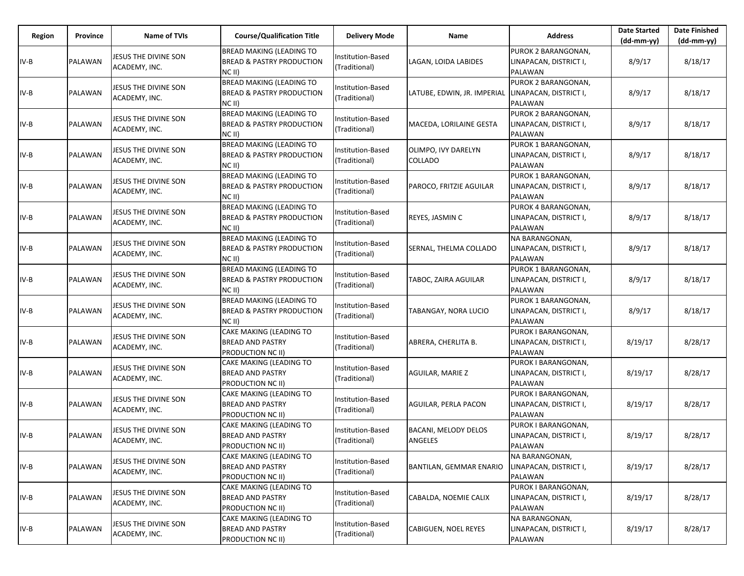| Region | <b>Province</b> | <b>Name of TVIs</b>                   | <b>Course/Qualification Title</b>                                                   | <b>Delivery Mode</b>               | Name                            | <b>Address</b>                                           | <b>Date Started</b><br>$(dd-mm-yy)$ | <b>Date Finished</b><br>(dd-mm-yy) |
|--------|-----------------|---------------------------------------|-------------------------------------------------------------------------------------|------------------------------------|---------------------------------|----------------------------------------------------------|-------------------------------------|------------------------------------|
| IV-B   | PALAWAN         | JESUS THE DIVINE SON<br>ACADEMY, INC. | <b>BREAD MAKING (LEADING TO</b><br><b>BREAD &amp; PASTRY PRODUCTION</b><br>$NC$ II) | Institution-Based<br>(Traditional) | LAGAN, LOIDA LABIDES            | PUROK 2 BARANGONAN,<br>LINAPACAN, DISTRICT I,<br>PALAWAN | 8/9/17                              | 8/18/17                            |
| $IV-B$ | PALAWAN         | JESUS THE DIVINE SON<br>ACADEMY, INC. | <b>BREAD MAKING (LEADING TO</b><br><b>BREAD &amp; PASTRY PRODUCTION</b><br>$NC$ II) | Institution-Based<br>(Traditional) | LATUBE, EDWIN, JR. IMPERIAL     | PUROK 2 BARANGONAN,<br>LINAPACAN, DISTRICT I,<br>PALAWAN | 8/9/17                              | 8/18/17                            |
| IV-B   | PALAWAN         | JESUS THE DIVINE SON<br>ACADEMY, INC. | <b>BREAD MAKING (LEADING TO</b><br><b>BREAD &amp; PASTRY PRODUCTION</b><br>$NC$ II) | Institution-Based<br>(Traditional) | MACEDA, LORILAINE GESTA         | PUROK 2 BARANGONAN,<br>LINAPACAN, DISTRICT I,<br>PALAWAN | 8/9/17                              | 8/18/17                            |
| IV-B   | PALAWAN         | JESUS THE DIVINE SON<br>ACADEMY, INC. | <b>BREAD MAKING (LEADING TO</b><br><b>BREAD &amp; PASTRY PRODUCTION</b><br>NC II)   | Institution-Based<br>(Traditional) | OLIMPO, IVY DARELYN<br>COLLADO  | PUROK 1 BARANGONAN,<br>LINAPACAN, DISTRICT I,<br>PALAWAN | 8/9/17                              | 8/18/17                            |
| IV-B   | PALAWAN         | JESUS THE DIVINE SON<br>ACADEMY, INC. | <b>BREAD MAKING (LEADING TO</b><br><b>BREAD &amp; PASTRY PRODUCTION</b><br>$NC$ II) | Institution-Based<br>(Traditional) | PAROCO, FRITZIE AGUILAR         | PUROK 1 BARANGONAN,<br>LINAPACAN, DISTRICT I,<br>PALAWAN | 8/9/17                              | 8/18/17                            |
| $IV-B$ | PALAWAN         | JESUS THE DIVINE SON<br>ACADEMY, INC. | <b>BREAD MAKING (LEADING TO</b><br>BREAD & PASTRY PRODUCTION<br>$NC$ II)            | Institution-Based<br>(Traditional) | REYES, JASMIN C                 | PUROK 4 BARANGONAN,<br>LINAPACAN, DISTRICT I,<br>PALAWAN | 8/9/17                              | 8/18/17                            |
| IV-B   | PALAWAN         | JESUS THE DIVINE SON<br>ACADEMY, INC. | <b>BREAD MAKING (LEADING TO</b><br><b>BREAD &amp; PASTRY PRODUCTION</b><br>NC II)   | Institution-Based<br>(Traditional) | SERNAL, THELMA COLLADO          | NA BARANGONAN,<br>LINAPACAN, DISTRICT I,<br>PALAWAN      | 8/9/17                              | 8/18/17                            |
| IV-B   | PALAWAN         | JESUS THE DIVINE SON<br>ACADEMY, INC. | <b>BREAD MAKING (LEADING TO</b><br><b>BREAD &amp; PASTRY PRODUCTION</b><br>$NC$ II) | Institution-Based<br>(Traditional) | TABOC, ZAIRA AGUILAR            | PUROK 1 BARANGONAN,<br>LINAPACAN, DISTRICT I,<br>PALAWAN | 8/9/17                              | 8/18/17                            |
| IV-B   | PALAWAN         | JESUS THE DIVINE SON<br>ACADEMY, INC. | <b>BREAD MAKING (LEADING TO</b><br><b>BREAD &amp; PASTRY PRODUCTION</b><br>NC II)   | Institution-Based<br>(Traditional) | TABANGAY, NORA LUCIO            | PUROK 1 BARANGONAN,<br>LINAPACAN, DISTRICT I,<br>PALAWAN | 8/9/17                              | 8/18/17                            |
| $IV-B$ | PALAWAN         | JESUS THE DIVINE SON<br>ACADEMY, INC. | CAKE MAKING (LEADING TO<br><b>BREAD AND PASTRY</b><br>PRODUCTION NC II)             | Institution-Based<br>(Traditional) | ABRERA, CHERLITA B.             | PUROK I BARANGONAN,<br>LINAPACAN, DISTRICT I,<br>PALAWAN | 8/19/17                             | 8/28/17                            |
| $IV-B$ | PALAWAN         | JESUS THE DIVINE SON<br>ACADEMY, INC. | CAKE MAKING (LEADING TO<br><b>BREAD AND PASTRY</b><br>PRODUCTION NC II)             | Institution-Based<br>(Traditional) | AGUILAR, MARIE Z                | PUROK I BARANGONAN,<br>LINAPACAN, DISTRICT I,<br>PALAWAN | 8/19/17                             | 8/28/17                            |
| $IV-B$ | PALAWAN         | JESUS THE DIVINE SON<br>ACADEMY, INC. | CAKE MAKING (LEADING TO<br><b>BREAD AND PASTRY</b><br>PRODUCTION NC II)             | Institution-Based<br>(Traditional) | <b>AGUILAR, PERLA PACON</b>     | PUROK I BARANGONAN,<br>LINAPACAN, DISTRICT I,<br>PALAWAN | 8/19/17                             | 8/28/17                            |
| IV-B   | PALAWAN         | JESUS THE DIVINE SON<br>ACADEMY, INC. | CAKE MAKING (LEADING TO<br><b>BREAD AND PASTRY</b><br>PRODUCTION NC II)             | Institution-Based<br>(Traditional) | BACANI, MELODY DELOS<br>ANGELES | PUROK I BARANGONAN,<br>LINAPACAN, DISTRICT I,<br>PALAWAN | 8/19/17                             | 8/28/17                            |
| $IV-B$ | PALAWAN         | JESUS THE DIVINE SON<br>ACADEMY, INC. | CAKE MAKING (LEADING TO<br><b>BREAD AND PASTRY</b><br>PRODUCTION NC II)             | Institution-Based<br>(Traditional) | <b>BANTILAN, GEMMAR ENARIO</b>  | NA BARANGONAN,<br>LINAPACAN, DISTRICT I,<br>PALAWAN      | 8/19/17                             | 8/28/17                            |
| $IV-B$ | PALAWAN         | JESUS THE DIVINE SON<br>ACADEMY, INC. | CAKE MAKING (LEADING TO<br><b>BREAD AND PASTRY</b><br>PRODUCTION NC II)             | Institution-Based<br>(Traditional) | CABALDA, NOEMIE CALIX           | PUROK I BARANGONAN,<br>LINAPACAN, DISTRICT I,<br>PALAWAN | 8/19/17                             | 8/28/17                            |
| $IV-B$ | PALAWAN         | JESUS THE DIVINE SON<br>ACADEMY, INC. | CAKE MAKING (LEADING TO<br><b>BREAD AND PASTRY</b><br>PRODUCTION NC II)             | Institution-Based<br>(Traditional) | CABIGUEN, NOEL REYES            | NA BARANGONAN,<br>LINAPACAN, DISTRICT I,<br>PALAWAN      | 8/19/17                             | 8/28/17                            |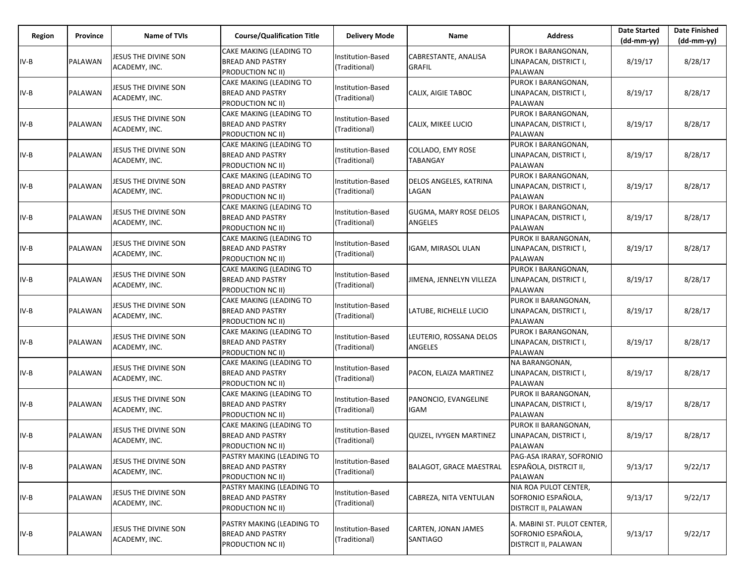| Region | Province | <b>Name of TVIs</b>                   | <b>Course/Qualification Title</b>                                         | <b>Delivery Mode</b>               | Name                                  | <b>Address</b>                                                            | <b>Date Started</b><br>(dd-mm-yy) | <b>Date Finished</b><br>$(dd-mm-yy)$ |
|--------|----------|---------------------------------------|---------------------------------------------------------------------------|------------------------------------|---------------------------------------|---------------------------------------------------------------------------|-----------------------------------|--------------------------------------|
| IV-B   | PALAWAN  | JESUS THE DIVINE SON<br>ACADEMY, INC. | CAKE MAKING (LEADING TO<br><b>BREAD AND PASTRY</b><br>PRODUCTION NC II)   | Institution-Based<br>(Traditional) | CABRESTANTE, ANALISA<br><b>GRAFIL</b> | PUROK I BARANGONAN.<br>LINAPACAN, DISTRICT I,<br><b>PALAWAN</b>           | 8/19/17                           | 8/28/17                              |
| IV-B   | PALAWAN  | JESUS THE DIVINE SON<br>ACADEMY, INC. | CAKE MAKING (LEADING TO<br><b>BREAD AND PASTRY</b><br>PRODUCTION NC II)   | Institution-Based<br>(Traditional) | CALIX, AIGIE TABOC                    | PUROK I BARANGONAN,<br>LINAPACAN, DISTRICT I,<br>PALAWAN                  | 8/19/17                           | 8/28/17                              |
| IV-B   | PALAWAN  | JESUS THE DIVINE SON<br>ACADEMY, INC. | CAKE MAKING (LEADING TO<br>BREAD AND PASTRY<br>PRODUCTION NC II)          | Institution-Based<br>(Traditional) | CALIX, MIKEE LUCIO                    | PUROK I BARANGONAN,<br>LINAPACAN, DISTRICT I,<br>PALAWAN                  | 8/19/17                           | 8/28/17                              |
| IV-B   | PALAWAN  | JESUS THE DIVINE SON<br>ACADEMY, INC. | CAKE MAKING (LEADING TO<br>BREAD AND PASTRY<br>PRODUCTION NC II)          | Institution-Based<br>(Traditional) | COLLADO, EMY ROSE<br><b>TABANGAY</b>  | PUROK I BARANGONAN,<br>LINAPACAN, DISTRICT I,<br>PALAWAN                  | 8/19/17                           | 8/28/17                              |
| IV-B   | PALAWAN  | JESUS THE DIVINE SON<br>ACADEMY, INC. | CAKE MAKING (LEADING TO<br><b>BREAD AND PASTRY</b><br>PRODUCTION NC II)   | Institution-Based<br>(Traditional) | DELOS ANGELES, KATRINA<br>LAGAN       | PUROK I BARANGONAN,<br>LINAPACAN, DISTRICT I,<br><b>PALAWAN</b>           | 8/19/17                           | 8/28/17                              |
| IV-B   | PALAWAN  | JESUS THE DIVINE SON<br>ACADEMY, INC. | CAKE MAKING (LEADING TO<br><b>BREAD AND PASTRY</b><br>PRODUCTION NC II)   | Institution-Based<br>(Traditional) | GUGMA, MARY ROSE DELOS<br>ANGELES     | PUROK I BARANGONAN,<br>LINAPACAN, DISTRICT I,<br>PALAWAN                  | 8/19/17                           | 8/28/17                              |
| IV-B   | PALAWAN  | JESUS THE DIVINE SON<br>ACADEMY, INC. | CAKE MAKING (LEADING TO<br><b>BREAD AND PASTRY</b><br>PRODUCTION NC II)   | Institution-Based<br>(Traditional) | IGAM, MIRASOL ULAN                    | PUROK II BARANGONAN,<br>LINAPACAN, DISTRICT I,<br>PALAWAN                 | 8/19/17                           | 8/28/17                              |
| IV-B   | PALAWAN  | JESUS THE DIVINE SON<br>ACADEMY, INC. | CAKE MAKING (LEADING TO<br><b>BREAD AND PASTRY</b><br>PRODUCTION NC II)   | Institution-Based<br>(Traditional) | JIMENA, JENNELYN VILLEZA              | PUROK I BARANGONAN,<br>LINAPACAN, DISTRICT I,<br><b>PALAWAN</b>           | 8/19/17                           | 8/28/17                              |
| $IV-B$ | PALAWAN  | JESUS THE DIVINE SON<br>ACADEMY, INC. | CAKE MAKING (LEADING TO<br><b>BREAD AND PASTRY</b><br>PRODUCTION NC II)   | Institution-Based<br>(Traditional) | LATUBE, RICHELLE LUCIO                | PUROK II BARANGONAN,<br>LINAPACAN, DISTRICT I,<br>PALAWAN                 | 8/19/17                           | 8/28/17                              |
| IV-B   | PALAWAN  | JESUS THE DIVINE SON<br>ACADEMY, INC. | CAKE MAKING (LEADING TO<br><b>BREAD AND PASTRY</b><br>PRODUCTION NC II)   | Institution-Based<br>(Traditional) | LEUTERIO, ROSSANA DELOS<br>ANGELES    | PUROK I BARANGONAN,<br>LINAPACAN, DISTRICT I,<br>PALAWAN                  | 8/19/17                           | 8/28/17                              |
| $IV-B$ | PALAWAN  | JESUS THE DIVINE SON<br>ACADEMY, INC. | CAKE MAKING (LEADING TO<br><b>BREAD AND PASTRY</b><br>PRODUCTION NC II)   | Institution-Based<br>(Traditional) | PACON, ELAIZA MARTINEZ                | NA BARANGONAN,<br>LINAPACAN, DISTRICT I,<br>PALAWAN                       | 8/19/17                           | 8/28/17                              |
| $IV-B$ | PALAWAN  | JESUS THE DIVINE SON<br>ACADEMY, INC. | CAKE MAKING (LEADING TO<br>BREAD AND PASTRY<br>PRODUCTION NC II)          | Institution-Based<br>(Traditional) | PANONCIO, EVANGELINE<br>IGAM          | PUROK II BARANGONAN,<br>LINAPACAN, DISTRICT I,<br>PALAWAN                 | 8/19/17                           | 8/28/17                              |
| IV-B   | PALAWAN  | JESUS THE DIVINE SON<br>ACADEMY, INC. | CAKE MAKING (LEADING TO<br><b>BREAD AND PASTRY</b><br>PRODUCTION NC II)   | nstitution-Based<br>(Traditional)  | QUIZEL, IVYGEN MARTINEZ               | PUROK II BARANGONAN,<br>LINAPACAN, DISTRICT I,<br>PALAWAN                 | 8/19/17                           | 8/28/17                              |
| $IV-B$ | PALAWAN  | JESUS THE DIVINE SON<br>ACADEMY, INC. | PASTRY MAKING (LEADING TO<br><b>BREAD AND PASTRY</b><br>PRODUCTION NC II) | Institution-Based<br>(Traditional) | <b>BALAGOT, GRACE MAESTRAL</b>        | PAG-ASA IRARAY, SOFRONIO<br>ESPAÑOLA, DISTRCIT II,<br>PALAWAN             | 9/13/17                           | 9/22/17                              |
| $IV-B$ | PALAWAN  | JESUS THE DIVINE SON<br>ACADEMY, INC. | PASTRY MAKING (LEADING TO<br><b>BREAD AND PASTRY</b><br>PRODUCTION NC II) | Institution-Based<br>(Traditional) | CABREZA, NITA VENTULAN                | NIA ROA PULOT CENTER,<br>SOFRONIO ESPAÑOLA,<br>DISTRCIT II, PALAWAN       | 9/13/17                           | 9/22/17                              |
| $IV-B$ | PALAWAN  | JESUS THE DIVINE SON<br>ACADEMY, INC. | PASTRY MAKING (LEADING TO<br><b>BREAD AND PASTRY</b><br>PRODUCTION NC II) | Institution-Based<br>(Traditional) | CARTEN, JONAN JAMES<br>SANTIAGO       | A. MABINI ST. PULOT CENTER,<br>SOFRONIO ESPAÑOLA,<br>DISTRCIT II, PALAWAN | 9/13/17                           | 9/22/17                              |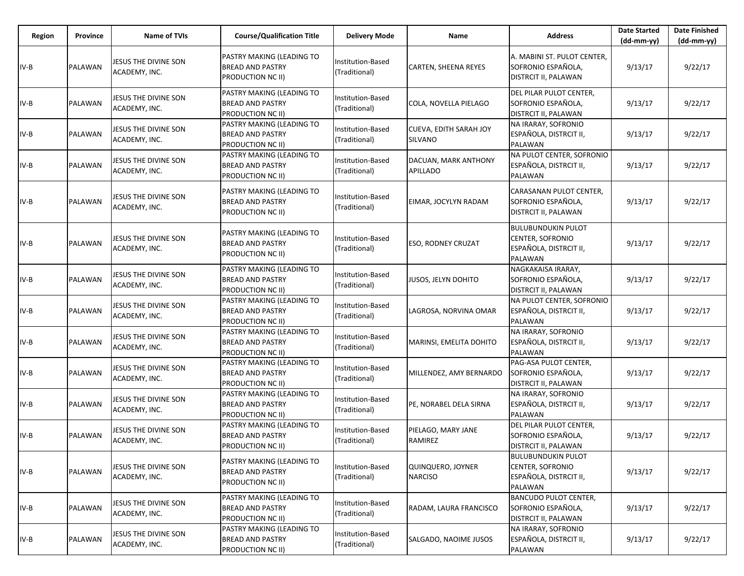| Region | Province | <b>Name of TVIs</b>                   | <b>Course/Qualification Title</b>                                         | <b>Delivery Mode</b>               | Name                                     | <b>Address</b>                                                                            | <b>Date Started</b><br>$(dd-mm-yy)$ | <b>Date Finished</b><br>(dd-mm-yy) |
|--------|----------|---------------------------------------|---------------------------------------------------------------------------|------------------------------------|------------------------------------------|-------------------------------------------------------------------------------------------|-------------------------------------|------------------------------------|
| $IV-B$ | PALAWAN  | JESUS THE DIVINE SON<br>ACADEMY, INC. | PASTRY MAKING (LEADING TO<br><b>BREAD AND PASTRY</b><br>PRODUCTION NC II) | Institution-Based<br>(Traditional) | CARTEN, SHEENA REYES                     | A. MABINI ST. PULOT CENTER,<br>SOFRONIO ESPAÑOLA,<br><b>DISTRCIT II, PALAWAN</b>          | 9/13/17                             | 9/22/17                            |
| $IV-B$ | PALAWAN  | JESUS THE DIVINE SON<br>ACADEMY, INC. | PASTRY MAKING (LEADING TO<br><b>BREAD AND PASTRY</b><br>PRODUCTION NC II) | Institution-Based<br>(Traditional) | COLA, NOVELLA PIELAGO                    | DEL PILAR PULOT CENTER,<br>SOFRONIO ESPAÑOLA,<br><b>DISTRCIT II, PALAWAN</b>              | 9/13/17                             | 9/22/17                            |
| IV-B   | PALAWAN  | JESUS THE DIVINE SON<br>ACADEMY, INC. | PASTRY MAKING (LEADING TO<br><b>BREAD AND PASTRY</b><br>PRODUCTION NC II) | Institution-Based<br>(Traditional) | CUEVA, EDITH SARAH JOY<br><b>SILVANO</b> | NA IRARAY, SOFRONIO<br>ESPAÑOLA, DISTRCIT II,<br><b>PALAWAN</b>                           | 9/13/17                             | 9/22/17                            |
| $IV-B$ | PALAWAN  | JESUS THE DIVINE SON<br>ACADEMY, INC. | PASTRY MAKING (LEADING TO<br><b>BREAD AND PASTRY</b><br>PRODUCTION NC II) | Institution-Based<br>(Traditional) | DACUAN, MARK ANTHONY<br><b>APILLADO</b>  | NA PULOT CENTER, SOFRONIO<br>ESPAÑOLA, DISTRCIT II,<br>PALAWAN                            | 9/13/17                             | 9/22/17                            |
| $IV-B$ | PALAWAN  | JESUS THE DIVINE SON<br>ACADEMY, INC. | PASTRY MAKING (LEADING TO<br><b>BREAD AND PASTRY</b><br>PRODUCTION NC II) | Institution-Based<br>(Traditional) | EIMAR, JOCYLYN RADAM                     | CARASANAN PULOT CENTER,<br>SOFRONIO ESPAÑOLA,<br><b>DISTRCIT II, PALAWAN</b>              | 9/13/17                             | 9/22/17                            |
| $IV-B$ | PALAWAN  | JESUS THE DIVINE SON<br>ACADEMY, INC. | PASTRY MAKING (LEADING TO<br><b>BREAD AND PASTRY</b><br>PRODUCTION NC II) | Institution-Based<br>(Traditional) | <b>ESO, RODNEY CRUZAT</b>                | <b>BULUBUNDUKIN PULOT</b><br>CENTER, SOFRONIO<br>ESPAÑOLA, DISTRCIT II,<br><b>PALAWAN</b> | 9/13/17                             | 9/22/17                            |
| IV-B   | PALAWAN  | JESUS THE DIVINE SON<br>ACADEMY, INC. | PASTRY MAKING (LEADING TO<br><b>BREAD AND PASTRY</b><br>PRODUCTION NC II) | Institution-Based<br>(Traditional) | JUSOS, JELYN DOHITO                      | NAGKAKAISA IRARAY,<br>SOFRONIO ESPAÑOLA,<br><b>DISTRCIT II, PALAWAN</b>                   | 9/13/17                             | 9/22/17                            |
| IV-B   | PALAWAN  | JESUS THE DIVINE SON<br>ACADEMY, INC. | PASTRY MAKING (LEADING TO<br><b>BREAD AND PASTRY</b><br>PRODUCTION NC II) | Institution-Based<br>(Traditional) | LAGROSA, NORVINA OMAR                    | NA PULOT CENTER, SOFRONIO<br>ESPAÑOLA, DISTRCIT II,<br>PALAWAN                            | 9/13/17                             | 9/22/17                            |
| IV-B   | PALAWAN  | JESUS THE DIVINE SON<br>ACADEMY, INC. | PASTRY MAKING (LEADING TO<br><b>BREAD AND PASTRY</b><br>PRODUCTION NC II) | Institution-Based<br>(Traditional) | MARINSI, EMELITA DOHITO                  | NA IRARAY, SOFRONIO<br>ESPAÑOLA, DISTRCIT II,<br>PALAWAN                                  | 9/13/17                             | 9/22/17                            |
| IV-B   | PALAWAN  | JESUS THE DIVINE SON<br>ACADEMY, INC. | PASTRY MAKING (LEADING TO<br><b>BREAD AND PASTRY</b><br>PRODUCTION NC II) | Institution-Based<br>(Traditional) | MILLENDEZ, AMY BERNARDO                  | PAG-ASA PULOT CENTER,<br>SOFRONIO ESPAÑOLA,<br><b>DISTRCIT II, PALAWAN</b>                | 9/13/17                             | 9/22/17                            |
| IV-B   | PALAWAN  | JESUS THE DIVINE SON<br>ACADEMY, INC. | PASTRY MAKING (LEADING TO<br><b>BREAD AND PASTRY</b><br>PRODUCTION NC II) | Institution-Based<br>(Traditional) | PE, NORABEL DELA SIRNA                   | NA IRARAY, SOFRONIO<br>ESPAÑOLA, DISTRCIT II,<br><b>PALAWAN</b>                           | 9/13/17                             | 9/22/17                            |
| IV-B   | PALAWAN  | JESUS THE DIVINE SON<br>ACADEMY, INC. | PASTRY MAKING (LEADING TO<br><b>BREAD AND PASTRY</b><br>PRODUCTION NC II) | nstitution-Based<br>(Traditional)  | PIELAGO, MARY JANE<br>RAMIREZ            | DEL PILAR PULOT CENTER,<br>SOFRONIO ESPAÑOLA,<br>DISTRCIT II, PALAWAN                     | 9/13/17                             | 9/22/17                            |
| $IV-B$ | PALAWAN  | JESUS THE DIVINE SON<br>ACADEMY, INC. | PASTRY MAKING (LEADING TO<br><b>BREAD AND PASTRY</b><br>PRODUCTION NC II) | Institution-Based<br>(Traditional) | QUINQUERO, JOYNER<br><b>NARCISO</b>      | <b>BULUBUNDUKIN PULOT</b><br>CENTER, SOFRONIO<br>ESPAÑOLA, DISTRCIT II,<br>PALAWAN        | 9/13/17                             | 9/22/17                            |
| IV-B   | PALAWAN  | JESUS THE DIVINE SON<br>ACADEMY, INC. | PASTRY MAKING (LEADING TO<br><b>BREAD AND PASTRY</b><br>PRODUCTION NC II) | Institution-Based<br>(Traditional) | RADAM, LAURA FRANCISCO                   | <b>BANCUDO PULOT CENTER,</b><br>SOFRONIO ESPAÑOLA,<br><b>DISTRCIT II, PALAWAN</b>         | 9/13/17                             | 9/22/17                            |
| IV-B   | PALAWAN  | JESUS THE DIVINE SON<br>ACADEMY, INC. | PASTRY MAKING (LEADING TO<br><b>BREAD AND PASTRY</b><br>PRODUCTION NC II) | Institution-Based<br>(Traditional) | SALGADO, NAOIME JUSOS                    | NA IRARAY, SOFRONIO<br>ESPAÑOLA, DISTRCIT II,<br>PALAWAN                                  | 9/13/17                             | 9/22/17                            |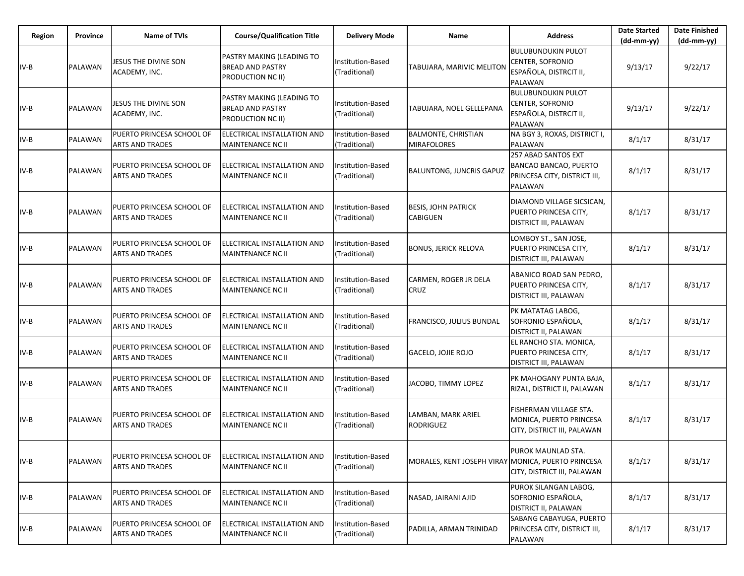| Region | <b>Province</b> | <b>Name of TVIs</b>                                 | <b>Course/Qualification Title</b>                                                       | <b>Delivery Mode</b>               | Name                                               | <b>Address</b>                                                                                        | <b>Date Started</b><br>(dd-mm-yy) | <b>Date Finished</b><br>(dd-mm-yy) |
|--------|-----------------|-----------------------------------------------------|-----------------------------------------------------------------------------------------|------------------------------------|----------------------------------------------------|-------------------------------------------------------------------------------------------------------|-----------------------------------|------------------------------------|
| $IV-B$ | PALAWAN         | JESUS THE DIVINE SON<br>ACADEMY, INC.               | PASTRY MAKING (LEADING TO<br><b>BREAD AND PASTRY</b><br>PRODUCTION NC II)               | Institution-Based<br>(Traditional) | TABUJARA, MARIVIC MELITON                          | <b>BULUBUNDUKIN PULOT</b><br>CENTER, SOFRONIO<br>ESPAÑOLA, DISTRCIT II,<br><b>PALAWAN</b>             | 9/13/17                           | 9/22/17                            |
| $IV-B$ | PALAWAN         | JESUS THE DIVINE SON<br>ACADEMY, INC.               | <b>PASTRY MAKING (LEADING TO</b><br><b>BREAD AND PASTRY</b><br><b>PRODUCTION NC II)</b> | Institution-Based<br>(Traditional) | TABUJARA, NOEL GELLEPANA                           | <b>BULUBUNDUKIN PULOT</b><br>CENTER, SOFRONIO<br>ESPAÑOLA, DISTRCIT II,<br><b>PALAWAN</b>             | 9/13/17                           | 9/22/17                            |
| IV-B   | PALAWAN         | PUERTO PRINCESA SCHOOL OF<br><b>ARTS AND TRADES</b> | ELECTRICAL INSTALLATION AND<br><b>MAINTENANCE NC II</b>                                 | Institution-Based<br>(Traditional) | <b>BALMONTE, CHRISTIAN</b><br><b>MIRAFOLORES</b>   | NA BGY 3, ROXAS, DISTRICT I,<br><b>PALAWAN</b>                                                        | 8/1/17                            | 8/31/17                            |
| $IV-B$ | PALAWAN         | PUERTO PRINCESA SCHOOL OF<br><b>ARTS AND TRADES</b> | ELECTRICAL INSTALLATION AND<br><b>MAINTENANCE NC II</b>                                 | Institution-Based<br>(Traditional) | <b>BALUNTONG, JUNCRIS GAPUZ</b>                    | 257 ABAD SANTOS EXT<br><b>BANCAO BANCAO, PUERTO</b><br>PRINCESA CITY, DISTRICT III,<br><b>PALAWAN</b> | 8/1/17                            | 8/31/17                            |
| IV-B   | PALAWAN         | PUERTO PRINCESA SCHOOL OF<br><b>ARTS AND TRADES</b> | ELECTRICAL INSTALLATION AND<br><b>MAINTENANCE NC II</b>                                 | Institution-Based<br>(Traditional) | <b>BESIS, JOHN PATRICK</b><br><b>CABIGUEN</b>      | DIAMOND VILLAGE SICSICAN,<br>PUERTO PRINCESA CITY,<br><b>DISTRICT III, PALAWAN</b>                    | 8/1/17                            | 8/31/17                            |
| IV-B   | <b>PALAWAN</b>  | PUERTO PRINCESA SCHOOL OF<br><b>ARTS AND TRADES</b> | ELECTRICAL INSTALLATION AND<br>MAINTENANCE NC II                                        | Institution-Based<br>(Traditional) | <b>BONUS, JERICK RELOVA</b>                        | LOMBOY ST., SAN JOSE,<br>PUERTO PRINCESA CITY,<br><b>DISTRICT III, PALAWAN</b>                        | 8/1/17                            | 8/31/17                            |
| IV-B   | <b>PALAWAN</b>  | PUERTO PRINCESA SCHOOL OF<br>ARTS AND TRADES        | ELECTRICAL INSTALLATION AND<br><b>MAINTENANCE NC II</b>                                 | Institution-Based<br>(Traditional) | CARMEN, ROGER JR DELA<br><b>CRUZ</b>               | ABANICO ROAD SAN PEDRO,<br>PUERTO PRINCESA CITY,<br><b>DISTRICT III, PALAWAN</b>                      | 8/1/17                            | 8/31/17                            |
| IV-B   | PALAWAN         | PUERTO PRINCESA SCHOOL OF<br><b>ARTS AND TRADES</b> | <b>IELECTRICAL INSTALLATION AND</b><br>MAINTENANCE NC II                                | Institution-Based<br>(Traditional) | <b>FRANCISCO, JULIUS BUNDAL</b>                    | PK MATATAG LABOG,<br>SOFRONIO ESPAÑOLA,<br><b>DISTRICT II, PALAWAN</b>                                | 8/1/17                            | 8/31/17                            |
| IV-B   | PALAWAN         | PUERTO PRINCESA SCHOOL OF<br><b>ARTS AND TRADES</b> | ELECTRICAL INSTALLATION AND<br><b>MAINTENANCE NC II</b>                                 | Institution-Based<br>(Traditional) | GACELO, JOJIE ROJO                                 | EL RANCHO STA. MONICA,<br>PUERTO PRINCESA CITY,<br>DISTRICT III, PALAWAN                              | 8/1/17                            | 8/31/17                            |
| IV-B   | <b>PALAWAN</b>  | PUERTO PRINCESA SCHOOL OF<br><b>ARTS AND TRADES</b> | ELECTRICAL INSTALLATION AND<br>MAINTENANCE NC II                                        | Institution-Based<br>(Traditional) | JACOBO, TIMMY LOPEZ                                | PK MAHOGANY PUNTA BAJA,<br>RIZAL, DISTRICT II, PALAWAN                                                | 8/1/17                            | 8/31/17                            |
| IV-B   | PALAWAN         | PUERTO PRINCESA SCHOOL OF<br>ARTS AND TRADES        | ELECTRICAL INSTALLATION AND<br><b>MAINTENANCE NC II</b>                                 | Institution-Based<br>(Traditional) | LAMBAN, MARK ARIEL<br>RODRIGUEZ                    | FISHERMAN VILLAGE STA.<br>MONICA, PUERTO PRINCESA<br>CITY, DISTRICT III, PALAWAN                      | 8/1/17                            | 8/31/17                            |
| IV-B   | PALAWAN         | PUERTO PRINCESA SCHOOL OF<br><b>ARTS AND TRADES</b> | ELECTRICAL INSTALLATION AND<br><b>MAINTENANCE NC II</b>                                 | Institution-Based<br>(Traditional) | MORALES, KENT JOSEPH VIRAY MONICA, PUERTO PRINCESA | PUROK MAUNLAD STA.<br>CITY, DISTRICT III, PALAWAN                                                     | 8/1/17                            | 8/31/17                            |
| IV-B   | PALAWAN         | PUERTO PRINCESA SCHOOL OF<br><b>ARTS AND TRADES</b> | ELECTRICAL INSTALLATION AND<br>MAINTENANCE NC II                                        | Institution-Based<br>(Traditional) | NASAD, JAIRANI AJID                                | PUROK SILANGAN LABOG,<br>SOFRONIO ESPAÑOLA,<br><b>DISTRICT II, PALAWAN</b>                            | 8/1/17                            | 8/31/17                            |
| IV-B   | PALAWAN         | PUERTO PRINCESA SCHOOL OF<br><b>ARTS AND TRADES</b> | ELECTRICAL INSTALLATION AND<br><b>MAINTENANCE NC II</b>                                 | Institution-Based<br>(Traditional) | PADILLA, ARMAN TRINIDAD                            | SABANG CABAYUGA, PUERTO<br>PRINCESA CITY, DISTRICT III,<br>PALAWAN                                    | 8/1/17                            | 8/31/17                            |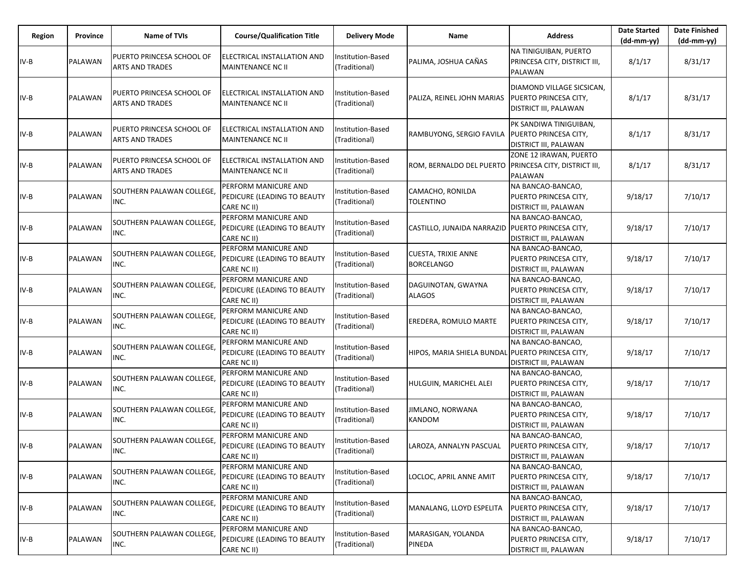| Region | Province       | Name of TVIs                                        | <b>Course/Qualification Title</b>                                  | <b>Delivery Mode</b>               | Name                                                  | <b>Address</b>                                                                     | <b>Date Started</b><br>$(dd-mm-yy)$ | <b>Date Finished</b><br>$(dd-mm-yy)$ |
|--------|----------------|-----------------------------------------------------|--------------------------------------------------------------------|------------------------------------|-------------------------------------------------------|------------------------------------------------------------------------------------|-------------------------------------|--------------------------------------|
| IV-B   | PALAWAN        | PUERTO PRINCESA SCHOOL OF<br><b>ARTS AND TRADES</b> | ELECTRICAL INSTALLATION AND<br>MAINTENANCE NC II                   | Institution-Based<br>(Traditional) | PALIMA, JOSHUA CAÑAS                                  | NA TINIGUIBAN, PUERTO<br>PRINCESA CITY, DISTRICT III,<br>PALAWAN                   | 8/1/17                              | 8/31/17                              |
| IV-B   | PALAWAN        | PUERTO PRINCESA SCHOOL OF<br><b>ARTS AND TRADES</b> | ELECTRICAL INSTALLATION AND<br>MAINTENANCE NC II                   | Institution-Based<br>(Traditional) | PALIZA, REINEL JOHN MARIAS                            | DIAMOND VILLAGE SICSICAN,<br><b>PUERTO PRINCESA CITY,</b><br>DISTRICT III, PALAWAN | 8/1/17                              | 8/31/17                              |
| IV-B   | <b>PALAWAN</b> | PUERTO PRINCESA SCHOOL OF<br><b>ARTS AND TRADES</b> | ELECTRICAL INSTALLATION AND<br>MAINTENANCE NC II                   | Institution-Based<br>(Traditional) | RAMBUYONG, SERGIO FAVILA                              | PK SANDIWA TINIGUIBAN,<br><b>PUERTO PRINCESA CITY,</b><br>DISTRICT III, PALAWAN    | 8/1/17                              | 8/31/17                              |
| IV-B   | PALAWAN        | PUERTO PRINCESA SCHOOL OF<br><b>ARTS AND TRADES</b> | ELECTRICAL INSTALLATION AND<br>MAINTENANCE NC II                   | Institution-Based<br>(Traditional) | ROM, BERNALDO DEL PUERTO PRINCESA CITY, DISTRICT III, | ZONE 12 IRAWAN, PUERTO<br>PALAWAN                                                  | 8/1/17                              | 8/31/17                              |
| IV-B   | PALAWAN        | SOUTHERN PALAWAN COLLEGE,<br>INC.                   | PERFORM MANICURE AND<br>PEDICURE (LEADING TO BEAUTY<br>CARE NC II) | Institution-Based<br>(Traditional) | CAMACHO, RONILDA<br><b>TOLENTINO</b>                  | NA BANCAO-BANCAO,<br>PUERTO PRINCESA CITY,<br>DISTRICT III, PALAWAN                | 9/18/17                             | 7/10/17                              |
| IV-B   | PALAWAN        | SOUTHERN PALAWAN COLLEGE,<br>INC.                   | PERFORM MANICURE AND<br>PEDICURE (LEADING TO BEAUTY<br>CARE NC II) | nstitution-Based<br>(Traditional)  | CASTILLO, JUNAIDA NARRAZID   PUERTO PRINCESA CITY,    | NA BANCAO-BANCAO,<br>DISTRICT III, PALAWAN                                         | 9/18/17                             | 7/10/17                              |
| IV-B   | PALAWAN        | SOUTHERN PALAWAN COLLEGE,<br>INC.                   | PERFORM MANICURE AND<br>PEDICURE (LEADING TO BEAUTY<br>CARE NC II) | Institution-Based<br>(Traditional) | <b>CUESTA, TRIXIE ANNE</b><br><b>BORCELANGO</b>       | NA BANCAO-BANCAO,<br>PUERTO PRINCESA CITY,<br>DISTRICT III, PALAWAN                | 9/18/17                             | 7/10/17                              |
| $IV-B$ | <b>PALAWAN</b> | SOUTHERN PALAWAN COLLEGE,<br>INC.                   | PERFORM MANICURE AND<br>PEDICURE (LEADING TO BEAUTY<br>CARE NC II) | nstitution-Based<br>(Traditional)  | DAGUINOTAN, GWAYNA<br><b>ALAGOS</b>                   | NA BANCAO-BANCAO,<br>PUERTO PRINCESA CITY,<br>DISTRICT III, PALAWAN                | 9/18/17                             | 7/10/17                              |
| IV-B   | PALAWAN        | SOUTHERN PALAWAN COLLEGE,<br>INC.                   | PERFORM MANICURE AND<br>PEDICURE (LEADING TO BEAUTY<br>CARE NC II) | Institution-Based<br>(Traditional) | EREDERA, ROMULO MARTE                                 | NA BANCAO-BANCAO,<br>PUERTO PRINCESA CITY,<br>DISTRICT III, PALAWAN                | 9/18/17                             | 7/10/17                              |
| IV-B   | PALAWAN        | SOUTHERN PALAWAN COLLEGE,<br>INC.                   | PERFORM MANICURE AND<br>PEDICURE (LEADING TO BEAUTY<br>CARE NC II) | Institution-Based<br>(Traditional) | HIPOS, MARIA SHIELA BUNDAL PUERTO PRINCESA CITY,      | NA BANCAO-BANCAO,<br>DISTRICT III, PALAWAN                                         | 9/18/17                             | 7/10/17                              |
| IV-B   | PALAWAN        | SOUTHERN PALAWAN COLLEGE,<br>INC.                   | PERFORM MANICURE AND<br>PEDICURE (LEADING TO BEAUTY<br>CARE NC II) | Institution-Based<br>(Traditional) | <b>HULGUIN, MARICHEL ALEI</b>                         | NA BANCAO-BANCAO,<br>PUERTO PRINCESA CITY,<br>DISTRICT III, PALAWAN                | 9/18/17                             | 7/10/17                              |
| IV-B   | PALAWAN        | SOUTHERN PALAWAN COLLEGE,<br>INC.                   | PERFORM MANICURE AND<br>PEDICURE (LEADING TO BEAUTY<br>CARE NC II) | nstitution-Based<br>(Traditional)  | JIMLANO, NORWANA<br><b>KANDOM</b>                     | NA BANCAO-BANCAO,<br>PUERTO PRINCESA CITY,<br>DISTRICT III, PALAWAN                | 9/18/17                             | 7/10/17                              |
| IV-B   | PALAWAN        | SOUTHERN PALAWAN COLLEGE,<br>INC.                   | PERFORM MANICURE AND<br>PEDICURE (LEADING TO BEAUTY<br>CARE NC II) | Institution-Based<br>(Traditional) | LAROZA, ANNALYN PASCUAL                               | NA BANCAO-BANCAO,<br>PUERTO PRINCESA CITY,<br>DISTRICT III, PALAWAN                | 9/18/17                             | 7/10/17                              |
| IV-B   | PALAWAN        | SOUTHERN PALAWAN COLLEGE,<br>INC.                   | PERFORM MANICURE AND<br>PEDICURE (LEADING TO BEAUTY<br>CARE NC II) | nstitution-Based<br>(Traditional)  | LOCLOC, APRIL ANNE AMIT                               | NA BANCAO-BANCAO,<br>PUERTO PRINCESA CITY,<br>DISTRICT III, PALAWAN                | 9/18/17                             | 7/10/17                              |
| IV-B   | PALAWAN        | SOUTHERN PALAWAN COLLEGE,<br>INC.                   | PERFORM MANICURE AND<br>PEDICURE (LEADING TO BEAUTY<br>CARE NC II) | Institution-Based<br>(Traditional) | MANALANG, LLOYD ESPELITA                              | NA BANCAO-BANCAO,<br>PUERTO PRINCESA CITY,<br>DISTRICT III, PALAWAN                | 9/18/17                             | 7/10/17                              |
| IV-B   | PALAWAN        | SOUTHERN PALAWAN COLLEGE,<br>INC.                   | PERFORM MANICURE AND<br>PEDICURE (LEADING TO BEAUTY<br>CARE NC II) | nstitution-Based<br>(Traditional)  | MARASIGAN, YOLANDA<br>PINEDA                          | NA BANCAO-BANCAO,<br>PUERTO PRINCESA CITY,<br>DISTRICT III, PALAWAN                | 9/18/17                             | 7/10/17                              |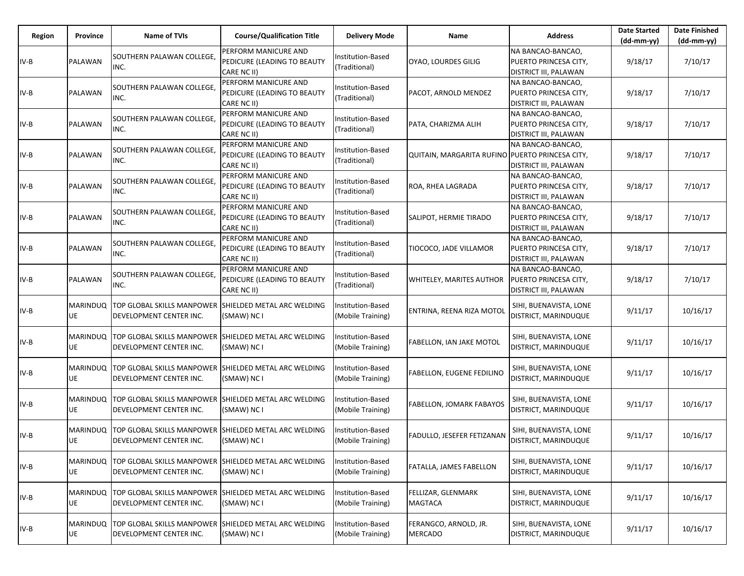| Region | Province              | <b>Name of TVIs</b>                                                              | <b>Course/Qualification Title</b>                                  | <b>Delivery Mode</b>                   | Name                                            | <b>Address</b>                                                             | <b>Date Started</b><br>$(dd-mm-yy)$ | <b>Date Finished</b><br>$(dd-mm-yy)$ |
|--------|-----------------------|----------------------------------------------------------------------------------|--------------------------------------------------------------------|----------------------------------------|-------------------------------------------------|----------------------------------------------------------------------------|-------------------------------------|--------------------------------------|
| $IV-B$ | PALAWAN               | SOUTHERN PALAWAN COLLEGE,<br>INC.                                                | PERFORM MANICURE AND<br>PEDICURE (LEADING TO BEAUTY<br>CARE NC II) | Institution-Based<br>(Traditional)     | OYAO, LOURDES GILIG                             | NA BANCAO-BANCAO.<br>PUERTO PRINCESA CITY,<br><b>DISTRICT III, PALAWAN</b> | 9/18/17                             | 7/10/17                              |
| $IV-B$ | PALAWAN               | SOUTHERN PALAWAN COLLEGE,<br>INC.                                                | PERFORM MANICURE AND<br>PEDICURE (LEADING TO BEAUTY<br>CARE NC II) | nstitution-Based<br>(Traditional)      | PACOT, ARNOLD MENDEZ                            | NA BANCAO-BANCAO,<br>PUERTO PRINCESA CITY,<br><b>DISTRICT III, PALAWAN</b> | 9/18/17                             | 7/10/17                              |
| $IV-B$ | PALAWAN               | SOUTHERN PALAWAN COLLEGE.<br>INC.                                                | PERFORM MANICURE AND<br>PEDICURE (LEADING TO BEAUTY<br>CARE NC II) | Institution-Based<br>(Traditional)     | PATA, CHARIZMA ALIH                             | NA BANCAO-BANCAO,<br>PUERTO PRINCESA CITY,<br><b>DISTRICT III, PALAWAN</b> | 9/18/17                             | 7/10/17                              |
| $IV-B$ | PALAWAN               | SOUTHERN PALAWAN COLLEGE.<br>INC.                                                | PERFORM MANICURE AND<br>PEDICURE (LEADING TO BEAUTY<br>CARE NC II) | nstitution-Based<br>(Traditional)      | QUITAIN, MARGARITA RUFINO PUERTO PRINCESA CITY, | NA BANCAO-BANCAO,<br><b>DISTRICT III, PALAWAN</b>                          | 9/18/17                             | 7/10/17                              |
| IV-B   | PALAWAN               | SOUTHERN PALAWAN COLLEGE,<br>INC.                                                | PERFORM MANICURE AND<br>PEDICURE (LEADING TO BEAUTY<br>CARE NC II) | Institution-Based<br>(Traditional)     | ROA, RHEA LAGRADA                               | NA BANCAO-BANCAO,<br>PUERTO PRINCESA CITY,<br>DISTRICT III, PALAWAN        | 9/18/17                             | 7/10/17                              |
| IV-B   | PALAWAN               | SOUTHERN PALAWAN COLLEGE.<br>INC.                                                | PERFORM MANICURE AND<br>PEDICURE (LEADING TO BEAUTY<br>CARE NC II) | Institution-Based<br>(Traditional)     | SALIPOT, HERMIE TIRADO                          | NA BANCAO-BANCAO,<br>PUERTO PRINCESA CITY,<br><b>DISTRICT III, PALAWAN</b> | 9/18/17                             | 7/10/17                              |
| IV-B   | PALAWAN               | SOUTHERN PALAWAN COLLEGE,<br>INC.                                                | PERFORM MANICURE AND<br>PEDICURE (LEADING TO BEAUTY<br>CARE NC II) | nstitution-Based<br>(Traditional)      | TIOCOCO, JADE VILLAMOR                          | NA BANCAO-BANCAO,<br>PUERTO PRINCESA CITY,<br>DISTRICT III, PALAWAN        | 9/18/17                             | 7/10/17                              |
| IV-B   | PALAWAN               | SOUTHERN PALAWAN COLLEGE,<br>INC.                                                | PERFORM MANICURE AND<br>PEDICURE (LEADING TO BEAUTY<br>CARE NC II) | nstitution-Based<br>(Traditional)      | WHITELEY, MARITES AUTHOR                        | NA BANCAO-BANCAO,<br>PUERTO PRINCESA CITY,<br><b>DISTRICT III, PALAWAN</b> | 9/18/17                             | 7/10/17                              |
| $IV-B$ | MARINDUQ  <br>UE      | TOP GLOBAL SKILLS MANPOWER SHIELDED METAL ARC WELDING<br>DEVELOPMENT CENTER INC. | (SMAW) NC I                                                        | Institution-Based<br>(Mobile Training) | ENTRINA, REENA RIZA MOTOI                       | SIHI, BUENAVISTA, LONE<br>DISTRICT, MARINDUQUE                             | 9/11/17                             | 10/16/17                             |
| $IV-B$ | <b>MARINDUQ</b><br>UE | TOP GLOBAL SKILLS MANPOWER<br>DEVELOPMENT CENTER INC.                            | SHIELDED METAL ARC WELDING<br>(SMAW) NC I                          | nstitution-Based<br>(Mobile Training)  | <b>FABELLON, IAN JAKE MOTOL</b>                 | SIHI, BUENAVISTA, LONE<br>DISTRICT, MARINDUQUE                             | 9/11/17                             | 10/16/17                             |
| $IV-B$ | MARINDUQ<br>UE        | TOP GLOBAL SKILLS MANPOWER<br>DEVELOPMENT CENTER INC.                            | SHIELDED METAL ARC WELDING<br>(SMAW) NC I                          | Institution-Based<br>(Mobile Training) | <b>FABELLON, EUGENE FEDILINO</b>                | SIHI, BUENAVISTA, LONE<br>DISTRICT, MARINDUQUE                             | 9/11/17                             | 10/16/17                             |
| $IV-B$ | <b>MARINDUQ</b><br>UE | TOP GLOBAL SKILLS MANPOWER<br>DEVELOPMENT CENTER INC.                            | SHIELDED METAL ARC WELDING<br>(SMAW) NC I                          | nstitution-Based<br>(Mobile Training)  | <b>FABELLON, JOMARK FABAYOS</b>                 | SIHI, BUENAVISTA, LONE<br>DISTRICT, MARINDUQUE                             | 9/11/17                             | 10/16/17                             |
| IV-B   | MARINDUQ<br>UE        | TOP GLOBAL SKILLS MANPOWER<br>DEVELOPMENT CENTER INC.                            | SHIELDED METAL ARC WELDING<br>(SMAW) NC I                          | nstitution-Based<br>(Mobile Training)  | <b>FADULLO, JESEFER FETIZANAN</b>               | SIHI, BUENAVISTA, LONE<br>DISTRICT, MARINDUQUE                             | 9/11/17                             | 10/16/17                             |
| $IV-B$ | MARINDUQ<br>UE        | TOP GLOBAL SKILLS MANPOWER<br>DEVELOPMENT CENTER INC.                            | SHIELDED METAL ARC WELDING<br>(SMAW) NC I                          | nstitution-Based<br>(Mobile Training)  | FATALLA, JAMES FABELLON                         | SIHI, BUENAVISTA, LONE<br>DISTRICT, MARINDUQUE                             | 9/11/17                             | 10/16/17                             |
| $IV-B$ | MARINDUQ  <br>UE      | TOP GLOBAL SKILLS MANPOWER SHIELDED METAL ARC WELDING<br>DEVELOPMENT CENTER INC. | (SMAW) NC I                                                        | Institution-Based<br>(Mobile Training) | FELLIZAR, GLENMARK<br>MAGTACA                   | SIHI, BUENAVISTA, LONE<br>DISTRICT, MARINDUQUE                             | 9/11/17                             | 10/16/17                             |
| $IV-B$ | MARINDUQ<br>UE        | TOP GLOBAL SKILLS MANPOWER<br>DEVELOPMENT CENTER INC.                            | SHIELDED METAL ARC WELDING<br>(SMAW) NC I                          | nstitution-Based<br>(Mobile Training)  | FERANGCO, ARNOLD, JR.<br><b>MERCADO</b>         | SIHI, BUENAVISTA, LONE<br>DISTRICT, MARINDUQUE                             | 9/11/17                             | 10/16/17                             |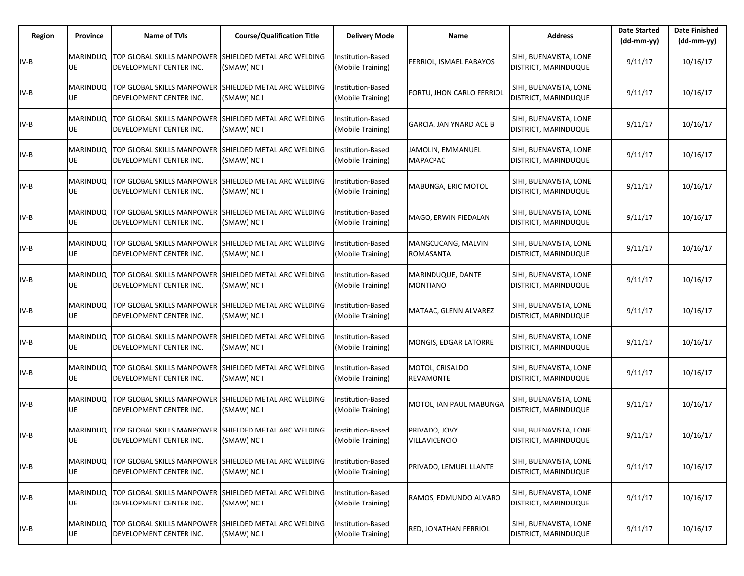| Region | Province              | <b>Name of TVIs</b>                                                                              | <b>Course/Qualification Title</b>         | <b>Delivery Mode</b>                   | Name                                  | <b>Address</b>                                        | <b>Date Started</b><br>$(dd-mm-yy)$ | <b>Date Finished</b><br>$(dd-mm-yy)$ |
|--------|-----------------------|--------------------------------------------------------------------------------------------------|-------------------------------------------|----------------------------------------|---------------------------------------|-------------------------------------------------------|-------------------------------------|--------------------------------------|
| $IV-B$ | <b>MARINDUQ</b><br>UE | TOP GLOBAL SKILLS MANPOWER<br>DEVELOPMENT CENTER INC.                                            | SHIELDED METAL ARC WELDING<br>(SMAW) NC I | Institution-Based<br>(Mobile Training) | FERRIOL, ISMAEL FABAYOS               | SIHI, BUENAVISTA, LONE<br>DISTRICT, MARINDUQUE        | 9/11/17                             | 10/16/17                             |
| IV-B   | MARINDUQ<br>UE        | <b>TOP GLOBAL SKILLS MANPOWER</b><br>DEVELOPMENT CENTER INC.                                     | SHIELDED METAL ARC WELDING<br>(SMAW) NC I | Institution-Based<br>(Mobile Training) | FORTU, JHON CARLO FERRIOL             | SIHI, BUENAVISTA, LONE<br>DISTRICT, MARINDUQUE        | 9/11/17                             | 10/16/17                             |
| IV-B   | <b>MARINDUQ</b><br>UE | TOP GLOBAL SKILLS MANPOWER<br>DEVELOPMENT CENTER INC.                                            | SHIELDED METAL ARC WELDING<br>(SMAW) NC I | Institution-Based<br>(Mobile Training) | <b>GARCIA, JAN YNARD ACE B</b>        | SIHI, BUENAVISTA, LONE<br>DISTRICT, MARINDUQUE        | 9/11/17                             | 10/16/17                             |
| IV-B   | <b>MARINDUQ</b><br>UE | <b>TOP GLOBAL SKILLS MANPOWER</b><br>DEVELOPMENT CENTER INC.                                     | SHIELDED METAL ARC WELDING<br>(SMAW) NC I | nstitution-Based<br>(Mobile Training)  | JAMOLIN, EMMANUEL<br><b>MAPACPAC</b>  | SIHI, BUENAVISTA, LONE<br>DISTRICT, MARINDUQUE        | 9/11/17                             | 10/16/17                             |
| IV-B   | UE                    | MARINDUQ TOP GLOBAL SKILLS MANPOWER SHIELDED METAL ARC WELDING<br>DEVELOPMENT CENTER INC.        | (SMAW) NC I                               | Institution-Based<br>(Mobile Training) | MABUNGA, ERIC MOTOL                   | SIHI, BUENAVISTA, LONE<br>DISTRICT, MARINDUQUE        | 9/11/17                             | 10/16/17                             |
| IV-B   | <b>MARINDUQ</b><br>UE | <b>TOP GLOBAL SKILLS MANPOWER</b><br>DEVELOPMENT CENTER INC.                                     | SHIELDED METAL ARC WELDING<br>(SMAW) NC I | Institution-Based<br>(Mobile Training) | MAGO, ERWIN FIEDALAN                  | SIHI, BUENAVISTA, LONE<br>DISTRICT, MARINDUQUE        | 9/11/17                             | 10/16/17                             |
| IV-B   | <b>MARINDUQ</b><br>UE | TOP GLOBAL SKILLS MANPOWER<br>DEVELOPMENT CENTER INC.                                            | SHIELDED METAL ARC WELDING<br>(SMAW) NC I | Institution-Based<br>(Mobile Training) | MANGCUCANG, MALVIN<br>ROMASANTA       | SIHI, BUENAVISTA, LONE<br>DISTRICT, MARINDUQUE        | 9/11/17                             | 10/16/17                             |
| IV-B   | <b>MARINDUQ</b><br>UE | <b>TOP GLOBAL SKILLS MANPOWER</b><br>DEVELOPMENT CENTER INC.                                     | SHIELDED METAL ARC WELDING<br>(SMAW) NC I | nstitution-Based<br>(Mobile Training)  | MARINDUQUE, DANTE<br><b>MONTIANO</b>  | SIHI, BUENAVISTA, LONE<br>DISTRICT, MARINDUQUE        | 9/11/17                             | 10/16/17                             |
| IV-B   | <b>MARINDUQ</b><br>UE | TOP GLOBAL SKILLS MANPOWER SHIELDED METAL ARC WELDING<br>DEVELOPMENT CENTER INC.                 | (SMAW) NC I                               | Institution-Based<br>(Mobile Training) | MATAAC, GLENN ALVAREZ                 | SIHI, BUENAVISTA, LONE<br>DISTRICT, MARINDUQUE        | 9/11/17                             | 10/16/17                             |
| IV-B   | <b>MARINDUQ</b><br>UE | <b>TOP GLOBAL SKILLS MANPOWER</b><br>DEVELOPMENT CENTER INC.                                     | SHIELDED METAL ARC WELDING<br>(SMAW) NC I | nstitution-Based<br>(Mobile Training)  | MONGIS, EDGAR LATORRE                 | SIHI, BUENAVISTA, LONE<br><b>DISTRICT, MARINDUQUE</b> | 9/11/17                             | 10/16/17                             |
| IV-B   | UE                    | MARINDUQ TOP GLOBAL SKILLS MANPOWER<br>DEVELOPMENT CENTER INC.                                   | SHIELDED METAL ARC WELDING<br>(SMAW) NC I | Institution-Based<br>(Mobile Training) | MOTOL, CRISALDO<br><b>REVAMONTE</b>   | SIHI, BUENAVISTA, LONE<br>DISTRICT, MARINDUQUE        | 9/11/17                             | 10/16/17                             |
| IV-B   | MARINDUQ<br>UE        | <b>TOP GLOBAL SKILLS MANPOWER</b><br>DEVELOPMENT CENTER INC.                                     | SHIELDED METAL ARC WELDING<br>(SMAW) NC I | nstitution-Based<br>(Mobile Training)  | MOTOL, IAN PAUL MABUNGA               | SIHI, BUENAVISTA, LONE<br>DISTRICT, MARINDUQUE        | 9/11/17                             | 10/16/17                             |
| $IV-B$ | UE                    | MARINDUQ TOP GLOBAL SKILLS MANPOWER<br>DEVELOPMENT CENTER INC.                                   | SHIELDED METAL ARC WELDING<br>(SMAW) NC I | nstitution-Based<br>(Mobile Training)  | PRIVADO, JOVY<br><b>VILLAVICENCIO</b> | SIHI, BUENAVISTA, LONE<br><b>DISTRICT, MARINDUQUE</b> | 9/11/17                             | 10/16/17                             |
| IV-B   | <b>MARINDUQ</b><br>UE | TOP GLOBAL SKILLS MANPOWER<br>DEVELOPMENT CENTER INC.                                            | SHIELDED METAL ARC WELDING<br>(SMAW) NC I | nstitution-Based<br>(Mobile Training)  | PRIVADO, LEMUEL LLANTE                | SIHI, BUENAVISTA, LONE<br><b>DISTRICT, MARINDUQUE</b> | 9/11/17                             | 10/16/17                             |
| IV-B   | UE                    | MARINDUQ TOP GLOBAL SKILLS MANPOWER SHIELDED METAL ARC WELDING<br><b>DEVELOPMENT CENTER INC.</b> | (SMAW) NC I                               | Institution-Based<br>(Mobile Training) | RAMOS, EDMUNDO ALVARO                 | SIHI, BUENAVISTA, LONE<br>DISTRICT, MARINDUQUE        | 9/11/17                             | 10/16/17                             |
| IV-B   | <b>MARINDUQ</b><br>UE | TOP GLOBAL SKILLS MANPOWER<br>DEVELOPMENT CENTER INC.                                            | SHIELDED METAL ARC WELDING<br>(SMAW) NC I | Institution-Based<br>(Mobile Training) | RED, JONATHAN FERRIOL                 | SIHI, BUENAVISTA, LONE<br><b>DISTRICT, MARINDUQUE</b> | 9/11/17                             | 10/16/17                             |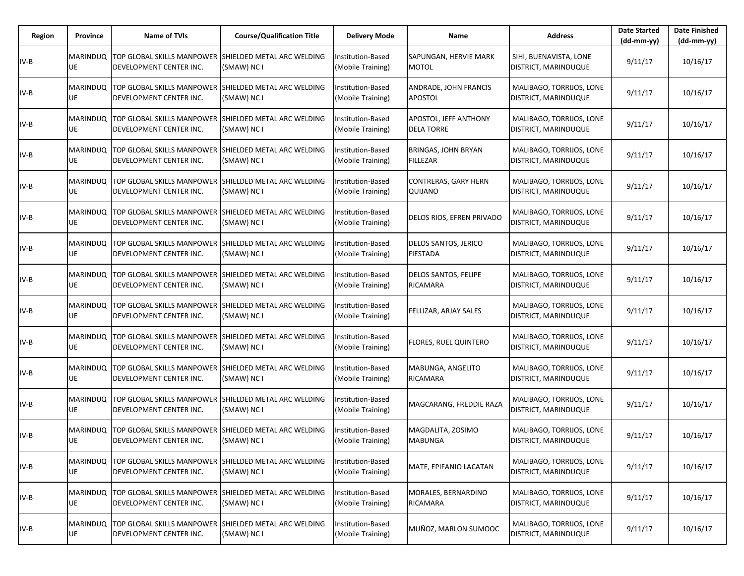| Region | Province              | <b>Name of TVIs</b>                                                                              | <b>Course/Qualification Title</b>         | <b>Delivery Mode</b>                   | Name                                           | <b>Address</b>                                          | <b>Date Started</b><br>$(dd-mm-yy)$ | <b>Date Finished</b><br>(dd-mm-yy) |
|--------|-----------------------|--------------------------------------------------------------------------------------------------|-------------------------------------------|----------------------------------------|------------------------------------------------|---------------------------------------------------------|-------------------------------------|------------------------------------|
| $IV-B$ | <b>MARINDUQ</b><br>UE | <b>TOP GLOBAL SKILLS MANPOWER</b><br>DEVELOPMENT CENTER INC.                                     | SHIELDED METAL ARC WELDING<br>(SMAW) NC I | Institution-Based<br>(Mobile Training) | SAPUNGAN, HERVIE MARK<br><b>MOTOL</b>          | SIHI, BUENAVISTA, LONE<br>DISTRICT, MARINDUQUE          | 9/11/17                             | 10/16/17                           |
| IV-B   | MARINDUQ<br>UE        | TOP GLOBAL SKILLS MANPOWER<br>DEVELOPMENT CENTER INC.                                            | SHIELDED METAL ARC WELDING<br>(SMAW) NC I | Institution-Based<br>(Mobile Training) | ANDRADE, JOHN FRANCIS<br><b>APOSTOL</b>        | MALIBAGO, TORRIJOS, LONE<br>DISTRICT, MARINDUQUE        | 9/11/17                             | 10/16/17                           |
| IV-B   | <b>MARINDUQ</b><br>UE | TOP GLOBAL SKILLS MANPOWER<br>DEVELOPMENT CENTER INC.                                            | SHIELDED METAL ARC WELDING<br>(SMAW) NC I | Institution-Based<br>(Mobile Training) | APOSTOL, JEFF ANTHONY<br><b>DELA TORRE</b>     | MALIBAGO, TORRIJOS, LONE<br>DISTRICT, MARINDUQUE        | 9/11/17                             | 10/16/17                           |
| IV-B   | <b>MARINDUQ</b><br>UE | <b>TOP GLOBAL SKILLS MANPOWER</b><br>DEVELOPMENT CENTER INC.                                     | SHIELDED METAL ARC WELDING<br>(SMAW) NC I | nstitution-Based<br>(Mobile Training)  | <b>BRINGAS, JOHN BRYAN</b><br><b>FILLEZAR</b>  | MALIBAGO, TORRIJOS, LONE<br>DISTRICT, MARINDUQUE        | 9/11/17                             | 10/16/17                           |
| IV-B   | UE                    | MARINDUQ TOP GLOBAL SKILLS MANPOWER SHIELDED METAL ARC WELDING<br>DEVELOPMENT CENTER INC.        | (SMAW) NC I                               | Institution-Based<br>(Mobile Training) | <b>CONTRERAS, GARY HERN</b><br>QUIJANO         | MALIBAGO, TORRIJOS, LONE<br>DISTRICT, MARINDUQUE        | 9/11/17                             | 10/16/17                           |
| IV-B   | <b>MARINDUQ</b><br>UE | <b>TOP GLOBAL SKILLS MANPOWER</b><br>DEVELOPMENT CENTER INC.                                     | SHIELDED METAL ARC WELDING<br>(SMAW) NC I | Institution-Based<br>(Mobile Training) | DELOS RIOS, EFREN PRIVADO                      | MALIBAGO, TORRIJOS, LONE<br>DISTRICT, MARINDUQUE        | 9/11/17                             | 10/16/17                           |
| IV-B   | <b>MARINDUQ</b><br>UE | <b>TOP GLOBAL SKILLS MANPOWER</b><br>DEVELOPMENT CENTER INC.                                     | SHIELDED METAL ARC WELDING<br>(SMAW) NC I | Institution-Based<br>(Mobile Training) | DELOS SANTOS, JERICO<br><b>FIESTADA</b>        | MALIBAGO, TORRIJOS, LONE<br>DISTRICT, MARINDUQUE        | 9/11/17                             | 10/16/17                           |
| IV-B   | <b>MARINDUQ</b><br>UE | TOP GLOBAL SKILLS MANPOWER<br>DEVELOPMENT CENTER INC.                                            | SHIELDED METAL ARC WELDING<br>(SMAW) NC I | nstitution-Based<br>(Mobile Training)  | <b>DELOS SANTOS, FELIPE</b><br><b>RICAMARA</b> | MALIBAGO, TORRIJOS, LONE<br>DISTRICT, MARINDUQUE        | 9/11/17                             | 10/16/17                           |
| IV-B   | <b>MARINDUQ</b><br>UE | TOP GLOBAL SKILLS MANPOWER SHIELDED METAL ARC WELDING<br>DEVELOPMENT CENTER INC.                 | (SMAW) NC I                               | Institution-Based<br>(Mobile Training) | FELLIZAR, ARJAY SALES                          | MALIBAGO, TORRIJOS, LONE<br>DISTRICT, MARINDUQUE        | 9/11/17                             | 10/16/17                           |
| IV-B   | MARINDUQ<br>UE        | <b>TOP GLOBAL SKILLS MANPOWER</b><br>DEVELOPMENT CENTER INC.                                     | SHIELDED METAL ARC WELDING<br>(SMAW) NC I | nstitution-Based<br>(Mobile Training)  | <b>FLORES, RUEL QUINTERO</b>                   | MALIBAGO, TORRIJOS, LONE<br>DISTRICT, MARINDUQUE        | 9/11/17                             | 10/16/17                           |
| IV-B   | UE                    | MARINDUQ TOP GLOBAL SKILLS MANPOWER<br>DEVELOPMENT CENTER INC.                                   | SHIELDED METAL ARC WELDING<br>(SMAW) NC I | Institution-Based<br>(Mobile Training) | MABUNGA, ANGELITO<br><b>RICAMARA</b>           | MALIBAGO, TORRIJOS, LONE<br>DISTRICT, MARINDUQUE        | 9/11/17                             | 10/16/17                           |
| IV-B   | MARINDUQ<br>UE        | <b>TOP GLOBAL SKILLS MANPOWER</b><br>DEVELOPMENT CENTER INC.                                     | SHIELDED METAL ARC WELDING<br>(SMAW) NC I | nstitution-Based<br>(Mobile Training)  | MAGCARANG, FREDDIE RAZA                        | MALIBAGO, TORRIJOS, LONE<br>DISTRICT, MARINDUQUE        | 9/11/17                             | 10/16/17                           |
| IV-B   | UE                    | MARINDUQ TOP GLOBAL SKILLS MANPOWER<br><b>IDEVELOPMENT CENTER INC.</b>                           | SHIELDED METAL ARC WELDING<br>(SMAW) NC I | nstitution-Based<br>(Mobile Training)  | MAGDALITA, ZOSIMO<br><b>MABUNGA</b>            | MALIBAGO, TORRIJOS, LONE<br><b>DISTRICT, MARINDUQUE</b> | 9/11/17                             | 10/16/17                           |
| IV-B   | <b>MARINDUQ</b><br>UE | TOP GLOBAL SKILLS MANPOWER<br>DEVELOPMENT CENTER INC.                                            | SHIELDED METAL ARC WELDING<br>(SMAW) NC I | nstitution-Based<br>(Mobile Training)  | MATE, EPIFANIO LACATAN                         | MALIBAGO, TORRIJOS, LONE<br>DISTRICT, MARINDUQUE        | 9/11/17                             | 10/16/17                           |
| IV-B   | UE                    | MARINDUQ TOP GLOBAL SKILLS MANPOWER SHIELDED METAL ARC WELDING<br><b>DEVELOPMENT CENTER INC.</b> | (SMAW) NC I                               | Institution-Based<br>(Mobile Training) | MORALES, BERNARDINO<br>RICAMARA                | MALIBAGO, TORRIJOS, LONE<br>DISTRICT, MARINDUQUE        | 9/11/17                             | 10/16/17                           |
| IV-B   | MARINDUQ<br>UE        | <b>TOP GLOBAL SKILLS MANPOWER</b><br>DEVELOPMENT CENTER INC.                                     | SHIELDED METAL ARC WELDING<br>(SMAW) NC I | Institution-Based<br>(Mobile Training) | MUÑOZ, MARLON SUMOOC                           | MALIBAGO, TORRIJOS, LONE<br>DISTRICT, MARINDUQUE        | 9/11/17                             | 10/16/17                           |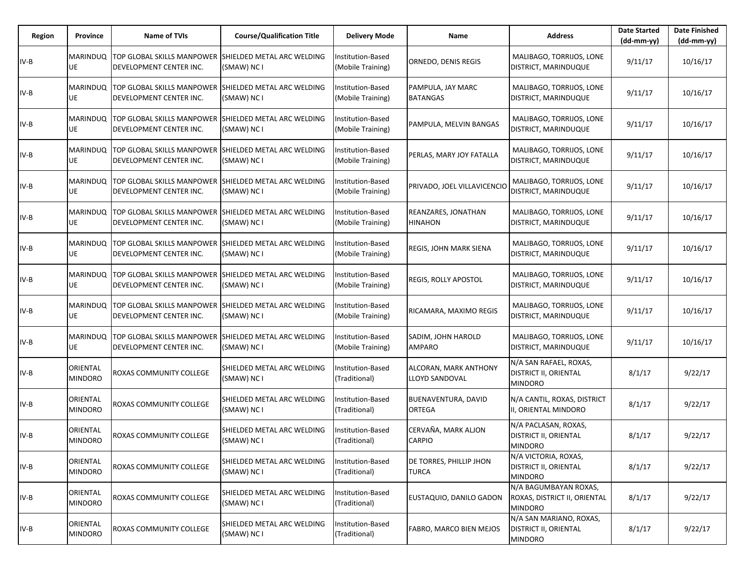| Region | Province                   | <b>Name of TVIs</b>                                                                       | <b>Course/Qualification Title</b>                | <b>Delivery Mode</b>                   | Name                                    | <b>Address</b>                                                            | <b>Date Started</b><br>$(dd-mm-yy)$ | <b>Date Finished</b><br>(dd-mm-yy) |
|--------|----------------------------|-------------------------------------------------------------------------------------------|--------------------------------------------------|----------------------------------------|-----------------------------------------|---------------------------------------------------------------------------|-------------------------------------|------------------------------------|
| $IV-B$ | <b>MARINDUQ</b><br>UE      | TOP GLOBAL SKILLS MANPOWER<br>DEVELOPMENT CENTER INC.                                     | <b>SHIELDED METAL ARC WELDING</b><br>(SMAW) NC I | Institution-Based<br>(Mobile Training) | ORNEDO, DENIS REGIS                     | MALIBAGO, TORRIJOS, LONE<br>DISTRICT, MARINDUQUE                          | 9/11/17                             | 10/16/17                           |
| IV-B   | MARINDUQ<br>UE             | TOP GLOBAL SKILLS MANPOWER<br>DEVELOPMENT CENTER INC.                                     | SHIELDED METAL ARC WELDING<br>(SMAW) NC I        | Institution-Based<br>(Mobile Training) | PAMPULA, JAY MARC<br><b>BATANGAS</b>    | MALIBAGO, TORRIJOS, LONE<br>DISTRICT, MARINDUQUE                          | 9/11/17                             | 10/16/17                           |
| IV-B   | <b>MARINDUQ</b><br>UE      | TOP GLOBAL SKILLS MANPOWER<br>DEVELOPMENT CENTER INC.                                     | SHIELDED METAL ARC WELDING<br>(SMAW) NC I        | Institution-Based<br>(Mobile Training) | PAMPULA, MELVIN BANGAS                  | MALIBAGO, TORRIJOS, LONE<br>DISTRICT, MARINDUQUE                          | 9/11/17                             | 10/16/17                           |
| IV-B   | <b>MARINDUQ</b><br>UE      | <b>TOP GLOBAL SKILLS MANPOWER</b><br>DEVELOPMENT CENTER INC.                              | SHIELDED METAL ARC WELDING<br>(SMAW) NC I        | nstitution-Based<br>(Mobile Training)  | PERLAS, MARY JOY FATALLA                | MALIBAGO, TORRIJOS, LONE<br>DISTRICT, MARINDUQUE                          | 9/11/17                             | 10/16/17                           |
| IV-B   | UE                         | MARINDUQ TOP GLOBAL SKILLS MANPOWER SHIELDED METAL ARC WELDING<br>DEVELOPMENT CENTER INC. | (SMAW) NC I                                      | Institution-Based<br>(Mobile Training) | PRIVADO, JOEL VILLAVICENCIC             | MALIBAGO, TORRIJOS, LONE<br>DISTRICT, MARINDUQUE                          | 9/11/17                             | 10/16/17                           |
| IV-B   | MARINDUQ<br>UE             | TOP GLOBAL SKILLS MANPOWER<br>DEVELOPMENT CENTER INC.                                     | SHIELDED METAL ARC WELDING<br>(SMAW) NC I        | Institution-Based<br>(Mobile Training) | REANZARES, JONATHAN<br><b>HINAHON</b>   | MALIBAGO, TORRIJOS, LONE<br>DISTRICT, MARINDUQUE                          | 9/11/17                             | 10/16/17                           |
| IV-B   | <b>MARINDUQ</b><br>UE      | TOP GLOBAL SKILLS MANPOWER<br>DEVELOPMENT CENTER INC.                                     | SHIELDED METAL ARC WELDING<br>(SMAW) NC I        | Institution-Based<br>(Mobile Training) | REGIS, JOHN MARK SIENA                  | MALIBAGO, TORRIJOS, LONE<br>DISTRICT, MARINDUQUE                          | 9/11/17                             | 10/16/17                           |
| IV-B   | <b>MARINDUQ</b><br>UE      | <b>TOP GLOBAL SKILLS MANPOWER</b><br>DEVELOPMENT CENTER INC.                              | SHIELDED METAL ARC WELDING<br>(SMAW) NC I        | nstitution-Based<br>(Mobile Training)  | <b>REGIS, ROLLY APOSTOL</b>             | MALIBAGO, TORRIJOS, LONE<br>DISTRICT, MARINDUQUE                          | 9/11/17                             | 10/16/17                           |
| IV-B   | <b>MARINDUQ</b><br>UE      | TOP GLOBAL SKILLS MANPOWER SHIELDED METAL ARC WELDING<br>DEVELOPMENT CENTER INC.          | (SMAW) NC I                                      | Institution-Based<br>(Mobile Training) | RICAMARA, MAXIMO REGIS                  | MALIBAGO, TORRIJOS, LONE<br>DISTRICT, MARINDUQUE                          | 9/11/17                             | 10/16/17                           |
| IV-B   | MARINDUQ<br>UE             | <b>TOP GLOBAL SKILLS MANPOWER</b><br>DEVELOPMENT CENTER INC.                              | SHIELDED METAL ARC WELDING<br>(SMAW) NC I        | nstitution-Based<br>(Mobile Training)  | SADIM, JOHN HAROLD<br><b>AMPARO</b>     | MALIBAGO, TORRIJOS, LONE<br>DISTRICT, MARINDUQUE                          | 9/11/17                             | 10/16/17                           |
| IV-B   | ORIENTAL<br><b>MINDORO</b> | ROXAS COMMUNITY COLLEGE                                                                   | SHIELDED METAL ARC WELDING<br>(SMAW) NC I        | Institution-Based<br>(Traditional)     | ALCORAN, MARK ANTHONY<br>LLOYD SANDOVAL | N/A SAN RAFAEL, ROXAS,<br><b>DISTRICT II, ORIENTAL</b><br><b>MINDORO</b>  | 8/1/17                              | 9/22/17                            |
| IV-B   | ORIENTAL<br><b>MINDORO</b> | ROXAS COMMUNITY COLLEGE                                                                   | SHIELDED METAL ARC WELDING<br>(SMAW) NC I        | nstitution-Based<br>(Traditional)      | BUENAVENTURA, DAVID<br><b>ORTEGA</b>    | N/A CANTIL, ROXAS, DISTRICT<br>II, ORIENTAL MINDORO                       | 8/1/17                              | 9/22/17                            |
| IV-B   | ORIENTAL<br><b>MINDORO</b> | ROXAS COMMUNITY COLLEGE                                                                   | SHIELDED METAL ARC WELDING<br>(SMAW) NC I        | nstitution-Based<br>(Traditional)      | CERVAÑA, MARK ALJON<br><b>CARPIO</b>    | N/A PACLASAN, ROXAS,<br><b>DISTRICT II, ORIENTAL</b><br><b>MINDORO</b>    | 8/1/17                              | 9/22/17                            |
| IV-B   | ORIENTAL<br><b>MINDORO</b> | ROXAS COMMUNITY COLLEGE                                                                   | SHIELDED METAL ARC WELDING<br>(SMAW) NC I        | Institution-Based<br>(Traditional)     | DE TORRES, PHILLIP JHON<br>TURCA        | N/A VICTORIA, ROXAS,<br><b>DISTRICT II, ORIENTAL</b><br><b>MINDORO</b>    | 8/1/17                              | 9/22/17                            |
| IV-B   | ORIENTAL<br><b>MINDORO</b> | ROXAS COMMUNITY COLLEGE                                                                   | SHIELDED METAL ARC WELDING<br>(SMAW) NC I        | Institution-Based<br>(Traditional)     | EUSTAQUIO, DANILO GADON                 | N/A BAGUMBAYAN ROXAS,<br>ROXAS, DISTRICT II, ORIENTAL<br><b>MINDORO</b>   | 8/1/17                              | 9/22/17                            |
| IV-B   | ORIENTAL<br>MINDORO        | <b>ROXAS COMMUNITY COLLEGE</b>                                                            | SHIELDED METAL ARC WELDING<br>(SMAW) NC I        | nstitution-Based<br>(Traditional)      | FABRO, MARCO BIEN MEJOS                 | N/A SAN MARIANO, ROXAS,<br><b>DISTRICT II, ORIENTAL</b><br><b>MINDORO</b> | 8/1/17                              | 9/22/17                            |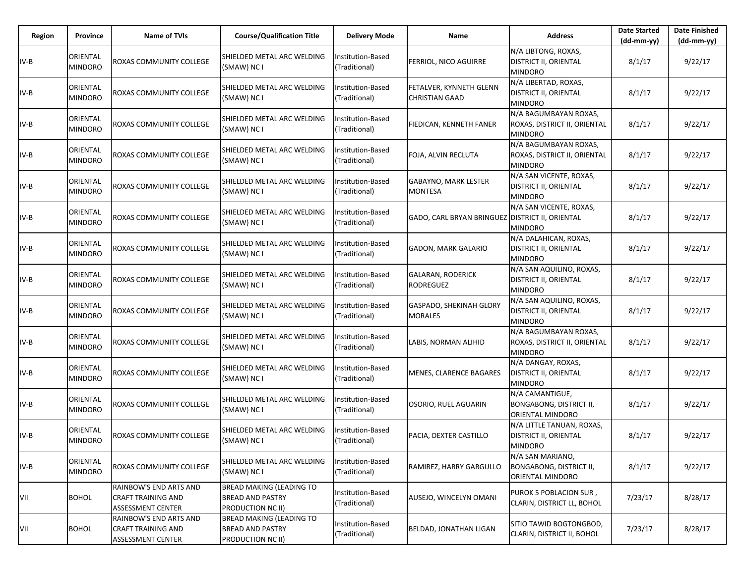| Region | Province                   | Name of TVIs                                                                    | <b>Course/Qualification Title</b>                                               | <b>Delivery Mode</b>               | Name                                             | <b>Address</b>                                                                | <b>Date Started</b><br>$(dd-mm-yy)$ | <b>Date Finished</b><br>(dd-mm-yy) |
|--------|----------------------------|---------------------------------------------------------------------------------|---------------------------------------------------------------------------------|------------------------------------|--------------------------------------------------|-------------------------------------------------------------------------------|-------------------------------------|------------------------------------|
| $IV-B$ | ORIENTAL<br><b>MINDORO</b> | ROXAS COMMUNITY COLLEGE                                                         | SHIELDED METAL ARC WELDING<br>(SMAW) NC I                                       | Institution-Based<br>(Traditional) | FERRIOL, NICO AGUIRRE                            | N/A LIBTONG, ROXAS,<br><b>DISTRICT II, ORIENTAL</b><br><b>MINDORO</b>         | 8/1/17                              | 9/22/17                            |
| $IV-B$ | ORIENTAL<br><b>MINDORO</b> | ROXAS COMMUNITY COLLEGE                                                         | SHIELDED METAL ARC WELDING<br>(SMAW) NC I                                       | Institution-Based<br>(Traditional) | FETALVER, KYNNETH GLENN<br><b>CHRISTIAN GAAD</b> | N/A LIBERTAD, ROXAS,<br><b>DISTRICT II, ORIENTAL</b><br><b>MINDORO</b>        | 8/1/17                              | 9/22/17                            |
| $IV-B$ | ORIENTAL<br><b>MINDORO</b> | ROXAS COMMUNITY COLLEGE                                                         | SHIELDED METAL ARC WELDING<br>(SMAW) NC I                                       | Institution-Based<br>(Traditional) | FIEDICAN, KENNETH FANER                          | N/A BAGUMBAYAN ROXAS,<br>ROXAS, DISTRICT II, ORIENTAL<br><b>MINDORO</b>       | 8/1/17                              | 9/22/17                            |
| $IV-B$ | ORIENTAL<br><b>MINDORO</b> | ROXAS COMMUNITY COLLEGE                                                         | SHIELDED METAL ARC WELDING<br>(SMAW) NC I                                       | Institution-Based<br>(Traditional) | FOJA, ALVIN RECLUTA                              | N/A BAGUMBAYAN ROXAS,<br>ROXAS, DISTRICT II, ORIENTAL<br><b>MINDORO</b>       | 8/1/17                              | 9/22/17                            |
| IV-B   | ORIENTAL<br><b>MINDORO</b> | ROXAS COMMUNITY COLLEGE                                                         | SHIELDED METAL ARC WELDING<br>(SMAW) NC I                                       | Institution-Based<br>(Traditional) | <b>GABAYNO, MARK LESTER</b><br><b>MONTESA</b>    | N/A SAN VICENTE, ROXAS,<br><b>DISTRICT II, ORIENTAL</b><br><b>MINDORO</b>     | 8/1/17                              | 9/22/17                            |
| IV-B   | ORIENTAL<br><b>MINDORO</b> | ROXAS COMMUNITY COLLEGE                                                         | SHIELDED METAL ARC WELDING<br>(SMAW) NC I                                       | Institution-Based<br>(Traditional) | GADO, CARL BRYAN BRINGUEZ DISTRICT II, ORIENTAL  | N/A SAN VICENTE, ROXAS,<br><b>MINDORO</b>                                     | 8/1/17                              | 9/22/17                            |
| $IV-B$ | ORIENTAL<br><b>MINDORO</b> | ROXAS COMMUNITY COLLEGE                                                         | SHIELDED METAL ARC WELDING<br>(SMAW) NC I                                       | Institution-Based<br>(Traditional) | <b>GADON, MARK GALARIO</b>                       | N/A DALAHICAN, ROXAS,<br><b>DISTRICT II, ORIENTAL</b><br><b>MINDORO</b>       | 8/1/17                              | 9/22/17                            |
| $IV-B$ | ORIENTAL<br><b>MINDORO</b> | ROXAS COMMUNITY COLLEGE                                                         | SHIELDED METAL ARC WELDING<br>(SMAW) NC I                                       | nstitution-Based<br>(Traditional)  | <b>GALARAN, RODERICK</b><br><b>RODREGUEZ</b>     | N/A SAN AQUILINO, ROXAS,<br><b>DISTRICT II, ORIENTAL</b><br><b>MINDORO</b>    | 8/1/17                              | 9/22/17                            |
| IV-B   | ORIENTAL<br><b>MINDORO</b> | ROXAS COMMUNITY COLLEGE                                                         | SHIELDED METAL ARC WELDING<br>(SMAW) NC I                                       | Institution-Based<br>(Traditional) | GASPADO, SHEKINAH GLORY<br><b>MORALES</b>        | N/A SAN AQUILINO, ROXAS,<br><b>DISTRICT II, ORIENTAL</b><br><b>MINDORO</b>    | 8/1/17                              | 9/22/17                            |
| IV-B   | ORIENTAL<br><b>MINDORO</b> | ROXAS COMMUNITY COLLEGE                                                         | SHIELDED METAL ARC WELDING<br>(SMAW) NC I                                       | nstitution-Based<br>(Traditional)  | LABIS, NORMAN ALIHID                             | N/A BAGUMBAYAN ROXAS,<br>ROXAS, DISTRICT II, ORIENTAL<br><b>MINDORO</b>       | 8/1/17                              | 9/22/17                            |
| $IV-B$ | ORIENTAL<br><b>MINDORO</b> | ROXAS COMMUNITY COLLEGE                                                         | SHIELDED METAL ARC WELDING<br>(SMAW) NC I                                       | Institution-Based<br>(Traditional) | <b>MENES, CLARENCE BAGARES</b>                   | N/A DANGAY, ROXAS,<br><b>DISTRICT II, ORIENTAL</b><br><b>MINDORO</b>          | 8/1/17                              | 9/22/17                            |
| $IV-B$ | ORIENTAL<br><b>MINDORO</b> | ROXAS COMMUNITY COLLEGE                                                         | SHIELDED METAL ARC WELDING<br>(SMAW) NC I                                       | nstitution-Based<br>(Traditional)  | OSORIO, RUEL AGUARIN                             | N/A CAMANTIGUE,<br><b>BONGABONG, DISTRICT II,</b><br><b>ORIENTAL MINDORO</b>  | 8/1/17                              | 9/22/17                            |
| IV-B   | ORIENTAL<br><b>MINDORO</b> | ROXAS COMMUNITY COLLEGE                                                         | SHIELDED METAL ARC WELDING<br>(SMAW) NC I                                       | nstitution-Based<br>(Traditional)  | PACIA, DEXTER CASTILLO                           | N/A LITTLE TANUAN, ROXAS,<br><b>DISTRICT II, ORIENTAL</b><br>MINDORO          | 8/1/17                              | 9/22/17                            |
| $IV-B$ | ORIENTAL<br><b>MINDORO</b> | ROXAS COMMUNITY COLLEGE                                                         | SHIELDED METAL ARC WELDING<br>(SMAW) NC I                                       | nstitution-Based<br>(Traditional)  | RAMIREZ, HARRY GARGULLO                          | N/A SAN MARIANO,<br><b>BONGABONG, DISTRICT II,</b><br><b>ORIENTAL MINDORO</b> | 8/1/17                              | 9/22/17                            |
| VII    | <b>BOHOL</b>               | RAINBOW'S END ARTS AND<br><b>CRAFT TRAINING AND</b><br><b>ASSESSMENT CENTER</b> | <b>BREAD MAKING (LEADING TO</b><br><b>BREAD AND PASTRY</b><br>PRODUCTION NC II) | Institution-Based<br>(Traditional) | AUSEJO, WINCELYN OMANI                           | PUROK 5 POBLACION SUR,<br>CLARIN, DISTRICT LL, BOHOL                          | 7/23/17                             | 8/28/17                            |
| VII    | <b>BOHOL</b>               | RAINBOW'S END ARTS AND<br><b>CRAFT TRAINING AND</b><br>ASSESSMENT CENTER        | <b>BREAD MAKING (LEADING TO</b><br><b>BREAD AND PASTRY</b><br>PRODUCTION NC II) | Institution-Based<br>(Traditional) | BELDAD, JONATHAN LIGAN                           | SITIO TAWID BOGTONGBOD,<br>CLARIN, DISTRICT II, BOHOL                         | 7/23/17                             | 8/28/17                            |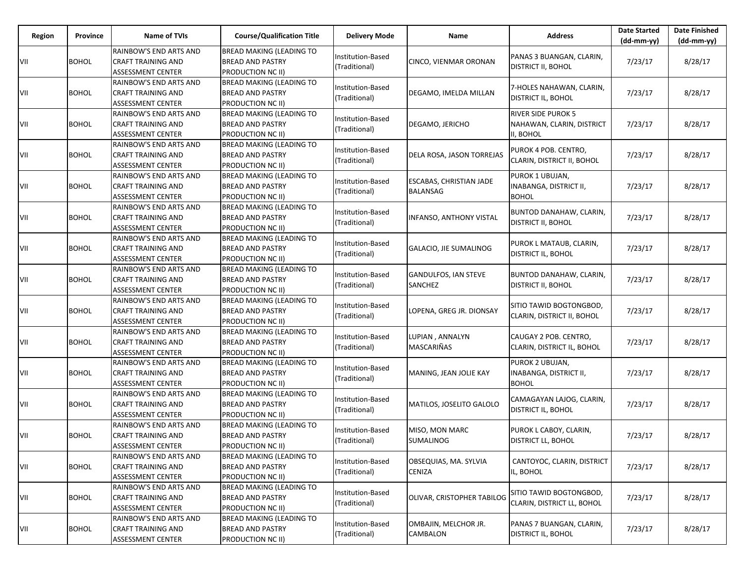| Region | Province     | Name of TVIs                                                                    | <b>Course/Qualification Title</b>                                               | <b>Delivery Mode</b>               | Name                                              | <b>Address</b>                                                      | <b>Date Started</b><br>$(dd-mm-yy)$ | <b>Date Finished</b><br>$(dd-mm-yy)$ |
|--------|--------------|---------------------------------------------------------------------------------|---------------------------------------------------------------------------------|------------------------------------|---------------------------------------------------|---------------------------------------------------------------------|-------------------------------------|--------------------------------------|
| VII    | <b>BOHOL</b> | RAINBOW'S END ARTS AND<br><b>CRAFT TRAINING AND</b><br>ASSESSMENT CENTER        | <b>BREAD MAKING (LEADING TO</b><br><b>BREAD AND PASTRY</b><br>PRODUCTION NC II) | Institution-Based<br>(Traditional) | CINCO, VIENMAR ORONAN                             | PANAS 3 BUANGAN, CLARIN,<br><b>DISTRICT II, BOHOL</b>               | 7/23/17                             | 8/28/17                              |
| VII    | <b>BOHOL</b> | RAINBOW'S END ARTS AND<br><b>CRAFT TRAINING AND</b><br><b>ASSESSMENT CENTER</b> | <b>BREAD MAKING (LEADING TO</b><br><b>BREAD AND PASTRY</b><br>PRODUCTION NC II) | Institution-Based<br>(Traditional) | DEGAMO, IMELDA MILLAN                             | 7-HOLES NAHAWAN, CLARIN,<br>DISTRICT IL, BOHOL                      | 7/23/17                             | 8/28/17                              |
| VII    | <b>BOHOL</b> | RAINBOW'S END ARTS AND<br>CRAFT TRAINING AND<br>ASSESSMENT CENTER               | BREAD MAKING (LEADING TO<br><b>BREAD AND PASTRY</b><br>PRODUCTION NC II)        | Institution-Based<br>(Traditional) | DEGAMO, JERICHO                                   | <b>RIVER SIDE PUROK 5</b><br>NAHAWAN, CLARIN, DISTRICT<br>II. BOHOL | 7/23/17                             | 8/28/17                              |
| VII    | <b>BOHOL</b> | RAINBOW'S END ARTS AND<br>CRAFT TRAINING AND<br><b>ASSESSMENT CENTER</b>        | BREAD MAKING (LEADING TO<br><b>BREAD AND PASTRY</b><br>PRODUCTION NC II)        | Institution-Based<br>(Traditional) | DELA ROSA, JASON TORREJAS                         | PUROK 4 POB. CENTRO,<br>CLARIN, DISTRICT II, BOHOL                  | 7/23/17                             | 8/28/17                              |
| VII    | <b>BOHOL</b> | RAINBOW'S END ARTS AND<br><b>CRAFT TRAINING AND</b><br>ASSESSMENT CENTER        | BREAD MAKING (LEADING TO<br><b>BREAD AND PASTRY</b><br><b>PRODUCTION NC II)</b> | Institution-Based<br>(Traditional) | <b>ESCABAS, CHRISTIAN JADE</b><br><b>BALANSAG</b> | PUROK 1 UBUJAN,<br>INABANGA, DISTRICT II,<br><b>BOHOL</b>           | 7/23/17                             | 8/28/17                              |
| VII    | <b>BOHOL</b> | RAINBOW'S END ARTS AND<br>CRAFT TRAINING AND<br><b>ASSESSMENT CENTER</b>        | <b>BREAD MAKING (LEADING TO</b><br><b>BREAD AND PASTRY</b><br>PRODUCTION NC II) | Institution-Based<br>(Traditional) | <b>INFANSO, ANTHONY VISTAL</b>                    | BUNTOD DANAHAW, CLARIN,<br>DISTRICT II, BOHOL                       | 7/23/17                             | 8/28/17                              |
| VII    | <b>BOHOL</b> | RAINBOW'S END ARTS AND<br>CRAFT TRAINING AND<br><b>ASSESSMENT CENTER</b>        | BREAD MAKING (LEADING TO<br><b>BREAD AND PASTRY</b><br><b>PRODUCTION NC II)</b> | Institution-Based<br>(Traditional) | <b>GALACIO, JIE SUMALINOG</b>                     | PUROK L MATAUB, CLARIN,<br>DISTRICT IL, BOHOL                       | 7/23/17                             | 8/28/17                              |
| VII    | <b>BOHOL</b> | RAINBOW'S END ARTS AND<br><b>CRAFT TRAINING AND</b><br><b>ASSESSMENT CENTER</b> | <b>BREAD MAKING (LEADING TO</b><br><b>BREAD AND PASTRY</b><br>PRODUCTION NC II) | Institution-Based<br>(Traditional) | <b>GANDULFOS, IAN STEVE</b><br>SANCHEZ            | BUNTOD DANAHAW, CLARIN,<br>DISTRICT II, BOHOL                       | 7/23/17                             | 8/28/17                              |
| VII    | <b>BOHOL</b> | RAINBOW'S END ARTS AND<br><b>CRAFT TRAINING AND</b><br><b>ASSESSMENT CENTER</b> | BREAD MAKING (LEADING TO<br><b>BREAD AND PASTRY</b><br><b>PRODUCTION NC II)</b> | Institution-Based<br>(Traditional) | LOPENA, GREG JR. DIONSAY                          | SITIO TAWID BOGTONGBOD,<br>CLARIN, DISTRICT II, BOHOL               | 7/23/17                             | 8/28/17                              |
| VII    | <b>BOHOL</b> | RAINBOW'S END ARTS AND<br><b>CRAFT TRAINING AND</b><br><b>ASSESSMENT CENTER</b> | <b>BREAD MAKING (LEADING TO</b><br><b>BREAD AND PASTRY</b><br>PRODUCTION NC II) | Institution-Based<br>(Traditional) | LUPIAN, ANNALYN<br>MASCARIÑAS                     | CAUGAY 2 POB. CENTRO,<br>CLARIN, DISTRICT IL, BOHOL                 | 7/23/17                             | 8/28/17                              |
| VII    | <b>BOHOL</b> | RAINBOW'S END ARTS AND<br><b>CRAFT TRAINING AND</b><br><b>ASSESSMENT CENTER</b> | BREAD MAKING (LEADING TO<br><b>BREAD AND PASTRY</b><br>PRODUCTION NC II)        | Institution-Based<br>(Traditional) | MANING, JEAN JOLIE KAY                            | PUROK 2 UBUJAN,<br>INABANGA, DISTRICT II,<br><b>BOHOL</b>           | 7/23/17                             | 8/28/17                              |
| VII    | <b>BOHOL</b> | RAINBOW'S END ARTS AND<br><b>CRAFT TRAINING AND</b><br><b>ASSESSMENT CENTER</b> | <b>BREAD MAKING (LEADING TO</b><br><b>BREAD AND PASTRY</b><br>PRODUCTION NC II) | Institution-Based<br>(Traditional) | MATILOS, JOSELITO GALOLO                          | CAMAGAYAN LAJOG, CLARIN,<br>DISTRICT IL, BOHOL                      | 7/23/17                             | 8/28/17                              |
| VII    | <b>BOHOL</b> | RAINBOW'S END ARTS AND<br><b>CRAFT TRAINING AND</b><br>ASSESSMENT CENTER        | <b>BREAD MAKING (LEADING TO</b><br><b>BREAD AND PASTRY</b><br>PRODUCTION NC II) | Institution-Based<br>(Traditional) | MISO, MON MARC<br><b>SUMALINOG</b>                | PUROK L CABOY, CLARIN,<br>DISTRICT LL, BOHOL                        | 7/23/17                             | 8/28/17                              |
| VII    | <b>BOHOL</b> | RAINBOW'S END ARTS AND<br><b>CRAFT TRAINING AND</b><br>ASSESSMENT CENTER        | BREAD MAKING (LEADING TO<br><b>BREAD AND PASTRY</b><br>PRODUCTION NC II)        | Institution-Based<br>(Traditional) | OBSEQUIAS, MA. SYLVIA<br><b>CENIZA</b>            | CANTOYOC, CLARIN, DISTRICT<br>IL, BOHOL                             | 7/23/17                             | 8/28/17                              |
| VII    | <b>BOHOL</b> | RAINBOW'S END ARTS AND<br>CRAFT TRAINING AND<br>ASSESSMENT CENTER               | <b>BREAD MAKING (LEADING TO</b><br><b>BREAD AND PASTRY</b><br>PRODUCTION NC II) | Institution-Based<br>(Traditional) | <b>OLIVAR, CRISTOPHER TABILOG</b>                 | SITIO TAWID BOGTONGBOD,<br>CLARIN, DISTRICT LL, BOHOL               | 7/23/17                             | 8/28/17                              |
| VII    | <b>BOHOL</b> | RAINBOW'S END ARTS AND<br><b>CRAFT TRAINING AND</b><br>ASSESSMENT CENTER        | BREAD MAKING (LEADING TO<br><b>BREAD AND PASTRY</b><br>PRODUCTION NC II)        | Institution-Based<br>(Traditional) | OMBAJIN, MELCHOR JR.<br><b>CAMBALON</b>           | PANAS 7 BUANGAN, CLARIN,<br>DISTRICT IL, BOHOL                      | 7/23/17                             | 8/28/17                              |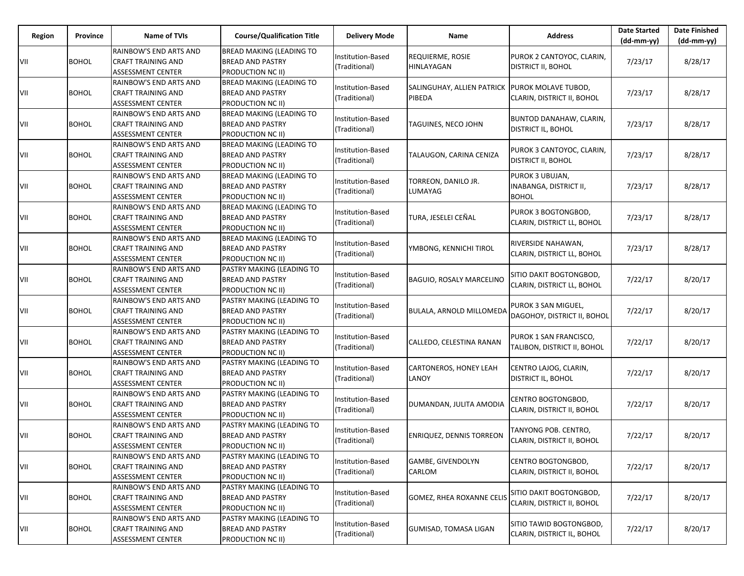| Region | Province     | Name of TVIs                                                                    | <b>Course/Qualification Title</b>                                                | <b>Delivery Mode</b>               | Name                                  | <b>Address</b>                                            | <b>Date Started</b><br>$(dd-mm-yy)$ | <b>Date Finished</b><br>$(dd-mm-yy)$ |
|--------|--------------|---------------------------------------------------------------------------------|----------------------------------------------------------------------------------|------------------------------------|---------------------------------------|-----------------------------------------------------------|-------------------------------------|--------------------------------------|
| VII    | <b>BOHOL</b> | RAINBOW'S END ARTS AND<br><b>CRAFT TRAINING AND</b><br>ASSESSMENT CENTER        | <b>BREAD MAKING (LEADING TO</b><br><b>BREAD AND PASTRY</b><br>PRODUCTION NC II)  | Institution-Based<br>(Traditional) | <b>REQUIERME, ROSIE</b><br>HINLAYAGAN | PUROK 2 CANTOYOC, CLARIN,<br>DISTRICT II, BOHOL           | 7/23/17                             | 8/28/17                              |
| VII    | <b>BOHOL</b> | RAINBOW'S END ARTS AND<br>CRAFT TRAINING AND<br><b>ASSESSMENT CENTER</b>        | <b>BREAD MAKING (LEADING TO</b><br><b>BREAD AND PASTRY</b><br>PRODUCTION NC II)  | Institution-Based<br>(Traditional) | SALINGUHAY, ALLIEN PATRICK<br>PIBEDA  | PUROK MOLAVE TUBOD,<br>CLARIN, DISTRICT II, BOHOL         | 7/23/17                             | 8/28/17                              |
| VII    | <b>BOHOL</b> | RAINBOW'S END ARTS AND<br>CRAFT TRAINING AND<br>ASSESSMENT CENTER               | BREAD MAKING (LEADING TO<br><b>BREAD AND PASTRY</b><br>PRODUCTION NC II)         | Institution-Based<br>(Traditional) | TAGUINES, NECO JOHN                   | BUNTOD DANAHAW, CLARIN,<br>DISTRICT IL, BOHOL             | 7/23/17                             | 8/28/17                              |
| VII    | <b>BOHOL</b> | RAINBOW'S END ARTS AND<br>CRAFT TRAINING AND<br><b>ASSESSMENT CENTER</b>        | BREAD MAKING (LEADING TO<br><b>BREAD AND PASTRY</b><br>PRODUCTION NC II)         | Institution-Based<br>(Traditional) | TALAUGON, CARINA CENIZA               | PUROK 3 CANTOYOC, CLARIN,<br>DISTRICT II, BOHOL           | 7/23/17                             | 8/28/17                              |
| VII    | <b>BOHOL</b> | RAINBOW'S END ARTS AND<br><b>CRAFT TRAINING AND</b><br><b>ASSESSMENT CENTER</b> | BREAD MAKING (LEADING TO<br><b>BREAD AND PASTRY</b><br><b>PRODUCTION NC II)</b>  | Institution-Based<br>(Traditional) | TORREON, DANILO JR.<br>LUMAYAG        | PUROK 3 UBUJAN,<br>INABANGA, DISTRICT II,<br><b>BOHOL</b> | 7/23/17                             | 8/28/17                              |
| VII    | <b>BOHOL</b> | RAINBOW'S END ARTS AND<br>CRAFT TRAINING AND<br><b>ASSESSMENT CENTER</b>        | <b>BREAD MAKING (LEADING TO</b><br><b>BREAD AND PASTRY</b><br>PRODUCTION NC II)  | Institution-Based<br>(Traditional) | TURA, JESELEI CEÑAL                   | PUROK 3 BOGTONGBOD,<br>CLARIN, DISTRICT LL, BOHOL         | 7/23/17                             | 8/28/17                              |
| VII    | <b>BOHOL</b> | RAINBOW'S END ARTS AND<br><b>CRAFT TRAINING AND</b><br><b>ASSESSMENT CENTER</b> | BREAD MAKING (LEADING TO<br><b>BREAD AND PASTRY</b><br><b>PRODUCTION NC II)</b>  | Institution-Based<br>(Traditional) | YMBONG, KENNICHI TIROL                | RIVERSIDE NAHAWAN,<br>CLARIN, DISTRICT LL, BOHOL          | 7/23/17                             | 8/28/17                              |
| VII    | <b>BOHOL</b> | RAINBOW'S END ARTS AND<br><b>CRAFT TRAINING AND</b><br><b>ASSESSMENT CENTER</b> | PASTRY MAKING (LEADING TO<br><b>BREAD AND PASTRY</b><br>PRODUCTION NC II)        | Institution-Based<br>(Traditional) | <b>BAGUIO, ROSALY MARCELINO</b>       | SITIO DAKIT BOGTONGBOD,<br>CLARIN, DISTRICT LL, BOHOL     | 7/22/17                             | 8/20/17                              |
| VII    | <b>BOHOL</b> | RAINBOW'S END ARTS AND<br><b>CRAFT TRAINING AND</b><br><b>ASSESSMENT CENTER</b> | PASTRY MAKING (LEADING TO<br><b>BREAD AND PASTRY</b><br><b>PRODUCTION NC II)</b> | Institution-Based<br>(Traditional) | BULALA, ARNOLD MILLOMEDA              | PUROK 3 SAN MIGUEL,<br>DAGOHOY, DISTRICT II, BOHOL        | 7/22/17                             | 8/20/17                              |
| VII    | <b>BOHOL</b> | RAINBOW'S END ARTS AND<br><b>CRAFT TRAINING AND</b><br><b>ASSESSMENT CENTER</b> | PASTRY MAKING (LEADING TO<br><b>BREAD AND PASTRY</b><br>PRODUCTION NC II)        | Institution-Based<br>(Traditional) | CALLEDO, CELESTINA RANAN              | PUROK 1 SAN FRANCISCO,<br>TALIBON, DISTRICT II, BOHOL     | 7/22/17                             | 8/20/17                              |
| VII    | <b>BOHOL</b> | RAINBOW'S END ARTS AND<br><b>CRAFT TRAINING AND</b><br><b>ASSESSMENT CENTER</b> | PASTRY MAKING (LEADING TO<br><b>BREAD AND PASTRY</b><br>PRODUCTION NC II)        | Institution-Based<br>(Traditional) | CARTONEROS, HONEY LEAH<br>LANOY       | CENTRO LAJOG, CLARIN,<br>DISTRICT IL, BOHOL               | 7/22/17                             | 8/20/17                              |
| VII    | <b>BOHOL</b> | RAINBOW'S END ARTS AND<br><b>CRAFT TRAINING AND</b><br><b>ASSESSMENT CENTER</b> | PASTRY MAKING (LEADING TO<br><b>BREAD AND PASTRY</b><br>PRODUCTION NC II)        | Institution-Based<br>(Traditional) | DUMANDAN, JULITA AMODIA               | CENTRO BOGTONGBOD,<br>CLARIN, DISTRICT II, BOHOL          | 7/22/17                             | 8/20/17                              |
| VII    | <b>BOHOL</b> | RAINBOW'S END ARTS AND<br><b>CRAFT TRAINING AND</b><br>ASSESSMENT CENTER        | PASTRY MAKING (LEADING TO<br><b>BREAD AND PASTRY</b><br>PRODUCTION NC II)        | Institution-Based<br>(Traditional) | <b>ENRIQUEZ, DENNIS TORREON</b>       | TANYONG POB. CENTRO,<br>CLARIN, DISTRICT II, BOHOL        | 7/22/17                             | 8/20/17                              |
| VII    | <b>BOHOL</b> | RAINBOW'S END ARTS AND<br><b>CRAFT TRAINING AND</b><br>ASSESSMENT CENTER        | PASTRY MAKING (LEADING TO<br><b>BREAD AND PASTRY</b><br>PRODUCTION NC II)        | Institution-Based<br>(Traditional) | <b>GAMBE, GIVENDOLYN</b><br>CARLOM    | CENTRO BOGTONGBOD,<br>CLARIN, DISTRICT II, BOHOL          | 7/22/17                             | 8/20/17                              |
| VII    | <b>BOHOL</b> | RAINBOW'S END ARTS AND<br>CRAFT TRAINING AND<br>ASSESSMENT CENTER               | PASTRY MAKING (LEADING TO<br><b>BREAD AND PASTRY</b><br>PRODUCTION NC II)        | Institution-Based<br>(Traditional) | <b>GOMEZ, RHEA ROXANNE CELIS</b>      | SITIO DAKIT BOGTONGBOD,<br>CLARIN, DISTRICT II, BOHOL     | 7/22/17                             | 8/20/17                              |
| VII    | <b>BOHOL</b> | RAINBOW'S END ARTS AND<br><b>CRAFT TRAINING AND</b><br>ASSESSMENT CENTER        | PASTRY MAKING (LEADING TO<br><b>BREAD AND PASTRY</b><br>PRODUCTION NC II)        | Institution-Based<br>(Traditional) | <b>GUMISAD, TOMASA LIGAN</b>          | SITIO TAWID BOGTONGBOD,<br>CLARIN, DISTRICT IL, BOHOL     | 7/22/17                             | 8/20/17                              |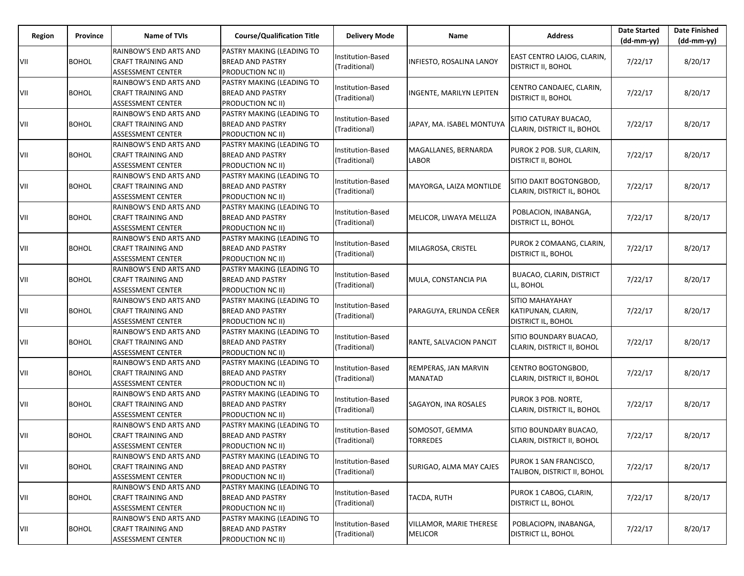| Region | Province     | <b>Name of TVIs</b>                                                             | <b>Course/Qualification Title</b>                                                | <b>Delivery Mode</b>               | Name                                             | <b>Address</b>                                              | <b>Date Started</b><br>$(dd-mm-yy)$ | <b>Date Finished</b><br>$(dd-mm-yy)$ |
|--------|--------------|---------------------------------------------------------------------------------|----------------------------------------------------------------------------------|------------------------------------|--------------------------------------------------|-------------------------------------------------------------|-------------------------------------|--------------------------------------|
| VII    | <b>BOHOL</b> | RAINBOW'S END ARTS AND<br><b>CRAFT TRAINING AND</b><br>ASSESSMENT CENTER        | PASTRY MAKING (LEADING TO<br><b>BREAD AND PASTRY</b><br>PRODUCTION NC II)        | Institution-Based<br>(Traditional) | INFIESTO, ROSALINA LANOY                         | EAST CENTRO LAJOG, CLARIN,<br><b>DISTRICT II, BOHOL</b>     | 7/22/17                             | 8/20/17                              |
| VII    | <b>BOHOL</b> | RAINBOW'S END ARTS AND<br><b>CRAFT TRAINING AND</b><br><b>ASSESSMENT CENTER</b> | PASTRY MAKING (LEADING TO<br><b>BREAD AND PASTRY</b><br>PRODUCTION NC II)        | Institution-Based<br>(Traditional) | <b>INGENTE, MARILYN LEPITEN</b>                  | CENTRO CANDAJEC, CLARIN,<br>DISTRICT II, BOHOL              | 7/22/17                             | 8/20/17                              |
| VII    | <b>BOHOL</b> | RAINBOW'S END ARTS AND<br>CRAFT TRAINING AND<br>ASSESSMENT CENTER               | PASTRY MAKING (LEADING TO<br><b>BREAD AND PASTRY</b><br><b>PRODUCTION NC II)</b> | Institution-Based<br>(Traditional) | JAPAY, MA. ISABEL MONTUYA                        | SITIO CATURAY BUACAO,<br>CLARIN, DISTRICT IL, BOHOL         | 7/22/17                             | 8/20/17                              |
| VII    | <b>BOHOL</b> | RAINBOW'S END ARTS AND<br>CRAFT TRAINING AND<br><b>ASSESSMENT CENTER</b>        | PASTRY MAKING (LEADING TO<br><b>BREAD AND PASTRY</b><br>PRODUCTION NC II)        | Institution-Based<br>(Traditional) | MAGALLANES, BERNARDA<br>LABOR                    | PUROK 2 POB. SUR, CLARIN,<br>DISTRICT II, BOHOL             | 7/22/17                             | 8/20/17                              |
| VII    | <b>BOHOL</b> | RAINBOW'S END ARTS AND<br><b>CRAFT TRAINING AND</b><br>ASSESSMENT CENTER        | PASTRY MAKING (LEADING TO<br><b>BREAD AND PASTRY</b><br><b>PRODUCTION NC II)</b> | Institution-Based<br>(Traditional) | MAYORGA, LAIZA MONTILDE                          | SITIO DAKIT BOGTONGBOD,<br>CLARIN, DISTRICT IL, BOHOL       | 7/22/17                             | 8/20/17                              |
| VII    | <b>BOHOL</b> | RAINBOW'S END ARTS AND<br>CRAFT TRAINING AND<br><b>ASSESSMENT CENTER</b>        | PASTRY MAKING (LEADING TO<br><b>BREAD AND PASTRY</b><br>PRODUCTION NC II)        | Institution-Based<br>(Traditional) | MELICOR, LIWAYA MELLIZA                          | POBLACION, INABANGA,<br>DISTRICT LL, BOHOL                  | 7/22/17                             | 8/20/17                              |
| VII    | <b>BOHOL</b> | RAINBOW'S END ARTS AND<br>CRAFT TRAINING AND<br><b>ASSESSMENT CENTER</b>        | PASTRY MAKING (LEADING TO<br><b>BREAD AND PASTRY</b><br><b>PRODUCTION NC II)</b> | Institution-Based<br>(Traditional) | MILAGROSA, CRISTEL                               | PUROK 2 COMAANG, CLARIN,<br>DISTRICT IL, BOHOL              | 7/22/17                             | 8/20/17                              |
| VII    | <b>BOHOL</b> | RAINBOW'S END ARTS AND<br><b>CRAFT TRAINING AND</b><br><b>ASSESSMENT CENTER</b> | PASTRY MAKING (LEADING TO<br><b>BREAD AND PASTRY</b><br>PRODUCTION NC II)        | Institution-Based<br>(Traditional) | MULA, CONSTANCIA PIA                             | <b>BUACAO, CLARIN, DISTRICT</b><br>LL, BOHOL                | 7/22/17                             | 8/20/17                              |
| VII    | <b>BOHOL</b> | RAINBOW'S END ARTS AND<br><b>CRAFT TRAINING AND</b><br><b>ASSESSMENT CENTER</b> | PASTRY MAKING (LEADING TO<br><b>BREAD AND PASTRY</b><br><b>PRODUCTION NC II)</b> | Institution-Based<br>(Traditional) | PARAGUYA, ERLINDA CEÑER                          | SITIO MAHAYAHAY<br>KATIPUNAN, CLARIN,<br>DISTRICT IL, BOHOL | 7/22/17                             | 8/20/17                              |
| VII    | <b>BOHOL</b> | RAINBOW'S END ARTS AND<br><b>CRAFT TRAINING AND</b><br><b>ASSESSMENT CENTER</b> | PASTRY MAKING (LEADING TO<br><b>BREAD AND PASTRY</b><br>PRODUCTION NC II)        | Institution-Based<br>(Traditional) | RANTE, SALVACION PANCIT                          | SITIO BOUNDARY BUACAO,<br>CLARIN, DISTRICT II, BOHOL        | 7/22/17                             | 8/20/17                              |
| VII    | <b>BOHOL</b> | RAINBOW'S END ARTS AND<br><b>CRAFT TRAINING AND</b><br><b>ASSESSMENT CENTER</b> | PASTRY MAKING (LEADING TO<br><b>BREAD AND PASTRY</b><br>PRODUCTION NC II)        | Institution-Based<br>(Traditional) | REMPERAS, JAN MARVIN<br><b>MANATAD</b>           | CENTRO BOGTONGBOD,<br>CLARIN, DISTRICT II, BOHOL            | 7/22/17                             | 8/20/17                              |
| VII    | <b>BOHOL</b> | RAINBOW'S END ARTS AND<br><b>CRAFT TRAINING AND</b><br><b>ASSESSMENT CENTER</b> | PASTRY MAKING (LEADING TO<br><b>BREAD AND PASTRY</b><br>PRODUCTION NC II)        | Institution-Based<br>(Traditional) | SAGAYON, INA ROSALES                             | PUROK 3 POB. NORTE,<br>CLARIN, DISTRICT IL, BOHOL           | 7/22/17                             | 8/20/17                              |
| VII    | <b>BOHOL</b> | RAINBOW'S END ARTS AND<br><b>CRAFT TRAINING AND</b><br>ASSESSMENT CENTER        | PASTRY MAKING (LEADING TO<br><b>BREAD AND PASTRY</b><br>PRODUCTION NC II)        | Institution-Based<br>(Traditional) | SOMOSOT, GEMMA<br><b>TORREDES</b>                | SITIO BOUNDARY BUACAO,<br>CLARIN, DISTRICT II, BOHOL        | 7/22/17                             | 8/20/17                              |
| VII    | <b>BOHOL</b> | RAINBOW'S END ARTS AND<br><b>CRAFT TRAINING AND</b><br>ASSESSMENT CENTER        | PASTRY MAKING (LEADING TO<br><b>BREAD AND PASTRY</b><br>PRODUCTION NC II)        | Institution-Based<br>(Traditional) | SURIGAO, ALMA MAY CAJES                          | PUROK 1 SAN FRANCISCO,<br>TALIBON, DISTRICT II, BOHOL       | 7/22/17                             | 8/20/17                              |
| VII    | <b>BOHOL</b> | RAINBOW'S END ARTS AND<br>CRAFT TRAINING AND<br>ASSESSMENT CENTER               | PASTRY MAKING (LEADING TO<br><b>BREAD AND PASTRY</b><br>PRODUCTION NC II)        | Institution-Based<br>(Traditional) | TACDA, RUTH                                      | PUROK 1 CABOG, CLARIN,<br>DISTRICT LL, BOHOL                | 7/22/17                             | 8/20/17                              |
| VII    | <b>BOHOL</b> | RAINBOW'S END ARTS AND<br><b>CRAFT TRAINING AND</b><br>ASSESSMENT CENTER        | PASTRY MAKING (LEADING TO<br><b>BREAD AND PASTRY</b><br>PRODUCTION NC II)        | Institution-Based<br>(Traditional) | <b>VILLAMOR, MARIE THERESE</b><br><b>MELICOR</b> | POBLACIOPN, INABANGA,<br>DISTRICT LL, BOHOL                 | 7/22/17                             | 8/20/17                              |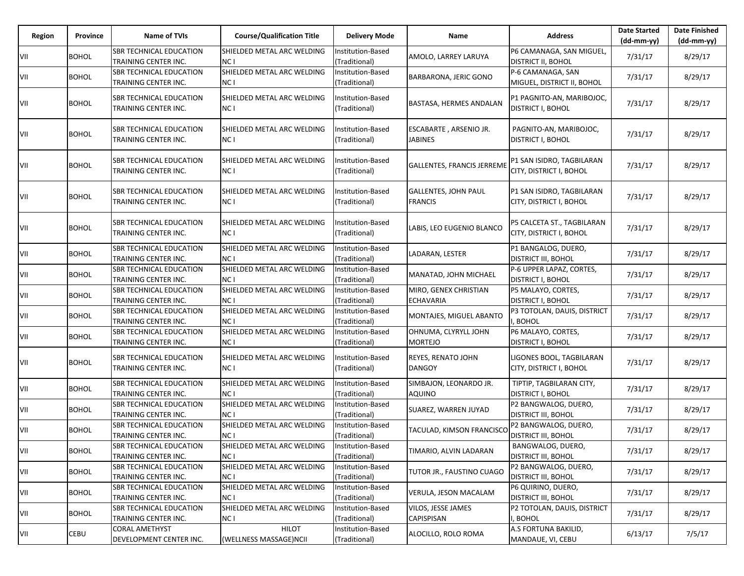| Region | Province     | Name of TVIs                                           | <b>Course/Qualification Title</b>             | <b>Delivery Mode</b>               | Name                                          | <b>Address</b>                                        | <b>Date Started</b><br>$(dd-mm-yy)$ | <b>Date Finished</b><br>(dd-mm-yy) |
|--------|--------------|--------------------------------------------------------|-----------------------------------------------|------------------------------------|-----------------------------------------------|-------------------------------------------------------|-------------------------------------|------------------------------------|
| VII    | <b>BOHOL</b> | <b>SBR TECHNICAL EDUCATION</b><br>TRAINING CENTER INC. | SHIELDED METAL ARC WELDING<br>NC I            | Institution-Based<br>(Traditional) | AMOLO, LARREY LARUYA                          | P6 CAMANAGA, SAN MIGUEL,<br><b>DISTRICT II, BOHOL</b> | 7/31/17                             | 8/29/17                            |
| VII    | <b>BOHOL</b> | <b>SBR TECHNICAL EDUCATION</b><br>TRAINING CENTER INC. | SHIELDED METAL ARC WELDING<br>NC I            | Institution-Based<br>(Traditional) | <b>BARBARONA, JERIC GONO</b>                  | P-6 CAMANAGA, SAN<br>MIGUEL, DISTRICT II, BOHOL       | 7/31/17                             | 8/29/17                            |
| VII    | <b>BOHOL</b> | <b>SBR TECHNICAL EDUCATION</b><br>TRAINING CENTER INC. | SHIELDED METAL ARC WELDING<br>NC I            | Institution-Based<br>(Traditional) | BASTASA, HERMES ANDALAN                       | P1 PAGNITO-AN, MARIBOJOC,<br><b>DISTRICT I, BOHOL</b> | 7/31/17                             | 8/29/17                            |
| VII    | <b>BOHOL</b> | <b>SBR TECHNICAL EDUCATION</b><br>TRAINING CENTER INC. | SHIELDED METAL ARC WELDING<br>NC I            | Institution-Based<br>(Traditional) | ESCABARTE, ARSENIO JR.<br><b>JABINES</b>      | PAGNITO-AN, MARIBOJOC,<br><b>DISTRICT I, BOHOL</b>    | 7/31/17                             | 8/29/17                            |
| VII    | <b>BOHOL</b> | <b>SBR TECHNICAL EDUCATION</b><br>TRAINING CENTER INC. | SHIELDED METAL ARC WELDING<br>NC I            | Institution-Based<br>(Traditional) | <b>GALLENTES, FRANCIS JERREME</b>             | P1 SAN ISIDRO, TAGBILARAN<br>CITY, DISTRICT I, BOHOL  | 7/31/17                             | 8/29/17                            |
| VII    | <b>BOHOL</b> | <b>SBR TECHNICAL EDUCATION</b><br>TRAINING CENTER INC. | SHIELDED METAL ARC WELDING<br>NC I            | Institution-Based<br>(Traditional) | <b>GALLENTES, JOHN PAUL</b><br><b>FRANCIS</b> | P1 SAN ISIDRO, TAGBILARAN<br>CITY, DISTRICT I, BOHOL  | 7/31/17                             | 8/29/17                            |
| VII    | <b>BOHOL</b> | <b>SBR TECHNICAL EDUCATION</b><br>TRAINING CENTER INC. | SHIELDED METAL ARC WELDING<br>NC I            | Institution-Based<br>(Traditional) | LABIS, LEO EUGENIO BLANCO                     | P5 CALCETA ST., TAGBILARAN<br>CITY, DISTRICT I, BOHOL | 7/31/17                             | 8/29/17                            |
| VII    | <b>BOHOL</b> | <b>SBR TECHNICAL EDUCATION</b><br>TRAINING CENTER INC. | SHIELDED METAL ARC WELDING<br>NC I            | Institution-Based<br>(Traditional) | LADARAN, LESTER                               | P1 BANGALOG, DUERO,<br><b>DISTRICT III, BOHOL</b>     | 7/31/17                             | 8/29/17                            |
| VII    | <b>BOHOL</b> | <b>SBR TECHNICAL EDUCATION</b><br>TRAINING CENTER INC. | SHIELDED METAL ARC WELDING<br>NC I            | Institution-Based<br>(Traditional) | MANATAD, JOHN MICHAEL                         | P-6 UPPER LAPAZ, CORTES,<br><b>DISTRICT I, BOHOL</b>  | 7/31/17                             | 8/29/17                            |
| VII    | <b>BOHOL</b> | <b>SBR TECHNICAL EDUCATION</b><br>TRAINING CENTER INC. | SHIELDED METAL ARC WELDING<br>NC I            | Institution-Based<br>(Traditional) | MIRO, GENEX CHRISTIAN<br><b>ECHAVARIA</b>     | P5 MALAYO, CORTES,<br><b>DISTRICT I, BOHOL</b>        | 7/31/17                             | 8/29/17                            |
| VII    | <b>BOHOL</b> | <b>SBR TECHNICAL EDUCATION</b><br>TRAINING CENTER INC. | SHIELDED METAL ARC WELDING<br>NC I            | Institution-Based<br>(Traditional) | MONTAJES, MIGUEL ABANTO                       | P3 TOTOLAN, DAUIS, DISTRICT<br>, BOHOL                | 7/31/17                             | 8/29/17                            |
| VII    | <b>BOHOL</b> | <b>SBR TECHNICAL EDUCATION</b><br>TRAINING CENTER INC. | SHIELDED METAL ARC WELDING<br>NC I            | Institution-Based<br>(Traditional) | OHNUMA, CLYRYLL JOHN<br><b>MORTEJO</b>        | P6 MALAYO, CORTES,<br><b>DISTRICT I, BOHOL</b>        | 7/31/17                             | 8/29/17                            |
| VII    | <b>BOHOL</b> | <b>SBR TECHNICAL EDUCATION</b><br>TRAINING CENTER INC. | SHIELDED METAL ARC WELDING<br>NC I            | Institution-Based<br>(Traditional) | <b>REYES, RENATO JOHN</b><br><b>DANGOY</b>    | LIGONES BOOL, TAGBILARAN<br>CITY, DISTRICT I, BOHOL   | 7/31/17                             | 8/29/17                            |
| VII    | <b>BOHOL</b> | <b>SBR TECHNICAL EDUCATION</b><br>TRAINING CENTER INC. | SHIELDED METAL ARC WELDING<br>NC I            | Institution-Based<br>(Traditional) | SIMBAJON, LEONARDO JR.<br>AQUINO              | TIPTIP, TAGBILARAN CITY,<br><b>DISTRICT I, BOHOL</b>  | 7/31/17                             | 8/29/17                            |
| VII    | <b>BOHOL</b> | <b>SBR TECHNICAL EDUCATION</b><br>TRAINING CENTER INC. | SHIELDED METAL ARC WELDING<br>NC I            | Institution-Based<br>(Traditional) | SUAREZ, WARREN JUYAD                          | P2 BANGWALOG, DUERO,<br><b>DISTRICT III, BOHOL</b>    | 7/31/17                             | 8/29/17                            |
| VII    | <b>BOHOL</b> | <b>SBR TECHNICAL EDUCATION</b><br>TRAINING CENTER INC. | SHIELDED METAL ARC WELDING<br>NC I            | Institution-Based<br>(Traditional) | TACULAD, KIMSON FRANCISC                      | P2 BANGWALOG, DUERO,<br><b>DISTRICT III, BOHOL</b>    | 7/31/17                             | 8/29/17                            |
| VII    | <b>BOHOL</b> | <b>SBR TECHNICAL EDUCATION</b><br>TRAINING CENTER INC. | SHIELDED METAL ARC WELDING<br>NC I            | Institution-Based<br>(Traditional) | TIMARIO, ALVIN LADARAN                        | BANGWALOG, DUERO,<br><b>DISTRICT III, BOHOL</b>       | 7/31/17                             | 8/29/17                            |
| VII    | <b>BOHOL</b> | <b>SBR TECHNICAL EDUCATION</b><br>TRAINING CENTER INC. | SHIELDED METAL ARC WELDING<br>NC <sub>1</sub> | Institution-Based<br>(Traditional) | TUTOR JR., FAUSTINO CUAGO                     | P2 BANGWALOG, DUERO,<br><b>DISTRICT III, BOHOL</b>    | 7/31/17                             | 8/29/17                            |
| VII    | <b>BOHOL</b> | <b>SBR TECHNICAL EDUCATION</b><br>TRAINING CENTER INC. | SHIELDED METAL ARC WELDING<br>NC I            | Institution-Based<br>(Traditional) | VERULA, JESON MACALAM                         | P6 QUIRINO, DUERO,<br><b>DISTRICT III, BOHOL</b>      | 7/31/17                             | 8/29/17                            |
| VII    | <b>BOHOL</b> | <b>SBR TECHNICAL EDUCATION</b><br>TRAINING CENTER INC. | SHIELDED METAL ARC WELDING<br>NC I            | Institution-Based<br>(Traditional) | VILOS, JESSE JAMES<br>CAPISPISAN              | P2 TOTOLAN, DAUIS, DISTRICT<br>I, BOHOL               | 7/31/17                             | 8/29/17                            |
| VII    | CEBU         | <b>CORAL AMETHYST</b><br>DEVELOPMENT CENTER INC.       | HILOT<br>(WELLNESS MASSAGE)NCII               | Institution-Based<br>(Traditional) | ALOCILLO, ROLO ROMA                           | A.S FORTUNA BAKILID,<br>MANDAUE, VI, CEBU             | 6/13/17                             | 7/5/17                             |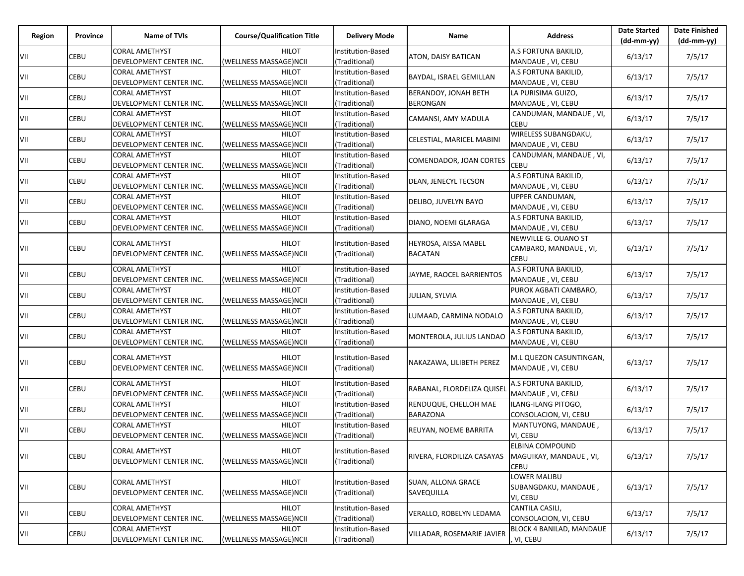| Region | Province | Name of TVIs                                     | <b>Course/Qualification Title</b>      | <b>Delivery Mode</b>                             | Name                           | <b>Address</b>                      | <b>Date Started</b><br>$(dd-mm-vv)$ | <b>Date Finished</b><br>$(dd-mm-yy)$ |
|--------|----------|--------------------------------------------------|----------------------------------------|--------------------------------------------------|--------------------------------|-------------------------------------|-------------------------------------|--------------------------------------|
|        |          | <b>CORAL AMETHYST</b>                            | <b>HILOT</b>                           | Institution-Based                                |                                | A.S FORTUNA BAKILID,                |                                     |                                      |
| VII    | CEBU     | DEVELOPMENT CENTER INC.                          | (WELLNESS MASSAGE)NCII                 | (Traditional)                                    | ATON, DAISY BATICAN            | MANDAUE, VI, CEBU                   | 6/13/17                             | 7/5/17                               |
| VII    | CEBU     | <b>CORAL AMETHYST</b>                            | <b>HILOT</b>                           | Institution-Based                                | <b>BAYDAL, ISRAEL GEMILLAN</b> | A.S FORTUNA BAKILID,                | 6/13/17                             | 7/5/17                               |
|        |          | DEVELOPMENT CENTER INC.                          | (WELLNESS MASSAGE)NCII                 | (Traditional)                                    |                                | MANDAUE, VI, CEBU                   |                                     |                                      |
| VII    | CEBU     | CORAL AMETHYST                                   | <b>HILOT</b>                           | Institution-Based                                | BERANDOY, JONAH BETH           | LA PURISIMA GUIZO,                  | 6/13/17                             | 7/5/17                               |
|        |          | DEVELOPMENT CENTER INC.                          | (WELLNESS MASSAGE)NCII                 | (Traditional)                                    | BERONGAN                       | MANDAUE, VI, CEBU                   |                                     |                                      |
| VII    | CEBU     | <b>CORAL AMETHYST</b>                            | <b>HILOT</b>                           | Institution-Based                                | CAMANSI, AMY MADULA            | CANDUMAN, MANDAUE, VI,              | 6/13/17                             | 7/5/17                               |
|        |          | DEVELOPMENT CENTER INC.<br><b>CORAL AMETHYST</b> | (WELLNESS MASSAGE)NCII<br><b>HILOT</b> | (Traditional)<br>Institution-Based               |                                | <b>CEBU</b><br>WIRELESS SUBANGDAKU, |                                     |                                      |
| VII    | CEBU     | DEVELOPMENT CENTER INC.                          | (WELLNESS MASSAGE)NCII                 | (Traditional)                                    | CELESTIAL, MARICEL MABINI      | MANDAUE, VI, CEBU                   | 6/13/17                             | 7/5/17                               |
|        |          | <b>CORAL AMETHYST</b>                            | <b>HILOT</b>                           | Institution-Based                                |                                | CANDUMAN, MANDAUE, VI,              |                                     |                                      |
| VII    | CEBU     | DEVELOPMENT CENTER INC.                          | (WELLNESS MASSAGE)NCII                 | (Traditional)                                    | COMENDADOR, JOAN CORTES        | CEBU                                | 6/13/17                             | 7/5/17                               |
|        |          | <b>CORAL AMETHYST</b>                            | <b>HILOT</b>                           | Institution-Based                                |                                | A.S FORTUNA BAKILID,                |                                     |                                      |
| VII    | CEBU     | DEVELOPMENT CENTER INC.                          | (WELLNESS MASSAGE)NCII                 | (Traditional)                                    | DEAN, JENECYL TECSON           | MANDAUE, VI, CEBU                   | 6/13/17                             | 7/5/17                               |
| VII    | CEBU     | <b>CORAL AMETHYST</b>                            | <b>HILOT</b>                           | Institution-Based                                | DELIBO, JUVELYN BAYO           | UPPER CANDUMAN,                     | 6/13/17                             | 7/5/17                               |
|        |          | DEVELOPMENT CENTER INC.                          | (WELLNESS MASSAGE)NCII                 | (Traditional)                                    |                                | MANDAUE, VI, CEBU                   |                                     |                                      |
| VII    | CEBU     | <b>CORAL AMETHYST</b>                            | <b>HILOT</b>                           | Institution-Based                                | DIANO, NOEMI GLARAGA           | A.S FORTUNA BAKILID,                | 6/13/17                             | 7/5/17                               |
|        |          | DEVELOPMENT CENTER INC.                          | (WELLNESS MASSAGE)NCII                 | (Traditional)                                    |                                | MANDAUE, VI, CEBU                   |                                     |                                      |
|        |          | <b>CORAL AMETHYST</b>                            | <b>HILOT</b>                           | Institution-Based                                | <b>HEYROSA, AISSA MABEL</b>    | NEWVILLE G. OUANO ST                |                                     |                                      |
| VII    | CEBU     | DEVELOPMENT CENTER INC.                          | (WELLNESS MASSAGE)NCII                 | (Traditional)                                    | <b>BACATAN</b>                 | CAMBARO, MANDAUE, VI,               | 6/13/17                             | 7/5/17                               |
|        |          | <b>CORAL AMETHYST</b>                            | <b>HILOT</b>                           | Institution-Based                                |                                | <b>CEBU</b><br>A.S FORTUNA BAKILID, |                                     |                                      |
| VII    | CEBU     | DEVELOPMENT CENTER INC.                          | (WELLNESS MASSAGE)NCII                 | (Traditional)                                    | JAYME, RAOCEL BARRIENTOS       | MANDAUE, VI, CEBU                   | 6/13/17                             | 7/5/17                               |
|        |          | <b>CORAL AMETHYST</b>                            | <b>HILOT</b>                           | Institution-Based                                |                                | PUROK AGBATI CAMBARO,               |                                     |                                      |
| VII    | CEBU     | DEVELOPMENT CENTER INC.                          | (WELLNESS MASSAGE)NCII                 | (Traditional)                                    | <b>JULIAN, SYLVIA</b>          | MANDAUE, VI, CEBU                   | 6/13/17                             | 7/5/17                               |
|        |          | <b>CORAL AMETHYST</b>                            | <b>HILOT</b>                           | Institution-Based                                |                                | A.S FORTUNA BAKILID,                |                                     |                                      |
| VII    | CEBU     | DEVELOPMENT CENTER INC.                          | (WELLNESS MASSAGE)NCII                 | (Traditional)                                    | LUMAAD, CARMINA NODALO         | MANDAUE, VI, CEBU                   | 6/13/17                             | 7/5/17                               |
| VII    | CEBU     | <b>CORAL AMETHYST</b>                            | <b>HILOT</b>                           | Institution-Based                                | MONTEROLA, JULIUS LANDAO       | A.S FORTUNA BAKILID,                | 6/13/17                             | 7/5/17                               |
|        |          | DEVELOPMENT CENTER INC.                          | (WELLNESS MASSAGE)NCII                 | (Traditional)                                    |                                | MANDAUE, VI, CEBU                   |                                     |                                      |
|        |          | <b>CORAL AMETHYST</b>                            | <b>HILOT</b>                           | Institution-Based                                |                                | M.L QUEZON CASUNTINGAN,             |                                     |                                      |
| VII    | CEBU     | DEVELOPMENT CENTER INC.                          | (WELLNESS MASSAGE)NCII                 | (Traditional)                                    | NAKAZAWA, LILIBETH PEREZ       | MANDAUE, VI, CEBU                   | 6/13/17                             | 7/5/17                               |
|        |          | <b>CORAL AMETHYST</b>                            | <b>HILOT</b>                           | Institution-Based                                |                                | A.S FORTUNA BAKILID,                |                                     |                                      |
| VII    | CEBU     | DEVELOPMENT CENTER INC.                          | (WELLNESS MASSAGE)NCII                 | (Traditional)                                    | RABANAL, FLORDELIZA QUISEI     | MANDAUE, VI, CEBU                   | 6/13/17                             | 7/5/17                               |
|        |          | <b>CORAL AMETHYST</b>                            | <b>HILOT</b>                           | Institution-Based                                | <b>RENDUQUE, CHELLOH MAE</b>   | ILANG-ILANG PITOGO,                 |                                     |                                      |
| VII    | CEBU     | DEVELOPMENT CENTER INC.                          | (WELLNESS MASSAGE)NCII                 | (Traditional)                                    | <b>BARAZONA</b>                | CONSOLACION, VI, CEBU               | 6/13/17                             | 7/5/17                               |
|        |          | <b>CORAL AMETHYST</b>                            | <b>HILOT</b>                           | Institution-Based                                |                                | MANTUYONG, MANDAUE,                 |                                     |                                      |
| VII    | CEBU     | DEVELOPMENT CENTER INC.                          | (WELLNESS MASSAGE)NCII                 | (Traditional)                                    | REUYAN, NOEME BARRITA          | VI, CEBU                            | 6/13/17                             | 7/5/17                               |
|        |          | <b>CORAL AMETHYST</b>                            | <b>HILOT</b>                           | Institution-Based                                |                                | ELBINA COMPOUND                     |                                     |                                      |
| VII    | CEBU     | DEVELOPMENT CENTER INC.                          | (WELLNESS MASSAGE)NCII                 | (Traditional)                                    | RIVERA, FLORDILIZA CASAYAS     | MAGUIKAY, MANDAUE, VI,              | 6/13/17                             | 7/5/17                               |
|        |          |                                                  |                                        |                                                  |                                | CEBU                                |                                     |                                      |
|        |          | <b>CORAL AMETHYST</b>                            | <b>HILOT</b>                           | Institution-Based                                | <b>SUAN, ALLONA GRACE</b>      | LOWER MALIBU                        |                                     |                                      |
| VII    | CEBU     | DEVELOPMENT CENTER INC.                          | (WELLNESS MASSAGE)NCII                 | (Traditional)                                    | SAVEQUILLA                     | SUBANGDAKU, MANDAUE,                | 6/13/17                             | 7/5/17                               |
|        |          |                                                  |                                        | VI, CEBU<br>CANTILA CASILI,<br>Institution-Based |                                |                                     |                                     |                                      |
| VII    | CEBU     | <b>CORAL AMETHYST</b><br>DEVELOPMENT CENTER INC. | <b>HILOT</b><br>(WELLNESS MASSAGE)NCII | (Traditional)                                    | <b>VERALLO, ROBELYN LEDAMA</b> | CONSOLACION, VI, CEBU               | 6/13/17                             | 7/5/17                               |
|        |          | <b>CORAL AMETHYST</b>                            | <b>HILOT</b>                           | Institution-Based                                |                                | BLOCK 4 BANILAD, MANDAUE            |                                     |                                      |
| VII    | CEBU     | DEVELOPMENT CENTER INC.                          | (WELLNESS MASSAGE)NCII                 | (Traditional)                                    | VILLADAR, ROSEMARIE JAVIER     | VI, CEBU                            | 6/13/17                             | 7/5/17                               |
|        |          |                                                  |                                        |                                                  |                                |                                     |                                     |                                      |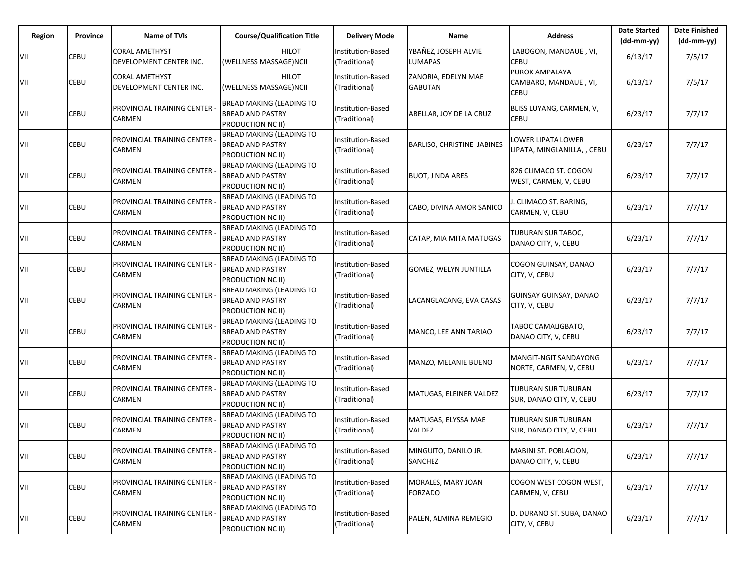| Region     | Province | Name of TVIs                                     | <b>Course/Qualification Title</b>                                               | <b>Delivery Mode</b>                      | Name                                   | <b>Address</b>                                         | <b>Date Started</b><br>$(dd-mm-vv)$ | <b>Date Finished</b><br>(dd-mm-yy) |
|------------|----------|--------------------------------------------------|---------------------------------------------------------------------------------|-------------------------------------------|----------------------------------------|--------------------------------------------------------|-------------------------------------|------------------------------------|
| VII        | CEBU     | <b>CORAL AMETHYST</b><br>DEVELOPMENT CENTER INC. | <b>HILOT</b><br>(WELLNESS MASSAGE)NCII                                          | <b>Institution-Based</b><br>(Traditional) | YBAŇEZ, JOSEPH ALVIE<br><b>LUMAPAS</b> | LABOGON, MANDAUE, VI,<br><b>CEBU</b>                   | 6/13/17                             | 7/5/17                             |
| VII        | CEBU     | <b>CORAL AMETHYST</b><br>DEVELOPMENT CENTER INC. | <b>HILOT</b><br>(WELLNESS MASSAGE)NCII                                          | Institution-Based<br>(Traditional)        | ZANORIA, EDELYN MAE<br><b>GABUTAN</b>  | PUROK AMPALAYA<br>CAMBARO, MANDAUE, VI,<br><b>CEBU</b> | 6/13/17                             | 7/5/17                             |
| VII        | CEBU     | PROVINCIAL TRAINING CENTER<br><b>CARMEN</b>      | <b>BREAD MAKING (LEADING TO</b><br><b>BREAD AND PASTRY</b><br>PRODUCTION NC II) | Institution-Based<br>(Traditional)        | ABELLAR, JOY DE LA CRUZ                | BLISS LUYANG, CARMEN, V,<br><b>CEBU</b>                | 6/23/17                             | 7/7/17                             |
| VII        | CEBU     | PROVINCIAL TRAINING CENTER<br>CARMEN             | <b>BREAD MAKING (LEADING TO</b><br><b>BREAD AND PASTRY</b><br>PRODUCTION NC II) | Institution-Based<br>(Traditional)        | <b>BARLISO, CHRISTINE JABINES</b>      | LOWER LIPATA LOWER<br>LIPATA, MINGLANILLA, , CEBU      | 6/23/17                             | 7/7/17                             |
| VII        | CEBU     | PROVINCIAL TRAINING CENTER<br>CARMEN             | <b>BREAD MAKING (LEADING TO</b><br><b>BREAD AND PASTRY</b><br>PRODUCTION NC II) | Institution-Based<br>(Traditional)        | <b>BUOT, JINDA ARES</b>                | 826 CLIMACO ST. COGON<br>WEST, CARMEN, V, CEBU         | 6/23/17                             | 7/7/17                             |
| VII        | CEBU     | PROVINCIAL TRAINING CENTER<br>CARMEN             | <b>BREAD MAKING (LEADING TO</b><br><b>BREAD AND PASTRY</b><br>PRODUCTION NC II) | Institution-Based<br>(Traditional)        | CABO, DIVINA AMOR SANICO               | . CLIMACO ST. BARING,<br>CARMEN, V, CEBU               | 6/23/17                             | 7/7/17                             |
| VII        | CEBU     | PROVINCIAL TRAINING CENTER<br>CARMEN             | <b>BREAD MAKING (LEADING TO</b><br><b>BREAD AND PASTRY</b><br>PRODUCTION NC II) | Institution-Based<br>(Traditional)        | CATAP, MIA MITA MATUGAS                | TUBURAN SUR TABOC,<br>DANAO CITY, V, CEBU              | 6/23/17                             | 7/7/17                             |
| VII        | CEBU     | PROVINCIAL TRAINING CENTER<br><b>CARMEN</b>      | <b>BREAD MAKING (LEADING TO</b><br><b>BREAD AND PASTRY</b><br>PRODUCTION NC II) | Institution-Based<br>(Traditional)        | <b>GOMEZ, WELYN JUNTILLA</b>           | COGON GUINSAY, DANAO<br>CITY, V, CEBU                  | 6/23/17                             | 7/7/17                             |
| VII        | CEBU     | PROVINCIAL TRAINING CENTER<br>CARMEN             | <b>BREAD MAKING (LEADING TO</b><br><b>BREAD AND PASTRY</b><br>PRODUCTION NC II) | Institution-Based<br>(Traditional)        | LACANGLACANG, EVA CASAS                | GUINSAY GUINSAY, DANAO<br>CITY, V, CEBU                | 6/23/17                             | 7/7/17                             |
| VII        | CEBU     | PROVINCIAL TRAINING CENTER<br>CARMEN             | <b>BREAD MAKING (LEADING TO</b><br><b>BREAD AND PASTRY</b><br>PRODUCTION NC II) | Institution-Based<br>(Traditional)        | MANCO, LEE ANN TARIAO                  | TABOC CAMALIGBATO,<br>DANAO CITY, V, CEBU              | 6/23/17                             | 7/7/17                             |
| VII        | CEBU     | PROVINCIAL TRAINING CENTER<br>CARMEN             | BREAD MAKING (LEADING TO<br><b>BREAD AND PASTRY</b><br>PRODUCTION NC II)        | Institution-Based<br>(Traditional)        | MANZO, MELANIE BUENO                   | MANGIT-NGIT SANDAYONG<br>NORTE, CARMEN, V, CEBU        | 6/23/17                             | 7/7/17                             |
| VII        | CEBU     | PROVINCIAL TRAINING CENTER<br>CARMEN             | <b>BREAD MAKING (LEADING TO</b><br><b>BREAD AND PASTRY</b><br>PRODUCTION NC II) | Institution-Based<br>(Traditional)        | MATUGAS, ELEINER VALDEZ                | <b>TUBURAN SUR TUBURAN</b><br>SUR, DANAO CITY, V, CEBU | 6/23/17                             | 7/7/17                             |
| VII        | CEBU     | PROVINCIAL TRAINING CENTER<br>CARMEN             | BREAD MAKING (LEADING TO<br><b>BREAD AND PASTRY</b><br>PRODUCTION NC II)        | Institution-Based<br>(Traditional)        | MATUGAS, ELYSSA MAE<br>VALDEZ          | TUBURAN SUR TUBURAN<br>SUR, DANAO CITY, V, CEBU        | 6/23/17                             | 7/7/17                             |
| <b>VII</b> | CEBU     | PROVINCIAL TRAINING CENTER<br><b>CARMEN</b>      | BREAD MAKING (LEADING TO<br><b>BREAD AND PASTRY</b><br>PRODUCTION NC II)        | Institution-Based<br>(Traditional)        | MINGUITO, DANILO JR.<br>SANCHEZ        | MABINI ST. POBLACION,<br>DANAO CITY, V, CEBU           | 6/23/17                             | 7/7/17                             |
| VII        | CEBU     | PROVINCIAL TRAINING CENTER<br><b>CARMEN</b>      | <b>BREAD MAKING (LEADING TO</b><br><b>BREAD AND PASTRY</b><br>PRODUCTION NC II) | Institution-Based<br>(Traditional)        | MORALES, MARY JOAN<br><b>FORZADO</b>   | COGON WEST COGON WEST,<br>CARMEN, V, CEBU              | 6/23/17                             | 7/7/17                             |
| VII        | CEBU     | PROVINCIAL TRAINING CENTER<br>CARMEN             | <b>BREAD MAKING (LEADING TO</b><br><b>BREAD AND PASTRY</b><br>PRODUCTION NC II) | Institution-Based<br>(Traditional)        | PALEN, ALMINA REMEGIO                  | D. DURANO ST. SUBA, DANAO<br>CITY, V, CEBU             | 6/23/17                             | 7/7/17                             |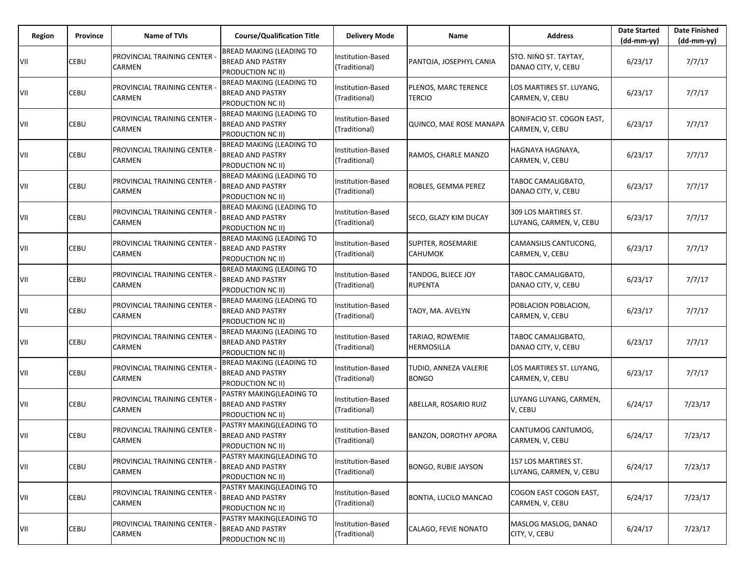| Region | Province | <b>Name of TVIs</b>                                | <b>Course/Qualification Title</b>                                               | <b>Delivery Mode</b>                      | Name                                  | <b>Address</b>                                  | <b>Date Started</b><br>$(dd-mm-yy)$ | <b>Date Finished</b><br>$(dd-mm-yy)$ |
|--------|----------|----------------------------------------------------|---------------------------------------------------------------------------------|-------------------------------------------|---------------------------------------|-------------------------------------------------|-------------------------------------|--------------------------------------|
| VII    | CEBU     | PROVINCIAL TRAINING CENTER -<br>CARMEN             | BREAD MAKING (LEADING TO<br><b>BREAD AND PASTRY</b><br>PRODUCTION NC II)        | <b>Institution-Based</b><br>(Traditional) | PANTOJA, JOSEPHYL CANIA               | STO. NINO ST. TAYTAY,<br>DANAO CITY, V, CEBU    | 6/23/17                             | 7/7/17                               |
| VII    | CEBU     | PROVINCIAL TRAINING CENTER -<br><b>CARMEN</b>      | <b>BREAD MAKING (LEADING TO</b><br><b>BREAD AND PASTRY</b><br>PRODUCTION NC II) | <b>Institution-Based</b><br>(Traditional) | PLENOS, MARC TERENCE<br><b>TERCIO</b> | LOS MARTIRES ST. LUYANG,<br>CARMEN, V, CEBU     | 6/23/17                             | 7/7/17                               |
| VII    | CEBU     | PROVINCIAL TRAINING CENTER -<br><b>CARMEN</b>      | <b>BREAD MAKING (LEADING TO</b><br><b>BREAD AND PASTRY</b><br>PRODUCTION NC II) | Institution-Based<br>(Traditional)        | QUINCO, MAE ROSE MANAPA               | BONIFACIO ST. COGON EAST,<br>CARMEN, V, CEBU    | 6/23/17                             | 7/7/17                               |
| VII    | CEBU     | PROVINCIAL TRAINING CENTER -<br><b>CARMEN</b>      | <b>BREAD MAKING (LEADING TO</b><br><b>BREAD AND PASTRY</b><br>PRODUCTION NC II) | Institution-Based<br>(Traditional)        | RAMOS, CHARLE MANZO                   | HAGNAYA HAGNAYA,<br>CARMEN, V, CEBU             | 6/23/17                             | 7/7/17                               |
| VII    | CEBU     | PROVINCIAL TRAINING CENTER -<br><b>CARMEN</b>      | <b>BREAD MAKING (LEADING TO</b><br><b>BREAD AND PASTRY</b><br>PRODUCTION NC II) | <b>Institution-Based</b><br>(Traditional) | ROBLES, GEMMA PEREZ                   | TABOC CAMALIGBATO,<br>DANAO CITY, V, CEBU       | 6/23/17                             | 7/7/17                               |
| VII    | CEBU     | PROVINCIAL TRAINING CENTER<br><b>CARMEN</b>        | <b>BREAD MAKING (LEADING TO</b><br><b>BREAD AND PASTRY</b><br>PRODUCTION NC II) | Institution-Based<br>(Traditional)        | SECO, GLAZY KIM DUCAY                 | 309 LOS MARTIRES ST.<br>LUYANG, CARMEN, V, CEBU | 6/23/17                             | 7/7/17                               |
| VII    | CEBU     | PROVINCIAL TRAINING CENTER<br>CARMEN               | <b>BREAD MAKING (LEADING TO</b><br><b>BREAD AND PASTRY</b><br>PRODUCTION NC II) | Institution-Based<br>(Traditional)        | SUPITER, ROSEMARIE<br><b>CAHUMOK</b>  | CAMANSILIS CANTUCONG,<br>CARMEN, V, CEBU        | 6/23/17                             | 7/7/17                               |
| VII    | CEBU     | PROVINCIAL TRAINING CENTER<br>CARMEN               | <b>BREAD MAKING (LEADING TO</b><br><b>BREAD AND PASTRY</b><br>PRODUCTION NC II) | Institution-Based<br>(Traditional)        | TANDOG, BLIECE JOY<br><b>RUPENTA</b>  | TABOC CAMALIGBATO,<br>DANAO CITY, V, CEBU       | 6/23/17                             | 7/7/17                               |
| VII    | CEBU     | PROVINCIAL TRAINING CENTER<br>CARMEN               | BREAD MAKING (LEADING TO<br><b>BREAD AND PASTRY</b><br>PRODUCTION NC II)        | <b>Institution-Based</b><br>(Traditional) | TAOY, MA. AVELYN                      | POBLACION POBLACION,<br>CARMEN, V, CEBU         | 6/23/17                             | 7/7/17                               |
| VII    | CEBU     | PROVINCIAL TRAINING CENTER<br>CARMEN               | <b>BREAD MAKING (LEADING TO</b><br><b>BREAD AND PASTRY</b><br>PRODUCTION NC II) | Institution-Based<br>(Traditional)        | TARIAO, ROWEMIE<br><b>HERMOSILLA</b>  | TABOC CAMALIGBATO,<br>DANAO CITY, V, CEBU       | 6/23/17                             | 7/7/17                               |
| VII    | CEBU     | PROVINCIAL TRAINING CENTER<br>CARMEN               | BREAD MAKING (LEADING TO<br><b>BREAD AND PASTRY</b><br>PRODUCTION NC II)        | Institution-Based<br>(Traditional)        | TUDIO, ANNEZA VALERIE<br><b>BONGO</b> | LOS MARTIRES ST. LUYANG,<br>CARMEN, V, CEBU     | 6/23/17                             | 7/7/17                               |
| VII    | CEBU     | PROVINCIAL TRAINING CENTER<br>CARMEN               | PASTRY MAKING(LEADING TO<br><b>BREAD AND PASTRY</b><br>PRODUCTION NC II)        | Institution-Based<br>(Traditional)        | ABELLAR, ROSARIO RUIZ                 | LUYANG LUYANG, CARMEN,<br>V, CEBU               | 6/24/17                             | 7/23/17                              |
| VII    | CEBU     | PROVINCIAL TRAINING CENTER<br>CARMEN               | PASTRY MAKING(LEADING TO<br>BREAD AND PASTRY<br>PRODUCTION NC II)               | nstitution-Based<br>(Traditional)         | <b>BANZON, DOROTHY APORA</b>          | CANTUMOG CANTUMOG,<br>CARMEN, V, CEBU           | 6/24/17                             | 7/23/17                              |
| VII    | CEBU     | <b>PROVINCIAL TRAINING CENTER</b><br><b>CARMEN</b> | PASTRY MAKING(LEADING TO<br><b>BREAD AND PASTRY</b><br>PRODUCTION NC II)        | Institution-Based<br>(Traditional)        | <b>BONGO, RUBIE JAYSON</b>            | 157 LOS MARTIRES ST.<br>LUYANG, CARMEN, V, CEBU | 6/24/17                             | 7/23/17                              |
| VII    | CEBU     | <b>PROVINCIAL TRAINING CENTER</b><br>CARMEN        | PASTRY MAKING(LEADING TO<br><b>BREAD AND PASTRY</b><br>PRODUCTION NC II)        | Institution-Based<br>(Traditional)        | BONTIA, LUCILO MANCAO                 | COGON EAST COGON EAST,<br>CARMEN, V, CEBU       | 6/24/17                             | 7/23/17                              |
| VII    | CEBU     | <b>PROVINCIAL TRAINING CENTER</b><br>CARMEN        | PASTRY MAKING(LEADING TO<br><b>BREAD AND PASTRY</b><br>PRODUCTION NC II)        | Institution-Based<br>(Traditional)        | CALAGO, FEVIE NONATO                  | MASLOG MASLOG, DANAO<br>CITY, V, CEBU           | 6/24/17                             | 7/23/17                              |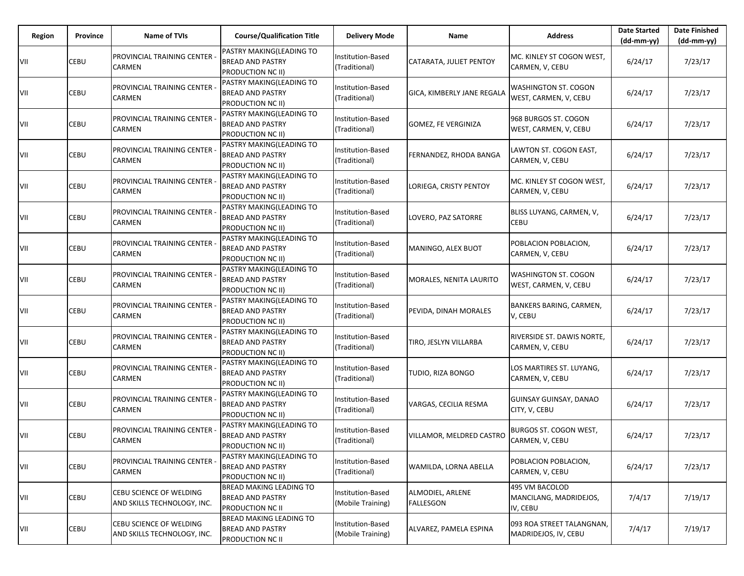| Region | Province | <b>Name of TVIs</b>                                    | <b>Course/Qualification Title</b>                                               | <b>Delivery Mode</b>                      | Name                                 | <b>Address</b>                                       | <b>Date Started</b><br>$(dd-mm-yy)$ | <b>Date Finished</b><br>(dd-mm-yy) |
|--------|----------|--------------------------------------------------------|---------------------------------------------------------------------------------|-------------------------------------------|--------------------------------------|------------------------------------------------------|-------------------------------------|------------------------------------|
| VII    | CEBU     | PROVINCIAL TRAINING CENTER<br>CARMEN                   | PASTRY MAKING(LEADING TO<br><b>BREAD AND PASTRY</b><br>PRODUCTION NC II)        | Institution-Based<br>(Traditional)        | CATARATA, JULIET PENTOY              | MC. KINLEY ST COGON WEST,<br>CARMEN, V, CEBU         | 6/24/17                             | 7/23/17                            |
| VII    | CEBU     | PROVINCIAL TRAINING CENTER<br>CARMEN                   | PASTRY MAKING(LEADING TO<br><b>BREAD AND PASTRY</b><br>PRODUCTION NC II)        | Institution-Based<br>(Traditional)        | GICA, KIMBERLY JANE REGALA           | WASHINGTON ST. COGON<br>WEST, CARMEN, V, CEBU        | 6/24/17                             | 7/23/17                            |
| VII    | CEBU     | PROVINCIAL TRAINING CENTER<br>CARMEN                   | PASTRY MAKING(LEADING TO<br><b>BREAD AND PASTRY</b><br>PRODUCTION NC II)        | Institution-Based<br>(Traditional)        | GOMEZ, FE VERGINIZA                  | 968 BURGOS ST. COGON<br>WEST, CARMEN, V, CEBU        | 6/24/17                             | 7/23/17                            |
| VII    | CEBU     | PROVINCIAL TRAINING CENTER<br>CARMEN                   | PASTRY MAKING(LEADING TO<br><b>BREAD AND PASTRY</b><br>PRODUCTION NC II)        | Institution-Based<br>(Traditional)        | FERNANDEZ, RHODA BANGA               | LAWTON ST. COGON EAST,<br>CARMEN, V, CEBU            | 6/24/17                             | 7/23/17                            |
| VII    | CEBU     | PROVINCIAL TRAINING CENTER<br>CARMEN                   | PASTRY MAKING(LEADING TO<br><b>BREAD AND PASTRY</b><br>PRODUCTION NC II)        | Institution-Based<br>(Traditional)        | LORIEGA, CRISTY PENTOY               | MC. KINLEY ST COGON WEST,<br>CARMEN, V, CEBU         | 6/24/17                             | 7/23/17                            |
| VII    | CEBU     | PROVINCIAL TRAINING CENTER<br>CARMEN                   | PASTRY MAKING(LEADING TO<br><b>BREAD AND PASTRY</b><br>PRODUCTION NC II)        | Institution-Based<br>(Traditional)        | LOVERO, PAZ SATORRE                  | BLISS LUYANG, CARMEN, V,<br><b>CEBU</b>              | 6/24/17                             | 7/23/17                            |
| VII    | CEBU     | PROVINCIAL TRAINING CENTER<br>CARMEN                   | PASTRY MAKING(LEADING TO<br><b>BREAD AND PASTRY</b><br><b>PRODUCTION NC II)</b> | Institution-Based<br>(Traditional)        | MANINGO, ALEX BUOT                   | POBLACION POBLACION,<br>CARMEN, V, CEBU              | 6/24/17                             | 7/23/17                            |
| VII    | CEBU     | PROVINCIAL TRAINING CENTER<br>CARMEN                   | PASTRY MAKING(LEADING TO<br><b>BREAD AND PASTRY</b><br>PRODUCTION NC II)        | <b>Institution-Based</b><br>(Traditional) | MORALES, NENITA LAURITO              | WASHINGTON ST. COGON<br>WEST, CARMEN, V, CEBU        | 6/24/17                             | 7/23/17                            |
| VII    | CEBU     | PROVINCIAL TRAINING CENTER<br>CARMEN                   | PASTRY MAKING(LEADING TO<br><b>BREAD AND PASTRY</b><br>PRODUCTION NC II)        | Institution-Based<br>(Traditional)        | PEVIDA, DINAH MORALES                | BANKERS BARING, CARMEN,<br>V, CEBU                   | 6/24/17                             | 7/23/17                            |
| VII    | CEBU     | PROVINCIAL TRAINING CENTER<br>CARMEN                   | PASTRY MAKING(LEADING TO<br><b>BREAD AND PASTRY</b><br>PRODUCTION NC II)        | Institution-Based<br>(Traditional)        | TIRO, JESLYN VILLARBA                | RIVERSIDE ST. DAWIS NORTE,<br>CARMEN, V, CEBU        | 6/24/17                             | 7/23/17                            |
| VII    | CEBU     | PROVINCIAL TRAINING CENTER<br>CARMEN                   | PASTRY MAKING(LEADING TO<br><b>BREAD AND PASTRY</b><br>PRODUCTION NC II)        | Institution-Based<br>(Traditional)        | TUDIO, RIZA BONGO                    | LOS MARTIRES ST. LUYANG,<br>CARMEN, V, CEBU          | 6/24/17                             | 7/23/17                            |
| VII    | CEBU     | PROVINCIAL TRAINING CENTER<br>CARMEN                   | PASTRY MAKING(LEADING TO<br><b>BREAD AND PASTRY</b><br>PRODUCTION NC II)        | Institution-Based<br>(Traditional)        | VARGAS, CECILIA RESMA                | GUINSAY GUINSAY, DANAO<br>CITY, V, CEBU              | 6/24/17                             | 7/23/17                            |
| VII    | CEBU     | PROVINCIAL TRAINING CENTER<br>CARMEN                   | PASTRY MAKING(LEADING TO<br><b>BREAD AND PASTRY</b><br>PRODUCTION NC II)        | Institution-Based<br>(Traditional)        | VILLAMOR, MELDRED CASTRO             | BURGOS ST. COGON WEST,<br>CARMEN, V, CEBU            | 6/24/17                             | 7/23/17                            |
| VII    | CEBU     | PROVINCIAL TRAINING CENTER<br>CARMEN                   | PASTRY MAKING(LEADING TO<br><b>BREAD AND PASTRY</b><br>PRODUCTION NC II)        | Institution-Based<br>(Traditional)        | WAMILDA, LORNA ABELLA                | POBLACION POBLACION,<br>CARMEN, V, CEBU              | 6/24/17                             | 7/23/17                            |
| VII    | CEBU     | CEBU SCIENCE OF WELDING<br>AND SKILLS TECHNOLOGY, INC. | <b>BREAD MAKING LEADING TO</b><br><b>BREAD AND PASTRY</b><br>PRODUCTION NC II   | Institution-Based<br>(Mobile Training)    | ALMODIEL, ARLENE<br><b>FALLESGON</b> | 495 VM BACOLOD<br>MANCILANG, MADRIDEJOS,<br>IV, CEBU | 7/4/17                              | 7/19/17                            |
| VII    | CEBU     | CEBU SCIENCE OF WELDING<br>AND SKILLS TECHNOLOGY, INC. | <b>BREAD MAKING LEADING TO</b><br><b>BREAD AND PASTRY</b><br>PRODUCTION NC II   | Institution-Based<br>(Mobile Training)    | ALVAREZ, PAMELA ESPINA               | 093 ROA STREET TALANGNAN,<br>MADRIDEJOS, IV, CEBU    | 7/4/17                              | 7/19/17                            |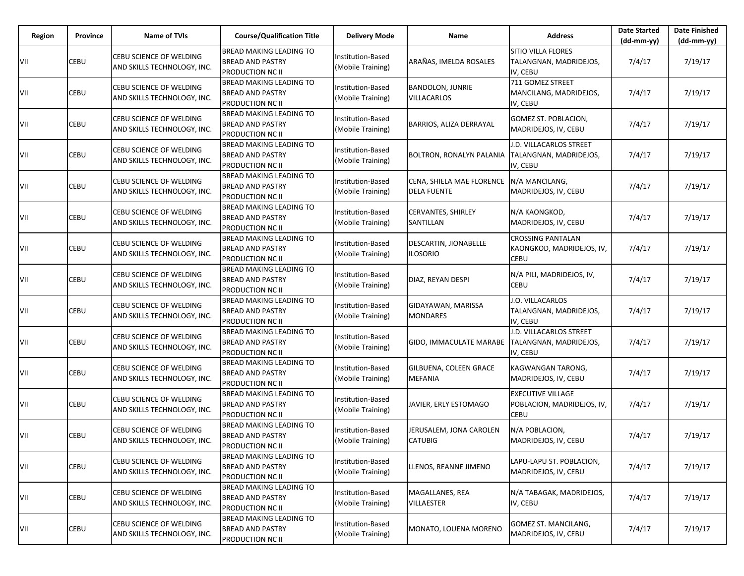| Region | Province | <b>Name of TVIs</b>                                           | <b>Course/Qualification Title</b>                                                    | <b>Delivery Mode</b>                          | Name                                            | <b>Address</b>                                                        | <b>Date Started</b><br>$(dd-mm-yy)$ | <b>Date Finished</b><br>$(dd-mm-yy)$ |
|--------|----------|---------------------------------------------------------------|--------------------------------------------------------------------------------------|-----------------------------------------------|-------------------------------------------------|-----------------------------------------------------------------------|-------------------------------------|--------------------------------------|
| VII    | CEBU     | <b>CEBU SCIENCE OF WELDING</b><br>AND SKILLS TECHNOLOGY, INC. | <b>BREAD MAKING LEADING TO</b><br><b>BREAD AND PASTRY</b><br><b>PRODUCTION NC II</b> | Institution-Based<br>(Mobile Training)        | ARAÑAS, IMELDA ROSALES                          | SITIO VILLA FLORES<br>TALANGNAN, MADRIDEJOS,<br>IV, CEBU              | 7/4/17                              | 7/19/17                              |
| VII    | CEBU     | CEBU SCIENCE OF WELDING<br>AND SKILLS TECHNOLOGY, INC.        | <b>BREAD MAKING LEADING TO</b><br><b>BREAD AND PASTRY</b><br>PRODUCTION NC II        | Institution-Based<br>(Mobile Training)        | <b>BANDOLON, JUNRIE</b><br>VILLACARLOS          | 711 GOMEZ STREET<br>MANCILANG, MADRIDEJOS,<br>IV, CEBU                | 7/4/17                              | 7/19/17                              |
| VII    | CEBU     | CEBU SCIENCE OF WELDING<br>AND SKILLS TECHNOLOGY, INC.        | <b>BREAD MAKING LEADING TO</b><br><b>BREAD AND PASTRY</b><br>PRODUCTION NC II        | Institution-Based<br>(Mobile Training)        | BARRIOS, ALIZA DERRAYAL                         | GOMEZ ST. POBLACION,<br>MADRIDEJOS, IV, CEBU                          | 7/4/17                              | 7/19/17                              |
| VII    | CEBU     | CEBU SCIENCE OF WELDING<br>AND SKILLS TECHNOLOGY, INC.        | <b>BREAD MAKING LEADING TO</b><br><b>BREAD AND PASTRY</b><br>PRODUCTION NC II        | <b>Institution-Based</b><br>(Mobile Training) | BOLTRON, RONALYN PALANIA                        | J.D. VILLACARLOS STREET<br>TALANGNAN, MADRIDEJOS,<br>IV, CEBU         | 7/4/17                              | 7/19/17                              |
| VII    | CEBU     | CEBU SCIENCE OF WELDING<br>AND SKILLS TECHNOLOGY, INC.        | <b>BREAD MAKING LEADING TO</b><br><b>BREAD AND PASTRY</b><br>PRODUCTION NC II        | Institution-Based<br>(Mobile Training)        | CENA, SHIELA MAE FLORENCE<br><b>DELA FUENTE</b> | N/A MANCILANG,<br>MADRIDEJOS, IV, CEBU                                | 7/4/17                              | 7/19/17                              |
| VII    | CEBU     | CEBU SCIENCE OF WELDING<br>AND SKILLS TECHNOLOGY, INC.        | BREAD MAKING LEADING TO<br><b>BREAD AND PASTRY</b><br>PRODUCTION NC II               | Institution-Based<br>(Mobile Training)        | CERVANTES, SHIRLEY<br>SANTILLAN                 | N/A KAONGKOD,<br>MADRIDEJOS, IV, CEBU                                 | 7/4/17                              | 7/19/17                              |
| VII    | CEBU     | CEBU SCIENCE OF WELDING<br>AND SKILLS TECHNOLOGY, INC.        | <b>BREAD MAKING LEADING TO</b><br><b>BREAD AND PASTRY</b><br><b>PRODUCTION NC II</b> | Institution-Based<br>(Mobile Training)        | DESCARTIN, JIONABELLE<br><b>ILOSORIO</b>        | <b>CROSSING PANTALAN</b><br>KAONGKOD, MADRIDEJOS, IV,<br><b>CEBU</b>  | 7/4/17                              | 7/19/17                              |
| VII    | CEBU     | CEBU SCIENCE OF WELDING<br>AND SKILLS TECHNOLOGY, INC.        | <b>BREAD MAKING LEADING TO</b><br><b>BREAD AND PASTRY</b><br>PRODUCTION NC II        | <b>Institution-Based</b><br>(Mobile Training) | DIAZ, REYAN DESPI                               | N/A PILI, MADRIDEJOS, IV,<br>CEBU                                     | 7/4/17                              | 7/19/17                              |
| VII    | CEBU     | CEBU SCIENCE OF WELDING<br>AND SKILLS TECHNOLOGY, INC.        | <b>BREAD MAKING LEADING TO</b><br><b>BREAD AND PASTRY</b><br>PRODUCTION NC II        | Institution-Based<br>(Mobile Training)        | GIDAYAWAN, MARISSA<br><b>MONDARES</b>           | J.O. VILLACARLOS<br>TALANGNAN, MADRIDEJOS,<br>IV, CEBU                | 7/4/17                              | 7/19/17                              |
| VII    | CEBU     | CEBU SCIENCE OF WELDING<br>AND SKILLS TECHNOLOGY, INC.        | <b>BREAD MAKING LEADING TO</b><br><b>BREAD AND PASTRY</b><br>PRODUCTION NC II        | Institution-Based<br>(Mobile Training)        | GIDO, IMMACULATE MARABE                         | J.D. VILLACARLOS STREET<br>TALANGNAN, MADRIDEJOS,<br>IV, CEBU         | 7/4/17                              | 7/19/17                              |
| VII    | CEBU     | CEBU SCIENCE OF WELDING<br>AND SKILLS TECHNOLOGY, INC.        | <b>BREAD MAKING LEADING TO</b><br><b>BREAD AND PASTRY</b><br>PRODUCTION NC II        | Institution-Based<br>(Mobile Training)        | GILBUENA, COLEEN GRACE<br><b>MEFANIA</b>        | KAGWANGAN TARONG,<br>MADRIDEJOS, IV, CEBU                             | 7/4/17                              | 7/19/17                              |
| VII    | CEBU     | CEBU SCIENCE OF WELDING<br>AND SKILLS TECHNOLOGY, INC.        | <b>BREAD MAKING LEADING TO</b><br><b>BREAD AND PASTRY</b><br>PRODUCTION NC II        | Institution-Based<br>(Mobile Training)        | JAVIER, ERLY ESTOMAGO                           | <b>EXECUTIVE VILLAGE</b><br>POBLACION, MADRIDEJOS, IV,<br><b>CEBU</b> | 7/4/17                              | 7/19/17                              |
| VII    | CEBU     | CEBU SCIENCE OF WELDING<br>AND SKILLS TECHNOLOGY, INC.        | BREAD MAKING LEADING TO<br><b>BREAD AND PASTRY</b><br>PRODUCTION NC II               | Institution-Based<br>(Mobile Training)        | JERUSALEM, JONA CAROLEN<br><b>CATUBIG</b>       | N/A POBLACION,<br>MADRIDEJOS, IV, CEBU                                | 7/4/17                              | 7/19/17                              |
| VII    | CEBU     | CEBU SCIENCE OF WELDING<br>AND SKILLS TECHNOLOGY, INC.        | <b>BREAD MAKING LEADING TO</b><br><b>BREAD AND PASTRY</b><br><b>PRODUCTION NC II</b> | Institution-Based<br>(Mobile Training)        | LLENOS, REANNE JIMENO                           | LAPU-LAPU ST. POBLACION,<br>MADRIDEJOS, IV, CEBU                      | 7/4/17                              | 7/19/17                              |
| VII    | CEBU     | CEBU SCIENCE OF WELDING<br>AND SKILLS TECHNOLOGY, INC.        | <b>BREAD MAKING LEADING TO</b><br><b>BREAD AND PASTRY</b><br>PRODUCTION NC II        | Institution-Based<br>(Mobile Training)        | MAGALLANES, REA<br><b>VILLAESTER</b>            | N/A TABAGAK, MADRIDEJOS,<br>IV, CEBU                                  | 7/4/17                              | 7/19/17                              |
| VII    | CEBU     | CEBU SCIENCE OF WELDING<br>AND SKILLS TECHNOLOGY, INC.        | <b>BREAD MAKING LEADING TO</b><br><b>BREAD AND PASTRY</b><br>PRODUCTION NC II        | Institution-Based<br>(Mobile Training)        | MONATO, LOUENA MORENO                           | GOMEZ ST. MANCILANG,<br>MADRIDEJOS, IV, CEBU                          | 7/4/17                              | 7/19/17                              |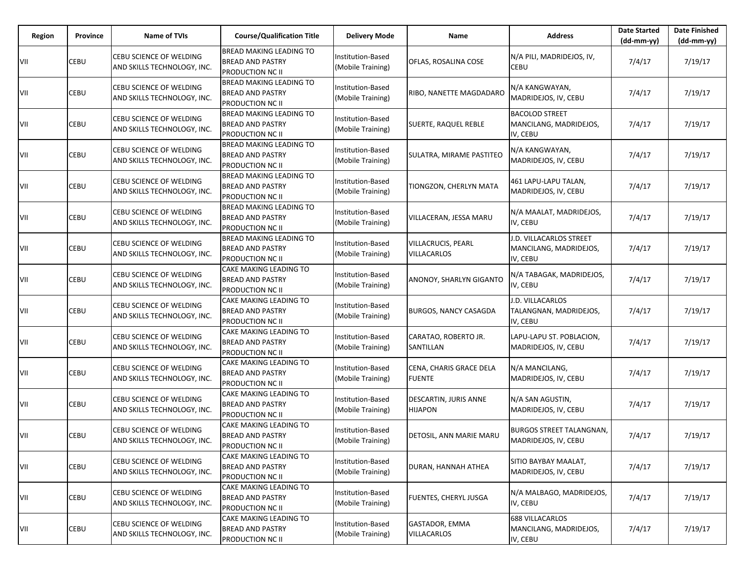| Region | Province | <b>Name of TVIs</b>                                           | <b>Course/Qualification Title</b>                                                    | <b>Delivery Mode</b>                          | Name                                     | <b>Address</b>                                                | <b>Date Started</b><br>$(dd-mm-yy)$ | <b>Date Finished</b><br>$(dd-mm-yy)$ |
|--------|----------|---------------------------------------------------------------|--------------------------------------------------------------------------------------|-----------------------------------------------|------------------------------------------|---------------------------------------------------------------|-------------------------------------|--------------------------------------|
| VII    | CEBU     | CEBU SCIENCE OF WELDING<br>AND SKILLS TECHNOLOGY, INC.        | <b>BREAD MAKING LEADING TO</b><br><b>BREAD AND PASTRY</b><br><b>PRODUCTION NC II</b> | Institution-Based<br>(Mobile Training)        | OFLAS, ROSALINA COSE                     | N/A PILI, MADRIDEJOS, IV,<br>CEBU                             | 7/4/17                              | 7/19/17                              |
| VII    | CEBU     | CEBU SCIENCE OF WELDING<br>AND SKILLS TECHNOLOGY, INC.        | <b>BREAD MAKING LEADING TO</b><br><b>BREAD AND PASTRY</b><br><b>PRODUCTION NC II</b> | Institution-Based<br>(Mobile Training)        | RIBO, NANETTE MAGDADARO                  | N/A KANGWAYAN,<br>MADRIDEJOS, IV, CEBU                        | 7/4/17                              | 7/19/17                              |
| VII    | CEBU     | CEBU SCIENCE OF WELDING<br>AND SKILLS TECHNOLOGY, INC.        | <b>BREAD MAKING LEADING TO</b><br><b>BREAD AND PASTRY</b><br><b>PRODUCTION NC II</b> | Institution-Based<br>(Mobile Training)        | SUERTE, RAQUEL REBLE                     | <b>BACOLOD STREET</b><br>MANCILANG, MADRIDEJOS,<br>IV, CEBU   | 7/4/17                              | 7/19/17                              |
| VII    | CEBU     | CEBU SCIENCE OF WELDING<br>AND SKILLS TECHNOLOGY, INC.        | <b>BREAD MAKING LEADING TO</b><br><b>BREAD AND PASTRY</b><br><b>PRODUCTION NC II</b> | Institution-Based<br>(Mobile Training)        | SULATRA, MIRAME PASTITEO                 | N/A KANGWAYAN,<br>MADRIDEJOS, IV, CEBU                        | 7/4/17                              | 7/19/17                              |
| VII    | CEBU     | CEBU SCIENCE OF WELDING<br>AND SKILLS TECHNOLOGY, INC.        | <b>BREAD MAKING LEADING TO</b><br><b>BREAD AND PASTRY</b><br>PRODUCTION NC II        | Institution-Based<br>(Mobile Training)        | TIONGZON, CHERLYN MATA                   | 461 LAPU-LAPU TALAN,<br>MADRIDEJOS, IV, CEBU                  | 7/4/17                              | 7/19/17                              |
| VII    | CEBU     | CEBU SCIENCE OF WELDING<br>AND SKILLS TECHNOLOGY, INC.        | <b>BREAD MAKING LEADING TO</b><br><b>BREAD AND PASTRY</b><br><b>PRODUCTION NC II</b> | Institution-Based<br>(Mobile Training)        | VILLACERAN, JESSA MARU                   | N/A MAALAT, MADRIDEJOS,<br>IV, CEBU                           | 7/4/17                              | 7/19/17                              |
| VII    | CEBU     | CEBU SCIENCE OF WELDING<br>AND SKILLS TECHNOLOGY, INC.        | <b>BREAD MAKING LEADING TO</b><br><b>BREAD AND PASTRY</b><br><b>PRODUCTION NC II</b> | Institution-Based<br>(Mobile Training)        | VILLACRUCIS, PEARL<br>VILLACARLOS        | J.D. VILLACARLOS STREET<br>MANCILANG, MADRIDEJOS,<br>IV, CEBU | 7/4/17                              | 7/19/17                              |
| VII    | CEBU     | CEBU SCIENCE OF WELDING<br>AND SKILLS TECHNOLOGY, INC.        | CAKE MAKING LEADING TO<br><b>BREAD AND PASTRY</b><br><b>PRODUCTION NC II</b>         | Institution-Based<br>(Mobile Training)        | ANONOY, SHARLYN GIGANTO                  | N/A TABAGAK, MADRIDEJOS,<br>IV, CEBU                          | 7/4/17                              | 7/19/17                              |
| VII    | CEBU     | CEBU SCIENCE OF WELDING<br>AND SKILLS TECHNOLOGY, INC.        | CAKE MAKING LEADING TO<br><b>BREAD AND PASTRY</b><br>PRODUCTION NC II                | Institution-Based<br>(Mobile Training)        | <b>BURGOS, NANCY CASAGDA</b>             | J.D. VILLACARLOS<br>TALANGNAN, MADRIDEJOS,<br>IV, CEBU        | 7/4/17                              | 7/19/17                              |
| VII    | CEBU     | CEBU SCIENCE OF WELDING<br>AND SKILLS TECHNOLOGY, INC.        | <b>CAKE MAKING LEADING TO</b><br><b>BREAD AND PASTRY</b><br><b>PRODUCTION NC II</b>  | Institution-Based<br>(Mobile Training)        | CARATAO, ROBERTO JR.<br>SANTILLAN        | LAPU-LAPU ST. POBLACION,<br>MADRIDEJOS, IV, CEBU              | 7/4/17                              | 7/19/17                              |
| VII    | CEBU     | CEBU SCIENCE OF WELDING<br>AND SKILLS TECHNOLOGY, INC.        | CAKE MAKING LEADING TO<br><b>BREAD AND PASTRY</b><br><b>PRODUCTION NC II</b>         | Institution-Based<br>(Mobile Training)        | CENA, CHARIS GRACE DELA<br><b>FUENTE</b> | N/A MANCILANG,<br>MADRIDEJOS, IV, CEBU                        | 7/4/17                              | 7/19/17                              |
| VII    | CEBU     | <b>CEBU SCIENCE OF WELDING</b><br>AND SKILLS TECHNOLOGY, INC. | CAKE MAKING LEADING TO<br><b>BREAD AND PASTRY</b><br><b>PRODUCTION NC II</b>         | Institution-Based<br>(Mobile Training)        | DESCARTIN, JURIS ANNE<br><b>HIJAPON</b>  | N/A SAN AGUSTIN,<br>MADRIDEJOS, IV, CEBU                      | 7/4/17                              | 7/19/17                              |
| VII    | CEBU     | CEBU SCIENCE OF WELDING<br>AND SKILLS TECHNOLOGY, INC.        | CAKE MAKING LEADING TO<br><b>BREAD AND PASTRY</b><br>PRODUCTION NC II                | Institution-Based<br>(Mobile Training)        | DETOSIL, ANN MARIE MARU                  | <b>BURGOS STREET TALANGNAN,</b><br>MADRIDEJOS, IV, CEBU       | 7/4/17                              | 7/19/17                              |
| VII    | CEBU     | CEBU SCIENCE OF WELDING<br>AND SKILLS TECHNOLOGY, INC.        | CAKE MAKING LEADING TO<br><b>BREAD AND PASTRY</b><br><b>PRODUCTION NC II</b>         | Institution-Based<br>(Mobile Training)        | DURAN, HANNAH ATHEA                      | SITIO BAYBAY MAALAT,<br>MADRIDEJOS, IV, CEBU                  | 7/4/17                              | 7/19/17                              |
| VII    | CEBU     | CEBU SCIENCE OF WELDING<br>AND SKILLS TECHNOLOGY, INC.        | CAKE MAKING LEADING TO<br><b>BREAD AND PASTRY</b><br><b>PRODUCTION NC II</b>         | <b>Institution-Based</b><br>(Mobile Training) | FUENTES, CHERYL JUSGA                    | N/A MALBAGO, MADRIDEJOS,<br>IV, CEBU                          | 7/4/17                              | 7/19/17                              |
| VII    | CEBU     | CEBU SCIENCE OF WELDING<br>AND SKILLS TECHNOLOGY, INC.        | CAKE MAKING LEADING TO<br><b>BREAD AND PASTRY</b><br>PRODUCTION NC II                | Institution-Based<br>(Mobile Training)        | GASTADOR, EMMA<br><b>VILLACARLOS</b>     | <b>688 VILLACARLOS</b><br>MANCILANG, MADRIDEJOS,<br>IV, CEBU  | 7/4/17                              | 7/19/17                              |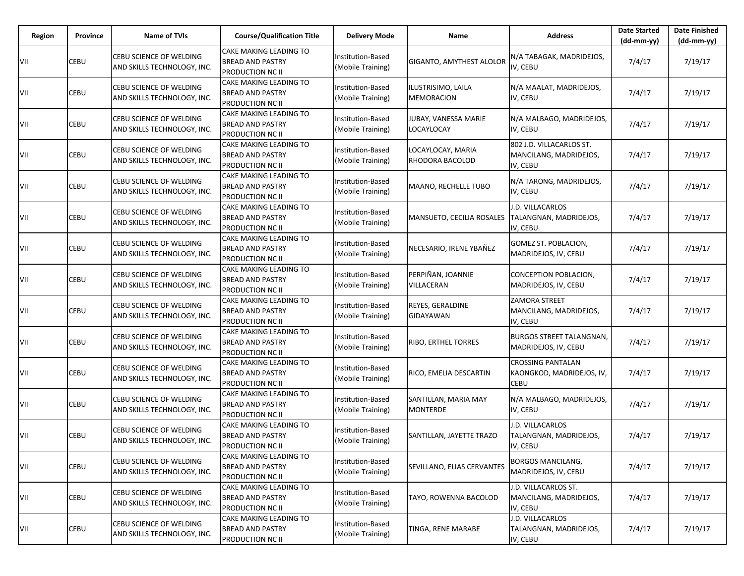| Region | Province | <b>Name of TVIs</b>                                           | <b>Course/Qualification Title</b>                                                   | <b>Delivery Mode</b>                          | Name                                    | <b>Address</b>                                                 | <b>Date Started</b><br>$(dd-mm-yy)$ | <b>Date Finished</b><br>$(dd-mm-yy)$ |
|--------|----------|---------------------------------------------------------------|-------------------------------------------------------------------------------------|-----------------------------------------------|-----------------------------------------|----------------------------------------------------------------|-------------------------------------|--------------------------------------|
| VII    | CEBU     | CEBU SCIENCE OF WELDING<br>AND SKILLS TECHNOLOGY, INC.        | <b>CAKE MAKING LEADING TO</b><br><b>BREAD AND PASTRY</b><br><b>PRODUCTION NC II</b> | Institution-Based<br>(Mobile Training)        | GIGANTO, AMYTHEST ALOLOR                | N/A TABAGAK, MADRIDEJOS,<br>IV, CEBU                           | 7/4/17                              | 7/19/17                              |
| VII    | CEBU     | CEBU SCIENCE OF WELDING<br>AND SKILLS TECHNOLOGY, INC.        | <b>CAKE MAKING LEADING TO</b><br><b>BREAD AND PASTRY</b><br><b>PRODUCTION NC II</b> | Institution-Based<br>(Mobile Training)        | ILUSTRISIMO, LAILA<br>MEMORACION        | N/A MAALAT, MADRIDEJOS,<br>IV, CEBU                            | 7/4/17                              | 7/19/17                              |
| VII    | CEBU     | CEBU SCIENCE OF WELDING<br>AND SKILLS TECHNOLOGY, INC.        | <b>CAKE MAKING LEADING TO</b><br><b>BREAD AND PASTRY</b><br><b>PRODUCTION NC II</b> | Institution-Based<br>(Mobile Training)        | JUBAY, VANESSA MARIE<br>LOCAYLOCAY      | N/A MALBAGO, MADRIDEJOS,<br>IV, CEBU                           | 7/4/17                              | 7/19/17                              |
| VII    | CEBU     | CEBU SCIENCE OF WELDING<br>AND SKILLS TECHNOLOGY, INC.        | <b>CAKE MAKING LEADING TO</b><br><b>BREAD AND PASTRY</b><br><b>PRODUCTION NC II</b> | Institution-Based<br>(Mobile Training)        | LOCAYLOCAY, MARIA<br>RHODORA BACOLOD    | 802 J.D. VILLACARLOS ST.<br>MANCILANG, MADRIDEJOS,<br>IV, CEBU | 7/4/17                              | 7/19/17                              |
| VII    | CEBU     | CEBU SCIENCE OF WELDING<br>AND SKILLS TECHNOLOGY, INC.        | <b>CAKE MAKING LEADING TO</b><br><b>BREAD AND PASTRY</b><br><b>PRODUCTION NC II</b> | Institution-Based<br>(Mobile Training)        | MAANO, RECHELLE TUBO                    | N/A TARONG, MADRIDEJOS,<br>IV, CEBU                            | 7/4/17                              | 7/19/17                              |
| VII    | CEBU     | CEBU SCIENCE OF WELDING<br>AND SKILLS TECHNOLOGY, INC.        | <b>CAKE MAKING LEADING TO</b><br><b>BREAD AND PASTRY</b><br><b>PRODUCTION NC II</b> | Institution-Based<br>(Mobile Training)        | MANSUETO, CECILIA ROSALES               | J.D. VILLACARLOS<br>TALANGNAN, MADRIDEJOS,<br>IV, CEBU         | 7/4/17                              | 7/19/17                              |
| VII    | CEBU     | CEBU SCIENCE OF WELDING<br>AND SKILLS TECHNOLOGY, INC.        | <b>CAKE MAKING LEADING TO</b><br><b>BREAD AND PASTRY</b><br><b>PRODUCTION NC II</b> | Institution-Based<br>(Mobile Training)        | NECESARIO, IRENE YBAÑEZ                 | GOMEZ ST. POBLACION,<br>MADRIDEJOS, IV, CEBU                   | 7/4/17                              | 7/19/17                              |
| VII    | CEBU     | CEBU SCIENCE OF WELDING<br>AND SKILLS TECHNOLOGY, INC.        | <b>CAKE MAKING LEADING TO</b><br><b>BREAD AND PASTRY</b><br><b>PRODUCTION NC II</b> | Institution-Based<br>(Mobile Training)        | PERPIÑAN, JOANNIE<br>VILLACERAN         | CONCEPTION POBLACION,<br>MADRIDEJOS, IV, CEBU                  | 7/4/17                              | 7/19/17                              |
| VII    | CEBU     | CEBU SCIENCE OF WELDING<br>AND SKILLS TECHNOLOGY, INC.        | CAKE MAKING LEADING TO<br><b>BREAD AND PASTRY</b><br>PRODUCTION NC II               | Institution-Based<br>(Mobile Training)        | REYES, GERALDINE<br>GIDAYAWAN           | ZAMORA STREET<br>MANCILANG, MADRIDEJOS,<br>IV, CEBU            | 7/4/17                              | 7/19/17                              |
| VII    | CEBU     | CEBU SCIENCE OF WELDING<br>AND SKILLS TECHNOLOGY, INC.        | <b>CAKE MAKING LEADING TO</b><br><b>BREAD AND PASTRY</b><br><b>PRODUCTION NC II</b> | Institution-Based<br>(Mobile Training)        | RIBO, ERTHEL TORRES                     | <b>BURGOS STREET TALANGNAN,</b><br>MADRIDEJOS, IV, CEBU        | 7/4/17                              | 7/19/17                              |
| VII    | CEBU     | CEBU SCIENCE OF WELDING<br>AND SKILLS TECHNOLOGY, INC.        | CAKE MAKING LEADING TO<br><b>BREAD AND PASTRY</b><br><b>PRODUCTION NC II</b>        | Institution-Based<br>(Mobile Training)        | RICO, EMELIA DESCARTIN                  | <b>CROSSING PANTALAN</b><br>KAONGKOD, MADRIDEJOS, IV,<br>CEBU  | 7/4/17                              | 7/19/17                              |
| VII    | CEBU     | <b>CEBU SCIENCE OF WELDING</b><br>AND SKILLS TECHNOLOGY, INC. | CAKE MAKING LEADING TO<br><b>BREAD AND PASTRY</b><br><b>PRODUCTION NC II</b>        | Institution-Based<br>(Mobile Training)        | SANTILLAN, MARIA MAY<br><b>MONTERDE</b> | N/A MALBAGO, MADRIDEJOS,<br>IV, CEBU                           | 7/4/17                              | 7/19/17                              |
| VII    | CEBU     | CEBU SCIENCE OF WELDING<br>AND SKILLS TECHNOLOGY, INC.        | CAKE MAKING LEADING TO<br><b>BREAD AND PASTRY</b><br>PRODUCTION NC II               | Institution-Based<br>(Mobile Training)        | SANTILLAN, JAYETTE TRAZO                | J.D. VILLACARLOS<br>TALANGNAN, MADRIDEJOS,<br>IV, CEBU         | 7/4/17                              | 7/19/17                              |
| VII    | CEBU     | CEBU SCIENCE OF WELDING<br>AND SKILLS TECHNOLOGY, INC.        | CAKE MAKING LEADING TO<br><b>BREAD AND PASTRY</b><br><b>PRODUCTION NC II</b>        | Institution-Based<br>(Mobile Training)        | SEVILLANO, ELIAS CERVANTES              | <b>BORGOS MANCILANG,</b><br>MADRIDEJOS, IV, CEBU               | 7/4/17                              | 7/19/17                              |
| VII    | CEBU     | CEBU SCIENCE OF WELDING<br>AND SKILLS TECHNOLOGY, INC.        | CAKE MAKING LEADING TO<br><b>BREAD AND PASTRY</b><br><b>PRODUCTION NC II</b>        | <b>Institution-Based</b><br>(Mobile Training) | TAYO, ROWENNA BACOLOD                   | J.D. VILLACARLOS ST.<br>MANCILANG, MADRIDEJOS,<br>IV, CEBU     | 7/4/17                              | 7/19/17                              |
| VII    | CEBU     | CEBU SCIENCE OF WELDING<br>AND SKILLS TECHNOLOGY, INC.        | <b>CAKE MAKING LEADING TO</b><br><b>BREAD AND PASTRY</b><br>PRODUCTION NC II        | Institution-Based<br>(Mobile Training)        | TINGA, RENE MARABE                      | J.D. VILLACARLOS<br>TALANGNAN, MADRIDEJOS,<br>IV, CEBU         | 7/4/17                              | 7/19/17                              |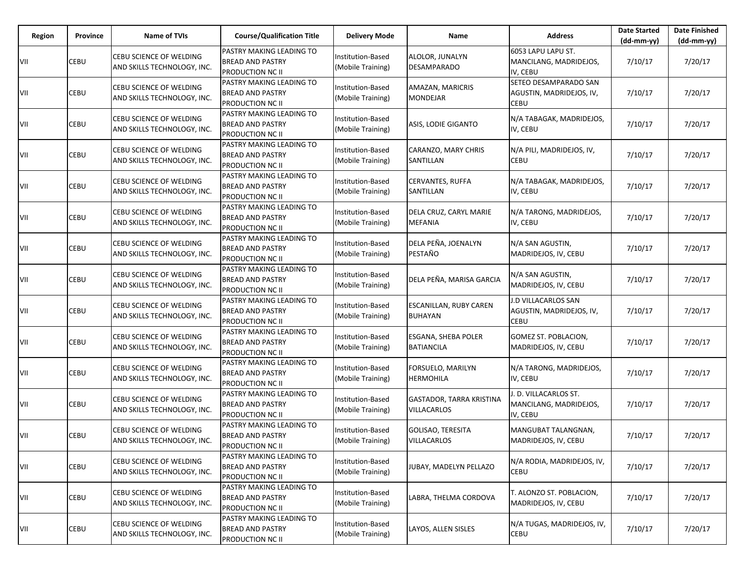| Region | Province | <b>Name of TVIs</b>                                    | <b>Course/Qualification Title</b>                                                     | <b>Delivery Mode</b>                          | Name                                           | <b>Address</b>                                             | <b>Date Started</b><br>$(dd-mm-yy)$ | <b>Date Finished</b><br>$(dd-mm-yy)$ |
|--------|----------|--------------------------------------------------------|---------------------------------------------------------------------------------------|-----------------------------------------------|------------------------------------------------|------------------------------------------------------------|-------------------------------------|--------------------------------------|
| VII    | CEBU     | CEBU SCIENCE OF WELDING<br>AND SKILLS TECHNOLOGY, INC. | PASTRY MAKING LEADING TO<br><b>BREAD AND PASTRY</b><br><b>PRODUCTION NC II</b>        | Institution-Based<br>(Mobile Training)        | ALOLOR, JUNALYN<br>DESAMPARADO                 | 6053 LAPU LAPU ST.<br>MANCILANG, MADRIDEJOS,<br>IV, CEBU   | 7/10/17                             | 7/20/17                              |
| VII    | CEBU     | CEBU SCIENCE OF WELDING<br>AND SKILLS TECHNOLOGY, INC. | <b>PASTRY MAKING LEADING TO</b><br><b>BREAD AND PASTRY</b><br><b>PRODUCTION NC II</b> | Institution-Based<br>(Mobile Training)        | AMAZAN, MARICRIS<br>MONDEJAR                   | SETEO DESAMPARADO SAN<br>AGUSTIN, MADRIDEJOS, IV,<br>CEBU  | 7/10/17                             | 7/20/17                              |
| VII    | CEBU     | CEBU SCIENCE OF WELDING<br>AND SKILLS TECHNOLOGY, INC. | PASTRY MAKING LEADING TO<br><b>BREAD AND PASTRY</b><br><b>PRODUCTION NC II</b>        | Institution-Based<br>(Mobile Training)        | ASIS, LODIE GIGANTO                            | N/A TABAGAK, MADRIDEJOS,<br>IV, CEBU                       | 7/10/17                             | 7/20/17                              |
| VII    | CEBU     | CEBU SCIENCE OF WELDING<br>AND SKILLS TECHNOLOGY, INC. | PASTRY MAKING LEADING TO<br><b>BREAD AND PASTRY</b><br><b>PRODUCTION NC II</b>        | Institution-Based<br>(Mobile Training)        | CARANZO, MARY CHRIS<br>SANTILLAN               | N/A PILI, MADRIDEJOS, IV,<br>CEBU                          | 7/10/17                             | 7/20/17                              |
| VII    | CEBU     | CEBU SCIENCE OF WELDING<br>AND SKILLS TECHNOLOGY, INC. | PASTRY MAKING LEADING TO<br><b>BREAD AND PASTRY</b><br>PRODUCTION NC II               | Institution-Based<br>(Mobile Training)        | CERVANTES, RUFFA<br>SANTILLAN                  | N/A TABAGAK, MADRIDEJOS,<br>IV, CEBU                       | 7/10/17                             | 7/20/17                              |
| VII    | CEBU     | CEBU SCIENCE OF WELDING<br>AND SKILLS TECHNOLOGY, INC. | PASTRY MAKING LEADING TO<br><b>BREAD AND PASTRY</b><br><b>PRODUCTION NC II</b>        | Institution-Based<br>(Mobile Training)        | DELA CRUZ, CARYL MARIE<br><b>MEFANIA</b>       | N/A TARONG, MADRIDEJOS,<br>IV, CEBU                        | 7/10/17                             | 7/20/17                              |
| VII    | CEBU     | CEBU SCIENCE OF WELDING<br>AND SKILLS TECHNOLOGY, INC. | PASTRY MAKING LEADING TO<br><b>BREAD AND PASTRY</b><br>PRODUCTION NC II               | Institution-Based<br>(Mobile Training)        | DELA PEÑA, JOENALYN<br>PESTAÑO                 | N/A SAN AGUSTIN,<br>MADRIDEJOS, IV, CEBU                   | 7/10/17                             | 7/20/17                              |
| VII    | CEBU     | CEBU SCIENCE OF WELDING<br>AND SKILLS TECHNOLOGY, INC. | PASTRY MAKING LEADING TO<br><b>BREAD AND PASTRY</b><br><b>PRODUCTION NC II</b>        | Institution-Based<br>(Mobile Training)        | DELA PEÑA, MARISA GARCIA                       | N/A SAN AGUSTIN,<br>MADRIDEJOS, IV, CEBU                   | 7/10/17                             | 7/20/17                              |
| VII    | CEBU     | CEBU SCIENCE OF WELDING<br>AND SKILLS TECHNOLOGY, INC. | PASTRY MAKING LEADING TO<br><b>BREAD AND PASTRY</b><br>PRODUCTION NC II               | Institution-Based<br>(Mobile Training)        | ESCANILLAN, RUBY CAREN<br><b>BUHAYAN</b>       | J.D VILLACARLOS SAN<br>AGUSTIN, MADRIDEJOS, IV,<br>CEBU    | 7/10/17                             | 7/20/17                              |
| VII    | CEBU     | CEBU SCIENCE OF WELDING<br>AND SKILLS TECHNOLOGY, INC. | PASTRY MAKING LEADING TO<br><b>BREAD AND PASTRY</b><br>PRODUCTION NC II               | Institution-Based<br>(Mobile Training)        | ESGANA, SHEBA POLER<br><b>BATIANCILA</b>       | GOMEZ ST. POBLACION,<br>MADRIDEJOS, IV, CEBU               | 7/10/17                             | 7/20/17                              |
| VII    | CEBU     | CEBU SCIENCE OF WELDING<br>AND SKILLS TECHNOLOGY, INC. | PASTRY MAKING LEADING TO<br><b>BREAD AND PASTRY</b><br><b>PRODUCTION NC II</b>        | Institution-Based<br>(Mobile Training)        | FORSUELO, MARILYN<br><b>HERMOHILA</b>          | N/A TARONG, MADRIDEJOS,<br>IV, CEBU                        | 7/10/17                             | 7/20/17                              |
| VII    | CEBU     | CEBU SCIENCE OF WELDING<br>AND SKILLS TECHNOLOGY, INC. | PASTRY MAKING LEADING TO<br><b>BREAD AND PASTRY</b><br><b>PRODUCTION NC II</b>        | Institution-Based<br>(Mobile Training)        | GASTADOR, TARRA KRISTINA<br>VILLACARLOS        | . D. VILLACARLOS ST.<br>MANCILANG, MADRIDEJOS,<br>IV, CEBU | 7/10/17                             | 7/20/17                              |
| VII    | CEBU     | CEBU SCIENCE OF WELDING<br>AND SKILLS TECHNOLOGY, INC. | PASTRY MAKING LEADING TO<br><b>BREAD AND PASTRY</b><br>PRODUCTION NC II               | <b>Institution-Based</b><br>(Mobile Training) | <b>GOLISAO, TERESITA</b><br><b>VILLACARLOS</b> | MANGUBAT TALANGNAN,<br>MADRIDEJOS, IV, CEBU                | 7/10/17                             | 7/20/17                              |
| VII    | CEBU     | CEBU SCIENCE OF WELDING<br>AND SKILLS TECHNOLOGY, INC. | PASTRY MAKING LEADING TO<br><b>BREAD AND PASTRY</b><br><b>PRODUCTION NC II</b>        | Institution-Based<br>(Mobile Training)        | JUBAY, MADELYN PELLAZO                         | N/A RODIA, MADRIDEJOS, IV,<br><b>CEBU</b>                  | 7/10/17                             | 7/20/17                              |
| VII    | CEBU     | CEBU SCIENCE OF WELDING<br>AND SKILLS TECHNOLOGY, INC. | PASTRY MAKING LEADING TO<br><b>BREAD AND PASTRY</b><br><b>PRODUCTION NC II</b>        | Institution-Based<br>(Mobile Training)        | LABRA, THELMA CORDOVA                          | T. ALONZO ST. POBLACION,<br>MADRIDEJOS, IV, CEBU           | 7/10/17                             | 7/20/17                              |
| VII    | CEBU     | CEBU SCIENCE OF WELDING<br>AND SKILLS TECHNOLOGY, INC. | PASTRY MAKING LEADING TO<br><b>BREAD AND PASTRY</b><br><b>PRODUCTION NC II</b>        | Institution-Based<br>(Mobile Training)        | LAYOS, ALLEN SISLES                            | N/A TUGAS, MADRIDEJOS, IV,<br><b>CEBU</b>                  | 7/10/17                             | 7/20/17                              |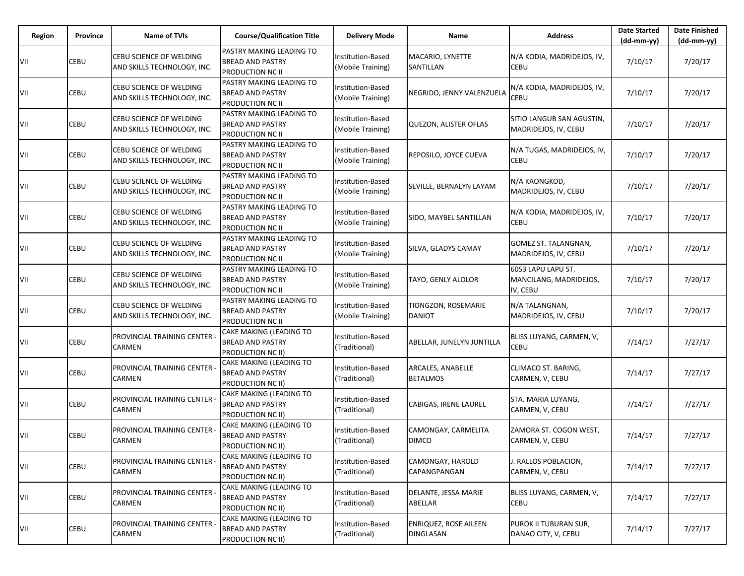| Region | <b>Province</b> | <b>Name of TVIs</b>                                           | <b>Course/Qualification Title</b>                                       | <b>Delivery Mode</b>                          | Name                                      | <b>Address</b>                                           | <b>Date Started</b><br>$(dd-mm-yy)$ | <b>Date Finished</b><br>(dd-mm-yy) |
|--------|-----------------|---------------------------------------------------------------|-------------------------------------------------------------------------|-----------------------------------------------|-------------------------------------------|----------------------------------------------------------|-------------------------------------|------------------------------------|
| VII    | CEBU            | CEBU SCIENCE OF WELDING<br>AND SKILLS TECHNOLOGY, INC.        | PASTRY MAKING LEADING TO<br><b>BREAD AND PASTRY</b><br>PRODUCTION NC II | Institution-Based<br>(Mobile Training)        | MACARIO, LYNETTE<br>SANTILLAN             | N/A KODIA, MADRIDEJOS, IV,<br>CEBU                       | 7/10/17                             | 7/20/17                            |
| VII    | CEBU            | CEBU SCIENCE OF WELDING<br>AND SKILLS TECHNOLOGY, INC.        | PASTRY MAKING LEADING TO<br>BREAD AND PASTRY<br>PRODUCTION NC II        | <b>Institution-Based</b><br>(Mobile Training) | NEGRIDO, JENNY VALENZUELA                 | N/A KODIA, MADRIDEJOS, IV,<br><b>CEBU</b>                | 7/10/17                             | 7/20/17                            |
| VII    | CEBU            | <b>CEBU SCIENCE OF WELDING</b><br>AND SKILLS TECHNOLOGY, INC. | PASTRY MAKING LEADING TO<br><b>BREAD AND PASTRY</b><br>PRODUCTION NC II | Institution-Based<br>(Mobile Training)        | <b>QUEZON, ALISTER OFLAS</b>              | SITIO LANGUB SAN AGUSTIN,<br>MADRIDEJOS, IV, CEBU        | 7/10/17                             | 7/20/17                            |
| VII    | CEBU            | CEBU SCIENCE OF WELDING<br>AND SKILLS TECHNOLOGY, INC.        | PASTRY MAKING LEADING TO<br>BREAD AND PASTRY<br>PRODUCTION NC II        | Institution-Based<br>(Mobile Training)        | REPOSILO, JOYCE CUEVA                     | N/A TUGAS, MADRIDEJOS, IV,<br><b>CEBU</b>                | 7/10/17                             | 7/20/17                            |
| VII    | CEBU            | CEBU SCIENCE OF WELDING<br>AND SKILLS TECHNOLOGY, INC.        | PASTRY MAKING LEADING TO<br><b>BREAD AND PASTRY</b><br>PRODUCTION NC II | <b>Institution-Based</b><br>(Mobile Training) | SEVILLE, BERNALYN LAYAM                   | N/A KAONGKOD,<br>MADRIDEJOS, IV, CEBU                    | 7/10/17                             | 7/20/17                            |
| VII    | CEBU            | CEBU SCIENCE OF WELDING<br>AND SKILLS TECHNOLOGY, INC.        | PASTRY MAKING LEADING TO<br><b>BREAD AND PASTRY</b><br>PRODUCTION NC II | Institution-Based<br>(Mobile Training)        | SIDO, MAYBEL SANTILLAN                    | N/A KODIA, MADRIDEJOS, IV,<br><b>CEBU</b>                | 7/10/17                             | 7/20/17                            |
| VII    | CEBU            | CEBU SCIENCE OF WELDING<br>AND SKILLS TECHNOLOGY, INC.        | PASTRY MAKING LEADING TO<br><b>BREAD AND PASTRY</b><br>PRODUCTION NC II | <b>Institution-Based</b><br>(Mobile Training) | SILVA, GLADYS CAMAY                       | GOMEZ ST. TALANGNAN,<br>MADRIDEJOS, IV, CEBU             | 7/10/17                             | 7/20/17                            |
| VII    | CEBU            | CEBU SCIENCE OF WELDING<br>AND SKILLS TECHNOLOGY, INC.        | PASTRY MAKING LEADING TO<br><b>BREAD AND PASTRY</b><br>PRODUCTION NC II | Institution-Based<br>(Mobile Training)        | TAYO, GENLY ALOLOR                        | 6053 LAPU LAPU ST.<br>MANCILANG, MADRIDEJOS,<br>IV, CEBU | 7/10/17                             | 7/20/17                            |
| VII    | CEBU            | CEBU SCIENCE OF WELDING<br>AND SKILLS TECHNOLOGY, INC.        | PASTRY MAKING LEADING TO<br><b>BREAD AND PASTRY</b><br>PRODUCTION NC II | <b>Institution-Based</b><br>(Mobile Training) | TIONGZON, ROSEMARIE<br><b>DANIOT</b>      | N/A TALANGNAN,<br>MADRIDEJOS, IV, CEBU                   | 7/10/17                             | 7/20/17                            |
| VII    | CEBU            | PROVINCIAL TRAINING CENTER<br><b>CARMEN</b>                   | CAKE MAKING (LEADING TO<br><b>BREAD AND PASTRY</b><br>PRODUCTION NC II) | Institution-Based<br>(Traditional)            | ABELLAR, JUNELYN JUNTILLA                 | BLISS LUYANG, CARMEN, V,<br><b>CEBU</b>                  | 7/14/17                             | 7/27/17                            |
| VII    | CEBU            | PROVINCIAL TRAINING CENTER -<br><b>CARMEN</b>                 | CAKE MAKING (LEADING TO<br><b>BREAD AND PASTRY</b><br>PRODUCTION NC II) | Institution-Based<br>(Traditional)            | ARCALES, ANABELLE<br><b>BETALMOS</b>      | CLIMACO ST. BARING,<br>CARMEN, V, CEBU                   | 7/14/17                             | 7/27/17                            |
| VII    | CEBU            | PROVINCIAL TRAINING CENTER<br><b>CARMEN</b>                   | CAKE MAKING (LEADING TO<br><b>BREAD AND PASTRY</b><br>PRODUCTION NC II) | Institution-Based<br>(Traditional)            | CABIGAS, IRENE LAUREL                     | STA. MARIA LUYANG,<br>CARMEN, V, CEBU                    | 7/14/17                             | 7/27/17                            |
| VII    | CEBU            | PROVINCIAL TRAINING CENTER<br><b>CARMEN</b>                   | CAKE MAKING (LEADING TO<br>BREAD AND PASTRY<br>PRODUCTION NC II)        | nstitution-Based<br>(Traditional)             | CAMONGAY, CARMELITA<br><b>DIMCO</b>       | ZAMORA ST. COGON WEST,<br>CARMEN, V, CEBU                | 7/14/17                             | 7/27/17                            |
| VII    | CEBU            | PROVINCIAL TRAINING CENTER<br><b>CARMEN</b>                   | CAKE MAKING (LEADING TO<br><b>BREAD AND PASTRY</b><br>PRODUCTION NC II) | Institution-Based<br>(Traditional)            | CAMONGAY, HAROLD<br>CAPANGPANGAN          | J. RALLOS POBLACION,<br>CARMEN, V, CEBU                  | 7/14/17                             | 7/27/17                            |
| VII    | CEBU            | PROVINCIAL TRAINING CENTER -<br><b>CARMEN</b>                 | CAKE MAKING (LEADING TO<br><b>BREAD AND PASTRY</b><br>PRODUCTION NC II) | Institution-Based<br>(Traditional)            | DELANTE, JESSA MARIE<br>ABELLAR           | BLISS LUYANG, CARMEN, V,<br>CEBU                         | 7/14/17                             | 7/27/17                            |
| VII    | CEBU            | PROVINCIAL TRAINING CENTER<br>CARMEN                          | CAKE MAKING (LEADING TO<br><b>BREAD AND PASTRY</b><br>PRODUCTION NC II) | Institution-Based<br>(Traditional)            | ENRIQUEZ, ROSE AILEEN<br><b>DINGLASAN</b> | PUROK II TUBURAN SUR,<br>DANAO CITY, V, CEBU             | 7/14/17                             | 7/27/17                            |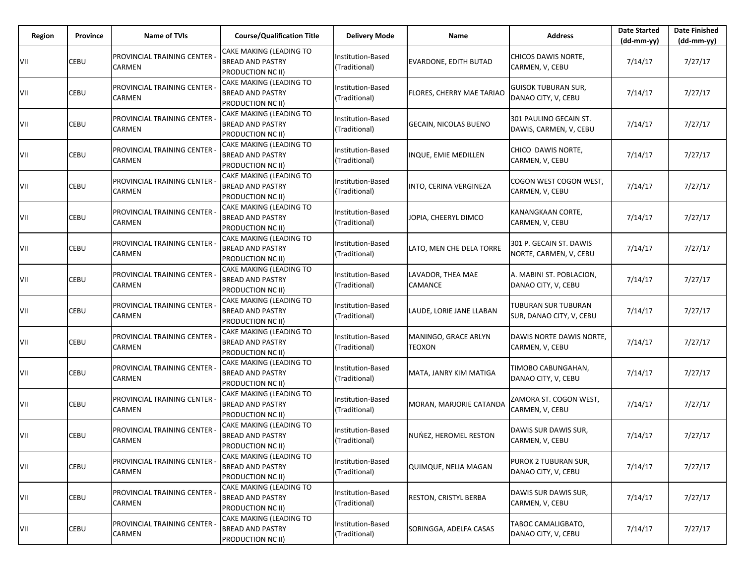| Region | Province | <b>Name of TVIs</b>                                  | <b>Course/Qualification Title</b>                                       | <b>Delivery Mode</b>                      | Name                           | <b>Address</b>                                    | <b>Date Started</b><br>$(dd-mm-yy)$ | <b>Date Finished</b><br>(dd-mm-yy) |
|--------|----------|------------------------------------------------------|-------------------------------------------------------------------------|-------------------------------------------|--------------------------------|---------------------------------------------------|-------------------------------------|------------------------------------|
| VII    | CEBU     | PROVINCIAL TRAINING CENTER -<br><b>CARMEN</b>        | CAKE MAKING (LEADING TO<br><b>BREAD AND PASTRY</b><br>PRODUCTION NC II) | Institution-Based<br>(Traditional)        | EVARDONE, EDITH BUTAD          | CHICOS DAWIS NORTE,<br>CARMEN, V, CEBU            | 7/14/17                             | 7/27/17                            |
| VII    | CEBU     | PROVINCIAL TRAINING CENTER<br>CARMEN                 | CAKE MAKING (LEADING TO<br><b>BREAD AND PASTRY</b><br>PRODUCTION NC II) | Institution-Based<br>(Traditional)        | FLORES, CHERRY MAE TARIAO      | GUISOK TUBURAN SUR,<br>DANAO CITY, V, CEBU        | 7/14/17                             | 7/27/17                            |
| VII    | CEBU     | <b>PROVINCIAL TRAINING CENTER -</b><br>CARMEN        | CAKE MAKING (LEADING TO<br><b>BREAD AND PASTRY</b><br>PRODUCTION NC II) | Institution-Based<br>(Traditional)        | GECAIN, NICOLAS BUENO          | 301 PAULINO GECAIN ST.<br>DAWIS, CARMEN, V, CEBU  | 7/14/17                             | 7/27/17                            |
| VII    | CEBU     | PROVINCIAL TRAINING CENTER -<br>CARMEN               | CAKE MAKING (LEADING TO<br><b>BREAD AND PASTRY</b><br>PRODUCTION NC II) | Institution-Based<br>(Traditional)        | INQUE, EMIE MEDILLEN           | CHICO DAWIS NORTE.<br>CARMEN, V, CEBU             | 7/14/17                             | 7/27/17                            |
| VII    | CEBU     | PROVINCIAL TRAINING CENTER -<br>CARMEN               | CAKE MAKING (LEADING TO<br><b>BREAD AND PASTRY</b><br>PRODUCTION NC II) | <b>Institution-Based</b><br>(Traditional) | INTO, CERINA VERGINEZA         | COGON WEST COGON WEST,<br>CARMEN, V, CEBU         | 7/14/17                             | 7/27/17                            |
| VII    | CEBU     | <b>PROVINCIAL TRAINING CENTER -</b><br><b>CARMEN</b> | CAKE MAKING (LEADING TO<br><b>BREAD AND PASTRY</b><br>PRODUCTION NC II) | <b>Institution-Based</b><br>(Traditional) | JOPIA, CHEERYL DIMCO           | KANANGKAAN CORTE,<br>CARMEN, V, CEBU              | 7/14/17                             | 7/27/17                            |
| VII    | CEBU     | PROVINCIAL TRAINING CENTER -<br><b>CARMEN</b>        | CAKE MAKING (LEADING TO<br><b>BREAD AND PASTRY</b><br>PRODUCTION NC II) | Institution-Based<br>(Traditional)        | LATO, MEN CHE DELA TORRE       | 301 P. GECAIN ST. DAWIS<br>NORTE, CARMEN, V, CEBU | 7/14/17                             | 7/27/17                            |
| VII    | CEBU     | PROVINCIAL TRAINING CENTER<br>CARMEN                 | CAKE MAKING (LEADING TO<br><b>BREAD AND PASTRY</b><br>PRODUCTION NC II) | Institution-Based<br>(Traditional)        | LAVADOR, THEA MAE<br>CAMANCE   | A. MABINI ST. POBLACION,<br>DANAO CITY, V, CEBU   | 7/14/17                             | 7/27/17                            |
| VII    | CEBU     | PROVINCIAL TRAINING CENTER -<br><b>CARMEN</b>        | CAKE MAKING (LEADING TO<br><b>BREAD AND PASTRY</b><br>PRODUCTION NC II) | Institution-Based<br>(Traditional)        | LAUDE, LORIE JANE LLABAN       | TUBURAN SUR TUBURAN<br>SUR, DANAO CITY, V, CEBU   | 7/14/17                             | 7/27/17                            |
| VII    | CEBU     | PROVINCIAL TRAINING CENTER<br><b>CARMEN</b>          | CAKE MAKING (LEADING TO<br><b>BREAD AND PASTRY</b><br>PRODUCTION NC II) | Institution-Based<br>(Traditional)        | MANINGO, GRACE ARLYN<br>TEOXON | DAWIS NORTE DAWIS NORTE,<br>CARMEN, V, CEBU       | 7/14/17                             | 7/27/17                            |
| VII    | CEBU     | PROVINCIAL TRAINING CENTER -<br><b>CARMEN</b>        | CAKE MAKING (LEADING TO<br><b>BREAD AND PASTRY</b><br>PRODUCTION NC II) | Institution-Based<br>(Traditional)        | MATA, JANRY KIM MATIGA         | TIMOBO CABUNGAHAN,<br>DANAO CITY, V, CEBU         | 7/14/17                             | 7/27/17                            |
| VII    | CEBU     | PROVINCIAL TRAINING CENTER<br><b>CARMEN</b>          | CAKE MAKING (LEADING TO<br><b>BREAD AND PASTRY</b><br>PRODUCTION NC II) | Institution-Based<br>(Traditional)        | MORAN, MARJORIE CATANDA        | ZAMORA ST. COGON WEST,<br>CARMEN, V, CEBU         | 7/14/17                             | 7/27/17                            |
| VII    | CEBU     | PROVINCIAL TRAINING CENTER<br><b>CARMEN</b>          | CAKE MAKING (LEADING TO<br>BREAD AND PASTRY<br>PRODUCTION NC II)        | nstitution-Based<br>(Traditional)         | NUNEZ, HEROMEL RESTON          | DAWIS SUR DAWIS SUR,<br>CARMEN, V, CEBU           | 7/14/17                             | 7/27/17                            |
| VII    | CEBU     | PROVINCIAL TRAINING CENTER<br><b>CARMEN</b>          | CAKE MAKING (LEADING TO<br><b>BREAD AND PASTRY</b><br>PRODUCTION NC II) | Institution-Based<br>(Traditional)        | QUIMQUE, NELIA MAGAN           | PUROK 2 TUBURAN SUR,<br>DANAO CITY, V, CEBU       | 7/14/17                             | 7/27/17                            |
| VII    | CEBU     | PROVINCIAL TRAINING CENTER -<br><b>CARMEN</b>        | CAKE MAKING (LEADING TO<br><b>BREAD AND PASTRY</b><br>PRODUCTION NC II) | Institution-Based<br>(Traditional)        | RESTON, CRISTYL BERBA          | DAWIS SUR DAWIS SUR,<br>CARMEN, V, CEBU           | 7/14/17                             | 7/27/17                            |
| VII    | CEBU     | PROVINCIAL TRAINING CENTER<br><b>CARMEN</b>          | CAKE MAKING (LEADING TO<br><b>BREAD AND PASTRY</b><br>PRODUCTION NC II) | Institution-Based<br>(Traditional)        | SORINGGA, ADELFA CASAS         | TABOC CAMALIGBATO,<br>DANAO CITY, V, CEBU         | 7/14/17                             | 7/27/17                            |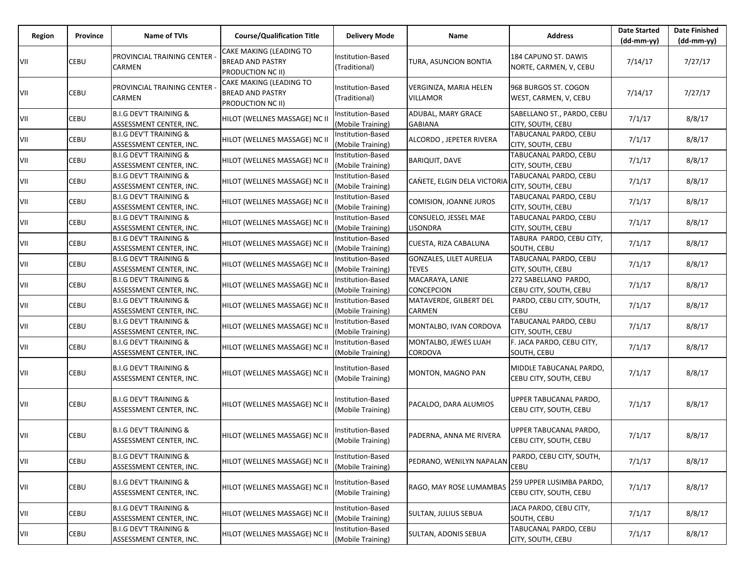| Region | Province | Name of TVIs                                                 | <b>Course/Qualification Title</b>                                       | <b>Delivery Mode</b>                   | Name                                           | <b>Address</b>                                     | <b>Date Started</b><br>(dd-mm-yy) | <b>Date Finished</b><br>$(dd-mm-yy)$ |
|--------|----------|--------------------------------------------------------------|-------------------------------------------------------------------------|----------------------------------------|------------------------------------------------|----------------------------------------------------|-----------------------------------|--------------------------------------|
| VII    | CEBU     | PROVINCIAL TRAINING CENTER -<br>CARMEN                       | CAKE MAKING (LEADING TO<br><b>BREAD AND PASTRY</b><br>PRODUCTION NC II) | Institution-Based<br>(Traditional)     | TURA, ASUNCION BONTIA                          | 184 CAPUNO ST. DAWIS<br>NORTE, CARMEN, V, CEBU     | 7/14/17                           | 7/27/17                              |
| VII    | CEBU     | PROVINCIAL TRAINING CENTER<br>CARMEN                         | CAKE MAKING (LEADING TO<br><b>BREAD AND PASTRY</b><br>PRODUCTION NC II) | Institution-Based<br>(Traditional)     | VERGINIZA, MARIA HELEN<br><b>VILLAMOR</b>      | 968 BURGOS ST. COGON<br>WEST, CARMEN, V, CEBU      | 7/14/17                           | 7/27/17                              |
| VII    | CEBU     | <b>B.I.G DEV'T TRAINING &amp;</b><br>ASSESSMENT CENTER, INC. | HILOT (WELLNES MASSAGE) NC II                                           | Institution-Based<br>(Mobile Training) | ADUBAL, MARY GRACE<br><b>GABIANA</b>           | SABELLANO ST., PARDO, CEBU<br>CITY, SOUTH, CEBU    | 7/1/17                            | 8/8/17                               |
| VII    | CEBU     | <b>B.I.G DEV'T TRAINING &amp;</b><br>ASSESSMENT CENTER, INC. | HILOT (WELLNES MASSAGE) NC II                                           | Institution-Based<br>(Mobile Training) | ALCORDO, JEPETER RIVERA                        | TABUCANAL PARDO, CEBU<br><b>CITY, SOUTH, CEBU</b>  | 7/1/17                            | 8/8/17                               |
| VII    | CEBU     | <b>B.I.G DEV'T TRAINING &amp;</b><br>ASSESSMENT CENTER, INC. | HILOT (WELLNES MASSAGE) NC II                                           | Institution-Based<br>(Mobile Training) | <b>BARIQUIT, DAVE</b>                          | TABUCANAL PARDO, CEBU<br><b>CITY, SOUTH, CEBU</b>  | 7/1/17                            | 8/8/17                               |
| VII    | CEBU     | <b>B.I.G DEV'T TRAINING &amp;</b><br>ASSESSMENT CENTER, INC. | HILOT (WELLNES MASSAGE) NC II                                           | Institution-Based<br>(Mobile Training) | CANETE, ELGIN DELA VICTORIA                    | TABUCANAL PARDO, CEBU<br><b>CITY, SOUTH, CEBU</b>  | 7/1/17                            | 8/8/17                               |
| VII    | CEBU     | <b>B.I.G DEV'T TRAINING &amp;</b><br>ASSESSMENT CENTER, INC. | HILOT (WELLNES MASSAGE) NC II                                           | Institution-Based<br>(Mobile Training) | COMISION, JOANNE JUROS                         | TABUCANAL PARDO, CEBU<br><b>CITY, SOUTH, CEBU</b>  | 7/1/17                            | 8/8/17                               |
| VII    | CEBU     | <b>B.I.G DEV'T TRAINING &amp;</b><br>ASSESSMENT CENTER, INC. | HILOT (WELLNES MASSAGE) NC II                                           | Institution-Based<br>(Mobile Training) | CONSUELO, JESSEL MAE<br>LISONDRA               | TABUCANAL PARDO, CEBU<br>CITY, SOUTH, CEBU         | 7/1/17                            | 8/8/17                               |
| VII    | CEBU     | <b>B.I.G DEV'T TRAINING &amp;</b><br>ASSESSMENT CENTER, INC. | HILOT (WELLNES MASSAGE) NC II                                           | Institution-Based<br>(Mobile Training) | CUESTA, RIZA CABALUNA                          | TABURA PARDO, CEBU CITY,<br>SOUTH, CEBU            | 7/1/17                            | 8/8/17                               |
| VII    | CEBU     | <b>B.I.G DEV'T TRAINING &amp;</b><br>ASSESSMENT CENTER, INC. | HILOT (WELLNES MASSAGE) NC II                                           | Institution-Based<br>(Mobile Training) | <b>GONZALES, LILET AURELIA</b><br><b>TEVES</b> | TABUCANAL PARDO, CEBU<br>CITY, SOUTH, CEBU         | 7/1/17                            | 8/8/17                               |
| VII    | CEBU     | <b>B.I.G DEV'T TRAINING &amp;</b><br>ASSESSMENT CENTER, INC. | HILOT (WELLNES MASSAGE) NC II                                           | Institution-Based<br>(Mobile Training) | MACARAYA, LANIE<br>CONCEPCION                  | 272 SABELLANO PARDO,<br>CEBU CITY, SOUTH, CEBU     | 7/1/17                            | 8/8/17                               |
| VII    | CEBU     | <b>B.I.G DEV'T TRAINING &amp;</b><br>ASSESSMENT CENTER, INC. | HILOT (WELLNES MASSAGE) NC II                                           | Institution-Based<br>(Mobile Training) | MATAVERDE, GILBERT DEL<br>CARMEN               | PARDO, CEBU CITY, SOUTH,<br><b>CEBU</b>            | 7/1/17                            | 8/8/17                               |
| VII    | CEBU     | <b>B.I.G DEV'T TRAINING &amp;</b><br>ASSESSMENT CENTER, INC. | HILOT (WELLNES MASSAGE) NC II                                           | Institution-Based<br>(Mobile Training) | MONTALBO, IVAN CORDOVA                         | TABUCANAL PARDO, CEBU<br><b>CITY, SOUTH, CEBU</b>  | 7/1/17                            | 8/8/17                               |
| VII    | CEBU     | <b>B.I.G DEV'T TRAINING &amp;</b><br>ASSESSMENT CENTER, INC. | HILOT (WELLNES MASSAGE) NC II                                           | Institution-Based<br>(Mobile Training) | MONTALBO, JEWES LUAH<br>CORDOVA                | F. JACA PARDO, CEBU CITY,<br>SOUTH, CEBU           | 7/1/17                            | 8/8/17                               |
| VII    | CEBU     | <b>B.I.G DEV'T TRAINING &amp;</b><br>ASSESSMENT CENTER, INC. | HILOT (WELLNES MASSAGE) NC II                                           | Institution-Based<br>(Mobile Training) | MONTON, MAGNO PAN                              | MIDDLE TABUCANAL PARDO,<br>CEBU CITY, SOUTH, CEBU  | 7/1/17                            | 8/8/17                               |
| VII    | CEBU     | <b>B.I.G DEV'T TRAINING &amp;</b><br>ASSESSMENT CENTER, INC. | HILOT (WELLNES MASSAGE) NC II                                           | Institution-Based<br>(Mobile Training) | PACALDO, DARA ALUMIOS                          | UPPER TABUCANAL PARDO,<br>CEBU CITY, SOUTH, CEBU   | 7/1/17                            | 8/8/17                               |
| VII    | CEBU     | <b>B.I.G DEV'T TRAINING &amp;</b><br>ASSESSMENT CENTER, INC. | HILOT (WELLNES MASSAGE) NC II                                           | nstitution-Based<br>(Mobile Training)  | PADERNA, ANNA ME RIVERA                        | UPPER TABUCANAL PARDO,<br>CEBU CITY, SOUTH, CEBU   | 7/1/17                            | 8/8/17                               |
| VII    | CEBU     | <b>B.I.G DEV'T TRAINING &amp;</b><br>ASSESSMENT CENTER, INC. | HILOT (WELLNES MASSAGE) NC II                                           | Institution-Based<br>(Mobile Training) | PEDRANO, WENILYN NAPALAN                       | PARDO, CEBU CITY, SOUTH,<br><b>CEBU</b>            | 7/1/17                            | 8/8/17                               |
| VII    | CEBU     | <b>B.I.G DEV'T TRAINING &amp;</b><br>ASSESSMENT CENTER, INC. | HILOT (WELLNES MASSAGE) NC II                                           | Institution-Based<br>(Mobile Training) | RAGO, MAY ROSE LUMAMBAS                        | 259 UPPER LUSIMBA PARDO,<br>CEBU CITY, SOUTH, CEBU | 7/1/17                            | 8/8/17                               |
| VII    | CEBU     | <b>B.I.G DEV'T TRAINING &amp;</b><br>ASSESSMENT CENTER, INC. | HILOT (WELLNES MASSAGE) NC II                                           | Institution-Based<br>(Mobile Training) | <b>SULTAN, JULIUS SEBUA</b>                    | JACA PARDO, CEBU CITY,<br>SOUTH, CEBU              | 7/1/17                            | 8/8/17                               |
| VII    | CEBU     | <b>B.I.G DEV'T TRAINING &amp;</b><br>ASSESSMENT CENTER, INC. | HILOT (WELLNES MASSAGE) NC II                                           | Institution-Based<br>(Mobile Training) | <b>SULTAN, ADONIS SEBUA</b>                    | TABUCANAL PARDO, CEBU<br>CITY, SOUTH, CEBU         | 7/1/17                            | 8/8/17                               |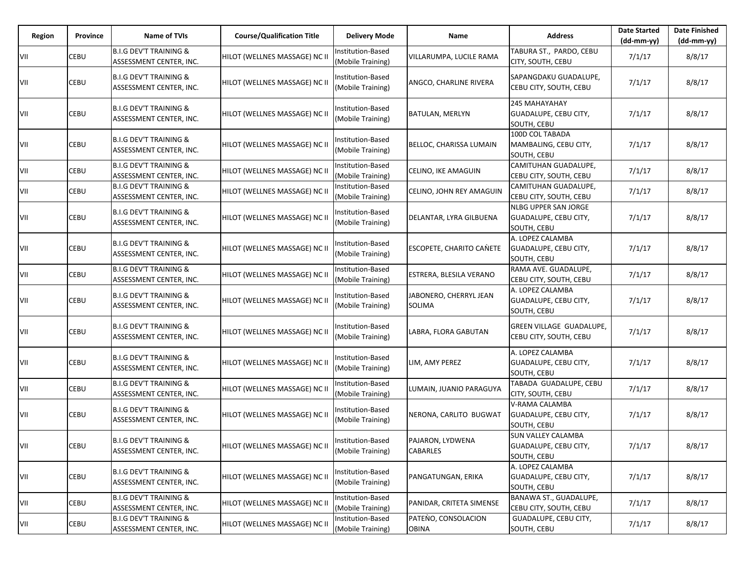| Region | Province | Name of TVIs                                                 | <b>Course/Qualification Title</b> | <b>Delivery Mode</b>                   | Name                                | <b>Address</b>                                                      | <b>Date Started</b><br>$(dd-mm-yy)$ | <b>Date Finished</b><br>$(dd-mm-yy)$ |
|--------|----------|--------------------------------------------------------------|-----------------------------------|----------------------------------------|-------------------------------------|---------------------------------------------------------------------|-------------------------------------|--------------------------------------|
| VII    | CEBU     | <b>B.I.G DEV'T TRAINING &amp;</b><br>ASSESSMENT CENTER, INC. | HILOT (WELLNES MASSAGE) NC II     | Institution-Based<br>(Mobile Training) | VILLARUMPA, LUCILE RAMA             | TABURA ST., PARDO, CEBU<br><b>CITY, SOUTH, CEBU</b>                 | 7/1/17                              | 8/8/17                               |
| VII    | CEBU     | <b>B.I.G DEV'T TRAINING &amp;</b><br>ASSESSMENT CENTER, INC. | HILOT (WELLNES MASSAGE) NC II     | Institution-Based<br>(Mobile Training) | ANGCO, CHARLINE RIVERA              | SAPANGDAKU GUADALUPE,<br>CEBU CITY, SOUTH, CEBU                     | 7/1/17                              | 8/8/17                               |
| VII    | CEBU     | <b>B.I.G DEV'T TRAINING &amp;</b><br>ASSESSMENT CENTER, INC. | HILOT (WELLNES MASSAGE) NC II     | nstitution-Based<br>(Mobile Training)  | <b>BATULAN, MERLYN</b>              | 245 MAHAYAHAY<br><b>GUADALUPE, CEBU CITY,</b><br>SOUTH, CEBU        | 7/1/17                              | 8/8/17                               |
| VII    | CEBU     | <b>B.I.G DEV'T TRAINING &amp;</b><br>ASSESSMENT CENTER, INC. | HILOT (WELLNES MASSAGE) NC II     | nstitution-Based<br>(Mobile Training)  | BELLOC, CHARISSA LUMAIN             | 100D COL TABADA<br>MAMBALING, CEBU CITY,<br>SOUTH, CEBU             | 7/1/17                              | 8/8/17                               |
| VII    | CEBU     | <b>B.I.G DEV'T TRAINING &amp;</b><br>ASSESSMENT CENTER, INC. | HILOT (WELLNES MASSAGE) NC II     | Institution-Based<br>(Mobile Training) | CELINO, IKE AMAGUIN                 | <b>CAMITUHAN GUADALUPE,</b><br>CEBU CITY, SOUTH, CEBU               | 7/1/17                              | 8/8/17                               |
| VII    | CEBU     | <b>B.I.G DEV'T TRAINING &amp;</b><br>ASSESSMENT CENTER, INC. | HILOT (WELLNES MASSAGE) NC II     | Institution-Based<br>(Mobile Training) | CELINO, JOHN REY AMAGUIN            | CAMITUHAN GUADALUPE,<br>CEBU CITY, SOUTH, CEBU                      | 7/1/17                              | 8/8/17                               |
| VII    | CEBU     | <b>B.I.G DEV'T TRAINING &amp;</b><br>ASSESSMENT CENTER, INC. | HILOT (WELLNES MASSAGE) NC II     | Institution-Based<br>(Mobile Training) | DELANTAR, LYRA GILBUENA             | <b>NLBG UPPER SAN JORGE</b><br>GUADALUPE, CEBU CITY,<br>SOUTH, CEBU | 7/1/17                              | 8/8/17                               |
| VII    | CEBU     | <b>B.I.G DEV'T TRAINING &amp;</b><br>ASSESSMENT CENTER, INC. | HILOT (WELLNES MASSAGE) NC II     | Institution-Based<br>(Mobile Training) | <b>ESCOPETE, CHARITO CANETE</b>     | A. LOPEZ CALAMBA<br><b>GUADALUPE, CEBU CITY,</b><br>SOUTH, CEBU     | 7/1/17                              | 8/8/17                               |
| VII    | CEBU     | <b>B.I.G DEV'T TRAINING &amp;</b><br>ASSESSMENT CENTER, INC. | HILOT (WELLNES MASSAGE) NC II     | Institution-Based<br>(Mobile Training) | ESTRERA, BLESILA VERANO             | RAMA AVE. GUADALUPE,<br>CEBU CITY, SOUTH, CEBU                      | 7/1/17                              | 8/8/17                               |
| VII    | CEBU     | <b>B.I.G DEV'T TRAINING &amp;</b><br>ASSESSMENT CENTER, INC. | HILOT (WELLNES MASSAGE) NC II     | Institution-Based<br>(Mobile Training) | JABONERO, CHERRYL JEAN<br>SOLIMA    | A. LOPEZ CALAMBA<br>GUADALUPE, CEBU CITY,<br>SOUTH, CEBU            | 7/1/17                              | 8/8/17                               |
| VII    | CEBU     | B.I.G DEV'T TRAINING &<br>ASSESSMENT CENTER, INC.            | HILOT (WELLNES MASSAGE) NC II     | Institution-Based<br>(Mobile Training) | LABRA, FLORA GABUTAN                | GREEN VILLAGE GUADALUPE,<br>CEBU CITY, SOUTH, CEBU                  | 7/1/17                              | 8/8/17                               |
| VII    | CEBU     | <b>B.I.G DEV'T TRAINING &amp;</b><br>ASSESSMENT CENTER, INC. | HILOT (WELLNES MASSAGE) NC II     | Institution-Based<br>(Mobile Training) | LIM, AMY PEREZ                      | A. LOPEZ CALAMBA<br><b>GUADALUPE, CEBU CITY,</b><br>SOUTH, CEBU     | 7/1/17                              | 8/8/17                               |
| VII    | CEBU     | <b>B.I.G DEV'T TRAINING &amp;</b><br>ASSESSMENT CENTER, INC. | HILOT (WELLNES MASSAGE) NC II     | Institution-Based<br>(Mobile Training) | LUMAIN, JUANIO PARAGUYA             | TABADA GUADALUPE, CEBU<br><b>CITY, SOUTH, CEBU</b>                  | 7/1/17                              | 8/8/17                               |
| VII    | CEBU     | <b>B.I.G DEV'T TRAINING &amp;</b><br>ASSESSMENT CENTER, INC. | HILOT (WELLNES MASSAGE) NC II     | nstitution-Based<br>(Mobile Training)  | NERONA, CARLITO BUGWAT              | V-RAMA CALAMBA<br>GUADALUPE, CEBU CITY,<br>SOUTH, CEBU              | 7/1/17                              | 8/8/17                               |
| VII    | CEBU     | B.I.G DEV'T TRAINING &<br>ASSESSMENT CENTER, INC.            | HILOT (WELLNES MASSAGE) NC II     | Institution-Based<br>(Mobile Training) | PAJARON, LYDWENA<br><b>CABARLES</b> | <b>SUN VALLEY CALAMBA</b><br>GUADALUPE, CEBU CITY,<br>SOUTH, CEBU   | 7/1/17                              | 8/8/17                               |
| VII    | CEBU     | <b>B.I.G DEV'T TRAINING &amp;</b><br>ASSESSMENT CENTER, INC. | HILOT (WELLNES MASSAGE) NC II     | nstitution-Based<br>(Mobile Training)  | PANGATUNGAN, ERIKA                  | A. LOPEZ CALAMBA<br>GUADALUPE, CEBU CITY,<br>SOUTH, CEBU            | 7/1/17                              | 8/8/17                               |
| VII    | CEBU     | <b>B.I.G DEV'T TRAINING &amp;</b><br>ASSESSMENT CENTER, INC. | HILOT (WELLNES MASSAGE) NC II     | Institution-Based<br>(Mobile Training) | PANIDAR, CRITETA SIMENSE            | BANAWA ST., GUADALUPE,<br>CEBU CITY, SOUTH, CEBU                    | 7/1/17                              | 8/8/17                               |
| VII    | CEBU     | <b>B.I.G DEV'T TRAINING &amp;</b><br>ASSESSMENT CENTER, INC. | HILOT (WELLNES MASSAGE) NC II     | Institution-Based<br>(Mobile Training) | PATENO, CONSOLACION<br><b>OBINA</b> | GUADALUPE, CEBU CITY,<br>SOUTH, CEBU                                | 7/1/17                              | 8/8/17                               |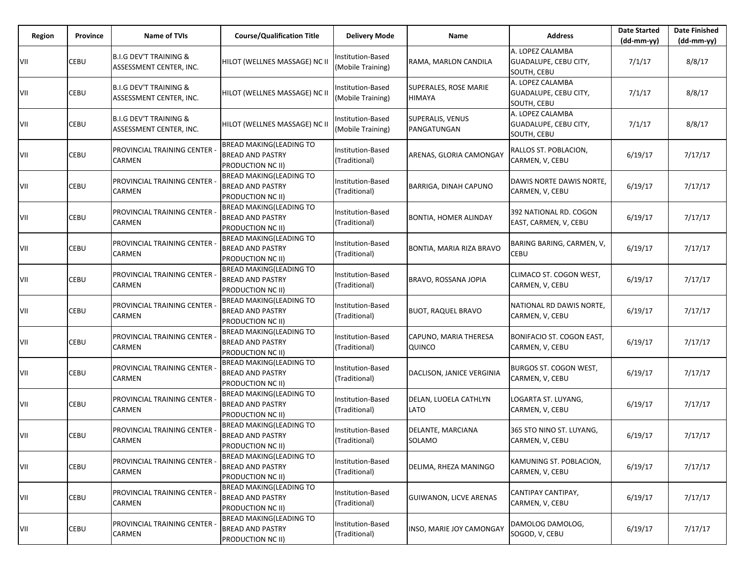| Region | Province | <b>Name of TVIs</b>                                          | <b>Course/Qualification Title</b>                                              | <b>Delivery Mode</b>                   | Name                            | <b>Address</b>                                           | <b>Date Started</b><br>$(dd-mm-yy)$ | <b>Date Finished</b><br>(dd-mm-yy) |
|--------|----------|--------------------------------------------------------------|--------------------------------------------------------------------------------|----------------------------------------|---------------------------------|----------------------------------------------------------|-------------------------------------|------------------------------------|
| VII    | CEBU     | <b>B.I.G DEV'T TRAINING &amp;</b><br>ASSESSMENT CENTER, INC. | HILOT (WELLNES MASSAGE) NC II                                                  | Institution-Based<br>(Mobile Training) | RAMA, MARLON CANDILA            | A. LOPEZ CALAMBA<br>GUADALUPE, CEBU CITY,<br>SOUTH, CEBU | 7/1/17                              | 8/8/17                             |
| VII    | CEBU     | <b>B.I.G DEV'T TRAINING &amp;</b><br>ASSESSMENT CENTER, INC. | HILOT (WELLNES MASSAGE) NC II                                                  | Institution-Based<br>(Mobile Training) | SUPERALES, ROSE MARIE<br>HIMAYA | A. LOPEZ CALAMBA<br>GUADALUPE, CEBU CITY,<br>SOUTH, CEBU | 7/1/17                              | 8/8/17                             |
| VII    | CEBU     | <b>B.I.G DEV'T TRAINING &amp;</b><br>ASSESSMENT CENTER, INC. | HILOT (WELLNES MASSAGE) NC II                                                  | Institution-Based<br>(Mobile Training) | SUPERALIS, VENUS<br>PANGATUNGAN | A. LOPEZ CALAMBA<br>GUADALUPE, CEBU CITY,<br>SOUTH, CEBU | 7/1/17                              | 8/8/17                             |
| VII    | CEBU     | PROVINCIAL TRAINING CENTER<br>CARMEN                         | <b>BREAD MAKING(LEADING TO</b><br><b>BREAD AND PASTRY</b><br>PRODUCTION NC II) | Institution-Based<br>(Traditional)     | ARENAS, GLORIA CAMONGAY         | RALLOS ST. POBLACION,<br>CARMEN, V, CEBU                 | 6/19/17                             | 7/17/17                            |
| VII    | CEBU     | PROVINCIAL TRAINING CENTER<br>CARMEN                         | BREAD MAKING(LEADING TO<br><b>BREAD AND PASTRY</b><br>PRODUCTION NC II)        | Institution-Based<br>(Traditional)     | <b>BARRIGA, DINAH CAPUNO</b>    | DAWIS NORTE DAWIS NORTE,<br>CARMEN, V, CEBU              | 6/19/17                             | 7/17/17                            |
| VII    | CEBU     | PROVINCIAL TRAINING CENTER<br>CARMEN                         | <b>BREAD MAKING(LEADING TO</b><br><b>BREAD AND PASTRY</b><br>PRODUCTION NC II) | Institution-Based<br>(Traditional)     | <b>BONTIA, HOMER ALINDAY</b>    | 392 NATIONAL RD. COGON<br>EAST, CARMEN, V, CEBU          | 6/19/17                             | 7/17/17                            |
| VII    | CEBU     | PROVINCIAL TRAINING CENTER<br>CARMEN                         | BREAD MAKING(LEADING TO<br><b>BREAD AND PASTRY</b><br>PRODUCTION NC II)        | Institution-Based<br>(Traditional)     | BONTIA, MARIA RIZA BRAVO        | BARING BARING, CARMEN, V,<br><b>CEBU</b>                 | 6/19/17                             | 7/17/17                            |
| VII    | CEBU     | PROVINCIAL TRAINING CENTER<br>CARMEN                         | <b>BREAD MAKING(LEADING TO</b><br><b>BREAD AND PASTRY</b><br>PRODUCTION NC II) | Institution-Based<br>(Traditional)     | BRAVO, ROSSANA JOPIA            | CLIMACO ST. COGON WEST,<br>CARMEN, V, CEBU               | 6/19/17                             | 7/17/17                            |
| VII    | CEBU     | PROVINCIAL TRAINING CENTER<br>CARMEN                         | <b>BREAD MAKING(LEADING TO</b><br><b>BREAD AND PASTRY</b><br>PRODUCTION NC II) | Institution-Based<br>(Traditional)     | <b>BUOT, RAQUEL BRAVO</b>       | NATIONAL RD DAWIS NORTE,<br>CARMEN, V, CEBU              | 6/19/17                             | 7/17/17                            |
| VII    | CEBU     | PROVINCIAL TRAINING CENTER<br>CARMEN                         | <b>BREAD MAKING(LEADING TO</b><br><b>BREAD AND PASTRY</b><br>PRODUCTION NC II) | Institution-Based<br>(Traditional)     | CAPUNO, MARIA THERESA<br>QUINCO | BONIFACIO ST. COGON EAST,<br>CARMEN, V, CEBU             | 6/19/17                             | 7/17/17                            |
| VII    | CEBU     | PROVINCIAL TRAINING CENTER<br>CARMEN                         | BREAD MAKING(LEADING TO<br><b>BREAD AND PASTRY</b><br>PRODUCTION NC II)        | Institution-Based<br>(Traditional)     | DACLISON, JANICE VERGINIA       | BURGOS ST. COGON WEST,<br>CARMEN, V, CEBU                | 6/19/17                             | 7/17/17                            |
| VII    | CEBU     | PROVINCIAL TRAINING CENTER<br>CARMEN                         | <b>BREAD MAKING(LEADING TO</b><br><b>BREAD AND PASTRY</b><br>PRODUCTION NC II) | Institution-Based<br>(Traditional)     | DELAN, LUOELA CATHLYN<br>LATO   | LOGARTA ST. LUYANG,<br>CARMEN, V, CEBU                   | 6/19/17                             | 7/17/17                            |
| VII    | CEBU     | PROVINCIAL TRAINING CENTER<br>CARMEN                         | BREAD MAKING(LEADING TO<br><b>BREAD AND PASTRY</b><br>PRODUCTION NC II)        | Institution-Based<br>(Traditional)     | DELANTE, MARCIANA<br>SOLAMO     | 365 STO NINO ST. LUYANG,<br>CARMEN, V, CEBU              | 6/19/17                             | 7/17/17                            |
| VII    | CEBU     | PROVINCIAL TRAINING CENTER<br>CARMEN                         | BREAD MAKING(LEADING TO<br><b>BREAD AND PASTRY</b><br>PRODUCTION NC II)        | Institution-Based<br>(Traditional)     | DELIMA, RHEZA MANINGO           | KAMUNING ST. POBLACION,<br>CARMEN, V, CEBU               | 6/19/17                             | 7/17/17                            |
| VII    | CEBU     | PROVINCIAL TRAINING CENTER<br>CARMEN                         | BREAD MAKING(LEADING TO<br><b>BREAD AND PASTRY</b><br>PRODUCTION NC II)        | Institution-Based<br>(Traditional)     | GUIWANON, LICVE ARENAS          | CANTIPAY CANTIPAY,<br>CARMEN, V, CEBU                    | 6/19/17                             | 7/17/17                            |
| VII    | CEBU     | PROVINCIAL TRAINING CENTER<br>CARMEN                         | <b>BREAD MAKING(LEADING TO</b><br><b>BREAD AND PASTRY</b><br>PRODUCTION NC II) | Institution-Based<br>(Traditional)     | INSO, MARIE JOY CAMONGAY        | DAMOLOG DAMOLOG,<br>SOGOD, V, CEBU                       | 6/19/17                             | 7/17/17                            |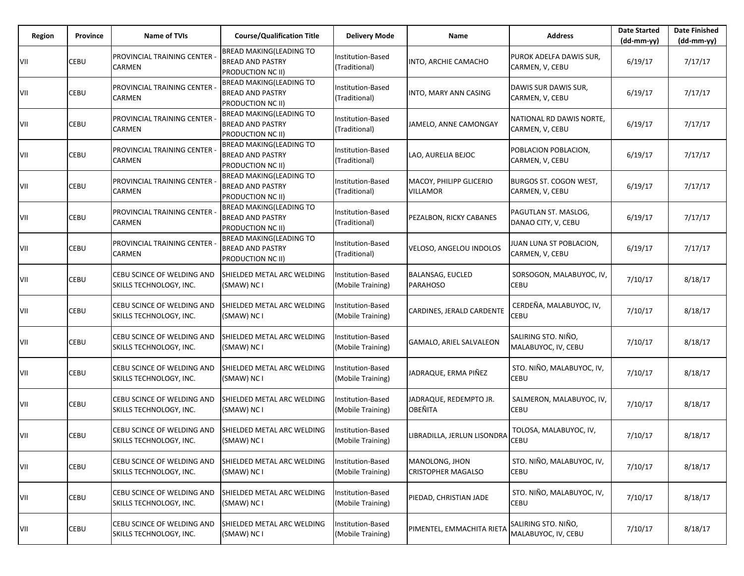| Region | Province | <b>Name of TVIs</b>                                          | <b>Course/Qualification Title</b>                                              | <b>Delivery Mode</b>                      | Name                                        | <b>Address</b>                              | <b>Date Started</b><br>$(dd-mm-yy)$ | <b>Date Finished</b><br>$(dd-mm-vv)$ |
|--------|----------|--------------------------------------------------------------|--------------------------------------------------------------------------------|-------------------------------------------|---------------------------------------------|---------------------------------------------|-------------------------------------|--------------------------------------|
| VII    | CEBU     | <b>PROVINCIAL TRAINING CENTER -</b><br><b>CARMEN</b>         | <b>BREAD MAKING(LEADING TO</b><br><b>BREAD AND PASTRY</b><br>PRODUCTION NC II) | Institution-Based<br>(Traditional)        | INTO, ARCHIE CAMACHO                        | PUROK ADELFA DAWIS SUR,<br>CARMEN, V, CEBU  | 6/19/17                             | 7/17/17                              |
| VII    | CEBU     | <b>PROVINCIAL TRAINING CENTER</b><br>CARMEN                  | <b>BREAD MAKING(LEADING TO</b><br><b>BREAD AND PASTRY</b><br>PRODUCTION NC II) | Institution-Based<br>(Traditional)        | INTO, MARY ANN CASING                       | DAWIS SUR DAWIS SUR,<br>CARMEN, V, CEBU     | 6/19/17                             | 7/17/17                              |
| VII    | CEBU     | PROVINCIAL TRAINING CENTER -<br><b>CARMEN</b>                | <b>BREAD MAKING(LEADING TO</b><br><b>BREAD AND PASTRY</b><br>PRODUCTION NC II) | Institution-Based<br>(Traditional)        | JAMELO, ANNE CAMONGAY                       | NATIONAL RD DAWIS NORTE.<br>CARMEN, V, CEBU | 6/19/17                             | 7/17/17                              |
| VII    | CEBU     | PROVINCIAL TRAINING CENTER -<br>CARMEN                       | BREAD MAKING(LEADING TO<br><b>BREAD AND PASTRY</b><br>PRODUCTION NC II)        | <b>Institution-Based</b><br>(Traditional) | LAO, AURELIA BEJOC                          | POBLACION POBLACION,<br>CARMEN, V, CEBU     | 6/19/17                             | 7/17/17                              |
| VII    | CEBU     | PROVINCIAL TRAINING CENTER -<br><b>CARMEN</b>                | BREAD MAKING(LEADING TO<br><b>BREAD AND PASTRY</b><br>PRODUCTION NC II)        | Institution-Based<br>(Traditional)        | MACOY, PHILIPP GLICERIO<br><b>VILLAMOR</b>  | BURGOS ST. COGON WEST,<br>CARMEN, V, CEBU   | 6/19/17                             | 7/17/17                              |
| VII    | CEBU     | PROVINCIAL TRAINING CENTER -<br><b>CARMEN</b>                | BREAD MAKING(LEADING TO<br><b>BREAD AND PASTRY</b><br>PRODUCTION NC II)        | <b>Institution-Based</b><br>(Traditional) | PEZALBON, RICKY CABANES                     | PAGUTLAN ST. MASLOG,<br>DANAO CITY, V, CEBU | 6/19/17                             | 7/17/17                              |
| VII    | CEBU     | PROVINCIAL TRAINING CENTER -<br><b>CARMEN</b>                | BREAD MAKING(LEADING TO<br><b>BREAD AND PASTRY</b><br>PRODUCTION NC II)        | Institution-Based<br>(Traditional)        | VELOSO, ANGELOU INDOLOS                     | JUAN LUNA ST POBLACION,<br>CARMEN, V, CEBU  | 6/19/17                             | 7/17/17                              |
| VII    | CEBU     | CEBU SCINCE OF WELDING AND<br><b>SKILLS TECHNOLOGY, INC.</b> | SHIELDED METAL ARC WELDING<br>(SMAW) NC I                                      | nstitution-Based<br>(Mobile Training)     | <b>BALANSAG, EUCLED</b><br><b>PARAHOSO</b>  | SORSOGON, MALABUYOC, IV,<br>CEBU            | 7/10/17                             | 8/18/17                              |
| VII    | CEBU     | CEBU SCINCE OF WELDING AND<br><b>SKILLS TECHNOLOGY, INC.</b> | SHIELDED METAL ARC WELDING<br>(SMAW) NC I                                      | Institution-Based<br>(Mobile Training)    | CARDINES, JERALD CARDENTE                   | CERDEÑA, MALABUYOC, IV,<br><b>CEBU</b>      | 7/10/17                             | 8/18/17                              |
| VII    | CEBU     | CEBU SCINCE OF WELDING AND<br>SKILLS TECHNOLOGY, INC.        | SHIELDED METAL ARC WELDING<br>(SMAW) NC I                                      | nstitution-Based<br>(Mobile Training)     | GAMALO, ARIEL SALVALEON                     | SALIRING STO. NIÑO,<br>MALABUYOC, IV, CEBU  | 7/10/17                             | 8/18/17                              |
| VII    | CEBU     | CEBU SCINCE OF WELDING AND<br>SKILLS TECHNOLOGY, INC.        | SHIELDED METAL ARC WELDING<br>(SMAW) NC I                                      | Institution-Based<br>(Mobile Training)    | JADRAQUE, ERMA PIÑEZ                        | STO. NIÑO, MALABUYOC, IV,<br>CEBU           | 7/10/17                             | 8/18/17                              |
| VII    | CEBU     | CEBU SCINCE OF WELDING AND<br>SKILLS TECHNOLOGY, INC.        | SHIELDED METAL ARC WELDING<br>(SMAW) NC I                                      | nstitution-Based<br>(Mobile Training)     | JADRAQUE, REDEMPTO JR.<br>OBEÑITA           | SALMERON, MALABUYOC, IV,<br>CEBU            | 7/10/17                             | 8/18/17                              |
| VII    | CEBU     | CEBU SCINCE OF WELDING AND<br>SKILLS TECHNOLOGY, INC.        | SHIELDED METAL ARC WELDING<br>(SMAW) NC I                                      | nstitution-Based<br>(Mobile Training)     | LIBRADILLA, JERLUN LISONDRA                 | TOLOSA, MALABUYOC, IV,<br><b>CEBU</b>       | 7/10/17                             | 8/18/17                              |
| VII    | CEBU     | CEBU SCINCE OF WELDING AND<br>SKILLS TECHNOLOGY, INC.        | SHIELDED METAL ARC WELDING<br>(SMAW) NC I                                      | nstitution-Based<br>(Mobile Training)     | MANOLONG, JHON<br><b>CRISTOPHER MAGALSO</b> | STO. NIÑO, MALABUYOC, IV,<br>CEBU           | 7/10/17                             | 8/18/17                              |
| VII    | CEBU     | CEBU SCINCE OF WELDING AND<br>SKILLS TECHNOLOGY, INC.        | SHIELDED METAL ARC WELDING<br>(SMAW) NC I                                      | Institution-Based<br>(Mobile Training)    | PIEDAD, CHRISTIAN JADE                      | STO. NIÑO, MALABUYOC, IV,<br><b>CEBU</b>    | 7/10/17                             | 8/18/17                              |
| VII    | CEBU     | CEBU SCINCE OF WELDING AND<br>SKILLS TECHNOLOGY, INC.        | SHIELDED METAL ARC WELDING<br>(SMAW) NC I                                      | Institution-Based<br>(Mobile Training)    | PIMENTEL, EMMACHITA RIETA                   | SALIRING STO. NIÑO,<br>MALABUYOC, IV, CEBU  | 7/10/17                             | 8/18/17                              |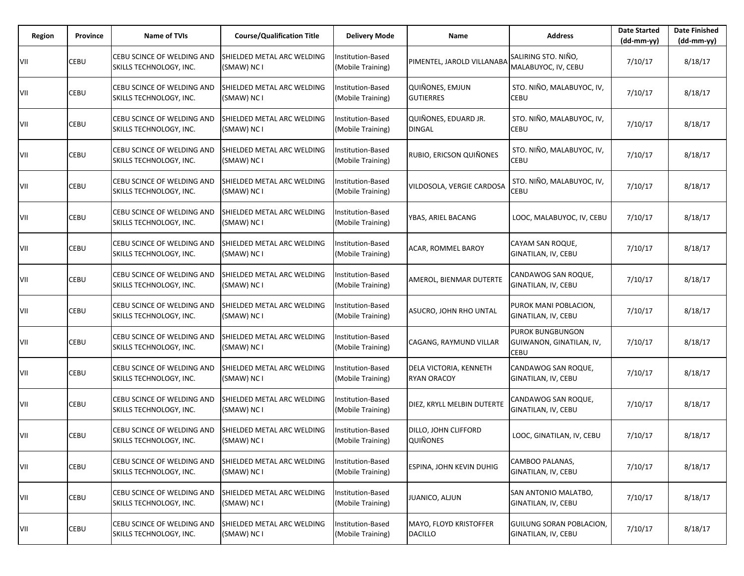| Region | Province | <b>Name of TVIs</b>                                   | <b>Course/Qualification Title</b>         | <b>Delivery Mode</b>                          | Name                                         | <b>Address</b>                                                     | <b>Date Started</b><br>$(dd-mm-yy)$ | <b>Date Finished</b><br>$(dd-mm-vv)$ |
|--------|----------|-------------------------------------------------------|-------------------------------------------|-----------------------------------------------|----------------------------------------------|--------------------------------------------------------------------|-------------------------------------|--------------------------------------|
| VII    | CEBU     | CEBU SCINCE OF WELDING AND<br>SKILLS TECHNOLOGY, INC. | SHIELDED METAL ARC WELDING<br>(SMAW) NC I | Institution-Based<br>(Mobile Training)        | PIMENTEL, JAROLD VILLANABA                   | SALIRING STO. NIÑO,<br>MALABUYOC, IV, CEBU                         | 7/10/17                             | 8/18/17                              |
| VII    | CEBU     | CEBU SCINCE OF WELDING AND<br>SKILLS TECHNOLOGY, INC. | SHIELDED METAL ARC WELDING<br>(SMAW) NC I | Institution-Based<br>(Mobile Training)        | <b>QUIÑONES, EMJUN</b><br><b>GUTIERRES</b>   | STO. NIÑO, MALABUYOC, IV,<br>CEBU                                  | 7/10/17                             | 8/18/17                              |
| VII    | CEBU     | CEBU SCINCE OF WELDING AND<br>SKILLS TECHNOLOGY, INC. | SHIELDED METAL ARC WELDING<br>(SMAW) NC I | Institution-Based<br>(Mobile Training)        | QUIÑONES, EDUARD JR.<br><b>DINGAL</b>        | STO. NIÑO, MALABUYOC, IV,<br><b>CEBU</b>                           | 7/10/17                             | 8/18/17                              |
| VII    | CEBU     | CEBU SCINCE OF WELDING AND<br>SKILLS TECHNOLOGY, INC. | SHIELDED METAL ARC WELDING<br>(SMAW) NC I | nstitution-Based<br>(Mobile Training)         | RUBIO, ERICSON QUIÑONES                      | STO. NIÑO, MALABUYOC, IV,<br><b>CEBU</b>                           | 7/10/17                             | 8/18/17                              |
| VII    | CEBU     | CEBU SCINCE OF WELDING AND<br>SKILLS TECHNOLOGY, INC. | SHIELDED METAL ARC WELDING<br>(SMAW) NC I | <b>Institution-Based</b><br>(Mobile Training) | VILDOSOLA, VERGIE CARDOSA                    | STO. NIÑO, MALABUYOC, IV,<br><b>CEBU</b>                           | 7/10/17                             | 8/18/17                              |
| VII    | CEBU     | CEBU SCINCE OF WELDING AND<br>SKILLS TECHNOLOGY, INC. | SHIELDED METAL ARC WELDING<br>(SMAW) NC I | nstitution-Based<br>(Mobile Training)         | YBAS, ARIEL BACANG                           | LOOC, MALABUYOC, IV, CEBU                                          | 7/10/17                             | 8/18/17                              |
| VII    | CEBU     | CEBU SCINCE OF WELDING AND<br>SKILLS TECHNOLOGY, INC. | SHIELDED METAL ARC WELDING<br>(SMAW) NC I | Institution-Based<br>(Mobile Training)        | <b>ACAR, ROMMEL BAROY</b>                    | CAYAM SAN ROQUE,<br>GINATILAN, IV, CEBU                            | 7/10/17                             | 8/18/17                              |
| VII    | CEBU     | CEBU SCINCE OF WELDING AND<br>SKILLS TECHNOLOGY, INC. | SHIELDED METAL ARC WELDING<br>(SMAW) NC I | nstitution-Based<br>(Mobile Training)         | AMEROL, BIENMAR DUTERTE                      | CANDAWOG SAN ROQUE,<br>GINATILAN, IV, CEBU                         | 7/10/17                             | 8/18/17                              |
| VII    | CEBU     | CEBU SCINCE OF WELDING AND<br>SKILLS TECHNOLOGY, INC. | SHIELDED METAL ARC WELDING<br>(SMAW) NC I | Institution-Based<br>(Mobile Training)        | ASUCRO, JOHN RHO UNTAL                       | PUROK MANI POBLACION,<br>GINATILAN, IV, CEBU                       | 7/10/17                             | 8/18/17                              |
| VII    | CEBU     | CEBU SCINCE OF WELDING AND<br>SKILLS TECHNOLOGY, INC. | SHIELDED METAL ARC WELDING<br>(SMAW) NC I | nstitution-Based<br>(Mobile Training)         | CAGANG, RAYMUND VILLAR                       | <b>PUROK BUNGBUNGON</b><br>GUIWANON, GINATILAN, IV,<br><b>CEBU</b> | 7/10/17                             | 8/18/17                              |
| VII    | CEBU     | CEBU SCINCE OF WELDING AND<br>SKILLS TECHNOLOGY, INC. | SHIELDED METAL ARC WELDING<br>(SMAW) NC I | Institution-Based<br>(Mobile Training)        | DELA VICTORIA, KENNETH<br><b>RYAN ORACOY</b> | CANDAWOG SAN ROQUE,<br>GINATILAN, IV, CEBU                         | 7/10/17                             | 8/18/17                              |
| VII    | CEBU     | CEBU SCINCE OF WELDING AND<br>SKILLS TECHNOLOGY, INC. | SHIELDED METAL ARC WELDING<br>(SMAW) NC I | nstitution-Based<br>(Mobile Training)         | DIEZ, KRYLL MELBIN DUTERTE                   | CANDAWOG SAN ROQUE,<br>GINATILAN, IV, CEBU                         | 7/10/17                             | 8/18/17                              |
| VII    | CEBU     | CEBU SCINCE OF WELDING AND<br>SKILLS TECHNOLOGY, INC. | SHIELDED METAL ARC WELDING<br>(SMAW) NC I | nstitution-Based<br>(Mobile Training)         | DILLO, JOHN CLIFFORD<br><b>QUIÑONES</b>      | LOOC, GINATILAN, IV, CEBU                                          | 7/10/17                             | 8/18/17                              |
| VII    | CEBU     | CEBU SCINCE OF WELDING AND<br>SKILLS TECHNOLOGY, INC. | SHIELDED METAL ARC WELDING<br>(SMAW) NC I | nstitution-Based<br>(Mobile Training)         | ESPINA, JOHN KEVIN DUHIG                     | CAMBOO PALANAS.<br>GINATILAN, IV, CEBU                             | 7/10/17                             | 8/18/17                              |
| VII    | CEBU     | CEBU SCINCE OF WELDING AND<br>SKILLS TECHNOLOGY, INC. | SHIELDED METAL ARC WELDING<br>(SMAW) NC I | Institution-Based<br>(Mobile Training)        | JUANICO, ALJUN                               | SAN ANTONIO MALATBO,<br>GINATILAN, IV, CEBU                        | 7/10/17                             | 8/18/17                              |
| VII    | CEBU     | CEBU SCINCE OF WELDING AND<br>SKILLS TECHNOLOGY, INC. | SHIELDED METAL ARC WELDING<br>(SMAW) NC I | Institution-Based<br>(Mobile Training)        | MAYO, FLOYD KRISTOFFER<br><b>DACILLO</b>     | GUILUNG SORAN POBLACION,<br>GINATILAN, IV, CEBU                    | 7/10/17                             | 8/18/17                              |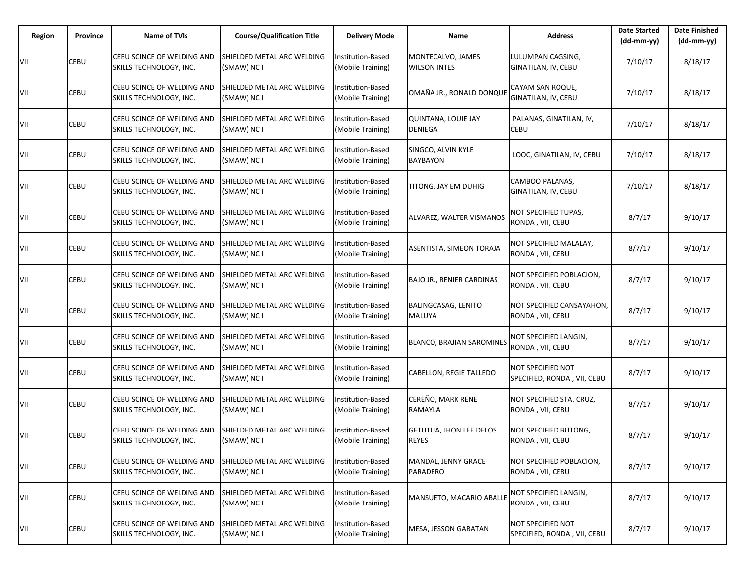| Region | Province | <b>Name of TVIs</b>                                   | <b>Course/Qualification Title</b>         | <b>Delivery Mode</b>                   | Name                                           | <b>Address</b>                                   | <b>Date Started</b><br>$(dd-mm-yy)$ | <b>Date Finished</b><br>$(dd-mm-vv)$ |
|--------|----------|-------------------------------------------------------|-------------------------------------------|----------------------------------------|------------------------------------------------|--------------------------------------------------|-------------------------------------|--------------------------------------|
| VII    | CEBU     | CEBU SCINCE OF WELDING AND<br>SKILLS TECHNOLOGY, INC. | SHIELDED METAL ARC WELDING<br>(SMAW) NC I | Institution-Based<br>(Mobile Training) | MONTECALVO, JAMES<br><b>WILSON INTES</b>       | LULUMPAN CAGSING.<br>GINATILAN, IV, CEBU         | 7/10/17                             | 8/18/17                              |
| VII    | CEBU     | CEBU SCINCE OF WELDING AND<br>SKILLS TECHNOLOGY, INC. | SHIELDED METAL ARC WELDING<br>(SMAW) NC I | nstitution-Based<br>(Mobile Training)  | OMAÑA JR., RONALD DONQUE                       | CAYAM SAN ROQUE,<br>GINATILAN, IV, CEBU          | 7/10/17                             | 8/18/17                              |
| VII    | CEBU     | CEBU SCINCE OF WELDING AND<br>SKILLS TECHNOLOGY, INC. | SHIELDED METAL ARC WELDING<br>(SMAW) NC I | Institution-Based<br>(Mobile Training) | <b>QUINTANA, LOUIE JAY</b><br><b>DENIEGA</b>   | PALANAS, GINATILAN, IV,<br>CEBU                  | 7/10/17                             | 8/18/17                              |
| VII    | CEBU     | CEBU SCINCE OF WELDING AND<br>SKILLS TECHNOLOGY, INC. | SHIELDED METAL ARC WELDING<br>(SMAW) NC I | nstitution-Based<br>(Mobile Training)  | SINGCO, ALVIN KYLE<br><b>BAYBAYON</b>          | LOOC, GINATILAN, IV, CEBU                        | 7/10/17                             | 8/18/17                              |
| VII    | CEBU     | CEBU SCINCE OF WELDING AND<br>SKILLS TECHNOLOGY, INC. | SHIELDED METAL ARC WELDING<br>(SMAW) NC I | Institution-Based<br>(Mobile Training) | TITONG, JAY EM DUHIG                           | CAMBOO PALANAS,<br>GINATILAN, IV, CEBU           | 7/10/17                             | 8/18/17                              |
| VII    | CEBU     | CEBU SCINCE OF WELDING AND<br>SKILLS TECHNOLOGY, INC. | SHIELDED METAL ARC WELDING<br>(SMAW) NC I | nstitution-Based<br>(Mobile Training)  | ALVAREZ, WALTER VISMANOS                       | NOT SPECIFIED TUPAS,<br>RONDA, VII, CEBU         | 8/7/17                              | 9/10/17                              |
| VII    | CEBU     | CEBU SCINCE OF WELDING AND<br>SKILLS TECHNOLOGY, INC. | SHIELDED METAL ARC WELDING<br>(SMAW) NC I | Institution-Based<br>(Mobile Training) | ASENTISTA, SIMEON TORAJA                       | NOT SPECIFIED MALALAY,<br>RONDA, VII, CEBU       | 8/7/17                              | 9/10/17                              |
| VII    | CEBU     | CEBU SCINCE OF WELDING AND<br>SKILLS TECHNOLOGY, INC. | SHIELDED METAL ARC WELDING<br>(SMAW) NC I | nstitution-Based<br>(Mobile Training)  | <b>BAJO JR., RENIER CARDINAS</b>               | NOT SPECIFIED POBLACION,<br>RONDA, VII, CEBU     | 8/7/17                              | 9/10/17                              |
| VII    | CEBU     | CEBU SCINCE OF WELDING AND<br>SKILLS TECHNOLOGY, INC. | SHIELDED METAL ARC WELDING<br>(SMAW) NC I | Institution-Based<br>(Mobile Training) | <b>BALINGCASAG, LENITO</b><br>MALUYA           | NOT SPECIFIED CANSAYAHON,<br>RONDA, VII, CEBU    | 8/7/17                              | 9/10/17                              |
| VII    | CEBU     | CEBU SCINCE OF WELDING AND<br>SKILLS TECHNOLOGY, INC. | SHIELDED METAL ARC WELDING<br>(SMAW) NC I | nstitution-Based<br>(Mobile Training)  | <b>BLANCO, BRAJIAN SAROMINES</b>               | NOT SPECIFIED LANGIN,<br>RONDA, VII, CEBU        | 8/7/17                              | 9/10/17                              |
| VII    | CEBU     | CEBU SCINCE OF WELDING AND<br>SKILLS TECHNOLOGY, INC. | SHIELDED METAL ARC WELDING<br>(SMAW) NC I | Institution-Based<br>(Mobile Training) | <b>CABELLON, REGIE TALLEDO</b>                 | NOT SPECIFIED NOT<br>SPECIFIED, RONDA, VII, CEBU | 8/7/17                              | 9/10/17                              |
| VII    | CEBU     | CEBU SCINCE OF WELDING AND<br>SKILLS TECHNOLOGY, INC. | SHIELDED METAL ARC WELDING<br>(SMAW) NC I | nstitution-Based<br>(Mobile Training)  | CEREÑO, MARK RENE<br>RAMAYLA                   | NOT SPECIFIED STA. CRUZ,<br>RONDA, VII, CEBU     | 8/7/17                              | 9/10/17                              |
| VII    | CEBU     | CEBU SCINCE OF WELDING AND<br>SKILLS TECHNOLOGY, INC. | SHIELDED METAL ARC WELDING<br>(SMAW) NC I | nstitution-Based<br>(Mobile Training)  | <b>GETUTUA, JHON LEE DELOS</b><br><b>REYES</b> | NOT SPECIFIED BUTONG,<br>RONDA, VII, CEBU        | 8/7/17                              | 9/10/17                              |
| VII    | CEBU     | CEBU SCINCE OF WELDING AND<br>SKILLS TECHNOLOGY, INC. | SHIELDED METAL ARC WELDING<br>(SMAW) NC I | nstitution-Based<br>(Mobile Training)  | MANDAL, JENNY GRACE<br>PARADERO                | NOT SPECIFIED POBLACION,<br>RONDA, VII, CEBU     | 8/7/17                              | 9/10/17                              |
| VII    | CEBU     | CEBU SCINCE OF WELDING AND<br>SKILLS TECHNOLOGY, INC. | SHIELDED METAL ARC WELDING<br>(SMAW) NC I | Institution-Based<br>(Mobile Training) | MANSUETO, MACARIO ABALLE                       | NOT SPECIFIED LANGIN,<br>RONDA, VII, CEBU        | 8/7/17                              | 9/10/17                              |
| VII    | CEBU     | CEBU SCINCE OF WELDING AND<br>SKILLS TECHNOLOGY, INC. | SHIELDED METAL ARC WELDING<br>(SMAW) NC I | Institution-Based<br>(Mobile Training) | MESA, JESSON GABATAN                           | NOT SPECIFIED NOT<br>SPECIFIED, RONDA, VII, CEBU | 8/7/17                              | 9/10/17                              |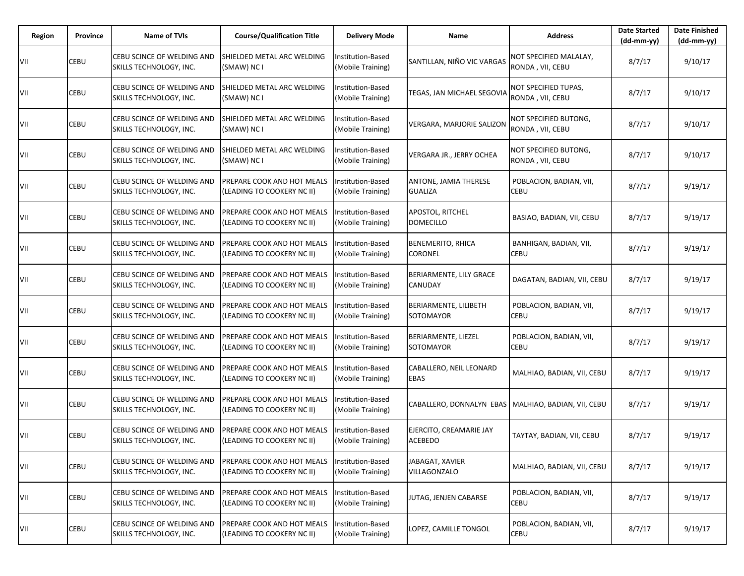| Region | Province | <b>Name of TVIs</b>                                          | <b>Course/Qualification Title</b>                        | <b>Delivery Mode</b>                          | Name                                                  | <b>Address</b>                             | <b>Date Started</b><br>$(dd-mm-yy)$ | <b>Date Finished</b><br>$(dd-mm-yy)$ |
|--------|----------|--------------------------------------------------------------|----------------------------------------------------------|-----------------------------------------------|-------------------------------------------------------|--------------------------------------------|-------------------------------------|--------------------------------------|
| VII    | CEBU     | CEBU SCINCE OF WELDING AND<br>SKILLS TECHNOLOGY, INC.        | SHIELDED METAL ARC WELDING<br>(SMAW) NC I                | Institution-Based<br>(Mobile Training)        | SANTILLAN, NIÑO VIC VARGAS                            | NOT SPECIFIED MALALAY,<br>RONDA, VII, CEBU | 8/7/17                              | 9/10/17                              |
| VII    | CEBU     | CEBU SCINCE OF WELDING AND<br>SKILLS TECHNOLOGY, INC.        | SHIELDED METAL ARC WELDING<br>(SMAW) NC I                | nstitution-Based<br>(Mobile Training)         | TEGAS, JAN MICHAEL SEGOVIA                            | NOT SPECIFIED TUPAS,<br>RONDA, VII, CEBU   | 8/7/17                              | 9/10/17                              |
| VII    | CEBU     | CEBU SCINCE OF WELDING AND<br>SKILLS TECHNOLOGY, INC.        | SHIELDED METAL ARC WELDING<br>(SMAW) NC I                | Institution-Based<br>(Mobile Training)        | <b>VERGARA, MARJORIE SALIZON</b>                      | NOT SPECIFIED BUTONG,<br>RONDA, VII, CEBU  | 8/7/17                              | 9/10/17                              |
| VII    | CEBU     | CEBU SCINCE OF WELDING AND<br>SKILLS TECHNOLOGY, INC.        | SHIELDED METAL ARC WELDING<br>(SMAW) NC I                | nstitution-Based<br>(Mobile Training)         | VERGARA JR., JERRY OCHEA                              | NOT SPECIFIED BUTONG,<br>RONDA, VII, CEBU  | 8/7/17                              | 9/10/17                              |
| VII    | CEBU     | CEBU SCINCE OF WELDING AND<br>SKILLS TECHNOLOGY, INC.        | PREPARE COOK AND HOT MEALS<br>(LEADING TO COOKERY NC II) | Institution-Based<br>(Mobile Training)        | ANTONE, JAMIA THERESE<br><b>GUALIZA</b>               | POBLACION, BADIAN, VII,<br><b>CEBU</b>     | 8/7/17                              | 9/19/17                              |
| VII    | CEBU     | CEBU SCINCE OF WELDING AND<br>SKILLS TECHNOLOGY, INC.        | PREPARE COOK AND HOT MEALS<br>(LEADING TO COOKERY NC II) | Institution-Based<br>(Mobile Training)        | APOSTOL, RITCHEL<br><b>DOMECILLO</b>                  | BASIAO, BADIAN, VII, CEBU                  | 8/7/17                              | 9/19/17                              |
| VII    | CEBU     | CEBU SCINCE OF WELDING AND<br>SKILLS TECHNOLOGY, INC.        | PREPARE COOK AND HOT MEALS<br>(LEADING TO COOKERY NC II) | Institution-Based<br>(Mobile Training)        | <b>BENEMERITO, RHICA</b><br><b>CORONEL</b>            | BANHIGAN, BADIAN, VII,<br><b>CEBU</b>      | 8/7/17                              | 9/19/17                              |
| VII    | CEBU     | CEBU SCINCE OF WELDING AND<br><b>SKILLS TECHNOLOGY, INC.</b> | PREPARE COOK AND HOT MEALS<br>(LEADING TO COOKERY NC II) | nstitution-Based<br>(Mobile Training)         | BERIARMENTE, LILY GRACE<br>CANUDAY                    | DAGATAN, BADIAN, VII, CEBU                 | 8/7/17                              | 9/19/17                              |
| VII    | CEBU     | CEBU SCINCE OF WELDING AND<br><b>SKILLS TECHNOLOGY, INC.</b> | PREPARE COOK AND HOT MEALS<br>(LEADING TO COOKERY NC II) | <b>Institution-Based</b><br>(Mobile Training) | BERIARMENTE, LILIBETH<br>SOTOMAYOR                    | POBLACION, BADIAN, VII,<br><b>CEBU</b>     | 8/7/17                              | 9/19/17                              |
| VII    | CEBU     | CEBU SCINCE OF WELDING AND<br>SKILLS TECHNOLOGY, INC.        | PREPARE COOK AND HOT MEALS<br>(LEADING TO COOKERY NC II) | nstitution-Based<br>(Mobile Training)         | BERIARMENTE, LIEZEL<br>SOTOMAYOR                      | POBLACION, BADIAN, VII,<br><b>CEBU</b>     | 8/7/17                              | 9/19/17                              |
| VII    | CEBU     | CEBU SCINCE OF WELDING AND<br>SKILLS TECHNOLOGY, INC.        | PREPARE COOK AND HOT MEALS<br>(LEADING TO COOKERY NC II) | <b>Institution-Based</b><br>(Mobile Training) | CABALLERO, NEIL LEONARD<br>EBAS                       | MALHIAO, BADIAN, VII, CEBU                 | 8/7/17                              | 9/19/17                              |
| VII    | CEBU     | CEBU SCINCE OF WELDING AND<br>SKILLS TECHNOLOGY, INC.        | PREPARE COOK AND HOT MEALS<br>(LEADING TO COOKERY NC II) | nstitution-Based<br>(Mobile Training)         | CABALLERO, DONNALYN EBAS   MALHIAO, BADIAN, VII, CEBU |                                            | 8/7/17                              | 9/19/17                              |
| VII    | CEBU     | CEBU SCINCE OF WELDING AND<br>SKILLS TECHNOLOGY, INC.        | PREPARE COOK AND HOT MEALS<br>(LEADING TO COOKERY NC II) | Institution-Based<br>(Mobile Training)        | EJERCITO, CREAMARIE JAY<br><b>ACEBEDO</b>             | TAYTAY, BADIAN, VII, CEBU                  | 8/7/17                              | 9/19/17                              |
| VII    | CEBU     | CEBU SCINCE OF WELDING AND<br>SKILLS TECHNOLOGY, INC.        | PREPARE COOK AND HOT MEALS<br>(LEADING TO COOKERY NC II) | Institution-Based<br>(Mobile Training)        | JABAGAT, XAVIER<br>VILLAGONZALO                       | MALHIAO, BADIAN, VII, CEBU                 | 8/7/17                              | 9/19/17                              |
| VII    | CEBU     | CEBU SCINCE OF WELDING AND<br>SKILLS TECHNOLOGY, INC.        | PREPARE COOK AND HOT MEALS<br>(LEADING TO COOKERY NC II) | Institution-Based<br>(Mobile Training)        | JUTAG, JENJEN CABARSE                                 | POBLACION, BADIAN, VII,<br>CEBU            | 8/7/17                              | 9/19/17                              |
| VII    | CEBU     | CEBU SCINCE OF WELDING AND<br>SKILLS TECHNOLOGY, INC.        | PREPARE COOK AND HOT MEALS<br>(LEADING TO COOKERY NC II) | nstitution-Based<br>(Mobile Training)         | LOPEZ, CAMILLE TONGOL                                 | POBLACION, BADIAN, VII,<br><b>CEBU</b>     | 8/7/17                              | 9/19/17                              |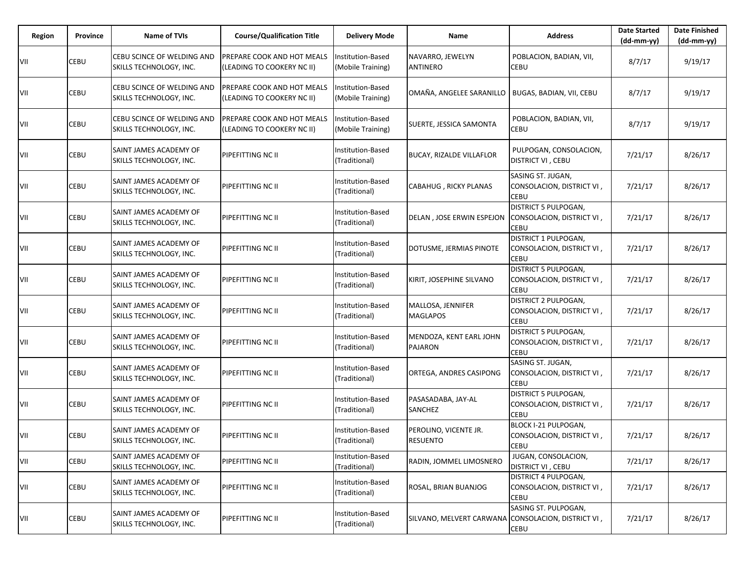| Region | Province | <b>Name of TVIs</b>                                   | <b>Course/Qualification Title</b>                        | <b>Delivery Mode</b>                          | Name                                      | <b>Address</b>                                                    | <b>Date Started</b><br>$(dd-mm-vv)$ | <b>Date Finished</b><br>(dd-mm-yy) |
|--------|----------|-------------------------------------------------------|----------------------------------------------------------|-----------------------------------------------|-------------------------------------------|-------------------------------------------------------------------|-------------------------------------|------------------------------------|
| VII    | CEBU     | CEBU SCINCE OF WELDING AND<br>SKILLS TECHNOLOGY, INC. | PREPARE COOK AND HOT MEALS<br>(LEADING TO COOKERY NC II) | Institution-Based<br>(Mobile Training)        | NAVARRO, JEWELYN<br><b>ANTINERO</b>       | POBLACION, BADIAN, VII,<br>CEBU                                   | 8/7/17                              | 9/19/17                            |
| VII    | CEBU     | CEBU SCINCE OF WELDING AND<br>SKILLS TECHNOLOGY, INC. | PREPARE COOK AND HOT MEALS<br>(LEADING TO COOKERY NC II) | <b>Institution-Based</b><br>(Mobile Training) | OMAÑA, ANGELEE SARANILLO                  | BUGAS, BADIAN, VII, CEBU                                          | 8/7/17                              | 9/19/17                            |
| VII    | CEBU     | CEBU SCINCE OF WELDING AND<br>SKILLS TECHNOLOGY, INC. | PREPARE COOK AND HOT MEALS<br>(LEADING TO COOKERY NC II) | Institution-Based<br>(Mobile Training)        | SUERTE, JESSICA SAMONTA                   | POBLACION, BADIAN, VII,<br>CEBU                                   | 8/7/17                              | 9/19/17                            |
| VII    | CEBU     | SAINT JAMES ACADEMY OF<br>SKILLS TECHNOLOGY, INC.     | PIPEFITTING NC II                                        | Institution-Based<br>(Traditional)            | <b>BUCAY, RIZALDE VILLAFLOR</b>           | PULPOGAN, CONSOLACION,<br>DISTRICT VI, CEBU                       | 7/21/17                             | 8/26/17                            |
| VII    | CEBU     | SAINT JAMES ACADEMY OF<br>SKILLS TECHNOLOGY, INC.     | PIPEFITTING NC II                                        | Institution-Based<br>(Traditional)            | CABAHUG, RICKY PLANAS                     | SASING ST. JUGAN,<br>CONSOLACION, DISTRICT VI,<br><b>CEBU</b>     | 7/21/17                             | 8/26/17                            |
| VII    | CEBU     | SAINT JAMES ACADEMY OF<br>SKILLS TECHNOLOGY, INC.     | PIPEFITTING NC II                                        | Institution-Based<br>(Traditional)            | DELAN, JOSE ERWIN ESPEJON                 | DISTRICT 5 PULPOGAN,<br>CONSOLACION, DISTRICT VI,<br><b>CEBU</b>  | 7/21/17                             | 8/26/17                            |
| VII    | CEBU     | SAINT JAMES ACADEMY OF<br>SKILLS TECHNOLOGY, INC.     | PIPEFITTING NC II                                        | Institution-Based<br>(Traditional)            | DOTUSME, JERMIAS PINOTE                   | DISTRICT 1 PULPOGAN,<br>CONSOLACION, DISTRICT VI,<br><b>CEBU</b>  | 7/21/17                             | 8/26/17                            |
| VII    | CEBU     | SAINT JAMES ACADEMY OF<br>SKILLS TECHNOLOGY, INC.     | PIPEFITTING NC II                                        | Institution-Based<br>(Traditional)            | KIRIT, JOSEPHINE SILVANO                  | DISTRICT 5 PULPOGAN,<br>, CONSOLACION, DISTRICT VI<br><b>CEBU</b> | 7/21/17                             | 8/26/17                            |
| VII    | CEBU     | SAINT JAMES ACADEMY OF<br>SKILLS TECHNOLOGY, INC.     | PIPEFITTING NC II                                        | Institution-Based<br>(Traditional)            | MALLOSA, JENNIFER<br><b>MAGLAPOS</b>      | DISTRICT 2 PULPOGAN,<br>CONSOLACION, DISTRICT VI,<br><b>CEBU</b>  | 7/21/17                             | 8/26/17                            |
| VII    | CEBU     | SAINT JAMES ACADEMY OF<br>SKILLS TECHNOLOGY, INC.     | PIPEFITTING NC II                                        | Institution-Based<br>(Traditional)            | MENDOZA, KENT EARL JOHN<br><b>PAJARON</b> | DISTRICT 5 PULPOGAN,<br>CONSOLACION, DISTRICT VI,<br><b>CEBU</b>  | 7/21/17                             | 8/26/17                            |
| VII    | CEBU     | SAINT JAMES ACADEMY OF<br>SKILLS TECHNOLOGY, INC.     | PIPEFITTING NC II                                        | Institution-Based<br>(Traditional)            | ORTEGA, ANDRES CASIPONG                   | SASING ST. JUGAN,<br>CONSOLACION, DISTRICT VI,<br><b>CEBU</b>     | 7/21/17                             | 8/26/17                            |
| VII    | CEBU     | SAINT JAMES ACADEMY OF<br>SKILLS TECHNOLOGY, INC.     | PIPEFITTING NC II                                        | Institution-Based<br>(Traditional)            | PASASADABA, JAY-AL<br>SANCHEZ             | DISTRICT 5 PULPOGAN,<br>CONSOLACION, DISTRICT VI,<br><b>CEBU</b>  | 7/21/17                             | 8/26/17                            |
| VII    | CEBU     | SAINT JAMES ACADEMY OF<br>SKILLS TECHNOLOGY, INC.     | PIPEFITTING NC II                                        | Institution-Based<br>(Traditional)            | PEROLINO, VICENTE JR.<br><b>RESUENTO</b>  | BLOCK I-21 PULPOGAN,<br>CONSOLACION, DISTRICT VI,<br>CEBU         | 7/21/17                             | 8/26/17                            |
| VII    | CEBU     | SAINT JAMES ACADEMY OF<br>SKILLS TECHNOLOGY, INC.     | PIPEFITTING NC II                                        | Institution-Based<br>(Traditional)            | RADIN, JOMMEL LIMOSNERO                   | JUGAN, CONSOLACION,<br><b>DISTRICT VI, CEBU</b>                   | 7/21/17                             | 8/26/17                            |
| VII    | CEBU     | SAINT JAMES ACADEMY OF<br>SKILLS TECHNOLOGY, INC.     | PIPEFITTING NC II                                        | Institution-Based<br>(Traditional)            | ROSAL, BRIAN BUANJOG                      | DISTRICT 4 PULPOGAN,<br>CONSOLACION, DISTRICT VI,<br>CEBU         | 7/21/17                             | 8/26/17                            |
| VII    | CEBU     | SAINT JAMES ACADEMY OF<br>SKILLS TECHNOLOGY, INC.     | PIPEFITTING NC II                                        | Institution-Based<br>(Traditional)            | SILVANO, MELVERT CARWANA                  | SASING ST. PULPOGAN,<br>CONSOLACION, DISTRICT VI,<br><b>CEBU</b>  | 7/21/17                             | 8/26/17                            |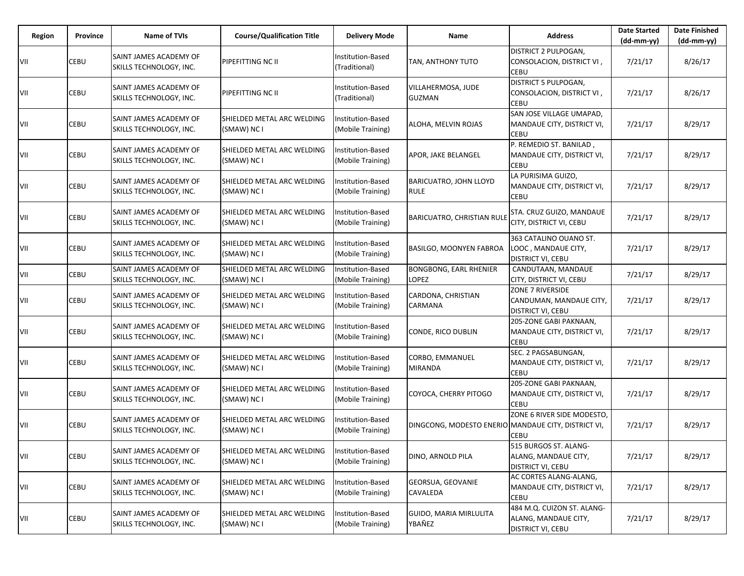| <b>Region</b> | <b>Province</b> | <b>Name of TVIs</b>                               | <b>Course/Qualification Title</b>                | <b>Delivery Mode</b>                          | Name                                                | <b>Address</b>                                                                 | <b>Date Started</b><br>$(dd-mm-yy)$ | <b>Date Finished</b><br>(dd-mm-yy) |
|---------------|-----------------|---------------------------------------------------|--------------------------------------------------|-----------------------------------------------|-----------------------------------------------------|--------------------------------------------------------------------------------|-------------------------------------|------------------------------------|
| VII           | CEBU            | SAINT JAMES ACADEMY OF<br>SKILLS TECHNOLOGY, INC. | <b>PIPEFITTING NC II</b>                         | <b>Institution-Based</b><br>(Traditional)     | TAN, ANTHONY TUTO                                   | <b>DISTRICT 2 PULPOGAN,</b><br>CONSOLACION, DISTRICT VI,<br><b>CEBU</b>        | 7/21/17                             | 8/26/17                            |
| VII           | CEBU            | SAINT JAMES ACADEMY OF<br>SKILLS TECHNOLOGY, INC. | PIPEFITTING NC II                                | Institution-Based<br>(Traditional)            | VILLAHERMOSA, JUDE<br><b>GUZMAN</b>                 | DISTRICT 5 PULPOGAN,<br>CONSOLACION, DISTRICT VI,<br><b>CEBU</b>               | 7/21/17                             | 8/26/17                            |
| VII           | CEBU            | SAINT JAMES ACADEMY OF<br>SKILLS TECHNOLOGY, INC. | SHIELDED METAL ARC WELDING<br>(SMAW) NC I        | Institution-Based<br>(Mobile Training)        | ALOHA, MELVIN ROJAS                                 | SAN JOSE VILLAGE UMAPAD,<br>MANDAUE CITY, DISTRICT VI,<br><b>CEBU</b>          | 7/21/17                             | 8/29/17                            |
| VII           | CEBU            | SAINT JAMES ACADEMY OF<br>SKILLS TECHNOLOGY, INC. | SHIELDED METAL ARC WELDING<br>(SMAW) NC I        | nstitution-Based<br>(Mobile Training)         | APOR, JAKE BELANGEL                                 | P. REMEDIO ST. BANILAD,<br>MANDAUE CITY, DISTRICT VI,<br><b>CEBU</b>           | 7/21/17                             | 8/29/17                            |
| VII           | CEBU            | SAINT JAMES ACADEMY OF<br>SKILLS TECHNOLOGY, INC. | <b>SHIELDED METAL ARC WELDING</b><br>(SMAW) NC I | Institution-Based<br>(Mobile Training)        | BARICUATRO, JOHN LLOYD<br><b>RULE</b>               | LA PURISIMA GUIZO,<br>MANDAUE CITY, DISTRICT VI,<br><b>CEBU</b>                | 7/21/17                             | 8/29/17                            |
| VII           | CEBU            | SAINT JAMES ACADEMY OF<br>SKILLS TECHNOLOGY, INC. | SHIELDED METAL ARC WELDING<br>(SMAW) NC I        | Institution-Based<br>(Mobile Training)        | <b>BARICUATRO, CHRISTIAN RULE</b>                   | STA. CRUZ GUIZO, MANDAUE<br>CITY, DISTRICT VI, CEBU                            | 7/21/17                             | 8/29/17                            |
| VII           | CEBU            | SAINT JAMES ACADEMY OF<br>SKILLS TECHNOLOGY, INC. | SHIELDED METAL ARC WELDING<br>(SMAW) NC I        | <b>Institution-Based</b><br>(Mobile Training) | <b>BASILGO, MOONYEN FABROA</b>                      | 363 CATALINO OUANO ST.<br>LOOC, MANDAUE CITY,<br><b>DISTRICT VI, CEBU</b>      | 7/21/17                             | 8/29/17                            |
| VII           | CEBU            | SAINT JAMES ACADEMY OF<br>SKILLS TECHNOLOGY, INC. | SHIELDED METAL ARC WELDING<br>(SMAW) NC I        | Institution-Based<br>(Mobile Training)        | <b>BONGBONG, EARL RHENIER</b><br>LOPEZ              | CANDUTAAN, MANDAUE<br>CITY, DISTRICT VI, CEBU                                  | 7/21/17                             | 8/29/17                            |
| VII           | CEBU            | SAINT JAMES ACADEMY OF<br>SKILLS TECHNOLOGY, INC. | SHIELDED METAL ARC WELDING<br>(SMAW) NC I        | Institution-Based<br>(Mobile Training)        | CARDONA, CHRISTIAN<br>CARMANA                       | ZONE 7 RIVERSIDE<br>CANDUMAN, MANDAUE CITY,<br><b>DISTRICT VI, CEBU</b>        | 7/21/17                             | 8/29/17                            |
| VII           | CEBU            | SAINT JAMES ACADEMY OF<br>SKILLS TECHNOLOGY, INC. | SHIELDED METAL ARC WELDING<br>(SMAW) NC I        | Institution-Based<br>(Mobile Training)        | CONDE, RICO DUBLIN                                  | 205-ZONE GABI PAKNAAN,<br>MANDAUE CITY, DISTRICT VI,<br><b>CEBU</b>            | 7/21/17                             | 8/29/17                            |
| VII           | CEBU            | SAINT JAMES ACADEMY OF<br>SKILLS TECHNOLOGY, INC. | SHIELDED METAL ARC WELDING<br>(SMAW) NC I        | Institution-Based<br>(Mobile Training)        | CORBO, EMMANUEL<br>MIRANDA                          | SEC. 2 PAGSABUNGAN,<br>MANDAUE CITY, DISTRICT VI,<br><b>CEBU</b>               | 7/21/17                             | 8/29/17                            |
| VII           | CEBU            | SAINT JAMES ACADEMY OF<br>SKILLS TECHNOLOGY, INC. | SHIELDED METAL ARC WELDING<br>(SMAW) NC I        | Institution-Based<br>(Mobile Training)        | COYOCA, CHERRY PITOGO                               | 205-ZONE GABI PAKNAAN,<br>MANDAUE CITY, DISTRICT VI,<br><b>CEBU</b>            | 7/21/17                             | 8/29/17                            |
| VII           | CEBU            | SAINT JAMES ACADEMY OF<br>SKILLS TECHNOLOGY, INC. | SHIELDED METAL ARC WELDING<br>(SMAW) NC I        | nstitution-Based<br>(Mobile Training)         | DINGCONG, MODESTO ENERIO MANDAUE CITY, DISTRICT VI, | ZONE 6 RIVER SIDE MODESTO,<br><b>CEBU</b>                                      | 7/21/17                             | 8/29/17                            |
| VII           | CEBU            | SAINT JAMES ACADEMY OF<br>SKILLS TECHNOLOGY, INC. | SHIELDED METAL ARC WELDING<br>(SMAW) NC I        | Institution-Based<br>(Mobile Training)        | DINO, ARNOLD PILA                                   | 515 BURGOS ST. ALANG-<br>ALANG, MANDAUE CITY,<br><b>DISTRICT VI, CEBU</b>      | 7/21/17                             | 8/29/17                            |
| VII           | CEBU            | SAINT JAMES ACADEMY OF<br>SKILLS TECHNOLOGY, INC. | SHIELDED METAL ARC WELDING<br>(SMAW) NC I        | nstitution-Based<br>(Mobile Training)         | GEORSUA, GEOVANIE<br>CAVALEDA                       | AC CORTES ALANG-ALANG,<br>MANDAUE CITY, DISTRICT VI,<br><b>CEBU</b>            | 7/21/17                             | 8/29/17                            |
| VII           | CEBU            | SAINT JAMES ACADEMY OF<br>SKILLS TECHNOLOGY, INC. | SHIELDED METAL ARC WELDING<br>(SMAW) NC I        | Institution-Based<br>(Mobile Training)        | <b>GUIDO, MARIA MIRLULITA</b><br>YBAÑEZ             | 484 M.Q. CUIZON ST. ALANG-<br>ALANG, MANDAUE CITY,<br><b>DISTRICT VI, CEBU</b> | 7/21/17                             | 8/29/17                            |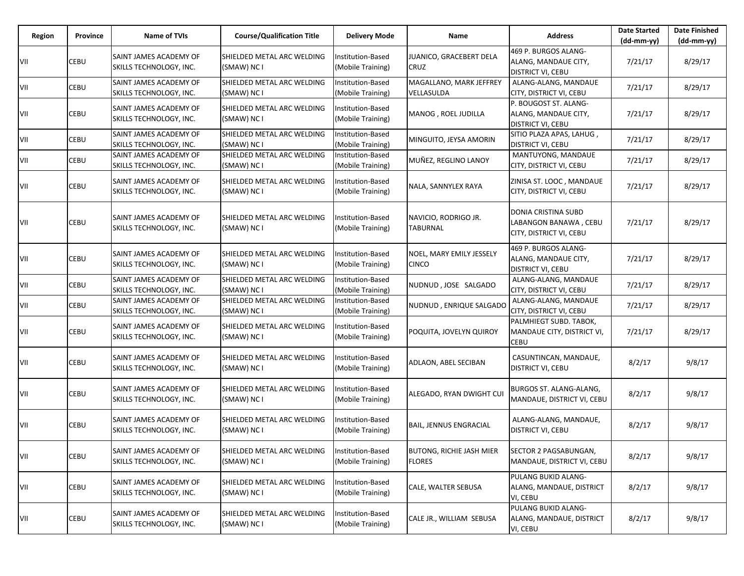| <b>Region</b> | Province | <b>Name of TVIs</b>                               | <b>Course/Qualification Title</b>         | <b>Delivery Mode</b>                          | Name                                             | <b>Address</b>                                                                 | <b>Date Started</b><br>(dd-mm-yy) | <b>Date Finished</b><br>$(dd-mm-yy)$ |
|---------------|----------|---------------------------------------------------|-------------------------------------------|-----------------------------------------------|--------------------------------------------------|--------------------------------------------------------------------------------|-----------------------------------|--------------------------------------|
| VII           | CEBU     | SAINT JAMES ACADEMY OF<br>SKILLS TECHNOLOGY, INC. | SHIELDED METAL ARC WELDING<br>(SMAW) NC I | Institution-Based<br>(Mobile Training)        | JUANICO, GRACEBERT DELA<br><b>CRUZ</b>           | 469 P. BURGOS ALANG-<br>ALANG, MANDAUE CITY,<br><b>DISTRICT VI, CEBU</b>       | 7/21/17                           | 8/29/17                              |
| VII           | CEBU     | SAINT JAMES ACADEMY OF<br>SKILLS TECHNOLOGY, INC. | SHIELDED METAL ARC WELDING<br>(SMAW) NC I | Institution-Based<br>(Mobile Training)        | MAGALLANO, MARK JEFFREY<br>VELLASULDA            | ALANG-ALANG, MANDAUE<br>CITY, DISTRICT VI, CEBU                                | 7/21/17                           | 8/29/17                              |
| VII           | CEBU     | SAINT JAMES ACADEMY OF<br>SKILLS TECHNOLOGY, INC. | SHIELDED METAL ARC WELDING<br>(SMAW) NC I | Institution-Based<br>(Mobile Training)        | MANOG, ROEL JUDILLA                              | P. BOUGOST ST. ALANG-<br>ALANG, MANDAUE CITY,<br><b>DISTRICT VI, CEBU</b>      | 7/21/17                           | 8/29/17                              |
| VII           | CEBU     | SAINT JAMES ACADEMY OF<br>SKILLS TECHNOLOGY, INC. | SHIELDED METAL ARC WELDING<br>(SMAW) NC I | Institution-Based<br>(Mobile Training)        | MINGUITO, JEYSA AMORIN                           | SITIO PLAZA APAS, LAHUG,<br><b>DISTRICT VI, CEBU</b>                           | 7/21/17                           | 8/29/17                              |
| VII           | CEBU     | SAINT JAMES ACADEMY OF<br>SKILLS TECHNOLOGY, INC. | SHIELDED METAL ARC WELDING<br>(SMAW) NC I | Institution-Based<br>(Mobile Training)        | MUÑEZ, REGLINO LANOY                             | MANTUYONG, MANDAUE<br>CITY, DISTRICT VI, CEBU                                  | 7/21/17                           | 8/29/17                              |
| VII           | CEBU     | SAINT JAMES ACADEMY OF<br>SKILLS TECHNOLOGY, INC. | SHIELDED METAL ARC WELDING<br>(SMAW) NC I | <b>Institution-Based</b><br>(Mobile Training) | NALA, SANNYLEX RAYA                              | ZINISA ST. LOOC, MANDAUE<br>CITY, DISTRICT VI, CEBU                            | 7/21/17                           | 8/29/17                              |
| VII           | CEBU     | SAINT JAMES ACADEMY OF<br>SKILLS TECHNOLOGY, INC. | SHIELDED METAL ARC WELDING<br>(SMAW) NC I | Institution-Based<br>(Mobile Training)        | NAVICIO, RODRIGO JR.<br><b>TABURNAL</b>          | <b>DONIA CRISTINA SUBD</b><br>LABANGON BANAWA, CEBU<br>CITY, DISTRICT VI, CEBU | 7/21/17                           | 8/29/17                              |
| VII           | CEBU     | SAINT JAMES ACADEMY OF<br>SKILLS TECHNOLOGY, INC. | SHIELDED METAL ARC WELDING<br>(SMAW) NC I | Institution-Based<br>(Mobile Training)        | NOEL, MARY EMILY JESSELY<br><b>CINCO</b>         | 469 P. BURGOS ALANG-<br>ALANG, MANDAUE CITY,<br><b>DISTRICT VI, CEBU</b>       | 7/21/17                           | 8/29/17                              |
| VII           | CEBU     | SAINT JAMES ACADEMY OF<br>SKILLS TECHNOLOGY, INC. | SHIELDED METAL ARC WELDING<br>(SMAW) NC I | Institution-Based<br>(Mobile Training)        | NUDNUD, JOSE SALGADO                             | ALANG-ALANG, MANDAUE<br>CITY, DISTRICT VI, CEBU                                | 7/21/17                           | 8/29/17                              |
| VII           | CEBU     | SAINT JAMES ACADEMY OF<br>SKILLS TECHNOLOGY, INC. | SHIELDED METAL ARC WELDING<br>(SMAW) NC I | Institution-Based<br>(Mobile Training)        | NUDNUD, ENRIQUE SALGADO                          | ALANG-ALANG, MANDAUE<br>CITY, DISTRICT VI, CEBU                                | 7/21/17                           | 8/29/17                              |
| VII           | CEBU     | SAINT JAMES ACADEMY OF<br>SKILLS TECHNOLOGY, INC. | SHIELDED METAL ARC WELDING<br>(SMAW) NC I | <b>Institution-Based</b><br>(Mobile Training) | POQUITA, JOVELYN QUIROY                          | PALMHIEGT SUBD. TABOK,<br>MANDAUE CITY, DISTRICT VI,<br><b>CEBU</b>            | 7/21/17                           | 8/29/17                              |
| VII           | CEBU     | SAINT JAMES ACADEMY OF<br>SKILLS TECHNOLOGY, INC. | SHIELDED METAL ARC WELDING<br>(SMAW) NC I | <b>Institution-Based</b><br>(Mobile Training) | ADLAON, ABEL SECIBAN                             | CASUNTINCAN, MANDAUE,<br><b>DISTRICT VI, CEBU</b>                              | 8/2/17                            | 9/8/17                               |
| VII           | CEBU     | SAINT JAMES ACADEMY OF<br>SKILLS TECHNOLOGY, INC. | SHIELDED METAL ARC WELDING<br>(SMAW) NC I | <b>Institution-Based</b><br>(Mobile Training) | ALEGADO, RYAN DWIGHT CUI                         | BURGOS ST. ALANG-ALANG,<br>MANDAUE, DISTRICT VI, CEBU                          | 8/2/17                            | 9/8/17                               |
| VII           | CEBU     | SAINT JAMES ACADEMY OF<br>SKILLS TECHNOLOGY, INC. | SHIELDED METAL ARC WELDING<br>(SMAW) NC I | nstitution-Based<br>(Mobile Training)         | <b>BAIL, JENNUS ENGRACIAL</b>                    | ALANG-ALANG, MANDAUE,<br><b>DISTRICT VI, CEBU</b>                              | 8/2/17                            | 9/8/17                               |
| VII           | CEBU     | SAINT JAMES ACADEMY OF<br>SKILLS TECHNOLOGY, INC. | SHIELDED METAL ARC WELDING<br>(SMAW) NC I | Institution-Based<br>(Mobile Training)        | <b>BUTONG, RICHIE JASH MIER</b><br><b>FLORES</b> | <b>SECTOR 2 PAGSABUNGAN,</b><br>MANDAUE, DISTRICT VI, CEBU                     | 8/2/17                            | 9/8/17                               |
| VII           | CEBU     | SAINT JAMES ACADEMY OF<br>SKILLS TECHNOLOGY, INC. | SHIELDED METAL ARC WELDING<br>(SMAW) NC I | Institution-Based<br>(Mobile Training)        | CALE, WALTER SEBUSA                              | PULANG BUKID ALANG-<br>ALANG, MANDAUE, DISTRICT<br>VI, CEBU                    | 8/2/17                            | 9/8/17                               |
| VII           | CEBU     | SAINT JAMES ACADEMY OF<br>SKILLS TECHNOLOGY, INC. | SHIELDED METAL ARC WELDING<br>(SMAW) NC I | Institution-Based<br>(Mobile Training)        | CALE JR., WILLIAM SEBUSA                         | PULANG BUKID ALANG-<br>ALANG, MANDAUE, DISTRICT<br>VI, CEBU                    | 8/2/17                            | 9/8/17                               |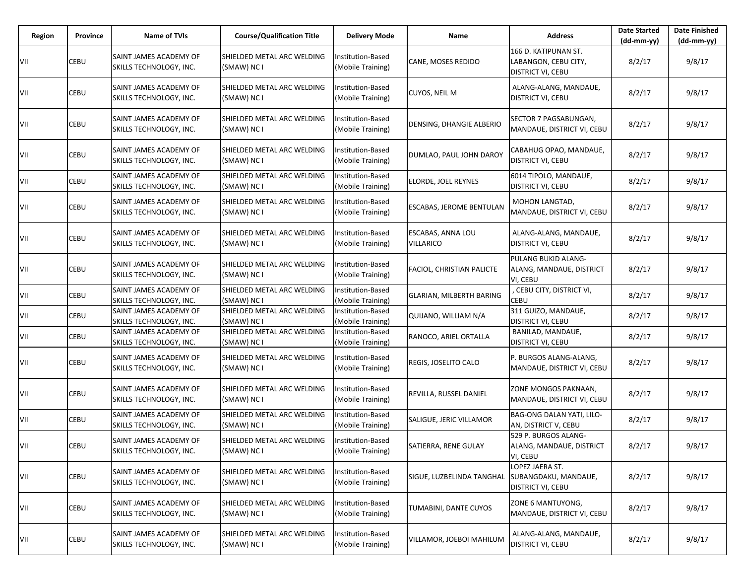| Region | Province | <b>Name of TVIs</b>                               | <b>Course/Qualification Title</b>                | <b>Delivery Mode</b>                          | Name                                  | <b>Address</b>                                                    | <b>Date Started</b><br>$(dd-mm-yy)$ | <b>Date Finished</b><br>(dd-mm-yy) |
|--------|----------|---------------------------------------------------|--------------------------------------------------|-----------------------------------------------|---------------------------------------|-------------------------------------------------------------------|-------------------------------------|------------------------------------|
| VII    | CEBU     | SAINT JAMES ACADEMY OF<br>SKILLS TECHNOLOGY, INC. | SHIELDED METAL ARC WELDING<br>(SMAW) NC I        | <b>Institution-Based</b><br>(Mobile Training) | CANE, MOSES REDIDO                    | 166 D. KATIPUNAN ST.<br>LABANGON, CEBU CITY,<br>DISTRICT VI, CEBU | 8/2/17                              | 9/8/17                             |
| VII    | CEBU     | SAINT JAMES ACADEMY OF<br>SKILLS TECHNOLOGY, INC. | SHIELDED METAL ARC WELDING<br>(SMAW) NC I        | Institution-Based<br>(Mobile Training)        | CUYOS, NEIL M                         | ALANG-ALANG, MANDAUE,<br>DISTRICT VI, CEBU                        | 8/2/17                              | 9/8/17                             |
| VII    | CEBU     | SAINT JAMES ACADEMY OF<br>SKILLS TECHNOLOGY, INC. | <b>SHIELDED METAL ARC WELDING</b><br>(SMAW) NC I | Institution-Based<br>(Mobile Training)        | DENSING, DHANGIE ALBERIO              | SECTOR 7 PAGSABUNGAN,<br>MANDAUE, DISTRICT VI, CEBU               | 8/2/17                              | 9/8/17                             |
| VII    | CEBU     | SAINT JAMES ACADEMY OF<br>SKILLS TECHNOLOGY, INC. | SHIELDED METAL ARC WELDING<br>(SMAW) NC I        | Institution-Based<br>(Mobile Training)        | DUMLAO, PAUL JOHN DAROY               | CABAHUG OPAO, MANDAUE,<br>DISTRICT VI, CEBU                       | 8/2/17                              | 9/8/17                             |
| VII    | CEBU     | SAINT JAMES ACADEMY OF<br>SKILLS TECHNOLOGY, INC. | SHIELDED METAL ARC WELDING<br>(SMAW) NC I        | Institution-Based<br>(Mobile Training)        | ELORDE, JOEL REYNES                   | 6014 TIPOLO, MANDAUE,<br>DISTRICT VI, CEBU                        | 8/2/17                              | 9/8/17                             |
| VII    | CEBU     | SAINT JAMES ACADEMY OF<br>SKILLS TECHNOLOGY, INC. | SHIELDED METAL ARC WELDING<br>(SMAW) NC I        | Institution-Based<br>(Mobile Training)        | ESCABAS, JEROME BENTULAN              | MOHON LANGTAD,<br>MANDAUE, DISTRICT VI, CEBU                      | 8/2/17                              | 9/8/17                             |
| VII    | CEBU     | SAINT JAMES ACADEMY OF<br>SKILLS TECHNOLOGY, INC. | SHIELDED METAL ARC WELDING<br>(SMAW) NC I        | Institution-Based<br>(Mobile Training)        | ESCABAS, ANNA LOU<br><b>VILLARICO</b> | ALANG-ALANG, MANDAUE,<br>DISTRICT VI, CEBU                        | 8/2/17                              | 9/8/17                             |
| VII    | CEBU     | SAINT JAMES ACADEMY OF<br>SKILLS TECHNOLOGY, INC. | SHIELDED METAL ARC WELDING<br>(SMAW) NC I        | Institution-Based<br>(Mobile Training)        | FACIOL, CHRISTIAN PALICTE             | PULANG BUKID ALANG-<br>ALANG, MANDAUE, DISTRICT<br>VI, CEBU       | 8/2/17                              | 9/8/17                             |
| VII    | CEBU     | SAINT JAMES ACADEMY OF<br>SKILLS TECHNOLOGY, INC. | SHIELDED METAL ARC WELDING<br>(SMAW) NC I        | Institution-Based<br>(Mobile Training)        | GLARIAN, MILBERTH BARING              | , CEBU CITY, DISTRICT VI,<br><b>CEBU</b>                          | 8/2/17                              | 9/8/17                             |
| VII    | CEBU     | SAINT JAMES ACADEMY OF<br>SKILLS TECHNOLOGY, INC. | SHIELDED METAL ARC WELDING<br>(SMAW) NC I        | Institution-Based<br>(Mobile Training)        | QUIJANO, WILLIAM N/A                  | 311 GUIZO, MANDAUE,<br>DISTRICT VI, CEBU                          | 8/2/17                              | 9/8/17                             |
| VII    | CEBU     | SAINT JAMES ACADEMY OF<br>SKILLS TECHNOLOGY, INC. | SHIELDED METAL ARC WELDING<br>(SMAW) NC I        | Institution-Based<br>(Mobile Training)        | RANOCO, ARIEL ORTALLA                 | BANILAD, MANDAUE,<br>DISTRICT VI, CEBU                            | 8/2/17                              | 9/8/17                             |
| VII    | CEBU     | SAINT JAMES ACADEMY OF<br>SKILLS TECHNOLOGY, INC. | SHIELDED METAL ARC WELDING<br>(SMAW) NC I        | Institution-Based<br>(Mobile Training)        | REGIS, JOSELITO CALO                  | P. BURGOS ALANG-ALANG,<br>MANDAUE, DISTRICT VI, CEBU              | 8/2/17                              | 9/8/17                             |
| VII    | CEBU     | SAINT JAMES ACADEMY OF<br>SKILLS TECHNOLOGY, INC. | SHIELDED METAL ARC WELDING<br>(SMAW) NC I        | Institution-Based<br>(Mobile Training)        | REVILLA, RUSSEL DANIEL                | ZONE MONGOS PAKNAAN,<br>MANDAUE, DISTRICT VI, CEBU                | 8/2/17                              | 9/8/17                             |
| VII    | CEBU     | SAINT JAMES ACADEMY OF<br>SKILLS TECHNOLOGY, INC. | SHIELDED METAL ARC WELDING<br>(SMAW) NC I        | Institution-Based<br>(Mobile Training)        | SALIGUE, JERIC VILLAMOR               | BAG-ONG DALAN YATI, LILO-<br>AN, DISTRICT V, CEBU                 | 8/2/17                              | 9/8/17                             |
| VII    | CEBU     | SAINT JAMES ACADEMY OF<br>SKILLS TECHNOLOGY, INC. | SHIELDED METAL ARC WELDING<br>(SMAW) NC I        | Institution-Based<br>(Mobile Training)        | SATIERRA, RENE GULAY                  | 529 P. BURGOS ALANG-<br>ALANG, MANDAUE, DISTRICT<br>VI, CEBU      | 8/2/17                              | 9/8/17                             |
| VII    | CEBU     | SAINT JAMES ACADEMY OF<br>SKILLS TECHNOLOGY, INC. | SHIELDED METAL ARC WELDING<br>(SMAW) NC I        | Institution-Based<br>(Mobile Training)        | SIGUE, LUZBELINDA TANGHAL             | LOPEZ JAERA ST.<br>SUBANGDAKU, MANDAUE,<br>DISTRICT VI, CEBU      | 8/2/17                              | 9/8/17                             |
| VII    | CEBU     | SAINT JAMES ACADEMY OF<br>SKILLS TECHNOLOGY, INC. | SHIELDED METAL ARC WELDING<br>(SMAW) NC I        | Institution-Based<br>(Mobile Training)        | TUMABINI, DANTE CUYOS                 | ZONE 6 MANTUYONG,<br>MANDAUE, DISTRICT VI, CEBU                   | 8/2/17                              | 9/8/17                             |
| VII    | CEBU     | SAINT JAMES ACADEMY OF<br>SKILLS TECHNOLOGY, INC. | SHIELDED METAL ARC WELDING<br>(SMAW) NC I        | Institution-Based<br>(Mobile Training)        | VILLAMOR, JOEBOI MAHILUM              | ALANG-ALANG, MANDAUE,<br>DISTRICT VI, CEBU                        | 8/2/17                              | 9/8/17                             |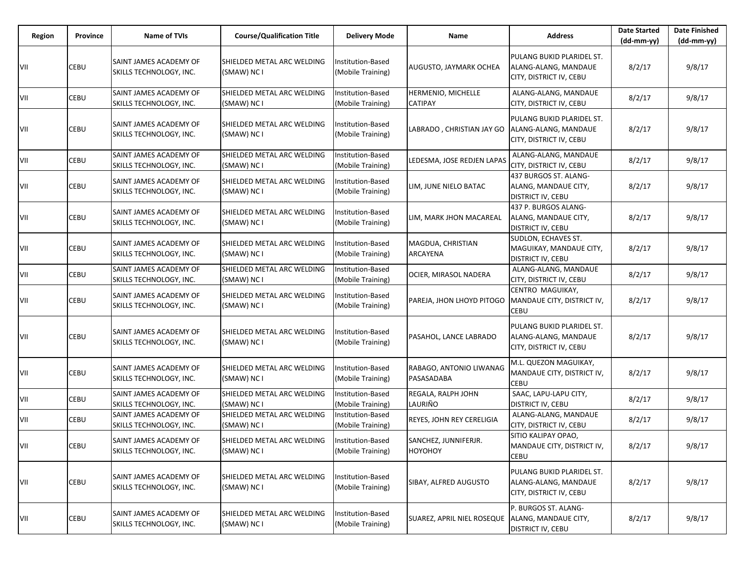| Region | <b>Province</b> | <b>Name of TVIs</b>                               | <b>Course/Qualification Title</b>                | <b>Delivery Mode</b>                   | Name                                  | <b>Address</b>                                                               | <b>Date Started</b><br>$(dd-mm-yy)$ | <b>Date Finished</b><br>(dd-mm-yy) |
|--------|-----------------|---------------------------------------------------|--------------------------------------------------|----------------------------------------|---------------------------------------|------------------------------------------------------------------------------|-------------------------------------|------------------------------------|
| VII    | CEBU            | SAINT JAMES ACADEMY OF<br>SKILLS TECHNOLOGY, INC. | SHIELDED METAL ARC WELDING<br>(SMAW) NC I        | Institution-Based<br>(Mobile Training) | AUGUSTO, JAYMARK OCHEA                | PULANG BUKID PLARIDEL ST.<br>ALANG-ALANG, MANDAUE<br>CITY, DISTRICT IV, CEBU | 8/2/17                              | 9/8/17                             |
| VII    | CEBU            | SAINT JAMES ACADEMY OF<br>SKILLS TECHNOLOGY, INC. | SHIELDED METAL ARC WELDING<br>(SMAW) NC I        | Institution-Based<br>(Mobile Training) | HERMENIO, MICHELLE<br>CATIPAY         | ALANG-ALANG, MANDAUE<br>CITY, DISTRICT IV, CEBU                              | 8/2/17                              | 9/8/17                             |
| VII    | CEBU            | SAINT JAMES ACADEMY OF<br>SKILLS TECHNOLOGY, INC. | SHIELDED METAL ARC WELDING<br>(SMAW) NC I        | Institution-Based<br>(Mobile Training) | LABRADO, CHRISTIAN JAY GO             | PULANG BUKID PLARIDEL ST.<br>ALANG-ALANG, MANDAUE<br>CITY, DISTRICT IV, CEBU | 8/2/17                              | 9/8/17                             |
| VII    | CEBU            | SAINT JAMES ACADEMY OF<br>SKILLS TECHNOLOGY, INC. | SHIELDED METAL ARC WELDING<br>(SMAW) NC I        | Institution-Based<br>(Mobile Training) | LEDESMA, JOSE REDJEN LAPAS            | ALANG-ALANG, MANDAUE<br>CITY, DISTRICT IV, CEBU                              | 8/2/17                              | 9/8/17                             |
| VII    | <b>CEBU</b>     | SAINT JAMES ACADEMY OF<br>SKILLS TECHNOLOGY, INC. | SHIELDED METAL ARC WELDING<br>(SMAW) NC I        | Institution-Based<br>(Mobile Training) | LIM, JUNE NIELO BATAC                 | 437 BURGOS ST. ALANG-<br>ALANG, MANDAUE CITY,<br><b>DISTRICT IV, CEBU</b>    | 8/2/17                              | 9/8/17                             |
| VII    | CEBU            | SAINT JAMES ACADEMY OF<br>SKILLS TECHNOLOGY, INC. | <b>SHIELDED METAL ARC WELDING</b><br>(SMAW) NC I | Institution-Based<br>(Mobile Training) | LIM, MARK JHON MACAREAL               | 437 P. BURGOS ALANG-<br>ALANG, MANDAUE CITY,<br>DISTRICT IV, CEBU            | 8/2/17                              | 9/8/17                             |
| VII    | <b>CEBU</b>     | SAINT JAMES ACADEMY OF<br>SKILLS TECHNOLOGY, INC. | SHIELDED METAL ARC WELDING<br>(SMAW) NC I        | Institution-Based<br>(Mobile Training) | MAGDUA, CHRISTIAN<br>ARCAYENA         | SUDLON, ECHAVES ST.<br>MAGUIKAY, MANDAUE CITY,<br><b>DISTRICT IV, CEBU</b>   | 8/2/17                              | 9/8/17                             |
| VII    | CEBU            | SAINT JAMES ACADEMY OF<br>SKILLS TECHNOLOGY, INC. | SHIELDED METAL ARC WELDING<br>(SMAW) NC I        | Institution-Based<br>(Mobile Training) | OCIER, MIRASOL NADERA                 | ALANG-ALANG, MANDAUE<br>CITY, DISTRICT IV, CEBU                              | 8/2/17                              | 9/8/17                             |
| VII    | CEBU            | SAINT JAMES ACADEMY OF<br>SKILLS TECHNOLOGY, INC. | SHIELDED METAL ARC WELDING<br>(SMAW) NC I        | Institution-Based<br>(Mobile Training) | PAREJA, JHON LHOYD PITOGO             | CENTRO MAGUIKAY,<br>MANDAUE CITY, DISTRICT IV,<br><b>CEBU</b>                | 8/2/17                              | 9/8/17                             |
| VII    | CEBU            | SAINT JAMES ACADEMY OF<br>SKILLS TECHNOLOGY, INC. | SHIELDED METAL ARC WELDING<br>(SMAW) NC I        | Institution-Based<br>(Mobile Training) | PASAHOL, LANCE LABRADO                | PULANG BUKID PLARIDEL ST.<br>ALANG-ALANG, MANDAUE<br>CITY, DISTRICT IV, CEBU | 8/2/17                              | 9/8/17                             |
| VII    | CEBU            | SAINT JAMES ACADEMY OF<br>SKILLS TECHNOLOGY, INC. | SHIELDED METAL ARC WELDING<br>(SMAW) NC I        | Institution-Based<br>(Mobile Training) | RABAGO, ANTONIO LIWANAG<br>PASASADABA | M.L. QUEZON MAGUIKAY,<br>MANDAUE CITY, DISTRICT IV,<br><b>CEBU</b>           | 8/2/17                              | 9/8/17                             |
| VII    | CEBU            | SAINT JAMES ACADEMY OF<br>SKILLS TECHNOLOGY, INC. | SHIELDED METAL ARC WELDING<br>(SMAW) NC I        | Institution-Based<br>(Mobile Training) | REGALA, RALPH JOHN<br>LAURIÑO         | SAAC, LAPU-LAPU CITY,<br><b>DISTRICT IV, CEBU</b>                            | 8/2/17                              | 9/8/17                             |
| VII    | CEBU            | SAINT JAMES ACADEMY OF<br>SKILLS TECHNOLOGY, INC. | SHIELDED METAL ARC WELDING<br>(SMAW) NC I        | Institution-Based<br>(Mobile Training) | REYES, JOHN REY CERELIGIA             | ALANG-ALANG, MANDAUE<br>CITY, DISTRICT IV, CEBU                              | 8/2/17                              | 9/8/17                             |
| VII    | CEBU            | SAINT JAMES ACADEMY OF<br>SKILLS TECHNOLOGY, INC. | SHIELDED METAL ARC WELDING<br>(SMAW) NC I        | Institution-Based<br>(Mobile Training) | SANCHEZ, JUNNIFERJR.<br>HOYOHOY       | SITIO KALIPAY OPAO,<br>MANDAUE CITY, DISTRICT IV,<br><b>CEBU</b>             | 8/2/17                              | 9/8/17                             |
| VII    | <b>CEBU</b>     | SAINT JAMES ACADEMY OF<br>SKILLS TECHNOLOGY, INC. | SHIELDED METAL ARC WELDING<br>(SMAW) NC I        | Institution-Based<br>(Mobile Training) | SIBAY, ALFRED AUGUSTO                 | PULANG BUKID PLARIDEL ST.<br>ALANG-ALANG, MANDAUE<br>CITY, DISTRICT IV, CEBU | 8/2/17                              | 9/8/17                             |
| VII    | CEBU            | SAINT JAMES ACADEMY OF<br>SKILLS TECHNOLOGY, INC. | SHIELDED METAL ARC WELDING<br>(SMAW) NC I        | Institution-Based<br>(Mobile Training) | SUAREZ, APRIL NIEL ROSEQUE            | P. BURGOS ST. ALANG-<br>ALANG, MANDAUE CITY,<br><b>DISTRICT IV, CEBU</b>     | 8/2/17                              | 9/8/17                             |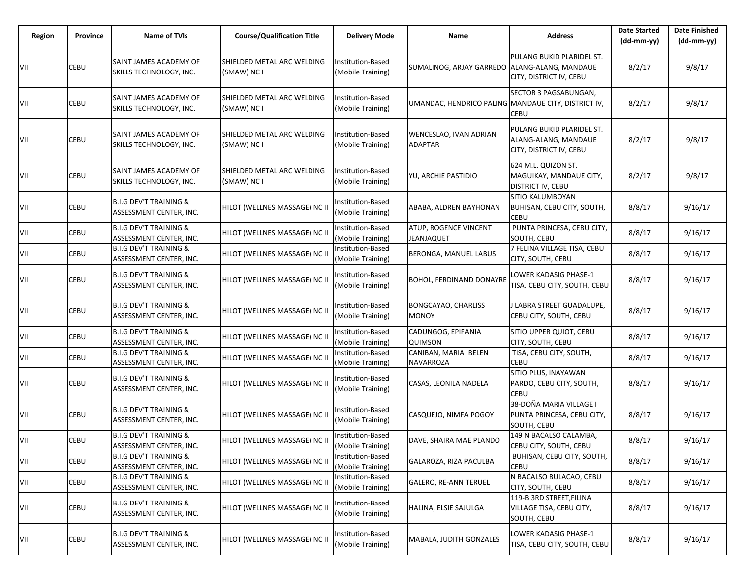| Region | Province | <b>Name of TVIs</b>                                          | <b>Course/Qualification Title</b>         | <b>Delivery Mode</b>                   | Name                                                | <b>Address</b>                                                               | <b>Date Started</b><br>$(dd-mm-yy)$ | <b>Date Finished</b><br>(dd-mm-yy) |
|--------|----------|--------------------------------------------------------------|-------------------------------------------|----------------------------------------|-----------------------------------------------------|------------------------------------------------------------------------------|-------------------------------------|------------------------------------|
| VII    | CEBU     | SAINT JAMES ACADEMY OF<br>SKILLS TECHNOLOGY, INC.            | SHIELDED METAL ARC WELDING<br>(SMAW) NC I | nstitution-Based<br>(Mobile Training)  | SUMALINOG, ARJAY GARREDO   ALANG-ALANG, MANDAUE     | PULANG BUKID PLARIDEL ST.<br>CITY, DISTRICT IV, CEBU                         | 8/2/17                              | 9/8/17                             |
| VII    | CEBU     | SAINT JAMES ACADEMY OF<br>SKILLS TECHNOLOGY, INC.            | SHIELDED METAL ARC WELDING<br>(SMAW) NC I | Institution-Based<br>(Mobile Training) | UMANDAC, HENDRICO PALING MANDAUE CITY, DISTRICT IV, | SECTOR 3 PAGSABUNGAN,<br><b>CEBU</b>                                         | 8/2/17                              | 9/8/17                             |
| VII    | CEBU     | SAINT JAMES ACADEMY OF<br>SKILLS TECHNOLOGY, INC.            | SHIELDED METAL ARC WELDING<br>(SMAW) NC I | Institution-Based<br>(Mobile Training) | WENCESLAO, IVAN ADRIAN<br>ADAPTAR                   | PULANG BUKID PLARIDEL ST.<br>ALANG-ALANG, MANDAUE<br>CITY, DISTRICT IV, CEBU | 8/2/17                              | 9/8/17                             |
| VII    | CEBU     | SAINT JAMES ACADEMY OF<br>SKILLS TECHNOLOGY, INC.            | SHIELDED METAL ARC WELDING<br>(SMAW) NC I | Institution-Based<br>(Mobile Training) | YU, ARCHIE PASTIDIO                                 | 624 M.L. QUIZON ST.<br>MAGUIKAY, MANDAUE CITY,<br>DISTRICT IV, CEBU          | 8/2/17                              | 9/8/17                             |
| VII    | CEBU     | <b>B.I.G DEV'T TRAINING &amp;</b><br>ASSESSMENT CENTER, INC. | HILOT (WELLNES MASSAGE) NC II             | Institution-Based<br>(Mobile Training) | ABABA, ALDREN BAYHONAN                              | SITIO KALUMBOYAN<br><b>BUHISAN, CEBU CITY, SOUTH,</b><br><b>CEBU</b>         | 8/8/17                              | 9/16/17                            |
| VII    | CEBU     | <b>B.I.G DEV'T TRAINING &amp;</b><br>ASSESSMENT CENTER, INC. | HILOT (WELLNES MASSAGE) NC II             | Institution-Based<br>(Mobile Training) | ATUP, ROGENCE VINCENT<br><b>JEANJAQUET</b>          | PUNTA PRINCESA, CEBU CITY,<br>SOUTH, CEBU                                    | 8/8/17                              | 9/16/17                            |
| VII    | CEBU     | <b>B.I.G DEV'T TRAINING &amp;</b><br>ASSESSMENT CENTER, INC. | HILOT (WELLNES MASSAGE) NC II             | Institution-Based<br>(Mobile Training) | BERONGA, MANUEL LABUS                               | 7 FELINA VILLAGE TISA, CEBU<br>CITY, SOUTH, CEBU                             | 8/8/17                              | 9/16/17                            |
| VII    | CEBU     | <b>B.I.G DEV'T TRAINING &amp;</b><br>ASSESSMENT CENTER, INC. | HILOT (WELLNES MASSAGE) NC II             | Institution-Based<br>Mobile Training)  | <b>BOHOL, FERDINAND DONAYRE</b>                     | LOWER KADASIG PHASE-1<br>TISA, CEBU CITY, SOUTH, CEBU                        | 8/8/17                              | 9/16/17                            |
| VII    | CEBU     | <b>B.I.G DEV'T TRAINING &amp;</b><br>ASSESSMENT CENTER, INC. | HILOT (WELLNES MASSAGE) NC II             | Institution-Based<br>(Mobile Training) | BONGCAYAO, CHARLISS<br><b>MONOY</b>                 | LABRA STREET GUADALUPE,<br>CEBU CITY, SOUTH, CEBU                            | 8/8/17                              | 9/16/17                            |
| VII    | CEBU     | <b>B.I.G DEV'T TRAINING &amp;</b><br>ASSESSMENT CENTER, INC. | HILOT (WELLNES MASSAGE) NC II             | nstitution-Based<br>(Mobile Training)  | CADUNGOG, EPIFANIA<br>QUIMSON                       | SITIO UPPER QUIOT, CEBU<br>CITY, SOUTH, CEBU                                 | 8/8/17                              | 9/16/17                            |
| VII    | CEBU     | <b>B.I.G DEV'T TRAINING &amp;</b><br>ASSESSMENT CENTER, INC. | HILOT (WELLNES MASSAGE) NC II             | nstitution-Based<br>(Mobile Training)  | CANIBAN, MARIA BELEN<br>NAVARROZA                   | TISA, CEBU CITY, SOUTH,<br>CEBU                                              | 8/8/17                              | 9/16/17                            |
| VII    | CEBU     | <b>B.I.G DEV'T TRAINING &amp;</b><br>ASSESSMENT CENTER, INC. | HILOT (WELLNES MASSAGE) NC II             | Institution-Based<br>(Mobile Training) | CASAS, LEONILA NADELA                               | SITIO PLUS, INAYAWAN<br>PARDO, CEBU CITY, SOUTH,<br><b>CEBU</b>              | 8/8/17                              | 9/16/17                            |
| VII    | CEBU     | <b>B.I.G DEV'T TRAINING &amp;</b><br>ASSESSMENT CENTER, INC. | HILOT (WELLNES MASSAGE) NC II             | nstitution-Based<br>(Mobile Training)  | CASQUEJO, NIMFA POGOY                               | 38-DOÑA MARIA VILLAGE I<br>PUNTA PRINCESA, CEBU CITY,<br>SOUTH, CEBU         | 8/8/17                              | 9/16/17                            |
| VII    | CEBU     | <b>B.I.G DEV'T TRAINING &amp;</b><br>ASSESSMENT CENTER, INC. | HILOT (WELLNES MASSAGE) NC II             | Institution-Based<br>(Mobile Training) | DAVE, SHAIRA MAE PLANDO                             | 149 N BACALSO CALAMBA,<br>CEBU CITY, SOUTH, CEBU                             | 8/8/17                              | 9/16/17                            |
| VII    | CEBU     | <b>B.I.G DEV'T TRAINING &amp;</b><br>ASSESSMENT CENTER, INC. | HILOT (WELLNES MASSAGE) NC II             | Institution-Based<br>(Mobile Training) | GALAROZA, RIZA PACULBA                              | BUHISAN, CEBU CITY, SOUTH,<br><b>CEBU</b>                                    | 8/8/17                              | 9/16/17                            |
| VII    | CEBU     | <b>B.I.G DEV'T TRAINING &amp;</b><br>ASSESSMENT CENTER, INC. | HILOT (WELLNES MASSAGE) NC II             | Institution-Based<br>(Mobile Training) | <b>GALERO, RE-ANN TERUEL</b>                        | N BACALSO BULACAO, CEBU<br>CITY, SOUTH, CEBU                                 | 8/8/17                              | 9/16/17                            |
| VII    | CEBU     | <b>B.I.G DEV'T TRAINING &amp;</b><br>ASSESSMENT CENTER, INC. | HILOT (WELLNES MASSAGE) NC II             | Institution-Based<br>(Mobile Training) | HALINA, ELSIE SAJULGA                               | 119-B 3RD STREET, FILINA<br>VILLAGE TISA, CEBU CITY,<br>SOUTH, CEBU          | 8/8/17                              | 9/16/17                            |
| VII    | CEBU     | <b>B.I.G DEV'T TRAINING &amp;</b><br>ASSESSMENT CENTER, INC. | HILOT (WELLNES MASSAGE) NC II             | nstitution-Based<br>(Mobile Training)  | MABALA, JUDITH GONZALES                             | LOWER KADASIG PHASE-1<br>TISA, CEBU CITY, SOUTH, CEBU                        | 8/8/17                              | 9/16/17                            |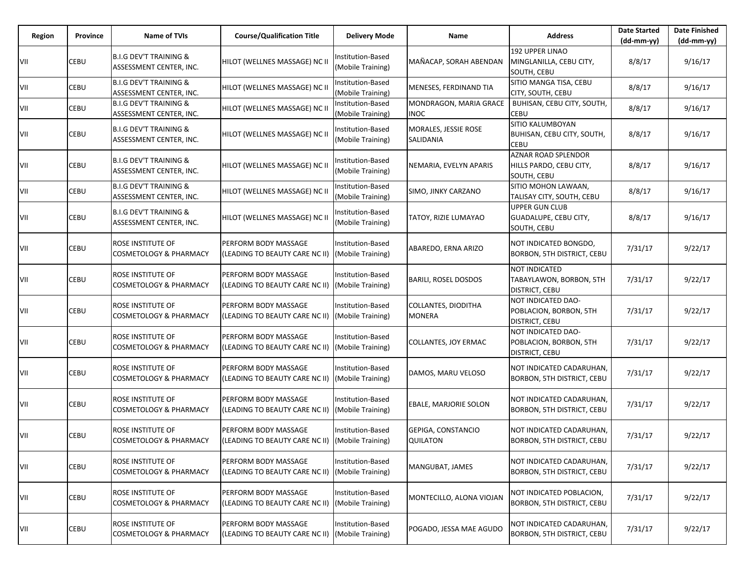| Region | Province | <b>Name of TVIs</b>                                           | <b>Course/Qualification Title</b>                             | <b>Delivery Mode</b>                          | Name                                  | <b>Address</b>                                                       | <b>Date Started</b><br>$(dd-mm-yy)$ | <b>Date Finished</b><br>$(dd-mm-yy)$ |
|--------|----------|---------------------------------------------------------------|---------------------------------------------------------------|-----------------------------------------------|---------------------------------------|----------------------------------------------------------------------|-------------------------------------|--------------------------------------|
| VII    | CEBU     | <b>B.I.G DEV'T TRAINING &amp;</b><br>ASSESSMENT CENTER, INC.  | HILOT (WELLNES MASSAGE) NC II                                 | Institution-Based<br>(Mobile Training)        | MAÑACAP, SORAH ABENDAN                | <b>192 UPPER LINAO</b><br>MINGLANILLA, CEBU CITY,<br>SOUTH, CEBU     | 8/8/17                              | 9/16/17                              |
| VII    | CEBU     | <b>B.I.G DEV'T TRAINING &amp;</b><br>ASSESSMENT CENTER, INC.  | HILOT (WELLNES MASSAGE) NC II                                 | Institution-Based<br>(Mobile Training)        | MENESES, FERDINAND TIA                | SITIO MANGA TISA, CEBU<br>CITY, SOUTH, CEBU                          | 8/8/17                              | 9/16/17                              |
| VII    | CEBU     | <b>B.I.G DEV'T TRAINING &amp;</b><br>ASSESSMENT CENTER, INC.  | HILOT (WELLNES MASSAGE) NC II                                 | Institution-Based<br>(Mobile Training)        | MONDRAGON, MARIA GRACE<br><b>INOC</b> | BUHISAN, CEBU CITY, SOUTH,<br>CEBU                                   | 8/8/17                              | 9/16/17                              |
| VII    | CEBU     | <b>B.I.G DEV'T TRAINING &amp;</b><br>ASSESSMENT CENTER, INC.  | HILOT (WELLNES MASSAGE) NC II                                 | Institution-Based<br>(Mobile Training)        | MORALES, JESSIE ROSE<br>SALIDANIA     | SITIO KALUMBOYAN<br>BUHISAN, CEBU CITY, SOUTH,<br><b>CEBU</b>        | 8/8/17                              | 9/16/17                              |
| VII    | CEBU     | <b>B.I.G DEV'T TRAINING &amp;</b><br>ASSESSMENT CENTER, INC.  | HILOT (WELLNES MASSAGE) NC II                                 | Institution-Based<br>(Mobile Training)        | NEMARIA, EVELYN APARIS                | <b>AZNAR ROAD SPLENDOR</b><br>HILLS PARDO, CEBU CITY,<br>SOUTH, CEBU | 8/8/17                              | 9/16/17                              |
| VII    | CEBU     | <b>B.I.G DEV'T TRAINING &amp;</b><br>ASSESSMENT CENTER, INC.  | HILOT (WELLNES MASSAGE) NC II                                 | Institution-Based<br>(Mobile Training)        | SIMO, JINKY CARZANO                   | SITIO MOHON LAWAAN,<br>TALISAY CITY, SOUTH, CEBU                     | 8/8/17                              | 9/16/17                              |
| VII    | CEBU     | <b>B.I.G DEV'T TRAINING &amp;</b><br>ASSESSMENT CENTER, INC.  | HILOT (WELLNES MASSAGE) NC II                                 | Institution-Based<br>(Mobile Training)        | TATOY, RIZIE LUMAYAO                  | <b>UPPER GUN CLUB</b><br>GUADALUPE, CEBU CITY,<br>SOUTH, CEBU        | 8/8/17                              | 9/16/17                              |
| VII    | CEBU     | ROSE INSTITUTE OF<br>COSMETOLOGY & PHARMACY                   | <b>PERFORM BODY MASSAGE</b><br>(LEADING TO BEAUTY CARE NC II) | Institution-Based<br>(Mobile Training)        | ABAREDO, ERNA ARIZO                   | NOT INDICATED BONGDO,<br>BORBON, 5TH DISTRICT, CEBU                  | 7/31/17                             | 9/22/17                              |
| VII    | CEBU     | ROSE INSTITUTE OF<br>COSMETOLOGY & PHARMACY                   | PERFORM BODY MASSAGE<br>(LEADING TO BEAUTY CARE NC II)        | Institution-Based<br>(Mobile Training)        | <b>BARILI, ROSEL DOSDOS</b>           | NOT INDICATED<br>TABAYLAWON, BORBON, 5TH<br>DISTRICT, CEBU           | 7/31/17                             | 9/22/17                              |
| VII    | CEBU     | ROSE INSTITUTE OF<br>COSMETOLOGY & PHARMACY                   | PERFORM BODY MASSAGE<br>(LEADING TO BEAUTY CARE NC II)        | Institution-Based<br>(Mobile Training)        | COLLANTES, DIODITHA<br>MONERA         | NOT INDICATED DAO-<br>POBLACION, BORBON, 5TH<br>DISTRICT, CEBU       | 7/31/17                             | 9/22/17                              |
| VII    | CEBU     | ROSE INSTITUTE OF<br>COSMETOLOGY & PHARMACY                   | PERFORM BODY MASSAGE<br>(LEADING TO BEAUTY CARE NC II)        | Institution-Based<br>(Mobile Training)        | COLLANTES, JOY ERMAC                  | NOT INDICATED DAO-<br>POBLACION, BORBON, 5TH<br>DISTRICT, CEBU       | 7/31/17                             | 9/22/17                              |
| VII    | CEBU     | ROSE INSTITUTE OF<br>COSMETOLOGY & PHARMACY                   | PERFORM BODY MASSAGE<br>(LEADING TO BEAUTY CARE NC II)        | Institution-Based<br>(Mobile Training)        | DAMOS, MARU VELOSO                    | NOT INDICATED CADARUHAN,<br>BORBON, 5TH DISTRICT, CEBU               | 7/31/17                             | 9/22/17                              |
| VII    | CEBU     | ROSE INSTITUTE OF<br><b>COSMETOLOGY &amp; PHARMACY</b>        | <b>PERFORM BODY MASSAGE</b><br>(LEADING TO BEAUTY CARE NC II) | Institution-Based<br>(Mobile Training)        | EBALE, MARJORIE SOLON                 | NOT INDICATED CADARUHAN,<br><b>BORBON, 5TH DISTRICT, CEBU</b>        | 7/31/17                             | 9/22/17                              |
| VII    | CEBU     | ROSE INSTITUTE OF<br>COSMETOLOGY & PHARMACY                   | PERFORM BODY MASSAGE<br>(LEADING TO BEAUTY CARE NC II)        | Institution-Based<br>(Mobile Training)        | GEPIGA, CONSTANCIO<br><b>QUILATON</b> | NOT INDICATED CADARUHAN,<br><b>BORBON, 5TH DISTRICT, CEBU</b>        | 7/31/17                             | 9/22/17                              |
| VII    | CEBU     | <b>ROSE INSTITUTE OF</b><br><b>COSMETOLOGY &amp; PHARMACY</b> | PERFORM BODY MASSAGE<br>(LEADING TO BEAUTY CARE NC II)        | Institution-Based<br>(Mobile Training)        | MANGUBAT, JAMES                       | NOT INDICATED CADARUHAN,<br>BORBON, 5TH DISTRICT, CEBU               | 7/31/17                             | 9/22/17                              |
| VII    | CEBU     | ROSE INSTITUTE OF<br>COSMETOLOGY & PHARMACY                   | PERFORM BODY MASSAGE<br>(LEADING TO BEAUTY CARE NC II)        | <b>Institution-Based</b><br>(Mobile Training) | MONTECILLO, ALONA VIOJAN              | NOT INDICATED POBLACION,<br><b>BORBON, 5TH DISTRICT, CEBU</b>        | 7/31/17                             | 9/22/17                              |
| VII    | CEBU     | ROSE INSTITUTE OF<br><b>COSMETOLOGY &amp; PHARMACY</b>        | PERFORM BODY MASSAGE<br>(LEADING TO BEAUTY CARE NC II)        | Institution-Based<br>(Mobile Training)        | POGADO, JESSA MAE AGUDO               | NOT INDICATED CADARUHAN,<br><b>BORBON, 5TH DISTRICT, CEBU</b>        | 7/31/17                             | 9/22/17                              |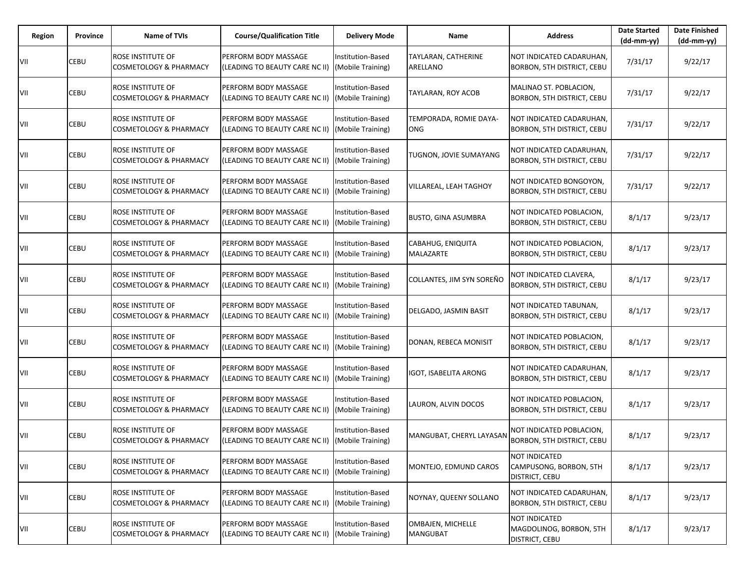| Region | Province | Name of TVIs                                                  | <b>Course/Qualification Title</b>                      | <b>Delivery Mode</b>                          | Name                                  | <b>Address</b>                                                | <b>Date Started</b><br>$(dd-mm-yy)$ | <b>Date Finished</b><br>$(dd-mm-yy)$ |
|--------|----------|---------------------------------------------------------------|--------------------------------------------------------|-----------------------------------------------|---------------------------------------|---------------------------------------------------------------|-------------------------------------|--------------------------------------|
| VII    | CEBU     | ROSE INSTITUTE OF<br><b>COSMETOLOGY &amp; PHARMACY</b>        | PERFORM BODY MASSAGE<br>(LEADING TO BEAUTY CARE NC II) | Institution-Based<br>(Mobile Training)        | TAYLARAN, CATHERINE<br>ARELLANO       | NOT INDICATED CADARUHAN,<br>BORBON, 5TH DISTRICT, CEBU        | 7/31/17                             | 9/22/17                              |
| VII    | CEBU     | ROSE INSTITUTE OF<br><b>COSMETOLOGY &amp; PHARMACY</b>        | PERFORM BODY MASSAGE<br>(LEADING TO BEAUTY CARE NC II) | <b>Institution-Based</b><br>(Mobile Training) | TAYLARAN, ROY ACOB                    | MALINAO ST. POBLACION,<br>BORBON, 5TH DISTRICT, CEBU          | 7/31/17                             | 9/22/17                              |
| VII    | CEBU     | ROSE INSTITUTE OF<br><b>COSMETOLOGY &amp; PHARMACY</b>        | PERFORM BODY MASSAGE<br>(LEADING TO BEAUTY CARE NC II) | <b>Institution-Based</b><br>(Mobile Training) | TEMPORADA, ROMIE DAYA-<br><b>ONG</b>  | NOT INDICATED CADARUHAN,<br>BORBON, 5TH DISTRICT, CEBU        | 7/31/17                             | 9/22/17                              |
| VII    | CEBU     | ROSE INSTITUTE OF<br><b>COSMETOLOGY &amp; PHARMACY</b>        | PERFORM BODY MASSAGE<br>(LEADING TO BEAUTY CARE NC II) | <b>Institution-Based</b><br>(Mobile Training) | TUGNON, JOVIE SUMAYANG                | NOT INDICATED CADARUHAN,<br>BORBON, 5TH DISTRICT, CEBU        | 7/31/17                             | 9/22/17                              |
| VII    | CEBU     | ROSE INSTITUTE OF<br><b>COSMETOLOGY &amp; PHARMACY</b>        | PERFORM BODY MASSAGE<br>(LEADING TO BEAUTY CARE NC II) | <b>Institution-Based</b><br>(Mobile Training) | VILLAREAL, LEAH TAGHOY                | NOT INDICATED BONGOYON,<br>BORBON, 5TH DISTRICT, CEBU         | 7/31/17                             | 9/22/17                              |
| VII    | CEBU     | ROSE INSTITUTE OF<br><b>COSMETOLOGY &amp; PHARMACY</b>        | PERFORM BODY MASSAGE<br>(LEADING TO BEAUTY CARE NC II) | <b>Institution-Based</b><br>(Mobile Training) | <b>BUSTO, GINA ASUMBRA</b>            | NOT INDICATED POBLACION,<br>BORBON, 5TH DISTRICT, CEBU        | 8/1/17                              | 9/23/17                              |
| VII    | CEBU     | <b>ROSE INSTITUTE OF</b><br><b>COSMETOLOGY &amp; PHARMACY</b> | PERFORM BODY MASSAGE<br>(LEADING TO BEAUTY CARE NC II) | <b>Institution-Based</b><br>(Mobile Training) | CABAHUG, ENIQUITA<br><b>MALAZARTE</b> | NOT INDICATED POBLACION,<br><b>BORBON, 5TH DISTRICT, CEBU</b> | 8/1/17                              | 9/23/17                              |
| VII    | CEBU     | <b>ROSE INSTITUTE OF</b><br><b>COSMETOLOGY &amp; PHARMACY</b> | PERFORM BODY MASSAGE<br>(LEADING TO BEAUTY CARE NC II) | Institution-Based<br>(Mobile Training)        | COLLANTES, JIM SYN SORENO             | NOT INDICATED CLAVERA,<br>BORBON, 5TH DISTRICT, CEBU          | 8/1/17                              | 9/23/17                              |
| VII    | CEBU     | ROSE INSTITUTE OF<br><b>COSMETOLOGY &amp; PHARMACY</b>        | PERFORM BODY MASSAGE<br>(LEADING TO BEAUTY CARE NC II) | <b>Institution-Based</b><br>(Mobile Training) | DELGADO, JASMIN BASIT                 | NOT INDICATED TABUNAN,<br>BORBON, 5TH DISTRICT, CEBU          | 8/1/17                              | 9/23/17                              |
| VII    | CEBU     | ROSE INSTITUTE OF<br><b>COSMETOLOGY &amp; PHARMACY</b>        | PERFORM BODY MASSAGE<br>(LEADING TO BEAUTY CARE NC II) | Institution-Based<br>(Mobile Training)        | DONAN, REBECA MONISIT                 | NOT INDICATED POBLACION,<br>BORBON, 5TH DISTRICT, CEBU        | 8/1/17                              | 9/23/17                              |
| VII    | CEBU     | ROSE INSTITUTE OF<br><b>COSMETOLOGY &amp; PHARMACY</b>        | PERFORM BODY MASSAGE<br>(LEADING TO BEAUTY CARE NC II) | Institution-Based<br>(Mobile Training)        | <b>IGOT, ISABELITA ARONG</b>          | NOT INDICATED CADARUHAN,<br>BORBON, 5TH DISTRICT, CEBU        | 8/1/17                              | 9/23/17                              |
| VII    | CEBU     | ROSE INSTITUTE OF<br><b>COSMETOLOGY &amp; PHARMACY</b>        | PERFORM BODY MASSAGE<br>(LEADING TO BEAUTY CARE NC II) | Institution-Based<br>(Mobile Training)        | LAURON, ALVIN DOCOS                   | NOT INDICATED POBLACION,<br><b>BORBON, 5TH DISTRICT, CEBU</b> | 8/1/17                              | 9/23/17                              |
| VII    | CEBU     | ROSE INSTITUTE OF<br><b>COSMETOLOGY &amp; PHARMACY</b>        | PERFORM BODY MASSAGE<br>(LEADING TO BEAUTY CARE NC II) | <b>Institution-Based</b><br>(Mobile Training) | MANGUBAT, CHERYL LAYASAN              | NOT INDICATED POBLACION,<br>BORBON, 5TH DISTRICT, CEBU        | 8/1/17                              | 9/23/17                              |
| VII    | CEBU     | ROSE INSTITUTE OF<br><b>COSMETOLOGY &amp; PHARMACY</b>        | PERFORM BODY MASSAGE<br>(LEADING TO BEAUTY CARE NC II) | Institution-Based<br>(Mobile Training)        | MONTEJO, EDMUND CAROS                 | NOT INDICATED<br>CAMPUSONG, BORBON, 5TH<br>DISTRICT, CEBU     | 8/1/17                              | 9/23/17                              |
| VII    | CEBU     | ROSE INSTITUTE OF<br><b>COSMETOLOGY &amp; PHARMACY</b>        | PERFORM BODY MASSAGE<br>(LEADING TO BEAUTY CARE NC II) | Institution-Based<br>(Mobile Training)        | NOYNAY, QUEENY SOLLANO                | NOT INDICATED CADARUHAN,<br>BORBON, 5TH DISTRICT, CEBU        | 8/1/17                              | 9/23/17                              |
| VII    | CEBU     | ROSE INSTITUTE OF<br><b>COSMETOLOGY &amp; PHARMACY</b>        | PERFORM BODY MASSAGE<br>(LEADING TO BEAUTY CARE NC II) | Institution-Based<br>(Mobile Training)        | OMBAJEN, MICHELLE<br><b>MANGUBAT</b>  | NOT INDICATED<br>MAGDOLINOG, BORBON, 5TH<br>DISTRICT, CEBU    | 8/1/17                              | 9/23/17                              |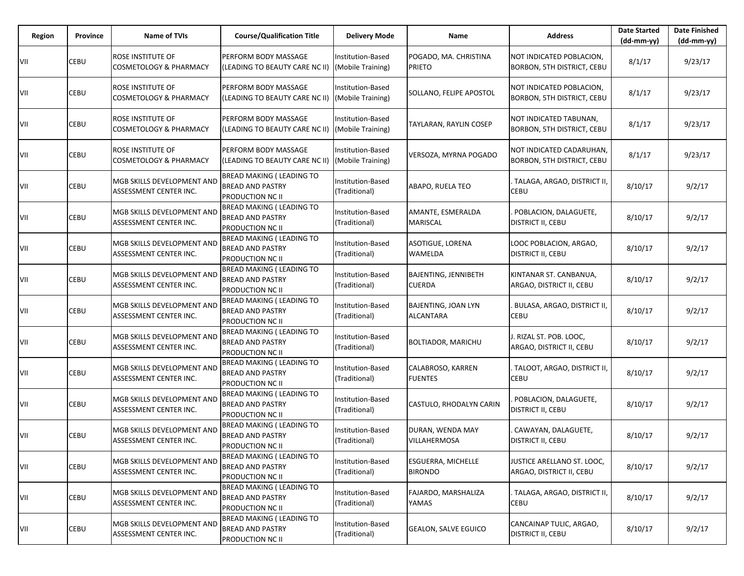| Region | Province | <b>Name of TVIs</b>                                    | <b>Course/Qualification Title</b>                                               | <b>Delivery Mode</b>                   | Name                                           | <b>Address</b>                                         | <b>Date Started</b><br>$(dd-mm-yy)$ | <b>Date Finished</b><br>(dd-mm-yy) |
|--------|----------|--------------------------------------------------------|---------------------------------------------------------------------------------|----------------------------------------|------------------------------------------------|--------------------------------------------------------|-------------------------------------|------------------------------------|
| VII    | CEBU     | ROSE INSTITUTE OF<br><b>COSMETOLOGY &amp; PHARMACY</b> | PERFORM BODY MASSAGE<br>(LEADING TO BEAUTY CARE NC II)                          | Institution-Based<br>(Mobile Training) | POGADO, MA. CHRISTINA<br><b>PRIETO</b>         | NOT INDICATED POBLACION,<br>BORBON, 5TH DISTRICT, CEBU | 8/1/17                              | 9/23/17                            |
| VII    | CEBU     | ROSE INSTITUTE OF<br>COSMETOLOGY & PHARMACY            | PERFORM BODY MASSAGE<br>(LEADING TO BEAUTY CARE NC II)                          | Institution-Based<br>(Mobile Training) | SOLLANO, FELIPE APOSTOL                        | NOT INDICATED POBLACION,<br>BORBON, 5TH DISTRICT, CEBU | 8/1/17                              | 9/23/17                            |
| VII    | CEBU     | ROSE INSTITUTE OF<br><b>COSMETOLOGY &amp; PHARMACY</b> | PERFORM BODY MASSAGE<br>(LEADING TO BEAUTY CARE NC II)                          | Institution-Based<br>(Mobile Training) | TAYLARAN, RAYLIN COSEP                         | NOT INDICATED TABUNAN,<br>BORBON, 5TH DISTRICT, CEBU   | 8/1/17                              | 9/23/17                            |
| VII    | CEBU     | ROSE INSTITUTE OF<br><b>COSMETOLOGY &amp; PHARMACY</b> | PERFORM BODY MASSAGE<br>(LEADING TO BEAUTY CARE NC II)                          | Institution-Based<br>(Mobile Training) | VERSOZA, MYRNA POGADO                          | NOT INDICATED CADARUHAN,<br>BORBON, 5TH DISTRICT, CEBU | 8/1/17                              | 9/23/17                            |
| VII    | CEBU     | MGB SKILLS DEVELOPMENT AND<br>ASSESSMENT CENTER INC.   | <b>BREAD MAKING ( LEADING TO</b><br><b>BREAD AND PASTRY</b><br>PRODUCTION NC II | Institution-Based<br>(Traditional)     | ABAPO, RUELA TEO                               | TALAGA, ARGAO, DISTRICT II,<br>CEBU                    | 8/10/17                             | 9/2/17                             |
| VII    | CEBU     | MGB SKILLS DEVELOPMENT AND<br>ASSESSMENT CENTER INC.   | BREAD MAKING ( LEADING TO<br><b>BREAD AND PASTRY</b><br>PRODUCTION NC II        | Institution-Based<br>(Traditional)     | AMANTE, ESMERALDA<br><b>MARISCAL</b>           | POBLACION, DALAGUETE,<br>DISTRICT II, CEBU             | 8/10/17                             | 9/2/17                             |
| VII    | CEBU     | MGB SKILLS DEVELOPMENT AND<br>ASSESSMENT CENTER INC.   | <b>BREAD MAKING ( LEADING TO</b><br><b>BREAD AND PASTRY</b><br>PRODUCTION NC II | Institution-Based<br>(Traditional)     | ASOTIGUE, LORENA<br>WAMELDA                    | LOOC POBLACION, ARGAO,<br>DISTRICT II, CEBU            | 8/10/17                             | 9/2/17                             |
| VII    | CEBU     | MGB SKILLS DEVELOPMENT AND<br>ASSESSMENT CENTER INC.   | <b>BREAD MAKING ( LEADING TO</b><br><b>BREAD AND PASTRY</b><br>PRODUCTION NC II | Institution-Based<br>(Traditional)     | <b>BAJENTING, JENNIBETH</b><br><b>CUERDA</b>   | KINTANAR ST. CANBANUA,<br>ARGAO, DISTRICT II, CEBU     | 8/10/17                             | 9/2/17                             |
| VII    | CEBU     | MGB SKILLS DEVELOPMENT AND<br>ASSESSMENT CENTER INC.   | <b>BREAD MAKING ( LEADING TO</b><br><b>BREAD AND PASTRY</b><br>PRODUCTION NC II | Institution-Based<br>(Traditional)     | <b>BAJENTING, JOAN LYN</b><br><b>ALCANTARA</b> | BULASA, ARGAO, DISTRICT II,<br>CEBU                    | 8/10/17                             | 9/2/17                             |
| VII    | CEBU     | MGB SKILLS DEVELOPMENT AND<br>ASSESSMENT CENTER INC.   | <b>BREAD MAKING ( LEADING TO</b><br><b>BREAD AND PASTRY</b><br>PRODUCTION NC II | Institution-Based<br>(Traditional)     | <b>BOLTIADOR, MARICHU</b>                      | J. RIZAL ST. POB. LOOC,<br>ARGAO, DISTRICT II, CEBU    | 8/10/17                             | 9/2/17                             |
| VII    | CEBU     | MGB SKILLS DEVELOPMENT AND<br>ASSESSMENT CENTER INC.   | <b>BREAD MAKING ( LEADING TO</b><br><b>BREAD AND PASTRY</b><br>PRODUCTION NC II | Institution-Based<br>(Traditional)     | CALABROSO, KARREN<br><b>FUENTES</b>            | TALOOT, ARGAO, DISTRICT II,<br>CEBU                    | 8/10/17                             | 9/2/17                             |
| VII    | CEBU     | MGB SKILLS DEVELOPMENT AND<br>ASSESSMENT CENTER INC.   | <b>BREAD MAKING ( LEADING TO</b><br><b>BREAD AND PASTRY</b><br>PRODUCTION NC II | Institution-Based<br>(Traditional)     | CASTULO, RHODALYN CARIN                        | POBLACION, DALAGUETE,<br><b>DISTRICT II, CEBU</b>      | 8/10/17                             | 9/2/17                             |
| VII    | CEBU     | MGB SKILLS DEVELOPMENT AND<br>ASSESSMENT CENTER INC.   | <b>BREAD MAKING ( LEADING TO</b><br><b>BREAD AND PASTRY</b><br>PRODUCTION NC II | Institution-Based<br>(Traditional)     | DURAN, WENDA MAY<br><b>VILLAHERMOSA</b>        | CAWAYAN, DALAGUETE,<br><b>DISTRICT II, CEBU</b>        | 8/10/17                             | 9/2/17                             |
| VII    | CEBU     | MGB SKILLS DEVELOPMENT AND<br>ASSESSMENT CENTER INC.   | BREAD MAKING ( LEADING TO<br><b>BREAD AND PASTRY</b><br>PRODUCTION NC II        | Institution-Based<br>(Traditional)     | <b>ESGUERRA, MICHELLE</b><br><b>BIRONDO</b>    | JUSTICE ARELLANO ST. LOOC,<br>ARGAO, DISTRICT II, CEBU | 8/10/17                             | 9/2/17                             |
| VII    | CEBU     | MGB SKILLS DEVELOPMENT AND<br>ASSESSMENT CENTER INC.   | <b>BREAD MAKING ( LEADING TO</b><br><b>BREAD AND PASTRY</b><br>PRODUCTION NC II | Institution-Based<br>(Traditional)     | FAJARDO, MARSHALIZA<br>YAMAS                   | TALAGA, ARGAO, DISTRICT II,<br>CEBU                    | 8/10/17                             | 9/2/17                             |
| VII    | CEBU     | MGB SKILLS DEVELOPMENT AND<br>ASSESSMENT CENTER INC.   | <b>BREAD MAKING ( LEADING TO</b><br><b>BREAD AND PASTRY</b><br>PRODUCTION NC II | Institution-Based<br>(Traditional)     | <b>GEALON, SALVE EGUICO</b>                    | CANCAINAP TULIC, ARGAO,<br><b>DISTRICT II, CEBU</b>    | 8/10/17                             | 9/2/17                             |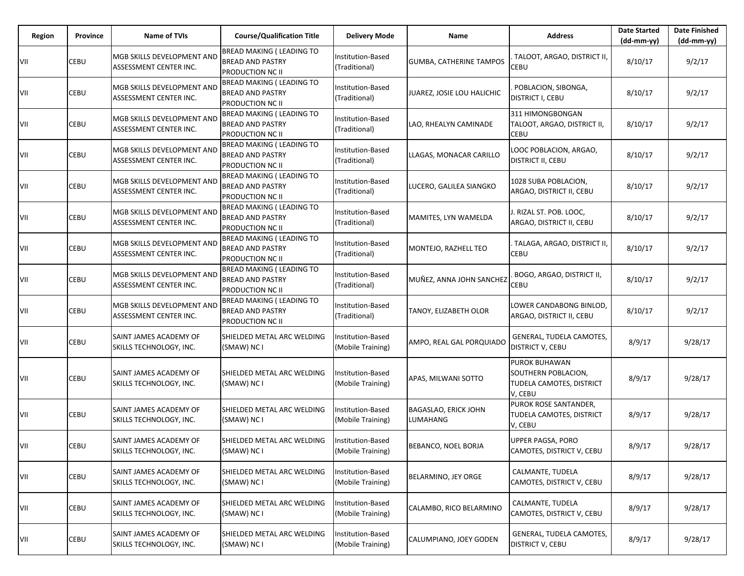| Region | Province | <b>Name of TVIs</b>                                  | <b>Course/Qualification Title</b>                                               | <b>Delivery Mode</b>                   | Name                             | <b>Address</b>                                                              | <b>Date Started</b><br>$(dd-mm-yy)$ | <b>Date Finished</b><br>$(dd-mm-yy)$ |
|--------|----------|------------------------------------------------------|---------------------------------------------------------------------------------|----------------------------------------|----------------------------------|-----------------------------------------------------------------------------|-------------------------------------|--------------------------------------|
| VII    | CEBU     | MGB SKILLS DEVELOPMENT AND<br>ASSESSMENT CENTER INC. | BREAD MAKING ( LEADING TO<br><b>BREAD AND PASTRY</b><br>PRODUCTION NC II        | Institution-Based<br>(Traditional)     | <b>GUMBA, CATHERINE TAMPOS</b>   | TALOOT, ARGAO, DISTRICT II,<br><b>CEBU</b>                                  | 8/10/17                             | 9/2/17                               |
| VII    | CEBU     | MGB SKILLS DEVELOPMENT AND<br>ASSESSMENT CENTER INC. | <b>BREAD MAKING ( LEADING TO</b><br><b>BREAD AND PASTRY</b><br>PRODUCTION NC II | Institution-Based<br>(Traditional)     | JUAREZ, JOSIE LOU HALICHIC       | POBLACION, SIBONGA,<br>DISTRICT I, CEBU                                     | 8/10/17                             | 9/2/17                               |
| VII    | CEBU     | MGB SKILLS DEVELOPMENT AND<br>ASSESSMENT CENTER INC. | BREAD MAKING ( LEADING TO<br><b>BREAD AND PASTRY</b><br>PRODUCTION NC II        | Institution-Based<br>(Traditional)     | LAO, RHEALYN CAMINADE            | 311 HIMONGBONGAN<br>TALOOT, ARGAO, DISTRICT II,<br><b>CEBU</b>              | 8/10/17                             | 9/2/17                               |
| VII    | CEBU     | MGB SKILLS DEVELOPMENT AND<br>ASSESSMENT CENTER INC. | BREAD MAKING ( LEADING TO<br><b>BREAD AND PASTRY</b><br>PRODUCTION NC II        | Institution-Based<br>(Traditional)     | LLAGAS, MONACAR CARILLO          | LOOC POBLACION, ARGAO,<br>DISTRICT II, CEBU                                 | 8/10/17                             | 9/2/17                               |
| VII    | CEBU     | MGB SKILLS DEVELOPMENT AND<br>ASSESSMENT CENTER INC. | <b>BREAD MAKING ( LEADING TO</b><br><b>BREAD AND PASTRY</b><br>PRODUCTION NC II | Institution-Based<br>(Traditional)     | LUCERO, GALILEA SIANGKO          | 1028 SUBA POBLACION,<br>ARGAO, DISTRICT II, CEBU                            | 8/10/17                             | 9/2/17                               |
| VII    | CEBU     | MGB SKILLS DEVELOPMENT AND<br>ASSESSMENT CENTER INC. | <b>BREAD MAKING ( LEADING TO</b><br><b>BREAD AND PASTRY</b><br>PRODUCTION NC II | Institution-Based<br>(Traditional)     | MAMITES, LYN WAMELDA             | J. RIZAL ST. POB. LOOC,<br>ARGAO, DISTRICT II, CEBU                         | 8/10/17                             | 9/2/17                               |
| VII    | CEBU     | MGB SKILLS DEVELOPMENT AND<br>ASSESSMENT CENTER INC. | <b>BREAD MAKING ( LEADING TO</b><br><b>BREAD AND PASTRY</b><br>PRODUCTION NC II | Institution-Based<br>(Traditional)     | MONTEJO, RAZHELL TEO             | TALAGA, ARGAO, DISTRICT II,<br>CEBU                                         | 8/10/17                             | 9/2/17                               |
| VII    | CEBU     | MGB SKILLS DEVELOPMENT AND<br>ASSESSMENT CENTER INC. | <b>BREAD MAKING ( LEADING TO</b><br><b>BREAD AND PASTRY</b><br>PRODUCTION NC II | Institution-Based<br>(Traditional)     | MUÑEZ, ANNA JOHN SANCHEZ         | BOGO, ARGAO, DISTRICT II,<br>CEBU                                           | 8/10/17                             | 9/2/17                               |
| VII    | CEBU     | MGB SKILLS DEVELOPMENT AND<br>ASSESSMENT CENTER INC. | BREAD MAKING ( LEADING TO<br><b>BREAD AND PASTRY</b><br>PRODUCTION NC II        | Institution-Based<br>(Traditional)     | TANOY, ELIZABETH OLOR            | LOWER CANDABONG BINLOD,<br>ARGAO, DISTRICT II, CEBU                         | 8/10/17                             | 9/2/17                               |
| VII    | CEBU     | SAINT JAMES ACADEMY OF<br>SKILLS TECHNOLOGY, INC.    | SHIELDED METAL ARC WELDING<br>(SMAW) NC I                                       | Institution-Based<br>(Mobile Training) | AMPO, REAL GAL PORQUIADO         | GENERAL, TUDELA CAMOTES,<br>DISTRICT V, CEBU                                | 8/9/17                              | 9/28/17                              |
| VII    | CEBU     | SAINT JAMES ACADEMY OF<br>SKILLS TECHNOLOGY, INC.    | SHIELDED METAL ARC WELDING<br>(SMAW) NC I                                       | Institution-Based<br>(Mobile Training) | APAS, MILWANI SOTTO              | PUROK BUHAWAN<br>SOUTHERN POBLACION,<br>TUDELA CAMOTES, DISTRICT<br>V, CEBU | 8/9/17                              | 9/28/17                              |
| VII    | CEBU     | SAINT JAMES ACADEMY OF<br>SKILLS TECHNOLOGY, INC.    | SHIELDED METAL ARC WELDING<br>(SMAW) NC I                                       | Institution-Based<br>(Mobile Training) | BAGASLAO, ERICK JOHN<br>LUMAHANG | PUROK ROSE SANTANDER,<br>TUDELA CAMOTES, DISTRICT<br>V, CEBU                | 8/9/17                              | 9/28/17                              |
| VII    | CEBU     | SAINT JAMES ACADEMY OF<br>SKILLS TECHNOLOGY, INC.    | SHIELDED METAL ARC WELDING<br>(SMAW) NC I                                       | Institution-Based<br>(Mobile Training) | BEBANCO, NOEL BORJA              | <b>UPPER PAGSA, PORO</b><br>CAMOTES, DISTRICT V, CEBU                       | 8/9/17                              | 9/28/17                              |
| VII    | CEBU     | SAINT JAMES ACADEMY OF<br>SKILLS TECHNOLOGY, INC.    | SHIELDED METAL ARC WELDING<br>(SMAW) NC I                                       | Institution-Based<br>(Mobile Training) | BELARMINO, JEY ORGE              | CALMANTE, TUDELA<br>CAMOTES, DISTRICT V, CEBU                               | 8/9/17                              | 9/28/17                              |
| VII    | CEBU     | SAINT JAMES ACADEMY OF<br>SKILLS TECHNOLOGY, INC.    | SHIELDED METAL ARC WELDING<br>(SMAW) NC I                                       | Institution-Based<br>(Mobile Training) | CALAMBO, RICO BELARMINO          | CALMANTE, TUDELA<br>CAMOTES, DISTRICT V, CEBU                               | 8/9/17                              | 9/28/17                              |
| VII    | CEBU     | SAINT JAMES ACADEMY OF<br>SKILLS TECHNOLOGY, INC.    | SHIELDED METAL ARC WELDING<br>(SMAW) NC I                                       | Institution-Based<br>(Mobile Training) | CALUMPIANO, JOEY GODEN           | GENERAL, TUDELA CAMOTES,<br><b>DISTRICT V, CEBU</b>                         | 8/9/17                              | 9/28/17                              |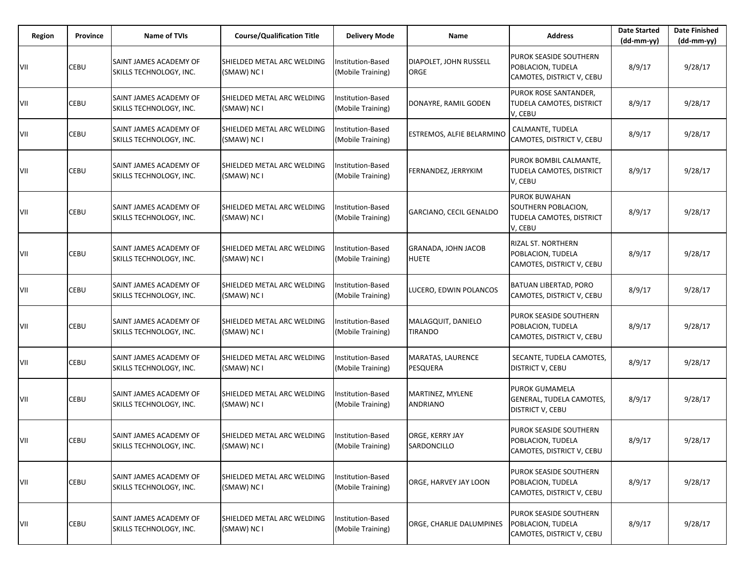| Region | Province | Name of TVIs                                      | <b>Course/Qualification Title</b>         | <b>Delivery Mode</b>                   | Name                                 | <b>Address</b>                                                                     | <b>Date Started</b><br>$(dd-mm-vv)$ | <b>Date Finished</b><br>(dd-mm-yy) |
|--------|----------|---------------------------------------------------|-------------------------------------------|----------------------------------------|--------------------------------------|------------------------------------------------------------------------------------|-------------------------------------|------------------------------------|
| VII    | CEBU     | SAINT JAMES ACADEMY OF<br>SKILLS TECHNOLOGY, INC. | SHIELDED METAL ARC WELDING<br>(SMAW) NC I | Institution-Based<br>(Mobile Training) | DIAPOLET, JOHN RUSSELL<br>ORGE       | PUROK SEASIDE SOUTHERN<br>POBLACION, TUDELA<br>CAMOTES, DISTRICT V, CEBU           | 8/9/17                              | 9/28/17                            |
| VII    | CEBU     | SAINT JAMES ACADEMY OF<br>SKILLS TECHNOLOGY, INC. | SHIELDED METAL ARC WELDING<br>(SMAW) NC I | Institution-Based<br>(Mobile Training) | DONAYRE, RAMIL GODEN                 | PUROK ROSE SANTANDER,<br>TUDELA CAMOTES, DISTRICT<br>V, CEBU                       | 8/9/17                              | 9/28/17                            |
| VII    | CEBU     | SAINT JAMES ACADEMY OF<br>SKILLS TECHNOLOGY, INC. | SHIELDED METAL ARC WELDING<br>(SMAW) NC I | Institution-Based<br>(Mobile Training) | ESTREMOS, ALFIE BELARMINO            | CALMANTE, TUDELA<br>CAMOTES, DISTRICT V, CEBU                                      | 8/9/17                              | 9/28/17                            |
| VII    | CEBU     | SAINT JAMES ACADEMY OF<br>SKILLS TECHNOLOGY, INC. | SHIELDED METAL ARC WELDING<br>(SMAW) NC I | Institution-Based<br>(Mobile Training) | FERNANDEZ, JERRYKIM                  | PUROK BOMBIL CALMANTE,<br>TUDELA CAMOTES, DISTRICT<br>V, CEBU                      | 8/9/17                              | 9/28/17                            |
| VII    | CEBU     | SAINT JAMES ACADEMY OF<br>SKILLS TECHNOLOGY, INC. | SHIELDED METAL ARC WELDING<br>(SMAW) NC I | Institution-Based<br>(Mobile Training) | GARCIANO, CECIL GENALDO              | <b>PUROK BUWAHAN</b><br>SOUTHERN POBLACION,<br>TUDELA CAMOTES, DISTRICT<br>V, CEBU | 8/9/17                              | 9/28/17                            |
| VII    | CEBU     | SAINT JAMES ACADEMY OF<br>SKILLS TECHNOLOGY, INC. | SHIELDED METAL ARC WELDING<br>(SMAW) NC I | Institution-Based<br>(Mobile Training) | GRANADA, JOHN JACOB<br><b>HUETE</b>  | <b>RIZAL ST. NORTHERN</b><br>POBLACION, TUDELA<br>CAMOTES, DISTRICT V, CEBU        | 8/9/17                              | 9/28/17                            |
| VII    | CEBU     | SAINT JAMES ACADEMY OF<br>SKILLS TECHNOLOGY, INC. | SHIELDED METAL ARC WELDING<br>(SMAW) NC I | nstitution-Based<br>(Mobile Training)  | LUCERO, EDWIN POLANCOS               | <b>BATUAN LIBERTAD, PORO</b><br>CAMOTES, DISTRICT V, CEBU                          | 8/9/17                              | 9/28/17                            |
| VII    | CEBU     | SAINT JAMES ACADEMY OF<br>SKILLS TECHNOLOGY, INC. | SHIELDED METAL ARC WELDING<br>(SMAW) NC I | Institution-Based<br>(Mobile Training) | MALAGQUIT, DANIELO<br><b>TIRANDO</b> | <b>PUROK SEASIDE SOUTHERN</b><br>POBLACION, TUDELA<br>CAMOTES, DISTRICT V, CEBU    | 8/9/17                              | 9/28/17                            |
| VII    | CEBU     | SAINT JAMES ACADEMY OF<br>SKILLS TECHNOLOGY, INC. | SHIELDED METAL ARC WELDING<br>(SMAW) NC I | Institution-Based<br>(Mobile Training) | MARATAS, LAURENCE<br>PESQUERA        | SECANTE, TUDELA CAMOTES,<br><b>DISTRICT V, CEBU</b>                                | 8/9/17                              | 9/28/17                            |
| VII    | CEBU     | SAINT JAMES ACADEMY OF<br>SKILLS TECHNOLOGY, INC. | SHIELDED METAL ARC WELDING<br>(SMAW) NC I | Institution-Based<br>(Mobile Training) | MARTINEZ, MYLENE<br><b>ANDRIANO</b>  | <b>PUROK GUMAMELA</b><br>GENERAL, TUDELA CAMOTES,<br><b>DISTRICT V, CEBU</b>       | 8/9/17                              | 9/28/17                            |
| VII    | CEBU     | SAINT JAMES ACADEMY OF<br>SKILLS TECHNOLOGY, INC. | SHIELDED METAL ARC WELDING<br>(SMAW) NC I | Institution-Based<br>(Mobile Training) | ORGE, KERRY JAY<br>SARDONCILLO       | PUROK SEASIDE SOUTHERN<br>POBLACION, TUDELA<br>CAMOTES, DISTRICT V, CEBU           | 8/9/17                              | 9/28/17                            |
| VII    | CEBU     | SAINT JAMES ACADEMY OF<br>SKILLS TECHNOLOGY, INC. | SHIELDED METAL ARC WELDING<br>(SMAW) NC I | Institution-Based<br>(Mobile Training) | ORGE, HARVEY JAY LOON                | PUROK SEASIDE SOUTHERN<br>POBLACION, TUDELA<br>CAMOTES, DISTRICT V, CEBU           | 8/9/17                              | 9/28/17                            |
| VII    | CEBU     | SAINT JAMES ACADEMY OF<br>SKILLS TECHNOLOGY, INC. | SHIELDED METAL ARC WELDING<br>(SMAW) NC I | Institution-Based<br>(Mobile Training) | ORGE, CHARLIE DALUMPINES             | PUROK SEASIDE SOUTHERN<br>POBLACION, TUDELA<br>CAMOTES, DISTRICT V, CEBU           | 8/9/17                              | 9/28/17                            |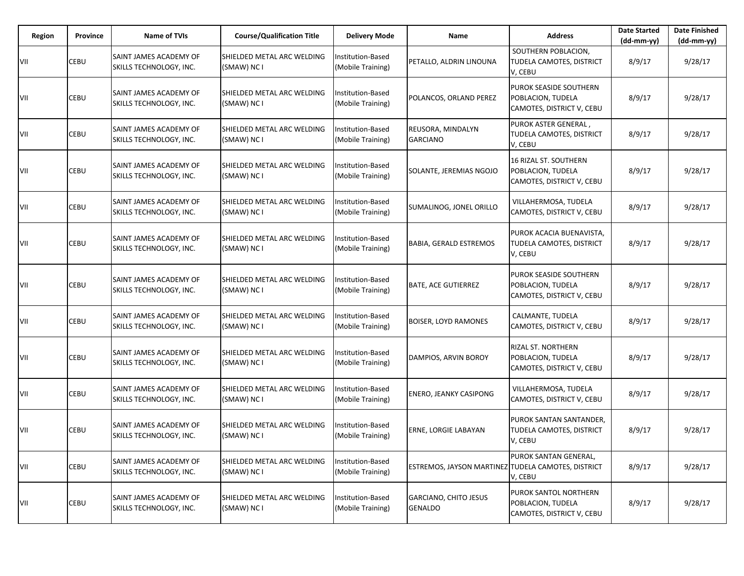| Region | Province | <b>Name of TVIs</b>                               | <b>Course/Qualification Title</b>         | <b>Delivery Mode</b>                   | Name                                               | <b>Address</b>                                                                 | <b>Date Started</b><br>(dd-mm-yy) | <b>Date Finished</b><br>(dd-mm-yy) |
|--------|----------|---------------------------------------------------|-------------------------------------------|----------------------------------------|----------------------------------------------------|--------------------------------------------------------------------------------|-----------------------------------|------------------------------------|
| VII    | CEBU     | SAINT JAMES ACADEMY OF<br>SKILLS TECHNOLOGY, INC. | SHIELDED METAL ARC WELDING<br>(SMAW) NC I | Institution-Based<br>(Mobile Training) | PETALLO, ALDRIN LINOUNA                            | SOUTHERN POBLACION,<br><b>TUDELA CAMOTES, DISTRICT</b><br>V, CEBU              | 8/9/17                            | 9/28/17                            |
| VII    | CEBU     | SAINT JAMES ACADEMY OF<br>SKILLS TECHNOLOGY, INC. | SHIELDED METAL ARC WELDING<br>(SMAW) NC I | Institution-Based<br>(Mobile Training) | POLANCOS, ORLAND PEREZ                             | PUROK SEASIDE SOUTHERN<br>POBLACION, TUDELA<br>CAMOTES, DISTRICT V, CEBU       | 8/9/17                            | 9/28/17                            |
| VII    | CEBU     | SAINT JAMES ACADEMY OF<br>SKILLS TECHNOLOGY, INC. | SHIELDED METAL ARC WELDING<br>(SMAW) NC I | Institution-Based<br>(Mobile Training) | REUSORA, MINDALYN<br><b>GARCIANO</b>               | PUROK ASTER GENERAL,<br>TUDELA CAMOTES, DISTRICT<br>V, CEBU                    | 8/9/17                            | 9/28/17                            |
| VII    | CEBU     | SAINT JAMES ACADEMY OF<br>SKILLS TECHNOLOGY, INC. | SHIELDED METAL ARC WELDING<br>(SMAW) NC I | Institution-Based<br>(Mobile Training) | SOLANTE, JEREMIAS NGOJO                            | <b>16 RIZAL ST. SOUTHERN</b><br>POBLACION, TUDELA<br>CAMOTES, DISTRICT V, CEBU | 8/9/17                            | 9/28/17                            |
| VII    | CEBU     | SAINT JAMES ACADEMY OF<br>SKILLS TECHNOLOGY, INC. | SHIELDED METAL ARC WELDING<br>(SMAW) NC I | Institution-Based<br>(Mobile Training) | SUMALINOG, JONEL ORILLO                            | VILLAHERMOSA, TUDELA<br>CAMOTES, DISTRICT V, CEBU                              | 8/9/17                            | 9/28/17                            |
| VII    | CEBU     | SAINT JAMES ACADEMY OF<br>SKILLS TECHNOLOGY, INC. | SHIELDED METAL ARC WELDING<br>(SMAW) NC I | Institution-Based<br>(Mobile Training) | <b>BABIA, GERALD ESTREMOS</b>                      | PUROK ACACIA BUENAVISTA,<br>TUDELA CAMOTES, DISTRICT<br>V, CEBU                | 8/9/17                            | 9/28/17                            |
| VII    | CEBU     | SAINT JAMES ACADEMY OF<br>SKILLS TECHNOLOGY, INC. | SHIELDED METAL ARC WELDING<br>(SMAW) NC I | Institution-Based<br>(Mobile Training) | <b>BATE, ACE GUTIERREZ</b>                         | PUROK SEASIDE SOUTHERN<br>POBLACION, TUDELA<br>CAMOTES, DISTRICT V, CEBU       | 8/9/17                            | 9/28/17                            |
| VII    | CEBU     | SAINT JAMES ACADEMY OF<br>SKILLS TECHNOLOGY, INC. | SHIELDED METAL ARC WELDING<br>(SMAW) NC I | Institution-Based<br>(Mobile Training) | <b>BOISER, LOYD RAMONES</b>                        | CALMANTE, TUDELA<br>CAMOTES, DISTRICT V, CEBU                                  | 8/9/17                            | 9/28/17                            |
| VII    | CEBU     | SAINT JAMES ACADEMY OF<br>SKILLS TECHNOLOGY, INC. | SHIELDED METAL ARC WELDING<br>(SMAW) NC I | Institution-Based<br>(Mobile Training) | DAMPIOS, ARVIN BOROY                               | <b>RIZAL ST. NORTHERN</b><br>POBLACION, TUDELA<br>CAMOTES, DISTRICT V, CEBU    | 8/9/17                            | 9/28/17                            |
| VII    | CEBU     | SAINT JAMES ACADEMY OF<br>SKILLS TECHNOLOGY, INC. | SHIELDED METAL ARC WELDING<br>(SMAW) NC I | Institution-Based<br>(Mobile Training) | <b>ENERO, JEANKY CASIPONG</b>                      | VILLAHERMOSA, TUDELA<br>CAMOTES, DISTRICT V, CEBU                              | 8/9/17                            | 9/28/17                            |
| VII    | CEBU     | SAINT JAMES ACADEMY OF<br>SKILLS TECHNOLOGY, INC. | SHIELDED METAL ARC WELDING<br>(SMAW) NC I | Institution-Based<br>(Mobile Training) | <b>ERNE, LORGIE LABAYAN</b>                        | PUROK SANTAN SANTANDER,<br>TUDELA CAMOTES, DISTRICT<br>V, CEBU                 | 8/9/17                            | 9/28/17                            |
| VII    | CEBU     | SAINT JAMES ACADEMY OF<br>SKILLS TECHNOLOGY, INC. | SHIELDED METAL ARC WELDING<br>(SMAW) NC I | Institution-Based<br>(Mobile Training) | ESTREMOS, JAYSON MARTINEZ TUDELA CAMOTES, DISTRICT | PUROK SANTAN GENERAL,<br>V, CEBU                                               | 8/9/17                            | 9/28/17                            |
| VII    | CEBU     | SAINT JAMES ACADEMY OF<br>SKILLS TECHNOLOGY, INC. | SHIELDED METAL ARC WELDING<br>(SMAW) NC I | Institution-Based<br>(Mobile Training) | <b>GARCIANO, CHITO JESUS</b><br><b>GENALDO</b>     | <b>PUROK SANTOL NORTHERN</b><br>POBLACION, TUDELA<br>CAMOTES, DISTRICT V, CEBU | 8/9/17                            | 9/28/17                            |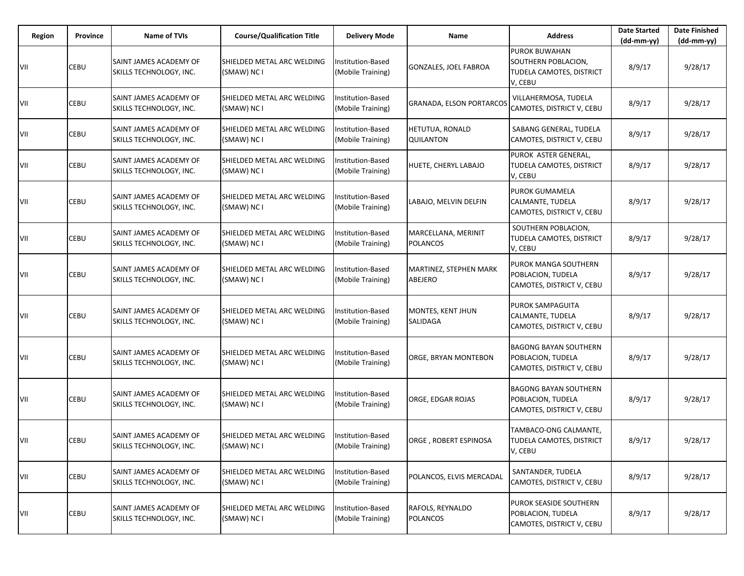| Region | <b>Province</b> | <b>Name of TVIs</b>                               | <b>Course/Qualification Title</b>         | <b>Delivery Mode</b>                   | Name                                   | <b>Address</b>                                                                     | <b>Date Started</b><br>$(dd-mm-yy)$ | <b>Date Finished</b><br>(dd-mm-yy) |
|--------|-----------------|---------------------------------------------------|-------------------------------------------|----------------------------------------|----------------------------------------|------------------------------------------------------------------------------------|-------------------------------------|------------------------------------|
| VII    | CEBU            | SAINT JAMES ACADEMY OF<br>SKILLS TECHNOLOGY, INC. | SHIELDED METAL ARC WELDING<br>(SMAW) NC I | nstitution-Based<br>(Mobile Training)  | GONZALES, JOEL FABROA                  | <b>PUROK BUWAHAN</b><br>SOUTHERN POBLACION,<br>TUDELA CAMOTES, DISTRICT<br>V, CEBU | 8/9/17                              | 9/28/17                            |
| VII    | CEBU            | SAINT JAMES ACADEMY OF<br>SKILLS TECHNOLOGY, INC. | SHIELDED METAL ARC WELDING<br>(SMAW) NC I | Institution-Based<br>(Mobile Training) | <b>GRANADA, ELSON PORTARCOS</b>        | VILLAHERMOSA, TUDELA<br>CAMOTES, DISTRICT V, CEBU                                  | 8/9/17                              | 9/28/17                            |
| VII    | CEBU            | SAINT JAMES ACADEMY OF<br>SKILLS TECHNOLOGY, INC. | SHIELDED METAL ARC WELDING<br>(SMAW) NC I | Institution-Based<br>(Mobile Training) | HETUTUA, RONALD<br><b>QUILANTON</b>    | SABANG GENERAL, TUDELA<br>CAMOTES, DISTRICT V, CEBU                                | 8/9/17                              | 9/28/17                            |
| VII    | CEBU            | SAINT JAMES ACADEMY OF<br>SKILLS TECHNOLOGY, INC. | SHIELDED METAL ARC WELDING<br>(SMAW) NC I | nstitution-Based<br>(Mobile Training)  | HUETE, CHERYL LABAJO                   | PUROK ASTER GENERAL,<br>TUDELA CAMOTES, DISTRICT<br>V, CEBU                        | 8/9/17                              | 9/28/17                            |
| VII    | CEBU            | SAINT JAMES ACADEMY OF<br>SKILLS TECHNOLOGY, INC. | SHIELDED METAL ARC WELDING<br>(SMAW) NC I | Institution-Based<br>(Mobile Training) | LABAJO, MELVIN DELFIN                  | <b>PUROK GUMAMELA</b><br>CALMANTE, TUDELA<br>CAMOTES, DISTRICT V, CEBU             | 8/9/17                              | 9/28/17                            |
| VII    | CEBU            | SAINT JAMES ACADEMY OF<br>SKILLS TECHNOLOGY, INC. | SHIELDED METAL ARC WELDING<br>(SMAW) NC I | Institution-Based<br>(Mobile Training) | MARCELLANA, MERINIT<br><b>POLANCOS</b> | SOUTHERN POBLACION,<br>TUDELA CAMOTES, DISTRICT<br>V, CEBU                         | 8/9/17                              | 9/28/17                            |
| VII    | CEBU            | SAINT JAMES ACADEMY OF<br>SKILLS TECHNOLOGY, INC. | SHIELDED METAL ARC WELDING<br>(SMAW) NC I | Institution-Based<br>(Mobile Training) | MARTINEZ, STEPHEN MARK<br>ABEJERO      | PUROK MANGA SOUTHERN<br>POBLACION, TUDELA<br>CAMOTES, DISTRICT V, CEBU             | 8/9/17                              | 9/28/17                            |
| VII    | CEBU            | SAINT JAMES ACADEMY OF<br>SKILLS TECHNOLOGY, INC. | SHIELDED METAL ARC WELDING<br>(SMAW) NC I | Institution-Based<br>(Mobile Training) | MONTES, KENT JHUN<br>SALIDAGA          | PUROK SAMPAGUITA<br>CALMANTE, TUDELA<br>CAMOTES, DISTRICT V, CEBU                  | 8/9/17                              | 9/28/17                            |
| VII    | CEBU            | SAINT JAMES ACADEMY OF<br>SKILLS TECHNOLOGY, INC. | SHIELDED METAL ARC WELDING<br>(SMAW) NC I | nstitution-Based<br>(Mobile Training)  | ORGE, BRYAN MONTEBON                   | <b>BAGONG BAYAN SOUTHERN</b><br>POBLACION, TUDELA<br>CAMOTES, DISTRICT V, CEBU     | 8/9/17                              | 9/28/17                            |
| VII    | CEBU            | SAINT JAMES ACADEMY OF<br>SKILLS TECHNOLOGY, INC. | SHIELDED METAL ARC WELDING<br>(SMAW) NC I | Institution-Based<br>(Mobile Training) | ORGE, EDGAR ROJAS                      | <b>BAGONG BAYAN SOUTHERN</b><br>POBLACION, TUDELA<br>CAMOTES, DISTRICT V, CEBU     | 8/9/17                              | 9/28/17                            |
| VII    | CEBU            | SAINT JAMES ACADEMY OF<br>SKILLS TECHNOLOGY, INC. | SHIELDED METAL ARC WELDING<br>(SMAW) NC I | Institution-Based<br>(Mobile Training) | ORGE, ROBERT ESPINOSA                  | TAMBACO-ONG CALMANTE,<br>TUDELA CAMOTES, DISTRICT<br>V, CEBU                       | 8/9/17                              | 9/28/17                            |
| VII    | CEBU            | SAINT JAMES ACADEMY OF<br>SKILLS TECHNOLOGY, INC. | SHIELDED METAL ARC WELDING<br>(SMAW) NC I | Institution-Based<br>(Mobile Training) | POLANCOS, ELVIS MERCADAL               | SANTANDER, TUDELA<br>CAMOTES, DISTRICT V, CEBU                                     | 8/9/17                              | 9/28/17                            |
| VII    | CEBU            | SAINT JAMES ACADEMY OF<br>SKILLS TECHNOLOGY, INC. | SHIELDED METAL ARC WELDING<br>(SMAW) NC I | Institution-Based<br>(Mobile Training) | RAFOLS, REYNALDO<br><b>POLANCOS</b>    | PUROK SEASIDE SOUTHERN<br>POBLACION, TUDELA<br>CAMOTES, DISTRICT V, CEBU           | 8/9/17                              | 9/28/17                            |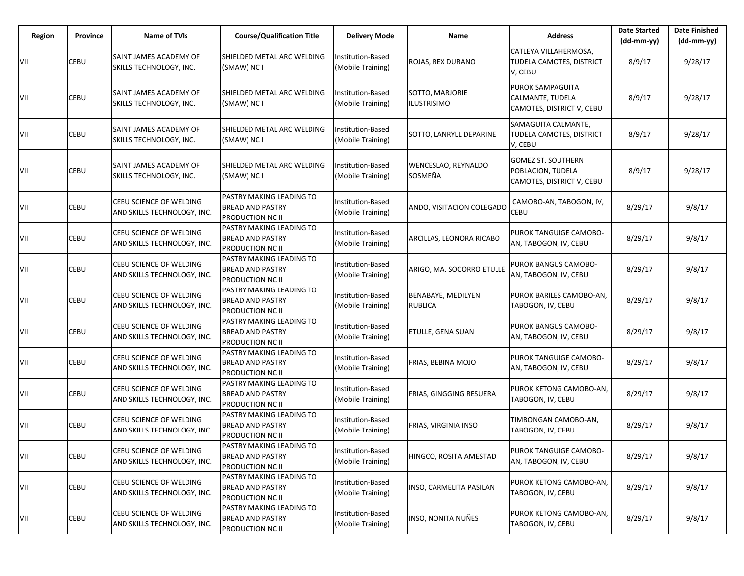| Region | Province | <b>Name of TVIs</b>                                    | <b>Course/Qualification Title</b>                                              | <b>Delivery Mode</b>                   | Name                                  | <b>Address</b>                                                              | <b>Date Started</b><br>$(dd-mm-yy)$ | <b>Date Finished</b><br>$(dd-mm-yy)$ |
|--------|----------|--------------------------------------------------------|--------------------------------------------------------------------------------|----------------------------------------|---------------------------------------|-----------------------------------------------------------------------------|-------------------------------------|--------------------------------------|
| VII    | CEBU     | SAINT JAMES ACADEMY OF<br>SKILLS TECHNOLOGY, INC.      | SHIELDED METAL ARC WELDING<br>(SMAW) NC I                                      | Institution-Based<br>(Mobile Training) | ROJAS, REX DURANO                     | CATLEYA VILLAHERMOSA,<br>TUDELA CAMOTES, DISTRICT<br>V, CEBU                | 8/9/17                              | 9/28/17                              |
| VII    | CEBU     | SAINT JAMES ACADEMY OF<br>SKILLS TECHNOLOGY, INC.      | SHIELDED METAL ARC WELDING<br>(SMAW) NC I                                      | Institution-Based<br>(Mobile Training) | SOTTO, MARJORIE<br><b>ILUSTRISIMO</b> | PUROK SAMPAGUITA<br>CALMANTE, TUDELA<br>CAMOTES, DISTRICT V, CEBU           | 8/9/17                              | 9/28/17                              |
| VII    | CEBU     | SAINT JAMES ACADEMY OF<br>SKILLS TECHNOLOGY, INC.      | SHIELDED METAL ARC WELDING<br>(SMAW) NC I                                      | Institution-Based<br>(Mobile Training) | SOTTO, LANRYLL DEPARINE               | SAMAGUITA CALMANTE,<br>TUDELA CAMOTES, DISTRICT<br>V, CEBU                  | 8/9/17                              | 9/28/17                              |
| VII    | CEBU     | SAINT JAMES ACADEMY OF<br>SKILLS TECHNOLOGY, INC.      | SHIELDED METAL ARC WELDING<br>(SMAW) NC I                                      | Institution-Based<br>(Mobile Training) | WENCESLAO, REYNALDO<br>SOSMEÑA        | <b>GOMEZ ST. SOUTHERN</b><br>POBLACION, TUDELA<br>CAMOTES, DISTRICT V, CEBU | 8/9/17                              | 9/28/17                              |
| VII    | CEBU     | CEBU SCIENCE OF WELDING<br>AND SKILLS TECHNOLOGY, INC. | PASTRY MAKING LEADING TO<br><b>BREAD AND PASTRY</b><br>PRODUCTION NC II        | Institution-Based<br>(Mobile Training) | ANDO, VISITACION COLEGADO             | CAMOBO-AN, TABOGON, IV,<br>CEBU                                             | 8/29/17                             | 9/8/17                               |
| VII    | CEBU     | CEBU SCIENCE OF WELDING<br>AND SKILLS TECHNOLOGY, INC. | PASTRY MAKING LEADING TO<br><b>BREAD AND PASTRY</b><br>PRODUCTION NC II        | Institution-Based<br>(Mobile Training) | ARCILLAS, LEONORA RICABO              | PUROK TANGUIGE CAMOBO-<br>AN, TABOGON, IV, CEBU                             | 8/29/17                             | 9/8/17                               |
| VII    | CEBU     | CEBU SCIENCE OF WELDING<br>AND SKILLS TECHNOLOGY, INC. | PASTRY MAKING LEADING TO<br><b>BREAD AND PASTRY</b><br>PRODUCTION NC II        | Institution-Based<br>(Mobile Training) | ARIGO, MA. SOCORRO ETULLE             | PUROK BANGUS CAMOBO-<br>AN, TABOGON, IV, CEBU                               | 8/29/17                             | 9/8/17                               |
| VII    | CEBU     | CEBU SCIENCE OF WELDING<br>AND SKILLS TECHNOLOGY, INC. | PASTRY MAKING LEADING TO<br><b>BREAD AND PASTRY</b><br>PRODUCTION NC II        | Institution-Based<br>(Mobile Training) | BENABAYE, MEDILYEN<br><b>RUBLICA</b>  | PUROK BARILES CAMOBO-AN,<br>TABOGON, IV, CEBU                               | 8/29/17                             | 9/8/17                               |
| VII    | CEBU     | CEBU SCIENCE OF WELDING<br>AND SKILLS TECHNOLOGY, INC. | PASTRY MAKING LEADING TO<br><b>BREAD AND PASTRY</b><br>PRODUCTION NC II        | Institution-Based<br>(Mobile Training) | <b>ETULLE, GENA SUAN</b>              | PUROK BANGUS CAMOBO-<br>AN, TABOGON, IV, CEBU                               | 8/29/17                             | 9/8/17                               |
| VII    | CEBU     | CEBU SCIENCE OF WELDING<br>AND SKILLS TECHNOLOGY, INC. | PASTRY MAKING LEADING TO<br><b>BREAD AND PASTRY</b><br>PRODUCTION NC II        | Institution-Based<br>(Mobile Training) | FRIAS, BEBINA MOJO                    | PUROK TANGUIGE CAMOBO-<br>AN, TABOGON, IV, CEBU                             | 8/29/17                             | 9/8/17                               |
| VII    | CEBU     | CEBU SCIENCE OF WELDING<br>AND SKILLS TECHNOLOGY, INC. | PASTRY MAKING LEADING TO<br><b>BREAD AND PASTRY</b><br>PRODUCTION NC II        | Institution-Based<br>(Mobile Training) | <b>FRIAS, GINGGING RESUERA</b>        | PUROK KETONG CAMOBO-AN,<br>TABOGON, IV, CEBU                                | 8/29/17                             | 9/8/17                               |
| VII    | CEBU     | CEBU SCIENCE OF WELDING<br>AND SKILLS TECHNOLOGY, INC. | PASTRY MAKING LEADING TO<br><b>BREAD AND PASTRY</b><br>PRODUCTION NC II        | Institution-Based<br>(Mobile Training) | FRIAS, VIRGINIA INSO                  | TIMBONGAN CAMOBO-AN,<br>TABOGON, IV, CEBU                                   | 8/29/17                             | 9/8/17                               |
| VII    | CEBU     | CEBU SCIENCE OF WELDING<br>AND SKILLS TECHNOLOGY, INC. | PASTRY MAKING LEADING TO<br><b>BREAD AND PASTRY</b><br><b>PRODUCTION NC II</b> | Institution-Based<br>(Mobile Training) | HINGCO, ROSITA AMESTAD                | PUROK TANGUIGE CAMOBO-<br>AN, TABOGON, IV, CEBU                             | 8/29/17                             | 9/8/17                               |
| VII    | CEBU     | CEBU SCIENCE OF WELDING<br>AND SKILLS TECHNOLOGY, INC. | PASTRY MAKING LEADING TO<br><b>BREAD AND PASTRY</b><br>PRODUCTION NC II        | Institution-Based<br>(Mobile Training) | INSO, CARMELITA PASILAN               | PUROK KETONG CAMOBO-AN,<br>TABOGON, IV, CEBU                                | 8/29/17                             | 9/8/17                               |
| VII    | CEBU     | CEBU SCIENCE OF WELDING<br>AND SKILLS TECHNOLOGY, INC. | PASTRY MAKING LEADING TO<br><b>BREAD AND PASTRY</b><br>PRODUCTION NC II        | Institution-Based<br>(Mobile Training) | <b>INSO, NONITA NUÑES</b>             | PUROK KETONG CAMOBO-AN,<br>TABOGON, IV, CEBU                                | 8/29/17                             | 9/8/17                               |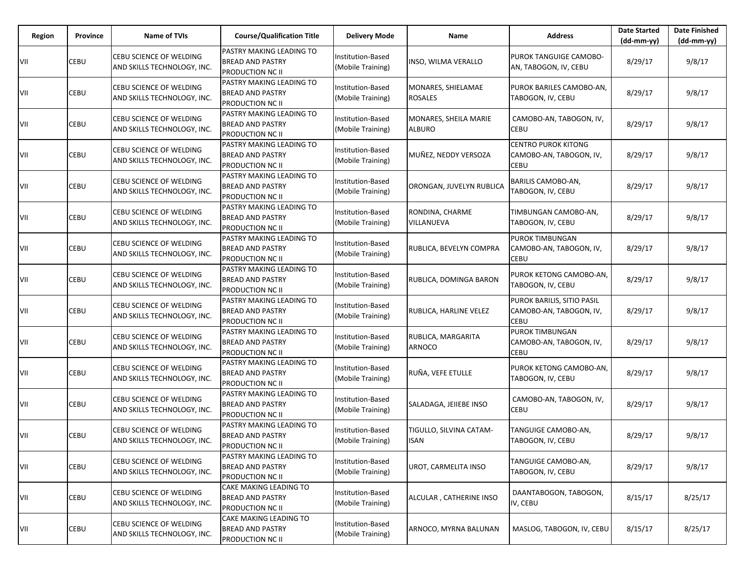| Region | Province | <b>Name of TVIs</b>                                    | <b>Course/Qualification Title</b>                                                     | <b>Delivery Mode</b>                          | Name                                   | <b>Address</b>                                                | <b>Date Started</b><br>(dd-mm-yy) | <b>Date Finished</b><br>$(dd-mm-yy)$ |
|--------|----------|--------------------------------------------------------|---------------------------------------------------------------------------------------|-----------------------------------------------|----------------------------------------|---------------------------------------------------------------|-----------------------------------|--------------------------------------|
| VII    | CEBU     | CEBU SCIENCE OF WELDING<br>AND SKILLS TECHNOLOGY, INC. | <b>PASTRY MAKING LEADING TO</b><br><b>BREAD AND PASTRY</b><br><b>PRODUCTION NC II</b> | Institution-Based<br>(Mobile Training)        | INSO, WILMA VERALLO                    | PUROK TANGUIGE CAMOBO-<br>AN, TABOGON, IV, CEBU               | 8/29/17                           | 9/8/17                               |
| VII    | CEBU     | CEBU SCIENCE OF WELDING<br>AND SKILLS TECHNOLOGY, INC. | PASTRY MAKING LEADING TO<br><b>BREAD AND PASTRY</b><br><b>PRODUCTION NC II</b>        | Institution-Based<br>(Mobile Training)        | MONARES, SHIELAMAE<br><b>ROSALES</b>   | PUROK BARILES CAMOBO-AN,<br>TABOGON, IV, CEBU                 | 8/29/17                           | 9/8/17                               |
| VII    | CEBU     | CEBU SCIENCE OF WELDING<br>AND SKILLS TECHNOLOGY, INC. | PASTRY MAKING LEADING TO<br><b>BREAD AND PASTRY</b><br><b>PRODUCTION NC II</b>        | Institution-Based<br>(Mobile Training)        | MONARES, SHEILA MARIE<br><b>ALBURO</b> | CAMOBO-AN, TABOGON, IV,<br>CEBU                               | 8/29/17                           | 9/8/17                               |
| VII    | CEBU     | CEBU SCIENCE OF WELDING<br>AND SKILLS TECHNOLOGY, INC. | <b>PASTRY MAKING LEADING TO</b><br><b>BREAD AND PASTRY</b><br><b>PRODUCTION NC II</b> | <b>Institution-Based</b><br>(Mobile Training) | MUÑEZ, NEDDY VERSOZA                   | <b>CENTRO PUROK KITONG</b><br>CAMOBO-AN, TABOGON, IV,<br>CEBU | 8/29/17                           | 9/8/17                               |
| VII    | CEBU     | CEBU SCIENCE OF WELDING<br>AND SKILLS TECHNOLOGY, INC. | PASTRY MAKING LEADING TO<br><b>BREAD AND PASTRY</b><br>PRODUCTION NC II               | Institution-Based<br>(Mobile Training)        | ORONGAN, JUVELYN RUBLICA               | BARILIS CAMOBO-AN,<br>TABOGON, IV, CEBU                       | 8/29/17                           | 9/8/17                               |
| VII    | CEBU     | CEBU SCIENCE OF WELDING<br>AND SKILLS TECHNOLOGY, INC. | PASTRY MAKING LEADING TO<br><b>BREAD AND PASTRY</b><br><b>PRODUCTION NC II</b>        | Institution-Based<br>(Mobile Training)        | RONDINA, CHARME<br>VILLANUEVA          | TIMBUNGAN CAMOBO-AN,<br>TABOGON, IV, CEBU                     | 8/29/17                           | 9/8/17                               |
| VII    | CEBU     | CEBU SCIENCE OF WELDING<br>AND SKILLS TECHNOLOGY, INC. | PASTRY MAKING LEADING TO<br><b>BREAD AND PASTRY</b><br>PRODUCTION NC II               | Institution-Based<br>(Mobile Training)        | RUBLICA, BEVELYN COMPRA                | PUROK TIMBUNGAN<br>CAMOBO-AN, TABOGON, IV,<br>CEBU            | 8/29/17                           | 9/8/17                               |
| VII    | CEBU     | CEBU SCIENCE OF WELDING<br>AND SKILLS TECHNOLOGY, INC. | PASTRY MAKING LEADING TO<br><b>BREAD AND PASTRY</b><br><b>PRODUCTION NC II</b>        | <b>Institution-Based</b><br>(Mobile Training) | RUBLICA, DOMINGA BARON                 | PUROK KETONG CAMOBO-AN,<br>TABOGON, IV, CEBU                  | 8/29/17                           | 9/8/17                               |
| VII    | CEBU     | CEBU SCIENCE OF WELDING<br>AND SKILLS TECHNOLOGY, INC. | PASTRY MAKING LEADING TO<br><b>BREAD AND PASTRY</b><br><b>PRODUCTION NC II</b>        | Institution-Based<br>(Mobile Training)        | RUBLICA, HARLINE VELEZ                 | PUROK BARILIS, SITIO PASIL<br>CAMOBO-AN, TABOGON, IV,<br>CEBU | 8/29/17                           | 9/8/17                               |
| VII    | CEBU     | CEBU SCIENCE OF WELDING<br>AND SKILLS TECHNOLOGY, INC. | PASTRY MAKING LEADING TO<br><b>BREAD AND PASTRY</b><br>PRODUCTION NC II               | Institution-Based<br>(Mobile Training)        | RUBLICA, MARGARITA<br>ARNOCO           | <b>PUROK TIMBUNGAN</b><br>CAMOBO-AN, TABOGON, IV,<br>CEBU     | 8/29/17                           | 9/8/17                               |
| VII    | CEBU     | CEBU SCIENCE OF WELDING<br>AND SKILLS TECHNOLOGY, INC. | PASTRY MAKING LEADING TO<br><b>BREAD AND PASTRY</b><br><b>PRODUCTION NC II</b>        | Institution-Based<br>(Mobile Training)        | RUÑA, VEFE ETULLE                      | PUROK KETONG CAMOBO-AN,<br>TABOGON, IV, CEBU                  | 8/29/17                           | 9/8/17                               |
| VII    | CEBU     | CEBU SCIENCE OF WELDING<br>AND SKILLS TECHNOLOGY, INC. | PASTRY MAKING LEADING TO<br><b>BREAD AND PASTRY</b><br><b>PRODUCTION NC II</b>        | Institution-Based<br>(Mobile Training)        | SALADAGA, JEIIEBE INSO                 | CAMOBO-AN, TABOGON, IV,<br><b>CEBU</b>                        | 8/29/17                           | 9/8/17                               |
| VII    | CEBU     | CEBU SCIENCE OF WELDING<br>AND SKILLS TECHNOLOGY, INC. | PASTRY MAKING LEADING TO<br><b>BREAD AND PASTRY</b><br>PRODUCTION NC II               | <b>Institution-Based</b><br>(Mobile Training) | TIGULLO, SILVINA CATAM-<br><b>ISAN</b> | TANGUIGE CAMOBO-AN,<br>TABOGON, IV, CEBU                      | 8/29/17                           | 9/8/17                               |
| VII    | CEBU     | CEBU SCIENCE OF WELDING<br>AND SKILLS TECHNOLOGY, INC. | PASTRY MAKING LEADING TO<br><b>BREAD AND PASTRY</b><br><b>PRODUCTION NC II</b>        | Institution-Based<br>(Mobile Training)        | UROT, CARMELITA INSO                   | TANGUIGE CAMOBO-AN,<br>TABOGON, IV, CEBU                      | 8/29/17                           | 9/8/17                               |
| VII    | CEBU     | CEBU SCIENCE OF WELDING<br>AND SKILLS TECHNOLOGY, INC. | CAKE MAKING LEADING TO<br><b>BREAD AND PASTRY</b><br><b>PRODUCTION NC II</b>          | Institution-Based<br>(Mobile Training)        | ALCULAR, CATHERINE INSO                | DAANTABOGON, TABOGON,<br>IV, CEBU                             | 8/15/17                           | 8/25/17                              |
| VII    | CEBU     | CEBU SCIENCE OF WELDING<br>AND SKILLS TECHNOLOGY, INC. | CAKE MAKING LEADING TO<br><b>BREAD AND PASTRY</b><br>PRODUCTION NC II                 | Institution-Based<br>(Mobile Training)        | ARNOCO, MYRNA BALUNAN                  | MASLOG, TABOGON, IV, CEBU                                     | 8/15/17                           | 8/25/17                              |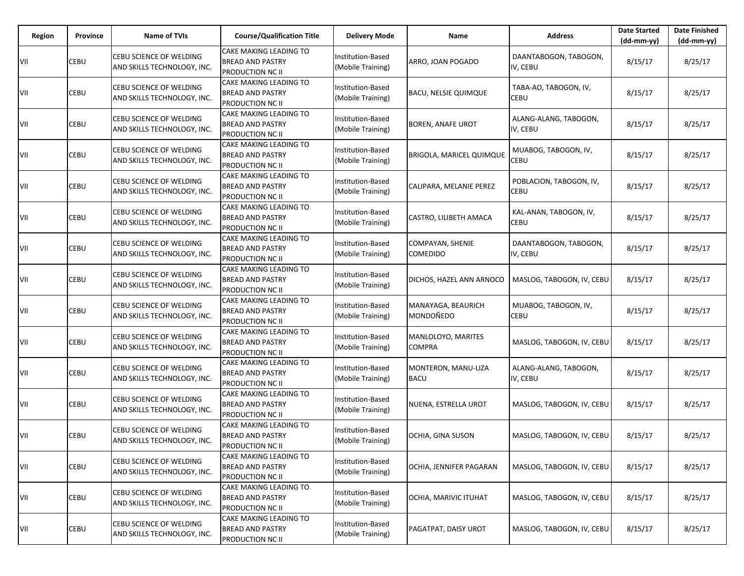| Region | <b>Province</b> | Name of TVIs                                                  | <b>Course/Qualification Title</b>                                            | <b>Delivery Mode</b>                          | Name                                | <b>Address</b>                    | <b>Date Started</b><br>(dd-mm-yy) | <b>Date Finished</b><br>$(dd-mm-yy)$ |
|--------|-----------------|---------------------------------------------------------------|------------------------------------------------------------------------------|-----------------------------------------------|-------------------------------------|-----------------------------------|-----------------------------------|--------------------------------------|
| VII    | CEBU            | CEBU SCIENCE OF WELDING<br>AND SKILLS TECHNOLOGY, INC.        | CAKE MAKING LEADING TO<br><b>BREAD AND PASTRY</b><br><b>PRODUCTION NC II</b> | Institution-Based<br>(Mobile Training)        | ARRO, JOAN POGADO                   | DAANTABOGON, TABOGON,<br>IV, CEBU | 8/15/17                           | 8/25/17                              |
| VII    | CEBU            | CEBU SCIENCE OF WELDING<br>AND SKILLS TECHNOLOGY, INC.        | CAKE MAKING LEADING TO<br><b>BREAD AND PASTRY</b><br><b>PRODUCTION NC II</b> | Institution-Based<br>(Mobile Training)        | <b>BACU, NELSIE QUIMQUE</b>         | TABA-AO, TABOGON, IV,<br>CEBU     | 8/15/17                           | 8/25/17                              |
| VII    | CEBU            | <b>CEBU SCIENCE OF WELDING</b><br>AND SKILLS TECHNOLOGY, INC. | CAKE MAKING LEADING TO<br><b>BREAD AND PASTRY</b><br><b>PRODUCTION NC II</b> | Institution-Based<br>(Mobile Training)        | <b>BOREN, ANAFE UROT</b>            | ALANG-ALANG, TABOGON,<br>IV, CEBU | 8/15/17                           | 8/25/17                              |
| VII    | CEBU            | CEBU SCIENCE OF WELDING<br>AND SKILLS TECHNOLOGY, INC.        | <b>CAKE MAKING LEADING TO</b><br><b>BREAD AND PASTRY</b><br>PRODUCTION NC II | Institution-Based<br>(Mobile Training)        | BRIGOLA, MARICEL QUIMQUE            | MUABOG, TABOGON, IV,<br>CEBU      | 8/15/17                           | 8/25/17                              |
| VII    | CEBU            | CEBU SCIENCE OF WELDING<br>AND SKILLS TECHNOLOGY, INC.        | CAKE MAKING LEADING TO<br><b>BREAD AND PASTRY</b><br><b>PRODUCTION NC II</b> | Institution-Based<br>(Mobile Training)        | CALIPARA, MELANIE PEREZ             | POBLACION, TABOGON, IV,<br>CEBU   | 8/15/17                           | 8/25/17                              |
| VII    | CEBU            | CEBU SCIENCE OF WELDING<br>AND SKILLS TECHNOLOGY, INC.        | CAKE MAKING LEADING TO<br><b>BREAD AND PASTRY</b><br><b>PRODUCTION NC II</b> | Institution-Based<br>(Mobile Training)        | CASTRO, LILIBETH AMACA              | KAL-ANAN, TABOGON, IV,<br>CEBU    | 8/15/17                           | 8/25/17                              |
| VII    | CEBU            | CEBU SCIENCE OF WELDING<br>AND SKILLS TECHNOLOGY, INC.        | CAKE MAKING LEADING TO<br><b>BREAD AND PASTRY</b><br>PRODUCTION NC II        | Institution-Based<br>(Mobile Training)        | COMPAYAN, SHENIE<br><b>COMEDIDO</b> | DAANTABOGON, TABOGON,<br>IV, CEBU | 8/15/17                           | 8/25/17                              |
| VII    | CEBU            | CEBU SCIENCE OF WELDING<br>AND SKILLS TECHNOLOGY, INC.        | CAKE MAKING LEADING TO<br><b>BREAD AND PASTRY</b><br><b>PRODUCTION NC II</b> | <b>Institution-Based</b><br>(Mobile Training) | DICHOS, HAZEL ANN ARNOCO            | MASLOG, TABOGON, IV, CEBU         | 8/15/17                           | 8/25/17                              |
| VII    | CEBU            | CEBU SCIENCE OF WELDING<br>AND SKILLS TECHNOLOGY, INC.        | CAKE MAKING LEADING TO<br><b>BREAD AND PASTRY</b><br>PRODUCTION NC II        | Institution-Based<br>(Mobile Training)        | MANAYAGA, BEAURICH<br>MONDOÑEDO     | MUABOG, TABOGON, IV,<br>CEBU      | 8/15/17                           | 8/25/17                              |
| VII    | CEBU            | CEBU SCIENCE OF WELDING<br>AND SKILLS TECHNOLOGY, INC.        | CAKE MAKING LEADING TO<br><b>BREAD AND PASTRY</b><br><b>PRODUCTION NC II</b> | Institution-Based<br>(Mobile Training)        | MANLOLOYO, MARITES<br><b>COMPRA</b> | MASLOG, TABOGON, IV, CEBU         | 8/15/17                           | 8/25/17                              |
| VII    | CEBU            | CEBU SCIENCE OF WELDING<br>AND SKILLS TECHNOLOGY, INC.        | CAKE MAKING LEADING TO<br><b>BREAD AND PASTRY</b><br><b>PRODUCTION NC II</b> | Institution-Based<br>(Mobile Training)        | MONTERON, MANU-LIZA<br><b>BACU</b>  | ALANG-ALANG, TABOGON,<br>IV, CEBU | 8/15/17                           | 8/25/17                              |
| VII    | CEBU            | CEBU SCIENCE OF WELDING<br>AND SKILLS TECHNOLOGY, INC.        | CAKE MAKING LEADING TO<br><b>BREAD AND PASTRY</b><br><b>PRODUCTION NC II</b> | Institution-Based<br>(Mobile Training)        | NUENA, ESTRELLA UROT                | MASLOG, TABOGON, IV, CEBU         | 8/15/17                           | 8/25/17                              |
| VII    | CEBU            | CEBU SCIENCE OF WELDING<br>AND SKILLS TECHNOLOGY, INC.        | CAKE MAKING LEADING TO<br><b>BREAD AND PASTRY</b><br>PRODUCTION NC II        | <b>Institution-Based</b><br>(Mobile Training) | OCHIA, GINA SUSON                   | MASLOG, TABOGON, IV, CEBU         | 8/15/17                           | 8/25/17                              |
| VII    | CEBU            | CEBU SCIENCE OF WELDING<br>AND SKILLS TECHNOLOGY, INC.        | CAKE MAKING LEADING TO<br><b>BREAD AND PASTRY</b><br><b>PRODUCTION NC II</b> | Institution-Based<br>(Mobile Training)        | OCHIA, JENNIFER PAGARAN             | MASLOG, TABOGON, IV, CEBU         | 8/15/17                           | 8/25/17                              |
| VII    | CEBU            | CEBU SCIENCE OF WELDING<br>AND SKILLS TECHNOLOGY, INC.        | CAKE MAKING LEADING TO<br><b>BREAD AND PASTRY</b><br><b>PRODUCTION NC II</b> | Institution-Based<br>(Mobile Training)        | OCHIA, MARIVIC ITUHAT               | MASLOG, TABOGON, IV, CEBU         | 8/15/17                           | 8/25/17                              |
| VII    | CEBU            | CEBU SCIENCE OF WELDING<br>AND SKILLS TECHNOLOGY, INC.        | CAKE MAKING LEADING TO<br><b>BREAD AND PASTRY</b><br>PRODUCTION NC II        | Institution-Based<br>(Mobile Training)        | PAGATPAT, DAISY UROT                | MASLOG, TABOGON, IV, CEBU         | 8/15/17                           | 8/25/17                              |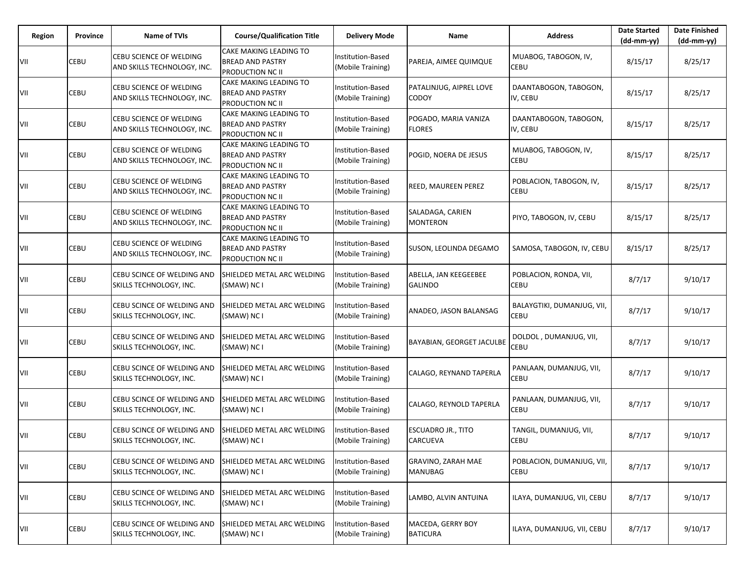| Region | Province | <b>Name of TVIs</b>                                           | <b>Course/Qualification Title</b>                                                   | <b>Delivery Mode</b>                          | Name                                    | <b>Address</b>                        | <b>Date Started</b><br>$(dd-mm-yy)$ | <b>Date Finished</b><br>$(dd-mm-yy)$ |
|--------|----------|---------------------------------------------------------------|-------------------------------------------------------------------------------------|-----------------------------------------------|-----------------------------------------|---------------------------------------|-------------------------------------|--------------------------------------|
| VII    | CEBU     | <b>CEBU SCIENCE OF WELDING</b><br>AND SKILLS TECHNOLOGY, INC. | <b>CAKE MAKING LEADING TO</b><br><b>BREAD AND PASTRY</b><br><b>PRODUCTION NC II</b> | Institution-Based<br>(Mobile Training)        | PAREJA, AIMEE QUIMQUE                   | MUABOG, TABOGON, IV,<br>CEBU          | 8/15/17                             | 8/25/17                              |
| VII    | CEBU     | CEBU SCIENCE OF WELDING<br>AND SKILLS TECHNOLOGY, INC.        | CAKE MAKING LEADING TO<br><b>BREAD AND PASTRY</b><br><b>PRODUCTION NC II</b>        | Institution-Based<br>(Mobile Training)        | PATALINJUG, AIPREL LOVE<br>CODOY        | DAANTABOGON, TABOGON,<br>IV, CEBU     | 8/15/17                             | 8/25/17                              |
| VII    | CEBU     | CEBU SCIENCE OF WELDING<br>AND SKILLS TECHNOLOGY, INC.        | CAKE MAKING LEADING TO<br><b>BREAD AND PASTRY</b><br><b>PRODUCTION NC II</b>        | Institution-Based<br>(Mobile Training)        | POGADO, MARIA VANIZA<br><b>FLORES</b>   | DAANTABOGON, TABOGON,<br>IV, CEBU     | 8/15/17                             | 8/25/17                              |
| VII    | CEBU     | CEBU SCIENCE OF WELDING<br>AND SKILLS TECHNOLOGY, INC.        | <b>CAKE MAKING LEADING TO</b><br><b>BREAD AND PASTRY</b><br>PRODUCTION NC II        | Institution-Based<br>(Mobile Training)        | POGID, NOERA DE JESUS                   | MUABOG, TABOGON, IV,<br>CEBU          | 8/15/17                             | 8/25/17                              |
| VII    | CEBU     | CEBU SCIENCE OF WELDING<br>AND SKILLS TECHNOLOGY, INC.        | CAKE MAKING LEADING TO<br><b>BREAD AND PASTRY</b><br><b>PRODUCTION NC II</b>        | Institution-Based<br>(Mobile Training)        | REED, MAUREEN PEREZ                     | POBLACION, TABOGON, IV,<br>CEBU       | 8/15/17                             | 8/25/17                              |
| VII    | CEBU     | CEBU SCIENCE OF WELDING<br>AND SKILLS TECHNOLOGY, INC.        | <b>CAKE MAKING LEADING TO</b><br><b>BREAD AND PASTRY</b><br><b>PRODUCTION NC II</b> | Institution-Based<br>(Mobile Training)        | SALADAGA, CARIEN<br><b>MONTERON</b>     | PIYO, TABOGON, IV, CEBU               | 8/15/17                             | 8/25/17                              |
| VII    | CEBU     | CEBU SCIENCE OF WELDING<br>AND SKILLS TECHNOLOGY, INC.        | CAKE MAKING LEADING TO<br><b>BREAD AND PASTRY</b><br>PRODUCTION NC II               | Institution-Based<br>(Mobile Training)        | SUSON, LEOLINDA DEGAMO                  | SAMOSA, TABOGON, IV, CEBU             | 8/15/17                             | 8/25/17                              |
| VII    | CEBU     | CEBU SCINCE OF WELDING AND<br>SKILLS TECHNOLOGY, INC.         | SHIELDED METAL ARC WELDING<br>(SMAW) NC I                                           | <b>Institution-Based</b><br>(Mobile Training) | ABELLA, JAN KEEGEEBEE<br><b>GALINDO</b> | POBLACION, RONDA, VII,<br>CEBU        | 8/7/17                              | 9/10/17                              |
| VII    | CEBU     | CEBU SCINCE OF WELDING AND<br>SKILLS TECHNOLOGY, INC.         | SHIELDED METAL ARC WELDING<br>(SMAW) NC I                                           | Institution-Based<br>(Mobile Training)        | ANADEO, JASON BALANSAG                  | BALAYGTIKI, DUMANJUG, VII,<br>CEBU    | 8/7/17                              | 9/10/17                              |
| VII    | CEBU     | CEBU SCINCE OF WELDING AND<br>SKILLS TECHNOLOGY, INC.         | SHIELDED METAL ARC WELDING<br>(SMAW) NC I                                           | Institution-Based<br>(Mobile Training)        | BAYABIAN, GEORGET JACULBE               | DOLDOL, DUMANJUG, VII,<br>CEBU        | 8/7/17                              | 9/10/17                              |
| VII    | CEBU     | CEBU SCINCE OF WELDING AND<br>SKILLS TECHNOLOGY, INC.         | SHIELDED METAL ARC WELDING<br>(SMAW) NC I                                           | Institution-Based<br>(Mobile Training)        | CALAGO, REYNAND TAPERLA                 | PANLAAN, DUMANJUG, VII,<br>CEBU       | 8/7/17                              | 9/10/17                              |
| VII    | CEBU     | CEBU SCINCE OF WELDING AND<br>SKILLS TECHNOLOGY, INC.         | SHIELDED METAL ARC WELDING<br>(SMAW) NC I                                           | Institution-Based<br>(Mobile Training)        | CALAGO, REYNOLD TAPERLA                 | PANLAAN, DUMANJUG, VII,<br>CEBU       | 8/7/17                              | 9/10/17                              |
| VII    | CEBU     | CEBU SCINCE OF WELDING AND<br>SKILLS TECHNOLOGY, INC.         | SHIELDED METAL ARC WELDING<br>(SMAW) NC I                                           | <b>Institution-Based</b><br>(Mobile Training) | <b>ESCUADRO JR., TITO</b><br>CARCUEVA   | TANGIL, DUMANJUG, VII,<br><b>CEBU</b> | 8/7/17                              | 9/10/17                              |
| VII    | CEBU     | CEBU SCINCE OF WELDING AND<br>SKILLS TECHNOLOGY, INC.         | SHIELDED METAL ARC WELDING<br>(SMAW) NC I                                           | <b>Institution-Based</b><br>(Mobile Training) | GRAVINO, ZARAH MAE<br><b>MANUBAG</b>    | POBLACION, DUMANJUG, VII,<br>CEBU     | 8/7/17                              | 9/10/17                              |
| VII    | CEBU     | CEBU SCINCE OF WELDING AND<br>SKILLS TECHNOLOGY, INC.         | SHIELDED METAL ARC WELDING<br>(SMAW) NC I                                           | Institution-Based<br>(Mobile Training)        | LAMBO, ALVIN ANTUINA                    | ILAYA, DUMANJUG, VII, CEBU            | 8/7/17                              | 9/10/17                              |
| VII    | CEBU     | CEBU SCINCE OF WELDING AND<br>SKILLS TECHNOLOGY, INC.         | SHIELDED METAL ARC WELDING<br>(SMAW) NC I                                           | Institution-Based<br>(Mobile Training)        | MACEDA, GERRY BOY<br><b>BATICURA</b>    | ILAYA, DUMANJUG, VII, CEBU            | 8/7/17                              | 9/10/17                              |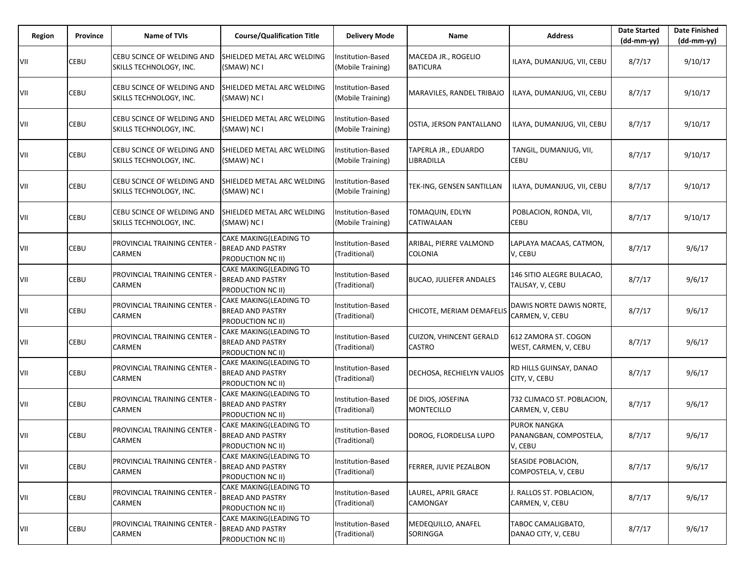| Region | Province | Name of TVIs                                          | <b>Course/Qualification Title</b>                                      | <b>Delivery Mode</b>                   | Name                                     | <b>Address</b>                                           | <b>Date Started</b><br>$(dd-mm-yy)$ | <b>Date Finished</b><br>(dd-mm-yy) |
|--------|----------|-------------------------------------------------------|------------------------------------------------------------------------|----------------------------------------|------------------------------------------|----------------------------------------------------------|-------------------------------------|------------------------------------|
| VII    | CEBU     | CEBU SCINCE OF WELDING AND<br>SKILLS TECHNOLOGY, INC. | SHIELDED METAL ARC WELDING<br>(SMAW) NC I                              | Institution-Based<br>(Mobile Training) | MACEDA JR., ROGELIO<br><b>BATICURA</b>   | ILAYA, DUMANJUG, VII, CEBU                               | 8/7/17                              | 9/10/17                            |
| VII    | CEBU     | CEBU SCINCE OF WELDING AND<br>SKILLS TECHNOLOGY, INC. | SHIELDED METAL ARC WELDING<br>(SMAW) NC I                              | nstitution-Based<br>(Mobile Training)  | MARAVILES, RANDEL TRIBAJO                | ILAYA, DUMANJUG, VII, CEBU                               | 8/7/17                              | 9/10/17                            |
| VII    | CEBU     | CEBU SCINCE OF WELDING AND<br>SKILLS TECHNOLOGY, INC. | SHIELDED METAL ARC WELDING<br>(SMAW) NC I                              | Institution-Based<br>(Mobile Training) | OSTIA, JERSON PANTALLANO                 | ILAYA, DUMANJUG, VII, CEBU                               | 8/7/17                              | 9/10/17                            |
| VII    | CEBU     | CEBU SCINCE OF WELDING AND<br>SKILLS TECHNOLOGY, INC. | SHIELDED METAL ARC WELDING<br>(SMAW) NC I                              | nstitution-Based<br>(Mobile Training)  | TAPERLA JR., EDUARDO<br>LIBRADILLA       | TANGIL, DUMANJUG, VII,<br><b>CEBU</b>                    | 8/7/17                              | 9/10/17                            |
| VII    | CEBU     | CEBU SCINCE OF WELDING AND<br>SKILLS TECHNOLOGY, INC. | SHIELDED METAL ARC WELDING<br>(SMAW) NC I                              | Institution-Based<br>(Mobile Training) | TEK-ING, GENSEN SANTILLAN                | ILAYA, DUMANJUG, VII, CEBU                               | 8/7/17                              | 9/10/17                            |
| VII    | CEBU     | CEBU SCINCE OF WELDING AND<br>SKILLS TECHNOLOGY, INC. | SHIELDED METAL ARC WELDING<br>(SMAW) NC I                              | nstitution-Based<br>(Mobile Training)  | TOMAQUIN, EDLYN<br>CATIWALAAN            | POBLACION, RONDA, VII,<br><b>CEBU</b>                    | 8/7/17                              | 9/10/17                            |
| VII    | CEBU     | PROVINCIAL TRAINING CENTER -<br>CARMEN                | CAKE MAKING(LEADING TO<br><b>BREAD AND PASTRY</b><br>PRODUCTION NC II) | Institution-Based<br>(Traditional)     | ARIBAL, PIERRE VALMOND<br>COLONIA        | LAPLAYA MACAAS, CATMON,<br>V, CEBU                       | 8/7/17                              | 9/6/17                             |
| VII    | CEBU     | PROVINCIAL TRAINING CENTER<br>CARMEN                  | CAKE MAKING(LEADING TO<br><b>BREAD AND PASTRY</b><br>PRODUCTION NC II) | Institution-Based<br>(Traditional)     | <b>BUCAO, JULIEFER ANDALES</b>           | 146 SITIO ALEGRE BULACAO,<br>TALISAY, V, CEBU            | 8/7/17                              | 9/6/17                             |
| VII    | CEBU     | PROVINCIAL TRAINING CENTER -<br>CARMEN                | CAKE MAKING(LEADING TO<br><b>BREAD AND PASTRY</b><br>PRODUCTION NC II) | Institution-Based<br>(Traditional)     | CHICOTE, MERIAM DEMAFELIS                | DAWIS NORTE DAWIS NORTE,<br>CARMEN, V, CEBU              | 8/7/17                              | 9/6/17                             |
| VII    | CEBU     | PROVINCIAL TRAINING CENTER<br>CARMEN                  | CAKE MAKING(LEADING TO<br><b>BREAD AND PASTRY</b><br>PRODUCTION NC II) | Institution-Based<br>(Traditional)     | <b>CUIZON, VHINCENT GERALD</b><br>CASTRO | 612 ZAMORA ST. COGON<br>WEST, CARMEN, V, CEBU            | 8/7/17                              | 9/6/17                             |
| VII    | CEBU     | PROVINCIAL TRAINING CENTER -<br>CARMEN                | CAKE MAKING(LEADING TO<br><b>BREAD AND PASTRY</b><br>PRODUCTION NC II) | Institution-Based<br>(Traditional)     | DECHOSA, RECHIELYN VALIOS                | RD HILLS GUINSAY, DANAO<br>CITY, V, CEBU                 | 8/7/17                              | 9/6/17                             |
| VII    | CEBU     | PROVINCIAL TRAINING CENTER<br><b>CARMEN</b>           | CAKE MAKING(LEADING TO<br><b>BREAD AND PASTRY</b><br>PRODUCTION NC II) | Institution-Based<br>(Traditional)     | DE DIOS, JOSEFINA<br><b>MONTECILLO</b>   | 732 CLIMACO ST. POBLACION,<br>CARMEN, V, CEBU            | 8/7/17                              | 9/6/17                             |
| VII    | CEBU     | PROVINCIAL TRAINING CENTER<br><b>CARMEN</b>           | CAKE MAKING(LEADING TO<br>BREAD AND PASTRY<br>PRODUCTION NC II)        | nstitution-Based<br>(Traditional)      | DOROG, FLORDELISA LUPO                   | <b>PUROK NANGKA</b><br>PANANGBAN, COMPOSTELA,<br>V, CEBU | 8/7/17                              | 9/6/17                             |
| VII    | CEBU     | <b>PROVINCIAL TRAINING CENTER</b><br><b>CARMEN</b>    | CAKE MAKING(LEADING TO<br><b>BREAD AND PASTRY</b><br>PRODUCTION NC II) | Institution-Based<br>(Traditional)     | FERRER, JUVIE PEZALBON                   | SEASIDE POBLACION.<br>COMPOSTELA, V, CEBU                | 8/7/17                              | 9/6/17                             |
| VII    | CEBU     | PROVINCIAL TRAINING CENTER -<br><b>CARMEN</b>         | CAKE MAKING(LEADING TO<br><b>BREAD AND PASTRY</b><br>PRODUCTION NC II) | Institution-Based<br>(Traditional)     | LAUREL, APRIL GRACE<br>CAMONGAY          | J. RALLOS ST. POBLACION,<br>CARMEN, V, CEBU              | 8/7/17                              | 9/6/17                             |
| VII    | CEBU     | PROVINCIAL TRAINING CENTER<br>CARMEN                  | CAKE MAKING(LEADING TO<br><b>BREAD AND PASTRY</b><br>PRODUCTION NC II) | Institution-Based<br>(Traditional)     | MEDEQUILLO, ANAFEL<br>SORINGGA           | TABOC CAMALIGBATO,<br>DANAO CITY, V, CEBU                | 8/7/17                              | 9/6/17                             |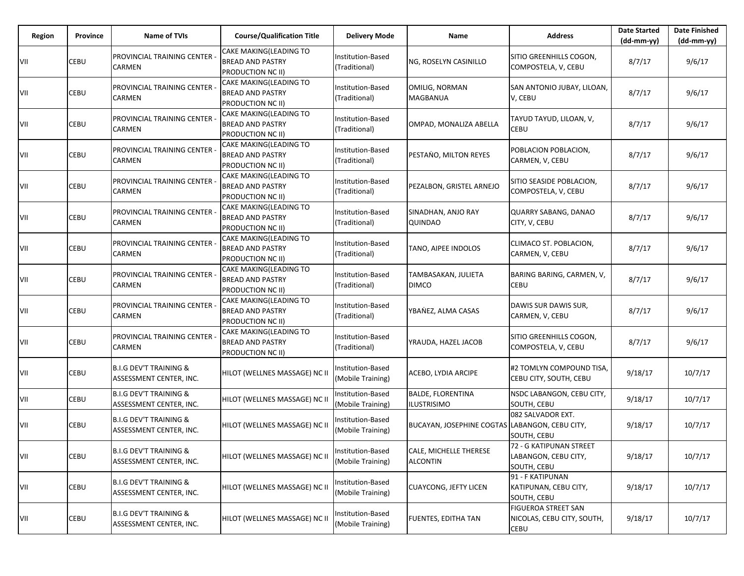| Region | Province | <b>Name of TVIs</b>                                          | <b>Course/Qualification Title</b>                                             | <b>Delivery Mode</b>                          | Name                                           | <b>Address</b>                                                 | <b>Date Started</b><br>$(dd-mm-yy)$ | <b>Date Finished</b><br>(dd-mm-yy) |
|--------|----------|--------------------------------------------------------------|-------------------------------------------------------------------------------|-----------------------------------------------|------------------------------------------------|----------------------------------------------------------------|-------------------------------------|------------------------------------|
| VII    | CEBU     | PROVINCIAL TRAINING CENTER<br>CARMEN                         | CAKE MAKING(LEADING TO<br><b>BREAD AND PASTRY</b><br>PRODUCTION NC II)        | Institution-Based<br>(Traditional)            | NG, ROSELYN CASINILLO                          | SITIO GREENHILLS COGON,<br>COMPOSTELA, V, CEBU                 | 8/7/17                              | 9/6/17                             |
| VII    | CEBU     | PROVINCIAL TRAINING CENTER<br>CARMEN                         | CAKE MAKING(LEADING TO<br><b>BREAD AND PASTRY</b><br>PRODUCTION NC II)        | Institution-Based<br>(Traditional)            | OMILIG, NORMAN<br><b>MAGBANUA</b>              | SAN ANTONIO JUBAY, LILOAN,<br>V, CEBU                          | 8/7/17                              | 9/6/17                             |
| VII    | CEBU     | PROVINCIAL TRAINING CENTER<br>CARMEN                         | CAKE MAKING(LEADING TO<br><b>BREAD AND PASTRY</b><br>PRODUCTION NC II)        | Institution-Based<br>(Traditional)            | OMPAD, MONALIZA ABELLA                         | TAYUD TAYUD, LILOAN, V,<br>CEBU                                | 8/7/17                              | 9/6/17                             |
| VII    | CEBU     | PROVINCIAL TRAINING CENTER<br>CARMEN                         | CAKE MAKING(LEADING TO<br><b>BREAD AND PASTRY</b><br>PRODUCTION NC II)        | <b>Institution-Based</b><br>(Traditional)     | PESTANO, MILTON REYES                          | POBLACION POBLACION,<br>CARMEN, V, CEBU                        | 8/7/17                              | 9/6/17                             |
| VII    | CEBU     | PROVINCIAL TRAINING CENTER<br>CARMEN                         | CAKE MAKING(LEADING TO<br><b>BREAD AND PASTRY</b><br>PRODUCTION NC II)        | <b>Institution-Based</b><br>(Traditional)     | PEZALBON, GRISTEL ARNEJO                       | SITIO SEASIDE POBLACION,<br>COMPOSTELA, V, CEBU                | 8/7/17                              | 9/6/17                             |
| VII    | CEBU     | PROVINCIAL TRAINING CENTER<br>CARMEN                         | CAKE MAKING(LEADING TO<br><b>BREAD AND PASTRY</b><br>PRODUCTION NC II)        | Institution-Based<br>(Traditional)            | SINADHAN, ANJO RAY<br>QUINDAO                  | QUARRY SABANG, DANAO<br>CITY, V, CEBU                          | 8/7/17                              | 9/6/17                             |
| VII    | CEBU     | PROVINCIAL TRAINING CENTER<br>CARMEN                         | CAKE MAKING(LEADING TO<br><b>BREAD AND PASTRY</b><br><b>PRODUCTION NC II)</b> | Institution-Based<br>(Traditional)            | TANO, AIPEE INDOLOS                            | CLIMACO ST. POBLACION,<br>CARMEN, V, CEBU                      | 8/7/17                              | 9/6/17                             |
| VII    | CEBU     | PROVINCIAL TRAINING CENTER<br>CARMEN                         | CAKE MAKING(LEADING TO<br><b>BREAD AND PASTRY</b><br>PRODUCTION NC II)        | <b>Institution-Based</b><br>(Traditional)     | TAMBASAKAN, JULIETA<br><b>DIMCO</b>            | BARING BARING, CARMEN, V,<br><b>CEBU</b>                       | 8/7/17                              | 9/6/17                             |
| VII    | CEBU     | PROVINCIAL TRAINING CENTER<br>CARMEN                         | CAKE MAKING(LEADING TO<br><b>BREAD AND PASTRY</b><br>PRODUCTION NC II)        | Institution-Based<br>(Traditional)            | YBANEZ, ALMA CASAS                             | DAWIS SUR DAWIS SUR,<br>CARMEN, V, CEBU                        | 8/7/17                              | 9/6/17                             |
| VII    | CEBU     | PROVINCIAL TRAINING CENTER<br>CARMEN                         | CAKE MAKING(LEADING TO<br><b>BREAD AND PASTRY</b><br>PRODUCTION NC II)        | Institution-Based<br>(Traditional)            | YRAUDA, HAZEL JACOB                            | SITIO GREENHILLS COGON,<br>COMPOSTELA, V, CEBU                 | 8/7/17                              | 9/6/17                             |
| VII    | CEBU     | <b>B.I.G DEV'T TRAINING &amp;</b><br>ASSESSMENT CENTER, INC. | HILOT (WELLNES MASSAGE) NC II                                                 | Institution-Based<br>(Mobile Training)        | ACEBO, LYDIA ARCIPE                            | #2 TOMLYN COMPOUND TISA,<br>CEBU CITY, SOUTH, CEBU             | 9/18/17                             | 10/7/17                            |
| VII    | CEBU     | <b>B.I.G DEV'T TRAINING &amp;</b><br>ASSESSMENT CENTER, INC. | HILOT (WELLNES MASSAGE) NC II                                                 | <b>Institution-Based</b><br>(Mobile Training) | <b>BALDE, FLORENTINA</b><br><b>ILUSTRISIMO</b> | NSDC LABANGON, CEBU CITY,<br>SOUTH, CEBU                       | 9/18/17                             | 10/7/17                            |
| VII    | CEBU     | <b>B.I.G DEV'T TRAINING &amp;</b><br>ASSESSMENT CENTER, INC. | HILOT (WELLNES MASSAGE) NC II                                                 | Institution-Based<br>(Mobile Training)        | BUCAYAN, JOSEPHINE COGTAS LABANGON, CEBU CITY, | 082 SALVADOR EXT.<br>SOUTH, CEBU                               | 9/18/17                             | 10/7/17                            |
| VII    | CEBU     | <b>B.I.G DEV'T TRAINING &amp;</b><br>ASSESSMENT CENTER, INC. | HILOT (WELLNES MASSAGE) NC II                                                 | Institution-Based<br>(Mobile Training)        | CALE, MICHELLE THERESE<br><b>ALCONTIN</b>      | 72 - G KATIPUNAN STREET<br>LABANGON, CEBU CITY,<br>SOUTH, CEBU | 9/18/17                             | 10/7/17                            |
| VII    | CEBU     | <b>B.I.G DEV'T TRAINING &amp;</b><br>ASSESSMENT CENTER, INC. | HILOT (WELLNES MASSAGE) NC II                                                 | Institution-Based<br>(Mobile Training)        | <b>CUAYCONG, JEFTY LICEN</b>                   | 91 - F KATIPUNAN<br>KATIPUNAN, CEBU CITY,<br>SOUTH, CEBU       | 9/18/17                             | 10/7/17                            |
| VII    | CEBU     | <b>B.I.G DEV'T TRAINING &amp;</b><br>ASSESSMENT CENTER, INC. | HILOT (WELLNES MASSAGE) NC II                                                 | Institution-Based<br>(Mobile Training)        | <b>FUENTES, EDITHA TAN</b>                     | FIGUEROA STREET SAN<br>NICOLAS, CEBU CITY, SOUTH,<br>CEBU      | 9/18/17                             | 10/7/17                            |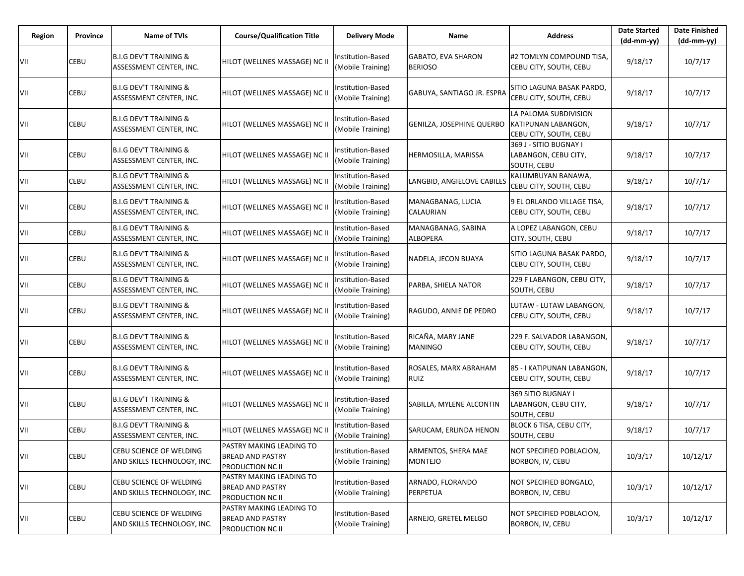| Region | Province | Name of TVIs                                                 | <b>Course/Qualification Title</b>                                       | <b>Delivery Mode</b>                   | Name                                  | <b>Address</b>                                                         | <b>Date Started</b><br>$(dd-mm-yy)$ | <b>Date Finished</b><br>$(dd-mm-yy)$ |
|--------|----------|--------------------------------------------------------------|-------------------------------------------------------------------------|----------------------------------------|---------------------------------------|------------------------------------------------------------------------|-------------------------------------|--------------------------------------|
| VII    | CEBU     | <b>B.I.G DEV'T TRAINING &amp;</b><br>ASSESSMENT CENTER, INC. | HILOT (WELLNES MASSAGE) NC II                                           | Institution-Based<br>(Mobile Training) | GABATO, EVA SHARON<br><b>BERIOSO</b>  | #2 TOMLYN COMPOUND TISA,<br>CEBU CITY, SOUTH, CEBU                     | 9/18/17                             | 10/7/17                              |
| VII    | CEBU     | <b>B.I.G DEV'T TRAINING &amp;</b><br>ASSESSMENT CENTER, INC. | HILOT (WELLNES MASSAGE) NC II                                           | nstitution-Based<br>(Mobile Training)  | GABUYA, SANTIAGO JR. ESPRA            | SITIO LAGUNA BASAK PARDO,<br>CEBU CITY, SOUTH, CEBU                    | 9/18/17                             | 10/7/17                              |
| VII    | CEBU     | <b>B.I.G DEV'T TRAINING &amp;</b><br>ASSESSMENT CENTER, INC. | HILOT (WELLNES MASSAGE) NC II                                           | Institution-Based<br>(Mobile Training) | GENILZA, JOSEPHINE QUERBO             | LA PALOMA SUBDIVISION<br>KATIPUNAN LABANGON,<br>CEBU CITY, SOUTH, CEBU | 9/18/17                             | 10/7/17                              |
| VII    | CEBU     | <b>B.I.G DEV'T TRAINING &amp;</b><br>ASSESSMENT CENTER, INC. | HILOT (WELLNES MASSAGE) NC II                                           | nstitution-Based<br>(Mobile Training)  | HERMOSILLA, MARISSA                   | 369 J - SITIO BUGNAY I<br>LABANGON, CEBU CITY,<br>SOUTH, CEBU          | 9/18/17                             | 10/7/17                              |
| VII    | CEBU     | <b>B.I.G DEV'T TRAINING &amp;</b><br>ASSESSMENT CENTER, INC. | HILOT (WELLNES MASSAGE) NC II                                           | nstitution-Based<br>(Mobile Training)  | LANGBID, ANGIELOVE CABILES            | KALUMBUYAN BANAWA,<br>CEBU CITY, SOUTH, CEBU                           | 9/18/17                             | 10/7/17                              |
| VII    | CEBU     | <b>B.I.G DEV'T TRAINING &amp;</b><br>ASSESSMENT CENTER, INC. | HILOT (WELLNES MASSAGE) NC II                                           | Institution-Based<br>(Mobile Training) | MANAGBANAG, LUCIA<br><b>CALAURIAN</b> | 9 EL ORLANDO VILLAGE TISA,<br>CEBU CITY, SOUTH, CEBU                   | 9/18/17                             | 10/7/17                              |
| VII    | CEBU     | <b>B.I.G DEV'T TRAINING &amp;</b><br>ASSESSMENT CENTER, INC. | HILOT (WELLNES MASSAGE) NC II                                           | Institution-Based<br>(Mobile Training) | MANAGBANAG, SABINA<br><b>ALBOPERA</b> | A LOPEZ LABANGON, CEBU<br>CITY, SOUTH, CEBU                            | 9/18/17                             | 10/7/17                              |
| VII    | CEBU     | <b>B.I.G DEV'T TRAINING &amp;</b><br>ASSESSMENT CENTER, INC. | HILOT (WELLNES MASSAGE) NC II                                           | Institution-Based<br>(Mobile Training) | NADELA, JECON BUAYA                   | SITIO LAGUNA BASAK PARDO,<br>CEBU CITY, SOUTH, CEBU                    | 9/18/17                             | 10/7/17                              |
| VII    | CEBU     | <b>B.I.G DEV'T TRAINING &amp;</b><br>ASSESSMENT CENTER, INC. | HILOT (WELLNES MASSAGE) NC II                                           | Institution-Based<br>(Mobile Training) | PARBA, SHIELA NATOR                   | 229 F LABANGON, CEBU CITY,<br>SOUTH, CEBU                              | 9/18/17                             | 10/7/17                              |
| VII    | CEBU     | <b>B.I.G DEV'T TRAINING &amp;</b><br>ASSESSMENT CENTER, INC. | HILOT (WELLNES MASSAGE) NC II                                           | Institution-Based<br>(Mobile Training) | RAGUDO, ANNIE DE PEDRO                | LUTAW - LUTAW LABANGON,<br>CEBU CITY, SOUTH, CEBU                      | 9/18/17                             | 10/7/17                              |
| VII    | CEBU     | <b>B.I.G DEV'T TRAINING &amp;</b><br>ASSESSMENT CENTER, INC. | HILOT (WELLNES MASSAGE) NC II                                           | Institution-Based<br>(Mobile Training) | RICAÑA, MARY JANE<br><b>MANINGO</b>   | 229 F. SALVADOR LABANGON,<br>CEBU CITY, SOUTH, CEBU                    | 9/18/17                             | 10/7/17                              |
| VII    | CEBU     | <b>B.I.G DEV'T TRAINING &amp;</b><br>ASSESSMENT CENTER, INC. | HILOT (WELLNES MASSAGE) NC II                                           | nstitution-Based<br>(Mobile Training)  | ROSALES, MARX ABRAHAM<br>RUIZ         | 85 - I KATIPUNAN LABANGON,<br>CEBU CITY, SOUTH, CEBU                   | 9/18/17                             | 10/7/17                              |
| VII    | CEBU     | <b>B.I.G DEV'T TRAINING &amp;</b><br>ASSESSMENT CENTER, INC. | HILOT (WELLNES MASSAGE) NC II                                           | nstitution-Based<br>(Mobile Training)  | SABILLA, MYLENE ALCONTIN              | 369 SITIO BUGNAY I<br>LABANGON, CEBU CITY,<br>SOUTH, CEBU              | 9/18/17                             | 10/7/17                              |
| VII    | CEBU     | <b>B.I.G DEV'T TRAINING &amp;</b><br>ASSESSMENT CENTER, INC. | HILOT (WELLNES MASSAGE) NC II                                           | nstitution-Based<br>(Mobile Training)  | SARUCAM, ERLINDA HENON                | BLOCK 6 TISA, CEBU CITY,<br>SOUTH, CEBU                                | 9/18/17                             | 10/7/17                              |
| VII    | CEBU     | CEBU SCIENCE OF WELDING<br>AND SKILLS TECHNOLOGY, INC.       | PASTRY MAKING LEADING TO<br><b>BREAD AND PASTRY</b><br>PRODUCTION NC II | Institution-Based<br>(Mobile Training) | ARMENTOS, SHERA MAE<br><b>MONTEJO</b> | NOT SPECIFIED POBLACION,<br>BORBON, IV, CEBU                           | 10/3/17                             | 10/12/17                             |
| VII    | CEBU     | CEBU SCIENCE OF WELDING<br>AND SKILLS TECHNOLOGY, INC.       | PASTRY MAKING LEADING TO<br><b>BREAD AND PASTRY</b><br>PRODUCTION NC II | Institution-Based<br>(Mobile Training) | ARNADO, FLORANDO<br>PERPETUA          | NOT SPECIFIED BONGALO,<br>BORBON, IV, CEBU                             | 10/3/17                             | 10/12/17                             |
| VII    | CEBU     | CEBU SCIENCE OF WELDING<br>AND SKILLS TECHNOLOGY, INC.       | PASTRY MAKING LEADING TO<br><b>BREAD AND PASTRY</b><br>PRODUCTION NC II | Institution-Based<br>(Mobile Training) | ARNEJO, GRETEL MELGO                  | NOT SPECIFIED POBLACION,<br>BORBON, IV, CEBU                           | 10/3/17                             | 10/12/17                             |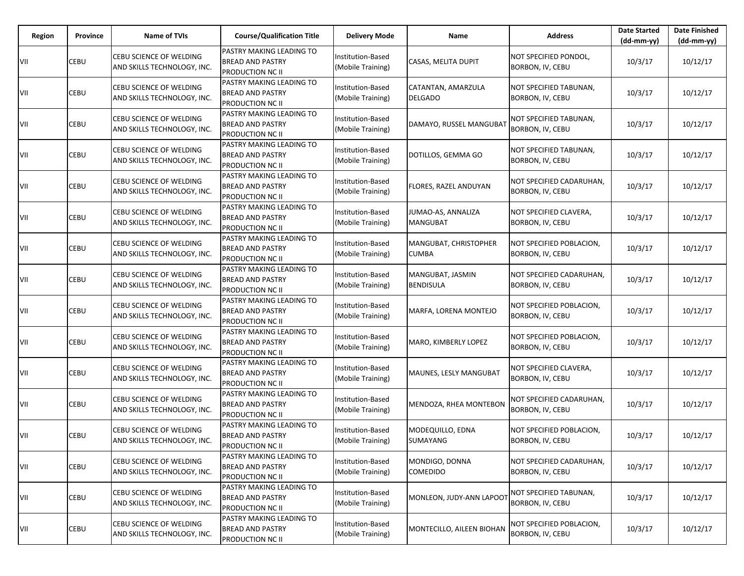| Region | Province | <b>Name of TVIs</b>                                           | <b>Course/Qualification Title</b>                                              | <b>Delivery Mode</b>                          | Name                                  | <b>Address</b>                               | <b>Date Started</b><br>$(dd-mm-yy)$ | <b>Date Finished</b><br>$(dd-mm-yy)$ |
|--------|----------|---------------------------------------------------------------|--------------------------------------------------------------------------------|-----------------------------------------------|---------------------------------------|----------------------------------------------|-------------------------------------|--------------------------------------|
| VII    | CEBU     | <b>CEBU SCIENCE OF WELDING</b><br>AND SKILLS TECHNOLOGY, INC. | PASTRY MAKING LEADING TO<br><b>BREAD AND PASTRY</b><br><b>PRODUCTION NC II</b> | Institution-Based<br>(Mobile Training)        | CASAS, MELITA DUPIT                   | NOT SPECIFIED PONDOL,<br>BORBON, IV, CEBU    | 10/3/17                             | 10/12/17                             |
| VII    | CEBU     | CEBU SCIENCE OF WELDING<br>AND SKILLS TECHNOLOGY, INC.        | PASTRY MAKING LEADING TO<br><b>BREAD AND PASTRY</b><br>PRODUCTION NC II        | Institution-Based<br>(Mobile Training)        | CATANTAN, AMARZULA<br><b>DELGADO</b>  | NOT SPECIFIED TABUNAN,<br>BORBON, IV, CEBU   | 10/3/17                             | 10/12/17                             |
| VII    | CEBU     | CEBU SCIENCE OF WELDING<br>AND SKILLS TECHNOLOGY, INC.        | PASTRY MAKING LEADING TO<br><b>BREAD AND PASTRY</b><br><b>PRODUCTION NC II</b> | Institution-Based<br>(Mobile Training)        | DAMAYO, RUSSEL MANGUBA                | NOT SPECIFIED TABUNAN,<br>BORBON, IV, CEBU   | 10/3/17                             | 10/12/17                             |
| VII    | CEBU     | CEBU SCIENCE OF WELDING<br>AND SKILLS TECHNOLOGY, INC.        | PASTRY MAKING LEADING TO<br><b>BREAD AND PASTRY</b><br>PRODUCTION NC II        | <b>Institution-Based</b><br>(Mobile Training) | DOTILLOS, GEMMA GO                    | NOT SPECIFIED TABUNAN,<br>BORBON, IV, CEBU   | 10/3/17                             | 10/12/17                             |
| VII    | CEBU     | CEBU SCIENCE OF WELDING<br>AND SKILLS TECHNOLOGY, INC.        | PASTRY MAKING LEADING TO<br><b>BREAD AND PASTRY</b><br><b>PRODUCTION NC II</b> | Institution-Based<br>(Mobile Training)        | FLORES, RAZEL ANDUYAN                 | NOT SPECIFIED CADARUHAN,<br>BORBON, IV, CEBU | 10/3/17                             | 10/12/17                             |
| VII    | CEBU     | CEBU SCIENCE OF WELDING<br>AND SKILLS TECHNOLOGY, INC.        | PASTRY MAKING LEADING TO<br><b>BREAD AND PASTRY</b><br>PRODUCTION NC II        | Institution-Based<br>(Mobile Training)        | JUMAO-AS, ANNALIZA<br>MANGUBAT        | NOT SPECIFIED CLAVERA,<br>BORBON, IV, CEBU   | 10/3/17                             | 10/12/17                             |
| VII    | CEBU     | CEBU SCIENCE OF WELDING<br>AND SKILLS TECHNOLOGY, INC.        | PASTRY MAKING LEADING TO<br><b>BREAD AND PASTRY</b><br><b>PRODUCTION NC II</b> | Institution-Based<br>(Mobile Training)        | MANGUBAT, CHRISTOPHER<br><b>CUMBA</b> | NOT SPECIFIED POBLACION,<br>BORBON, IV, CEBU | 10/3/17                             | 10/12/17                             |
| VII    | CEBU     | CEBU SCIENCE OF WELDING<br>AND SKILLS TECHNOLOGY, INC.        | PASTRY MAKING LEADING TO<br><b>BREAD AND PASTRY</b><br>PRODUCTION NC II        | Institution-Based<br>(Mobile Training)        | MANGUBAT, JASMIN<br><b>BENDISULA</b>  | NOT SPECIFIED CADARUHAN,<br>BORBON, IV, CEBU | 10/3/17                             | 10/12/17                             |
| VII    | CEBU     | CEBU SCIENCE OF WELDING<br>AND SKILLS TECHNOLOGY, INC.        | PASTRY MAKING LEADING TO<br><b>BREAD AND PASTRY</b><br><b>PRODUCTION NC II</b> | Institution-Based<br>(Mobile Training)        | MARFA, LORENA MONTEJO                 | NOT SPECIFIED POBLACION,<br>BORBON, IV, CEBU | 10/3/17                             | 10/12/17                             |
| VII    | CEBU     | CEBU SCIENCE OF WELDING<br>AND SKILLS TECHNOLOGY, INC.        | PASTRY MAKING LEADING TO<br><b>BREAD AND PASTRY</b><br>PRODUCTION NC II        | Institution-Based<br>(Mobile Training)        | MARO, KIMBERLY LOPEZ                  | NOT SPECIFIED POBLACION,<br>BORBON, IV, CEBU | 10/3/17                             | 10/12/17                             |
| VII    | CEBU     | CEBU SCIENCE OF WELDING<br>AND SKILLS TECHNOLOGY, INC.        | PASTRY MAKING LEADING TO<br><b>BREAD AND PASTRY</b><br>PRODUCTION NC II        | Institution-Based<br>(Mobile Training)        | MAUNES, LESLY MANGUBAT                | NOT SPECIFIED CLAVERA,<br>BORBON, IV, CEBU   | 10/3/17                             | 10/12/17                             |
| VII    | CEBU     | CEBU SCIENCE OF WELDING<br>AND SKILLS TECHNOLOGY, INC.        | PASTRY MAKING LEADING TO<br><b>BREAD AND PASTRY</b><br>PRODUCTION NC II        | Institution-Based<br>(Mobile Training)        | MENDOZA, RHEA MONTEBON                | NOT SPECIFIED CADARUHAN,<br>BORBON, IV, CEBU | 10/3/17                             | 10/12/17                             |
| VII    | CEBU     | CEBU SCIENCE OF WELDING<br>AND SKILLS TECHNOLOGY, INC.        | PASTRY MAKING LEADING TO<br><b>BREAD AND PASTRY</b><br>PRODUCTION NC II        | Institution-Based<br>(Mobile Training)        | MODEQUILLO, EDNA<br>SUMAYANG          | NOT SPECIFIED POBLACION,<br>BORBON, IV, CEBU | 10/3/17                             | 10/12/17                             |
| VII    | CEBU     | CEBU SCIENCE OF WELDING<br>AND SKILLS TECHNOLOGY, INC.        | PASTRY MAKING LEADING TO<br><b>BREAD AND PASTRY</b><br><b>PRODUCTION NC II</b> | Institution-Based<br>(Mobile Training)        | MONDIGO, DONNA<br><b>COMEDIDO</b>     | NOT SPECIFIED CADARUHAN,<br>BORBON, IV, CEBU | 10/3/17                             | 10/12/17                             |
| VII    | CEBU     | CEBU SCIENCE OF WELDING<br>AND SKILLS TECHNOLOGY, INC.        | PASTRY MAKING LEADING TO<br><b>BREAD AND PASTRY</b><br>PRODUCTION NC II        | Institution-Based<br>(Mobile Training)        | MONLEON, JUDY-ANN LAPOOT              | NOT SPECIFIED TABUNAN,<br>BORBON, IV, CEBU   | 10/3/17                             | 10/12/17                             |
| VII    | CEBU     | CEBU SCIENCE OF WELDING<br>AND SKILLS TECHNOLOGY, INC.        | PASTRY MAKING LEADING TO<br><b>BREAD AND PASTRY</b><br>PRODUCTION NC II        | Institution-Based<br>(Mobile Training)        | MONTECILLO, AILEEN BIOHAN             | NOT SPECIFIED POBLACION,<br>BORBON, IV, CEBU | 10/3/17                             | 10/12/17                             |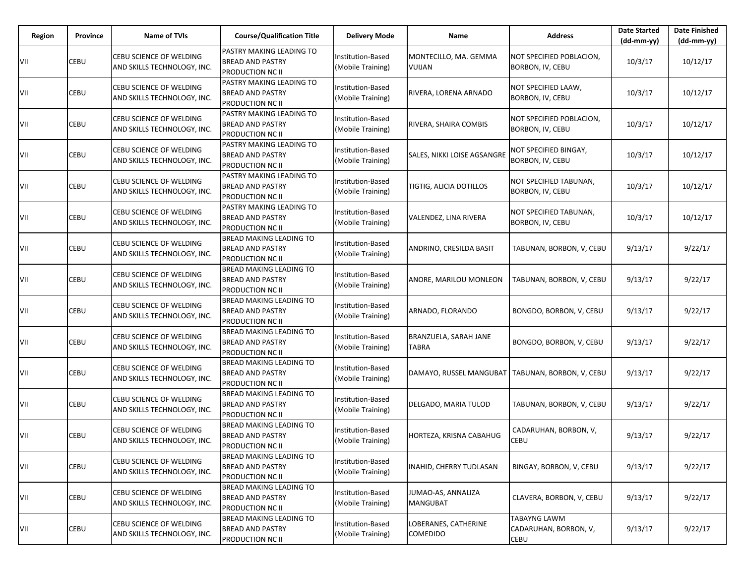| Region | Province | <b>Name of TVIs</b>                                           | <b>Course/Qualification Title</b>                                                    | <b>Delivery Mode</b>                          | Name                                               | <b>Address</b>                                       | <b>Date Started</b><br>$(dd-mm-yy)$ | <b>Date Finished</b><br>$(dd-mm-yy)$ |
|--------|----------|---------------------------------------------------------------|--------------------------------------------------------------------------------------|-----------------------------------------------|----------------------------------------------------|------------------------------------------------------|-------------------------------------|--------------------------------------|
| VII    | CEBU     | CEBU SCIENCE OF WELDING<br>AND SKILLS TECHNOLOGY, INC.        | PASTRY MAKING LEADING TO<br><b>BREAD AND PASTRY</b><br><b>PRODUCTION NC II</b>       | Institution-Based<br>(Mobile Training)        | MONTECILLO, MA. GEMMA<br><b>VUIJAN</b>             | NOT SPECIFIED POBLACION,<br>BORBON, IV, CEBU         | 10/3/17                             | 10/12/17                             |
| VII    | CEBU     | CEBU SCIENCE OF WELDING<br>AND SKILLS TECHNOLOGY, INC.        | PASTRY MAKING LEADING TO<br><b>BREAD AND PASTRY</b><br>PRODUCTION NC II              | Institution-Based<br>(Mobile Training)        | RIVERA, LORENA ARNADO                              | NOT SPECIFIED LAAW,<br>BORBON, IV, CEBU              | 10/3/17                             | 10/12/17                             |
| VII    | CEBU     | CEBU SCIENCE OF WELDING<br>AND SKILLS TECHNOLOGY, INC.        | PASTRY MAKING LEADING TO<br><b>BREAD AND PASTRY</b><br><b>PRODUCTION NC II</b>       | Institution-Based<br>(Mobile Training)        | RIVERA, SHAIRA COMBIS                              | NOT SPECIFIED POBLACION,<br>BORBON, IV, CEBU         | 10/3/17                             | 10/12/17                             |
| VII    | CEBU     | <b>CEBU SCIENCE OF WELDING</b><br>AND SKILLS TECHNOLOGY, INC. | PASTRY MAKING LEADING TO<br><b>BREAD AND PASTRY</b><br>PRODUCTION NC II              | <b>Institution-Based</b><br>(Mobile Training) | SALES, NIKKI LOISE AGSANGRE                        | NOT SPECIFIED BINGAY,<br>BORBON, IV, CEBU            | 10/3/17                             | 10/12/17                             |
| VII    | CEBU     | CEBU SCIENCE OF WELDING<br>AND SKILLS TECHNOLOGY, INC.        | PASTRY MAKING LEADING TO<br><b>BREAD AND PASTRY</b><br><b>PRODUCTION NC II</b>       | Institution-Based<br>(Mobile Training)        | TIGTIG, ALICIA DOTILLOS                            | NOT SPECIFIED TABUNAN,<br>BORBON, IV, CEBU           | 10/3/17                             | 10/12/17                             |
| VII    | CEBU     | CEBU SCIENCE OF WELDING<br>AND SKILLS TECHNOLOGY, INC.        | PASTRY MAKING LEADING TO<br><b>BREAD AND PASTRY</b><br>PRODUCTION NC II              | Institution-Based<br>(Mobile Training)        | VALENDEZ, LINA RIVERA                              | NOT SPECIFIED TABUNAN,<br>BORBON, IV, CEBU           | 10/3/17                             | 10/12/17                             |
| VII    | CEBU     | CEBU SCIENCE OF WELDING<br>AND SKILLS TECHNOLOGY, INC.        | <b>BREAD MAKING LEADING TO</b><br><b>BREAD AND PASTRY</b><br><b>PRODUCTION NC II</b> | Institution-Based<br>(Mobile Training)        | ANDRINO, CRESILDA BASIT                            | TABUNAN, BORBON, V, CEBU                             | 9/13/17                             | 9/22/17                              |
| VII    | CEBU     | CEBU SCIENCE OF WELDING<br>AND SKILLS TECHNOLOGY, INC.        | BREAD MAKING LEADING TO<br><b>BREAD AND PASTRY</b><br>PRODUCTION NC II               | <b>Institution-Based</b><br>(Mobile Training) | ANORE, MARILOU MONLEON                             | TABUNAN, BORBON, V, CEBU                             | 9/13/17                             | 9/22/17                              |
| VII    | CEBU     | CEBU SCIENCE OF WELDING<br>AND SKILLS TECHNOLOGY, INC.        | <b>BREAD MAKING LEADING TO</b><br><b>BREAD AND PASTRY</b><br>PRODUCTION NC II        | Institution-Based<br>(Mobile Training)        | ARNADO, FLORANDO                                   | BONGDO, BORBON, V, CEBU                              | 9/13/17                             | 9/22/17                              |
| VII    | CEBU     | CEBU SCIENCE OF WELDING<br>AND SKILLS TECHNOLOGY, INC.        | <b>BREAD MAKING LEADING TO</b><br><b>BREAD AND PASTRY</b><br>PRODUCTION NC II        | Institution-Based<br>(Mobile Training)        | BRANZUELA, SARAH JANE<br>TABRA                     | BONGDO, BORBON, V, CEBU                              | 9/13/17                             | 9/22/17                              |
| VII    | CEBU     | CEBU SCIENCE OF WELDING<br>AND SKILLS TECHNOLOGY, INC.        | <b>BREAD MAKING LEADING TO</b><br><b>BREAD AND PASTRY</b><br>PRODUCTION NC II        | Institution-Based<br>(Mobile Training)        | DAMAYO, RUSSEL MANGUBAT   TABUNAN, BORBON, V, CEBU |                                                      | 9/13/17                             | 9/22/17                              |
| VII    | CEBU     | CEBU SCIENCE OF WELDING<br>AND SKILLS TECHNOLOGY, INC.        | <b>BREAD MAKING LEADING TO</b><br><b>BREAD AND PASTRY</b><br>PRODUCTION NC II        | Institution-Based<br>(Mobile Training)        | DELGADO, MARIA TULOD                               | TABUNAN, BORBON, V, CEBU                             | 9/13/17                             | 9/22/17                              |
| VII    | CEBU     | CEBU SCIENCE OF WELDING<br>AND SKILLS TECHNOLOGY, INC.        | BREAD MAKING LEADING TO<br><b>BREAD AND PASTRY</b><br>PRODUCTION NC II               | Institution-Based<br>(Mobile Training)        | HORTEZA, KRISNA CABAHUG                            | CADARUHAN, BORBON, V,<br>CEBU                        | 9/13/17                             | 9/22/17                              |
| VII    | CEBU     | CEBU SCIENCE OF WELDING<br>AND SKILLS TECHNOLOGY, INC.        | <b>BREAD MAKING LEADING TO</b><br><b>BREAD AND PASTRY</b><br><b>PRODUCTION NC II</b> | Institution-Based<br>(Mobile Training)        | INAHID, CHERRY TUDLASAN                            | BINGAY, BORBON, V, CEBU                              | 9/13/17                             | 9/22/17                              |
| VII    | CEBU     | CEBU SCIENCE OF WELDING<br>AND SKILLS TECHNOLOGY, INC.        | <b>BREAD MAKING LEADING TO</b><br><b>BREAD AND PASTRY</b><br><b>PRODUCTION NC II</b> | Institution-Based<br>(Mobile Training)        | JUMAO-AS, ANNALIZA<br><b>MANGUBAT</b>              | CLAVERA, BORBON, V, CEBU                             | 9/13/17                             | 9/22/17                              |
| VII    | CEBU     | CEBU SCIENCE OF WELDING<br>AND SKILLS TECHNOLOGY, INC.        | BREAD MAKING LEADING TO<br><b>BREAD AND PASTRY</b><br><b>PRODUCTION NC II</b>        | Institution-Based<br>(Mobile Training)        | LOBERANES, CATHERINE<br><b>COMEDIDO</b>            | <b>TABAYNG LAWM</b><br>CADARUHAN, BORBON, V,<br>CEBU | 9/13/17                             | 9/22/17                              |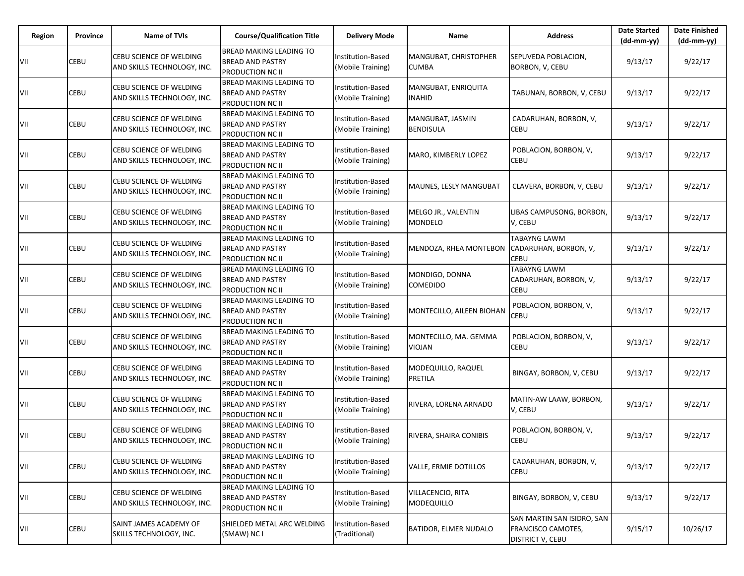| Region | Province | <b>Name of TVIs</b>                                    | <b>Course/Qualification Title</b>                                                    | <b>Delivery Mode</b>                          | Name                                  | <b>Address</b>                                                              | <b>Date Started</b><br>(dd-mm-yy) | <b>Date Finished</b><br>$(dd-mm-yy)$ |
|--------|----------|--------------------------------------------------------|--------------------------------------------------------------------------------------|-----------------------------------------------|---------------------------------------|-----------------------------------------------------------------------------|-----------------------------------|--------------------------------------|
| VII    | CEBU     | CEBU SCIENCE OF WELDING<br>AND SKILLS TECHNOLOGY, INC. | <b>BREAD MAKING LEADING TO</b><br><b>BREAD AND PASTRY</b><br><b>PRODUCTION NC II</b> | Institution-Based<br>(Mobile Training)        | MANGUBAT, CHRISTOPHER<br><b>CUMBA</b> | SEPUVEDA POBLACION,<br>BORBON, V, CEBU                                      | 9/13/17                           | 9/22/17                              |
| VII    | CEBU     | CEBU SCIENCE OF WELDING<br>AND SKILLS TECHNOLOGY, INC. | <b>BREAD MAKING LEADING TO</b><br><b>BREAD AND PASTRY</b><br><b>PRODUCTION NC II</b> | Institution-Based<br>(Mobile Training)        | MANGUBAT, ENRIQUITA<br><b>INAHID</b>  | TABUNAN, BORBON, V, CEBU                                                    | 9/13/17                           | 9/22/17                              |
| VII    | CEBU     | CEBU SCIENCE OF WELDING<br>AND SKILLS TECHNOLOGY, INC. | <b>BREAD MAKING LEADING TO</b><br><b>BREAD AND PASTRY</b><br><b>PRODUCTION NC II</b> | Institution-Based<br>(Mobile Training)        | MANGUBAT, JASMIN<br><b>BENDISULA</b>  | CADARUHAN, BORBON, V,<br>CEBU                                               | 9/13/17                           | 9/22/17                              |
| VII    | CEBU     | CEBU SCIENCE OF WELDING<br>AND SKILLS TECHNOLOGY, INC. | <b>BREAD MAKING LEADING TO</b><br><b>BREAD AND PASTRY</b><br><b>PRODUCTION NC II</b> | <b>Institution-Based</b><br>(Mobile Training) | MARO, KIMBERLY LOPEZ                  | POBLACION, BORBON, V,<br>CEBU                                               | 9/13/17                           | 9/22/17                              |
| VII    | CEBU     | CEBU SCIENCE OF WELDING<br>AND SKILLS TECHNOLOGY, INC. | <b>BREAD MAKING LEADING TO</b><br><b>BREAD AND PASTRY</b><br>PRODUCTION NC II        | Institution-Based<br>(Mobile Training)        | MAUNES, LESLY MANGUBAT                | CLAVERA, BORBON, V, CEBU                                                    | 9/13/17                           | 9/22/17                              |
| VII    | CEBU     | CEBU SCIENCE OF WELDING<br>AND SKILLS TECHNOLOGY, INC. | <b>BREAD MAKING LEADING TO</b><br><b>BREAD AND PASTRY</b><br><b>PRODUCTION NC II</b> | Institution-Based<br>(Mobile Training)        | MELGO JR., VALENTIN<br>MONDELO        | LIBAS CAMPUSONG, BORBON,<br>V, CEBU                                         | 9/13/17                           | 9/22/17                              |
| VII    | CEBU     | CEBU SCIENCE OF WELDING<br>AND SKILLS TECHNOLOGY, INC. | <b>BREAD MAKING LEADING TO</b><br><b>BREAD AND PASTRY</b><br>PRODUCTION NC II        | Institution-Based<br>(Mobile Training)        | MENDOZA, RHEA MONTEBON                | <b>TABAYNG LAWM</b><br>CADARUHAN, BORBON, V,<br>CEBU                        | 9/13/17                           | 9/22/17                              |
| VII    | CEBU     | CEBU SCIENCE OF WELDING<br>AND SKILLS TECHNOLOGY, INC. | <b>BREAD MAKING LEADING TO</b><br><b>BREAD AND PASTRY</b><br><b>PRODUCTION NC II</b> | Institution-Based<br>(Mobile Training)        | MONDIGO, DONNA<br>COMEDIDO            | <b>TABAYNG LAWM</b><br>CADARUHAN, BORBON, V,<br>CEBU                        | 9/13/17                           | 9/22/17                              |
| VII    | CEBU     | CEBU SCIENCE OF WELDING<br>AND SKILLS TECHNOLOGY, INC. | <b>BREAD MAKING LEADING TO</b><br><b>BREAD AND PASTRY</b><br><b>PRODUCTION NC II</b> | Institution-Based<br>(Mobile Training)        | MONTECILLO, AILEEN BIOHAN             | POBLACION, BORBON, V,<br><b>CEBU</b>                                        | 9/13/17                           | 9/22/17                              |
| VII    | CEBU     | CEBU SCIENCE OF WELDING<br>AND SKILLS TECHNOLOGY, INC. | <b>BREAD MAKING LEADING TO</b><br><b>BREAD AND PASTRY</b><br>PRODUCTION NC II        | Institution-Based<br>(Mobile Training)        | MONTECILLO, MA. GEMMA<br>VIOJAN       | POBLACION, BORBON, V,<br>CEBU                                               | 9/13/17                           | 9/22/17                              |
| VII    | CEBU     | CEBU SCIENCE OF WELDING<br>AND SKILLS TECHNOLOGY, INC. | BREAD MAKING LEADING TO<br><b>BREAD AND PASTRY</b><br>PRODUCTION NC II               | Institution-Based<br>(Mobile Training)        | MODEQUILLO, RAQUEL<br>PRETILA         | BINGAY, BORBON, V, CEBU                                                     | 9/13/17                           | 9/22/17                              |
| VII    | CEBU     | CEBU SCIENCE OF WELDING<br>AND SKILLS TECHNOLOGY, INC. | <b>BREAD MAKING LEADING TO</b><br><b>BREAD AND PASTRY</b><br><b>PRODUCTION NC II</b> | Institution-Based<br>(Mobile Training)        | RIVERA, LORENA ARNADO                 | MATIN-AW LAAW, BORBON,<br>V, CEBU                                           | 9/13/17                           | 9/22/17                              |
| VII    | CEBU     | CEBU SCIENCE OF WELDING<br>AND SKILLS TECHNOLOGY, INC. | BREAD MAKING LEADING TO<br><b>BREAD AND PASTRY</b><br>PRODUCTION NC II               | <b>Institution-Based</b><br>(Mobile Training) | RIVERA, SHAIRA CONIBIS                | POBLACION, BORBON, V,<br><b>CEBU</b>                                        | 9/13/17                           | 9/22/17                              |
| VII    | CEBU     | CEBU SCIENCE OF WELDING<br>AND SKILLS TECHNOLOGY, INC. | <b>BREAD MAKING LEADING TO</b><br><b>BREAD AND PASTRY</b><br><b>PRODUCTION NC II</b> | Institution-Based<br>(Mobile Training)        | VALLE, ERMIE DOTILLOS                 | CADARUHAN, BORBON, V,<br><b>CEBU</b>                                        | 9/13/17                           | 9/22/17                              |
| VII    | CEBU     | CEBU SCIENCE OF WELDING<br>AND SKILLS TECHNOLOGY, INC. | <b>BREAD MAKING LEADING TO</b><br><b>BREAD AND PASTRY</b><br><b>PRODUCTION NC II</b> | Institution-Based<br>(Mobile Training)        | VILLACENCIO, RITA<br>MODEQUILLO       | BINGAY, BORBON, V, CEBU                                                     | 9/13/17                           | 9/22/17                              |
| VII    | CEBU     | SAINT JAMES ACADEMY OF<br>SKILLS TECHNOLOGY, INC.      | SHIELDED METAL ARC WELDING<br>(SMAW) NC I                                            | Institution-Based<br>(Traditional)            | BATIDOR, ELMER NUDALO                 | SAN MARTIN SAN ISIDRO, SAN<br>FRANCISCO CAMOTES,<br><b>DISTRICT V, CEBU</b> | 9/15/17                           | 10/26/17                             |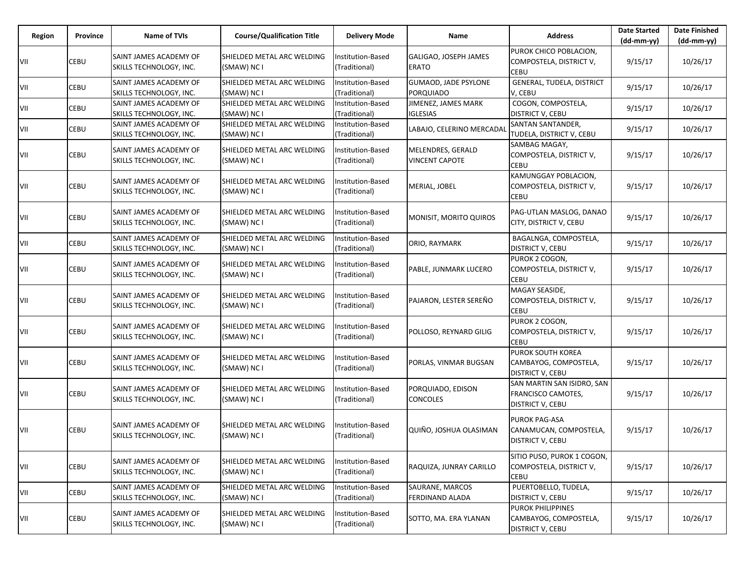| Region | Province    | <b>Name of TVIs</b>                               | <b>Course/Qualification Title</b>                | <b>Delivery Mode</b>                      | Name                                            | <b>Address</b>                                                        | <b>Date Started</b><br>(dd-mm-yy) | <b>Date Finished</b><br>(dd-mm-yy) |
|--------|-------------|---------------------------------------------------|--------------------------------------------------|-------------------------------------------|-------------------------------------------------|-----------------------------------------------------------------------|-----------------------------------|------------------------------------|
| VII    | CEBU        | SAINT JAMES ACADEMY OF<br>SKILLS TECHNOLOGY, INC. | SHIELDED METAL ARC WELDING<br>(SMAW) NC I        | Institution-Based<br>(Traditional)        | GALIGAO, JOSEPH JAMES<br><b>ERATO</b>           | PUROK CHICO POBLACION,<br>COMPOSTELA, DISTRICT V,<br><b>CEBU</b>      | 9/15/17                           | 10/26/17                           |
| VII    | CEBU        | SAINT JAMES ACADEMY OF<br>SKILLS TECHNOLOGY, INC. | SHIELDED METAL ARC WELDING<br>(SMAW) NC I        | Institution-Based<br>(Traditional)        | <b>GUMAOD, JADE PSYLONE</b><br><b>PORQUIADO</b> | GENERAL, TUDELA, DISTRICT<br>V, CEBU                                  | 9/15/17                           | 10/26/17                           |
| VII    | <b>CEBU</b> | SAINT JAMES ACADEMY OF<br>SKILLS TECHNOLOGY, INC. | SHIELDED METAL ARC WELDING<br>(SMAW) NC I        | Institution-Based<br>(Traditional)        | JIMENEZ, JAMES MARK<br><b>IGLESIAS</b>          | COGON, COMPOSTELA,<br><b>DISTRICT V, CEBU</b>                         | 9/15/17                           | 10/26/17                           |
| VII    | CEBU        | SAINT JAMES ACADEMY OF<br>SKILLS TECHNOLOGY, INC. | SHIELDED METAL ARC WELDING<br>(SMAW) NC I        | Institution-Based<br>(Traditional)        | LABAJO, CELERINO MERCADA                        | SANTAN SANTANDER,<br>TUDELA, DISTRICT V, CEBU                         | 9/15/17                           | 10/26/17                           |
| VII    | CEBU        | SAINT JAMES ACADEMY OF<br>SKILLS TECHNOLOGY, INC. | SHIELDED METAL ARC WELDING<br>(SMAW) NC I        | <b>Institution-Based</b><br>(Traditional) | MELENDRES, GERALD<br><b>VINCENT CAPOTE</b>      | SAMBAG MAGAY,<br>COMPOSTELA, DISTRICT V,<br><b>CEBU</b>               | 9/15/17                           | 10/26/17                           |
| VII    | CEBU        | SAINT JAMES ACADEMY OF<br>SKILLS TECHNOLOGY, INC. | SHIELDED METAL ARC WELDING<br>(SMAW) NC I        | Institution-Based<br>(Traditional)        | MERIAL, JOBEL                                   | KAMUNGGAY POBLACION,<br>COMPOSTELA, DISTRICT V,<br>CEBU               | 9/15/17                           | 10/26/17                           |
| VII    | CEBU        | SAINT JAMES ACADEMY OF<br>SKILLS TECHNOLOGY, INC. | SHIELDED METAL ARC WELDING<br>(SMAW) NC I        | <b>Institution-Based</b><br>(Traditional) | MONISIT, MORITO QUIROS                          | PAG-UTLAN MASLOG, DANAO<br>CITY, DISTRICT V. CEBU                     | 9/15/17                           | 10/26/17                           |
| VII    | CEBU        | SAINT JAMES ACADEMY OF<br>SKILLS TECHNOLOGY, INC. | SHIELDED METAL ARC WELDING<br>(SMAW) NC I        | Institution-Based<br>(Traditional)        | ORIO, RAYMARK                                   | BAGALNGA, COMPOSTELA,<br><b>DISTRICT V, CEBU</b>                      | 9/15/17                           | 10/26/17                           |
| VII    | CEBU        | SAINT JAMES ACADEMY OF<br>SKILLS TECHNOLOGY, INC. | SHIELDED METAL ARC WELDING<br>(SMAW) NC I        | Institution-Based<br>(Traditional)        | PABLE, JUNMARK LUCERO                           | PUROK 2 COGON.<br>COMPOSTELA, DISTRICT V,<br><b>CEBU</b>              | 9/15/17                           | 10/26/17                           |
| VII    | <b>CEBU</b> | SAINT JAMES ACADEMY OF<br>SKILLS TECHNOLOGY, INC. | SHIELDED METAL ARC WELDING<br>(SMAW) NC I        | Institution-Based<br>(Traditional)        | PAJARON, LESTER SEREÑO                          | MAGAY SEASIDE.<br>COMPOSTELA, DISTRICT V,<br>CEBU                     | 9/15/17                           | 10/26/17                           |
| VII    | CEBU        | SAINT JAMES ACADEMY OF<br>SKILLS TECHNOLOGY, INC. | SHIELDED METAL ARC WELDING<br>(SMAW) NC I        | Institution-Based<br>(Traditional)        | POLLOSO, REYNARD GILIG                          | PUROK 2 COGON,<br>COMPOSTELA, DISTRICT V,<br><b>CEBU</b>              | 9/15/17                           | 10/26/17                           |
| VII    | <b>CEBU</b> | SAINT JAMES ACADEMY OF<br>SKILLS TECHNOLOGY, INC. | SHIELDED METAL ARC WELDING<br>(SMAW) NC I        | Institution-Based<br>(Traditional)        | PORLAS, VINMAR BUGSAN                           | PUROK SOUTH KOREA<br>CAMBAYOG, COMPOSTELA,<br><b>DISTRICT V, CEBU</b> | 9/15/17                           | 10/26/17                           |
| VII    | <b>CEBU</b> | SAINT JAMES ACADEMY OF<br>SKILLS TECHNOLOGY, INC. | SHIELDED METAL ARC WELDING<br>(SMAW) NC I        | Institution-Based<br>(Traditional)        | PORQUIADO, EDISON<br><b>CONCOLES</b>            | SAN MARTIN SAN ISIDRO, SAN<br>FRANCISCO CAMOTES,<br>DISTRICT V, CEBU  | 9/15/17                           | 10/26/17                           |
| VII    | CEBU        | SAINT JAMES ACADEMY OF<br>SKILLS TECHNOLOGY, INC. | <b>SHIELDED METAL ARC WELDING</b><br>(SMAW) NC I | Institution-Based<br>(Traditional)        | QUIÑO, JOSHUA OLASIMAN                          | PUROK PAG-ASA<br>CANAMUCAN, COMPOSTELA,<br><b>DISTRICT V, CEBU</b>    | 9/15/17                           | 10/26/17                           |
| VII    | CEBU        | SAINT JAMES ACADEMY OF<br>SKILLS TECHNOLOGY, INC. | SHIELDED METAL ARC WELDING<br>(SMAW) NC I        | Institution-Based<br>(Traditional)        | RAQUIZA, JUNRAY CARILLO                         | SITIO PUSO, PUROK 1 COGON,<br>COMPOSTELA, DISTRICT V,<br><b>CEBU</b>  | 9/15/17                           | 10/26/17                           |
| VII    | <b>CEBU</b> | SAINT JAMES ACADEMY OF<br>SKILLS TECHNOLOGY, INC. | SHIELDED METAL ARC WELDING<br>(SMAW) NC I        | Institution-Based<br>(Traditional)        | SAURANE, MARCOS<br>FERDINAND ALADA              | PUERTOBELLO, TUDELA,<br><b>DISTRICT V, CEBU</b>                       | 9/15/17                           | 10/26/17                           |
| VII    | <b>CEBU</b> | SAINT JAMES ACADEMY OF<br>SKILLS TECHNOLOGY, INC. | SHIELDED METAL ARC WELDING<br>(SMAW) NC I        | Institution-Based<br>(Traditional)        | SOTTO, MA. ERA YLANAN                           | PUROK PHILIPPINES<br>CAMBAYOG, COMPOSTELA,<br><b>DISTRICT V, CEBU</b> | 9/15/17                           | 10/26/17                           |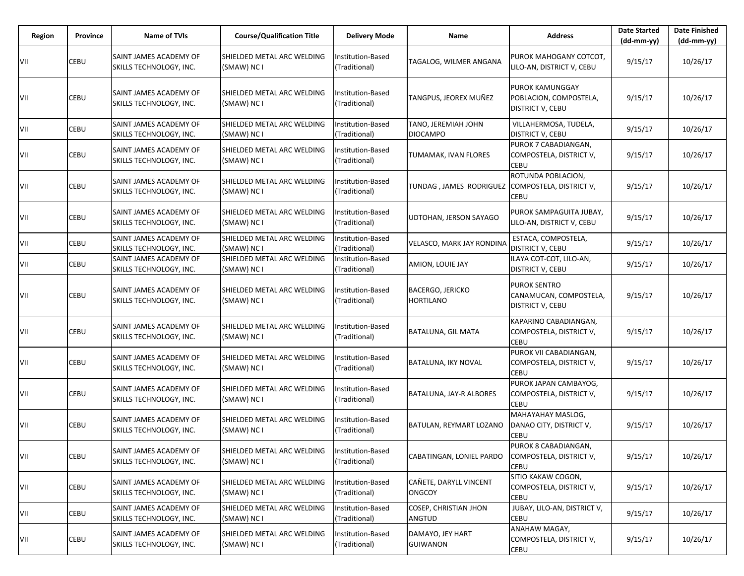| <b>Region</b> | Province | <b>Name of TVIs</b>                                      | <b>Course/Qualification Title</b>         | <b>Delivery Mode</b>                      | Name                                            | <b>Address</b>                                                              | <b>Date Started</b><br>(dd-mm-yy) | <b>Date Finished</b><br>(dd-mm-yy) |
|---------------|----------|----------------------------------------------------------|-------------------------------------------|-------------------------------------------|-------------------------------------------------|-----------------------------------------------------------------------------|-----------------------------------|------------------------------------|
| VII           | CEBU     | SAINT JAMES ACADEMY OF<br>SKILLS TECHNOLOGY, INC.        | SHIELDED METAL ARC WELDING<br>(SMAW) NC I | <b>Institution-Based</b><br>(Traditional) | TAGALOG, WILMER ANGANA                          | PUROK MAHOGANY COTCOT,<br>LILO-AN, DISTRICT V, CEBU                         | 9/15/17                           | 10/26/17                           |
| VII           | CEBU     | SAINT JAMES ACADEMY OF<br>SKILLS TECHNOLOGY, INC.        | SHIELDED METAL ARC WELDING<br>(SMAW) NC I | Institution-Based<br>(Traditional)        | TANGPUS, JEOREX MUÑEZ                           | <b>PUROK KAMUNGGAY</b><br>POBLACION, COMPOSTELA,<br><b>DISTRICT V, CEBU</b> | 9/15/17                           | 10/26/17                           |
| VII           | CEBU     | SAINT JAMES ACADEMY OF<br><b>SKILLS TECHNOLOGY. INC.</b> | SHIELDED METAL ARC WELDING<br>(SMAW) NC I | Institution-Based<br>(Traditional)        | TANO, JEREMIAH JOHN<br><b>DIOCAMPO</b>          | VILLAHERMOSA, TUDELA,<br><b>DISTRICT V, CEBU</b>                            | 9/15/17                           | 10/26/17                           |
| VII           | CEBU     | SAINT JAMES ACADEMY OF<br>SKILLS TECHNOLOGY, INC.        | SHIELDED METAL ARC WELDING<br>(SMAW) NC I | Institution-Based<br>(Traditional)        | TUMAMAK, IVAN FLORES                            | PUROK 7 CABADIANGAN,<br>COMPOSTELA, DISTRICT V,<br>CEBU                     | 9/15/17                           | 10/26/17                           |
| VII           | CEBU     | SAINT JAMES ACADEMY OF<br>SKILLS TECHNOLOGY, INC.        | SHIELDED METAL ARC WELDING<br>(SMAW) NC I | <b>Institution-Based</b><br>(Traditional) | TUNDAG, JAMES RODRIGUEZ COMPOSTELA, DISTRICT V, | ROTUNDA POBLACION,<br><b>CEBU</b>                                           | 9/15/17                           | 10/26/17                           |
| VII           | CEBU     | SAINT JAMES ACADEMY OF<br>SKILLS TECHNOLOGY, INC.        | SHIELDED METAL ARC WELDING<br>(SMAW) NC I | <b>Institution-Based</b><br>(Traditional) | UDTOHAN, JERSON SAYAGO                          | PUROK SAMPAGUITA JUBAY,<br>LILO-AN, DISTRICT V, CEBU                        | 9/15/17                           | 10/26/17                           |
| VII           | CEBU     | SAINT JAMES ACADEMY OF<br>SKILLS TECHNOLOGY, INC.        | SHIELDED METAL ARC WELDING<br>(SMAW) NC I | Institution-Based<br>(Traditional)        | VELASCO, MARK JAY RONDINA                       | ESTACA, COMPOSTELA,<br><b>DISTRICT V, CEBU</b>                              | 9/15/17                           | 10/26/17                           |
| VII           | CEBU     | SAINT JAMES ACADEMY OF<br>SKILLS TECHNOLOGY, INC.        | SHIELDED METAL ARC WELDING<br>(SMAW) NC I | <b>Institution-Based</b><br>(Traditional) | AMION, LOUIE JAY                                | ILAYA COT-COT, LILO-AN,<br><b>DISTRICT V, CEBU</b>                          | 9/15/17                           | 10/26/17                           |
| VII           | CEBU     | SAINT JAMES ACADEMY OF<br>SKILLS TECHNOLOGY, INC.        | SHIELDED METAL ARC WELDING<br>(SMAW) NC I | Institution-Based<br>(Traditional)        | <b>BACERGO, JERICKO</b><br><b>HORTILANO</b>     | <b>PUROK SENTRO</b><br>CANAMUCAN, COMPOSTELA,<br><b>DISTRICT V, CEBU</b>    | 9/15/17                           | 10/26/17                           |
| VII           | CEBU     | SAINT JAMES ACADEMY OF<br>SKILLS TECHNOLOGY, INC.        | SHIELDED METAL ARC WELDING<br>(SMAW) NC I | <b>Institution-Based</b><br>(Traditional) | <b>BATALUNA, GIL MATA</b>                       | KAPARINO CABADIANGAN,<br>COMPOSTELA, DISTRICT V,<br><b>CEBU</b>             | 9/15/17                           | 10/26/17                           |
| VII           | CEBU     | SAINT JAMES ACADEMY OF<br>SKILLS TECHNOLOGY, INC.        | SHIELDED METAL ARC WELDING<br>(SMAW) NC I | <b>Institution-Based</b><br>(Traditional) | BATALUNA, IKY NOVAL                             | PUROK VII CABADIANGAN,<br>COMPOSTELA, DISTRICT V,<br><b>CEBU</b>            | 9/15/17                           | 10/26/17                           |
| VII           | CEBU     | SAINT JAMES ACADEMY OF<br>SKILLS TECHNOLOGY, INC.        | SHIELDED METAL ARC WELDING<br>(SMAW) NC I | <b>Institution-Based</b><br>(Traditional) | BATALUNA, JAY-R ALBORES                         | PUROK JAPAN CAMBAYOG,<br>COMPOSTELA, DISTRICT V,<br><b>CEBU</b>             | 9/15/17                           | 10/26/17                           |
| VII           | CEBU     | SAINT JAMES ACADEMY OF<br>SKILLS TECHNOLOGY, INC.        | SHIELDED METAL ARC WELDING<br>(SMAW) NC I | nstitution-Based<br>(Traditional)         | BATULAN, REYMART LOZANO                         | MAHAYAHAY MASLOG,<br>DANAO CITY, DISTRICT V,<br><b>CEBU</b>                 | 9/15/17                           | 10/26/17                           |
| VII           | CEBU     | SAINT JAMES ACADEMY OF<br>SKILLS TECHNOLOGY, INC.        | SHIELDED METAL ARC WELDING<br>(SMAW) NC I | Institution-Based<br>(Traditional)        | CABATINGAN, LONIEL PARDO                        | PUROK 8 CABADIANGAN,<br>COMPOSTELA, DISTRICT V,<br><b>CEBU</b>              | 9/15/17                           | 10/26/17                           |
| VII           | CEBU     | SAINT JAMES ACADEMY OF<br>SKILLS TECHNOLOGY, INC.        | SHIELDED METAL ARC WELDING<br>(SMAW) NC I | Institution-Based<br>(Traditional)        | CAÑETE, DARYLL VINCENT<br><b>ONGCOY</b>         | SITIO KAKAW COGON,<br>COMPOSTELA, DISTRICT V,<br><b>CEBU</b>                | 9/15/17                           | 10/26/17                           |
| VII           | CEBU     | SAINT JAMES ACADEMY OF<br>SKILLS TECHNOLOGY, INC.        | SHIELDED METAL ARC WELDING<br>(SMAW) NC I | Institution-Based<br>(Traditional)        | <b>COSEP, CHRISTIAN JHON</b><br><b>ANGTUD</b>   | JUBAY, LILO-AN, DISTRICT V,<br><b>CEBU</b>                                  | 9/15/17                           | 10/26/17                           |
| VII           | CEBU     | SAINT JAMES ACADEMY OF<br>SKILLS TECHNOLOGY, INC.        | SHIELDED METAL ARC WELDING<br>(SMAW) NC I | nstitution-Based<br>(Traditional)         | DAMAYO, JEY HART<br><b>GUIWANON</b>             | ANAHAW MAGAY,<br>COMPOSTELA, DISTRICT V,<br><b>CEBU</b>                     | 9/15/17                           | 10/26/17                           |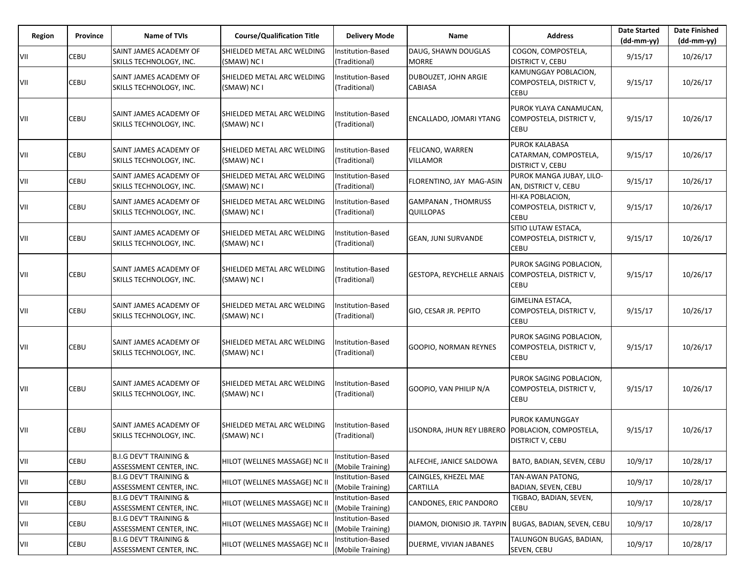| Region | Province | <b>Name of TVIs</b>                                          | <b>Course/Qualification Title</b>         | <b>Delivery Mode</b>                   | <b>Name</b>                                       | <b>Address</b>                                                            | <b>Date Started</b><br>$(dd-mm-yy)$ | <b>Date Finished</b><br>(dd-mm-yy) |
|--------|----------|--------------------------------------------------------------|-------------------------------------------|----------------------------------------|---------------------------------------------------|---------------------------------------------------------------------------|-------------------------------------|------------------------------------|
| VII    | CEBU     | <b>SAINT JAMES ACADEMY OF</b><br>SKILLS TECHNOLOGY, INC.     | SHIELDED METAL ARC WELDING<br>(SMAW) NC I | Institution-Based<br>(Traditional)     | DAUG, SHAWN DOUGLAS<br><b>MORRE</b>               | COGON, COMPOSTELA,<br><b>DISTRICT V, CEBU</b>                             | 9/15/17                             | 10/26/17                           |
| VII    | CEBU     | SAINT JAMES ACADEMY OF<br>SKILLS TECHNOLOGY, INC.            | SHIELDED METAL ARC WELDING<br>(SMAW) NC I | Institution-Based<br>(Traditional)     | DUBOUZET, JOHN ARGIE<br><b>CABIASA</b>            | KAMUNGGAY POBLACION,<br>COMPOSTELA, DISTRICT V,<br><b>CEBU</b>            | 9/15/17                             | 10/26/17                           |
| VII    | CEBU     | SAINT JAMES ACADEMY OF<br>SKILLS TECHNOLOGY, INC.            | SHIELDED METAL ARC WELDING<br>(SMAW) NC I | Institution-Based<br>(Traditional)     | ENCALLADO, JOMARI YTANG                           | PUROK YLAYA CANAMUCAN,<br>COMPOSTELA, DISTRICT V,<br><b>CEBU</b>          | 9/15/17                             | 10/26/17                           |
| VII    | CEBU     | SAINT JAMES ACADEMY OF<br>SKILLS TECHNOLOGY, INC.            | SHIELDED METAL ARC WELDING<br>(SMAW) NC I | Institution-Based<br>(Traditional)     | FELICANO, WARREN<br><b>VILLAMOR</b>               | <b>PUROK KALABASA</b><br>CATARMAN, COMPOSTELA,<br><b>DISTRICT V, CEBU</b> | 9/15/17                             | 10/26/17                           |
| VII    | CEBU     | SAINT JAMES ACADEMY OF<br>SKILLS TECHNOLOGY, INC.            | SHIELDED METAL ARC WELDING<br>(SMAW) NC I | Institution-Based<br>(Traditional)     | FLORENTINO, JAY MAG-ASIN                          | PUROK MANGA JUBAY, LILO-<br>AN, DISTRICT V, CEBU                          | 9/15/17                             | 10/26/17                           |
| VII    | CEBU     | SAINT JAMES ACADEMY OF<br>SKILLS TECHNOLOGY, INC.            | SHIELDED METAL ARC WELDING<br>(SMAW) NC I | Institution-Based<br>(Traditional)     | <b>GAMPANAN, THOMRUSS</b><br><b>QUILLOPAS</b>     | HI-KA POBLACION,<br>COMPOSTELA, DISTRICT V,<br><b>CEBU</b>                | 9/15/17                             | 10/26/17                           |
| VII    | CEBU     | SAINT JAMES ACADEMY OF<br>SKILLS TECHNOLOGY, INC.            | SHIELDED METAL ARC WELDING<br>(SMAW) NC I | Institution-Based<br>(Traditional)     | <b>GEAN, JUNI SURVANDE</b>                        | SITIO LUTAW ESTACA,<br>COMPOSTELA, DISTRICT V,<br><b>CEBU</b>             | 9/15/17                             | 10/26/17                           |
| VII    | CEBU     | SAINT JAMES ACADEMY OF<br>SKILLS TECHNOLOGY, INC.            | SHIELDED METAL ARC WELDING<br>(SMAW) NC I | Institution-Based<br>(Traditional)     | <b>GESTOPA, REYCHELLE ARNAIS</b>                  | PUROK SAGING POBLACION,<br>COMPOSTELA, DISTRICT V,<br><b>CEBU</b>         | 9/15/17                             | 10/26/17                           |
| VII    | CEBU     | SAINT JAMES ACADEMY OF<br>SKILLS TECHNOLOGY, INC.            | SHIELDED METAL ARC WELDING<br>(SMAW) NC I | Institution-Based<br>(Traditional)     | GIO, CESAR JR. PEPITO                             | GIMELINA ESTACA,<br>COMPOSTELA, DISTRICT V,<br><b>CEBU</b>                | 9/15/17                             | 10/26/17                           |
| VII    | CEBU     | SAINT JAMES ACADEMY OF<br>SKILLS TECHNOLOGY, INC.            | SHIELDED METAL ARC WELDING<br>(SMAW) NC I | Institution-Based<br>(Traditional)     | GOOPIO, NORMAN REYNES                             | PUROK SAGING POBLACION,<br>COMPOSTELA, DISTRICT V,<br><b>CEBU</b>         | 9/15/17                             | 10/26/17                           |
| VII    | CEBU     | SAINT JAMES ACADEMY OF<br>SKILLS TECHNOLOGY, INC.            | SHIELDED METAL ARC WELDING<br>(SMAW) NC I | Institution-Based<br>(Traditional)     | GOOPIO, VAN PHILIP N/A                            | PUROK SAGING POBLACION,<br>COMPOSTELA, DISTRICT V,<br><b>CEBU</b>         | 9/15/17                             | 10/26/17                           |
| VII    | CEBU     | SAINT JAMES ACADEMY OF<br>SKILLS TECHNOLOGY, INC.            | SHIELDED METAL ARC WELDING<br>(SMAW) NC I | Institution-Based<br>(Traditional)     | LISONDRA, JHUN REY LIBRERO POBLACION, COMPOSTELA, | <b>PUROK KAMUNGGAY</b><br><b>DISTRICT V, CEBU</b>                         | 9/15/17                             | 10/26/17                           |
| VII    | CEBU     | <b>B.I.G DEV'T TRAINING &amp;</b><br>ASSESSMENT CENTER, INC. | HILOT (WELLNES MASSAGE) NC II             | Institution-Based<br>(Mobile Training) | ALFECHE, JANICE SALDOWA                           | BATO, BADIAN, SEVEN, CEBU                                                 | 10/9/17                             | 10/28/17                           |
| VII    | CEBU     | <b>B.I.G DEV'T TRAINING &amp;</b><br>ASSESSMENT CENTER, INC. | HILOT (WELLNES MASSAGE) NC II             | Institution-Based<br>(Mobile Training) | CAINGLES, KHEZEL MAE<br>CARTILLA                  | TAN-AWAN PATONG,<br>BADIAN, SEVEN, CEBU                                   | 10/9/17                             | 10/28/17                           |
| VII    | CEBU     | <b>B.I.G DEV'T TRAINING &amp;</b><br>ASSESSMENT CENTER, INC. | HILOT (WELLNES MASSAGE) NC II             | Institution-Based<br>(Mobile Training) | CANDONES, ERIC PANDORO                            | TIGBAO, BADIAN, SEVEN,<br><b>CEBU</b>                                     | 10/9/17                             | 10/28/17                           |
| VII    | CEBU     | <b>B.I.G DEV'T TRAINING &amp;</b><br>ASSESSMENT CENTER, INC. | HILOT (WELLNES MASSAGE) NC II             | Institution-Based<br>(Mobile Training) | DIAMON, DIONISIO JR. TAYPIN                       | BUGAS, BADIAN, SEVEN, CEBU                                                | 10/9/17                             | 10/28/17                           |
| VII    | CEBU     | <b>B.I.G DEV'T TRAINING &amp;</b><br>ASSESSMENT CENTER, INC. | HILOT (WELLNES MASSAGE) NC II             | Institution-Based<br>(Mobile Training) | DUERME, VIVIAN JABANES                            | TALUNGON BUGAS, BADIAN,<br>SEVEN, CEBU                                    | 10/9/17                             | 10/28/17                           |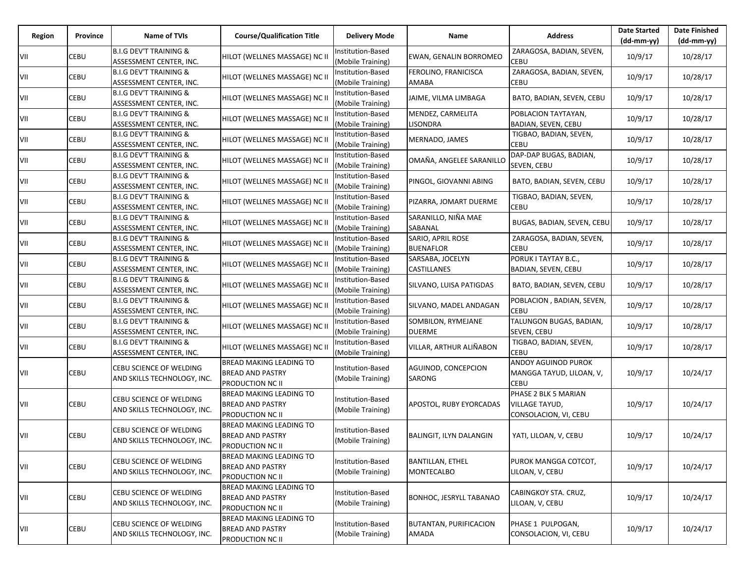| Region | Province | <b>Name of TVIs</b>                                          | <b>Course/Qualification Title</b>                                      | <b>Delivery Mode</b>                   | Name                                         | <b>Address</b>                                                  | <b>Date Started</b><br>$(dd-mm-yy)$ | <b>Date Finished</b><br>(dd-mm-yy) |
|--------|----------|--------------------------------------------------------------|------------------------------------------------------------------------|----------------------------------------|----------------------------------------------|-----------------------------------------------------------------|-------------------------------------|------------------------------------|
| VII    | CEBU     | <b>B.I.G DEV'T TRAINING &amp;</b><br>ASSESSMENT CENTER, INC. | HILOT (WELLNES MASSAGE) NC II                                          | Institution-Based<br>(Mobile Training) | EWAN, GENALIN BORROMEO                       | ZARAGOSA, BADIAN, SEVEN,<br>CEBU                                | 10/9/17                             | 10/28/17                           |
| VII    | CEBU     | <b>B.I.G DEV'T TRAINING &amp;</b><br>ASSESSMENT CENTER, INC. | HILOT (WELLNES MASSAGE) NC II                                          | Institution-Based<br>(Mobile Training) | FEROLINO, FRANICISCA<br>AMABA                | ZARAGOSA, BADIAN, SEVEN,<br><b>CEBU</b>                         | 10/9/17                             | 10/28/17                           |
| VII    | CEBU     | <b>B.I.G DEV'T TRAINING &amp;</b><br>ASSESSMENT CENTER, INC. | HILOT (WELLNES MASSAGE) NC II                                          | Institution-Based<br>(Mobile Training) | JAIME, VILMA LIMBAGA                         | BATO, BADIAN, SEVEN, CEBU                                       | 10/9/17                             | 10/28/17                           |
| VII    | CEBU     | <b>B.I.G DEV'T TRAINING &amp;</b><br>ASSESSMENT CENTER, INC. | HILOT (WELLNES MASSAGE) NC II                                          | Institution-Based<br>(Mobile Training) | MENDEZ, CARMELITA<br>LISONDRA                | POBLACION TAYTAYAN,<br>BADIAN, SEVEN, CEBU                      | 10/9/17                             | 10/28/17                           |
| VII    | CEBU     | <b>B.I.G DEV'T TRAINING &amp;</b><br>ASSESSMENT CENTER, INC. | HILOT (WELLNES MASSAGE) NC II                                          | Institution-Based<br>(Mobile Training) | MERNADO, JAMES                               | TIGBAO, BADIAN, SEVEN,<br><b>CEBU</b>                           | 10/9/17                             | 10/28/17                           |
| VII    | CEBU     | <b>B.I.G DEV'T TRAINING &amp;</b><br>ASSESSMENT CENTER, INC. | HILOT (WELLNES MASSAGE) NC II                                          | Institution-Based<br>(Mobile Training) | OMAÑA, ANGELEE SARANILLO                     | DAP-DAP BUGAS, BADIAN,<br>SEVEN, CEBU                           | 10/9/17                             | 10/28/17                           |
| VII    | CEBU     | <b>B.I.G DEV'T TRAINING &amp;</b><br>ASSESSMENT CENTER, INC. | HILOT (WELLNES MASSAGE) NC II                                          | Institution-Based<br>Mobile Training)  | PINGOL, GIOVANNI ABING                       | BATO, BADIAN, SEVEN, CEBU                                       | 10/9/17                             | 10/28/17                           |
| VII    | CEBU     | <b>B.I.G DEV'T TRAINING &amp;</b><br>ASSESSMENT CENTER, INC. | HILOT (WELLNES MASSAGE) NC II                                          | Institution-Based<br>(Mobile Training) | PIZARRA, JOMART DUERME                       | TIGBAO, BADIAN, SEVEN,<br><b>CEBU</b>                           | 10/9/17                             | 10/28/17                           |
| VII    | CEBU     | <b>B.I.G DEV'T TRAINING &amp;</b><br>ASSESSMENT CENTER, INC. | HILOT (WELLNES MASSAGE) NC II                                          | Institution-Based<br>(Mobile Training) | SARANILLO, NIÑA MAE<br>SABANAL               | BUGAS, BADIAN, SEVEN, CEBU                                      | 10/9/17                             | 10/28/17                           |
| VII    | CEBU     | <b>B.I.G DEV'T TRAINING &amp;</b><br>ASSESSMENT CENTER, INC. | HILOT (WELLNES MASSAGE) NC II                                          | Institution-Based<br>(Mobile Training) | SARIO, APRIL ROSE<br><b>BUENAFLOR</b>        | ZARAGOSA, BADIAN, SEVEN,<br><b>CEBU</b>                         | 10/9/17                             | 10/28/17                           |
| VII    | CEBU     | <b>B.I.G DEV'T TRAINING &amp;</b><br>ASSESSMENT CENTER, INC. | HILOT (WELLNES MASSAGE) NC II                                          | Institution-Based<br>(Mobile Training) | SARSABA, JOCELYN<br><b>CASTILLANES</b>       | PORUK I TAYTAY B.C.,<br>BADIAN, SEVEN, CEBU                     | 10/9/17                             | 10/28/17                           |
| VII    | CEBU     | <b>B.I.G DEV'T TRAINING &amp;</b><br>ASSESSMENT CENTER, INC. | HILOT (WELLNES MASSAGE) NC II                                          | Institution-Based<br>(Mobile Training) | SILVANO, LUISA PATIGDAS                      | BATO, BADIAN, SEVEN, CEBU                                       | 10/9/17                             | 10/28/17                           |
| VII    | CEBU     | <b>B.I.G DEV'T TRAINING &amp;</b><br>ASSESSMENT CENTER, INC. | HILOT (WELLNES MASSAGE) NC II                                          | Institution-Based<br>(Mobile Training) | SILVANO, MADEL ANDAGAN                       | POBLACION, BADIAN, SEVEN,<br>CEBU                               | 10/9/17                             | 10/28/17                           |
| VII    | CEBU     | <b>B.I.G DEV'T TRAINING &amp;</b><br>ASSESSMENT CENTER, INC. | HILOT (WELLNES MASSAGE) NC II                                          | Institution-Based<br>(Mobile Training) | SOMBILON, RYMEJANE<br><b>DUERME</b>          | TALUNGON BUGAS, BADIAN,<br>SEVEN, CEBU                          | 10/9/17                             | 10/28/17                           |
| VII    | CEBU     | <b>B.I.G DEV'T TRAINING &amp;</b><br>ASSESSMENT CENTER, INC. | HILOT (WELLNES MASSAGE) NC II                                          | Institution-Based<br>(Mobile Training) | VILLAR, ARTHUR ALIÑABON                      | TIGBAO, BADIAN, SEVEN,<br>CEBU                                  | 10/9/17                             | 10/28/17                           |
| VII    | CEBU     | CEBU SCIENCE OF WELDING<br>AND SKILLS TECHNOLOGY, INC.       | BREAD MAKING LEADING TO<br><b>BREAD AND PASTRY</b><br>PRODUCTION NC II | Institution-Based<br>(Mobile Training) | AGUINOD, CONCEPCION<br><b>SARONG</b>         | ANDOY AGUINOD PUROK<br>MANGGA TAYUD, LILOAN, V,<br>CEBU         | 10/9/17                             | 10/24/17                           |
| VII    | CEBU     | CEBU SCIENCE OF WELDING<br>AND SKILLS TECHNOLOGY, INC.       | BREAD MAKING LEADING TO<br><b>BREAD AND PASTRY</b><br>PRODUCTION NC II | Institution-Based<br>(Mobile Training) | APOSTOL, RUBY EYORCADAS                      | PHASE 2 BLK 5 MARIAN<br>VILLAGE TAYUD,<br>CONSOLACION, VI, CEBU | 10/9/17                             | 10/24/17                           |
| VII    | CEBU     | CEBU SCIENCE OF WELDING<br>AND SKILLS TECHNOLOGY, INC.       | BREAD MAKING LEADING TO<br><b>BREAD AND PASTRY</b><br>PRODUCTION NC II | Institution-Based<br>(Mobile Training) | BALINGIT, ILYN DALANGIN                      | YATI, LILOAN, V, CEBU                                           | 10/9/17                             | 10/24/17                           |
| VII    | CEBU     | CEBU SCIENCE OF WELDING<br>AND SKILLS TECHNOLOGY, INC.       | BREAD MAKING LEADING TO<br><b>BREAD AND PASTRY</b><br>PRODUCTION NC II | Institution-Based<br>(Mobile Training) | <b>BANTILLAN, ETHEL</b><br><b>MONTECALBO</b> | PUROK MANGGA COTCOT,<br>LILOAN, V, CEBU                         | 10/9/17                             | 10/24/17                           |
| VII    | CEBU     | CEBU SCIENCE OF WELDING<br>AND SKILLS TECHNOLOGY, INC.       | BREAD MAKING LEADING TO<br><b>BREAD AND PASTRY</b><br>PRODUCTION NC II | Institution-Based<br>(Mobile Training) | <b>BONHOC, JESRYLL TABANAO</b>               | CABINGKOY STA. CRUZ,<br>LILOAN, V, CEBU                         | 10/9/17                             | 10/24/17                           |
| VII    | CEBU     | CEBU SCIENCE OF WELDING<br>AND SKILLS TECHNOLOGY, INC.       | BREAD MAKING LEADING TO<br><b>BREAD AND PASTRY</b><br>PRODUCTION NC II | Institution-Based<br>(Mobile Training) | BUTANTAN, PURIFICACION<br>AMADA              | PHASE 1 PULPOGAN,<br>CONSOLACION, VI, CEBU                      | 10/9/17                             | 10/24/17                           |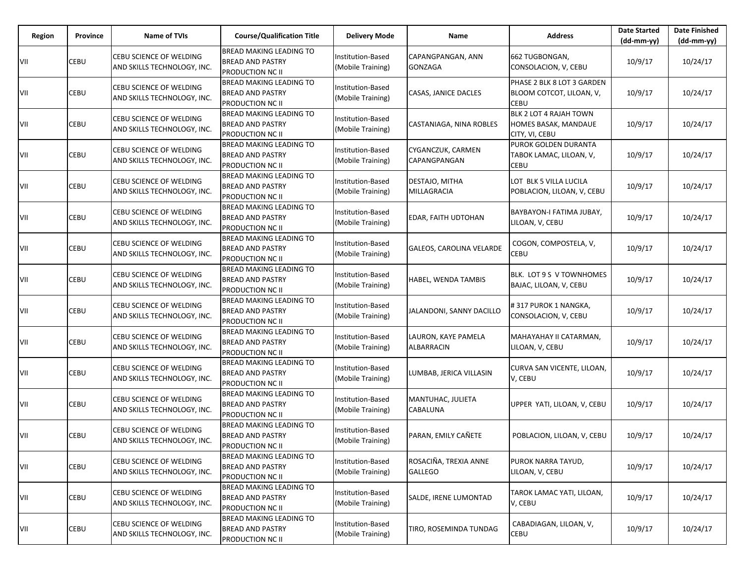| Region | Province | <b>Name of TVIs</b>                                    | <b>Course/Qualification Title</b>                                                    | <b>Delivery Mode</b>                          | Name                                    | <b>Address</b>                                                        | <b>Date Started</b><br>$(dd-mm-yy)$ | <b>Date Finished</b><br>$(dd-mm-yy)$ |
|--------|----------|--------------------------------------------------------|--------------------------------------------------------------------------------------|-----------------------------------------------|-----------------------------------------|-----------------------------------------------------------------------|-------------------------------------|--------------------------------------|
| VII    | CEBU     | CEBU SCIENCE OF WELDING<br>AND SKILLS TECHNOLOGY, INC. | <b>BREAD MAKING LEADING TO</b><br><b>BREAD AND PASTRY</b><br><b>PRODUCTION NC II</b> | Institution-Based<br>(Mobile Training)        | CAPANGPANGAN, ANN<br><b>GONZAGA</b>     | 662 TUGBONGAN,<br>CONSOLACION, V, CEBU                                | 10/9/17                             | 10/24/17                             |
| VII    | CEBU     | CEBU SCIENCE OF WELDING<br>AND SKILLS TECHNOLOGY, INC. | <b>BREAD MAKING LEADING TO</b><br><b>BREAD AND PASTRY</b><br>PRODUCTION NC II        | Institution-Based<br>(Mobile Training)        | CASAS, JANICE DACLES                    | PHASE 2 BLK 8 LOT 3 GARDEN<br>BLOOM COTCOT, LILOAN, V,<br><b>CEBU</b> | 10/9/17                             | 10/24/17                             |
| VII    | CEBU     | CEBU SCIENCE OF WELDING<br>AND SKILLS TECHNOLOGY, INC. | <b>BREAD MAKING LEADING TO</b><br><b>BREAD AND PASTRY</b><br><b>PRODUCTION NC II</b> | Institution-Based<br>(Mobile Training)        | CASTANIAGA, NINA ROBLES                 | BLK 2 LOT 4 RAJAH TOWN<br>HOMES BASAK, MANDAUE<br>CITY, VI, CEBU      | 10/9/17                             | 10/24/17                             |
| VII    | CEBU     | CEBU SCIENCE OF WELDING<br>AND SKILLS TECHNOLOGY, INC. | <b>BREAD MAKING LEADING TO</b><br><b>BREAD AND PASTRY</b><br>PRODUCTION NC II        | Institution-Based<br>(Mobile Training)        | CYGANCZUK, CARMEN<br>CAPANGPANGAN       | PUROK GOLDEN DURANTA<br>TABOK LAMAC, LILOAN, V,<br><b>CEBU</b>        | 10/9/17                             | 10/24/17                             |
| VII    | CEBU     | CEBU SCIENCE OF WELDING<br>AND SKILLS TECHNOLOGY, INC. | <b>BREAD MAKING LEADING TO</b><br><b>BREAD AND PASTRY</b><br>PRODUCTION NC II        | Institution-Based<br>(Mobile Training)        | DESTAJO, MITHA<br>MILLAGRACIA           | LOT BLK 5 VILLA LUCILA<br>POBLACION, LILOAN, V, CEBU                  | 10/9/17                             | 10/24/17                             |
| VII    | CEBU     | CEBU SCIENCE OF WELDING<br>AND SKILLS TECHNOLOGY, INC. | BREAD MAKING LEADING TO<br><b>BREAD AND PASTRY</b><br><b>PRODUCTION NC II</b>        | Institution-Based<br>(Mobile Training)        | EDAR, FAITH UDTOHAN                     | BAYBAYON-I FATIMA JUBAY,<br>LILOAN, V, CEBU                           | 10/9/17                             | 10/24/17                             |
| VII    | CEBU     | CEBU SCIENCE OF WELDING<br>AND SKILLS TECHNOLOGY, INC. | <b>BREAD MAKING LEADING TO</b><br><b>BREAD AND PASTRY</b><br><b>PRODUCTION NC II</b> | Institution-Based<br>(Mobile Training)        | <b>GALEOS, CAROLINA VELARDE</b>         | COGON, COMPOSTELA, V,<br>CEBU                                         | 10/9/17                             | 10/24/17                             |
| VII    | CEBU     | CEBU SCIENCE OF WELDING<br>AND SKILLS TECHNOLOGY, INC. | <b>BREAD MAKING LEADING TO</b><br><b>BREAD AND PASTRY</b><br>PRODUCTION NC II        | <b>Institution-Based</b><br>(Mobile Training) | HABEL, WENDA TAMBIS                     | BLK. LOT 9 S V TOWNHOMES<br>BAJAC, LILOAN, V, CEBU                    | 10/9/17                             | 10/24/17                             |
| VII    | CEBU     | CEBU SCIENCE OF WELDING<br>AND SKILLS TECHNOLOGY, INC. | <b>BREAD MAKING LEADING TO</b><br><b>BREAD AND PASTRY</b><br>PRODUCTION NC II        | Institution-Based<br>(Mobile Training)        | JALANDONI, SANNY DACILLO                | # 317 PUROK 1 NANGKA,<br>CONSOLACION, V, CEBU                         | 10/9/17                             | 10/24/17                             |
| VII    | CEBU     | CEBU SCIENCE OF WELDING<br>AND SKILLS TECHNOLOGY, INC. | <b>BREAD MAKING LEADING TO</b><br><b>BREAD AND PASTRY</b><br>PRODUCTION NC II        | Institution-Based<br>(Mobile Training)        | LAURON, KAYE PAMELA<br>ALBARRACIN       | MAHAYAHAY II CATARMAN,<br>LILOAN, V, CEBU                             | 10/9/17                             | 10/24/17                             |
| VII    | CEBU     | CEBU SCIENCE OF WELDING<br>AND SKILLS TECHNOLOGY, INC. | <b>BREAD MAKING LEADING TO</b><br><b>BREAD AND PASTRY</b><br>PRODUCTION NC II        | Institution-Based<br>(Mobile Training)        | LUMBAB, JERICA VILLASIN                 | CURVA SAN VICENTE, LILOAN,<br>V, CEBU                                 | 10/9/17                             | 10/24/17                             |
| VII    | CEBU     | CEBU SCIENCE OF WELDING<br>AND SKILLS TECHNOLOGY, INC. | <b>BREAD MAKING LEADING TO</b><br><b>BREAD AND PASTRY</b><br>PRODUCTION NC II        | Institution-Based<br>(Mobile Training)        | MANTUHAC, JULIETA<br>CABALUNA           | UPPER YATI, LILOAN, V, CEBU                                           | 10/9/17                             | 10/24/17                             |
| VII    | CEBU     | CEBU SCIENCE OF WELDING<br>AND SKILLS TECHNOLOGY, INC. | BREAD MAKING LEADING TO<br><b>BREAD AND PASTRY</b><br>PRODUCTION NC II               | Institution-Based<br>(Mobile Training)        | PARAN, EMILY CAÑETE                     | POBLACION, LILOAN, V, CEBU                                            | 10/9/17                             | 10/24/17                             |
| VII    | CEBU     | CEBU SCIENCE OF WELDING<br>AND SKILLS TECHNOLOGY, INC. | <b>BREAD MAKING LEADING TO</b><br><b>BREAD AND PASTRY</b><br><b>PRODUCTION NC II</b> | Institution-Based<br>(Mobile Training)        | ROSACIÑA, TREXIA ANNE<br><b>GALLEGO</b> | PUROK NARRA TAYUD,<br>LILOAN, V, CEBU                                 | 10/9/17                             | 10/24/17                             |
| VII    | CEBU     | CEBU SCIENCE OF WELDING<br>AND SKILLS TECHNOLOGY, INC. | <b>BREAD MAKING LEADING TO</b><br><b>BREAD AND PASTRY</b><br><b>PRODUCTION NC II</b> | Institution-Based<br>(Mobile Training)        | SALDE, IRENE LUMONTAD                   | TAROK LAMAC YATI, LILOAN,<br>V, CEBU                                  | 10/9/17                             | 10/24/17                             |
| VII    | CEBU     | CEBU SCIENCE OF WELDING<br>AND SKILLS TECHNOLOGY, INC. | <b>BREAD MAKING LEADING TO</b><br><b>BREAD AND PASTRY</b><br>PRODUCTION NC II        | Institution-Based<br>(Mobile Training)        | TIRO, ROSEMINDA TUNDAG                  | CABADIAGAN, LILOAN, V,<br><b>CEBU</b>                                 | 10/9/17                             | 10/24/17                             |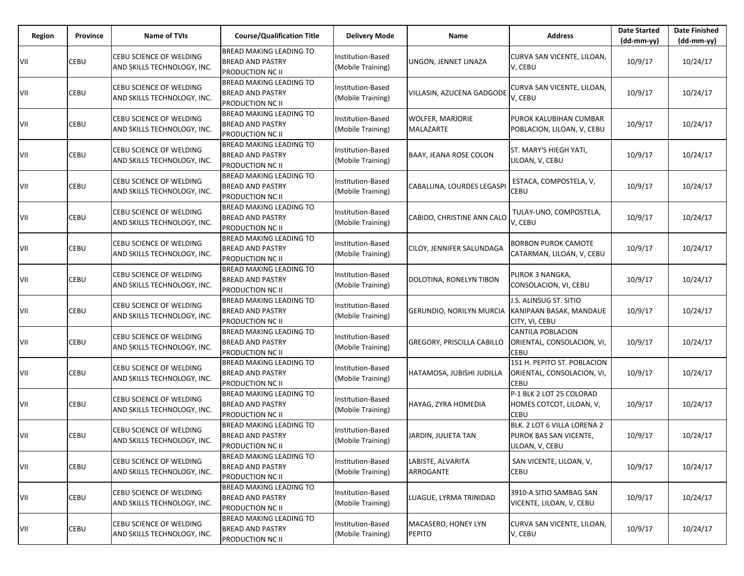| Region | Province | <b>Name of TVIs</b>                                           | <b>Course/Qualification Title</b>                                                    | <b>Delivery Mode</b>                   | Name                                        | <b>Address</b>                                                           | <b>Date Started</b><br>$(dd-mm-yy)$ | <b>Date Finished</b><br>$(dd-mm-yy)$ |
|--------|----------|---------------------------------------------------------------|--------------------------------------------------------------------------------------|----------------------------------------|---------------------------------------------|--------------------------------------------------------------------------|-------------------------------------|--------------------------------------|
| VII    | CEBU     | CEBU SCIENCE OF WELDING<br>AND SKILLS TECHNOLOGY, INC.        | <b>BREAD MAKING LEADING TO</b><br><b>BREAD AND PASTRY</b><br><b>PRODUCTION NC II</b> | Institution-Based<br>(Mobile Training) | UNGON, JENNET LINAZA                        | CURVA SAN VICENTE, LILOAN,<br>V, CEBU                                    | 10/9/17                             | 10/24/17                             |
| VII    | CEBU     | CEBU SCIENCE OF WELDING<br>AND SKILLS TECHNOLOGY, INC.        | <b>BREAD MAKING LEADING TO</b><br><b>BREAD AND PASTRY</b><br>PRODUCTION NC II        | Institution-Based<br>(Mobile Training) | VILLASIN, AZUCENA GADGODE                   | CURVA SAN VICENTE, LILOAN,<br>V, CEBU                                    | 10/9/17                             | 10/24/17                             |
| VII    | CEBU     | CEBU SCIENCE OF WELDING<br>AND SKILLS TECHNOLOGY, INC.        | <b>BREAD MAKING LEADING TO</b><br><b>BREAD AND PASTRY</b><br>PRODUCTION NC II        | Institution-Based<br>(Mobile Training) | <b>WOLFER, MARJORIE</b><br><b>MALAZARTE</b> | PUROK KALUBIHAN CUMBAR<br>POBLACION, LILOAN, V, CEBU                     | 10/9/17                             | 10/24/17                             |
| VII    | CEBU     | <b>CEBU SCIENCE OF WELDING</b><br>AND SKILLS TECHNOLOGY, INC. | <b>BREAD MAKING LEADING TO</b><br><b>BREAD AND PASTRY</b><br>PRODUCTION NC II        | Institution-Based<br>(Mobile Training) | BAAY, JEANA ROSE COLON                      | ST. MARY'S HIEGH YATI,<br>LILOAN, V, CEBU                                | 10/9/17                             | 10/24/17                             |
| VII    | CEBU     | CEBU SCIENCE OF WELDING<br>AND SKILLS TECHNOLOGY, INC.        | <b>BREAD MAKING LEADING TO</b><br><b>BREAD AND PASTRY</b><br><b>PRODUCTION NC II</b> | Institution-Based<br>(Mobile Training) | CABALUNA, LOURDES LEGASPI                   | ESTACA, COMPOSTELA, V,<br><b>CEBU</b>                                    | 10/9/17                             | 10/24/17                             |
| VII    | CEBU     | CEBU SCIENCE OF WELDING<br>AND SKILLS TECHNOLOGY, INC.        | BREAD MAKING LEADING TO<br><b>BREAD AND PASTRY</b><br>PRODUCTION NC II               | Institution-Based<br>(Mobile Training) | CABIDO, CHRISTINE ANN CALO                  | TULAY-UNO, COMPOSTELA,<br>V, CEBU                                        | 10/9/17                             | 10/24/17                             |
| VII    | CEBU     | CEBU SCIENCE OF WELDING<br>AND SKILLS TECHNOLOGY, INC.        | <b>BREAD MAKING LEADING TO</b><br><b>BREAD AND PASTRY</b><br><b>PRODUCTION NC II</b> | Institution-Based<br>(Mobile Training) | CILOY, JENNIFER SALUNDAGA                   | BORBON PUROK CAMOTE<br>CATARMAN, LILOAN, V, CEBU                         | 10/9/17                             | 10/24/17                             |
| VII    | CEBU     | CEBU SCIENCE OF WELDING<br>AND SKILLS TECHNOLOGY, INC.        | <b>BREAD MAKING LEADING TO</b><br><b>BREAD AND PASTRY</b><br>PRODUCTION NC II        | Institution-Based<br>(Mobile Training) | DOLOTINA, RONELYN TIBON                     | PUROK 3 NANGKA,<br>CONSOLACION, VI, CEBU                                 | 10/9/17                             | 10/24/17                             |
| VII    | CEBU     | CEBU SCIENCE OF WELDING<br>AND SKILLS TECHNOLOGY, INC.        | <b>BREAD MAKING LEADING TO</b><br><b>BREAD AND PASTRY</b><br>PRODUCTION NC II        | Institution-Based<br>(Mobile Training) | GERUNDIO, NORILYN MURCIA                    | J.S. ALINSUG ST. SITIO<br>KANIPAAN BASAK, MANDAUE<br>CITY, VI, CEBU      | 10/9/17                             | 10/24/17                             |
| VII    | CEBU     | CEBU SCIENCE OF WELDING<br>AND SKILLS TECHNOLOGY, INC.        | <b>BREAD MAKING LEADING TO</b><br><b>BREAD AND PASTRY</b><br>PRODUCTION NC II        | Institution-Based<br>(Mobile Training) | <b>GREGORY, PRISCILLA CABILLO</b>           | CANTILA POBLACION<br>ORIENTAL, CONSOLACION, VI,<br><b>CEBU</b>           | 10/9/17                             | 10/24/17                             |
| VII    | CEBU     | CEBU SCIENCE OF WELDING<br>AND SKILLS TECHNOLOGY, INC.        | <b>BREAD MAKING LEADING TO</b><br><b>BREAD AND PASTRY</b><br>PRODUCTION NC II        | Institution-Based<br>(Mobile Training) | HATAMOSA, JUBISHI JUDILLA                   | 151 H. PEPITO ST. POBLACION<br>ORIENTAL, CONSOLACION, VI,<br>CEBU        | 10/9/17                             | 10/24/17                             |
| VII    | CEBU     | CEBU SCIENCE OF WELDING<br>AND SKILLS TECHNOLOGY, INC.        | <b>BREAD MAKING LEADING TO</b><br><b>BREAD AND PASTRY</b><br>PRODUCTION NC II        | Institution-Based<br>(Mobile Training) | HAYAG, ZYRA HOMEDIA                         | P-1 BLK 2 LOT 25 COLORAD<br>HOMES COTCOT, LILOAN, V,<br><b>CEBU</b>      | 10/9/17                             | 10/24/17                             |
| VII    | CEBU     | CEBU SCIENCE OF WELDING<br>AND SKILLS TECHNOLOGY, INC.        | BREAD MAKING LEADING TO<br><b>BREAD AND PASTRY</b><br>PRODUCTION NC II               | Institution-Based<br>(Mobile Training) | JARDIN, JULIETA TAN                         | BLK. 2 LOT 6 VILLA LORENA 2<br>PUROK BAS SAN VICENTE,<br>LILOAN, V, CEBU | 10/9/17                             | 10/24/17                             |
| VII    | CEBU     | CEBU SCIENCE OF WELDING<br>AND SKILLS TECHNOLOGY, INC.        | <b>BREAD MAKING LEADING TO</b><br><b>BREAD AND PASTRY</b><br><b>PRODUCTION NC II</b> | Institution-Based<br>(Mobile Training) | LABISTE, ALVARITA<br>ARROGANTE              | SAN VICENTE, LILOAN, V,<br>CEBU                                          | 10/9/17                             | 10/24/17                             |
| VII    | CEBU     | CEBU SCIENCE OF WELDING<br>AND SKILLS TECHNOLOGY, INC.        | <b>BREAD MAKING LEADING TO</b><br><b>BREAD AND PASTRY</b><br><b>PRODUCTION NC II</b> | Institution-Based<br>(Mobile Training) | LUAGUE, LYRMA TRINIDAD                      | 3910-A SITIO SAMBAG SAN<br>VICENTE, LILOAN, V, CEBU                      | 10/9/17                             | 10/24/17                             |
| VII    | CEBU     | CEBU SCIENCE OF WELDING<br>AND SKILLS TECHNOLOGY, INC.        | BREAD MAKING LEADING TO<br><b>BREAD AND PASTRY</b><br><b>PRODUCTION NC II</b>        | Institution-Based<br>(Mobile Training) | MACASERO, HONEY LYN<br><b>PEPITO</b>        | CURVA SAN VICENTE, LILOAN,<br>V, CEBU                                    | 10/9/17                             | 10/24/17                             |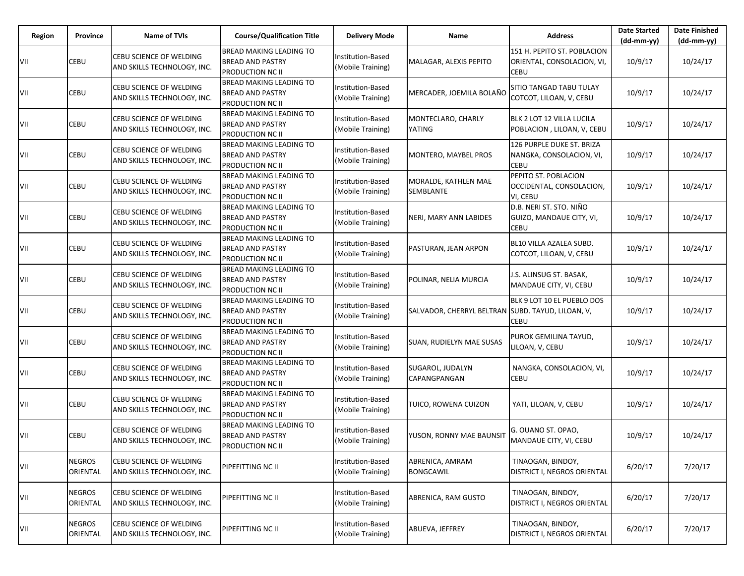| Region | Province                  | <b>Name of TVIs</b>                                           | <b>Course/Qualification Title</b>                                      | <b>Delivery Mode</b>                          | Name                                              | <b>Address</b>                                                       | <b>Date Started</b><br>$(dd-mm-yy)$ | <b>Date Finished</b><br>$(dd-mm-yy)$ |
|--------|---------------------------|---------------------------------------------------------------|------------------------------------------------------------------------|-----------------------------------------------|---------------------------------------------------|----------------------------------------------------------------------|-------------------------------------|--------------------------------------|
| VII    | CEBU                      | CEBU SCIENCE OF WELDING<br>AND SKILLS TECHNOLOGY, INC.        | BREAD MAKING LEADING TO<br><b>BREAD AND PASTRY</b><br>PRODUCTION NC II | <b>Institution-Based</b><br>(Mobile Training) | MALAGAR, ALEXIS PEPITO                            | 151 H. PEPITO ST. POBLACION<br>ORIENTAL, CONSOLACION, VI,<br>CEBU    | 10/9/17                             | 10/24/17                             |
| VII    | CEBU                      | CEBU SCIENCE OF WELDING<br>AND SKILLS TECHNOLOGY, INC.        | BREAD MAKING LEADING TO<br><b>BREAD AND PASTRY</b><br>PRODUCTION NC II | <b>Institution-Based</b><br>(Mobile Training) | MERCADER, JOEMILA BOLAÑO                          | SITIO TANGAD TABU TULAY<br>COTCOT, LILOAN, V, CEBU                   | 10/9/17                             | 10/24/17                             |
| VII    | CEBU                      | CEBU SCIENCE OF WELDING<br>AND SKILLS TECHNOLOGY, INC.        | BREAD MAKING LEADING TO<br><b>BREAD AND PASTRY</b><br>PRODUCTION NC II | Institution-Based<br>(Mobile Training)        | MONTECLARO, CHARLY<br>YATING                      | BLK 2 LOT 12 VILLA LUCILA<br>POBLACION, LILOAN, V, CEBU              | 10/9/17                             | 10/24/17                             |
| VII    | CEBU                      | CEBU SCIENCE OF WELDING<br>AND SKILLS TECHNOLOGY, INC.        | BREAD MAKING LEADING TO<br>BREAD AND PASTRY<br>PRODUCTION NC II        | <b>Institution-Based</b><br>(Mobile Training) | MONTERO, MAYBEL PROS                              | 126 PURPLE DUKE ST. BRIZA<br>NANGKA, CONSOLACION, VI,<br><b>CEBU</b> | 10/9/17                             | 10/24/17                             |
| VII    | CEBU                      | CEBU SCIENCE OF WELDING<br>AND SKILLS TECHNOLOGY, INC.        | BREAD MAKING LEADING TO<br><b>BREAD AND PASTRY</b><br>PRODUCTION NC II | <b>Institution-Based</b><br>(Mobile Training) | MORALDE, KATHLEN MAE<br>SEMBLANTE                 | PEPITO ST. POBLACION<br>OCCIDENTAL, CONSOLACION,<br>VI, CEBU         | 10/9/17                             | 10/24/17                             |
| VII    | CEBU                      | CEBU SCIENCE OF WELDING<br>AND SKILLS TECHNOLOGY, INC.        | BREAD MAKING LEADING TO<br><b>BREAD AND PASTRY</b><br>PRODUCTION NC II | <b>Institution-Based</b><br>(Mobile Training) | NERI, MARY ANN LABIDES                            | D.B. NERI ST. STO. NIÑO<br>GUIZO, MANDAUE CITY, VI,<br>CEBU          | 10/9/17                             | 10/24/17                             |
| VII    | CEBU                      | CEBU SCIENCE OF WELDING<br>AND SKILLS TECHNOLOGY, INC.        | BREAD MAKING LEADING TO<br><b>BREAD AND PASTRY</b><br>PRODUCTION NC II | Institution-Based<br>(Mobile Training)        | PASTURAN, JEAN ARPON                              | BL10 VILLA AZALEA SUBD.<br>COTCOT, LILOAN, V, CEBU                   | 10/9/17                             | 10/24/17                             |
| VII    | CEBU                      | CEBU SCIENCE OF WELDING<br>AND SKILLS TECHNOLOGY, INC.        | BREAD MAKING LEADING TO<br><b>BREAD AND PASTRY</b><br>PRODUCTION NC II | Institution-Based<br>(Mobile Training)        | POLINAR, NELIA MURCIA                             | J.S. ALINSUG ST. BASAK,<br>MANDAUE CITY, VI, CEBU                    | 10/9/17                             | 10/24/17                             |
| VII    | CEBU                      | CEBU SCIENCE OF WELDING<br>AND SKILLS TECHNOLOGY, INC.        | BREAD MAKING LEADING TO<br><b>BREAD AND PASTRY</b><br>PRODUCTION NC II | <b>Institution-Based</b><br>(Mobile Training) | SALVADOR, CHERRYL BELTRAN SUBD. TAYUD, LILOAN, V, | BLK 9 LOT 10 EL PUEBLO DOS<br>CEBU                                   | 10/9/17                             | 10/24/17                             |
| VII    | CEBU                      | CEBU SCIENCE OF WELDING<br>AND SKILLS TECHNOLOGY, INC.        | BREAD MAKING LEADING TO<br><b>BREAD AND PASTRY</b><br>PRODUCTION NC II | Institution-Based<br>(Mobile Training)        | SUAN, RUDIELYN MAE SUSAS                          | PUROK GEMILINA TAYUD,<br>LILOAN, V, CEBU                             | 10/9/17                             | 10/24/17                             |
| VII    | CEBU                      | CEBU SCIENCE OF WELDING<br>AND SKILLS TECHNOLOGY, INC.        | BREAD MAKING LEADING TO<br><b>BREAD AND PASTRY</b><br>PRODUCTION NC II | Institution-Based<br>(Mobile Training)        | SUGAROL, JUDALYN<br>CAPANGPANGAN                  | NANGKA, CONSOLACION, VI,<br>CEBU                                     | 10/9/17                             | 10/24/17                             |
| VII    | CEBU                      | CEBU SCIENCE OF WELDING<br>AND SKILLS TECHNOLOGY, INC.        | BREAD MAKING LEADING TO<br><b>BREAD AND PASTRY</b><br>PRODUCTION NC II | Institution-Based<br>(Mobile Training)        | TUICO, ROWENA CUIZON                              | YATI, LILOAN, V, CEBU                                                | 10/9/17                             | 10/24/17                             |
| VII    | CEBU                      | CEBU SCIENCE OF WELDING<br>AND SKILLS TECHNOLOGY, INC.        | BREAD MAKING LEADING TO<br>BREAD AND PASTRY<br>PRODUCTION NC II        | nstitution-Based<br>(Mobile Training)         | YUSON, RONNY MAE BAUNSIT                          | G. OUANO ST. OPAO,<br>MANDAUE CITY, VI, CEBU                         | 10/9/17                             | 10/24/17                             |
| VII    | <b>NEGROS</b><br>ORIENTAL | <b>CEBU SCIENCE OF WELDING</b><br>AND SKILLS TECHNOLOGY, INC. | PIPEFITTING NC II                                                      | Institution-Based<br>(Mobile Training)        | ABRENICA, AMRAM<br><b>BONGCAWIL</b>               | TINAOGAN, BINDOY,<br>DISTRICT I, NEGROS ORIENTAL                     | 6/20/17                             | 7/20/17                              |
| VII    | <b>NEGROS</b><br>ORIENTAL | CEBU SCIENCE OF WELDING<br>AND SKILLS TECHNOLOGY, INC.        | PIPEFITTING NC II                                                      | Institution-Based<br>(Mobile Training)        | ABRENICA, RAM GUSTO                               | TINAOGAN, BINDOY,<br>DISTRICT I, NEGROS ORIENTAL                     | 6/20/17                             | 7/20/17                              |
| VII    | <b>NEGROS</b><br>ORIENTAL | CEBU SCIENCE OF WELDING<br>AND SKILLS TECHNOLOGY, INC.        | PIPEFITTING NC II                                                      | Institution-Based<br>(Mobile Training)        | ABUEVA, JEFFREY                                   | TINAOGAN, BINDOY,<br>DISTRICT I, NEGROS ORIENTAL                     | 6/20/17                             | 7/20/17                              |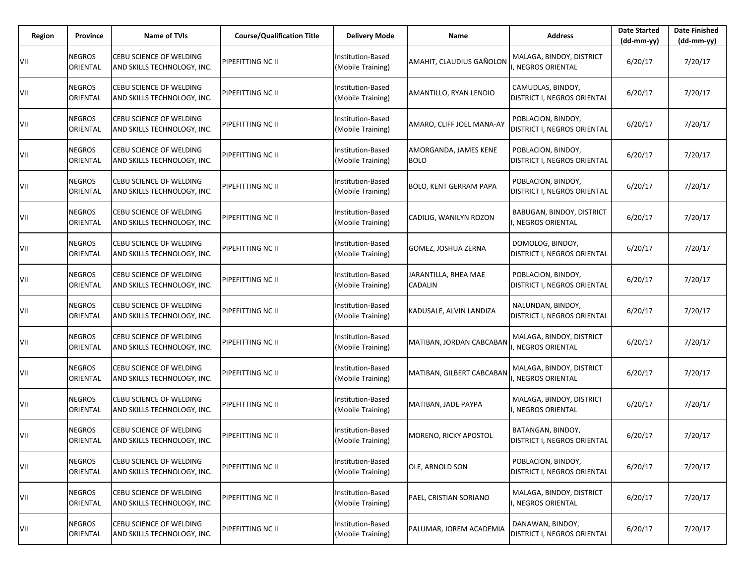| Region | Province                         | Name of TVIs                                                  | <b>Course/Qualification Title</b> | <b>Delivery Mode</b>                          | Name                                 | <b>Address</b>                                    | <b>Date Started</b><br>$(dd-mm-yy)$ | <b>Date Finished</b><br>$(dd-mm-yy)$ |
|--------|----------------------------------|---------------------------------------------------------------|-----------------------------------|-----------------------------------------------|--------------------------------------|---------------------------------------------------|-------------------------------------|--------------------------------------|
| VII    | NEGROS<br>ORIENTAL               | <b>CEBU SCIENCE OF WELDING</b><br>AND SKILLS TECHNOLOGY, INC. | PIPEFITTING NC II                 | <b>Institution-Based</b><br>(Mobile Training) | AMAHIT, CLAUDIUS GAÑOLON             | MALAGA, BINDOY, DISTRICT<br>, NEGROS ORIENTAL     | 6/20/17                             | 7/20/17                              |
| VII    | NEGROS<br>ORIENTAL               | CEBU SCIENCE OF WELDING<br>AND SKILLS TECHNOLOGY, INC.        | PIPEFITTING NC II                 | Institution-Based<br>(Mobile Training)        | AMANTILLO, RYAN LENDIO               | CAMUDLAS, BINDOY,<br>DISTRICT I, NEGROS ORIENTAL  | 6/20/17                             | 7/20/17                              |
| VII    | <b>NEGROS</b><br>ORIENTAL        | <b>CEBU SCIENCE OF WELDING</b><br>AND SKILLS TECHNOLOGY, INC. | PIPEFITTING NC II                 | <b>Institution-Based</b><br>(Mobile Training) | AMARO, CLIFF JOEL MANA-AY            | POBLACION, BINDOY,<br>DISTRICT I, NEGROS ORIENTAL | 6/20/17                             | 7/20/17                              |
| VII    | NEGROS<br>ORIENTAL               | CEBU SCIENCE OF WELDING<br>AND SKILLS TECHNOLOGY, INC.        | PIPEFITTING NC II                 | Institution-Based<br>(Mobile Training)        | AMORGANDA, JAMES KENE<br><b>BOLO</b> | POBLACION, BINDOY,<br>DISTRICT I, NEGROS ORIENTAL | 6/20/17                             | 7/20/17                              |
| VII    | <b>NEGROS</b><br>ORIENTAL        | <b>CEBU SCIENCE OF WELDING</b><br>AND SKILLS TECHNOLOGY, INC. | PIPEFITTING NC II                 | Institution-Based<br>(Mobile Training)        | <b>BOLO, KENT GERRAM PAPA</b>        | POBLACION, BINDOY,<br>DISTRICT I, NEGROS ORIENTAL | 6/20/17                             | 7/20/17                              |
| VII    | NEGROS<br>ORIENTAL               | CEBU SCIENCE OF WELDING<br>AND SKILLS TECHNOLOGY, INC.        | PIPEFITTING NC II                 | Institution-Based<br>(Mobile Training)        | CADILIG, WANILYN ROZON               | BABUGAN, BINDOY, DISTRICT<br>, NEGROS ORIENTAL    | 6/20/17                             | 7/20/17                              |
| VII    | <b>NEGROS</b><br>ORIENTAL        | <b>CEBU SCIENCE OF WELDING</b><br>AND SKILLS TECHNOLOGY, INC. | PIPEFITTING NC II                 | Institution-Based<br>(Mobile Training)        | GOMEZ, JOSHUA ZERNA                  | DOMOLOG, BINDOY,<br>DISTRICT I, NEGROS ORIENTAL   | 6/20/17                             | 7/20/17                              |
| VII    | <b>NEGROS</b><br>ORIENTAL        | CEBU SCIENCE OF WELDING<br>AND SKILLS TECHNOLOGY, INC.        | PIPEFITTING NC II                 | Institution-Based<br>(Mobile Training)        | JARANTILLA, RHEA MAE<br>CADALIN      | POBLACION, BINDOY,<br>DISTRICT I, NEGROS ORIENTAL | 6/20/17                             | 7/20/17                              |
| VII    | <b>NEGROS</b><br>ORIENTAL        | <b>CEBU SCIENCE OF WELDING</b><br>AND SKILLS TECHNOLOGY, INC. | PIPEFITTING NC II                 | Institution-Based<br>(Mobile Training)        | KADUSALE, ALVIN LANDIZA              | NALUNDAN, BINDOY,<br>DISTRICT I, NEGROS ORIENTAL  | 6/20/17                             | 7/20/17                              |
| VII    | <b>NEGROS</b><br>ORIENTAL        | <b>CEBU SCIENCE OF WELDING</b><br>AND SKILLS TECHNOLOGY, INC. | PIPEFITTING NC II                 | Institution-Based<br>(Mobile Training)        | MATIBAN, JORDAN CABCABAN             | MALAGA, BINDOY, DISTRICT<br>NEGROS ORIENTAL       | 6/20/17                             | 7/20/17                              |
| VII    | <b>NEGROS</b><br>ORIENTAL        | CEBU SCIENCE OF WELDING<br>AND SKILLS TECHNOLOGY, INC.        | PIPEFITTING NC II                 | Institution-Based<br>(Mobile Training)        | MATIBAN, GILBERT CABCABAN            | MALAGA, BINDOY, DISTRICT<br>NEGROS ORIENTAL       | 6/20/17                             | 7/20/17                              |
| VII    | <b>NEGROS</b><br>ORIENTAL        | CEBU SCIENCE OF WELDING<br>AND SKILLS TECHNOLOGY, INC.        | PIPEFITTING NC II                 | Institution-Based<br>(Mobile Training)        | MATIBAN, JADE PAYPA                  | MALAGA, BINDOY, DISTRICT<br>, NEGROS ORIENTAL     | 6/20/17                             | 7/20/17                              |
| VII    | NEGROS<br>ORIENTAL               | <b>CEBU SCIENCE OF WELDING</b><br>AND SKILLS TECHNOLOGY, INC. | PIPEFITTING NC II                 | Institution-Based<br>(Mobile Training)        | MORENO, RICKY APOSTOL                | BATANGAN, BINDOY,<br>DISTRICT I, NEGROS ORIENTAL  | 6/20/17                             | 7/20/17                              |
| VII    | <b>NEGROS</b><br>ORIENTAL        | CEBU SCIENCE OF WELDING<br>AND SKILLS TECHNOLOGY, INC.        | PIPEFITTING NC II                 | <b>Institution-Based</b><br>(Mobile Training) | OLE, ARNOLD SON                      | POBLACION, BINDOY,<br>DISTRICT I, NEGROS ORIENTAL | 6/20/17                             | 7/20/17                              |
| VII    | <b>NEGROS</b><br>ORIENTAL        | CEBU SCIENCE OF WELDING<br>AND SKILLS TECHNOLOGY, INC.        | PIPEFITTING NC II                 | Institution-Based<br>(Mobile Training)        | PAEL, CRISTIAN SORIANO               | MALAGA, BINDOY, DISTRICT<br>, NEGROS ORIENTAL     | 6/20/17                             | 7/20/17                              |
| VII    | <b>NEGROS</b><br><b>ORIENTAL</b> | CEBU SCIENCE OF WELDING<br>AND SKILLS TECHNOLOGY, INC.        | PIPEFITTING NC II                 | Institution-Based<br>(Mobile Training)        | PALUMAR, JOREM ACADEMIA              | DANAWAN, BINDOY,<br>DISTRICT I, NEGROS ORIENTAL   | 6/20/17                             | 7/20/17                              |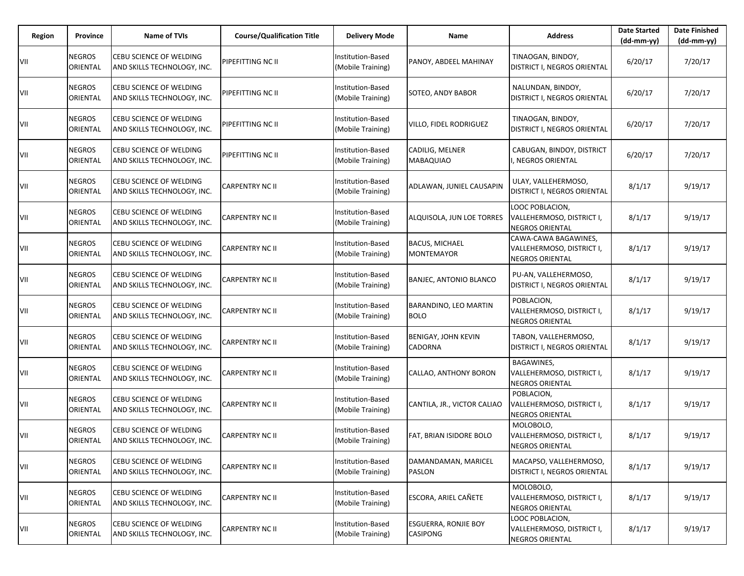| Region | Province                  | <b>Name of TVIs</b>                                    | <b>Course/Qualification Title</b> | <b>Delivery Mode</b>                   | Name                                       | <b>Address</b>                                                              | <b>Date Started</b><br>(dd-mm-yy) | <b>Date Finished</b><br>$(dd-mm-yy)$ |
|--------|---------------------------|--------------------------------------------------------|-----------------------------------|----------------------------------------|--------------------------------------------|-----------------------------------------------------------------------------|-----------------------------------|--------------------------------------|
| VII    | <b>NEGROS</b><br>ORIENTAL | CEBU SCIENCE OF WELDING<br>AND SKILLS TECHNOLOGY, INC. | PIPEFITTING NC II                 | Institution-Based<br>(Mobile Training) | PANOY, ABDEEL MAHINAY                      | TINAOGAN, BINDOY,<br>DISTRICT I, NEGROS ORIENTAL                            | 6/20/17                           | 7/20/17                              |
| VII    | <b>NEGROS</b><br>ORIENTAL | CEBU SCIENCE OF WELDING<br>AND SKILLS TECHNOLOGY, INC. | PIPEFITTING NC II                 | Institution-Based<br>(Mobile Training) | SOTEO, ANDY BABOR                          | NALUNDAN, BINDOY,<br>DISTRICT I, NEGROS ORIENTAL                            | 6/20/17                           | 7/20/17                              |
| VII    | <b>NEGROS</b><br>ORIENTAL | CEBU SCIENCE OF WELDING<br>AND SKILLS TECHNOLOGY, INC. | PIPEFITTING NC II                 | Institution-Based<br>(Mobile Training) | <b>VILLO, FIDEL RODRIGUEZ</b>              | TINAOGAN, BINDOY,<br>DISTRICT I, NEGROS ORIENTAL                            | 6/20/17                           | 7/20/17                              |
| VII    | <b>NEGROS</b><br>ORIENTAL | CEBU SCIENCE OF WELDING<br>AND SKILLS TECHNOLOGY, INC. | PIPEFITTING NC II                 | Institution-Based<br>(Mobile Training) | CADILIG, MELNER<br><b>MABAQUIAO</b>        | CABUGAN, BINDOY, DISTRICT<br>NEGROS ORIENTAL                                | 6/20/17                           | 7/20/17                              |
| VII    | <b>NEGROS</b><br>ORIENTAL | CEBU SCIENCE OF WELDING<br>AND SKILLS TECHNOLOGY, INC. | CARPENTRY NC II                   | Institution-Based<br>(Mobile Training) | ADLAWAN, JUNIEL CAUSAPIN                   | ULAY, VALLEHERMOSO,<br>DISTRICT I, NEGROS ORIENTAL                          | 8/1/17                            | 9/19/17                              |
| VII    | <b>NEGROS</b><br>ORIENTAL | CEBU SCIENCE OF WELDING<br>AND SKILLS TECHNOLOGY, INC. | CARPENTRY NC II                   | Institution-Based<br>(Mobile Training) | ALQUISOLA, JUN LOE TORRES                  | LOOC POBLACION,<br>VALLEHERMOSO, DISTRICT I,<br><b>NEGROS ORIENTAL</b>      | 8/1/17                            | 9/19/17                              |
| VII    | <b>NEGROS</b><br>ORIENTAL | CEBU SCIENCE OF WELDING<br>AND SKILLS TECHNOLOGY, INC. | <b>CARPENTRY NC II</b>            | Institution-Based<br>(Mobile Training) | <b>BACUS, MICHAEL</b><br><b>MONTEMAYOR</b> | CAWA-CAWA BAGAWINES,<br>VALLEHERMOSO, DISTRICT I,<br><b>NEGROS ORIENTAL</b> | 8/1/17                            | 9/19/17                              |
| VII    | <b>NEGROS</b><br>ORIENTAL | CEBU SCIENCE OF WELDING<br>AND SKILLS TECHNOLOGY, INC. | CARPENTRY NC II                   | Institution-Based<br>(Mobile Training) | <b>BANJEC, ANTONIO BLANCO</b>              | PU-AN, VALLEHERMOSO,<br>DISTRICT I, NEGROS ORIENTAL                         | 8/1/17                            | 9/19/17                              |
| VII    | <b>NEGROS</b><br>ORIENTAL | CEBU SCIENCE OF WELDING<br>AND SKILLS TECHNOLOGY, INC. | <b>CARPENTRY NC II</b>            | Institution-Based<br>(Mobile Training) | BARANDINO, LEO MARTIN<br><b>BOLO</b>       | POBLACION,<br>VALLEHERMOSO, DISTRICT I,<br><b>NEGROS ORIENTAL</b>           | 8/1/17                            | 9/19/17                              |
| VII    | <b>NEGROS</b><br>ORIENTAL | CEBU SCIENCE OF WELDING<br>AND SKILLS TECHNOLOGY, INC. | CARPENTRY NC II                   | Institution-Based<br>(Mobile Training) | <b>BENIGAY, JOHN KEVIN</b><br>CADORNA      | TABON, VALLEHERMOSO,<br>DISTRICT I, NEGROS ORIENTAL                         | 8/1/17                            | 9/19/17                              |
| VII    | <b>NEGROS</b><br>ORIENTAL | CEBU SCIENCE OF WELDING<br>AND SKILLS TECHNOLOGY, INC. | <b>CARPENTRY NC II</b>            | Institution-Based<br>(Mobile Training) | CALLAO, ANTHONY BORON                      | BAGAWINES,<br>VALLEHERMOSO, DISTRICT I,<br><b>NEGROS ORIENTAL</b>           | 8/1/17                            | 9/19/17                              |
| VII    | <b>NEGROS</b><br>ORIENTAL | CEBU SCIENCE OF WELDING<br>AND SKILLS TECHNOLOGY, INC. | <b>CARPENTRY NC II</b>            | Institution-Based<br>(Mobile Training) | CANTILA, JR., VICTOR CALIAO                | POBLACION,<br>VALLEHERMOSO, DISTRICT I,<br><b>NEGROS ORIENTAL</b>           | 8/1/17                            | 9/19/17                              |
| VII    | <b>NEGROS</b><br>ORIENTAL | CEBU SCIENCE OF WELDING<br>AND SKILLS TECHNOLOGY, INC. | <b>CARPENTRY NC II</b>            | Institution-Based<br>(Mobile Training) | FAT, BRIAN ISIDORE BOLO                    | MOLOBOLO,<br>VALLEHERMOSO, DISTRICT I,<br>NEGROS ORIENTAL                   | 8/1/17                            | 9/19/17                              |
| VII    | <b>NEGROS</b><br>ORIENTAL | CEBU SCIENCE OF WELDING<br>AND SKILLS TECHNOLOGY, INC. | <b>CARPENTRY NC II</b>            | Institution-Based<br>(Mobile Training) | DAMANDAMAN, MARICEL<br><b>PASLON</b>       | MACAPSO, VALLEHERMOSO,<br>DISTRICT I, NEGROS ORIENTAL                       | 8/1/17                            | 9/19/17                              |
| VII    | <b>NEGROS</b><br>ORIENTAL | CEBU SCIENCE OF WELDING<br>AND SKILLS TECHNOLOGY, INC. | <b>CARPENTRY NC II</b>            | Institution-Based<br>(Mobile Training) | ESCORA, ARIEL CAÑETE                       | MOLOBOLO,<br>VALLEHERMOSO, DISTRICT I,<br><b>NEGROS ORIENTAL</b>            | 8/1/17                            | 9/19/17                              |
| VII    | <b>NEGROS</b><br>ORIENTAL | CEBU SCIENCE OF WELDING<br>AND SKILLS TECHNOLOGY, INC. | <b>CARPENTRY NC II</b>            | Institution-Based<br>(Mobile Training) | ESGUERRA, RONJIE BOY<br>CASIPONG           | LOOC POBLACION,<br>VALLEHERMOSO, DISTRICT I,<br>NEGROS ORIENTAL             | 8/1/17                            | 9/19/17                              |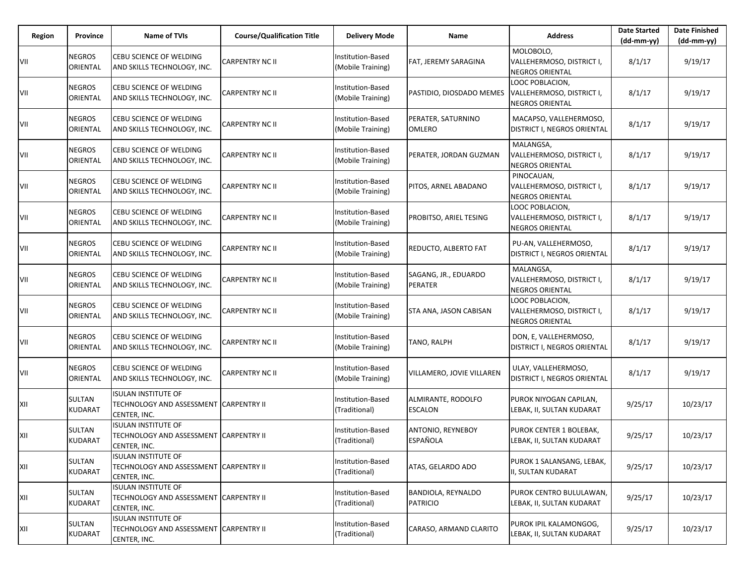| Region | Province                  | <b>Name of TVIs</b>                                                                  | <b>Course/Qualification Title</b> | <b>Delivery Mode</b>                          | Name                                        | <b>Address</b>                                                         | <b>Date Started</b><br>$(dd-mm-yy)$ | <b>Date Finished</b><br>$(dd-mm-yy)$ |
|--------|---------------------------|--------------------------------------------------------------------------------------|-----------------------------------|-----------------------------------------------|---------------------------------------------|------------------------------------------------------------------------|-------------------------------------|--------------------------------------|
| VII    | <b>NEGROS</b><br>ORIENTAL | CEBU SCIENCE OF WELDING<br>AND SKILLS TECHNOLOGY, INC.                               | <b>CARPENTRY NC II</b>            | Institution-Based<br>(Mobile Training)        | FAT, JEREMY SARAGINA                        | MOLOBOLO,<br>VALLEHERMOSO, DISTRICT I,<br>NEGROS ORIENTAL              | 8/1/17                              | 9/19/17                              |
| VII    | <b>NEGROS</b><br>ORIENTAL | CEBU SCIENCE OF WELDING<br>AND SKILLS TECHNOLOGY, INC.                               | CARPENTRY NC II                   | <b>Institution-Based</b><br>(Mobile Training) | PASTIDIO, DIOSDADO MEMES                    | LOOC POBLACION,<br>VALLEHERMOSO, DISTRICT I,<br>NEGROS ORIENTAL        | 8/1/17                              | 9/19/17                              |
| VII    | <b>NEGROS</b><br>ORIENTAL | CEBU SCIENCE OF WELDING<br>AND SKILLS TECHNOLOGY, INC.                               | <b>CARPENTRY NC II</b>            | Institution-Based<br>(Mobile Training)        | PERATER, SATURNINO<br><b>OMLERO</b>         | MACAPSO, VALLEHERMOSO,<br>DISTRICT I, NEGROS ORIENTAL                  | 8/1/17                              | 9/19/17                              |
| VII    | <b>NEGROS</b><br>ORIENTAL | CEBU SCIENCE OF WELDING<br>AND SKILLS TECHNOLOGY, INC.                               | CARPENTRY NC II                   | Institution-Based<br>(Mobile Training)        | PERATER, JORDAN GUZMAN                      | MALANGSA.<br>VALLEHERMOSO, DISTRICT I,<br>NEGROS ORIENTAL              | 8/1/17                              | 9/19/17                              |
| VII    | <b>NEGROS</b><br>ORIENTAL | CEBU SCIENCE OF WELDING<br>AND SKILLS TECHNOLOGY, INC.                               | <b>CARPENTRY NC II</b>            | Institution-Based<br>(Mobile Training)        | PITOS, ARNEL ABADANO                        | PINOCAUAN,<br>VALLEHERMOSO, DISTRICT I,<br><b>NEGROS ORIENTAL</b>      | 8/1/17                              | 9/19/17                              |
| VII    | <b>NEGROS</b><br>ORIENTAL | CEBU SCIENCE OF WELDING<br>AND SKILLS TECHNOLOGY, INC.                               | CARPENTRY NC II                   | Institution-Based<br>(Mobile Training)        | PROBITSO, ARIEL TESING                      | LOOC POBLACION,<br>VALLEHERMOSO, DISTRICT I,<br><b>NEGROS ORIENTAL</b> | 8/1/17                              | 9/19/17                              |
| VII    | <b>NEGROS</b><br>ORIENTAL | CEBU SCIENCE OF WELDING<br>AND SKILLS TECHNOLOGY, INC.                               | <b>CARPENTRY NC II</b>            | Institution-Based<br>(Mobile Training)        | REDUCTO, ALBERTO FAT                        | PU-AN, VALLEHERMOSO,<br>DISTRICT I, NEGROS ORIENTAL                    | 8/1/17                              | 9/19/17                              |
| VII    | <b>NEGROS</b><br>ORIENTAL | CEBU SCIENCE OF WELDING<br>AND SKILLS TECHNOLOGY, INC.                               | CARPENTRY NC II                   | Institution-Based<br>(Mobile Training)        | SAGANG, JR., EDUARDO<br>PERATER             | MALANGSA,<br>VALLEHERMOSO, DISTRICT I,<br><b>NEGROS ORIENTAL</b>       | 8/1/17                              | 9/19/17                              |
| VII    | <b>NEGROS</b><br>ORIENTAL | CEBU SCIENCE OF WELDING<br>AND SKILLS TECHNOLOGY, INC.                               | <b>CARPENTRY NC II</b>            | Institution-Based<br>(Mobile Training)        | STA ANA, JASON CABISAN                      | LOOC POBLACION,<br>VALLEHERMOSO, DISTRICT I,<br><b>NEGROS ORIENTAL</b> | 8/1/17                              | 9/19/17                              |
| VII    | <b>NEGROS</b><br>ORIENTAL | CEBU SCIENCE OF WELDING<br>AND SKILLS TECHNOLOGY, INC.                               | CARPENTRY NC II                   | Institution-Based<br>(Mobile Training)        | TANO, RALPH                                 | DON, E, VALLEHERMOSO,<br>DISTRICT I, NEGROS ORIENTAL                   | 8/1/17                              | 9/19/17                              |
| VII    | <b>NEGROS</b><br>ORIENTAL | CEBU SCIENCE OF WELDING<br>AND SKILLS TECHNOLOGY, INC.                               | <b>CARPENTRY NC II</b>            | Institution-Based<br>(Mobile Training)        | VILLAMERO, JOVIE VILLAREN                   | ULAY, VALLEHERMOSO,<br>DISTRICT I, NEGROS ORIENTAL                     | 8/1/17                              | 9/19/17                              |
| XII    | SULTAN<br>KUDARAT         | <b>ISULAN INSTITUTE OF</b><br>TECHNOLOGY AND ASSESSMENT CARPENTRY II<br>CENTER, INC. |                                   | Institution-Based<br>(Traditional)            | ALMIRANTE, RODOLFO<br><b>ESCALON</b>        | PUROK NIYOGAN CAPILAN,<br>LEBAK, II, SULTAN KUDARAT                    | 9/25/17                             | 10/23/17                             |
| XII    | SULTAN<br>KUDARAT         | <b>ISULAN INSTITUTE OF</b><br>TECHNOLOGY AND ASSESSMENT CARPENTRY II<br>CENTER, INC. |                                   | Institution-Based<br>(Traditional)            | <b>ANTONIO, REYNEBOY</b><br><b>ESPAÑOLA</b> | PUROK CENTER 1 BOLEBAK,<br>LEBAK, II, SULTAN KUDARAT                   | 9/25/17                             | 10/23/17                             |
| XII    | SULTAN<br><b>KUDARAT</b>  | <b>ISULAN INSTITUTE OF</b><br>TECHNOLOGY AND ASSESSMENT CARPENTRY II<br>CENTER, INC. |                                   | Institution-Based<br>(Traditional)            | ATAS, GELARDO ADO                           | PUROK 1 SALANSANG, LEBAK,<br>I, SULTAN KUDARAT                         | 9/25/17                             | 10/23/17                             |
| XII    | <b>SULTAN</b><br>KUDARAT  | <b>ISULAN INSTITUTE OF</b><br>TECHNOLOGY AND ASSESSMENT CARPENTRY II<br>CENTER, INC. |                                   | Institution-Based<br>(Traditional)            | BANDIOLA, REYNALDO<br><b>PATRICIO</b>       | PUROK CENTRO BULULAWAN,<br>LEBAK, II, SULTAN KUDARAT                   | 9/25/17                             | 10/23/17                             |
| XII    | SULTAN<br>KUDARAT         | <b>ISULAN INSTITUTE OF</b><br>TECHNOLOGY AND ASSESSMENT CARPENTRY II<br>CENTER, INC. |                                   | Institution-Based<br>(Traditional)            | CARASO, ARMAND CLARITO                      | PUROK IPIL KALAMONGOG,<br>LEBAK, II, SULTAN KUDARAT                    | 9/25/17                             | 10/23/17                             |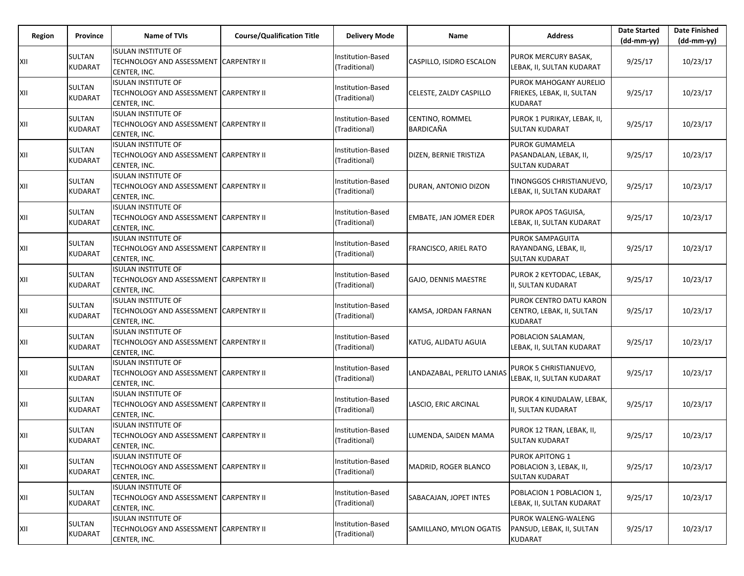| <b>Region</b> | Province                 | Name of TVIs                                                                         | <b>Course/Qualification Title</b> | <b>Delivery Mode</b>               | Name                                | <b>Address</b>                                                           | <b>Date Started</b><br>$(dd-mm-yy)$ | <b>Date Finished</b><br>$(dd-mm-yy)$ |
|---------------|--------------------------|--------------------------------------------------------------------------------------|-----------------------------------|------------------------------------|-------------------------------------|--------------------------------------------------------------------------|-------------------------------------|--------------------------------------|
| XII           | SULTAN<br>KUDARAT        | <b>ISULAN INSTITUTE OF</b><br>TECHNOLOGY AND ASSESSMENT CARPENTRY II<br>CENTER, INC. |                                   | Institution-Based<br>(Traditional) | CASPILLO, ISIDRO ESCALON            | PUROK MERCURY BASAK,<br>LEBAK, II, SULTAN KUDARAT                        | 9/25/17                             | 10/23/17                             |
| XII           | SULTAN<br>KUDARAT        | <b>ISULAN INSTITUTE OF</b><br>TECHNOLOGY AND ASSESSMENT CARPENTRY II<br>CENTER, INC. |                                   | Institution-Based<br>(Traditional) | CELESTE, ZALDY CASPILLO             | PUROK MAHOGANY AURELIO<br>FRIEKES, LEBAK, II, SULTAN<br><b>KUDARAT</b>   | 9/25/17                             | 10/23/17                             |
| XII           | SULTAN<br>KUDARAT        | <b>ISULAN INSTITUTE OF</b><br>TECHNOLOGY AND ASSESSMENT CARPENTRY II<br>CENTER, INC. |                                   | Institution-Based<br>(Traditional) | CENTINO, ROMMEL<br><b>BARDICAÑA</b> | PUROK 1 PURIKAY, LEBAK, II,<br><b>SULTAN KUDARAT</b>                     | 9/25/17                             | 10/23/17                             |
| XII           | SULTAN<br>KUDARAT        | <b>ISULAN INSTITUTE OF</b><br>TECHNOLOGY AND ASSESSMENT CARPENTRY II<br>CENTER, INC. |                                   | Institution-Based<br>(Traditional) | DIZEN, BERNIE TRISTIZA              | <b>PUROK GUMAMELA</b><br>PASANDALAN, LEBAK, II,<br><b>SULTAN KUDARAT</b> | 9/25/17                             | 10/23/17                             |
| XII           | SULTAN<br>KUDARAT        | <b>ISULAN INSTITUTE OF</b><br>TECHNOLOGY AND ASSESSMENT CARPENTRY II<br>CENTER, INC. |                                   | Institution-Based<br>(Traditional) | DURAN, ANTONIO DIZON                | TINONGGOS CHRISTIANUEVO,<br>LEBAK, II, SULTAN KUDARAT                    | 9/25/17                             | 10/23/17                             |
| XII           | SULTAN<br>KUDARAT        | <b>ISULAN INSTITUTE OF</b><br>TECHNOLOGY AND ASSESSMENT CARPENTRY II<br>CENTER, INC. |                                   | Institution-Based<br>(Traditional) | EMBATE, JAN JOMER EDER              | PUROK APOS TAGUISA,<br>LEBAK, II, SULTAN KUDARAT                         | 9/25/17                             | 10/23/17                             |
| XII           | SULTAN<br>KUDARAT        | <b>ISULAN INSTITUTE OF</b><br>TECHNOLOGY AND ASSESSMENT CARPENTRY II<br>CENTER, INC. |                                   | Institution-Based<br>(Traditional) | FRANCISCO, ARIEL RATO               | PUROK SAMPAGUITA<br>RAYANDANG, LEBAK, II,<br><b>SULTAN KUDARAT</b>       | 9/25/17                             | 10/23/17                             |
| XII           | SULTAN<br><b>KUDARAT</b> | <b>ISULAN INSTITUTE OF</b><br>TECHNOLOGY AND ASSESSMENT CARPENTRY II<br>CENTER, INC. |                                   | Institution-Based<br>(Traditional) | GAJO, DENNIS MAESTRE                | PUROK 2 KEYTODAC, LEBAK,<br>I, SULTAN KUDARAT                            | 9/25/17                             | 10/23/17                             |
| XII           | SULTAN<br>KUDARAT        | <b>ISULAN INSTITUTE OF</b><br>TECHNOLOGY AND ASSESSMENT CARPENTRY II<br>CENTER, INC. |                                   | Institution-Based<br>(Traditional) | KAMSA, JORDAN FARNAN                | PUROK CENTRO DATU KARON<br>CENTRO, LEBAK, II, SULTAN<br><b>KUDARAT</b>   | 9/25/17                             | 10/23/17                             |
| XII           | SULTAN<br>KUDARAT        | <b>ISULAN INSTITUTE OF</b><br>TECHNOLOGY AND ASSESSMENT CARPENTRY II<br>CENTER, INC. |                                   | Institution-Based<br>(Traditional) | KATUG, ALIDATU AGUIA                | POBLACION SALAMAN,<br>LEBAK, II, SULTAN KUDARAT                          | 9/25/17                             | 10/23/17                             |
| XII           | SULTAN<br>KUDARAT        | <b>ISULAN INSTITUTE OF</b><br>TECHNOLOGY AND ASSESSMENT CARPENTRY II<br>CENTER, INC. |                                   | Institution-Based<br>(Traditional) | LANDAZABAL, PERLITO LANIAS          | PUROK 5 CHRISTIANUEVO,<br>LEBAK, II, SULTAN KUDARAT                      | 9/25/17                             | 10/23/17                             |
| XII           | SULTAN<br>KUDARAT        | <b>ISULAN INSTITUTE OF</b><br>TECHNOLOGY AND ASSESSMENT CARPENTRY II<br>CENTER, INC. |                                   | Institution-Based<br>(Traditional) | LASCIO, ERIC ARCINAL                | PUROK 4 KINUDALAW, LEBAK,<br>II, SULTAN KUDARAT                          | 9/25/17                             | 10/23/17                             |
| XII           | SULTAN<br>KUDARAT        | ISULAN INSTITUTE OF<br>TECHNOLOGY AND ASSESSMENT CARPENTRY II<br>CENTER, INC.        |                                   | Institution-Based<br>(Traditional) | LUMENDA, SAIDEN MAMA                | PUROK 12 TRAN, LEBAK, II,<br><b>SULTAN KUDARAT</b>                       | 9/25/17                             | 10/23/17                             |
| XII           | SULTAN<br>KUDARAT        | <b>ISULAN INSTITUTE OF</b><br>TECHNOLOGY AND ASSESSMENT CARPENTRY II<br>CENTER, INC. |                                   | Institution-Based<br>(Traditional) | MADRID, ROGER BLANCO                | PUROK APITONG 1<br>POBLACION 3, LEBAK, II,<br><b>SULTAN KUDARAT</b>      | 9/25/17                             | 10/23/17                             |
| XII           | SULTAN<br><b>KUDARAT</b> | ISULAN INSTITUTE OF<br>TECHNOLOGY AND ASSESSMENT CARPENTRY II<br>CENTER, INC.        |                                   | Institution-Based<br>(Traditional) | SABACAJAN, JOPET INTES              | POBLACION 1 POBLACION 1,<br>LEBAK, II, SULTAN KUDARAT                    | 9/25/17                             | 10/23/17                             |
| XII           | SULTAN<br>KUDARAT        | <b>ISULAN INSTITUTE OF</b><br>TECHNOLOGY AND ASSESSMENT CARPENTRY II<br>CENTER, INC. |                                   | Institution-Based<br>(Traditional) | SAMILLANO, MYLON OGATIS             | PUROK WALENG-WALENG<br>PANSUD, LEBAK, II, SULTAN<br>KUDARAT              | 9/25/17                             | 10/23/17                             |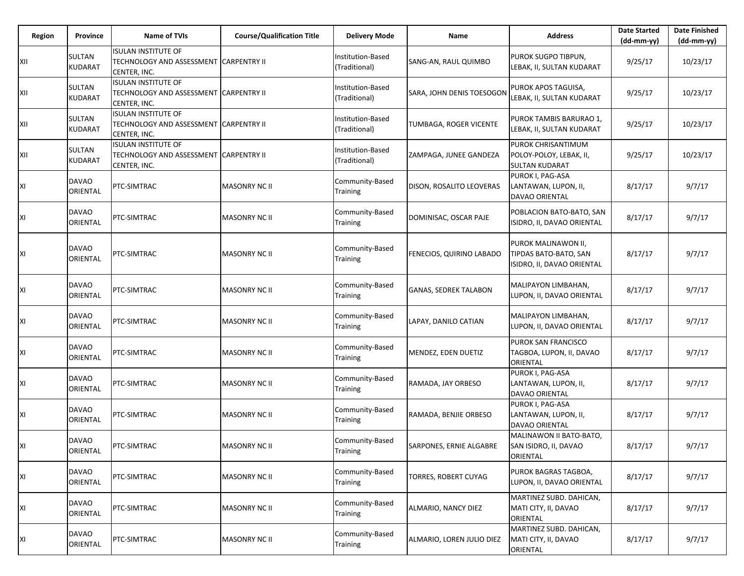| Region | Province                 | <b>Name of TVIs</b>                                                                   | <b>Course/Qualification Title</b> | <b>Delivery Mode</b>               | Name                         | <b>Address</b>                                                             | <b>Date Started</b><br>$(dd-mm-yy)$ | <b>Date Finished</b><br>$(dd-mm-yy)$ |
|--------|--------------------------|---------------------------------------------------------------------------------------|-----------------------------------|------------------------------------|------------------------------|----------------------------------------------------------------------------|-------------------------------------|--------------------------------------|
| XII    | SULTAN<br>KUDARAT        | <b>ISULAN INSTITUTE OF</b><br>TECHNOLOGY AND ASSESSMENT CARPENTRY II<br>CENTER, INC.  |                                   | Institution-Based<br>(Traditional) | SANG-AN, RAUL QUIMBO         | PUROK SUGPO TIBPUN,<br>LEBAK, II, SULTAN KUDARAT                           | 9/25/17                             | 10/23/17                             |
| XII    | SULTAN<br><b>KUDARAT</b> | <b>ISULAN INSTITUTE OF</b><br>TECHNOLOGY AND ASSESSMENT  CARPENTRY II<br>CENTER, INC. |                                   | Institution-Based<br>(Traditional) | SARA, JOHN DENIS TOESOGON    | PUROK APOS TAGUISA,<br>LEBAK, II, SULTAN KUDARAT                           | 9/25/17                             | 10/23/17                             |
| XII    | <b>SULTAN</b><br>KUDARAT | <b>ISULAN INSTITUTE OF</b><br>TECHNOLOGY AND ASSESSMENT CARPENTRY II<br>CENTER, INC.  |                                   | Institution-Based<br>(Traditional) | TUMBAGA, ROGER VICENTE       | PUROK TAMBIS BARURAO 1,<br>LEBAK, II, SULTAN KUDARAT                       | 9/25/17                             | 10/23/17                             |
| XII    | SULTAN<br><b>KUDARAT</b> | <b>ISULAN INSTITUTE OF</b><br>TECHNOLOGY AND ASSESSMENT CARPENTRY II<br>CENTER, INC.  |                                   | Institution-Based<br>(Traditional) | ZAMPAGA, JUNEE GANDEZA       | PUROK CHRISANTIMUM<br>POLOY-POLOY, LEBAK, II,<br><b>SULTAN KUDARAT</b>     | 9/25/17                             | 10/23/17                             |
| ΧI     | <b>DAVAO</b><br>ORIENTAL | PTC-SIMTRAC                                                                           | <b>MASONRY NC II</b>              | Community-Based<br>Training        | DISON, ROSALITO LEOVERAS     | PUROK I, PAG-ASA<br>LANTAWAN, LUPON, II,<br><b>DAVAO ORIENTAL</b>          | 8/17/17                             | 9/7/17                               |
| ΧI     | <b>DAVAO</b><br>ORIENTAL | PTC-SIMTRAC                                                                           | MASONRY NC II                     | Community-Based<br>Training        | DOMINISAC, OSCAR PAJE        | POBLACION BATO-BATO, SAN<br>ISIDRO, II, DAVAO ORIENTAL                     | 8/17/17                             | 9/7/17                               |
| ΧI     | <b>DAVAO</b><br>ORIENTAL | PTC-SIMTRAC                                                                           | <b>MASONRY NC II</b>              | Community-Based<br>Training        | FENECIOS, QUIRINO LABADO     | PUROK MALINAWON II,<br>TIPDAS BATO-BATO, SAN<br>ISIDRO, II, DAVAO ORIENTAL | 8/17/17                             | 9/7/17                               |
| XI     | DAVAO<br>ORIENTAL        | PTC-SIMTRAC                                                                           | MASONRY NC II                     | Community-Based<br>Training        | <b>GANAS, SEDREK TALABON</b> | MALIPAYON LIMBAHAN,<br>LUPON, II, DAVAO ORIENTAL                           | 8/17/17                             | 9/7/17                               |
| ΧI     | <b>DAVAO</b><br>ORIENTAL | PTC-SIMTRAC                                                                           | <b>MASONRY NC II</b>              | Community-Based<br>Training        | LAPAY, DANILO CATIAN         | MALIPAYON LIMBAHAN,<br>LUPON, II, DAVAO ORIENTAL                           | 8/17/17                             | 9/7/17                               |
| ΧI     | DAVAO<br>ORIENTAL        | PTC-SIMTRAC                                                                           | <b>MASONRY NC II</b>              | Community-Based<br>Training        | MENDEZ, EDEN DUETIZ          | PUROK SAN FRANCISCO<br>TAGBOA, LUPON, II, DAVAO<br>ORIENTAL                | 8/17/17                             | 9/7/17                               |
| ΧI     | <b>DAVAO</b><br>ORIENTAL | PTC-SIMTRAC                                                                           | <b>MASONRY NC II</b>              | Community-Based<br>Training        | RAMADA, JAY ORBESO           | PUROK I, PAG-ASA<br>LANTAWAN, LUPON, II,<br>DAVAO ORIENTAL                 | 8/17/17                             | 9/7/17                               |
| ΧI     | <b>DAVAO</b><br>ORIENTAL | PTC-SIMTRAC                                                                           | MASONRY NC II                     | Community-Based<br>Training        | RAMADA, BENJIE ORBESO        | PUROK I, PAG-ASA<br>LANTAWAN, LUPON, II,<br>DAVAO ORIENTAL                 | 8/17/17                             | 9/7/17                               |
| ΧI     | <b>DAVAO</b><br>ORIENTAL | PTC-SIMTRAC                                                                           | MASONRY NC II                     | Community-Based<br><b>Training</b> | SARPONES, ERNIE ALGABRE      | MALINAWON II BATO-BATO,<br>SAN ISIDRO, II, DAVAO<br>ORIENTAL               | 8/17/17                             | 9/7/17                               |
| XI     | <b>DAVAO</b><br>ORIENTAL | PTC-SIMTRAC                                                                           | <b>MASONRY NC II</b>              | Community-Based<br>Training        | TORRES, ROBERT CUYAG         | PUROK BAGRAS TAGBOA,<br>LUPON, II, DAVAO ORIENTAL                          | 8/17/17                             | 9/7/17                               |
| XI     | <b>DAVAO</b><br>ORIENTAL | PTC-SIMTRAC                                                                           | <b>MASONRY NC II</b>              | Community-Based<br>Training        | ALMARIO, NANCY DIEZ          | MARTINEZ SUBD. DAHICAN,<br>MATI CITY, II, DAVAO<br>ORIENTAL                | 8/17/17                             | 9/7/17                               |
| ΧI     | <b>DAVAO</b><br>ORIENTAL | PTC-SIMTRAC                                                                           | <b>MASONRY NC II</b>              | Community-Based<br>Training        | ALMARIO, LOREN JULIO DIEZ    | MARTINEZ SUBD. DAHICAN,<br>MATI CITY, II, DAVAO<br>ORIENTAL                | 8/17/17                             | 9/7/17                               |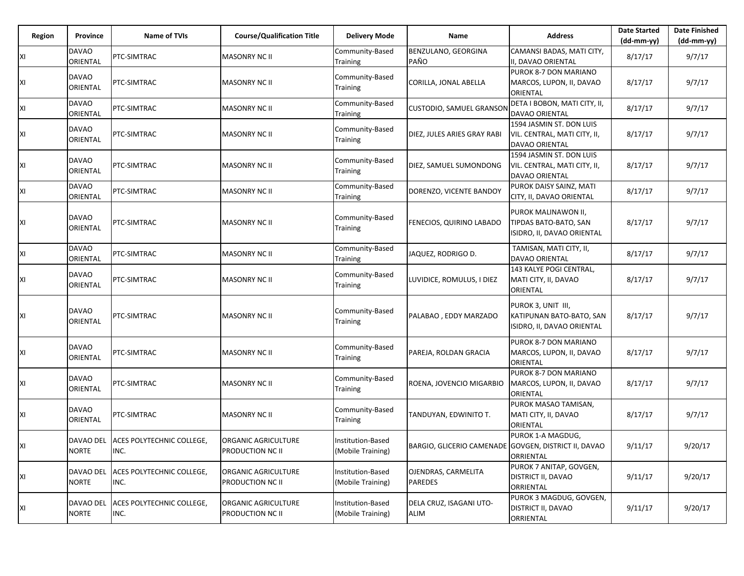| Region | Province                 | <b>Name of TVIs</b>                 | <b>Course/Qualification Title</b> | <b>Delivery Mode</b>        | Name                                                 | <b>Address</b>                                  | <b>Date Started</b> | <b>Date Finished</b> |
|--------|--------------------------|-------------------------------------|-----------------------------------|-----------------------------|------------------------------------------------------|-------------------------------------------------|---------------------|----------------------|
|        |                          |                                     |                                   |                             |                                                      |                                                 | $(dd-mm-yy)$        | (dd-mm-yy)           |
| XI     | <b>DAVAO</b><br>ORIENTAL | PTC-SIMTRAC                         | <b>MASONRY NC II</b>              | Community-Based<br>Training | BENZULANO, GEORGINA<br>PAÑO                          | CAMANSI BADAS, MATI CITY,<br>II, DAVAO ORIENTAL | 8/17/17             | 9/7/17               |
|        |                          |                                     |                                   |                             |                                                      | PUROK 8-7 DON MARIANO                           |                     |                      |
| XI     | <b>DAVAO</b>             | PTC-SIMTRAC                         | <b>MASONRY NC II</b>              | Community-Based             | CORILLA, JONAL ABELLA                                | MARCOS, LUPON, II, DAVAO                        | 8/17/17             | 9/7/17               |
|        | ORIENTAL                 |                                     |                                   | Training                    |                                                      | ORIENTAL                                        |                     |                      |
|        | <b>DAVAO</b>             |                                     |                                   | Community-Based             |                                                      | DETA I BOBON, MATI CITY, II,                    |                     |                      |
| XI     | ORIENTAL                 | PTC-SIMTRAC                         | <b>MASONRY NC II</b>              | Training                    | <b>CUSTODIO, SAMUEL GRANSOI</b>                      | <b>DAVAO ORIENTAL</b>                           | 8/17/17             | 9/7/17               |
|        |                          |                                     |                                   |                             |                                                      | 1594 JASMIN ST. DON LUIS                        |                     |                      |
| XI     | <b>DAVAO</b>             | PTC-SIMTRAC                         | <b>MASONRY NC II</b>              | Community-Based             | DIEZ, JULES ARIES GRAY RABI                          | VIL. CENTRAL, MATI CITY, II,                    | 8/17/17             | 9/7/17               |
|        | ORIENTAL                 |                                     |                                   | Training                    |                                                      | DAVAO ORIENTAL                                  |                     |                      |
|        |                          |                                     |                                   |                             |                                                      | 1594 JASMIN ST. DON LUIS                        |                     |                      |
|        | <b>DAVAO</b>             |                                     |                                   | Community-Based             |                                                      |                                                 |                     | 9/7/17               |
| XI     | ORIENTAL                 | PTC-SIMTRAC                         | <b>MASONRY NC II</b>              | Training                    | DIEZ, SAMUEL SUMONDONG                               | VIL. CENTRAL, MATI CITY, II,                    | 8/17/17             |                      |
|        |                          |                                     |                                   |                             |                                                      | <b>DAVAO ORIENTAL</b>                           |                     |                      |
| XI     | <b>DAVAO</b>             | PTC-SIMTRAC                         | <b>MASONRY NC II</b>              | Community-Based             | DORENZO, VICENTE BANDOY                              | PUROK DAISY SAINZ, MATI                         | 8/17/17             | 9/7/17               |
|        | ORIENTAL                 |                                     |                                   | Training                    |                                                      | CITY, II, DAVAO ORIENTAL                        |                     |                      |
|        |                          |                                     |                                   |                             |                                                      | PUROK MALINAWON II,                             |                     |                      |
| XI     | <b>DAVAO</b>             | PTC-SIMTRAC                         | <b>MASONRY NC II</b>              | Community-Based             | FENECIOS, QUIRINO LABADO                             | TIPDAS BATO-BATO, SAN                           | 8/17/17             | 9/7/17               |
|        | ORIENTAL                 |                                     |                                   | Training                    |                                                      | ISIDRO, II, DAVAO ORIENTAL                      |                     |                      |
|        |                          |                                     |                                   |                             |                                                      |                                                 |                     |                      |
| XI     | <b>DAVAO</b>             | PTC-SIMTRAC                         | <b>MASONRY NC II</b>              | Community-Based             | JAQUEZ, RODRIGO D.                                   | TAMISAN, MATI CITY, II,                         | 8/17/17             | 9/7/17               |
|        | ORIENTAL                 |                                     |                                   | Training                    |                                                      | DAVAO ORIENTAL                                  |                     |                      |
|        | <b>DAVAO</b>             |                                     |                                   | Community-Based             |                                                      | 143 KALYE POGI CENTRAL,                         |                     |                      |
| XI     | ORIENTAL                 | PTC-SIMTRAC                         | MASONRY NC II                     | Training                    | LUVIDICE, ROMULUS, I DIEZ                            | MATI CITY, II, DAVAO                            | 8/17/17             | 9/7/17               |
|        |                          |                                     |                                   |                             |                                                      | ORIENTAL                                        |                     |                      |
|        |                          |                                     |                                   |                             |                                                      | PUROK 3, UNIT III,                              |                     |                      |
|        | <b>DAVAO</b>             | <b>PTC-SIMTRAC</b>                  | <b>MASONRY NC II</b>              | Community-Based             | PALABAO, EDDY MARZADO                                | KATIPUNAN BATO-BATO, SAN                        | 8/17/17             | 9/7/17               |
| XI     | ORIENTAL                 |                                     |                                   | Training                    |                                                      |                                                 |                     |                      |
|        |                          |                                     |                                   |                             |                                                      | ISIDRO, II, DAVAO ORIENTAL                      |                     |                      |
|        |                          |                                     |                                   |                             |                                                      | PUROK 8-7 DON MARIANO                           |                     |                      |
| XI     | <b>DAVAO</b>             | PTC-SIMTRAC                         | <b>MASONRY NC II</b>              | Community-Based             | PAREJA, ROLDAN GRACIA                                | MARCOS, LUPON, II, DAVAO                        | 8/17/17             | 9/7/17               |
|        | ORIENTAL                 |                                     |                                   | Training                    |                                                      | ORIENTAL                                        |                     |                      |
|        |                          |                                     |                                   |                             |                                                      | PUROK 8-7 DON MARIANO                           |                     |                      |
| XI     | <b>DAVAO</b>             | PTC-SIMTRAC                         | <b>MASONRY NC II</b>              | Community-Based             | ROENA, JOVENCIO MIGARBIO                             | MARCOS, LUPON, II, DAVAO                        | 8/17/17             | 9/7/17               |
|        | ORIENTAL                 |                                     |                                   | Training                    |                                                      | ORIENTAL                                        |                     |                      |
|        |                          |                                     |                                   |                             |                                                      | PUROK MASAO TAMISAN,                            |                     |                      |
| XI     | <b>DAVAO</b>             | PTC-SIMTRAC                         | <b>MASONRY NC II</b>              | Community-Based             | TANDUYAN, EDWINITO T.                                | MATI CITY, II, DAVAO                            | 8/17/17             | 9/7/17               |
|        | ORIENTAL                 |                                     |                                   | Training                    |                                                      | ORIENTAL                                        |                     |                      |
|        |                          |                                     |                                   |                             |                                                      | PUROK 1-A MAGDUG,                               |                     |                      |
| ΧI     |                          | DAVAO DEL ACES POLYTECHNIC COLLEGE, | ORGANIC AGRICULTURE               | Institution-Based           | BARGIO, GLICERIO CAMENADE GOVGEN, DISTRICT II, DAVAO |                                                 | 9/11/17             | 9/20/17              |
|        | <b>NORTE</b>             | INC.                                | PRODUCTION NC II                  | (Mobile Training)           |                                                      | ORRIENTAL                                       |                     |                      |
|        |                          |                                     |                                   |                             |                                                      | PUROK 7 ANITAP, GOVGEN,                         |                     |                      |
| XI     |                          | DAVAO DEL ACES POLYTECHNIC COLLEGE, | ORGANIC AGRICULTURE               | Institution-Based           | OJENDRAS, CARMELITA                                  | DISTRICT II, DAVAO                              | 9/11/17             | 9/20/17              |
|        | <b>NORTE</b>             | INC.                                | PRODUCTION NC II                  | (Mobile Training)           | <b>PAREDES</b>                                       | ORRIENTAL                                       |                     |                      |
|        |                          |                                     |                                   |                             |                                                      | PUROK 3 MAGDUG, GOVGEN,                         |                     |                      |
| XI     | DAVAO DEL                | ACES POLYTECHNIC COLLEGE,           | ORGANIC AGRICULTURE               | Institution-Based           | DELA CRUZ, ISAGANI UTO-                              | DISTRICT II, DAVAO                              | 9/11/17             | 9/20/17              |
|        | <b>NORTE</b>             | INC.                                | <b>PRODUCTION NC II</b>           | (Mobile Training)           | ALIM                                                 | ORRIENTAL                                       |                     |                      |
|        |                          |                                     |                                   |                             |                                                      |                                                 |                     |                      |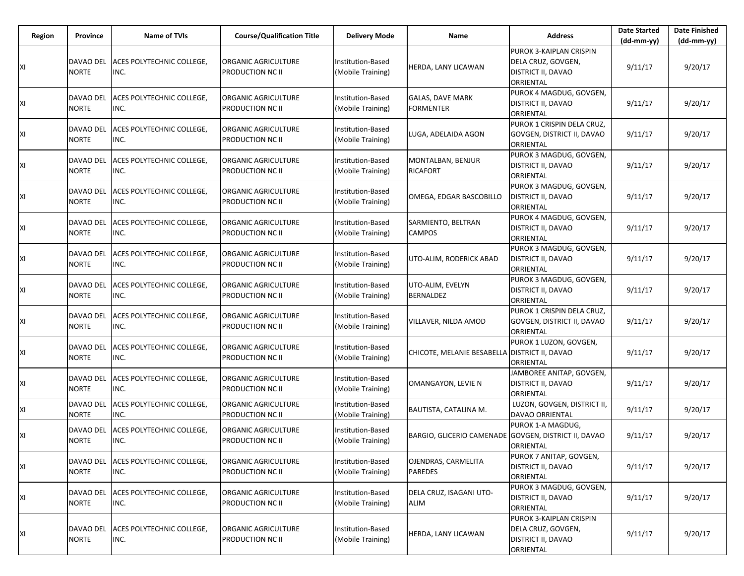| Region | <b>Province</b>           | <b>Name of TVIs</b>                         | <b>Course/Qualification Title</b>                     | <b>Delivery Mode</b>                          | Name                                                 | <b>Address</b>                                                                   | <b>Date Started</b><br>$(dd-mm-yy)$ | <b>Date Finished</b><br>(dd-mm-yy) |
|--------|---------------------------|---------------------------------------------|-------------------------------------------------------|-----------------------------------------------|------------------------------------------------------|----------------------------------------------------------------------------------|-------------------------------------|------------------------------------|
| ХI     | DAVAO DEL<br><b>NORTE</b> | ACES POLYTECHNIC COLLEGE,<br>INC.           | <b>ORGANIC AGRICULTURE</b><br><b>PRODUCTION NC II</b> | Institution-Based<br>(Mobile Training)        | HERDA, LANY LICAWAN                                  | PUROK 3-KAIPLAN CRISPIN<br>DELA CRUZ, GOVGEN,<br>DISTRICT II, DAVAO<br>ORRIENTAL | 9/11/17                             | 9/20/17                            |
| ΧI     | DAVAO DEL<br><b>NORTE</b> | ACES POLYTECHNIC COLLEGE,<br>INC.           | ORGANIC AGRICULTURE<br><b>PRODUCTION NC II</b>        | Institution-Based<br>(Mobile Training)        | <b>GALAS, DAVE MARK</b><br><b>FORMENTER</b>          | PUROK 4 MAGDUG, GOVGEN,<br>DISTRICT II, DAVAO<br>ORRIENTAL                       | 9/11/17                             | 9/20/17                            |
| ΧI     | DAVAO DEL<br><b>NORTE</b> | ACES POLYTECHNIC COLLEGE,<br>INC.           | <b>ORGANIC AGRICULTURE</b><br><b>PRODUCTION NC II</b> | Institution-Based<br>(Mobile Training)        | LUGA, ADELAIDA AGON                                  | PUROK 1 CRISPIN DELA CRUZ,<br>GOVGEN, DISTRICT II, DAVAO<br>ORRIENTAL            | 9/11/17                             | 9/20/17                            |
| ΧI     | DAVAO DEL<br><b>NORTE</b> | ACES POLYTECHNIC COLLEGE,<br>INC.           | ORGANIC AGRICULTURE<br><b>PRODUCTION NC II</b>        | <b>Institution-Based</b><br>(Mobile Training) | MONTALBAN, BENJUR<br><b>RICAFORT</b>                 | PUROK 3 MAGDUG, GOVGEN,<br>DISTRICT II, DAVAO<br>ORRIENTAL                       | 9/11/17                             | 9/20/17                            |
| ΧI     | DAVAO DEL<br><b>NORTE</b> | ACES POLYTECHNIC COLLEGE,<br>INC.           | <b>ORGANIC AGRICULTURE</b><br><b>PRODUCTION NC II</b> | Institution-Based<br>(Mobile Training)        | OMEGA, EDGAR BASCOBILLO                              | PUROK 3 MAGDUG, GOVGEN,<br><b>DISTRICT II, DAVAO</b><br>ORRIENTAL                | 9/11/17                             | 9/20/17                            |
| ΧI     | DAVAO DEL<br><b>NORTE</b> | ACES POLYTECHNIC COLLEGE,<br>INC.           | ORGANIC AGRICULTURE<br><b>PRODUCTION NC II</b>        | <b>Institution-Based</b><br>(Mobile Training) | SARMIENTO, BELTRAN<br><b>CAMPOS</b>                  | PUROK 4 MAGDUG, GOVGEN,<br>DISTRICT II, DAVAO<br>ORRIENTAL                       | 9/11/17                             | 9/20/17                            |
| ΧI     | DAVAO DEL<br><b>NORTE</b> | ACES POLYTECHNIC COLLEGE.<br>INC.           | <b>ORGANIC AGRICULTURE</b><br><b>PRODUCTION NC II</b> | Institution-Based<br>(Mobile Training)        | UTO-ALIM, RODERICK ABAD                              | PUROK 3 MAGDUG, GOVGEN,<br>DISTRICT II, DAVAO<br>ORRIENTAL                       | 9/11/17                             | 9/20/17                            |
| ΧI     | DAVAO DEL<br><b>NORTE</b> | ACES POLYTECHNIC COLLEGE,<br>INC.           | ORGANIC AGRICULTURE<br><b>PRODUCTION NC II</b>        | Institution-Based<br>(Mobile Training)        | UTO-ALIM, EVELYN<br><b>BERNALDEZ</b>                 | PUROK 3 MAGDUG, GOVGEN,<br>DISTRICT II, DAVAO<br>ORRIENTAL                       | 9/11/17                             | 9/20/17                            |
| ΧI     | DAVAO DEL<br><b>NORTE</b> | ACES POLYTECHNIC COLLEGE,<br>INC.           | <b>ORGANIC AGRICULTURE</b><br><b>PRODUCTION NC II</b> | Institution-Based<br>(Mobile Training)        | VILLAVER, NILDA AMOD                                 | PUROK 1 CRISPIN DELA CRUZ,<br>GOVGEN, DISTRICT II, DAVAO<br>ORRIENTAL            | 9/11/17                             | 9/20/17                            |
| ΧI     | DAVAO DEL<br><b>NORTE</b> | ACES POLYTECHNIC COLLEGE,<br>INC.           | ORGANIC AGRICULTURE<br><b>PRODUCTION NC II</b>        | <b>Institution-Based</b><br>(Mobile Training) | CHICOTE, MELANIE BESABELLA DISTRICT II, DAVAO        | PUROK 1 LUZON, GOVGEN,<br>ORRIENTAL                                              | 9/11/17                             | 9/20/17                            |
| ΧI     | DAVAO DEL<br><b>NORTE</b> | ACES POLYTECHNIC COLLEGE,<br>INC.           | <b>ORGANIC AGRICULTURE</b><br><b>PRODUCTION NC II</b> | Institution-Based<br>(Mobile Training)        | OMANGAYON, LEVIE N                                   | JAMBOREE ANITAP, GOVGEN,<br>DISTRICT II, DAVAO<br>ORRIENTAL                      | 9/11/17                             | 9/20/17                            |
| ΧI     | DAVAO DEL<br><b>NORTE</b> | ACES POLYTECHNIC COLLEGE,<br>INC.           | <b>ORGANIC AGRICULTURE</b><br><b>PRODUCTION NC II</b> | <b>Institution-Based</b><br>(Mobile Training) | BAUTISTA, CATALINA M.                                | LUZON, GOVGEN, DISTRICT II,<br>DAVAO ORRIENTAL                                   | 9/11/17                             | 9/20/17                            |
| ΧI     | DAVAO DEL<br><b>NORTE</b> | ACES POLYTECHNIC COLLEGE,<br>INC.           | ORGANIC AGRICULTURE<br><b>PRODUCTION NC II</b>        | <b>Institution-Based</b><br>(Mobile Training) | BARGIO, GLICERIO CAMENADE GOVGEN, DISTRICT II, DAVAO | PUROK 1-A MAGDUG,<br>ORRIENTAL                                                   | 9/11/17                             | 9/20/17                            |
| ΧI     | DAVAO DEL<br><b>NORTE</b> | ACES POLYTECHNIC COLLEGE,<br>INC.           | ORGANIC AGRICULTURE<br><b>PRODUCTION NC II</b>        | Institution-Based<br>(Mobile Training)        | OJENDRAS, CARMELITA<br><b>PAREDES</b>                | PUROK 7 ANITAP, GOVGEN,<br><b>DISTRICT II, DAVAO</b><br>ORRIENTAL                | 9/11/17                             | 9/20/17                            |
| ΧI     | DAVAO DEL<br><b>NORTE</b> | ACES POLYTECHNIC COLLEGE,<br>INC.           | ORGANIC AGRICULTURE<br><b>PRODUCTION NC II</b>        | Institution-Based<br>(Mobile Training)        | DELA CRUZ, ISAGANI UTO-<br>ALIM                      | PUROK 3 MAGDUG, GOVGEN,<br>DISTRICT II, DAVAO<br>ORRIENTAL                       | 9/11/17                             | 9/20/17                            |
| ΧI     | <b>NORTE</b>              | DAVAO DEL ACES POLYTECHNIC COLLEGE,<br>INC. | ORGANIC AGRICULTURE<br><b>PRODUCTION NC II</b>        | Institution-Based<br>(Mobile Training)        | HERDA, LANY LICAWAN                                  | PUROK 3-KAIPLAN CRISPIN<br>DELA CRUZ, GOVGEN,<br>DISTRICT II, DAVAO<br>ORRIENTAL | 9/11/17                             | 9/20/17                            |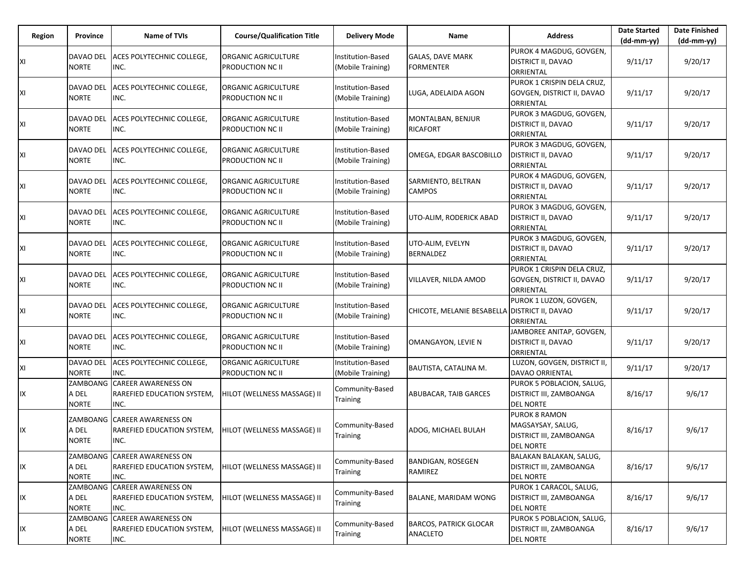| Region | Province                          | <b>Name of TVIs</b>                                                | <b>Course/Qualification Title</b>              | <b>Delivery Mode</b>                   | Name                                             | <b>Address</b>                                                                           | <b>Date Started</b><br>$(dd-mm-yy)$ | <b>Date Finished</b><br>$(dd-mm-yy)$ |
|--------|-----------------------------------|--------------------------------------------------------------------|------------------------------------------------|----------------------------------------|--------------------------------------------------|------------------------------------------------------------------------------------------|-------------------------------------|--------------------------------------|
| ΧI     | DAVAO DEL<br><b>NORTE</b>         | ACES POLYTECHNIC COLLEGE.<br>INC.                                  | ORGANIC AGRICULTURE<br><b>PRODUCTION NC II</b> | Institution-Based<br>(Mobile Training) | <b>GALAS, DAVE MARK</b><br><b>FORMENTER</b>      | PUROK 4 MAGDUG, GOVGEN,<br>DISTRICT II, DAVAO<br>ORRIENTAL                               | 9/11/17                             | 9/20/17                              |
| ΧI     | DAVAO DEL<br><b>NORTE</b>         | ACES POLYTECHNIC COLLEGE,<br>INC.                                  | ORGANIC AGRICULTURE<br>PRODUCTION NC II        | Institution-Based<br>(Mobile Training) | LUGA, ADELAIDA AGON                              | PUROK 1 CRISPIN DELA CRUZ,<br>GOVGEN, DISTRICT II, DAVAO<br>ORRIENTAL                    | 9/11/17                             | 9/20/17                              |
| ΧI     | DAVAO DEL<br><b>NORTE</b>         | ACES POLYTECHNIC COLLEGE,<br>INC.                                  | ORGANIC AGRICULTURE<br><b>PRODUCTION NC II</b> | Institution-Based<br>(Mobile Training) | MONTALBAN, BENJUR<br><b>RICAFORT</b>             | PUROK 3 MAGDUG, GOVGEN,<br>DISTRICT II, DAVAO<br>ORRIENTAL                               | 9/11/17                             | 9/20/17                              |
| ΧI     | DAVAO DEL<br>NORTE                | ACES POLYTECHNIC COLLEGE,<br>INC.                                  | ORGANIC AGRICULTURE<br>PRODUCTION NC II        | Institution-Based<br>(Mobile Training) | OMEGA, EDGAR BASCOBILLO                          | PUROK 3 MAGDUG, GOVGEN,<br>DISTRICT II, DAVAO<br>ORRIENTAL                               | 9/11/17                             | 9/20/17                              |
| ΧI     | DAVAO DEL<br><b>NORTE</b>         | ACES POLYTECHNIC COLLEGE,<br>INC.                                  | ORGANIC AGRICULTURE<br><b>PRODUCTION NC II</b> | Institution-Based<br>(Mobile Training) | SARMIENTO, BELTRAN<br><b>CAMPOS</b>              | PUROK 4 MAGDUG, GOVGEN,<br>DISTRICT II, DAVAO<br>ORRIENTAL                               | 9/11/17                             | 9/20/17                              |
| ΧI     | DAVAO DEL<br><b>NORTE</b>         | ACES POLYTECHNIC COLLEGE,<br>INC.                                  | ORGANIC AGRICULTURE<br>PRODUCTION NC II        | Institution-Based<br>(Mobile Training) | UTO-ALIM, RODERICK ABAD                          | PUROK 3 MAGDUG, GOVGEN,<br>DISTRICT II, DAVAO<br>ORRIENTAL                               | 9/11/17                             | 9/20/17                              |
| ΧI     | DAVAO DEL<br><b>NORTE</b>         | ACES POLYTECHNIC COLLEGE,<br>INC.                                  | <b>ORGANIC AGRICULTURE</b><br>PRODUCTION NC II | Institution-Based<br>(Mobile Training) | UTO-ALIM, EVELYN<br><b>BERNALDEZ</b>             | PUROK 3 MAGDUG, GOVGEN,<br>DISTRICT II, DAVAO<br>ORRIENTAL                               | 9/11/17                             | 9/20/17                              |
| ΧI     | DAVAO DEL<br>NORTE                | ACES POLYTECHNIC COLLEGE,<br>INC.                                  | ORGANIC AGRICULTURE<br>PRODUCTION NC II        | Institution-Based<br>(Mobile Training) | VILLAVER, NILDA AMOD                             | PUROK 1 CRISPIN DELA CRUZ,<br>GOVGEN, DISTRICT II, DAVAO<br>ORRIENTAL                    | 9/11/17                             | 9/20/17                              |
| ΧI     | DAVAO DEL<br><b>NORTE</b>         | ACES POLYTECHNIC COLLEGE,<br>INC.                                  | ORGANIC AGRICULTURE<br>PRODUCTION NC II        | Institution-Based<br>(Mobile Training) | CHICOTE, MELANIE BESABELLA                       | PUROK 1 LUZON, GOVGEN,<br><b>DISTRICT II, DAVAO</b><br>ORRIENTAL                         | 9/11/17                             | 9/20/17                              |
| ΧI     | DAVAO DEL<br><b>NORTE</b>         | ACES POLYTECHNIC COLLEGE,<br>INC.                                  | ORGANIC AGRICULTURE<br>PRODUCTION NC II        | Institution-Based<br>(Mobile Training) | OMANGAYON, LEVIE N                               | JAMBOREE ANITAP, GOVGEN,<br>DISTRICT II, DAVAO<br>ORRIENTAL                              | 9/11/17                             | 9/20/17                              |
| XI     | DAVAO DEL<br><b>NORTE</b>         | ACES POLYTECHNIC COLLEGE,<br>INC.                                  | ORGANIC AGRICULTURE<br>PRODUCTION NC II        | Institution-Based<br>(Mobile Training) | BAUTISTA, CATALINA M.                            | LUZON, GOVGEN, DISTRICT II,<br>DAVAO ORRIENTAL                                           | 9/11/17                             | 9/20/17                              |
| IX     | ZAMBOANG<br>A DEL<br><b>NORTE</b> | <b>CAREER AWARENESS ON</b><br>RAREFIED EDUCATION SYSTEM,<br>INC.   | HILOT (WELLNESS MASSAGE) II                    | Community-Based<br>Training            | ABUBACAR, TAIB GARCES                            | PUROK 5 POBLACION, SALUG,<br>DISTRICT III, ZAMBOANGA<br><b>DEL NORTE</b>                 | 8/16/17                             | 9/6/17                               |
| IX     | A DEL<br><b>NORTE</b>             | ZAMBOANG CAREER AWARENESS ON<br>RAREFIED EDUCATION SYSTEM,<br>INC. | HILOT (WELLNESS MASSAGE) II                    | Community-Based<br>Training            | ADOG, MICHAEL BULAH                              | <b>PUROK 8 RAMON</b><br>MAGSAYSAY, SALUG,<br>DISTRICT III, ZAMBOANGA<br><b>DEL NORTE</b> | 8/16/17                             | 9/6/17                               |
| IX     | A DEL<br><b>NORTE</b>             | ZAMBOANG CAREER AWARENESS ON<br>RAREFIED EDUCATION SYSTEM,<br>INC. | HILOT (WELLNESS MASSAGE) II                    | Community-Based<br>Training            | <b>BANDIGAN, ROSEGEN</b><br>RAMIREZ              | BALAKAN BALAKAN, SALUG,<br>DISTRICT III, ZAMBOANGA<br><b>DEL NORTE</b>                   | 8/16/17                             | 9/6/17                               |
| IX     | A DEL<br><b>NORTE</b>             | ZAMBOANG CAREER AWARENESS ON<br>RAREFIED EDUCATION SYSTEM,<br>INC. | HILOT (WELLNESS MASSAGE) II                    | Community-Based<br>Training            | BALANE, MARIDAM WONG                             | PUROK 1 CARACOL, SALUG,<br>DISTRICT III, ZAMBOANGA<br><b>DEL NORTE</b>                   | 8/16/17                             | 9/6/17                               |
| IX     | ZAMBOANG<br>A DEL<br>NORTE        | <b>CAREER AWARENESS ON</b><br>RAREFIED EDUCATION SYSTEM,<br>INC.   | HILOT (WELLNESS MASSAGE) II                    | Community-Based<br>Training            | <b>BARCOS, PATRICK GLOCAR</b><br><b>ANACLETO</b> | PUROK 5 POBLACION, SALUG,<br>DISTRICT III, ZAMBOANGA<br><b>DEL NORTE</b>                 | 8/16/17                             | 9/6/17                               |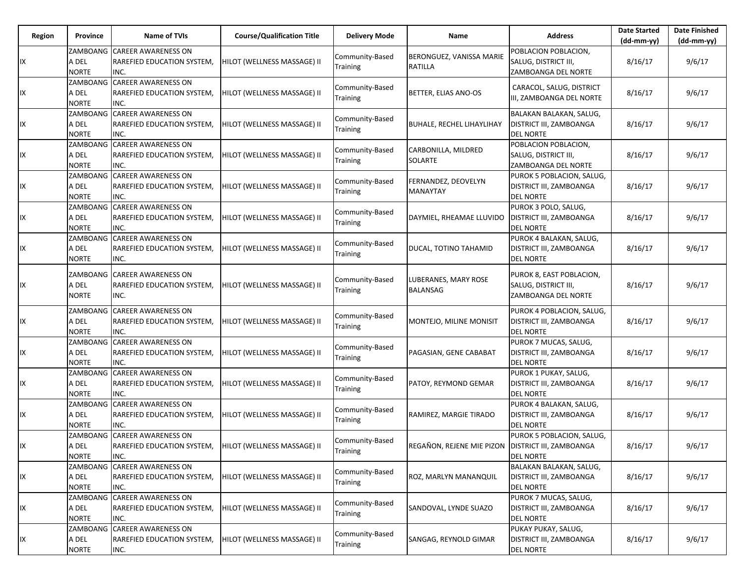| Region | <b>Province</b>                   | Name of TVIs                                                              | <b>Course/Qualification Title</b> | <b>Delivery Mode</b>               | Name                                              | <b>Address</b>                                                           | <b>Date Started</b><br>(dd-mm-yy) | <b>Date Finished</b><br>(dd-mm-yy) |
|--------|-----------------------------------|---------------------------------------------------------------------------|-----------------------------------|------------------------------------|---------------------------------------------------|--------------------------------------------------------------------------|-----------------------------------|------------------------------------|
| IX     | A DEL<br><b>NORTE</b>             | ZAMBOANG CAREER AWARENESS ON<br>RAREFIED EDUCATION SYSTEM,<br>INC.        | HILOT (WELLNESS MASSAGE) II       | Community-Based<br>Training        | BERONGUEZ, VANISSA MARIE<br>RATILLA               | POBLACION POBLACION,<br>SALUG, DISTRICT III,<br>ZAMBOANGA DEL NORTE      | 8/16/17                           | 9/6/17                             |
| IX     | ZAMBOANG<br>A DEL<br><b>NORTE</b> | <b>CAREER AWARENESS ON</b><br><b>RAREFIED EDUCATION SYSTEM,</b><br>INC.   | HILOT (WELLNESS MASSAGE) II       | Community-Based<br>Training        | BETTER, ELIAS ANO-OS                              | CARACOL, SALUG, DISTRICT<br>III, ZAMBOANGA DEL NORTE                     | 8/16/17                           | 9/6/17                             |
| IX     | A DEL<br><b>NORTE</b>             | ZAMBOANG CAREER AWARENESS ON<br><b>RAREFIED EDUCATION SYSTEM,</b><br>INC. | HILOT (WELLNESS MASSAGE) II       | Community-Based<br>Training        | <b>BUHALE, RECHEL LIHAYLIHAY</b>                  | BALAKAN BALAKAN, SALUG,<br>DISTRICT III, ZAMBOANGA<br><b>DEL NORTE</b>   | 8/16/17                           | 9/6/17                             |
| IX     | ZAMBOANG<br>A DEL<br><b>NORTE</b> | <b>CAREER AWARENESS ON</b><br>RAREFIED EDUCATION SYSTEM,<br>INC.          | HILOT (WELLNESS MASSAGE) II       | Community-Based<br>Training        | CARBONILLA, MILDRED<br><b>SOLARTE</b>             | POBLACION POBLACION,<br>SALUG, DISTRICT III,<br>ZAMBOANGA DEL NORTE      | 8/16/17                           | 9/6/17                             |
| IX     | A DEL<br><b>NORTE</b>             | ZAMBOANG CAREER AWARENESS ON<br><b>RAREFIED EDUCATION SYSTEM,</b><br>INC. | HILOT (WELLNESS MASSAGE) II       | Community-Based<br>Training        | FERNANDEZ, DEOVELYN<br><b>MANAYTAY</b>            | PUROK 5 POBLACION, SALUG,<br>DISTRICT III, ZAMBOANGA<br><b>DEL NORTE</b> | 8/16/17                           | 9/6/17                             |
| IX     | ZAMBOANG<br>A DEL<br><b>NORTE</b> | <b>CAREER AWARENESS ON</b><br><b>RAREFIED EDUCATION SYSTEM,</b><br>INC.   | HILOT (WELLNESS MASSAGE) II       | Community-Based<br>Training        | DAYMIEL, RHEAMAE LLUVIDO                          | PUROK 3 POLO, SALUG,<br>DISTRICT III, ZAMBOANGA<br><b>DEL NORTE</b>      | 8/16/17                           | 9/6/17                             |
| IX     | A DEL<br><b>NORTE</b>             | ZAMBOANG CAREER AWARENESS ON<br>RAREFIED EDUCATION SYSTEM,<br>INC.        | HILOT (WELLNESS MASSAGE) II       | Community-Based<br>Training        | DUCAL, TOTINO TAHAMID                             | PUROK 4 BALAKAN, SALUG,<br>DISTRICT III, ZAMBOANGA<br><b>DEL NORTE</b>   | 8/16/17                           | 9/6/17                             |
| IX     | ZAMBOANG<br>A DEL<br><b>NORTE</b> | <b>CAREER AWARENESS ON</b><br><b>RAREFIED EDUCATION SYSTEM,</b><br>INC.   | HILOT (WELLNESS MASSAGE) II       | Community-Based<br>Training        | LUBERANES, MARY ROSE<br>BALANSAG                  | PUROK 8, EAST POBLACION,<br>SALUG, DISTRICT III,<br>ZAMBOANGA DEL NORTE  | 8/16/17                           | 9/6/17                             |
| IX     | ZAMBOANG<br>a del<br><b>NORTE</b> | <b>CAREER AWARENESS ON</b><br><b>RAREFIED EDUCATION SYSTEM,</b><br>INC.   | HILOT (WELLNESS MASSAGE) II       | Community-Based<br>Training        | MONTEJO, MILINE MONISIT                           | PUROK 4 POBLACION, SALUG,<br>DISTRICT III, ZAMBOANGA<br><b>DEL NORTE</b> | 8/16/17                           | 9/6/17                             |
| IX     | ZAMBOANG<br>A DEL<br><b>NORTE</b> | <b>CAREER AWARENESS ON</b><br><b>RAREFIED EDUCATION SYSTEM,</b><br>INC.   | HILOT (WELLNESS MASSAGE) II       | Community-Based<br>Training        | PAGASIAN, GENE CABABAT                            | PUROK 7 MUCAS, SALUG,<br>DISTRICT III, ZAMBOANGA<br><b>DEL NORTE</b>     | 8/16/17                           | 9/6/17                             |
| IX     | A DEL<br><b>NORTE</b>             | ZAMBOANG CAREER AWARENESS ON<br><b>RAREFIED EDUCATION SYSTEM,</b><br>INC. | HILOT (WELLNESS MASSAGE) II       | Community-Based<br>Training        | PATOY, REYMOND GEMAR                              | PUROK 1 PUKAY, SALUG,<br>DISTRICT III, ZAMBOANGA<br><b>DEL NORTE</b>     | 8/16/17                           | 9/6/17                             |
| IX     | ZAMBOANG<br>A DEL<br><b>NORTE</b> | <b>CAREER AWARENESS ON</b><br>RAREFIED EDUCATION SYSTEM,<br>INC.          | HILOT (WELLNESS MASSAGE) II       | Community-Based<br>Training        | RAMIREZ, MARGIE TIRADO                            | PUROK 4 BALAKAN, SALUG,<br>DISTRICT III, ZAMBOANGA<br><b>DEL NORTE</b>   | 8/16/17                           | 9/6/17                             |
| IX     | A DEL<br><b>NORTE</b>             | ZAMBOANG CAREER AWARENESS ON<br>RAREFIED EDUCATION SYSTEM,<br>INC.        | HILOT (WELLNESS MASSAGE) II       | Community-Based<br><b>Training</b> | REGAÑON, REJENE MIE PIZON DISTRICT III, ZAMBOANGA | PUROK 5 POBLACION, SALUG,<br><b>DEL NORTE</b>                            | 8/16/17                           | 9/6/17                             |
| IX     | ZAMBOANG<br>A DEL<br><b>NORTE</b> | <b>CAREER AWARENESS ON</b><br>RAREFIED EDUCATION SYSTEM,<br>INC.          | HILOT (WELLNESS MASSAGE) II       | Community-Based<br>Training        | ROZ, MARLYN MANANQUIL                             | BALAKAN BALAKAN, SALUG,<br>DISTRICT III, ZAMBOANGA<br><b>DEL NORTE</b>   | 8/16/17                           | 9/6/17                             |
| IX     | A DEL<br><b>NORTE</b>             | ZAMBOANG CAREER AWARENESS ON<br>RAREFIED EDUCATION SYSTEM,<br>INC.        | HILOT (WELLNESS MASSAGE) II       | Community-Based<br>Training        | SANDOVAL, LYNDE SUAZO                             | PUROK 7 MUCAS, SALUG,<br>DISTRICT III, ZAMBOANGA<br><b>DEL NORTE</b>     | 8/16/17                           | 9/6/17                             |
| IX     | ZAMBOANG<br>A DEL<br><b>NORTE</b> | <b>CAREER AWARENESS ON</b><br>RAREFIED EDUCATION SYSTEM,<br>INC.          | HILOT (WELLNESS MASSAGE) II       | Community-Based<br>Training        | SANGAG, REYNOLD GIMAR                             | PUKAY PUKAY, SALUG,<br>DISTRICT III, ZAMBOANGA<br><b>DEL NORTE</b>       | 8/16/17                           | 9/6/17                             |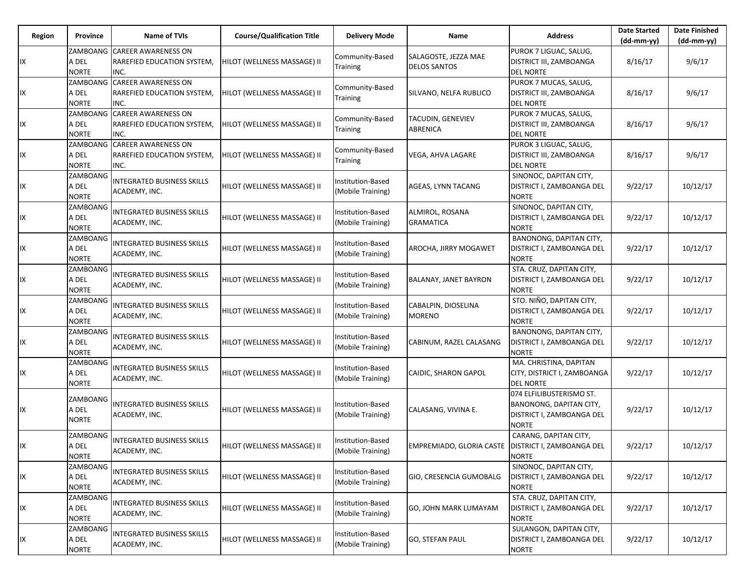| Region | <b>Province</b>                   | Name of TVIs                                                       | <b>Course/Qualification Title</b> | <b>Delivery Mode</b>                          | Name                                                 | <b>Address</b>                                                                                   | <b>Date Started</b><br>$(dd-mm-yy)$ | <b>Date Finished</b><br>(dd-mm-yy) |
|--------|-----------------------------------|--------------------------------------------------------------------|-----------------------------------|-----------------------------------------------|------------------------------------------------------|--------------------------------------------------------------------------------------------------|-------------------------------------|------------------------------------|
| IX     | A DEL<br><b>NORTE</b>             | ZAMBOANG CAREER AWARENESS ON<br>RAREFIED EDUCATION SYSTEM,<br>INC. | HILOT (WELLNESS MASSAGE) II       | Community-Based<br>Training                   | SALAGOSTE, JEZZA MAE<br><b>DELOS SANTOS</b>          | PUROK 7 LIGUAC, SALUG,<br>DISTRICT III, ZAMBOANGA<br><b>DEL NORTE</b>                            | 8/16/17                             | 9/6/17                             |
| IX     | ZAMBOANG<br>A DEL<br><b>NORTE</b> | <b>CAREER AWARENESS ON</b><br>RAREFIED EDUCATION SYSTEM,<br>INC.   | HILOT (WELLNESS MASSAGE) II       | Community-Based<br>Training                   | SILVANO, NELFA RUBLICO                               | PUROK 7 MUCAS, SALUG,<br>DISTRICT III, ZAMBOANGA<br><b>DEL NORTE</b>                             | 8/16/17                             | 9/6/17                             |
| IX     | A DEL<br><b>NORTE</b>             | ZAMBOANG CAREER AWARENESS ON<br>RAREFIED EDUCATION SYSTEM,<br>INC. | HILOT (WELLNESS MASSAGE) II       | Community-Based<br>Training                   | <b>TACUDIN, GENEVIEV</b><br><b>ABRENICA</b>          | PUROK 7 MUCAS, SALUG,<br>DISTRICT III, ZAMBOANGA<br><b>DEL NORTE</b>                             | 8/16/17                             | 9/6/17                             |
| IX     | ZAMBOANG<br>A DEL<br><b>NORTE</b> | <b>CAREER AWARENESS ON</b><br>RAREFIED EDUCATION SYSTEM,<br>INC.   | HILOT (WELLNESS MASSAGE) II       | Community-Based<br>Training                   | VEGA, AHVA LAGARE                                    | PUROK 3 LIGUAC, SALUG,<br>DISTRICT III, ZAMBOANGA<br><b>DEL NORTE</b>                            | 8/16/17                             | 9/6/17                             |
| IX     | ZAMBOANG<br>A DEL<br><b>NORTE</b> | <b>INTEGRATED BUSINESS SKILLS</b><br>ACADEMY, INC.                 | HILOT (WELLNESS MASSAGE) II       | Institution-Based<br>(Mobile Training)        | AGEAS, LYNN TACANG                                   | SINONOC, DAPITAN CITY,<br>DISTRICT I, ZAMBOANGA DEL<br><b>NORTE</b>                              | 9/22/17                             | 10/12/17                           |
| IX     | ZAMBOANG<br>A DEL<br><b>NORTE</b> | <b>INTEGRATED BUSINESS SKILLS</b><br>ACADEMY, INC.                 | HILOT (WELLNESS MASSAGE) II       | Institution-Based<br>(Mobile Training)        | ALMIROL, ROSANA<br><b>GRAMATICA</b>                  | SINONOC, DAPITAN CITY,<br>DISTRICT I, ZAMBOANGA DEL<br>NORTE                                     | 9/22/17                             | 10/12/17                           |
| IX     | ZAMBOANG<br>A DEL<br><b>NORTE</b> | <b>INTEGRATED BUSINESS SKILLS</b><br>ACADEMY, INC.                 | HILOT (WELLNESS MASSAGE) II       | Institution-Based<br>(Mobile Training)        | AROCHA, JIRRY MOGAWET                                | BANONONG, DAPITAN CITY,<br>DISTRICT I, ZAMBOANGA DEL<br><b>NORTE</b>                             | 9/22/17                             | 10/12/17                           |
| IX     | ZAMBOANG<br>A DEL<br><b>NORTE</b> | <b>INTEGRATED BUSINESS SKILLS</b><br>ACADEMY, INC.                 | HILOT (WELLNESS MASSAGE) II       | Institution-Based<br>Mobile Training)         | <b>BALANAY, JANET BAYRON</b>                         | STA. CRUZ, DAPITAN CITY,<br>DISTRICT I, ZAMBOANGA DEL<br><b>NORTE</b>                            | 9/22/17                             | 10/12/17                           |
| IX     | ZAMBOANG<br>A DEL<br><b>NORTE</b> | <b>INTEGRATED BUSINESS SKILLS</b><br>ACADEMY, INC.                 | HILOT (WELLNESS MASSAGE) II       | Institution-Based<br>(Mobile Training)        | CABALPIN, DIOSELINA<br><b>MORENO</b>                 | STO. NIÑO, DAPITAN CITY,<br>DISTRICT I, ZAMBOANGA DEL<br><b>NORTE</b>                            | 9/22/17                             | 10/12/17                           |
| IX     | ZAMBOANG<br>a del<br><b>NORTE</b> | <b>INTEGRATED BUSINESS SKILLS</b><br>ACADEMY, INC.                 | HILOT (WELLNESS MASSAGE) II       | Institution-Based<br>(Mobile Training)        | CABINUM, RAZEL CALASANG                              | BANONONG, DAPITAN CITY,<br>DISTRICT I, ZAMBOANGA DEL<br><b>NORTE</b>                             | 9/22/17                             | 10/12/17                           |
| IX     | ZAMBOANG<br>A DEL<br><b>NORTE</b> | INTEGRATED BUSINESS SKILLS<br>ACADEMY, INC.                        | HILOT (WELLNESS MASSAGE) II       | Institution-Based<br>(Mobile Training)        | CAIDIC, SHARON GAPOL                                 | MA. CHRISTINA, DAPITAN<br>CITY, DISTRICT I, ZAMBOANGA<br><b>DEL NORTE</b>                        | 9/22/17                             | 10/12/17                           |
| IX     | ZAMBOANG<br>A DEL<br><b>NORTE</b> | <b>INTEGRATED BUSINESS SKILLS</b><br>ACADEMY, INC.                 | HILOT (WELLNESS MASSAGE) II       | Institution-Based<br>Mobile Training)         | CALASANG, VIVINA E.                                  | 074 ELFILIBUSTERISMO ST.<br>BANONONG, DAPITAN CITY,<br>DISTRICT I, ZAMBOANGA DEL<br><b>NORTE</b> | 9/22/17                             | 10/12/17                           |
| IX     | ZAMBOANG<br>A DEL<br><b>NORTE</b> | INTEGRATED BUSINESS SKILLS<br>ACADEMY, INC.                        | HILOT (WELLNESS MASSAGE) II       | <b>Institution-Based</b><br>(Mobile Training) | EMPREMIADO, GLORIA CASTE   DISTRICT I, ZAMBOANGA DEL | CARANG, DAPITAN CITY,<br><b>NORTE</b>                                                            | 9/22/17                             | 10/12/17                           |
| IX     | ZAMBOANG<br>A DEL<br><b>NORTE</b> | <b>INTEGRATED BUSINESS SKILLS</b><br>ACADEMY, INC.                 | HILOT (WELLNESS MASSAGE) II       | Institution-Based<br>(Mobile Training)        | GIO, CRESENCIA GUMOBALG                              | SINONOC, DAPITAN CITY,<br>DISTRICT I, ZAMBOANGA DEL<br><b>NORTE</b>                              | 9/22/17                             | 10/12/17                           |
| IX     | ZAMBOANG<br>A DEL<br><b>NORTE</b> | <b>INTEGRATED BUSINESS SKILLS</b><br>ACADEMY, INC.                 | HILOT (WELLNESS MASSAGE) II       | Institution-Based<br>(Mobile Training)        | GO, JOHN MARK LUMAYAM                                | STA. CRUZ, DAPITAN CITY,<br>DISTRICT I, ZAMBOANGA DEL<br><b>NORTE</b>                            | 9/22/17                             | 10/12/17                           |
| IX     | ZAMBOANG<br>A DEL<br><b>NORTE</b> | <b>INTEGRATED BUSINESS SKILLS</b><br>ACADEMY, INC.                 | HILOT (WELLNESS MASSAGE) II       | <b>Institution-Based</b><br>(Mobile Training) | <b>GO, STEFAN PAUL</b>                               | SULANGON, DAPITAN CITY,<br>DISTRICT I, ZAMBOANGA DEL<br><b>NORTE</b>                             | 9/22/17                             | 10/12/17                           |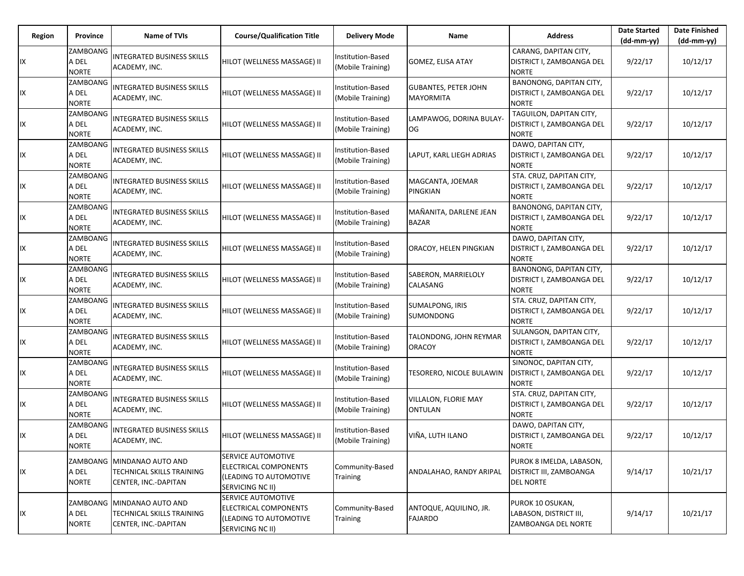| Region | Province                          | Name of TVIs                                                                      | <b>Course/Qualification Title</b>                                                         | <b>Delivery Mode</b>                   | Name                                            | <b>Address</b>                                                                 | <b>Date Started</b><br>$(dd-mm-yy)$ | <b>Date Finished</b><br>$(dd-mm-yy)$ |
|--------|-----------------------------------|-----------------------------------------------------------------------------------|-------------------------------------------------------------------------------------------|----------------------------------------|-------------------------------------------------|--------------------------------------------------------------------------------|-------------------------------------|--------------------------------------|
| IX     | ZAMBOANG<br>A DEL<br><b>NORTE</b> | <b>INTEGRATED BUSINESS SKILLS</b><br>ACADEMY, INC.                                | HILOT (WELLNESS MASSAGE) II                                                               | Institution-Based<br>(Mobile Training) | GOMEZ, ELISA ATAY                               | CARANG, DAPITAN CITY,<br>DISTRICT I, ZAMBOANGA DEL<br><b>NORTE</b>             | 9/22/17                             | 10/12/17                             |
| IX     | ZAMBOANG<br>A DEL<br><b>NORTE</b> | <b>INTEGRATED BUSINESS SKILLS</b><br>ACADEMY, INC.                                | HILOT (WELLNESS MASSAGE) II                                                               | Institution-Based<br>(Mobile Training) | <b>GUBANTES, PETER JOHN</b><br><b>MAYORMITA</b> | BANONONG, DAPITAN CITY,<br>DISTRICT I, ZAMBOANGA DEL<br><b>NORTE</b>           | 9/22/17                             | 10/12/17                             |
| IX     | ZAMBOANG<br>A DEL<br><b>NORTE</b> | <b>INTEGRATED BUSINESS SKILLS</b><br>ACADEMY, INC.                                | HILOT (WELLNESS MASSAGE) II                                                               | Institution-Based<br>(Mobile Training) | LAMPAWOG, DORINA BULAY<br>OG                    | TAGUILON, DAPITAN CITY,<br>DISTRICT I, ZAMBOANGA DEL<br><b>NORTE</b>           | 9/22/17                             | 10/12/17                             |
| IX     | ZAMBOANG<br>A DEL<br><b>NORTE</b> | <b>INTEGRATED BUSINESS SKILLS</b><br>ACADEMY, INC.                                | HILOT (WELLNESS MASSAGE) II                                                               | Institution-Based<br>(Mobile Training) | LAPUT, KARL LIEGH ADRIAS                        | DAWO, DAPITAN CITY,<br>DISTRICT I, ZAMBOANGA DEL<br><b>NORTE</b>               | 9/22/17                             | 10/12/17                             |
| IX     | ZAMBOANG<br>A DEL<br><b>NORTE</b> | <b>INTEGRATED BUSINESS SKILLS</b><br>ACADEMY, INC.                                | HILOT (WELLNESS MASSAGE) II                                                               | Institution-Based<br>(Mobile Training) | MAGCANTA, JOEMAR<br>PINGKIAN                    | STA. CRUZ, DAPITAN CITY,<br>DISTRICT I, ZAMBOANGA DEL<br><b>NORTE</b>          | 9/22/17                             | 10/12/17                             |
| IX     | ZAMBOANG<br>A DEL<br><b>NORTE</b> | <b>INTEGRATED BUSINESS SKILLS</b><br>ACADEMY, INC.                                | HILOT (WELLNESS MASSAGE) II                                                               | Institution-Based<br>(Mobile Training) | MAÑANITA, DARLENE JEAN<br><b>BAZAR</b>          | BANONONG, DAPITAN CITY,<br>DISTRICT I, ZAMBOANGA DEL<br><b>NORTE</b>           | 9/22/17                             | 10/12/17                             |
| IX     | ZAMBOANG<br>A DEL<br><b>NORTE</b> | <b>INTEGRATED BUSINESS SKILLS</b><br>ACADEMY, INC.                                | HILOT (WELLNESS MASSAGE) II                                                               | Institution-Based<br>(Mobile Training) | ORACOY, HELEN PINGKIAN                          | DAWO, DAPITAN CITY,<br>DISTRICT I, ZAMBOANGA DEL<br><b>NORTE</b>               | 9/22/17                             | 10/12/17                             |
| IX     | ZAMBOANG<br>A DEL<br><b>NORTE</b> | <b>INTEGRATED BUSINESS SKILLS</b><br>ACADEMY, INC.                                | HILOT (WELLNESS MASSAGE) II                                                               | Institution-Based<br>(Mobile Training) | SABERON, MARRIELOLY<br>CALASANG                 | BANONONG, DAPITAN CITY,<br><b>DISTRICT I, ZAMBOANGA DEL</b><br><b>NORTE</b>    | 9/22/17                             | 10/12/17                             |
| IX     | ZAMBOANG<br>A DEL<br><b>NORTE</b> | <b>INTEGRATED BUSINESS SKILLS</b><br>ACADEMY, INC.                                | HILOT (WELLNESS MASSAGE) II                                                               | Institution-Based<br>(Mobile Training) | SUMALPONG, IRIS<br>SUMONDONG                    | STA. CRUZ, DAPITAN CITY,<br>DISTRICT I, ZAMBOANGA DEL<br><b>NORTE</b>          | 9/22/17                             | 10/12/17                             |
| IX     | ZAMBOANG<br>A DEL<br><b>NORTE</b> | <b>INTEGRATED BUSINESS SKILLS</b><br>ACADEMY, INC.                                | HILOT (WELLNESS MASSAGE) II                                                               | Institution-Based<br>(Mobile Training) | TALONDONG, JOHN REYMAR<br><b>ORACOY</b>         | SULANGON, DAPITAN CITY,<br>DISTRICT I, ZAMBOANGA DEL<br><b>NORTE</b>           | 9/22/17                             | 10/12/17                             |
| IX     | ZAMBOANG<br>A DEL<br><b>NORTE</b> | <b>INTEGRATED BUSINESS SKILLS</b><br>ACADEMY, INC.                                | HILOT (WELLNESS MASSAGE) II                                                               | Institution-Based<br>(Mobile Training) | TESORERO, NICOLE BULAWIN                        | SINONOC, DAPITAN CITY,<br>DISTRICT I, ZAMBOANGA DEL<br><b>NORTE</b>            | 9/22/17                             | 10/12/17                             |
| IX     | ZAMBOANG<br>A DEL<br><b>NORTE</b> | <b>INTEGRATED BUSINESS SKILLS</b><br>ACADEMY, INC.                                | HILOT (WELLNESS MASSAGE) II                                                               | Institution-Based<br>(Mobile Training) | VILLALON, FLORIE MAY<br><b>ONTULAN</b>          | STA. CRUZ, DAPITAN CITY,<br>DISTRICT I, ZAMBOANGA DEL<br><b>NORTE</b>          | 9/22/17                             | 10/12/17                             |
| IX     | ZAMBOANG<br>A DEL<br><b>NORTE</b> | <b>INTEGRATED BUSINESS SKILLS</b><br>ACADEMY, INC.                                | HILOT (WELLNESS MASSAGE) II                                                               | Institution-Based<br>(Mobile Training) | VIÑA, LUTH ILANO                                | DAWO, DAPITAN CITY,<br>DISTRICT I, ZAMBOANGA DEL<br><b>NORTE</b>               | 9/22/17                             | 10/12/17                             |
| IX     | A DEL<br><b>NORTE</b>             | ZAMBOANG   MINDANAO AUTO AND<br>TECHNICAL SKILLS TRAINING<br>CENTER, INC.-DAPITAN | SERVICE AUTOMOTIVE<br>ELECTRICAL COMPONENTS<br>(LEADING TO AUTOMOTIVE<br>SERVICING NC II) | Community-Based<br>Training            | ANDALAHAO, RANDY ARIPAL                         | PUROK 8 IMELDA, LABASON,<br><b>DISTRICT III, ZAMBOANGA</b><br><b>DEL NORTE</b> | 9/14/17                             | 10/21/17                             |
| IX     | A DEL<br><b>NORTE</b>             | ZAMBOANG MINDANAO AUTO AND<br>TECHNICAL SKILLS TRAINING<br>CENTER, INC.-DAPITAN   | SERVICE AUTOMOTIVE<br>ELECTRICAL COMPONENTS<br>(LEADING TO AUTOMOTIVE<br>SERVICING NC II) | Community-Based<br><b>Training</b>     | ANTOQUE, AQUILINO, JR.<br><b>FAJARDO</b>        | PUROK 10 OSUKAN,<br>LABASON, DISTRICT III,<br>ZAMBOANGA DEL NORTE              | 9/14/17                             | 10/21/17                             |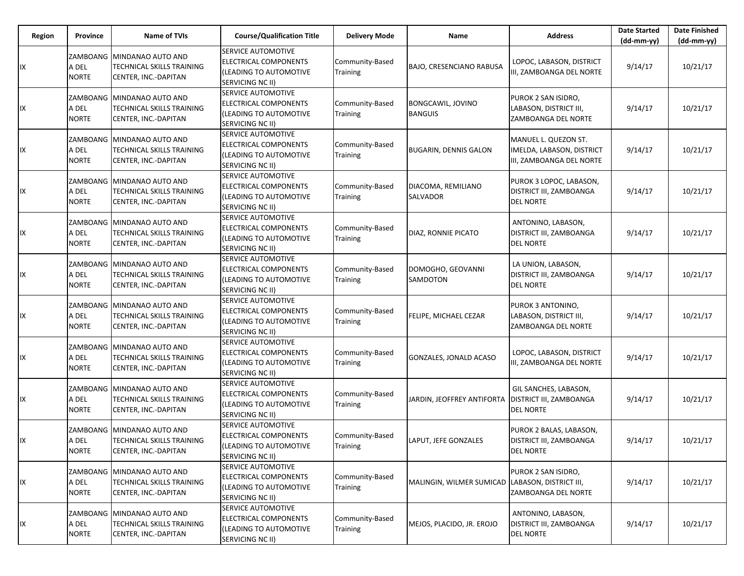| Region | Province                          | <b>Name of TVIs</b>                                                               | <b>Course/Qualification Title</b>                                                                              | <b>Delivery Mode</b>        | Name                                            | <b>Address</b>                                                                | <b>Date Started</b><br>$(dd-mm-yy)$ | <b>Date Finished</b><br>(dd-mm-yy) |
|--------|-----------------------------------|-----------------------------------------------------------------------------------|----------------------------------------------------------------------------------------------------------------|-----------------------------|-------------------------------------------------|-------------------------------------------------------------------------------|-------------------------------------|------------------------------------|
| IX     | ZAMBOANG<br>A DEL<br><b>NORTE</b> | MINDANAO AUTO AND<br>TECHNICAL SKILLS TRAINING<br>CENTER, INC.-DAPITAN            | <b>SERVICE AUTOMOTIVE</b><br>ELECTRICAL COMPONENTS<br>(LEADING TO AUTOMOTIVE<br>SERVICING NC II)               | Community-Based<br>Training | <b>BAJO, CRESENCIANO RABUSA</b>                 | LOPOC, LABASON, DISTRICT<br>III, ZAMBOANGA DEL NORTE                          | 9/14/17                             | 10/21/17                           |
| IX     | A DEL<br><b>NORTE</b>             | ZAMBOANG   MINDANAO AUTO AND<br>TECHNICAL SKILLS TRAINING<br>CENTER, INC.-DAPITAN | <b>SERVICE AUTOMOTIVE</b><br>ELECTRICAL COMPONENTS<br>(LEADING TO AUTOMOTIVE<br><b>SERVICING NC II)</b>        | Community-Based<br>Training | BONGCAWIL, JOVINO<br><b>BANGUIS</b>             | PUROK 2 SAN ISIDRO,<br>LABASON, DISTRICT III,<br>ZAMBOANGA DEL NORTE          | 9/14/17                             | 10/21/17                           |
| IΧ     | ZAMBOANG<br>A DEL<br><b>NORTE</b> | MINDANAO AUTO AND<br><b>TECHNICAL SKILLS TRAINING</b><br>CENTER, INC.-DAPITAN     | <b>SERVICE AUTOMOTIVE</b><br><b>ELECTRICAL COMPONENTS</b><br>(LEADING TO AUTOMOTIVE<br><b>SERVICING NC II)</b> | Community-Based<br>Training | <b>BUGARIN, DENNIS GALON</b>                    | MANUEL L. QUEZON ST.<br>IMELDA, LABASON, DISTRICT<br>III, ZAMBOANGA DEL NORTE | 9/14/17                             | 10/21/17                           |
| IX     | A DEL<br><b>NORTE</b>             | ZAMBOANG MINDANAO AUTO AND<br>TECHNICAL SKILLS TRAINING<br>CENTER, INC.-DAPITAN   | <b>SERVICE AUTOMOTIVE</b><br>ELECTRICAL COMPONENTS<br>(LEADING TO AUTOMOTIVE<br><b>SERVICING NC II)</b>        | Community-Based<br>Training | DIACOMA, REMILIANO<br><b>SALVADOR</b>           | PUROK 3 LOPOC, LABASON,<br>DISTRICT III, ZAMBOANGA<br><b>DEL NORTE</b>        | 9/14/17                             | 10/21/17                           |
| IX     | ZAMBOANG<br>A DEL<br><b>NORTE</b> | MINDANAO AUTO AND<br>TECHNICAL SKILLS TRAINING<br>CENTER, INC.-DAPITAN            | <b>ISERVICE AUTOMOTIVE</b><br>ELECTRICAL COMPONENTS<br>(LEADING TO AUTOMOTIVE<br>SERVICING NC II)              | Community-Based<br>Training | DIAZ, RONNIE PICATO                             | ANTONINO, LABASON,<br>DISTRICT III, ZAMBOANGA<br><b>DEL NORTE</b>             | 9/14/17                             | 10/21/17                           |
| IΧ     | ZAMBOANG<br>A DEL<br><b>NORTE</b> | MINDANAO AUTO AND<br>TECHNICAL SKILLS TRAINING<br>CENTER, INC.-DAPITAN            | <b>SERVICE AUTOMOTIVE</b><br>ELECTRICAL COMPONENTS<br>(LEADING TO AUTOMOTIVE<br><b>SERVICING NC II)</b>        | Community-Based<br>Training | DOMOGHO, GEOVANNI<br>SAMDOTON                   | LA UNION, LABASON,<br>DISTRICT III, ZAMBOANGA<br><b>DEL NORTE</b>             | 9/14/17                             | 10/21/17                           |
| IX     | A DEL<br><b>NORTE</b>             | ZAMBOANG MINDANAO AUTO AND<br>TECHNICAL SKILLS TRAINING<br>CENTER, INC.-DAPITAN   | <b>SERVICE AUTOMOTIVE</b><br><b>ELECTRICAL COMPONENTS</b><br>(LEADING TO AUTOMOTIVE<br><b>SERVICING NC II)</b> | Community-Based<br>Training | FELIPE, MICHAEL CEZAR                           | PUROK 3 ANTONINO,<br>LABASON, DISTRICT III,<br>ZAMBOANGA DEL NORTE            | 9/14/17                             | 10/21/17                           |
| IΧ     | ZAMBOANG<br>A DEL<br><b>NORTE</b> | MINDANAO AUTO AND<br>TECHNICAL SKILLS TRAINING<br>CENTER, INC.-DAPITAN            | <b>SERVICE AUTOMOTIVE</b><br>ELECTRICAL COMPONENTS<br>(LEADING TO AUTOMOTIVE<br>SERVICING NC II)               | Community-Based<br>Training | GONZALES, JONALD ACASO                          | LOPOC, LABASON, DISTRICT<br>III, ZAMBOANGA DEL NORTE                          | 9/14/17                             | 10/21/17                           |
| IΧ     | A DEL<br><b>NORTE</b>             | ZAMBOANG MINDANAO AUTO AND<br>TECHNICAL SKILLS TRAINING<br>CENTER, INC.-DAPITAN   | <b>SERVICE AUTOMOTIVE</b><br>ELECTRICAL COMPONENTS<br>(LEADING TO AUTOMOTIVE<br>SERVICING NC II)               | Community-Based<br>Training | JARDIN, JEOFFREY ANTIFORTA                      | GIL SANCHES, LABASON,<br>DISTRICT III, ZAMBOANGA<br><b>DEL NORTE</b>          | 9/14/17                             | 10/21/17                           |
| IΧ     | A DEL<br><b>NORTE</b>             | ZAMBOANG MINDANAO AUTO AND<br>TECHNICAL SKILLS TRAINING<br>CENTER, INC.-DAPITAN   | SERVICE AUTOMOTIVE<br>ELECTRICAL COMPONENTS<br>(LEADING TO AUTOMOTIVE<br>SERVICING NC II)                      | Community-Based<br>Training | LAPUT, JEFE GONZALES                            | PUROK 2 BALAS, LABASON,<br>DISTRICT III, ZAMBOANGA<br><b>DEL NORTE</b>        | 9/14/17                             | 10/21/17                           |
| IX     | A DEL<br><b>NORTE</b>             | ZAMBOANG MINDANAO AUTO AND<br>TECHNICAL SKILLS TRAINING<br>CENTER, INC.-DAPITAN   | <b>SERVICE AUTOMOTIVE</b><br>ELECTRICAL COMPONENTS<br>(LEADING TO AUTOMOTIVE<br>SERVICING NC II)               | Community-Based<br>Training | MALINGIN, WILMER SUMICAD LABASON, DISTRICT III, | PUROK 2 SAN ISIDRO,<br>ZAMBOANGA DEL NORTE                                    | 9/14/17                             | 10/21/17                           |
| IΧ     | ZAMBOANG<br>A DEL<br><b>NORTE</b> | MINDANAO AUTO AND<br>TECHNICAL SKILLS TRAINING<br>CENTER, INC.-DAPITAN            | SERVICE AUTOMOTIVE<br>ELECTRICAL COMPONENTS<br>(LEADING TO AUTOMOTIVE<br>SERVICING NC II)                      | Community-Based<br>Training | MEJOS, PLACIDO, JR. EROJO                       | ANTONINO, LABASON,<br>DISTRICT III, ZAMBOANGA<br><b>DEL NORTE</b>             | 9/14/17                             | 10/21/17                           |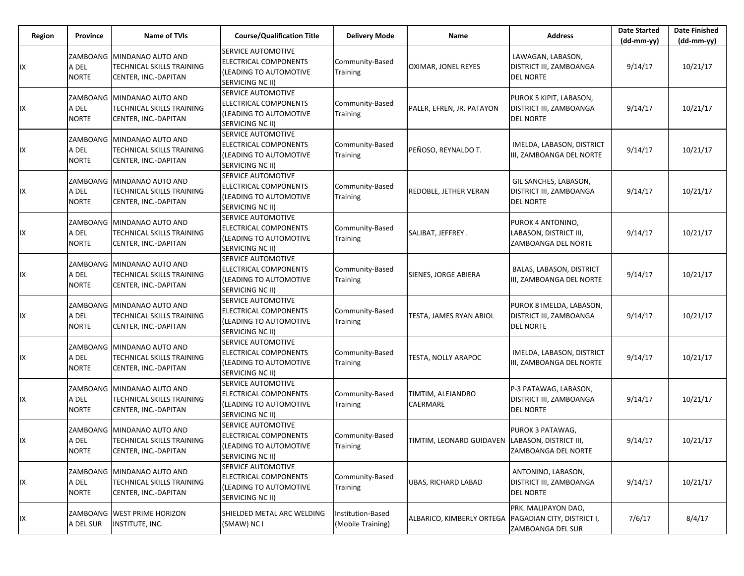| Region | Province                          | Name of TVIs                                                                    | <b>Course/Qualification Title</b>                                                                               | <b>Delivery Mode</b>                   | Name                                            | <b>Address</b>                                                          | <b>Date Started</b><br>$(dd-mm-yy)$ | <b>Date Finished</b><br>(dd-mm-yy) |
|--------|-----------------------------------|---------------------------------------------------------------------------------|-----------------------------------------------------------------------------------------------------------------|----------------------------------------|-------------------------------------------------|-------------------------------------------------------------------------|-------------------------------------|------------------------------------|
| IX     | ZAMBOANG<br>A DEL<br><b>NORTE</b> | MINDANAO AUTO AND<br>TECHNICAL SKILLS TRAINING<br>CENTER, INC.-DAPITAN          | <b>SERVICE AUTOMOTIVE</b><br>ELECTRICAL COMPONENTS<br>l(LEADING TO AUTOMOTIVE<br>SERVICING NC II)               | Community-Based<br>Training            | OXIMAR, JONEL REYES                             | LAWAGAN, LABASON,<br>DISTRICT III, ZAMBOANGA<br><b>DEL NORTE</b>        | 9/14/17                             | 10/21/17                           |
| IΧ     | ZAMBOANG<br>A DEL<br><b>NORTE</b> | MINDANAO AUTO AND<br>TECHNICAL SKILLS TRAINING<br>CENTER, INC.-DAPITAN          | <b>SERVICE AUTOMOTIVE</b><br>ELECTRICAL COMPONENTS<br>(LEADING TO AUTOMOTIVE<br><b>SERVICING NC II)</b>         | Community-Based<br>Training            | PALER, EFREN, JR. PATAYON                       | PUROK 5 KIPIT, LABASON,<br>DISTRICT III, ZAMBOANGA<br><b>DEL NORTE</b>  | 9/14/17                             | 10/21/17                           |
| IΧ     | ZAMBOANG<br>A DEL<br><b>NORTE</b> | MINDANAO AUTO AND<br>TECHNICAL SKILLS TRAINING<br>CENTER, INC.-DAPITAN          | <b>SERVICE AUTOMOTIVE</b><br>ELECTRICAL COMPONENTS<br>(LEADING TO AUTOMOTIVE<br><b>SERVICING NC II)</b>         | Community-Based<br>Training            | PEÑOSO, REYNALDO T.                             | IMELDA, LABASON, DISTRICT<br>III, ZAMBOANGA DEL NORTE                   | 9/14/17                             | 10/21/17                           |
| IX     | ZAMBOANG<br>A DEL<br><b>NORTE</b> | MINDANAO AUTO AND<br>TECHNICAL SKILLS TRAINING<br>CENTER, INC.-DAPITAN          | SERVICE AUTOMOTIVE<br>ELECTRICAL COMPONENTS<br>(LEADING TO AUTOMOTIVE<br><b>SERVICING NC II)</b>                | Community-Based<br>Training            | <b>REDOBLE, JETHER VERAN</b>                    | GIL SANCHES, LABASON,<br>DISTRICT III, ZAMBOANGA<br><b>DEL NORTE</b>    | 9/14/17                             | 10/21/17                           |
| IX     | ZAMBOANG<br>A DEL<br><b>NORTE</b> | MINDANAO AUTO AND<br>TECHNICAL SKILLS TRAINING<br>CENTER, INC.-DAPITAN          | <b>ISERVICE AUTOMOTIVE</b><br><b>ELECTRICAL COMPONENTS</b><br>(LEADING TO AUTOMOTIVE<br><b>SERVICING NC II)</b> | Community-Based<br>Training            | SALIBAT, JEFFREY.                               | PUROK 4 ANTONINO,<br>LABASON, DISTRICT III,<br>ZAMBOANGA DEL NORTE      | 9/14/17                             | 10/21/17                           |
| IΧ     | ZAMBOANG<br>A DEL<br><b>NORTE</b> | MINDANAO AUTO AND<br>TECHNICAL SKILLS TRAINING<br>CENTER, INC.-DAPITAN          | <b>SERVICE AUTOMOTIVE</b><br>ELECTRICAL COMPONENTS<br>(LEADING TO AUTOMOTIVE<br>SERVICING NC II)                | Community-Based<br>Training            | SIENES, JORGE ABIERA                            | BALAS, LABASON, DISTRICT<br>III, ZAMBOANGA DEL NORTE                    | 9/14/17                             | 10/21/17                           |
| IX     | A DEL<br><b>NORTE</b>             | ZAMBOANG MINDANAO AUTO AND<br>TECHNICAL SKILLS TRAINING<br>CENTER, INC.-DAPITAN | <b>SERVICE AUTOMOTIVE</b><br>ELECTRICAL COMPONENTS<br>(LEADING TO AUTOMOTIVE<br><b>SERVICING NC II)</b>         | Community-Based<br>Training            | TESTA, JAMES RYAN ABIOL                         | PUROK 8 IMELDA, LABASON,<br>DISTRICT III, ZAMBOANGA<br><b>DEL NORTE</b> | 9/14/17                             | 10/21/17                           |
| IX     | ZAMBOANG<br>A DEL<br><b>NORTE</b> | MINDANAO AUTO AND<br>TECHNICAL SKILLS TRAINING<br>CENTER, INC.-DAPITAN          | <b>SERVICE AUTOMOTIVE</b><br>ELECTRICAL COMPONENTS<br>(LEADING TO AUTOMOTIVE<br><b>SERVICING NC II)</b>         | Community-Based<br>Training            | TESTA, NOLLY ARAPOC                             | IMELDA, LABASON, DISTRICT<br>III, ZAMBOANGA DEL NORTE                   | 9/14/17                             | 10/21/17                           |
| IΧ     | A DEL<br><b>NORTE</b>             | ZAMBOANG MINDANAO AUTO AND<br>TECHNICAL SKILLS TRAINING<br>CENTER, INC.-DAPITAN | <b>SERVICE AUTOMOTIVE</b><br>ELECTRICAL COMPONENTS<br>(LEADING TO AUTOMOTIVE<br>SERVICING NC II)                | Community-Based<br>Training            | TIMTIM, ALEJANDRO<br>CAERMARE                   | P-3 PATAWAG, LABASON,<br>DISTRICT III, ZAMBOANGA<br><b>DEL NORTE</b>    | 9/14/17                             | 10/21/17                           |
| IΧ     | A DEL<br><b>NORTE</b>             | ZAMBOANG MINDANAO AUTO AND<br>TECHNICAL SKILLS TRAINING<br>CENTER, INC.-DAPITAN | SERVICE AUTOMOTIVE<br>ELECTRICAL COMPONENTS<br>(LEADING TO AUTOMOTIVE<br>SERVICING NC II)                       | Community-Based<br>Training            | TIMTIM, LEONARD GUIDAVEN LABASON, DISTRICT III, | PUROK 3 PATAWAG,<br>ZAMBOANGA DEL NORTE                                 | 9/14/17                             | 10/21/17                           |
| IΧ     | ZAMBOANG<br>A DEL<br><b>NORTE</b> | MINDANAO AUTO AND<br>TECHNICAL SKILLS TRAINING<br>CENTER, INC.-DAPITAN          | <b>SERVICE AUTOMOTIVE</b><br>ELECTRICAL COMPONENTS<br>(LEADING TO AUTOMOTIVE<br>SERVICING NC II)                | Community-Based<br>Training            | UBAS, RICHARD LABAD                             | ANTONINO, LABASON,<br>DISTRICT III, ZAMBOANGA<br><b>DEL NORTE</b>       | 9/14/17                             | 10/21/17                           |
| IΧ     | A DEL SUR                         | ZAMBOANG WEST PRIME HORIZON<br>INSTITUTE, INC.                                  | SHIELDED METAL ARC WELDING<br>(SMAW) NC I                                                                       | Institution-Based<br>(Mobile Training) | ALBARICO, KIMBERLY ORTEGA                       | PRK. MALIPAYON DAO,<br>PAGADIAN CITY, DISTRICT I,<br>ZAMBOANGA DEL SUR  | 7/6/17                              | 8/4/17                             |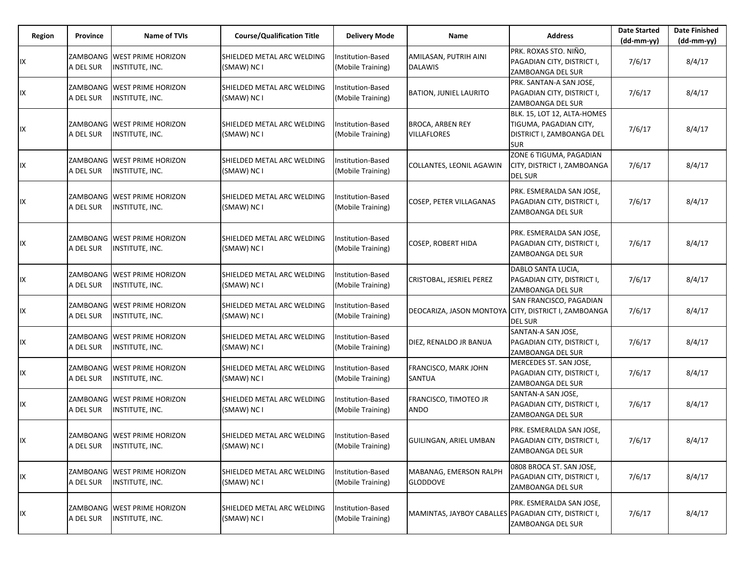| Region | Province  | <b>Name of TVIs</b>                                      | <b>Course/Qualification Title</b>         | <b>Delivery Mode</b>                   | Name                                                 | <b>Address</b>                                                                                   | <b>Date Started</b><br>$(dd-mm-yy)$ | <b>Date Finished</b><br>(dd-mm-yy) |
|--------|-----------|----------------------------------------------------------|-------------------------------------------|----------------------------------------|------------------------------------------------------|--------------------------------------------------------------------------------------------------|-------------------------------------|------------------------------------|
| IX     | A DEL SUR | ZAMBOANG WEST PRIME HORIZON<br>INSTITUTE, INC.           | SHIELDED METAL ARC WELDING<br>(SMAW) NC I | Institution-Based<br>(Mobile Training) | AMILASAN, PUTRIH AINI<br><b>DALAWIS</b>              | PRK. ROXAS STO. NIÑO.<br>PAGADIAN CITY, DISTRICT I,<br>ZAMBOANGA DEL SUR                         | 7/6/17                              | 8/4/17                             |
| IX     | A DEL SUR | ZAMBOANG WEEST PRIME HORIZON<br>INSTITUTE, INC.          | SHIELDED METAL ARC WELDING<br>(SMAW) NC I | Institution-Based<br>(Mobile Training) | <b>BATION, JUNIEL LAURITO</b>                        | PRK. SANTAN-A SAN JOSE,<br>PAGADIAN CITY, DISTRICT I,<br>ZAMBOANGA DEL SUR                       | 7/6/17                              | 8/4/17                             |
| IX     | A DEL SUR | ZAMBOANG WEST PRIME HORIZON<br>INSTITUTE, INC.           | SHIELDED METAL ARC WELDING<br>(SMAW) NC I | Institution-Based<br>(Mobile Training) | <b>BROCA, ARBEN REY</b><br><b>VILLAFLORES</b>        | BLK. 15, LOT 12, ALTA-HOMES<br>TIGUMA, PAGADIAN CITY,<br>DISTRICT I, ZAMBOANGA DEL<br><b>SUR</b> | 7/6/17                              | 8/4/17                             |
| IX     | A DEL SUR | ZAMBOANG WEST PRIME HORIZON<br>INSTITUTE, INC.           | SHIELDED METAL ARC WELDING<br>(SMAW) NC I | nstitution-Based<br>(Mobile Training)  | COLLANTES, LEONIL AGAWIN                             | ZONE 6 TIGUMA, PAGADIAN<br>CITY, DISTRICT I, ZAMBOANGA<br><b>DEL SUR</b>                         | 7/6/17                              | 8/4/17                             |
| IX     | A DEL SUR | ZAMBOANG WEST PRIME HORIZON<br>INSTITUTE, INC.           | SHIELDED METAL ARC WELDING<br>(SMAW) NC I | nstitution-Based<br>(Mobile Training)  | COSEP, PETER VILLAGANAS                              | PRK. ESMERALDA SAN JOSE,<br>PAGADIAN CITY, DISTRICT I,<br>ZAMBOANGA DEL SUR                      | 7/6/17                              | 8/4/17                             |
| IX     | A DEL SUR | ZAMBOANG WEST PRIME HORIZON<br>INSTITUTE, INC.           | SHIELDED METAL ARC WELDING<br>(SMAW) NC I | Institution-Based<br>(Mobile Training) | <b>COSEP, ROBERT HIDA</b>                            | PRK. ESMERALDA SAN JOSE,<br>PAGADIAN CITY, DISTRICT I,<br>ZAMBOANGA DEL SUR                      | 7/6/17                              | 8/4/17                             |
| IX     | A DEL SUR | ZAMBOANG WEST PRIME HORIZON<br>INSTITUTE, INC.           | SHIELDED METAL ARC WELDING<br>(SMAW) NC I | nstitution-Based<br>(Mobile Training)  | CRISTOBAL, JESRIEL PEREZ                             | DABLO SANTA LUCIA,<br>PAGADIAN CITY, DISTRICT I,<br>ZAMBOANGA DEL SUR                            | 7/6/17                              | 8/4/17                             |
| IX     | A DEL SUR | ZAMBOANG WEST PRIME HORIZON<br>INSTITUTE, INC.           | SHIELDED METAL ARC WELDING<br>(SMAW) NC I | Institution-Based<br>(Mobile Training) | DEOCARIZA, JASON MONTOYA CITY, DISTRICT I, ZAMBOANGA | SAN FRANCISCO, PAGADIAN<br><b>DEL SUR</b>                                                        | 7/6/17                              | 8/4/17                             |
| IX     | A DEL SUR | ZAMBOANG WEST PRIME HORIZON<br>INSTITUTE, INC.           | SHIELDED METAL ARC WELDING<br>(SMAW) NC I | nstitution-Based<br>(Mobile Training)  | DIEZ, RENALDO JR BANUA                               | SANTAN-A SAN JOSE,<br>PAGADIAN CITY, DISTRICT I,<br>ZAMBOANGA DEL SUR                            | 7/6/17                              | 8/4/17                             |
| IX     | A DEL SUR | ZAMBOANG   WEST PRIME HORIZON<br>INSTITUTE, INC.         | SHIELDED METAL ARC WELDING<br>(SMAW) NC I | Institution-Based<br>(Mobile Training) | FRANCISCO, MARK JOHN<br>SANTUA                       | MERCEDES ST. SAN JOSE,<br>PAGADIAN CITY, DISTRICT I,<br>ZAMBOANGA DEL SUR                        | 7/6/17                              | 8/4/17                             |
| IX     | A DEL SUR | ZAMBOANG WEST PRIME HORIZON<br>INSTITUTE, INC.           | SHIELDED METAL ARC WELDING<br>(SMAW) NC I | nstitution-Based<br>(Mobile Training)  | FRANCISCO, TIMOTEO JR<br>ANDO                        | SANTAN-A SAN JOSE,<br>PAGADIAN CITY, DISTRICT I,<br>ZAMBOANGA DEL SUR                            | 7/6/17                              | 8/4/17                             |
| IX     |           | ZAMBOANG WEST PRIME HORIZON<br>A DEL SUR INSTITUTE, INC. | SHIELDED METAL ARC WELDING<br>(SMAW) NC I | Institution-Based<br>(Mobile Training) | <b>GUILINGAN, ARIEL UMBAN</b>                        | PRK. ESMERALDA SAN JOSE,<br>PAGADIAN CITY, DISTRICT I,<br>ZAMBOANGA DEL SUR                      | 7/6/17                              | 8/4/17                             |
| IX     | A DEL SUR | ZAMBOANG WEST PRIME HORIZON<br>INSTITUTE, INC.           | SHIELDED METAL ARC WELDING<br>(SMAW) NC I | Institution-Based<br>(Mobile Training) | MABANAG, EMERSON RALPH<br><b>GLODDOVE</b>            | 0808 BROCA ST. SAN JOSE,<br>PAGADIAN CITY, DISTRICT I,<br>ZAMBOANGA DEL SUR                      | 7/6/17                              | 8/4/17                             |
| IX     | A DEL SUR | ZAMBOANG   WEST PRIME HORIZON<br><b>INSTITUTE, INC.</b>  | SHIELDED METAL ARC WELDING<br>(SMAW) NC I | Institution-Based<br>(Mobile Training) | MAMINTAS, JAYBOY CABALLES PAGADIAN CITY, DISTRICT I, | PRK. ESMERALDA SAN JOSE,<br>ZAMBOANGA DEL SUR                                                    | 7/6/17                              | 8/4/17                             |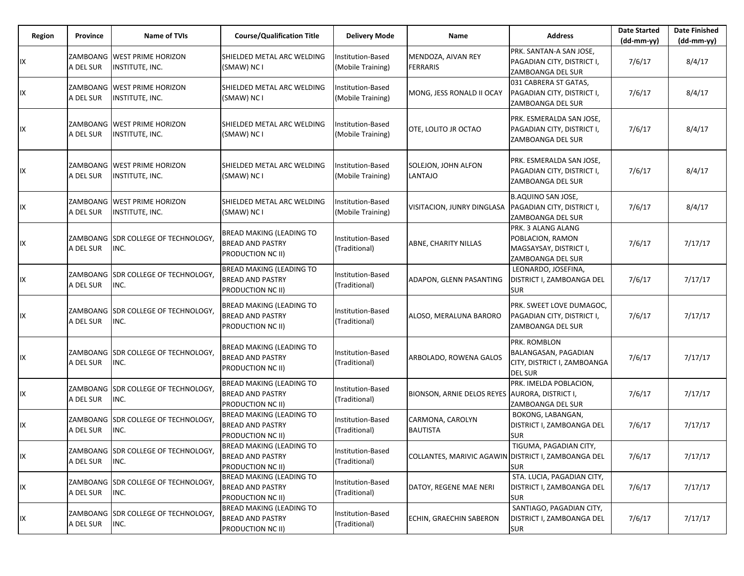| Region | Province              | Name of TVIs                                    | <b>Course/Qualification Title</b>                                                      | <b>Delivery Mode</b>                          | Name                                                | <b>Address</b>                                                                        | <b>Date Started</b><br>$(dd-mm-yy)$ | Date Finished<br>$(dd-mm-yy)$ |
|--------|-----------------------|-------------------------------------------------|----------------------------------------------------------------------------------------|-----------------------------------------------|-----------------------------------------------------|---------------------------------------------------------------------------------------|-------------------------------------|-------------------------------|
| IX     | A DEL SUR             | ZAMBOANG  WEST PRIME HORIZON<br>INSTITUTE, INC. | SHIELDED METAL ARC WELDING<br>(SMAW) NC I                                              | Institution-Based<br>(Mobile Training)        | MENDOZA, AIVAN REY<br><b>FERRARIS</b>               | PRK. SANTAN-A SAN JOSE.<br>PAGADIAN CITY, DISTRICT I,<br>ZAMBOANGA DEL SUR            | 7/6/17                              | 8/4/17                        |
| IX     | A DEL SUR             | ZAMBOANG WEST PRIME HORIZON<br>INSTITUTE, INC.  | SHIELDED METAL ARC WELDING<br>(SMAW) NC I                                              | Institution-Based<br>(Mobile Training)        | MONG, JESS RONALD II OCAY                           | 031 CABRERA ST GATAS,<br>PAGADIAN CITY, DISTRICT I,<br>ZAMBOANGA DEL SUR              | 7/6/17                              | 8/4/17                        |
| IX     | A DEL SUR             | ZAMBOANG  WEST PRIME HORIZON<br>INSTITUTE, INC. | SHIELDED METAL ARC WELDING<br>(SMAW) NC I                                              | <b>Institution-Based</b><br>(Mobile Training) | OTE. LOLITO JR OCTAO                                | PRK. ESMERALDA SAN JOSE,<br>PAGADIAN CITY, DISTRICT I,<br>ZAMBOANGA DEL SUR           | 7/6/17                              | 8/4/17                        |
| IX     | A DEL SUR             | ZAMBOANG  WEST PRIME HORIZON<br>INSTITUTE, INC. | SHIELDED METAL ARC WELDING<br>(SMAW) NC I                                              | Institution-Based<br>(Mobile Training)        | SOLEJON, JOHN ALFON<br>LANTAJO                      | PRK. ESMERALDA SAN JOSE,<br>PAGADIAN CITY, DISTRICT I,<br>ZAMBOANGA DEL SUR           | 7/6/17                              | 8/4/17                        |
| IX     | A DEL SUR             | ZAMBOANG  WEST PRIME HORIZON<br>INSTITUTE, INC. | SHIELDED METAL ARC WELDING<br>(SMAW) NC I                                              | Institution-Based<br>(Mobile Training)        | VISITACION, JUNRY DINGLASA                          | <b>B.AQUINO SAN JOSE,</b><br>PAGADIAN CITY, DISTRICT I,<br>ZAMBOANGA DEL SUR          | 7/6/17                              | 8/4/17                        |
| IX     | A DEL SUR             | ZAMBOANG SDR COLLEGE OF TECHNOLOGY,<br>INC.     | <b>BREAD MAKING (LEADING TO</b><br><b>BREAD AND PASTRY</b><br><b>PRODUCTION NC II)</b> | <b>Institution-Based</b><br>(Traditional)     | ABNE, CHARITY NILLAS                                | PRK. 3 ALANG ALANG<br>POBLACION, RAMON<br>MAGSAYSAY, DISTRICT I,<br>ZAMBOANGA DEL SUR | 7/6/17                              | 7/17/17                       |
| IX     | ZAMBOANG<br>A DEL SUR | <b>SDR COLLEGE OF TECHNOLOGY,</b><br>INC.       | <b>BREAD MAKING (LEADING TO</b><br><b>BREAD AND PASTRY</b><br>PRODUCTION NC II)        | Institution-Based<br>(Traditional)            | ADAPON, GLENN PASANTING                             | LEONARDO, JOSEFINA,<br>DISTRICT I, ZAMBOANGA DEL<br><b>SUR</b>                        | 7/6/17                              | 7/17/17                       |
| IX     | A DEL SUR             | ZAMBOANG SDR COLLEGE OF TECHNOLOGY,<br>INC.     | <b>BREAD MAKING (LEADING TO</b><br><b>BREAD AND PASTRY</b><br>PRODUCTION NC II)        | Institution-Based<br>(Traditional)            | ALOSO, MERALUNA BARORO                              | PRK. SWEET LOVE DUMAGOC,<br>PAGADIAN CITY, DISTRICT I,<br>ZAMBOANGA DEL SUR           | 7/6/17                              | 7/17/17                       |
| IX     | A DEL SUR             | ZAMBOANG SDR COLLEGE OF TECHNOLOGY,<br>INC.     | BREAD MAKING (LEADING TO<br><b>BREAD AND PASTRY</b><br><b>PRODUCTION NC II)</b>        | <b>Institution-Based</b><br>(Traditional)     | ARBOLADO, ROWENA GALOS                              | PRK. ROMBLON<br>BALANGASAN, PAGADIAN<br>CITY, DISTRICT I, ZAMBOANGA<br><b>DEL SUR</b> | 7/6/17                              | 7/17/17                       |
| IX     | A DEL SUR             | ZAMBOANG SDR COLLEGE OF TECHNOLOGY,<br>INC.     | <b>BREAD MAKING (LEADING TO</b><br><b>BREAD AND PASTRY</b><br>PRODUCTION NC II)        | <b>Institution-Based</b><br>(Traditional)     | BIONSON, ARNIE DELOS REYES AURORA, DISTRICT I,      | PRK. IMELDA POBLACION,<br>ZAMBOANGA DEL SUR                                           | 7/6/17                              | 7/17/17                       |
| IX     | A DEL SUR             | ZAMBOANG SDR COLLEGE OF TECHNOLOGY,<br>INC.     | <b>BREAD MAKING (LEADING TO</b><br><b>BREAD AND PASTRY</b><br>PRODUCTION NC II)        | Institution-Based<br>(Traditional)            | CARMONA, CAROLYN<br><b>BAUTISTA</b>                 | BOKONG, LABANGAN,<br>DISTRICT I, ZAMBOANGA DEL<br><b>SUR</b>                          | 7/6/17                              | 7/17/17                       |
| IX     | A DEL SUR             | ZAMBOANG SDR COLLEGE OF TECHNOLOGY,<br>INC.     | BREAD MAKING (LEADING TO<br><b>BREAD AND PASTRY</b><br>PRODUCTION NC II)               | Institution-Based<br>(Traditional)            | COLLANTES, MARIVIC AGAWIN DISTRICT I, ZAMBOANGA DEL | TIGUMA, PAGADIAN CITY,<br><b>SUR</b>                                                  | 7/6/17                              | 7/17/17                       |
| IX     | A DEL SUR             | ZAMBOANG SDR COLLEGE OF TECHNOLOGY,<br>INC.     | <b>BREAD MAKING (LEADING TO</b><br><b>BREAD AND PASTRY</b><br>PRODUCTION NC II)        | <b>Institution-Based</b><br>(Traditional)     | DATOY, REGENE MAE NERI                              | STA. LUCIA, PAGADIAN CITY,<br>DISTRICT I, ZAMBOANGA DEL<br><b>SUR</b>                 | 7/6/17                              | 7/17/17                       |
| IX     | A DEL SUR             | ZAMBOANG SDR COLLEGE OF TECHNOLOGY,<br>INC.     | <b>BREAD MAKING (LEADING TO</b><br><b>BREAD AND PASTRY</b><br>PRODUCTION NC II)        | Institution-Based<br>(Traditional)            | ECHIN, GRAECHIN SABERON                             | SANTIAGO, PAGADIAN CITY,<br>DISTRICT I, ZAMBOANGA DEL<br><b>SUR</b>                   | 7/6/17                              | 7/17/17                       |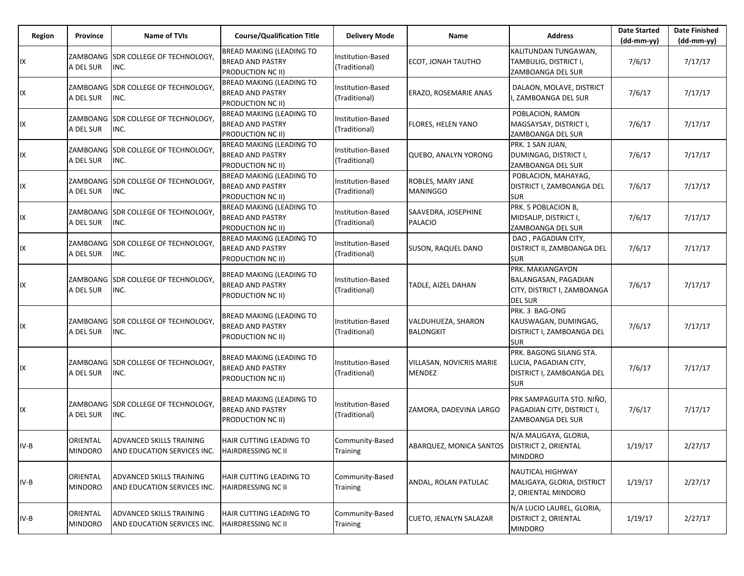| Region | Province                   | <b>Name of TVIs</b>                                     | <b>Course/Qualification Title</b>                                                      | <b>Delivery Mode</b>               | Name                                           | <b>Address</b>                                                                              | <b>Date Started</b><br>$(dd-mm-yy)$ | <b>Date Finished</b><br>(dd-mm-yy) |
|--------|----------------------------|---------------------------------------------------------|----------------------------------------------------------------------------------------|------------------------------------|------------------------------------------------|---------------------------------------------------------------------------------------------|-------------------------------------|------------------------------------|
| IX     | A DEL SUR                  | ZAMBOANG  SDR COLLEGE OF TECHNOLOGY,<br>INC.            | <b>BREAD MAKING (LEADING TO</b><br><b>BREAD AND PASTRY</b><br><b>PRODUCTION NC II)</b> | Institution-Based<br>(Traditional) | ECOT, JONAH TAUTHO                             | KALITUNDAN TUNGAWAN,<br>TAMBULIG, DISTRICT I,<br>ZAMBOANGA DEL SUR                          | 7/6/17                              | 7/17/17                            |
| IX     | A DEL SUR                  | ZAMBOANG SDR COLLEGE OF TECHNOLOGY,<br>INC.             | <b>BREAD MAKING (LEADING TO</b><br><b>BREAD AND PASTRY</b><br><b>PRODUCTION NC II)</b> | Institution-Based<br>(Traditional) | ERAZO, ROSEMARIE ANAS                          | DALAON, MOLAVE, DISTRICT<br>, ZAMBOANGA DEL SUR                                             | 7/6/17                              | 7/17/17                            |
| IX     | A DEL SUR                  | ZAMBOANG  SDR COLLEGE OF TECHNOLOGY,<br>INC.            | <b>BREAD MAKING (LEADING TO</b><br><b>BREAD AND PASTRY</b><br><b>PRODUCTION NC II)</b> | Institution-Based<br>(Traditional) | FLORES, HELEN YANO                             | POBLACION, RAMON<br>MAGSAYSAY, DISTRICT I,<br>ZAMBOANGA DEL SUR                             | 7/6/17                              | 7/17/17                            |
| IX     | A DEL SUR                  | ZAMBOANG  SDR COLLEGE OF TECHNOLOGY,<br>INC.            | <b>BREAD MAKING (LEADING TO</b><br><b>BREAD AND PASTRY</b><br><b>PRODUCTION NC II)</b> | Institution-Based<br>(Traditional) | <b>QUEBO, ANALYN YORONG</b>                    | PRK. 1 SAN JUAN,<br>DUMINGAG, DISTRICT I,<br>ZAMBOANGA DEL SUR                              | 7/6/17                              | 7/17/17                            |
| IX     | A DEL SUR                  | ZAMBOANG  SDR COLLEGE OF TECHNOLOGY,<br>INC.            | <b>BREAD MAKING (LEADING TO</b><br><b>BREAD AND PASTRY</b><br>PRODUCTION NC II)        | Institution-Based<br>(Traditional) | ROBLES, MARY JANE<br><b>MANINGGO</b>           | POBLACION, MAHAYAG,<br>DISTRICT I, ZAMBOANGA DEL<br><b>SUR</b>                              | 7/6/17                              | 7/17/17                            |
| IX     | A DEL SUR                  | ZAMBOANG ISDR COLLEGE OF TECHNOLOGY.<br>INC.            | <b>BREAD MAKING (LEADING TO</b><br><b>BREAD AND PASTRY</b><br>PRODUCTION NC II)        | Institution-Based<br>(Traditional) | SAAVEDRA, JOSEPHINE<br><b>PALACIO</b>          | PRK. 5 POBLACION B,<br>MIDSALIP, DISTRICT I,<br>ZAMBOANGA DEL SUR                           | 7/6/17                              | 7/17/17                            |
| IX     | A DEL SUR                  | ZAMBOANG SDR COLLEGE OF TECHNOLOGY,<br>INC.             | <b>BREAD MAKING (LEADING TO</b><br><b>BREAD AND PASTRY</b><br><b>PRODUCTION NC II)</b> | Institution-Based<br>(Traditional) | <b>SUSON, RAQUEL DANO</b>                      | DAO, PAGADIAN CITY,<br>DISTRICT II, ZAMBOANGA DEL<br><b>SUR</b>                             | 7/6/17                              | 7/17/17                            |
| IX     | A DEL SUR                  | ZAMBOANG ISDR COLLEGE OF TECHNOLOGY.<br>INC.            | <b>BREAD MAKING (LEADING TO</b><br><b>BREAD AND PASTRY</b><br>PRODUCTION NC II)        | Institution-Based<br>(Traditional) | TADLE, AIZEL DAHAN                             | PRK. MAKIANGAYON<br>BALANGASAN, PAGADIAN<br>CITY, DISTRICT I, ZAMBOANGA<br><b>DEL SUR</b>   | 7/6/17                              | 7/17/17                            |
| IX     | A DEL SUR                  | ZAMBOANG SDR COLLEGE OF TECHNOLOGY,<br>INC.             | BREAD MAKING (LEADING TO<br><b>BREAD AND PASTRY</b><br>PRODUCTION NC II)               | Institution-Based<br>(Traditional) | VALDUHUEZA, SHARON<br><b>BALONGKIT</b>         | PRK. 3 BAG-ONG<br>KAUSWAGAN, DUMINGAG,<br>DISTRICT I, ZAMBOANGA DEL<br><b>SUR</b>           | 7/6/17                              | 7/17/17                            |
| IX     | A DEL SUR                  | ZAMBOANG  SDR COLLEGE OF TECHNOLOGY,<br>INC.            | <b>BREAD MAKING (LEADING TO</b><br><b>BREAD AND PASTRY</b><br>PRODUCTION NC II)        | Institution-Based<br>(Traditional) | VILLASAN, NOVICRIS MARIE<br>MENDEZ             | PRK. BAGONG SILANG STA.<br>LUCIA, PAGADIAN CITY,<br>DISTRICT I, ZAMBOANGA DEL<br><b>SUR</b> | 7/6/17                              | 7/17/17                            |
| IX     | A DEL SUR                  | ZAMBOANG SDR COLLEGE OF TECHNOLOGY,<br>INC.             | BREAD MAKING (LEADING TO<br><b>BREAD AND PASTRY</b><br>PRODUCTION NC II)               | Institution-Based<br>(Traditional) | ZAMORA, DADEVINA LARGO                         | PRK SAMPAGUITA STO. NIÑO,<br>PAGADIAN CITY, DISTRICT I,<br>ZAMBOANGA DEL SUR                | 7/6/17                              | 7/17/17                            |
| $IV-B$ | ORIENTAL<br><b>MINDORO</b> | ADVANCED SKILLS TRAINING<br>AND EDUCATION SERVICES INC. | HAIR CUTTING LEADING TO<br><b>HAIRDRESSING NC II</b>                                   | Community-Based<br><b>Training</b> | ABARQUEZ, MONICA SANTOS   DISTRICT 2, ORIENTAL | N/A MALIGAYA, GLORIA,<br><b>MINDORO</b>                                                     | 1/19/17                             | 2/27/17                            |
| $IV-B$ | ORIENTAL<br><b>MINDORO</b> | ADVANCED SKILLS TRAINING<br>AND EDUCATION SERVICES INC. | HAIR CUTTING LEADING TO<br><b>HAIRDRESSING NC II</b>                                   | Community-Based<br>Training        | ANDAL, ROLAN PATULAC                           | <b>NAUTICAL HIGHWAY</b><br>MALIGAYA, GLORIA, DISTRICT<br>2, ORIENTAL MINDORO                | 1/19/17                             | 2/27/17                            |
| $IV-B$ | ORIENTAL<br><b>MINDORO</b> | ADVANCED SKILLS TRAINING<br>AND EDUCATION SERVICES INC. | HAIR CUTTING LEADING TO<br><b>HAIRDRESSING NC II</b>                                   | Community-Based<br>Training        | CUETO, JENALYN SALAZAR                         | N/A LUCIO LAUREL, GLORIA,<br><b>DISTRICT 2, ORIENTAL</b><br><b>MINDORO</b>                  | 1/19/17                             | 2/27/17                            |